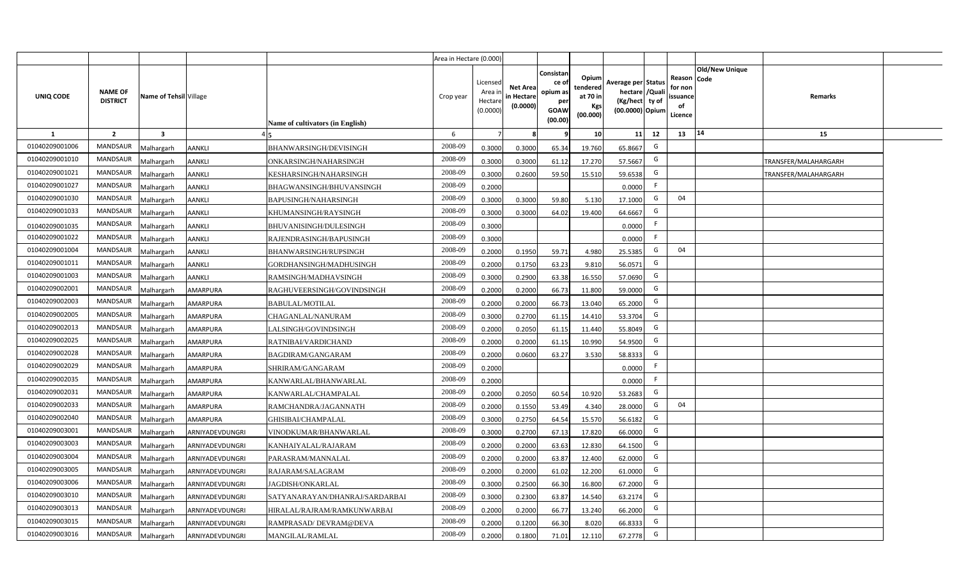|                |                                   |                         |                 |                                  | Area in Hectare (0.000) |                                            |                                           |                                                         |                                                         |                                                                            |    |                                                     |                       |                      |  |
|----------------|-----------------------------------|-------------------------|-----------------|----------------------------------|-------------------------|--------------------------------------------|-------------------------------------------|---------------------------------------------------------|---------------------------------------------------------|----------------------------------------------------------------------------|----|-----------------------------------------------------|-----------------------|----------------------|--|
| UNIQ CODE      | <b>NAME OF</b><br><b>DISTRICT</b> | Name of Tehsil Village  |                 | Name of cultivators (in English) | Crop year               | Licensed<br>Area ir<br>Hectare<br>(0.0000) | <b>Net Area</b><br>in Hectare<br>(0.0000) | Consistar<br>ce o<br>opium as<br>per<br>GOAW<br>(00.00) | Opium<br>tendered<br>at 70 in<br><b>Kgs</b><br>(00.000) | Average per Status<br>hectare / Quali<br>(Kg/hect ty of<br>(00.0000) Opium |    | Reason Code<br>for non<br>issuance<br>of<br>Licence | <b>Old/New Unique</b> | Remarks              |  |
| 1              | $\overline{2}$                    | $\overline{\mathbf{3}}$ |                 |                                  | 6                       | 7                                          |                                           |                                                         | 10                                                      | 11                                                                         | 12 | 13                                                  | 14                    | 15                   |  |
| 01040209001006 | MANDSAUR                          | <b>Aalhargarh</b>       | <b>AANKLI</b>   | BHANWARSINGH/DEVISINGH           | 2008-09                 | 0.3000                                     | 0.3000                                    | 65.34                                                   | 19.760                                                  | 65.8667                                                                    | G  |                                                     |                       |                      |  |
| 01040209001010 | <b>MANDSAUR</b>                   | <b>Malhargarh</b>       | <b>AANKLI</b>   | ONKARSINGH/NAHARSINGH            | 2008-09                 | 0.3000                                     | 0.3000                                    | 61.12                                                   | 17.270                                                  | 57.5667                                                                    | G  |                                                     |                       | TRANSFER/MALAHARGARH |  |
| 01040209001021 | <b>MANDSAUR</b>                   | <b>Malhargarh</b>       | AANKLI          | KESHARSINGH/NAHARSINGH           | 2008-09                 | 0.3000                                     | 0.2600                                    | 59.50                                                   | 15.510                                                  | 59.6538                                                                    | G  |                                                     |                       | TRANSFER/MALAHARGARH |  |
| 01040209001027 | MANDSAUR                          | <b>Malhargarh</b>       | <b>AANKLI</b>   | BHAGWANSINGH/BHUVANSINGH         | 2008-09                 | 0.2000                                     |                                           |                                                         |                                                         | 0.0000                                                                     | F. |                                                     |                       |                      |  |
| 01040209001030 | <b>MANDSAUR</b>                   | <b>Malhargarh</b>       | <b>AANKLI</b>   | <b>BAPUSINGH/NAHARSINGH</b>      | 2008-09                 | 0.3000                                     | 0.3000                                    | 59.80                                                   | 5.130                                                   | 17.1000                                                                    | G  | 04                                                  |                       |                      |  |
| 01040209001033 | <b>MANDSAUR</b>                   | <b>Malhargarh</b>       | AANKLI          | KHUMANSINGH/RAYSINGH             | 2008-09                 | 0.3000                                     | 0.3000                                    | 64.02                                                   | 19.400                                                  | 64.6667                                                                    | G  |                                                     |                       |                      |  |
| 01040209001035 | MANDSAUR                          | <b>Malhargarh</b>       | AANKLI          | BHUVANISINGH/DULESINGH           | 2008-09                 | 0.3000                                     |                                           |                                                         |                                                         | 0.0000                                                                     | F  |                                                     |                       |                      |  |
| 01040209001022 | <b>MANDSAUR</b>                   | <b>Malhargarh</b>       | AANKLI          | RAJENDRASINGH/BAPUSINGH          | 2008-09                 | 0.3000                                     |                                           |                                                         |                                                         | 0.0000                                                                     | F  |                                                     |                       |                      |  |
| 01040209001004 | <b>MANDSAUR</b>                   | <b>Malhargarh</b>       | AANKLI          | BHANWARSINGH/RUPSINGH            | 2008-09                 | 0.2000                                     | 0.1950                                    | 59.71                                                   | 4.980                                                   | 25.5385                                                                    | G  | 04                                                  |                       |                      |  |
| 01040209001011 | MANDSAUR                          | <b>Malhargarh</b>       | <b>AANKLI</b>   | GORDHANSINGH/MADHUSINGH          | 2008-09                 | 0.2000                                     | 0.1750                                    | 63.23                                                   | 9.810                                                   | 56.0571                                                                    | G  |                                                     |                       |                      |  |
| 01040209001003 | <b>MANDSAUR</b>                   | <b>Malhargarh</b>       | AANKLI          | RAMSINGH/MADHAVSINGH             | 2008-09                 | 0.3000                                     | 0.2900                                    | 63.38                                                   | 16.550                                                  | 57.0690                                                                    | G  |                                                     |                       |                      |  |
| 01040209002001 | <b>MANDSAUR</b>                   | <b>Malhargarh</b>       | AMARPURA        | RAGHUVEERSINGH/GOVINDSINGH       | 2008-09                 | 0.2000                                     | 0.2000                                    | 66.73                                                   | 11.800                                                  | 59.0000                                                                    | G  |                                                     |                       |                      |  |
| 01040209002003 | <b>MANDSAUR</b>                   | <b>Malhargarh</b>       | AMARPURA        | <b>BABULAL/MOTILAL</b>           | 2008-09                 | 0.2000                                     | 0.2000                                    | 66.73                                                   | 13.040                                                  | 65.2000                                                                    | G  |                                                     |                       |                      |  |
| 01040209002005 | MANDSAUR                          | <b>Malhargarh</b>       | AMARPURA        | CHAGANLAL/NANURAM                | 2008-09                 | 0.3000                                     | 0.2700                                    | 61.15                                                   | 14.410                                                  | 53.3704                                                                    | G  |                                                     |                       |                      |  |
| 01040209002013 | <b>MANDSAUR</b>                   | <b>Malhargarh</b>       | AMARPURA        | ALSINGH/GOVINDSINGH              | 2008-09                 | 0.2000                                     | 0.2050                                    | 61.15                                                   | 11.440                                                  | 55.8049                                                                    | G  |                                                     |                       |                      |  |
| 01040209002025 | <b>MANDSAUR</b>                   | <b>Malhargarh</b>       | AMARPURA        | RATNIBAI/VARDICHAND              | 2008-09                 | 0.2000                                     | 0.2000                                    | 61.15                                                   | 10.990                                                  | 54.9500                                                                    | G  |                                                     |                       |                      |  |
| 01040209002028 | <b>MANDSAUR</b>                   | <b>Malhargarh</b>       | AMARPURA        | BAGDIRAM/GANGARAM                | 2008-09                 | 0.2000                                     | 0.0600                                    | 63.27                                                   | 3.530                                                   | 58.8333                                                                    | G  |                                                     |                       |                      |  |
| 01040209002029 | <b>MANDSAUR</b>                   | <b>Malhargarh</b>       | AMARPURA        | SHRIRAM/GANGARAM                 | 2008-09                 | 0.2000                                     |                                           |                                                         |                                                         | 0.0000                                                                     | F  |                                                     |                       |                      |  |
| 01040209002035 | <b>MANDSAUR</b>                   | <b>Malhargarh</b>       | AMARPURA        | KANWARLAL/BHANWARLAL             | 2008-09                 | 0.2000                                     |                                           |                                                         |                                                         | 0.0000                                                                     | F. |                                                     |                       |                      |  |
| 01040209002031 | <b>MANDSAUR</b>                   | Malhargarh              | AMARPURA        | KANWARLAL/CHAMPALAL              | 2008-09                 | 0.2000                                     | 0.2050                                    | 60.54                                                   | 10.920                                                  | 53.2683                                                                    | G  |                                                     |                       |                      |  |
| 01040209002033 | <b>MANDSAUR</b>                   | <b>Malhargarh</b>       | AMARPURA        | RAMCHANDRA/JAGANNATH             | 2008-09                 | 0.2000                                     | 0.1550                                    | 53.49                                                   | 4.340                                                   | 28.0000                                                                    | G  | 04                                                  |                       |                      |  |
| 01040209002040 | <b>MANDSAUR</b>                   | <b>Malhargarh</b>       | AMARPURA        | GHISIBAI/CHAMPALAL               | 2008-09                 | 0.3000                                     | 0.2750                                    | 64.54                                                   | 15.570                                                  | 56.6182                                                                    | G  |                                                     |                       |                      |  |
| 01040209003001 | <b>MANDSAUR</b>                   | <b>Aalhargarh</b>       | ARNIYADEVDUNGRI | VINODKUMAR/BHANWARLAL            | 2008-09                 | 0.3000                                     | 0.2700                                    | 67.13                                                   | 17.820                                                  | 66.0000                                                                    | G  |                                                     |                       |                      |  |
| 01040209003003 | <b>MANDSAUR</b>                   | <b>Malhargarh</b>       | ARNIYADEVDUNGRI | KANHAIYALAL/RAJARAM              | 2008-09                 | 0.2000                                     | 0.2000                                    | 63.63                                                   | 12.830                                                  | 64.1500                                                                    | G  |                                                     |                       |                      |  |
| 01040209003004 | <b>MANDSAUR</b>                   | <b>Malhargarh</b>       | ARNIYADEVDUNGRI | PARASRAM/MANNALAL                | 2008-09                 | 0.2000                                     | 0.2000                                    | 63.87                                                   | 12.400                                                  | 62.0000                                                                    | G  |                                                     |                       |                      |  |
| 01040209003005 | <b>MANDSAUR</b>                   | <b>Malhargarh</b>       | ARNIYADEVDUNGRI | RAJARAM/SALAGRAM                 | 2008-09                 | 0.2000                                     | 0.2000                                    | 61.02                                                   | 12.200                                                  | 61.0000                                                                    | G  |                                                     |                       |                      |  |
| 01040209003006 | MANDSAUR                          | <b>Malhargarh</b>       | ARNIYADEVDUNGRI | JAGDISH/ONKARLAL                 | 2008-09                 | 0.3000                                     | 0.2500                                    | 66.30                                                   | 16.800                                                  | 67.2000                                                                    | G  |                                                     |                       |                      |  |
| 01040209003010 | MANDSAUR                          | <b>Malhargarh</b>       | ARNIYADEVDUNGRI | SATYANARAYAN/DHANRAJ/SARDARBAI   | 2008-09                 | 0.3000                                     | 0.2300                                    | 63.87                                                   | 14.540                                                  | 63.2174                                                                    | G  |                                                     |                       |                      |  |
| 01040209003013 | MANDSAUR                          | <b>Malhargarh</b>       | ARNIYADEVDUNGRI | HIRALAL/RAJRAM/RAMKUNWARBAI      | 2008-09                 | 0.2000                                     | 0.2000                                    | 66.77                                                   | 13.240                                                  | 66.2000                                                                    | G  |                                                     |                       |                      |  |
| 01040209003015 | <b>MANDSAUR</b>                   | <b>Malhargarh</b>       | ARNIYADEVDUNGRI | RAMPRASAD/ DEVRAM@DEVA           | 2008-09                 | 0.2000                                     | 0.1200                                    | 66.30                                                   | 8.020                                                   | 66.8333                                                                    | G  |                                                     |                       |                      |  |
| 01040209003016 | <b>MANDSAUR</b>                   | <b>Malhargarh</b>       | ARNIYADEVDUNGRI | MANGILAL/RAMLAL                  | 2008-09                 | 0.2000                                     | 0.1800                                    | 71.01                                                   | 12.110                                                  | 67.2778                                                                    | G  |                                                     |                       |                      |  |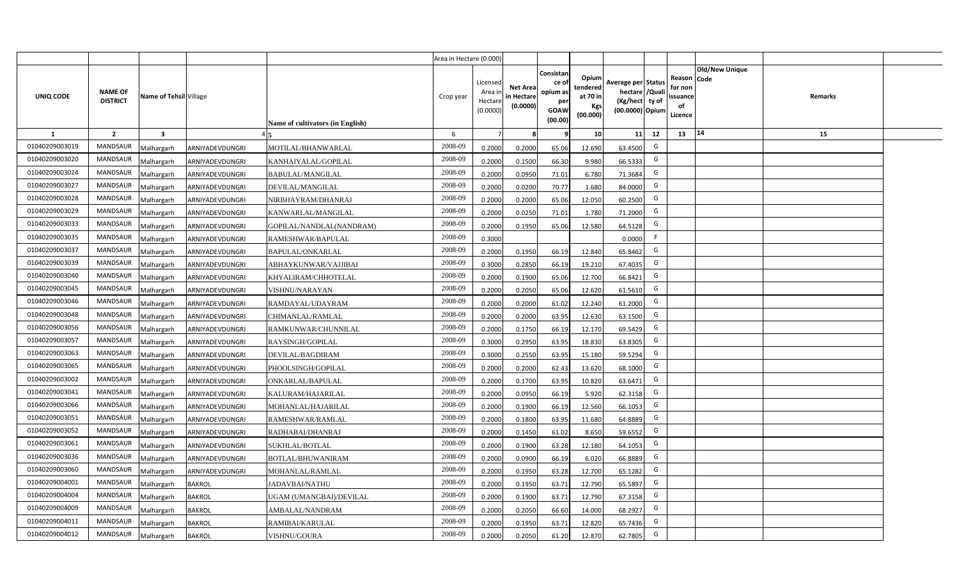|                |                                   |                         |                 |                                  | Area in Hectare (0.000) |                                            |                                           |                                                                |                                                  |                                                                            |    |                                                                             |         |  |
|----------------|-----------------------------------|-------------------------|-----------------|----------------------------------|-------------------------|--------------------------------------------|-------------------------------------------|----------------------------------------------------------------|--------------------------------------------------|----------------------------------------------------------------------------|----|-----------------------------------------------------------------------------|---------|--|
| UNIQ CODE      | <b>NAME OF</b><br><b>DISTRICT</b> | Name of Tehsil Village  |                 | Name of cultivators (in English) | Crop year               | Licensed<br>Area in<br>Hectare<br>(0.0000) | <b>Net Area</b><br>in Hectare<br>(0.0000) | Consistan<br>ce o<br>opium as<br>per<br><b>GOAW</b><br>(00.00) | Opium<br>tendered<br>at 70 in<br>Kgs<br>(00.000) | Average per Status<br>hectare / Quali<br>(Kg/hect ty of<br>(00.0000) Opium |    | <b>Old/New Unique</b><br>Reason Code<br>for non<br>ssuance<br>of<br>Licence | Remarks |  |
| $\mathbf{1}$   | $\overline{2}$                    | $\overline{\mathbf{3}}$ |                 |                                  | 6                       | $\overline{7}$                             | -8                                        | 9                                                              | 10                                               | 11                                                                         | 12 | 14<br>13                                                                    | 15      |  |
| 01040209003019 | MANDSAUR                          | <b>Malhargarh</b>       | ARNIYADEVDUNGRI | MOTILAL/BHANWARLAL               | 2008-09                 | 0.2000                                     | 0.2000                                    | 65.06                                                          | 12.690                                           | 63.4500                                                                    | G  |                                                                             |         |  |
| 01040209003020 | <b>MANDSAUR</b>                   | <b>Malhargarh</b>       | ARNIYADEVDUNGRI | KANHAIYALAL/GOPILAL              | 2008-09                 | 0.2000                                     | 0.1500                                    | 66.30                                                          | 9.980                                            | 66.5333                                                                    | G  |                                                                             |         |  |
| 01040209003024 | <b>MANDSAUR</b>                   | <b>Malhargarh</b>       | ARNIYADEVDUNGRI | <b>BABULAL/MANGILAL</b>          | 2008-09                 | 0.2000                                     | 0.0950                                    | 71.01                                                          | 6.780                                            | 71.3684                                                                    | G  |                                                                             |         |  |
| 01040209003027 | <b>MANDSAUR</b>                   | <b>Malhargarh</b>       | ARNIYADEVDUNGRI | DEVILAL/MANGILAL                 | 2008-09                 | 0.2000                                     | 0.0200                                    | 70.77                                                          | 1.680                                            | 84.0000                                                                    | G  |                                                                             |         |  |
| 01040209003028 | <b>MANDSAUR</b>                   | <b>Malhargarh</b>       | ARNIYADEVDUNGRI | NIRBHAYRAM/DHANRAJ               | 2008-09                 | 0.2000                                     | 0.2000                                    | 65.06                                                          | 12.050                                           | 60.2500                                                                    | G  |                                                                             |         |  |
| 01040209003029 | MANDSAUR                          | <b>Malhargarh</b>       | ARNIYADEVDUNGRI | KANWARLAL/MANGILAL               | 2008-09                 | 0.2000                                     | 0.0250                                    | 71.01                                                          | 1.780                                            | 71.2000                                                                    | G  |                                                                             |         |  |
| 01040209003033 | <b>MANDSAUR</b>                   | <b>Malhargarh</b>       | ARNIYADEVDUNGRI | GOPILAL/NANDLAL(NANDRAM)         | 2008-09                 | 0.2000                                     | 0.1950                                    | 65.06                                                          | 12.580                                           | 64.5128                                                                    | G  |                                                                             |         |  |
| 01040209003035 | <b>MANDSAUR</b>                   | <b>Malhargarh</b>       | ARNIYADEVDUNGRI | RAMESHWAR/BAPULAL                | 2008-09                 | 0.3000                                     |                                           |                                                                |                                                  | 0.0000                                                                     | F  |                                                                             |         |  |
| 01040209003037 | <b>MANDSAUR</b>                   | <b>Malhargarh</b>       | ARNIYADEVDUNGRI | BAPULAL/ONKARLAL                 | 2008-09                 | 0.2000                                     | 0.1950                                    | 66.19                                                          | 12.840                                           | 65.8462                                                                    | G  |                                                                             |         |  |
| 01040209003039 | <b>MANDSAUR</b>                   | <b>Malhargarh</b>       | ARNIYADEVDUNGRI | ABHAYKUNWAR/VAJJIBAI             | 2008-09                 | 0.3000                                     | 0.2850                                    | 66.19                                                          | 19.210                                           | 67.4035                                                                    | G  |                                                                             |         |  |
| 01040209003040 | <b>MANDSAUR</b>                   | <b>Malhargarh</b>       | ARNIYADEVDUNGRI | KHYALIRAM/CHHOTELAL              | 2008-09                 | 0.2000                                     | 0.1900                                    | 65.06                                                          | 12.700                                           | 66.8421                                                                    | G  |                                                                             |         |  |
| 01040209003045 | <b>MANDSAUR</b>                   | <b>Malhargarh</b>       | ARNIYADEVDUNGRI | VISHNU/NARAYAN                   | 2008-09                 | 0.2000                                     | 0.2050                                    | 65.06                                                          | 12.620                                           | 61.5610                                                                    | G  |                                                                             |         |  |
| 01040209003046 | <b>MANDSAUR</b>                   | <b>Malhargarh</b>       | ARNIYADEVDUNGRI | RAMDAYAL/UDAYRAM                 | 2008-09                 | 0.2000                                     | 0.2000                                    | 61.02                                                          | 12.240                                           | 61.2000                                                                    | G  |                                                                             |         |  |
| 01040209003048 | <b>MANDSAUR</b>                   | Malhargarh              | ARNIYADEVDUNGRI | CHIMANLAL/RAMLAL                 | 2008-09                 | 0.2000                                     | 0.2000                                    | 63.95                                                          | 12.630                                           | 63.1500                                                                    | G  |                                                                             |         |  |
| 01040209003056 | <b>MANDSAUR</b>                   | Malhargarh              | ARNIYADEVDUNGRI | RAMKUNWAR/CHUNNILAL              | 2008-09                 | 0.2000                                     | 0.1750                                    | 66.19                                                          | 12.170                                           | 69.5429                                                                    | G  |                                                                             |         |  |
| 01040209003057 | MANDSAUR                          | Malhargarh              | ARNIYADEVDUNGRI | RAYSINGH/GOPILAL                 | 2008-09                 | 0.3000                                     | 0.2950                                    | 63.95                                                          | 18.830                                           | 63.8305                                                                    | G  |                                                                             |         |  |
| 01040209003063 | <b>MANDSAUR</b>                   | <b>Malhargarh</b>       | ARNIYADEVDUNGRI | DEVILAL/BAGDIRAM                 | 2008-09                 | 0.3000                                     | 0.2550                                    | 63.95                                                          | 15.180                                           | 59.5294                                                                    | G  |                                                                             |         |  |
| 01040209003065 | MANDSAUR                          | <b>Malhargarh</b>       | ARNIYADEVDUNGRI | PHOOLSINGH/GOPILAL               | 2008-09                 | 0.2000                                     | 0.2000                                    | 62.43                                                          | 13.620                                           | 68.1000                                                                    | G  |                                                                             |         |  |
| 01040209003002 | <b>MANDSAUR</b>                   | <b>Malhargarh</b>       | ARNIYADEVDUNGRI | ONKARLAL/BAPULAL                 | 2008-09                 | 0.2000                                     | 0.1700                                    | 63.95                                                          | 10.820                                           | 63.6471                                                                    | G  |                                                                             |         |  |
| 01040209003041 | <b>MANDSAUR</b>                   | Malhargarh              | ARNIYADEVDUNGRI | KALURAM/HAJARILAL                | 2008-09                 | 0.2000                                     | 0.0950                                    | 66.19                                                          | 5.920                                            | 62.3158                                                                    | G  |                                                                             |         |  |
| 01040209003066 | <b>MANDSAUR</b>                   | <b>Malhargarh</b>       | ARNIYADEVDUNGRI | MOHANLAL/HAJARILAL               | 2008-09                 | 0.2000                                     | 0.1900                                    | 66.19                                                          | 12.560                                           | 66.1053                                                                    | G  |                                                                             |         |  |
| 01040209003051 | <b>MANDSAUR</b>                   | <b>Malhargarh</b>       | ARNIYADEVDUNGRI | RAMESHWAR/RAMLAL                 | 2008-09                 | 0.2000                                     | 0.1800                                    | 63.95                                                          | 11.680                                           | 64.8889                                                                    | G  |                                                                             |         |  |
| 01040209003052 | MANDSAUR                          | Aalhargarh              | ARNIYADEVDUNGRI | RADHABAI/DHANRAJ                 | 2008-09                 | 0.2000                                     | 0.1450                                    | 61.02                                                          | 8.650                                            | 59.6552                                                                    | G  |                                                                             |         |  |
| 01040209003061 | <b>MANDSAUR</b>                   | <b>Malhargarh</b>       | ARNIYADEVDUNGRI | SUKHLAL/BOTLAL                   | 2008-09                 | 0.2000                                     | 0.1900                                    | 63.28                                                          | 12.180                                           | 64.1053                                                                    | G  |                                                                             |         |  |
| 01040209003036 | <b>MANDSAUR</b>                   | <b>Malhargarh</b>       | ARNIYADEVDUNGRI | BOTLAL/BHUWANIRAM                | 2008-09                 | 0.2000                                     | 0.0900                                    | 66.19                                                          | 6.020                                            | 66.8889                                                                    | G  |                                                                             |         |  |
| 01040209003060 | MANDSAUR                          | <b>Malhargarh</b>       | ARNIYADEVDUNGRI | MOHANLAL/RAMLAL                  | 2008-09                 | 0.2000                                     | 0.1950                                    | 63.28                                                          | 12.700                                           | 65.1282                                                                    | G  |                                                                             |         |  |
| 01040209004001 | <b>MANDSAUR</b>                   | <b>Malhargarh</b>       | <b>BAKROL</b>   | <b>JADAVBAI/NATHU</b>            | 2008-09                 | 0.2000                                     | 0.1950                                    | 63.71                                                          | 12.790                                           | 65.5897                                                                    | G  |                                                                             |         |  |
| 01040209004004 | <b>MANDSAUR</b>                   | <b>Malhargarh</b>       | <b>BAKROL</b>   | UGAM (UMANGBAI)/DEVILAL          | 2008-09                 | 0.2000                                     | 0.1900                                    | 63.71                                                          | 12.790                                           | 67.3158                                                                    | G  |                                                                             |         |  |
| 01040209004009 | <b>MANDSAUR</b>                   | <b>Malhargarh</b>       | <b>BAKROL</b>   | AMBALAL/NANDRAM                  | 2008-09                 | 0.2000                                     | 0.2050                                    | 66.60                                                          | 14.000                                           | 68.2927                                                                    | G  |                                                                             |         |  |
| 01040209004011 | <b>MANDSAUR</b>                   | <b>Malhargarh</b>       | <b>BAKROL</b>   | RAMIBAI/KARULAL                  | 2008-09                 | 0.2000                                     | 0.1950                                    | 63.71                                                          | 12.820                                           | 65.7436                                                                    | G  |                                                                             |         |  |
| 01040209004012 | MANDSAUR                          | Malhargarh              | <b>BAKROL</b>   | VISHNU/GOURA                     | 2008-09                 | 0.2000                                     | 0.2050                                    | 61.20                                                          | 12.870                                           | 62.7805                                                                    | G  |                                                                             |         |  |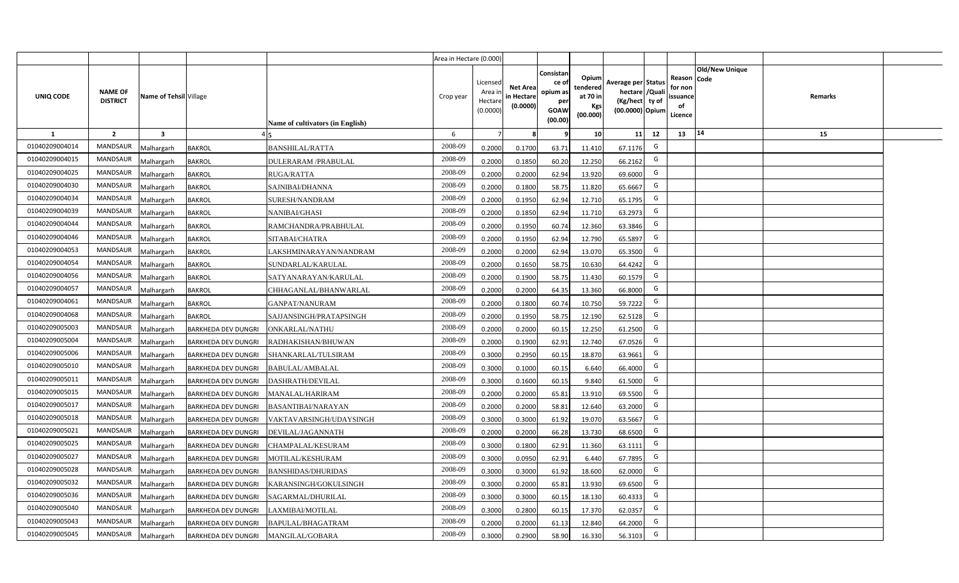|                |                                   |                         |                            |                                  | Area in Hectare (0.000) |                                            |                                           |                                                                |                                                  |                                                                            |    |                                                                             |         |  |
|----------------|-----------------------------------|-------------------------|----------------------------|----------------------------------|-------------------------|--------------------------------------------|-------------------------------------------|----------------------------------------------------------------|--------------------------------------------------|----------------------------------------------------------------------------|----|-----------------------------------------------------------------------------|---------|--|
| UNIQ CODE      | <b>NAME OF</b><br><b>DISTRICT</b> | Name of Tehsil Village  |                            | Name of cultivators (in English) | Crop year               | Licensed<br>Area in<br>Hectare<br>(0.0000) | <b>Net Area</b><br>in Hectare<br>(0.0000) | Consistan<br>ce o<br>opium as<br>per<br><b>GOAW</b><br>(00.00) | Opium<br>tendered<br>at 70 in<br>Kgs<br>(00.000) | Average per Status<br>hectare / Quali<br>(Kg/hect ty of<br>(00.0000) Opium |    | <b>Old/New Unique</b><br>Reason Code<br>for non<br>ssuance<br>of<br>Licence | Remarks |  |
| $\mathbf{1}$   | $\overline{2}$                    | $\overline{\mathbf{3}}$ |                            |                                  | 6                       | $\overline{7}$                             | -8                                        | ٩                                                              | 10                                               | 11                                                                         | 12 | 14<br>13                                                                    | 15      |  |
| 01040209004014 | MANDSAUR                          | <b>Aalhargarh</b>       | <b>BAKROL</b>              | <b>BANSHILAL/RATTA</b>           | 2008-09                 | 0.2000                                     | 0.1700                                    | 63.71                                                          | 11.410                                           | 67.1176                                                                    | G  |                                                                             |         |  |
| 01040209004015 | <b>MANDSAUR</b>                   | <b>Malhargarh</b>       | <b>BAKROL</b>              | DULERARAM /PRABULAL              | 2008-09                 | 0.2000                                     | 0.1850                                    | 60.20                                                          | 12.250                                           | 66.2162                                                                    | G  |                                                                             |         |  |
| 01040209004025 | <b>MANDSAUR</b>                   | <b>Malhargarh</b>       | <b>BAKROL</b>              | <b>RUGA/RATTA</b>                | 2008-09                 | 0.2000                                     | 0.2000                                    | 62.94                                                          | 13.920                                           | 69.6000                                                                    | G  |                                                                             |         |  |
| 01040209004030 | <b>MANDSAUR</b>                   | <b>Malhargarh</b>       | <b>BAKROL</b>              | SAJNIBAI/DHANNA                  | 2008-09                 | 0.2000                                     | 0.1800                                    | 58.75                                                          | 11.820                                           | 65.6667                                                                    | G  |                                                                             |         |  |
| 01040209004034 | <b>MANDSAUR</b>                   | <b>Malhargarh</b>       | <b>BAKROL</b>              | SURESH/NANDRAM                   | 2008-09                 | 0.2000                                     | 0.1950                                    | 62.94                                                          | 12.710                                           | 65.1795                                                                    | G  |                                                                             |         |  |
| 01040209004039 | <b>MANDSAUR</b>                   | <b>Malhargarh</b>       | <b>BAKROL</b>              | NANIBAI/GHASI                    | 2008-09                 | 0.2000                                     | 0.1850                                    | 62.94                                                          | 11.710                                           | 63.2973                                                                    | G  |                                                                             |         |  |
| 01040209004044 | <b>MANDSAUR</b>                   | <b>Malhargarh</b>       | <b>BAKROL</b>              | RAMCHANDRA/PRABHULAL             | 2008-09                 | 0.2000                                     | 0.1950                                    | 60.74                                                          | 12.360                                           | 63.3846                                                                    | G  |                                                                             |         |  |
| 01040209004046 | <b>MANDSAUR</b>                   | <b>Malhargarh</b>       | <b>BAKROL</b>              | SITABAI/CHATRA                   | 2008-09                 | 0.2000                                     | 0.1950                                    | 62.94                                                          | 12.790                                           | 65.5897                                                                    | G  |                                                                             |         |  |
| 01040209004053 | <b>MANDSAUR</b>                   | <b>Malhargarh</b>       | <b>BAKROL</b>              | LAKSHMINARAYAN/NANDRAM           | 2008-09                 | 0.2000                                     | 0.2000                                    | 62.94                                                          | 13.070                                           | 65.3500                                                                    | G  |                                                                             |         |  |
| 01040209004054 | <b>MANDSAUR</b>                   | <b>Malhargarh</b>       | <b>BAKROL</b>              | SUNDARLAL/KARULAL                | 2008-09                 | 0.2000                                     | 0.1650                                    | 58.75                                                          | 10.630                                           | 64.4242                                                                    | G  |                                                                             |         |  |
| 01040209004056 | <b>MANDSAUR</b>                   | <b>Malhargarh</b>       | <b>BAKROL</b>              | SATYANARAYAN/KARULAL             | 2008-09                 | 0.2000                                     | 0.1900                                    | 58.75                                                          | 11.430                                           | 60.1579                                                                    | G  |                                                                             |         |  |
| 01040209004057 | <b>MANDSAUR</b>                   | <b>Malhargarh</b>       | <b>BAKROL</b>              | CHHAGANLAL/BHANWARLAL            | 2008-09                 | 0.2000                                     | 0.2000                                    | 64.35                                                          | 13.360                                           | 66.8000                                                                    | G  |                                                                             |         |  |
| 01040209004061 | <b>MANDSAUR</b>                   | <b>Malhargarh</b>       | <b>BAKROL</b>              | GANPAT/NANURAM                   | 2008-09                 | 0.2000                                     | 0.1800                                    | 60.74                                                          | 10.750                                           | 59.7222                                                                    | G  |                                                                             |         |  |
| 01040209004068 | <b>MANDSAUR</b>                   | Malhargarh              | <b>BAKROL</b>              | SAJJANSINGH/PRATAPSINGH          | 2008-09                 | 0.2000                                     | 0.1950                                    | 58.75                                                          | 12.190                                           | 62.5128                                                                    | G  |                                                                             |         |  |
| 01040209005003 | <b>MANDSAUR</b>                   | Malhargarh              | <b>BARKHEDA DEV DUNGRI</b> | <b>ONKARLAL/NATHU</b>            | 2008-09                 | 0.2000                                     | 0.2000                                    | 60.15                                                          | 12.250                                           | 61.2500                                                                    | G  |                                                                             |         |  |
| 01040209005004 | MANDSAUR                          | <b>Malhargarh</b>       | <b>BARKHEDA DEV DUNGRI</b> | RADHAKISHAN/BHUWAN               | 2008-09                 | 0.2000                                     | 0.1900                                    | 62.91                                                          | 12.740                                           | 67.0526                                                                    | G  |                                                                             |         |  |
| 01040209005006 | <b>MANDSAUR</b>                   | <b>Malhargarh</b>       | <b>BARKHEDA DEV DUNGRI</b> | SHANKARLAL/TULSIRAM              | 2008-09                 | 0.3000                                     | 0.2950                                    | 60.15                                                          | 18.870                                           | 63.9661                                                                    | G  |                                                                             |         |  |
| 01040209005010 | <b>MANDSAUR</b>                   | <b>Malhargarh</b>       | BARKHEDA DEV DUNGRI        | BABULAL/AMBALAL                  | 2008-09                 | 0.3000                                     | 0.1000                                    | 60.15                                                          | 6.640                                            | 66.4000                                                                    | G  |                                                                             |         |  |
| 01040209005011 | <b>MANDSAUR</b>                   | <b>Malhargarh</b>       | BARKHEDA DEV DUNGRI        | <b>DASHRATH/DEVILAL</b>          | 2008-09                 | 0.3000                                     | 0.1600                                    | 60.15                                                          | 9.840                                            | 61.5000                                                                    | G  |                                                                             |         |  |
| 01040209005015 | <b>MANDSAUR</b>                   | Malhargarh              | <b>BARKHEDA DEV DUNGRI</b> | MANALAL/HARIRAM                  | 2008-09                 | 0.2000                                     | 0.2000                                    | 65.81                                                          | 13.910                                           | 69.5500                                                                    | G  |                                                                             |         |  |
| 01040209005017 | MANDSAUR                          | <b>Malhargarh</b>       | <b>BARKHEDA DEV DUNGRI</b> | <b>BASANTIBAI/NARAYAN</b>        | 2008-09                 | 0.2000                                     | 0.2000                                    | 58.81                                                          | 12.640                                           | 63.2000                                                                    | G  |                                                                             |         |  |
| 01040209005018 | MANDSAUR                          | <b>Malhargarh</b>       | <b>BARKHEDA DEV DUNGRI</b> | VAKTAVARSINGH/UDAYSINGH          | 2008-09                 | 0.3000                                     | 0.3000                                    | 61.92                                                          | 19.070                                           | 63.5667                                                                    | G  |                                                                             |         |  |
| 01040209005021 | MANDSAUR                          | Aalhargarh              | <b>BARKHEDA DEV DUNGRI</b> | DEVILAL/JAGANNATH                | 2008-09                 | 0.2000                                     | 0.2000                                    | 66.28                                                          | 13.730                                           | 68.6500                                                                    | G  |                                                                             |         |  |
| 01040209005025 | <b>MANDSAUR</b>                   | <b>Malhargarh</b>       | <b>BARKHEDA DEV DUNGRI</b> | CHAMPALAL/KESURAM                | 2008-09                 | 0.3000                                     | 0.1800                                    | 62.91                                                          | 11.360                                           | 63.1111                                                                    | G  |                                                                             |         |  |
| 01040209005027 | <b>MANDSAUR</b>                   | <b>Malhargarh</b>       | BARKHEDA DEV DUNGRI        | MOTILAL/KESHURAM                 | 2008-09                 | 0.3000                                     | 0.0950                                    | 62.91                                                          | 6.440                                            | 67.7895                                                                    | G  |                                                                             |         |  |
| 01040209005028 | MANDSAUR                          | <b>Malhargarh</b>       | BARKHEDA DEV DUNGRI        | <b>BANSHIDAS/DHURIDAS</b>        | 2008-09                 | 0.3000                                     | 0.3000                                    | 61.92                                                          | 18.600                                           | 62.0000                                                                    | G  |                                                                             |         |  |
| 01040209005032 | <b>MANDSAUR</b>                   | <b>Malhargarh</b>       | BARKHEDA DEV DUNGRI        | KARANSINGH/GOKULSINGH            | 2008-09                 | 0.3000                                     | 0.2000                                    | 65.81                                                          | 13.930                                           | 69.6500                                                                    | G  |                                                                             |         |  |
| 01040209005036 | <b>MANDSAUR</b>                   | <b>Malhargarh</b>       | BARKHEDA DEV DUNGRI        | SAGARMAL/DHURILAL                | 2008-09                 | 0.3000                                     | 0.3000                                    | 60.15                                                          | 18.130                                           | 60.4333                                                                    | G  |                                                                             |         |  |
| 01040209005040 | <b>MANDSAUR</b>                   | <b>Malhargarh</b>       | BARKHEDA DEV DUNGRI        | LAXMIBAI/MOTILAL                 | 2008-09                 | 0.3000                                     | 0.2800                                    | 60.15                                                          | 17.370                                           | 62.0357                                                                    | G  |                                                                             |         |  |
| 01040209005043 | <b>MANDSAUR</b>                   | <b>Malhargarh</b>       | BARKHEDA DEV DUNGRI        | BAPULAL/BHAGATRAM                | 2008-09                 | 0.2000                                     | 0.2000                                    | 61.13                                                          | 12.840                                           | 64.2000                                                                    | G  |                                                                             |         |  |
| 01040209005045 | MANDSAUR                          | Malhargarh              | <b>BARKHEDA DEV DUNGRI</b> | MANGILAL/GOBARA                  | 2008-09                 | 0.3000                                     | 0.2900                                    | 58.90                                                          | 16.330                                           | 56.3103                                                                    | G  |                                                                             |         |  |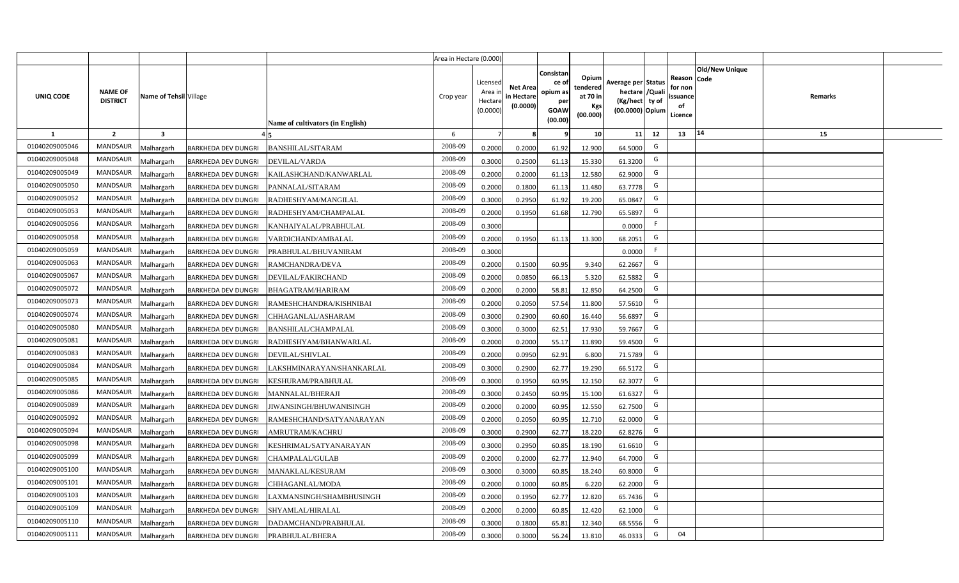|                |                                   |                        |                                     |                                  | Area in Hectare (0.000) |                                           |                                           |                                                                 |                                                  |                                                                            |                                                    |                       |         |  |
|----------------|-----------------------------------|------------------------|-------------------------------------|----------------------------------|-------------------------|-------------------------------------------|-------------------------------------------|-----------------------------------------------------------------|--------------------------------------------------|----------------------------------------------------------------------------|----------------------------------------------------|-----------------------|---------|--|
| UNIQ CODE      | <b>NAME OF</b><br><b>DISTRICT</b> | Name of Tehsil Village |                                     | Name of cultivators (in English) | Crop year               | Licensed<br>Area i<br>Hectare<br>(0.0000) | <b>Net Area</b><br>in Hectare<br>(0.0000) | Consistan<br>ce of<br>opium as<br>per<br><b>GOAW</b><br>(00.00) | Opium<br>tendered<br>at 70 in<br>Kgs<br>(00.000) | Average per Status<br>hectare / Quali<br>(Kg/hect ty of<br>(00.0000) Opium | Reason Code<br>for non<br>ssuance<br>of<br>Licence | <b>Old/New Unique</b> | Remarks |  |
| $\mathbf{1}$   | $\overline{2}$                    | 3                      |                                     |                                  | 6                       | $\overline{7}$                            | 8                                         | 9                                                               | 10 <sup>1</sup>                                  | 11<br>12                                                                   | 13                                                 | 14                    | 15      |  |
| 01040209005046 | MANDSAUR                          | Malhargarh             | <b>BARKHEDA DEV DUNGRI</b>          | <b>BANSHILAL/SITARAM</b>         | 2008-09                 | 0.2000                                    | 0.2000                                    | 61.92                                                           | 12.900                                           | G<br>64.5000                                                               |                                                    |                       |         |  |
| 01040209005048 | <b>MANDSAUR</b>                   | <b>Aalhargarh</b>      | <b>BARKHEDA DEV DUNGRI</b>          | DEVILAL/VARDA                    | 2008-09                 | 0.3000                                    | 0.2500                                    | 61.13                                                           | 15.330                                           | G<br>61.3200                                                               |                                                    |                       |         |  |
| 01040209005049 | MANDSAUR                          | Malhargarh             | BARKHEDA DEV DUNGRI                 | KAILASHCHAND/KANWARLAL           | 2008-09                 | 0.2000                                    | 0.2000                                    | 61.13                                                           | 12.580                                           | G<br>62.9000                                                               |                                                    |                       |         |  |
| 01040209005050 | <b>MANDSAUR</b>                   | Malhargarh             | <b>BARKHEDA DEV DUNGRI</b>          | PANNALAL/SITARAM                 | 2008-09                 | 0.2000                                    | 0.1800                                    | 61.13                                                           | 11.480                                           | G<br>63.7778                                                               |                                                    |                       |         |  |
| 01040209005052 | <b>MANDSAUR</b>                   | Malhargarh             | <b>BARKHEDA DEV DUNGRI</b>          | RADHESHYAM/MANGILAL              | 2008-09                 | 0.3000                                    | 0.2950                                    | 61.92                                                           | 19.200                                           | G<br>65.0847                                                               |                                                    |                       |         |  |
| 01040209005053 | <b>MANDSAUR</b>                   | Malhargarh             | <b>BARKHEDA DEV DUNGRI</b>          | RADHESHYAM/CHAMPALAL             | 2008-09                 | 0.2000                                    | 0.1950                                    | 61.68                                                           | 12.790                                           | G<br>65.5897                                                               |                                                    |                       |         |  |
| 01040209005056 | <b>MANDSAUR</b>                   | Malhargarh             | <b>BARKHEDA DEV DUNGRI</b>          | KANHAIYALAL/PRABHULAL            | 2008-09                 | 0.3000                                    |                                           |                                                                 |                                                  | F<br>0.0000                                                                |                                                    |                       |         |  |
| 01040209005058 | <b>MANDSAUR</b>                   | Malhargarh             | <b>BARKHEDA DEV DUNGRI</b>          | VARDICHAND/AMBALAL               | 2008-09                 | 0.2000                                    | 0.1950                                    | 61.13                                                           | 13.300                                           | G<br>68.2051                                                               |                                                    |                       |         |  |
| 01040209005059 | <b>MANDSAUR</b>                   | Malhargarh             | <b>BARKHEDA DEV DUNGRI</b>          | PRABHULAL/BHUVANIRAM             | 2008-09                 | 0.3000                                    |                                           |                                                                 |                                                  | F<br>0.0000                                                                |                                                    |                       |         |  |
| 01040209005063 | <b>MANDSAUR</b>                   | Malhargarh             | <b>BARKHEDA DEV DUNGRI</b>          | RAMCHANDRA/DEVA                  | 2008-09                 | 0.2000                                    | 0.1500                                    | 60.95                                                           | 9.340                                            | G<br>62.2667                                                               |                                                    |                       |         |  |
| 01040209005067 | <b>MANDSAUR</b>                   | Malhargarh             | <b>BARKHEDA DEV DUNGRI</b>          | DEVILAL/FAKIRCHAND               | 2008-09                 | 0.2000                                    | 0.0850                                    | 66.13                                                           | 5.320                                            | G<br>62.5882                                                               |                                                    |                       |         |  |
| 01040209005072 | <b>MANDSAUR</b>                   | Malhargarh             | <b>BARKHEDA DEV DUNGRI</b>          | BHAGATRAM/HARIRAM                | 2008-09                 | 0.2000                                    | 0.2000                                    | 58.81                                                           | 12.850                                           | G<br>64.2500                                                               |                                                    |                       |         |  |
| 01040209005073 | <b>MANDSAUR</b>                   | Malhargarh             | <b>BARKHEDA DEV DUNGRI</b>          | RAMESHCHANDRA/KISHNIBAI          | 2008-09                 | 0.2000                                    | 0.2050                                    | 57.54                                                           | 11.800                                           | G<br>57.5610                                                               |                                                    |                       |         |  |
| 01040209005074 | <b>MANDSAUR</b>                   | Malhargarh             | <b>BARKHEDA DEV DUNGRI</b>          | CHHAGANLAL/ASHARAM               | 2008-09                 | 0.3000                                    | 0.2900                                    | 60.60                                                           | 16.440                                           | G<br>56.6897                                                               |                                                    |                       |         |  |
| 01040209005080 | <b>MANDSAUR</b>                   | Malhargarh             | <b>BARKHEDA DEV DUNGRI</b>          | <b>BANSHILAL/CHAMPALAL</b>       | 2008-09                 | 0.3000                                    | 0.3000                                    | 62.51                                                           | 17.930                                           | G<br>59.7667                                                               |                                                    |                       |         |  |
| 01040209005081 | <b>MANDSAUR</b>                   | Malhargarh             | <b>BARKHEDA DEV DUNGRI</b>          | RADHESHYAM/BHANWARLAL            | 2008-09                 | 0.2000                                    | 0.2000                                    | 55.17                                                           | 11.890                                           | G<br>59.4500                                                               |                                                    |                       |         |  |
| 01040209005083 | <b>MANDSAUR</b>                   | Malhargarh             | <b>BARKHEDA DEV DUNGRI</b>          | DEVILAL/SHIVLAL                  | 2008-09                 | 0.2000                                    | 0.0950                                    | 62.91                                                           | 6.800                                            | G<br>71.5789                                                               |                                                    |                       |         |  |
| 01040209005084 | <b>MANDSAUR</b>                   | Malhargarh             | <b>BARKHEDA DEV DUNGRI</b>          | LAKSHMINARAYAN/SHANKARLAL        | 2008-09                 | 0.3000                                    | 0.2900                                    | 62.77                                                           | 19.290                                           | G<br>66.5172                                                               |                                                    |                       |         |  |
| 01040209005085 | <b>MANDSAUR</b>                   | Malhargarh             | <b>BARKHEDA DEV DUNGRI</b>          | KESHURAM/PRABHULAL               | 2008-09                 | 0.3000                                    | 0.1950                                    | 60.95                                                           | 12.150                                           | G<br>62.3077                                                               |                                                    |                       |         |  |
| 01040209005086 | <b>MANDSAUR</b>                   | Malhargarh             | <b>BARKHEDA DEV DUNGRI</b>          | MANNALAL/BHERAJI                 | 2008-09                 | 0.3000                                    | 0.2450                                    | 60.95                                                           | 15.100                                           | G<br>61.6327                                                               |                                                    |                       |         |  |
| 01040209005089 | <b>MANDSAUR</b>                   | Malhargarh             | <b>BARKHEDA DEV DUNGRI</b>          | JIWANSINGH/BHUWANISINGH          | 2008-09                 | 0.2000                                    | 0.2000                                    | 60.95                                                           | 12.550                                           | G<br>62.7500                                                               |                                                    |                       |         |  |
| 01040209005092 | <b>MANDSAUR</b>                   | Malhargarh             | <b>BARKHEDA DEV DUNGRI</b>          | RAMESHCHAND/SATYANARAYAN         | 2008-09                 | 0.2000                                    | 0.2050                                    | 60.95                                                           | 12.710                                           | G<br>62.0000                                                               |                                                    |                       |         |  |
| 01040209005094 | <b>MANDSAUR</b>                   | Malhargarh             | BARKHEDA DEV DUNGRI                 | AMRUTRAM/KACHRU                  | 2008-09                 | 0.3000                                    | 0.2900                                    | 62.77                                                           | 18.220                                           | G<br>62.8276                                                               |                                                    |                       |         |  |
| 01040209005098 | <b>MANDSAUR</b>                   | Malhargarh             | <b>BARKHEDA DEV DUNGRI</b>          | KESHRIMAL/SATYANARAYAN           | 2008-09                 | 0.3000                                    | 0.2950                                    | 60.85                                                           | 18.190                                           | G<br>61.6610                                                               |                                                    |                       |         |  |
| 01040209005099 | <b>MANDSAUR</b>                   | Malhargarh             | <b>BARKHEDA DEV DUNGRI</b>          | CHAMPALAL/GULAB                  | 2008-09                 | 0.2000                                    | 0.2000                                    | 62.77                                                           | 12.940                                           | G<br>64.7000                                                               |                                                    |                       |         |  |
| 01040209005100 | MANDSAUR                          | Malhargarh             | <b>BARKHEDA DEV DUNGRI</b>          | <b>MANAKLAL/KESURAM</b>          | 2008-09                 | 0.3000                                    | 0.3000                                    | 60.85                                                           | 18.240                                           | G<br>60.8000                                                               |                                                    |                       |         |  |
| 01040209005101 | MANDSAUR                          | Malhargarh             | <b>BARKHEDA DEV DUNGRI</b>          | CHHAGANLAL/MODA                  | 2008-09                 | 0.2000                                    | 0.1000                                    | 60.85                                                           | 6.220                                            | G<br>62.2000                                                               |                                                    |                       |         |  |
| 01040209005103 | MANDSAUR                          | Malhargarh             | BARKHEDA DEV DUNGRI                 | LAXMANSINGH/SHAMBHUSINGH         | 2008-09                 | 0.2000                                    | 0.1950                                    | 62.77                                                           | 12.820                                           | G<br>65.7436                                                               |                                                    |                       |         |  |
| 01040209005109 | MANDSAUR                          | Malhargarh             | BARKHEDA DEV DUNGRI                 | SHYAMLAL/HIRALAL                 | 2008-09                 | 0.2000                                    | 0.2000                                    | 60.85                                                           | 12.420                                           | G<br>62.1000                                                               |                                                    |                       |         |  |
| 01040209005110 | MANDSAUR                          | Malhargarh             | BARKHEDA DEV DUNGRI                 | DADAMCHAND/PRABHULAL             | 2008-09                 | 0.3000                                    | 0.1800                                    | 65.81                                                           | 12.340                                           | G<br>68.5556                                                               |                                                    |                       |         |  |
| 01040209005111 | MANDSAUR                          | Malhargarh             | BARKHEDA DEV DUNGRI PRABHULAL/BHERA |                                  | 2008-09                 | 0.3000                                    | 0.3000                                    | 56.24                                                           | 13.810                                           | G<br>46.0333                                                               | 04                                                 |                       |         |  |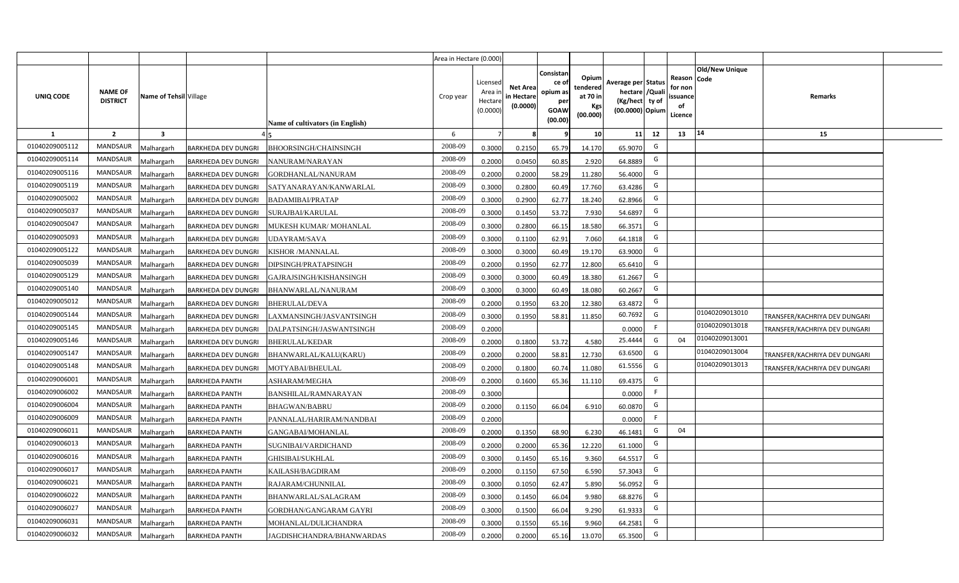|                |                                   |                         |                            |                                  | Area in Hectare (0.000) |                                           |                                    |                                                          |                                                  |                                                                      |              |                                                    |                       |                                      |  |
|----------------|-----------------------------------|-------------------------|----------------------------|----------------------------------|-------------------------|-------------------------------------------|------------------------------------|----------------------------------------------------------|--------------------------------------------------|----------------------------------------------------------------------|--------------|----------------------------------------------------|-----------------------|--------------------------------------|--|
| UNIQ CODE      | <b>NAME OF</b><br><b>DISTRICT</b> | Name of Tehsil Village  |                            | Name of cultivators (in English) | Crop year               | Licensed<br>Area i<br>Hectare<br>(0.0000) | Net Area<br>in Hectare<br>(0.0000) | Consistan<br>ce of<br>opium as<br>peı<br>GOAW<br>(00.00) | Opium<br>tendered<br>at 70 in<br>Kgs<br>(00.000) | Average per Status<br>hectare / Quali<br>(Kg/hect<br>(00.0000) Opium | ty of        | Reason Code<br>for non<br>ssuance<br>of<br>Licence | <b>Old/New Unique</b> | Remarks                              |  |
| 1              | $\overline{2}$                    | $\overline{\mathbf{3}}$ |                            |                                  | 6                       |                                           |                                    |                                                          | 10                                               | 11                                                                   | 12           | 13                                                 | 14                    | 15                                   |  |
| 01040209005112 | <b>MANDSAUR</b>                   | Malhargarh              | BARKHEDA DEV DUNGRI        | BHOORSINGH/CHAINSINGH            | 2008-09                 | 0.3000                                    | 0.2150                             | 65.79                                                    | 14.170                                           | 65.9070                                                              | G            |                                                    |                       |                                      |  |
| 01040209005114 | <b>MANDSAUR</b>                   | Malhargarh              | BARKHEDA DEV DUNGRI        | VANURAM/NARAYAN                  | 2008-09                 | 0.2000                                    | 0.0450                             | 60.85                                                    | 2.920                                            | 64.8889                                                              | G            |                                                    |                       |                                      |  |
| 01040209005116 | <b>MANDSAUR</b>                   | Malhargarh              | BARKHEDA DEV DUNGRI        | GORDHANLAL/NANURAM               | 2008-09                 | 0.2000                                    | 0.2000                             | 58.29                                                    | 11.280                                           | 56.4000                                                              | G            |                                                    |                       |                                      |  |
| 01040209005119 | <b>MANDSAUR</b>                   | Malhargarh              | BARKHEDA DEV DUNGRI        | SATYANARAYAN/KANWARLAL           | 2008-09                 | 0.3000                                    | 0.2800                             | 60.49                                                    | 17.760                                           | 63.4286                                                              | G            |                                                    |                       |                                      |  |
| 01040209005002 | <b>MANDSAUR</b>                   | Malhargarh              | BARKHEDA DEV DUNGRI        | BADAMIBAI/PRATAP                 | 2008-09                 | 0.3000                                    | 0.2900                             | 62.77                                                    | 18.240                                           | 62.8966                                                              | G            |                                                    |                       |                                      |  |
| 01040209005037 | <b>MANDSAUR</b>                   | Malhargarh              | <b>BARKHEDA DEV DUNGRI</b> | SURAJBAI/KARULAL                 | 2008-09                 | 0.3000                                    | 0.1450                             | 53.72                                                    | 7.930                                            | 54.6897                                                              | G            |                                                    |                       |                                      |  |
| 01040209005047 | <b>MANDSAUR</b>                   | Malhargarh              | BARKHEDA DEV DUNGRI        | MUKESH KUMAR/MOHANLAL            | 2008-09                 | 0.3000                                    | 0.2800                             | 66.15                                                    | 18.580                                           | 66.3571                                                              | G            |                                                    |                       |                                      |  |
| 01040209005093 | <b>MANDSAUR</b>                   | Malhargarh              | BARKHEDA DEV DUNGRI        | UDAYRAM/SAVA                     | 2008-09                 | 0.3000                                    | 0.1100                             | 62.91                                                    | 7.060                                            | 64.1818                                                              | G            |                                                    |                       |                                      |  |
| 01040209005122 | <b>MANDSAUR</b>                   | Malhargarh              | <b>BARKHEDA DEV DUNGRI</b> | KISHOR /MANNALAL                 | 2008-09                 | 0.3000                                    | 0.3000                             | 60.49                                                    | 19.170                                           | 63.9000                                                              | G            |                                                    |                       |                                      |  |
| 01040209005039 | <b>MANDSAUR</b>                   | Malhargarh              | <b>BARKHEDA DEV DUNGRI</b> | DIPSINGH/PRATAPSINGH             | 2008-09                 | 0.2000                                    | 0.1950                             | 62.77                                                    | 12.800                                           | 65.6410                                                              | G            |                                                    |                       |                                      |  |
| 01040209005129 | <b>MANDSAUR</b>                   | Malhargarh              | BARKHEDA DEV DUNGRI        | GAJRAJSINGH/KISHANSINGH          | 2008-09                 | 0.3000                                    | 0.3000                             | 60.49                                                    | 18.380                                           | 61.2667                                                              | G            |                                                    |                       |                                      |  |
| 01040209005140 | <b>MANDSAUR</b>                   | Malhargarh              | BARKHEDA DEV DUNGRI        | BHANWARLAL/NANURAM               | 2008-09                 | 0.3000                                    | 0.3000                             | 60.49                                                    | 18.080                                           | 60.2667                                                              | G            |                                                    |                       |                                      |  |
| 01040209005012 | <b>MANDSAUR</b>                   | Malhargarh              | BARKHEDA DEV DUNGRI        | <b>BHERULAL/DEVA</b>             | 2008-09                 | 0.2000                                    | 0.1950                             | 63.20                                                    | 12.380                                           | 63.4872                                                              | G            |                                                    |                       |                                      |  |
| 01040209005144 | <b>MANDSAUR</b>                   | Malhargarh              | BARKHEDA DEV DUNGRI        | LAXMANSINGH/JASVANTSINGH         | 2008-09                 | 0.3000                                    | 0.1950                             | 58.81                                                    | 11.850                                           | 60.7692                                                              | G            |                                                    | 01040209013010        | <b>TRANSFER/KACHRIYA DEV DUNGARI</b> |  |
| 01040209005145 | <b>MANDSAUR</b>                   | Malhargarh              | BARKHEDA DEV DUNGRI        | DALPATSINGH/JASWANTSINGH         | 2008-09                 | 0.2000                                    |                                    |                                                          |                                                  | 0.0000                                                               | F.           |                                                    | 01040209013018        | <b>TRANSFER/KACHRIYA DEV DUNGARI</b> |  |
| 01040209005146 | <b>MANDSAUR</b>                   | Malhargarh              | BARKHEDA DEV DUNGRI        | BHERULAL/KEDAR                   | 2008-09                 | 0.2000                                    | 0.1800                             | 53.72                                                    | 4.580                                            | 25.4444                                                              | G            | 04                                                 | 01040209013001        |                                      |  |
| 01040209005147 | <b>MANDSAUR</b>                   | Malhargarh              | BARKHEDA DEV DUNGRI        | BHANWARLAL/KALU(KARU)            | 2008-09                 | 0.2000                                    | 0.2000                             | 58.81                                                    | 12.730                                           | 63.6500                                                              | G            |                                                    | 01040209013004        | RANSFER/KACHRIYA DEV DUNGARI         |  |
| 01040209005148 | <b>MANDSAUR</b>                   | Malhargarh              | <b>BARKHEDA DEV DUNGRI</b> | MOTYABAI/BHEULAL                 | 2008-09                 | 0.2000                                    | 0.1800                             | 60.74                                                    | 11.080                                           | 61.5556                                                              | G            |                                                    | 01040209013013        | RANSFER/KACHRIYA DEV DUNGARI         |  |
| 01040209006001 | <b>MANDSAUR</b>                   | Malhargarh              | <b>BARKHEDA PANTH</b>      | ASHARAM/MEGHA                    | 2008-09                 | 0.2000                                    | 0.1600                             | 65.36                                                    | 11.110                                           | 69.4375                                                              | $\mathsf{G}$ |                                                    |                       |                                      |  |
| 01040209006002 | <b>MANDSAUR</b>                   | <b>Malhargarh</b>       | <b>BARKHEDA PANTH</b>      | BANSHILAL/RAMNARAYAN             | 2008-09                 | 0.3000                                    |                                    |                                                          |                                                  | 0.0000                                                               | F.           |                                                    |                       |                                      |  |
| 01040209006004 | <b>MANDSAUR</b>                   | Malhargarh              | <b>BARKHEDA PANTH</b>      | <b>BHAGWAN/BABRU</b>             | 2008-09                 | 0.2000                                    | 0.1150                             | 66.04                                                    | 6.910                                            | 60.0870                                                              | G            |                                                    |                       |                                      |  |
| 01040209006009 | <b>MANDSAUR</b>                   | Malhargarh              | <b>BARKHEDA PANTH</b>      | PANNALAL/HARIRAM/NANDBAI         | 2008-09                 | 0.2000                                    |                                    |                                                          |                                                  | 0.0000                                                               | F.           |                                                    |                       |                                      |  |
| 01040209006011 | <b>MANDSAUR</b>                   | Malhargarh              | <b>BARKHEDA PANTH</b>      | GANGABAI/MOHANLAL                | 2008-09                 | 0.2000                                    | 0.1350                             | 68.90                                                    | 6.230                                            | 46.1481                                                              | G            | 04                                                 |                       |                                      |  |
| 01040209006013 | <b>MANDSAUR</b>                   | Malhargarh              | <b>BARKHEDA PANTH</b>      | SUGNIBAI/VARDICHAND              | 2008-09                 | 0.2000                                    | 0.2000                             | 65.36                                                    | 12.220                                           | 61.1000                                                              | G            |                                                    |                       |                                      |  |
| 01040209006016 | <b>MANDSAUR</b>                   | Malhargarh              | <b>BARKHEDA PANTH</b>      | GHISIBAI/SUKHLAL                 | 2008-09                 | 0.3000                                    | 0.1450                             | 65.16                                                    | 9.360                                            | 64.5517                                                              | G            |                                                    |                       |                                      |  |
| 01040209006017 | <b>MANDSAUR</b>                   | Malhargarh              | <b>BARKHEDA PANTH</b>      | KAILASH/BAGDIRAM                 | 2008-09                 | 0.2000                                    | 0.1150                             | 67.50                                                    | 6.590                                            | 57.3043                                                              | G            |                                                    |                       |                                      |  |
| 01040209006021 | <b>MANDSAUR</b>                   | Malhargarh              | <b>BARKHEDA PANTH</b>      | RAJARAM/CHUNNILAL                | 2008-09                 | 0.3000                                    | 0.1050                             | 62.47                                                    | 5.890                                            | 56.0952                                                              | G            |                                                    |                       |                                      |  |
| 01040209006022 | <b>MANDSAUR</b>                   | Malhargarh              | <b>BARKHEDA PANTH</b>      | BHANWARLAL/SALAGRAM              | 2008-09                 | 0.3000                                    | 0.1450                             | 66.04                                                    | 9.980                                            | 68.8276                                                              | G            |                                                    |                       |                                      |  |
| 01040209006027 | <b>MANDSAUR</b>                   | Malhargarh              | <b>BARKHEDA PANTH</b>      | GORDHAN/GANGARAM GAYRI           | 2008-09                 | 0.3000                                    | 0.1500                             | 66.04                                                    | 9.290                                            | 61.9333                                                              | G            |                                                    |                       |                                      |  |
| 01040209006031 | <b>MANDSAUR</b>                   | Malhargarh              | <b>BARKHEDA PANTH</b>      | MOHANLAL/DULICHANDRA             | 2008-09                 | 0.3000                                    | 0.1550                             | 65.16                                                    | 9.960                                            | 64.2581                                                              | G            |                                                    |                       |                                      |  |
| 01040209006032 | <b>MANDSAUR</b>                   | Malhargarh              | <b>BARKHEDA PANTH</b>      | JAGDISHCHANDRA/BHANWARDAS        | 2008-09                 | 0.2000                                    | 0.2000                             | 65.16                                                    | 13.070                                           | 65.3500                                                              | G            |                                                    |                       |                                      |  |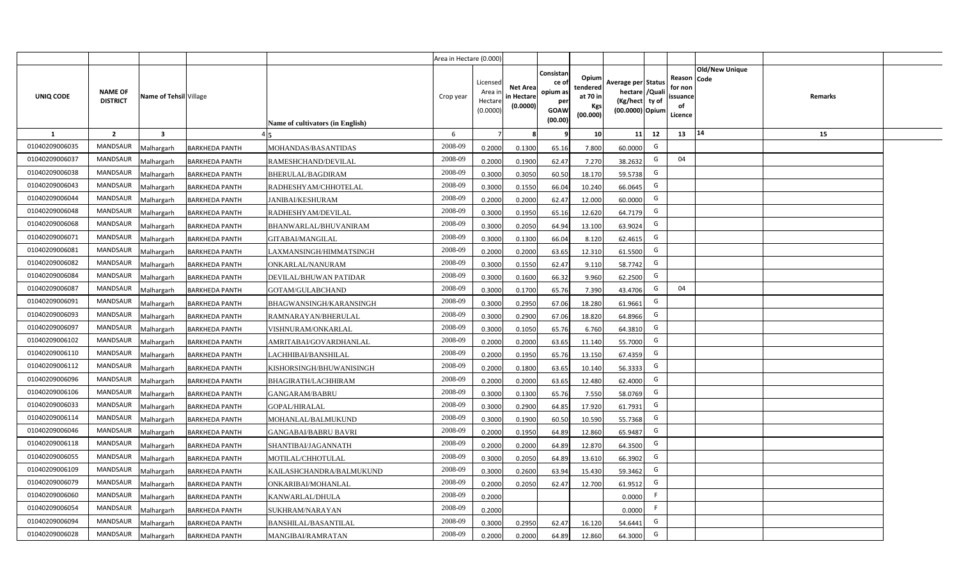|                |                                   |                         |                       |                                  | Area in Hectare (0.000) |                                            |                                           |                                                                |                                                  |                                                                            |    |                                                     |                       |         |  |
|----------------|-----------------------------------|-------------------------|-----------------------|----------------------------------|-------------------------|--------------------------------------------|-------------------------------------------|----------------------------------------------------------------|--------------------------------------------------|----------------------------------------------------------------------------|----|-----------------------------------------------------|-----------------------|---------|--|
| UNIQ CODE      | <b>NAME OF</b><br><b>DISTRICT</b> | Name of Tehsil Village  |                       | Name of cultivators (in English) | Crop year               | Licensed<br>Area in<br>Hectare<br>(0.0000) | <b>Net Area</b><br>in Hectare<br>(0.0000) | Consistan<br>ce o<br>opium as<br>per<br><b>GOAW</b><br>(00.00) | Opium<br>tendered<br>at 70 in<br>Kgs<br>(00.000) | Average per Status<br>hectare / Quali<br>(Kg/hect ty of<br>(00.0000) Opium |    | Reason Code<br>for non<br>issuance<br>of<br>Licence | <b>Old/New Unique</b> | Remarks |  |
| $\mathbf{1}$   | $\overline{2}$                    | $\overline{\mathbf{3}}$ |                       |                                  | 6                       | $\overline{7}$                             | -8                                        | 9                                                              | 10                                               | 11                                                                         | 12 | 13                                                  | 14                    | 15      |  |
| 01040209006035 | MANDSAUR                          | <b>Malhargarh</b>       | <b>BARKHEDA PANTH</b> | MOHANDAS/BASANTIDAS              | 2008-09                 | 0.2000                                     | 0.1300                                    | 65.16                                                          | 7.800                                            | 60.0000                                                                    | G  |                                                     |                       |         |  |
| 01040209006037 | <b>MANDSAUR</b>                   | <b>Malhargarh</b>       | <b>BARKHEDA PANTH</b> | RAMESHCHAND/DEVILAL              | 2008-09                 | 0.2000                                     | 0.1900                                    | 62.47                                                          | 7.270                                            | 38.2632                                                                    | G  | 04                                                  |                       |         |  |
| 01040209006038 | <b>MANDSAUR</b>                   | <b>Malhargarh</b>       | <b>BARKHEDA PANTH</b> | BHERULAL/BAGDIRAM                | 2008-09                 | 0.3000                                     | 0.3050                                    | 60.50                                                          | 18.170                                           | 59.5738                                                                    | G  |                                                     |                       |         |  |
| 01040209006043 | <b>MANDSAUR</b>                   | <b>Malhargarh</b>       | <b>BARKHEDA PANTH</b> | RADHESHYAM/CHHOTELAL             | 2008-09                 | 0.3000                                     | 0.1550                                    | 66.04                                                          | 10.240                                           | 66.0645                                                                    | G  |                                                     |                       |         |  |
| 01040209006044 | <b>MANDSAUR</b>                   | <b>Malhargarh</b>       | <b>BARKHEDA PANTH</b> | <b>JANIBAI/KESHURAM</b>          | 2008-09                 | 0.2000                                     | 0.2000                                    | 62.47                                                          | 12.000                                           | 60.0000                                                                    | G  |                                                     |                       |         |  |
| 01040209006048 | <b>MANDSAUR</b>                   | <b>Malhargarh</b>       | <b>BARKHEDA PANTH</b> | RADHESHYAM/DEVILAL               | 2008-09                 | 0.3000                                     | 0.1950                                    | 65.16                                                          | 12.620                                           | 64.7179                                                                    | G  |                                                     |                       |         |  |
| 01040209006068 | <b>MANDSAUR</b>                   | <b>Malhargarh</b>       | <b>BARKHEDA PANTH</b> | BHANWARLAL/BHUVANIRAM            | 2008-09                 | 0.3000                                     | 0.2050                                    | 64.94                                                          | 13.100                                           | 63.9024                                                                    | G  |                                                     |                       |         |  |
| 01040209006071 | <b>MANDSAUR</b>                   | <b>Malhargarh</b>       | <b>BARKHEDA PANTH</b> | GITABAI/MANGILAL                 | 2008-09                 | 0.3000                                     | 0.1300                                    | 66.04                                                          | 8.120                                            | 62.4615                                                                    | G  |                                                     |                       |         |  |
| 01040209006081 | <b>MANDSAUR</b>                   | <b>Malhargarh</b>       | <b>BARKHEDA PANTH</b> | LAXMANSINGH/HIMMATSINGH          | 2008-09                 | 0.2000                                     | 0.2000                                    | 63.65                                                          | 12.310                                           | 61.5500                                                                    | G  |                                                     |                       |         |  |
| 01040209006082 | <b>MANDSAUR</b>                   | <b>Malhargarh</b>       | <b>BARKHEDA PANTH</b> | ONKARLAL/NANURAM                 | 2008-09                 | 0.3000                                     | 0.1550                                    | 62.47                                                          | 9.110                                            | 58.7742                                                                    | G  |                                                     |                       |         |  |
| 01040209006084 | <b>MANDSAUR</b>                   | <b>Malhargarh</b>       | <b>BARKHEDA PANTH</b> | DEVILAL/BHUWAN PATIDAR           | 2008-09                 | 0.3000                                     | 0.1600                                    | 66.32                                                          | 9.960                                            | 62.2500                                                                    | G  |                                                     |                       |         |  |
| 01040209006087 | <b>MANDSAUR</b>                   | <b>Malhargarh</b>       | <b>BARKHEDA PANTH</b> | GOTAM/GULABCHAND                 | 2008-09                 | 0.3000                                     | 0.1700                                    | 65.76                                                          | 7.390                                            | 43.4706                                                                    | G  | 04                                                  |                       |         |  |
| 01040209006091 | <b>MANDSAUR</b>                   | <b>Malhargarh</b>       | <b>BARKHEDA PANTH</b> | BHAGWANSINGH/KARANSINGH          | 2008-09                 | 0.3000                                     | 0.2950                                    | 67.06                                                          | 18.280                                           | 61.9661                                                                    | G  |                                                     |                       |         |  |
| 01040209006093 | <b>MANDSAUR</b>                   | Malhargarh              | <b>BARKHEDA PANTH</b> | RAMNARAYAN/BHERULAL              | 2008-09                 | 0.3000                                     | 0.2900                                    | 67.06                                                          | 18.820                                           | 64.8966                                                                    | G  |                                                     |                       |         |  |
| 01040209006097 | <b>MANDSAUR</b>                   | Malhargarh              | <b>BARKHEDA PANTH</b> | VISHNURAM/ONKARLAL               | 2008-09                 | 0.3000                                     | 0.1050                                    | 65.76                                                          | 6.760                                            | 64.3810                                                                    | G  |                                                     |                       |         |  |
| 01040209006102 | MANDSAUR                          | Malhargarh              | <b>BARKHEDA PANTH</b> | AMRITABAI/GOVARDHANLAL           | 2008-09                 | 0.2000                                     | 0.2000                                    | 63.65                                                          | 11.140                                           | 55.7000                                                                    | G  |                                                     |                       |         |  |
| 01040209006110 | <b>MANDSAUR</b>                   | <b>Malhargarh</b>       | <b>BARKHEDA PANTH</b> | LACHHIBAI/BANSHILAL              | 2008-09                 | 0.2000                                     | 0.1950                                    | 65.76                                                          | 13.150                                           | 67.4359                                                                    | G  |                                                     |                       |         |  |
| 01040209006112 | MANDSAUR                          | <b>Malhargarh</b>       | <b>BARKHEDA PANTH</b> | KISHORSINGH/BHUWANISINGH         | 2008-09                 | 0.2000                                     | 0.1800                                    | 63.65                                                          | 10.140                                           | 56.3333                                                                    | G  |                                                     |                       |         |  |
| 01040209006096 | <b>MANDSAUR</b>                   | <b>Malhargarh</b>       | <b>BARKHEDA PANTH</b> | <b>BHAGIRATH/LACHHIRAM</b>       | 2008-09                 | 0.2000                                     | 0.2000                                    | 63.65                                                          | 12.480                                           | 62.4000                                                                    | G  |                                                     |                       |         |  |
| 01040209006106 | <b>MANDSAUR</b>                   | Malhargarh              | <b>BARKHEDA PANTH</b> | GANGARAM/BABRU                   | 2008-09                 | 0.3000                                     | 0.1300                                    | 65.76                                                          | 7.550                                            | 58.0769                                                                    | G  |                                                     |                       |         |  |
| 01040209006033 | MANDSAUR                          | <b>Malhargarh</b>       | <b>BARKHEDA PANTH</b> | <b>GOPAL/HIRALAL</b>             | 2008-09                 | 0.3000                                     | 0.2900                                    | 64.85                                                          | 17.920                                           | 61.7931                                                                    | G  |                                                     |                       |         |  |
| 01040209006114 | MANDSAUR                          | <b>Malhargarh</b>       | <b>BARKHEDA PANTH</b> | MOHANLAL/BALMUKUND               | 2008-09                 | 0.3000                                     | 0.1900                                    | 60.50                                                          | 10.590                                           | 55.7368                                                                    | G  |                                                     |                       |         |  |
| 01040209006046 | <b>MANDSAUR</b>                   | Aalhargarh              | <b>BARKHEDA PANTH</b> | <b>GANGABAI/BABRU BAVRI</b>      | 2008-09                 | 0.2000                                     | 0.1950                                    | 64.89                                                          | 12.860                                           | 65.9487                                                                    | G  |                                                     |                       |         |  |
| 01040209006118 | <b>MANDSAUR</b>                   | <b>Malhargarh</b>       | <b>BARKHEDA PANTH</b> | SHANTIBAI/JAGANNATH              | 2008-09                 | 0.2000                                     | 0.2000                                    | 64.89                                                          | 12.870                                           | 64.3500                                                                    | G  |                                                     |                       |         |  |
| 01040209006055 | <b>MANDSAUR</b>                   | <b>Malhargarh</b>       | <b>BARKHEDA PANTH</b> | MOTILAL/CHHOTULAL                | 2008-09                 | 0.3000                                     | 0.2050                                    | 64.89                                                          | 13.610                                           | 66.3902                                                                    | G  |                                                     |                       |         |  |
| 01040209006109 | MANDSAUR                          | <b>Malhargarh</b>       | <b>BARKHEDA PANTH</b> | KAILASHCHANDRA/BALMUKUND         | 2008-09                 | 0.3000                                     | 0.2600                                    | 63.94                                                          | 15.430                                           | 59.3462                                                                    | G  |                                                     |                       |         |  |
| 01040209006079 | <b>MANDSAUR</b>                   | <b>Malhargarh</b>       | <b>BARKHEDA PANTH</b> | ONKARIBAI/MOHANLAL               | 2008-09                 | 0.2000                                     | 0.2050                                    | 62.47                                                          | 12.700                                           | 61.9512                                                                    | G  |                                                     |                       |         |  |
| 01040209006060 | <b>MANDSAUR</b>                   | <b>Malhargarh</b>       | <b>BARKHEDA PANTH</b> | KANWARLAL/DHULA                  | 2008-09                 | 0.2000                                     |                                           |                                                                |                                                  | 0.0000                                                                     | F  |                                                     |                       |         |  |
| 01040209006054 | <b>MANDSAUR</b>                   | <b>Malhargarh</b>       | <b>BARKHEDA PANTH</b> | SUKHRAM/NARAYAN                  | 2008-09                 | 0.2000                                     |                                           |                                                                |                                                  | 0.0000                                                                     | F  |                                                     |                       |         |  |
| 01040209006094 | <b>MANDSAUR</b>                   | <b>Malhargarh</b>       | <b>BARKHEDA PANTH</b> | <b>BANSHILAL/BASANTILAL</b>      | 2008-09                 | 0.3000                                     | 0.2950                                    | 62.47                                                          | 16.120                                           | 54.6441                                                                    | G  |                                                     |                       |         |  |
| 01040209006028 | MANDSAUR                          | Malhargarh              | <b>BARKHEDA PANTH</b> | MANGIBAI/RAMRATAN                | 2008-09                 | 0.2000                                     | 0.2000                                    | 64.89                                                          | 12.860                                           | 64.3000                                                                    | G  |                                                     |                       |         |  |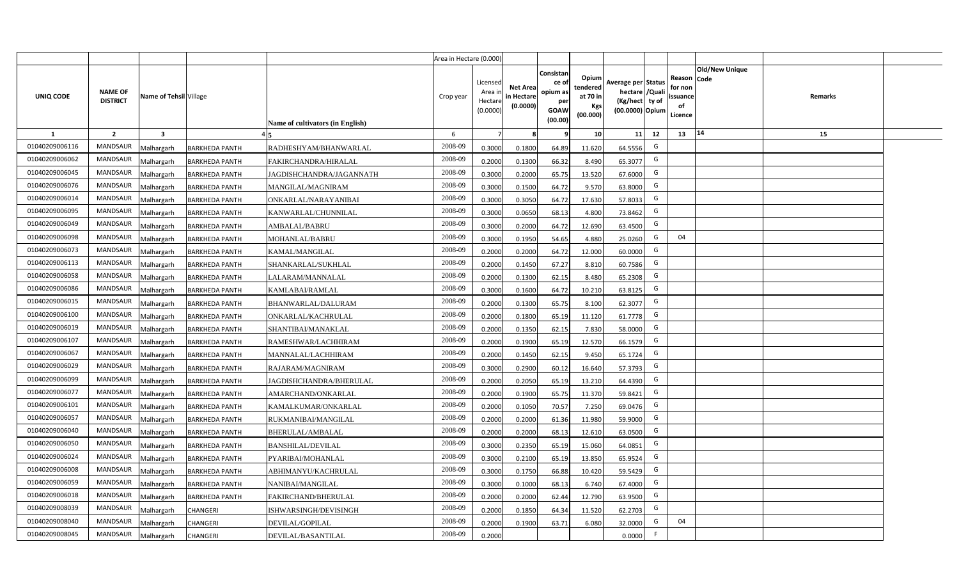|                |                                   |                         |                       |                                  | Area in Hectare (0.000) |                                            |                                           |                                                                |                                                  |                                                                            |    |                                                                              |         |  |
|----------------|-----------------------------------|-------------------------|-----------------------|----------------------------------|-------------------------|--------------------------------------------|-------------------------------------------|----------------------------------------------------------------|--------------------------------------------------|----------------------------------------------------------------------------|----|------------------------------------------------------------------------------|---------|--|
| UNIQ CODE      | <b>NAME OF</b><br><b>DISTRICT</b> | Name of Tehsil Village  |                       | Name of cultivators (in English) | Crop year               | Licensed<br>Area in<br>Hectare<br>(0.0000) | <b>Net Area</b><br>in Hectare<br>(0.0000) | Consistan<br>ce o<br>opium as<br>per<br><b>GOAW</b><br>(00.00) | Opium<br>tendered<br>at 70 in<br>Kgs<br>(00.000) | Average per Status<br>hectare / Quali<br>(Kg/hect ty of<br>(00.0000) Opium |    | <b>Old/New Unique</b><br>Reason Code<br>for non<br>issuance<br>of<br>Licence | Remarks |  |
| $\mathbf{1}$   | $\overline{2}$                    | $\overline{\mathbf{3}}$ |                       |                                  | 6                       | $\overline{7}$                             | -8                                        | ٩                                                              | 10                                               | 11                                                                         | 12 | 14<br>13                                                                     | 15      |  |
| 01040209006116 | MANDSAUR                          | <b>Malhargarh</b>       | <b>BARKHEDA PANTH</b> | RADHESHYAM/BHANWARLAL            | 2008-09                 | 0.3000                                     | 0.1800                                    | 64.89                                                          | 11.620                                           | 64.5556                                                                    | G  |                                                                              |         |  |
| 01040209006062 | <b>MANDSAUR</b>                   | <b>Malhargarh</b>       | <b>BARKHEDA PANTH</b> | FAKIRCHANDRA/HIRALAL             | 2008-09                 | 0.2000                                     | 0.1300                                    | 66.32                                                          | 8.490                                            | 65.3077                                                                    | G  |                                                                              |         |  |
| 01040209006045 | <b>MANDSAUR</b>                   | <b>Malhargarh</b>       | <b>BARKHEDA PANTH</b> | JAGDISHCHANDRA/JAGANNATH         | 2008-09                 | 0.3000                                     | 0.2000                                    | 65.75                                                          | 13.520                                           | 67.6000                                                                    | G  |                                                                              |         |  |
| 01040209006076 | <b>MANDSAUR</b>                   | <b>Malhargarh</b>       | <b>BARKHEDA PANTH</b> | MANGILAL/MAGNIRAM                | 2008-09                 | 0.3000                                     | 0.1500                                    | 64.72                                                          | 9.570                                            | 63.8000                                                                    | G  |                                                                              |         |  |
| 01040209006014 | <b>MANDSAUR</b>                   | <b>Malhargarh</b>       | <b>BARKHEDA PANTH</b> | ONKARLAL/NARAYANIBAI             | 2008-09                 | 0.3000                                     | 0.3050                                    | 64.72                                                          | 17.630                                           | 57.8033                                                                    | G  |                                                                              |         |  |
| 01040209006095 | <b>MANDSAUR</b>                   | <b>Malhargarh</b>       | <b>BARKHEDA PANTH</b> | KANWARLAL/CHUNNILAL              | 2008-09                 | 0.3000                                     | 0.0650                                    | 68.13                                                          | 4.800                                            | 73.8462                                                                    | G  |                                                                              |         |  |
| 01040209006049 | <b>MANDSAUR</b>                   | <b>Malhargarh</b>       | <b>BARKHEDA PANTH</b> | AMBALAL/BABRU                    | 2008-09                 | 0.3000                                     | 0.2000                                    | 64.72                                                          | 12.690                                           | 63.4500                                                                    | G  |                                                                              |         |  |
| 01040209006098 | <b>MANDSAUR</b>                   | <b>Malhargarh</b>       | <b>BARKHEDA PANTH</b> | MOHANLAL/BABRU                   | 2008-09                 | 0.3000                                     | 0.1950                                    | 54.65                                                          | 4.880                                            | 25.0260                                                                    | G  | 04                                                                           |         |  |
| 01040209006073 | <b>MANDSAUR</b>                   | <b>Malhargarh</b>       | <b>BARKHEDA PANTH</b> | KAMAL/MANGILAL                   | 2008-09                 | 0.2000                                     | 0.2000                                    | 64.72                                                          | 12.000                                           | 60.0000                                                                    | G  |                                                                              |         |  |
| 01040209006113 | <b>MANDSAUR</b>                   | <b>Malhargarh</b>       | <b>BARKHEDA PANTH</b> | SHANKARLAL/SUKHLAL               | 2008-09                 | 0.2000                                     | 0.1450                                    | 67.27                                                          | 8.810                                            | 60.7586                                                                    | G  |                                                                              |         |  |
| 01040209006058 | <b>MANDSAUR</b>                   | <b>Malhargarh</b>       | <b>BARKHEDA PANTH</b> | LALARAM/MANNALAL                 | 2008-09                 | 0.2000                                     | 0.1300                                    | 62.15                                                          | 8.480                                            | 65.2308                                                                    | G  |                                                                              |         |  |
| 01040209006086 | <b>MANDSAUR</b>                   | <b>Malhargarh</b>       | <b>BARKHEDA PANTH</b> | KAMLABAI/RAMLAL                  | 2008-09                 | 0.3000                                     | 0.1600                                    | 64.72                                                          | 10.210                                           | 63.8125                                                                    | G  |                                                                              |         |  |
| 01040209006015 | <b>MANDSAUR</b>                   | <b>Malhargarh</b>       | <b>BARKHEDA PANTH</b> | BHANWARLAL/DALURAM               | 2008-09                 | 0.2000                                     | 0.1300                                    | 65.75                                                          | 8.100                                            | 62.3077                                                                    | G  |                                                                              |         |  |
| 01040209006100 | <b>MANDSAUR</b>                   | Malhargarh              | <b>BARKHEDA PANTH</b> | ONKARLAL/KACHRULAL               | 2008-09                 | 0.2000                                     | 0.1800                                    | 65.19                                                          | 11.120                                           | 61.7778                                                                    | G  |                                                                              |         |  |
| 01040209006019 | <b>MANDSAUR</b>                   | Malhargarh              | <b>BARKHEDA PANTH</b> | SHANTIBAI/MANAKLAL               | 2008-09                 | 0.2000                                     | 0.1350                                    | 62.15                                                          | 7.830                                            | 58.0000                                                                    | G  |                                                                              |         |  |
| 01040209006107 | MANDSAUR                          | Malhargarh              | <b>BARKHEDA PANTH</b> | RAMESHWAR/LACHHIRAM              | 2008-09                 | 0.2000                                     | 0.1900                                    | 65.19                                                          | 12.570                                           | 66.1579                                                                    | G  |                                                                              |         |  |
| 01040209006067 | <b>MANDSAUR</b>                   | <b>Malhargarh</b>       | <b>BARKHEDA PANTH</b> | MANNALAL/LACHHIRAM               | 2008-09                 | 0.2000                                     | 0.1450                                    | 62.15                                                          | 9.450                                            | 65.1724                                                                    | G  |                                                                              |         |  |
| 01040209006029 | MANDSAUR                          | <b>Malhargarh</b>       | <b>BARKHEDA PANTH</b> | RAJARAM/MAGNIRAM                 | 2008-09                 | 0.3000                                     | 0.2900                                    | 60.12                                                          | 16.640                                           | 57.3793                                                                    | G  |                                                                              |         |  |
| 01040209006099 | <b>MANDSAUR</b>                   | <b>Malhargarh</b>       | <b>BARKHEDA PANTH</b> | JAGDISHCHANDRA/BHERULAL          | 2008-09                 | 0.2000                                     | 0.2050                                    | 65.19                                                          | 13.210                                           | 64.4390                                                                    | G  |                                                                              |         |  |
| 01040209006077 | <b>MANDSAUR</b>                   | Malhargarh              | <b>BARKHEDA PANTH</b> | AMARCHAND/ONKARLAL               | 2008-09                 | 0.2000                                     | 0.1900                                    | 65.75                                                          | 11.370                                           | 59.8421                                                                    | G  |                                                                              |         |  |
| 01040209006101 | <b>MANDSAUR</b>                   | <b>Malhargarh</b>       | <b>BARKHEDA PANTH</b> | KAMALKUMAR/ONKARLAL              | 2008-09                 | 0.2000                                     | 0.1050                                    | 70.57                                                          | 7.250                                            | 69.0476                                                                    | G  |                                                                              |         |  |
| 01040209006057 | MANDSAUR                          | <b>Malhargarh</b>       | <b>BARKHEDA PANTH</b> | RUKMANIBAI/MANGILAL              | 2008-09                 | 0.2000                                     | 0.2000                                    | 61.36                                                          | 11.980                                           | 59.9000                                                                    | G  |                                                                              |         |  |
| 01040209006040 | <b>MANDSAUR</b>                   | Aalhargarh              | <b>BARKHEDA PANTH</b> | BHERULAL/AMBALAL                 | 2008-09                 | 0.2000                                     | 0.2000                                    | 68.13                                                          | 12.610                                           | 63.0500                                                                    | G  |                                                                              |         |  |
| 01040209006050 | <b>MANDSAUR</b>                   | <b>Malhargarh</b>       | <b>BARKHEDA PANTH</b> | <b>BANSHILAL/DEVILAL</b>         | 2008-09                 | 0.3000                                     | 0.2350                                    | 65.19                                                          | 15.060                                           | 64.0851                                                                    | G  |                                                                              |         |  |
| 01040209006024 | <b>MANDSAUR</b>                   | <b>Malhargarh</b>       | <b>BARKHEDA PANTH</b> | PYARIBAI/MOHANLAL                | 2008-09                 | 0.3000                                     | 0.2100                                    | 65.19                                                          | 13.850                                           | 65.9524                                                                    | G  |                                                                              |         |  |
| 01040209006008 | MANDSAUR                          | <b>Malhargarh</b>       | <b>BARKHEDA PANTH</b> | ABHIMANYU/KACHRULAL              | 2008-09                 | 0.3000                                     | 0.1750                                    | 66.88                                                          | 10.420                                           | 59.5429                                                                    | G  |                                                                              |         |  |
| 01040209006059 | <b>MANDSAUR</b>                   | <b>Malhargarh</b>       | <b>BARKHEDA PANTH</b> | NANIBAI/MANGILAL                 | 2008-09                 | 0.3000                                     | 0.1000                                    | 68.13                                                          | 6.740                                            | 67.4000                                                                    | G  |                                                                              |         |  |
| 01040209006018 | <b>MANDSAUR</b>                   | <b>Malhargarh</b>       | <b>BARKHEDA PANTH</b> | FAKIRCHAND/BHERULAL              | 2008-09                 | 0.2000                                     | 0.2000                                    | 62.44                                                          | 12.790                                           | 63.9500                                                                    | G  |                                                                              |         |  |
| 01040209008039 | <b>MANDSAUR</b>                   | <b>Malhargarh</b>       | CHANGERI              | ISHWARSINGH/DEVISINGH            | 2008-09                 | 0.2000                                     | 0.1850                                    | 64.34                                                          | 11.520                                           | 62.2703                                                                    | G  |                                                                              |         |  |
| 01040209008040 | <b>MANDSAUR</b>                   | <b>Malhargarh</b>       | CHANGERI              | DEVILAL/GOPILAL                  | 2008-09                 | 0.2000                                     | 0.1900                                    | 63.71                                                          | 6.080                                            | 32.0000                                                                    | G  | 04                                                                           |         |  |
| 01040209008045 | MANDSAUR                          | Malhargarh              | CHANGERI              | DEVILAL/BASANTILAL               | 2008-09                 | 0.2000                                     |                                           |                                                                |                                                  | 0.0000                                                                     | F. |                                                                              |         |  |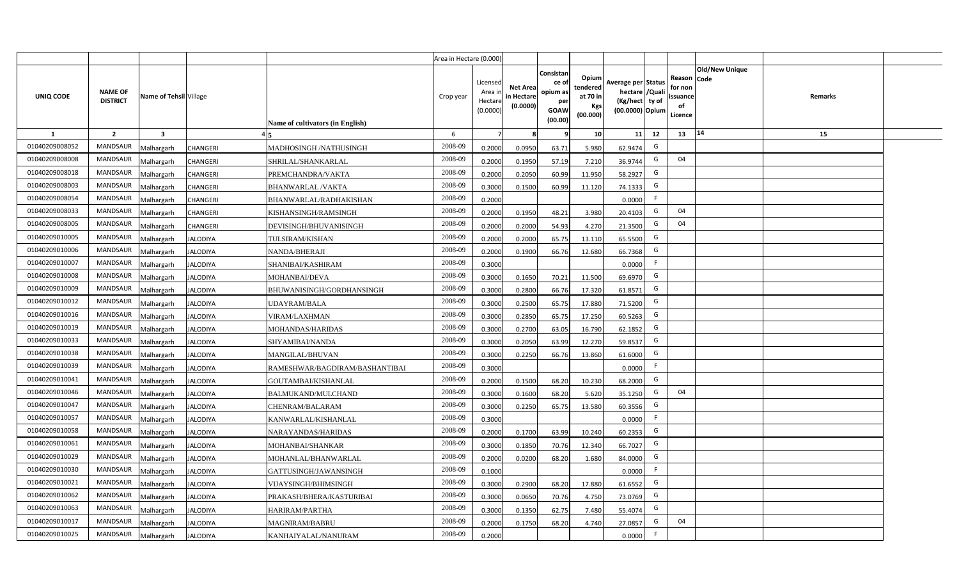|                |                                   |                         |                                                   | Area in Hectare (0.000) |                                            |                                           |                                                         |                                                  |                                                                            |    |                                                     |                       |         |  |
|----------------|-----------------------------------|-------------------------|---------------------------------------------------|-------------------------|--------------------------------------------|-------------------------------------------|---------------------------------------------------------|--------------------------------------------------|----------------------------------------------------------------------------|----|-----------------------------------------------------|-----------------------|---------|--|
| UNIQ CODE      | <b>NAME OF</b><br><b>DISTRICT</b> | Name of Tehsil Village  | Name of cultivators (in English)                  | Crop year               | Licensed<br>Area ir<br>Hectare<br>(0.0000) | <b>Net Area</b><br>in Hectare<br>(0.0000) | Consistar<br>ce o<br>opium as<br>per<br>GOAW<br>(00.00) | Opium<br>tendered<br>at 70 in<br>Kgs<br>(00.000) | Average per Status<br>hectare / Quali<br>(Kg/hect ty of<br>(00.0000) Opium |    | Reason Code<br>for non<br>issuance<br>of<br>Licence | <b>Old/New Unique</b> | Remarks |  |
| $\mathbf{1}$   | $\overline{2}$                    | $\overline{\mathbf{3}}$ |                                                   | 6                       | $\overline{7}$                             |                                           |                                                         | 10                                               | 11                                                                         | 12 | 13                                                  | 14                    | 15      |  |
| 01040209008052 | <b>MANDSAUR</b>                   | <b>Aalhargarh</b>       | CHANGERI<br>MADHOSINGH /NATHUSINGH                | 2008-09                 | 0.2000                                     | 0.0950                                    | 63.71                                                   | 5.980                                            | 62.9474                                                                    | G  |                                                     |                       |         |  |
| 01040209008008 | <b>MANDSAUR</b>                   | <b>Malhargarh</b>       | CHANGERI<br>SHRILAL/SHANKARLAL                    | 2008-09                 | 0.2000                                     | 0.1950                                    | 57.19                                                   | 7.210                                            | 36.9744                                                                    | G  | 04                                                  |                       |         |  |
| 01040209008018 | <b>MANDSAUR</b>                   | <b>Malhargarh</b>       | CHANGERI<br>PREMCHANDRA/VAKTA                     | 2008-09                 | 0.2000                                     | 0.2050                                    | 60.99                                                   | 11.950                                           | 58.2927                                                                    | G  |                                                     |                       |         |  |
| 01040209008003 | <b>MANDSAUR</b>                   | <b>Malhargarh</b>       | CHANGERI<br><b>BHANWARLAL/VAKTA</b>               | 2008-09                 | 0.3000                                     | 0.1500                                    | 60.99                                                   | 11.120                                           | 74.1333                                                                    | G  |                                                     |                       |         |  |
| 01040209008054 | MANDSAUR                          | <b>Malhargarh</b>       | CHANGERI<br>BHANWARLAL/RADHAKISHAN                | 2008-09                 | 0.2000                                     |                                           |                                                         |                                                  | 0.0000                                                                     | F. |                                                     |                       |         |  |
| 01040209008033 | <b>MANDSAUR</b>                   | <b>Malhargarh</b>       | CHANGERI<br>KISHANSINGH/RAMSINGH                  | 2008-09                 | 0.2000                                     | 0.1950                                    | 48.21                                                   | 3.980                                            | 20.4103                                                                    | G  | 04                                                  |                       |         |  |
| 01040209008005 | <b>MANDSAUR</b>                   | <b>Malhargarh</b>       | CHANGERI<br>DEVISINGH/BHUVANISINGH                | 2008-09                 | 0.2000                                     | 0.2000                                    | 54.93                                                   | 4.270                                            | 21.3500                                                                    | G  | 04                                                  |                       |         |  |
| 01040209010005 | <b>MANDSAUR</b>                   | <b>Malhargarh</b>       | TULSIRAM/KISHAN<br><b>JALODIYA</b>                | 2008-09                 | 0.2000                                     | 0.2000                                    | 65.75                                                   | 13.110                                           | 65.5500                                                                    | G  |                                                     |                       |         |  |
| 01040209010006 | MANDSAUR                          | <b>Malhargarh</b>       | <b>JALODIYA</b><br>NANDA/BHERAJI                  | 2008-09                 | 0.2000                                     | 0.1900                                    | 66.76                                                   | 12.680                                           | 66.7368                                                                    | G  |                                                     |                       |         |  |
| 01040209010007 | <b>MANDSAUR</b>                   | <b>Malhargarh</b>       | <b>JALODIYA</b><br>SHANIBAI/KASHIRAM              | 2008-09                 | 0.3000                                     |                                           |                                                         |                                                  | 0.0000                                                                     | F  |                                                     |                       |         |  |
| 01040209010008 | <b>MANDSAUR</b>                   | <b>Malhargarh</b>       | <b>JALODIYA</b><br>MOHANBAI/DEVA                  | 2008-09                 | 0.3000                                     | 0.1650                                    | 70.21                                                   | 11.500                                           | 69.697                                                                     | G  |                                                     |                       |         |  |
| 01040209010009 | <b>MANDSAUR</b>                   | <b>Malhargarh</b>       | BHUWANISINGH/GORDHANSINGH<br><b>JALODIYA</b>      | 2008-09                 | 0.3000                                     | 0.2800                                    | 66.76                                                   | 17.320                                           | 61.8571                                                                    | G  |                                                     |                       |         |  |
| 01040209010012 | <b>MANDSAUR</b>                   | <b>Malhargarh</b>       | <b>JALODIYA</b><br>UDAYRAM/BALA                   | 2008-09                 | 0.3000                                     | 0.2500                                    | 65.75                                                   | 17.880                                           | 71.5200                                                                    | G  |                                                     |                       |         |  |
| 01040209010016 | <b>MANDSAUR</b>                   | <b>Malhargarh</b>       | <b>JALODIYA</b><br>VIRAM/LAXHMAN                  | 2008-09                 | 0.3000                                     | 0.2850                                    | 65.75                                                   | 17.250                                           | 60.5263                                                                    | G  |                                                     |                       |         |  |
| 01040209010019 | MANDSAUR                          | <b>Malhargarh</b>       | <b>JALODIYA</b><br>MOHANDAS/HARIDAS               | 2008-09                 | 0.3000                                     | 0.2700                                    | 63.05                                                   | 16.790                                           | 62.1852                                                                    | G  |                                                     |                       |         |  |
| 01040209010033 | <b>MANDSAUR</b>                   | <b>Malhargarh</b>       | <b>JALODIYA</b><br>SHYAMIBAI/NANDA                | 2008-09                 | 0.3000                                     | 0.2050                                    | 63.99                                                   | 12.270                                           | 59.8537                                                                    | G  |                                                     |                       |         |  |
| 01040209010038 | <b>MANDSAUR</b>                   | <b>Malhargarh</b>       | <b>JALODIYA</b><br><b>MANGILAL/BHUVAN</b>         | 2008-09                 | 0.3000                                     | 0.2250                                    | 66.76                                                   | 13.860                                           | 61.6000                                                                    | G  |                                                     |                       |         |  |
| 01040209010039 | <b>MANDSAUR</b>                   | Malhargarh              | <b>JALODIYA</b><br>RAMESHWAR/BAGDIRAM/BASHANTIBAI | 2008-09                 | 0.3000                                     |                                           |                                                         |                                                  | 0.0000                                                                     | F  |                                                     |                       |         |  |
| 01040209010041 | <b>MANDSAUR</b>                   | <b>Malhargarh</b>       | <b>JALODIYA</b><br>GOUTAMBAI/KISHANLAL            | 2008-09                 | 0.2000                                     | 0.1500                                    | 68.20                                                   | 10.230                                           | 68.2000                                                                    | G  |                                                     |                       |         |  |
| 01040209010046 | <b>MANDSAUR</b>                   | <b>Malhargarh</b>       | <b>JALODIYA</b><br>BALMUKAND/MULCHAND             | 2008-09                 | 0.3000                                     | 0.1600                                    | 68.20                                                   | 5.620                                            | 35.1250                                                                    | G  | 04                                                  |                       |         |  |
| 01040209010047 | <b>MANDSAUR</b>                   | <b>Malhargarh</b>       | <b>JALODIYA</b><br>CHENRAM/BALARAM                | 2008-09                 | 0.3000                                     | 0.2250                                    | 65.75                                                   | 13.580                                           | 60.3556                                                                    | G  |                                                     |                       |         |  |
| 01040209010057 | <b>MANDSAUR</b>                   | <b>Malhargarh</b>       | <b>JALODIYA</b><br>KANWARLAL/KISHANLAL            | 2008-09                 | 0.3000                                     |                                           |                                                         |                                                  | 0.0000                                                                     | F  |                                                     |                       |         |  |
| 01040209010058 | <b>MANDSAUR</b>                   | <b>Malhargarh</b>       | <b>JALODIYA</b><br>NARAYANDAS/HARIDAS             | 2008-09                 | 0.2000                                     | 0.1700                                    | 63.99                                                   | 10.240                                           | 60.2353                                                                    | G  |                                                     |                       |         |  |
| 01040209010061 | <b>MANDSAUR</b>                   | <b>Malhargarh</b>       | <b>JALODIYA</b><br>MOHANBAI/SHANKAR               | 2008-09                 | 0.3000                                     | 0.1850                                    | 70.76                                                   | 12.340                                           | 66.7027                                                                    | G  |                                                     |                       |         |  |
| 01040209010029 | <b>MANDSAUR</b>                   | <b>Aalhargarh</b>       | <b>JALODIYA</b><br>MOHANLAL/BHANWARLAL            | 2008-09                 | 0.2000                                     | 0.0200                                    | 68.20                                                   | 1.680                                            | 84.0000                                                                    | G  |                                                     |                       |         |  |
| 01040209010030 | MANDSAUR                          | <b>Malhargarh</b>       | <b>JALODIYA</b><br>GATTUSINGH/JAWANSINGH          | 2008-09                 | 0.1000                                     |                                           |                                                         |                                                  | 0.0000                                                                     | -F |                                                     |                       |         |  |
| 01040209010021 | <b>MANDSAUR</b>                   | <b>Malhargarh</b>       | <b>JALODIYA</b><br>VIJAYSINGH/BHIMSINGH           | 2008-09                 | 0.3000                                     | 0.2900                                    | 68.20                                                   | 17.880                                           | 61.6552                                                                    | G  |                                                     |                       |         |  |
| 01040209010062 | <b>MANDSAUR</b>                   | <b>Malhargarh</b>       | <b>JALODIYA</b><br>PRAKASH/BHERA/KASTURIBAI       | 2008-09                 | 0.3000                                     | 0.0650                                    | 70.76                                                   | 4.750                                            | 73.0769                                                                    | G  |                                                     |                       |         |  |
| 01040209010063 | <b>MANDSAUR</b>                   | √alhargarh              | <b>JALODIYA</b><br>HARIRAM/PARTHA                 | 2008-09                 | 0.3000                                     | 0.1350                                    | 62.75                                                   | 7.480                                            | 55.4074                                                                    | G  |                                                     |                       |         |  |
| 01040209010017 | MANDSAUR                          | <b>Malhargarh</b>       | <b>JALODIYA</b><br><b>MAGNIRAM/BABRU</b>          | 2008-09                 | 0.2000                                     | 0.1750                                    | 68.20                                                   | 4.740                                            | 27.0857                                                                    | G  | 04                                                  |                       |         |  |
| 01040209010025 | <b>MANDSAUR</b>                   | <b>Malhargarh</b>       | <b>JALODIYA</b><br>KANHAIYALAL/NANURAM            | 2008-09                 | 0.2000                                     |                                           |                                                         |                                                  | 0.0000                                                                     | F  |                                                     |                       |         |  |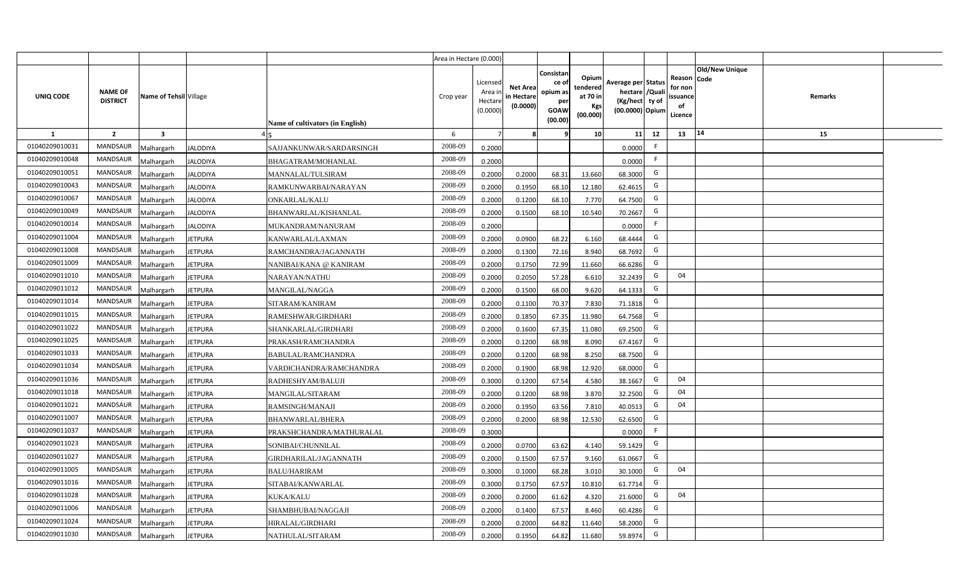|                |                                   |                         |                 |                                  | Area in Hectare (0.000) |                                            |                                           |                                                                |                                                  |                                                                            |    |                                                                             |         |  |
|----------------|-----------------------------------|-------------------------|-----------------|----------------------------------|-------------------------|--------------------------------------------|-------------------------------------------|----------------------------------------------------------------|--------------------------------------------------|----------------------------------------------------------------------------|----|-----------------------------------------------------------------------------|---------|--|
| UNIQ CODE      | <b>NAME OF</b><br><b>DISTRICT</b> | Name of Tehsil Village  |                 | Name of cultivators (in English) | Crop year               | Licensed<br>Area in<br>Hectare<br>(0.0000) | <b>Net Area</b><br>in Hectare<br>(0.0000) | Consistan<br>ce o<br>opium as<br>per<br><b>GOAW</b><br>(00.00) | Opium<br>tendered<br>at 70 in<br>Kgs<br>(00.000) | Average per Status<br>hectare / Quali<br>(Kg/hect ty of<br>(00.0000) Opium |    | <b>Old/New Unique</b><br>Reason Code<br>for non<br>ssuance<br>of<br>Licence | Remarks |  |
| $\mathbf{1}$   | $\overline{2}$                    | $\overline{\mathbf{3}}$ |                 |                                  | 6                       | $\overline{7}$                             |                                           | q                                                              | 10                                               | 11                                                                         | 12 | 14<br>13                                                                    | 15      |  |
| 01040209010031 | MANDSAUR                          | <b>Malhargarh</b>       | <b>JALODIYA</b> | SAJJANKUNWAR/SARDARSINGH         | 2008-09                 | 0.2000                                     |                                           |                                                                |                                                  | 0.0000                                                                     | F  |                                                                             |         |  |
| 01040209010048 | <b>MANDSAUR</b>                   | <b>Malhargarh</b>       | <b>JALODIYA</b> | BHAGATRAM/MOHANLAL               | 2008-09                 | 0.2000                                     |                                           |                                                                |                                                  | 0.0000                                                                     | F. |                                                                             |         |  |
| 01040209010051 | <b>MANDSAUR</b>                   | <b>Malhargarh</b>       | <b>JALODIYA</b> | MANNALAL/TULSIRAM                | 2008-09                 | 0.2000                                     | 0.2000                                    | 68.31                                                          | 13.660                                           | 68.3000                                                                    | G  |                                                                             |         |  |
| 01040209010043 | <b>MANDSAUR</b>                   | <b>Malhargarh</b>       | <b>JALODIYA</b> | RAMKUNWARBAI/NARAYAN             | 2008-09                 | 0.2000                                     | 0.1950                                    | 68.10                                                          | 12.180                                           | 62.4615                                                                    | G  |                                                                             |         |  |
| 01040209010067 | <b>MANDSAUR</b>                   | <b>Malhargarh</b>       | <b>JALODIYA</b> | <b>ONKARLAL/KALU</b>             | 2008-09                 | 0.2000                                     | 0.1200                                    | 68.10                                                          | 7.770                                            | 64.7500                                                                    | G  |                                                                             |         |  |
| 01040209010049 | <b>MANDSAUR</b>                   | <b>Malhargarh</b>       | <b>JALODIYA</b> | BHANWARLAL/KISHANLAL             | 2008-09                 | 0.2000                                     | 0.1500                                    | 68.10                                                          | 10.540                                           | 70.2667                                                                    | G  |                                                                             |         |  |
| 01040209010014 | <b>MANDSAUR</b>                   | <b>Malhargarh</b>       | <b>JALODIYA</b> | MUKANDRAM/NANURAM                | 2008-09                 | 0.2000                                     |                                           |                                                                |                                                  | 0.0000                                                                     | F  |                                                                             |         |  |
| 01040209011004 | <b>MANDSAUR</b>                   | <b>Malhargarh</b>       | <b>JETPURA</b>  | KANWARLAL/LAXMAN                 | 2008-09                 | 0.2000                                     | 0.0900                                    | 68.22                                                          | 6.160                                            | 68.4444                                                                    | G  |                                                                             |         |  |
| 01040209011008 | <b>MANDSAUR</b>                   | <b>Malhargarh</b>       | <b>JETPURA</b>  | RAMCHANDRA/JAGANNATH             | 2008-09                 | 0.2000                                     | 0.1300                                    | 72.16                                                          | 8.940                                            | 68.7692                                                                    | G  |                                                                             |         |  |
| 01040209011009 | MANDSAUR                          | <b>Malhargarh</b>       | <b>JETPURA</b>  | NANIBAI/KANA @ KANIRAM           | 2008-09                 | 0.2000                                     | 0.1750                                    | 72.99                                                          | 11.660                                           | 66.6286                                                                    | G  |                                                                             |         |  |
| 01040209011010 | <b>MANDSAUR</b>                   | <b>Malhargarh</b>       | <b>JETPURA</b>  | NARAYAN/NATHU                    | 2008-09                 | 0.2000                                     | 0.2050                                    | 57.28                                                          | 6.610                                            | 32.2439                                                                    | G  | 04                                                                          |         |  |
| 01040209011012 | <b>MANDSAUR</b>                   | <b>Malhargarh</b>       | <b>JETPURA</b>  | MANGILAL/NAGGA                   | 2008-09                 | 0.2000                                     | 0.1500                                    | 68.00                                                          | 9.620                                            | 64.1333                                                                    | G  |                                                                             |         |  |
| 01040209011014 | <b>MANDSAUR</b>                   | <b>Malhargarh</b>       | <b>JETPURA</b>  | SITARAM/KANIRAM                  | 2008-09                 | 0.2000                                     | 0.1100                                    | 70.37                                                          | 7.830                                            | 71.1818                                                                    | G  |                                                                             |         |  |
| 01040209011015 | <b>MANDSAUR</b>                   | Malhargarh              | <b>JETPURA</b>  | RAMESHWAR/GIRDHARI               | 2008-09                 | 0.2000                                     | 0.1850                                    | 67.35                                                          | 11.980                                           | 64.7568                                                                    | G  |                                                                             |         |  |
| 01040209011022 | <b>MANDSAUR</b>                   | Malhargarh              | <b>JETPURA</b>  | SHANKARLAL/GIRDHARI              | 2008-09                 | 0.2000                                     | 0.1600                                    | 67.35                                                          | 11.080                                           | 69.2500                                                                    | G  |                                                                             |         |  |
| 01040209011025 | MANDSAUR                          | Malhargarh              | <b>JETPURA</b>  | PRAKASH/RAMCHANDRA               | 2008-09                 | 0.2000                                     | 0.1200                                    | 68.98                                                          | 8.090                                            | 67.4167                                                                    | G  |                                                                             |         |  |
| 01040209011033 | <b>MANDSAUR</b>                   | <b>Malhargarh</b>       | <b>JETPURA</b>  | BABULAL/RAMCHANDRA               | 2008-09                 | 0.2000                                     | 0.1200                                    | 68.98                                                          | 8.250                                            | 68.7500                                                                    | G  |                                                                             |         |  |
| 01040209011034 | MANDSAUR                          | <b>Malhargarh</b>       | <b>JETPURA</b>  | VARDICHANDRA/RAMCHANDRA          | 2008-09                 | 0.2000                                     | 0.1900                                    | 68.98                                                          | 12.920                                           | 68.0000                                                                    | G  |                                                                             |         |  |
| 01040209011036 | <b>MANDSAUR</b>                   | <b>Malhargarh</b>       | <b>JETPURA</b>  | RADHESHYAM/BALUJI                | 2008-09                 | 0.3000                                     | 0.1200                                    | 67.54                                                          | 4.580                                            | 38.1667                                                                    | G  | 04                                                                          |         |  |
| 01040209011018 | <b>MANDSAUR</b>                   | Malhargarh              | <b>JETPURA</b>  | MANGILAL/SITARAM                 | 2008-09                 | 0.2000                                     | 0.1200                                    | 68.98                                                          | 3.870                                            | 32.2500                                                                    | G  | 04                                                                          |         |  |
| 01040209011021 | <b>MANDSAUR</b>                   | <b>Malhargarh</b>       | <b>JETPURA</b>  | RAMSINGH/MANAJI                  | 2008-09                 | 0.2000                                     | 0.1950                                    | 63.56                                                          | 7.810                                            | 40.0513                                                                    | G  | 04                                                                          |         |  |
| 01040209011007 | MANDSAUR                          | <b>Malhargarh</b>       | <b>JETPURA</b>  | BHANWARLAL/BHERA                 | 2008-09                 | 0.2000                                     | 0.2000                                    | 68.98                                                          | 12.530                                           | 62.6500                                                                    | G  |                                                                             |         |  |
| 01040209011037 | MANDSAUR                          | Aalhargarh              | <b>JETPURA</b>  | PRAKSHCHANDRA/MATHURALAL         | 2008-09                 | 0.3000                                     |                                           |                                                                |                                                  | 0.0000                                                                     | F. |                                                                             |         |  |
| 01040209011023 | <b>MANDSAUR</b>                   | <b>Malhargarh</b>       | <b>JETPURA</b>  | SONIBAI/CHUNNILAL                | 2008-09                 | 0.2000                                     | 0.0700                                    | 63.62                                                          | 4.140                                            | 59.1429                                                                    | G  |                                                                             |         |  |
| 01040209011027 | <b>MANDSAUR</b>                   | <b>Malhargarh</b>       | <b>JETPURA</b>  | GIRDHARILAL/JAGANNATH            | 2008-09                 | 0.2000                                     | 0.1500                                    | 67.57                                                          | 9.160                                            | 61.0667                                                                    | G  |                                                                             |         |  |
| 01040209011005 | MANDSAUR                          | Malhargarh              | <b>JETPURA</b>  | <b>BALU/HARIRAM</b>              | 2008-09                 | 0.3000                                     | 0.1000                                    | 68.28                                                          | 3.010                                            | 30.1000                                                                    | G  | 04                                                                          |         |  |
| 01040209011016 | <b>MANDSAUR</b>                   | <b>Malhargarh</b>       | <b>JETPURA</b>  | SITABAI/KANWARLAL                | 2008-09                 | 0.3000                                     | 0.1750                                    | 67.57                                                          | 10.810                                           | 61.7714                                                                    | G  |                                                                             |         |  |
| 01040209011028 | <b>MANDSAUR</b>                   | <b>Malhargarh</b>       | <b>JETPURA</b>  | <b>KUKA/KALU</b>                 | 2008-09                 | 0.2000                                     | 0.2000                                    | 61.62                                                          | 4.320                                            | 21.6000                                                                    | G  | 04                                                                          |         |  |
| 01040209011006 | <b>MANDSAUR</b>                   | <b>Malhargarh</b>       | <b>JETPURA</b>  | SHAMBHUBAI/NAGGAJI               | 2008-09                 | 0.2000                                     | 0.1400                                    | 67.57                                                          | 8.460                                            | 60.4286                                                                    | G  |                                                                             |         |  |
| 01040209011024 | <b>MANDSAUR</b>                   | <b>Malhargarh</b>       | <b>JETPURA</b>  | HIRALAL/GIRDHARI                 | 2008-09                 | 0.2000                                     | 0.2000                                    | 64.82                                                          | 11.640                                           | 58.2000                                                                    | G  |                                                                             |         |  |
| 01040209011030 | MANDSAUR                          | Malhargarh              | <b>JETPURA</b>  | NATHULAL/SITARAM                 | 2008-09                 | 0.2000                                     | 0.1950                                    | 64.82                                                          | 11.680                                           | 59.8974                                                                    | G  |                                                                             |         |  |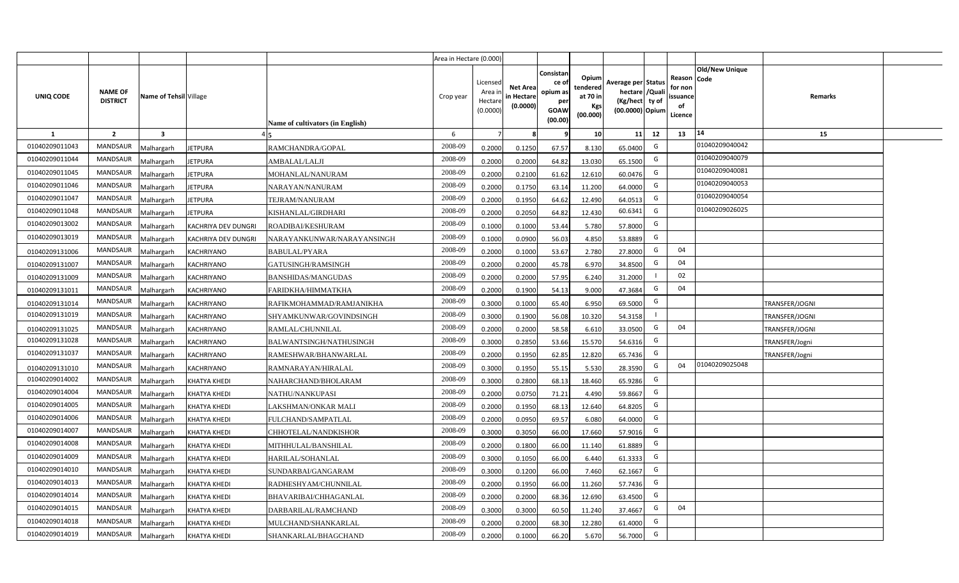|                |                                   |                                   |                                  | Area in Hectare (0.000) |                                          |                                           |                                                          |                                                  |                                                                            |    |                                                     |                       |                |  |
|----------------|-----------------------------------|-----------------------------------|----------------------------------|-------------------------|------------------------------------------|-------------------------------------------|----------------------------------------------------------|--------------------------------------------------|----------------------------------------------------------------------------|----|-----------------------------------------------------|-----------------------|----------------|--|
| UNIQ CODE      | <b>NAME OF</b><br><b>DISTRICT</b> | Name of Tehsil Village            | Name of cultivators (in English) | Crop year               | Licensed<br>Area i<br>Hectar<br>(0.0000) | <b>Net Area</b><br>in Hectare<br>(0.0000) | Consistan<br>ce of<br>opium as<br>per<br>GOAW<br>(00.00) | Opium<br>tendered<br>at 70 in<br>Kgs<br>(00.000) | Average per Status<br>hectare / Quali<br>(Kg/hect ty of<br>(00.0000) Opium |    | Reason Code<br>for non<br>issuance<br>of<br>Licence | <b>Old/New Unique</b> | Remarks        |  |
| 1              | $\overline{2}$                    | $\overline{\mathbf{3}}$           |                                  | 6                       |                                          |                                           |                                                          | 10 <sup>1</sup>                                  | 11                                                                         | 12 | 13                                                  | 14                    | 15             |  |
| 01040209011043 | MANDSAUR                          | Malhargarh<br><b>IETPURA</b>      | RAMCHANDRA/GOPAL                 | 2008-09                 | 0.2000                                   | 0.1250                                    | 67.57                                                    | 8.130                                            | 65.0400                                                                    | G  |                                                     | 01040209040042        |                |  |
| 01040209011044 | <b>MANDSAUR</b>                   | Malhargarh<br><b>JETPURA</b>      | AMBALAL/LALJI                    | 2008-09                 | 0.2000                                   | 0.2000                                    | 64.82                                                    | 13.030                                           | 65.1500                                                                    | G  |                                                     | 01040209040079        |                |  |
| 01040209011045 | MANDSAUR                          | Malhargarh<br><b>JETPURA</b>      | MOHANLAL/NANURAM                 | 2008-09                 | 0.2000                                   | 0.2100                                    | 61.62                                                    | 12.610                                           | 60.0476                                                                    | G  |                                                     | 01040209040081        |                |  |
| 01040209011046 | MANDSAUR                          | Malhargarh<br><b>JETPURA</b>      | NARAYAN/NANURAM                  | 2008-09                 | 0.2000                                   | 0.1750                                    | 63.14                                                    | 11.200                                           | 64.0000                                                                    | G  |                                                     | 01040209040053        |                |  |
| 01040209011047 | <b>MANDSAUR</b>                   | Malhargarh<br><b>IETPURA</b>      | TEJRAM/NANURAM                   | 2008-09                 | 0.2000                                   | 0.1950                                    | 64.62                                                    | 12.490                                           | 64.0513                                                                    | G  |                                                     | 01040209040054        |                |  |
| 01040209011048 | <b>MANDSAUR</b>                   | Malhargarh<br><b>JETPURA</b>      | KISHANLAL/GIRDHARI               | 2008-09                 | 0.2000                                   | 0.2050                                    | 64.82                                                    | 12.430                                           | 60.6341                                                                    | G  |                                                     | 01040209026025        |                |  |
| 01040209013002 | MANDSAUR                          | Malhargarh<br>KACHRIYA DEV DUNGRI | ROADIBAI/KESHURAM                | 2008-09                 | 0.100                                    | 0.1000                                    | 53.44                                                    | 5.780                                            | 57.8000                                                                    | G  |                                                     |                       |                |  |
| 01040209013019 | <b>MANDSAUR</b>                   | Malhargarh<br>KACHRIYA DEV DUNGRI | NARAYANKUNWAR/NARAYANSINGH       | 2008-09                 | 0.1000                                   | 0.0900                                    | 56.03                                                    | 4.850                                            | 53.8889                                                                    | G  |                                                     |                       |                |  |
| 01040209131006 | <b>MANDSAUR</b>                   | Malhargarh<br>KACHRIYANO          | BABULAL/PYARA                    | 2008-09                 | 0.2000                                   | 0.1000                                    | 53.67                                                    | 2.780                                            | 27.8000                                                                    | G  | 04                                                  |                       |                |  |
| 01040209131007 | <b>MANDSAUR</b>                   | Malhargarh<br>KACHRIYANO          | GATUSINGH/RAMSINGH               | 2008-09                 | 0.2000                                   | 0.2000                                    | 45.78                                                    | 6.970                                            | 34.8500                                                                    | G  | 04                                                  |                       |                |  |
| 01040209131009 | <b>MANDSAUR</b>                   | Malhargarh<br>KACHRIYANO          | BANSHIDAS/MANGUDAS               | 2008-09                 | 0.2000                                   | 0.2000                                    | 57.95                                                    | 6.240                                            | 31.2000                                                                    |    | 02                                                  |                       |                |  |
| 01040209131011 | MANDSAUR                          | Malhargarh<br>KACHRIYANO          | FARIDKHA/HIMMATKHA               | 2008-09                 | 0.2000                                   | 0.1900                                    | 54.13                                                    | 9.000                                            | 47.3684                                                                    | G  | 04                                                  |                       |                |  |
| 01040209131014 | <b>MANDSAUR</b>                   | Malhargarh<br><b>KACHRIYANO</b>   | RAFIKMOHAMMAD/RAMJANIKHA         | 2008-09                 | 0.3000                                   | 0.1000                                    | 65.40                                                    | 6.950                                            | 69.5000                                                                    | G  |                                                     |                       | TRANSFER/JOGNI |  |
| 01040209131019 | <b>MANDSAUR</b>                   | Malhargarh<br><b>KACHRIYANO</b>   | SHYAMKUNWAR/GOVINDSINGH          | 2008-09                 | 0.3000                                   | 0.1900                                    | 56.08                                                    | 10.320                                           | 54.3158                                                                    |    |                                                     |                       | TRANSFER/JOGNI |  |
| 01040209131025 | <b>MANDSAUR</b>                   | <b>KACHRIYANO</b><br>Malhargarh   | RAMLAL/CHUNNILAL                 | 2008-09                 | 0.2000                                   | 0.2000                                    | 58.58                                                    | 6.610                                            | 33.0500                                                                    | G  | 04                                                  |                       | TRANSFER/JOGNI |  |
| 01040209131028 | <b>MANDSAUR</b>                   | Malhargarh<br>KACHRIYANO          | BALWANTSINGH/NATHUSINGH          | 2008-09                 | 0.3000                                   | 0.2850                                    | 53.66                                                    | 15.570                                           | 54.6316                                                                    | G  |                                                     |                       | TRANSFER/Jogni |  |
| 01040209131037 | <b>MANDSAUR</b>                   | Malhargarh<br>KACHRIYANO          | RAMESHWAR/BHANWARLAL             | 2008-09                 | 0.2000                                   | 0.1950                                    | 62.85                                                    | 12.820                                           | 65.7436                                                                    | G  |                                                     |                       | TRANSFER/Jogni |  |
| 01040209131010 | <b>MANDSAUR</b>                   | Malhargarh<br>KACHRIYANO          | RAMNARAYAN/HIRALAL               | 2008-09                 | 0.3000                                   | 0.1950                                    | 55.15                                                    | 5.530                                            | 28.3590                                                                    | G  | 04                                                  | 01040209025048        |                |  |
| 01040209014002 | <b>MANDSAUR</b>                   | Malhargarh<br><b>KHATYA KHEDI</b> | NAHARCHAND/BHOLARAM              | 2008-09                 | 0.3000                                   | 0.2800                                    | 68.13                                                    | 18.460                                           | 65.9286                                                                    | G  |                                                     |                       |                |  |
| 01040209014004 | <b>MANDSAUR</b>                   | Malhargarh<br>KHATYA KHEDI        | NATHU/NANKUPASI                  | 2008-09                 | 0.2000                                   | 0.0750                                    | 71.21                                                    | 4.490                                            | 59.8667                                                                    | G  |                                                     |                       |                |  |
| 01040209014005 | <b>MANDSAUR</b>                   | Malhargarh<br>KHATYA KHEDI        | LAKSHMAN/ONKAR MALI              | 2008-09                 | 0.2000                                   | 0.1950                                    | 68.13                                                    | 12.640                                           | 64.8205                                                                    | G  |                                                     |                       |                |  |
| 01040209014006 | MANDSAUR                          | Malhargarh<br>KHATYA KHEDI        | FULCHAND/SAMPATLAL               | 2008-09                 | 0.2000                                   | 0.0950                                    | 69.57                                                    | 6.080                                            | 64.0000                                                                    | G  |                                                     |                       |                |  |
| 01040209014007 | <b>MANDSAUR</b>                   | Malhargarh<br>KHATYA KHEDI        | CHHOTELAL/NANDKISHOR             | 2008-09                 | 0.3000                                   | 0.3050                                    | 66.00                                                    | 17.660                                           | 57.9016                                                                    | G  |                                                     |                       |                |  |
| 01040209014008 | <b>MANDSAUR</b>                   | Malhargarh<br><b>KHATYA KHEDI</b> | MITHHULAL/BANSHILAL              | 2008-09                 | 0.2000                                   | 0.1800                                    | 66.00                                                    | 11.140                                           | 61.8889                                                                    | G  |                                                     |                       |                |  |
| 01040209014009 | <b>MANDSAUR</b>                   | Malhargarh<br><b>KHATYA KHEDI</b> | HARILAL/SOHANLAL                 | 2008-09                 | 0.3000                                   | 0.1050                                    | 66.00                                                    | 6.440                                            | 61.3333                                                                    | G  |                                                     |                       |                |  |
| 01040209014010 | <b>MANDSAUR</b>                   | Malhargarh<br><b>KHATYA KHEDI</b> | SUNDARBAI/GANGARAM               | 2008-09                 | 0.300                                    | 0.1200                                    | 66.00                                                    | 7.460                                            | 62.1667                                                                    | G  |                                                     |                       |                |  |
| 01040209014013 | <b>MANDSAUR</b>                   | Malhargarh<br><b>KHATYA KHEDI</b> | RADHESHYAM/CHUNNILAL             | 2008-09                 | 0.2000                                   | 0.1950                                    | 66.00                                                    | 11.260                                           | 57.7436                                                                    | G  |                                                     |                       |                |  |
| 01040209014014 | <b>MANDSAUR</b>                   | Malhargarh<br><b>KHATYA KHEDI</b> | BHAVARIBAI/CHHAGANLAL            | 2008-09                 | 0.2000                                   | 0.2000                                    | 68.36                                                    | 12.690                                           | 63.4500                                                                    | G  |                                                     |                       |                |  |
| 01040209014015 | <b>MANDSAUR</b>                   | Malhargarh<br><b>KHATYA KHEDI</b> | DARBARILAL/RAMCHAND              | 2008-09                 | 0.3000                                   | 0.3000                                    | 60.50                                                    | 11.240                                           | 37.4667                                                                    | G  | 04                                                  |                       |                |  |
| 01040209014018 | <b>MANDSAUR</b>                   | Malhargarh<br><b>KHATYA KHEDI</b> | MULCHAND/SHANKARLAL              | 2008-09                 | 0.2000                                   | 0.2000                                    | 68.30                                                    | 12.280                                           | 61.4000                                                                    | G  |                                                     |                       |                |  |
| 01040209014019 | MANDSAUR                          | Malhargarh<br><b>KHATYA KHEDI</b> | SHANKARLAL/BHAGCHAND             | 2008-09                 | 0.2000                                   | 0.1000                                    | 66.20                                                    | 5.670                                            | 56.7000                                                                    | G  |                                                     |                       |                |  |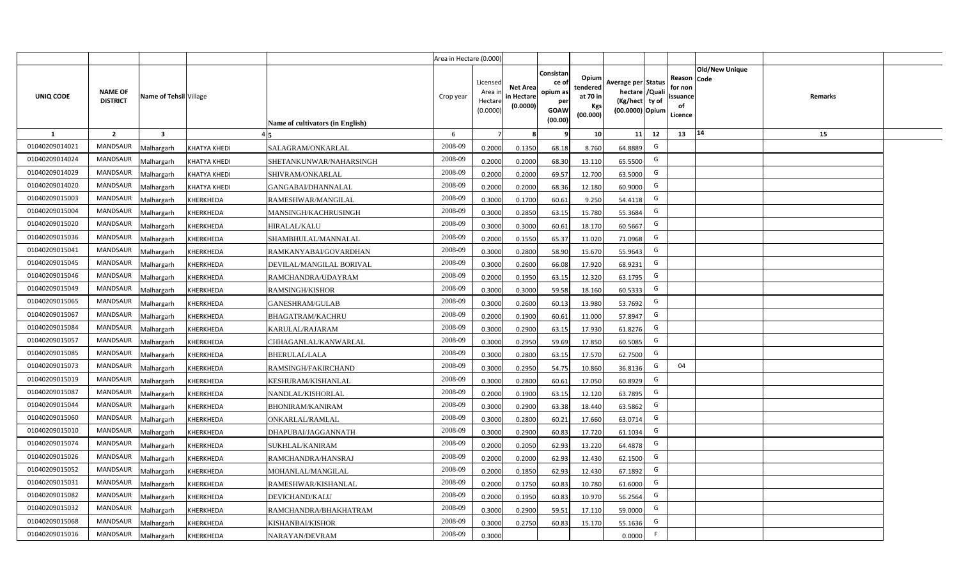|                |                                   |                         |                     |                                  | Area in Hectare (0.000) |                                            |                                           |                                                         |                                                  |                                                                            |    |                                                                                              |         |  |
|----------------|-----------------------------------|-------------------------|---------------------|----------------------------------|-------------------------|--------------------------------------------|-------------------------------------------|---------------------------------------------------------|--------------------------------------------------|----------------------------------------------------------------------------|----|----------------------------------------------------------------------------------------------|---------|--|
| UNIQ CODE      | <b>NAME OF</b><br><b>DISTRICT</b> | Name of Tehsil Village  |                     | Name of cultivators (in English) | Crop year               | Licensed<br>Area in<br>Hectare<br>(0.0000) | <b>Net Area</b><br>in Hectare<br>(0.0000) | Consistar<br>ce o<br>opium as<br>per<br>GOAW<br>(00.00) | Opium<br>tendered<br>at 70 in<br>Kgs<br>(00.000) | Average per Status<br>hectare / Quali<br>(Kg/hect ty of<br>(00.0000) Opium |    | <b>Old/New Unique</b><br>Reason<br><b>Code</b><br>for non<br><b>ssuance</b><br>of<br>Licence | Remarks |  |
| $\mathbf{1}$   | $\overline{2}$                    | $\overline{\mathbf{3}}$ |                     |                                  | 6                       | $\overline{7}$                             | -8                                        | ٩                                                       | 10                                               | 11                                                                         | 12 | 14<br>13                                                                                     | 15      |  |
| 01040209014021 | MANDSAUR                          | <b>Aalhargarh</b>       | <b>KHATYA KHEDI</b> | SALAGRAM/ONKARLAL                | 2008-09                 | 0.2000                                     | 0.1350                                    | 68.18                                                   | 8.760                                            | 64.8889                                                                    | G  |                                                                                              |         |  |
| 01040209014024 | <b>MANDSAUR</b>                   | <b>Malhargarh</b>       | <b>KHATYA KHEDI</b> | SHETANKUNWAR/NAHARSINGH          | 2008-09                 | 0.2000                                     | 0.2000                                    | 68.30                                                   | 13.110                                           | 65.5500                                                                    | G  |                                                                                              |         |  |
| 01040209014029 | <b>MANDSAUR</b>                   | <b>Malhargarh</b>       | KHATYA KHEDI        | SHIVRAM/ONKARLAL                 | 2008-09                 | 0.2000                                     | 0.2000                                    | 69.57                                                   | 12.700                                           | 63.5000                                                                    | G  |                                                                                              |         |  |
| 01040209014020 | <b>MANDSAUR</b>                   | <b>Malhargarh</b>       | <b>KHATYA KHEDI</b> | GANGABAI/DHANNALAL               | 2008-09                 | 0.2000                                     | 0.2000                                    | 68.36                                                   | 12.180                                           | 60.9000                                                                    | G  |                                                                                              |         |  |
| 01040209015003 | <b>MANDSAUR</b>                   | <b>Malhargarh</b>       | KHERKHEDA           | RAMESHWAR/MANGILAL               | 2008-09                 | 0.3000                                     | 0.1700                                    | 60.61                                                   | 9.250                                            | 54.4118                                                                    | G  |                                                                                              |         |  |
| 01040209015004 | <b>MANDSAUR</b>                   | <b>Malhargarh</b>       | KHERKHEDA           | MANSINGH/KACHRUSINGH             | 2008-09                 | 0.3000                                     | 0.2850                                    | 63.15                                                   | 15.780                                           | 55.3684                                                                    | G  |                                                                                              |         |  |
| 01040209015020 | <b>MANDSAUR</b>                   | <b>Malhargarh</b>       | KHERKHEDA           | <b>HIRALAL/KALU</b>              | 2008-09                 | 0.3000                                     | 0.3000                                    | 60.61                                                   | 18.170                                           | 60.5667                                                                    | G  |                                                                                              |         |  |
| 01040209015036 | <b>MANDSAUR</b>                   | <b>Malhargarh</b>       | KHERKHEDA           | SHAMBHULAL/MANNALAL              | 2008-09                 | 0.2000                                     | 0.1550                                    | 65.37                                                   | 11.020                                           | 71.0968                                                                    | G  |                                                                                              |         |  |
| 01040209015041 | <b>MANDSAUR</b>                   | <b>Malhargarh</b>       | KHERKHEDA           | RAMKANYABAI/GOVARDHAN            | 2008-09                 | 0.3000                                     | 0.2800                                    | 58.90                                                   | 15.670                                           | 55.9643                                                                    | G  |                                                                                              |         |  |
| 01040209015045 | <b>MANDSAUR</b>                   | <b>Malhargarh</b>       | KHERKHEDA           | DEVILAL/MANGILAL BORIVAL         | 2008-09                 | 0.3000                                     | 0.2600                                    | 66.08                                                   | 17.920                                           | 68.9231                                                                    | G  |                                                                                              |         |  |
| 01040209015046 | <b>MANDSAUR</b>                   | <b>Malhargarh</b>       | KHERKHEDA           | RAMCHANDRA/UDAYRAM               | 2008-09                 | 0.2000                                     | 0.1950                                    | 63.15                                                   | 12.320                                           | 63.1795                                                                    | G  |                                                                                              |         |  |
| 01040209015049 | <b>MANDSAUR</b>                   | <b>Malhargarh</b>       | KHERKHEDA           | <b>RAMSINGH/KISHOR</b>           | 2008-09                 | 0.3000                                     | 0.3000                                    | 59.58                                                   | 18.160                                           | 60.5333                                                                    | G  |                                                                                              |         |  |
| 01040209015065 | <b>MANDSAUR</b>                   | <b>Malhargarh</b>       | KHERKHEDA           | <b>GANESHRAM/GULAB</b>           | 2008-09                 | 0.3000                                     | 0.2600                                    | 60.13                                                   | 13.980                                           | 53.7692                                                                    | G  |                                                                                              |         |  |
| 01040209015067 | <b>MANDSAUR</b>                   | Malhargarh              | KHERKHEDA           | BHAGATRAM/KACHRU                 | 2008-09                 | 0.2000                                     | 0.1900                                    | 60.61                                                   | 11.000                                           | 57.8947                                                                    | G  |                                                                                              |         |  |
| 01040209015084 | <b>MANDSAUR</b>                   | Malhargarh              | KHERKHEDA           | KARULAL/RAJARAM                  | 2008-09                 | 0.3000                                     | 0.2900                                    | 63.15                                                   | 17.930                                           | 61.8276                                                                    | G  |                                                                                              |         |  |
| 01040209015057 | <b>MANDSAUR</b>                   | <b>Malhargarh</b>       | KHERKHEDA           | CHHAGANLAL/KANWARLAL             | 2008-09                 | 0.3000                                     | 0.2950                                    | 59.69                                                   | 17.850                                           | 60.5085                                                                    | G  |                                                                                              |         |  |
| 01040209015085 | <b>MANDSAUR</b>                   | <b>Malhargarh</b>       | KHERKHEDA           | BHERULAL/LALA                    | 2008-09                 | 0.3000                                     | 0.2800                                    | 63.15                                                   | 17.570                                           | 62.7500                                                                    | G  |                                                                                              |         |  |
| 01040209015073 | MANDSAUR                          | <b>Malhargarh</b>       | KHERKHEDA           | RAMSINGH/FAKIRCHAND              | 2008-09                 | 0.3000                                     | 0.2950                                    | 54.75                                                   | 10.860                                           | 36.8136                                                                    | G  | 04                                                                                           |         |  |
| 01040209015019 | <b>MANDSAUR</b>                   | <b>Malhargarh</b>       | KHERKHEDA           | KESHURAM/KISHANLAL               | 2008-09                 | 0.3000                                     | 0.2800                                    | 60.61                                                   | 17.050                                           | 60.8929                                                                    | G  |                                                                                              |         |  |
| 01040209015087 | <b>MANDSAUR</b>                   | Malhargarh              | KHERKHEDA           | NANDLAL/KISHORLAL                | 2008-09                 | 0.2000                                     | 0.1900                                    | 63.1                                                    | 12.120                                           | 63.7895                                                                    | G  |                                                                                              |         |  |
| 01040209015044 | MANDSAUR                          | <b>Malhargarh</b>       | KHERKHEDA           | BHONIRAM/KANIRAM                 | 2008-09                 | 0.3000                                     | 0.2900                                    | 63.38                                                   | 18.440                                           | 63.5862                                                                    | G  |                                                                                              |         |  |
| 01040209015060 | MANDSAUR                          | <b>Malhargarh</b>       | KHERKHEDA           | ONKARLAL/RAMLAL                  | 2008-09                 | 0.3000                                     | 0.2800                                    | 60.21                                                   | 17.660                                           | 63.071                                                                     | G  |                                                                                              |         |  |
| 01040209015010 | <b>MANDSAUR</b>                   | Aalhargarh              | KHERKHEDA           | DHAPUBAI/JAGGANNATH              | 2008-09                 | 0.3000                                     | 0.2900                                    | 60.83                                                   | 17.720                                           | 61.1034                                                                    | G  |                                                                                              |         |  |
| 01040209015074 | <b>MANDSAUR</b>                   | <b>Malhargarh</b>       | KHERKHEDA           | SUKHLAL/KANIRAM                  | 2008-09                 | 0.2000                                     | 0.2050                                    | 62.93                                                   | 13.220                                           | 64.4878                                                                    | G  |                                                                                              |         |  |
| 01040209015026 | <b>MANDSAUR</b>                   | <b>Malhargarh</b>       | KHERKHEDA           | RAMCHANDRA/HANSRAJ               | 2008-09                 | 0.2000                                     | 0.2000                                    | 62.93                                                   | 12.430                                           | 62.1500                                                                    | G  |                                                                                              |         |  |
| 01040209015052 | MANDSAUR                          | <b>Malhargarh</b>       | KHERKHEDA           | MOHANLAL/MANGILAL                | 2008-09                 | 0.2000                                     | 0.1850                                    | 62.93                                                   | 12.430                                           | 67.1892                                                                    | G  |                                                                                              |         |  |
| 01040209015031 | MANDSAUR                          | <b>Malhargarh</b>       | KHERKHEDA           | RAMESHWAR/KISHANLAL              | 2008-09                 | 0.2000                                     | 0.1750                                    | 60.83                                                   | 10.780                                           | 61.6000                                                                    | G  |                                                                                              |         |  |
| 01040209015082 | <b>MANDSAUR</b>                   | <b>Malhargarh</b>       | KHERKHEDA           | DEVICHAND/KALU                   | 2008-09                 | 0.2000                                     | 0.1950                                    | 60.83                                                   | 10.970                                           | 56.2564                                                                    | G  |                                                                                              |         |  |
| 01040209015032 | <b>MANDSAUR</b>                   | <b>Malhargarh</b>       | KHERKHEDA           | RAMCHANDRA/BHAKHATRAM            | 2008-09                 | 0.3000                                     | 0.2900                                    | 59.51                                                   | 17.110                                           | 59.0000                                                                    | G  |                                                                                              |         |  |
| 01040209015068 | <b>MANDSAUR</b>                   | <b>Malhargarh</b>       | KHERKHEDA           | KISHANBAI/KISHOR                 | 2008-09                 | 0.3000                                     | 0.2750                                    | 60.83                                                   | 15.170                                           | 55.1636                                                                    | G  |                                                                                              |         |  |
| 01040209015016 | MANDSAUR                          | Malhargarh              | KHERKHEDA           | NARAYAN/DEVRAM                   | 2008-09                 | 0.3000                                     |                                           |                                                         |                                                  | 0.0000                                                                     | F. |                                                                                              |         |  |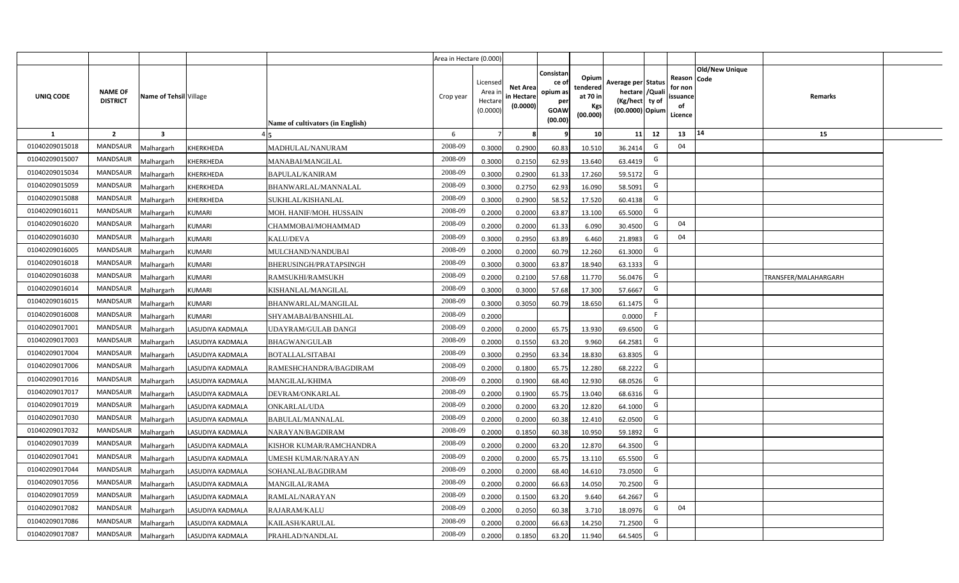|                |                                   |                         |                  |                                  | Area in Hectare (0.000) |                                            |                                           |                                                                |                                                  |                                                                            |    |                                                    |                       |                             |  |
|----------------|-----------------------------------|-------------------------|------------------|----------------------------------|-------------------------|--------------------------------------------|-------------------------------------------|----------------------------------------------------------------|--------------------------------------------------|----------------------------------------------------------------------------|----|----------------------------------------------------|-----------------------|-----------------------------|--|
| UNIQ CODE      | <b>NAME OF</b><br><b>DISTRICT</b> | Name of Tehsil Village  |                  | Name of cultivators (in English) | Crop year               | Licensed<br>Area in<br>Hectare<br>(0.0000) | <b>Net Area</b><br>in Hectare<br>(0.0000) | Consistan<br>ce o<br>opium as<br>per<br><b>GOAW</b><br>(00.00) | Opium<br>tendered<br>at 70 in<br>Kgs<br>(00.000) | Average per Status<br>hectare / Quali<br>(Kg/hect ty of<br>(00.0000) Opium |    | Reason Code<br>for non<br>ssuance<br>of<br>Licence | <b>Old/New Unique</b> | Remarks                     |  |
| $\mathbf{1}$   | $\overline{2}$                    | $\overline{\mathbf{3}}$ |                  |                                  | 6                       | $\overline{7}$                             | -8                                        | 9                                                              | 10                                               | 11                                                                         | 12 | 13                                                 | 14                    | 15                          |  |
| 01040209015018 | MANDSAUR                          | <b>Malhargarh</b>       | KHERKHEDA        | MADHULAL/NANURAM                 | 2008-09                 | 0.3000                                     | 0.2900                                    | 60.83                                                          | 10.510                                           | 36.2414                                                                    | G  | 04                                                 |                       |                             |  |
| 01040209015007 | <b>MANDSAUR</b>                   | <b>Malhargarh</b>       | KHERKHEDA        | MANABAI/MANGILAL                 | 2008-09                 | 0.3000                                     | 0.2150                                    | 62.93                                                          | 13.640                                           | 63.4419                                                                    | G  |                                                    |                       |                             |  |
| 01040209015034 | <b>MANDSAUR</b>                   | <b>Malhargarh</b>       | KHERKHEDA        | <b>BAPULAL/KANIRAM</b>           | 2008-09                 | 0.3000                                     | 0.2900                                    | 61.33                                                          | 17.260                                           | 59.5172                                                                    | G  |                                                    |                       |                             |  |
| 01040209015059 | <b>MANDSAUR</b>                   | <b>Malhargarh</b>       | KHERKHEDA        | BHANWARLAL/MANNALAL              | 2008-09                 | 0.3000                                     | 0.2750                                    | 62.93                                                          | 16.090                                           | 58.5091                                                                    | G  |                                                    |                       |                             |  |
| 01040209015088 | <b>MANDSAUR</b>                   | <b>Malhargarh</b>       | KHERKHEDA        | SUKHLAL/KISHANLAL                | 2008-09                 | 0.3000                                     | 0.2900                                    | 58.52                                                          | 17.520                                           | 60.4138                                                                    | G  |                                                    |                       |                             |  |
| 01040209016011 | <b>MANDSAUR</b>                   | <b>Malhargarh</b>       | <b>KUMARI</b>    | MOH. HANIF/MOH. HUSSAIN          | 2008-09                 | 0.2000                                     | 0.2000                                    | 63.87                                                          | 13.100                                           | 65.5000                                                                    | G  |                                                    |                       |                             |  |
| 01040209016020 | <b>MANDSAUR</b>                   | <b>Malhargarh</b>       | <b>KUMARI</b>    | CHAMMOBAI/MOHAMMAD               | 2008-09                 | 0.2000                                     | 0.2000                                    | 61.33                                                          | 6.090                                            | 30.4500                                                                    | G  | 04                                                 |                       |                             |  |
| 01040209016030 | <b>MANDSAUR</b>                   | <b>Malhargarh</b>       | <b>KUMARI</b>    | <b>KALU/DEVA</b>                 | 2008-09                 | 0.3000                                     | 0.2950                                    | 63.89                                                          | 6.460                                            | 21.8983                                                                    | G  | 04                                                 |                       |                             |  |
| 01040209016005 | <b>MANDSAUR</b>                   | <b>Malhargarh</b>       | <b>KUMARI</b>    | MULCHAND/NANDUBAI                | 2008-09                 | 0.2000                                     | 0.2000                                    | 60.79                                                          | 12.260                                           | 61.3000                                                                    | G  |                                                    |                       |                             |  |
| 01040209016018 | <b>MANDSAUR</b>                   | <b>Malhargarh</b>       | <b>KUMARI</b>    | BHERUSINGH/PRATAPSINGH           | 2008-09                 | 0.3000                                     | 0.3000                                    | 63.87                                                          | 18.940                                           | 63.1333                                                                    | G  |                                                    |                       |                             |  |
| 01040209016038 | <b>MANDSAUR</b>                   | <b>Malhargarh</b>       | <b>KUMARI</b>    | RAMSUKHI/RAMSUKH                 | 2008-09                 | 0.2000                                     | 0.2100                                    | 57.68                                                          | 11.770                                           | 56.0476                                                                    | G  |                                                    |                       | <b>TRANSFER/MALAHARGARH</b> |  |
| 01040209016014 | <b>MANDSAUR</b>                   | <b>Malhargarh</b>       | <b>KUMARI</b>    | KISHANLAL/MANGILAL               | 2008-09                 | 0.3000                                     | 0.3000                                    | 57.68                                                          | 17.300                                           | 57.6667                                                                    | G  |                                                    |                       |                             |  |
| 01040209016015 | <b>MANDSAUR</b>                   | <b>Malhargarh</b>       | <b>KUMARI</b>    | BHANWARLAL/MANGILAL              | 2008-09                 | 0.3000                                     | 0.3050                                    | 60.79                                                          | 18.650                                           | 61.1475                                                                    | G  |                                                    |                       |                             |  |
| 01040209016008 | <b>MANDSAUR</b>                   | Malhargarh              | <b>KUMARI</b>    | SHYAMABAI/BANSHILAL              | 2008-09                 | 0.2000                                     |                                           |                                                                |                                                  | 0.0000                                                                     | F  |                                                    |                       |                             |  |
| 01040209017001 | MANDSAUR                          | Malhargarh              | LASUDIYA KADMALA | UDAYRAM/GULAB DANGI              | 2008-09                 | 0.2000                                     | 0.2000                                    | 65.75                                                          | 13.930                                           | 69.6500                                                                    | G  |                                                    |                       |                             |  |
| 01040209017003 | MANDSAUR                          | <b>Malhargarh</b>       | LASUDIYA KADMALA | <b>BHAGWAN/GULAB</b>             | 2008-09                 | 0.2000                                     | 0.1550                                    | 63.20                                                          | 9.960                                            | 64.2581                                                                    | G  |                                                    |                       |                             |  |
| 01040209017004 | <b>MANDSAUR</b>                   | <b>Malhargarh</b>       | LASUDIYA KADMALA | BOTALLAL/SITABAI                 | 2008-09                 | 0.3000                                     | 0.2950                                    | 63.34                                                          | 18.830                                           | 63.8305                                                                    | G  |                                                    |                       |                             |  |
| 01040209017006 | MANDSAUR                          | <b>Malhargarh</b>       | LASUDIYA KADMALA | RAMESHCHANDRA/BAGDIRAM           | 2008-09                 | 0.2000                                     | 0.1800                                    | 65.75                                                          | 12.280                                           | 68.2222                                                                    | G  |                                                    |                       |                             |  |
| 01040209017016 | <b>MANDSAUR</b>                   | <b>Malhargarh</b>       | LASUDIYA KADMALA | <b>MANGILAL/KHIMA</b>            | 2008-09                 | 0.2000                                     | 0.1900                                    | 68.40                                                          | 12.930                                           | 68.0526                                                                    | G  |                                                    |                       |                             |  |
| 01040209017017 | <b>MANDSAUR</b>                   | Malhargarh              | LASUDIYA KADMALA | DEVRAM/ONKARLAL                  | 2008-09                 | 0.2000                                     | 0.1900                                    | 65.75                                                          | 13.040                                           | 68.631                                                                     | G  |                                                    |                       |                             |  |
| 01040209017019 | MANDSAUR                          | <b>Malhargarh</b>       | LASUDIYA KADMALA | ONKARLAL/UDA                     | 2008-09                 | 0.2000                                     | 0.2000                                    | 63.20                                                          | 12.820                                           | 64.1000                                                                    | G  |                                                    |                       |                             |  |
| 01040209017030 | MANDSAUR                          | <b>Malhargarh</b>       | LASUDIYA KADMALA | BABULAL/MANNALAL                 | 2008-09                 | 0.2000                                     | 0.2000                                    | 60.38                                                          | 12.410                                           | 62.0500                                                                    | G  |                                                    |                       |                             |  |
| 01040209017032 | MANDSAUR                          | Aalhargarh              | LASUDIYA KADMALA | NARAYAN/BAGDIRAM                 | 2008-09                 | 0.2000                                     | 0.1850                                    | 60.38                                                          | 10.950                                           | 59.1892                                                                    | G  |                                                    |                       |                             |  |
| 01040209017039 | <b>MANDSAUR</b>                   | <b>Malhargarh</b>       | LASUDIYA KADMALA | KISHOR KUMAR/RAMCHANDRA          | 2008-09                 | 0.2000                                     | 0.2000                                    | 63.20                                                          | 12.870                                           | 64.3500                                                                    | G  |                                                    |                       |                             |  |
| 01040209017041 | <b>MANDSAUR</b>                   | <b>Malhargarh</b>       | LASUDIYA KADMALA | UMESH KUMAR/NARAYAN              | 2008-09                 | 0.2000                                     | 0.2000                                    | 65.75                                                          | 13.110                                           | 65.5500                                                                    | G  |                                                    |                       |                             |  |
| 01040209017044 | MANDSAUR                          | <b>Malhargarh</b>       | LASUDIYA KADMALA | SOHANLAL/BAGDIRAM                | 2008-09                 | 0.2000                                     | 0.2000                                    | 68.40                                                          | 14.610                                           | 73.0500                                                                    | G  |                                                    |                       |                             |  |
| 01040209017056 | <b>MANDSAUR</b>                   | <b>Malhargarh</b>       | LASUDIYA KADMALA | <b>MANGILAL/RAMA</b>             | 2008-09                 | 0.2000                                     | 0.2000                                    | 66.63                                                          | 14.050                                           | 70.2500                                                                    | G  |                                                    |                       |                             |  |
| 01040209017059 | <b>MANDSAUR</b>                   | <b>Malhargarh</b>       | LASUDIYA KADMALA | RAMLAL/NARAYAN                   | 2008-09                 | 0.2000                                     | 0.1500                                    | 63.20                                                          | 9.640                                            | 64.2667                                                                    | G  |                                                    |                       |                             |  |
| 01040209017082 | <b>MANDSAUR</b>                   | <b>Malhargarh</b>       | LASUDIYA KADMALA | RAJARAM/KALU                     | 2008-09                 | 0.2000                                     | 0.2050                                    | 60.38                                                          | 3.710                                            | 18.0976                                                                    | G  | 04                                                 |                       |                             |  |
| 01040209017086 | <b>MANDSAUR</b>                   | <b>Malhargarh</b>       | LASUDIYA KADMALA | KAILASH/KARULAL                  | 2008-09                 | 0.2000                                     | 0.2000                                    | 66.63                                                          | 14.250                                           | 71.2500                                                                    | G  |                                                    |                       |                             |  |
| 01040209017087 | MANDSAUR                          | Malhargarh              | LASUDIYA KADMALA | PRAHLAD/NANDLAL                  | 2008-09                 | 0.2000                                     | 0.1850                                    | 63.20                                                          | 11.940                                           | 64.5405                                                                    | G  |                                                    |                       |                             |  |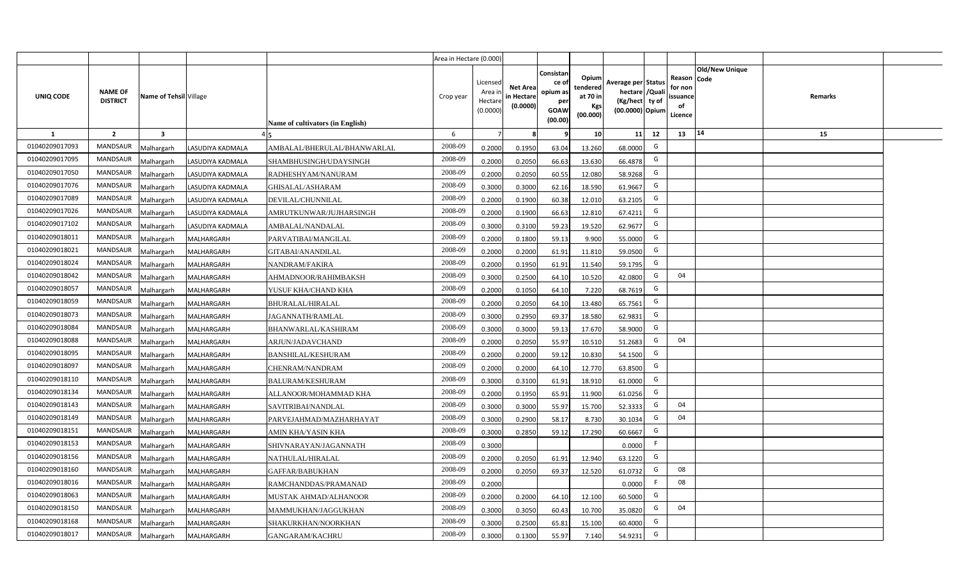|                |                                   |                         |                   |                                  | Area in Hectare (0.000) |                                           |                                           |                                                         |                                                         |                                                                            |                                                |                               |         |  |
|----------------|-----------------------------------|-------------------------|-------------------|----------------------------------|-------------------------|-------------------------------------------|-------------------------------------------|---------------------------------------------------------|---------------------------------------------------------|----------------------------------------------------------------------------|------------------------------------------------|-------------------------------|---------|--|
| UNIQ CODE      | <b>NAME OF</b><br><b>DISTRICT</b> | Name of Tehsil Village  |                   | Name of cultivators (in English) | Crop year               | Licensed<br>Area i<br>Hectare<br>(0.0000) | <b>Net Area</b><br>in Hectare<br>(0.0000) | Consistan<br>ce o<br>opium as<br>per<br>GOAW<br>(00.00) | Opium<br>tendered<br>at 70 in<br><b>Kgs</b><br>(00.000) | Average per Status<br>hectare / Quali<br>(Kg/hect ty of<br>(00.0000) Opium | Reason<br>for non<br>issuance<br>of<br>Licence | <b>Old/New Unique</b><br>Code | Remarks |  |
| $\mathbf{1}$   | $\overline{2}$                    | $\overline{\mathbf{3}}$ |                   |                                  | 6                       | 7                                         |                                           | 9                                                       | 10 <sup>1</sup>                                         | 11<br>12                                                                   | 13                                             | 14                            | 15      |  |
| 01040209017093 | MANDSAUR                          | <b>Aalhargarh</b>       | LASUDIYA KADMALA  | AMBALAL/BHERULAL/BHANWARLAL      | 2008-09                 | 0.2000                                    | 0.1950                                    | 63.04                                                   | 13.260                                                  | G<br>68.0000                                                               |                                                |                               |         |  |
| 01040209017095 | <b>MANDSAUR</b>                   | Malhargarh              | LASUDIYA KADMALA  | SHAMBHUSINGH/UDAYSINGH           | 2008-09                 | 0.2000                                    | 0.2050                                    | 66.63                                                   | 13.630                                                  | G<br>66.4878                                                               |                                                |                               |         |  |
| 01040209017050 | <b>MANDSAUR</b>                   | Malhargarh              | LASUDIYA KADMALA  | RADHESHYAM/NANURAM               | 2008-09                 | 0.2000                                    | 0.2050                                    | 60.55                                                   | 12.080                                                  | G<br>58.9268                                                               |                                                |                               |         |  |
| 01040209017076 | MANDSAUR                          | Malhargarh              | LASUDIYA KADMALA  | GHISALAL/ASHARAM                 | 2008-09                 | 0.3000                                    | 0.3000                                    | 62.16                                                   | 18.590                                                  | G<br>61.9667                                                               |                                                |                               |         |  |
| 01040209017089 | <b>MANDSAUR</b>                   | <b>Aalhargarh</b>       | LASUDIYA KADMALA  | DEVILAL/CHUNNILAL                | 2008-09                 | 0.2000                                    | 0.1900                                    | 60.38                                                   | 12.010                                                  | G<br>63.2105                                                               |                                                |                               |         |  |
| 01040209017026 | <b>MANDSAUR</b>                   | Malhargarh              | LASUDIYA KADMALA  | AMRUTKUNWAR/JUJHARSINGH          | 2008-09                 | 0.2000                                    | 0.1900                                    | 66.63                                                   | 12.810                                                  | G<br>67.4211                                                               |                                                |                               |         |  |
| 01040209017102 | MANDSAUR                          | Malhargarh              | LASUDIYA KADMALA  | AMBALAL/NANDALAL                 | 2008-09                 | 0.3000                                    | 0.3100                                    | 59.23                                                   | 19.520                                                  | G<br>62.9677                                                               |                                                |                               |         |  |
| 01040209018011 | <b>MANDSAUR</b>                   | Malhargarh              | MALHARGARH        | PARVATIBAI/MANGILAL              | 2008-09                 | 0.2000                                    | 0.1800                                    | 59.13                                                   | 9.900                                                   | G<br>55.0000                                                               |                                                |                               |         |  |
| 01040209018021 | <b>MANDSAUR</b>                   | Malhargarh              | MALHARGARH        | GITABAI/ANANDILAL                | 2008-09                 | 0.2000                                    | 0.2000                                    | 61.91                                                   | 11.810                                                  | G<br>59.0500                                                               |                                                |                               |         |  |
| 01040209018024 | <b>MANDSAUR</b>                   | Malhargarh              | MALHARGARH        | NANDRAM/FAKIRA                   | 2008-09                 | 0.2000                                    | 0.1950                                    | 61.91                                                   | 11.540                                                  | G<br>59.1795                                                               |                                                |                               |         |  |
| 01040209018042 | <b>MANDSAUR</b>                   | Malhargarh              | MALHARGARH        | AHMADNOOR/RAHIMBAKSH             | 2008-09                 | 0.3000                                    | 0.2500                                    | 64.10                                                   | 10.520                                                  | G<br>42.0800                                                               | 04                                             |                               |         |  |
| 01040209018057 | MANDSAUR                          | Malhargarh              | <b>MALHARGARH</b> | YUSUF KHA/CHAND KHA              | 2008-09                 | 0.2000                                    | 0.1050                                    | 64.10                                                   | 7.220                                                   | G<br>68.7619                                                               |                                                |                               |         |  |
| 01040209018059 | <b>MANDSAUR</b>                   | Malhargarh              | MALHARGARH        | BHURALAL/HIRALAL                 | 2008-09                 | 0.2000                                    | 0.2050                                    | 64.10                                                   | 13.480                                                  | G<br>65.7561                                                               |                                                |                               |         |  |
| 01040209018073 | MANDSAUR                          | Malhargarh              | MALHARGARH        | JAGANNATH/RAMLAL                 | 2008-09                 | 0.3000                                    | 0.2950                                    | 69.37                                                   | 18.580                                                  | G<br>62.9831                                                               |                                                |                               |         |  |
| 01040209018084 | <b>MANDSAUR</b>                   | Malhargarh              | MALHARGARH        | BHANWARLAL/KASHIRAM              | 2008-09                 | 0.3000                                    | 0.3000                                    | 59.13                                                   | 17.670                                                  | G<br>58.9000                                                               |                                                |                               |         |  |
| 01040209018088 | <b>MANDSAUR</b>                   | Malhargarh              | MALHARGARH        | ARJUN/JADAVCHAND                 | 2008-09                 | 0.2000                                    | 0.2050                                    | 55.97                                                   | 10.510                                                  | G<br>51.2683                                                               | 04                                             |                               |         |  |
| 01040209018095 | <b>MANDSAUR</b>                   | Malhargarh              | MALHARGARH        | <b>BANSHILAL/KESHURAM</b>        | 2008-09                 | 0.2000                                    | 0.2000                                    | 59.12                                                   | 10.830                                                  | G<br>54.1500                                                               |                                                |                               |         |  |
| 01040209018097 | <b>MANDSAUR</b>                   | Malhargarh              | MALHARGARH        | CHENRAM/NANDRAM                  | 2008-09                 | 0.2000                                    | 0.2000                                    | 64.10                                                   | 12.770                                                  | G<br>63.8500                                                               |                                                |                               |         |  |
| 01040209018110 | <b>MANDSAUR</b>                   | Malhargarh              | MALHARGARH        | <b>BALURAM/KESHURAM</b>          | 2008-09                 | 0.3000                                    | 0.3100                                    | 61.91                                                   | 18.910                                                  | G<br>61.0000                                                               |                                                |                               |         |  |
| 01040209018134 | <b>MANDSAUR</b>                   | Malhargarh              | MALHARGARH        | ALLANOOR/MOHAMMAD KHA            | 2008-09                 | 0.2000                                    | 0.1950                                    | 65.91                                                   | 11.900                                                  | G<br>61.0256                                                               |                                                |                               |         |  |
| 01040209018143 | MANDSAUR                          | Malhargarh              | MALHARGARH        | SAVITRIBAI/NANDLAL               | 2008-09                 | 0.3000                                    | 0.3000                                    | 55.97                                                   | 15.700                                                  | G<br>52.3333                                                               | 04                                             |                               |         |  |
| 01040209018149 | MANDSAUR                          | Malhargarh              | MALHARGARH        | PARVEJAHMAD/MAZHARHAYAT          | 2008-09                 | 0.3000                                    | 0.2900                                    | 58.17                                                   | 8.730                                                   | G<br>30.1034                                                               | 04                                             |                               |         |  |
| 01040209018151 | <b>MANDSAUR</b>                   | Malhargarh              | MALHARGARH        | AMIN KHA/YASIN KHA               | 2008-09                 | 0.3000                                    | 0.2850                                    | 59.12                                                   | 17.290                                                  | G<br>60.6667                                                               |                                                |                               |         |  |
| 01040209018153 | MANDSAUR                          | Malhargarh              | MALHARGARH        | SHIVNARAYAN/JAGANNATH            | 2008-09                 | 0.3000                                    |                                           |                                                         |                                                         | F<br>0.0000                                                                |                                                |                               |         |  |
| 01040209018156 | <b>MANDSAUR</b>                   | Malhargarh              | MALHARGARH        | NATHULAL/HIRALAL                 | 2008-09                 | 0.2000                                    | 0.2050                                    | 61.91                                                   | 12.940                                                  | G<br>63.1220                                                               |                                                |                               |         |  |
| 01040209018160 | <b>MANDSAUR</b>                   | Malhargarh              | MALHARGARH        | GAFFAR/BABUKHAN                  | 2008-09                 | 0.2000                                    | 0.2050                                    | 69.37                                                   | 12.520                                                  | G<br>61.0732                                                               | 08                                             |                               |         |  |
| 01040209018016 | MANDSAUR                          | Malhargarh              | MALHARGARH        | RAMCHANDDAS/PRAMANAD             | 2008-09                 | 0.2000                                    |                                           |                                                         |                                                         | -F<br>0.0000                                                               | 08                                             |                               |         |  |
| 01040209018063 | MANDSAUR                          | Malhargarh              | MALHARGARH        | MUSTAK AHMAD/ALHANOOR            | 2008-09                 | 0.2000                                    | 0.2000                                    | 64.10                                                   | 12.100                                                  | G<br>60.5000                                                               |                                                |                               |         |  |
| 01040209018150 | MANDSAUR                          | Malhargarh              | MALHARGARH        | MAMMUKHAN/JAGGUKHAN              | 2008-09                 | 0.3000                                    | 0.3050                                    | 60.43                                                   | 10.700                                                  | G<br>35.0820                                                               | 04                                             |                               |         |  |
| 01040209018168 | MANDSAUR                          | Malhargarh              | MALHARGARH        | SHAKURKHAN/NOORKHAN              | 2008-09                 | 0.3000                                    | 0.2500                                    | 65.81                                                   | 15.100                                                  | G<br>60.4000                                                               |                                                |                               |         |  |
| 01040209018017 | MANDSAUR                          | Malhargarh              | MALHARGARH        | <b>GANGARAM/KACHRU</b>           | 2008-09                 | 0.3000                                    | 0.1300                                    | 55.97                                                   | 7.140                                                   | G<br>54.9231                                                               |                                                |                               |         |  |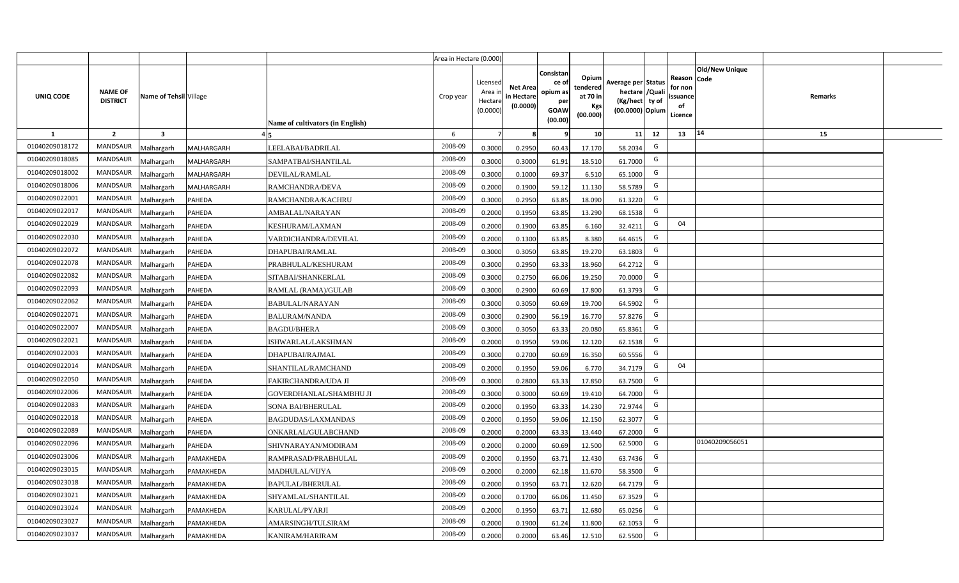|                |                                   |                         |               |                                  | Area in Hectare (0.000) |                                            |                                           |                                                                |                                                  |                                                                            |    |                                                                             |         |  |
|----------------|-----------------------------------|-------------------------|---------------|----------------------------------|-------------------------|--------------------------------------------|-------------------------------------------|----------------------------------------------------------------|--------------------------------------------------|----------------------------------------------------------------------------|----|-----------------------------------------------------------------------------|---------|--|
| UNIQ CODE      | <b>NAME OF</b><br><b>DISTRICT</b> | Name of Tehsil Village  |               | Name of cultivators (in English) | Crop year               | Licensed<br>Area in<br>Hectare<br>(0.0000) | <b>Net Area</b><br>in Hectare<br>(0.0000) | Consistan<br>ce o<br>opium as<br>per<br><b>GOAW</b><br>(00.00) | Opium<br>tendered<br>at 70 in<br>Kgs<br>(00.000) | Average per Status<br>hectare / Quali<br>(Kg/hect ty of<br>(00.0000) Opium |    | <b>Old/New Unique</b><br>Reason Code<br>for non<br>ssuance<br>of<br>Licence | Remarks |  |
| $\mathbf{1}$   | $\overline{2}$                    | $\overline{\mathbf{3}}$ |               |                                  | 6                       | $\overline{7}$                             | -8                                        | ٩                                                              | 10                                               | 11                                                                         | 12 | 14<br>13                                                                    | 15      |  |
| 01040209018172 | MANDSAUR                          | <b>Malhargarh</b>       | MALHARGARH    | LEELABAI/BADRILAL                | 2008-09                 | 0.3000                                     | 0.2950                                    | 60.43                                                          | 17.170                                           | 58.2034                                                                    | G  |                                                                             |         |  |
| 01040209018085 | <b>MANDSAUR</b>                   | <b>Malhargarh</b>       | MALHARGARH    | SAMPATBAI/SHANTILAL              | 2008-09                 | 0.3000                                     | 0.3000                                    | 61.91                                                          | 18.510                                           | 61.7000                                                                    | G  |                                                                             |         |  |
| 01040209018002 | <b>MANDSAUR</b>                   | <b>Malhargarh</b>       | MALHARGARH    | DEVILAL/RAMLAL                   | 2008-09                 | 0.3000                                     | 0.1000                                    | 69.37                                                          | 6.510                                            | 65.1000                                                                    | G  |                                                                             |         |  |
| 01040209018006 | <b>MANDSAUR</b>                   | <b>Malhargarh</b>       | MALHARGARH    | RAMCHANDRA/DEVA                  | 2008-09                 | 0.2000                                     | 0.1900                                    | 59.12                                                          | 11.130                                           | 58.5789                                                                    | G  |                                                                             |         |  |
| 01040209022001 | <b>MANDSAUR</b>                   | <b>Malhargarh</b>       | <b>PAHEDA</b> | RAMCHANDRA/KACHRU                | 2008-09                 | 0.3000                                     | 0.2950                                    | 63.85                                                          | 18.090                                           | 61.3220                                                                    | G  |                                                                             |         |  |
| 01040209022017 | <b>MANDSAUR</b>                   | <b>Malhargarh</b>       | PAHEDA        | AMBALAL/NARAYAN                  | 2008-09                 | 0.2000                                     | 0.1950                                    | 63.85                                                          | 13.290                                           | 68.1538                                                                    | G  |                                                                             |         |  |
| 01040209022029 | <b>MANDSAUR</b>                   | <b>Malhargarh</b>       | PAHEDA        | KESHURAM/LAXMAN                  | 2008-09                 | 0.2000                                     | 0.1900                                    | 63.85                                                          | 6.160                                            | 32.4211                                                                    | G  | 04                                                                          |         |  |
| 01040209022030 | <b>MANDSAUR</b>                   | <b>Malhargarh</b>       | PAHEDA        | VARDICHANDRA/DEVILAL             | 2008-09                 | 0.2000                                     | 0.1300                                    | 63.85                                                          | 8.380                                            | 64.4615                                                                    | G  |                                                                             |         |  |
| 01040209022072 | <b>MANDSAUR</b>                   | <b>Malhargarh</b>       | PAHEDA        | DHAPUBAI/RAMLAL                  | 2008-09                 | 0.3000                                     | 0.3050                                    | 63.85                                                          | 19.270                                           | 63.1803                                                                    | G  |                                                                             |         |  |
| 01040209022078 | MANDSAUR                          | <b>Malhargarh</b>       | PAHEDA        | PRABHULAL/KESHURAM               | 2008-09                 | 0.3000                                     | 0.2950                                    | 63.33                                                          | 18.960                                           | 64.2712                                                                    | G  |                                                                             |         |  |
| 01040209022082 | <b>MANDSAUR</b>                   | <b>Malhargarh</b>       | PAHEDA        | SITABAI/SHANKERLAL               | 2008-09                 | 0.3000                                     | 0.2750                                    | 66.06                                                          | 19.250                                           | 70.0000                                                                    | G  |                                                                             |         |  |
| 01040209022093 | <b>MANDSAUR</b>                   | <b>Malhargarh</b>       | PAHEDA        | RAMLAL (RAMA)/GULAB              | 2008-09                 | 0.3000                                     | 0.2900                                    | 60.69                                                          | 17.800                                           | 61.3793                                                                    | G  |                                                                             |         |  |
| 01040209022062 | <b>MANDSAUR</b>                   | <b>Malhargarh</b>       | PAHEDA        | <b>BABULAL/NARAYAN</b>           | 2008-09                 | 0.3000                                     | 0.3050                                    | 60.69                                                          | 19.700                                           | 64.5902                                                                    | G  |                                                                             |         |  |
| 01040209022071 | <b>MANDSAUR</b>                   | Malhargarh              | PAHEDA        | <b>BALURAM/NANDA</b>             | 2008-09                 | 0.3000                                     | 0.2900                                    | 56.19                                                          | 16.770                                           | 57.8276                                                                    | G  |                                                                             |         |  |
| 01040209022007 | <b>MANDSAUR</b>                   | Malhargarh              | PAHEDA        | <b>BAGDU/BHERA</b>               | 2008-09                 | 0.3000                                     | 0.3050                                    | 63.33                                                          | 20.080                                           | 65.8361                                                                    | G  |                                                                             |         |  |
| 01040209022021 | MANDSAUR                          | Malhargarh              | PAHEDA        | ISHWARLAL/LAKSHMAN               | 2008-09                 | 0.2000                                     | 0.1950                                    | 59.06                                                          | 12.120                                           | 62.1538                                                                    | G  |                                                                             |         |  |
| 01040209022003 | <b>MANDSAUR</b>                   | <b>Malhargarh</b>       | PAHEDA        | DHAPUBAI/RAJMAL                  | 2008-09                 | 0.3000                                     | 0.2700                                    | 60.69                                                          | 16.350                                           | 60.5556                                                                    | G  |                                                                             |         |  |
| 01040209022014 | MANDSAUR                          | <b>Malhargarh</b>       | PAHEDA        | SHANTILAL/RAMCHAND               | 2008-09                 | 0.2000                                     | 0.1950                                    | 59.06                                                          | 6.770                                            | 34.7179                                                                    | G  | 04                                                                          |         |  |
| 01040209022050 | <b>MANDSAUR</b>                   | <b>Malhargarh</b>       | PAHEDA        | FAKIRCHANDRA/UDA JI              | 2008-09                 | 0.3000                                     | 0.2800                                    | 63.33                                                          | 17.850                                           | 63.7500                                                                    | G  |                                                                             |         |  |
| 01040209022006 | <b>MANDSAUR</b>                   | Malhargarh              | PAHEDA        | GOVERDHANLAL/SHAMBHU JI          | 2008-09                 | 0.3000                                     | 0.3000                                    | 60.69                                                          | 19.410                                           | 64.7000                                                                    | G  |                                                                             |         |  |
| 01040209022083 | <b>MANDSAUR</b>                   | <b>Malhargarh</b>       | PAHEDA        | SONA BAI/BHERULAL                | 2008-09                 | 0.2000                                     | 0.1950                                    | 63.33                                                          | 14.230                                           | 72.9744                                                                    | G  |                                                                             |         |  |
| 01040209022018 | MANDSAUR                          | <b>Malhargarh</b>       | PAHEDA        | BAGDUDAS/LAXMANDAS               | 2008-09                 | 0.2000                                     | 0.1950                                    | 59.06                                                          | 12.150                                           | 62.3077                                                                    | G  |                                                                             |         |  |
| 01040209022089 | MANDSAUR                          | Aalhargarh              | PAHEDA        | ONKARLAL/GULABCHAND              | 2008-09                 | 0.2000                                     | 0.2000                                    | 63.33                                                          | 13.440                                           | 67.2000                                                                    | G  |                                                                             |         |  |
| 01040209022096 | <b>MANDSAUR</b>                   | <b>Malhargarh</b>       | PAHEDA        | SHIVNARAYAN/MODIRAM              | 2008-09                 | 0.2000                                     | 0.2000                                    | 60.69                                                          | 12.500                                           | 62.5000                                                                    | G  | 01040209056051                                                              |         |  |
| 01040209023006 | <b>MANDSAUR</b>                   | <b>Malhargarh</b>       | PAMAKHEDA     | RAMPRASAD/PRABHULAL              | 2008-09                 | 0.2000                                     | 0.1950                                    | 63.71                                                          | 12.430                                           | 63.7436                                                                    | G  |                                                                             |         |  |
| 01040209023015 | MANDSAUR                          | <b>Malhargarh</b>       | PAMAKHEDA     | MADHULAL/VIJYA                   | 2008-09                 | 0.2000                                     | 0.2000                                    | 62.18                                                          | 11.670                                           | 58.3500                                                                    | G  |                                                                             |         |  |
| 01040209023018 | <b>MANDSAUR</b>                   | <b>Malhargarh</b>       | PAMAKHEDA     | BAPULAL/BHERULAL                 | 2008-09                 | 0.2000                                     | 0.1950                                    | 63.71                                                          | 12.620                                           | 64.7179                                                                    | G  |                                                                             |         |  |
| 01040209023021 | <b>MANDSAUR</b>                   | <b>Malhargarh</b>       | PAMAKHEDA     | SHYAMLAL/SHANTILAL               | 2008-09                 | 0.2000                                     | 0.1700                                    | 66.06                                                          | 11.450                                           | 67.3529                                                                    | G  |                                                                             |         |  |
| 01040209023024 | <b>MANDSAUR</b>                   | <b>Malhargarh</b>       | PAMAKHEDA     | KARULAL/PYARJI                   | 2008-09                 | 0.2000                                     | 0.1950                                    | 63.71                                                          | 12.680                                           | 65.0256                                                                    | G  |                                                                             |         |  |
| 01040209023027 | <b>MANDSAUR</b>                   | <b>Malhargarh</b>       | PAMAKHEDA     | AMARSINGH/TULSIRAM               | 2008-09                 | 0.2000                                     | 0.1900                                    | 61.24                                                          | 11.800                                           | 62.1053                                                                    | G  |                                                                             |         |  |
| 01040209023037 | MANDSAUR                          | Malhargarh              | PAMAKHEDA     | KANIRAM/HARIRAM                  | 2008-09                 | 0.2000                                     | 0.2000                                    | 63.46                                                          | 12.510                                           | 62.5500                                                                    | G  |                                                                             |         |  |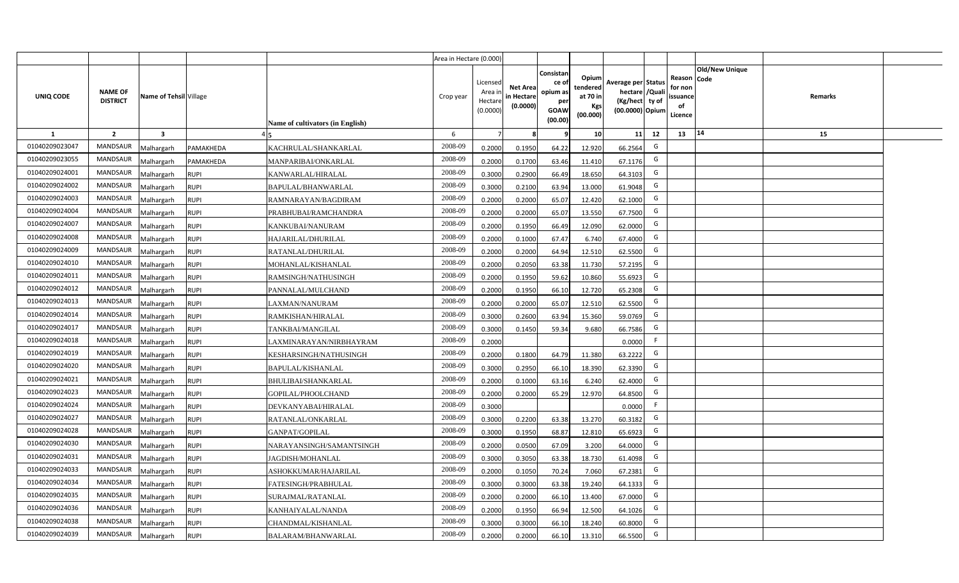|                |                                   |                         |             |                                  | Area in Hectare (0.000) |                                           |                                           |                                                                |                                                  |                                                                            |    |                                                     |                       |         |  |
|----------------|-----------------------------------|-------------------------|-------------|----------------------------------|-------------------------|-------------------------------------------|-------------------------------------------|----------------------------------------------------------------|--------------------------------------------------|----------------------------------------------------------------------------|----|-----------------------------------------------------|-----------------------|---------|--|
| UNIQ CODE      | <b>NAME OF</b><br><b>DISTRICT</b> | Name of Tehsil Village  |             | Name of cultivators (in English) | Crop year               | Licensed<br>Area i<br>Hectare<br>(0.0000) | <b>Net Area</b><br>in Hectare<br>(0.0000) | Consistan<br>ce o<br>opium as<br>per<br><b>GOAW</b><br>(00.00) | Opium<br>tendered<br>at 70 in<br>Kgs<br>(00.000) | Average per Status<br>hectare / Quali<br>(Kg/hect ty of<br>(00.0000) Opium |    | Reason Code<br>for non<br>issuance<br>of<br>Licence | <b>Old/New Unique</b> | Remarks |  |
| 1              | $\overline{2}$                    | $\overline{\mathbf{3}}$ |             |                                  | 6                       | 7                                         |                                           |                                                                | 10 <sup>1</sup>                                  | 11                                                                         | 12 | 13                                                  | 14                    | 15      |  |
| 01040209023047 | <b>MANDSAUR</b>                   | Malhargarh              | PAMAKHEDA   | KACHRULAL/SHANKARLAL             | 2008-09                 | 0.2000                                    | 0.1950                                    | 64.22                                                          | 12.920                                           | 66.2564                                                                    | G  |                                                     |                       |         |  |
| 01040209023055 | MANDSAUR                          | Malhargarh              | PAMAKHEDA   | MANPARIBAI/ONKARLAL              | 2008-09                 | 0.2000                                    | 0.1700                                    | 63.46                                                          | 11.410                                           | 67.1176                                                                    | G  |                                                     |                       |         |  |
| 01040209024001 | <b>MANDSAUR</b>                   | Malhargarh              | <b>RUPI</b> | KANWARLAL/HIRALAL                | 2008-09                 | 0.3000                                    | 0.2900                                    | 66.49                                                          | 18.650                                           | 64.3103                                                                    | G  |                                                     |                       |         |  |
| 01040209024002 | <b>MANDSAUR</b>                   | Malhargarh              | <b>RUPI</b> | BAPULAL/BHANWARLAL               | 2008-09                 | 0.3000                                    | 0.2100                                    | 63.94                                                          | 13.000                                           | 61.9048                                                                    | G  |                                                     |                       |         |  |
| 01040209024003 | <b>MANDSAUR</b>                   | Malhargarh              | <b>RUPI</b> | RAMNARAYAN/BAGDIRAM              | 2008-09                 | 0.2000                                    | 0.2000                                    | 65.07                                                          | 12.420                                           | 62.1000                                                                    | G  |                                                     |                       |         |  |
| 01040209024004 | <b>MANDSAUR</b>                   | Malhargarh              | <b>RUPI</b> | PRABHUBAI/RAMCHANDRA             | 2008-09                 | 0.2000                                    | 0.2000                                    | 65.07                                                          | 13.550                                           | 67.7500                                                                    | G  |                                                     |                       |         |  |
| 01040209024007 | <b>MANDSAUR</b>                   | Malhargarh              | <b>RUPI</b> | KANKUBAI/NANURAM                 | 2008-09                 | 0.2000                                    | 0.1950                                    | 66.49                                                          | 12.090                                           | 62.0000                                                                    | G  |                                                     |                       |         |  |
| 01040209024008 | MANDSAUR                          | Malhargarh              | <b>RUPI</b> | HAJARILAL/DHURILAL               | 2008-09                 | 0.2000                                    | 0.1000                                    | 67.47                                                          | 6.740                                            | 67.4000                                                                    | G  |                                                     |                       |         |  |
| 01040209024009 | MANDSAUR                          | Malhargarh              | <b>RUPI</b> | RATANLAL/DHURILAL                | 2008-09                 | 0.2000                                    | 0.2000                                    | 64.94                                                          | 12.510                                           | 62.5500                                                                    | G  |                                                     |                       |         |  |
| 01040209024010 | MANDSAUR                          | Malhargarh              | <b>RUPI</b> | MOHANLAL/KISHANLAL               | 2008-09                 | 0.2000                                    | 0.2050                                    | 63.38                                                          | 11.730                                           | 57.2195                                                                    | G  |                                                     |                       |         |  |
| 01040209024011 | MANDSAUR                          | Malhargarh              | <b>RUPI</b> | RAMSINGH/NATHUSINGH              | 2008-09                 | 0.2000                                    | 0.1950                                    | 59.62                                                          | 10.860                                           | 55.6923                                                                    | G  |                                                     |                       |         |  |
| 01040209024012 | MANDSAUR                          | Malhargarh              | <b>RUPI</b> | PANNALAL/MULCHAND                | 2008-09                 | 0.2000                                    | 0.1950                                    | 66.10                                                          | 12.720                                           | 65.2308                                                                    | G  |                                                     |                       |         |  |
| 01040209024013 | <b>MANDSAUR</b>                   | Malhargarh              | <b>RUPI</b> | LAXMAN/NANURAM                   | 2008-09                 | 0.2000                                    | 0.2000                                    | 65.07                                                          | 12.510                                           | 62.5500                                                                    | G  |                                                     |                       |         |  |
| 01040209024014 | <b>MANDSAUR</b>                   | Malhargarh              | <b>RUPI</b> | RAMKISHAN/HIRALAL                | 2008-09                 | 0.3000                                    | 0.2600                                    | 63.94                                                          | 15.360                                           | 59.0769                                                                    | G  |                                                     |                       |         |  |
| 01040209024017 | MANDSAUR                          | Malhargarh              | <b>RUPI</b> | TANKBAI/MANGILAL                 | 2008-09                 | 0.3000                                    | 0.1450                                    | 59.34                                                          | 9.680                                            | 66.7586                                                                    | G  |                                                     |                       |         |  |
| 01040209024018 | <b>MANDSAUR</b>                   | Malhargarh              | <b>RUPI</b> | LAXMINARAYAN/NIRBHAYRAM          | 2008-09                 | 0.2000                                    |                                           |                                                                |                                                  | 0.0000                                                                     | F  |                                                     |                       |         |  |
| 01040209024019 | MANDSAUR                          | Malhargarh              | <b>RUPI</b> | KESHARSINGH/NATHUSINGH           | 2008-09                 | 0.2000                                    | 0.1800                                    | 64.79                                                          | 11.380                                           | 63.2222                                                                    | G  |                                                     |                       |         |  |
| 01040209024020 | MANDSAUR                          | Malhargarh              | <b>RUPI</b> | <b>BAPULAL/KISHANLAL</b>         | 2008-09                 | 0.3000                                    | 0.2950                                    | 66.10                                                          | 18.390                                           | 62.3390                                                                    | G  |                                                     |                       |         |  |
| 01040209024021 | MANDSAUR                          | Malhargarh              | <b>RUPI</b> | BHULIBAI/SHANKARLAL              | 2008-09                 | 0.2000                                    | 0.1000                                    | 63.16                                                          | 6.240                                            | 62.4000                                                                    | G  |                                                     |                       |         |  |
| 01040209024023 | MANDSAUR                          | Malhargarh              | <b>RUPI</b> | GOPILAL/PHOOLCHAND               | 2008-09                 | 0.2000                                    | 0.2000                                    | 65.29                                                          | 12.970                                           | 64.8500                                                                    | G  |                                                     |                       |         |  |
| 01040209024024 | MANDSAUR                          | Malhargarh              | <b>RUPI</b> | DEVKANYABAI/HIRALAL              | 2008-09                 | 0.3000                                    |                                           |                                                                |                                                  | 0.0000                                                                     | F  |                                                     |                       |         |  |
| 01040209024027 | MANDSAUR                          | Malhargarh              | <b>RUPI</b> | RATANLAL/ONKARLAL                | 2008-09                 | 0.3000                                    | 0.2200                                    | 63.38                                                          | 13.270                                           | 60.3182                                                                    | G  |                                                     |                       |         |  |
| 01040209024028 | MANDSAUR                          | Malhargarh              | <b>RUPI</b> | GANPAT/GOPILAL                   | 2008-09                 | 0.3000                                    | 0.1950                                    | 68.87                                                          | 12.810                                           | 65.6923                                                                    | G  |                                                     |                       |         |  |
| 01040209024030 | MANDSAUR                          | Malhargarh              | <b>RUPI</b> | NARAYANSINGH/SAMANTSINGH         | 2008-09                 | 0.2000                                    | 0.0500                                    | 67.09                                                          | 3.200                                            | 64.0000                                                                    | G  |                                                     |                       |         |  |
| 01040209024031 | MANDSAUR                          | Malhargarh              | <b>RUPI</b> | JAGDISH/MOHANLAL                 | 2008-09                 | 0.3000                                    | 0.3050                                    | 63.38                                                          | 18.730                                           | 61.4098                                                                    | G  |                                                     |                       |         |  |
| 01040209024033 | MANDSAUR                          | Malhargarh              | <b>RUPI</b> | ASHOKKUMAR/HAJARILAL             | 2008-09                 | 0.2000                                    | 0.1050                                    | 70.24                                                          | 7.060                                            | 67.2381                                                                    | G  |                                                     |                       |         |  |
| 01040209024034 | MANDSAUR                          | Malhargarh              | <b>RUPI</b> | FATESINGH/PRABHULAL              | 2008-09                 | 0.3000                                    | 0.3000                                    | 63.38                                                          | 19.240                                           | 64.1333                                                                    | G  |                                                     |                       |         |  |
| 01040209024035 | MANDSAUR                          | Malhargarh              | <b>RUPI</b> | SURAJMAL/RATANLAL                | 2008-09                 | 0.2000                                    | 0.2000                                    | 66.10                                                          | 13.400                                           | 67.0000                                                                    | G  |                                                     |                       |         |  |
| 01040209024036 | MANDSAUR                          | Malhargarh              | <b>RUPI</b> | KANHAIYALAL/NANDA                | 2008-09                 | 0.2000                                    | 0.1950                                    | 66.94                                                          | 12.500                                           | 64.1026                                                                    | G  |                                                     |                       |         |  |
| 01040209024038 | MANDSAUR                          | Malhargarh              | <b>RUPI</b> | CHANDMAL/KISHANLAL               | 2008-09                 | 0.3000                                    | 0.3000                                    | 66.10                                                          | 18.240                                           | 60.8000                                                                    | G  |                                                     |                       |         |  |
| 01040209024039 | MANDSAUR                          | Malhargarh              | <b>RUPI</b> | BALARAM/BHANWARLAL               | 2008-09                 | 0.2000                                    | 0.2000                                    | 66.10                                                          | 13.310                                           | 66.5500                                                                    | G  |                                                     |                       |         |  |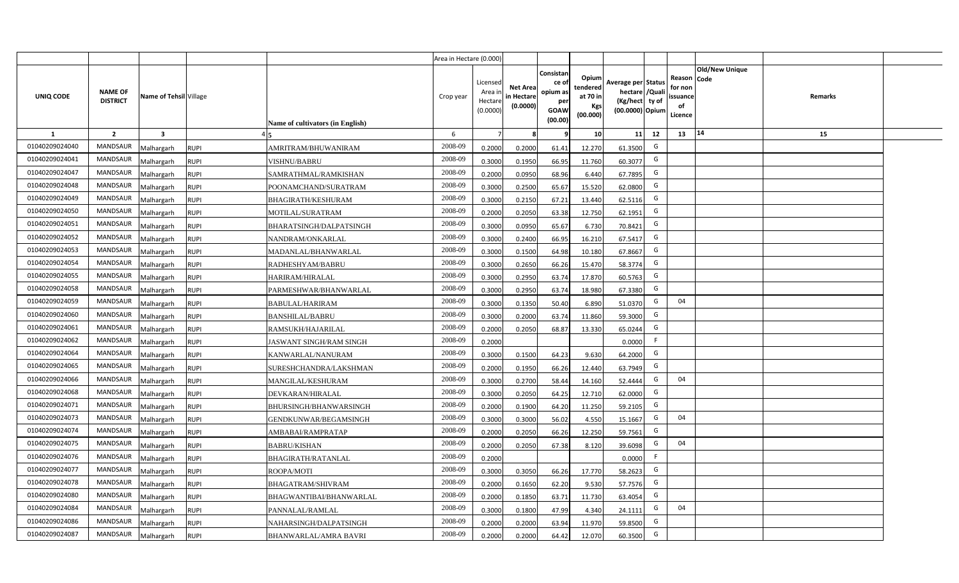|                |                                   |                        |             |                                         | Area in Hectare (0.000) |                                           |                                           |                                                                |                                                  |                                                                            |    |                                                     |                       |         |  |
|----------------|-----------------------------------|------------------------|-------------|-----------------------------------------|-------------------------|-------------------------------------------|-------------------------------------------|----------------------------------------------------------------|--------------------------------------------------|----------------------------------------------------------------------------|----|-----------------------------------------------------|-----------------------|---------|--|
| UNIQ CODE      | <b>NAME OF</b><br><b>DISTRICT</b> | Name of Tehsil Village |             | <b>Name of cultivators (in English)</b> | Crop year               | Licensed<br>Area i<br>Hectare<br>(0.0000) | <b>Net Area</b><br>in Hectare<br>(0.0000) | Consistan<br>ce o<br>opium as<br>per<br><b>GOAW</b><br>(00.00) | Opium<br>tendered<br>at 70 in<br>Kgs<br>(00.000) | Average per Status<br>hectare / Quali<br>(Kg/hect ty of<br>(00.0000) Opium |    | Reason Code<br>for non<br>issuance<br>of<br>Licence | <b>Old/New Unique</b> | Remarks |  |
| 1              | $\overline{2}$                    | $\mathbf{3}$           |             |                                         | 6                       | $\overline{7}$                            |                                           | q                                                              | 10 <sup>1</sup>                                  | 11                                                                         | 12 | 13                                                  | 14                    | 15      |  |
| 01040209024040 | <b>MANDSAUR</b>                   | Malhargarh             | <b>RUPI</b> | AMRITRAM/BHUWANIRAM                     | 2008-09                 | 0.2000                                    | 0.2000                                    | 61.41                                                          | 12.270                                           | 61.3500                                                                    | G  |                                                     |                       |         |  |
| 01040209024041 | <b>MANDSAUR</b>                   | Malhargarh             | <b>RUPI</b> | <b>VISHNU/BABRU</b>                     | 2008-09                 | 0.3000                                    | 0.1950                                    | 66.95                                                          | 11.760                                           | 60.3077                                                                    | G  |                                                     |                       |         |  |
| 01040209024047 | <b>MANDSAUR</b>                   | Malhargarh             | <b>RUPI</b> | SAMRATHMAL/RAMKISHAN                    | 2008-09                 | 0.2000                                    | 0.0950                                    | 68.96                                                          | 6.440                                            | 67.7895                                                                    | G  |                                                     |                       |         |  |
| 01040209024048 | <b>MANDSAUR</b>                   | Malhargarh             | <b>RUPI</b> | POONAMCHAND/SURATRAM                    | 2008-09                 | 0.3000                                    | 0.2500                                    | 65.67                                                          | 15.520                                           | 62.0800                                                                    | G  |                                                     |                       |         |  |
| 01040209024049 | <b>MANDSAUR</b>                   | Malhargarh             | <b>RUPI</b> | <b>BHAGIRATH/KESHURAM</b>               | 2008-09                 | 0.3000                                    | 0.2150                                    | 67.21                                                          | 13.440                                           | 62.5116                                                                    | G  |                                                     |                       |         |  |
| 01040209024050 | MANDSAUR                          | Malhargarh             | <b>RUPI</b> | MOTILAL/SURATRAM                        | 2008-09                 | 0.2000                                    | 0.2050                                    | 63.38                                                          | 12.750                                           | 62.1951                                                                    | G  |                                                     |                       |         |  |
| 01040209024051 | MANDSAUR                          | Malhargarh             | <b>RUPI</b> | BHARATSINGH/DALPATSINGH                 | 2008-09                 | 0.3000                                    | 0.0950                                    | 65.67                                                          | 6.730                                            | 70.8421                                                                    | G  |                                                     |                       |         |  |
| 01040209024052 | MANDSAUR                          | Malhargarh             | <b>RUPI</b> | NANDRAM/ONKARLAL                        | 2008-09                 | 0.3000                                    | 0.2400                                    | 66.95                                                          | 16.210                                           | 67.5417                                                                    | G  |                                                     |                       |         |  |
| 01040209024053 | MANDSAUR                          | Malhargarh             | <b>RUPI</b> | MADANLAL/BHANWARLAL                     | 2008-09                 | 0.3000                                    | 0.1500                                    | 64.98                                                          | 10.180                                           | 67.8667                                                                    | G  |                                                     |                       |         |  |
| 01040209024054 | MANDSAUR                          | Malhargarh             | <b>RUPI</b> | RADHESHYAM/BABRU                        | 2008-09                 | 0.3000                                    | 0.2650                                    | 66.26                                                          | 15.470                                           | 58.3774                                                                    | G  |                                                     |                       |         |  |
| 01040209024055 | MANDSAUR                          | Malhargarh             | <b>RUPI</b> | HARIRAM/HIRALAL                         | 2008-09                 | 0.3000                                    | 0.2950                                    | 63.74                                                          | 17.870                                           | 60.5763                                                                    | G  |                                                     |                       |         |  |
| 01040209024058 | <b>MANDSAUR</b>                   | Malhargarh             | <b>RUPI</b> | PARMESHWAR/BHANWARLAL                   | 2008-09                 | 0.3000                                    | 0.2950                                    | 63.74                                                          | 18.980                                           | 67.3380                                                                    | G  |                                                     |                       |         |  |
| 01040209024059 | MANDSAUR                          | Malhargarh             | <b>RUPI</b> | <b>BABULAL/HARIRAM</b>                  | 2008-09                 | 0.3000                                    | 0.1350                                    | 50.40                                                          | 6.890                                            | 51.0370                                                                    | G  | 04                                                  |                       |         |  |
| 01040209024060 | MANDSAUR                          | Malhargarh             | <b>RUPI</b> | <b>BANSHILAL/BABRU</b>                  | 2008-09                 | 0.3000                                    | 0.2000                                    | 63.74                                                          | 11.860                                           | 59.3000                                                                    | G  |                                                     |                       |         |  |
| 01040209024061 | MANDSAUR                          | Malhargarh             | <b>RUPI</b> | RAMSUKH/HAJARILAL                       | 2008-09                 | 0.2000                                    | 0.2050                                    | 68.87                                                          | 13.330                                           | 65.0244                                                                    | G  |                                                     |                       |         |  |
| 01040209024062 | MANDSAUR                          | Malhargarh             | <b>RUPI</b> | JASWANT SINGH/RAM SINGH                 | 2008-09                 | 0.2000                                    |                                           |                                                                |                                                  | 0.0000                                                                     | F. |                                                     |                       |         |  |
| 01040209024064 | MANDSAUR                          | Malhargarh             | <b>RUPI</b> | KANWARLAL/NANURAM                       | 2008-09                 | 0.3000                                    | 0.1500                                    | 64.23                                                          | 9.630                                            | 64.2000                                                                    | G  |                                                     |                       |         |  |
| 01040209024065 | MANDSAUR                          | Malhargarh             | <b>RUPI</b> | SURESHCHANDRA/LAKSHMAN                  | 2008-09                 | 0.2000                                    | 0.1950                                    | 66.26                                                          | 12.440                                           | 63.7949                                                                    | G  |                                                     |                       |         |  |
| 01040209024066 | MANDSAUR                          | Malhargarh             | <b>RUPI</b> | MANGILAL/KESHURAM                       | 2008-09                 | 0.3000                                    | 0.2700                                    | 58.44                                                          | 14.160                                           | 52.4444                                                                    | G  | 04                                                  |                       |         |  |
| 01040209024068 | MANDSAUR                          | Malhargarh             | <b>RUPI</b> | DEVKARAN/HIRALAL                        | 2008-09                 | 0.3000                                    | 0.2050                                    | 64.25                                                          | 12.710                                           | 62.0000                                                                    | G  |                                                     |                       |         |  |
| 01040209024071 | MANDSAUR                          | Malhargarh             | <b>RUPI</b> | <b>BHURSINGH/BHANWARSINGH</b>           | 2008-09                 | 0.2000                                    | 0.1900                                    | 64.20                                                          | 11.250                                           | 59.2105                                                                    | G  |                                                     |                       |         |  |
| 01040209024073 | MANDSAUR                          | Malhargarh             | <b>RUPI</b> | GENDKUNWAR/BEGAMSINGH                   | 2008-09                 | 0.3000                                    | 0.3000                                    | 56.02                                                          | 4.550                                            | 15.1667                                                                    | G  | 04                                                  |                       |         |  |
| 01040209024074 | MANDSAUR                          | Malhargarh             | <b>RUPI</b> | AMBABAI/RAMPRATAP                       | 2008-09                 | 0.2000                                    | 0.2050                                    | 66.26                                                          | 12.250                                           | 59.7561                                                                    | G  |                                                     |                       |         |  |
| 01040209024075 | MANDSAUR                          | Malhargarh             | <b>RUPI</b> | <b>BABRU/KISHAN</b>                     | 2008-09                 | 0.2000                                    | 0.2050                                    | 67.38                                                          | 8.120                                            | 39.6098                                                                    | G  | 04                                                  |                       |         |  |
| 01040209024076 | MANDSAUR                          | Malhargarh             | <b>RUPI</b> | <b>BHAGIRATH/RATANLAL</b>               | 2008-09                 | 0.2000                                    |                                           |                                                                |                                                  | 0.0000                                                                     | F  |                                                     |                       |         |  |
| 01040209024077 | MANDSAUR                          | Malhargarh             | <b>RUPI</b> | ROOPA/MOTI                              | 2008-09                 | 0.3000                                    | 0.3050                                    | 66.26                                                          | 17.770                                           | 58.2623                                                                    | G  |                                                     |                       |         |  |
| 01040209024078 | MANDSAUR                          | Malhargarh             | <b>RUPI</b> | BHAGATRAM/SHIVRAM                       | 2008-09                 | 0.2000                                    | 0.1650                                    | 62.20                                                          | 9.530                                            | 57.7576                                                                    | G  |                                                     |                       |         |  |
| 01040209024080 | MANDSAUR                          | Malhargarh             | <b>RUPI</b> | BHAGWANTIBAI/BHANWARLAL                 | 2008-09                 | 0.2000                                    | 0.1850                                    | 63.71                                                          | 11.730                                           | 63.4054                                                                    | G  |                                                     |                       |         |  |
| 01040209024084 | MANDSAUR                          | Malhargarh             | <b>RUPI</b> | PANNALAL/RAMLAL                         | 2008-09                 | 0.3000                                    | 0.1800                                    | 47.99                                                          | 4.340                                            | 24.1111                                                                    | G  | 04                                                  |                       |         |  |
| 01040209024086 | MANDSAUR                          | Malhargarh             | <b>RUPI</b> | NAHARSINGH/DALPATSINGH                  | 2008-09                 | 0.2000                                    | 0.2000                                    | 63.94                                                          | 11.970                                           | 59.8500                                                                    | G  |                                                     |                       |         |  |
| 01040209024087 | MANDSAUR                          | Malhargarh             | <b>RUPI</b> | <b>BHANWARLAL/AMRA BAVRI</b>            | 2008-09                 | 0.2000                                    | 0.2000                                    | 64.42                                                          | 12.070                                           | 60.3500                                                                    | G  |                                                     |                       |         |  |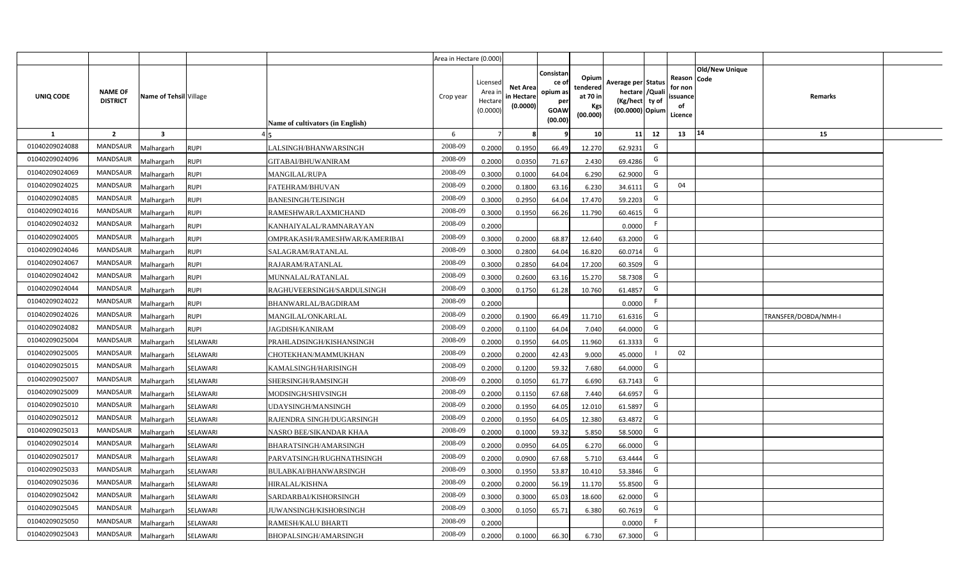|                |                                   |                           |                                  | Area in Hectare (0.000) |                                          |                                           |                                                          |                                                  |                                                                            |    |                                                     |                       |                      |  |
|----------------|-----------------------------------|---------------------------|----------------------------------|-------------------------|------------------------------------------|-------------------------------------------|----------------------------------------------------------|--------------------------------------------------|----------------------------------------------------------------------------|----|-----------------------------------------------------|-----------------------|----------------------|--|
| UNIQ CODE      | <b>NAME OF</b><br><b>DISTRICT</b> | Name of Tehsil Village    | Name of cultivators (in English) | Crop year               | Licensed<br>Area i<br>Hectar<br>(0.0000) | <b>Net Area</b><br>in Hectare<br>(0.0000) | Consistan<br>ce of<br>opium as<br>per<br>GOAW<br>(00.00) | Opium<br>tendered<br>at 70 in<br>Kgs<br>(00.000) | Average per Status<br>hectare / Quali<br>(Kg/hect ty of<br>(00.0000) Opium |    | Reason Code<br>for non<br>issuance<br>of<br>Licence | <b>Old/New Unique</b> | Remarks              |  |
| 1              | $\overline{2}$                    | $\overline{\mathbf{3}}$   |                                  | 6                       |                                          |                                           |                                                          | 10 <sup>1</sup>                                  | 11                                                                         | 12 | 13                                                  | 14                    | 15                   |  |
| 01040209024088 | <b>MANDSAUR</b>                   | Malhargarh<br><b>RUPI</b> | LALSINGH/BHANWARSINGH            | 2008-09                 | 0.2000                                   | 0.1950                                    | 66.49                                                    | 12.270                                           | 62.9231                                                                    | G  |                                                     |                       |                      |  |
| 01040209024096 | <b>MANDSAUR</b>                   | Malhargarh<br><b>RUPI</b> | GITABAI/BHUWANIRAM               | 2008-09                 | 0.2000                                   | 0.0350                                    | 71.67                                                    | 2.430                                            | 69.4286                                                                    | G  |                                                     |                       |                      |  |
| 01040209024069 | MANDSAUR                          | Malhargarh<br><b>RUPI</b> | <b>MANGILAL/RUPA</b>             | 2008-09                 | 0.3000                                   | 0.1000                                    | 64.04                                                    | 6.290                                            | 62.9000                                                                    | G  |                                                     |                       |                      |  |
| 01040209024025 | MANDSAUR                          | Malhargarh<br><b>RUPI</b> | FATEHRAM/BHUVAN                  | 2008-09                 | 0.2000                                   | 0.1800                                    | 63.16                                                    | 6.230                                            | 34.6111                                                                    | G  | 04                                                  |                       |                      |  |
| 01040209024085 | <b>MANDSAUR</b>                   | Malhargarh<br><b>RUPI</b> | BANESINGH/TEJSINGH               | 2008-09                 | 0.3000                                   | 0.2950                                    | 64.04                                                    | 17.470                                           | 59.2203                                                                    | G  |                                                     |                       |                      |  |
| 01040209024016 | <b>MANDSAUR</b>                   | Malhargarh<br><b>RUPI</b> | RAMESHWAR/LAXMICHAND             | 2008-09                 | 0.3000                                   | 0.1950                                    | 66.26                                                    | 11.790                                           | 60.4615                                                                    | G  |                                                     |                       |                      |  |
| 01040209024032 | <b>MANDSAUR</b>                   | Malhargarh<br><b>RUPI</b> | KANHAIYALAL/RAMNARAYAN           | 2008-09                 | 0.2000                                   |                                           |                                                          |                                                  | 0.0000                                                                     |    |                                                     |                       |                      |  |
| 01040209024005 | <b>MANDSAUR</b>                   | Malhargarh<br><b>RUPI</b> | OMPRAKASH/RAMESHWAR/KAMERIBAI    | 2008-09                 | 0.3000                                   | 0.2000                                    | 68.87                                                    | 12.640                                           | 63.2000                                                                    | G  |                                                     |                       |                      |  |
| 01040209024046 | <b>MANDSAUR</b>                   | Malhargarh<br><b>RUPI</b> | SALAGRAM/RATANLAL                | 2008-09                 | 0.3000                                   | 0.2800                                    | 64.04                                                    | 16.820                                           | 60.0714                                                                    | G  |                                                     |                       |                      |  |
| 01040209024067 | <b>MANDSAUR</b>                   | <b>RUPI</b><br>Malhargarh | RAJARAM/RATANLAL                 | 2008-09                 | 0.3000                                   | 0.2850                                    | 64.04                                                    | 17.200                                           | 60.3509                                                                    | G  |                                                     |                       |                      |  |
| 01040209024042 | <b>MANDSAUR</b>                   | <b>RUPI</b><br>Malhargarh | MUNNALAL/RATANLAL                | 2008-09                 | 0.3000                                   | 0.2600                                    | 63.16                                                    | 15.270                                           | 58.7308                                                                    | G  |                                                     |                       |                      |  |
| 01040209024044 | MANDSAUR                          | Malhargarh<br><b>RUPI</b> | RAGHUVEERSINGH/SARDULSINGH       | 2008-09                 | 0.3000                                   | 0.1750                                    | 61.28                                                    | 10.760                                           | 61.4857                                                                    | G  |                                                     |                       |                      |  |
| 01040209024022 | <b>MANDSAUR</b>                   | Malhargarh<br><b>RUPI</b> | BHANWARLAL/BAGDIRAM              | 2008-09                 | 0.2000                                   |                                           |                                                          |                                                  | 0.0000                                                                     | F. |                                                     |                       |                      |  |
| 01040209024026 | <b>MANDSAUR</b>                   | Malhargarh<br><b>RUPI</b> | MANGILAL/ONKARLAL                | 2008-09                 | 0.2000                                   | 0.1900                                    | 66.49                                                    | 11.710                                           | 61.6316                                                                    | G  |                                                     |                       | TRANSFER/DOBDA/NMH-I |  |
| 01040209024082 | <b>MANDSAUR</b>                   | <b>RUPI</b><br>Malhargarh | JAGDISH/KANIRAM                  | 2008-09                 | 0.2000                                   | 0.1100                                    | 64.04                                                    | 7.040                                            | 64.0000                                                                    | G  |                                                     |                       |                      |  |
| 01040209025004 | <b>MANDSAUR</b>                   | Malhargarh<br>SELAWARI    | PRAHLADSINGH/KISHANSINGH         | 2008-09                 | 0.2000                                   | 0.1950                                    | 64.05                                                    | 11.960                                           | 61.3333                                                                    | G  |                                                     |                       |                      |  |
| 01040209025005 | <b>MANDSAUR</b>                   | Malhargarh<br>SELAWARI    | CHOTEKHAN/MAMMUKHAN              | 2008-09                 | 0.2000                                   | 0.2000                                    | 42.43                                                    | 9.000                                            | 45.0000                                                                    |    | 02                                                  |                       |                      |  |
| 01040209025015 | <b>MANDSAUR</b>                   | Malhargarh<br>SELAWARI    | KAMALSINGH/HARISINGH             | 2008-09                 | 0.2000                                   | 0.1200                                    | 59.32                                                    | 7.680                                            | 64.0000                                                                    | G  |                                                     |                       |                      |  |
| 01040209025007 | <b>MANDSAUR</b>                   | Malhargarh<br>SELAWARI    | SHERSINGH/RAMSINGH               | 2008-09                 | 0.2000                                   | 0.1050                                    | 61.77                                                    | 6.690                                            | 63.7143                                                                    | G  |                                                     |                       |                      |  |
| 01040209025009 | <b>MANDSAUR</b>                   | Malhargarh<br>SELAWARI    | MODSINGH/SHIVSINGH               | 2008-09                 | 0.2000                                   | 0.1150                                    | 67.68                                                    | 7.440                                            | 64.6957                                                                    | G  |                                                     |                       |                      |  |
| 01040209025010 | <b>MANDSAUR</b>                   | Malhargarh<br>SELAWARI    | JDAYSINGH/MANSINGH               | 2008-09                 | 0.2000                                   | 0.1950                                    | 64.05                                                    | 12.010                                           | 61.5897                                                                    | G  |                                                     |                       |                      |  |
| 01040209025012 | MANDSAUR                          | Malhargarh<br>SELAWARI    | RAJENDRA SINGH/DUGARSINGH        | 2008-09                 | 0.2000                                   | 0.1950                                    | 64.05                                                    | 12.380                                           | 63.4872                                                                    | G  |                                                     |                       |                      |  |
| 01040209025013 | <b>MANDSAUR</b>                   | Malhargarh<br>SELAWARI    | NASRO BEE/SIKANDAR KHAA          | 2008-09                 | 0.2000                                   | 0.1000                                    | 59.32                                                    | 5.850                                            | 58.5000                                                                    | G  |                                                     |                       |                      |  |
| 01040209025014 | <b>MANDSAUR</b>                   | Malhargarh<br>SELAWARI    | BHARATSINGH/AMARSINGH            | 2008-09                 | 0.2000                                   | 0.0950                                    | 64.05                                                    | 6.270                                            | 66.0000                                                                    | G  |                                                     |                       |                      |  |
| 01040209025017 | <b>MANDSAUR</b>                   | Malhargarh<br>SELAWARI    | PARVATSINGH/RUGHNATHSINGH        | 2008-09                 | 0.200                                    | 0.0900                                    | 67.68                                                    | 5.710                                            | 63.4444                                                                    | G  |                                                     |                       |                      |  |
| 01040209025033 | <b>MANDSAUR</b>                   | Malhargarh<br>SELAWARI    | BULABKAI/BHANWARSINGH            | 2008-09                 | 0.300                                    | 0.1950                                    | 53.87                                                    | 10.410                                           | 53.3846                                                                    | G  |                                                     |                       |                      |  |
| 01040209025036 | <b>MANDSAUR</b>                   | Malhargarh<br>SELAWARI    | HIRALAL/KISHNA                   | 2008-09                 | 0.200                                    | 0.2000                                    | 56.19                                                    | 11.170                                           | 55.8500                                                                    | G  |                                                     |                       |                      |  |
| 01040209025042 | <b>MANDSAUR</b>                   | Malhargarh<br>SELAWARI    | SARDARBAI/KISHORSINGH            | 2008-09                 | 0.3000                                   | 0.3000                                    | 65.03                                                    | 18.600                                           | 62.0000                                                                    | G  |                                                     |                       |                      |  |
| 01040209025045 | <b>MANDSAUR</b>                   | Malhargarh<br>SELAWARI    | UWANSINGH/KISHORSINGH            | 2008-09                 | 0.3000                                   | 0.1050                                    | 65.71                                                    | 6.380                                            | 60.7619                                                                    | G  |                                                     |                       |                      |  |
| 01040209025050 | <b>MANDSAUR</b>                   | Malhargarh<br>SELAWARI    | RAMESH/KALU BHARTI               | 2008-09                 | 0.2000                                   |                                           |                                                          |                                                  | 0.0000                                                                     | -F |                                                     |                       |                      |  |
| 01040209025043 | MANDSAUR                          | Malhargarh<br>SELAWARI    | BHOPALSINGH/AMARSINGH            | 2008-09                 | 0.2000                                   | 0.1000                                    | 66.30                                                    | 6.730                                            | 67.3000                                                                    | G  |                                                     |                       |                      |  |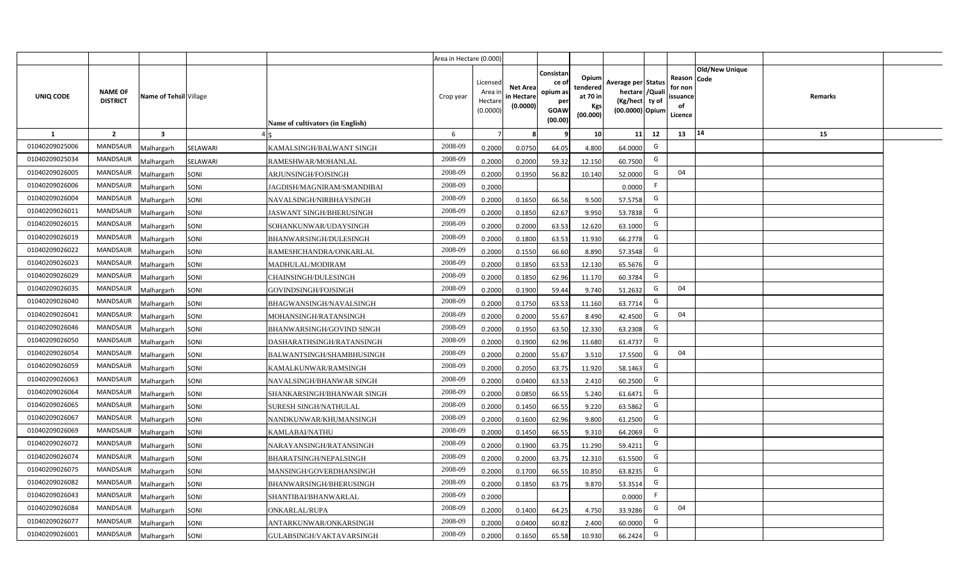|                |                                   |                        |          |                                         | Area in Hectare (0.000) |                                           |                                           |                                                         |                                                  |                                                                            |    |                                                     |                       |         |  |
|----------------|-----------------------------------|------------------------|----------|-----------------------------------------|-------------------------|-------------------------------------------|-------------------------------------------|---------------------------------------------------------|--------------------------------------------------|----------------------------------------------------------------------------|----|-----------------------------------------------------|-----------------------|---------|--|
| UNIQ CODE      | <b>NAME OF</b><br><b>DISTRICT</b> | Name of Tehsil Village |          | <b>Name of cultivators (in English)</b> | Crop year               | Licensed<br>Area i<br>Hectare<br>(0.0000) | <b>Net Area</b><br>in Hectare<br>(0.0000) | Consistan<br>ce o<br>opium as<br>per<br>GOAW<br>(00.00) | Opium<br>tendered<br>at 70 in<br>Kgs<br>(00.000) | Average per Status<br>hectare / Quali<br>(Kg/hect ty of<br>(00.0000) Opium |    | Reason Code<br>for non<br>issuance<br>of<br>Licence | <b>Old/New Unique</b> | Remarks |  |
| 1              | $\overline{2}$                    | $\mathbf{3}$           |          |                                         | 6                       | $\overline{7}$                            |                                           | q                                                       | 10 <sup>1</sup>                                  | 11                                                                         | 12 | 13                                                  | 14                    | 15      |  |
| 01040209025006 | <b>MANDSAUR</b>                   | Malhargarh             | SELAWARI | KAMALSINGH/BALWANT SINGH                | 2008-09                 | 0.2000                                    | 0.0750                                    | 64.05                                                   | 4.800                                            | 64.0000                                                                    | G  |                                                     |                       |         |  |
| 01040209025034 | <b>MANDSAUR</b>                   | Malhargarh             | SELAWARI | RAMESHWAR/MOHANLAL                      | 2008-09                 | 0.2000                                    | 0.2000                                    | 59.32                                                   | 12.150                                           | 60.7500                                                                    | G  |                                                     |                       |         |  |
| 01040209026005 | <b>MANDSAUR</b>                   | Malhargarh             | SONI     | ARJUNSINGH/FOJSINGH                     | 2008-09                 | 0.2000                                    | 0.1950                                    | 56.82                                                   | 10.140                                           | 52.0000                                                                    | G  | 04                                                  |                       |         |  |
| 01040209026006 | <b>MANDSAUR</b>                   | Malhargarh             | SONI     | JAGDISH/MAGNIRAM/SMANDIBAI              | 2008-09                 | 0.2000                                    |                                           |                                                         |                                                  | 0.0000                                                                     | F. |                                                     |                       |         |  |
| 01040209026004 | <b>MANDSAUR</b>                   | Malhargarh             | SONI     | NAVALSINGH/NIRBHAYSINGH                 | 2008-09                 | 0.2000                                    | 0.1650                                    | 66.56                                                   | 9.500                                            | 57.5758                                                                    | G  |                                                     |                       |         |  |
| 01040209026011 | MANDSAUR                          | Malhargarh             | SONI     | <b>JASWANT SINGH/BHERUSINGH</b>         | 2008-09                 | 0.2000                                    | 0.1850                                    | 62.67                                                   | 9.950                                            | 53.7838                                                                    | G  |                                                     |                       |         |  |
| 01040209026015 | MANDSAUR                          | Malhargarh             | SONI     | SOHANKUNWAR/UDAYSINGH                   | 2008-09                 | 0.2000                                    | 0.2000                                    | 63.53                                                   | 12.620                                           | 63.1000                                                                    | G  |                                                     |                       |         |  |
| 01040209026019 | MANDSAUR                          | Malhargarh             | SONI     | BHANWARSINGH/DULESINGH                  | 2008-09                 | 0.2000                                    | 0.1800                                    | 63.53                                                   | 11.930                                           | 66.2778                                                                    | G  |                                                     |                       |         |  |
| 01040209026022 | MANDSAUR                          | Malhargarh             | SONI     | RAMESHCHANDRA/ONKARLAL                  | 2008-09                 | 0.2000                                    | 0.1550                                    | 66.60                                                   | 8.890                                            | 57.3548                                                                    | G  |                                                     |                       |         |  |
| 01040209026023 | MANDSAUR                          | Malhargarh             | SONI     | MADHULAL/MODIRAM                        | 2008-09                 | 0.2000                                    | 0.1850                                    | 63.53                                                   | 12.130                                           | 65.5676                                                                    | G  |                                                     |                       |         |  |
| 01040209026029 | MANDSAUR                          | Malhargarh             | SONI     | <b>CHAINSINGH/DULESINGH</b>             | 2008-09                 | 0.2000                                    | 0.1850                                    | 62.96                                                   | 11.170                                           | 60.3784                                                                    | G  |                                                     |                       |         |  |
| 01040209026035 | MANDSAUR                          | Malhargarh             | SONI     | GOVINDSINGH/FOJSINGH                    | 2008-09                 | 0.2000                                    | 0.1900                                    | 59.44                                                   | 9.740                                            | 51.2632                                                                    | G  | 04                                                  |                       |         |  |
| 01040209026040 | MANDSAUR                          | Malhargarh             | SONI     | BHAGWANSINGH/NAVALSINGH                 | 2008-09                 | 0.2000                                    | 0.1750                                    | 63.53                                                   | 11.160                                           | 63.7714                                                                    | G  |                                                     |                       |         |  |
| 01040209026041 | MANDSAUR                          | Malhargarh             | SONI     | MOHANSINGH/RATANSINGH                   | 2008-09                 | 0.2000                                    | 0.2000                                    | 55.67                                                   | 8.490                                            | 42.4500                                                                    | G  | 04                                                  |                       |         |  |
| 01040209026046 | MANDSAUR                          | Malhargarh             | SONI     | BHANWARSINGH/GOVIND SINGH               | 2008-09                 | 0.2000                                    | 0.1950                                    | 63.50                                                   | 12.330                                           | 63.2308                                                                    | G  |                                                     |                       |         |  |
| 01040209026050 | MANDSAUR                          | Malhargarh             | SONI     | DASHARATHSINGH/RATANSINGH               | 2008-09                 | 0.2000                                    | 0.1900                                    | 62.96                                                   | 11.680                                           | 61.4737                                                                    | G  |                                                     |                       |         |  |
| 01040209026054 | MANDSAUR                          | Malhargarh             | SONI     | BALWANTSINGH/SHAMBHUSINGH               | 2008-09                 | 0.2000                                    | 0.2000                                    | 55.67                                                   | 3.510                                            | 17.5500                                                                    | G  | 04                                                  |                       |         |  |
| 01040209026059 | MANDSAUR                          | Malhargarh             | SONI     | KAMALKUNWAR/RAMSINGH                    | 2008-09                 | 0.2000                                    | 0.2050                                    | 63.75                                                   | 11.920                                           | 58.1463                                                                    | G  |                                                     |                       |         |  |
| 01040209026063 | MANDSAUR                          | Malhargarh             | SONI     | NAVALSINGH/BHANWAR SINGH                | 2008-09                 | 0.2000                                    | 0.0400                                    | 63.53                                                   | 2.410                                            | 60.2500                                                                    | G  |                                                     |                       |         |  |
| 01040209026064 | MANDSAUR                          | Malhargarh             | SONI     | SHANKARSINGH/BHANWAR SINGH              | 2008-09                 | 0.2000                                    | 0.0850                                    | 66.55                                                   | 5.240                                            | 61.6471                                                                    | G  |                                                     |                       |         |  |
| 01040209026065 | MANDSAUR                          | Malhargarh             | SONI     | SURESH SINGH/NATHULAL                   | 2008-09                 | 0.2000                                    | 0.1450                                    | 66.55                                                   | 9.220                                            | 63.5862                                                                    | G  |                                                     |                       |         |  |
| 01040209026067 | MANDSAUR                          | Malhargarh             | SONI     | NANDKUNWAR/KHUMANSINGH                  | 2008-09                 | 0.2000                                    | 0.1600                                    | 62.96                                                   | 9.800                                            | 61.2500                                                                    | G  |                                                     |                       |         |  |
| 01040209026069 | MANDSAUR                          | Malhargarh             | SONI     | KAMLABAI/NATHU                          | 2008-09                 | 0.2000                                    | 0.1450                                    | 66.55                                                   | 9.310                                            | 64.2069                                                                    | G  |                                                     |                       |         |  |
| 01040209026072 | MANDSAUR                          | Malhargarh             | SONI     | NARAYANSINGH/RATANSINGH                 | 2008-09                 | 0.2000                                    | 0.1900                                    | 63.75                                                   | 11.290                                           | 59.4211                                                                    | G  |                                                     |                       |         |  |
| 01040209026074 | MANDSAUR                          | Malhargarh             | SONI     | BHARATSINGH/NEPALSINGH                  | 2008-09                 | 0.2000                                    | 0.2000                                    | 63.75                                                   | 12.310                                           | 61.5500                                                                    | G  |                                                     |                       |         |  |
| 01040209026075 | MANDSAUR                          | Malhargarh             | SONI     | MANSINGH/GOVERDHANSINGH                 | 2008-09                 | 0.2000                                    | 0.1700                                    | 66.55                                                   | 10.850                                           | 63.8235                                                                    | G  |                                                     |                       |         |  |
| 01040209026082 | MANDSAUR                          | Malhargarh             | SONI     | BHANWARSINGH/BHERUSINGH                 | 2008-09                 | 0.2000                                    | 0.1850                                    | 63.75                                                   | 9.870                                            | 53.3514                                                                    | G  |                                                     |                       |         |  |
| 01040209026043 | MANDSAUR                          | Malhargarh             | SONI     | SHANTIBAI/BHANWARLAL                    | 2008-09                 | 0.2000                                    |                                           |                                                         |                                                  | 0.0000                                                                     | F  |                                                     |                       |         |  |
| 01040209026084 | MANDSAUR                          | Malhargarh             | SONI     | <b>ONKARLAL/RUPA</b>                    | 2008-09                 | 0.2000                                    | 0.1400                                    | 64.25                                                   | 4.750                                            | 33.9286                                                                    | G  | 04                                                  |                       |         |  |
| 01040209026077 | MANDSAUR                          | Malhargarh             | SONI     | ANTARKUNWAR/ONKARSINGH                  | 2008-09                 | 0.2000                                    | 0.0400                                    | 60.82                                                   | 2.400                                            | 60.0000                                                                    | G  |                                                     |                       |         |  |
| 01040209026001 | MANDSAUR                          | Malhargarh             | SONI     | GULABSINGH/VAKTAVARSINGH                | 2008-09                 | 0.2000                                    | 0.1650                                    | 65.58                                                   | 10.930                                           | 66.2424                                                                    | G  |                                                     |                       |         |  |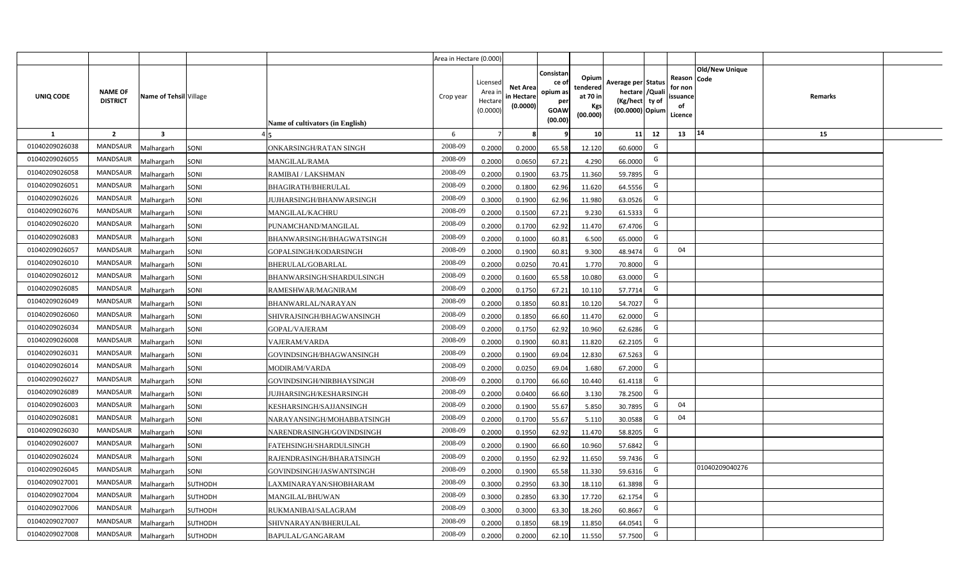|                |                                   |                        |                |                                  | Area in Hectare (0.000) |                                          |                                           |                                                          |                                                         |                                                                           |    |                                                |                               |         |  |
|----------------|-----------------------------------|------------------------|----------------|----------------------------------|-------------------------|------------------------------------------|-------------------------------------------|----------------------------------------------------------|---------------------------------------------------------|---------------------------------------------------------------------------|----|------------------------------------------------|-------------------------------|---------|--|
| UNIQ CODE      | <b>NAME OF</b><br><b>DISTRICT</b> | Name of Tehsil Village |                | Name of cultivators (in English) | Crop year               | Licensed<br>Area i<br>Hectar<br>(0.0000) | <b>Net Area</b><br>in Hectare<br>(0.0000) | Consistan<br>ce of<br>opium as<br>per<br>GOAW<br>(00.00) | Opium<br>tendered<br>at 70 in<br><b>Kgs</b><br>(00.000) | Average per Status<br>hectare / Qual<br>(Kg/hect ty of<br>(00.0000) Opium |    | Reason<br>for non<br>issuance<br>of<br>Licence | <b>Old/New Unique</b><br>Code | Remarks |  |
| 1              | $\overline{2}$                    | -3                     |                |                                  | 6                       | $\overline{7}$                           |                                           |                                                          | 10 <sup>1</sup>                                         | 11                                                                        | 12 | 13                                             | 14                            | 15      |  |
| 01040209026038 | <b>MANDSAUR</b>                   | Malhargarh             | SONI           | ONKARSINGH/RATAN SINGH           | 2008-09                 | 0.2000                                   | 0.2000                                    | 65.58                                                    | 12.120                                                  | 60.6000                                                                   | G  |                                                |                               |         |  |
| 01040209026055 | <b>MANDSAUR</b>                   | Malhargarh             | SONI           | <b>MANGILAL/RAMA</b>             | 2008-09                 | 0.2000                                   | 0.0650                                    | 67.21                                                    | 4.290                                                   | 66.0000                                                                   | G  |                                                |                               |         |  |
| 01040209026058 | MANDSAUR                          | Malhargarh             | SONI           | RAMIBAI / LAKSHMAN               | 2008-09                 | 0.2000                                   | 0.1900                                    | 63.75                                                    | 11.360                                                  | 59.7895                                                                   | G  |                                                |                               |         |  |
| 01040209026051 | <b>MANDSAUR</b>                   | Malhargarh             | SONI           | <b>BHAGIRATH/BHERULAL</b>        | 2008-09                 | 0.2000                                   | 0.1800                                    | 62.96                                                    | 11.620                                                  | 64.5556                                                                   | G  |                                                |                               |         |  |
| 01040209026026 | <b>MANDSAUR</b>                   | Malhargarh             | SONI           | JUJHARSINGH/BHANWARSINGH         | 2008-09                 | 0.3000                                   | 0.1900                                    | 62.96                                                    | 11.980                                                  | 63.0526                                                                   | G  |                                                |                               |         |  |
| 01040209026076 | <b>MANDSAUR</b>                   | Malhargarh             | SONI           | <b>MANGILAL/KACHRU</b>           | 2008-09                 | 0.2000                                   | 0.1500                                    | 67.21                                                    | 9.230                                                   | 61.5333                                                                   | G  |                                                |                               |         |  |
| 01040209026020 | <b>MANDSAUR</b>                   | Malhargarh             | SONI           | PUNAMCHAND/MANGILAL              | 2008-09                 | 0.2000                                   | 0.1700                                    | 62.92                                                    | 11.470                                                  | 67.4706                                                                   | G  |                                                |                               |         |  |
| 01040209026083 | <b>MANDSAUR</b>                   | Malhargarh             | SONI           | BHANWARSINGH/BHAGWATSINGH        | 2008-09                 | 0.2000                                   | 0.1000                                    | 60.81                                                    | 6.500                                                   | 65.0000                                                                   | G  |                                                |                               |         |  |
| 01040209026057 | <b>MANDSAUR</b>                   | Malhargarh             | SONI           | GOPALSINGH/KODARSINGH            | 2008-09                 | 0.2000                                   | 0.1900                                    | 60.81                                                    | 9.300                                                   | 48.9474                                                                   | G  | 04                                             |                               |         |  |
| 01040209026010 | <b>MANDSAUR</b>                   | Malhargarh             | SONI           | BHERULAL/GOBARLAL                | 2008-09                 | 0.2000                                   | 0.0250                                    | 70.41                                                    | 1.770                                                   | 70.8000                                                                   | G  |                                                |                               |         |  |
| 01040209026012 | MANDSAUR                          | Malhargarh             | SONI           | BHANWARSINGH/SHARDULSINGH        | 2008-09                 | 0.2000                                   | 0.1600                                    | 65.58                                                    | 10.080                                                  | 63.0000                                                                   | G  |                                                |                               |         |  |
| 01040209026085 | MANDSAUR                          | Malhargarh             | SONI           | RAMESHWAR/MAGNIRAM               | 2008-09                 | 0.2000                                   | 0.1750                                    | 67.21                                                    | 10.110                                                  | 57.7714                                                                   | G  |                                                |                               |         |  |
| 01040209026049 | <b>MANDSAUR</b>                   | Malhargarh             | SONI           | BHANWARLAL/NARAYAN               | 2008-09                 | 0.2000                                   | 0.1850                                    | 60.81                                                    | 10.120                                                  | 54.7027                                                                   | G  |                                                |                               |         |  |
| 01040209026060 | <b>MANDSAUR</b>                   | Malhargarh             | SONI           | SHIVRAJSINGH/BHAGWANSINGH        | 2008-09                 | 0.2000                                   | 0.1850                                    | 66.60                                                    | 11.470                                                  | 62.0000                                                                   | G  |                                                |                               |         |  |
| 01040209026034 | <b>MANDSAUR</b>                   | Malhargarh             | SONI           | GOPAL/VAJERAM                    | 2008-09                 | 0.2000                                   | 0.1750                                    | 62.92                                                    | 10.960                                                  | 62.6286                                                                   | G  |                                                |                               |         |  |
| 01040209026008 | <b>MANDSAUR</b>                   | Malhargarh             | SONI           | VAJERAM/VARDA                    | 2008-09                 | 0.2000                                   | 0.1900                                    | 60.81                                                    | 11.820                                                  | 62.2105                                                                   | G  |                                                |                               |         |  |
| 01040209026031 | <b>MANDSAUR</b>                   | Malhargarh             | SONI           | GOVINDSINGH/BHAGWANSINGH         | 2008-09                 | 0.2000                                   | 0.1900                                    | 69.04                                                    | 12.830                                                  | 67.5263                                                                   | G  |                                                |                               |         |  |
| 01040209026014 | <b>MANDSAUR</b>                   | Malhargarh             | SONI           | MODIRAM/VARDA                    | 2008-09                 | 0.2000                                   | 0.0250                                    | 69.04                                                    | 1.680                                                   | 67.2000                                                                   | G  |                                                |                               |         |  |
| 01040209026027 | <b>MANDSAUR</b>                   | Malhargarh             | SONI           | GOVINDSINGH/NIRBHAYSINGH         | 2008-09                 | 0.2000                                   | 0.1700                                    | 66.60                                                    | 10.440                                                  | 61.4118                                                                   | G  |                                                |                               |         |  |
| 01040209026089 | <b>MANDSAUR</b>                   | Malhargarh             | SONI           | <b>JUJHARSINGH/KESHARSINGH</b>   | 2008-09                 | 0.2000                                   | 0.0400                                    | 66.60                                                    | 3.130                                                   | 78.2500                                                                   | G  |                                                |                               |         |  |
| 01040209026003 | <b>MANDSAUR</b>                   | Malhargarh             | SONI           | KESHARSINGH/SAJJANSINGH          | 2008-09                 | 0.2000                                   | 0.1900                                    | 55.67                                                    | 5.850                                                   | 30.7895                                                                   | G  | 04                                             |                               |         |  |
| 01040209026081 | <b>MANDSAUR</b>                   | Malhargarh             | SONI           | NARAYANSINGH/MOHABBATSINGH       | 2008-09                 | 0.2000                                   | 0.1700                                    | 55.67                                                    | 5.110                                                   | 30.0588                                                                   | G  | 04                                             |                               |         |  |
| 01040209026030 | <b>MANDSAUR</b>                   | Malhargarh             | SONI           | NARENDRASINGH/GOVINDSINGH        | 2008-09                 | 0.2000                                   | 0.1950                                    | 62.92                                                    | 11.470                                                  | 58.8205                                                                   | G  |                                                |                               |         |  |
| 01040209026007 | <b>MANDSAUR</b>                   | Malhargarh             | SONI           | FATEHSINGH/SHARDULSINGH          | 2008-09                 | 0.2000                                   | 0.1900                                    | 66.60                                                    | 10.960                                                  | 57.6842                                                                   | G  |                                                |                               |         |  |
| 01040209026024 | <b>MANDSAUR</b>                   | Malhargarh             | SONI           | RAJENDRASINGH/BHARATSINGH        | 2008-09                 | 0.2000                                   | 0.1950                                    | 62.92                                                    | 11.650                                                  | 59.7436                                                                   | G  |                                                |                               |         |  |
| 01040209026045 | <b>MANDSAUR</b>                   | Malhargarh             | SONI           | GOVINDSINGH/JASWANTSINGH         | 2008-09                 | 0.2000                                   | 0.1900                                    | 65.58                                                    | 11.330                                                  | 59.6316                                                                   | G  |                                                | 01040209040276                |         |  |
| 01040209027001 | <b>MANDSAUR</b>                   | Malhargarh             | <b>SUTHODH</b> | AXMINARAYAN/SHOBHARAM            | 2008-09                 | 0.3000                                   | 0.2950                                    | 63.30                                                    | 18.110                                                  | 61.3898                                                                   | G  |                                                |                               |         |  |
| 01040209027004 | <b>MANDSAUR</b>                   | Malhargarh             | SUTHODH        | MANGILAL/BHUWAN                  | 2008-09                 | 0.3000                                   | 0.2850                                    | 63.30                                                    | 17.720                                                  | 62.1754                                                                   | G  |                                                |                               |         |  |
| 01040209027006 | <b>MANDSAUR</b>                   | Malhargarh             | <b>SUTHODH</b> | RUKMANIBAI/SALAGRAM              | 2008-09                 | 0.3000                                   | 0.3000                                    | 63.30                                                    | 18.260                                                  | 60.8667                                                                   | G  |                                                |                               |         |  |
| 01040209027007 | <b>MANDSAUR</b>                   | Malhargarh             | <b>SUTHODH</b> | SHIVNARAYAN/BHERULAL             | 2008-09                 | 0.2000                                   | 0.1850                                    | 68.19                                                    | 11.850                                                  | 64.0541                                                                   | G  |                                                |                               |         |  |
| 01040209027008 | MANDSAUR                          | Malhargarh             | <b>SUTHODH</b> | BAPULAL/GANGARAM                 | 2008-09                 | 0.2000                                   | 0.2000                                    | 62.10                                                    | 11.550                                                  | 57.7500                                                                   | G  |                                                |                               |         |  |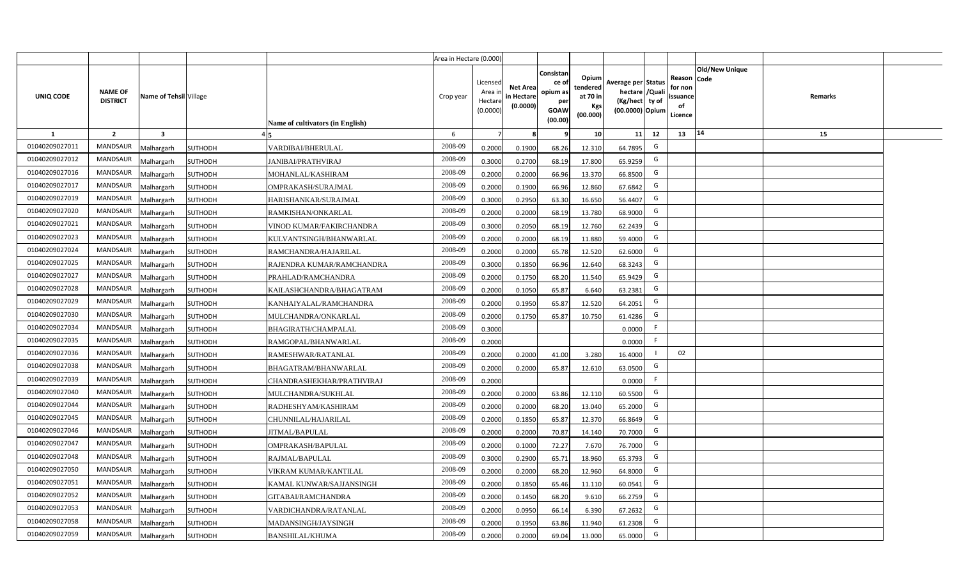|                  |                                   |                         |                                          | Area in Hectare (0.000)              |                                            |                                           |                                                                |                                                  |                                                                            |    |                                                                                    |         |  |
|------------------|-----------------------------------|-------------------------|------------------------------------------|--------------------------------------|--------------------------------------------|-------------------------------------------|----------------------------------------------------------------|--------------------------------------------------|----------------------------------------------------------------------------|----|------------------------------------------------------------------------------------|---------|--|
| <b>UNIQ CODE</b> | <b>NAME OF</b><br><b>DISTRICT</b> | Name of Tehsil Village  | Name of cultivators (in English)         | Crop year                            | Licensed<br>Area in<br>Hectare<br>(0.0000) | <b>Net Area</b><br>in Hectare<br>(0.0000) | Consistar<br>ce o<br>opium as<br>per<br><b>GOAW</b><br>(00.00) | Opium<br>tendered<br>at 70 in<br>Kgs<br>(00.000) | Average per Status<br>hectare / Quali<br>(Kg/hect ty of<br>(00.0000) Opium |    | <b>Old/New Unique</b><br>Reason Code<br>for non<br><b>ssuance</b><br>of<br>Licence | Remarks |  |
| $\mathbf{1}$     | $\overline{2}$                    | $\overline{\mathbf{3}}$ |                                          | 6                                    | $\overline{7}$                             | -8                                        | ٩                                                              | 10                                               | 11                                                                         | 12 | 14<br>13                                                                           | 15      |  |
| 01040209027011   | MANDSAUR                          | <b>Malhargarh</b>       | SUTHODH<br>VARDIBAI/BHERULAL             | 2008-09                              | 0.2000                                     | 0.1900                                    | 68.26                                                          | 12.310                                           | 64.7895                                                                    | G  |                                                                                    |         |  |
| 01040209027012   | <b>MANDSAUR</b>                   | <b>Malhargarh</b>       | SUTHODH<br><b>JANIBAI/PRATHVIRAJ</b>     | 2008-09                              | 0.3000                                     | 0.2700                                    | 68.19                                                          | 17.800                                           | 65.9259                                                                    | G  |                                                                                    |         |  |
| 01040209027016   | <b>MANDSAUR</b>                   | <b>Malhargarh</b>       | <b>SUTHODH</b><br>MOHANLAL/KASHIRAM      | 2008-09                              | 0.2000                                     | 0.2000                                    | 66.96                                                          | 13.370                                           | 66.8500                                                                    | G  |                                                                                    |         |  |
| 01040209027017   | <b>MANDSAUR</b>                   | <b>Malhargarh</b>       | SUTHODH<br>OMPRAKASH/SURAJMAL            | 2008-09                              | 0.2000                                     | 0.1900                                    | 66.96                                                          | 12.860                                           | 67.6842                                                                    | G  |                                                                                    |         |  |
| 01040209027019   | <b>MANDSAUR</b>                   | <b>Malhargarh</b>       | SUTHODH<br>HARISHANKAR/SURAJMAL          | 2008-09                              | 0.3000                                     | 0.2950                                    | 63.30                                                          | 16.650                                           | 56.4407                                                                    | G  |                                                                                    |         |  |
| 01040209027020   | <b>MANDSAUR</b>                   | <b>Malhargarh</b>       | <b>SUTHODH</b><br>RAMKISHAN/ONKARLAL     | 2008-09                              | 0.2000                                     | 0.2000                                    | 68.19                                                          | 13.780                                           | 68.9000                                                                    | G  |                                                                                    |         |  |
| 01040209027021   | <b>MANDSAUR</b>                   | <b>Malhargarh</b>       | SUTHODH                                  | 2008-09<br>VINOD KUMAR/FAKIRCHANDRA  | 0.3000                                     | 0.2050                                    | 68.19                                                          | 12.760                                           | 62.2439                                                                    | G  |                                                                                    |         |  |
| 01040209027023   | <b>MANDSAUR</b>                   | <b>Malhargarh</b>       | <b>SUTHODH</b>                           | 2008-09<br>KULVANTSINGH/BHANWARLAL   | 0.2000                                     | 0.2000                                    | 68.19                                                          | 11.880                                           | 59.4000                                                                    | G  |                                                                                    |         |  |
| 01040209027024   | <b>MANDSAUR</b>                   | <b>Malhargarh</b>       | SUTHODH<br>RAMCHANDRA/HAJARILAL          | 2008-09                              | 0.2000                                     | 0.2000                                    | 65.78                                                          | 12.520                                           | 62.6000                                                                    | G  |                                                                                    |         |  |
| 01040209027025   | <b>MANDSAUR</b>                   | <b>Malhargarh</b>       | SUTHODH                                  | 2008-09<br>RAJENDRA KUMAR/RAMCHANDRA | 0.3000                                     | 0.1850                                    | 66.96                                                          | 12.640                                           | 68.3243                                                                    | G  |                                                                                    |         |  |
| 01040209027027   | <b>MANDSAUR</b>                   | <b>Malhargarh</b>       | <b>SUTHODH</b><br>PRAHLAD/RAMCHANDRA     | 2008-09                              | 0.2000                                     | 0.1750                                    | 68.20                                                          | 11.540                                           | 65.9429                                                                    | G  |                                                                                    |         |  |
| 01040209027028   | <b>MANDSAUR</b>                   | <b>Malhargarh</b>       | SUTHODH                                  | 2008-09<br>KAILASHCHANDRA/BHAGATRAM  | 0.2000                                     | 0.1050                                    | 65.87                                                          | 6.640                                            | 63.2381                                                                    | G  |                                                                                    |         |  |
| 01040209027029   | <b>MANDSAUR</b>                   | <b>Malhargarh</b>       | SUTHODH<br>KANHAIYALAL/RAMCHANDRA        | 2008-09                              | 0.2000                                     | 0.1950                                    | 65.87                                                          | 12.520                                           | 64.2051                                                                    | G  |                                                                                    |         |  |
| 01040209027030   | <b>MANDSAUR</b>                   | Malhargarh              | <b>SUTHODH</b><br>MULCHANDRA/ONKARLAL    | 2008-09                              | 0.2000                                     | 0.1750                                    | 65.87                                                          | 10.750                                           | 61.4286                                                                    | G  |                                                                                    |         |  |
| 01040209027034   | <b>MANDSAUR</b>                   | Malhargarh              | SUTHODH<br>BHAGIRATH/CHAMPALAL           | 2008-09                              | 0.3000                                     |                                           |                                                                |                                                  | 0.0000                                                                     | F. |                                                                                    |         |  |
| 01040209027035   | MANDSAUR                          | Malhargarh              | SUTHODH<br>RAMGOPAL/BHANWARLAL           | 2008-09                              | 0.2000                                     |                                           |                                                                |                                                  | 0.0000                                                                     | F. |                                                                                    |         |  |
| 01040209027036   | <b>MANDSAUR</b>                   | <b>Malhargarh</b>       | SUTHODH<br>RAMESHWAR/RATANLAL            | 2008-09                              | 0.2000                                     | 0.2000                                    | 41.00                                                          | 3.280                                            | 16.4000                                                                    |    | 02                                                                                 |         |  |
| 01040209027038   | <b>MANDSAUR</b>                   | <b>Malhargarh</b>       | SUTHODH<br>BHAGATRAM/BHANWARLAL          | 2008-09                              | 0.2000                                     | 0.2000                                    | 65.87                                                          | 12.610                                           | 63.0500                                                                    | G  |                                                                                    |         |  |
| 01040209027039   | <b>MANDSAUR</b>                   | <b>Malhargarh</b>       | SUTHODH                                  | 2008-09<br>CHANDRASHEKHAR/PRATHVIRAJ | 0.2000                                     |                                           |                                                                |                                                  | 0.0000                                                                     | F. |                                                                                    |         |  |
| 01040209027040   | <b>MANDSAUR</b>                   | Malhargarh              | SUTHODH<br>MULCHANDRA/SUKHLAL            | 2008-09                              | 0.2000                                     | 0.2000                                    | 63.86                                                          | 12.110                                           | 60.5500                                                                    | G  |                                                                                    |         |  |
| 01040209027044   | <b>MANDSAUR</b>                   | <b>Malhargarh</b>       | SUTHODH<br>RADHESHYAM/KASHIRAM           | 2008-09                              | 0.2000                                     | 0.2000                                    | 68.20                                                          | 13.040                                           | 65.2000                                                                    | G  |                                                                                    |         |  |
| 01040209027045   | <b>MANDSAUR</b>                   | <b>Malhargarh</b>       | SUTHODH<br>CHUNNILAL/HAJARILAL           | 2008-09                              | 0.2000                                     | 0.1850                                    | 65.87                                                          | 12.370                                           | 66.8649                                                                    | G  |                                                                                    |         |  |
| 01040209027046   | <b>MANDSAUR</b>                   | <i>A</i> alhargarh      | SUTHODH<br>JITMAL/BAPULAL                | 2008-09                              | 0.2000                                     | 0.2000                                    | 70.87                                                          | 14.140                                           | 70.7000                                                                    | G  |                                                                                    |         |  |
| 01040209027047   | <b>MANDSAUR</b>                   | <b>Malhargarh</b>       | SUTHODH<br>OMPRAKASH/BAPULAL             | 2008-09                              | 0.2000                                     | 0.1000                                    | 72.27                                                          | 7.670                                            | 76.7000                                                                    | G  |                                                                                    |         |  |
| 01040209027048   | <b>MANDSAUR</b>                   | <b>Malhargarh</b>       | SUTHODH<br>RAJMAL/BAPULAL                | 2008-09                              | 0.3000                                     | 0.2900                                    | 65.71                                                          | 18.960                                           | 65.3793                                                                    | G  |                                                                                    |         |  |
| 01040209027050   | MANDSAUR                          | Malhargarh              | <b>SUTHODH</b><br>VIKRAM KUMAR/KANTILAL  | 2008-09                              | 0.2000                                     | 0.2000                                    | 68.20                                                          | 12.960                                           | 64.8000                                                                    | G  |                                                                                    |         |  |
| 01040209027051   | <b>MANDSAUR</b>                   | <b>Malhargarh</b>       | SUTHODH                                  | 2008-09<br>KAMAL KUNWAR/SAJJANSINGH  | 0.2000                                     | 0.1850                                    | 65.46                                                          | 11.110                                           | 60.0541                                                                    | G  |                                                                                    |         |  |
| 01040209027052   | <b>MANDSAUR</b>                   | <b>Malhargarh</b>       | <b>SUTHODH</b><br>GITABAI/RAMCHANDRA     | 2008-09                              | 0.2000                                     | 0.1450                                    | 68.20                                                          | 9.610                                            | 66.2759                                                                    | G  |                                                                                    |         |  |
| 01040209027053   | <b>MANDSAUR</b>                   | <b>Malhargarh</b>       | VARDICHANDRA/RATANLAL<br>SUTHODH         | 2008-09                              | 0.2000                                     | 0.0950                                    | 66.14                                                          | 6.390                                            | 67.2632                                                                    | G  |                                                                                    |         |  |
| 01040209027058   | <b>MANDSAUR</b>                   | <b>Malhargarh</b>       | SUTHODH<br>MADANSINGH/JAYSINGH           | 2008-09                              | 0.2000                                     | 0.1950                                    | 63.86                                                          | 11.940                                           | 61.2308                                                                    | G  |                                                                                    |         |  |
| 01040209027059   | MANDSAUR                          | Malhargarh              | <b>SUTHODH</b><br><b>BANSHILAL/KHUMA</b> | 2008-09                              | 0.2000                                     | 0.2000                                    | 69.04                                                          | 13.000                                           | 65.0000                                                                    | G  |                                                                                    |         |  |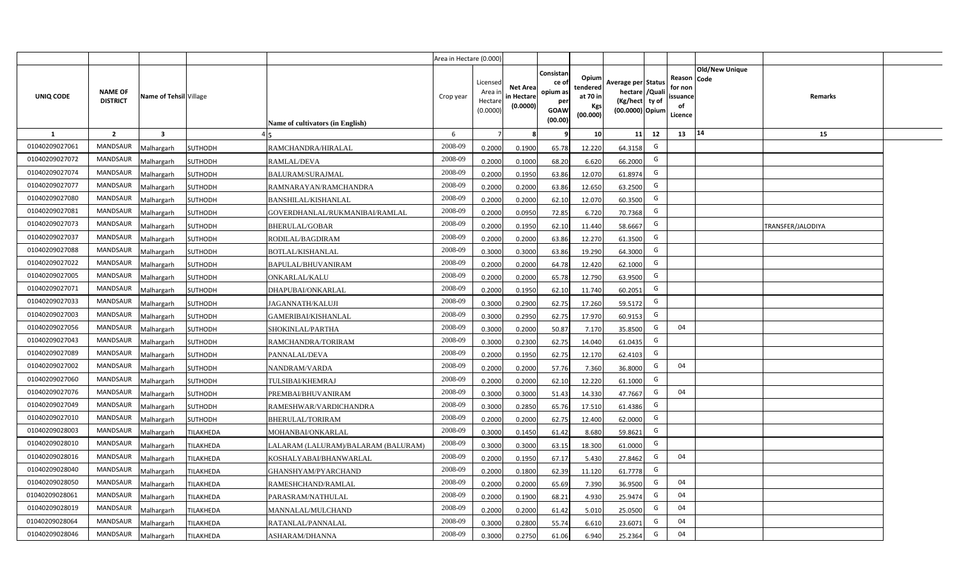|                |                                   |                        |                |                                     | Area in Hectare (0.000) |                                          |                                           |                                                          |                                                         |                                                                           |    |                                                     |                       |                          |  |
|----------------|-----------------------------------|------------------------|----------------|-------------------------------------|-------------------------|------------------------------------------|-------------------------------------------|----------------------------------------------------------|---------------------------------------------------------|---------------------------------------------------------------------------|----|-----------------------------------------------------|-----------------------|--------------------------|--|
| UNIQ CODE      | <b>NAME OF</b><br><b>DISTRICT</b> | Name of Tehsil Village |                | Name of cultivators (in English)    | Crop year               | Licensed<br>Area i<br>Hectar<br>(0.0000) | <b>Net Area</b><br>in Hectare<br>(0.0000) | Consistan<br>ce of<br>opium as<br>per<br>GOAW<br>(00.00) | Opium<br>tendered<br>at 70 in<br><b>Kgs</b><br>(00.000) | Average per Status<br>hectare / Qual<br>(Kg/hect ty of<br>(00.0000) Opium |    | Reason Code<br>for nor<br>issuance<br>of<br>Licence | <b>Old/New Unique</b> | Remarks                  |  |
| 1              | $\overline{2}$                    | $\mathbf{3}$           |                |                                     | 6                       |                                          |                                           |                                                          | 10                                                      | 11                                                                        | 12 | 13                                                  | 14                    | 15                       |  |
| 01040209027061 | <b>MANDSAUR</b>                   | Malhargarh             | <b>SUTHODH</b> | RAMCHANDRA/HIRALAL                  | 2008-09                 | 0.2000                                   | 0.1900                                    | 65.78                                                    | 12.220                                                  | 64.3158                                                                   | G  |                                                     |                       |                          |  |
| 01040209027072 | MANDSAUR                          | Malhargarh             | <b>SUTHODH</b> | RAMLAL/DEVA                         | 2008-09                 | 0.2000                                   | 0.1000                                    | 68.20                                                    | 6.620                                                   | 66.2000                                                                   | G  |                                                     |                       |                          |  |
| 01040209027074 | MANDSAUR                          | Malhargarh             | <b>SUTHODH</b> | <b>BALURAM/SURAJMAL</b>             | 2008-09                 | 0.2000                                   | 0.1950                                    | 63.86                                                    | 12.070                                                  | 61.8974                                                                   | G  |                                                     |                       |                          |  |
| 01040209027077 | MANDSAUR                          | Malhargarh             | <b>SUTHODH</b> | RAMNARAYAN/RAMCHANDRA               | 2008-09                 | 0.2000                                   | 0.2000                                    | 63.86                                                    | 12.650                                                  | 63.2500                                                                   | G  |                                                     |                       |                          |  |
| 01040209027080 | <b>MANDSAUR</b>                   | Malhargarh             | <b>SUTHODH</b> | <b>BANSHILAL/KISHANLAL</b>          | 2008-09                 | 0.2000                                   | 0.2000                                    | 62.10                                                    | 12.070                                                  | 60.3500                                                                   | G  |                                                     |                       |                          |  |
| 01040209027081 | <b>MANDSAUR</b>                   | Malhargarh             | <b>SUTHODH</b> | GOVERDHANLAL/RUKMANIBAI/RAMLAL      | 2008-09                 | 0.2000                                   | 0.0950                                    | 72.85                                                    | 6.720                                                   | 70.7368                                                                   | G  |                                                     |                       |                          |  |
| 01040209027073 | <b>MANDSAUR</b>                   | Malhargarh             | <b>SUTHODH</b> | BHERULAL/GOBAR                      | 2008-09                 | 0.200                                    | 0.1950                                    | 62.10                                                    | 11.440                                                  | 58.6667                                                                   | G  |                                                     |                       | <b>TRANSFER/JALODIYA</b> |  |
| 01040209027037 | <b>MANDSAUR</b>                   | Malhargarh             | SUTHODH        | RODILAL/BAGDIRAM                    | 2008-09                 | 0.200                                    | 0.2000                                    | 63.86                                                    | 12.270                                                  | 61.3500                                                                   | G  |                                                     |                       |                          |  |
| 01040209027088 | <b>MANDSAUR</b>                   | Malhargarh             | <b>SUTHODH</b> | BOTLAL/KISHANLAL                    | 2008-09                 | 0.300                                    | 0.3000                                    | 63.86                                                    | 19.290                                                  | 64.3000                                                                   | G  |                                                     |                       |                          |  |
| 01040209027022 | <b>MANDSAUR</b>                   | Malhargarh             | <b>SUTHODH</b> | BAPULAL/BHUVANIRAM                  | 2008-09                 | 0.2000                                   | 0.2000                                    | 64.78                                                    | 12.420                                                  | 62.1000                                                                   | G  |                                                     |                       |                          |  |
| 01040209027005 | <b>MANDSAUR</b>                   | Malhargarh             | <b>SUTHODH</b> | ONKARLAL/KALU                       | 2008-09                 | 0.2000                                   | 0.2000                                    | 65.78                                                    | 12.790                                                  | 63.9500                                                                   | G  |                                                     |                       |                          |  |
| 01040209027071 | <b>MANDSAUR</b>                   | Malhargarh             | <b>SUTHODH</b> | DHAPUBAI/ONKARLAL                   | 2008-09                 | 0.2000                                   | 0.1950                                    | 62.10                                                    | 11.740                                                  | 60.2051                                                                   | G  |                                                     |                       |                          |  |
| 01040209027033 | <b>MANDSAUR</b>                   | Malhargarh             | <b>SUTHODH</b> | JAGANNATH/KALUJI                    | 2008-09                 | 0.3000                                   | 0.2900                                    | 62.75                                                    | 17.260                                                  | 59.5172                                                                   | G  |                                                     |                       |                          |  |
| 01040209027003 | <b>MANDSAUR</b>                   | Malhargarh             | <b>SUTHODH</b> | GAMERIBAI/KISHANLAL                 | 2008-09                 | 0.3000                                   | 0.2950                                    | 62.75                                                    | 17.970                                                  | 60.9153                                                                   | G  |                                                     |                       |                          |  |
| 01040209027056 | <b>MANDSAUR</b>                   | Malhargarh             | <b>SUTHODH</b> | SHOKINLAL/PARTHA                    | 2008-09                 | 0.3000                                   | 0.2000                                    | 50.87                                                    | 7.170                                                   | 35.8500                                                                   | G  | 04                                                  |                       |                          |  |
| 01040209027043 | <b>MANDSAUR</b>                   | Malhargarh             | SUTHODH        | RAMCHANDRA/TORIRAM                  | 2008-09                 | 0.3000                                   | 0.2300                                    | 62.75                                                    | 14.040                                                  | 61.0435                                                                   | G  |                                                     |                       |                          |  |
| 01040209027089 | <b>MANDSAUR</b>                   | Malhargarh             | SUTHODH        | PANNALAL/DEVA                       | 2008-09                 | 0.2000                                   | 0.1950                                    | 62.75                                                    | 12.170                                                  | 62.4103                                                                   | G  |                                                     |                       |                          |  |
| 01040209027002 | <b>MANDSAUR</b>                   | Malhargarh             | <b>SUTHODH</b> | NANDRAM/VARDA                       | 2008-09                 | 0.2000                                   | 0.2000                                    | 57.76                                                    | 7.360                                                   | 36.8000                                                                   | G  | 04                                                  |                       |                          |  |
| 01040209027060 | <b>MANDSAUR</b>                   | Malhargarh             | <b>SUTHODH</b> | TULSIBAI/KHEMRAJ                    | 2008-09                 | 0.2000                                   | 0.2000                                    | 62.10                                                    | 12.220                                                  | 61.1000                                                                   | G  |                                                     |                       |                          |  |
| 01040209027076 | <b>MANDSAUR</b>                   | Malhargarh             | <b>SUTHODH</b> | PREMBAI/BHUVANIRAM                  | 2008-09                 | 0.3000                                   | 0.3000                                    | 51.43                                                    | 14.330                                                  | 47.7667                                                                   | G  | 04                                                  |                       |                          |  |
| 01040209027049 | <b>MANDSAUR</b>                   | Malhargarh             | SUTHODH        | RAMESHWAR/VARDICHANDRA              | 2008-09                 | 0.3000                                   | 0.2850                                    | 65.76                                                    | 17.510                                                  | 61.4386                                                                   | G  |                                                     |                       |                          |  |
| 01040209027010 | <b>MANDSAUR</b>                   | Malhargarh             | SUTHODH        | BHERULAL/TORIRAM                    | 2008-09                 | 0.2000                                   | 0.2000                                    | 62.75                                                    | 12.400                                                  | 62.0000                                                                   | G  |                                                     |                       |                          |  |
| 01040209028003 | <b>MANDSAUR</b>                   | Malhargarh             | TILAKHEDA      | MOHANBAI/ONKARLAL                   | 2008-09                 | 0.3000                                   | 0.1450                                    | 61.42                                                    | 8.680                                                   | 59.8621                                                                   | G  |                                                     |                       |                          |  |
| 01040209028010 | <b>MANDSAUR</b>                   | Malhargarh             | TILAKHEDA      | LALARAM (LALURAM)/BALARAM (BALURAM) | 2008-09                 | 0.3000                                   | 0.3000                                    | 63.15                                                    | 18.300                                                  | 61.0000                                                                   | G  |                                                     |                       |                          |  |
| 01040209028016 | <b>MANDSAUR</b>                   | Malhargarh             | TILAKHEDA      | KOSHALYABAI/BHANWARLAL              | 2008-09                 | 0.2000                                   | 0.1950                                    | 67.17                                                    | 5.430                                                   | 27.8462                                                                   | G  | 04                                                  |                       |                          |  |
| 01040209028040 | <b>MANDSAUR</b>                   | Malhargarh             | TILAKHEDA      | GHANSHYAM/PYARCHAND                 | 2008-09                 | 0.200                                    | 0.1800                                    | 62.39                                                    | 11.120                                                  | 61.7778                                                                   | G  |                                                     |                       |                          |  |
| 01040209028050 | <b>MANDSAUR</b>                   | Malhargarh             | TILAKHEDA      | RAMESHCHAND/RAMLAL                  | 2008-09                 | 0.200                                    | 0.2000                                    | 65.69                                                    | 7.390                                                   | 36.9500                                                                   | G  | 04                                                  |                       |                          |  |
| 01040209028061 | <b>MANDSAUR</b>                   | Malhargarh             | TILAKHEDA      | PARASRAM/NATHULAL                   | 2008-09                 | 0.200                                    | 0.1900                                    | 68.21                                                    | 4.930                                                   | 25.9474                                                                   | G  | 04                                                  |                       |                          |  |
| 01040209028019 | <b>MANDSAUR</b>                   | Malhargarh             | TILAKHEDA      | MANNALAL/MULCHAND                   | 2008-09                 | 0.200                                    | 0.2000                                    | 61.42                                                    | 5.010                                                   | 25.0500                                                                   | G  | 04                                                  |                       |                          |  |
| 01040209028064 | <b>MANDSAUR</b>                   | Malhargarh             | TILAKHEDA      | RATANLAL/PANNALAL                   | 2008-09                 | 0.300                                    | 0.2800                                    | 55.74                                                    | 6.610                                                   | 23.6071                                                                   | G  | 04                                                  |                       |                          |  |
| 01040209028046 | MANDSAUR                          | Malhargarh             | TILAKHEDA      | ASHARAM/DHANNA                      | 2008-09                 | 0.3000                                   | 0.2750                                    | 61.06                                                    | 6.940                                                   | 25.2364                                                                   | G  | 04                                                  |                       |                          |  |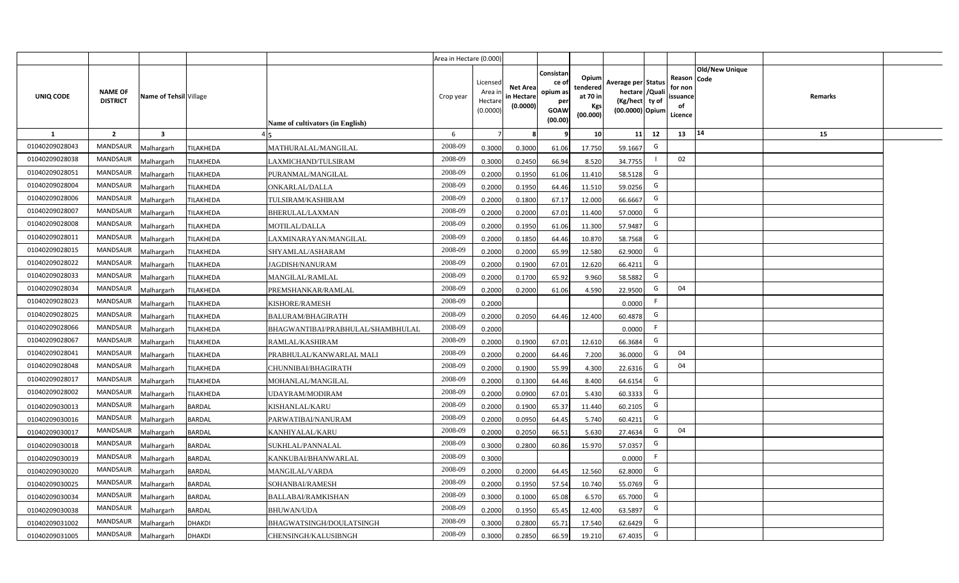|                  |                                   |                         |                                       |                                               | Area in Hectare (0.000)                    |                                           |                                                                |                                                  |                                                                            |    |                                                    |                       |         |  |
|------------------|-----------------------------------|-------------------------|---------------------------------------|-----------------------------------------------|--------------------------------------------|-------------------------------------------|----------------------------------------------------------------|--------------------------------------------------|----------------------------------------------------------------------------|----|----------------------------------------------------|-----------------------|---------|--|
| <b>UNIQ CODE</b> | <b>NAME OF</b><br><b>DISTRICT</b> | Name of Tehsil Village  |                                       | Crop year<br>Name of cultivators (in English) | Licensed<br>Area in<br>Hectare<br>(0.0000) | <b>Net Area</b><br>in Hectare<br>(0.0000) | Consistan<br>ce o<br>opium as<br>per<br><b>GOAW</b><br>(00.00) | Opium<br>tendered<br>at 70 in<br>Kgs<br>(00.000) | Average per Status<br>hectare / Quali<br>(Kg/hect ty of<br>(00.0000) Opium |    | Reason Code<br>for non<br>ssuance<br>of<br>Licence | <b>Old/New Unique</b> | Remarks |  |
| $\mathbf{1}$     | $\overline{2}$                    | $\overline{\mathbf{3}}$ |                                       | 6                                             | $\overline{7}$                             | -8                                        | ٩                                                              | 10                                               | 11                                                                         | 12 | 13                                                 | 14                    | 15      |  |
| 01040209028043   | MANDSAUR                          | <b>Malhargarh</b>       | TILAKHEDA                             | 2008-09<br>MATHURALAL/MANGILAL                | 0.3000                                     | 0.3000                                    | 61.06                                                          | 17.750                                           | 59.1667                                                                    | G  |                                                    |                       |         |  |
| 01040209028038   | <b>MANDSAUR</b>                   | <b>Malhargarh</b>       | TILAKHEDA                             | 2008-09<br>LAXMICHAND/TULSIRAM                | 0.3000                                     | 0.2450                                    | 66.94                                                          | 8.520                                            | 34.7755                                                                    |    | 02                                                 |                       |         |  |
| 01040209028051   | <b>MANDSAUR</b>                   | <b>Malhargarh</b>       | TILAKHEDA<br>PURANMAL/MANGILAL        | 2008-09                                       | 0.2000                                     | 0.1950                                    | 61.06                                                          | 11.410                                           | 58.5128                                                                    | G  |                                                    |                       |         |  |
| 01040209028004   | <b>MANDSAUR</b>                   | <b>Malhargarh</b>       | TILAKHEDA<br>ONKARLAL/DALLA           | 2008-09                                       | 0.2000                                     | 0.1950                                    | 64.46                                                          | 11.510                                           | 59.0256                                                                    | G  |                                                    |                       |         |  |
| 01040209028006   | <b>MANDSAUR</b>                   | <b>Malhargarh</b>       | TILAKHEDA<br>TULSIRAM/KASHIRAM        | 2008-09                                       | 0.2000                                     | 0.1800                                    | 67.17                                                          | 12.000                                           | 66.6667                                                                    | G  |                                                    |                       |         |  |
| 01040209028007   | <b>MANDSAUR</b>                   | <b>Malhargarh</b>       | TILAKHEDA<br>BHERULAL/LAXMAN          | 2008-09                                       | 0.2000                                     | 0.2000                                    | 67.01                                                          | 11.400                                           | 57.0000                                                                    | G  |                                                    |                       |         |  |
| 01040209028008   | <b>MANDSAUR</b>                   | <b>Malhargarh</b>       | TILAKHEDA<br><b>MOTILAL/DALLA</b>     | 2008-09                                       | 0.2000                                     | 0.1950                                    | 61.06                                                          | 11.300                                           | 57.9487                                                                    | G  |                                                    |                       |         |  |
| 01040209028011   | <b>MANDSAUR</b>                   | <b>Malhargarh</b>       | TILAKHEDA                             | 2008-09<br>LAXMINARAYAN/MANGILAL              | 0.2000                                     | 0.1850                                    | 64.46                                                          | 10.870                                           | 58.7568                                                                    | G  |                                                    |                       |         |  |
| 01040209028015   | <b>MANDSAUR</b>                   | <b>Malhargarh</b>       | TILAKHEDA<br>SHYAMLAL/ASHARAM         | 2008-09                                       | 0.2000                                     | 0.2000                                    | 65.99                                                          | 12.580                                           | 62.9000                                                                    | G  |                                                    |                       |         |  |
| 01040209028022   | <b>MANDSAUR</b>                   | <b>Malhargarh</b>       | TILAKHEDA<br><b>IAGDISH/NANURAM</b>   | 2008-09                                       | 0.2000                                     | 0.1900                                    | 67.01                                                          | 12.620                                           | 66.4211                                                                    | G  |                                                    |                       |         |  |
| 01040209028033   | <b>MANDSAUR</b>                   | <b>Malhargarh</b>       | TILAKHEDA<br>MANGILAL/RAMLAL          | 2008-09                                       | 0.2000                                     | 0.1700                                    | 65.92                                                          | 9.960                                            | 58.5882                                                                    | G  |                                                    |                       |         |  |
| 01040209028034   | <b>MANDSAUR</b>                   | <b>Malhargarh</b>       | TILAKHEDA                             | 2008-09<br>PREMSHANKAR/RAMLAL                 | 0.2000                                     | 0.2000                                    | 61.06                                                          | 4.590                                            | 22.9500                                                                    | G  | 04                                                 |                       |         |  |
| 01040209028023   | <b>MANDSAUR</b>                   | <b>Malhargarh</b>       | TILAKHEDA<br>KISHORE/RAMESH           | 2008-09                                       | 0.2000                                     |                                           |                                                                |                                                  | 0.0000                                                                     | F. |                                                    |                       |         |  |
| 01040209028025   | <b>MANDSAUR</b>                   | Malhargarh              | TILAKHEDA<br><b>BALURAM/BHAGIRATH</b> | 2008-09                                       | 0.2000                                     | 0.2050                                    | 64.46                                                          | 12.400                                           | 60.4878                                                                    | G  |                                                    |                       |         |  |
| 01040209028066   | <b>MANDSAUR</b>                   | Malhargarh              | TILAKHEDA                             | 2008-09<br>BHAGWANTIBAI/PRABHULAL/SHAMBHULAL  | 0.2000                                     |                                           |                                                                |                                                  | 0.0000                                                                     | F. |                                                    |                       |         |  |
| 01040209028067   | MANDSAUR                          | Malhargarh              | TILAKHEDA<br>RAMLAL/KASHIRAM          | 2008-09                                       | 0.2000                                     | 0.1900                                    | 67.01                                                          | 12.610                                           | 66.3684                                                                    | G  |                                                    |                       |         |  |
| 01040209028041   | <b>MANDSAUR</b>                   | <b>Malhargarh</b>       | TILAKHEDA                             | 2008-09<br>PRABHULAL/KANWARLAL MALI           | 0.2000                                     | 0.2000                                    | 64.46                                                          | 7.200                                            | 36.0000                                                                    | G  | 04                                                 |                       |         |  |
| 01040209028048   | MANDSAUR                          | <b>Malhargarh</b>       | TILAKHEDA                             | 2008-09<br>CHUNNIBAI/BHAGIRATH                | 0.2000                                     | 0.1900                                    | 55.99                                                          | 4.300                                            | 22.6316                                                                    | G  | 04                                                 |                       |         |  |
| 01040209028017   | <b>MANDSAUR</b>                   | <b>Malhargarh</b>       | MOHANLAL/MANGILAL<br>TILAKHEDA        | 2008-09                                       | 0.2000                                     | 0.1300                                    | 64.46                                                          | 8.400                                            | 64.6154                                                                    | G  |                                                    |                       |         |  |
| 01040209028002   | <b>MANDSAUR</b>                   | Malhargarh              | TILAKHEDA<br>UDAYRAM/MODIRAM          | 2008-09                                       | 0.2000                                     | 0.0900                                    | 67.01                                                          | 5.430                                            | 60.3333                                                                    | G  |                                                    |                       |         |  |
| 01040209030013   | MANDSAUR                          | <b>Malhargarh</b>       | <b>BARDAL</b><br>KISHANLAL/KARU       | 2008-09                                       | 0.2000                                     | 0.1900                                    | 65.37                                                          | 11.440                                           | 60.2105                                                                    | G  |                                                    |                       |         |  |
| 01040209030016   | MANDSAUR                          | <b>Malhargarh</b>       | <b>BARDAL</b>                         | 2008-09<br>PARWATIBAI/NANURAM                 | 0.2000                                     | 0.0950                                    | 64.45                                                          | 5.740                                            | 60.4211                                                                    | G  |                                                    |                       |         |  |
| 01040209030017   | <b>MANDSAUR</b>                   | Aalhargarh              | <b>BARDAL</b><br>KANHIYALAL/KARU      | 2008-09                                       | 0.2000                                     | 0.2050                                    | 66.51                                                          | 5.630                                            | 27.4634                                                                    | G  | 04                                                 |                       |         |  |
| 01040209030018   | <b>MANDSAUR</b>                   | <b>Malhargarh</b>       | <b>BARDAL</b><br>SUKHLAL/PANNALAL     | 2008-09                                       | 0.3000                                     | 0.2800                                    | 60.86                                                          | 15.970                                           | 57.0357                                                                    | G  |                                                    |                       |         |  |
| 01040209030019   | <b>MANDSAUR</b>                   | <b>Malhargarh</b>       | <b>BARDAL</b>                         | 2008-09<br>KANKUBAI/BHANWARLAL                | 0.3000                                     |                                           |                                                                |                                                  | 0.0000                                                                     | F  |                                                    |                       |         |  |
| 01040209030020   | MANDSAUR                          | <b>Malhargarh</b>       | <b>BARDAL</b><br>MANGILAL/VARDA       | 2008-09                                       | 0.2000                                     | 0.2000                                    | 64.45                                                          | 12.560                                           | 62.8000                                                                    | G  |                                                    |                       |         |  |
| 01040209030025   | <b>MANDSAUR</b>                   | <b>Malhargarh</b>       | <b>BARDAL</b><br>SOHANBAI/RAMESH      | 2008-09                                       | 0.2000                                     | 0.1950                                    | 57.54                                                          | 10.740                                           | 55.0769                                                                    | G  |                                                    |                       |         |  |
| 01040209030034   | <b>MANDSAUR</b>                   | <b>Malhargarh</b>       | <b>BARDAL</b><br>BALLABAI/RAMKISHAN   | 2008-09                                       | 0.3000                                     | 0.1000                                    | 65.08                                                          | 6.570                                            | 65.7000                                                                    | G  |                                                    |                       |         |  |
| 01040209030038   | <b>MANDSAUR</b>                   | <b>Malhargarh</b>       | <b>BARDAL</b><br><b>BHUWAN/UDA</b>    | 2008-09                                       | 0.2000                                     | 0.1950                                    | 65.45                                                          | 12.400                                           | 63.5897                                                                    | G  |                                                    |                       |         |  |
| 01040209031002   | <b>MANDSAUR</b>                   | <b>Malhargarh</b>       | <b>DHAKDI</b>                         | 2008-09<br>BHAGWATSINGH/DOULATSINGH           | 0.3000                                     | 0.2800                                    | 65.71                                                          | 17.540                                           | 62.6429                                                                    | G  |                                                    |                       |         |  |
| 01040209031005   | MANDSAUR                          | Malhargarh              | <b>DHAKDI</b>                         | 2008-09<br>CHENSINGH/KALUSIBNGH               | 0.3000                                     | 0.2850                                    | 66.59                                                          | 19.210                                           | 67.4035                                                                    | G  |                                                    |                       |         |  |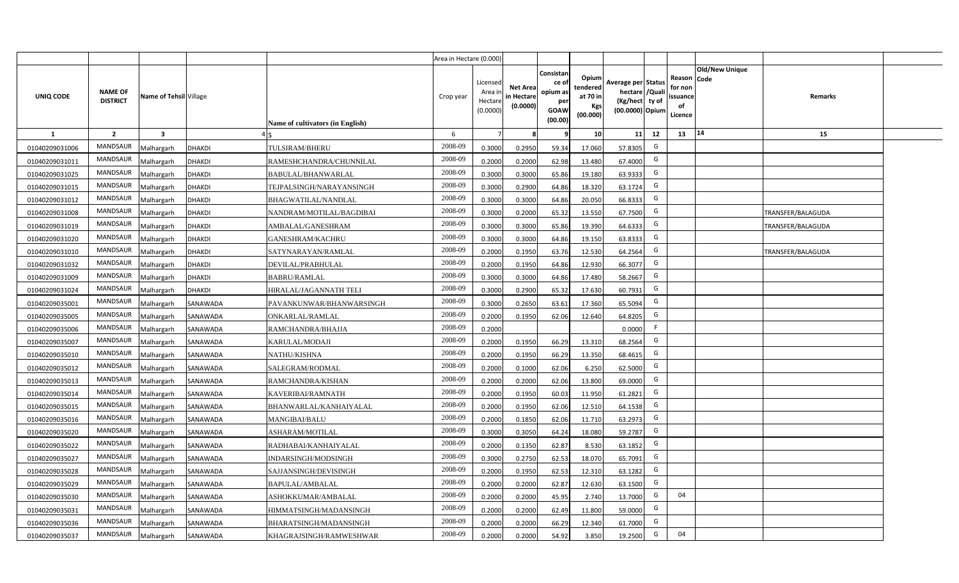|                |                                   |                        |               |                                  | Area in Hectare (0.000) |                                          |                                           |                                                         |                                                         |                                                                           |    |                                                     |                       |                          |  |
|----------------|-----------------------------------|------------------------|---------------|----------------------------------|-------------------------|------------------------------------------|-------------------------------------------|---------------------------------------------------------|---------------------------------------------------------|---------------------------------------------------------------------------|----|-----------------------------------------------------|-----------------------|--------------------------|--|
| UNIQ CODE      | <b>NAME OF</b><br><b>DISTRICT</b> | Name of Tehsil Village |               | Name of cultivators (in English) | Crop year               | Licensed<br>Area i<br>Hectar<br>(0.0000) | <b>Net Area</b><br>in Hectare<br>(0.0000) | Consistan<br>ce o<br>opium as<br>per<br>GOAW<br>(00.00) | Opium<br>tendered<br>at 70 in<br><b>Kgs</b><br>(00.000) | Average per Status<br>hectare / Qual<br>(Kg/hect ty of<br>(00.0000) Opium |    | Reason Code<br>for nor<br>issuance<br>of<br>Licence | <b>Old/New Unique</b> | Remarks                  |  |
| 1              | $\overline{2}$                    | 3                      |               |                                  | 6                       |                                          |                                           |                                                         | 10 <sup>1</sup>                                         | 11                                                                        | 12 | 13                                                  | 14                    | 15                       |  |
| 01040209031006 | <b>MANDSAUR</b>                   | Malhargarh             | <b>DHAKDI</b> | TULSIRAM/BHERU                   | 2008-09                 | 0.3000                                   | 0.2950                                    | 59.34                                                   | 17.060                                                  | 57.8305                                                                   | G  |                                                     |                       |                          |  |
| 01040209031011 | <b>MANDSAUR</b>                   | Malhargarh             | <b>DHAKDI</b> | RAMESHCHANDRA/CHUNNILAL          | 2008-09                 | 0.2000                                   | 0.2000                                    | 62.98                                                   | 13.480                                                  | 67.4000                                                                   | G  |                                                     |                       |                          |  |
| 01040209031025 | <b>MANDSAUR</b>                   | Malhargarh             | <b>DHAKDI</b> | BABULAL/BHANWARLAL               | 2008-09                 | 0.3000                                   | 0.3000                                    | 65.86                                                   | 19.180                                                  | 63.9333                                                                   | G  |                                                     |                       |                          |  |
| 01040209031015 | <b>MANDSAUR</b>                   | Malhargarh             | <b>DHAKDI</b> | TEJPALSINGH/NARAYANSINGH         | 2008-09                 | 0.3000                                   | 0.2900                                    | 64.86                                                   | 18.320                                                  | 63.1724                                                                   | G  |                                                     |                       |                          |  |
| 01040209031012 | <b>MANDSAUR</b>                   | Malhargarh             | <b>DHAKDI</b> | BHAGWATILAL/NANDLAL              | 2008-09                 | 0.3000                                   | 0.3000                                    | 64.86                                                   | 20.050                                                  | 66.8333                                                                   | G  |                                                     |                       |                          |  |
| 01040209031008 | <b>MANDSAUR</b>                   | Malhargarh             | <b>DHAKDI</b> | NANDRAM/MOTILAL/BAGDIBAI         | 2008-09                 | 0.300                                    | 0.2000                                    | 65.32                                                   | 13.550                                                  | 67.7500                                                                   | G  |                                                     |                       | TRANSFER/BALAGUDA        |  |
| 01040209031019 | <b>MANDSAUR</b>                   | Malhargarh             | <b>DHAKDI</b> | AMBALAL/GANESHRAM                | 2008-09                 | 0.300                                    | 0.3000                                    | 65.86                                                   | 19.390                                                  | 64.6333                                                                   | G  |                                                     |                       | <b>TRANSFER/BALAGUDA</b> |  |
| 01040209031020 | <b>MANDSAUR</b>                   | Malhargarh             | <b>DHAKDI</b> | <b>GANESHRAM/KACHRU</b>          | 2008-09                 | 0.300                                    | 0.3000                                    | 64.86                                                   | 19.150                                                  | 63.8333                                                                   | G  |                                                     |                       |                          |  |
| 01040209031010 | MANDSAUR                          | Malhargarh             | <b>DHAKDI</b> | SATYNARAYAN/RAMLAL               | 2008-09                 | 0.2000                                   | 0.1950                                    | 63.76                                                   | 12.530                                                  | 64.2564                                                                   | G  |                                                     |                       | TRANSFER/BALAGUDA        |  |
| 01040209031032 | <b>MANDSAUR</b>                   | Malhargarh             | <b>DHAKDI</b> | DEVILAL/PRABHULAL                | 2008-09                 | 0.2000                                   | 0.1950                                    | 64.86                                                   | 12.930                                                  | 66.3077                                                                   | G  |                                                     |                       |                          |  |
| 01040209031009 | <b>MANDSAUR</b>                   | Malhargarh             | <b>DHAKDI</b> | <b>BABRU/RAMLAL</b>              | 2008-09                 | 0.3000                                   | 0.3000                                    | 64.86                                                   | 17.480                                                  | 58.2667                                                                   | G  |                                                     |                       |                          |  |
| 01040209031024 | <b>MANDSAUR</b>                   | Malhargarh             | <b>DHAKDI</b> | HIRALAL/JAGANNATH TELI           | 2008-09                 | 0.3000                                   | 0.2900                                    | 65.32                                                   | 17.630                                                  | 60.7931                                                                   | G  |                                                     |                       |                          |  |
| 01040209035001 | <b>MANDSAUR</b>                   | Malhargarh             | SANAWADA      | PAVANKUNWAR/BHANWARSINGH         | 2008-09                 | 0.3000                                   | 0.2650                                    | 63.61                                                   | 17.360                                                  | 65.5094                                                                   | G  |                                                     |                       |                          |  |
| 01040209035005 | <b>MANDSAUR</b>                   | Malhargarh             | SANAWADA      | ONKARLAL/RAMLAL                  | 2008-09                 | 0.2000                                   | 0.1950                                    | 62.06                                                   | 12.640                                                  | 64.8205                                                                   | G  |                                                     |                       |                          |  |
| 01040209035006 | <b>MANDSAUR</b>                   | Malhargarh             | SANAWADA      | RAMCHANDRA/BHAJJA                | 2008-09                 | 0.2000                                   |                                           |                                                         |                                                         | 0.0000                                                                    |    |                                                     |                       |                          |  |
| 01040209035007 | <b>MANDSAUR</b>                   | Malhargarh             | SANAWADA      | KARULAL/MODAJI                   | 2008-09                 | 0.2000                                   | 0.1950                                    | 66.29                                                   | 13.310                                                  | 68.2564                                                                   | G  |                                                     |                       |                          |  |
| 01040209035010 | <b>MANDSAUR</b>                   | Malhargarh             | SANAWADA      | NATHU/KISHNA                     | 2008-09                 | 0.2000                                   | 0.1950                                    | 66.29                                                   | 13.350                                                  | 68.4615                                                                   | G  |                                                     |                       |                          |  |
| 01040209035012 | <b>MANDSAUR</b>                   | Malhargarh             | SANAWADA      | SALEGRAM/RODMAL                  | 2008-09                 | 0.2000                                   | 0.1000                                    | 62.06                                                   | 6.250                                                   | 62.5000                                                                   | G  |                                                     |                       |                          |  |
| 01040209035013 | <b>MANDSAUR</b>                   | Malhargarh             | SANAWADA      | RAMCHANDRA/KISHAN                | 2008-09                 | 0.2000                                   | 0.2000                                    | 62.06                                                   | 13.800                                                  | 69.0000                                                                   | G  |                                                     |                       |                          |  |
| 01040209035014 | <b>MANDSAUR</b>                   | Malhargarh             | SANAWADA      | KAVERIBAI/RAMNATH                | 2008-09                 | 0.2000                                   | 0.1950                                    | 60.03                                                   | 11.950                                                  | 61.2821                                                                   | G  |                                                     |                       |                          |  |
| 01040209035015 | <b>MANDSAUR</b>                   | Malhargarh             | SANAWADA      | BHANWARLAL/KANHAIYALAL           | 2008-09                 | 0.2000                                   | 0.1950                                    | 62.06                                                   | 12.510                                                  | 64.1538                                                                   | G  |                                                     |                       |                          |  |
| 01040209035016 | <b>MANDSAUR</b>                   | Malhargarh             | SANAWADA      | <b>MANGIBAI/BALU</b>             | 2008-09                 | 0.2000                                   | 0.1850                                    | 62.06                                                   | 11.710                                                  | 63.2973                                                                   | G  |                                                     |                       |                          |  |
| 01040209035020 | <b>MANDSAUR</b>                   | Malhargarh             | SANAWADA      | ASHARAM/MOTILAL                  | 2008-09                 | 0.3000                                   | 0.3050                                    | 64.24                                                   | 18.080                                                  | 59.2787                                                                   | G  |                                                     |                       |                          |  |
| 01040209035022 | <b>MANDSAUR</b>                   | Malhargarh             | SANAWADA      | RADHABAI/KANHAIYALAL             | 2008-09                 | 0.2000                                   | 0.1350                                    | 62.87                                                   | 8.530                                                   | 63.1852                                                                   | G  |                                                     |                       |                          |  |
| 01040209035027 | <b>MANDSAUR</b>                   | Malhargarh             | SANAWADA      | INDARSINGH/MODSINGH              | 2008-09                 | 0.300                                    | 0.2750                                    | 62.53                                                   | 18.070                                                  | 65.7091                                                                   | G  |                                                     |                       |                          |  |
| 01040209035028 | <b>MANDSAUR</b>                   | Malhargarh             | SANAWADA      | SAJJANSINGH/DEVISINGH            | 2008-09                 | 0.200                                    | 0.1950                                    | 62.53                                                   | 12.310                                                  | 63.1282                                                                   | G  |                                                     |                       |                          |  |
| 01040209035029 | <b>MANDSAUR</b>                   | Malhargarh             | SANAWADA      | BAPULAL/AMBALAL                  | 2008-09                 | 0.200                                    | 0.2000                                    | 62.87                                                   | 12.630                                                  | 63.1500                                                                   | G  |                                                     |                       |                          |  |
| 01040209035030 | <b>MANDSAUR</b>                   | Malhargarh             | SANAWADA      | ASHOKKUMAR/AMBALAL               | 2008-09                 | 0.2000                                   | 0.2000                                    | 45.95                                                   | 2.740                                                   | 13.7000                                                                   | G  | 04                                                  |                       |                          |  |
| 01040209035031 | <b>MANDSAUR</b>                   | Malhargarh             | SANAWADA      | HIMMATSINGH/MADANSINGH           | 2008-09                 | 0.2000                                   | 0.2000                                    | 62.49                                                   | 11.800                                                  | 59.0000                                                                   | G  |                                                     |                       |                          |  |
| 01040209035036 | <b>MANDSAUR</b>                   | Malhargarh             | SANAWADA      | BHARATSINGH/MADANSINGH           | 2008-09                 | 0.2000                                   | 0.2000                                    | 66.29                                                   | 12.340                                                  | 61.7000                                                                   | G  |                                                     |                       |                          |  |
| 01040209035037 | <b>MANDSAUR</b>                   | Malhargarh             | SANAWADA      | KHAGRAJSINGH/RAMWESHWAR          | 2008-09                 | 0.2000                                   | 0.2000                                    | 54.92                                                   | 3.850                                                   | 19.2500                                                                   | G  | 04                                                  |                       |                          |  |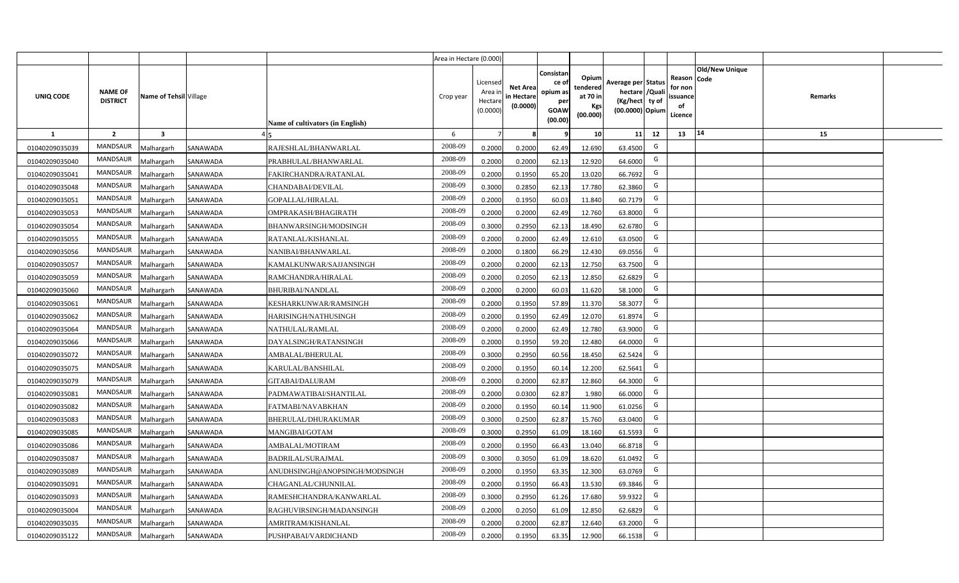|                |                                   |                        |          |                                  | Area in Hectare (0.000) |                                           |                                           |                                                                 |                                                  |                                                                            |                                                    |                       |         |  |
|----------------|-----------------------------------|------------------------|----------|----------------------------------|-------------------------|-------------------------------------------|-------------------------------------------|-----------------------------------------------------------------|--------------------------------------------------|----------------------------------------------------------------------------|----------------------------------------------------|-----------------------|---------|--|
| UNIQ CODE      | <b>NAME OF</b><br><b>DISTRICT</b> | Name of Tehsil Village |          | Name of cultivators (in English) | Crop year               | Licensed<br>Area i<br>Hectare<br>(0.0000) | <b>Net Area</b><br>in Hectare<br>(0.0000) | Consistan<br>ce of<br>opium as<br>per<br><b>GOAW</b><br>(00.00) | Opium<br>tendered<br>at 70 in<br>Kgs<br>(00.000) | Average per Status<br>hectare / Quali<br>(Kg/hect ty of<br>(00.0000) Opium | Reason Code<br>for non<br>ssuance<br>of<br>Licence | <b>Old/New Unique</b> | Remarks |  |
| $\mathbf{1}$   | $\overline{2}$                    | $\mathbf{3}$           |          |                                  | 6                       | $\overline{7}$                            | 8                                         | 9                                                               | 10 <sup>1</sup>                                  | 12<br>11                                                                   | 13                                                 | 14                    | 15      |  |
| 01040209035039 | MANDSAUR                          | Malhargarh             | SANAWADA | RAJESHLAL/BHANWARLAL             | 2008-09                 | 0.2000                                    | 0.2000                                    | 62.49                                                           | 12.690                                           | G<br>63.4500                                                               |                                                    |                       |         |  |
| 01040209035040 | MANDSAUR                          | <b>Aalhargarh</b>      | SANAWADA | PRABHULAL/BHANWARLAL             | 2008-09                 | 0.2000                                    | 0.2000                                    | 62.13                                                           | 12.920                                           | G<br>64.6000                                                               |                                                    |                       |         |  |
| 01040209035041 | MANDSAUR                          | Malhargarh             | SANAWADA | FAKIRCHANDRA/RATANLAL            | 2008-09                 | 0.2000                                    | 0.1950                                    | 65.20                                                           | 13.020                                           | G<br>66.7692                                                               |                                                    |                       |         |  |
| 01040209035048 | <b>MANDSAUR</b>                   | Malhargarh             | SANAWADA | CHANDABAI/DEVILAL                | 2008-09                 | 0.3000                                    | 0.2850                                    | 62.13                                                           | 17.780                                           | G<br>62.3860                                                               |                                                    |                       |         |  |
| 01040209035051 | MANDSAUR                          | Malhargarh             | SANAWADA | GOPALLAL/HIRALAL                 | 2008-09                 | 0.2000                                    | 0.1950                                    | 60.03                                                           | 11.840                                           | G<br>60.7179                                                               |                                                    |                       |         |  |
| 01040209035053 | MANDSAUR                          | Malhargarh             | SANAWADA | OMPRAKASH/BHAGIRATH              | 2008-09                 | 0.2000                                    | 0.2000                                    | 62.49                                                           | 12.760                                           | G<br>63.8000                                                               |                                                    |                       |         |  |
| 01040209035054 | <b>MANDSAUR</b>                   | Malhargarh             | SANAWADA | BHANWARSINGH/MODSINGH            | 2008-09                 | 0.3000                                    | 0.2950                                    | 62.13                                                           | 18.490                                           | G<br>62.6780                                                               |                                                    |                       |         |  |
| 01040209035055 | <b>MANDSAUR</b>                   | Malhargarh             | SANAWADA | RATANLAL/KISHANLAL               | 2008-09                 | 0.2000                                    | 0.2000                                    | 62.49                                                           | 12.610                                           | G<br>63.0500                                                               |                                                    |                       |         |  |
| 01040209035056 | <b>MANDSAUR</b>                   | Malhargarh             | SANAWADA | NANIBAI/BHANWARLAL               | 2008-09                 | 0.2000                                    | 0.1800                                    | 66.29                                                           | 12.430                                           | G<br>69.0556                                                               |                                                    |                       |         |  |
| 01040209035057 | <b>MANDSAUR</b>                   | Malhargarh             | SANAWADA | KAMALKUNWAR/SAJJANSINGH          | 2008-09                 | 0.2000                                    | 0.2000                                    | 62.13                                                           | 12.750                                           | G<br>63.7500                                                               |                                                    |                       |         |  |
| 01040209035059 | MANDSAUR                          | Malhargarh             | SANAWADA | RAMCHANDRA/HIRALAL               | 2008-09                 | 0.2000                                    | 0.2050                                    | 62.13                                                           | 12.850                                           | G<br>62.6829                                                               |                                                    |                       |         |  |
| 01040209035060 | <b>MANDSAUR</b>                   | Malhargarh             | SANAWADA | <b>BHURIBAI/NANDLAL</b>          | 2008-09                 | 0.2000                                    | 0.2000                                    | 60.03                                                           | 11.620                                           | G<br>58.1000                                                               |                                                    |                       |         |  |
| 01040209035061 | <b>MANDSAUR</b>                   | Malhargarh             | SANAWADA | KESHARKUNWAR/RAMSINGH            | 2008-09                 | 0.2000                                    | 0.1950                                    | 57.89                                                           | 11.370                                           | G<br>58.3077                                                               |                                                    |                       |         |  |
| 01040209035062 | <b>MANDSAUR</b>                   | Malhargarh             | SANAWADA | HARISINGH/NATHUSINGH             | 2008-09                 | 0.2000                                    | 0.1950                                    | 62.49                                                           | 12.070                                           | G<br>61.8974                                                               |                                                    |                       |         |  |
| 01040209035064 | <b>MANDSAUR</b>                   | Malhargarh             | SANAWADA | NATHULAL/RAMLAL                  | 2008-09                 | 0.2000                                    | 0.2000                                    | 62.49                                                           | 12.780                                           | G<br>63.9000                                                               |                                                    |                       |         |  |
| 01040209035066 | <b>MANDSAUR</b>                   | Malhargarh             | SANAWADA | DAYALSINGH/RATANSINGH            | 2008-09                 | 0.2000                                    | 0.1950                                    | 59.20                                                           | 12.480                                           | G<br>64.0000                                                               |                                                    |                       |         |  |
| 01040209035072 | <b>MANDSAUR</b>                   | Malhargarh             | SANAWADA | AMBALAL/BHERULAL                 | 2008-09                 | 0.3000                                    | 0.2950                                    | 60.56                                                           | 18.450                                           | G<br>62.5424                                                               |                                                    |                       |         |  |
| 01040209035075 | <b>MANDSAUR</b>                   | Malhargarh             | SANAWADA | KARULAL/BANSHILAL                | 2008-09                 | 0.2000                                    | 0.1950                                    | 60.14                                                           | 12.200                                           | G<br>62.5641                                                               |                                                    |                       |         |  |
| 01040209035079 | <b>MANDSAUR</b>                   | Malhargarh             | SANAWADA | GITABAI/DALURAM                  | 2008-09                 | 0.2000                                    | 0.2000                                    | 62.87                                                           | 12.860                                           | G<br>64.3000                                                               |                                                    |                       |         |  |
| 01040209035081 | MANDSAUR                          | Malhargarh             | SANAWADA | PADMAWATIBAI/SHANTILAL           | 2008-09                 | 0.2000                                    | 0.0300                                    | 62.87                                                           | 1.980                                            | G<br>66.0000                                                               |                                                    |                       |         |  |
| 01040209035082 | <b>MANDSAUR</b>                   | Malhargarh             | SANAWADA | FATMABI/NAVABKHAN                | 2008-09                 | 0.2000                                    | 0.1950                                    | 60.14                                                           | 11.900                                           | G<br>61.0256                                                               |                                                    |                       |         |  |
| 01040209035083 | MANDSAUR                          | Malhargarh             | SANAWADA | BHERULAL/DHURAKUMAR              | 2008-09                 | 0.3000                                    | 0.2500                                    | 62.87                                                           | 15.760                                           | G<br>63.0400                                                               |                                                    |                       |         |  |
| 01040209035085 | <b>MANDSAUR</b>                   | Malhargarh             | SANAWADA | MANGIBAI/GOTAM                   | 2008-09                 | 0.3000                                    | 0.2950                                    | 61.09                                                           | 18.160                                           | G<br>61.5593                                                               |                                                    |                       |         |  |
| 01040209035086 | <b>MANDSAUR</b>                   | Malhargarh             | SANAWADA | AMBALAL/MOTIRAM                  | 2008-09                 | 0.2000                                    | 0.1950                                    | 66.43                                                           | 13.040                                           | G<br>66.8718                                                               |                                                    |                       |         |  |
| 01040209035087 | <b>MANDSAUR</b>                   | Malhargarh             | SANAWADA | <b>BADRILAL/SURAJMAL</b>         | 2008-09                 | 0.3000                                    | 0.3050                                    | 61.09                                                           | 18.620                                           | G<br>61.0492                                                               |                                                    |                       |         |  |
| 01040209035089 | MANDSAUR                          | Malhargarh             | SANAWADA | ANUDHSINGH@ANOPSINGH/MODSINGH    | 2008-09                 | 0.2000                                    | 0.1950                                    | 63.35                                                           | 12.300                                           | G<br>63.0769                                                               |                                                    |                       |         |  |
| 01040209035091 | MANDSAUR                          | Malhargarh             | SANAWADA | CHAGANLAL/CHUNNILAL              | 2008-09                 | 0.2000                                    | 0.1950                                    | 66.43                                                           | 13.530                                           | G<br>69.3846                                                               |                                                    |                       |         |  |
| 01040209035093 | MANDSAUR                          | Malhargarh             | SANAWADA | RAMESHCHANDRA/KANWARLAL          | 2008-09                 | 0.3000                                    | 0.2950                                    | 61.26                                                           | 17.680                                           | G<br>59.9322                                                               |                                                    |                       |         |  |
| 01040209035004 | MANDSAUR                          | Malhargarh             | SANAWADA | RAGHUVIRSINGH/MADANSINGH         | 2008-09                 | 0.2000                                    | 0.2050                                    | 61.09                                                           | 12.850                                           | G<br>62.6829                                                               |                                                    |                       |         |  |
| 01040209035035 | MANDSAUR                          | Malhargarh             | SANAWADA | AMRITRAM/KISHANLAL               | 2008-09                 | 0.2000                                    | 0.2000                                    | 62.87                                                           | 12.640                                           | G<br>63.2000                                                               |                                                    |                       |         |  |
| 01040209035122 | MANDSAUR                          | Malhargarh             | SANAWADA | PUSHPABAI/VARDICHAND             | 2008-09                 | 0.2000                                    | 0.1950                                    | 63.35                                                           | 12.900                                           | G<br>66.1538                                                               |                                                    |                       |         |  |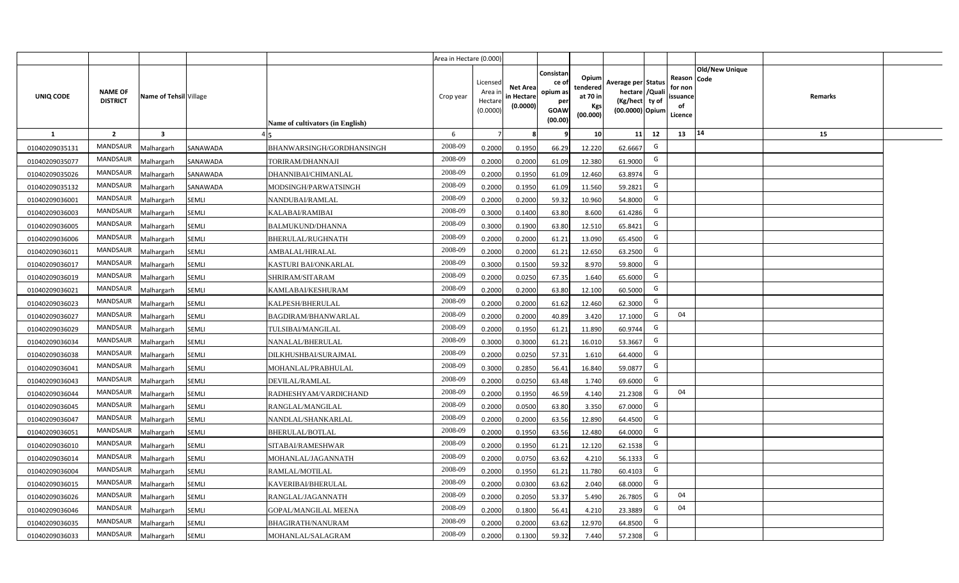|                |                                   |                        |              |                                  | Area in Hectare (0.000) |                                          |                                           |                                                          |                                                         |                                                                           |    |                                                     |                       |         |  |
|----------------|-----------------------------------|------------------------|--------------|----------------------------------|-------------------------|------------------------------------------|-------------------------------------------|----------------------------------------------------------|---------------------------------------------------------|---------------------------------------------------------------------------|----|-----------------------------------------------------|-----------------------|---------|--|
| UNIQ CODE      | <b>NAME OF</b><br><b>DISTRICT</b> | Name of Tehsil Village |              | Name of cultivators (in English) | Crop year               | Licensed<br>Area i<br>Hectar<br>(0.0000) | <b>Net Area</b><br>in Hectare<br>(0.0000) | Consistan<br>ce of<br>opium as<br>per<br>GOAW<br>(00.00) | Opium<br>tendered<br>at 70 in<br><b>Kgs</b><br>(00.000) | Average per Status<br>hectare / Qual<br>(Kg/hect ty of<br>(00.0000) Opium |    | Reason Code<br>for nor<br>issuance<br>of<br>Licence | <b>Old/New Unique</b> | Remarks |  |
| 1              | $\overline{2}$                    | $\mathbf{3}$           |              |                                  | 6                       |                                          |                                           |                                                          | 10                                                      | 11                                                                        | 12 | 13                                                  | 14                    | 15      |  |
| 01040209035131 | <b>MANDSAUR</b>                   | Malhargarh             | SANAWADA     | BHANWARSINGH/GORDHANSINGH        | 2008-09                 | 0.2000                                   | 0.1950                                    | 66.29                                                    | 12.220                                                  | 62.6667                                                                   | G  |                                                     |                       |         |  |
| 01040209035077 | MANDSAUR                          | Malhargarh             | SANAWADA     | TORIRAM/DHANNAJI                 | 2008-09                 | 0.2000                                   | 0.2000                                    | 61.09                                                    | 12.380                                                  | 61.9000                                                                   | G  |                                                     |                       |         |  |
| 01040209035026 | MANDSAUR                          | Malhargarh             | SANAWADA     | DHANNIBAI/CHIMANLAL              | 2008-09                 | 0.2000                                   | 0.1950                                    | 61.09                                                    | 12.460                                                  | 63.8974                                                                   | G  |                                                     |                       |         |  |
| 01040209035132 | MANDSAUR                          | Malhargarh             | SANAWADA     | MODSINGH/PARWATSINGH             | 2008-09                 | 0.2000                                   | 0.1950                                    | 61.09                                                    | 11.560                                                  | 59.2821                                                                   | G  |                                                     |                       |         |  |
| 01040209036001 | <b>MANDSAUR</b>                   | Malhargarh             | SEMLI        | NANDUBAI/RAMLAL                  | 2008-09                 | 0.2000                                   | 0.2000                                    | 59.32                                                    | 10.960                                                  | 54.8000                                                                   | G  |                                                     |                       |         |  |
| 01040209036003 | <b>MANDSAUR</b>                   | Malhargarh             | SEMLI        | KALABAI/RAMIBAI                  | 2008-09                 | 0.3000                                   | 0.1400                                    | 63.80                                                    | 8.600                                                   | 61.4286                                                                   | G  |                                                     |                       |         |  |
| 01040209036005 | <b>MANDSAUR</b>                   | Malhargarh             | SEMLI        | BALMUKUND/DHANNA                 | 2008-09                 | 0.3000                                   | 0.1900                                    | 63.80                                                    | 12.510                                                  | 65.8421                                                                   | G  |                                                     |                       |         |  |
| 01040209036006 | <b>MANDSAUR</b>                   | Malhargarh             | SEMLI        | BHERULAL/RUGHNATH                | 2008-09                 | 0.200                                    | 0.2000                                    | 61.21                                                    | 13.090                                                  | 65.4500                                                                   | G  |                                                     |                       |         |  |
| 01040209036011 | <b>MANDSAUR</b>                   | Malhargarh             | SEMLI        | AMBALAL/HIRALAL                  | 2008-09                 | 0.200                                    | 0.2000                                    | 61.21                                                    | 12.650                                                  | 63.2500                                                                   | G  |                                                     |                       |         |  |
| 01040209036017 | <b>MANDSAUR</b>                   | Malhargarh             | SEMLI        | KASTURI BAI/ONKARLAL             | 2008-09                 | 0.3000                                   | 0.1500                                    | 59.32                                                    | 8.970                                                   | 59.8000                                                                   | G  |                                                     |                       |         |  |
| 01040209036019 | <b>MANDSAUR</b>                   | Malhargarh             | SEMLI        | SHRIRAM/SITARAM                  | 2008-09                 | 0.2000                                   | 0.0250                                    | 67.35                                                    | 1.640                                                   | 65.6000                                                                   | G  |                                                     |                       |         |  |
| 01040209036021 | MANDSAUR                          | Malhargarh             | SEMLI        | KAMLABAI/KESHURAM                | 2008-09                 | 0.2000                                   | 0.2000                                    | 63.80                                                    | 12.100                                                  | 60.5000                                                                   | G  |                                                     |                       |         |  |
| 01040209036023 | MANDSAUR                          | Malhargarh             | SEMLI        | KALPESH/BHERULAL                 | 2008-09                 | 0.2000                                   | 0.2000                                    | 61.62                                                    | 12.460                                                  | 62.3000                                                                   | G  |                                                     |                       |         |  |
| 01040209036027 | MANDSAUR                          | Malhargarh             | SEMLI        | <b>BAGDIRAM/BHANWARLAL</b>       | 2008-09                 | 0.2000                                   | 0.2000                                    | 40.89                                                    | 3.420                                                   | 17.1000                                                                   | G  | 04                                                  |                       |         |  |
| 01040209036029 | MANDSAUR                          | Malhargarh             | SEMLI        | TULSIBAI/MANGILAL                | 2008-09                 | 0.2000                                   | 0.1950                                    | 61.21                                                    | 11.890                                                  | 60.9744                                                                   | G  |                                                     |                       |         |  |
| 01040209036034 | <b>MANDSAUR</b>                   | Malhargarh             | SEMLI        | NANALAL/BHERULAL                 | 2008-09                 | 0.3000                                   | 0.3000                                    | 61.21                                                    | 16.010                                                  | 53.3667                                                                   | G  |                                                     |                       |         |  |
| 01040209036038 | MANDSAUR                          | Malhargarh             | SEMLI        | DILKHUSHBAI/SURAJMAL             | 2008-09                 | 0.2000                                   | 0.0250                                    | 57.31                                                    | 1.610                                                   | 64.4000                                                                   | G  |                                                     |                       |         |  |
| 01040209036041 | <b>MANDSAUR</b>                   | Malhargarh             | SEMLI        | MOHANLAL/PRABHULAL               | 2008-09                 | 0.3000                                   | 0.2850                                    | 56.41                                                    | 16.840                                                  | 59.0877                                                                   | G  |                                                     |                       |         |  |
| 01040209036043 | <b>MANDSAUR</b>                   | Malhargarh             | SEMLI        | DEVILAL/RAMLAL                   | 2008-09                 | 0.2000                                   | 0.0250                                    | 63.48                                                    | 1.740                                                   | 69.6000                                                                   | G  |                                                     |                       |         |  |
| 01040209036044 | MANDSAUR                          | Malhargarh             | SEMLI        | RADHESHYAM/VARDICHAND            | 2008-09                 | 0.2000                                   | 0.1950                                    | 46.59                                                    | 4.140                                                   | 21.2308                                                                   | G  | 04                                                  |                       |         |  |
| 01040209036045 | <b>MANDSAUR</b>                   | Malhargarh             | SEMLI        | RANGLAL/MANGILAL                 | 2008-09                 | 0.2000                                   | 0.0500                                    | 63.80                                                    | 3.350                                                   | 67.0000                                                                   | G  |                                                     |                       |         |  |
| 01040209036047 | <b>MANDSAUR</b>                   | Malhargarh             | SEMLI        | NANDLAL/SHANKARLAL               | 2008-09                 | 0.2000                                   | 0.2000                                    | 63.56                                                    | 12.890                                                  | 64.4500                                                                   | G  |                                                     |                       |         |  |
| 01040209036051 | <b>MANDSAUR</b>                   | Malhargarh             | SEMLI        | <b>BHERULAL/BOTLAL</b>           | 2008-09                 | 0.2000                                   | 0.1950                                    | 63.56                                                    | 12.480                                                  | 64.0000                                                                   | G  |                                                     |                       |         |  |
| 01040209036010 | <b>MANDSAUR</b>                   | Malhargarh             | SEMLI        | SITABAI/RAMESHWAR                | 2008-09                 | 0.2000                                   | 0.1950                                    | 61.21                                                    | 12.120                                                  | 62.1538                                                                   | G  |                                                     |                       |         |  |
| 01040209036014 | <b>MANDSAUR</b>                   | Malhargarh             | SEMLI        | MOHANLAL/JAGANNATH               | 2008-09                 | 0.2000                                   | 0.0750                                    | 63.62                                                    | 4.210                                                   | 56.1333                                                                   | G  |                                                     |                       |         |  |
| 01040209036004 | <b>MANDSAUR</b>                   | Malhargarh             | SEMLI        | RAMLAL/MOTILAL                   | 2008-09                 | 0.200                                    | 0.1950                                    | 61.21                                                    | 11.780                                                  | 60.4103                                                                   | G  |                                                     |                       |         |  |
| 01040209036015 | <b>MANDSAUR</b>                   | Malhargarh             | SEMLI        | KAVERIBAI/BHERULAL               | 2008-09                 | 0.200                                    | 0.0300                                    | 63.62                                                    | 2.040                                                   | 68.0000                                                                   | G  |                                                     |                       |         |  |
| 01040209036026 | <b>MANDSAUR</b>                   | Malhargarh             | SEMLI        | RANGLAL/JAGANNATH                | 2008-09                 | 0.200                                    | 0.2050                                    | 53.37                                                    | 5.490                                                   | 26.7805                                                                   | G  | 04                                                  |                       |         |  |
| 01040209036046 | <b>MANDSAUR</b>                   | Malhargarh             | SEMLI        | GOPAL/MANGILAL MEENA             | 2008-09                 | 0.200                                    | 0.1800                                    | 56.41                                                    | 4.210                                                   | 23.3889                                                                   | G  | 04                                                  |                       |         |  |
| 01040209036035 | <b>MANDSAUR</b>                   | Malhargarh             | <b>SEMLI</b> | BHAGIRATH/NANURAM                | 2008-09                 | 0.200                                    | 0.2000                                    | 63.62                                                    | 12.970                                                  | 64.8500                                                                   | G  |                                                     |                       |         |  |
| 01040209036033 | MANDSAUR                          | Malhargarh             | <b>SEMLI</b> | MOHANLAL/SALAGRAM                | 2008-09                 | 0.2000                                   | 0.1300                                    | 59.32                                                    | 7.440                                                   | 57.2308                                                                   | G  |                                                     |                       |         |  |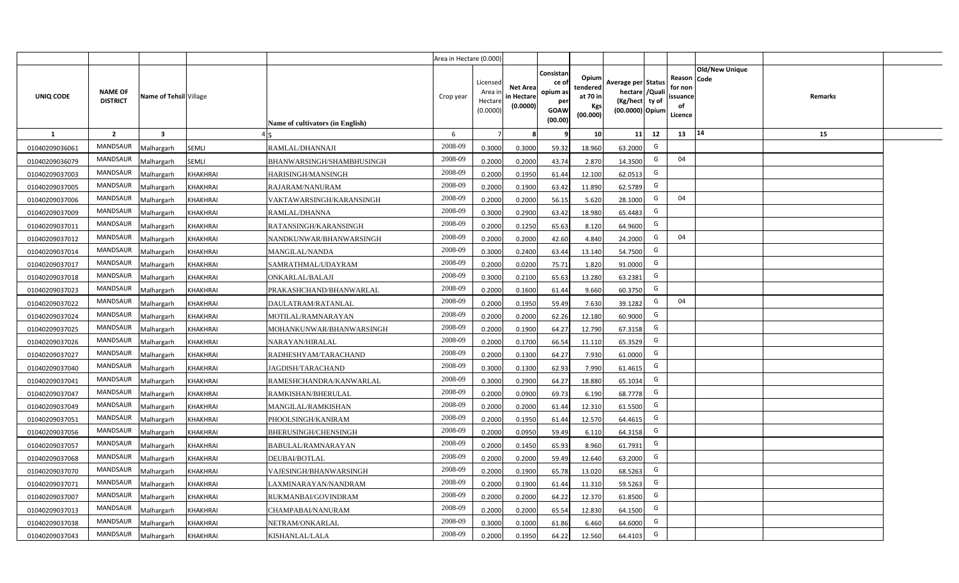|                |                                   |                         |                 |                                  | Area in Hectare (0.000) |                                           |                                           |                                                                |                                                         |                                                                            |                                                     |                       |         |  |
|----------------|-----------------------------------|-------------------------|-----------------|----------------------------------|-------------------------|-------------------------------------------|-------------------------------------------|----------------------------------------------------------------|---------------------------------------------------------|----------------------------------------------------------------------------|-----------------------------------------------------|-----------------------|---------|--|
| UNIQ CODE      | <b>NAME OF</b><br><b>DISTRICT</b> | Name of Tehsil Village  |                 | Name of cultivators (in English) | Crop year               | Licensed<br>Area i<br>Hectare<br>(0.0000) | <b>Net Area</b><br>in Hectare<br>(0.0000) | Consistan<br>ce o<br>opium as<br>per<br><b>GOAW</b><br>(00.00) | Opium<br>tendered<br>at 70 in<br><b>Kgs</b><br>(00.000) | Average per Status<br>hectare / Quali<br>(Kg/hect ty of<br>(00.0000) Opium | Reason Code<br>for non<br>issuance<br>of<br>Licence | <b>Old/New Unique</b> | Remarks |  |
| $\mathbf{1}$   | $\overline{2}$                    | $\overline{\mathbf{3}}$ |                 |                                  | 6                       | $\overline{7}$                            |                                           | 9                                                              | 10 <sup>1</sup>                                         | 11<br>12                                                                   | 13                                                  | 14                    | 15      |  |
| 01040209036061 | <b>MANDSAUR</b>                   | <b>Aalhargarh</b>       | <b>SEMLI</b>    | RAMLAL/DHANNAJI                  | 2008-09                 | 0.3000                                    | 0.3000                                    | 59.32                                                          | 18.960                                                  | G<br>63.2000                                                               |                                                     |                       |         |  |
| 01040209036079 | MANDSAUR                          | Malhargarh              | <b>SEMLI</b>    | BHANWARSINGH/SHAMBHUSINGH        | 2008-09                 | 0.2000                                    | 0.2000                                    | 43.74                                                          | 2.870                                                   | G<br>14.3500                                                               | 04                                                  |                       |         |  |
| 01040209037003 | MANDSAUR                          | Malhargarh              | KHAKHRAI        | HARISINGH/MANSINGH               | 2008-09                 | 0.2000                                    | 0.1950                                    | 61.44                                                          | 12.100                                                  | G<br>62.0513                                                               |                                                     |                       |         |  |
| 01040209037005 | MANDSAUR                          | Malhargarh              | <b>KHAKHRAI</b> | RAJARAM/NANURAM                  | 2008-09                 | 0.2000                                    | 0.1900                                    | 63.42                                                          | 11.890                                                  | G<br>62.5789                                                               |                                                     |                       |         |  |
| 01040209037006 | MANDSAUR                          | Malhargarh              | KHAKHRAI        | VAKTAWARSINGH/KARANSINGH         | 2008-09                 | 0.2000                                    | 0.2000                                    | 56.15                                                          | 5.620                                                   | G<br>28.1000                                                               | 04                                                  |                       |         |  |
| 01040209037009 | <b>MANDSAUR</b>                   | <b>Aalhargarh</b>       | <b>KHAKHRAI</b> | RAMLAL/DHANNA                    | 2008-09                 | 0.3000                                    | 0.2900                                    | 63.42                                                          | 18.980                                                  | G<br>65.4483                                                               |                                                     |                       |         |  |
| 01040209037011 | MANDSAUR                          | Malhargarh              | <b>KHAKHRAI</b> | RATANSINGH/KARANSINGH            | 2008-09                 | 0.2000                                    | 0.1250                                    | 65.63                                                          | 8.120                                                   | G<br>64.9600                                                               |                                                     |                       |         |  |
| 01040209037012 | <b>MANDSAUR</b>                   | Malhargarh              | KHAKHRAI        | NANDKUNWAR/BHANWARSINGH          | 2008-09                 | 0.2000                                    | 0.2000                                    | 42.60                                                          | 4.840                                                   | G<br>24.2000                                                               | 04                                                  |                       |         |  |
| 01040209037014 | <b>MANDSAUR</b>                   | Malhargarh              | KHAKHRAI        | MANGILAL/NANDA                   | 2008-09                 | 0.3000                                    | 0.2400                                    | 63.44                                                          | 13.140                                                  | G<br>54.7500                                                               |                                                     |                       |         |  |
| 01040209037017 | <b>MANDSAUR</b>                   | Malhargarh              | KHAKHRAI        | SAMRATHMAL/UDAYRAM               | 2008-09                 | 0.2000                                    | 0.0200                                    | 75.71                                                          | 1.820                                                   | G<br>91.0000                                                               |                                                     |                       |         |  |
| 01040209037018 | <b>MANDSAUR</b>                   | Malhargarh              | KHAKHRAI        | ONKARLAL/BALAJI                  | 2008-09                 | 0.3000                                    | 0.2100                                    | 65.63                                                          | 13.280                                                  | G<br>63.2381                                                               |                                                     |                       |         |  |
| 01040209037023 | <b>MANDSAUR</b>                   | Malhargarh              | <b>KHAKHRAI</b> | PRAKASHCHAND/BHANWARLAL          | 2008-09                 | 0.2000                                    | 0.1600                                    | 61.44                                                          | 9.660                                                   | G<br>60.3750                                                               |                                                     |                       |         |  |
| 01040209037022 | <b>MANDSAUR</b>                   | Malhargarh              | KHAKHRAI        | DAULATRAM/RATANLAL               | 2008-09                 | 0.2000                                    | 0.1950                                    | 59.49                                                          | 7.630                                                   | G<br>39.1282                                                               | 04                                                  |                       |         |  |
| 01040209037024 | MANDSAUR                          | Malhargarh              | <b>KHAKHRAI</b> | MOTILAL/RAMNARAYAN               | 2008-09                 | 0.2000                                    | 0.2000                                    | 62.26                                                          | 12.180                                                  | G<br>60.9000                                                               |                                                     |                       |         |  |
| 01040209037025 | MANDSAUR                          | Malhargarh              | <b>KHAKHRAI</b> | MOHANKUNWAR/BHANWARSINGH         | 2008-09                 | 0.2000                                    | 0.1900                                    | 64.27                                                          | 12.790                                                  | G<br>67.3158                                                               |                                                     |                       |         |  |
| 01040209037026 | <b>MANDSAUR</b>                   | Malhargarh              | <b>KHAKHRAI</b> | NARAYAN/HIRALAL                  | 2008-09                 | 0.2000                                    | 0.1700                                    | 66.54                                                          | 11.110                                                  | G<br>65.3529                                                               |                                                     |                       |         |  |
| 01040209037027 | <b>MANDSAUR</b>                   | Malhargarh              | KHAKHRAI        | RADHESHYAM/TARACHAND             | 2008-09                 | 0.2000                                    | 0.1300                                    | 64.27                                                          | 7.930                                                   | G<br>61.0000                                                               |                                                     |                       |         |  |
| 01040209037040 | <b>MANDSAUR</b>                   | Malhargarh              | <b>KHAKHRAI</b> | JAGDISH/TARACHAND                | 2008-09                 | 0.3000                                    | 0.1300                                    | 62.93                                                          | 7.990                                                   | G<br>61.4615                                                               |                                                     |                       |         |  |
| 01040209037041 | <b>MANDSAUR</b>                   | Malhargarh              | <b>KHAKHRAI</b> | RAMESHCHANDRA/KANWARLAL          | 2008-09                 | 0.3000                                    | 0.2900                                    | 64.27                                                          | 18.880                                                  | G<br>65.1034                                                               |                                                     |                       |         |  |
| 01040209037047 | <b>MANDSAUR</b>                   | Malhargarh              | KHAKHRAI        | RAMKISHAN/BHERULAL               | 2008-09                 | 0.2000                                    | 0.0900                                    | 69.73                                                          | 6.190                                                   | G<br>68.7778                                                               |                                                     |                       |         |  |
| 01040209037049 | <b>MANDSAUR</b>                   | Malhargarh              | KHAKHRAI        | MANGILAL/RAMKISHAN               | 2008-09                 | 0.2000                                    | 0.2000                                    | 61.44                                                          | 12.310                                                  | G<br>61.5500                                                               |                                                     |                       |         |  |
| 01040209037051 | <b>MANDSAUR</b>                   | Malhargarh              | KHAKHRAI        | PHOOLSINGH/KANIRAM               | 2008-09                 | 0.2000                                    | 0.1950                                    | 61.44                                                          | 12.570                                                  | G<br>64.4615                                                               |                                                     |                       |         |  |
| 01040209037056 | <b>MANDSAUR</b>                   | Malhargarh              | KHAKHRAI        | BHERUSINGH/CHENSINGH             | 2008-09                 | 0.2000                                    | 0.0950                                    | 59.49                                                          | 6.110                                                   | G<br>64.3158                                                               |                                                     |                       |         |  |
| 01040209037057 | MANDSAUR                          | Malhargarh              | KHAKHRAI        | BABULAL/RAMNARAYAN               | 2008-09                 | 0.2000                                    | 0.1450                                    | 65.93                                                          | 8.960                                                   | G<br>61.7931                                                               |                                                     |                       |         |  |
| 01040209037068 | <b>MANDSAUR</b>                   | <b>Aalhargarh</b>       | <b>KHAKHRAI</b> | DEUBAI/BOTLAL                    | 2008-09                 | 0.2000                                    | 0.2000                                    | 59.49                                                          | 12.640                                                  | G<br>63.2000                                                               |                                                     |                       |         |  |
| 01040209037070 | <b>MANDSAUR</b>                   | Malhargarh              | KHAKHRAI        | VAJESINGH/BHANWARSINGH           | 2008-09                 | 0.2000                                    | 0.1900                                    | 65.78                                                          | 13.020                                                  | G<br>68.5263                                                               |                                                     |                       |         |  |
| 01040209037071 | <b>MANDSAUR</b>                   | Malhargarh              | <b>KHAKHRAI</b> | LAXMINARAYAN/NANDRAM             | 2008-09                 | 0.2000                                    | 0.1900                                    | 61.44                                                          | 11.310                                                  | G<br>59.5263                                                               |                                                     |                       |         |  |
| 01040209037007 | MANDSAUR                          | Malhargarh              | <b>KHAKHRAI</b> | RUKMANBAI/GOVINDRAM              | 2008-09                 | 0.2000                                    | 0.2000                                    | 64.22                                                          | 12.370                                                  | G<br>61.8500                                                               |                                                     |                       |         |  |
| 01040209037013 | <b>MANDSAUR</b>                   | Malhargarh              | <b>KHAKHRAI</b> | CHAMPABAI/NANURAM                | 2008-09                 | 0.2000                                    | 0.2000                                    | 65.54                                                          | 12.830                                                  | G<br>64.1500                                                               |                                                     |                       |         |  |
| 01040209037038 | <b>MANDSAUR</b>                   | Malhargarh              | KHAKHRAI        | NETRAM/ONKARLAL                  | 2008-09                 | 0.3000                                    | 0.1000                                    | 61.86                                                          | 6.460                                                   | G<br>64.6000                                                               |                                                     |                       |         |  |
| 01040209037043 | MANDSAUR                          | Malhargarh              | <b>KHAKHRAI</b> | KISHANLAL/LALA                   | 2008-09                 | 0.2000                                    | 0.1950                                    | 64.22                                                          | 12.560                                                  | G<br>64.4103                                                               |                                                     |                       |         |  |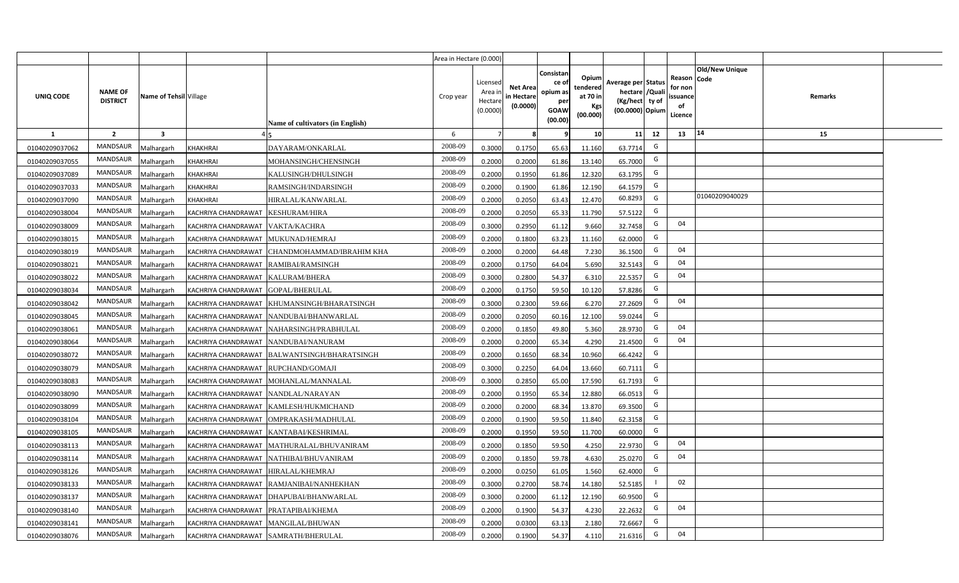|                |                                   |                        |                                        |                                                 | Area in Hectare (0.000) |                                           |                                           |                                                                 |                                                  |                                                                            |                                                     |                |         |  |
|----------------|-----------------------------------|------------------------|----------------------------------------|-------------------------------------------------|-------------------------|-------------------------------------------|-------------------------------------------|-----------------------------------------------------------------|--------------------------------------------------|----------------------------------------------------------------------------|-----------------------------------------------------|----------------|---------|--|
| UNIQ CODE      | <b>NAME OF</b><br><b>DISTRICT</b> | Name of Tehsil Village |                                        | Name of cultivators (in English)                | Crop year               | Licensed<br>Area i<br>Hectare<br>(0.0000) | <b>Net Area</b><br>in Hectare<br>(0.0000) | Consistan<br>ce of<br>opium as<br>per<br><b>GOAW</b><br>(00.00) | Opium<br>tendered<br>at 70 in<br>Kgs<br>(00.000) | Average per Status<br>hectare / Quali<br>(Kg/hect ty of<br>(00.0000) Opium | Reason Code<br>for non<br>issuance<br>of<br>Licence | Old/New Unique | Remarks |  |
| $\mathbf{1}$   | $\overline{2}$                    | $\mathbf{3}$           |                                        |                                                 | 6                       | $\overline{7}$                            | 8                                         | 9                                                               | 10 <sup>1</sup>                                  | 11<br>12                                                                   | 13                                                  | 14             | 15      |  |
| 01040209037062 | MANDSAUR                          | Malhargarh             | KHAKHRAI                               | DAYARAM/ONKARLAL                                | 2008-09                 | 0.3000                                    | 0.1750                                    | 65.63                                                           | 11.160                                           | G<br>63.7714                                                               |                                                     |                |         |  |
| 01040209037055 | MANDSAUR                          | Malhargarh             | KHAKHRAI                               | MOHANSINGH/CHENSINGH                            | 2008-09                 | 0.2000                                    | 0.2000                                    | 61.86                                                           | 13.140                                           | G<br>65.7000                                                               |                                                     |                |         |  |
| 01040209037089 | <b>MANDSAUR</b>                   | Malhargarh             | KHAKHRAI                               | KALUSINGH/DHULSINGH                             | 2008-09                 | 0.2000                                    | 0.1950                                    | 61.86                                                           | 12.320                                           | G<br>63.1795                                                               |                                                     |                |         |  |
| 01040209037033 | MANDSAUR                          | Malhargarh             | <b>KHAKHRAI</b>                        | RAMSINGH/INDARSINGH                             | 2008-09                 | 0.2000                                    | 0.1900                                    | 61.86                                                           | 12.190                                           | G<br>64.1579                                                               |                                                     |                |         |  |
| 01040209037090 | MANDSAUR                          | Malhargarh             | <b>KHAKHRAI</b>                        | HIRALAL/KANWARLAL                               | 2008-09                 | 0.2000                                    | 0.2050                                    | 63.43                                                           | 12.470                                           | 60.8293<br>G                                                               |                                                     | 01040209040029 |         |  |
| 01040209038004 | <b>MANDSAUR</b>                   | Malhargarh             | KACHRIYA CHANDRAWAT KESHURAM/HIRA      |                                                 | 2008-09                 | 0.2000                                    | 0.2050                                    | 65.33                                                           | 11.790                                           | G<br>57.5122                                                               |                                                     |                |         |  |
| 01040209038009 | <b>MANDSAUR</b>                   | Malhargarh             | KACHRIYA CHANDRAWAT   VAKTA/KACHRA     |                                                 | 2008-09                 | 0.3000                                    | 0.2950                                    | 61.12                                                           | 9.660                                            | G<br>32.7458                                                               | 04                                                  |                |         |  |
| 01040209038015 | <b>MANDSAUR</b>                   | Malhargarh             | KACHRIYA CHANDRAWAT MUKUNAD/HEMRAJ     |                                                 | 2008-09                 | 0.2000                                    | 0.1800                                    | 63.23                                                           | 11.160                                           | G<br>62.0000                                                               |                                                     |                |         |  |
| 01040209038019 | MANDSAUR                          | Malhargarh             |                                        | KACHRIYA CHANDRAWAT   CHANDMOHAMMAD/IBRAHIM KHA | 2008-09                 | 0.2000                                    | 0.2000                                    | 64.48                                                           | 7.230                                            | G<br>36.1500                                                               | 04                                                  |                |         |  |
| 01040209038021 | MANDSAUR                          | Malhargarh             | KACHRIYA CHANDRAWAT RAMIBAI/RAMSINGH   |                                                 | 2008-09                 | 0.2000                                    | 0.1750                                    | 64.04                                                           | 5.690                                            | G<br>32.5143                                                               | 04                                                  |                |         |  |
| 01040209038022 | <b>MANDSAUR</b>                   | Malhargarh             | KACHRIYA CHANDRAWAT KALURAM/BHERA      |                                                 | 2008-09                 | 0.3000                                    | 0.2800                                    | 54.37                                                           | 6.310                                            | G<br>22.5357                                                               | 04                                                  |                |         |  |
| 01040209038034 | <b>MANDSAUR</b>                   | Malhargarh             | KACHRIYA CHANDRAWAT GOPAL/BHERULAL     |                                                 | 2008-09                 | 0.2000                                    | 0.1750                                    | 59.50                                                           | 10.120                                           | G<br>57.8286                                                               |                                                     |                |         |  |
| 01040209038042 | <b>MANDSAUR</b>                   | Malhargarh             |                                        | KACHRIYA CHANDRAWAT KHUMANSINGH/BHARATSINGH     | 2008-09                 | 0.3000                                    | 0.2300                                    | 59.66                                                           | 6.270                                            | G<br>27.2609                                                               | 04                                                  |                |         |  |
| 01040209038045 | <b>MANDSAUR</b>                   | Malhargarh             |                                        | KACHRIYA CHANDRAWAT NANDUBAI/BHANWARLAL         | 2008-09                 | 0.2000                                    | 0.2050                                    | 60.16                                                           | 12.100                                           | G<br>59.0244                                                               |                                                     |                |         |  |
| 01040209038061 | <b>MANDSAUR</b>                   | Malhargarh             | KACHRIYA CHANDRAWAT                    | NAHARSINGH/PRABHULAL                            | 2008-09                 | 0.2000                                    | 0.1850                                    | 49.80                                                           | 5.360                                            | G<br>28.9730                                                               | 04                                                  |                |         |  |
| 01040209038064 | <b>MANDSAUR</b>                   | Malhargarh             |                                        | KACHRIYA CHANDRAWAT NANDUBAI/NANURAM            | 2008-09                 | 0.2000                                    | 0.2000                                    | 65.34                                                           | 4.290                                            | G<br>21.4500                                                               | 04                                                  |                |         |  |
| 01040209038072 | <b>MANDSAUR</b>                   | Malhargarh             |                                        | KACHRIYA CHANDRAWAT BALWANTSINGH/BHARATSINGH    | 2008-09                 | 0.2000                                    | 0.1650                                    | 68.34                                                           | 10.960                                           | G<br>66.4242                                                               |                                                     |                |         |  |
| 01040209038079 | <b>MANDSAUR</b>                   | Malhargarh             | KACHRIYA CHANDRAWAT RUPCHAND/GOMAJI    |                                                 | 2008-09                 | 0.3000                                    | 0.2250                                    | 64.04                                                           | 13.660                                           | G<br>60.7111                                                               |                                                     |                |         |  |
| 01040209038083 | <b>MANDSAUR</b>                   | Malhargarh             |                                        | KACHRIYA CHANDRAWAT   MOHANLAL/MANNALAL         | 2008-09                 | 0.3000                                    | 0.2850                                    | 65.00                                                           | 17.590                                           | G<br>61.7193                                                               |                                                     |                |         |  |
| 01040209038090 | <b>MANDSAUR</b>                   | Malhargarh             | KACHRIYA CHANDRAWAT NANDLAL/NARAYAN    |                                                 | 2008-09                 | 0.2000                                    | 0.1950                                    | 65.34                                                           | 12.880                                           | G<br>66.0513                                                               |                                                     |                |         |  |
| 01040209038099 | <b>MANDSAUR</b>                   | Malhargarh             |                                        | KACHRIYA CHANDRAWAT KAMLESH/HUKMICHAND          | 2008-09                 | 0.2000                                    | 0.2000                                    | 68.34                                                           | 13.870                                           | G<br>69.3500                                                               |                                                     |                |         |  |
| 01040209038104 | <b>MANDSAUR</b>                   | Malhargarh             |                                        | KACHRIYA CHANDRAWAT OMPRAKASH/MADHULAL          | 2008-09                 | 0.2000                                    | 0.1900                                    | 59.50                                                           | 11.840                                           | G<br>62.3158                                                               |                                                     |                |         |  |
| 01040209038105 | MANDSAUR                          | Malhargarh             |                                        | KACHRIYA CHANDRAWAT KANTABAI/KESHRIMAL          | 2008-09                 | 0.2000                                    | 0.1950                                    | 59.50                                                           | 11.700                                           | G<br>60.0000                                                               |                                                     |                |         |  |
| 01040209038113 | <b>MANDSAUR</b>                   | Malhargarh             |                                        | KACHRIYA CHANDRAWAT MATHURALAL/BHUVANIRAM       | 2008-09                 | 0.2000                                    | 0.1850                                    | 59.50                                                           | 4.250                                            | G<br>22.9730                                                               | 04                                                  |                |         |  |
| 01040209038114 | <b>MANDSAUR</b>                   | Malhargarh             |                                        | KACHRIYA CHANDRAWAT NATHIBAI/BHUVANIRAM         | 2008-09                 | 0.2000                                    | 0.1850                                    | 59.78                                                           | 4.630                                            | G<br>25.0270                                                               | 04                                                  |                |         |  |
| 01040209038126 | <b>MANDSAUR</b>                   | Malhargarh             | KACHRIYA CHANDRAWAT HIRALAL/KHEMRAJ    |                                                 | 2008-09                 | 0.2000                                    | 0.0250                                    | 61.05                                                           | 1.560                                            | G<br>62.4000                                                               |                                                     |                |         |  |
| 01040209038133 | MANDSAUR                          | Malhargarh             |                                        | KACHRIYA CHANDRAWAT RAMJANIBAI/NANHEKHAN        | 2008-09                 | 0.3000                                    | 0.2700                                    | 58.74                                                           | 14.180                                           | 52.5185                                                                    | 02                                                  |                |         |  |
| 01040209038137 | MANDSAUR                          | Malhargarh             |                                        | KACHRIYA CHANDRAWAT DHAPUBAI/BHANWARLAL         | 2008-09                 | 0.3000                                    | 0.2000                                    | 61.12                                                           | 12.190                                           | G<br>60.9500                                                               |                                                     |                |         |  |
| 01040209038140 | MANDSAUR                          | Malhargarh             | KACHRIYA CHANDRAWAT   PRATAPIBAI/KHEMA |                                                 | 2008-09                 | 0.2000                                    | 0.1900                                    | 54.37                                                           | 4.230                                            | G<br>22.2632                                                               | 04                                                  |                |         |  |
| 01040209038141 | MANDSAUR                          | Malhargarh             | KACHRIYA CHANDRAWAT MANGILAL/BHUWAN    |                                                 | 2008-09                 | 0.2000                                    | 0.0300                                    | 63.13                                                           | 2.180                                            | G<br>72.6667                                                               |                                                     |                |         |  |
| 01040209038076 | MANDSAUR                          | Malhargarh             | KACHRIYA CHANDRAWAT SAMRATH/BHERULAL   |                                                 | 2008-09                 | 0.2000                                    | 0.1900                                    | 54.37                                                           | 4.110                                            | G<br>21.6316                                                               | 04                                                  |                |         |  |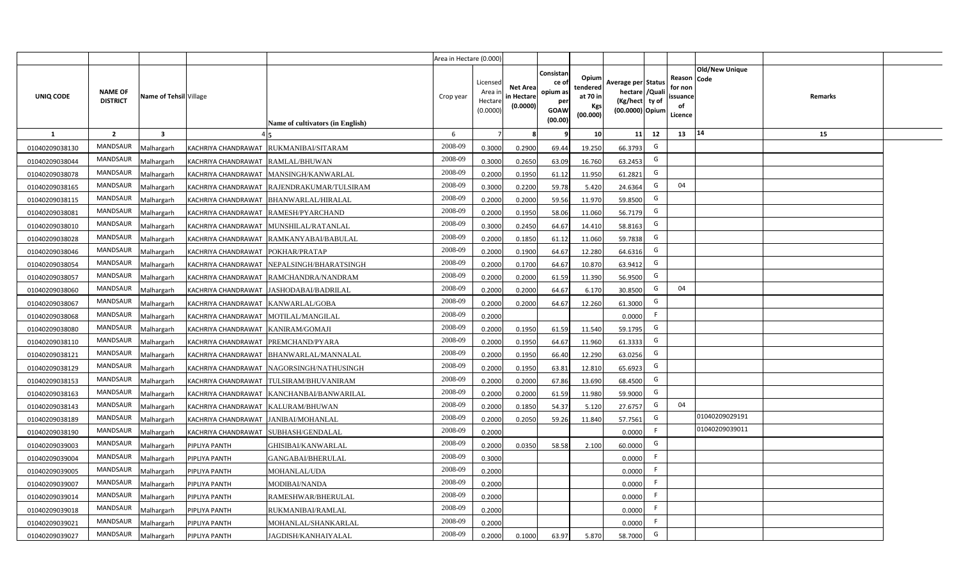|                |                                   |                        |                                        |                                            | Area in Hectare (0.000) |                                           |                                           |                                                                 |                                                  |                                                                            |                                                     |                       |         |  |
|----------------|-----------------------------------|------------------------|----------------------------------------|--------------------------------------------|-------------------------|-------------------------------------------|-------------------------------------------|-----------------------------------------------------------------|--------------------------------------------------|----------------------------------------------------------------------------|-----------------------------------------------------|-----------------------|---------|--|
| UNIQ CODE      | <b>NAME OF</b><br><b>DISTRICT</b> | Name of Tehsil Village |                                        | Name of cultivators (in English)           | Crop year               | Licensed<br>Area i<br>Hectare<br>(0.0000) | <b>Net Area</b><br>in Hectare<br>(0.0000) | Consistan<br>ce of<br>opium as<br>per<br><b>GOAW</b><br>(00.00) | Opium<br>tendered<br>at 70 in<br>Kgs<br>(00.000) | Average per Status<br>hectare / Quali<br>(Kg/hect ty of<br>(00.0000) Opium | Reason Code<br>for non<br>issuance<br>of<br>Licence | <b>Old/New Unique</b> | Remarks |  |
| $\mathbf{1}$   | $\overline{2}$                    | $\mathbf{3}$           |                                        |                                            | 6                       | $\overline{7}$                            | 8                                         | 9                                                               | 10 <sup>1</sup>                                  | 11<br>12                                                                   | 13                                                  | 14                    | 15      |  |
| 01040209038130 | MANDSAUR                          | Malhargarh             |                                        | KACHRIYA CHANDRAWAT RUKMANIBAI/SITARAM     | 2008-09                 | 0.3000                                    | 0.2900                                    | 69.44                                                           | 19.250                                           | G<br>66.3793                                                               |                                                     |                       |         |  |
| 01040209038044 | MANDSAUR                          | <b>Aalhargarh</b>      | KACHRIYA CHANDRAWAT RAMLAL/BHUWAN      |                                            | 2008-09                 | 0.3000                                    | 0.2650                                    | 63.09                                                           | 16.760                                           | G<br>63.2453                                                               |                                                     |                       |         |  |
| 01040209038078 | MANDSAUR                          | Malhargarh             |                                        | KACHRIYA CHANDRAWAT MANSINGH/KANWARLAL     | 2008-09                 | 0.2000                                    | 0.1950                                    | 61.12                                                           | 11.950                                           | G<br>61.2821                                                               |                                                     |                       |         |  |
| 01040209038165 | <b>MANDSAUR</b>                   | Vlalhargarh            |                                        | KACHRIYA CHANDRAWAT RAJENDRAKUMAR/TULSIRAM | 2008-09                 | 0.3000                                    | 0.2200                                    | 59.78                                                           | 5.420                                            | G<br>24.6364                                                               | 04                                                  |                       |         |  |
| 01040209038115 | MANDSAUR                          | Malhargarh             |                                        | KACHRIYA CHANDRAWAT   BHANWARLAL/HIRALAL   | 2008-09                 | 0.2000                                    | 0.2000                                    | 59.56                                                           | 11.970                                           | G<br>59.8500                                                               |                                                     |                       |         |  |
| 01040209038081 | <b>MANDSAUR</b>                   | Malhargarh             | KACHRIYA CHANDRAWAT RAMESH/PYARCHAND   |                                            | 2008-09                 | 0.2000                                    | 0.1950                                    | 58.06                                                           | 11.060                                           | G<br>56.7179                                                               |                                                     |                       |         |  |
| 01040209038010 | <b>MANDSAUR</b>                   | Malhargarh             |                                        | KACHRIYA CHANDRAWAT MUNSHILAL/RATANLAL     | 2008-09                 | 0.3000                                    | 0.2450                                    | 64.67                                                           | 14.410                                           | G<br>58.8163                                                               |                                                     |                       |         |  |
| 01040209038028 | <b>MANDSAUR</b>                   | Malhargarh             |                                        | KACHRIYA CHANDRAWAT RAMKANYABAI/BABULAL    | 2008-09                 | 0.2000                                    | 0.1850                                    | 61.12                                                           | 11.060                                           | G<br>59.7838                                                               |                                                     |                       |         |  |
| 01040209038046 | <b>MANDSAUR</b>                   | Malhargarh             | KACHRIYA CHANDRAWAT POKHAR/PRATAP      |                                            | 2008-09                 | 0.2000                                    | 0.1900                                    | 64.67                                                           | 12.280                                           | G<br>64.6316                                                               |                                                     |                       |         |  |
| 01040209038054 | <b>MANDSAUR</b>                   | Malhargarh             |                                        | KACHRIYA CHANDRAWAT NEPALSINGH/BHARATSINGH | 2008-09                 | 0.2000                                    | 0.1700                                    | 64.67                                                           | 10.870                                           | G<br>63.9412                                                               |                                                     |                       |         |  |
| 01040209038057 | MANDSAUR                          | Malhargarh             |                                        | KACHRIYA CHANDRAWAT RAMCHANDRA/NANDRAM     | 2008-09                 | 0.2000                                    | 0.2000                                    | 61.59                                                           | 11.390                                           | G<br>56.9500                                                               |                                                     |                       |         |  |
| 01040209038060 | <b>MANDSAUR</b>                   | Malhargarh             |                                        | KACHRIYA CHANDRAWAT JASHODABAI/BADRILAL    | 2008-09                 | 0.2000                                    | 0.2000                                    | 64.67                                                           | 6.170                                            | G<br>30.8500                                                               | 04                                                  |                       |         |  |
| 01040209038067 | <b>MANDSAUR</b>                   | Malhargarh             | KACHRIYA CHANDRAWAT KANWARLAL/GOBA     |                                            | 2008-09                 | 0.2000                                    | 0.2000                                    | 64.67                                                           | 12.260                                           | G<br>61.3000                                                               |                                                     |                       |         |  |
| 01040209038068 | <b>MANDSAUR</b>                   | Malhargarh             | KACHRIYA CHANDRAWAT MOTILAL/MANGILAL   |                                            | 2008-09                 | 0.2000                                    |                                           |                                                                 |                                                  | F<br>0.0000                                                                |                                                     |                       |         |  |
| 01040209038080 | <b>MANDSAUR</b>                   | Malhargarh             | KACHRIYA CHANDRAWAT KANIRAM/GOMAJI     |                                            | 2008-09                 | 0.2000                                    | 0.1950                                    | 61.59                                                           | 11.540                                           | G<br>59.1795                                                               |                                                     |                       |         |  |
| 01040209038110 | <b>MANDSAUR</b>                   | Malhargarh             | KACHRIYA CHANDRAWAT PREMCHAND/PYARA    |                                            | 2008-09                 | 0.2000                                    | 0.1950                                    | 64.67                                                           | 11.960                                           | G<br>61.3333                                                               |                                                     |                       |         |  |
| 01040209038121 | <b>MANDSAUR</b>                   | Malhargarh             | KACHRIYA CHANDRAWAT                    | BHANWARLAL/MANNALAL                        | 2008-09                 | 0.2000                                    | 0.1950                                    | 66.40                                                           | 12.290                                           | G<br>63.0256                                                               |                                                     |                       |         |  |
| 01040209038129 | <b>MANDSAUR</b>                   | Malhargarh             |                                        | KACHRIYA CHANDRAWAT NAGORSINGH/NATHUSINGH  | 2008-09                 | 0.2000                                    | 0.1950                                    | 63.81                                                           | 12.810                                           | G<br>65.6923                                                               |                                                     |                       |         |  |
| 01040209038153 | <b>MANDSAUR</b>                   | Malhargarh             |                                        | KACHRIYA CHANDRAWAT TULSIRAM/BHUVANIRAM    | 2008-09                 | 0.2000                                    | 0.2000                                    | 67.86                                                           | 13.690                                           | G<br>68.4500                                                               |                                                     |                       |         |  |
| 01040209038163 | MANDSAUR                          | Malhargarh             |                                        | KACHRIYA CHANDRAWAT KANCHANBAI/BANWARILAL  | 2008-09                 | 0.2000                                    | 0.2000                                    | 61.59                                                           | 11.980                                           | G<br>59.9000                                                               |                                                     |                       |         |  |
| 01040209038143 | MANDSAUR                          | Malhargarh             | KACHRIYA CHANDRAWAT KALURAM/BHUWAN     |                                            | 2008-09                 | 0.2000                                    | 0.1850                                    | 54.37                                                           | 5.120                                            | G<br>27.6757                                                               | 04                                                  |                       |         |  |
| 01040209038189 | MANDSAUR                          | Malhargarh             | KACHRIYA CHANDRAWAT   JANIBAI/MOHANLAL |                                            | 2008-09                 | 0.2000                                    | 0.2050                                    | 59.26                                                           | 11.840                                           | G<br>57.7561                                                               |                                                     | 01040209029191        |         |  |
| 01040209038190 | <b>MANDSAUR</b>                   | Malhargarh             | KACHRIYA CHANDRAWAT SUBHASH/GENDALAL   |                                            | 2008-09                 | 0.2000                                    |                                           |                                                                 |                                                  | -F<br>0.0000                                                               |                                                     | 01040209039011        |         |  |
| 01040209039003 | <b>MANDSAUR</b>                   | Malhargarh             | PIPLIYA PANTH                          | GHISIBAI/KANWARLAL                         | 2008-09                 | 0.2000                                    | 0.0350                                    | 58.58                                                           | 2.100                                            | G<br>60.0000                                                               |                                                     |                       |         |  |
| 01040209039004 | <b>MANDSAUR</b>                   | Malhargarh             | PIPLIYA PANTH                          | GANGABAI/BHERULAL                          | 2008-09                 | 0.3000                                    |                                           |                                                                 |                                                  | -F<br>0.0000                                                               |                                                     |                       |         |  |
| 01040209039005 | MANDSAUR                          | Malhargarh             | PIPLIYA PANTH                          | MOHANLAL/UDA                               | 2008-09                 | 0.2000                                    |                                           |                                                                 |                                                  | -F<br>0.0000                                                               |                                                     |                       |         |  |
| 01040209039007 | MANDSAUR                          | Malhargarh             | PIPLIYA PANTH                          | MODIBAI/NANDA                              | 2008-09                 | 0.2000                                    |                                           |                                                                 |                                                  | F<br>0.0000                                                                |                                                     |                       |         |  |
| 01040209039014 | MANDSAUR                          | Malhargarh             | PIPLIYA PANTH                          | RAMESHWAR/BHERULAL                         | 2008-09                 | 0.2000                                    |                                           |                                                                 |                                                  | -F<br>0.0000                                                               |                                                     |                       |         |  |
| 01040209039018 | MANDSAUR                          | Malhargarh             | PIPLIYA PANTH                          | RUKMANIBAI/RAMLAL                          | 2008-09                 | 0.2000                                    |                                           |                                                                 |                                                  | - F<br>0.0000                                                              |                                                     |                       |         |  |
| 01040209039021 | MANDSAUR                          | Malhargarh             | PIPLIYA PANTH                          | MOHANLAL/SHANKARLAL                        | 2008-09                 | 0.2000                                    |                                           |                                                                 |                                                  | F<br>0.0000                                                                |                                                     |                       |         |  |
| 01040209039027 | MANDSAUR                          | Malhargarh             | PIPLIYA PANTH                          | JAGDISH/KANHAIYALAL                        | 2008-09                 | 0.2000                                    | 0.1000                                    | 63.97                                                           | 5.870                                            | G<br>58.7000                                                               |                                                     |                       |         |  |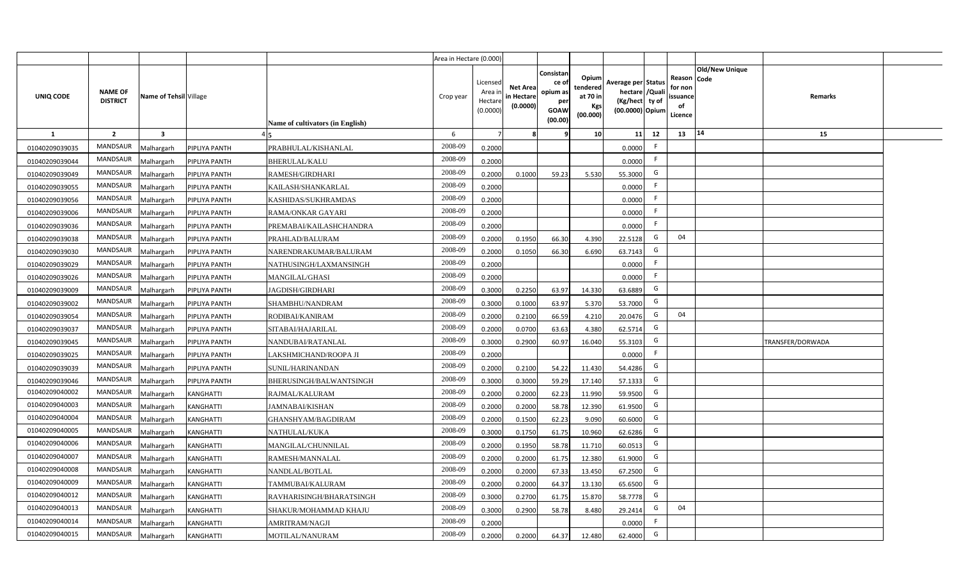|                |                                   |                         |                  |                                  | Area in Hectare (0.000) |                                          |                                           |                                                          |                                                         |                                                                           |    |                                                     |                       |                  |  |
|----------------|-----------------------------------|-------------------------|------------------|----------------------------------|-------------------------|------------------------------------------|-------------------------------------------|----------------------------------------------------------|---------------------------------------------------------|---------------------------------------------------------------------------|----|-----------------------------------------------------|-----------------------|------------------|--|
| UNIQ CODE      | <b>NAME OF</b><br><b>DISTRICT</b> | Name of Tehsil Village  |                  | Name of cultivators (in English) | Crop year               | Licensed<br>Area i<br>Hectar<br>(0.0000) | <b>Net Area</b><br>in Hectare<br>(0.0000) | Consistan<br>ce of<br>opium as<br>per<br>GOAW<br>(00.00) | Opium<br>tendered<br>at 70 in<br><b>Kgs</b><br>(00.000) | Average per Status<br>hectare / Qual<br>(Kg/hect ty of<br>(00.0000) Opium |    | Reason Code<br>for nor<br>issuance<br>of<br>Licence | <b>Old/New Unique</b> | Remarks          |  |
| 1              | $\overline{2}$                    | $\overline{\mathbf{3}}$ |                  |                                  | 6                       |                                          |                                           |                                                          | 10 <sup>1</sup>                                         | 11                                                                        | 12 | 13                                                  | 14                    | 15               |  |
| 01040209039035 | <b>MANDSAUR</b>                   | Malhargarh              | PIPLIYA PANTH    | PRABHULAL/KISHANLAL              | 2008-09                 | 0.2000                                   |                                           |                                                          |                                                         | 0.0000                                                                    | F. |                                                     |                       |                  |  |
| 01040209039044 | <b>MANDSAUR</b>                   | Malhargarh              | PIPLIYA PANTH    | BHERULAL/KALU                    | 2008-09                 | 0.2000                                   |                                           |                                                          |                                                         | 0.0000                                                                    | F. |                                                     |                       |                  |  |
| 01040209039049 | <b>MANDSAUR</b>                   | Malhargarh              | PIPLIYA PANTH    | RAMESH/GIRDHARI                  | 2008-09                 | 0.2000                                   | 0.1000                                    | 59.23                                                    | 5.530                                                   | 55.3000                                                                   | G  |                                                     |                       |                  |  |
| 01040209039055 | <b>MANDSAUR</b>                   | Malhargarh              | PIPLIYA PANTH    | KAILASH/SHANKARLAL               | 2008-09                 | 0.2000                                   |                                           |                                                          |                                                         | 0.0000                                                                    |    |                                                     |                       |                  |  |
| 01040209039056 | <b>MANDSAUR</b>                   | Malhargarh              | PIPLIYA PANTH    | KASHIDAS/SUKHRAMDAS              | 2008-09                 | 0.2000                                   |                                           |                                                          |                                                         | 0.0000                                                                    | F. |                                                     |                       |                  |  |
| 01040209039006 | <b>MANDSAUR</b>                   | Malhargarh              | PIPLIYA PANTH    | RAMA/ONKAR GAYARI                | 2008-09                 | 0.2000                                   |                                           |                                                          |                                                         | 0.0000                                                                    | F. |                                                     |                       |                  |  |
| 01040209039036 | <b>MANDSAUR</b>                   | Malhargarh              | PIPLIYA PANTH    | PREMABAI/KAILASHCHANDRA          | 2008-09                 | 0.2000                                   |                                           |                                                          |                                                         | 0.0000                                                                    | F. |                                                     |                       |                  |  |
| 01040209039038 | <b>MANDSAUR</b>                   | Malhargarh              | PIPLIYA PANTH    | PRAHLAD/BALURAM                  | 2008-09                 | 0.2000                                   | 0.1950                                    | 66.30                                                    | 4.390                                                   | 22.5128                                                                   | G  | 04                                                  |                       |                  |  |
| 01040209039030 | <b>MANDSAUR</b>                   | Malhargarh              | PIPLIYA PANTH    | NARENDRAKUMAR/BALURAM            | 2008-09                 | 0.2000                                   | 0.1050                                    | 66.30                                                    | 6.690                                                   | 63.7143                                                                   | G  |                                                     |                       |                  |  |
| 01040209039029 | <b>MANDSAUR</b>                   | Malhargarh              | PIPLIYA PANTH    | NATHUSINGH/LAXMANSINGH           | 2008-09                 | 0.2000                                   |                                           |                                                          |                                                         | 0.0000                                                                    | F  |                                                     |                       |                  |  |
| 01040209039026 | <b>MANDSAUR</b>                   | Malhargarh              | PIPLIYA PANTH    | MANGILAL/GHASI                   | 2008-09                 | 0.2000                                   |                                           |                                                          |                                                         | 0.0000                                                                    | F  |                                                     |                       |                  |  |
| 01040209039009 | <b>MANDSAUR</b>                   | Malhargarh              | PIPLIYA PANTH    | JAGDISH/GIRDHARI                 | 2008-09                 | 0.3000                                   | 0.2250                                    | 63.97                                                    | 14.330                                                  | 63.6889                                                                   | G  |                                                     |                       |                  |  |
| 01040209039002 | <b>MANDSAUR</b>                   | Malhargarh              | PIPLIYA PANTH    | SHAMBHU/NANDRAM                  | 2008-09                 | 0.3000                                   | 0.1000                                    | 63.97                                                    | 5.370                                                   | 53.7000                                                                   | G  |                                                     |                       |                  |  |
| 01040209039054 | <b>MANDSAUR</b>                   | Malhargarh              | PIPLIYA PANTH    | RODIBAI/KANIRAM                  | 2008-09                 | 0.2000                                   | 0.2100                                    | 66.59                                                    | 4.210                                                   | 20.0476                                                                   | G  | 04                                                  |                       |                  |  |
| 01040209039037 | <b>MANDSAUR</b>                   | Malhargarh              | PIPLIYA PANTH    | SITABAI/HAJARILAL                | 2008-09                 | 0.2000                                   | 0.0700                                    | 63.63                                                    | 4.380                                                   | 62.5714                                                                   | G  |                                                     |                       |                  |  |
| 01040209039045 | <b>MANDSAUR</b>                   | Malhargarh              | PIPLIYA PANTH    | NANDUBAI/RATANLAL                | 2008-09                 | 0.3000                                   | 0.2900                                    | 60.97                                                    | 16.040                                                  | 55.3103                                                                   | G  |                                                     |                       | TRANSFER/DORWADA |  |
| 01040209039025 | <b>MANDSAUR</b>                   | Malhargarh              | PIPLIYA PANTH    | LAKSHMICHAND/ROOPA JI            | 2008-09                 | 0.2000                                   |                                           |                                                          |                                                         | 0.0000                                                                    | -F |                                                     |                       |                  |  |
| 01040209039039 | <b>MANDSAUR</b>                   | Malhargarh              | PIPLIYA PANTH    | SUNIL/HARINANDAN                 | 2008-09                 | 0.2000                                   | 0.2100                                    | 54.22                                                    | 11.430                                                  | 54.4286                                                                   | G  |                                                     |                       |                  |  |
| 01040209039046 | <b>MANDSAUR</b>                   | Malhargarh              | PIPLIYA PANTH    | BHERUSINGH/BALWANTSINGH          | 2008-09                 | 0.3000                                   | 0.3000                                    | 59.29                                                    | 17.140                                                  | 57.1333                                                                   | G  |                                                     |                       |                  |  |
| 01040209040002 | <b>MANDSAUR</b>                   | Malhargarh              | <b>KANGHATTI</b> | RAJMAL/KALURAM                   | 2008-09                 | 0.2000                                   | 0.2000                                    | 62.23                                                    | 11.990                                                  | 59.9500                                                                   | G  |                                                     |                       |                  |  |
| 01040209040003 | <b>MANDSAUR</b>                   | Malhargarh              | KANGHATTI        | JAMNABAI/KISHAN                  | 2008-09                 | 0.2000                                   | 0.2000                                    | 58.78                                                    | 12.390                                                  | 61.9500                                                                   | G  |                                                     |                       |                  |  |
| 01040209040004 | <b>MANDSAUR</b>                   | Malhargarh              | KANGHATTI        | GHANSHYAM/BAGDIRAM               | 2008-09                 | 0.2000                                   | 0.1500                                    | 62.23                                                    | 9.090                                                   | 60.6000                                                                   | G  |                                                     |                       |                  |  |
| 01040209040005 | <b>MANDSAUR</b>                   | Malhargarh              | KANGHATTI        | NATHULAL/KUKA                    | 2008-09                 | 0.3000                                   | 0.1750                                    | 61.75                                                    | 10.960                                                  | 62.6286                                                                   | G  |                                                     |                       |                  |  |
| 01040209040006 | <b>MANDSAUR</b>                   | Malhargarh              | <b>KANGHATTI</b> | MANGILAL/CHUNNILAL               | 2008-09                 | 0.2000                                   | 0.1950                                    | 58.78                                                    | 11.710                                                  | 60.0513                                                                   | G  |                                                     |                       |                  |  |
| 01040209040007 | <b>MANDSAUR</b>                   | Malhargarh              | <b>KANGHATTI</b> | RAMESH/MANNALAL                  | 2008-09                 | 0.200                                    | 0.2000                                    | 61.75                                                    | 12.380                                                  | 61.9000                                                                   | G  |                                                     |                       |                  |  |
| 01040209040008 | <b>MANDSAUR</b>                   | Malhargarh              | <b>KANGHATTI</b> | NANDLAL/BOTLAL                   | 2008-09                 | 0.200                                    | 0.2000                                    | 67.33                                                    | 13.450                                                  | 67.2500                                                                   | G  |                                                     |                       |                  |  |
| 01040209040009 | <b>MANDSAUR</b>                   | Malhargarh              | KANGHATTI        | TAMMUBAI/KALURAM                 | 2008-09                 | 0.200                                    | 0.2000                                    | 64.37                                                    | 13.130                                                  | 65.6500                                                                   | G  |                                                     |                       |                  |  |
| 01040209040012 | <b>MANDSAUR</b>                   | Malhargarh              | <b>KANGHATTI</b> | RAVHARISINGH/BHARATSINGH         | 2008-09                 | 0.3000                                   | 0.2700                                    | 61.75                                                    | 15.870                                                  | 58.7778                                                                   | G  |                                                     |                       |                  |  |
| 01040209040013 | <b>MANDSAUR</b>                   | Malhargarh              | KANGHATTI        | SHAKUR/MOHAMMAD KHAJU            | 2008-09                 | 0.3000                                   | 0.2900                                    | 58.78                                                    | 8.480                                                   | 29.2414                                                                   | G  | 04                                                  |                       |                  |  |
| 01040209040014 | <b>MANDSAUR</b>                   | Malhargarh              | <b>KANGHATTI</b> | AMRITRAM/NAGJI                   | 2008-09                 | 0.2000                                   |                                           |                                                          |                                                         | 0.0000                                                                    | F  |                                                     |                       |                  |  |
| 01040209040015 | <b>MANDSAUR</b>                   | Malhargarh              | <b>KANGHATTI</b> | MOTILAL/NANURAM                  | 2008-09                 | 0.2000                                   | 0.2000                                    | 64.37                                                    | 12.480                                                  | 62.4000                                                                   | G  |                                                     |                       |                  |  |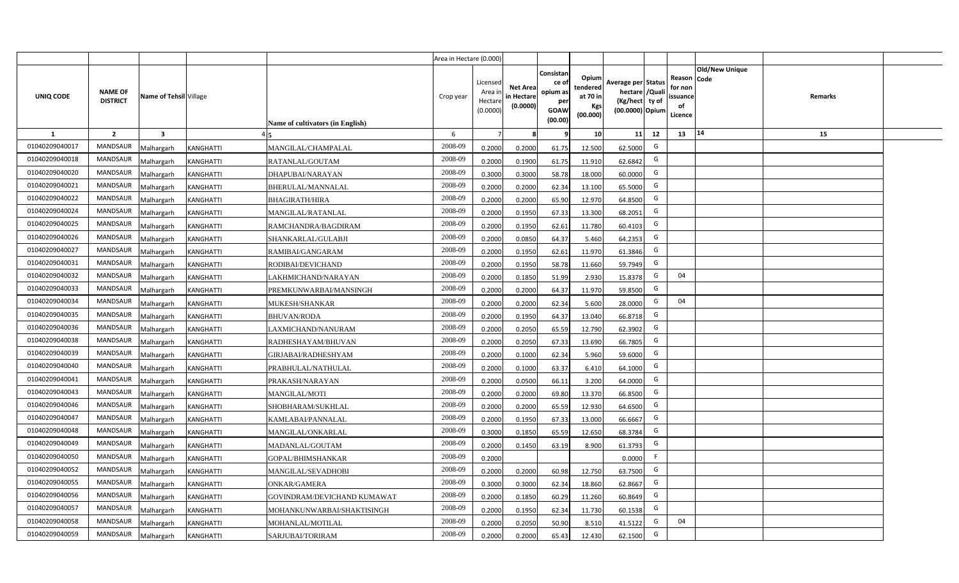|                  |                                   |                         |                  |                                  | Area in Hectare (0.000) |                                            |                                           |                                                                |                                                  |                                                                            |    |                                                                             |         |  |
|------------------|-----------------------------------|-------------------------|------------------|----------------------------------|-------------------------|--------------------------------------------|-------------------------------------------|----------------------------------------------------------------|--------------------------------------------------|----------------------------------------------------------------------------|----|-----------------------------------------------------------------------------|---------|--|
| <b>UNIQ CODE</b> | <b>NAME OF</b><br><b>DISTRICT</b> | Name of Tehsil Village  |                  | Name of cultivators (in English) | Crop year               | Licensed<br>Area in<br>Hectare<br>(0.0000) | <b>Net Area</b><br>in Hectare<br>(0.0000) | Consistan<br>ce o<br>opium as<br>per<br><b>GOAW</b><br>(00.00) | Opium<br>tendered<br>at 70 in<br>Kgs<br>(00.000) | Average per Status<br>hectare / Quali<br>(Kg/hect ty of<br>(00.0000) Opium |    | <b>Old/New Unique</b><br>Reason Code<br>for non<br>ssuance<br>of<br>Licence | Remarks |  |
| $\mathbf{1}$     | $\overline{2}$                    | $\overline{\mathbf{3}}$ |                  |                                  | 6                       | $\overline{7}$                             | -8                                        | ٩                                                              | 10                                               | 11                                                                         | 12 | 14<br>13                                                                    | 15      |  |
| 01040209040017   | MANDSAUR                          | <b>Malhargarh</b>       | <b>KANGHATTI</b> | MANGILAL/CHAMPALAL               | 2008-09                 | 0.2000                                     | 0.2000                                    | 61.75                                                          | 12.500                                           | 62.5000                                                                    | G  |                                                                             |         |  |
| 01040209040018   | <b>MANDSAUR</b>                   | <b>Malhargarh</b>       | KANGHATTI        | RATANLAL/GOUTAM                  | 2008-09                 | 0.2000                                     | 0.1900                                    | 61.75                                                          | 11.910                                           | 62.6842                                                                    | G  |                                                                             |         |  |
| 01040209040020   | <b>MANDSAUR</b>                   | <b>Malhargarh</b>       | <b>KANGHATTI</b> | DHAPUBAI/NARAYAN                 | 2008-09                 | 0.3000                                     | 0.3000                                    | 58.78                                                          | 18.000                                           | 60.0000                                                                    | G  |                                                                             |         |  |
| 01040209040021   | <b>MANDSAUR</b>                   | <b>Malhargarh</b>       | KANGHATTI        | BHERULAL/MANNALAL                | 2008-09                 | 0.2000                                     | 0.2000                                    | 62.34                                                          | 13.100                                           | 65.5000                                                                    | G  |                                                                             |         |  |
| 01040209040022   | <b>MANDSAUR</b>                   | <b>Malhargarh</b>       | KANGHATTI        | <b>BHAGIRATH/HIRA</b>            | 2008-09                 | 0.2000                                     | 0.2000                                    | 65.90                                                          | 12.970                                           | 64.8500                                                                    | G  |                                                                             |         |  |
| 01040209040024   | <b>MANDSAUR</b>                   | <b>Malhargarh</b>       | KANGHATTI        | MANGILAL/RATANLAL                | 2008-09                 | 0.2000                                     | 0.1950                                    | 67.33                                                          | 13.300                                           | 68.2051                                                                    | G  |                                                                             |         |  |
| 01040209040025   | <b>MANDSAUR</b>                   | <b>Malhargarh</b>       | <b>KANGHATTI</b> | RAMCHANDRA/BAGDIRAM              | 2008-09                 | 0.2000                                     | 0.1950                                    | 62.61                                                          | 11.780                                           | 60.4103                                                                    | G  |                                                                             |         |  |
| 01040209040026   | <b>MANDSAUR</b>                   | <b>Malhargarh</b>       | <b>KANGHATTI</b> | SHANKARLAL/GULABJI               | 2008-09                 | 0.2000                                     | 0.0850                                    | 64.37                                                          | 5.460                                            | 64.2353                                                                    | G  |                                                                             |         |  |
| 01040209040027   | <b>MANDSAUR</b>                   | <b>Malhargarh</b>       | KANGHATTI        | RAMIBAI/GANGARAM                 | 2008-09                 | 0.2000                                     | 0.1950                                    | 62.61                                                          | 11.970                                           | 61.3846                                                                    | G  |                                                                             |         |  |
| 01040209040031   | <b>MANDSAUR</b>                   | <b>Malhargarh</b>       | KANGHATTI        | RODIBAI/DEVICHAND                | 2008-09                 | 0.2000                                     | 0.1950                                    | 58.78                                                          | 11.660                                           | 59.7949                                                                    | G  |                                                                             |         |  |
| 01040209040032   | <b>MANDSAUR</b>                   | <b>Malhargarh</b>       | KANGHATTI        | LAKHMICHAND/NARAYAN              | 2008-09                 | 0.2000                                     | 0.1850                                    | 51.99                                                          | 2.930                                            | 15.8378                                                                    | G  | 04                                                                          |         |  |
| 01040209040033   | <b>MANDSAUR</b>                   | <b>Malhargarh</b>       | <b>KANGHATTI</b> | PREMKUNWARBAI/MANSINGH           | 2008-09                 | 0.2000                                     | 0.2000                                    | 64.37                                                          | 11.970                                           | 59.8500                                                                    | G  |                                                                             |         |  |
| 01040209040034   | <b>MANDSAUR</b>                   | <b>Malhargarh</b>       | KANGHATTI        | MUKESH/SHANKAR                   | 2008-09                 | 0.2000                                     | 0.2000                                    | 62.34                                                          | 5.600                                            | 28.0000                                                                    | G  | 04                                                                          |         |  |
| 01040209040035   | <b>MANDSAUR</b>                   | Malhargarh              | <b>KANGHATTI</b> | <b>BHUVAN/RODA</b>               | 2008-09                 | 0.2000                                     | 0.1950                                    | 64.37                                                          | 13.040                                           | 66.8718                                                                    | G  |                                                                             |         |  |
| 01040209040036   | <b>MANDSAUR</b>                   | Malhargarh              | KANGHATTI        | LAXMICHAND/NANURAM               | 2008-09                 | 0.2000                                     | 0.2050                                    | 65.59                                                          | 12.790                                           | 62.3902                                                                    | G  |                                                                             |         |  |
| 01040209040038   | MANDSAUR                          | Malhargarh              | KANGHATTI        | RADHESHAYAM/BHUVAN               | 2008-09                 | 0.2000                                     | 0.2050                                    | 67.33                                                          | 13.690                                           | 66.7805                                                                    | G  |                                                                             |         |  |
| 01040209040039   | <b>MANDSAUR</b>                   | <b>Malhargarh</b>       | KANGHATTI        | GIRJABAI/RADHESHYAM              | 2008-09                 | 0.2000                                     | 0.1000                                    | 62.34                                                          | 5.960                                            | 59.6000                                                                    | G  |                                                                             |         |  |
| 01040209040040   | MANDSAUR                          | <b>Malhargarh</b>       | KANGHATTI        | PRABHULAL/NATHULAL               | 2008-09                 | 0.2000                                     | 0.1000                                    | 63.37                                                          | 6.410                                            | 64.1000                                                                    | G  |                                                                             |         |  |
| 01040209040041   | <b>MANDSAUR</b>                   | <b>Malhargarh</b>       | KANGHATTI        | PRAKASH/NARAYAN                  | 2008-09                 | 0.2000                                     | 0.0500                                    | 66.11                                                          | 3.200                                            | 64.0000                                                                    | G  |                                                                             |         |  |
| 01040209040043   | <b>MANDSAUR</b>                   | Malhargarh              | KANGHATTI        | <b>MANGILAL/MOTI</b>             | 2008-09                 | 0.2000                                     | 0.2000                                    | 69.80                                                          | 13.370                                           | 66.8500                                                                    | G  |                                                                             |         |  |
| 01040209040046   | MANDSAUR                          | <b>Malhargarh</b>       | <b>KANGHATTI</b> | SHOBHARAM/SUKHLAL                | 2008-09                 | 0.2000                                     | 0.2000                                    | 65.59                                                          | 12.930                                           | 64.6500                                                                    | G  |                                                                             |         |  |
| 01040209040047   | <b>MANDSAUR</b>                   | <b>Malhargarh</b>       | KANGHATTI        | KAMLABAI/PANNALAL                | 2008-09                 | 0.2000                                     | 0.1950                                    | 67.33                                                          | 13.000                                           | 66.6667                                                                    | G  |                                                                             |         |  |
| 01040209040048   | <b>MANDSAUR</b>                   | <i>A</i> alhargarh      | KANGHATTI        | MANGILAL/ONKARLAL                | 2008-09                 | 0.3000                                     | 0.1850                                    | 65.59                                                          | 12.650                                           | 68.3784                                                                    | G  |                                                                             |         |  |
| 01040209040049   | <b>MANDSAUR</b>                   | <b>Malhargarh</b>       | <b>KANGHATTI</b> | MADANLAL/GOUTAM                  | 2008-09                 | 0.2000                                     | 0.1450                                    | 63.19                                                          | 8.900                                            | 61.3793                                                                    | G  |                                                                             |         |  |
| 01040209040050   | <b>MANDSAUR</b>                   | <b>Malhargarh</b>       | KANGHATTI        | GOPAL/BHIMSHANKAR                | 2008-09                 | 0.2000                                     |                                           |                                                                |                                                  | 0.0000                                                                     | F  |                                                                             |         |  |
| 01040209040052   | MANDSAUR                          | <b>Malhargarh</b>       | <b>KANGHATTI</b> | MANGILAL/SEVADHOBI               | 2008-09                 | 0.2000                                     | 0.2000                                    | 60.98                                                          | 12.750                                           | 63.7500                                                                    | G  |                                                                             |         |  |
| 01040209040055   | <b>MANDSAUR</b>                   | <b>Malhargarh</b>       | KANGHATTI        | ONKAR/GAMERA                     | 2008-09                 | 0.3000                                     | 0.3000                                    | 62.34                                                          | 18.860                                           | 62.8667                                                                    | G  |                                                                             |         |  |
| 01040209040056   | <b>MANDSAUR</b>                   | <b>Malhargarh</b>       | <b>KANGHATTI</b> | GOVINDRAM/DEVICHAND KUMAWAT      | 2008-09                 | 0.2000                                     | 0.1850                                    | 60.29                                                          | 11.260                                           | 60.8649                                                                    | G  |                                                                             |         |  |
| 01040209040057   | <b>MANDSAUR</b>                   | <b>Malhargarh</b>       | <b>KANGHATTI</b> | MOHANKUNWARBAI/SHAKTISINGH       | 2008-09                 | 0.2000                                     | 0.1950                                    | 62.34                                                          | 11.730                                           | 60.1538                                                                    | G  |                                                                             |         |  |
| 01040209040058   | <b>MANDSAUR</b>                   | <b>Malhargarh</b>       | KANGHATTI        | MOHANLAL/MOTILAL                 | 2008-09                 | 0.2000                                     | 0.2050                                    | 50.90                                                          | 8.510                                            | 41.5122                                                                    | G  | 04                                                                          |         |  |
| 01040209040059   | MANDSAUR                          | Malhargarh              | <b>KANGHATTI</b> | SARJUBAI/TORIRAM                 | 2008-09                 | 0.2000                                     | 0.2000                                    | 65.43                                                          | 12.430                                           | 62.1500                                                                    | G  |                                                                             |         |  |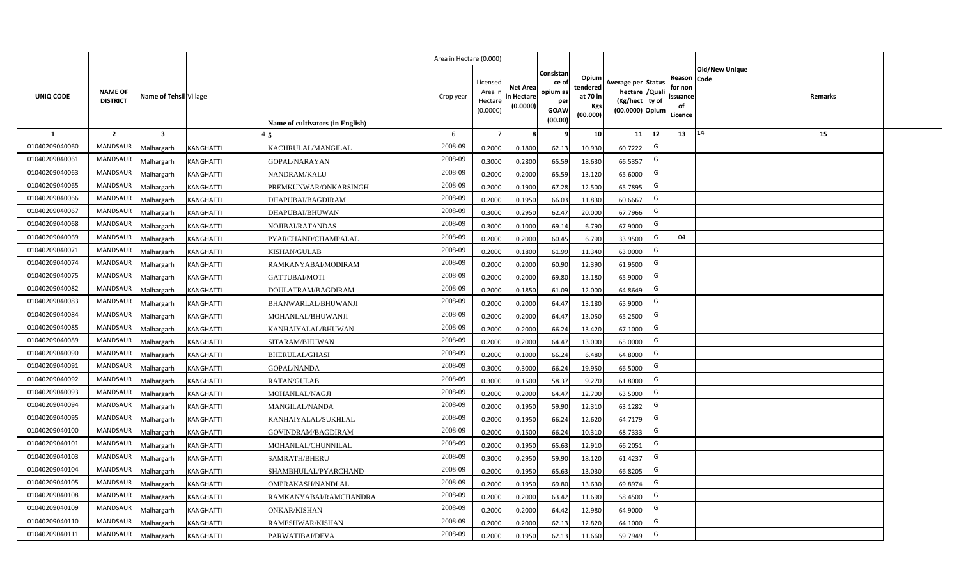|                  |                                   |                         |                  |                                  | Area in Hectare (0.000) |                                            |                                           |                                                                |                                                  |                                                                            |    |                                                                             |         |  |
|------------------|-----------------------------------|-------------------------|------------------|----------------------------------|-------------------------|--------------------------------------------|-------------------------------------------|----------------------------------------------------------------|--------------------------------------------------|----------------------------------------------------------------------------|----|-----------------------------------------------------------------------------|---------|--|
| <b>UNIQ CODE</b> | <b>NAME OF</b><br><b>DISTRICT</b> | Name of Tehsil Village  |                  | Name of cultivators (in English) | Crop year               | Licensed<br>Area in<br>Hectare<br>(0.0000) | <b>Net Area</b><br>in Hectare<br>(0.0000) | Consistan<br>ce o<br>opium as<br>per<br><b>GOAW</b><br>(00.00) | Opium<br>tendered<br>at 70 in<br>Kgs<br>(00.000) | Average per Status<br>hectare / Quali<br>(Kg/hect ty of<br>(00.0000) Opium |    | <b>Old/New Unique</b><br>Reason Code<br>for non<br>ssuance<br>of<br>Licence | Remarks |  |
| 1                | $\overline{2}$                    | $\overline{\mathbf{3}}$ |                  |                                  | 6                       | $\overline{7}$                             | -8                                        | q                                                              | 10                                               | 11                                                                         | 12 | 14<br>13                                                                    | 15      |  |
| 01040209040060   | MANDSAUR                          | <b>Malhargarh</b>       | <b>KANGHATTI</b> | KACHRULAL/MANGILAL               | 2008-09                 | 0.2000                                     | 0.1800                                    | 62.13                                                          | 10.930                                           | 60.7222                                                                    | G  |                                                                             |         |  |
| 01040209040061   | <b>MANDSAUR</b>                   | <b>Malhargarh</b>       | KANGHATTI        | <b>GOPAL/NARAYAN</b>             | 2008-09                 | 0.3000                                     | 0.2800                                    | 65.59                                                          | 18.630                                           | 66.5357                                                                    | G  |                                                                             |         |  |
| 01040209040063   | <b>MANDSAUR</b>                   | <b>Malhargarh</b>       | <b>KANGHATTI</b> | NANDRAM/KALU                     | 2008-09                 | 0.2000                                     | 0.2000                                    | 65.59                                                          | 13.120                                           | 65.6000                                                                    | G  |                                                                             |         |  |
| 01040209040065   | <b>MANDSAUR</b>                   | <b>Malhargarh</b>       | KANGHATTI        | PREMKUNWAR/ONKARSINGH            | 2008-09                 | 0.2000                                     | 0.1900                                    | 67.28                                                          | 12.500                                           | 65.7895                                                                    | G  |                                                                             |         |  |
| 01040209040066   | <b>MANDSAUR</b>                   | <b>Malhargarh</b>       | KANGHATTI        | DHAPUBAI/BAGDIRAM                | 2008-09                 | 0.2000                                     | 0.1950                                    | 66.03                                                          | 11.830                                           | 60.6667                                                                    | G  |                                                                             |         |  |
| 01040209040067   | MANDSAUR                          | <b>Malhargarh</b>       | KANGHATTI        | DHAPUBAI/BHUWAN                  | 2008-09                 | 0.3000                                     | 0.2950                                    | 62.47                                                          | 20.000                                           | 67.7966                                                                    | G  |                                                                             |         |  |
| 01040209040068   | <b>MANDSAUR</b>                   | <b>Malhargarh</b>       | KANGHATTI        | NOJIBAI/RATANDAS                 | 2008-09                 | 0.3000                                     | 0.1000                                    | 69.14                                                          | 6.790                                            | 67.9000                                                                    | G  |                                                                             |         |  |
| 01040209040069   | <b>MANDSAUR</b>                   | <b>Malhargarh</b>       | <b>KANGHATTI</b> | PYARCHAND/CHAMPALAL              | 2008-09                 | 0.2000                                     | 0.2000                                    | 60.45                                                          | 6.790                                            | 33.9500                                                                    | G  | 04                                                                          |         |  |
| 01040209040071   | <b>MANDSAUR</b>                   | <b>Malhargarh</b>       | <b>KANGHATTI</b> | KISHAN/GULAB                     | 2008-09                 | 0.2000                                     | 0.1800                                    | 61.99                                                          | 11.340                                           | 63.0000                                                                    | G  |                                                                             |         |  |
| 01040209040074   | <b>MANDSAUR</b>                   | <b>Malhargarh</b>       | KANGHATTI        | RAMKANYABAI/MODIRAM              | 2008-09                 | 0.2000                                     | 0.2000                                    | 60.90                                                          | 12.390                                           | 61.9500                                                                    | G  |                                                                             |         |  |
| 01040209040075   | <b>MANDSAUR</b>                   | <b>Malhargarh</b>       | KANGHATTI        | GATTUBAI/MOTI                    | 2008-09                 | 0.2000                                     | 0.2000                                    | 69.80                                                          | 13.180                                           | 65.9000                                                                    | G  |                                                                             |         |  |
| 01040209040082   | <b>MANDSAUR</b>                   | <b>Malhargarh</b>       | <b>KANGHATTI</b> | DOULATRAM/BAGDIRAM               | 2008-09                 | 0.2000                                     | 0.1850                                    | 61.09                                                          | 12.000                                           | 64.8649                                                                    | G  |                                                                             |         |  |
| 01040209040083   | <b>MANDSAUR</b>                   | <b>Malhargarh</b>       | KANGHATTI        | BHANWARLAL/BHUWANJI              | 2008-09                 | 0.2000                                     | 0.2000                                    | 64.47                                                          | 13.180                                           | 65.9000                                                                    | G  |                                                                             |         |  |
| 01040209040084   | <b>MANDSAUR</b>                   | Malhargarh              | <b>KANGHATTI</b> | MOHANLAL/BHUWANJI                | 2008-09                 | 0.2000                                     | 0.2000                                    | 64.47                                                          | 13.050                                           | 65.2500                                                                    | G  |                                                                             |         |  |
| 01040209040085   | <b>MANDSAUR</b>                   | Malhargarh              | KANGHATTI        | KANHAIYALAL/BHUWAN               | 2008-09                 | 0.2000                                     | 0.2000                                    | 66.24                                                          | 13.420                                           | 67.1000                                                                    | G  |                                                                             |         |  |
| 01040209040089   | MANDSAUR                          | Malhargarh              | KANGHATTI        | SITARAM/BHUWAN                   | 2008-09                 | 0.2000                                     | 0.2000                                    | 64.47                                                          | 13.000                                           | 65.0000                                                                    | G  |                                                                             |         |  |
| 01040209040090   | <b>MANDSAUR</b>                   | <b>Malhargarh</b>       | KANGHATTI        | BHERULAL/GHASI                   | 2008-09                 | 0.2000                                     | 0.1000                                    | 66.24                                                          | 6.480                                            | 64.8000                                                                    | G  |                                                                             |         |  |
| 01040209040091   | <b>MANDSAUR</b>                   | <b>Malhargarh</b>       | KANGHATTI        | <b>GOPAL/NANDA</b>               | 2008-09                 | 0.3000                                     | 0.3000                                    | 66.24                                                          | 19.950                                           | 66.5000                                                                    | G  |                                                                             |         |  |
| 01040209040092   | <b>MANDSAUR</b>                   | <b>Malhargarh</b>       | <b>KANGHATTI</b> | RATAN/GULAB                      | 2008-09                 | 0.3000                                     | 0.1500                                    | 58.37                                                          | 9.270                                            | 61.8000                                                                    | G  |                                                                             |         |  |
| 01040209040093   | <b>MANDSAUR</b>                   | Malhargarh              | KANGHATTI        | MOHANLAL/NAGJI                   | 2008-09                 | 0.2000                                     | 0.2000                                    | 64.47                                                          | 12.700                                           | 63.5000                                                                    | G  |                                                                             |         |  |
| 01040209040094   | <b>MANDSAUR</b>                   | <b>Malhargarh</b>       | <b>KANGHATTI</b> | MANGILAL/NANDA                   | 2008-09                 | 0.2000                                     | 0.1950                                    | 59.90                                                          | 12.310                                           | 63.1282                                                                    | G  |                                                                             |         |  |
| 01040209040095   | <b>MANDSAUR</b>                   | <b>Malhargarh</b>       | KANGHATTI        | KANHAIYALAL/SUKHLAL              | 2008-09                 | 0.2000                                     | 0.1950                                    | 66.24                                                          | 12.620                                           | 64.7179                                                                    | G  |                                                                             |         |  |
| 01040209040100   | MANDSAUR                          | Aalhargarh              | KANGHATTI        | GOVINDRAM/BAGDIRAM               | 2008-09                 | 0.2000                                     | 0.1500                                    | 66.24                                                          | 10.310                                           | 68.7333                                                                    | G  |                                                                             |         |  |
| 01040209040101   | <b>MANDSAUR</b>                   | <b>Malhargarh</b>       | <b>KANGHATTI</b> | MOHANLAL/CHUNNILAL               | 2008-09                 | 0.2000                                     | 0.1950                                    | 65.63                                                          | 12.910                                           | 66.2051                                                                    | G  |                                                                             |         |  |
| 01040209040103   | <b>MANDSAUR</b>                   | <b>Malhargarh</b>       | KANGHATTI        | SAMRATH/BHERU                    | 2008-09                 | 0.3000                                     | 0.2950                                    | 59.90                                                          | 18.120                                           | 61.4237                                                                    | G  |                                                                             |         |  |
| 01040209040104   | MANDSAUR                          | <b>Malhargarh</b>       | <b>KANGHATTI</b> | SHAMBHULAL/PYARCHAND             | 2008-09                 | 0.2000                                     | 0.1950                                    | 65.63                                                          | 13.030                                           | 66.8205                                                                    | G  |                                                                             |         |  |
| 01040209040105   | <b>MANDSAUR</b>                   | <b>Malhargarh</b>       | KANGHATTI        | OMPRAKASH/NANDLAL                | 2008-09                 | 0.2000                                     | 0.1950                                    | 69.80                                                          | 13.630                                           | 69.8974                                                                    | G  |                                                                             |         |  |
| 01040209040108   | <b>MANDSAUR</b>                   | <b>Malhargarh</b>       | <b>KANGHATTI</b> | RAMKANYABAI/RAMCHANDRA           | 2008-09                 | 0.2000                                     | 0.2000                                    | 63.42                                                          | 11.690                                           | 58.4500                                                                    | G  |                                                                             |         |  |
| 01040209040109   | <b>MANDSAUR</b>                   | <b>Malhargarh</b>       | <b>KANGHATTI</b> | <b>ONKAR/KISHAN</b>              | 2008-09                 | 0.2000                                     | 0.2000                                    | 64.42                                                          | 12.980                                           | 64.9000                                                                    | G  |                                                                             |         |  |
| 01040209040110   | <b>MANDSAUR</b>                   | <b>Malhargarh</b>       | KANGHATTI        | RAMESHWAR/KISHAN                 | 2008-09                 | 0.2000                                     | 0.2000                                    | 62.13                                                          | 12.820                                           | 64.1000                                                                    | G  |                                                                             |         |  |
| 01040209040111   | MANDSAUR                          | Malhargarh              | <b>KANGHATTI</b> | PARWATIBAI/DEVA                  | 2008-09                 | 0.2000                                     | 0.1950                                    | 62.13                                                          | 11.660                                           | 59.7949                                                                    | G  |                                                                             |         |  |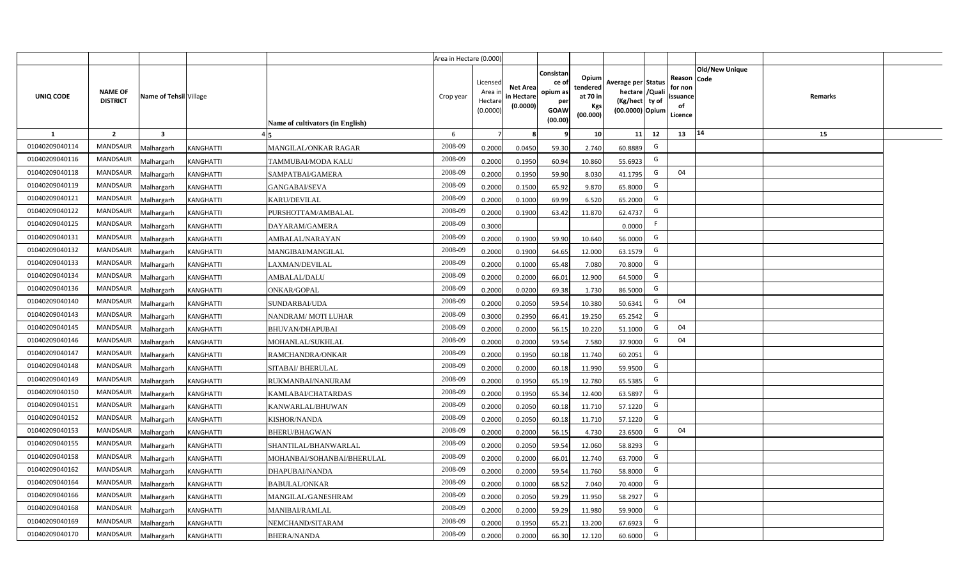|                  |                                   |                         |                  |                                  | Area in Hectare (0.000) |                                            |                                           |                                                                |                                                  |                                                                            |    |                                                    |                       |         |  |
|------------------|-----------------------------------|-------------------------|------------------|----------------------------------|-------------------------|--------------------------------------------|-------------------------------------------|----------------------------------------------------------------|--------------------------------------------------|----------------------------------------------------------------------------|----|----------------------------------------------------|-----------------------|---------|--|
| <b>UNIQ CODE</b> | <b>NAME OF</b><br><b>DISTRICT</b> | Name of Tehsil Village  |                  | Name of cultivators (in English) | Crop year               | Licensed<br>Area in<br>Hectare<br>(0.0000) | <b>Net Area</b><br>in Hectare<br>(0.0000) | Consistan<br>ce o<br>opium as<br>per<br><b>GOAW</b><br>(00.00) | Opium<br>tendered<br>at 70 in<br>Kgs<br>(00.000) | Average per Status<br>hectare / Quali<br>(Kg/hect ty of<br>(00.0000) Opium |    | Reason Code<br>for non<br>ssuance<br>of<br>Licence | <b>Old/New Unique</b> | Remarks |  |
| $\mathbf{1}$     | $\overline{2}$                    | $\overline{\mathbf{3}}$ |                  |                                  | 6                       | $\overline{7}$                             | -8                                        | 9                                                              | 10                                               | 11                                                                         | 12 | 13                                                 | 14                    | 15      |  |
| 01040209040114   | MANDSAUR                          | <b>Malhargarh</b>       | <b>KANGHATTI</b> | <b>MANGILAL/ONKAR RAGAR</b>      | 2008-09                 | 0.2000                                     | 0.0450                                    | 59.30                                                          | 2.740                                            | 60.8889                                                                    | G  |                                                    |                       |         |  |
| 01040209040116   | <b>MANDSAUR</b>                   | <b>Malhargarh</b>       | KANGHATTI        | TAMMUBAI/MODA KALU               | 2008-09                 | 0.2000                                     | 0.1950                                    | 60.94                                                          | 10.860                                           | 55.6923                                                                    | G  |                                                    |                       |         |  |
| 01040209040118   | <b>MANDSAUR</b>                   | <b>Malhargarh</b>       | <b>KANGHATTI</b> | SAMPATBAI/GAMERA                 | 2008-09                 | 0.2000                                     | 0.1950                                    | 59.90                                                          | 8.030                                            | 41.1795                                                                    | G  | 04                                                 |                       |         |  |
| 01040209040119   | <b>MANDSAUR</b>                   | <b>Malhargarh</b>       | <b>KANGHATTI</b> | <b>GANGABAI/SEVA</b>             | 2008-09                 | 0.2000                                     | 0.1500                                    | 65.92                                                          | 9.870                                            | 65.8000                                                                    | G  |                                                    |                       |         |  |
| 01040209040121   | <b>MANDSAUR</b>                   | <b>Malhargarh</b>       | KANGHATTI        | KARU/DEVILAL                     | 2008-09                 | 0.2000                                     | 0.1000                                    | 69.99                                                          | 6.520                                            | 65.2000                                                                    | G  |                                                    |                       |         |  |
| 01040209040122   | <b>MANDSAUR</b>                   | <b>Malhargarh</b>       | KANGHATTI        | PURSHOTTAM/AMBALAL               | 2008-09                 | 0.2000                                     | 0.1900                                    | 63.42                                                          | 11.870                                           | 62.4737                                                                    | G  |                                                    |                       |         |  |
| 01040209040125   | <b>MANDSAUR</b>                   | <b>Malhargarh</b>       | KANGHATTI        | DAYARAM/GAMERA                   | 2008-09                 | 0.3000                                     |                                           |                                                                |                                                  | 0.0000                                                                     | F. |                                                    |                       |         |  |
| 01040209040131   | <b>MANDSAUR</b>                   | <b>Malhargarh</b>       | KANGHATTI        | AMBALAL/NARAYAN                  | 2008-09                 | 0.2000                                     | 0.1900                                    | 59.90                                                          | 10.640                                           | 56.0000                                                                    | G  |                                                    |                       |         |  |
| 01040209040132   | <b>MANDSAUR</b>                   | <b>Malhargarh</b>       | <b>KANGHATTI</b> | MANGIBAI/MANGILAL                | 2008-09                 | 0.2000                                     | 0.1900                                    | 64.65                                                          | 12.000                                           | 63.1579                                                                    | G  |                                                    |                       |         |  |
| 01040209040133   | MANDSAUR                          | <b>Malhargarh</b>       | KANGHATTI        | LAXMAN/DEVILAL                   | 2008-09                 | 0.2000                                     | 0.1000                                    | 65.48                                                          | 7.080                                            | 70.8000                                                                    | G  |                                                    |                       |         |  |
| 01040209040134   | <b>MANDSAUR</b>                   | <b>Malhargarh</b>       | KANGHATTI        | AMBALAL/DALU                     | 2008-09                 | 0.2000                                     | 0.2000                                    | 66.01                                                          | 12.900                                           | 64.5000                                                                    | G  |                                                    |                       |         |  |
| 01040209040136   | <b>MANDSAUR</b>                   | <b>Malhargarh</b>       | KANGHATTI        | ONKAR/GOPAL                      | 2008-09                 | 0.2000                                     | 0.0200                                    | 69.38                                                          | 1.730                                            | 86.5000                                                                    | G  |                                                    |                       |         |  |
| 01040209040140   | <b>MANDSAUR</b>                   | <b>Malhargarh</b>       | KANGHATTI        | SUNDARBAI/UDA                    | 2008-09                 | 0.2000                                     | 0.2050                                    | 59.54                                                          | 10.380                                           | 50.6341                                                                    | G  | 04                                                 |                       |         |  |
| 01040209040143   | <b>MANDSAUR</b>                   | Malhargarh              | <b>KANGHATTI</b> | NANDRAM/ MOTI LUHAR              | 2008-09                 | 0.3000                                     | 0.2950                                    | 66.41                                                          | 19.250                                           | 65.2542                                                                    | G  |                                                    |                       |         |  |
| 01040209040145   | <b>MANDSAUR</b>                   | Malhargarh              | KANGHATTI        | <b>BHUVAN/DHAPUBAI</b>           | 2008-09                 | 0.2000                                     | 0.2000                                    | 56.15                                                          | 10.220                                           | 51.1000                                                                    | G  | 04                                                 |                       |         |  |
| 01040209040146   | MANDSAUR                          | Malhargarh              | KANGHATTI        | MOHANLAL/SUKHLAL                 | 2008-09                 | 0.2000                                     | 0.2000                                    | 59.54                                                          | 7.580                                            | 37.9000                                                                    | G  | 04                                                 |                       |         |  |
| 01040209040147   | <b>MANDSAUR</b>                   | <b>Malhargarh</b>       | KANGHATTI        | RAMCHANDRA/ONKAR                 | 2008-09                 | 0.2000                                     | 0.1950                                    | 60.18                                                          | 11.740                                           | 60.2051                                                                    | G  |                                                    |                       |         |  |
| 01040209040148   | MANDSAUR                          | <b>Malhargarh</b>       | KANGHATTI        | SITABAI/ BHERULAL                | 2008-09                 | 0.2000                                     | 0.2000                                    | 60.18                                                          | 11.990                                           | 59.9500                                                                    | G  |                                                    |                       |         |  |
| 01040209040149   | <b>MANDSAUR</b>                   | <b>Malhargarh</b>       | <b>KANGHATTI</b> | RUKMANBAI/NANURAM                | 2008-09                 | 0.2000                                     | 0.1950                                    | 65.19                                                          | 12.780                                           | 65.5385                                                                    | G  |                                                    |                       |         |  |
| 01040209040150   | <b>MANDSAUR</b>                   | Malhargarh              | KANGHATTI        | KAMLABAI/CHATARDAS               | 2008-09                 | 0.2000                                     | 0.1950                                    | 65.34                                                          | 12.400                                           | 63.5897                                                                    | G  |                                                    |                       |         |  |
| 01040209040151   | <b>MANDSAUR</b>                   | <b>Malhargarh</b>       | <b>KANGHATTI</b> | KANWARLAL/BHUWAN                 | 2008-09                 | 0.2000                                     | 0.2050                                    | 60.18                                                          | 11.710                                           | 57.1220                                                                    | G  |                                                    |                       |         |  |
| 01040209040152   | <b>MANDSAUR</b>                   | <b>Malhargarh</b>       | KANGHATTI        | <b>KISHOR/NANDA</b>              | 2008-09                 | 0.2000                                     | 0.2050                                    | 60.1                                                           | 11.710                                           | 57.1220                                                                    | G  |                                                    |                       |         |  |
| 01040209040153   | MANDSAUR                          | Aalhargarh              | KANGHATTI        | BHERU/BHAGWAN                    | 2008-09                 | 0.2000                                     | 0.2000                                    | 56.15                                                          | 4.730                                            | 23.6500                                                                    | G  | 04                                                 |                       |         |  |
| 01040209040155   | <b>MANDSAUR</b>                   | <b>Malhargarh</b>       | <b>KANGHATTI</b> | SHANTILAL/BHANWARLAL             | 2008-09                 | 0.2000                                     | 0.2050                                    | 59.54                                                          | 12.060                                           | 58.8293                                                                    | G  |                                                    |                       |         |  |
| 01040209040158   | <b>MANDSAUR</b>                   | <b>Malhargarh</b>       | KANGHATTI        | MOHANBAI/SOHANBAI/BHERULAL       | 2008-09                 | 0.2000                                     | 0.2000                                    | 66.01                                                          | 12.740                                           | 63.7000                                                                    | G  |                                                    |                       |         |  |
| 01040209040162   | MANDSAUR                          | <b>Malhargarh</b>       | <b>KANGHATTI</b> | DHAPUBAI/NANDA                   | 2008-09                 | 0.2000                                     | 0.2000                                    | 59.54                                                          | 11.760                                           | 58.8000                                                                    | G  |                                                    |                       |         |  |
| 01040209040164   | <b>MANDSAUR</b>                   | <b>Malhargarh</b>       | KANGHATTI        | <b>BABULAL/ONKAR</b>             | 2008-09                 | 0.2000                                     | 0.1000                                    | 68.52                                                          | 7.040                                            | 70.4000                                                                    | G  |                                                    |                       |         |  |
| 01040209040166   | <b>MANDSAUR</b>                   | <b>Malhargarh</b>       | <b>KANGHATTI</b> | MANGILAL/GANESHRAM               | 2008-09                 | 0.2000                                     | 0.2050                                    | 59.29                                                          | 11.950                                           | 58.2927                                                                    | G  |                                                    |                       |         |  |
| 01040209040168   | <b>MANDSAUR</b>                   | <b>Malhargarh</b>       | <b>KANGHATTI</b> | MANIBAI/RAMLAL                   | 2008-09                 | 0.2000                                     | 0.2000                                    | 59.29                                                          | 11.980                                           | 59.9000                                                                    | G  |                                                    |                       |         |  |
| 01040209040169   | <b>MANDSAUR</b>                   | <b>Malhargarh</b>       | KANGHATTI        | NEMCHAND/SITARAM                 | 2008-09                 | 0.2000                                     | 0.1950                                    | 65.21                                                          | 13.200                                           | 67.6923                                                                    | G  |                                                    |                       |         |  |
| 01040209040170   | MANDSAUR                          | Malhargarh              | <b>KANGHATTI</b> | <b>BHERA/NANDA</b>               | 2008-09                 | 0.2000                                     | 0.2000                                    | 66.30                                                          | 12.120                                           | 60.6000                                                                    | G  |                                                    |                       |         |  |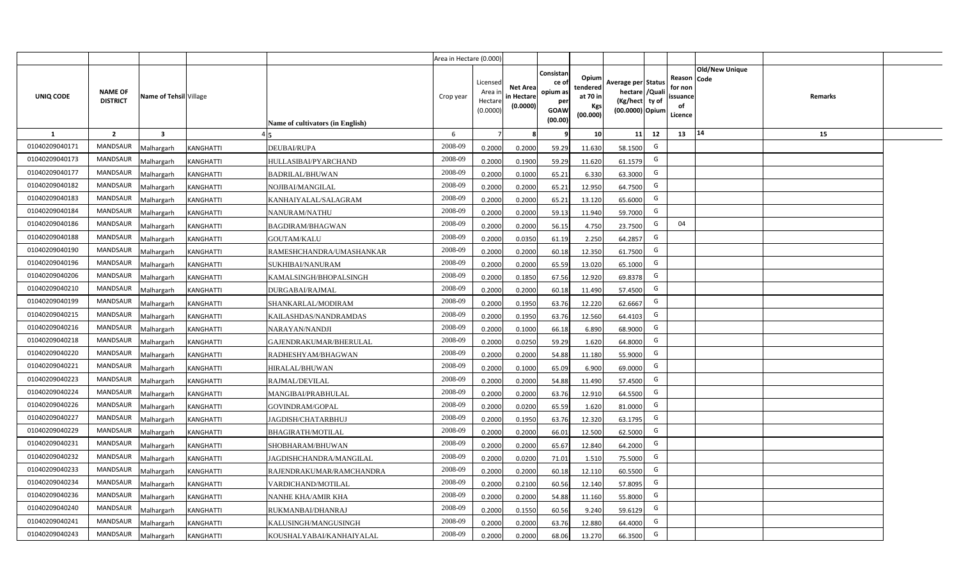|                |                                   |                         |                                              | Area in Hectare (0.000) |                                            |                                           |                                                                |                                                  |                                                                            |    |                                                                             |         |  |
|----------------|-----------------------------------|-------------------------|----------------------------------------------|-------------------------|--------------------------------------------|-------------------------------------------|----------------------------------------------------------------|--------------------------------------------------|----------------------------------------------------------------------------|----|-----------------------------------------------------------------------------|---------|--|
| UNIQ CODE      | <b>NAME OF</b><br><b>DISTRICT</b> | Name of Tehsil Village  | Name of cultivators (in English)             | Crop year               | Licensed<br>Area in<br>Hectare<br>(0.0000) | <b>Net Area</b><br>in Hectare<br>(0.0000) | Consistan<br>ce o<br>opium as<br>per<br><b>GOAW</b><br>(00.00) | Opium<br>tendered<br>at 70 in<br>Kgs<br>(00.000) | Average per Status<br>hectare / Quali<br>(Kg/hect ty of<br>(00.0000) Opium |    | <b>Old/New Unique</b><br>Reason Code<br>for non<br>ssuance<br>of<br>Licence | Remarks |  |
| $\mathbf{1}$   | $\overline{2}$                    | $\overline{\mathbf{3}}$ |                                              | 6                       | $\overline{7}$                             | -8                                        | ٩                                                              | 10                                               | 11                                                                         | 12 | 14<br>13                                                                    | 15      |  |
| 01040209040171 | MANDSAUR                          | <b>Malhargarh</b>       | <b>KANGHATTI</b><br>DEUBAI/RUPA              | 2008-09                 | 0.2000                                     | 0.2000                                    | 59.29                                                          | 11.630                                           | 58.1500                                                                    | G  |                                                                             |         |  |
| 01040209040173 | <b>MANDSAUR</b>                   | <b>Malhargarh</b>       | KANGHATTI<br>HULLASIBAI/PYARCHAND            | 2008-09                 | 0.2000                                     | 0.1900                                    | 59.29                                                          | 11.620                                           | 61.1579                                                                    | G  |                                                                             |         |  |
| 01040209040177 | <b>MANDSAUR</b>                   | <b>Malhargarh</b>       | <b>KANGHATTI</b><br><b>BADRILAL/BHUWAN</b>   | 2008-09                 | 0.2000                                     | 0.1000                                    | 65.21                                                          | 6.330                                            | 63.3000                                                                    | G  |                                                                             |         |  |
| 01040209040182 | <b>MANDSAUR</b>                   | <b>Malhargarh</b>       | KANGHATTI<br>NOJIBAI/MANGILAL                | 2008-09                 | 0.2000                                     | 0.2000                                    | 65.21                                                          | 12.950                                           | 64.7500                                                                    | G  |                                                                             |         |  |
| 01040209040183 | <b>MANDSAUR</b>                   | <b>Malhargarh</b>       | KANGHATTI<br>KANHAIYALAL/SALAGRAM            | 2008-09                 | 0.2000                                     | 0.2000                                    | 65.21                                                          | 13.120                                           | 65.6000                                                                    | G  |                                                                             |         |  |
| 01040209040184 | <b>MANDSAUR</b>                   | <b>Malhargarh</b>       | KANGHATTI<br>NANURAM/NATHU                   | 2008-09                 | 0.2000                                     | 0.2000                                    | 59.13                                                          | 11.940                                           | 59.7000                                                                    | G  |                                                                             |         |  |
| 01040209040186 | <b>MANDSAUR</b>                   | <b>Malhargarh</b>       | KANGHATTI<br><b>BAGDIRAM/BHAGWAN</b>         | 2008-09                 | 0.2000                                     | 0.2000                                    | 56.15                                                          | 4.750                                            | 23.7500                                                                    | G  | 04                                                                          |         |  |
| 01040209040188 | <b>MANDSAUR</b>                   | <b>Malhargarh</b>       | KANGHATTI<br><b>GOUTAM/KALU</b>              | 2008-09                 | 0.2000                                     | 0.0350                                    | 61.19                                                          | 2.250                                            | 64.2857                                                                    | G  |                                                                             |         |  |
| 01040209040190 | <b>MANDSAUR</b>                   | <b>Malhargarh</b>       | KANGHATTI<br>RAMESHCHANDRA/UMASHANKAR        | 2008-09                 | 0.2000                                     | 0.2000                                    | 60.18                                                          | 12.350                                           | 61.7500                                                                    | G  |                                                                             |         |  |
| 01040209040196 | MANDSAUR                          | <b>Malhargarh</b>       | KANGHATTI<br>SUKHIBAI/NANURAM                | 2008-09                 | 0.2000                                     | 0.2000                                    | 65.59                                                          | 13.020                                           | 65.1000                                                                    | G  |                                                                             |         |  |
| 01040209040206 | <b>MANDSAUR</b>                   | <b>Malhargarh</b>       | KANGHATTI<br>KAMALSINGH/BHOPALSINGH          | 2008-09                 | 0.2000                                     | 0.1850                                    | 67.56                                                          | 12.920                                           | 69.8378                                                                    | G  |                                                                             |         |  |
| 01040209040210 | <b>MANDSAUR</b>                   | <b>Malhargarh</b>       | <b>KANGHATTI</b><br><b>DURGABAI/RAJMAL</b>   | 2008-09                 | 0.2000                                     | 0.2000                                    | 60.18                                                          | 11.490                                           | 57.4500                                                                    | G  |                                                                             |         |  |
| 01040209040199 | <b>MANDSAUR</b>                   | <b>Malhargarh</b>       | KANGHATTI<br>SHANKARLAL/MODIRAM              | 2008-09                 | 0.2000                                     | 0.1950                                    | 63.76                                                          | 12.220                                           | 62.6667                                                                    | G  |                                                                             |         |  |
| 01040209040215 | <b>MANDSAUR</b>                   | Malhargarh              | <b>KANGHATTI</b><br>KAILASHDAS/NANDRAMDAS    | 2008-09                 | 0.2000                                     | 0.1950                                    | 63.76                                                          | 12.560                                           | 64.4103                                                                    | G  |                                                                             |         |  |
| 01040209040216 | <b>MANDSAUR</b>                   | Malhargarh              | KANGHATTI<br>NARAYAN/NANDJI                  | 2008-09                 | 0.2000                                     | 0.1000                                    | 66.18                                                          | 6.890                                            | 68.9000                                                                    | G  |                                                                             |         |  |
| 01040209040218 | MANDSAUR                          | Malhargarh              | KANGHATTI<br>GAJENDRAKUMAR/BHERULAL          | 2008-09                 | 0.2000                                     | 0.0250                                    | 59.29                                                          | 1.620                                            | 64.8000                                                                    | G  |                                                                             |         |  |
| 01040209040220 | <b>MANDSAUR</b>                   | <b>Malhargarh</b>       | KANGHATTI<br>RADHESHYAM/BHAGWAN              | 2008-09                 | 0.2000                                     | 0.2000                                    | 54.88                                                          | 11.180                                           | 55.9000                                                                    | G  |                                                                             |         |  |
| 01040209040221 | MANDSAUR                          | <b>Malhargarh</b>       | KANGHATTI<br>HIRALAL/BHUWAN                  | 2008-09                 | 0.2000                                     | 0.1000                                    | 65.09                                                          | 6.900                                            | 69.0000                                                                    | G  |                                                                             |         |  |
| 01040209040223 | <b>MANDSAUR</b>                   | <b>Malhargarh</b>       | RAJMAL/DEVILAL<br>KANGHATTI                  | 2008-09                 | 0.2000                                     | 0.2000                                    | 54.88                                                          | 11.490                                           | 57.4500                                                                    | G  |                                                                             |         |  |
| 01040209040224 | <b>MANDSAUR</b>                   | Malhargarh              | KANGHATTI<br>MANGIBAI/PRABHULAL              | 2008-09                 | 0.2000                                     | 0.2000                                    | 63.76                                                          | 12.910                                           | 64.5500                                                                    | G  |                                                                             |         |  |
| 01040209040226 | <b>MANDSAUR</b>                   | <b>Malhargarh</b>       | <b>KANGHATTI</b><br>GOVINDRAM/GOPAL          | 2008-09                 | 0.2000                                     | 0.0200                                    | 65.59                                                          | 1.620                                            | 81.0000                                                                    | G  |                                                                             |         |  |
| 01040209040227 | <b>MANDSAUR</b>                   | <b>Malhargarh</b>       | KANGHATTI<br>IAGDISH/CHATARBHUJ              | 2008-09                 | 0.2000                                     | 0.1950                                    | 63.76                                                          | 12.320                                           | 63.1795                                                                    | G  |                                                                             |         |  |
| 01040209040229 | <b>MANDSAUR</b>                   | <i>A</i> alhargarh      | KANGHATTI<br>BHAGIRATH/MOTILAL               | 2008-09                 | 0.2000                                     | 0.2000                                    | 66.01                                                          | 12.500                                           | 62.5000                                                                    | G  |                                                                             |         |  |
| 01040209040231 | <b>MANDSAUR</b>                   | <b>Malhargarh</b>       | <b>KANGHATTI</b><br>SHOBHARAM/BHUWAN         | 2008-09                 | 0.2000                                     | 0.2000                                    | 65.67                                                          | 12.840                                           | 64.2000                                                                    | G  |                                                                             |         |  |
| 01040209040232 | <b>MANDSAUR</b>                   | <b>Malhargarh</b>       | KANGHATTI<br>JAGDISHCHANDRA/MANGILAL         | 2008-09                 | 0.2000                                     | 0.0200                                    | 71.01                                                          | 1.510                                            | 75.5000                                                                    | G  |                                                                             |         |  |
| 01040209040233 | MANDSAUR                          | <b>Malhargarh</b>       | <b>KANGHATTI</b><br>RAJENDRAKUMAR/RAMCHANDRA | 2008-09                 | 0.2000                                     | 0.2000                                    | 60.18                                                          | 12.110                                           | 60.5500                                                                    | G  |                                                                             |         |  |
| 01040209040234 | <b>MANDSAUR</b>                   | <b>Malhargarh</b>       | KANGHATTI<br>VARDICHAND/MOTILAL              | 2008-09                 | 0.2000                                     | 0.2100                                    | 60.56                                                          | 12.140                                           | 57.8095                                                                    | G  |                                                                             |         |  |
| 01040209040236 | <b>MANDSAUR</b>                   | <b>Malhargarh</b>       | <b>KANGHATTI</b><br>NANHE KHA/AMIR KHA       | 2008-09                 | 0.2000                                     | 0.2000                                    | 54.88                                                          | 11.160                                           | 55.8000                                                                    | G  |                                                                             |         |  |
| 01040209040240 | <b>MANDSAUR</b>                   | <b>Malhargarh</b>       | RUKMANBAI/DHANRAJ<br><b>KANGHATTI</b>        | 2008-09                 | 0.2000                                     | 0.1550                                    | 60.56                                                          | 9.240                                            | 59.6129                                                                    | G  |                                                                             |         |  |
| 01040209040241 | <b>MANDSAUR</b>                   | <b>Malhargarh</b>       | KANGHATTI<br>KALUSINGH/MANGUSINGH            | 2008-09                 | 0.2000                                     | 0.2000                                    | 63.76                                                          | 12.880                                           | 64.4000                                                                    | G  |                                                                             |         |  |
| 01040209040243 | MANDSAUR                          | Malhargarh              | <b>KANGHATTI</b><br>KOUSHALYABAI/KANHAIYALAL | 2008-09                 | 0.2000                                     | 0.2000                                    | 68.06                                                          | 13.270                                           | 66.3500                                                                    | G  |                                                                             |         |  |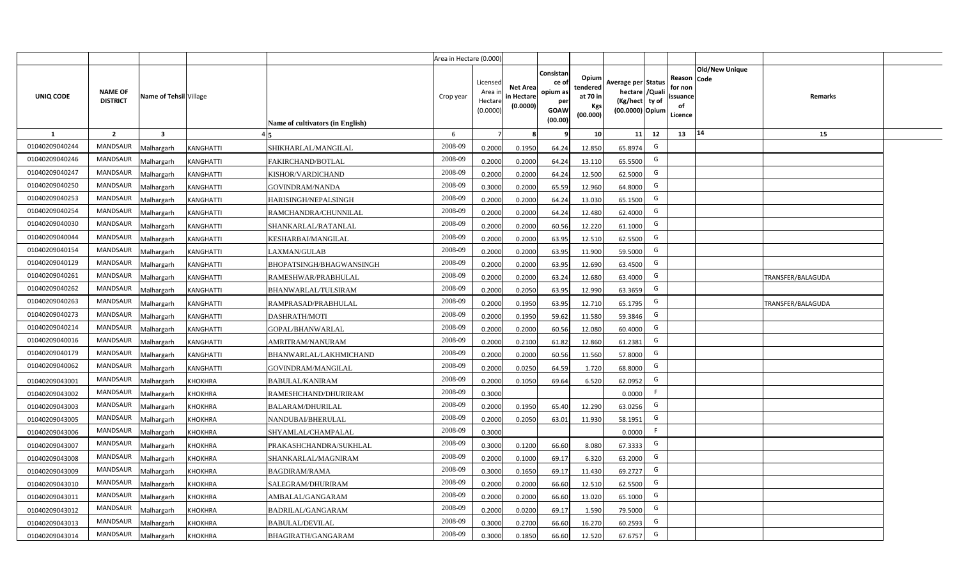|                |                                   |                         |                  |                                  | Area in Hectare (0.000) |                                          |                                           |                                                          |                                                         |                                                                           |    |                                                     |                       |                          |  |
|----------------|-----------------------------------|-------------------------|------------------|----------------------------------|-------------------------|------------------------------------------|-------------------------------------------|----------------------------------------------------------|---------------------------------------------------------|---------------------------------------------------------------------------|----|-----------------------------------------------------|-----------------------|--------------------------|--|
| UNIQ CODE      | <b>NAME OF</b><br><b>DISTRICT</b> | Name of Tehsil Village  |                  | Name of cultivators (in English) | Crop year               | Licensed<br>Area i<br>Hectar<br>(0.0000) | <b>Net Area</b><br>in Hectare<br>(0.0000) | Consistan<br>ce of<br>opium as<br>per<br>GOAW<br>(00.00) | Opium<br>tendered<br>at 70 in<br><b>Kgs</b><br>(00.000) | Average per Status<br>hectare / Qual<br>(Kg/hect ty of<br>(00.0000) Opium |    | Reason Code<br>for nor<br>issuance<br>of<br>Licence | <b>Old/New Unique</b> | Remarks                  |  |
| 1              | $\overline{2}$                    | $\overline{\mathbf{3}}$ |                  |                                  | 6                       |                                          |                                           |                                                          | 10 <sup>1</sup>                                         | 11                                                                        | 12 | 13                                                  | 14                    | 15                       |  |
| 01040209040244 | <b>MANDSAUR</b>                   | Malhargarh              | KANGHATTI        | SHIKHARLAL/MANGILAL              | 2008-09                 | 0.2000                                   | 0.1950                                    | 64.24                                                    | 12.850                                                  | 65.8974                                                                   | G  |                                                     |                       |                          |  |
| 01040209040246 | <b>MANDSAUR</b>                   | Malhargarh              | <b>KANGHATTI</b> | FAKIRCHAND/BOTLAL                | 2008-09                 | 0.2000                                   | 0.2000                                    | 64.24                                                    | 13.110                                                  | 65.5500                                                                   | G  |                                                     |                       |                          |  |
| 01040209040247 | <b>MANDSAUR</b>                   | Malhargarh              | <b>KANGHATTI</b> | KISHOR/VARDICHAND                | 2008-09                 | 0.2000                                   | 0.2000                                    | 64.24                                                    | 12.500                                                  | 62.5000                                                                   | G  |                                                     |                       |                          |  |
| 01040209040250 | <b>MANDSAUR</b>                   | Malhargarh              | KANGHATTI        | GOVINDRAM/NANDA                  | 2008-09                 | 0.3000                                   | 0.2000                                    | 65.59                                                    | 12.960                                                  | 64.8000                                                                   | G  |                                                     |                       |                          |  |
| 01040209040253 | <b>MANDSAUR</b>                   | Malhargarh              | KANGHATTI        | HARISINGH/NEPALSINGH             | 2008-09                 | 0.2000                                   | 0.2000                                    | 64.24                                                    | 13.030                                                  | 65.1500                                                                   | G  |                                                     |                       |                          |  |
| 01040209040254 | <b>MANDSAUR</b>                   | Malhargarh              | <b>KANGHATTI</b> | RAMCHANDRA/CHUNNILAL             | 2008-09                 | 0.200                                    | 0.2000                                    | 64.24                                                    | 12.480                                                  | 62.4000                                                                   | G  |                                                     |                       |                          |  |
| 01040209040030 | <b>MANDSAUR</b>                   | Malhargarh              | KANGHATTI        | SHANKARLAL/RATANLAL              | 2008-09                 | 0.200                                    | 0.2000                                    | 60.56                                                    | 12.220                                                  | 61.1000                                                                   | G  |                                                     |                       |                          |  |
| 01040209040044 | <b>MANDSAUR</b>                   | Malhargarh              | KANGHATTI        | KESHARBAI/MANGILAL               | 2008-09                 | 0.200                                    | 0.2000                                    | 63.95                                                    | 12.510                                                  | 62.5500                                                                   | G  |                                                     |                       |                          |  |
| 01040209040154 | <b>MANDSAUR</b>                   | Malhargarh              | KANGHATTI        | LAXMAN/GULAB                     | 2008-09                 | 0.2000                                   | 0.2000                                    | 63.95                                                    | 11.900                                                  | 59.5000                                                                   | G  |                                                     |                       |                          |  |
| 01040209040129 | <b>MANDSAUR</b>                   | Malhargarh              | KANGHATTI        | BHOPATSINGH/BHAGWANSINGH         | 2008-09                 | 0.2000                                   | 0.2000                                    | 63.95                                                    | 12.690                                                  | 63.4500                                                                   | G  |                                                     |                       |                          |  |
| 01040209040261 | <b>MANDSAUR</b>                   | Malhargarh              | <b>KANGHATTI</b> | RAMESHWAR/PRABHULAL              | 2008-09                 | 0.2000                                   | 0.2000                                    | 63.24                                                    | 12.680                                                  | 63.4000                                                                   | G  |                                                     |                       | <b>TRANSFER/BALAGUDA</b> |  |
| 01040209040262 | <b>MANDSAUR</b>                   | Malhargarh              | <b>KANGHATTI</b> | BHANWARLAL/TULSIRAM              | 2008-09                 | 0.2000                                   | 0.2050                                    | 63.95                                                    | 12.990                                                  | 63.3659                                                                   | G  |                                                     |                       |                          |  |
| 01040209040263 | <b>MANDSAUR</b>                   | Malhargarh              | <b>KANGHATTI</b> | RAMPRASAD/PRABHULAL              | 2008-09                 | 0.2000                                   | 0.1950                                    | 63.95                                                    | 12.710                                                  | 65.1795                                                                   | G  |                                                     |                       | TRANSFER/BALAGUDA        |  |
| 01040209040273 | <b>MANDSAUR</b>                   | Malhargarh              | <b>KANGHATTI</b> | <b>DASHRATH/MOTI</b>             | 2008-09                 | 0.2000                                   | 0.1950                                    | 59.62                                                    | 11.580                                                  | 59.3846                                                                   | G  |                                                     |                       |                          |  |
| 01040209040214 | <b>MANDSAUR</b>                   | Malhargarh              | KANGHATTI        | GOPAL/BHANWARLAL                 | 2008-09                 | 0.2000                                   | 0.2000                                    | 60.56                                                    | 12.080                                                  | 60.4000                                                                   | G  |                                                     |                       |                          |  |
| 01040209040016 | <b>MANDSAUR</b>                   | Malhargarh              | KANGHATTI        | AMRITRAM/NANURAM                 | 2008-09                 | 0.2000                                   | 0.2100                                    | 61.82                                                    | 12.860                                                  | 61.2381                                                                   | G  |                                                     |                       |                          |  |
| 01040209040179 | <b>MANDSAUR</b>                   | Malhargarh              | KANGHATTI        | BHANWARLAL/LAKHMICHAND           | 2008-09                 | 0.2000                                   | 0.2000                                    | 60.56                                                    | 11.560                                                  | 57.8000                                                                   | G  |                                                     |                       |                          |  |
| 01040209040062 | <b>MANDSAUR</b>                   | Malhargarh              | <b>KANGHATTI</b> | GOVINDRAM/MANGILAL               | 2008-09                 | 0.200                                    | 0.0250                                    | 64.59                                                    | 1.720                                                   | 68.8000                                                                   | G  |                                                     |                       |                          |  |
| 01040209043001 | <b>MANDSAUR</b>                   | Malhargarh              | <b>KHOKHRA</b>   | <b>BABULAL/KANIRAM</b>           | 2008-09                 | 0.2000                                   | 0.1050                                    | 69.64                                                    | 6.520                                                   | 62.0952                                                                   | G  |                                                     |                       |                          |  |
| 01040209043002 | <b>MANDSAUR</b>                   | Malhargarh              | <b>KHOKHRA</b>   | RAMESHCHAND/DHURIRAM             | 2008-09                 | 0.3000                                   |                                           |                                                          |                                                         | 0.0000                                                                    | F. |                                                     |                       |                          |  |
| 01040209043003 | <b>MANDSAUR</b>                   | Malhargarh              | <b>KHOKHRA</b>   | <b>BALARAM/DHURILAL</b>          | 2008-09                 | 0.2000                                   | 0.1950                                    | 65.40                                                    | 12.290                                                  | 63.0256                                                                   | G  |                                                     |                       |                          |  |
| 01040209043005 | <b>MANDSAUR</b>                   | Malhargarh              | KHOKHRA          | NANDUBAI/BHERULAL                | 2008-09                 | 0.2000                                   | 0.2050                                    | 63.01                                                    | 11.930                                                  | 58.1951                                                                   | G  |                                                     |                       |                          |  |
| 01040209043006 | <b>MANDSAUR</b>                   | Malhargarh              | <b>KHOKHRA</b>   | SHYAMLAL/CHAMPALAL               | 2008-09                 | 0.3000                                   |                                           |                                                          |                                                         | 0.0000                                                                    |    |                                                     |                       |                          |  |
| 01040209043007 | <b>MANDSAUR</b>                   | Malhargarh              | <b>KHOKHRA</b>   | PRAKASHCHANDRA/SUKHLAL           | 2008-09                 | 0.3000                                   | 0.1200                                    | 66.60                                                    | 8.080                                                   | 67.3333                                                                   | G  |                                                     |                       |                          |  |
| 01040209043008 | <b>MANDSAUR</b>                   | Malhargarh              | <b>KHOKHRA</b>   | SHANKARLAL/MAGNIRAM              | 2008-09                 | 0.200                                    | 0.1000                                    | 69.17                                                    | 6.320                                                   | 63.2000                                                                   | G  |                                                     |                       |                          |  |
| 01040209043009 | <b>MANDSAUR</b>                   | Malhargarh              | KHOKHRA          | BAGDIRAM/RAMA                    | 2008-09                 | 0.300                                    | 0.1650                                    | 69.17                                                    | 11.430                                                  | 69.2727                                                                   | G  |                                                     |                       |                          |  |
| 01040209043010 | <b>MANDSAUR</b>                   | Malhargarh              | KHOKHRA          | SALEGRAM/DHURIRAM                | 2008-09                 | 0.200                                    | 0.2000                                    | 66.60                                                    | 12.510                                                  | 62.5500                                                                   | G  |                                                     |                       |                          |  |
| 01040209043011 | <b>MANDSAUR</b>                   | Malhargarh              | <b>KHOKHRA</b>   | AMBALAL/GANGARAM                 | 2008-09                 | 0.2000                                   | 0.2000                                    | 66.60                                                    | 13.020                                                  | 65.1000                                                                   | G  |                                                     |                       |                          |  |
| 01040209043012 | <b>MANDSAUR</b>                   | Malhargarh              | <b>KHOKHRA</b>   | BADRILAL/GANGARAM                | 2008-09                 | 0.2000                                   | 0.0200                                    | 69.17                                                    | 1.590                                                   | 79.5000                                                                   | G  |                                                     |                       |                          |  |
| 01040209043013 | <b>MANDSAUR</b>                   | Malhargarh              | <b>KHOKHRA</b>   | <b>BABULAL/DEVILAL</b>           | 2008-09                 | 0.3000                                   | 0.2700                                    | 66.60                                                    | 16.270                                                  | 60.2593                                                                   | G  |                                                     |                       |                          |  |
| 01040209043014 | <b>MANDSAUR</b>                   | Malhargarh              | <b>KHOKHRA</b>   | BHAGIRATH/GANGARAM               | 2008-09                 | 0.3000                                   | 0.1850                                    | 66.60                                                    | 12.520                                                  | 67.6757                                                                   | G  |                                                     |                       |                          |  |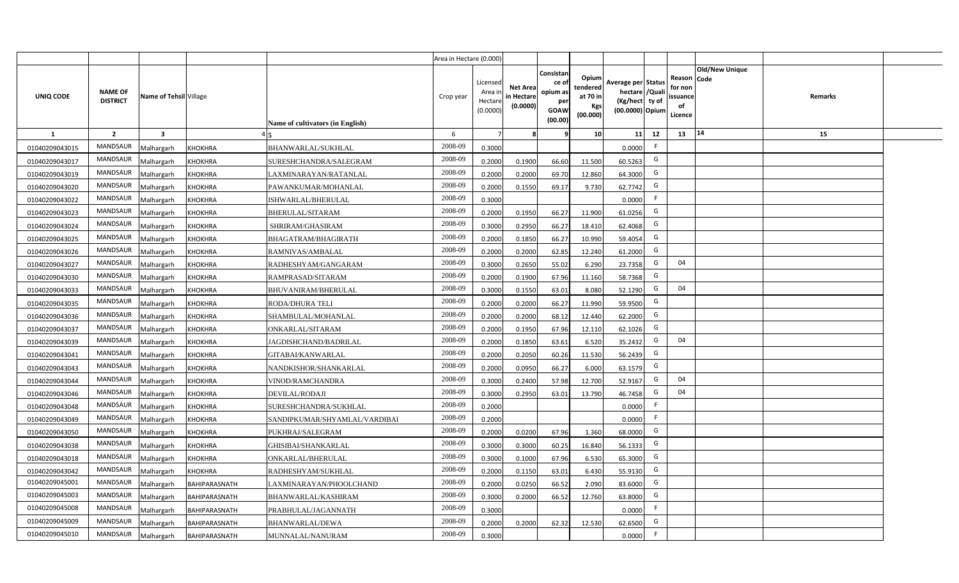|                  |                                   |                         |                      |                                  | Area in Hectare (0.000) |                                            |                                           |                                                                |                                                  |                                                                            |    |                                                                              |         |  |
|------------------|-----------------------------------|-------------------------|----------------------|----------------------------------|-------------------------|--------------------------------------------|-------------------------------------------|----------------------------------------------------------------|--------------------------------------------------|----------------------------------------------------------------------------|----|------------------------------------------------------------------------------|---------|--|
| <b>UNIQ CODE</b> | <b>NAME OF</b><br><b>DISTRICT</b> | Name of Tehsil Village  |                      | Name of cultivators (in English) | Crop year               | Licensed<br>Area in<br>Hectare<br>(0.0000) | <b>Net Area</b><br>in Hectare<br>(0.0000) | Consistan<br>ce o<br>opium as<br>per<br><b>GOAW</b><br>(00.00) | Opium<br>tendered<br>at 70 in<br>Kgs<br>(00.000) | Average per Status<br>hectare / Quali<br>(Kg/hect ty of<br>(00.0000) Opium |    | <b>Old/New Unique</b><br>Reason Code<br>for non<br>issuance<br>of<br>Licence | Remarks |  |
| $\mathbf{1}$     | $\overline{2}$                    | $\overline{\mathbf{3}}$ |                      |                                  | 6                       | $\overline{7}$                             |                                           | ٩                                                              | 10                                               | 11                                                                         | 12 | 14<br>13                                                                     | 15      |  |
| 01040209043015   | <b>MANDSAUR</b>                   | <b>Malhargarh</b>       | <b>KHOKHRA</b>       | BHANWARLAL/SUKHLAL               | 2008-09                 | 0.3000                                     |                                           |                                                                |                                                  | 0.0000                                                                     | F  |                                                                              |         |  |
| 01040209043017   | <b>MANDSAUR</b>                   | <b>Malhargarh</b>       | <b>KHOKHRA</b>       | SURESHCHANDRA/SALEGRAM           | 2008-09                 | 0.2000                                     | 0.1900                                    | 66.60                                                          | 11.500                                           | 60.5263                                                                    | G  |                                                                              |         |  |
| 01040209043019   | MANDSAUR                          | <b>Malhargarh</b>       | <b>KHOKHRA</b>       | LAXMINARAYAN/RATANLAL            | 2008-09                 | 0.2000                                     | 0.2000                                    | 69.70                                                          | 12.860                                           | 64.3000                                                                    | G  |                                                                              |         |  |
| 01040209043020   | <b>MANDSAUR</b>                   | <b>Malhargarh</b>       | <b>KHOKHRA</b>       | PAWANKUMAR/MOHANLAL              | 2008-09                 | 0.2000                                     | 0.1550                                    | 69.17                                                          | 9.730                                            | 62.7742                                                                    | G  |                                                                              |         |  |
| 01040209043022   | MANDSAUR                          | <b>Malhargarh</b>       | KHOKHRA              | ISHWARLAL/BHERULAL               | 2008-09                 | 0.3000                                     |                                           |                                                                |                                                  | 0.0000                                                                     | F. |                                                                              |         |  |
| 01040209043023   | <b>MANDSAUR</b>                   | <b>Malhargarh</b>       | <b>KHOKHRA</b>       | <b>BHERULAL/SITARAM</b>          | 2008-09                 | 0.2000                                     | 0.1950                                    | 66.27                                                          | 11.900                                           | 61.0256                                                                    | G  |                                                                              |         |  |
| 01040209043024   | <b>MANDSAUR</b>                   | <b>Malhargarh</b>       | <b>KHOKHRA</b>       | SHRIRAM/GHASIRAM                 | 2008-09                 | 0.3000                                     | 0.2950                                    | 66.27                                                          | 18.410                                           | 62.4068                                                                    | G  |                                                                              |         |  |
| 01040209043025   | <b>MANDSAUR</b>                   | <b>Malhargarh</b>       | <b>KHOKHRA</b>       | BHAGATRAM/BHAGIRATH              | 2008-09                 | 0.2000                                     | 0.1850                                    | 66.27                                                          | 10.990                                           | 59.4054                                                                    | G  |                                                                              |         |  |
| 01040209043026   | <b>MANDSAUR</b>                   | <b>Malhargarh</b>       | <b>KHOKHRA</b>       | RAMNIVAS/AMBALAL                 | 2008-09                 | 0.2000                                     | 0.2000                                    | 62.85                                                          | 12.240                                           | 61.2000                                                                    | G  |                                                                              |         |  |
| 01040209043027   | <b>MANDSAUR</b>                   | <b>Malhargarh</b>       | KHOKHRA              | RADHESHYAM/GANGARAM              | 2008-09                 | 0.3000                                     | 0.2650                                    | 55.02                                                          | 6.290                                            | 23.7358                                                                    | G  | 04                                                                           |         |  |
| 01040209043030   | <b>MANDSAUR</b>                   | <b>Malhargarh</b>       | <b>KHOKHRA</b>       | RAMPRASAD/SITARAM                | 2008-09                 | 0.2000                                     | 0.1900                                    | 67.96                                                          | 11.160                                           | 58.7368                                                                    | G  |                                                                              |         |  |
| 01040209043033   | <b>MANDSAUR</b>                   | <b>Malhargarh</b>       | <b>KHOKHRA</b>       | BHUVANIRAM/BHERULAL              | 2008-09                 | 0.3000                                     | 0.1550                                    | 63.01                                                          | 8.080                                            | 52.1290                                                                    | G  | 04                                                                           |         |  |
| 01040209043035   | MANDSAUR                          | <b>Malhargarh</b>       | KHOKHRA              | <b>RODA/DHURA TELI</b>           | 2008-09                 | 0.2000                                     | 0.2000                                    | 66.27                                                          | 11.990                                           | 59.9500                                                                    | G  |                                                                              |         |  |
| 01040209043036   | <b>MANDSAUR</b>                   | Malhargarh              | <b>KHOKHRA</b>       | SHAMBULAL/MOHANLAL               | 2008-09                 | 0.2000                                     | 0.2000                                    | 68.12                                                          | 12.440                                           | 62.2000                                                                    | G  |                                                                              |         |  |
| 01040209043037   | <b>MANDSAUR</b>                   | Malhargarh              | KHOKHRA              | ONKARLAL/SITARAM                 | 2008-09                 | 0.2000                                     | 0.1950                                    | 67.96                                                          | 12.110                                           | 62.1026                                                                    | G  |                                                                              |         |  |
| 01040209043039   | <b>MANDSAUR</b>                   | Malhargarh              | <b>KHOKHRA</b>       | <b>JAGDISHCHAND/BADRILAL</b>     | 2008-09                 | 0.2000                                     | 0.1850                                    | 63.61                                                          | 6.520                                            | 35.2432                                                                    | G  | 04                                                                           |         |  |
| 01040209043041   | <b>MANDSAUR</b>                   | <b>Malhargarh</b>       | <b>KHOKHRA</b>       | GITABAI/KANWARLAL                | 2008-09                 | 0.2000                                     | 0.2050                                    | 60.26                                                          | 11.530                                           | 56.2439                                                                    | G  |                                                                              |         |  |
| 01040209043043   | MANDSAUR                          | <b>Malhargarh</b>       | <b>KHOKHRA</b>       | NANDKISHOR/SHANKARLAL            | 2008-09                 | 0.2000                                     | 0.0950                                    | 66.27                                                          | 6.000                                            | 63.1579                                                                    | G  |                                                                              |         |  |
| 01040209043044   | <b>MANDSAUR</b>                   | <b>Malhargarh</b>       | <b>KHOKHRA</b>       | VINOD/RAMCHANDRA                 | 2008-09                 | 0.3000                                     | 0.2400                                    | 57.98                                                          | 12.700                                           | 52.9167                                                                    | G  | 04                                                                           |         |  |
| 01040209043046   | <b>MANDSAUR</b>                   | Malhargarh              | <b>KHOKHRA</b>       | DEVILAL/RODAJI                   | 2008-09                 | 0.3000                                     | 0.2950                                    | 63.01                                                          | 13.790                                           | 46.7458                                                                    | G  | 04                                                                           |         |  |
| 01040209043048   | MANDSAUR                          | <b>Malhargarh</b>       | <b>KHOKHRA</b>       | SURESHCHANDRA/SUKHLAL            | 2008-09                 | 0.2000                                     |                                           |                                                                |                                                  | 0.0000                                                                     | F  |                                                                              |         |  |
| 01040209043049   | MANDSAUR                          | <b>Malhargarh</b>       | KHOKHRA              | SANDIPKUMAR/SHYAMLAL/VARDIBAI    | 2008-09                 | 0.2000                                     |                                           |                                                                |                                                  | 0.0000                                                                     | F  |                                                                              |         |  |
| 01040209043050   | <b>MANDSAUR</b>                   | <b>Aalhargarh</b>       | KHOKHRA              | PUKHRAJ/SALEGRAM                 | 2008-09                 | 0.2000                                     | 0.0200                                    | 67.96                                                          | 1.360                                            | 68,0000                                                                    | G  |                                                                              |         |  |
| 01040209043038   | <b>MANDSAUR</b>                   | <b>Malhargarh</b>       | KHOKHRA              | <b>GHISIBAI/SHANKARLAL</b>       | 2008-09                 | 0.3000                                     | 0.3000                                    | 60.25                                                          | 16.840                                           | 56.1333                                                                    | G  |                                                                              |         |  |
| 01040209043018   | <b>MANDSAUR</b>                   | <b>Malhargarh</b>       | KHOKHRA              | ONKARLAL/BHERULAL                | 2008-09                 | 0.3000                                     | 0.1000                                    | 67.96                                                          | 6.530                                            | 65.3000                                                                    | G  |                                                                              |         |  |
| 01040209043042   | MANDSAUR                          | <b>Malhargarh</b>       | <b>KHOKHRA</b>       | RADHESHYAM/SUKHLAL               | 2008-09                 | 0.2000                                     | 0.1150                                    | 63.01                                                          | 6.430                                            | 55.9130                                                                    | G  |                                                                              |         |  |
| 01040209045001   | <b>MANDSAUR</b>                   | <b>Malhargarh</b>       | BAHIPARASNATH        | LAXMINARAYAN/PHOOLCHAND          | 2008-09                 | 0.2000                                     | 0.0250                                    | 66.52                                                          | 2.090                                            | 83.6000                                                                    | G  |                                                                              |         |  |
| 01040209045003   | <b>MANDSAUR</b>                   | <b>Malhargarh</b>       | BAHIPARASNATH        | BHANWARLAL/KASHIRAM              | 2008-09                 | 0.3000                                     | 0.2000                                    | 66.52                                                          | 12.760                                           | 63.8000                                                                    | G  |                                                                              |         |  |
| 01040209045008   | <b>MANDSAUR</b>                   | <b>Malhargarh</b>       | BAHIPARASNATH        | PRABHULAL/JAGANNATH              | 2008-09                 | 0.3000                                     |                                           |                                                                |                                                  | 0.0000                                                                     | F  |                                                                              |         |  |
| 01040209045009   | <b>MANDSAUR</b>                   | <b>Malhargarh</b>       | BAHIPARASNATH        | <b>BHANWARLAL/DEWA</b>           | 2008-09                 | 0.2000                                     | 0.2000                                    | 62.32                                                          | 12.530                                           | 62.6500                                                                    | G  |                                                                              |         |  |
| 01040209045010   | MANDSAUR                          | Malhargarh              | <b>BAHIPARASNATH</b> | MUNNALAL/NANURAM                 | 2008-09                 | 0.3000                                     |                                           |                                                                |                                                  | 0.0000                                                                     | F. |                                                                              |         |  |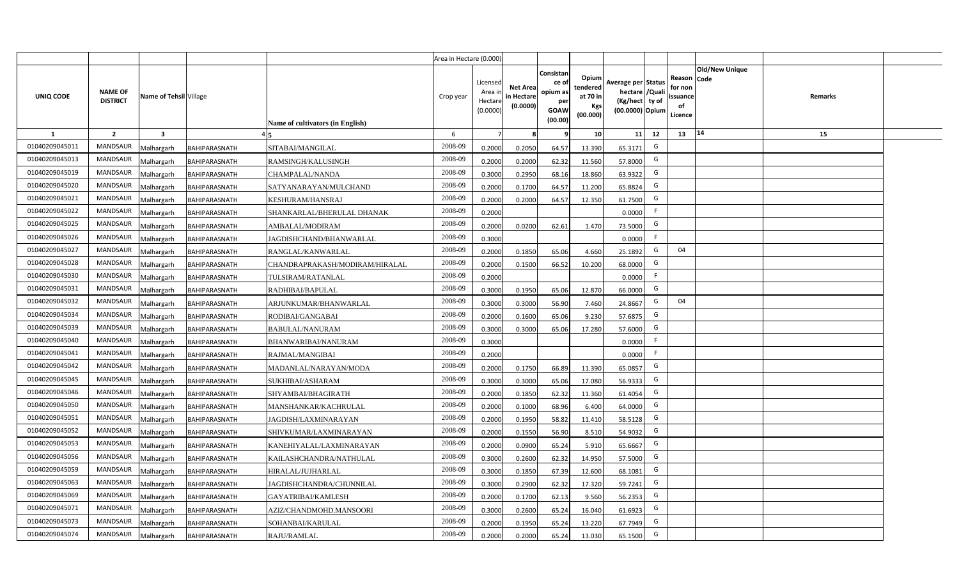|                |                                   |                        |                      |                                  | Area in Hectare (0.000) |                                           |                                           |                                                          |                                                  |                                                                            |                                                    |                       |         |  |
|----------------|-----------------------------------|------------------------|----------------------|----------------------------------|-------------------------|-------------------------------------------|-------------------------------------------|----------------------------------------------------------|--------------------------------------------------|----------------------------------------------------------------------------|----------------------------------------------------|-----------------------|---------|--|
| UNIQ CODE      | <b>NAME OF</b><br><b>DISTRICT</b> | Name of Tehsil Village |                      | Name of cultivators (in English) | Crop year               | Licensed<br>Area i<br>Hectare<br>(0.0000) | <b>Net Area</b><br>in Hectare<br>(0.0000) | Consistan<br>ce of<br>opium as<br>per<br>GOAW<br>(00.00) | Opium<br>tendered<br>at 70 in<br>Kgs<br>(00.000) | Average per Status<br>hectare / Quali<br>(Kg/hect ty of<br>(00.0000) Opium | Reason Code<br>for non<br>ssuance<br>of<br>Licence | <b>Old/New Unique</b> | Remarks |  |
| $\mathbf{1}$   | $\overline{2}$                    | $\mathbf{3}$           |                      |                                  | 6                       | $\overline{7}$                            | 8                                         | 9                                                        | 10 <sup>1</sup>                                  | 11<br>12                                                                   | 13                                                 | 14                    | 15      |  |
| 01040209045011 | MANDSAUR                          | Malhargarh             | BAHIPARASNATH        | SITABAI/MANGILAL                 | 2008-09                 | 0.2000                                    | 0.2050                                    | 64.57                                                    | 13.390                                           | G<br>65.3171                                                               |                                                    |                       |         |  |
| 01040209045013 | <b>MANDSAUR</b>                   | <b>Aalhargarh</b>      | <b>BAHIPARASNATH</b> | RAMSINGH/KALUSINGH               | 2008-09                 | 0.2000                                    | 0.2000                                    | 62.32                                                    | 11.560                                           | G<br>57.8000                                                               |                                                    |                       |         |  |
| 01040209045019 | MANDSAUR                          | Malhargarh             | <b>BAHIPARASNATH</b> | CHAMPALAL/NANDA                  | 2008-09                 | 0.3000                                    | 0.2950                                    | 68.16                                                    | 18.860                                           | G<br>63.9322                                                               |                                                    |                       |         |  |
| 01040209045020 | <b>MANDSAUR</b>                   | Vlalhargarh            | <b>BAHIPARASNATH</b> | SATYANARAYAN/MULCHAND            | 2008-09                 | 0.2000                                    | 0.1700                                    | 64.57                                                    | 11.200                                           | G<br>65.8824                                                               |                                                    |                       |         |  |
| 01040209045021 | <b>MANDSAUR</b>                   | Malhargarh             | BAHIPARASNATH        | KESHURAM/HANSRAJ                 | 2008-09                 | 0.2000                                    | 0.2000                                    | 64.57                                                    | 12.350                                           | G<br>61.7500                                                               |                                                    |                       |         |  |
| 01040209045022 | <b>MANDSAUR</b>                   | Malhargarh             | BAHIPARASNATH        | SHANKARLAL/BHERULAL DHANAK       | 2008-09                 | 0.2000                                    |                                           |                                                          |                                                  | F<br>0.0000                                                                |                                                    |                       |         |  |
| 01040209045025 | <b>MANDSAUR</b>                   | Malhargarh             | BAHIPARASNATH        | AMBALAL/MODIRAM                  | 2008-09                 | 0.2000                                    | 0.0200                                    | 62.61                                                    | 1.470                                            | G<br>73.5000                                                               |                                                    |                       |         |  |
| 01040209045026 | <b>MANDSAUR</b>                   | Malhargarh             | <b>BAHIPARASNATH</b> | JAGDISHCHAND/BHANWARLAL          | 2008-09                 | 0.3000                                    |                                           |                                                          |                                                  | F<br>0.0000                                                                |                                                    |                       |         |  |
| 01040209045027 | <b>MANDSAUR</b>                   | Malhargarh             | BAHIPARASNATH        | RANGLAL/KANWARLAL                | 2008-09                 | 0.2000                                    | 0.1850                                    | 65.06                                                    | 4.660                                            | G<br>25.1892                                                               | 04                                                 |                       |         |  |
| 01040209045028 | <b>MANDSAUR</b>                   | Malhargarh             | BAHIPARASNATH        | CHANDRAPRAKASH/MODIRAM/HIRALAL   | 2008-09                 | 0.2000                                    | 0.1500                                    | 66.52                                                    | 10.200                                           | G<br>68.0000                                                               |                                                    |                       |         |  |
| 01040209045030 | <b>MANDSAUR</b>                   | Malhargarh             | <b>BAHIPARASNATH</b> | TULSIRAM/RATANLAL                | 2008-09                 | 0.2000                                    |                                           |                                                          |                                                  | F<br>0.0000                                                                |                                                    |                       |         |  |
| 01040209045031 | <b>MANDSAUR</b>                   | Malhargarh             | BAHIPARASNATH        | RADHIBAI/BAPULAL                 | 2008-09                 | 0.3000                                    | 0.1950                                    | 65.06                                                    | 12.870                                           | G<br>66.0000                                                               |                                                    |                       |         |  |
| 01040209045032 | <b>MANDSAUR</b>                   | Malhargarh             | <b>BAHIPARASNATH</b> | ARJUNKUMAR/BHANWARLAL            | 2008-09                 | 0.3000                                    | 0.3000                                    | 56.90                                                    | 7.460                                            | G<br>24.8667                                                               | 04                                                 |                       |         |  |
| 01040209045034 | <b>MANDSAUR</b>                   | Malhargarh             | BAHIPARASNATH        | RODIBAI/GANGABAI                 | 2008-09                 | 0.2000                                    | 0.1600                                    | 65.06                                                    | 9.230                                            | G<br>57.6875                                                               |                                                    |                       |         |  |
| 01040209045039 | <b>MANDSAUR</b>                   | Malhargarh             | BAHIPARASNATH        | <b>BABULAL/NANURAM</b>           | 2008-09                 | 0.3000                                    | 0.3000                                    | 65.06                                                    | 17.280                                           | G<br>57.6000                                                               |                                                    |                       |         |  |
| 01040209045040 | <b>MANDSAUR</b>                   | Malhargarh             | <b>BAHIPARASNATH</b> | BHANWARIBAI/NANURAM              | 2008-09                 | 0.3000                                    |                                           |                                                          |                                                  | F.<br>0.0000                                                               |                                                    |                       |         |  |
| 01040209045041 | <b>MANDSAUR</b>                   | Malhargarh             | BAHIPARASNATH        | RAJMAL/MANGIBAI                  | 2008-09                 | 0.2000                                    |                                           |                                                          |                                                  | F<br>0.0000                                                                |                                                    |                       |         |  |
| 01040209045042 | <b>MANDSAUR</b>                   | Malhargarh             | BAHIPARASNATH        | MADANLAL/NARAYAN/MODA            | 2008-09                 | 0.2000                                    | 0.1750                                    | 66.89                                                    | 11.390                                           | G<br>65.0857                                                               |                                                    |                       |         |  |
| 01040209045045 | <b>MANDSAUR</b>                   | Malhargarh             | <b>BAHIPARASNATH</b> | SUKHIBAI/ASHARAM                 | 2008-09                 | 0.3000                                    | 0.3000                                    | 65.06                                                    | 17.080                                           | G<br>56.9333                                                               |                                                    |                       |         |  |
| 01040209045046 | <b>MANDSAUR</b>                   | Malhargarh             | BAHIPARASNATH        | SHYAMBAI/BHAGIRATH               | 2008-09                 | 0.2000                                    | 0.1850                                    | 62.32                                                    | 11.360                                           | G<br>61.4054                                                               |                                                    |                       |         |  |
| 01040209045050 | MANDSAUR                          | Malhargarh             | <b>BAHIPARASNATH</b> | MANSHANKAR/KACHRULAL             | 2008-09                 | 0.2000                                    | 0.1000                                    | 68.96                                                    | 6.400                                            | G<br>64.0000                                                               |                                                    |                       |         |  |
| 01040209045051 | <b>MANDSAUR</b>                   | Malhargarh             | <b>BAHIPARASNATH</b> | JAGDISH/LAXMINARAYAN             | 2008-09                 | 0.2000                                    | 0.1950                                    | 58.82                                                    | 11.410                                           | G<br>58.5128                                                               |                                                    |                       |         |  |
| 01040209045052 | <b>MANDSAUR</b>                   | Malhargarh             | <b>BAHIPARASNATH</b> | SHIVKUMAR/LAXMINARAYAN           | 2008-09                 | 0.2000                                    | 0.1550                                    | 56.90                                                    | 8.510                                            | G<br>54.9032                                                               |                                                    |                       |         |  |
| 01040209045053 | <b>MANDSAUR</b>                   | Malhargarh             | <b>BAHIPARASNATH</b> | KANEHIYALAL/LAXMINARAYAN         | 2008-09                 | 0.2000                                    | 0.0900                                    | 65.24                                                    | 5.910                                            | G<br>65.6667                                                               |                                                    |                       |         |  |
| 01040209045056 | <b>MANDSAUR</b>                   | Malhargarh             | BAHIPARASNATH        | KAILASHCHANDRA/NATHULAL          | 2008-09                 | 0.3000                                    | 0.2600                                    | 62.32                                                    | 14.950                                           | G<br>57.5000                                                               |                                                    |                       |         |  |
| 01040209045059 | MANDSAUR                          | Malhargarh             | <b>BAHIPARASNATH</b> | HIRALAL/JUJHARLAL                | 2008-09                 | 0.3000                                    | 0.1850                                    | 67.39                                                    | 12.600                                           | G<br>68.1081                                                               |                                                    |                       |         |  |
| 01040209045063 | MANDSAUR                          | Malhargarh             | BAHIPARASNATH        | JAGDISHCHANDRA/CHUNNILAL         | 2008-09                 | 0.3000                                    | 0.2900                                    | 62.32                                                    | 17.320                                           | G<br>59.7241                                                               |                                                    |                       |         |  |
| 01040209045069 | MANDSAUR                          | Malhargarh             | <b>BAHIPARASNATH</b> | GAYATRIBAI/KAMLESH               | 2008-09                 | 0.2000                                    | 0.1700                                    | 62.13                                                    | 9.560                                            | G<br>56.2353                                                               |                                                    |                       |         |  |
| 01040209045071 | MANDSAUR                          | Malhargarh             | <b>BAHIPARASNATH</b> | AZIZ/CHANDMOHD.MANSOORI          | 2008-09                 | 0.3000                                    | 0.2600                                    | 65.24                                                    | 16.040                                           | G<br>61.6923                                                               |                                                    |                       |         |  |
| 01040209045073 | MANDSAUR                          | Malhargarh             | <b>BAHIPARASNATH</b> | SOHANBAI/KARULAL                 | 2008-09                 | 0.2000                                    | 0.1950                                    | 65.24                                                    | 13.220                                           | G<br>67.7949                                                               |                                                    |                       |         |  |
| 01040209045074 | MANDSAUR                          | Malhargarh             | <b>BAHIPARASNATH</b> | RAJU/RAMLAL                      | 2008-09                 | 0.2000                                    | 0.2000                                    | 65.24                                                    | 13.030                                           | G<br>65.1500                                                               |                                                    |                       |         |  |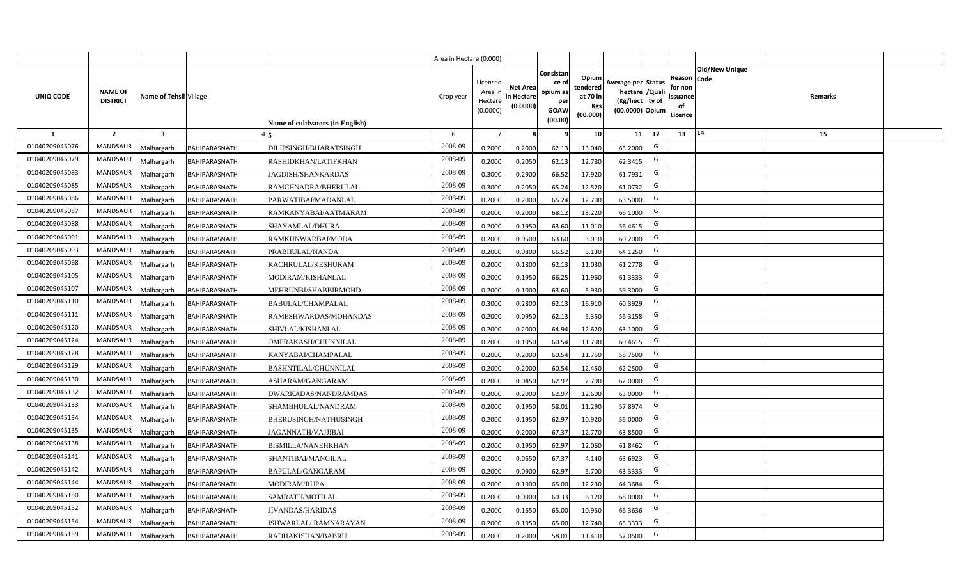|                |                                   |                         |                      |                                  | Area in Hectare (0.000) |                                           |                                           |                                                                 |                                                  |                                                                            |                                                    |                       |         |  |
|----------------|-----------------------------------|-------------------------|----------------------|----------------------------------|-------------------------|-------------------------------------------|-------------------------------------------|-----------------------------------------------------------------|--------------------------------------------------|----------------------------------------------------------------------------|----------------------------------------------------|-----------------------|---------|--|
| UNIQ CODE      | <b>NAME OF</b><br><b>DISTRICT</b> | Name of Tehsil Village  |                      | Name of cultivators (in English) | Crop year               | Licensed<br>Area i<br>Hectare<br>(0.0000) | <b>Net Area</b><br>in Hectare<br>(0.0000) | Consistan<br>ce of<br>opium as<br>per<br><b>GOAW</b><br>(00.00) | Opium<br>tendered<br>at 70 in<br>Kgs<br>(00.000) | Average per Status<br>hectare / Quali<br>(Kg/hect ty of<br>(00.0000) Opium | Reason Code<br>for non<br>ssuance<br>of<br>Licence | <b>Old/New Unique</b> | Remarks |  |
| $\mathbf{1}$   | $\overline{2}$                    | $\overline{\mathbf{3}}$ |                      |                                  | 6                       | $\overline{7}$                            | 8                                         | 9                                                               | 10 <sup>1</sup>                                  | 11<br>12                                                                   | 13                                                 | 14                    | 15      |  |
| 01040209045076 | MANDSAUR                          | Malhargarh              | <b>BAHIPARASNATH</b> | DILIPSINGH/BHARATSINGH           | 2008-09                 | 0.2000                                    | 0.2000                                    | 62.13                                                           | 13.040                                           | G<br>65.2000                                                               |                                                    |                       |         |  |
| 01040209045079 | <b>MANDSAUR</b>                   | <b>Aalhargarh</b>       | <b>BAHIPARASNATH</b> | RASHIDKHAN/LATIFKHAN             | 2008-09                 | 0.2000                                    | 0.2050                                    | 62.13                                                           | 12.780                                           | G<br>62.3415                                                               |                                                    |                       |         |  |
| 01040209045083 | MANDSAUR                          | Malhargarh              | <b>BAHIPARASNATH</b> | <b>JAGDISH/SHANKARDAS</b>        | 2008-09                 | 0.3000                                    | 0.2900                                    | 66.52                                                           | 17.920                                           | G<br>61.7931                                                               |                                                    |                       |         |  |
| 01040209045085 | <b>MANDSAUR</b>                   | Vlalhargarh             | <b>BAHIPARASNATH</b> | RAMCHNADRA/BHERULAL              | 2008-09                 | 0.3000                                    | 0.2050                                    | 65.24                                                           | 12.520                                           | G<br>61.0732                                                               |                                                    |                       |         |  |
| 01040209045086 | <b>MANDSAUR</b>                   | Malhargarh              | BAHIPARASNATH        | PARWATIBAI/MADANLAL              | 2008-09                 | 0.2000                                    | 0.2000                                    | 65.24                                                           | 12.700                                           | G<br>63.5000                                                               |                                                    |                       |         |  |
| 01040209045087 | <b>MANDSAUR</b>                   | Malhargarh              | <b>BAHIPARASNATH</b> | RAMKANYABAI/AATMARAM             | 2008-09                 | 0.2000                                    | 0.2000                                    | 68.12                                                           | 13.220                                           | G<br>66.1000                                                               |                                                    |                       |         |  |
| 01040209045088 | <b>MANDSAUR</b>                   | Malhargarh              | BAHIPARASNATH        | SHAYAMLAL/DHURA                  | 2008-09                 | 0.2000                                    | 0.1950                                    | 63.60                                                           | 11.010                                           | G<br>56.4615                                                               |                                                    |                       |         |  |
| 01040209045091 | <b>MANDSAUR</b>                   | Malhargarh              | <b>BAHIPARASNATH</b> | RAMKUNWARBAI/MODA                | 2008-09                 | 0.2000                                    | 0.0500                                    | 63.60                                                           | 3.010                                            | G<br>60.2000                                                               |                                                    |                       |         |  |
| 01040209045093 | <b>MANDSAUR</b>                   | Malhargarh              | BAHIPARASNATH        | PRABHULAL/NANDA                  | 2008-09                 | 0.2000                                    | 0.0800                                    | 66.52                                                           | 5.130                                            | G<br>64.1250                                                               |                                                    |                       |         |  |
| 01040209045098 | <b>MANDSAUR</b>                   | Malhargarh              | BAHIPARASNATH        | KACHRULAL/KESHURAM               | 2008-09                 | 0.2000                                    | 0.1800                                    | 62.13                                                           | 11.030                                           | G<br>61.2778                                                               |                                                    |                       |         |  |
| 01040209045105 | MANDSAUR                          | Malhargarh              | BAHIPARASNATH        | MODIRAM/KISHANLAL                | 2008-09                 | 0.2000                                    | 0.1950                                    | 66.25                                                           | 11.960                                           | G<br>61.3333                                                               |                                                    |                       |         |  |
| 01040209045107 | <b>MANDSAUR</b>                   | Malhargarh              | BAHIPARASNATH        | MEHRUNBI/SHABBIRMOHD.            | 2008-09                 | 0.2000                                    | 0.1000                                    | 63.60                                                           | 5.930                                            | G<br>59.3000                                                               |                                                    |                       |         |  |
| 01040209045110 | MANDSAUR                          | Malhargarh              | <b>BAHIPARASNATH</b> | BABULAL/CHAMPALAL                | 2008-09                 | 0.3000                                    | 0.2800                                    | 62.13                                                           | 16.910                                           | G<br>60.3929                                                               |                                                    |                       |         |  |
| 01040209045111 | <b>MANDSAUR</b>                   | Malhargarh              | BAHIPARASNATH        | RAMESHWARDAS/MOHANDAS            | 2008-09                 | 0.2000                                    | 0.0950                                    | 62.13                                                           | 5.350                                            | G<br>56.3158                                                               |                                                    |                       |         |  |
| 01040209045120 | <b>MANDSAUR</b>                   | Malhargarh              | BAHIPARASNATH        | SHIVLAL/KISHANLAL                | 2008-09                 | 0.2000                                    | 0.2000                                    | 64.94                                                           | 12.620                                           | G<br>63.1000                                                               |                                                    |                       |         |  |
| 01040209045124 | <b>MANDSAUR</b>                   | Malhargarh              | <b>BAHIPARASNATH</b> | OMPRAKASH/CHUNNILAL              | 2008-09                 | 0.2000                                    | 0.1950                                    | 60.54                                                           | 11.790                                           | G<br>60.4615                                                               |                                                    |                       |         |  |
| 01040209045128 | <b>MANDSAUR</b>                   | Malhargarh              | BAHIPARASNATH        | KANYABAI/CHAMPALAL               | 2008-09                 | 0.2000                                    | 0.2000                                    | 60.54                                                           | 11.750                                           | G<br>58.7500                                                               |                                                    |                       |         |  |
| 01040209045129 | <b>MANDSAUR</b>                   | Malhargarh              | BAHIPARASNATH        | BASHNTILAL/CHUNNILAL             | 2008-09                 | 0.2000                                    | 0.2000                                    | 60.54                                                           | 12.450                                           | G<br>62.2500                                                               |                                                    |                       |         |  |
| 01040209045130 | <b>MANDSAUR</b>                   | Malhargarh              | <b>BAHIPARASNATH</b> | ASHARAM/GANGARAM                 | 2008-09                 | 0.2000                                    | 0.0450                                    | 62.97                                                           | 2.790                                            | G<br>62.0000                                                               |                                                    |                       |         |  |
| 01040209045132 | MANDSAUR                          | Malhargarh              | BAHIPARASNATH        | DWARKADAS/NANDRAMDAS             | 2008-09                 | 0.2000                                    | 0.2000                                    | 62.97                                                           | 12.600                                           | G<br>63.0000                                                               |                                                    |                       |         |  |
| 01040209045133 | MANDSAUR                          | Malhargarh              | <b>BAHIPARASNATH</b> | SHAMBHULAL/NANDRAM               | 2008-09                 | 0.2000                                    | 0.1950                                    | 58.01                                                           | 11.290                                           | G<br>57.8974                                                               |                                                    |                       |         |  |
| 01040209045134 | MANDSAUR                          | Malhargarh              | <b>BAHIPARASNATH</b> | BHERUSINGH/NATHUSINGH            | 2008-09                 | 0.2000                                    | 0.1950                                    | 62.97                                                           | 10.920                                           | G<br>56.0000                                                               |                                                    |                       |         |  |
| 01040209045135 | <b>MANDSAUR</b>                   | Malhargarh              | BAHIPARASNATH        | JAGANNATH/VAJJIBAI               | 2008-09                 | 0.2000                                    | 0.2000                                    | 67.37                                                           | 12.770                                           | G<br>63.8500                                                               |                                                    |                       |         |  |
| 01040209045138 | MANDSAUR                          | Malhargarh              | BAHIPARASNATH        | BISMILLA/NANEHKHAN               | 2008-09                 | 0.2000                                    | 0.1950                                    | 62.97                                                           | 12.060                                           | G<br>61.8462                                                               |                                                    |                       |         |  |
| 01040209045141 | <b>MANDSAUR</b>                   | Malhargarh              | BAHIPARASNATH        | SHANTIBAI/MANGILAL               | 2008-09                 | 0.2000                                    | 0.0650                                    | 67.37                                                           | 4.140                                            | G<br>63.6923                                                               |                                                    |                       |         |  |
| 01040209045142 | MANDSAUR                          | Malhargarh              | <b>BAHIPARASNATH</b> | BAPULAL/GANGARAM                 | 2008-09                 | 0.2000                                    | 0.0900                                    | 62.97                                                           | 5.700                                            | G<br>63.3333                                                               |                                                    |                       |         |  |
| 01040209045144 | MANDSAUR                          | Malhargarh              | BAHIPARASNATH        | MODIRAM/RUPA                     | 2008-09                 | 0.2000                                    | 0.1900                                    | 65.00                                                           | 12.230                                           | G<br>64.3684                                                               |                                                    |                       |         |  |
| 01040209045150 | MANDSAUR                          | Malhargarh              | <b>BAHIPARASNATH</b> | SAMRATH/MOTILAL                  | 2008-09                 | 0.2000                                    | 0.0900                                    | 69.33                                                           | 6.120                                            | G<br>68.0000                                                               |                                                    |                       |         |  |
| 01040209045152 | MANDSAUR                          | Malhargarh              | BAHIPARASNATH        | <b>JIVANDAS/HARIDAS</b>          | 2008-09                 | 0.2000                                    | 0.1650                                    | 65.00                                                           | 10.950                                           | G<br>66.3636                                                               |                                                    |                       |         |  |
| 01040209045154 | MANDSAUR                          | Malhargarh              | BAHIPARASNATH        | ISHWARLAL/ RAMNARAYAN            | 2008-09                 | 0.2000                                    | 0.1950                                    | 65.00                                                           | 12.740                                           | G<br>65.3333                                                               |                                                    |                       |         |  |
| 01040209045159 | MANDSAUR                          | Malhargarh              | <b>BAHIPARASNATH</b> | RADHAKISHAN/BABRU                | 2008-09                 | 0.2000                                    | 0.2000                                    | 58.01                                                           | 11.410                                           | G<br>57.0500                                                               |                                                    |                       |         |  |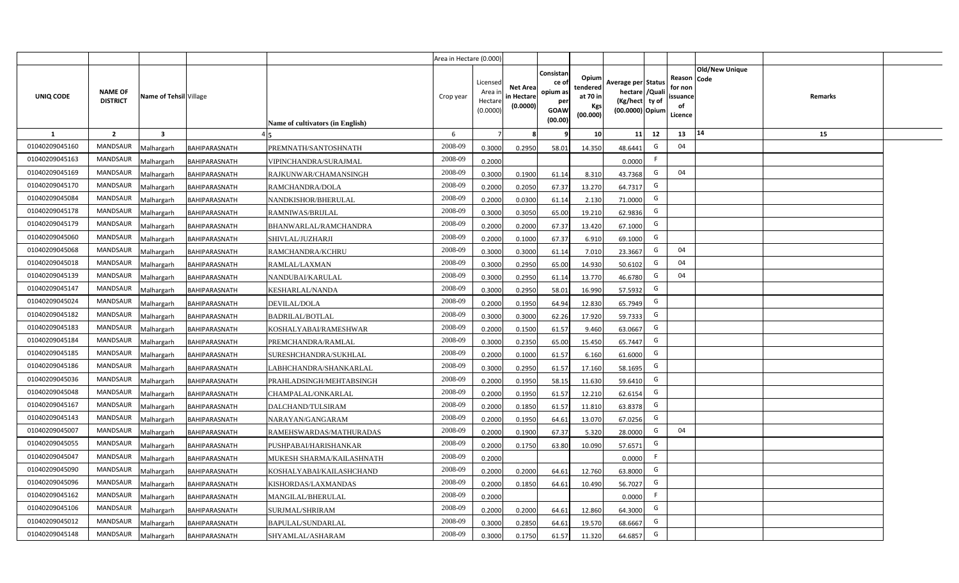|                |                                   |                         |                      |                                  | Area in Hectare (0.000) |                                            |                                           |                                                         |                                                         |                                                                            |    |                                                     |                       |         |  |
|----------------|-----------------------------------|-------------------------|----------------------|----------------------------------|-------------------------|--------------------------------------------|-------------------------------------------|---------------------------------------------------------|---------------------------------------------------------|----------------------------------------------------------------------------|----|-----------------------------------------------------|-----------------------|---------|--|
| UNIQ CODE      | <b>NAME OF</b><br><b>DISTRICT</b> | Name of Tehsil Village  |                      | Name of cultivators (in English) | Crop year               | Licensed<br>Area ir<br>Hectare<br>(0.0000) | <b>Net Area</b><br>in Hectare<br>(0.0000) | Consistar<br>ce o<br>opium as<br>per<br>GOAW<br>(00.00) | Opium<br>tendered<br>at 70 in<br><b>Kgs</b><br>(00.000) | Average per Status<br>hectare / Quali<br>(Kg/hect ty of<br>(00.0000) Opium |    | Reason Code<br>for non<br>issuance<br>of<br>Licence | <b>Old/New Unique</b> | Remarks |  |
| 1              | $\overline{2}$                    | $\overline{\mathbf{3}}$ |                      |                                  | 6                       | 7                                          |                                           |                                                         | 10                                                      | 11                                                                         | 12 | 13                                                  | 14                    | 15      |  |
| 01040209045160 | MANDSAUR                          | <b>Aalhargarh</b>       | <b>BAHIPARASNATH</b> | PREMNATH/SANTOSHNATH             | 2008-09                 | 0.3000                                     | 0.2950                                    | 58.01                                                   | 14.350                                                  | 48.6441                                                                    | G  | 04                                                  |                       |         |  |
| 01040209045163 | <b>MANDSAUR</b>                   | <b>Malhargarh</b>       | BAHIPARASNATH        | VIPINCHANDRA/SURAJMAL            | 2008-09                 | 0.2000                                     |                                           |                                                         |                                                         | 0.0000                                                                     | F. |                                                     |                       |         |  |
| 01040209045169 | <b>MANDSAUR</b>                   | <b>Malhargarh</b>       | BAHIPARASNATH        | RAJKUNWAR/CHAMANSINGH            | 2008-09                 | 0.3000                                     | 0.1900                                    | 61.14                                                   | 8.310                                                   | 43.7368                                                                    | G  | 04                                                  |                       |         |  |
| 01040209045170 | <b>MANDSAUR</b>                   | <b>Malhargarh</b>       | BAHIPARASNATH        | RAMCHANDRA/DOLA                  | 2008-09                 | 0.2000                                     | 0.2050                                    | 67.37                                                   | 13.270                                                  | 64.7317                                                                    | G  |                                                     |                       |         |  |
| 01040209045084 | <b>MANDSAUR</b>                   | <b>Malhargarh</b>       | BAHIPARASNATH        | NANDKISHOR/BHERULAL              | 2008-09                 | 0.2000                                     | 0.0300                                    | 61.14                                                   | 2.130                                                   | 71.0000                                                                    | G  |                                                     |                       |         |  |
| 01040209045178 | <b>MANDSAUR</b>                   | <b>Malhargarh</b>       | BAHIPARASNATH        | RAMNIWAS/BRIJLAL                 | 2008-09                 | 0.3000                                     | 0.3050                                    | 65.00                                                   | 19.210                                                  | 62.9836                                                                    | G  |                                                     |                       |         |  |
| 01040209045179 | <b>MANDSAUR</b>                   | <b>Malhargarh</b>       | BAHIPARASNATH        | BHANWARLAL/RAMCHANDRA            | 2008-09                 | 0.2000                                     | 0.2000                                    | 67.37                                                   | 13.420                                                  | 67.1000                                                                    | G  |                                                     |                       |         |  |
| 01040209045060 | <b>MANDSAUR</b>                   | <b>Malhargarh</b>       | BAHIPARASNATH        | SHIVLAL/JUZHARJI                 | 2008-09                 | 0.2000                                     | 0.1000                                    | 67.37                                                   | 6.910                                                   | 69.1000                                                                    | G  |                                                     |                       |         |  |
| 01040209045068 | <b>MANDSAUR</b>                   | <b>Malhargarh</b>       | BAHIPARASNATH        | RAMCHANDRA/KCHRU                 | 2008-09                 | 0.3000                                     | 0.3000                                    | 61.14                                                   | 7.010                                                   | 23.3667                                                                    | G  | 04                                                  |                       |         |  |
| 01040209045018 | <b>MANDSAUR</b>                   | <b>Malhargarh</b>       | BAHIPARASNATH        | RAMLAL/LAXMAN                    | 2008-09                 | 0.3000                                     | 0.2950                                    | 65.00                                                   | 14.930                                                  | 50.6102                                                                    | G  | 04                                                  |                       |         |  |
| 01040209045139 | <b>MANDSAUR</b>                   | <b>Malhargarh</b>       | BAHIPARASNATH        | NANDUBAI/KARULAL                 | 2008-09                 | 0.3000                                     | 0.2950                                    | 61.14                                                   | 13.770                                                  | 46.6780                                                                    | G  | 04                                                  |                       |         |  |
| 01040209045147 | <b>MANDSAUR</b>                   | <b>Malhargarh</b>       | BAHIPARASNATH        | <b>KESHARLAL/NANDA</b>           | 2008-09                 | 0.3000                                     | 0.2950                                    | 58.01                                                   | 16.990                                                  | 57.5932                                                                    | G  |                                                     |                       |         |  |
| 01040209045024 | <b>MANDSAUR</b>                   | <b>Malhargarh</b>       | BAHIPARASNATH        | DEVILAL/DOLA                     | 2008-09                 | 0.2000                                     | 0.1950                                    | 64.94                                                   | 12.830                                                  | 65.7949                                                                    | G  |                                                     |                       |         |  |
| 01040209045182 | <b>MANDSAUR</b>                   | <b>Malhargarh</b>       | BAHIPARASNATH        | <b>BADRILAL/BOTLAL</b>           | 2008-09                 | 0.3000                                     | 0.3000                                    | 62.26                                                   | 17.920                                                  | 59.7333                                                                    | G  |                                                     |                       |         |  |
| 01040209045183 | <b>MANDSAUR</b>                   | <b>Malhargarh</b>       | BAHIPARASNATH        | KOSHALYABAI/RAMESHWAR            | 2008-09                 | 0.2000                                     | 0.1500                                    | 61.57                                                   | 9.460                                                   | 63.0667                                                                    | G  |                                                     |                       |         |  |
| 01040209045184 | <b>MANDSAUR</b>                   | <b>Malhargarh</b>       | BAHIPARASNATH        | PREMCHANDRA/RAMLAL               | 2008-09                 | 0.3000                                     | 0.2350                                    | 65.00                                                   | 15.450                                                  | 65.7447                                                                    | G  |                                                     |                       |         |  |
| 01040209045185 | <b>MANDSAUR</b>                   | <b>Malhargarh</b>       | BAHIPARASNATH        | SURESHCHANDRA/SUKHLAL            | 2008-09                 | 0.2000                                     | 0.1000                                    | 61.57                                                   | 6.160                                                   | 61.6000                                                                    | G  |                                                     |                       |         |  |
| 01040209045186 | <b>MANDSAUR</b>                   | <b>Malhargarh</b>       | BAHIPARASNATH        | LABHCHANDRA/SHANKARLAL           | 2008-09                 | 0.3000                                     | 0.2950                                    | 61.57                                                   | 17.160                                                  | 58.1695                                                                    | G  |                                                     |                       |         |  |
| 01040209045036 | <b>MANDSAUR</b>                   | <b>Malhargarh</b>       | BAHIPARASNATH        | PRAHLADSINGH/MEHTABSINGH         | 2008-09                 | 0.2000                                     | 0.1950                                    | 58.15                                                   | 11.630                                                  | 59.641                                                                     | G  |                                                     |                       |         |  |
| 01040209045048 | <b>MANDSAUR</b>                   | Malhargarh              | BAHIPARASNATH        | CHAMPALAL/ONKARLAL               | 2008-09                 | 0.2000                                     | 0.1950                                    | 61.57                                                   | 12.210                                                  | 62.6154                                                                    | G  |                                                     |                       |         |  |
| 01040209045167 | <b>MANDSAUR</b>                   | <b>Malhargarh</b>       | BAHIPARASNATH        | DALCHAND/TULSIRAM                | 2008-09                 | 0.2000                                     | 0.1850                                    | 61.57                                                   | 11.810                                                  | 63.8378                                                                    | G  |                                                     |                       |         |  |
| 01040209045143 | <b>MANDSAUR</b>                   | Malhargarh              | BAHIPARASNATH        | NARAYAN/GANGARAM                 | 2008-09                 | 0.2000                                     | 0.1950                                    | 64.61                                                   | 13.070                                                  | 67.0256                                                                    | G  |                                                     |                       |         |  |
| 01040209045007 | <b>MANDSAUR</b>                   | <b>Aalhargarh</b>       | BAHIPARASNATH        | RAMEHSWARDAS/MATHURADAS          | 2008-09                 | 0.2000                                     | 0.1900                                    | 67.37                                                   | 5.320                                                   | 28.0000                                                                    | G  | 04                                                  |                       |         |  |
| 01040209045055 | <b>MANDSAUR</b>                   | <b>Malhargarh</b>       | BAHIPARASNATH        | PUSHPABAI/HARISHANKAR            | 2008-09                 | 0.2000                                     | 0.1750                                    | 63.80                                                   | 10.090                                                  | 57.6571                                                                    | G  |                                                     |                       |         |  |
| 01040209045047 | <b>MANDSAUR</b>                   | Malhargarh              | BAHIPARASNATH        | MUKESH SHARMA/KAILASHNATH        | 2008-09                 | 0.2000                                     |                                           |                                                         |                                                         | 0.0000                                                                     | F. |                                                     |                       |         |  |
| 01040209045090 | <b>MANDSAUR</b>                   | <b>Malhargarh</b>       | BAHIPARASNATH        | KOSHALYABAI/KAILASHCHAND         | 2008-09                 | 0.2000                                     | 0.2000                                    | 64.61                                                   | 12.760                                                  | 63.8000                                                                    | G  |                                                     |                       |         |  |
| 01040209045096 | MANDSAUR                          | <b>Malhargarh</b>       | BAHIPARASNATH        | KISHORDAS/LAXMANDAS              | 2008-09                 | 0.2000                                     | 0.1850                                    | 64.61                                                   | 10.490                                                  | 56.7027                                                                    | G  |                                                     |                       |         |  |
| 01040209045162 | MANDSAUR                          | <b>Malhargarh</b>       | BAHIPARASNATH        | MANGILAL/BHERULAL                | 2008-09                 | 0.2000                                     |                                           |                                                         |                                                         | 0.0000                                                                     | -F |                                                     |                       |         |  |
| 01040209045106 | <b>MANDSAUR</b>                   | <b>Malhargarh</b>       | BAHIPARASNATH        | SURJMAL/SHRIRAM                  | 2008-09                 | 0.2000                                     | 0.2000                                    | 64.61                                                   | 12.860                                                  | 64.3000                                                                    | G  |                                                     |                       |         |  |
| 01040209045012 | <b>MANDSAUR</b>                   | <b>Malhargarh</b>       | BAHIPARASNATH        | BAPULAL/SUNDARLAL                | 2008-09                 | 0.3000                                     | 0.2850                                    | 64.61                                                   | 19.570                                                  | 68.6667                                                                    | G  |                                                     |                       |         |  |
| 01040209045148 | <b>MANDSAUR</b>                   | Malhargarh              | BAHIPARASNATH        | SHYAMLAL/ASHARAM                 | 2008-09                 | 0.3000                                     | 0.1750                                    | 61.57                                                   | 11.320                                                  | 64.6857                                                                    | G  |                                                     |                       |         |  |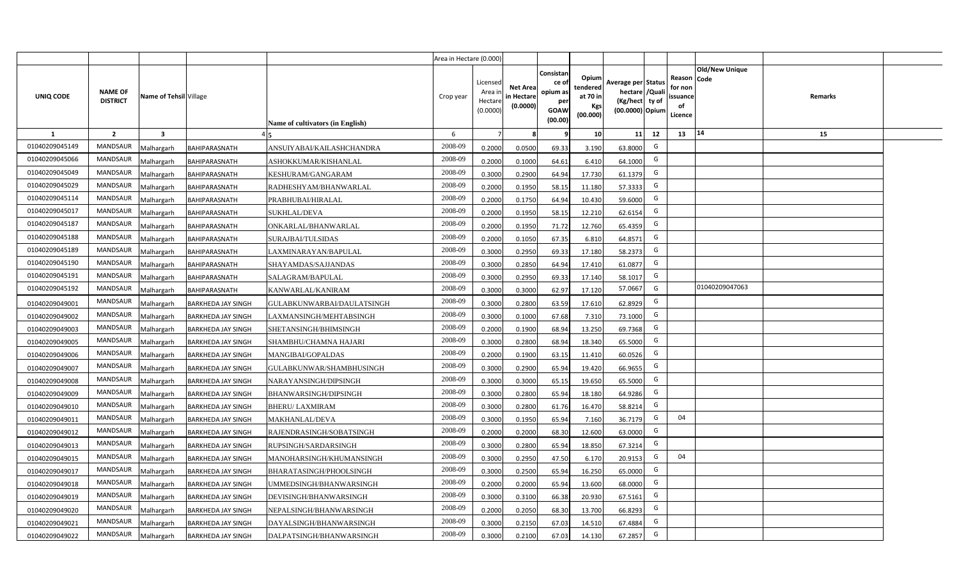|                |                                   |                         |                           |                                  | Area in Hectare (0.000) |                                           |                                           |                                                                 |                                                  |                                                                           |                                                    |                       |         |  |
|----------------|-----------------------------------|-------------------------|---------------------------|----------------------------------|-------------------------|-------------------------------------------|-------------------------------------------|-----------------------------------------------------------------|--------------------------------------------------|---------------------------------------------------------------------------|----------------------------------------------------|-----------------------|---------|--|
| UNIQ CODE      | <b>NAME OF</b><br><b>DISTRICT</b> | Name of Tehsil Village  |                           | Name of cultivators (in English) | Crop year               | Licensed<br>Area i<br>Hectare<br>(0.0000) | <b>Net Area</b><br>in Hectare<br>(0.0000) | Consistan<br>ce of<br>opium as<br>per<br><b>GOAW</b><br>(00.00) | Opium<br>tendered<br>at 70 in<br>Kgs<br>(00.000) | Average per Status<br>hectare /Quali<br>(Kg/hect ty of<br>(00.0000) Opium | Reason Code<br>for non<br>ssuance<br>of<br>Licence | <b>Old/New Unique</b> | Remarks |  |
| $\mathbf{1}$   | $\overline{2}$                    | $\overline{\mathbf{3}}$ |                           |                                  | 6                       | $\overline{7}$                            | 8                                         | 9                                                               | 10 <sup>1</sup>                                  | 11<br>12                                                                  | 13                                                 | 14                    | 15      |  |
| 01040209045149 | MANDSAUR                          | Malhargarh              | <b>BAHIPARASNATH</b>      | ANSUIYABAI/KAILASHCHANDRA        | 2008-09                 | 0.2000                                    | 0.0500                                    | 69.33                                                           | 3.190                                            | G<br>63.8000                                                              |                                                    |                       |         |  |
| 01040209045066 | <b>MANDSAUR</b>                   | <b>Aalhargarh</b>       | BAHIPARASNATH             | ASHOKKUMAR/KISHANLAL             | 2008-09                 | 0.2000                                    | 0.1000                                    | 64.61                                                           | 6.410                                            | G<br>64.1000                                                              |                                                    |                       |         |  |
| 01040209045049 | MANDSAUR                          | Malhargarh              | BAHIPARASNATH             | KESHURAM/GANGARAM                | 2008-09                 | 0.3000                                    | 0.2900                                    | 64.94                                                           | 17.730                                           | G<br>61.1379                                                              |                                                    |                       |         |  |
| 01040209045029 | <b>MANDSAUR</b>                   | Malhargarh              | BAHIPARASNATH             | RADHESHYAM/BHANWARLAL            | 2008-09                 | 0.2000                                    | 0.1950                                    | 58.15                                                           | 11.180                                           | G<br>57.3333                                                              |                                                    |                       |         |  |
| 01040209045114 | MANDSAUR                          | Malhargarh              | BAHIPARASNATH             | PRABHUBAI/HIRALAL                | 2008-09                 | 0.2000                                    | 0.1750                                    | 64.94                                                           | 10.430                                           | G<br>59.6000                                                              |                                                    |                       |         |  |
| 01040209045017 | MANDSAUR                          | Malhargarh              | BAHIPARASNATH             | <b>SUKHLAL/DEVA</b>              | 2008-09                 | 0.2000                                    | 0.1950                                    | 58.15                                                           | 12.210                                           | G<br>62.6154                                                              |                                                    |                       |         |  |
| 01040209045187 | <b>MANDSAUR</b>                   | Malhargarh              | BAHIPARASNATH             | ONKARLAL/BHANWARLAL              | 2008-09                 | 0.2000                                    | 0.1950                                    | 71.72                                                           | 12.760                                           | G<br>65.4359                                                              |                                                    |                       |         |  |
| 01040209045188 | <b>MANDSAUR</b>                   | Malhargarh              | BAHIPARASNATH             | SURAJBAI/TULSIDAS                | 2008-09                 | 0.2000                                    | 0.1050                                    | 67.35                                                           | 6.810                                            | G<br>64.8571                                                              |                                                    |                       |         |  |
| 01040209045189 | <b>MANDSAUR</b>                   | Malhargarh              | BAHIPARASNATH             | LAXMINARAYAN/BAPULAL             | 2008-09                 | 0.3000                                    | 0.2950                                    | 69.33                                                           | 17.180                                           | G<br>58.2373                                                              |                                                    |                       |         |  |
| 01040209045190 | <b>MANDSAUR</b>                   | Malhargarh              | BAHIPARASNATH             | SHAYAMDAS/SAJJANDAS              | 2008-09                 | 0.3000                                    | 0.2850                                    | 64.94                                                           | 17.410                                           | G<br>61.0877                                                              |                                                    |                       |         |  |
| 01040209045191 | MANDSAUR                          | Malhargarh              | <b>BAHIPARASNATH</b>      | SALAGRAM/BAPULAL                 | 2008-09                 | 0.3000                                    | 0.2950                                    | 69.33                                                           | 17.140                                           | G<br>58.1017                                                              |                                                    |                       |         |  |
| 01040209045192 | <b>MANDSAUR</b>                   | Malhargarh              | BAHIPARASNATH             | KANWARLAL/KANIRAM                | 2008-09                 | 0.3000                                    | 0.3000                                    | 62.97                                                           | 17.120                                           | 57.0667<br>G                                                              |                                                    | 01040209047063        |         |  |
| 01040209049001 | MANDSAUR                          | Malhargarh              | <b>BARKHEDA JAY SINGH</b> | GULABKUNWARBAI/DAULATSINGH       | 2008-09                 | 0.3000                                    | 0.2800                                    | 63.59                                                           | 17.610                                           | G<br>62.8929                                                              |                                                    |                       |         |  |
| 01040209049002 | <b>MANDSAUR</b>                   | Malhargarh              | <b>BARKHEDA JAY SINGH</b> | LAXMANSINGH/MEHTABSINGH          | 2008-09                 | 0.3000                                    | 0.1000                                    | 67.68                                                           | 7.310                                            | G<br>73.1000                                                              |                                                    |                       |         |  |
| 01040209049003 | <b>MANDSAUR</b>                   | Malhargarh              | <b>BARKHEDA JAY SINGH</b> | SHETANSINGH/BHIMSINGH            | 2008-09                 | 0.2000                                    | 0.1900                                    | 68.94                                                           | 13.250                                           | G<br>69.7368                                                              |                                                    |                       |         |  |
| 01040209049005 | MANDSAUR                          | Malhargarh              | <b>BARKHEDA JAY SINGH</b> | SHAMBHU/CHAMNA HAJARI            | 2008-09                 | 0.3000                                    | 0.2800                                    | 68.94                                                           | 18.340                                           | G<br>65.5000                                                              |                                                    |                       |         |  |
| 01040209049006 | <b>MANDSAUR</b>                   | Malhargarh              | <b>BARKHEDA JAY SINGH</b> | MANGIBAI/GOPALDAS                | 2008-09                 | 0.2000                                    | 0.1900                                    | 63.15                                                           | 11.410                                           | G<br>60.0526                                                              |                                                    |                       |         |  |
| 01040209049007 | <b>MANDSAUR</b>                   | Malhargarh              | <b>BARKHEDA JAY SINGH</b> | GULABKUNWAR/SHAMBHUSINGH         | 2008-09                 | 0.3000                                    | 0.2900                                    | 65.94                                                           | 19.420                                           | G<br>66.9655                                                              |                                                    |                       |         |  |
| 01040209049008 | <b>MANDSAUR</b>                   | Malhargarh              | <b>BARKHEDA JAY SINGH</b> | NARAYANSINGH/DIPSINGH            | 2008-09                 | 0.3000                                    | 0.3000                                    | 65.15                                                           | 19.650                                           | G<br>65.5000                                                              |                                                    |                       |         |  |
| 01040209049009 | <b>MANDSAUR</b>                   | Malhargarh              | <b>BARKHEDA JAY SINGH</b> | BHANWARSINGH/DIPSINGH            | 2008-09                 | 0.3000                                    | 0.2800                                    | 65.94                                                           | 18.180                                           | G<br>64.9286                                                              |                                                    |                       |         |  |
| 01040209049010 | MANDSAUR                          | Malhargarh              | <b>BARKHEDA JAY SINGH</b> | <b>BHERU/ LAXMIRAM</b>           | 2008-09                 | 0.3000                                    | 0.2800                                    | 61.76                                                           | 16.470                                           | G<br>58.8214                                                              |                                                    |                       |         |  |
| 01040209049011 | MANDSAUR                          | Malhargarh              | <b>BARKHEDA JAY SINGH</b> | <b>MAKHANLAL/DEVA</b>            | 2008-09                 | 0.3000                                    | 0.1950                                    | 65.94                                                           | 7.160                                            | G<br>36.7179                                                              | 04                                                 |                       |         |  |
| 01040209049012 | <b>MANDSAUR</b>                   | Malhargarh              | <b>BARKHEDA JAY SINGH</b> | RAJENDRASINGH/SOBATSINGH         | 2008-09                 | 0.2000                                    | 0.2000                                    | 68.30                                                           | 12.600                                           | G<br>63.0000                                                              |                                                    |                       |         |  |
| 01040209049013 | MANDSAUR                          | Malhargarh              | <b>BARKHEDA JAY SINGH</b> | RUPSINGH/SARDARSINGH             | 2008-09                 | 0.3000                                    | 0.2800                                    | 65.94                                                           | 18.850                                           | G<br>67.3214                                                              |                                                    |                       |         |  |
| 01040209049015 | MANDSAUR                          | Malhargarh              | <b>BARKHEDA JAY SINGH</b> | MANOHARSINGH/KHUMANSINGH         | 2008-09                 | 0.3000                                    | 0.2950                                    | 47.50                                                           | 6.170                                            | G<br>20.9153                                                              | 04                                                 |                       |         |  |
| 01040209049017 | MANDSAUR                          | Malhargarh              | <b>BARKHEDA JAY SINGH</b> | BHARATASINGH/PHOOLSINGH          | 2008-09                 | 0.3000                                    | 0.2500                                    | 65.94                                                           | 16.250                                           | G<br>65.0000                                                              |                                                    |                       |         |  |
| 01040209049018 | MANDSAUR                          | Malhargarh              | <b>BARKHEDA JAY SINGH</b> | UMMEDSINGH/BHANWARSINGH          | 2008-09                 | 0.2000                                    | 0.2000                                    | 65.94                                                           | 13.600                                           | G<br>68.0000                                                              |                                                    |                       |         |  |
| 01040209049019 | MANDSAUR                          | Malhargarh              | <b>BARKHEDA JAY SINGH</b> | DEVISINGH/BHANWARSINGH           | 2008-09                 | 0.3000                                    | 0.3100                                    | 66.38                                                           | 20.930                                           | G<br>67.5161                                                              |                                                    |                       |         |  |
| 01040209049020 | MANDSAUR                          | Malhargarh              | <b>BARKHEDA JAY SINGH</b> | NEPALSINGH/BHANWARSINGH          | 2008-09                 | 0.2000                                    | 0.2050                                    | 68.30                                                           | 13.700                                           | G<br>66.8293                                                              |                                                    |                       |         |  |
| 01040209049021 | MANDSAUR                          | Malhargarh              | <b>BARKHEDA JAY SINGH</b> | DAYALSINGH/BHANWARSINGH          | 2008-09                 | 0.3000                                    | 0.2150                                    | 67.03                                                           | 14.510                                           | G<br>67.4884                                                              |                                                    |                       |         |  |
| 01040209049022 | MANDSAUR                          | Malhargarh              | <b>BARKHEDA JAY SINGH</b> | DALPATSINGH/BHANWARSINGH         | 2008-09                 | 0.3000                                    | 0.2100                                    | 67.03                                                           | 14.130                                           | G<br>67.2857                                                              |                                                    |                       |         |  |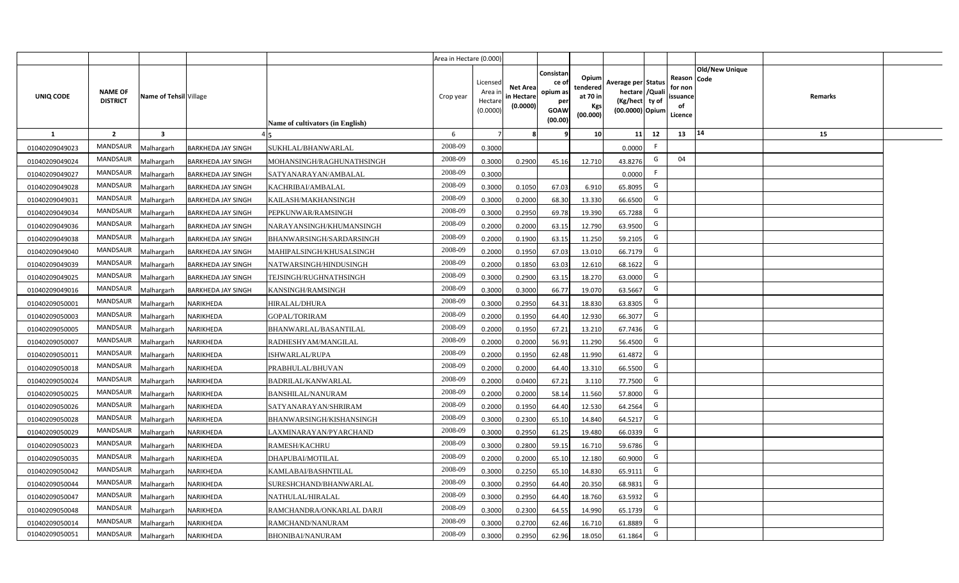|                |                                   |                         |                           |                                  | Area in Hectare (0.000) |                                           |                                           |                                                                 |                                                  |                                                                            |                                                    |                       |         |  |
|----------------|-----------------------------------|-------------------------|---------------------------|----------------------------------|-------------------------|-------------------------------------------|-------------------------------------------|-----------------------------------------------------------------|--------------------------------------------------|----------------------------------------------------------------------------|----------------------------------------------------|-----------------------|---------|--|
| UNIQ CODE      | <b>NAME OF</b><br><b>DISTRICT</b> | Name of Tehsil Village  |                           | Name of cultivators (in English) | Crop year               | Licensed<br>Area i<br>Hectare<br>(0.0000) | <b>Net Area</b><br>in Hectare<br>(0.0000) | Consistan<br>ce of<br>opium as<br>per<br><b>GOAW</b><br>(00.00) | Opium<br>tendered<br>at 70 in<br>Kgs<br>(00.000) | Average per Status<br>hectare / Quali<br>(Kg/hect ty of<br>(00.0000) Opium | Reason Code<br>for non<br>ssuance<br>of<br>Licence | <b>Old/New Unique</b> | Remarks |  |
| $\mathbf{1}$   | $\overline{2}$                    | $\overline{\mathbf{3}}$ |                           |                                  | 6                       | $\overline{7}$                            |                                           | 9                                                               | 10 <sup>1</sup>                                  | 11<br>12                                                                   | 13                                                 | 14                    | 15      |  |
| 01040209049023 | MANDSAUR                          | Malhargarh              | <b>BARKHEDA JAY SINGH</b> | SUKHLAL/BHANWARLAL               | 2008-09                 | 0.3000                                    |                                           |                                                                 |                                                  | -F.<br>0.0000                                                              |                                                    |                       |         |  |
| 01040209049024 | MANDSAUR                          | <b>Aalhargarh</b>       | <b>BARKHEDA JAY SINGH</b> | MOHANSINGH/RAGHUNATHSINGH        | 2008-09                 | 0.3000                                    | 0.2900                                    | 45.16                                                           | 12.710                                           | G<br>43.8276                                                               | 04                                                 |                       |         |  |
| 01040209049027 | MANDSAUR                          | Malhargarh              | <b>BARKHEDA JAY SINGH</b> | SATYANARAYAN/AMBALAL             | 2008-09                 | 0.3000                                    |                                           |                                                                 |                                                  | F.<br>0.0000                                                               |                                                    |                       |         |  |
| 01040209049028 | <b>MANDSAUR</b>                   | Malhargarh              | <b>BARKHEDA JAY SINGH</b> | KACHRIBAI/AMBALAL                | 2008-09                 | 0.3000                                    | 0.1050                                    | 67.03                                                           | 6.910                                            | G<br>65.8095                                                               |                                                    |                       |         |  |
| 01040209049031 | MANDSAUR                          | Malhargarh              | <b>BARKHEDA JAY SINGH</b> | KAILASH/MAKHANSINGH              | 2008-09                 | 0.3000                                    | 0.2000                                    | 68.30                                                           | 13.330                                           | G<br>66.6500                                                               |                                                    |                       |         |  |
| 01040209049034 | MANDSAUR                          | Malhargarh              | <b>BARKHEDA JAY SINGH</b> | PEPKUNWAR/RAMSINGH               | 2008-09                 | 0.3000                                    | 0.2950                                    | 69.78                                                           | 19.390                                           | G<br>65.7288                                                               |                                                    |                       |         |  |
| 01040209049036 | MANDSAUR                          | Malhargarh              | <b>BARKHEDA JAY SINGH</b> | NARAYANSINGH/KHUMANSINGH         | 2008-09                 | 0.2000                                    | 0.2000                                    | 63.15                                                           | 12.790                                           | G<br>63.9500                                                               |                                                    |                       |         |  |
| 01040209049038 | <b>MANDSAUR</b>                   | Malhargarh              | <b>BARKHEDA JAY SINGH</b> | BHANWARSINGH/SARDARSINGH         | 2008-09                 | 0.2000                                    | 0.1900                                    | 63.15                                                           | 11.250                                           | G<br>59.2105                                                               |                                                    |                       |         |  |
| 01040209049040 | <b>MANDSAUR</b>                   | Malhargarh              | <b>BARKHEDA JAY SINGH</b> | MAHIPALSINGH/KHUSALSINGH         | 2008-09                 | 0.2000                                    | 0.1950                                    | 67.03                                                           | 13.010                                           | G<br>66.7179                                                               |                                                    |                       |         |  |
| 01040209049039 | <b>MANDSAUR</b>                   | Malhargarh              | <b>BARKHEDA JAY SINGH</b> | NATWARSINGH/HINDUSINGH           | 2008-09                 | 0.2000                                    | 0.1850                                    | 63.03                                                           | 12.610                                           | G<br>68.1622                                                               |                                                    |                       |         |  |
| 01040209049025 | MANDSAUR                          | Malhargarh              | <b>BARKHEDA JAY SINGH</b> | TEJSINGH/RUGHNATHSINGH           | 2008-09                 | 0.3000                                    | 0.2900                                    | 63.15                                                           | 18.270                                           | G<br>63.0000                                                               |                                                    |                       |         |  |
| 01040209049016 | <b>MANDSAUR</b>                   | Malhargarh              | <b>BARKHEDA JAY SINGH</b> | KANSINGH/RAMSINGH                | 2008-09                 | 0.3000                                    | 0.3000                                    | 66.77                                                           | 19.070                                           | G<br>63.5667                                                               |                                                    |                       |         |  |
| 01040209050001 | MANDSAUR                          | Malhargarh              | <b>NARIKHEDA</b>          | <b>HIRALAL/DHURA</b>             | 2008-09                 | 0.3000                                    | 0.2950                                    | 64.31                                                           | 18.830                                           | G<br>63.8305                                                               |                                                    |                       |         |  |
| 01040209050003 | <b>MANDSAUR</b>                   | Malhargarh              | NARIKHEDA                 | <b>GOPAL/TORIRAM</b>             | 2008-09                 | 0.2000                                    | 0.1950                                    | 64.40                                                           | 12.930                                           | G<br>66.3077                                                               |                                                    |                       |         |  |
| 01040209050005 | <b>MANDSAUR</b>                   | Malhargarh              | NARIKHEDA                 | BHANWARLAL/BASANTILAL            | 2008-09                 | 0.2000                                    | 0.1950                                    | 67.21                                                           | 13.210                                           | G<br>67.7436                                                               |                                                    |                       |         |  |
| 01040209050007 | <b>MANDSAUR</b>                   | Malhargarh              | NARIKHEDA                 | RADHESHYAM/MANGILAL              | 2008-09                 | 0.2000                                    | 0.2000                                    | 56.91                                                           | 11.290                                           | G<br>56.4500                                                               |                                                    |                       |         |  |
| 01040209050011 | <b>MANDSAUR</b>                   | Malhargarh              | NARIKHEDA                 | ISHWARLAL/RUPA                   | 2008-09                 | 0.2000                                    | 0.1950                                    | 62.48                                                           | 11.990                                           | G<br>61.4872                                                               |                                                    |                       |         |  |
| 01040209050018 | <b>MANDSAUR</b>                   | Malhargarh              | NARIKHEDA                 | PRABHULAL/BHUVAN                 | 2008-09                 | 0.2000                                    | 0.2000                                    | 64.40                                                           | 13.310                                           | G<br>66.5500                                                               |                                                    |                       |         |  |
| 01040209050024 | <b>MANDSAUR</b>                   | Malhargarh              | NARIKHEDA                 | BADRILAL/KANWARLAL               | 2008-09                 | 0.2000                                    | 0.0400                                    | 67.21                                                           | 3.110                                            | G<br>77.7500                                                               |                                                    |                       |         |  |
| 01040209050025 | MANDSAUR                          | Malhargarh              | NARIKHEDA                 | <b>BANSHILAL/NANURAM</b>         | 2008-09                 | 0.2000                                    | 0.2000                                    | 58.14                                                           | 11.560                                           | G<br>57.8000                                                               |                                                    |                       |         |  |
| 01040209050026 | MANDSAUR                          | Malhargarh              | NARIKHEDA                 | SATYANARAYAN/SHRIRAM             | 2008-09                 | 0.2000                                    | 0.1950                                    | 64.40                                                           | 12.530                                           | G<br>64.2564                                                               |                                                    |                       |         |  |
| 01040209050028 | MANDSAUR                          | Malhargarh              | NARIKHEDA                 | BHANWARSINGH/KISHANSINGH         | 2008-09                 | 0.3000                                    | 0.2300                                    | 65.10                                                           | 14.840                                           | G<br>64.5217                                                               |                                                    |                       |         |  |
| 01040209050029 | <b>MANDSAUR</b>                   | Malhargarh              | NARIKHEDA                 | LAXMINARAYAN/PYARCHAND           | 2008-09                 | 0.3000                                    | 0.2950                                    | 61.25                                                           | 19.480                                           | G<br>66.0339                                                               |                                                    |                       |         |  |
| 01040209050023 | MANDSAUR                          | Malhargarh              | NARIKHEDA                 | <b>RAMESH/KACHRU</b>             | 2008-09                 | 0.3000                                    | 0.2800                                    | 59.15                                                           | 16.710                                           | G<br>59.6786                                                               |                                                    |                       |         |  |
| 01040209050035 | <b>MANDSAUR</b>                   | Malhargarh              | NARIKHEDA                 | DHAPUBAI/MOTILAL                 | 2008-09                 | 0.2000                                    | 0.2000                                    | 65.10                                                           | 12.180                                           | G<br>60.9000                                                               |                                                    |                       |         |  |
| 01040209050042 | MANDSAUR                          | Malhargarh              | NARIKHEDA                 | KAMLABAI/BASHNTILAL              | 2008-09                 | 0.3000                                    | 0.2250                                    | 65.10                                                           | 14.830                                           | G<br>65.9111                                                               |                                                    |                       |         |  |
| 01040209050044 | MANDSAUR                          | Malhargarh              | NARIKHEDA                 | SURESHCHAND/BHANWARLAL           | 2008-09                 | 0.3000                                    | 0.2950                                    | 64.40                                                           | 20.350                                           | G<br>68.9831                                                               |                                                    |                       |         |  |
| 01040209050047 | MANDSAUR                          | Malhargarh              | NARIKHEDA                 | NATHULAL/HIRALAL                 | 2008-09                 | 0.3000                                    | 0.2950                                    | 64.40                                                           | 18.760                                           | G<br>63.5932                                                               |                                                    |                       |         |  |
| 01040209050048 | MANDSAUR                          | Malhargarh              | NARIKHEDA                 | RAMCHANDRA/ONKARLAL DARJI        | 2008-09                 | 0.3000                                    | 0.2300                                    | 64.55                                                           | 14.990                                           | G<br>65.1739                                                               |                                                    |                       |         |  |
| 01040209050014 | MANDSAUR                          | Malhargarh              | NARIKHEDA                 | RAMCHAND/NANURAM                 | 2008-09                 | 0.3000                                    | 0.2700                                    | 62.46                                                           | 16.710                                           | G<br>61.8889                                                               |                                                    |                       |         |  |
| 01040209050051 | MANDSAUR                          | Malhargarh              | NARIKHEDA                 | BHONIBAI/NANURAM                 | 2008-09                 | 0.3000                                    | 0.2950                                    | 62.96                                                           | 18.050                                           | G<br>61.1864                                                               |                                                    |                       |         |  |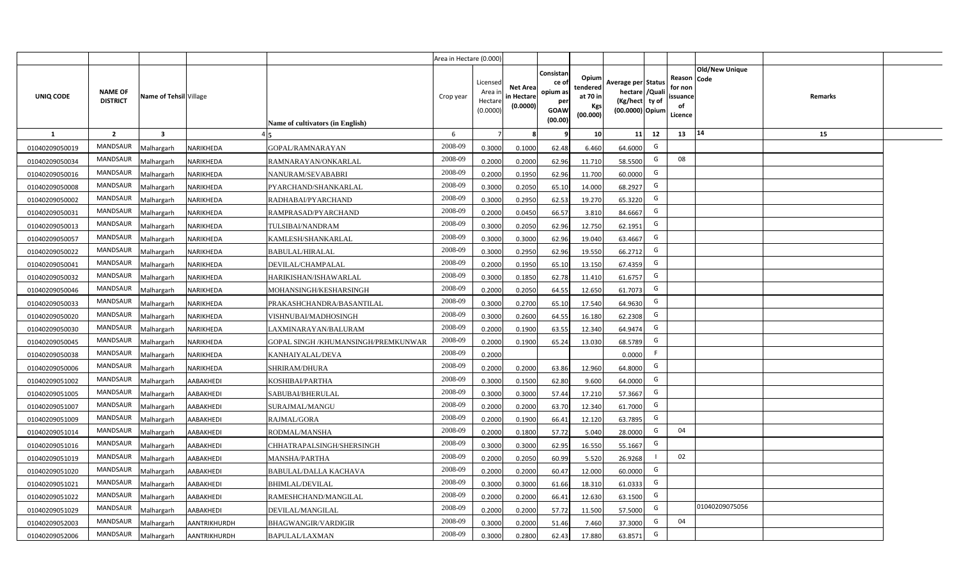|                |                                   |                         |                     |                                     | Area in Hectare (0.000) |                                           |                                           |                                                                 |                                                  |                                                                            |                                                    |                       |         |  |
|----------------|-----------------------------------|-------------------------|---------------------|-------------------------------------|-------------------------|-------------------------------------------|-------------------------------------------|-----------------------------------------------------------------|--------------------------------------------------|----------------------------------------------------------------------------|----------------------------------------------------|-----------------------|---------|--|
| UNIQ CODE      | <b>NAME OF</b><br><b>DISTRICT</b> | Name of Tehsil Village  |                     | Name of cultivators (in English)    | Crop year               | Licensed<br>Area i<br>Hectare<br>(0.0000) | <b>Net Area</b><br>in Hectare<br>(0.0000) | Consistan<br>ce of<br>opium as<br>per<br><b>GOAW</b><br>(00.00) | Opium<br>tendered<br>at 70 in<br>Kgs<br>(00.000) | Average per Status<br>hectare / Quali<br>(Kg/hect ty of<br>(00.0000) Opium | Reason Code<br>for non<br>ssuance<br>of<br>Licence | <b>Old/New Unique</b> | Remarks |  |
| $\mathbf{1}$   | $\overline{2}$                    | $\overline{\mathbf{3}}$ |                     |                                     | 6                       | $\overline{7}$                            | 8                                         | 9                                                               | 10 <sup>1</sup>                                  | 12<br>11                                                                   | 13                                                 | 14                    | 15      |  |
| 01040209050019 | MANDSAUR                          | Malhargarh              | <b>NARIKHEDA</b>    | GOPAL/RAMNARAYAN                    | 2008-09                 | 0.3000                                    | 0.1000                                    | 62.48                                                           | 6.460                                            | G<br>64.6000                                                               |                                                    |                       |         |  |
| 01040209050034 | MANDSAUR                          | <b>Aalhargarh</b>       | NARIKHEDA           | RAMNARAYAN/ONKARLAL                 | 2008-09                 | 0.2000                                    | 0.2000                                    | 62.96                                                           | 11.710                                           | G<br>58.5500                                                               | 08                                                 |                       |         |  |
| 01040209050016 | MANDSAUR                          | Malhargarh              | NARIKHEDA           | NANURAM/SEVABABRI                   | 2008-09                 | 0.2000                                    | 0.1950                                    | 62.96                                                           | 11.700                                           | G<br>60.0000                                                               |                                                    |                       |         |  |
| 01040209050008 | <b>MANDSAUR</b>                   | Malhargarh              | NARIKHEDA           | PYARCHAND/SHANKARLAL                | 2008-09                 | 0.3000                                    | 0.2050                                    | 65.10                                                           | 14.000                                           | G<br>68.2927                                                               |                                                    |                       |         |  |
| 01040209050002 | MANDSAUR                          | Malhargarh              | NARIKHEDA           | RADHABAI/PYARCHAND                  | 2008-09                 | 0.3000                                    | 0.2950                                    | 62.53                                                           | 19.270                                           | G<br>65.3220                                                               |                                                    |                       |         |  |
| 01040209050031 | MANDSAUR                          | Malhargarh              | NARIKHEDA           | RAMPRASAD/PYARCHAND                 | 2008-09                 | 0.2000                                    | 0.0450                                    | 66.57                                                           | 3.810                                            | G<br>84.6667                                                               |                                                    |                       |         |  |
| 01040209050013 | MANDSAUR                          | Malhargarh              | NARIKHEDA           | TULSIBAI/NANDRAM                    | 2008-09                 | 0.3000                                    | 0.2050                                    | 62.96                                                           | 12.750                                           | G<br>62.1951                                                               |                                                    |                       |         |  |
| 01040209050057 | MANDSAUR                          | Malhargarh              | NARIKHEDA           | KAMLESH/SHANKARLAL                  | 2008-09                 | 0.3000                                    | 0.3000                                    | 62.96                                                           | 19.040                                           | G<br>63.4667                                                               |                                                    |                       |         |  |
| 01040209050022 | MANDSAUR                          | Malhargarh              | NARIKHEDA           | <b>BABULAL/HIRALAL</b>              | 2008-09                 | 0.3000                                    | 0.2950                                    | 62.96                                                           | 19.550                                           | G<br>66.2712                                                               |                                                    |                       |         |  |
| 01040209050041 | <b>MANDSAUR</b>                   | Malhargarh              | NARIKHEDA           | DEVILAL/CHAMPALAL                   | 2008-09                 | 0.2000                                    | 0.1950                                    | 65.10                                                           | 13.150                                           | G<br>67.4359                                                               |                                                    |                       |         |  |
| 01040209050032 | MANDSAUR                          | Malhargarh              | NARIKHEDA           | HARIKISHAN/ISHAWARLAL               | 2008-09                 | 0.3000                                    | 0.1850                                    | 62.78                                                           | 11.410                                           | G<br>61.6757                                                               |                                                    |                       |         |  |
| 01040209050046 | MANDSAUR                          | Malhargarh              | NARIKHEDA           | MOHANSINGH/KESHARSINGH              | 2008-09                 | 0.2000                                    | 0.2050                                    | 64.55                                                           | 12.650                                           | G<br>61.7073                                                               |                                                    |                       |         |  |
| 01040209050033 | MANDSAUR                          | Malhargarh              | NARIKHEDA           | PRAKASHCHANDRA/BASANTILAL           | 2008-09                 | 0.3000                                    | 0.2700                                    | 65.10                                                           | 17.540                                           | G<br>64.9630                                                               |                                                    |                       |         |  |
| 01040209050020 | <b>MANDSAUR</b>                   | Malhargarh              | NARIKHEDA           | VISHNUBAI/MADHOSINGH                | 2008-09                 | 0.3000                                    | 0.2600                                    | 64.55                                                           | 16.180                                           | G<br>62.2308                                                               |                                                    |                       |         |  |
| 01040209050030 | <b>MANDSAUR</b>                   | Malhargarh              | NARIKHEDA           | LAXMINARAYAN/BALURAM                | 2008-09                 | 0.2000                                    | 0.1900                                    | 63.55                                                           | 12.340                                           | G<br>64.9474                                                               |                                                    |                       |         |  |
| 01040209050045 | <b>MANDSAUR</b>                   | Malhargarh              | NARIKHEDA           | GOPAL SINGH /KHUMANSINGH/PREMKUNWAR | 2008-09                 | 0.2000                                    | 0.1900                                    | 65.24                                                           | 13.030                                           | G<br>68.5789                                                               |                                                    |                       |         |  |
| 01040209050038 | <b>MANDSAUR</b>                   | Malhargarh              | NARIKHEDA           | KANHAIYALAL/DEVA                    | 2008-09                 | 0.2000                                    |                                           |                                                                 |                                                  | F<br>0.0000                                                                |                                                    |                       |         |  |
| 01040209050006 | <b>MANDSAUR</b>                   | Malhargarh              | NARIKHEDA           | SHRIRAM/DHURA                       | 2008-09                 | 0.2000                                    | 0.2000                                    | 63.86                                                           | 12.960                                           | G<br>64.8000                                                               |                                                    |                       |         |  |
| 01040209051002 | <b>MANDSAUR</b>                   | Malhargarh              | AABAKHEDI           | KOSHIBAI/PARTHA                     | 2008-09                 | 0.3000                                    | 0.1500                                    | 62.80                                                           | 9.600                                            | G<br>64.0000                                                               |                                                    |                       |         |  |
| 01040209051005 | MANDSAUR                          | Malhargarh              | AABAKHEDI           | SABUBAI/BHERULAL                    | 2008-09                 | 0.3000                                    | 0.3000                                    | 57.44                                                           | 17.210                                           | G<br>57.3667                                                               |                                                    |                       |         |  |
| 01040209051007 | MANDSAUR                          | Malhargarh              | AABAKHEDI           | SURAJMAL/MANGU                      | 2008-09                 | 0.2000                                    | 0.2000                                    | 63.70                                                           | 12.340                                           | G<br>61.7000                                                               |                                                    |                       |         |  |
| 01040209051009 | MANDSAUR                          | Malhargarh              | AABAKHEDI           | RAJMAL/GORA                         | 2008-09                 | 0.2000                                    | 0.1900                                    | 66.41                                                           | 12.120                                           | G<br>63.7895                                                               |                                                    |                       |         |  |
| 01040209051014 | <b>MANDSAUR</b>                   | Malhargarh              | AABAKHEDI           | RODMAL/MANSHA                       | 2008-09                 | 0.2000                                    | 0.1800                                    | 57.72                                                           | 5.040                                            | G<br>28,0000                                                               | 04                                                 |                       |         |  |
| 01040209051016 | MANDSAUR                          | Malhargarh              | AABAKHEDI           | CHHATRAPALSINGH/SHERSINGH           | 2008-09                 | 0.3000                                    | 0.3000                                    | 62.95                                                           | 16.550                                           | G<br>55.1667                                                               |                                                    |                       |         |  |
| 01040209051019 | MANDSAUR                          | Malhargarh              | AABAKHEDI           | <b>MANSHA/PARTHA</b>                | 2008-09                 | 0.2000                                    | 0.2050                                    | 60.99                                                           | 5.520                                            | 26.9268                                                                    | 02                                                 |                       |         |  |
| 01040209051020 | MANDSAUR                          | Malhargarh              | <b>AABAKHEDI</b>    | <b>BABULAL/DALLA KACHAVA</b>        | 2008-09                 | 0.2000                                    | 0.2000                                    | 60.47                                                           | 12.000                                           | G<br>60.0000                                                               |                                                    |                       |         |  |
| 01040209051021 | MANDSAUR                          | Malhargarh              | AABAKHEDI           | <b>BHIMLAL/DEVILAL</b>              | 2008-09                 | 0.3000                                    | 0.3000                                    | 61.66                                                           | 18.310                                           | G<br>61.0333                                                               |                                                    |                       |         |  |
| 01040209051022 | MANDSAUR                          | Malhargarh              | AABAKHEDI           | RAMESHCHAND/MANGILAL                | 2008-09                 | 0.2000                                    | 0.2000                                    | 66.41                                                           | 12.630                                           | G<br>63.1500                                                               |                                                    |                       |         |  |
| 01040209051029 | MANDSAUR                          | Malhargarh              | AABAKHEDI           | DEVILAL/MANGILAL                    | 2008-09                 | 0.2000                                    | 0.2000                                    | 57.72                                                           | 11.500                                           | G<br>57.5000                                                               |                                                    | 01040209075056        |         |  |
| 01040209052003 | MANDSAUR                          | Malhargarh              | <b>AANTRIKHURDH</b> | BHAGWANGIR/VARDIGIR                 | 2008-09                 | 0.3000                                    | 0.2000                                    | 51.46                                                           | 7.460                                            | G<br>37.3000                                                               | 04                                                 |                       |         |  |
| 01040209052006 | MANDSAUR                          | Malhargarh              | AANTRIKHURDH        | <b>BAPULAL/LAXMAN</b>               | 2008-09                 | 0.3000                                    | 0.2800                                    | 62.43                                                           | 17.880                                           | G<br>63.8571                                                               |                                                    |                       |         |  |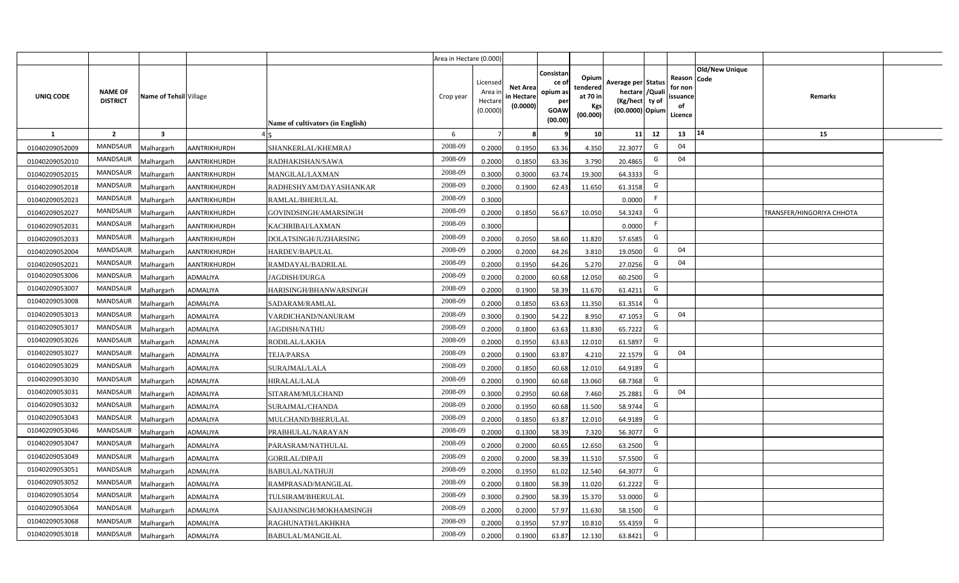|                |                                   |                         |                     |                                  | Area in Hectare (0.000) |                                           |                                          |                                                                |                                                  |                                                                           |    |                                                     |                       |                           |  |
|----------------|-----------------------------------|-------------------------|---------------------|----------------------------------|-------------------------|-------------------------------------------|------------------------------------------|----------------------------------------------------------------|--------------------------------------------------|---------------------------------------------------------------------------|----|-----------------------------------------------------|-----------------------|---------------------------|--|
| UNIQ CODE      | <b>NAME OF</b><br><b>DISTRICT</b> | Name of Tehsil Village  |                     | Name of cultivators (in English) | Crop year               | Licensed<br>Area i<br>Hectare<br>(0.0000) | <b>Net Area</b><br>n Hectare<br>(0.0000) | Consistan<br>ce o<br>opium as<br>per<br><b>GOAW</b><br>(00.00) | Opium<br>tendered<br>at 70 in<br>Kgs<br>(00.000) | Average per Status<br>hectare / Qual<br>(Kg/hect ty of<br>(00.0000) Opium |    | Reason Code<br>for nor<br>issuance<br>of<br>Licence | <b>Old/New Unique</b> | Remarks                   |  |
| 1              | $\overline{2}$                    | $\overline{\mathbf{3}}$ |                     |                                  | 6                       |                                           |                                          |                                                                | 10                                               | 11                                                                        | 12 | 13                                                  | 14                    | 15                        |  |
| 01040209052009 | MANDSAUR                          | Malhargarh              | AANTRIKHURDH        | SHANKERLAL/KHEMRAJ               | 2008-09                 | 0.2000                                    | 0.1950                                   | 63.36                                                          | 4.350                                            | 22.3077                                                                   | G  | 04                                                  |                       |                           |  |
| 01040209052010 | MANDSAUR                          | Malhargarh              | <b>AANTRIKHURDH</b> | RADHAKISHAN/SAWA                 | 2008-09                 | 0.2000                                    | 0.1850                                   | 63.36                                                          | 3.790                                            | 20.4865                                                                   | G  | 04                                                  |                       |                           |  |
| 01040209052015 | <b>MANDSAUR</b>                   | Malhargarh              | AANTRIKHURDH        | MANGILAL/LAXMAN                  | 2008-09                 | 0.3000                                    | 0.3000                                   | 63.74                                                          | 19.300                                           | 64.3333                                                                   | G  |                                                     |                       |                           |  |
| 01040209052018 | <b>MANDSAUR</b>                   | Malhargarh              | AANTRIKHURDH        | RADHESHYAM/DAYASHANKAR           | 2008-09                 | 0.2000                                    | 0.1900                                   | 62.43                                                          | 11.650                                           | 61.3158                                                                   | G  |                                                     |                       |                           |  |
| 01040209052023 | <b>MANDSAUR</b>                   | Malhargarh              | AANTRIKHURDH        | RAMLAL/BHERULAL                  | 2008-09                 | 0.3000                                    |                                          |                                                                |                                                  | 0.0000                                                                    | F. |                                                     |                       |                           |  |
| 01040209052027 | <b>MANDSAUR</b>                   | Malhargarh              | AANTRIKHURDH        | GOVINDSINGH/AMARSINGH            | 2008-09                 | 0.2000                                    | 0.1850                                   | 56.67                                                          | 10.050                                           | 54.3243                                                                   | G  |                                                     |                       | TRANSFER/HINGORIYA CHHOTA |  |
| 01040209052031 | <b>MANDSAUR</b>                   | Malhargarh              | AANTRIKHURDH        | KACHRIBAI/LAXMAN                 | 2008-09                 | 0.3000                                    |                                          |                                                                |                                                  | 0.0000                                                                    | F. |                                                     |                       |                           |  |
| 01040209052033 | <b>MANDSAUR</b>                   | Malhargarh              | AANTRIKHURDH        | DOLATSINGH/JUZHARSING            | 2008-09                 | 0.2000                                    | 0.2050                                   | 58.60                                                          | 11.820                                           | 57.6585                                                                   | G  |                                                     |                       |                           |  |
| 01040209052004 | MANDSAUR                          | Malhargarh              | AANTRIKHURDH        | HARDEV/BAPULAL                   | 2008-09                 | 0.2000                                    | 0.2000                                   | 64.26                                                          | 3.810                                            | 19.0500                                                                   | G  | 04                                                  |                       |                           |  |
| 01040209052021 | <b>MANDSAUR</b>                   | Malhargarh              | AANTRIKHURDH        | RAMDAYAL/BADRILAL                | 2008-09                 | 0.2000                                    | 0.1950                                   | 64.26                                                          | 5.270                                            | 27.0256                                                                   | G  | 04                                                  |                       |                           |  |
| 01040209053006 | <b>MANDSAUR</b>                   | Malhargarh              | ADMALIYA            | JAGDISH/DURGA                    | 2008-09                 | 0.2000                                    | 0.2000                                   | 60.68                                                          | 12.050                                           | 60.2500                                                                   | G  |                                                     |                       |                           |  |
| 01040209053007 | <b>MANDSAUR</b>                   | Malhargarh              | ADMALIYA            | HARISINGH/BHANWARSINGH           | 2008-09                 | 0.2000                                    | 0.1900                                   | 58.39                                                          | 11.670                                           | 61.4211                                                                   | G  |                                                     |                       |                           |  |
| 01040209053008 | <b>MANDSAUR</b>                   | Malhargarh              | ADMALIYA            | SADARAM/RAMLAL                   | 2008-09                 | 0.2000                                    | 0.1850                                   | 63.63                                                          | 11.350                                           | 61.3514                                                                   | G  |                                                     |                       |                           |  |
| 01040209053013 | <b>MANDSAUR</b>                   | Malhargarh              | ADMALIYA            | VARDICHAND/NANURAM               | 2008-09                 | 0.3000                                    | 0.1900                                   | 54.22                                                          | 8.950                                            | 47.1053                                                                   | G  | 04                                                  |                       |                           |  |
| 01040209053017 | <b>MANDSAUR</b>                   | Malhargarh              | ADMALIYA            | <b>JAGDISH/NATHU</b>             | 2008-09                 | 0.2000                                    | 0.1800                                   | 63.63                                                          | 11.830                                           | 65.7222                                                                   | G  |                                                     |                       |                           |  |
| 01040209053026 | <b>MANDSAUR</b>                   | Malhargarh              | ADMALIYA            | RODILAL/LAKHA                    | 2008-09                 | 0.2000                                    | 0.1950                                   | 63.63                                                          | 12.010                                           | 61.5897                                                                   | G  |                                                     |                       |                           |  |
| 01040209053027 | <b>MANDSAUR</b>                   | Malhargarh              | ADMALIYA            | <b>TEJA/PARSA</b>                | 2008-09                 | 0.2000                                    | 0.1900                                   | 63.87                                                          | 4.210                                            | 22.1579                                                                   | G  | 04                                                  |                       |                           |  |
| 01040209053029 | <b>MANDSAUR</b>                   | Malhargarh              | ADMALIYA            | SURAJMAL/LALA                    | 2008-09                 | 0.2000                                    | 0.1850                                   | 60.68                                                          | 12.010                                           | 64.9189                                                                   | G  |                                                     |                       |                           |  |
| 01040209053030 | <b>MANDSAUR</b>                   | Malhargarh              | ADMALIYA            | HIRALAL/LALA                     | 2008-09                 | 0.2000                                    | 0.1900                                   | 60.68                                                          | 13.060                                           | 68.7368                                                                   | G  |                                                     |                       |                           |  |
| 01040209053031 | <b>MANDSAUR</b>                   | Malhargarh              | ADMALIYA            | SITARAM/MULCHAND                 | 2008-09                 | 0.3000                                    | 0.2950                                   | 60.68                                                          | 7.460                                            | 25.2881                                                                   | G  | 04                                                  |                       |                           |  |
| 01040209053032 | MANDSAUR                          | Malhargarh              | ADMALIYA            | SURAJMAL/CHANDA                  | 2008-09                 | 0.2000                                    | 0.1950                                   | 60.68                                                          | 11.500                                           | 58.9744                                                                   | G  |                                                     |                       |                           |  |
| 01040209053043 | <b>MANDSAUR</b>                   | Malhargarh              | ADMALIYA            | MULCHAND/BHERULAL                | 2008-09                 | 0.2000                                    | 0.1850                                   | 63.87                                                          | 12.010                                           | 64.9189                                                                   | G  |                                                     |                       |                           |  |
| 01040209053046 | <b>MANDSAUR</b>                   | Malhargarh              | ADMALIYA            | PRABHULAL/NARAYAN                | 2008-09                 | 0.2000                                    | 0.1300                                   | 58.39                                                          | 7.320                                            | 56.3077                                                                   | G  |                                                     |                       |                           |  |
| 01040209053047 | <b>MANDSAUR</b>                   | Malhargarh              | ADMALIYA            | PARASRAM/NATHULAL                | 2008-09                 | 0.2000                                    | 0.2000                                   | 60.65                                                          | 12.650                                           | 63.2500                                                                   | G  |                                                     |                       |                           |  |
| 01040209053049 | <b>MANDSAUR</b>                   | Malhargarh              | ADMALIYA            | <b>GORILAL/DIPAJI</b>            | 2008-09                 | 0.2000                                    | 0.2000                                   | 58.39                                                          | 11.510                                           | 57.5500                                                                   | G  |                                                     |                       |                           |  |
| 01040209053051 | MANDSAUR                          | Malhargarh              | ADMALIYA            | <b>BABULAL/NATHUJI</b>           | 2008-09                 | 0.2000                                    | 0.1950                                   | 61.02                                                          | 12.540                                           | 64.3077                                                                   | G  |                                                     |                       |                           |  |
| 01040209053052 | MANDSAUR                          | Malhargarh              | ADMALIYA            | RAMPRASAD/MANGILAL               | 2008-09                 | 0.2000                                    | 0.1800                                   | 58.39                                                          | 11.020                                           | 61.2222                                                                   | G  |                                                     |                       |                           |  |
| 01040209053054 | MANDSAUR                          | Malhargarh              | ADMALIYA            | TULSIRAM/BHERULAL                | 2008-09                 | 0.3000                                    | 0.2900                                   | 58.39                                                          | 15.370                                           | 53.0000                                                                   | G  |                                                     |                       |                           |  |
| 01040209053064 | MANDSAUR                          | Malhargarh              | ADMALIYA            | SAJJANSINGH/MOKHAMSINGH          | 2008-09                 | 0.2000                                    | 0.2000                                   | 57.97                                                          | 11.630                                           | 58.1500                                                                   | G  |                                                     |                       |                           |  |
| 01040209053068 | MANDSAUR                          | Malhargarh              | <b>ADMALIYA</b>     | RAGHUNATH/LAKHKHA                | 2008-09                 | 0.2000                                    | 0.1950                                   | 57.97                                                          | 10.810                                           | 55.4359                                                                   | G  |                                                     |                       |                           |  |
| 01040209053018 | MANDSAUR                          | Malhargarh              | <b>ADMALIYA</b>     | <b>BABULAL/MANGILAL</b>          | 2008-09                 | 0.2000                                    | 0.1900                                   | 63.87                                                          | 12.130                                           | 63.8421                                                                   | G  |                                                     |                       |                           |  |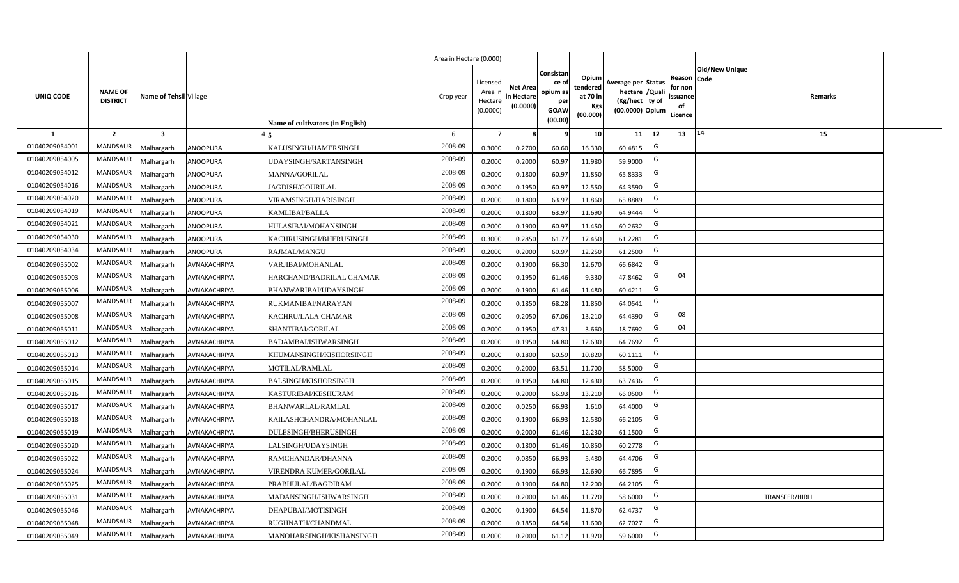|                |                                   |                         |                 |                                  | Area in Hectare (0.000) |                                          |                                           |                                                          |                                                         |                                                                           |    |                                                     |                       |                |  |
|----------------|-----------------------------------|-------------------------|-----------------|----------------------------------|-------------------------|------------------------------------------|-------------------------------------------|----------------------------------------------------------|---------------------------------------------------------|---------------------------------------------------------------------------|----|-----------------------------------------------------|-----------------------|----------------|--|
| UNIQ CODE      | <b>NAME OF</b><br><b>DISTRICT</b> | Name of Tehsil Village  |                 | Name of cultivators (in English) | Crop year               | Licensed<br>Area i<br>Hectar<br>(0.0000) | <b>Net Area</b><br>in Hectare<br>(0.0000) | Consistan<br>ce of<br>opium as<br>per<br>GOAW<br>(00.00) | Opium<br>tendered<br>at 70 in<br><b>Kgs</b><br>(00.000) | Average per Status<br>hectare / Qual<br>(Kg/hect ty of<br>(00.0000) Opium |    | Reason Code<br>for non<br>issuance<br>of<br>Licence | <b>Old/New Unique</b> | Remarks        |  |
| 1              | $\overline{2}$                    | $\overline{\mathbf{3}}$ |                 |                                  | 6                       |                                          |                                           |                                                          | 10 <sup>1</sup>                                         | 11                                                                        | 12 | 13                                                  | 14                    | 15             |  |
| 01040209054001 | <b>MANDSAUR</b>                   | Malhargarh              | <b>ANOOPURA</b> | KALUSINGH/HAMERSINGH             | 2008-09                 | 0.3000                                   | 0.2700                                    | 60.60                                                    | 16.330                                                  | 60.4815                                                                   | G  |                                                     |                       |                |  |
| 01040209054005 | <b>MANDSAUR</b>                   | Malhargarh              | <b>ANOOPURA</b> | UDAYSINGH/SARTANSINGH            | 2008-09                 | 0.2000                                   | 0.2000                                    | 60.97                                                    | 11.980                                                  | 59.9000                                                                   | G  |                                                     |                       |                |  |
| 01040209054012 | <b>MANDSAUR</b>                   | Malhargarh              | <b>ANOOPURA</b> | <b>MANNA/GORILAL</b>             | 2008-09                 | 0.2000                                   | 0.1800                                    | 60.97                                                    | 11.850                                                  | 65.8333                                                                   | G  |                                                     |                       |                |  |
| 01040209054016 | <b>MANDSAUR</b>                   | Malhargarh              | <b>ANOOPURA</b> | JAGDISH/GOURILAL                 | 2008-09                 | 0.2000                                   | 0.1950                                    | 60.97                                                    | 12.550                                                  | 64.3590                                                                   | G  |                                                     |                       |                |  |
| 01040209054020 | <b>MANDSAUR</b>                   | Malhargarh              | <b>ANOOPURA</b> | VIRAMSINGH/HARISINGH             | 2008-09                 | 0.200                                    | 0.1800                                    | 63.97                                                    | 11.860                                                  | 65.8889                                                                   | G  |                                                     |                       |                |  |
| 01040209054019 | <b>MANDSAUR</b>                   | Malhargarh              | <b>ANOOPURA</b> | KAMLIBAI/BALLA                   | 2008-09                 | 0.200                                    | 0.1800                                    | 63.97                                                    | 11.690                                                  | 64.9444                                                                   | G  |                                                     |                       |                |  |
| 01040209054021 | <b>MANDSAUR</b>                   | Malhargarh              | <b>ANOOPURA</b> | HULASIBAI/MOHANSINGH             | 2008-09                 | 0.200                                    | 0.1900                                    | 60.97                                                    | 11.450                                                  | 60.2632                                                                   | G  |                                                     |                       |                |  |
| 01040209054030 | <b>MANDSAUR</b>                   | Malhargarh              | <b>ANOOPURA</b> | KACHRUSINGH/BHERUSINGH           | 2008-09                 | 0.3000                                   | 0.2850                                    | 61.77                                                    | 17.450                                                  | 61.2281                                                                   | G  |                                                     |                       |                |  |
| 01040209054034 | <b>MANDSAUR</b>                   | Malhargarh              | <b>ANOOPURA</b> | RAJMAL/MANGU                     | 2008-09                 | 0.2000                                   | 0.2000                                    | 60.97                                                    | 12.250                                                  | 61.2500                                                                   | G  |                                                     |                       |                |  |
| 01040209055002 | MANDSAUR                          | Malhargarh              | AVNAKACHRIYA    | VARJIBAI/MOHANLAL                | 2008-09                 | 0.2000                                   | 0.1900                                    | 66.30                                                    | 12.670                                                  | 66.6842                                                                   | G  |                                                     |                       |                |  |
| 01040209055003 | MANDSAUR                          | Malhargarh              | AVNAKACHRIYA    | HARCHAND/BADRILAL CHAMAR         | 2008-09                 | 0.2000                                   | 0.1950                                    | 61.46                                                    | 9.330                                                   | 47.8462                                                                   | G  | 04                                                  |                       |                |  |
| 01040209055006 | MANDSAUR                          | Malhargarh              | AVNAKACHRIYA    | BHANWARIBAI/UDAYSINGH            | 2008-09                 | 0.2000                                   | 0.1900                                    | 61.46                                                    | 11.480                                                  | 60.4211                                                                   | G  |                                                     |                       |                |  |
| 01040209055007 | MANDSAUR                          | Malhargarh              | AVNAKACHRIYA    | RUKMANIBAI/NARAYAN               | 2008-09                 | 0.2000                                   | 0.1850                                    | 68.28                                                    | 11.850                                                  | 64.0541                                                                   | G  |                                                     |                       |                |  |
| 01040209055008 | MANDSAUR                          | Malhargarh              | AVNAKACHRIYA    | KACHRU/LALA CHAMAR               | 2008-09                 | 0.2000                                   | 0.2050                                    | 67.06                                                    | 13.210                                                  | 64.4390                                                                   | G  | 08                                                  |                       |                |  |
| 01040209055011 | MANDSAUR                          | Malhargarh              | AVNAKACHRIYA    | SHANTIBAI/GORILAL                | 2008-09                 | 0.2000                                   | 0.1950                                    | 47.31                                                    | 3.660                                                   | 18.7692                                                                   | G  | 04                                                  |                       |                |  |
| 01040209055012 | <b>MANDSAUR</b>                   | Malhargarh              | AVNAKACHRIYA    | BADAMBAI/ISHWARSINGH             | 2008-09                 | 0.2000                                   | 0.1950                                    | 64.80                                                    | 12.630                                                  | 64.7692                                                                   | G  |                                                     |                       |                |  |
| 01040209055013 | <b>MANDSAUR</b>                   | Malhargarh              | AVNAKACHRIYA    | KHUMANSINGH/KISHORSINGH          | 2008-09                 | 0.200                                    | 0.1800                                    | 60.59                                                    | 10.820                                                  | 60.1111                                                                   | G  |                                                     |                       |                |  |
| 01040209055014 | <b>MANDSAUR</b>                   | Malhargarh              | AVNAKACHRIYA    | MOTILAL/RAMLAL                   | 2008-09                 | 0.2000                                   | 0.2000                                    | 63.51                                                    | 11.700                                                  | 58.5000                                                                   | G  |                                                     |                       |                |  |
| 01040209055015 | <b>MANDSAUR</b>                   | Malhargarh              | AVNAKACHRIYA    | <b>BALSINGH/KISHORSINGH</b>      | 2008-09                 | 0.2000                                   | 0.1950                                    | 64.80                                                    | 12.430                                                  | 63.7436                                                                   | G  |                                                     |                       |                |  |
| 01040209055016 | <b>MANDSAUR</b>                   | Malhargarh              | AVNAKACHRIYA    | KASTURIBAI/KESHURAM              | 2008-09                 | 0.2000                                   | 0.2000                                    | 66.93                                                    | 13.210                                                  | 66.0500                                                                   | G  |                                                     |                       |                |  |
| 01040209055017 | <b>MANDSAUR</b>                   | Malhargarh              | AVNAKACHRIYA    | BHANWARLAL/RAMLAL                | 2008-09                 | 0.2000                                   | 0.0250                                    | 66.93                                                    | 1.610                                                   | 64.4000                                                                   | G  |                                                     |                       |                |  |
| 01040209055018 | <b>MANDSAUR</b>                   | Malhargarh              | AVNAKACHRIYA    | KAILASHCHANDRA/MOHANLAL          | 2008-09                 | 0.2000                                   | 0.1900                                    | 66.93                                                    | 12.580                                                  | 66.2105                                                                   | G  |                                                     |                       |                |  |
| 01040209055019 | <b>MANDSAUR</b>                   | Malhargarh              | AVNAKACHRIYA    | DULESINGH/BHERUSINGH             | 2008-09                 | 0.2000                                   | 0.2000                                    | 61.46                                                    | 12.230                                                  | 61.1500                                                                   | G  |                                                     |                       |                |  |
| 01040209055020 | <b>MANDSAUR</b>                   | Malhargarh              | AVNAKACHRIYA    | LALSINGH/UDAYSINGH               | 2008-09                 | 0.200                                    | 0.1800                                    | 61.46                                                    | 10.850                                                  | 60.2778                                                                   | G  |                                                     |                       |                |  |
| 01040209055022 | <b>MANDSAUR</b>                   | Malhargarh              | AVNAKACHRIYA    | RAMCHANDAR/DHANNA                | 2008-09                 | 0.200                                    | 0.0850                                    | 66.93                                                    | 5.480                                                   | 64.4706                                                                   | G  |                                                     |                       |                |  |
| 01040209055024 | <b>MANDSAUR</b>                   | Malhargarh              | AVNAKACHRIYA    | VIRENDRA KUMER/GORILAL           | 2008-09                 | 0.200                                    | 0.1900                                    | 66.93                                                    | 12.690                                                  | 66.7895                                                                   | G  |                                                     |                       |                |  |
| 01040209055025 | MANDSAUR                          | Malhargarh              | AVNAKACHRIYA    | PRABHULAL/BAGDIRAM               | 2008-09                 | 0.2000                                   | 0.1900                                    | 64.80                                                    | 12.200                                                  | 64.2105                                                                   | G  |                                                     |                       |                |  |
| 01040209055031 | <b>MANDSAUR</b>                   | Malhargarh              | AVNAKACHRIYA    | MADANSINGH/ISHWARSINGH           | 2008-09                 | 0.2000                                   | 0.2000                                    | 61.46                                                    | 11.720                                                  | 58.6000                                                                   | G  |                                                     |                       | TRANSFER/HIRLI |  |
| 01040209055046 | MANDSAUR                          | Malhargarh              | AVNAKACHRIYA    | DHAPUBAI/MOTISINGH               | 2008-09                 | 0.2000                                   | 0.1900                                    | 64.54                                                    | 11.870                                                  | 62.4737                                                                   | G  |                                                     |                       |                |  |
| 01040209055048 | <b>MANDSAUR</b>                   | Malhargarh              | AVNAKACHRIYA    | RUGHNATH/CHANDMAL                | 2008-09                 | 0.2000                                   | 0.1850                                    | 64.54                                                    | 11.600                                                  | 62.7027                                                                   | G  |                                                     |                       |                |  |
| 01040209055049 | MANDSAUR                          | Malhargarh              | AVNAKACHRIYA    | MANOHARSINGH/KISHANSINGH         | 2008-09                 | 0.2000                                   | 0.2000                                    | 61.12                                                    | 11.920                                                  | 59.6000                                                                   | G  |                                                     |                       |                |  |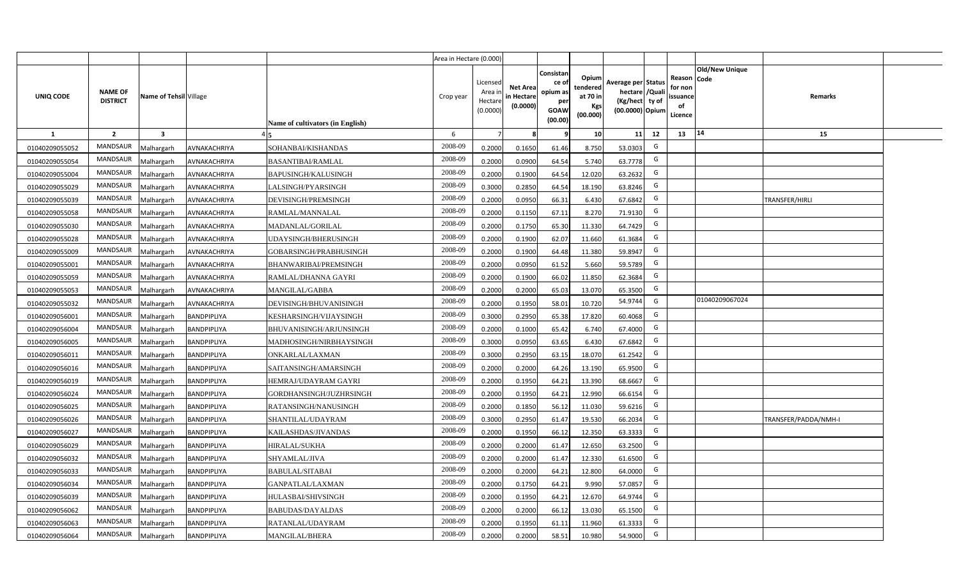|                |                                   |                        |                    |                                  | Area in Hectare (0.000) |                                          |                                           |                                                          |                                                  |                                                                            |                                                    |                       |                      |  |
|----------------|-----------------------------------|------------------------|--------------------|----------------------------------|-------------------------|------------------------------------------|-------------------------------------------|----------------------------------------------------------|--------------------------------------------------|----------------------------------------------------------------------------|----------------------------------------------------|-----------------------|----------------------|--|
| UNIQ CODE      | <b>NAME OF</b><br><b>DISTRICT</b> | Name of Tehsil Village |                    | Name of cultivators (in English) | Crop year               | Licensed<br>Area i<br>Hectar<br>(0.0000) | <b>Net Area</b><br>in Hectare<br>(0.0000) | Consistan<br>ce of<br>opium as<br>per<br>GOAW<br>(00.00) | Opium<br>tendered<br>at 70 in<br>Kgs<br>(00.000) | Average per Status<br>hectare / Quali<br>(Kg/hect ty of<br>(00.0000) Opium | Reason Code<br>for non<br>ssuance<br>of<br>Licence | <b>Old/New Unique</b> | <b>Remarks</b>       |  |
| $\mathbf{1}$   | $\overline{2}$                    | $\mathbf{3}$           |                    |                                  | 6                       | $\overline{7}$                           | 8                                         | 9                                                        | 10 <sup>1</sup>                                  | 11<br>12                                                                   | 13                                                 | 14                    | 15                   |  |
| 01040209055052 | MANDSAUR                          | Malhargarh             | AVNAKACHRIYA       | SOHANBAI/KISHANDAS               | 2008-09                 | 0.2000                                   | 0.1650                                    | 61.46                                                    | 8.750                                            | G<br>53.0303                                                               |                                                    |                       |                      |  |
| 01040209055054 | MANDSAUR                          | Malhargarh             | AVNAKACHRIYA       | <b>BASANTIBAI/RAMLAL</b>         | 2008-09                 | 0.2000                                   | 0.0900                                    | 64.54                                                    | 5.740                                            | G<br>63.7778                                                               |                                                    |                       |                      |  |
| 01040209055004 | MANDSAUR                          | Malhargarh             | AVNAKACHRIYA       | <b>BAPUSINGH/KALUSINGH</b>       | 2008-09                 | 0.2000                                   | 0.1900                                    | 64.54                                                    | 12.020                                           | G<br>63.2632                                                               |                                                    |                       |                      |  |
| 01040209055029 | MANDSAUR                          | Malhargarh             | AVNAKACHRIYA       | LALSINGH/PYARSINGH               | 2008-09                 | 0.3000                                   | 0.2850                                    | 64.54                                                    | 18.190                                           | G<br>63.8246                                                               |                                                    |                       |                      |  |
| 01040209055039 | MANDSAUR                          | Malhargarh             | AVNAKACHRIYA       | DEVISINGH/PREMSINGH              | 2008-09                 | 0.2000                                   | 0.0950                                    | 66.31                                                    | 6.430                                            | G<br>67.6842                                                               |                                                    |                       | TRANSFER/HIRLI       |  |
| 01040209055058 | MANDSAUR                          | Malhargarh             | AVNAKACHRIYA       | RAMLAL/MANNALAL                  | 2008-09                 | 0.2000                                   | 0.1150                                    | 67.11                                                    | 8.270                                            | G<br>71.9130                                                               |                                                    |                       |                      |  |
| 01040209055030 | <b>MANDSAUR</b>                   | Malhargarh             | AVNAKACHRIYA       | MADANLAL/GORILAL                 | 2008-09                 | 0.2000                                   | 0.1750                                    | 65.30                                                    | 11.330                                           | G<br>64.7429                                                               |                                                    |                       |                      |  |
| 01040209055028 | <b>MANDSAUR</b>                   | Malhargarh             | AVNAKACHRIYA       | UDAYSINGH/BHERUSINGH             | 2008-09                 | 0.2000                                   | 0.1900                                    | 62.07                                                    | 11.660                                           | G<br>61.3684                                                               |                                                    |                       |                      |  |
| 01040209055009 | MANDSAUR                          | Malhargarh             | AVNAKACHRIYA       | GOBARSINGH/PRABHUSINGH           | 2008-09                 | 0.2000                                   | 0.1900                                    | 64.48                                                    | 11.380                                           | G<br>59.8947                                                               |                                                    |                       |                      |  |
| 01040209055001 | MANDSAUR                          | Malhargarh             | AVNAKACHRIYA       | BHANWARIBAI/PREMSINGH            | 2008-09                 | 0.2000                                   | 0.0950                                    | 61.52                                                    | 5.660                                            | G<br>59.5789                                                               |                                                    |                       |                      |  |
| 01040209055059 | <b>MANDSAUR</b>                   | Malhargarh             | AVNAKACHRIYA       | RAMLAL/DHANNA GAYRI              | 2008-09                 | 0.2000                                   | 0.1900                                    | 66.02                                                    | 11.850                                           | G<br>62.3684                                                               |                                                    |                       |                      |  |
| 01040209055053 | <b>MANDSAUR</b>                   | Malhargarh             | AVNAKACHRIYA       | MANGILAL/GABBA                   | 2008-09                 | 0.2000                                   | 0.2000                                    | 65.03                                                    | 13.070                                           | G<br>65.3500                                                               |                                                    |                       |                      |  |
| 01040209055032 | <b>MANDSAUR</b>                   | Malhargarh             | AVNAKACHRIYA       | DEVISINGH/BHUVANISINGH           | 2008-09                 | 0.2000                                   | 0.1950                                    | 58.01                                                    | 10.720                                           | 54.9744<br>G                                                               |                                                    | 01040209067024        |                      |  |
| 01040209056001 | <b>MANDSAUR</b>                   | Malhargarh             | BANDPIPLIYA        | KESHARSINGH/VIJAYSINGH           | 2008-09                 | 0.3000                                   | 0.2950                                    | 65.38                                                    | 17.820                                           | G<br>60.4068                                                               |                                                    |                       |                      |  |
| 01040209056004 | <b>MANDSAUR</b>                   | Malhargarh             | BANDPIPLIYA        | BHUVANISINGH/ARJUNSINGH          | 2008-09                 | 0.2000                                   | 0.1000                                    | 65.42                                                    | 6.740                                            | G<br>67.4000                                                               |                                                    |                       |                      |  |
| 01040209056005 | MANDSAUR                          | Malhargarh             | BANDPIPLIYA        | MADHOSINGH/NIRBHAYSINGH          | 2008-09                 | 0.3000                                   | 0.0950                                    | 63.65                                                    | 6.430                                            | G<br>67.6842                                                               |                                                    |                       |                      |  |
| 01040209056011 | <b>MANDSAUR</b>                   | Malhargarh             | BANDPIPLIYA        | ONKARLAL/LAXMAN                  | 2008-09                 | 0.3000                                   | 0.2950                                    | 63.15                                                    | 18.070                                           | G<br>61.2542                                                               |                                                    |                       |                      |  |
| 01040209056016 | <b>MANDSAUR</b>                   | Malhargarh             | BANDPIPLIYA        | SAITANSINGH/AMARSINGH            | 2008-09                 | 0.2000                                   | 0.2000                                    | 64.26                                                    | 13.190                                           | G<br>65.9500                                                               |                                                    |                       |                      |  |
| 01040209056019 | <b>MANDSAUR</b>                   | Malhargarh             | BANDPIPLIYA        | HEMRAJ/UDAYRAM GAYRI             | 2008-09                 | 0.2000                                   | 0.1950                                    | 64.21                                                    | 13.390                                           | G<br>68.6667                                                               |                                                    |                       |                      |  |
| 01040209056024 | <b>MANDSAUR</b>                   | Malhargarh             | <b>BANDPIPLIYA</b> | GORDHANSINGH/JUZHRSINGH          | 2008-09                 | 0.2000                                   | 0.1950                                    | 64.21                                                    | 12.990                                           | G<br>66.6154                                                               |                                                    |                       |                      |  |
| 01040209056025 | <b>MANDSAUR</b>                   | Malhargarh             | BANDPIPLIYA        | RATANSINGH/NANUSINGH             | 2008-09                 | 0.2000                                   | 0.1850                                    | 56.12                                                    | 11.030                                           | G<br>59.6216                                                               |                                                    |                       |                      |  |
| 01040209056026 | <b>MANDSAUR</b>                   | Malhargarh             | <b>BANDPIPLIYA</b> | SHANTILAL/UDAYRAM                | 2008-09                 | 0.3000                                   | 0.2950                                    | 61.47                                                    | 19.530                                           | G<br>66.2034                                                               |                                                    |                       | TRANSFER/PADDA/NMH-I |  |
| 01040209056027 | MANDSAUR                          | Malhargarh             | <b>BANDPIPLIYA</b> | KAILASHDAS/JIVANDAS              | 2008-09                 | 0.2000                                   | 0.1950                                    | 66.12                                                    | 12.350                                           | G<br>63.3333                                                               |                                                    |                       |                      |  |
| 01040209056029 | <b>MANDSAUR</b>                   | Malhargarh             | BANDPIPLIYA        | HIRALAL/SUKHA                    | 2008-09                 | 0.2000                                   | 0.2000                                    | 61.47                                                    | 12.650                                           | G<br>63.2500                                                               |                                                    |                       |                      |  |
| 01040209056032 | <b>MANDSAUR</b>                   | Malhargarh             | BANDPIPLIYA        | SHYAMLAL/JIVA                    | 2008-09                 | 0.2000                                   | 0.2000                                    | 61.47                                                    | 12.330                                           | G<br>61.6500                                                               |                                                    |                       |                      |  |
| 01040209056033 | <b>MANDSAUR</b>                   | Malhargarh             | BANDPIPLIYA        | <b>BABULAL/SITABAI</b>           | 2008-09                 | 0.2000                                   | 0.2000                                    | 64.21                                                    | 12.800                                           | G<br>64.0000                                                               |                                                    |                       |                      |  |
| 01040209056034 | MANDSAUR                          | Malhargarh             | BANDPIPLIYA        | GANPATLAL/LAXMAN                 | 2008-09                 | 0.2000                                   | 0.1750                                    | 64.21                                                    | 9.990                                            | G<br>57.0857                                                               |                                                    |                       |                      |  |
| 01040209056039 | MANDSAUR                          | Malhargarh             | <b>BANDPIPLIYA</b> | HULASBAI/SHIVSINGH               | 2008-09                 | 0.2000                                   | 0.1950                                    | 64.21                                                    | 12.670                                           | G<br>64.9744                                                               |                                                    |                       |                      |  |
| 01040209056062 | MANDSAUR                          | Malhargarh             | <b>BANDPIPLIYA</b> | <b>BABUDAS/DAYALDAS</b>          | 2008-09                 | 0.2000                                   | 0.2000                                    | 66.12                                                    | 13.030                                           | G<br>65.1500                                                               |                                                    |                       |                      |  |
| 01040209056063 | MANDSAUR                          | Malhargarh             | <b>BANDPIPLIYA</b> | RATANLAL/UDAYRAM                 | 2008-09                 | 0.2000                                   | 0.1950                                    | 61.11                                                    | 11.960                                           | G<br>61.3333                                                               |                                                    |                       |                      |  |
| 01040209056064 | MANDSAUR                          | Malhargarh             | <b>BANDPIPLIYA</b> | <b>MANGILAL/BHERA</b>            | 2008-09                 | 0.2000                                   | 0.2000                                    | 58.51                                                    | 10.980                                           | G<br>54.9000                                                               |                                                    |                       |                      |  |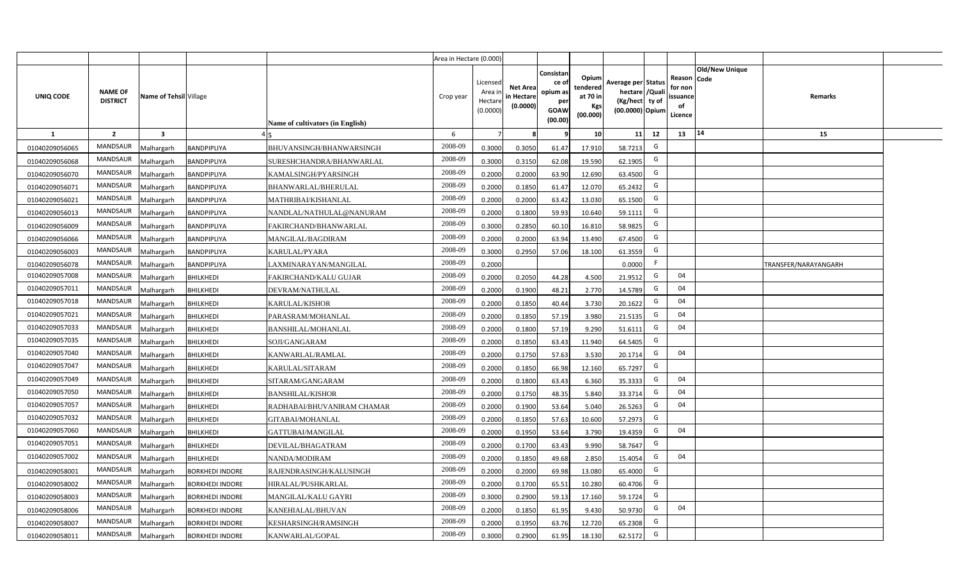|                |                                   |                         |                        |                                  | Area in Hectare (0.000) |                                          |                                           |                                                          |                                                         |                                                                           |    |                                                     |                       |                      |  |
|----------------|-----------------------------------|-------------------------|------------------------|----------------------------------|-------------------------|------------------------------------------|-------------------------------------------|----------------------------------------------------------|---------------------------------------------------------|---------------------------------------------------------------------------|----|-----------------------------------------------------|-----------------------|----------------------|--|
| UNIQ CODE      | <b>NAME OF</b><br><b>DISTRICT</b> | Name of Tehsil Village  |                        | Name of cultivators (in English) | Crop year               | Licensed<br>Area i<br>Hectar<br>(0.0000) | <b>Net Area</b><br>in Hectare<br>(0.0000) | Consistan<br>ce of<br>opium as<br>per<br>GOAW<br>(00.00) | Opium<br>tendered<br>at 70 in<br><b>Kgs</b><br>(00.000) | Average per Status<br>hectare / Qual<br>(Kg/hect ty of<br>(00.0000) Opium |    | Reason Code<br>for nor<br>issuance<br>of<br>Licence | <b>Old/New Unique</b> | Remarks              |  |
| 1              | $\overline{2}$                    | $\overline{\mathbf{3}}$ |                        |                                  | 6                       |                                          |                                           |                                                          | 10 <sup>1</sup>                                         | 11                                                                        | 12 | 13                                                  | 14                    | 15                   |  |
| 01040209056065 | <b>MANDSAUR</b>                   | Malhargarh              | BANDPIPLIYA            | BHUVANSINGH/BHANWARSINGH         | 2008-09                 | 0.3000                                   | 0.3050                                    | 61.47                                                    | 17.910                                                  | 58.7213                                                                   | G  |                                                     |                       |                      |  |
| 01040209056068 | <b>MANDSAUR</b>                   | Malhargarh              | BANDPIPLIYA            | SURESHCHANDRA/BHANWARLAL         | 2008-09                 | 0.3000                                   | 0.3150                                    | 62.08                                                    | 19.590                                                  | 62.1905                                                                   | G  |                                                     |                       |                      |  |
| 01040209056070 | <b>MANDSAUR</b>                   | Malhargarh              | BANDPIPLIYA            | KAMALSINGH/PYARSINGH             | 2008-09                 | 0.2000                                   | 0.2000                                    | 63.90                                                    | 12.690                                                  | 63.4500                                                                   | G  |                                                     |                       |                      |  |
| 01040209056071 | <b>MANDSAUR</b>                   | Malhargarh              | BANDPIPLIYA            | BHANWARLAL/BHERULAL              | 2008-09                 | 0.2000                                   | 0.1850                                    | 61.47                                                    | 12.070                                                  | 65.2432                                                                   | G  |                                                     |                       |                      |  |
| 01040209056021 | <b>MANDSAUR</b>                   | Malhargarh              | BANDPIPLIYA            | MATHRIBAI/KISHANLAL              | 2008-09                 | 0.2000                                   | 0.2000                                    | 63.42                                                    | 13.030                                                  | 65.1500                                                                   | G  |                                                     |                       |                      |  |
| 01040209056013 | <b>MANDSAUR</b>                   | Malhargarh              | BANDPIPLIYA            | NANDLAL/NATHULAL@NANURAM         | 2008-09                 | 0.200                                    | 0.1800                                    | 59.93                                                    | 10.640                                                  | 59.1111                                                                   | G  |                                                     |                       |                      |  |
| 01040209056009 | <b>MANDSAUR</b>                   | Malhargarh              | BANDPIPLIYA            | FAKIRCHAND/BHANWARLAL            | 2008-09                 | 0.300                                    | 0.2850                                    | 60.10                                                    | 16.810                                                  | 58.9825                                                                   | G  |                                                     |                       |                      |  |
| 01040209056066 | <b>MANDSAUR</b>                   | Malhargarh              | BANDPIPLIYA            | MANGILAL/BAGDIRAM                | 2008-09                 | 0.200                                    | 0.2000                                    | 63.94                                                    | 13.490                                                  | 67.4500                                                                   | G  |                                                     |                       |                      |  |
| 01040209056003 | MANDSAUR                          | Malhargarh              | BANDPIPLIYA            | KARULAL/PYARA                    | 2008-09                 | 0.3000                                   | 0.2950                                    | 57.06                                                    | 18.100                                                  | 61.3559                                                                   | G  |                                                     |                       |                      |  |
| 01040209056078 | <b>MANDSAUR</b>                   | Malhargarh              | BANDPIPLIYA            | LAXMINARAYAN/MANGILAL            | 2008-09                 | 0.2000                                   |                                           |                                                          |                                                         | 0.0000                                                                    | F  |                                                     |                       | TRANSFER/NARAYANGARH |  |
| 01040209057008 | MANDSAUR                          | Malhargarh              | <b>BHILKHEDI</b>       | FAKIRCHAND/KALU GUJAR            | 2008-09                 | 0.2000                                   | 0.2050                                    | 44.28                                                    | 4.500                                                   | 21.9512                                                                   | G  | 04                                                  |                       |                      |  |
| 01040209057011 | <b>MANDSAUR</b>                   | Malhargarh              | <b>BHILKHEDI</b>       | DEVRAM/NATHULAL                  | 2008-09                 | 0.2000                                   | 0.1900                                    | 48.21                                                    | 2.770                                                   | 14.5789                                                                   | G  | 04                                                  |                       |                      |  |
| 01040209057018 | <b>MANDSAUR</b>                   | Malhargarh              | <b>BHILKHEDI</b>       | KARULAL/KISHOR                   | 2008-09                 | 0.2000                                   | 0.1850                                    | 40.44                                                    | 3.730                                                   | 20.1622                                                                   | G  | 04                                                  |                       |                      |  |
| 01040209057021 | <b>MANDSAUR</b>                   | Malhargarh              | <b>BHILKHEDI</b>       | PARASRAM/MOHANLAL                | 2008-09                 | 0.2000                                   | 0.1850                                    | 57.19                                                    | 3.980                                                   | 21.5135                                                                   | G  | 04                                                  |                       |                      |  |
| 01040209057033 | <b>MANDSAUR</b>                   | Malhargarh              | <b>BHILKHEDI</b>       | <b>BANSHILAL/MOHANLAL</b>        | 2008-09                 | 0.2000                                   | 0.1800                                    | 57.19                                                    | 9.290                                                   | 51.6111                                                                   | G  | 04                                                  |                       |                      |  |
| 01040209057035 | <b>MANDSAUR</b>                   | Malhargarh              | <b>BHILKHEDI</b>       | SOJI/GANGARAM                    | 2008-09                 | 0.2000                                   | 0.1850                                    | 63.43                                                    | 11.940                                                  | 64.5405                                                                   | G  |                                                     |                       |                      |  |
| 01040209057040 | <b>MANDSAUR</b>                   | Malhargarh              | <b>BHILKHEDI</b>       | KANWARLAL/RAMLAL                 | 2008-09                 | 0.2000                                   | 0.1750                                    | 57.63                                                    | 3.530                                                   | 20.1714                                                                   | G  | 04                                                  |                       |                      |  |
| 01040209057047 | <b>MANDSAUR</b>                   | Malhargarh              | <b>BHILKHEDI</b>       | KARULAL/SITARAM                  | 2008-09                 | 0.2000                                   | 0.1850                                    | 66.98                                                    | 12.160                                                  | 65.7297                                                                   | G  |                                                     |                       |                      |  |
| 01040209057049 | <b>MANDSAUR</b>                   | Malhargarh              | <b>BHILKHEDI</b>       | SITARAM/GANGARAM                 | 2008-09                 | 0.2000                                   | 0.1800                                    | 63.43                                                    | 6.360                                                   | 35.3333                                                                   | G  | 04                                                  |                       |                      |  |
| 01040209057050 | <b>MANDSAUR</b>                   | Malhargarh              | <b>BHILKHEDI</b>       | <b>BANSHILAL/KISHOR</b>          | 2008-09                 | 0.2000                                   | 0.1750                                    | 48.35                                                    | 5.840                                                   | 33.3714                                                                   | G  | 04                                                  |                       |                      |  |
| 01040209057057 | <b>MANDSAUR</b>                   | Malhargarh              | <b>BHILKHEDI</b>       | RADHABAI/BHUVANIRAM CHAMAR       | 2008-09                 | 0.2000                                   | 0.1900                                    | 53.64                                                    | 5.040                                                   | 26.5263                                                                   | G  | 04                                                  |                       |                      |  |
| 01040209057032 | <b>MANDSAUR</b>                   | Malhargarh              | <b>BHILKHEDI</b>       | GITABAI/MOHANLAL                 | 2008-09                 | 0.2000                                   | 0.1850                                    | 57.63                                                    | 10.600                                                  | 57.2973                                                                   | G  |                                                     |                       |                      |  |
| 01040209057060 | <b>MANDSAUR</b>                   | Malhargarh              | <b>BHILKHEDI</b>       | GATTUBAI/MANGILAL                | 2008-09                 | 0.2000                                   | 0.1950                                    | 53.64                                                    | 3.790                                                   | 19.4359                                                                   | G  | 04                                                  |                       |                      |  |
| 01040209057051 | <b>MANDSAUR</b>                   | Malhargarh              | <b>BHILKHEDI</b>       | DEVILAL/BHAGATRAM                | 2008-09                 | 0.2000                                   | 0.1700                                    | 63.43                                                    | 9.990                                                   | 58.7647                                                                   | G  |                                                     |                       |                      |  |
| 01040209057002 | <b>MANDSAUR</b>                   | Malhargarh              | <b>BHILKHEDI</b>       | NANDA/MODIRAM                    | 2008-09                 | 0.200                                    | 0.1850                                    | 49.68                                                    | 2.850                                                   | 15.4054                                                                   | G  | 04                                                  |                       |                      |  |
| 01040209058001 | <b>MANDSAUR</b>                   | Malhargarh              | <b>BORKHEDI INDORE</b> | RAJENDRASINGH/KALUSINGH          | 2008-09                 | 0.200                                    | 0.2000                                    | 69.98                                                    | 13.080                                                  | 65.4000                                                                   | G  |                                                     |                       |                      |  |
| 01040209058002 | <b>MANDSAUR</b>                   | Malhargarh              | <b>BORKHEDI INDORE</b> | HIRALAL/PUSHKARLAL               | 2008-09                 | 0.200                                    | 0.1700                                    | 65.51                                                    | 10.280                                                  | 60.4706                                                                   | G  |                                                     |                       |                      |  |
| 01040209058003 | <b>MANDSAUR</b>                   | Malhargarh              | <b>BORKHEDI INDORE</b> | MANGILAL/KALU GAYRI              | 2008-09                 | 0.3000                                   | 0.2900                                    | 59.13                                                    | 17.160                                                  | 59.1724                                                                   | G  |                                                     |                       |                      |  |
| 01040209058006 | <b>MANDSAUR</b>                   | Malhargarh              | <b>BORKHEDI INDORE</b> | KANEHIALAL/BHUVAN                | 2008-09                 | 0.2000                                   | 0.1850                                    | 61.95                                                    | 9.430                                                   | 50.9730                                                                   | G  | 04                                                  |                       |                      |  |
| 01040209058007 | <b>MANDSAUR</b>                   | Malhargarh              | <b>BORKHEDI INDORE</b> | KESHARSINGH/RAMSINGH             | 2008-09                 | 0.2000                                   | 0.1950                                    | 63.76                                                    | 12.720                                                  | 65.2308                                                                   | G  |                                                     |                       |                      |  |
| 01040209058011 | <b>MANDSAUR</b>                   | Malhargarh              | <b>BORKHEDI INDORE</b> | KANWARLAL/GOPAL                  | 2008-09                 | 0.3000                                   | 0.2900                                    | 61.95                                                    | 18.130                                                  | 62.5172                                                                   | G  |                                                     |                       |                      |  |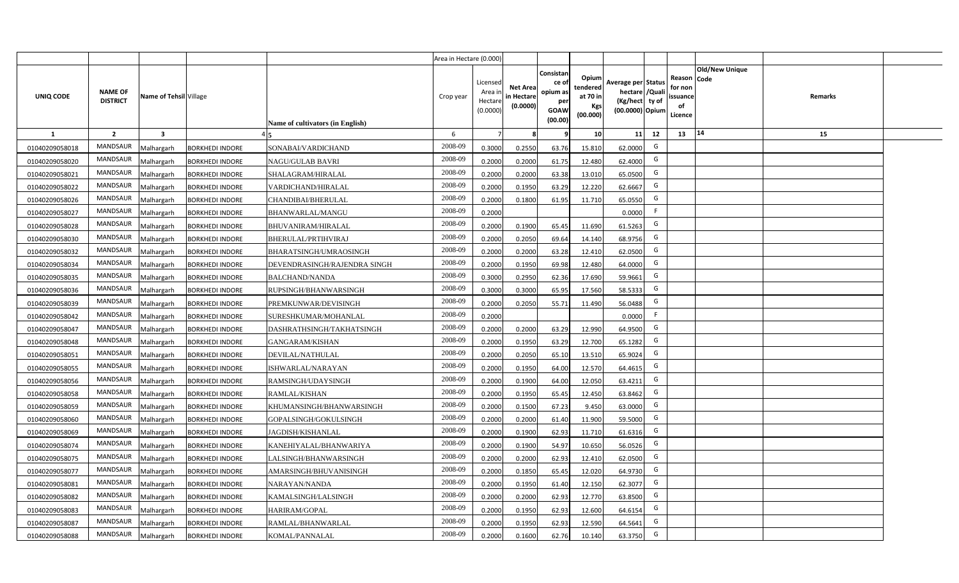|                |                                   |                         |                        |                                  | Area in Hectare (0.000) |                                           |                                           |                                                                 |                                                  |                                                                            |                                                    |                       |         |  |
|----------------|-----------------------------------|-------------------------|------------------------|----------------------------------|-------------------------|-------------------------------------------|-------------------------------------------|-----------------------------------------------------------------|--------------------------------------------------|----------------------------------------------------------------------------|----------------------------------------------------|-----------------------|---------|--|
| UNIQ CODE      | <b>NAME OF</b><br><b>DISTRICT</b> | Name of Tehsil Village  |                        | Name of cultivators (in English) | Crop year               | Licensed<br>Area i<br>Hectare<br>(0.0000) | <b>Net Area</b><br>in Hectare<br>(0.0000) | Consistan<br>ce of<br>opium as<br>per<br><b>GOAW</b><br>(00.00) | Opium<br>tendered<br>at 70 in<br>Kgs<br>(00.000) | Average per Status<br>hectare / Quali<br>(Kg/hect ty of<br>(00.0000) Opium | Reason Code<br>for non<br>ssuance<br>of<br>Licence | <b>Old/New Unique</b> | Remarks |  |
| $\mathbf{1}$   | $\overline{2}$                    | $\overline{\mathbf{3}}$ |                        |                                  | 6                       | $\overline{7}$                            | 8                                         | 9                                                               | 10 <sup>1</sup>                                  | 11<br>12                                                                   | 13                                                 | 14                    | 15      |  |
| 01040209058018 | MANDSAUR                          | Malhargarh              | <b>BORKHEDI INDORE</b> | SONABAI/VARDICHAND               | 2008-09                 | 0.3000                                    | 0.2550                                    | 63.76                                                           | 15.810                                           | G<br>62.0000                                                               |                                                    |                       |         |  |
| 01040209058020 | MANDSAUR                          | <b>Aalhargarh</b>       | <b>BORKHEDI INDORE</b> | NAGU/GULAB BAVRI                 | 2008-09                 | 0.2000                                    | 0.2000                                    | 61.75                                                           | 12.480                                           | G<br>62.4000                                                               |                                                    |                       |         |  |
| 01040209058021 | MANDSAUR                          | Malhargarh              | <b>BORKHEDI INDORE</b> | SHALAGRAM/HIRALAL                | 2008-09                 | 0.2000                                    | 0.2000                                    | 63.38                                                           | 13.010                                           | G<br>65.0500                                                               |                                                    |                       |         |  |
| 01040209058022 | <b>MANDSAUR</b>                   | Vlalhargarh             | <b>BORKHEDI INDORE</b> | VARDICHAND/HIRALAL               | 2008-09                 | 0.2000                                    | 0.1950                                    | 63.29                                                           | 12.220                                           | G<br>62.6667                                                               |                                                    |                       |         |  |
| 01040209058026 | MANDSAUR                          | Malhargarh              | <b>BORKHEDI INDORE</b> | CHANDIBAI/BHERULAL               | 2008-09                 | 0.2000                                    | 0.1800                                    | 61.95                                                           | 11.710                                           | G<br>65.0550                                                               |                                                    |                       |         |  |
| 01040209058027 | MANDSAUR                          | Malhargarh              | <b>BORKHEDI INDORE</b> | BHANWARLAL/MANGU                 | 2008-09                 | 0.2000                                    |                                           |                                                                 |                                                  | F<br>0.0000                                                                |                                                    |                       |         |  |
| 01040209058028 | MANDSAUR                          | Malhargarh              | <b>BORKHEDI INDORE</b> | <b>BHUVANIRAM/HIRALAL</b>        | 2008-09                 | 0.2000                                    | 0.1900                                    | 65.45                                                           | 11.690                                           | G<br>61.5263                                                               |                                                    |                       |         |  |
| 01040209058030 | MANDSAUR                          | Malhargarh              | <b>BORKHEDI INDORE</b> | <b>BHERULAL/PRTIHVIRAJ</b>       | 2008-09                 | 0.2000                                    | 0.2050                                    | 69.64                                                           | 14.140                                           | G<br>68.9756                                                               |                                                    |                       |         |  |
| 01040209058032 | <b>MANDSAUR</b>                   | Malhargarh              | <b>BORKHEDI INDORE</b> | BHARATSINGH/UMRAOSINGH           | 2008-09                 | 0.2000                                    | 0.2000                                    | 63.28                                                           | 12.410                                           | G<br>62.0500                                                               |                                                    |                       |         |  |
| 01040209058034 | <b>MANDSAUR</b>                   | Malhargarh              | <b>BORKHEDI INDORE</b> | DEVENDRASINGH/RAJENDRA SINGH     | 2008-09                 | 0.2000                                    | 0.1950                                    | 69.98                                                           | 12.480                                           | G<br>64.0000                                                               |                                                    |                       |         |  |
| 01040209058035 | MANDSAUR                          | Malhargarh              | <b>BORKHEDI INDORE</b> | <b>BALCHAND/NANDA</b>            | 2008-09                 | 0.3000                                    | 0.2950                                    | 62.36                                                           | 17.690                                           | G<br>59.9661                                                               |                                                    |                       |         |  |
| 01040209058036 | <b>MANDSAUR</b>                   | Malhargarh              | <b>BORKHEDI INDORE</b> | RUPSINGH/BHANWARSINGH            | 2008-09                 | 0.3000                                    | 0.3000                                    | 65.95                                                           | 17.560                                           | G<br>58.5333                                                               |                                                    |                       |         |  |
| 01040209058039 | MANDSAUR                          | Malhargarh              | <b>BORKHEDI INDORE</b> | PREMKUNWAR/DEVISINGH             | 2008-09                 | 0.2000                                    | 0.2050                                    | 55.71                                                           | 11.490                                           | G<br>56.0488                                                               |                                                    |                       |         |  |
| 01040209058042 | <b>MANDSAUR</b>                   | Malhargarh              | <b>BORKHEDI INDORE</b> | SURESHKUMAR/MOHANLAL             | 2008-09                 | 0.2000                                    |                                           |                                                                 |                                                  | F<br>0.0000                                                                |                                                    |                       |         |  |
| 01040209058047 | <b>MANDSAUR</b>                   | Malhargarh              | <b>BORKHEDI INDORE</b> | DASHRATHSINGH/TAKHATSINGH        | 2008-09                 | 0.2000                                    | 0.2000                                    | 63.29                                                           | 12.990                                           | G<br>64.9500                                                               |                                                    |                       |         |  |
| 01040209058048 | <b>MANDSAUR</b>                   | Malhargarh              | <b>BORKHEDI INDORE</b> | <b>GANGARAM/KISHAN</b>           | 2008-09                 | 0.2000                                    | 0.1950                                    | 63.29                                                           | 12.700                                           | G<br>65.1282                                                               |                                                    |                       |         |  |
| 01040209058051 | <b>MANDSAUR</b>                   | Malhargarh              | <b>BORKHEDI INDORE</b> | DEVILAL/NATHULAL                 | 2008-09                 | 0.2000                                    | 0.2050                                    | 65.10                                                           | 13.510                                           | G<br>65.9024                                                               |                                                    |                       |         |  |
| 01040209058055 | <b>MANDSAUR</b>                   | Malhargarh              | <b>BORKHEDI INDORE</b> | ISHWARLAL/NARAYAN                | 2008-09                 | 0.2000                                    | 0.1950                                    | 64.00                                                           | 12.570                                           | G<br>64.4615                                                               |                                                    |                       |         |  |
| 01040209058056 | <b>MANDSAUR</b>                   | Malhargarh              | <b>BORKHEDI INDORE</b> | RAMSINGH/UDAYSINGH               | 2008-09                 | 0.2000                                    | 0.1900                                    | 64.00                                                           | 12.050                                           | G<br>63.4211                                                               |                                                    |                       |         |  |
| 01040209058058 | MANDSAUR                          | Malhargarh              | <b>BORKHEDI INDORE</b> | RAMLAL/KISHAN                    | 2008-09                 | 0.2000                                    | 0.1950                                    | 65.45                                                           | 12.450                                           | G<br>63.8462                                                               |                                                    |                       |         |  |
| 01040209058059 | <b>MANDSAUR</b>                   | Malhargarh              | <b>BORKHEDI INDORE</b> | KHUMANSINGH/BHANWARSINGH         | 2008-09                 | 0.2000                                    | 0.1500                                    | 67.23                                                           | 9.450                                            | G<br>63.0000                                                               |                                                    |                       |         |  |
| 01040209058060 | MANDSAUR                          | Malhargarh              | <b>BORKHEDI INDORE</b> | GOPALSINGH/GOKULSINGH            | 2008-09                 | 0.2000                                    | 0.2000                                    | 61.40                                                           | 11.900                                           | G<br>59.5000                                                               |                                                    |                       |         |  |
| 01040209058069 | <b>MANDSAUR</b>                   | Malhargarh              | <b>BORKHEDI INDORE</b> | JAGDISH/KISHANLAL                | 2008-09                 | 0.2000                                    | 0.1900                                    | 62.93                                                           | 11.710                                           | G<br>61.6316                                                               |                                                    |                       |         |  |
| 01040209058074 | MANDSAUR                          | Malhargarh              | <b>BORKHEDI INDORE</b> | KANEHIYALAL/BHANWARIYA           | 2008-09                 | 0.2000                                    | 0.1900                                    | 54.97                                                           | 10.650                                           | G<br>56.0526                                                               |                                                    |                       |         |  |
| 01040209058075 | <b>MANDSAUR</b>                   | Malhargarh              | <b>BORKHEDI INDORE</b> | LALSINGH/BHANWARSINGH            | 2008-09                 | 0.2000                                    | 0.2000                                    | 62.93                                                           | 12.410                                           | G<br>62.0500                                                               |                                                    |                       |         |  |
| 01040209058077 | MANDSAUR                          | Malhargarh              | <b>BORKHEDI INDORE</b> | AMARSINGH/BHUVANISINGH           | 2008-09                 | 0.2000                                    | 0.1850                                    | 65.45                                                           | 12.020                                           | G<br>64.9730                                                               |                                                    |                       |         |  |
| 01040209058081 | MANDSAUR                          | Malhargarh              | <b>BORKHEDI INDORE</b> | NARAYAN/NANDA                    | 2008-09                 | 0.2000                                    | 0.1950                                    | 61.40                                                           | 12.150                                           | G<br>62.3077                                                               |                                                    |                       |         |  |
| 01040209058082 | MANDSAUR                          | Malhargarh              | <b>BORKHEDI INDORE</b> | KAMALSINGH/LALSINGH              | 2008-09                 | 0.2000                                    | 0.2000                                    | 62.93                                                           | 12.770                                           | G<br>63.8500                                                               |                                                    |                       |         |  |
| 01040209058083 | MANDSAUR                          | Malhargarh              | <b>BORKHEDI INDORE</b> | HARIRAM/GOPAL                    | 2008-09                 | 0.2000                                    | 0.1950                                    | 62.93                                                           | 12.600                                           | G<br>64.6154                                                               |                                                    |                       |         |  |
| 01040209058087 | MANDSAUR                          | Malhargarh              | <b>BORKHEDI INDORE</b> | RAMLAL/BHANWARLAL                | 2008-09                 | 0.2000                                    | 0.1950                                    | 62.93                                                           | 12.590                                           | G<br>64.5641                                                               |                                                    |                       |         |  |
| 01040209058088 | MANDSAUR                          | Malhargarh              | <b>BORKHEDI INDORE</b> | KOMAL/PANNALAL                   | 2008-09                 | 0.2000                                    | 0.1600                                    | 62.76                                                           | 10.140                                           | G<br>63.3750                                                               |                                                    |                       |         |  |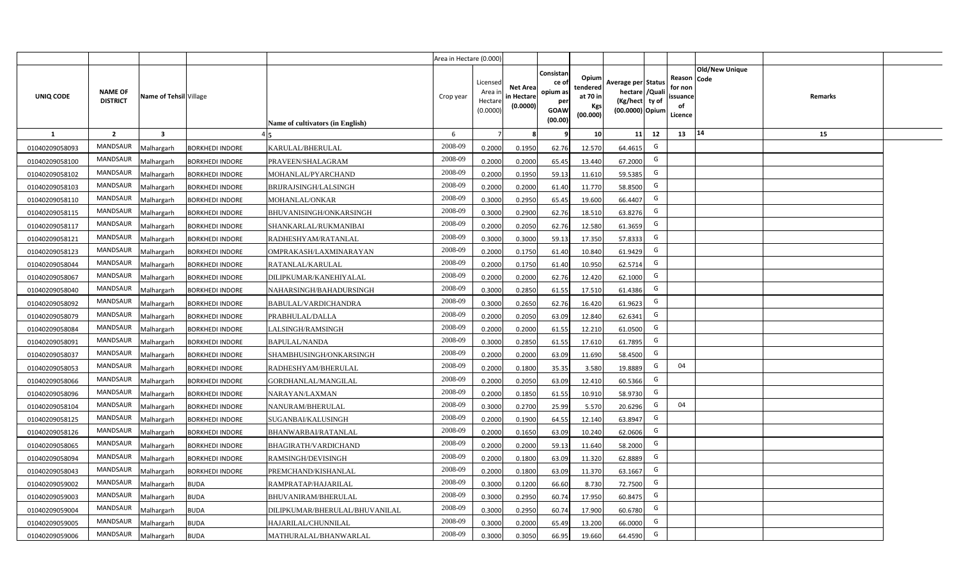|                |                                   |                        |                        |                                  | Area in Hectare (0.000) |                                           |                                           |                                                                 |                                                  |                                                                            |                                                    |                       |         |  |
|----------------|-----------------------------------|------------------------|------------------------|----------------------------------|-------------------------|-------------------------------------------|-------------------------------------------|-----------------------------------------------------------------|--------------------------------------------------|----------------------------------------------------------------------------|----------------------------------------------------|-----------------------|---------|--|
| UNIQ CODE      | <b>NAME OF</b><br><b>DISTRICT</b> | Name of Tehsil Village |                        | Name of cultivators (in English) | Crop year               | Licensed<br>Area i<br>Hectare<br>(0.0000) | <b>Net Area</b><br>in Hectare<br>(0.0000) | Consistan<br>ce of<br>opium as<br>per<br><b>GOAW</b><br>(00.00) | Opium<br>tendered<br>at 70 in<br>Kgs<br>(00.000) | Average per Status<br>hectare / Quali<br>(Kg/hect ty of<br>(00.0000) Opium | Reason Code<br>for non<br>ssuance<br>of<br>Licence | <b>Old/New Unique</b> | Remarks |  |
| $\mathbf{1}$   | $\overline{2}$                    | 3                      |                        |                                  | 6                       | $\overline{7}$                            | 8                                         | 9                                                               | 10 <sup>1</sup>                                  | 11<br>12                                                                   | 13                                                 | 14                    | 15      |  |
| 01040209058093 | MANDSAUR                          | Malhargarh             | <b>BORKHEDI INDORE</b> | KARULAL/BHERULAL                 | 2008-09                 | 0.2000                                    | 0.1950                                    | 62.76                                                           | 12.570                                           | G<br>64.4615                                                               |                                                    |                       |         |  |
| 01040209058100 | MANDSAUR                          | <b>Aalhargarh</b>      | <b>BORKHEDI INDORE</b> | PRAVEEN/SHALAGRAM                | 2008-09                 | 0.2000                                    | 0.2000                                    | 65.45                                                           | 13.440                                           | G<br>67.2000                                                               |                                                    |                       |         |  |
| 01040209058102 | MANDSAUR                          | Malhargarh             | <b>BORKHEDI INDORE</b> | MOHANLAL/PYARCHAND               | 2008-09                 | 0.2000                                    | 0.1950                                    | 59.13                                                           | 11.610                                           | G<br>59.5385                                                               |                                                    |                       |         |  |
| 01040209058103 | <b>MANDSAUR</b>                   | Malhargarh             | <b>BORKHEDI INDORE</b> | BRIJRAJSINGH/LALSINGH            | 2008-09                 | 0.2000                                    | 0.2000                                    | 61.40                                                           | 11.770                                           | G<br>58.8500                                                               |                                                    |                       |         |  |
| 01040209058110 | MANDSAUR                          | Malhargarh             | <b>BORKHEDI INDORE</b> | MOHANLAL/ONKAR                   | 2008-09                 | 0.3000                                    | 0.2950                                    | 65.45                                                           | 19.600                                           | G<br>66.4407                                                               |                                                    |                       |         |  |
| 01040209058115 | MANDSAUR                          | Malhargarh             | <b>BORKHEDI INDORE</b> | BHUVANISINGH/ONKARSINGH          | 2008-09                 | 0.3000                                    | 0.2900                                    | 62.76                                                           | 18.510                                           | G<br>63.8276                                                               |                                                    |                       |         |  |
| 01040209058117 | <b>MANDSAUR</b>                   | Malhargarh             | <b>BORKHEDI INDORE</b> | SHANKARLAL/RUKMANIBAI            | 2008-09                 | 0.2000                                    | 0.2050                                    | 62.76                                                           | 12.580                                           | G<br>61.3659                                                               |                                                    |                       |         |  |
| 01040209058121 | <b>MANDSAUR</b>                   | Malhargarh             | <b>BORKHEDI INDORE</b> | RADHESHYAM/RATANLAL              | 2008-09                 | 0.3000                                    | 0.3000                                    | 59.13                                                           | 17.350                                           | G<br>57.8333                                                               |                                                    |                       |         |  |
| 01040209058123 | <b>MANDSAUR</b>                   | Malhargarh             | <b>BORKHEDI INDORE</b> | OMPRAKASH/LAXMINARAYAN           | 2008-09                 | 0.2000                                    | 0.1750                                    | 61.40                                                           | 10.840                                           | G<br>61.9429                                                               |                                                    |                       |         |  |
| 01040209058044 | <b>MANDSAUR</b>                   | Malhargarh             | <b>BORKHEDI INDORE</b> | RATANLAL/KARULAL                 | 2008-09                 | 0.2000                                    | 0.1750                                    | 61.40                                                           | 10.950                                           | G<br>62.5714                                                               |                                                    |                       |         |  |
| 01040209058067 | MANDSAUR                          | Malhargarh             | <b>BORKHEDI INDORE</b> | DILIPKUMAR/KANEHIYALAL           | 2008-09                 | 0.2000                                    | 0.2000                                    | 62.76                                                           | 12.420                                           | G<br>62.1000                                                               |                                                    |                       |         |  |
| 01040209058040 | <b>MANDSAUR</b>                   | Malhargarh             | <b>BORKHEDI INDORE</b> | NAHARSINGH/BAHADURSINGH          | 2008-09                 | 0.3000                                    | 0.2850                                    | 61.55                                                           | 17.510                                           | G<br>61.4386                                                               |                                                    |                       |         |  |
| 01040209058092 | <b>MANDSAUR</b>                   | Malhargarh             | <b>BORKHEDI INDORE</b> | BABULAL/VARDICHANDRA             | 2008-09                 | 0.3000                                    | 0.2650                                    | 62.76                                                           | 16.420                                           | G<br>61.9623                                                               |                                                    |                       |         |  |
| 01040209058079 | <b>MANDSAUR</b>                   | Malhargarh             | <b>BORKHEDI INDORE</b> | PRABHULAL/DALLA                  | 2008-09                 | 0.2000                                    | 0.2050                                    | 63.09                                                           | 12.840                                           | G<br>62.6341                                                               |                                                    |                       |         |  |
| 01040209058084 | <b>MANDSAUR</b>                   | Malhargarh             | <b>BORKHEDI INDORE</b> | LALSINGH/RAMSINGH                | 2008-09                 | 0.2000                                    | 0.2000                                    | 61.55                                                           | 12.210                                           | G<br>61.0500                                                               |                                                    |                       |         |  |
| 01040209058091 | <b>MANDSAUR</b>                   | Malhargarh             | <b>BORKHEDI INDORE</b> | <b>BAPULAL/NANDA</b>             | 2008-09                 | 0.3000                                    | 0.2850                                    | 61.55                                                           | 17.610                                           | G<br>61.7895                                                               |                                                    |                       |         |  |
| 01040209058037 | <b>MANDSAUR</b>                   | Malhargarh             | <b>BORKHEDI INDORE</b> | SHAMBHUSINGH/ONKARSINGH          | 2008-09                 | 0.2000                                    | 0.2000                                    | 63.09                                                           | 11.690                                           | G<br>58.4500                                                               |                                                    |                       |         |  |
| 01040209058053 | <b>MANDSAUR</b>                   | Malhargarh             | <b>BORKHEDI INDORE</b> | RADHESHYAM/BHERULAL              | 2008-09                 | 0.2000                                    | 0.1800                                    | 35.35                                                           | 3.580                                            | G<br>19.8889                                                               | 04                                                 |                       |         |  |
| 01040209058066 | <b>MANDSAUR</b>                   | Malhargarh             | <b>BORKHEDI INDORE</b> | GORDHANLAL/MANGILAL              | 2008-09                 | 0.2000                                    | 0.2050                                    | 63.09                                                           | 12.410                                           | G<br>60.5366                                                               |                                                    |                       |         |  |
| 01040209058096 | <b>MANDSAUR</b>                   | Malhargarh             | <b>BORKHEDI INDORE</b> | NARAYAN/LAXMAN                   | 2008-09                 | 0.2000                                    | 0.1850                                    | 61.55                                                           | 10.910                                           | G<br>58.9730                                                               |                                                    |                       |         |  |
| 01040209058104 | <b>MANDSAUR</b>                   | Malhargarh             | <b>BORKHEDI INDORE</b> | NANURAM/BHERULAL                 | 2008-09                 | 0.3000                                    | 0.2700                                    | 25.99                                                           | 5.570                                            | G<br>20.6296                                                               | 04                                                 |                       |         |  |
| 01040209058125 | MANDSAUR                          | Malhargarh             | <b>BORKHEDI INDORE</b> | SUGANBAI/KALUSINGH               | 2008-09                 | 0.2000                                    | 0.1900                                    | 64.55                                                           | 12.140                                           | G<br>63.8947                                                               |                                                    |                       |         |  |
| 01040209058126 | <b>MANDSAUR</b>                   | Malhargarh             | <b>BORKHEDI INDORE</b> | BHANWARBAI/RATANLAL              | 2008-09                 | 0.2000                                    | 0.1650                                    | 63.09                                                           | 10.240                                           | G<br>62.0606                                                               |                                                    |                       |         |  |
| 01040209058065 | <b>MANDSAUR</b>                   | Malhargarh             | <b>BORKHEDI INDORE</b> | BHAGIRATH/VARDICHAND             | 2008-09                 | 0.2000                                    | 0.2000                                    | 59.13                                                           | 11.640                                           | G<br>58.2000                                                               |                                                    |                       |         |  |
| 01040209058094 | <b>MANDSAUR</b>                   | Malhargarh             | <b>BORKHEDI INDORE</b> | RAMSINGH/DEVISINGH               | 2008-09                 | 0.2000                                    | 0.1800                                    | 63.09                                                           | 11.320                                           | G<br>62.8889                                                               |                                                    |                       |         |  |
| 01040209058043 | MANDSAUR                          | Malhargarh             | <b>BORKHEDI INDORE</b> | PREMCHAND/KISHANLAL              | 2008-09                 | 0.2000                                    | 0.1800                                    | 63.09                                                           | 11.370                                           | G<br>63.1667                                                               |                                                    |                       |         |  |
| 01040209059002 | MANDSAUR                          | Malhargarh             | <b>BUDA</b>            | RAMPRATAP/HAJARILAL              | 2008-09                 | 0.3000                                    | 0.1200                                    | 66.60                                                           | 8.730                                            | G<br>72.7500                                                               |                                                    |                       |         |  |
| 01040209059003 | MANDSAUR                          | Malhargarh             | <b>BUDA</b>            | BHUVANIRAM/BHERULAL              | 2008-09                 | 0.3000                                    | 0.2950                                    | 60.74                                                           | 17.950                                           | G<br>60.8475                                                               |                                                    |                       |         |  |
| 01040209059004 | MANDSAUR                          | Malhargarh             | <b>BUDA</b>            | DILIPKUMAR/BHERULAL/BHUVANILAL   | 2008-09                 | 0.3000                                    | 0.2950                                    | 60.74                                                           | 17.900                                           | G<br>60.6780                                                               |                                                    |                       |         |  |
| 01040209059005 | MANDSAUR                          | Malhargarh             | <b>BUDA</b>            | HAJARILAL/CHUNNILAL              | 2008-09                 | 0.3000                                    | 0.2000                                    | 65.49                                                           | 13.200                                           | G<br>66.0000                                                               |                                                    |                       |         |  |
| 01040209059006 | MANDSAUR                          | Malhargarh             | <b>BUDA</b>            | MATHURALAL/BHANWARLAL            | 2008-09                 | 0.3000                                    | 0.3050                                    | 66.95                                                           | 19.660                                           | G<br>64.4590                                                               |                                                    |                       |         |  |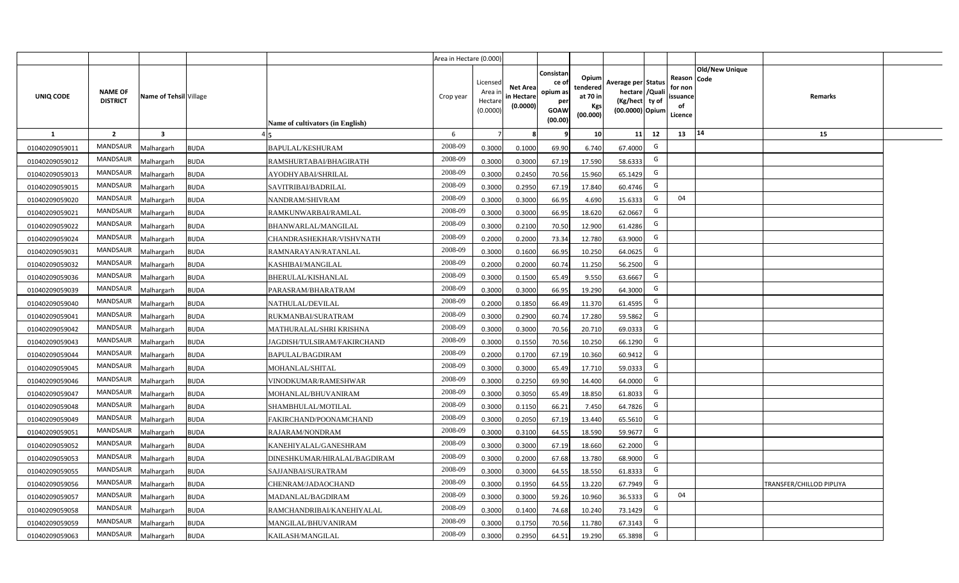|                |                                   |                         |                                             | Area in Hectare (0.000) |                                            |                                           |                                                                |                                                  |                                                                            |    |                                                                                              |                          |  |
|----------------|-----------------------------------|-------------------------|---------------------------------------------|-------------------------|--------------------------------------------|-------------------------------------------|----------------------------------------------------------------|--------------------------------------------------|----------------------------------------------------------------------------|----|----------------------------------------------------------------------------------------------|--------------------------|--|
| UNIQ CODE      | <b>NAME OF</b><br><b>DISTRICT</b> | Name of Tehsil Village  | Name of cultivators (in English)            | Crop year               | Licensed<br>Area in<br>Hectare<br>(0.0000) | <b>Net Area</b><br>in Hectare<br>(0.0000) | Consistar<br>ce o<br>opium as<br>per<br><b>GOAW</b><br>(00.00) | Opium<br>tendered<br>at 70 in<br>Kgs<br>(00.000) | Average per Status<br>hectare / Quali<br>(Kg/hect ty of<br>(00.0000) Opium |    | <b>Old/New Unique</b><br>Reason<br><b>Code</b><br>for non<br><b>ssuance</b><br>of<br>Licence | Remarks                  |  |
| $\mathbf{1}$   | $\overline{2}$                    | $\overline{\mathbf{3}}$ |                                             | 6                       | $\overline{7}$                             |                                           | ٩                                                              | 10                                               | 11                                                                         | 12 | 14<br>13                                                                                     | 15                       |  |
| 01040209059011 | MANDSAUR                          | <b>Aalhargarh</b>       | <b>BUDA</b><br><b>BAPULAL/KESHURAM</b>      | 2008-09                 | 0.3000                                     | 0.1000                                    | 69.90                                                          | 6.740                                            | 67.4000                                                                    | G  |                                                                                              |                          |  |
| 01040209059012 | MANDSAUR                          | <b>Malhargarh</b>       | <b>BUDA</b><br>RAMSHURTABAI/BHAGIRATH       | 2008-09                 | 0.3000                                     | 0.3000                                    | 67.19                                                          | 17.590                                           | 58.6333                                                                    | G  |                                                                                              |                          |  |
| 01040209059013 | MANDSAUR                          | <b>Malhargarh</b>       | <b>BUDA</b><br>AYODHYABAI/SHRILAL           | 2008-09                 | 0.3000                                     | 0.2450                                    | 70.56                                                          | 15.960                                           | 65.1429                                                                    | G  |                                                                                              |                          |  |
| 01040209059015 | <b>MANDSAUR</b>                   | <b>Malhargarh</b>       | <b>BUDA</b><br>SAVITRIBAI/BADRILAL          | 2008-09                 | 0.3000                                     | 0.2950                                    | 67.19                                                          | 17.840                                           | 60.4746                                                                    | G  |                                                                                              |                          |  |
| 01040209059020 | MANDSAUR                          | <b>Malhargarh</b>       | <b>BUDA</b><br>NANDRAM/SHIVRAM              | 2008-09                 | 0.3000                                     | 0.3000                                    | 66.95                                                          | 4.690                                            | 15.6333                                                                    | G  | 04                                                                                           |                          |  |
| 01040209059021 | <b>MANDSAUR</b>                   | <b>Malhargarh</b>       | <b>BUDA</b><br>RAMKUNWARBAI/RAMLAL          | 2008-09                 | 0.3000                                     | 0.3000                                    | 66.95                                                          | 18.620                                           | 62.0667                                                                    | G  |                                                                                              |                          |  |
| 01040209059022 | <b>MANDSAUR</b>                   | <b>Malhargarh</b>       | <b>BUDA</b><br>BHANWARLAL/MANGILAL          | 2008-09                 | 0.3000                                     | 0.2100                                    | 70.50                                                          | 12.900                                           | 61.4286                                                                    | G  |                                                                                              |                          |  |
| 01040209059024 | <b>MANDSAUR</b>                   | <b>Malhargarh</b>       | <b>BUDA</b><br>CHANDRASHEKHAR/VISHVNATH     | 2008-09                 | 0.2000                                     | 0.2000                                    | 73.34                                                          | 12.780                                           | 63.9000                                                                    | G  |                                                                                              |                          |  |
| 01040209059031 | <b>MANDSAUR</b>                   | <b>Malhargarh</b>       | <b>BUDA</b><br>RAMNARAYAN/RATANLAL          | 2008-09                 | 0.3000                                     | 0.1600                                    | 66.95                                                          | 10.250                                           | 64.0625                                                                    | G  |                                                                                              |                          |  |
| 01040209059032 | <b>MANDSAUR</b>                   | <b>Malhargarh</b>       | <b>BUDA</b><br>KASHIBAI/MANGILAL            | 2008-09                 | 0.2000                                     | 0.2000                                    | 60.74                                                          | 11.250                                           | 56.2500                                                                    | G  |                                                                                              |                          |  |
| 01040209059036 | <b>MANDSAUR</b>                   | <b>Malhargarh</b>       | <b>BUDA</b><br>BHERULAL/KISHANLAL           | 2008-09                 | 0.3000                                     | 0.1500                                    | 65.49                                                          | 9.550                                            | 63.6667                                                                    | G  |                                                                                              |                          |  |
| 01040209059039 | <b>MANDSAUR</b>                   | <b>Malhargarh</b>       | <b>BUDA</b><br>PARASRAM/BHARATRAM           | 2008-09                 | 0.3000                                     | 0.3000                                    | 66.95                                                          | 19.290                                           | 64.3000                                                                    | G  |                                                                                              |                          |  |
| 01040209059040 | MANDSAUR                          | <b>Malhargarh</b>       | <b>BUDA</b><br>NATHULAL/DEVILAL             | 2008-09                 | 0.2000                                     | 0.1850                                    | 66.49                                                          | 11.370                                           | 61.4595                                                                    | G  |                                                                                              |                          |  |
| 01040209059041 | <b>MANDSAUR</b>                   | Malhargarh              | <b>BUDA</b><br>RUKMANBAI/SURATRAM           | 2008-09                 | 0.3000                                     | 0.2900                                    | 60.74                                                          | 17.280                                           | 59.5862                                                                    | G  |                                                                                              |                          |  |
| 01040209059042 | <b>MANDSAUR</b>                   | Malhargarh              | <b>BUDA</b><br>MATHURALAL/SHRI KRISHNA      | 2008-09                 | 0.3000                                     | 0.3000                                    | 70.56                                                          | 20.710                                           | 69.0333                                                                    | G  |                                                                                              |                          |  |
| 01040209059043 | <b>MANDSAUR</b>                   | Malhargarh              | <b>BUDA</b><br>JAGDISH/TULSIRAM/FAKIRCHAND  | 2008-09                 | 0.3000                                     | 0.1550                                    | 70.56                                                          | 10.250                                           | 66.1290                                                                    | G  |                                                                                              |                          |  |
| 01040209059044 | <b>MANDSAUR</b>                   | <b>Malhargarh</b>       | <b>BUDA</b><br>BAPULAL/BAGDIRAM             | 2008-09                 | 0.2000                                     | 0.1700                                    | 67.19                                                          | 10.360                                           | 60.9412                                                                    | G  |                                                                                              |                          |  |
| 01040209059045 | MANDSAUR                          | <b>Malhargarh</b>       | <b>BUDA</b><br>MOHANLAL/SHITAL              | 2008-09                 | 0.3000                                     | 0.3000                                    | 65.49                                                          | 17.710                                           | 59.0333                                                                    | G  |                                                                                              |                          |  |
| 01040209059046 | <b>MANDSAUR</b>                   | <b>Malhargarh</b>       | <b>BUDA</b><br>VINODKUMAR/RAMESHWAR         | 2008-09                 | 0.3000                                     | 0.2250                                    | 69.90                                                          | 14.400                                           | 64.0000                                                                    | G  |                                                                                              |                          |  |
| 01040209059047 | <b>MANDSAUR</b>                   | Malhargarh              | <b>BUDA</b><br>MOHANLAL/BHUVANIRAM          | 2008-09                 | 0.3000                                     | 0.3050                                    | 65.49                                                          | 18.850                                           | 61.8033                                                                    | G  |                                                                                              |                          |  |
| 01040209059048 | MANDSAUR                          | <b>Malhargarh</b>       | <b>BUDA</b><br>SHAMBHULAL/MOTILAL           | 2008-09                 | 0.3000                                     | 0.1150                                    | 66.21                                                          | 7.450                                            | 64.7826                                                                    | G  |                                                                                              |                          |  |
| 01040209059049 | MANDSAUR                          | <b>Malhargarh</b>       | <b>BUDA</b><br>FAKIRCHAND/POONAMCHAND       | 2008-09                 | 0.3000                                     | 0.2050                                    | 67.19                                                          | 13.440                                           | 65.561                                                                     | G  |                                                                                              |                          |  |
| 01040209059051 | <b>MANDSAUR</b>                   | <b>Aalhargarh</b>       | <b>BUDA</b><br>RAJARAM/NONDRAM              | 2008-09                 | 0.3000                                     | 0.3100                                    | 64.55                                                          | 18.590                                           | 59.9677                                                                    | G  |                                                                                              |                          |  |
| 01040209059052 | <b>MANDSAUR</b>                   | <b>Malhargarh</b>       | <b>BUDA</b><br>KANEHIYALAL/GANESHRAM        | 2008-09                 | 0.3000                                     | 0.3000                                    | 67.19                                                          | 18.660                                           | 62.2000                                                                    | G  |                                                                                              |                          |  |
| 01040209059053 | <b>MANDSAUR</b>                   | <b>Malhargarh</b>       | <b>BUDA</b><br>DINESHKUMAR/HIRALAL/BAGDIRAM | 2008-09                 | 0.3000                                     | 0.2000                                    | 67.68                                                          | 13.780                                           | 68.9000                                                                    | G  |                                                                                              |                          |  |
| 01040209059055 | MANDSAUR                          | <b>Malhargarh</b>       | <b>BUDA</b><br>SAJJANBAI/SURATRAM           | 2008-09                 | 0.3000                                     | 0.3000                                    | 64.55                                                          | 18.550                                           | 61.8333                                                                    | G  |                                                                                              |                          |  |
| 01040209059056 | <b>MANDSAUR</b>                   | <b>Malhargarh</b>       | <b>BUDA</b><br>CHENRAM/JADAOCHAND           | 2008-09                 | 0.3000                                     | 0.1950                                    | 64.55                                                          | 13.220                                           | 67.7949                                                                    | G  |                                                                                              | TRANSFER/CHILLOD PIPLIYA |  |
| 01040209059057 | <b>MANDSAUR</b>                   | <b>Malhargarh</b>       | <b>BUDA</b><br>MADANLAL/BAGDIRAM            | 2008-09                 | 0.3000                                     | 0.3000                                    | 59.26                                                          | 10.960                                           | 36.5333                                                                    | G  | 04                                                                                           |                          |  |
| 01040209059058 | <b>MANDSAUR</b>                   | <b>Malhargarh</b>       | <b>BUDA</b><br>RAMCHANDRIBAI/KANEHIYALAL    | 2008-09                 | 0.3000                                     | 0.1400                                    | 74.68                                                          | 10.240                                           | 73.1429                                                                    | G  |                                                                                              |                          |  |
| 01040209059059 | <b>MANDSAUR</b>                   | <b>Malhargarh</b>       | <b>BUDA</b><br>MANGILAL/BHUVANIRAM          | 2008-09                 | 0.3000                                     | 0.1750                                    | 70.56                                                          | 11.780                                           | 67.3143                                                                    | G  |                                                                                              |                          |  |
| 01040209059063 | MANDSAUR                          | Malhargarh              | <b>BUDA</b><br>KAILASH/MANGILAL             | 2008-09                 | 0.3000                                     | 0.2950                                    | 64.51                                                          | 19.290                                           | 65.3898                                                                    | G  |                                                                                              |                          |  |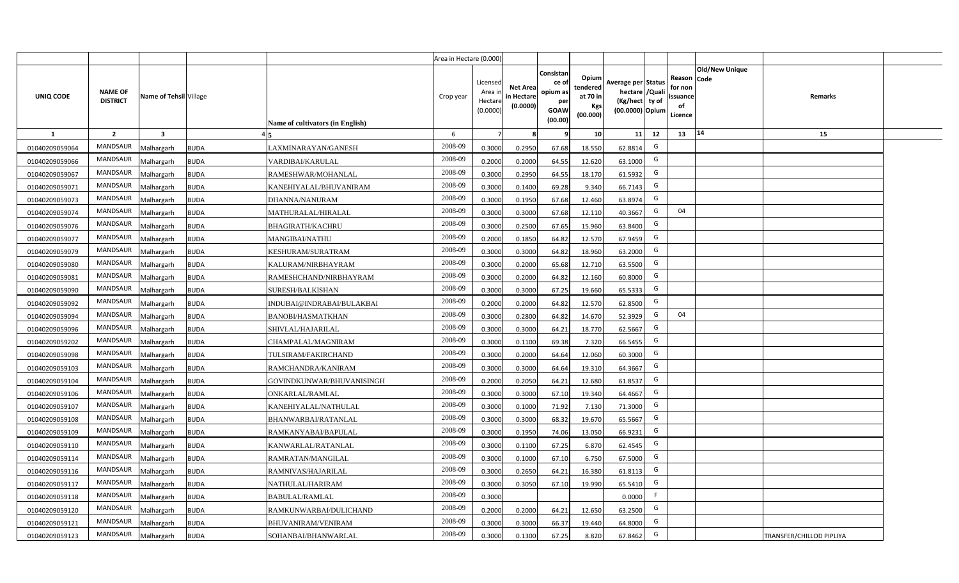|                |                                   |                         |                                          | Area in Hectare (0.000) |                                            |                                           |                                                         |                                                         |                                                                            |    |                                                |                               |                          |  |
|----------------|-----------------------------------|-------------------------|------------------------------------------|-------------------------|--------------------------------------------|-------------------------------------------|---------------------------------------------------------|---------------------------------------------------------|----------------------------------------------------------------------------|----|------------------------------------------------|-------------------------------|--------------------------|--|
| UNIQ CODE      | <b>NAME OF</b><br><b>DISTRICT</b> | Name of Tehsil Village  | Name of cultivators (in English)         | Crop year               | Licensed<br>Area ir<br>Hectare<br>(0.0000) | <b>Net Area</b><br>in Hectare<br>(0.0000) | Consistar<br>ce o<br>opium as<br>per<br>GOAW<br>(00.00) | Opium<br>tendered<br>at 70 in<br><b>Kgs</b><br>(00.000) | Average per Status<br>hectare / Quali<br>(Kg/hect ty of<br>(00.0000) Opium |    | Reason<br>for non<br>issuance<br>of<br>Licence | <b>Old/New Unique</b><br>Code | Remarks                  |  |
| $\mathbf{1}$   | $\overline{2}$                    | $\overline{\mathbf{3}}$ |                                          | 6                       | $\overline{7}$                             |                                           |                                                         | 10                                                      | 11                                                                         | 12 | 14<br>13                                       |                               | 15                       |  |
| 01040209059064 | MANDSAUR                          | <b>Aalhargarh</b>       | <b>BUDA</b><br>LAXMINARAYAN/GANESH       | 2008-09                 | 0.3000                                     | 0.2950                                    | 67.68                                                   | 18.550                                                  | 62.8814                                                                    | G  |                                                |                               |                          |  |
| 01040209059066 | <b>MANDSAUR</b>                   | <b>Malhargarh</b>       | <b>BUDA</b><br>VARDIBAI/KARULAL          | 2008-09                 | 0.2000                                     | 0.2000                                    | 64.55                                                   | 12.620                                                  | 63.1000                                                                    | G  |                                                |                               |                          |  |
| 01040209059067 | MANDSAUR                          | <b>Malhargarh</b>       | <b>BUDA</b><br>RAMESHWAR/MOHANLAL        | 2008-09                 | 0.3000                                     | 0.2950                                    | 64.55                                                   | 18.170                                                  | 61.5932                                                                    | G  |                                                |                               |                          |  |
| 01040209059071 | MANDSAUR                          | <b>Malhargarh</b>       | <b>BUDA</b><br>KANEHIYALAL/BHUVANIRAM    | 2008-09                 | 0.3000                                     | 0.1400                                    | 69.28                                                   | 9.340                                                   | 66.7143                                                                    | G  |                                                |                               |                          |  |
| 01040209059073 | <b>MANDSAUR</b>                   | <b>Malhargarh</b>       | <b>BUDA</b><br>DHANNA/NANURAM            | 2008-09                 | 0.3000                                     | 0.1950                                    | 67.68                                                   | 12.460                                                  | 63.8974                                                                    | G  |                                                |                               |                          |  |
| 01040209059074 | MANDSAUR                          | <b>Malhargarh</b>       | <b>BUDA</b><br>MATHURALAL/HIRALAL        | 2008-09                 | 0.3000                                     | 0.3000                                    | 67.68                                                   | 12.110                                                  | 40.3667                                                                    | G  | 04                                             |                               |                          |  |
| 01040209059076 | MANDSAUR                          | <b>Malhargarh</b>       | <b>BUDA</b><br><b>BHAGIRATH/KACHRU</b>   | 2008-09                 | 0.3000                                     | 0.2500                                    | 67.65                                                   | 15.960                                                  | 63.8400                                                                    | G  |                                                |                               |                          |  |
| 01040209059077 | MANDSAUR                          | <b>Malhargarh</b>       | <b>BUDA</b><br>MANGIBAI/NATHU            | 2008-09                 | 0.2000                                     | 0.1850                                    | 64.82                                                   | 12.570                                                  | 67.9459                                                                    | G  |                                                |                               |                          |  |
| 01040209059079 | <b>MANDSAUR</b>                   | <b>Malhargarh</b>       | <b>BUDA</b><br>KESHURAM/SURATRAM         | 2008-09                 | 0.3000                                     | 0.3000                                    | 64.82                                                   | 18.960                                                  | 63.2000                                                                    | G  |                                                |                               |                          |  |
| 01040209059080 | MANDSAUR                          | <b>Malhargarh</b>       | <b>BUDA</b><br>KALURAM/NIRBHAYRAM        | 2008-09                 | 0.3000                                     | 0.2000                                    | 65.68                                                   | 12.710                                                  | 63.5500                                                                    | G  |                                                |                               |                          |  |
| 01040209059081 | MANDSAUR                          | <b>Malhargarh</b>       | <b>BUDA</b><br>RAMESHCHAND/NIRBHAYRAM    | 2008-09                 | 0.3000                                     | 0.2000                                    | 64.82                                                   | 12.160                                                  | 60.8000                                                                    | G  |                                                |                               |                          |  |
| 01040209059090 | <b>MANDSAUR</b>                   | <b>Malhargarh</b>       | <b>BUDA</b><br>SURESH/BALKISHAN          | 2008-09                 | 0.3000                                     | 0.3000                                    | 67.25                                                   | 19.660                                                  | 65.5333                                                                    | G  |                                                |                               |                          |  |
| 01040209059092 | <b>MANDSAUR</b>                   | <b>Malhargarh</b>       | <b>BUDA</b><br>INDUBAI@INDRABAI/BULAKBAI | 2008-09                 | 0.2000                                     | 0.2000                                    | 64.82                                                   | 12.570                                                  | 62.8500                                                                    | G  |                                                |                               |                          |  |
| 01040209059094 | MANDSAUR                          | <b>Malhargarh</b>       | <b>BUDA</b><br><b>BANOBI/HASMATKHAN</b>  | 2008-09                 | 0.3000                                     | 0.2800                                    | 64.82                                                   | 14.670                                                  | 52.3929                                                                    | G  | 04                                             |                               |                          |  |
| 01040209059096 | MANDSAUR                          | <b>Malhargarh</b>       | <b>BUDA</b><br>SHIVLAL/HAJARILAL         | 2008-09                 | 0.3000                                     | 0.3000                                    | 64.21                                                   | 18.770                                                  | 62.5667                                                                    | G  |                                                |                               |                          |  |
| 01040209059202 | <b>MANDSAUR</b>                   | Malhargarh              | <b>BUDA</b><br>CHAMPALAL/MAGNIRAM        | 2008-09                 | 0.3000                                     | 0.1100                                    | 69.38                                                   | 7.320                                                   | 66.5455                                                                    | G  |                                                |                               |                          |  |
| 01040209059098 | <b>MANDSAUR</b>                   | <b>Malhargarh</b>       | <b>BUDA</b><br>TULSIRAM/FAKIRCHAND       | 2008-09                 | 0.3000                                     | 0.2000                                    | 64.64                                                   | 12.060                                                  | 60.3000                                                                    | G  |                                                |                               |                          |  |
| 01040209059103 | <b>MANDSAUR</b>                   | <b>Malhargarh</b>       | <b>BUDA</b><br>RAMCHANDRA/KANIRAM        | 2008-09                 | 0.3000                                     | 0.3000                                    | 64.64                                                   | 19.310                                                  | 64.3667                                                                    | G  |                                                |                               |                          |  |
| 01040209059104 | <b>MANDSAUR</b>                   | <b>Malhargarh</b>       | <b>BUDA</b><br>GOVINDKUNWAR/BHUVANISINGH | 2008-09                 | 0.2000                                     | 0.2050                                    | 64.21                                                   | 12.680                                                  | 61.8537                                                                    | G  |                                                |                               |                          |  |
| 01040209059106 | <b>MANDSAUR</b>                   | Malhargarh              | <b>BUDA</b><br>ONKARLAL/RAMLAL           | 2008-09                 | 0.3000                                     | 0.3000                                    | 67.1                                                    | 19.340                                                  | 64.4667                                                                    | G  |                                                |                               |                          |  |
| 01040209059107 | MANDSAUR                          | <b>Malhargarh</b>       | <b>BUDA</b><br>KANEHIYALAL/NATHULAL      | 2008-09                 | 0.3000                                     | 0.1000                                    | 71.92                                                   | 7.130                                                   | 71.3000                                                                    | G  |                                                |                               |                          |  |
| 01040209059108 | <b>MANDSAUR</b>                   | <b>Malhargarh</b>       | <b>BUDA</b><br>BHANWARBAI/RATANLAL       | 2008-09                 | 0.3000                                     | 0.3000                                    | 68.32                                                   | 19.670                                                  | 65.5667                                                                    | G  |                                                |                               |                          |  |
| 01040209059109 | <b>MANDSAUR</b>                   | <b>Aalhargarh</b>       | <b>BUDA</b><br>RAMKANYABAI/BAPULAL       | 2008-09                 | 0.3000                                     | 0.1950                                    | 74.06                                                   | 13.050                                                  | 66.9231                                                                    | G  |                                                |                               |                          |  |
| 01040209059110 | <b>MANDSAUR</b>                   | <b>Malhargarh</b>       | <b>BUDA</b><br>KANWARLAL/RATANLAL        | 2008-09                 | 0.3000                                     | 0.1100                                    | 67.25                                                   | 6.870                                                   | 62.4545                                                                    | G  |                                                |                               |                          |  |
| 01040209059114 | <b>MANDSAUR</b>                   | <b>Malhargarh</b>       | <b>BUDA</b><br>RAMRATAN/MANGILAL         | 2008-09                 | 0.3000                                     | 0.1000                                    | 67.10                                                   | 6.750                                                   | 67.5000                                                                    | G  |                                                |                               |                          |  |
| 01040209059116 | <b>MANDSAUR</b>                   | <b>Malhargarh</b>       | <b>BUDA</b><br>RAMNIVAS/HAJARILAL        | 2008-09                 | 0.3000                                     | 0.2650                                    | 64.21                                                   | 16.380                                                  | 61.8113                                                                    | G  |                                                |                               |                          |  |
| 01040209059117 | <b>MANDSAUR</b>                   | <b>Malhargarh</b>       | <b>BUDA</b><br>NATHULAL/HARIRAM          | 2008-09                 | 0.3000                                     | 0.3050                                    | 67.10                                                   | 19.990                                                  | 65.5410                                                                    | G  |                                                |                               |                          |  |
| 01040209059118 | <b>MANDSAUR</b>                   | <b>Malhargarh</b>       | <b>BUDA</b><br><b>BABULAL/RAMLAL</b>     | 2008-09                 | 0.3000                                     |                                           |                                                         |                                                         | 0.0000                                                                     | F  |                                                |                               |                          |  |
| 01040209059120 | MANDSAUR                          | <b>Malhargarh</b>       | <b>BUDA</b><br>RAMKUNWARBAI/DULICHAND    | 2008-09                 | 0.2000                                     | 0.2000                                    | 64.21                                                   | 12.650                                                  | 63.2500                                                                    | G  |                                                |                               |                          |  |
| 01040209059121 | <b>MANDSAUR</b>                   | <b>Malhargarh</b>       | <b>BUDA</b><br><b>BHUVANIRAM/VENIRAM</b> | 2008-09                 | 0.3000                                     | 0.3000                                    | 66.37                                                   | 19.440                                                  | 64.8000                                                                    | G  |                                                |                               |                          |  |
| 01040209059123 | MANDSAUR                          | Malhargarh              | <b>BUDA</b><br>SOHANBAI/BHANWARLAL       | 2008-09                 | 0.3000                                     | 0.1300                                    | 67.25                                                   | 8.820                                                   | 67.8462                                                                    | G  |                                                |                               | TRANSFER/CHILLOD PIPLIYA |  |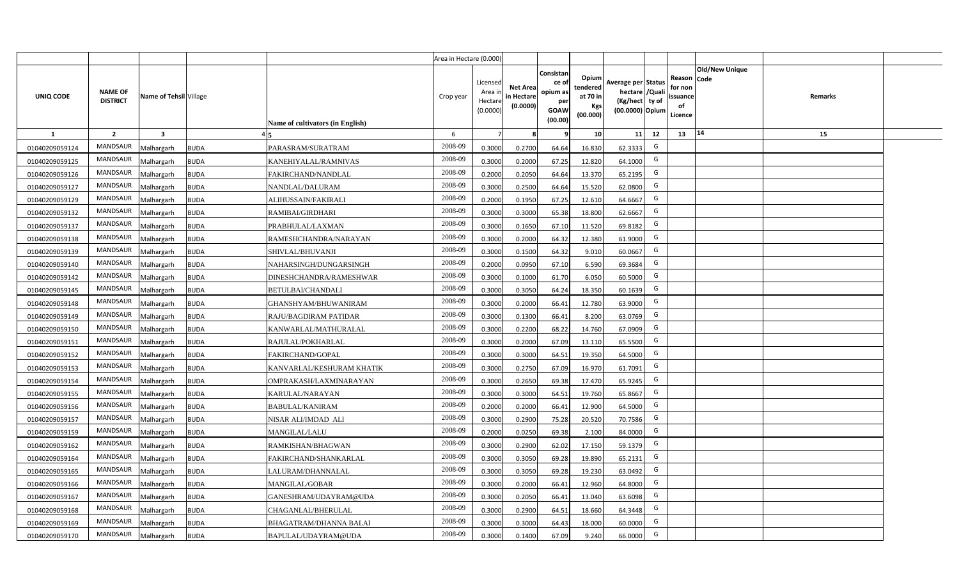|                |                                   |                         |                                          | Area in Hectare (0.000) |                                            |                                           |                                                         |                                                  |                                                                            |    |                                                                              |         |  |
|----------------|-----------------------------------|-------------------------|------------------------------------------|-------------------------|--------------------------------------------|-------------------------------------------|---------------------------------------------------------|--------------------------------------------------|----------------------------------------------------------------------------|----|------------------------------------------------------------------------------|---------|--|
| UNIQ CODE      | <b>NAME OF</b><br><b>DISTRICT</b> | Name of Tehsil Village  | Name of cultivators (in English)         | Crop year               | Licensed<br>Area ir<br>Hectare<br>(0.0000) | <b>Net Area</b><br>in Hectare<br>(0.0000) | Consistar<br>ce o<br>opium as<br>per<br>GOAW<br>(00.00) | Opium<br>tendered<br>at 70 in<br>Kgs<br>(00.000) | Average per Status<br>hectare / Quali<br>(Kg/hect ty of<br>(00.0000) Opium |    | <b>Old/New Unique</b><br>Reason Code<br>for non<br>issuance<br>of<br>Licence | Remarks |  |
| $\mathbf{1}$   | $\overline{2}$                    | $\overline{\mathbf{3}}$ |                                          | 6                       | $\overline{7}$                             |                                           |                                                         | 10                                               | 11                                                                         | 12 | 14<br>13                                                                     | 15      |  |
| 01040209059124 | <b>MANDSAUR</b>                   | <b>Aalhargarh</b>       | <b>BUDA</b><br>PARASRAM/SURATRAM         | 2008-09                 | 0.3000                                     | 0.2700                                    | 64.64                                                   | 16.830                                           | 62.3333                                                                    | G  |                                                                              |         |  |
| 01040209059125 | MANDSAUR                          | <b>Malhargarh</b>       | <b>BUDA</b><br>KANEHIYALAL/RAMNIVAS      | 2008-09                 | 0.3000                                     | 0.2000                                    | 67.25                                                   | 12.820                                           | 64.1000                                                                    | G  |                                                                              |         |  |
| 01040209059126 | MANDSAUR                          | <b>Malhargarh</b>       | <b>BUDA</b><br>FAKIRCHAND/NANDLAL        | 2008-09                 | 0.2000                                     | 0.2050                                    | 64.64                                                   | 13.370                                           | 65.2195                                                                    | G  |                                                                              |         |  |
| 01040209059127 | MANDSAUR                          | <b>Malhargarh</b>       | <b>BUDA</b><br>NANDLAL/DALURAM           | 2008-09                 | 0.3000                                     | 0.2500                                    | 64.64                                                   | 15.520                                           | 62.0800                                                                    | G  |                                                                              |         |  |
| 01040209059129 | MANDSAUR                          | <b>Malhargarh</b>       | <b>BUDA</b><br>ALIHUSSAIN/FAKIRALI       | 2008-09                 | 0.2000                                     | 0.1950                                    | 67.25                                                   | 12.610                                           | 64.6667                                                                    | G  |                                                                              |         |  |
| 01040209059132 | <b>MANDSAUR</b>                   | <b>Malhargarh</b>       | <b>BUDA</b><br>RAMIBAI/GIRDHARI          | 2008-09                 | 0.3000                                     | 0.3000                                    | 65.38                                                   | 18.800                                           | 62.6667                                                                    | G  |                                                                              |         |  |
| 01040209059137 | MANDSAUR                          | <b>Malhargarh</b>       | <b>BUDA</b><br>PRABHULAL/LAXMAN          | 2008-09                 | 0.3000                                     | 0.1650                                    | 67.10                                                   | 11.520                                           | 69.8182                                                                    | G  |                                                                              |         |  |
| 01040209059138 | <b>MANDSAUR</b>                   | <b>Malhargarh</b>       | <b>BUDA</b><br>RAMESHCHANDRA/NARAYAN     | 2008-09                 | 0.3000                                     | 0.2000                                    | 64.32                                                   | 12.380                                           | 61.9000                                                                    | G  |                                                                              |         |  |
| 01040209059139 | MANDSAUR                          | <b>Malhargarh</b>       | <b>BUDA</b><br>SHIVLAL/BHUVANJI          | 2008-09                 | 0.3000                                     | 0.1500                                    | 64.32                                                   | 9.010                                            | 60.0667                                                                    | G  |                                                                              |         |  |
| 01040209059140 | MANDSAUR                          | <b>Malhargarh</b>       | <b>BUDA</b><br>NAHARSINGH/DUNGARSINGH    | 2008-09                 | 0.2000                                     | 0.0950                                    | 67.10                                                   | 6.590                                            | 69.3684                                                                    | G  |                                                                              |         |  |
| 01040209059142 | <b>MANDSAUR</b>                   | <b>Malhargarh</b>       | <b>BUDA</b><br>DINESHCHANDRA/RAMESHWAR   | 2008-09                 | 0.3000                                     | 0.1000                                    | 61.70                                                   | 6.050                                            | 60.5000                                                                    | G  |                                                                              |         |  |
| 01040209059145 | <b>MANDSAUR</b>                   | <b>Malhargarh</b>       | <b>BUDA</b><br>BETULBAI/CHANDALI         | 2008-09                 | 0.3000                                     | 0.3050                                    | 64.24                                                   | 18.350                                           | 60.1639                                                                    | G  |                                                                              |         |  |
| 01040209059148 | <b>MANDSAUR</b>                   | <b>Malhargarh</b>       | <b>BUDA</b><br>GHANSHYAM/BHUWANIRAM      | 2008-09                 | 0.3000                                     | 0.2000                                    | 66.41                                                   | 12.780                                           | 63.9000                                                                    | G  |                                                                              |         |  |
| 01040209059149 | MANDSAUR                          | <b>Malhargarh</b>       | <b>BUDA</b><br>RAJU/BAGDIRAM PATIDAR     | 2008-09                 | 0.3000                                     | 0.1300                                    | 66.41                                                   | 8.200                                            | 63.0769                                                                    | G  |                                                                              |         |  |
| 01040209059150 | MANDSAUR                          | <b>Malhargarh</b>       | <b>BUDA</b><br>KANWARLAL/MATHURALAL      | 2008-09                 | 0.3000                                     | 0.2200                                    | 68.22                                                   | 14.760                                           | 67.0909                                                                    | G  |                                                                              |         |  |
| 01040209059151 | <b>MANDSAUR</b>                   | <b>Malhargarh</b>       | <b>BUDA</b><br>RAJULAL/POKHARLAL         | 2008-09                 | 0.3000                                     | 0.2000                                    | 67.09                                                   | 13.110                                           | 65.5500                                                                    | G  |                                                                              |         |  |
| 01040209059152 | MANDSAUR                          | <b>Malhargarh</b>       | <b>BUDA</b><br>FAKIRCHAND/GOPAL          | 2008-09                 | 0.3000                                     | 0.3000                                    | 64.51                                                   | 19.350                                           | 64.5000                                                                    | G  |                                                                              |         |  |
| 01040209059153 | <b>MANDSAUR</b>                   | Malhargarh              | <b>BUDA</b><br>KANVARLAL/KESHURAM KHATIK | 2008-09                 | 0.3000                                     | 0.2750                                    | 67.09                                                   | 16.970                                           | 61.7091                                                                    | G  |                                                                              |         |  |
| 01040209059154 | <b>MANDSAUR</b>                   | Malhargarh              | <b>BUDA</b><br>OMPRAKASH/LAXMINARAYAN    | 2008-09                 | 0.3000                                     | 0.2650                                    | 69.38                                                   | 17.470                                           | 65.9245                                                                    | G  |                                                                              |         |  |
| 01040209059155 | <b>MANDSAUR</b>                   | <b>Malhargarh</b>       | <b>BUDA</b><br>KARULAL/NARAYAN           | 2008-09                 | 0.3000                                     | 0.3000                                    | 64.51                                                   | 19.760                                           | 65.8667                                                                    | G  |                                                                              |         |  |
| 01040209059156 | <b>MANDSAUR</b>                   | <b>Malhargarh</b>       | <b>BUDA</b><br><b>BABULAL/KANIRAM</b>    | 2008-09                 | 0.2000                                     | 0.2000                                    | 66.41                                                   | 12.900                                           | 64.5000                                                                    | G  |                                                                              |         |  |
| 01040209059157 | <b>MANDSAUR</b>                   | <b>Malhargarh</b>       | <b>BUDA</b><br>NISAR ALI/IMDAD ALI       | 2008-09                 | 0.3000                                     | 0.2900                                    | 75.28                                                   | 20.520                                           | 70.7586                                                                    | G  |                                                                              |         |  |
| 01040209059159 | <b>MANDSAUR</b>                   | <b>Malhargarh</b>       | <b>BUDA</b><br><b>MANGILAL/LALU</b>      | 2008-09                 | 0.2000                                     | 0.0250                                    | 69.38                                                   | 2.100                                            | 84.0000                                                                    | G  |                                                                              |         |  |
| 01040209059162 | <b>MANDSAUR</b>                   | Malhargarh              | <b>BUDA</b><br>RAMKISHAN/BHAGWAN         | 2008-09                 | 0.3000                                     | 0.2900                                    | 62.02                                                   | 17.150                                           | 59.1379                                                                    | G  |                                                                              |         |  |
| 01040209059164 | <b>MANDSAUR</b>                   | <b>Aalhargarh</b>       | <b>BUDA</b><br>FAKIRCHAND/SHANKARLAL     | 2008-09                 | 0.3000                                     | 0.3050                                    | 69.28                                                   | 19.890                                           | 65.2131                                                                    | G  |                                                                              |         |  |
| 01040209059165 | MANDSAUR                          | <b>Malhargarh</b>       | <b>BUDA</b><br>LALURAM/DHANNALAL         | 2008-09                 | 0.3000                                     | 0.3050                                    | 69.28                                                   | 19.230                                           | 63.0492                                                                    | G  |                                                                              |         |  |
| 01040209059166 | <b>MANDSAUR</b>                   | <b>Malhargarh</b>       | <b>BUDA</b><br><b>MANGILAL/GOBAR</b>     | 2008-09                 | 0.3000                                     | 0.2000                                    | 66.41                                                   | 12.960                                           | 64.8000                                                                    | G  |                                                                              |         |  |
| 01040209059167 | <b>MANDSAUR</b>                   | <b>Malhargarh</b>       | <b>BUDA</b><br>GANESHRAM/UDAYRAM@UDA     | 2008-09                 | 0.3000                                     | 0.2050                                    | 66.41                                                   | 13.040                                           | 63.6098                                                                    | G  |                                                                              |         |  |
| 01040209059168 | <b>MANDSAUR</b>                   | <b>Malhargarh</b>       | <b>BUDA</b><br>CHAGANLAL/BHERULAL        | 2008-09                 | 0.3000                                     | 0.2900                                    | 64.51                                                   | 18.660                                           | 64.3448                                                                    | G  |                                                                              |         |  |
| 01040209059169 | MANDSAUR                          | <b>Malhargarh</b>       | <b>BUDA</b><br>BHAGATRAM/DHANNA BALAI    | 2008-09                 | 0.3000                                     | 0.3000                                    | 64.43                                                   | 18.000                                           | 60.0000                                                                    | G  |                                                                              |         |  |
| 01040209059170 | <b>MANDSAUR</b>                   | Malhargarh              | <b>BUDA</b><br>BAPULAL/UDAYRAM@UDA       | 2008-09                 | 0.3000                                     | 0.1400                                    | 67.09                                                   | 9.240                                            | 66.0000                                                                    | G  |                                                                              |         |  |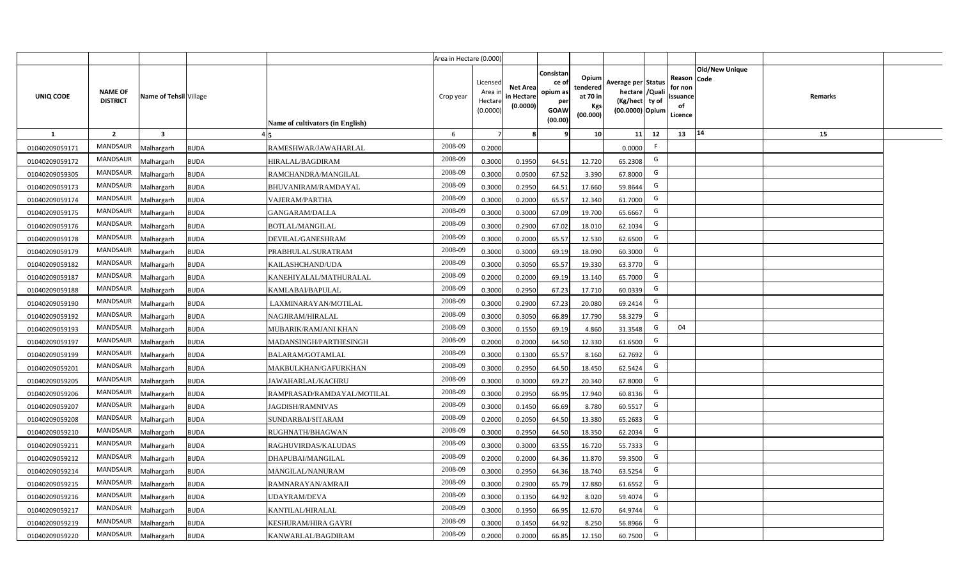|                |                                   |                         |                                           | Area in Hectare (0.000) |                                            |                                           |                                                         |                                                  |                                                                            |    |                                                                              |         |  |
|----------------|-----------------------------------|-------------------------|-------------------------------------------|-------------------------|--------------------------------------------|-------------------------------------------|---------------------------------------------------------|--------------------------------------------------|----------------------------------------------------------------------------|----|------------------------------------------------------------------------------|---------|--|
| UNIQ CODE      | <b>NAME OF</b><br><b>DISTRICT</b> | Name of Tehsil Village  | Name of cultivators (in English)          | Crop year               | Licensed<br>Area ir<br>Hectare<br>(0.0000) | <b>Net Area</b><br>in Hectare<br>(0.0000) | Consistar<br>ce o<br>opium as<br>per<br>GOAW<br>(00.00) | Opium<br>tendered<br>at 70 in<br>Kgs<br>(00.000) | Average per Status<br>hectare / Quali<br>(Kg/hect ty of<br>(00.0000) Opium |    | <b>Old/New Unique</b><br>Reason Code<br>for non<br>issuance<br>of<br>Licence | Remarks |  |
| $\mathbf{1}$   | $\overline{2}$                    | $\overline{\mathbf{3}}$ |                                           | 6                       | $\overline{7}$                             |                                           |                                                         | 10                                               | 11                                                                         | 12 | 14<br>13                                                                     | 15      |  |
| 01040209059171 | <b>MANDSAUR</b>                   | <b>Aalhargarh</b>       | <b>BUDA</b><br>RAMESHWAR/JAWAHARLAL       | 2008-09                 | 0.2000                                     |                                           |                                                         |                                                  | 0.0000                                                                     | F  |                                                                              |         |  |
| 01040209059172 | MANDSAUR                          | <b>Malhargarh</b>       | <b>BUDA</b><br>HIRALAL/BAGDIRAM           | 2008-09                 | 0.3000                                     | 0.1950                                    | 64.51                                                   | 12.720                                           | 65.2308                                                                    | G  |                                                                              |         |  |
| 01040209059305 | <b>MANDSAUR</b>                   | <b>Malhargarh</b>       | <b>BUDA</b><br>RAMCHANDRA/MANGILAL        | 2008-09                 | 0.3000                                     | 0.0500                                    | 67.52                                                   | 3.390                                            | 67.8000                                                                    | G  |                                                                              |         |  |
| 01040209059173 | MANDSAUR                          | <b>Malhargarh</b>       | <b>BUDA</b><br>BHUVANIRAM/RAMDAYAL        | 2008-09                 | 0.3000                                     | 0.2950                                    | 64.51                                                   | 17.660                                           | 59.8644                                                                    | G  |                                                                              |         |  |
| 01040209059174 | MANDSAUR                          | <b>Malhargarh</b>       | <b>BUDA</b><br>VAJERAM/PARTHA             | 2008-09                 | 0.3000                                     | 0.2000                                    | 65.57                                                   | 12.340                                           | 61.7000                                                                    | G  |                                                                              |         |  |
| 01040209059175 | <b>MANDSAUR</b>                   | <b>Malhargarh</b>       | <b>BUDA</b><br><b>GANGARAM/DALLA</b>      | 2008-09                 | 0.3000                                     | 0.3000                                    | 67.09                                                   | 19.700                                           | 65.6667                                                                    | G  |                                                                              |         |  |
| 01040209059176 | MANDSAUR                          | <b>Malhargarh</b>       | <b>BUDA</b><br><b>BOTLAL/MANGILAL</b>     | 2008-09                 | 0.3000                                     | 0.2900                                    | 67.02                                                   | 18.010                                           | 62.1034                                                                    | G  |                                                                              |         |  |
| 01040209059178 | <b>MANDSAUR</b>                   | <b>Malhargarh</b>       | <b>BUDA</b><br>DEVILAL/GANESHRAM          | 2008-09                 | 0.3000                                     | 0.2000                                    | 65.57                                                   | 12.530                                           | 62.6500                                                                    | G  |                                                                              |         |  |
| 01040209059179 | MANDSAUR                          | <b>Malhargarh</b>       | <b>BUDA</b><br>PRABHULAL/SURATRAM         | 2008-09                 | 0.3000                                     | 0.3000                                    | 69.19                                                   | 18.090                                           | 60.3000                                                                    | G  |                                                                              |         |  |
| 01040209059182 | <b>MANDSAUR</b>                   | <b>Malhargarh</b>       | <b>BUDA</b><br>KAILASHCHAND/UDA           | 2008-09                 | 0.3000                                     | 0.3050                                    | 65.57                                                   | 19.330                                           | 63.3770                                                                    | G  |                                                                              |         |  |
| 01040209059187 | <b>MANDSAUR</b>                   | <b>Malhargarh</b>       | <b>BUDA</b><br>KANEHIYALAL/MATHURALAL     | 2008-09                 | 0.2000                                     | 0.2000                                    | 69.19                                                   | 13.140                                           | 65.7000                                                                    | G  |                                                                              |         |  |
| 01040209059188 | <b>MANDSAUR</b>                   | <b>Malhargarh</b>       | <b>BUDA</b><br>KAMLABAI/BAPULAL           | 2008-09                 | 0.3000                                     | 0.2950                                    | 67.23                                                   | 17.710                                           | 60.0339                                                                    | G  |                                                                              |         |  |
| 01040209059190 | <b>MANDSAUR</b>                   | <b>Malhargarh</b>       | <b>BUDA</b><br>LAXMINARAYAN/MOTILAL       | 2008-09                 | 0.3000                                     | 0.2900                                    | 67.23                                                   | 20.080                                           | 69.2414                                                                    | G  |                                                                              |         |  |
| 01040209059192 | <b>MANDSAUR</b>                   | <b>Malhargarh</b>       | <b>BUDA</b><br>NAGJIRAM/HIRALAL           | 2008-09                 | 0.3000                                     | 0.3050                                    | 66.89                                                   | 17.790                                           | 58.3279                                                                    | G  |                                                                              |         |  |
| 01040209059193 | MANDSAUR                          | <b>Malhargarh</b>       | <b>BUDA</b><br>MUBARIK/RAMJANI KHAN       | 2008-09                 | 0.3000                                     | 0.1550                                    | 69.19                                                   | 4.860                                            | 31.3548                                                                    | G  | 04                                                                           |         |  |
| 01040209059197 | <b>MANDSAUR</b>                   | <b>Malhargarh</b>       | <b>BUDA</b><br>MADANSINGH/PARTHESINGH     | 2008-09                 | 0.2000                                     | 0.2000                                    | 64.50                                                   | 12.330                                           | 61.6500                                                                    | G  |                                                                              |         |  |
| 01040209059199 | MANDSAUR                          | <b>Malhargarh</b>       | <b>BUDA</b><br><b>BALARAM/GOTAMLAL</b>    | 2008-09                 | 0.3000                                     | 0.1300                                    | 65.57                                                   | 8.160                                            | 62.7692                                                                    | G  |                                                                              |         |  |
| 01040209059201 | <b>MANDSAUR</b>                   | Malhargarh              | <b>BUDA</b><br>MAKBULKHAN/GAFURKHAN       | 2008-09                 | 0.3000                                     | 0.2950                                    | 64.50                                                   | 18.450                                           | 62.5424                                                                    | G  |                                                                              |         |  |
| 01040209059205 | <b>MANDSAUR</b>                   | Malhargarh              | <b>BUDA</b><br>JAWAHARLAL/KACHRU          | 2008-09                 | 0.3000                                     | 0.3000                                    | 69.27                                                   | 20.340                                           | 67.8000                                                                    | G  |                                                                              |         |  |
| 01040209059206 | <b>MANDSAUR</b>                   | <b>Malhargarh</b>       | <b>BUDA</b><br>RAMPRASAD/RAMDAYAL/MOTILAL | 2008-09                 | 0.3000                                     | 0.2950                                    | 66.95                                                   | 17.940                                           | 60.8136                                                                    | G  |                                                                              |         |  |
| 01040209059207 | <b>MANDSAUR</b>                   | <b>Malhargarh</b>       | <b>BUDA</b><br><b>IAGDISH/RAMNIVAS</b>    | 2008-09                 | 0.3000                                     | 0.1450                                    | 66.69                                                   | 8.780                                            | 60.5517                                                                    | G  |                                                                              |         |  |
| 01040209059208 | <b>MANDSAUR</b>                   | <b>Malhargarh</b>       | <b>BUDA</b><br>SUNDARBAI/SITARAM          | 2008-09                 | 0.2000                                     | 0.2050                                    | 64.50                                                   | 13.380                                           | 65.2683                                                                    | G  |                                                                              |         |  |
| 01040209059210 | <b>MANDSAUR</b>                   | <b>Malhargarh</b>       | <b>BUDA</b><br>RUGHNATH/BHAGWAN           | 2008-09                 | 0.3000                                     | 0.2950                                    | 64.50                                                   | 18.350                                           | 62.2034                                                                    | G  |                                                                              |         |  |
| 01040209059211 | <b>MANDSAUR</b>                   | Malhargarh              | <b>BUDA</b><br>RAGHUVIRDAS/KALUDAS        | 2008-09                 | 0.3000                                     | 0.3000                                    | 63.55                                                   | 16.720                                           | 55.7333                                                                    | G  |                                                                              |         |  |
| 01040209059212 | <b>MANDSAUR</b>                   | <b>Aalhargarh</b>       | <b>BUDA</b><br>DHAPUBAI/MANGILAL          | 2008-09                 | 0.2000                                     | 0.2000                                    | 64.36                                                   | 11.870                                           | 59.3500                                                                    | G  |                                                                              |         |  |
| 01040209059214 | <b>MANDSAUR</b>                   | <b>Malhargarh</b>       | <b>BUDA</b><br>MANGILAL/NANURAM           | 2008-09                 | 0.3000                                     | 0.2950                                    | 64.36                                                   | 18.740                                           | 63.5254                                                                    | G  |                                                                              |         |  |
| 01040209059215 | <b>MANDSAUR</b>                   | <b>Malhargarh</b>       | <b>BUDA</b><br>RAMNARAYAN/AMRAJI          | 2008-09                 | 0.3000                                     | 0.2900                                    | 65.79                                                   | 17.880                                           | 61.6552                                                                    | G  |                                                                              |         |  |
| 01040209059216 | <b>MANDSAUR</b>                   | <b>Malhargarh</b>       | <b>BUDA</b><br>UDAYRAM/DEVA               | 2008-09                 | 0.3000                                     | 0.1350                                    | 64.92                                                   | 8.020                                            | 59.4074                                                                    | G  |                                                                              |         |  |
| 01040209059217 | <b>MANDSAUR</b>                   | <b>Malhargarh</b>       | <b>BUDA</b><br>KANTILAL/HIRALAL           | 2008-09                 | 0.3000                                     | 0.1950                                    | 66.95                                                   | 12.670                                           | 64.9744                                                                    | G  |                                                                              |         |  |
| 01040209059219 | <b>MANDSAUR</b>                   | <b>Malhargarh</b>       | <b>BUDA</b><br>KESHURAM/HIRA GAYRI        | 2008-09                 | 0.3000                                     | 0.1450                                    | 64.92                                                   | 8.250                                            | 56.8966                                                                    | G  |                                                                              |         |  |
| 01040209059220 | <b>MANDSAUR</b>                   | Malhargarh              | <b>BUDA</b><br>KANWARLAL/BAGDIRAM         | 2008-09                 | 0.2000                                     | 0.2000                                    | 66.85                                                   | 12.150                                           | 60.7500                                                                    | G  |                                                                              |         |  |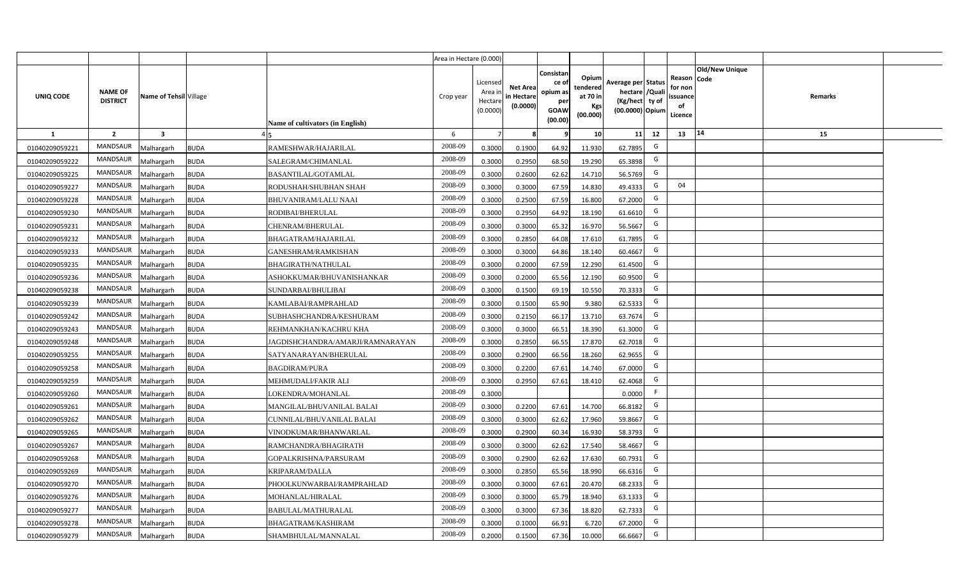|                |                                   |                         |                                                 | Area in Hectare (0.000) |                                            |                                           |                                                                |                                                  |                                                                            |    |                                                                                              |         |  |
|----------------|-----------------------------------|-------------------------|-------------------------------------------------|-------------------------|--------------------------------------------|-------------------------------------------|----------------------------------------------------------------|--------------------------------------------------|----------------------------------------------------------------------------|----|----------------------------------------------------------------------------------------------|---------|--|
| UNIQ CODE      | <b>NAME OF</b><br><b>DISTRICT</b> | Name of Tehsil Village  | Name of cultivators (in English)                | Crop year               | Licensed<br>Area in<br>Hectare<br>(0.0000) | <b>Net Area</b><br>in Hectare<br>(0.0000) | Consistar<br>ce o<br>opium as<br>per<br><b>GOAW</b><br>(00.00) | Opium<br>tendered<br>at 70 in<br>Kgs<br>(00.000) | Average per Status<br>hectare / Quali<br>(Kg/hect ty of<br>(00.0000) Opium |    | <b>Old/New Unique</b><br>Reason<br><b>Code</b><br>for non<br><b>ssuance</b><br>of<br>Licence | Remarks |  |
| $\mathbf{1}$   | $\overline{2}$                    | $\overline{\mathbf{3}}$ |                                                 | 6                       | $\overline{7}$                             | -8                                        | ٩                                                              | 10                                               | 11                                                                         | 12 | 14<br>13                                                                                     | 15      |  |
| 01040209059221 | MANDSAUR                          | <b>Malhargarh</b>       | <b>BUDA</b><br>RAMESHWAR/HAJARILAL              | 2008-09                 | 0.3000                                     | 0.1900                                    | 64.92                                                          | 11.930                                           | 62.7895                                                                    | G  |                                                                                              |         |  |
| 01040209059222 | MANDSAUR                          | <b>Malhargarh</b>       | <b>BUDA</b><br>SALEGRAM/CHIMANLAL               | 2008-09                 | 0.3000                                     | 0.2950                                    | 68.50                                                          | 19.290                                           | 65.3898                                                                    | G  |                                                                                              |         |  |
| 01040209059225 | MANDSAUR                          | <b>Malhargarh</b>       | <b>BUDA</b><br><b>BASANTILAL/GOTAMLAL</b>       | 2008-09                 | 0.3000                                     | 0.2600                                    | 62.62                                                          | 14.710                                           | 56.5769                                                                    | G  |                                                                                              |         |  |
| 01040209059227 | <b>MANDSAUR</b>                   | <b>Malhargarh</b>       | <b>BUDA</b><br>RODUSHAH/SHUBHAN SHAH            | 2008-09                 | 0.3000                                     | 0.3000                                    | 67.59                                                          | 14.830                                           | 49.4333                                                                    | G  | 04                                                                                           |         |  |
| 01040209059228 | MANDSAUR                          | <b>Malhargarh</b>       | <b>BUDA</b><br><b>BHUVANIRAM/LALU NAAI</b>      | 2008-09                 | 0.3000                                     | 0.2500                                    | 67.59                                                          | 16.800                                           | 67.2000                                                                    | G  |                                                                                              |         |  |
| 01040209059230 | <b>MANDSAUR</b>                   | <b>Malhargarh</b>       | <b>BUDA</b><br>RODIBAI/BHERULAL                 | 2008-09                 | 0.3000                                     | 0.2950                                    | 64.92                                                          | 18.190                                           | 61.6610                                                                    | G  |                                                                                              |         |  |
| 01040209059231 | <b>MANDSAUR</b>                   | <b>Malhargarh</b>       | <b>BUDA</b><br>CHENRAM/BHERULAL                 | 2008-09                 | 0.3000                                     | 0.3000                                    | 65.32                                                          | 16.970                                           | 56.5667                                                                    | G  |                                                                                              |         |  |
| 01040209059232 | <b>MANDSAUR</b>                   | <b>Malhargarh</b>       | <b>BUDA</b><br>BHAGATRAM/HAJARILAL              | 2008-09                 | 0.3000                                     | 0.2850                                    | 64.08                                                          | 17.610                                           | 61.7895                                                                    | G  |                                                                                              |         |  |
| 01040209059233 | <b>MANDSAUR</b>                   | <b>Malhargarh</b>       | <b>BUDA</b><br>GANESHRAM/RAMKISHAN              | 2008-09                 | 0.3000                                     | 0.3000                                    | 64.86                                                          | 18.140                                           | 60.4667                                                                    | G  |                                                                                              |         |  |
| 01040209059235 | <b>MANDSAUR</b>                   | <b>Malhargarh</b>       | <b>BUDA</b><br><b>BHAGIRATH/NATHULAL</b>        | 2008-09                 | 0.3000                                     | 0.2000                                    | 67.59                                                          | 12.290                                           | 61.4500                                                                    | G  |                                                                                              |         |  |
| 01040209059236 | <b>MANDSAUR</b>                   | <b>Malhargarh</b>       | <b>BUDA</b><br>ASHOKKUMAR/BHUVANISHANKAR        | 2008-09                 | 0.3000                                     | 0.2000                                    | 65.56                                                          | 12.190                                           | 60.9500                                                                    | G  |                                                                                              |         |  |
| 01040209059238 | MANDSAUR                          | <b>Malhargarh</b>       | <b>BUDA</b><br>SUNDARBAI/BHULIBAI               | 2008-09                 | 0.3000                                     | 0.1500                                    | 69.19                                                          | 10.550                                           | 70.3333                                                                    | G  |                                                                                              |         |  |
| 01040209059239 | MANDSAUR                          | <b>Malhargarh</b>       | <b>BUDA</b><br>KAMLABAI/RAMPRAHLAD              | 2008-09                 | 0.3000                                     | 0.1500                                    | 65.90                                                          | 9.380                                            | 62.5333                                                                    | G  |                                                                                              |         |  |
| 01040209059242 | MANDSAUR                          | Malhargarh              | <b>BUDA</b><br>SUBHASHCHANDRA/KESHURAM          | 2008-09                 | 0.3000                                     | 0.2150                                    | 66.17                                                          | 13.710                                           | 63.7674                                                                    | G  |                                                                                              |         |  |
| 01040209059243 | <b>MANDSAUR</b>                   | Malhargarh              | <b>BUDA</b><br>REHMANKHAN/KACHRU KHA            | 2008-09                 | 0.3000                                     | 0.3000                                    | 66.51                                                          | 18.390                                           | 61.3000                                                                    | G  |                                                                                              |         |  |
| 01040209059248 | <b>MANDSAUR</b>                   | Malhargarh              | <b>BUDA</b><br>JAGDISHCHANDRA/AMARJI/RAMNARAYAN | 2008-09                 | 0.3000                                     | 0.2850                                    | 66.55                                                          | 17.870                                           | 62.7018                                                                    | G  |                                                                                              |         |  |
| 01040209059255 | <b>MANDSAUR</b>                   | <b>Malhargarh</b>       | <b>BUDA</b><br>SATYANARAYAN/BHERULAL            | 2008-09                 | 0.3000                                     | 0.2900                                    | 66.56                                                          | 18.260                                           | 62.9655                                                                    | G  |                                                                                              |         |  |
| 01040209059258 | <b>MANDSAUR</b>                   | <b>Malhargarh</b>       | <b>BUDA</b><br><b>BAGDIRAM/PURA</b>             | 2008-09                 | 0.3000                                     | 0.2200                                    | 67.61                                                          | 14.740                                           | 67.0000                                                                    | G  |                                                                                              |         |  |
| 01040209059259 | <b>MANDSAUR</b>                   | <b>Malhargarh</b>       | <b>BUDA</b><br>MEHMUDALI/FAKIR ALI              | 2008-09                 | 0.3000                                     | 0.2950                                    | 67.61                                                          | 18.410                                           | 62.4068                                                                    | G  |                                                                                              |         |  |
| 01040209059260 | <b>MANDSAUR</b>                   | Malhargarh              | <b>BUDA</b><br>LOKENDRA/MOHANLAL                | 2008-09                 | 0.3000                                     |                                           |                                                                |                                                  | 0.0000                                                                     | F. |                                                                                              |         |  |
| 01040209059261 | MANDSAUR                          | <b>Malhargarh</b>       | <b>BUDA</b><br>MANGILAL/BHUVANILAL BALAI        | 2008-09                 | 0.3000                                     | 0.2200                                    | 67.61                                                          | 14.700                                           | 66.8182                                                                    | G  |                                                                                              |         |  |
| 01040209059262 | <b>MANDSAUR</b>                   | <b>Malhargarh</b>       | <b>BUDA</b><br>CUNNILAL/BHUVANILAL BALAI        | 2008-09                 | 0.3000                                     | 0.3000                                    | 62.62                                                          | 17.960                                           | 59.8667                                                                    | G  |                                                                                              |         |  |
| 01040209059265 | <b>MANDSAUR</b>                   | <b>Aalhargarh</b>       | <b>BUDA</b><br>VINODKUMAR/BHANWARLAL            | 2008-09                 | 0.3000                                     | 0.2900                                    | 60.34                                                          | 16.930                                           | 58.3793                                                                    | G  |                                                                                              |         |  |
| 01040209059267 | <b>MANDSAUR</b>                   | <b>Malhargarh</b>       | <b>BUDA</b><br>RAMCHANDRA/BHAGIRATH             | 2008-09                 | 0.3000                                     | 0.3000                                    | 62.62                                                          | 17.540                                           | 58.4667                                                                    | G  |                                                                                              |         |  |
| 01040209059268 | <b>MANDSAUR</b>                   | <b>Malhargarh</b>       | <b>BUDA</b><br>GOPALKRISHNA/PARSURAM            | 2008-09                 | 0.3000                                     | 0.2900                                    | 62.62                                                          | 17.630                                           | 60.7931                                                                    | G  |                                                                                              |         |  |
| 01040209059269 | MANDSAUR                          | <b>Malhargarh</b>       | <b>BUDA</b><br>KRIPARAM/DALLA                   | 2008-09                 | 0.3000                                     | 0.2850                                    | 65.56                                                          | 18.990                                           | 66.631                                                                     | G  |                                                                                              |         |  |
| 01040209059270 | <b>MANDSAUR</b>                   | <b>Malhargarh</b>       | <b>BUDA</b><br>PHOOLKUNWARBAI/RAMPRAHLAD        | 2008-09                 | 0.3000                                     | 0.3000                                    | 67.61                                                          | 20.470                                           | 68.2333                                                                    | G  |                                                                                              |         |  |
| 01040209059276 | <b>MANDSAUR</b>                   | <b>Malhargarh</b>       | <b>BUDA</b><br>MOHANLAL/HIRALAL                 | 2008-09                 | 0.3000                                     | 0.3000                                    | 65.79                                                          | 18.940                                           | 63.1333                                                                    | G  |                                                                                              |         |  |
| 01040209059277 | <b>MANDSAUR</b>                   | <b>Malhargarh</b>       | <b>BUDA</b><br>BABULAL/MATHURALAL               | 2008-09                 | 0.3000                                     | 0.3000                                    | 67.36                                                          | 18.820                                           | 62.7333                                                                    | G  |                                                                                              |         |  |
| 01040209059278 | <b>MANDSAUR</b>                   | <b>Malhargarh</b>       | <b>BUDA</b><br>BHAGATRAM/KASHIRAM               | 2008-09                 | 0.3000                                     | 0.1000                                    | 66.91                                                          | 6.720                                            | 67.2000                                                                    | G  |                                                                                              |         |  |
| 01040209059279 | MANDSAUR                          | Malhargarh              | <b>BUDA</b><br>SHAMBHULAL/MANNALAL              | 2008-09                 | 0.2000                                     | 0.1500                                    | 67.36                                                          | 10.000                                           | 66.6667                                                                    | G  |                                                                                              |         |  |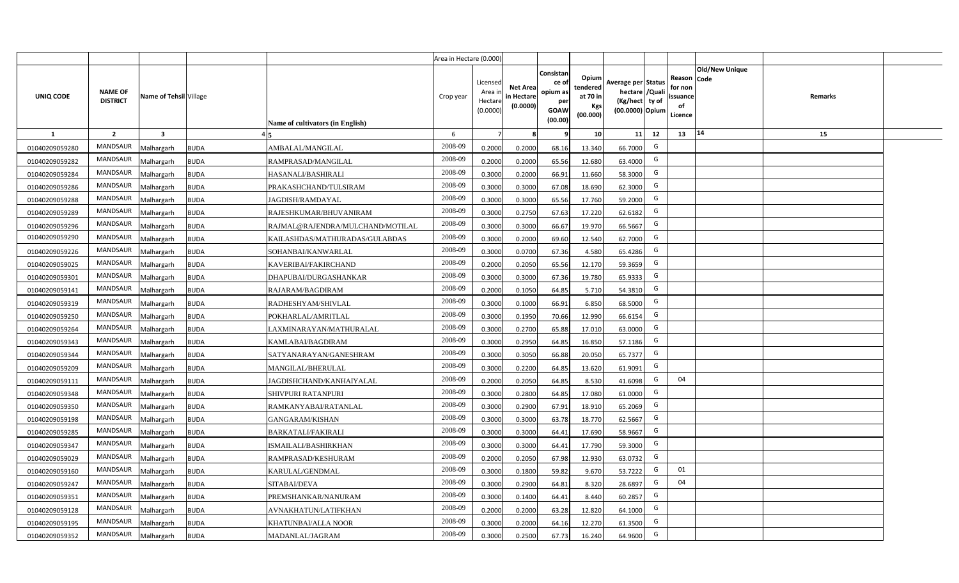|                  |                                   |                         |                                                 | Area in Hectare (0.000) |                                            |                                           |                                                                |                                                  |                                                                            |    |                                                                                              |         |  |
|------------------|-----------------------------------|-------------------------|-------------------------------------------------|-------------------------|--------------------------------------------|-------------------------------------------|----------------------------------------------------------------|--------------------------------------------------|----------------------------------------------------------------------------|----|----------------------------------------------------------------------------------------------|---------|--|
| <b>UNIQ CODE</b> | <b>NAME OF</b><br><b>DISTRICT</b> | Name of Tehsil Village  | Name of cultivators (in English)                | Crop year               | Licensed<br>Area in<br>Hectare<br>(0.0000) | <b>Net Area</b><br>in Hectare<br>(0.0000) | Consistar<br>ce o<br>opium as<br>per<br><b>GOAW</b><br>(00.00) | Opium<br>tendered<br>at 70 in<br>Kgs<br>(00.000) | Average per Status<br>hectare / Quali<br>(Kg/hect ty of<br>(00.0000) Opium |    | <b>Old/New Unique</b><br>Reason<br><b>Code</b><br>for non<br><b>ssuance</b><br>of<br>Licence | Remarks |  |
| $\mathbf{1}$     | $\overline{2}$                    | $\overline{\mathbf{3}}$ |                                                 | 6                       | $\overline{7}$                             | -8                                        | ٩                                                              | 10                                               | 11                                                                         | 12 | 14<br>13                                                                                     | 15      |  |
| 01040209059280   | MANDSAUR                          | <b>Malhargarh</b>       | <b>BUDA</b><br>AMBALAL/MANGILAL                 | 2008-09                 | 0.2000                                     | 0.2000                                    | 68.16                                                          | 13.340                                           | 66.7000                                                                    | G  |                                                                                              |         |  |
| 01040209059282   | MANDSAUR                          | <b>Malhargarh</b>       | <b>BUDA</b><br>RAMPRASAD/MANGILAL               | 2008-09                 | 0.2000                                     | 0.2000                                    | 65.56                                                          | 12.680                                           | 63.4000                                                                    | G  |                                                                                              |         |  |
| 01040209059284   | MANDSAUR                          | <b>Malhargarh</b>       | <b>BUDA</b><br>HASANALI/BASHIRALI               | 2008-09                 | 0.3000                                     | 0.2000                                    | 66.91                                                          | 11.660                                           | 58.3000                                                                    | G  |                                                                                              |         |  |
| 01040209059286   | <b>MANDSAUR</b>                   | <b>Malhargarh</b>       | <b>BUDA</b><br>PRAKASHCHAND/TULSIRAM            | 2008-09                 | 0.3000                                     | 0.3000                                    | 67.08                                                          | 18.690                                           | 62.3000                                                                    | G  |                                                                                              |         |  |
| 01040209059288   | MANDSAUR                          | <b>Malhargarh</b>       | <b>BUDA</b><br>JAGDISH/RAMDAYAL                 | 2008-09                 | 0.3000                                     | 0.3000                                    | 65.56                                                          | 17.760                                           | 59.2000                                                                    | G  |                                                                                              |         |  |
| 01040209059289   | <b>MANDSAUR</b>                   | <b>Malhargarh</b>       | <b>BUDA</b><br>RAJESHKUMAR/BHUVANIRAM           | 2008-09                 | 0.3000                                     | 0.2750                                    | 67.63                                                          | 17.220                                           | 62.6182                                                                    | G  |                                                                                              |         |  |
| 01040209059296   | MANDSAUR                          | <b>Malhargarh</b>       | <b>BUDA</b><br>RAJMAL@RAJENDRA/MULCHAND/MOTILAL | 2008-09                 | 0.3000                                     | 0.3000                                    | 66.67                                                          | 19.970                                           | 66.5667                                                                    | G  |                                                                                              |         |  |
| 01040209059290   | <b>MANDSAUR</b>                   | <b>Malhargarh</b>       | <b>BUDA</b><br>KAILASHDAS/MATHURADAS/GULABDAS   | 2008-09                 | 0.3000                                     | 0.2000                                    | 69.60                                                          | 12.540                                           | 62.7000                                                                    | G  |                                                                                              |         |  |
| 01040209059226   | MANDSAUR                          | <b>Malhargarh</b>       | <b>BUDA</b><br>SOHANBAI/KANWARLAL               | 2008-09                 | 0.3000                                     | 0.0700                                    | 67.36                                                          | 4.580                                            | 65.4286                                                                    | G  |                                                                                              |         |  |
| 01040209059025   | <b>MANDSAUR</b>                   | <b>Malhargarh</b>       | <b>BUDA</b><br>KAVERIBAI/FAKIRCHAND             | 2008-09                 | 0.2000                                     | 0.2050                                    | 65.56                                                          | 12.170                                           | 59.3659                                                                    | G  |                                                                                              |         |  |
| 01040209059301   | <b>MANDSAUR</b>                   | <b>Malhargarh</b>       | <b>BUDA</b><br>DHAPUBAI/DURGASHANKAR            | 2008-09                 | 0.3000                                     | 0.3000                                    | 67.36                                                          | 19.780                                           | 65.9333                                                                    | G  |                                                                                              |         |  |
| 01040209059141   | MANDSAUR                          | <b>Malhargarh</b>       | <b>BUDA</b><br>RAJARAM/BAGDIRAM                 | 2008-09                 | 0.2000                                     | 0.1050                                    | 64.85                                                          | 5.710                                            | 54.3810                                                                    | G  |                                                                                              |         |  |
| 01040209059319   | MANDSAUR                          | <b>Malhargarh</b>       | <b>BUDA</b><br>RADHESHYAM/SHIVLAL               | 2008-09                 | 0.3000                                     | 0.1000                                    | 66.91                                                          | 6.850                                            | 68.5000                                                                    | G  |                                                                                              |         |  |
| 01040209059250   | <b>MANDSAUR</b>                   | Malhargarh              | <b>BUDA</b><br>POKHARLAL/AMRITLAL               | 2008-09                 | 0.3000                                     | 0.1950                                    | 70.66                                                          | 12.990                                           | 66.6154                                                                    | G  |                                                                                              |         |  |
| 01040209059264   | <b>MANDSAUR</b>                   | Malhargarh              | <b>BUDA</b><br>LAXMINARAYAN/MATHURALAL          | 2008-09                 | 0.3000                                     | 0.2700                                    | 65.88                                                          | 17.010                                           | 63.0000                                                                    | G  |                                                                                              |         |  |
| 01040209059343   | <b>MANDSAUR</b>                   | Malhargarh              | <b>BUDA</b><br>KAMLABAI/BAGDIRAM                | 2008-09                 | 0.3000                                     | 0.2950                                    | 64.85                                                          | 16.850                                           | 57.1186                                                                    | G  |                                                                                              |         |  |
| 01040209059344   | <b>MANDSAUR</b>                   | <b>Malhargarh</b>       | <b>BUDA</b><br>SATYANARAYAN/GANESHRAM           | 2008-09                 | 0.3000                                     | 0.3050                                    | 66.88                                                          | 20.050                                           | 65.7377                                                                    | G  |                                                                                              |         |  |
| 01040209059209   | MANDSAUR                          | <b>Malhargarh</b>       | <b>BUDA</b><br>MANGILAL/BHERULAL                | 2008-09                 | 0.3000                                     | 0.2200                                    | 64.85                                                          | 13.620                                           | 61.9091                                                                    | G  |                                                                                              |         |  |
| 01040209059111   | <b>MANDSAUR</b>                   | <b>Malhargarh</b>       | <b>BUDA</b><br>IAGDISHCHAND/KANHAIYALAL         | 2008-09                 | 0.2000                                     | 0.2050                                    | 64.85                                                          | 8.530                                            | 41.6098                                                                    | G  | 04                                                                                           |         |  |
| 01040209059348   | <b>MANDSAUR</b>                   | Malhargarh              | <b>BUDA</b><br>SHIVPURI RATANPURI               | 2008-09                 | 0.3000                                     | 0.2800                                    | 64.85                                                          | 17.080                                           | 61.0000                                                                    | G  |                                                                                              |         |  |
| 01040209059350   | MANDSAUR                          | <b>Malhargarh</b>       | <b>BUDA</b><br>RAMKANYABAI/RATANLAL             | 2008-09                 | 0.3000                                     | 0.2900                                    | 67.91                                                          | 18.910                                           | 65.2069                                                                    | G  |                                                                                              |         |  |
| 01040209059198   | MANDSAUR                          | <b>Malhargarh</b>       | <b>BUDA</b><br>GANGARAM/KISHAN                  | 2008-09                 | 0.3000                                     | 0.3000                                    | 63.78                                                          | 18.770                                           | 62.5667                                                                    | G  |                                                                                              |         |  |
| 01040209059285   | <b>MANDSAUR</b>                   | <b>Aalhargarh</b>       | <b>BUDA</b><br><b>BARKATALI/FAKIRALI</b>        | 2008-09                 | 0.3000                                     | 0.3000                                    | 64.41                                                          | 17.690                                           | 58.9667                                                                    | G  |                                                                                              |         |  |
| 01040209059347   | <b>MANDSAUR</b>                   | <b>Malhargarh</b>       | <b>BUDA</b><br>ISMAILALI/BASHIRKHAN             | 2008-09                 | 0.3000                                     | 0.3000                                    | 64.41                                                          | 17.790                                           | 59.3000                                                                    | G  |                                                                                              |         |  |
| 01040209059029   | <b>MANDSAUR</b>                   | <b>Malhargarh</b>       | <b>BUDA</b><br>RAMPRASAD/KESHURAM               | 2008-09                 | 0.2000                                     | 0.2050                                    | 67.98                                                          | 12.930                                           | 63.0732                                                                    | G  |                                                                                              |         |  |
| 01040209059160   | MANDSAUR                          | <b>Malhargarh</b>       | <b>BUDA</b><br>KARULAL/GENDMAL                  | 2008-09                 | 0.3000                                     | 0.1800                                    | 59.82                                                          | 9.670                                            | 53.7222                                                                    | G  | 01                                                                                           |         |  |
| 01040209059247   | <b>MANDSAUR</b>                   | <b>Malhargarh</b>       | <b>BUDA</b><br>SITABAI/DEVA                     | 2008-09                 | 0.3000                                     | 0.2900                                    | 64.81                                                          | 8.320                                            | 28.6897                                                                    | G  | 04                                                                                           |         |  |
| 01040209059351   | <b>MANDSAUR</b>                   | <b>Malhargarh</b>       | <b>BUDA</b><br>PREMSHANKAR/NANURAM              | 2008-09                 | 0.3000                                     | 0.1400                                    | 64.41                                                          | 8.440                                            | 60.2857                                                                    | G  |                                                                                              |         |  |
| 01040209059128   | MANDSAUR                          | <b>Malhargarh</b>       | <b>BUDA</b><br>AVNAKHATUN/LATIFKHAN             | 2008-09                 | 0.2000                                     | 0.2000                                    | 63.28                                                          | 12.820                                           | 64.1000                                                                    | G  |                                                                                              |         |  |
| 01040209059195   | <b>MANDSAUR</b>                   | <b>Malhargarh</b>       | <b>BUDA</b><br>KHATUNBAI/ALLA NOOR              | 2008-09                 | 0.3000                                     | 0.2000                                    | 64.16                                                          | 12.270                                           | 61.3500                                                                    | G  |                                                                                              |         |  |
| 01040209059352   | MANDSAUR                          | Malhargarh              | <b>BUDA</b><br>MADANLAL/JAGRAM                  | 2008-09                 | 0.3000                                     | 0.2500                                    | 67.73                                                          | 16.240                                           | 64.9600                                                                    | G  |                                                                                              |         |  |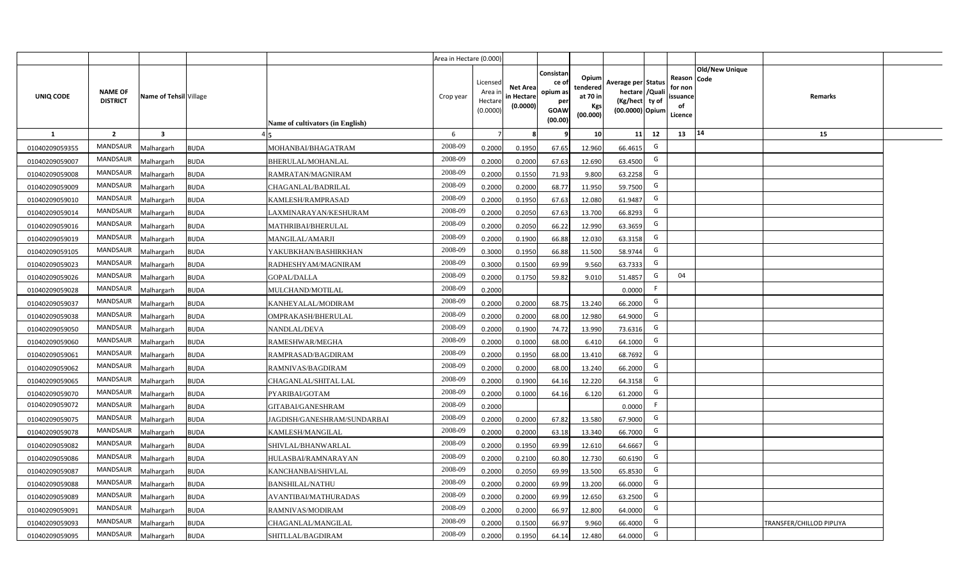|                |                                   |                        |             |                                  | Area in Hectare (0.000) |                                          |                                           |                                                          |                                                         |                                                                           |    |                                                     |                       |                          |  |
|----------------|-----------------------------------|------------------------|-------------|----------------------------------|-------------------------|------------------------------------------|-------------------------------------------|----------------------------------------------------------|---------------------------------------------------------|---------------------------------------------------------------------------|----|-----------------------------------------------------|-----------------------|--------------------------|--|
| UNIQ CODE      | <b>NAME OF</b><br><b>DISTRICT</b> | Name of Tehsil Village |             | Name of cultivators (in English) | Crop year               | Licensed<br>Area i<br>Hectar<br>(0.0000) | <b>Net Area</b><br>in Hectare<br>(0.0000) | Consistan<br>ce of<br>opium as<br>per<br>GOAW<br>(00.00) | Opium<br>tendered<br>at 70 in<br><b>Kgs</b><br>(00.000) | Average per Status<br>hectare / Qual<br>(Kg/hect ty of<br>(00.0000) Opium |    | Reason Code<br>for nor<br>issuance<br>of<br>Licence | <b>Old/New Unique</b> | <b>Remarks</b>           |  |
| 1              | $\overline{2}$                    | $\mathbf{3}$           |             |                                  | 6                       |                                          |                                           |                                                          | 10                                                      | 11                                                                        | 12 | 13                                                  | 14                    | 15                       |  |
| 01040209059355 | <b>MANDSAUR</b>                   | Malhargarh             | <b>BUDA</b> | MOHANBAI/BHAGATRAM               | 2008-09                 | 0.2000                                   | 0.1950                                    | 67.65                                                    | 12.960                                                  | 66.4615                                                                   | G  |                                                     |                       |                          |  |
| 01040209059007 | MANDSAUR                          | Malhargarh             | <b>BUDA</b> | BHERULAL/MOHANLAL                | 2008-09                 | 0.2000                                   | 0.2000                                    | 67.63                                                    | 12.690                                                  | 63.4500                                                                   | G  |                                                     |                       |                          |  |
| 01040209059008 | MANDSAUR                          | Malhargarh             | <b>BUDA</b> | RAMRATAN/MAGNIRAM                | 2008-09                 | 0.2000                                   | 0.1550                                    | 71.93                                                    | 9.800                                                   | 63.2258                                                                   | G  |                                                     |                       |                          |  |
| 01040209059009 | MANDSAUR                          | Malhargarh             | <b>BUDA</b> | CHAGANLAL/BADRILAL               | 2008-09                 | 0.2000                                   | 0.2000                                    | 68.77                                                    | 11.950                                                  | 59.7500                                                                   | G  |                                                     |                       |                          |  |
| 01040209059010 | <b>MANDSAUR</b>                   | Malhargarh             | <b>BUDA</b> | KAMLESH/RAMPRASAD                | 2008-09                 | 0.2000                                   | 0.1950                                    | 67.63                                                    | 12.080                                                  | 61.9487                                                                   | G  |                                                     |                       |                          |  |
| 01040209059014 | <b>MANDSAUR</b>                   | Malhargarh             | <b>BUDA</b> | LAXMINARAYAN/KESHURAM            | 2008-09                 | 0.2000                                   | 0.2050                                    | 67.63                                                    | 13.700                                                  | 66.8293                                                                   | G  |                                                     |                       |                          |  |
| 01040209059016 | <b>MANDSAUR</b>                   | Malhargarh             | <b>BUDA</b> | MATHRIBAI/BHERULAL               | 2008-09                 | 0.2000                                   | 0.2050                                    | 66.22                                                    | 12.990                                                  | 63.3659                                                                   | G  |                                                     |                       |                          |  |
| 01040209059019 | <b>MANDSAUR</b>                   | Malhargarh             | <b>BUDA</b> | MANGILAL/AMARJI                  | 2008-09                 | 0.200                                    | 0.1900                                    | 66.88                                                    | 12.030                                                  | 63.3158                                                                   | G  |                                                     |                       |                          |  |
| 01040209059105 | <b>MANDSAUR</b>                   | Malhargarh             | <b>BUDA</b> | YAKUBKHAN/BASHIRKHAN             | 2008-09                 | 0.300                                    | 0.1950                                    | 66.88                                                    | 11.500                                                  | 58.9744                                                                   | G  |                                                     |                       |                          |  |
| 01040209059023 | <b>MANDSAUR</b>                   | Malhargarh             | <b>BUDA</b> | RADHESHYAM/MAGNIRAM              | 2008-09                 | 0.3000                                   | 0.1500                                    | 69.99                                                    | 9.560                                                   | 63.7333                                                                   | G  |                                                     |                       |                          |  |
| 01040209059026 | <b>MANDSAUR</b>                   | Malhargarh             | <b>BUDA</b> | GOPAL/DALLA                      | 2008-09                 | 0.2000                                   | 0.1750                                    | 59.82                                                    | 9.010                                                   | 51.4857                                                                   | G  | 04                                                  |                       |                          |  |
| 01040209059028 | <b>MANDSAUR</b>                   | Malhargarh             | <b>BUDA</b> | MULCHAND/MOTILAL                 | 2008-09                 | 0.2000                                   |                                           |                                                          |                                                         | 0.0000                                                                    | F  |                                                     |                       |                          |  |
| 01040209059037 | <b>MANDSAUR</b>                   | Malhargarh             | <b>BUDA</b> | KANHEYALAL/MODIRAM               | 2008-09                 | 0.2000                                   | 0.2000                                    | 68.75                                                    | 13.240                                                  | 66.2000                                                                   | G  |                                                     |                       |                          |  |
| 01040209059038 | <b>MANDSAUR</b>                   | Malhargarh             | <b>BUDA</b> | OMPRAKASH/BHERULAL               | 2008-09                 | 0.2000                                   | 0.2000                                    | 68.00                                                    | 12.980                                                  | 64.9000                                                                   | G  |                                                     |                       |                          |  |
| 01040209059050 | MANDSAUR                          | Malhargarh             | <b>BUDA</b> | NANDLAL/DEVA                     | 2008-09                 | 0.2000                                   | 0.1900                                    | 74.72                                                    | 13.990                                                  | 73.6316                                                                   | G  |                                                     |                       |                          |  |
| 01040209059060 | <b>MANDSAUR</b>                   | Malhargarh             | <b>BUDA</b> | RAMESHWAR/MEGHA                  | 2008-09                 | 0.2000                                   | 0.1000                                    | 68.00                                                    | 6.410                                                   | 64.1000                                                                   | G  |                                                     |                       |                          |  |
| 01040209059061 | MANDSAUR                          | Malhargarh             | <b>BUDA</b> | RAMPRASAD/BAGDIRAM               | 2008-09                 | 0.2000                                   | 0.1950                                    | 68.00                                                    | 13.410                                                  | 68.7692                                                                   | G  |                                                     |                       |                          |  |
| 01040209059062 | <b>MANDSAUR</b>                   | Malhargarh             | <b>BUDA</b> | RAMNIVAS/BAGDIRAM                | 2008-09                 | 0.2000                                   | 0.2000                                    | 68.00                                                    | 13.240                                                  | 66.2000                                                                   | G  |                                                     |                       |                          |  |
| 01040209059065 | <b>MANDSAUR</b>                   | Malhargarh             | <b>BUDA</b> | CHAGANLAL/SHITAL LAL             | 2008-09                 | 0.2000                                   | 0.1900                                    | 64.16                                                    | 12.220                                                  | 64.3158                                                                   | G  |                                                     |                       |                          |  |
| 01040209059070 | MANDSAUR                          | Malhargarh             | <b>BUDA</b> | PYARIBAI/GOTAM                   | 2008-09                 | 0.2000                                   | 0.1000                                    | 64.16                                                    | 6.120                                                   | 61.2000                                                                   | G  |                                                     |                       |                          |  |
| 01040209059072 | <b>MANDSAUR</b>                   | Malhargarh             | <b>BUDA</b> | GITABAI/GANESHRAM                | 2008-09                 | 0.2000                                   |                                           |                                                          |                                                         | 0.0000                                                                    | F. |                                                     |                       |                          |  |
| 01040209059075 | <b>MANDSAUR</b>                   | Malhargarh             | <b>BUDA</b> | JAGDISH/GANESHRAM/SUNDARBAI      | 2008-09                 | 0.2000                                   | 0.2000                                    | 67.82                                                    | 13.580                                                  | 67.9000                                                                   | G  |                                                     |                       |                          |  |
| 01040209059078 | <b>MANDSAUR</b>                   | Malhargarh             | <b>BUDA</b> | KAMLESH/MANGILAL                 | 2008-09                 | 0.2000                                   | 0.2000                                    | 63.18                                                    | 13.340                                                  | 66.7000                                                                   | G  |                                                     |                       |                          |  |
| 01040209059082 | <b>MANDSAUR</b>                   | Malhargarh             | <b>BUDA</b> | SHIVLAL/BHANWARLAL               | 2008-09                 | 0.2000                                   | 0.1950                                    | 69.99                                                    | 12.610                                                  | 64.6667                                                                   | G  |                                                     |                       |                          |  |
| 01040209059086 | <b>MANDSAUR</b>                   | Malhargarh             | <b>BUDA</b> | HULASBAI/RAMNARAYAN              | 2008-09                 | 0.2000                                   | 0.2100                                    | 60.80                                                    | 12.730                                                  | 60.6190                                                                   | G  |                                                     |                       |                          |  |
| 01040209059087 | <b>MANDSAUR</b>                   | Malhargarh             | <b>BUDA</b> | KANCHANBAI/SHIVLAL               | 2008-09                 | 0.200                                    | 0.2050                                    | 69.99                                                    | 13.500                                                  | 65.8530                                                                   | G  |                                                     |                       |                          |  |
| 01040209059088 | <b>MANDSAUR</b>                   | Malhargarh             | <b>BUDA</b> | <b>BANSHILAL/NATHU</b>           | 2008-09                 | 0.200                                    | 0.2000                                    | 69.99                                                    | 13.200                                                  | 66.0000                                                                   | G  |                                                     |                       |                          |  |
| 01040209059089 | <b>MANDSAUR</b>                   | Malhargarh             | <b>BUDA</b> | AVANTIBAI/MATHURADAS             | 2008-09                 | 0.200                                    | 0.2000                                    | 69.99                                                    | 12.650                                                  | 63.2500                                                                   | G  |                                                     |                       |                          |  |
| 01040209059091 | <b>MANDSAUR</b>                   | Malhargarh             | <b>BUDA</b> | RAMNIVAS/MODIRAM                 | 2008-09                 | 0.200                                    | 0.2000                                    | 66.97                                                    | 12.800                                                  | 64.0000                                                                   | G  |                                                     |                       |                          |  |
| 01040209059093 | <b>MANDSAUR</b>                   | Malhargarh             | <b>BUDA</b> | CHAGANLAL/MANGILAL               | 2008-09                 | 0.200                                    | 0.1500                                    | 66.97                                                    | 9.960                                                   | 66.4000                                                                   | G  |                                                     |                       | TRANSFER/CHILLOD PIPLIYA |  |
| 01040209059095 | MANDSAUR                          | Malhargarh             | <b>BUDA</b> | SHITLLAL/BAGDIRAM                | 2008-09                 | 0.2000                                   | 0.1950                                    | 64.14                                                    | 12.480                                                  | 64.0000                                                                   | G  |                                                     |                       |                          |  |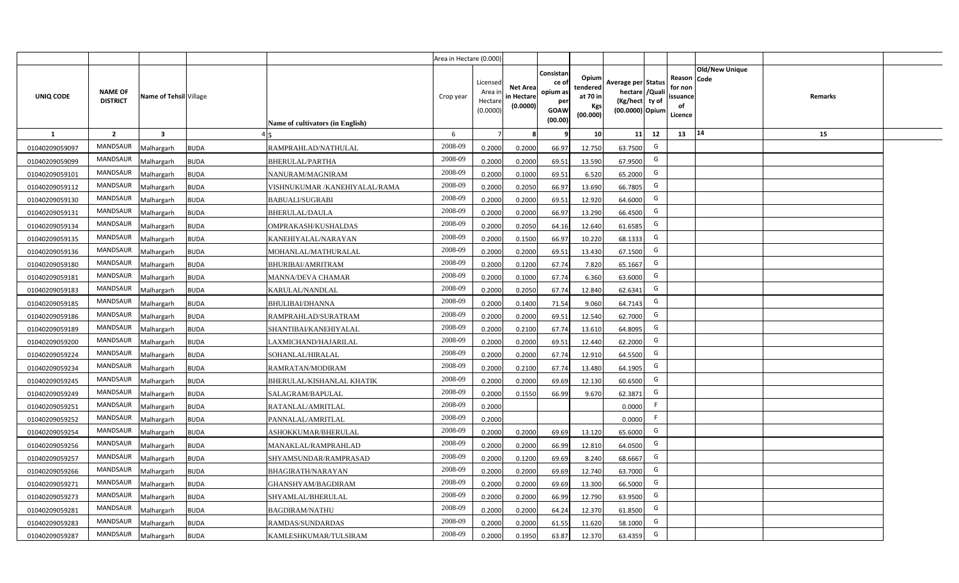|                |                                   |                         |                                              | Area in Hectare (0.000) |                                            |                                           |                                                         |                                                  |                                                                            |    |                                                                              |         |  |
|----------------|-----------------------------------|-------------------------|----------------------------------------------|-------------------------|--------------------------------------------|-------------------------------------------|---------------------------------------------------------|--------------------------------------------------|----------------------------------------------------------------------------|----|------------------------------------------------------------------------------|---------|--|
| UNIQ CODE      | <b>NAME OF</b><br><b>DISTRICT</b> | Name of Tehsil Village  | Name of cultivators (in English)             | Crop year               | Licensed<br>Area ir<br>Hectare<br>(0.0000) | <b>Net Area</b><br>in Hectare<br>(0.0000) | Consistar<br>ce o<br>opium as<br>per<br>GOAW<br>(00.00) | Opium<br>tendered<br>at 70 in<br>Kgs<br>(00.000) | Average per Status<br>hectare / Quali<br>(Kg/hect ty of<br>(00.0000) Opium |    | <b>Old/New Unique</b><br>Reason Code<br>for non<br>issuance<br>of<br>Licence | Remarks |  |
| $\mathbf{1}$   | $\overline{2}$                    | $\overline{\mathbf{3}}$ |                                              | 6                       | $\overline{7}$                             |                                           |                                                         | 10                                               | 11                                                                         | 12 | 14<br>13                                                                     | 15      |  |
| 01040209059097 | <b>MANDSAUR</b>                   | <b>Aalhargarh</b>       | <b>BUDA</b><br>RAMPRAHLAD/NATHULAL           | 2008-09                 | 0.2000                                     | 0.2000                                    | 66.97                                                   | 12.750                                           | 63.7500                                                                    | G  |                                                                              |         |  |
| 01040209059099 | MANDSAUR                          | <b>Malhargarh</b>       | <b>BUDA</b><br><b>BHERULAL/PARTHA</b>        | 2008-09                 | 0.2000                                     | 0.2000                                    | 69.51                                                   | 13.590                                           | 67.9500                                                                    | G  |                                                                              |         |  |
| 01040209059101 | <b>MANDSAUR</b>                   | <b>Malhargarh</b>       | <b>BUDA</b><br>NANURAM/MAGNIRAM              | 2008-09                 | 0.2000                                     | 0.1000                                    | 69.51                                                   | 6.520                                            | 65.2000                                                                    | G  |                                                                              |         |  |
| 01040209059112 | MANDSAUR                          | <b>Malhargarh</b>       | <b>BUDA</b><br>VISHNUKUMAR /KANEHIYALAL/RAMA | 2008-09                 | 0.2000                                     | 0.2050                                    | 66.97                                                   | 13.690                                           | 66.7805                                                                    | G  |                                                                              |         |  |
| 01040209059130 | MANDSAUR                          | <b>Malhargarh</b>       | <b>BUDA</b><br><b>BABUALI/SUGRABI</b>        | 2008-09                 | 0.2000                                     | 0.2000                                    | 69.51                                                   | 12.920                                           | 64.6000                                                                    | G  |                                                                              |         |  |
| 01040209059131 | <b>MANDSAUR</b>                   | <b>Malhargarh</b>       | <b>BUDA</b><br><b>BHERULAL/DAULA</b>         | 2008-09                 | 0.2000                                     | 0.2000                                    | 66.97                                                   | 13.290                                           | 66.4500                                                                    | G  |                                                                              |         |  |
| 01040209059134 | MANDSAUR                          | <b>Malhargarh</b>       | <b>BUDA</b><br>OMPRAKASH/KUSHALDAS           | 2008-09                 | 0.2000                                     | 0.2050                                    | 64.16                                                   | 12.640                                           | 61.6585                                                                    | G  |                                                                              |         |  |
| 01040209059135 | <b>MANDSAUR</b>                   | <b>Malhargarh</b>       | <b>BUDA</b><br>KANEHIYALAL/NARAYAN           | 2008-09                 | 0.2000                                     | 0.1500                                    | 66.97                                                   | 10.220                                           | 68.1333                                                                    | G  |                                                                              |         |  |
| 01040209059136 | MANDSAUR                          | <b>Malhargarh</b>       | <b>BUDA</b><br>MOHANLAL/MATHURALAL           | 2008-09                 | 0.2000                                     | 0.2000                                    | 69.51                                                   | 13.430                                           | 67.1500                                                                    | G  |                                                                              |         |  |
| 01040209059180 | <b>MANDSAUR</b>                   | <b>Malhargarh</b>       | <b>BUDA</b><br><b>BHURIBAI/AMRITRAM</b>      | 2008-09                 | 0.2000                                     | 0.1200                                    | 67.74                                                   | 7.820                                            | 65.1667                                                                    | G  |                                                                              |         |  |
| 01040209059181 | <b>MANDSAUR</b>                   | <b>Malhargarh</b>       | <b>BUDA</b><br><b>MANNA/DEVA CHAMAR</b>      | 2008-09                 | 0.2000                                     | 0.1000                                    | 67.74                                                   | 6.360                                            | 63.6000                                                                    | G  |                                                                              |         |  |
| 01040209059183 | <b>MANDSAUR</b>                   | <b>Malhargarh</b>       | <b>BUDA</b><br>KARULAL/NANDLAL               | 2008-09                 | 0.2000                                     | 0.2050                                    | 67.74                                                   | 12.840                                           | 62.6341                                                                    | G  |                                                                              |         |  |
| 01040209059185 | <b>MANDSAUR</b>                   | <b>Malhargarh</b>       | <b>BUDA</b><br><b>BHULIBAI/DHANNA</b>        | 2008-09                 | 0.2000                                     | 0.1400                                    | 71.54                                                   | 9.060                                            | 64.7143                                                                    | G  |                                                                              |         |  |
| 01040209059186 | <b>MANDSAUR</b>                   | <b>Malhargarh</b>       | <b>BUDA</b><br>RAMPRAHLAD/SURATRAM           | 2008-09                 | 0.2000                                     | 0.2000                                    | 69.51                                                   | 12.540                                           | 62.7000                                                                    | G  |                                                                              |         |  |
| 01040209059189 | MANDSAUR                          | <b>Malhargarh</b>       | <b>BUDA</b><br>SHANTIBAI/KANEHIYALAL         | 2008-09                 | 0.2000                                     | 0.2100                                    | 67.74                                                   | 13.610                                           | 64.8095                                                                    | G  |                                                                              |         |  |
| 01040209059200 | <b>MANDSAUR</b>                   | <b>Malhargarh</b>       | <b>BUDA</b><br>LAXMICHAND/HAJARILAL          | 2008-09                 | 0.2000                                     | 0.2000                                    | 69.51                                                   | 12.440                                           | 62.2000                                                                    | G  |                                                                              |         |  |
| 01040209059224 | MANDSAUR                          | <b>Malhargarh</b>       | <b>BUDA</b><br>SOHANLAL/HIRALAL              | 2008-09                 | 0.2000                                     | 0.2000                                    | 67.74                                                   | 12.910                                           | 64.5500                                                                    | G  |                                                                              |         |  |
| 01040209059234 | <b>MANDSAUR</b>                   | Malhargarh              | <b>BUDA</b><br>RAMRATAN/MODIRAM              | 2008-09                 | 0.2000                                     | 0.2100                                    | 67.74                                                   | 13.480                                           | 64.1905                                                                    | G  |                                                                              |         |  |
| 01040209059245 | <b>MANDSAUR</b>                   | Malhargarh              | <b>BUDA</b><br>BHERULAL/KISHANLAL KHATIK     | 2008-09                 | 0.2000                                     | 0.2000                                    | 69.69                                                   | 12.130                                           | 60.6500                                                                    | G  |                                                                              |         |  |
| 01040209059249 | <b>MANDSAUR</b>                   | <b>Malhargarh</b>       | <b>BUDA</b><br>SALAGRAM/BAPULAL              | 2008-09                 | 0.2000                                     | 0.1550                                    | 66.99                                                   | 9.670                                            | 62.3871                                                                    | G  |                                                                              |         |  |
| 01040209059251 | <b>MANDSAUR</b>                   | <b>Malhargarh</b>       | <b>BUDA</b><br>RATANLAL/AMRITLAL             | 2008-09                 | 0.2000                                     |                                           |                                                         |                                                  | 0.0000                                                                     | F. |                                                                              |         |  |
| 01040209059252 | <b>MANDSAUR</b>                   | <b>Malhargarh</b>       | <b>BUDA</b><br>PANNALAL/AMRITLAL             | 2008-09                 | 0.2000                                     |                                           |                                                         |                                                  | 0.0000                                                                     | F  |                                                                              |         |  |
| 01040209059254 | <b>MANDSAUR</b>                   | <b>Malhargarh</b>       | <b>BUDA</b><br>ASHOKKUMAR/BHERULAL           | 2008-09                 | 0.2000                                     | 0.2000                                    | 69.69                                                   | 13.120                                           | 65.6000                                                                    | G  |                                                                              |         |  |
| 01040209059256 | <b>MANDSAUR</b>                   | Malhargarh              | <b>BUDA</b><br>MANAKLAL/RAMPRAHLAD           | 2008-09                 | 0.2000                                     | 0.2000                                    | 66.99                                                   | 12.810                                           | 64.0500                                                                    | G  |                                                                              |         |  |
| 01040209059257 | <b>MANDSAUR</b>                   | <b>Aalhargarh</b>       | <b>BUDA</b><br>SHYAMSUNDAR/RAMPRASAD         | 2008-09                 | 0.2000                                     | 0.1200                                    | 69.69                                                   | 8.240                                            | 68.6667                                                                    | G  |                                                                              |         |  |
| 01040209059266 | MANDSAUR                          | <b>Malhargarh</b>       | <b>BUDA</b><br>BHAGIRATH/NARAYAN             | 2008-09                 | 0.2000                                     | 0.2000                                    | 69.69                                                   | 12.740                                           | 63.7000                                                                    | G  |                                                                              |         |  |
| 01040209059271 | <b>MANDSAUR</b>                   | <b>Malhargarh</b>       | <b>BUDA</b><br>GHANSHYAM/BAGDIRAM            | 2008-09                 | 0.2000                                     | 0.2000                                    | 69.69                                                   | 13.300                                           | 66.5000                                                                    | G  |                                                                              |         |  |
| 01040209059273 | <b>MANDSAUR</b>                   | <b>Malhargarh</b>       | <b>BUDA</b><br>SHYAMLAL/BHERULAL             | 2008-09                 | 0.2000                                     | 0.2000                                    | 66.99                                                   | 12.790                                           | 63.9500                                                                    | G  |                                                                              |         |  |
| 01040209059281 | <b>MANDSAUR</b>                   | <b>Malhargarh</b>       | <b>BUDA</b><br><b>BAGDIRAM/NATHU</b>         | 2008-09                 | 0.2000                                     | 0.2000                                    | 64.24                                                   | 12.370                                           | 61.8500                                                                    | G  |                                                                              |         |  |
| 01040209059283 | <b>MANDSAUR</b>                   | <b>Malhargarh</b>       | <b>BUDA</b><br>RAMDAS/SUNDARDAS              | 2008-09                 | 0.2000                                     | 0.2000                                    | 61.55                                                   | 11.620                                           | 58.1000                                                                    | G  |                                                                              |         |  |
| 01040209059287 | <b>MANDSAUR</b>                   | Malhargarh              | <b>BUDA</b><br>KAMLESHKUMAR/TULSIRAM         | 2008-09                 | 0.2000                                     | 0.1950                                    | 63.87                                                   | 12.370                                           | 63.4359                                                                    | G  |                                                                              |         |  |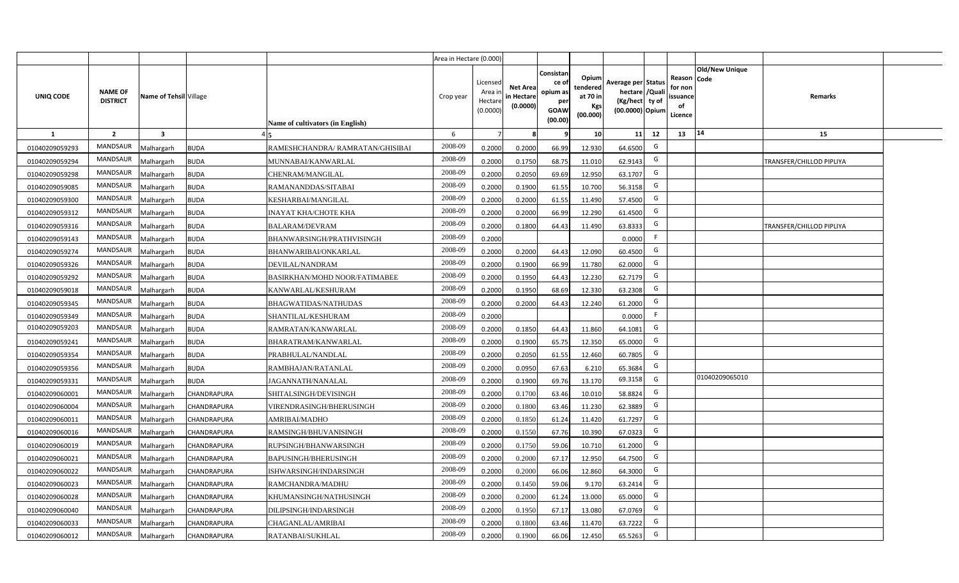|                |                                   |                         |             |                                      | Area in Hectare (0.000) |                                          |                                           |                                                         |                                                         |                                                                           |    |                                                     |                       |                          |  |
|----------------|-----------------------------------|-------------------------|-------------|--------------------------------------|-------------------------|------------------------------------------|-------------------------------------------|---------------------------------------------------------|---------------------------------------------------------|---------------------------------------------------------------------------|----|-----------------------------------------------------|-----------------------|--------------------------|--|
| UNIQ CODE      | <b>NAME OF</b><br><b>DISTRICT</b> | Name of Tehsil Village  |             | Name of cultivators (in English)     | Crop year               | Licensed<br>Area i<br>Hectar<br>(0.0000) | <b>Net Area</b><br>in Hectare<br>(0.0000) | Consistan<br>ce o<br>opium as<br>per<br>GOAW<br>(00.00) | Opium<br>tendered<br>at 70 in<br><b>Kgs</b><br>(00.000) | Average per Status<br>hectare / Qual<br>(Kg/hect ty of<br>(00.0000) Opium |    | Reason Code<br>for nor<br>issuance<br>of<br>Licence | <b>Old/New Unique</b> | Remarks                  |  |
| 1              | $\overline{2}$                    | $\overline{\mathbf{3}}$ |             |                                      | 6                       |                                          |                                           |                                                         | 10 <sup>1</sup>                                         | 11                                                                        | 12 | 13                                                  | 14                    | 15                       |  |
| 01040209059293 | <b>MANDSAUR</b>                   | Malhargarh              | <b>BUDA</b> | RAMESHCHANDRA/ RAMRATAN/GHISIBAI     | 2008-09                 | 0.2000                                   | 0.2000                                    | 66.99                                                   | 12.930                                                  | 64.6500                                                                   | G  |                                                     |                       |                          |  |
| 01040209059294 | <b>MANDSAUR</b>                   | Malhargarh              | <b>BUDA</b> | MUNNABAI/KANWARLAL                   | 2008-09                 | 0.2000                                   | 0.1750                                    | 68.75                                                   | 11.010                                                  | 62.9143                                                                   | G  |                                                     |                       | TRANSFER/CHILLOD PIPLIYA |  |
| 01040209059298 | <b>MANDSAUR</b>                   | Malhargarh              | <b>BUDA</b> | CHENRAM/MANGILAL                     | 2008-09                 | 0.2000                                   | 0.2050                                    | 69.69                                                   | 12.950                                                  | 63.1707                                                                   | G  |                                                     |                       |                          |  |
| 01040209059085 | <b>MANDSAUR</b>                   | Malhargarh              | <b>BUDA</b> | RAMANANDDAS/SITABAI                  | 2008-09                 | 0.2000                                   | 0.1900                                    | 61.55                                                   | 10.700                                                  | 56.3158                                                                   | G  |                                                     |                       |                          |  |
| 01040209059300 | <b>MANDSAUR</b>                   | Malhargarh              | <b>BUDA</b> | KESHARBAI/MANGILAL                   | 2008-09                 | 0.200                                    | 0.2000                                    | 61.55                                                   | 11.490                                                  | 57.4500                                                                   | G  |                                                     |                       |                          |  |
| 01040209059312 | <b>MANDSAUR</b>                   | Malhargarh              | <b>BUDA</b> | <b>INAYAT KHA/CHOTE KHA</b>          | 2008-09                 | 0.200                                    | 0.2000                                    | 66.99                                                   | 12.290                                                  | 61.4500                                                                   | G  |                                                     |                       |                          |  |
| 01040209059316 | <b>MANDSAUR</b>                   | Malhargarh              | <b>BUDA</b> | BALARAM/DEVRAM                       | 2008-09                 | 0.200                                    | 0.1800                                    | 64.43                                                   | 11.490                                                  | 63.8333                                                                   | G  |                                                     |                       | RANSFER/CHILLOD PIPLIYA  |  |
| 01040209059143 | <b>MANDSAUR</b>                   | Malhargarh              | <b>BUDA</b> | BHANWARSINGH/PRATHVISINGH            | 2008-09                 | 0.2000                                   |                                           |                                                         |                                                         | 0.0000                                                                    | F. |                                                     |                       |                          |  |
| 01040209059274 | MANDSAUR                          | Malhargarh              | <b>BUDA</b> | BHANWARIBAI/ONKARLAL                 | 2008-09                 | 0.2000                                   | 0.2000                                    | 64.43                                                   | 12.090                                                  | 60.4500                                                                   | G  |                                                     |                       |                          |  |
| 01040209059326 | <b>MANDSAUR</b>                   | Malhargarh              | <b>BUDA</b> | DEVILAL/NANDRAM                      | 2008-09                 | 0.2000                                   | 0.1900                                    | 66.99                                                   | 11.780                                                  | 62.0000                                                                   | G  |                                                     |                       |                          |  |
| 01040209059292 | MANDSAUR                          | Malhargarh              | <b>BUDA</b> | <b>BASIRKHAN/MOHD NOOR/FATIMABEE</b> | 2008-09                 | 0.2000                                   | 0.1950                                    | 64.43                                                   | 12.230                                                  | 62.7179                                                                   | G  |                                                     |                       |                          |  |
| 01040209059018 | <b>MANDSAUR</b>                   | Malhargarh              | <b>BUDA</b> | KANWARLAL/KESHURAM                   | 2008-09                 | 0.2000                                   | 0.1950                                    | 68.69                                                   | 12.330                                                  | 63.2308                                                                   | G  |                                                     |                       |                          |  |
| 01040209059345 | MANDSAUR                          | Malhargarh              | <b>BUDA</b> | BHAGWATIDAS/NATHUDAS                 | 2008-09                 | 0.2000                                   | 0.2000                                    | 64.43                                                   | 12.240                                                  | 61.2000                                                                   | G  |                                                     |                       |                          |  |
| 01040209059349 | <b>MANDSAUR</b>                   | Malhargarh              | <b>BUDA</b> | SHANTILAL/KESHURAM                   | 2008-09                 | 0.2000                                   |                                           |                                                         |                                                         | 0.0000                                                                    | -F |                                                     |                       |                          |  |
| 01040209059203 | <b>MANDSAUR</b>                   | Malhargarh              | <b>BUDA</b> | RAMRATAN/KANWARLAL                   | 2008-09                 | 0.2000                                   | 0.1850                                    | 64.43                                                   | 11.860                                                  | 64.1081                                                                   | G  |                                                     |                       |                          |  |
| 01040209059241 | MANDSAUR                          | Malhargarh              | <b>BUDA</b> | BHARATRAM/KANWARLAL                  | 2008-09                 | 0.2000                                   | 0.1900                                    | 65.75                                                   | 12.350                                                  | 65.0000                                                                   | G  |                                                     |                       |                          |  |
| 01040209059354 | <b>MANDSAUR</b>                   | Malhargarh              | <b>BUDA</b> | PRABHULAL/NANDLAL                    | 2008-09                 | 0.2000                                   | 0.2050                                    | 61.55                                                   | 12.460                                                  | 60.7805                                                                   | G  |                                                     |                       |                          |  |
| 01040209059356 | <b>MANDSAUR</b>                   | Malhargarh              | <b>BUDA</b> | RAMBHAJAN/RATANLAL                   | 2008-09                 | 0.2000                                   | 0.0950                                    | 67.63                                                   | 6.210                                                   | 65.3684                                                                   | G  |                                                     |                       |                          |  |
| 01040209059331 | MANDSAUR                          | Malhargarh              | <b>BUDA</b> | JAGANNATH/NANALAL                    | 2008-09                 | 0.2000                                   | 0.1900                                    | 69.76                                                   | 13.170                                                  | 69.3158                                                                   | G  |                                                     | 01040209065010        |                          |  |
| 01040209060001 | <b>MANDSAUR</b>                   | Malhargarh              | CHANDRAPURA | SHITALSINGH/DEVISINGH                | 2008-09                 | 0.2000                                   | 0.1700                                    | 63.46                                                   | 10.010                                                  | 58.8824                                                                   | G  |                                                     |                       |                          |  |
| 01040209060004 | <b>MANDSAUR</b>                   | Malhargarh              | CHANDRAPURA | VIRENDRASINGH/BHERUSINGH             | 2008-09                 | 0.2000                                   | 0.1800                                    | 63.46                                                   | 11.230                                                  | 62.3889                                                                   | G  |                                                     |                       |                          |  |
| 01040209060011 | <b>MANDSAUR</b>                   | Malhargarh              | CHANDRAPURA | AMRIBAI/MADHO                        | 2008-09                 | 0.2000                                   | 0.1850                                    | 61.24                                                   | 11.420                                                  | 61.7297                                                                   | G  |                                                     |                       |                          |  |
| 01040209060016 | <b>MANDSAUR</b>                   | Malhargarh              | CHANDRAPURA | RAMSINGH/BHUVANISINGH                | 2008-09                 | 0.2000                                   | 0.1550                                    | 67.76                                                   | 10.390                                                  | 67.0323                                                                   | G  |                                                     |                       |                          |  |
| 01040209060019 | <b>MANDSAUR</b>                   | Malhargarh              | CHANDRAPURA | RUPSINGH/BHANWARSINGH                | 2008-09                 | 0.2000                                   | 0.1750                                    | 59.06                                                   | 10.710                                                  | 61.2000                                                                   | G  |                                                     |                       |                          |  |
| 01040209060021 | <b>MANDSAUR</b>                   | Malhargarh              | CHANDRAPURA | BAPUSINGH/BHERUSINGH                 | 2008-09                 | 0.200                                    | 0.2000                                    | 67.17                                                   | 12.950                                                  | 64.7500                                                                   | G  |                                                     |                       |                          |  |
| 01040209060022 | <b>MANDSAUR</b>                   | Malhargarh              | CHANDRAPURA | ISHWARSINGH/INDARSINGH               | 2008-09                 | 0.200                                    | 0.2000                                    | 66.06                                                   | 12.860                                                  | 64.3000                                                                   | G  |                                                     |                       |                          |  |
| 01040209060023 | <b>MANDSAUR</b>                   | Malhargarh              | CHANDRAPURA | RAMCHANDRA/MADHU                     | 2008-09                 | 0.200                                    | 0.1450                                    | 59.06                                                   | 9.17                                                    | 63.2414                                                                   | G  |                                                     |                       |                          |  |
| 01040209060028 | <b>MANDSAUR</b>                   | Malhargarh              | CHANDRAPURA | KHUMANSINGH/NATHUSINGH               | 2008-09                 | 0.2000                                   | 0.2000                                    | 61.24                                                   | 13.000                                                  | 65.0000                                                                   | G  |                                                     |                       |                          |  |
| 01040209060040 | <b>MANDSAUR</b>                   | Malhargarh              | CHANDRAPURA | DILIPSINGH/INDARSINGH                | 2008-09                 | 0.2000                                   | 0.1950                                    | 67.17                                                   | 13.080                                                  | 67.0769                                                                   | G  |                                                     |                       |                          |  |
| 01040209060033 | <b>MANDSAUR</b>                   | Malhargarh              | CHANDRAPURA | CHAGANLAL/AMRIBAI                    | 2008-09                 | 0.2000                                   | 0.1800                                    | 63.46                                                   | 11.470                                                  | 63.7222                                                                   | G  |                                                     |                       |                          |  |
| 01040209060012 | <b>MANDSAUR</b>                   | Malhargarh              | CHANDRAPURA | RATANBAI/SUKHLAL                     | 2008-09                 | 0.2000                                   | 0.1900                                    | 66.06                                                   | 12.450                                                  | 65.5263                                                                   | G  |                                                     |                       |                          |  |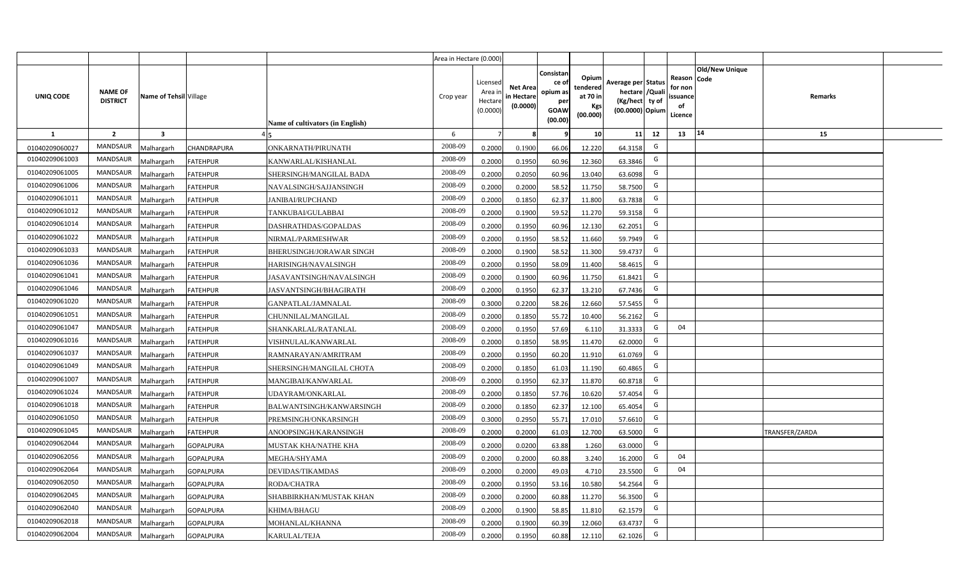|                |                                   |                        |                  |                                  | Area in Hectare (0.000) |                                          |                                           |                                                         |                                                         |                                                                           |    |                                                     |                       |                |  |
|----------------|-----------------------------------|------------------------|------------------|----------------------------------|-------------------------|------------------------------------------|-------------------------------------------|---------------------------------------------------------|---------------------------------------------------------|---------------------------------------------------------------------------|----|-----------------------------------------------------|-----------------------|----------------|--|
| UNIQ CODE      | <b>NAME OF</b><br><b>DISTRICT</b> | Name of Tehsil Village |                  | Name of cultivators (in English) | Crop year               | Licensed<br>Area i<br>Hectar<br>(0.0000) | <b>Net Area</b><br>in Hectare<br>(0.0000) | Consistan<br>ce o<br>opium as<br>per<br>GOAW<br>(00.00) | Opium<br>tendered<br>at 70 in<br><b>Kgs</b><br>(00.000) | Average per Status<br>hectare / Qual<br>(Kg/hect ty of<br>(00.0000) Opium |    | Reason Code<br>for nor<br>issuance<br>of<br>Licence | <b>Old/New Unique</b> | Remarks        |  |
| 1              | $\overline{2}$                    | 3                      |                  |                                  | 6                       |                                          |                                           |                                                         | 10 <sup>1</sup>                                         | 11                                                                        | 12 | 13                                                  | 14                    | 15             |  |
| 01040209060027 | <b>MANDSAUR</b>                   | Malhargarh             | CHANDRAPURA      | ONKARNATH/PIRUNATH               | 2008-09                 | 0.2000                                   | 0.1900                                    | 66.06                                                   | 12.220                                                  | 64.3158                                                                   | G  |                                                     |                       |                |  |
| 01040209061003 | <b>MANDSAUR</b>                   | Malhargarh             | <b>FATEHPUR</b>  | KANWARLAL/KISHANLAL              | 2008-09                 | 0.2000                                   | 0.1950                                    | 60.96                                                   | 12.360                                                  | 63.3846                                                                   | G  |                                                     |                       |                |  |
| 01040209061005 | <b>MANDSAUR</b>                   | Malhargarh             | <b>FATEHPUR</b>  | SHERSINGH/MANGILAL BADA          | 2008-09                 | 0.2000                                   | 0.2050                                    | 60.96                                                   | 13.040                                                  | 63.6098                                                                   | G  |                                                     |                       |                |  |
| 01040209061006 | <b>MANDSAUR</b>                   | Malhargarh             | <b>FATEHPUR</b>  | NAVALSINGH/SAJJANSINGH           | 2008-09                 | 0.2000                                   | 0.2000                                    | 58.52                                                   | 11.750                                                  | 58.7500                                                                   | G  |                                                     |                       |                |  |
| 01040209061011 | <b>MANDSAUR</b>                   | Malhargarh             | <b>FATEHPUR</b>  | <b>JANIBAI/RUPCHAND</b>          | 2008-09                 | 0.2000                                   | 0.1850                                    | 62.37                                                   | 11.800                                                  | 63.7838                                                                   | G  |                                                     |                       |                |  |
| 01040209061012 | <b>MANDSAUR</b>                   | Malhargarh             | <b>FATEHPUR</b>  | TANKUBAI/GULABBAI                | 2008-09                 | 0.200                                    | 0.1900                                    | 59.52                                                   | 11.270                                                  | 59.3158                                                                   | G  |                                                     |                       |                |  |
| 01040209061014 | <b>MANDSAUR</b>                   | Malhargarh             | <b>FATEHPUR</b>  | DASHRATHDAS/GOPALDAS             | 2008-09                 | 0.200                                    | 0.1950                                    | 60.96                                                   | 12.130                                                  | 62.2051                                                                   | G  |                                                     |                       |                |  |
| 01040209061022 | <b>MANDSAUR</b>                   | Malhargarh             | <b>FATEHPUR</b>  | NIRMAL/PARMESHWAR                | 2008-09                 | 0.200                                    | 0.1950                                    | 58.52                                                   | 11.660                                                  | 59.7949                                                                   | G  |                                                     |                       |                |  |
| 01040209061033 | MANDSAUR                          | Malhargarh             | <b>FATEHPUR</b>  | BHERUSINGH/JORAWAR SINGH         | 2008-09                 | 0.2000                                   | 0.1900                                    | 58.52                                                   | 11.300                                                  | 59.4737                                                                   | G  |                                                     |                       |                |  |
| 01040209061036 | <b>MANDSAUR</b>                   | Malhargarh             | <b>FATEHPUR</b>  | HARISINGH/NAVALSINGH             | 2008-09                 | 0.2000                                   | 0.1950                                    | 58.09                                                   | 11.400                                                  | 58.4615                                                                   | G  |                                                     |                       |                |  |
| 01040209061041 | MANDSAUR                          | Malhargarh             | <b>FATEHPUR</b>  | JASAVANTSINGH/NAVALSINGH         | 2008-09                 | 0.2000                                   | 0.1900                                    | 60.96                                                   | 11.750                                                  | 61.8421                                                                   | G  |                                                     |                       |                |  |
| 01040209061046 | <b>MANDSAUR</b>                   | Malhargarh             | <b>FATEHPUR</b>  | JASVANTSINGH/BHAGIRATH           | 2008-09                 | 0.2000                                   | 0.1950                                    | 62.37                                                   | 13.210                                                  | 67.7436                                                                   | G  |                                                     |                       |                |  |
| 01040209061020 | <b>MANDSAUR</b>                   | Malhargarh             | <b>FATEHPUR</b>  | GANPATLAL/JAMNALAL               | 2008-09                 | 0.3000                                   | 0.2200                                    | 58.26                                                   | 12.660                                                  | 57.5455                                                                   | G  |                                                     |                       |                |  |
| 01040209061051 | <b>MANDSAUR</b>                   | Malhargarh             | <b>FATEHPUR</b>  | CHUNNILAL/MANGILAL               | 2008-09                 | 0.2000                                   | 0.1850                                    | 55.72                                                   | 10.400                                                  | 56.2162                                                                   | G  |                                                     |                       |                |  |
| 01040209061047 | <b>MANDSAUR</b>                   | Malhargarh             | <b>FATEHPUR</b>  | SHANKARLAL/RATANLAL              | 2008-09                 | 0.2000                                   | 0.1950                                    | 57.69                                                   | 6.110                                                   | 31.3333                                                                   | G  | 04                                                  |                       |                |  |
| 01040209061016 | <b>MANDSAUR</b>                   | Malhargarh             | <b>FATEHPUR</b>  | VISHNULAL/KANWARLAL              | 2008-09                 | 0.2000                                   | 0.1850                                    | 58.95                                                   | 11.470                                                  | 62.0000                                                                   | G  |                                                     |                       |                |  |
| 01040209061037 | <b>MANDSAUR</b>                   | Malhargarh             | <b>FATEHPUR</b>  | RAMNARAYAN/AMRITRAM              | 2008-09                 | 0.2000                                   | 0.1950                                    | 60.20                                                   | 11.910                                                  | 61.0769                                                                   | G  |                                                     |                       |                |  |
| 01040209061049 | <b>MANDSAUR</b>                   | Malhargarh             | <b>FATEHPUR</b>  | SHERSINGH/MANGILAL CHOTA         | 2008-09                 | 0.2000                                   | 0.1850                                    | 61.03                                                   | 11.190                                                  | 60.4865                                                                   | G  |                                                     |                       |                |  |
| 01040209061007 | <b>MANDSAUR</b>                   | Malhargarh             | <b>FATEHPUR</b>  | MANGIBAI/KANWARLAL               | 2008-09                 | 0.2000                                   | 0.1950                                    | 62.37                                                   | 11.870                                                  | 60.8718                                                                   | G  |                                                     |                       |                |  |
| 01040209061024 | <b>MANDSAUR</b>                   | Malhargarh             | <b>FATEHPUR</b>  | UDAYRAM/ONKARLAL                 | 2008-09                 | 0.2000                                   | 0.1850                                    | 57.76                                                   | 10.620                                                  | 57.4054                                                                   | G  |                                                     |                       |                |  |
| 01040209061018 | <b>MANDSAUR</b>                   | Malhargarh             | <b>FATEHPUR</b>  | BALWANTSINGH/KANWARSINGH         | 2008-09                 | 0.2000                                   | 0.1850                                    | 62.37                                                   | 12.100                                                  | 65.4054                                                                   | G  |                                                     |                       |                |  |
| 01040209061050 | <b>MANDSAUR</b>                   | Malhargarh             | <b>FATEHPUR</b>  | PREMSINGH/ONKARSINGH             | 2008-09                 | 0.3000                                   | 0.2950                                    | 55.71                                                   | 17.010                                                  | 57.6610                                                                   | G  |                                                     |                       |                |  |
| 01040209061045 | <b>MANDSAUR</b>                   | Malhargarh             | <b>FATEHPUR</b>  | ANOOPSINGH/KARANSINGH            | 2008-09                 | 0.2000                                   | 0.2000                                    | 61.03                                                   | 12.700                                                  | 63.5000                                                                   | G  |                                                     |                       | TRANSFER/ZARDA |  |
| 01040209062044 | <b>MANDSAUR</b>                   | Malhargarh             | <b>GOPALPURA</b> | <b>MUSTAK KHA/NATHE KHA</b>      | 2008-09                 | 0.2000                                   | 0.0200                                    | 63.88                                                   | 1.260                                                   | 63.0000                                                                   | G  |                                                     |                       |                |  |
| 01040209062056 | <b>MANDSAUR</b>                   | Malhargarh             | <b>GOPALPURA</b> | MEGHA/SHYAMA                     | 2008-09                 | 0.200                                    | 0.2000                                    | 60.88                                                   | 3.240                                                   | 16.2000                                                                   | G  | 04                                                  |                       |                |  |
| 01040209062064 | <b>MANDSAUR</b>                   | Malhargarh             | <b>GOPALPURA</b> | DEVIDAS/TIKAMDAS                 | 2008-09                 | 0.200                                    | 0.2000                                    | 49.03                                                   | 4.710                                                   | 23.5500                                                                   | G  | 04                                                  |                       |                |  |
| 01040209062050 | <b>MANDSAUR</b>                   | Malhargarh             | <b>GOPALPURA</b> | RODA/CHATRA                      | 2008-09                 | 0.200                                    | 0.1950                                    | 53.16                                                   | 10.580                                                  | 54.2564                                                                   | G  |                                                     |                       |                |  |
| 01040209062045 | <b>MANDSAUR</b>                   | Malhargarh             | <b>GOPALPURA</b> | SHABBIRKHAN/MUSTAK KHAN          | 2008-09                 | 0.2000                                   | 0.2000                                    | 60.88                                                   | 11.270                                                  | 56.3500                                                                   | G  |                                                     |                       |                |  |
| 01040209062040 | <b>MANDSAUR</b>                   | Malhargarh             | <b>GOPALPURA</b> | KHIMA/BHAGU                      | 2008-09                 | 0.2000                                   | 0.1900                                    | 58.85                                                   | 11.810                                                  | 62.1579                                                                   | G  |                                                     |                       |                |  |
| 01040209062018 | <b>MANDSAUR</b>                   | Malhargarh             | <b>GOPALPURA</b> | MOHANLAL/KHANNA                  | 2008-09                 | 0.2000                                   | 0.1900                                    | 60.39                                                   | 12.060                                                  | 63.4737                                                                   | G  |                                                     |                       |                |  |
| 01040209062004 | <b>MANDSAUR</b>                   | Malhargarh             | <b>GOPALPURA</b> | KARULAL/TEJA                     | 2008-09                 | 0.2000                                   | 0.1950                                    | 60.88                                                   | 12.110                                                  | 62.1026                                                                   | G  |                                                     |                       |                |  |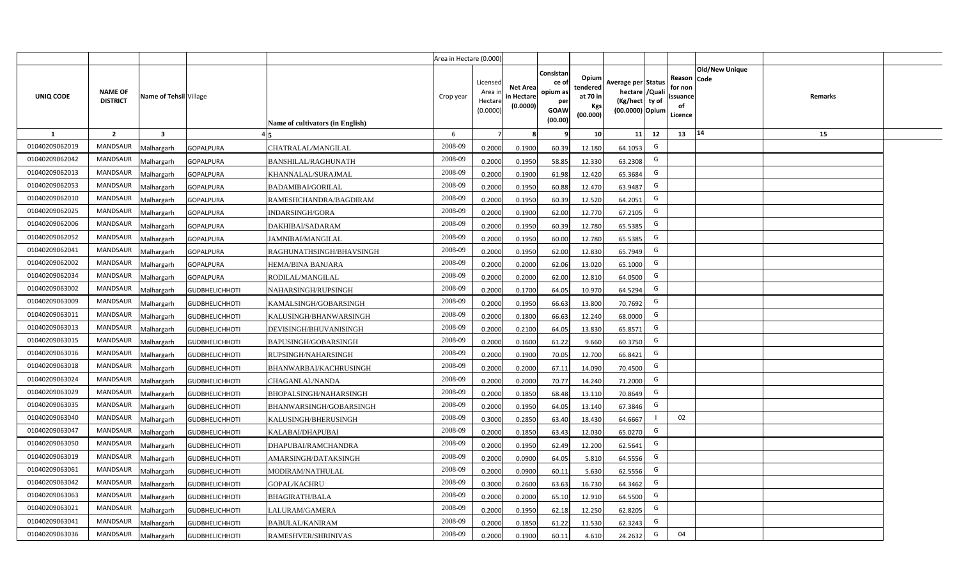|                |                                   |                         |                       |                                  | Area in Hectare (0.000) |                                           |                                           |                                                                |                                                         |                                                                            |                                                     |                       |         |  |
|----------------|-----------------------------------|-------------------------|-----------------------|----------------------------------|-------------------------|-------------------------------------------|-------------------------------------------|----------------------------------------------------------------|---------------------------------------------------------|----------------------------------------------------------------------------|-----------------------------------------------------|-----------------------|---------|--|
| UNIQ CODE      | <b>NAME OF</b><br><b>DISTRICT</b> | Name of Tehsil Village  |                       | Name of cultivators (in English) | Crop year               | Licensed<br>Area i<br>Hectare<br>(0.0000) | <b>Net Area</b><br>in Hectare<br>(0.0000) | Consistan<br>ce o<br>opium as<br>per<br><b>GOAW</b><br>(00.00) | Opium<br>tendered<br>at 70 in<br><b>Kgs</b><br>(00.000) | Average per Status<br>hectare / Quali<br>(Kg/hect ty of<br>(00.0000) Opium | Reason Code<br>for non<br>issuance<br>of<br>Licence | <b>Old/New Unique</b> | Remarks |  |
| $\mathbf{1}$   | $\overline{2}$                    | $\overline{\mathbf{3}}$ |                       |                                  | 6                       | $\overline{7}$                            |                                           | 9                                                              | 10 <sup>1</sup>                                         | 11<br>12                                                                   | 13                                                  | 14                    | 15      |  |
| 01040209062019 | <b>MANDSAUR</b>                   | Malhargarh              | <b>GOPALPURA</b>      | CHATRALAL/MANGILAL               | 2008-09                 | 0.2000                                    | 0.1900                                    | 60.39                                                          | 12.180                                                  | G<br>64.1053                                                               |                                                     |                       |         |  |
| 01040209062042 | MANDSAUR                          | Malhargarh              | <b>GOPALPURA</b>      | <b>BANSHILAL/RAGHUNATH</b>       | 2008-09                 | 0.2000                                    | 0.1950                                    | 58.85                                                          | 12.330                                                  | G<br>63.2308                                                               |                                                     |                       |         |  |
| 01040209062013 | MANDSAUR                          | Malhargarh              | <b>GOPALPURA</b>      | KHANNALAL/SURAJMAL               | 2008-09                 | 0.2000                                    | 0.1900                                    | 61.98                                                          | 12.420                                                  | G<br>65.3684                                                               |                                                     |                       |         |  |
| 01040209062053 | MANDSAUR                          | Malhargarh              | <b>GOPALPURA</b>      | <b>BADAMIBAI/GORILAL</b>         | 2008-09                 | 0.2000                                    | 0.1950                                    | 60.88                                                          | 12.470                                                  | G<br>63.9487                                                               |                                                     |                       |         |  |
| 01040209062010 | MANDSAUR                          | Malhargarh              | <b>GOPALPURA</b>      | RAMESHCHANDRA/BAGDIRAM           | 2008-09                 | 0.2000                                    | 0.1950                                    | 60.39                                                          | 12.520                                                  | G<br>64.2051                                                               |                                                     |                       |         |  |
| 01040209062025 | <b>MANDSAUR</b>                   | <b>Aalhargarh</b>       | <b>GOPALPURA</b>      | INDARSINGH/GORA                  | 2008-09                 | 0.2000                                    | 0.1900                                    | 62.00                                                          | 12.770                                                  | G<br>67.2105                                                               |                                                     |                       |         |  |
| 01040209062006 | <b>MANDSAUR</b>                   | Malhargarh              | GOPALPURA             | DAKHIBAI/SADARAM                 | 2008-09                 | 0.2000                                    | 0.1950                                    | 60.39                                                          | 12.780                                                  | G<br>65.5385                                                               |                                                     |                       |         |  |
| 01040209062052 | <b>MANDSAUR</b>                   | Malhargarh              | <b>GOPALPURA</b>      | JAMNIBAI/MANGILAL                | 2008-09                 | 0.2000                                    | 0.1950                                    | 60.00                                                          | 12.780                                                  | G<br>65.5385                                                               |                                                     |                       |         |  |
| 01040209062041 | MANDSAUR                          | Malhargarh              | <b>GOPALPURA</b>      | RAGHUNATHSINGH/BHAVSINGH         | 2008-09                 | 0.2000                                    | 0.1950                                    | 62.00                                                          | 12.830                                                  | G<br>65.7949                                                               |                                                     |                       |         |  |
| 01040209062002 | <b>MANDSAUR</b>                   | Malhargarh              | <b>GOPALPURA</b>      | <b>HEMA/BINA BANJARA</b>         | 2008-09                 | 0.2000                                    | 0.2000                                    | 62.06                                                          | 13.020                                                  | G<br>65.1000                                                               |                                                     |                       |         |  |
| 01040209062034 | <b>MANDSAUR</b>                   | Malhargarh              | <b>GOPALPURA</b>      | RODILAL/MANGILAL                 | 2008-09                 | 0.2000                                    | 0.2000                                    | 62.00                                                          | 12.810                                                  | G<br>64.0500                                                               |                                                     |                       |         |  |
| 01040209063002 | <b>MANDSAUR</b>                   | Malhargarh              | <b>GUDBHELICHHOTI</b> | NAHARSINGH/RUPSINGH              | 2008-09                 | 0.2000                                    | 0.1700                                    | 64.05                                                          | 10.970                                                  | G<br>64.5294                                                               |                                                     |                       |         |  |
| 01040209063009 | <b>MANDSAUR</b>                   | Malhargarh              | <b>GUDBHELICHHOTI</b> | KAMALSINGH/GOBARSINGH            | 2008-09                 | 0.2000                                    | 0.1950                                    | 66.63                                                          | 13.800                                                  | G<br>70.7692                                                               |                                                     |                       |         |  |
| 01040209063011 | <b>MANDSAUR</b>                   | Malhargarh              | <b>GUDBHELICHHOTI</b> | KALUSINGH/BHANWARSINGH           | 2008-09                 | 0.2000                                    | 0.1800                                    | 66.63                                                          | 12.240                                                  | G<br>68.0000                                                               |                                                     |                       |         |  |
| 01040209063013 | MANDSAUR                          | Malhargarh              | <b>GUDBHELICHHOTI</b> | DEVISINGH/BHUVANISINGH           | 2008-09                 | 0.2000                                    | 0.2100                                    | 64.05                                                          | 13.830                                                  | G<br>65.8571                                                               |                                                     |                       |         |  |
| 01040209063015 | <b>MANDSAUR</b>                   | Malhargarh              | <b>GUDBHELICHHOTI</b> | BAPUSINGH/GOBARSINGH             | 2008-09                 | 0.2000                                    | 0.1600                                    | 61.22                                                          | 9.660                                                   | G<br>60.3750                                                               |                                                     |                       |         |  |
| 01040209063016 | <b>MANDSAUR</b>                   | Malhargarh              | <b>GUDBHELICHHOTI</b> | RUPSINGH/NAHARSINGH              | 2008-09                 | 0.2000                                    | 0.1900                                    | 70.05                                                          | 12.700                                                  | G<br>66.8421                                                               |                                                     |                       |         |  |
| 01040209063018 | <b>MANDSAUR</b>                   | Malhargarh              | <b>GUDBHELICHHOTI</b> | BHANWARBAI/KACHRUSINGH           | 2008-09                 | 0.2000                                    | 0.2000                                    | 67.11                                                          | 14.090                                                  | G<br>70.4500                                                               |                                                     |                       |         |  |
| 01040209063024 | <b>MANDSAUR</b>                   | Malhargarh              | <b>GUDBHELICHHOTI</b> | CHAGANLAL/NANDA                  | 2008-09                 | 0.2000                                    | 0.2000                                    | 70.77                                                          | 14.240                                                  | G<br>71.2000                                                               |                                                     |                       |         |  |
| 01040209063029 | <b>MANDSAUR</b>                   | Malhargarh              | <b>GUDBHELICHHOTI</b> | BHOPALSINGH/NAHARSINGH           | 2008-09                 | 0.2000                                    | 0.1850                                    | 68.48                                                          | 13.110                                                  | G<br>70.8649                                                               |                                                     |                       |         |  |
| 01040209063035 | <b>MANDSAUR</b>                   | Malhargarh              | <b>GUDBHELICHHOTI</b> | BHANWARSINGH/GOBARSINGH          | 2008-09                 | 0.2000                                    | 0.1950                                    | 64.05                                                          | 13.140                                                  | G<br>67.3846                                                               |                                                     |                       |         |  |
| 01040209063040 | <b>MANDSAUR</b>                   | Malhargarh              | <b>GUDBHELICHHOTI</b> | KALUSINGH/BHERUSINGH             | 2008-09                 | 0.3000                                    | 0.2850                                    | 63.40                                                          | 18.430                                                  | 64.6667                                                                    | 02                                                  |                       |         |  |
| 01040209063047 | <b>MANDSAUR</b>                   | Malhargarh              | <b>GUDBHELICHHOTI</b> | KALABAI/DHAPUBAI                 | 2008-09                 | 0.2000                                    | 0.1850                                    | 63.43                                                          | 12.030                                                  | G<br>65.0270                                                               |                                                     |                       |         |  |
| 01040209063050 | MANDSAUR                          | Malhargarh              | <b>GUDBHELICHHOTI</b> | DHAPUBAI/RAMCHANDRA              | 2008-09                 | 0.2000                                    | 0.1950                                    | 62.49                                                          | 12.200                                                  | G<br>62.5641                                                               |                                                     |                       |         |  |
| 01040209063019 | <b>MANDSAUR</b>                   | Malhargarh              | <b>GUDBHELICHHOTI</b> | AMARSINGH/DATAKSINGH             | 2008-09                 | 0.2000                                    | 0.0900                                    | 64.05                                                          | 5.810                                                   | G<br>64.5556                                                               |                                                     |                       |         |  |
| 01040209063061 | MANDSAUR                          | Malhargarh              | <b>GUDBHELICHHOTI</b> | MODIRAM/NATHULAL                 | 2008-09                 | 0.2000                                    | 0.0900                                    | 60.11                                                          | 5.630                                                   | G<br>62.5556                                                               |                                                     |                       |         |  |
| 01040209063042 | <b>MANDSAUR</b>                   | Malhargarh              | <b>GUDBHELICHHOTI</b> | <b>GOPAL/KACHRU</b>              | 2008-09                 | 0.3000                                    | 0.2600                                    | 63.63                                                          | 16.730                                                  | G<br>64.3462                                                               |                                                     |                       |         |  |
| 01040209063063 | MANDSAUR                          | Malhargarh              | <b>GUDBHELICHHOTI</b> | <b>BHAGIRATH/BALA</b>            | 2008-09                 | 0.2000                                    | 0.2000                                    | 65.10                                                          | 12.910                                                  | G<br>64.5500                                                               |                                                     |                       |         |  |
| 01040209063021 | <b>MANDSAUR</b>                   | Malhargarh              | <b>GUDBHELICHHOTI</b> | LALURAM/GAMERA                   | 2008-09                 | 0.2000                                    | 0.1950                                    | 62.18                                                          | 12.250                                                  | G<br>62.8205                                                               |                                                     |                       |         |  |
| 01040209063041 | <b>MANDSAUR</b>                   | Malhargarh              | <b>GUDBHELICHHOTI</b> | <b>BABULAL/KANIRAM</b>           | 2008-09                 | 0.2000                                    | 0.1850                                    | 61.22                                                          | 11.530                                                  | G<br>62.3243                                                               |                                                     |                       |         |  |
| 01040209063036 | MANDSAUR                          | Malhargarh              | <b>GUDBHELICHHOTI</b> | RAMESHVER/SHRINIVAS              | 2008-09                 | 0.2000                                    | 0.1900                                    | 60.11                                                          | 4.610                                                   | G<br>24.2632                                                               | 04                                                  |                       |         |  |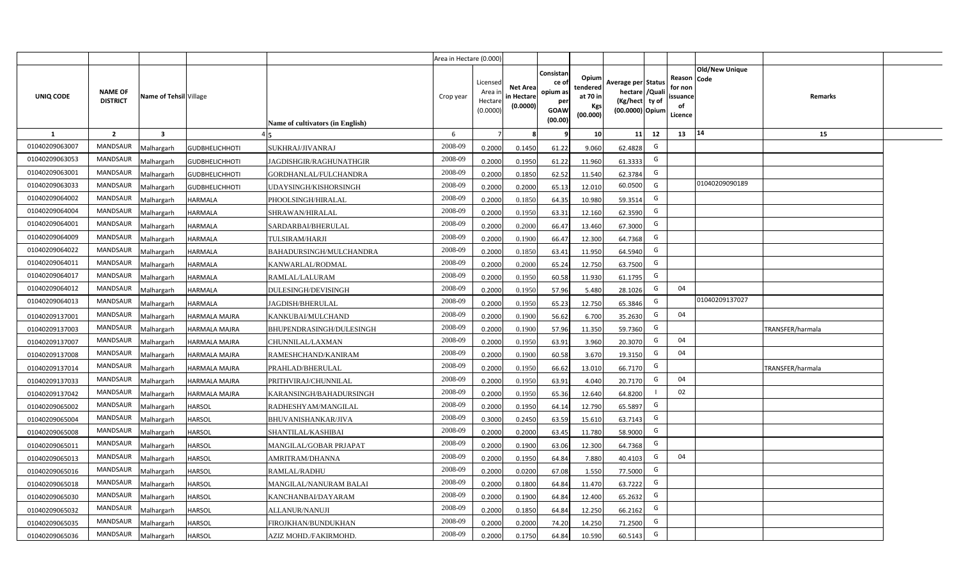|                |                                   |                        |                       |                                  | Area in Hectare (0.000) |                                          |                                           |                                                          |                                                         |                                                                           |    |                                                     |                       |                         |  |
|----------------|-----------------------------------|------------------------|-----------------------|----------------------------------|-------------------------|------------------------------------------|-------------------------------------------|----------------------------------------------------------|---------------------------------------------------------|---------------------------------------------------------------------------|----|-----------------------------------------------------|-----------------------|-------------------------|--|
| UNIQ CODE      | <b>NAME OF</b><br><b>DISTRICT</b> | Name of Tehsil Village |                       | Name of cultivators (in English) | Crop year               | Licensed<br>Area i<br>Hectar<br>(0.0000) | <b>Net Area</b><br>in Hectare<br>(0.0000) | Consistan<br>ce of<br>opium as<br>per<br>GOAW<br>(00.00) | Opium<br>tendered<br>at 70 in<br><b>Kgs</b><br>(00.000) | Average per Status<br>hectare / Qual<br>(Kg/hect ty of<br>(00.0000) Opium |    | Reason Code<br>for nor<br>issuance<br>of<br>Licence | <b>Old/New Unique</b> | Remarks                 |  |
| 1              | $\overline{2}$                    | 3                      |                       |                                  | 6                       |                                          |                                           |                                                          | 10 <sup>1</sup>                                         | 11                                                                        | 12 | 13                                                  | 14                    | 15                      |  |
| 01040209063007 | <b>MANDSAUR</b>                   | Malhargarh             | <b>GUDBHELICHHOTI</b> | SUKHRAJ/JIVANRAJ                 | 2008-09                 | 0.2000                                   | 0.1450                                    | 61.22                                                    | 9.060                                                   | 62.4828                                                                   | G  |                                                     |                       |                         |  |
| 01040209063053 | <b>MANDSAUR</b>                   | Malhargarh             | <b>GUDBHELICHHOTI</b> | JAGDISHGIR/RAGHUNATHGIR          | 2008-09                 | 0.2000                                   | 0.1950                                    | 61.22                                                    | 11.960                                                  | 61.3333                                                                   | G  |                                                     |                       |                         |  |
| 01040209063001 | <b>MANDSAUR</b>                   | Malhargarh             | <b>GUDBHELICHHOTI</b> | GORDHANLAL/FULCHANDRA            | 2008-09                 | 0.2000                                   | 0.1850                                    | 62.52                                                    | 11.540                                                  | 62.3784                                                                   | G  |                                                     |                       |                         |  |
| 01040209063033 | <b>MANDSAUR</b>                   | Malhargarh             | <b>GUDBHELICHHOTI</b> | UDAYSINGH/KISHORSINGH            | 2008-09                 | 0.2000                                   | 0.2000                                    | 65.13                                                    | 12.010                                                  | 60.0500                                                                   | G  |                                                     | 01040209090189        |                         |  |
| 01040209064002 | <b>MANDSAUR</b>                   | Malhargarh             | <b>HARMALA</b>        | PHOOLSINGH/HIRALAL               | 2008-09                 | 0.2000                                   | 0.1850                                    | 64.35                                                    | 10.980                                                  | 59.3514                                                                   | G  |                                                     |                       |                         |  |
| 01040209064004 | <b>MANDSAUR</b>                   | Malhargarh             | <b>HARMALA</b>        | SHRAWAN/HIRALAL                  | 2008-09                 | 0.200                                    | 0.1950                                    | 63.31                                                    | 12.160                                                  | 62.3590                                                                   | G  |                                                     |                       |                         |  |
| 01040209064001 | <b>MANDSAUR</b>                   | Malhargarh             | HARMALA               | SARDARBAI/BHERULAL               | 2008-09                 | 0.200                                    | 0.2000                                    | 66.47                                                    | 13.460                                                  | 67.3000                                                                   | G  |                                                     |                       |                         |  |
| 01040209064009 | <b>MANDSAUR</b>                   | Malhargarh             | <b>HARMALA</b>        | <b>TULSIRAM/HARJI</b>            | 2008-09                 | 0.200                                    | 0.1900                                    | 66.47                                                    | 12.300                                                  | 64.7368                                                                   | G  |                                                     |                       |                         |  |
| 01040209064022 | MANDSAUR                          | Malhargarh             | <b>HARMALA</b>        | BAHADURSINGH/MULCHANDRA          | 2008-09                 | 0.2000                                   | 0.1850                                    | 63.41                                                    | 11.950                                                  | 64.5940                                                                   | G  |                                                     |                       |                         |  |
| 01040209064011 | <b>MANDSAUR</b>                   | Malhargarh             | <b>HARMALA</b>        | KANWARLAL/RODMAL                 | 2008-09                 | 0.2000                                   | 0.2000                                    | 65.24                                                    | 12.750                                                  | 63.7500                                                                   | G  |                                                     |                       |                         |  |
| 01040209064017 | MANDSAUR                          | Malhargarh             | <b>HARMALA</b>        | RAMLAL/LALURAM                   | 2008-09                 | 0.2000                                   | 0.1950                                    | 60.58                                                    | 11.930                                                  | 61.1795                                                                   | G  |                                                     |                       |                         |  |
| 01040209064012 | <b>MANDSAUR</b>                   | Malhargarh             | <b>HARMALA</b>        | DULESINGH/DEVISINGH              | 2008-09                 | 0.2000                                   | 0.1950                                    | 57.96                                                    | 5.480                                                   | 28.1026                                                                   | G  | 04                                                  |                       |                         |  |
| 01040209064013 | <b>MANDSAUR</b>                   | Malhargarh             | HARMALA               | JAGDISH/BHERULAL                 | 2008-09                 | 0.2000                                   | 0.1950                                    | 65.23                                                    | 12.750                                                  | 65.3846                                                                   | G  |                                                     | 01040209137027        |                         |  |
| 01040209137001 | <b>MANDSAUR</b>                   | Malhargarh             | HARMALA MAJRA         | KANKUBAI/MULCHAND                | 2008-09                 | 0.2000                                   | 0.1900                                    | 56.62                                                    | 6.700                                                   | 35.2630                                                                   | G  | 04                                                  |                       |                         |  |
| 01040209137003 | <b>MANDSAUR</b>                   | Malhargarh             | HARMALA MAJRA         | BHUPENDRASINGH/DULESINGH         | 2008-09                 | 0.2000                                   | 0.1900                                    | 57.96                                                    | 11.350                                                  | 59.7360                                                                   | G  |                                                     |                       | TRANSFER/harmala        |  |
| 01040209137007 | MANDSAUR                          | Malhargarh             | HARMALA MAJRA         | CHUNNILAL/LAXMAN                 | 2008-09                 | 0.2000                                   | 0.1950                                    | 63.91                                                    | 3.960                                                   | 20.3070                                                                   | G  | 04                                                  |                       |                         |  |
| 01040209137008 | <b>MANDSAUR</b>                   | Malhargarh             | HARMALA MAJRA         | RAMESHCHAND/KANIRAM              | 2008-09                 | 0.2000                                   | 0.1900                                    | 60.58                                                    | 3.670                                                   | 19.3150                                                                   | G  | 04                                                  |                       |                         |  |
| 01040209137014 | <b>MANDSAUR</b>                   | Malhargarh             | HARMALA MAJRA         | PRAHLAD/BHERULAL                 | 2008-09                 | 0.2000                                   | 0.1950                                    | 66.62                                                    | 13.010                                                  | 66.7170                                                                   | G  |                                                     |                       | <b>TRANSFER/harmala</b> |  |
| 01040209137033 | <b>MANDSAUR</b>                   | Malhargarh             | HARMALA MAJRA         | PRITHVIRAJ/CHUNNILAL             | 2008-09                 | 0.2000                                   | 0.1950                                    | 63.91                                                    | 4.040                                                   | 20.7170                                                                   | G  | 04                                                  |                       |                         |  |
| 01040209137042 | <b>MANDSAUR</b>                   | Malhargarh             | HARMALA MAJRA         | KARANSINGH/BAHADURSINGH          | 2008-09                 | 0.2000                                   | 0.1950                                    | 65.36                                                    | 12.640                                                  | 64.8200                                                                   |    | 02                                                  |                       |                         |  |
| 01040209065002 | <b>MANDSAUR</b>                   | Malhargarh             | HARSOL                | RADHESHYAM/MANGILAL              | 2008-09                 | 0.2000                                   | 0.1950                                    | 64.14                                                    | 12.790                                                  | 65.5897                                                                   | G  |                                                     |                       |                         |  |
| 01040209065004 | <b>MANDSAUR</b>                   | Malhargarh             | HARSOL                | <b>BHUVANISHANKAR/JIVA</b>       | 2008-09                 | 0.3000                                   | 0.2450                                    | 63.59                                                    | 15.610                                                  | 63.7143                                                                   | G  |                                                     |                       |                         |  |
| 01040209065008 | <b>MANDSAUR</b>                   | Malhargarh             | <b>HARSOL</b>         | SHANTILAL/KASHIBAI               | 2008-09                 | 0.2000                                   | 0.2000                                    | 63.45                                                    | 11.780                                                  | 58.9000                                                                   | G  |                                                     |                       |                         |  |
| 01040209065011 | <b>MANDSAUR</b>                   | Malhargarh             | HARSOL                | MANGILAL/GOBAR PRJAPAT           | 2008-09                 | 0.200                                    | 0.1900                                    | 63.06                                                    | 12.300                                                  | 64.7368                                                                   | G  |                                                     |                       |                         |  |
| 01040209065013 | <b>MANDSAUR</b>                   | Malhargarh             | HARSOL                | AMRITRAM/DHANNA                  | 2008-09                 | 0.200                                    | 0.1950                                    | 64.84                                                    | 7.880                                                   | 40.4103                                                                   | G  | 04                                                  |                       |                         |  |
| 01040209065016 | <b>MANDSAUR</b>                   | Malhargarh             | HARSOL                | RAMLAL/RADHU                     | 2008-09                 | 0.200                                    | 0.0200                                    | 67.08                                                    | 1.550                                                   | 77.5000                                                                   | G  |                                                     |                       |                         |  |
| 01040209065018 | <b>MANDSAUR</b>                   | Malhargarh             | HARSOL                | MANGILAL/NANURAM BALAI           | 2008-09                 | 0.200                                    | 0.1800                                    | 64.84                                                    | 11.470                                                  | 63.7222                                                                   | G  |                                                     |                       |                         |  |
| 01040209065030 | <b>MANDSAUR</b>                   | Malhargarh             | HARSOL                | KANCHANBAI/DAYARAM               | 2008-09                 | 0.2000                                   | 0.1900                                    | 64.84                                                    | 12.400                                                  | 65.2632                                                                   | G  |                                                     |                       |                         |  |
| 01040209065032 | <b>MANDSAUR</b>                   | Malhargarh             | HARSOL                | ALLANUR/NANUJI                   | 2008-09                 | 0.2000                                   | 0.1850                                    | 64.84                                                    | 12.250                                                  | 66.2162                                                                   | G  |                                                     |                       |                         |  |
| 01040209065035 | <b>MANDSAUR</b>                   | Malhargarh             | <b>HARSOL</b>         | FIROJKHAN/BUNDUKHAN              | 2008-09                 | 0.2000                                   | 0.2000                                    | 74.20                                                    | 14.250                                                  | 71.2500                                                                   | G  |                                                     |                       |                         |  |
| 01040209065036 | <b>MANDSAUR</b>                   | Malhargarh             | <b>HARSOL</b>         | AZIZ MOHD./FAKIRMOHD.            | 2008-09                 | 0.2000                                   | 0.1750                                    | 64.84                                                    | 10.590                                                  | 60.5143                                                                   | G  |                                                     |                       |                         |  |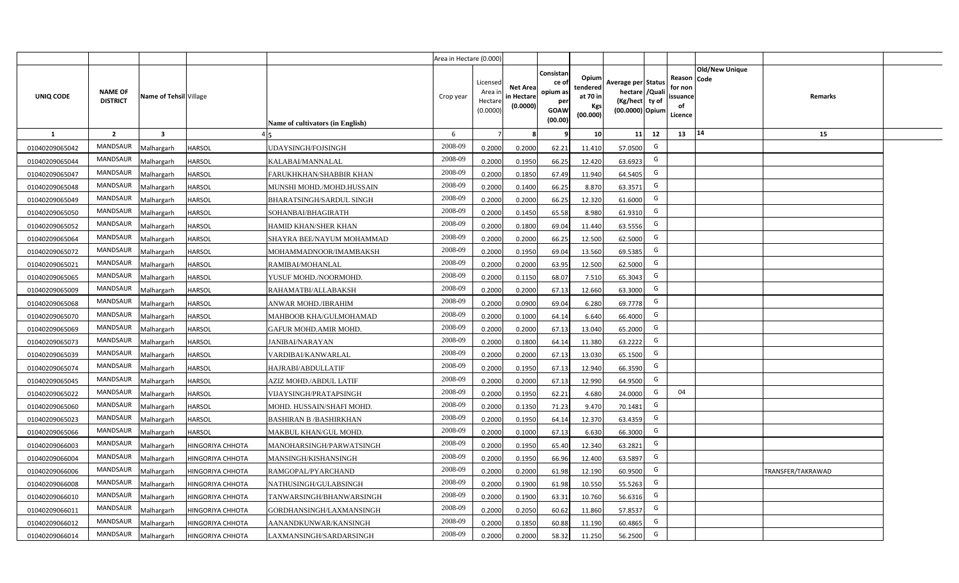|                |                                   |                        |                         |                                  | Area in Hectare (0.000) |                                          |                                           |                                                         |                                                         |                                                                           |    |                                                     |                       |                          |  |
|----------------|-----------------------------------|------------------------|-------------------------|----------------------------------|-------------------------|------------------------------------------|-------------------------------------------|---------------------------------------------------------|---------------------------------------------------------|---------------------------------------------------------------------------|----|-----------------------------------------------------|-----------------------|--------------------------|--|
| UNIQ CODE      | <b>NAME OF</b><br><b>DISTRICT</b> | Name of Tehsil Village |                         | Name of cultivators (in English) | Crop year               | Licensed<br>Area i<br>Hectar<br>(0.0000) | <b>Net Area</b><br>in Hectare<br>(0.0000) | Consistan<br>ce o<br>opium as<br>per<br>GOAW<br>(00.00) | Opium<br>tendered<br>at 70 in<br><b>Kgs</b><br>(00.000) | Average per Status<br>hectare / Qual<br>(Kg/hect ty of<br>(00.0000) Opium |    | Reason Code<br>for nor<br>issuance<br>of<br>Licence | <b>Old/New Unique</b> | Remarks                  |  |
| 1              | $\overline{2}$                    | 3                      |                         |                                  | 6                       |                                          |                                           |                                                         | 10 <sup>1</sup>                                         | 11                                                                        | 12 | 13                                                  | 14                    | 15                       |  |
| 01040209065042 | <b>MANDSAUR</b>                   | Malhargarh             | HARSOL                  | UDAYSINGH/FOJSINGH               | 2008-09                 | 0.2000                                   | 0.2000                                    | 62.21                                                   | 11.410                                                  | 57.0500                                                                   | G  |                                                     |                       |                          |  |
| 01040209065044 | <b>MANDSAUR</b>                   | Malhargarh             | HARSOL                  | KALABAI/MANNALAL                 | 2008-09                 | 0.2000                                   | 0.1950                                    | 66.25                                                   | 12.420                                                  | 63.6923                                                                   | G  |                                                     |                       |                          |  |
| 01040209065047 | <b>MANDSAUR</b>                   | Malhargarh             | HARSOL                  | FARUKHKHAN/SHABBIR KHAN          | 2008-09                 | 0.2000                                   | 0.1850                                    | 67.49                                                   | 11.940                                                  | 64.5405                                                                   | G  |                                                     |                       |                          |  |
| 01040209065048 | <b>MANDSAUR</b>                   | Malhargarh             | HARSOL                  | MUNSHI MOHD./MOHD.HUSSAIN        | 2008-09                 | 0.2000                                   | 0.1400                                    | 66.25                                                   | 8.870                                                   | 63.3571                                                                   | G  |                                                     |                       |                          |  |
| 01040209065049 | <b>MANDSAUR</b>                   | Malhargarh             | HARSOL                  | BHARATSINGH/SARDUL SINGH         | 2008-09                 | 0.2000                                   | 0.2000                                    | 66.25                                                   | 12.320                                                  | 61.6000                                                                   | G  |                                                     |                       |                          |  |
| 01040209065050 | <b>MANDSAUR</b>                   | Malhargarh             | HARSOL                  | SOHANBAI/BHAGIRATH               | 2008-09                 | 0.200                                    | 0.1450                                    | 65.58                                                   | 8.980                                                   | 61.9310                                                                   | G  |                                                     |                       |                          |  |
| 01040209065052 | <b>MANDSAUR</b>                   | Malhargarh             | HARSOL                  | HAMID KHAN/SHER KHAN             | 2008-09                 | 0.200                                    | 0.1800                                    | 69.04                                                   | 11.440                                                  | 63.5556                                                                   | G  |                                                     |                       |                          |  |
| 01040209065064 | <b>MANDSAUR</b>                   | Malhargarh             | HARSOL                  | SHAYRA BEE/NAYUM MOHAMMAD        | 2008-09                 | 0.200                                    | 0.2000                                    | 66.25                                                   | 12.500                                                  | 62.5000                                                                   | G  |                                                     |                       |                          |  |
| 01040209065072 | MANDSAUR                          | Malhargarh             | HARSOL                  | MOHAMMADNOOR/IMAMBAKSH           | 2008-09                 | 0.2000                                   | 0.1950                                    | 69.04                                                   | 13.560                                                  | 69.5385                                                                   | G  |                                                     |                       |                          |  |
| 01040209065021 | <b>MANDSAUR</b>                   | Malhargarh             | <b>HARSOL</b>           | RAMIBAI/MOHANLAL                 | 2008-09                 | 0.2000                                   | 0.2000                                    | 63.95                                                   | 12.500                                                  | 62.5000                                                                   | G  |                                                     |                       |                          |  |
| 01040209065065 | MANDSAUR                          | Malhargarh             | <b>HARSOL</b>           | YUSUF MOHD./NOORMOHD.            | 2008-09                 | 0.2000                                   | 0.1150                                    | 68.07                                                   | 7.510                                                   | 65.3043                                                                   | G  |                                                     |                       |                          |  |
| 01040209065009 | <b>MANDSAUR</b>                   | Malhargarh             | HARSOL                  | RAHAMATBI/ALLABAKSH              | 2008-09                 | 0.2000                                   | 0.2000                                    | 67.13                                                   | 12.660                                                  | 63.3000                                                                   | G  |                                                     |                       |                          |  |
| 01040209065068 | MANDSAUR                          | Malhargarh             | <b>HARSOL</b>           | ANWAR MOHD./IBRAHIM              | 2008-09                 | 0.2000                                   | 0.0900                                    | 69.04                                                   | 6.280                                                   | 69.7778                                                                   | G  |                                                     |                       |                          |  |
| 01040209065070 | MANDSAUR                          | Malhargarh             | <b>HARSOL</b>           | MAHBOOB KHA/GULMOHAMAD           | 2008-09                 | 0.2000                                   | 0.1000                                    | 64.14                                                   | 6.640                                                   | 66.4000                                                                   | G  |                                                     |                       |                          |  |
| 01040209065069 | <b>MANDSAUR</b>                   | Malhargarh             | <b>HARSOL</b>           | GAFUR MOHD.AMIR MOHD.            | 2008-09                 | 0.2000                                   | 0.2000                                    | 67.13                                                   | 13.040                                                  | 65.2000                                                                   | G  |                                                     |                       |                          |  |
| 01040209065073 | MANDSAUR                          | Malhargarh             | HARSOL                  | <b>JANIBAI/NARAYAN</b>           | 2008-09                 | 0.2000                                   | 0.1800                                    | 64.14                                                   | 11.380                                                  | 63.2222                                                                   | G  |                                                     |                       |                          |  |
| 01040209065039 | <b>MANDSAUR</b>                   | Malhargarh             | HARSOL                  | VARDIBAI/KANWARLAL               | 2008-09                 | 0.2000                                   | 0.2000                                    | 67.13                                                   | 13.030                                                  | 65.1500                                                                   | G  |                                                     |                       |                          |  |
| 01040209065074 | <b>MANDSAUR</b>                   | Malhargarh             | HARSOL                  | HAJRABI/ABDULLATIF               | 2008-09                 | 0.2000                                   | 0.1950                                    | 67.13                                                   | 12.940                                                  | 66.3590                                                                   | G  |                                                     |                       |                          |  |
| 01040209065045 | MANDSAUR                          | Malhargarh             | HARSOL                  | AZIZ MOHD./ABDUL LATIF           | 2008-09                 | 0.2000                                   | 0.2000                                    | 67.13                                                   | 12.990                                                  | 64.9500                                                                   | G  |                                                     |                       |                          |  |
| 01040209065022 | <b>MANDSAUR</b>                   | Malhargarh             | HARSOL                  | VIJAYSINGH/PRATAPSINGH           | 2008-09                 | 0.2000                                   | 0.1950                                    | 62.21                                                   | 4.680                                                   | 24.0000                                                                   | G  | 04                                                  |                       |                          |  |
| 01040209065060 | <b>MANDSAUR</b>                   | Malhargarh             | HARSOL                  | MOHD. HUSSAIN/SHAFI MOHD.        | 2008-09                 | 0.2000                                   | 0.1350                                    | 71.23                                                   | 9.470                                                   | 70.1481                                                                   | G  |                                                     |                       |                          |  |
| 01040209065023 | <b>MANDSAUR</b>                   | Malhargarh             | HARSOL                  | <b>BASHIRAN B /BASHIRKHAN</b>    | 2008-09                 | 0.2000                                   | 0.1950                                    | 64.14                                                   | 12.370                                                  | 63.4359                                                                   | G  |                                                     |                       |                          |  |
| 01040209065066 | <b>MANDSAUR</b>                   | Malhargarh             | <b>HARSOL</b>           | MAKBUL KHAN/GUL MOHD.            | 2008-09                 | 0.2000                                   | 0.1000                                    | 67.13                                                   | 6.630                                                   | 66.3000                                                                   | G  |                                                     |                       |                          |  |
| 01040209066003 | <b>MANDSAUR</b>                   | Malhargarh             | HINGORIYA CHHOTA        | MANOHARSINGH/PARWATSINGH         | 2008-09                 | 0.200                                    | 0.1950                                    | 65.40                                                   | 12.340                                                  | 63.2821                                                                   | G  |                                                     |                       |                          |  |
| 01040209066004 | <b>MANDSAUR</b>                   | Malhargarh             | HINGORIYA CHHOTA        | MANSINGH/KISHANSINGH             | 2008-09                 | 0.200                                    | 0.1950                                    | 66.96                                                   | 12.400                                                  | 63.5897                                                                   | G  |                                                     |                       |                          |  |
| 01040209066006 | <b>MANDSAUR</b>                   | Malhargarh             | HINGORIYA CHHOTA        | RAMGOPAL/PYARCHAND               | 2008-09                 | 0.200                                    | 0.2000                                    | 61.98                                                   | 12.190                                                  | 60.9500                                                                   | G  |                                                     |                       | <b>TRANSFER/TAKRAWAD</b> |  |
| 01040209066008 | <b>MANDSAUR</b>                   | Malhargarh             | HINGORIYA CHHOTA        | NATHUSINGH/GULABSINGH            | 2008-09                 | 0.200                                    | 0.1900                                    | 61.98                                                   | 10.550                                                  | 55.5263                                                                   | G  |                                                     |                       |                          |  |
| 01040209066010 | <b>MANDSAUR</b>                   | Malhargarh             | HINGORIYA CHHOTA        | TANWARSINGH/BHANWARSINGH         | 2008-09                 | 0.2000                                   | 0.1900                                    | 63.31                                                   | 10.760                                                  | 56.6316                                                                   | G  |                                                     |                       |                          |  |
| 01040209066011 | <b>MANDSAUR</b>                   | Malhargarh             | <b>HINGORIYA CHHOTA</b> | GORDHANSINGH/LAXMANSINGH         | 2008-09                 | 0.2000                                   | 0.2050                                    | 60.62                                                   | 11.860                                                  | 57.8537                                                                   | G  |                                                     |                       |                          |  |
| 01040209066012 | <b>MANDSAUR</b>                   | Malhargarh             | <b>HINGORIYA CHHOTA</b> | AANANDKUNWAR/KANSINGH            | 2008-09                 | 0.2000                                   | 0.1850                                    | 60.88                                                   | 11.190                                                  | 60.4865                                                                   | G  |                                                     |                       |                          |  |
| 01040209066014 | <b>MANDSAUR</b>                   | Malhargarh             | <b>HINGORIYA CHHOTA</b> | LAXMANSINGH/SARDARSINGH          | 2008-09                 | 0.2000                                   | 0.2000                                    | 58.32                                                   | 11.250                                                  | 56.2500                                                                   | G  |                                                     |                       |                          |  |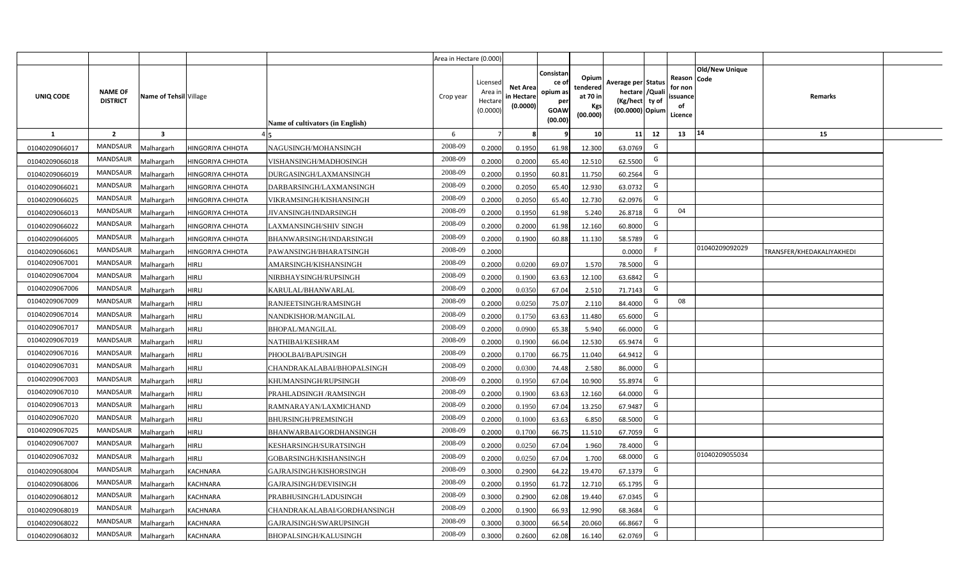|                |                                   |                        |                  |                                  | Area in Hectare (0.000) |                                          |                                           |                                                                 |                                                         |                                                                           |    |                                                     |                       |                           |  |
|----------------|-----------------------------------|------------------------|------------------|----------------------------------|-------------------------|------------------------------------------|-------------------------------------------|-----------------------------------------------------------------|---------------------------------------------------------|---------------------------------------------------------------------------|----|-----------------------------------------------------|-----------------------|---------------------------|--|
| UNIQ CODE      | <b>NAME OF</b><br><b>DISTRICT</b> | Name of Tehsil Village |                  | Name of cultivators (in English) | Crop year               | Licensed<br>Area i<br>Hectar<br>(0.0000) | <b>Net Area</b><br>in Hectare<br>(0.0000) | Consistan<br>ce of<br>opium as<br>per<br><b>GOAW</b><br>(00.00) | Opium<br>tendered<br>at 70 in<br><b>Kgs</b><br>(00.000) | Average per Status<br>hectare / Qual<br>(Kg/hect ty of<br>(00.0000) Opium |    | Reason Code<br>for nor<br>issuance<br>of<br>Licence | <b>Old/New Unique</b> | Remarks                   |  |
| 1              | $\overline{2}$                    | 3                      |                  |                                  | 6                       |                                          |                                           |                                                                 | 10 <sup>1</sup>                                         | 11                                                                        | 12 | 13                                                  | 14                    | 15                        |  |
| 01040209066017 | <b>MANDSAUR</b>                   | Malhargarh             | HINGORIYA CHHOTA | NAGUSINGH/MOHANSINGH             | 2008-09                 | 0.2000                                   | 0.1950                                    | 61.98                                                           | 12.300                                                  | 63.0769                                                                   | G  |                                                     |                       |                           |  |
| 01040209066018 | <b>MANDSAUR</b>                   | Malhargarh             | HINGORIYA CHHOTA | VISHANSINGH/MADHOSINGH           | 2008-09                 | 0.2000                                   | 0.2000                                    | 65.40                                                           | 12.510                                                  | 62.5500                                                                   | G  |                                                     |                       |                           |  |
| 01040209066019 | <b>MANDSAUR</b>                   | Malhargarh             | HINGORIYA CHHOTA | DURGASINGH/LAXMANSINGH           | 2008-09                 | 0.2000                                   | 0.1950                                    | 60.81                                                           | 11.750                                                  | 60.2564                                                                   | G  |                                                     |                       |                           |  |
| 01040209066021 | <b>MANDSAUR</b>                   | Malhargarh             | HINGORIYA CHHOTA | DARBARSINGH/LAXMANSINGH          | 2008-09                 | 0.2000                                   | 0.2050                                    | 65.40                                                           | 12.930                                                  | 63.0732                                                                   | G  |                                                     |                       |                           |  |
| 01040209066025 | <b>MANDSAUR</b>                   | Malhargarh             | HINGORIYA CHHOTA | VIKRAMSINGH/KISHANSINGH          | 2008-09                 | 0.200                                    | 0.2050                                    | 65.40                                                           | 12.730                                                  | 62.0976                                                                   | G  |                                                     |                       |                           |  |
| 01040209066013 | <b>MANDSAUR</b>                   | Malhargarh             | HINGORIYA CHHOTA | <b>JIVANSINGH/INDARSINGH</b>     | 2008-09                 | 0.200                                    | 0.1950                                    | 61.98                                                           | 5.240                                                   | 26.8718                                                                   | G  | 04                                                  |                       |                           |  |
| 01040209066022 | <b>MANDSAUR</b>                   | Malhargarh             | HINGORIYA CHHOTA | LAXMANSINGH/SHIV SINGH           | 2008-09                 | 0.200                                    | 0.2000                                    | 61.98                                                           | 12.160                                                  | 60.8000                                                                   | G  |                                                     |                       |                           |  |
| 01040209066005 | <b>MANDSAUR</b>                   | Malhargarh             | HINGORIYA CHHOTA | BHANWARSINGH/INDARSINGH          | 2008-09                 | 0.200                                    | 0.1900                                    | 60.88                                                           | 11.130                                                  | 58.5789                                                                   | G  |                                                     |                       |                           |  |
| 01040209066061 | MANDSAUR                          | Malhargarh             | HINGORIYA CHHOTA | PAWANSINGH/BHARATSINGH           | 2008-09                 | 0.2000                                   |                                           |                                                                 |                                                         | 0.0000                                                                    | F  |                                                     | 01040209092029        | TRANSFER/KHEDAKALIYAKHEDI |  |
| 01040209067001 | <b>MANDSAUR</b>                   | Malhargarh             | <b>HIRLI</b>     | AMARSINGH/KISHANSINGH            | 2008-09                 | 0.2000                                   | 0.0200                                    | 69.07                                                           | 1.570                                                   | 78.5000                                                                   | G  |                                                     |                       |                           |  |
| 01040209067004 | MANDSAUR                          | Malhargarh             | <b>HIRLI</b>     | NIRBHAYSINGH/RUPSINGH            | 2008-09                 | 0.2000                                   | 0.1900                                    | 63.63                                                           | 12.100                                                  | 63.6842                                                                   | G  |                                                     |                       |                           |  |
| 01040209067006 | <b>MANDSAUR</b>                   | Malhargarh             | <b>HIRLI</b>     | KARULAL/BHANWARLAL               | 2008-09                 | 0.2000                                   | 0.0350                                    | 67.04                                                           | 2.510                                                   | 71.7143                                                                   | G  |                                                     |                       |                           |  |
| 01040209067009 | MANDSAUR                          | Malhargarh             | <b>HIRLI</b>     | RANJEETSINGH/RAMSINGH            | 2008-09                 | 0.2000                                   | 0.0250                                    | 75.07                                                           | 2.110                                                   | 84.4000                                                                   | G  | 08                                                  |                       |                           |  |
| 01040209067014 | <b>MANDSAUR</b>                   | Malhargarh             | <b>HIRLI</b>     | NANDKISHOR/MANGILAL              | 2008-09                 | 0.2000                                   | 0.1750                                    | 63.63                                                           | 11.480                                                  | 65.6000                                                                   | G  |                                                     |                       |                           |  |
| 01040209067017 | <b>MANDSAUR</b>                   | Malhargarh             | HIRLI            | <b>BHOPAL/MANGILAL</b>           | 2008-09                 | 0.2000                                   | 0.0900                                    | 65.38                                                           | 5.940                                                   | 66.0000                                                                   | G  |                                                     |                       |                           |  |
| 01040209067019 | <b>MANDSAUR</b>                   | Malhargarh             | HIRLI            | NATHIBAI/KESHRAM                 | 2008-09                 | 0.2000                                   | 0.1900                                    | 66.04                                                           | 12.530                                                  | 65.9474                                                                   | G  |                                                     |                       |                           |  |
| 01040209067016 | <b>MANDSAUR</b>                   | Malhargarh             | HIRLI            | PHOOLBAI/BAPUSINGH               | 2008-09                 | 0.2000                                   | 0.1700                                    | 66.75                                                           | 11.040                                                  | 64.9412                                                                   | G  |                                                     |                       |                           |  |
| 01040209067031 | <b>MANDSAUR</b>                   | Malhargarh             | HIRLI            | CHANDRAKALABAI/BHOPALSINGH       | 2008-09                 | 0.200                                    | 0.0300                                    | 74.48                                                           | 2.580                                                   | 86.0000                                                                   | G  |                                                     |                       |                           |  |
| 01040209067003 | <b>MANDSAUR</b>                   | Malhargarh             | <b>HIRLI</b>     | KHUMANSINGH/RUPSINGH             | 2008-09                 | 0.2000                                   | 0.1950                                    | 67.04                                                           | 10.900                                                  | 55.8974                                                                   | G  |                                                     |                       |                           |  |
| 01040209067010 | <b>MANDSAUR</b>                   | Malhargarh             | HIRLI            | PRAHLADSINGH /RAMSINGH           | 2008-09                 | 0.2000                                   | 0.1900                                    | 63.63                                                           | 12.160                                                  | 64.0000                                                                   | G  |                                                     |                       |                           |  |
| 01040209067013 | <b>MANDSAUR</b>                   | Malhargarh             | HIRLI            | RAMNARAYAN/LAXMICHAND            | 2008-09                 | 0.2000                                   | 0.1950                                    | 67.04                                                           | 13.250                                                  | 67.9487                                                                   | G  |                                                     |                       |                           |  |
| 01040209067020 | <b>MANDSAUR</b>                   | Malhargarh             | <b>HIRLI</b>     | <b>BHURSINGH/PREMSINGH</b>       | 2008-09                 | 0.2000                                   | 0.1000                                    | 63.63                                                           | 6.850                                                   | 68.5000                                                                   | G  |                                                     |                       |                           |  |
| 01040209067025 | <b>MANDSAUR</b>                   | Malhargarh             | <b>HIRLI</b>     | BHANWARBAI/GORDHANSINGH          | 2008-09                 | 0.2000                                   | 0.1700                                    | 66.75                                                           | 11.510                                                  | 67.7059                                                                   | G  |                                                     |                       |                           |  |
| 01040209067007 | <b>MANDSAUR</b>                   | Malhargarh             | <b>HIRLI</b>     | KESHARSINGH/SURATSINGH           | 2008-09                 | 0.200                                    | 0.0250                                    | 67.04                                                           | 1.960                                                   | 78.4000                                                                   | G  |                                                     |                       |                           |  |
| 01040209067032 | <b>MANDSAUR</b>                   | Malhargarh             | <b>HIRLI</b>     | GOBARSINGH/KISHANSINGH           | 2008-09                 | 0.200                                    | 0.0250                                    | 67.04                                                           | 1.700                                                   | 68.0000                                                                   | G  |                                                     | 01040209055034        |                           |  |
| 01040209068004 | <b>MANDSAUR</b>                   | Malhargarh             | KACHNARA         | GAJRAJSINGH/KISHORSINGH          | 2008-09                 | 0.300                                    | 0.2900                                    | 64.22                                                           | 19.470                                                  | 67.1379                                                                   | G  |                                                     |                       |                           |  |
| 01040209068006 | <b>MANDSAUR</b>                   | Malhargarh             | KACHNARA         | GAJRAJSINGH/DEVISINGH            | 2008-09                 | 0.200                                    | 0.1950                                    | 61.72                                                           | 12.710                                                  | 65.1795                                                                   | G  |                                                     |                       |                           |  |
| 01040209068012 | <b>MANDSAUR</b>                   | Malhargarh             | <b>KACHNARA</b>  | PRABHUSINGH/LADUSINGH            | 2008-09                 | 0.3000                                   | 0.2900                                    | 62.08                                                           | 19.440                                                  | 67.0345                                                                   | G  |                                                     |                       |                           |  |
| 01040209068019 | <b>MANDSAUR</b>                   | Malhargarh             | KACHNARA         | CHANDRAKALABAI/GORDHANSINGH      | 2008-09                 | 0.2000                                   | 0.1900                                    | 66.93                                                           | 12.990                                                  | 68.3684                                                                   | G  |                                                     |                       |                           |  |
| 01040209068022 | <b>MANDSAUR</b>                   | Malhargarh             | KACHNARA         | GAJRAJSINGH/SWARUPSINGH          | 2008-09                 | 0.3000                                   | 0.3000                                    | 66.54                                                           | 20.060                                                  | 66.8667                                                                   | G  |                                                     |                       |                           |  |
| 01040209068032 | <b>MANDSAUR</b>                   | Malhargarh             | <b>KACHNARA</b>  | <b>BHOPALSINGH/KALUSINGH</b>     | 2008-09                 | 0.3000                                   | 0.2600                                    | 62.08                                                           | 16.140                                                  | 62.0769                                                                   | G  |                                                     |                       |                           |  |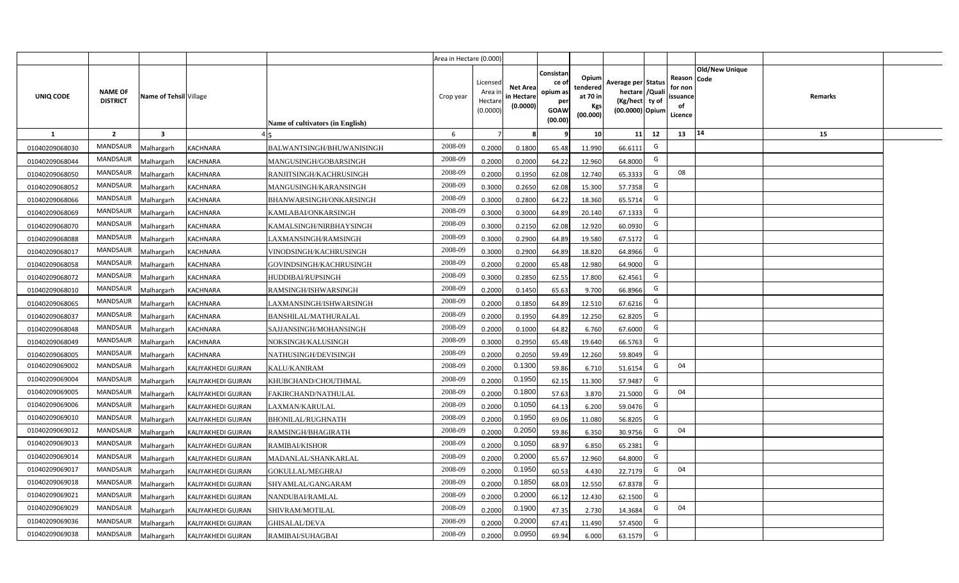|                |                                   |                        |                           |                                  | Area in Hectare (0.000) |                                           |                                           |                                                                 |                                                  |                                                                            |                                                    |                |                |  |
|----------------|-----------------------------------|------------------------|---------------------------|----------------------------------|-------------------------|-------------------------------------------|-------------------------------------------|-----------------------------------------------------------------|--------------------------------------------------|----------------------------------------------------------------------------|----------------------------------------------------|----------------|----------------|--|
| UNIQ CODE      | <b>NAME OF</b><br><b>DISTRICT</b> | Name of Tehsil Village |                           | Name of cultivators (in English) | Crop year               | Licensed<br>Area i<br>Hectare<br>(0.0000) | <b>Net Area</b><br>in Hectare<br>(0.0000) | Consistan<br>ce of<br>opium as<br>per<br><b>GOAW</b><br>(00.00) | Opium<br>tendered<br>at 70 in<br>Kgs<br>(00.000) | Average per Status<br>hectare / Quali<br>(Kg/hect ty of<br>(00.0000) Opium | Reason Code<br>for non<br>ssuance<br>of<br>Licence | Old/New Unique | <b>Remarks</b> |  |
| $\mathbf{1}$   | $\overline{2}$                    | $\mathbf{3}$           |                           |                                  | -6                      | $\overline{7}$                            | 8                                         | 9                                                               | 10 <sup>1</sup>                                  | 11<br>12                                                                   | 13                                                 | 14             | 15             |  |
| 01040209068030 | MANDSAUR                          | Malhargarh             | <b>KACHNARA</b>           | BALWANTSINGH/BHUWANISINGH        | 2008-09                 | 0.2000                                    | 0.1800                                    | 65.48                                                           | 11.990                                           | G<br>66.6111                                                               |                                                    |                |                |  |
| 01040209068044 | MANDSAUR                          | Malhargarh             | <b>KACHNARA</b>           | MANGUSINGH/GOBARSINGH            | 2008-09                 | 0.2000                                    | 0.2000                                    | 64.22                                                           | 12.960                                           | G<br>64.8000                                                               |                                                    |                |                |  |
| 01040209068050 | MANDSAUR                          | Malhargarh             | <b>KACHNARA</b>           | RANJITSINGH/KACHRUSINGH          | 2008-09                 | 0.2000                                    | 0.1950                                    | 62.08                                                           | 12.740                                           | G<br>65.3333                                                               | 08                                                 |                |                |  |
| 01040209068052 | MANDSAUR                          | Malhargarh             | <b>KACHNARA</b>           | MANGUSINGH/KARANSINGH            | 2008-09                 | 0.3000                                    | 0.2650                                    | 62.08                                                           | 15.300                                           | G<br>57.7358                                                               |                                                    |                |                |  |
| 01040209068066 | MANDSAUR                          | Malhargarh             | KACHNARA                  | BHANWARSINGH/ONKARSINGH          | 2008-09                 | 0.3000                                    | 0.2800                                    | 64.22                                                           | 18.360                                           | G<br>65.5714                                                               |                                                    |                |                |  |
| 01040209068069 | MANDSAUR                          | Malhargarh             | <b>KACHNARA</b>           | KAMLABAI/ONKARSINGH              | 2008-09                 | 0.3000                                    | 0.3000                                    | 64.89                                                           | 20.140                                           | G<br>67.1333                                                               |                                                    |                |                |  |
| 01040209068070 | MANDSAUR                          | Malhargarh             | <b>KACHNARA</b>           | KAMALSINGH/NIRBHAYSINGH          | 2008-09                 | 0.3000                                    | 0.2150                                    | 62.08                                                           | 12.920                                           | G<br>60.0930                                                               |                                                    |                |                |  |
| 01040209068088 | <b>MANDSAUR</b>                   | Malhargarh             | <b>KACHNARA</b>           | LAXMANSINGH/RAMSINGH             | 2008-09                 | 0.3000                                    | 0.2900                                    | 64.89                                                           | 19.580                                           | G<br>67.5172                                                               |                                                    |                |                |  |
| 01040209068017 | MANDSAUR                          | Malhargarh             | <b>KACHNARA</b>           | VINODSINGH/KACHRUSINGH           | 2008-09                 | 0.3000                                    | 0.2900                                    | 64.89                                                           | 18.820                                           | G<br>64.8966                                                               |                                                    |                |                |  |
| 01040209068058 | MANDSAUR                          | Malhargarh             | <b>KACHNARA</b>           | GOVINDSINGH/KACHRUSINGH          | 2008-09                 | 0.2000                                    | 0.2000                                    | 65.48                                                           | 12.980                                           | G<br>64.9000                                                               |                                                    |                |                |  |
| 01040209068072 | MANDSAUR                          | Malhargarh             | <b>KACHNARA</b>           | HUDDIBAI/RUPSINGH                | 2008-09                 | 0.3000                                    | 0.2850                                    | 62.55                                                           | 17.800                                           | G<br>62.4561                                                               |                                                    |                |                |  |
| 01040209068010 | MANDSAUR                          | Malhargarh             | <b>KACHNARA</b>           | RAMSINGH/ISHWARSINGH             | 2008-09                 | 0.2000                                    | 0.1450                                    | 65.63                                                           | 9.700                                            | G<br>66.8966                                                               |                                                    |                |                |  |
| 01040209068065 | <b>MANDSAUR</b>                   | Malhargarh             | <b>KACHNARA</b>           | LAXMANSINGH/ISHWARSINGH          | 2008-09                 | 0.2000                                    | 0.1850                                    | 64.89                                                           | 12.510                                           | G<br>67.6216                                                               |                                                    |                |                |  |
| 01040209068037 | MANDSAUR                          | Malhargarh             | <b>KACHNARA</b>           | BANSHILAL/MATHURALAL             | 2008-09                 | 0.2000                                    | 0.1950                                    | 64.89                                                           | 12.250                                           | G<br>62.8205                                                               |                                                    |                |                |  |
| 01040209068048 | <b>MANDSAUR</b>                   | Malhargarh             | <b>KACHNARA</b>           | SAJJANSINGH/MOHANSINGH           | 2008-09                 | 0.2000                                    | 0.1000                                    | 64.82                                                           | 6.760                                            | G<br>67.6000                                                               |                                                    |                |                |  |
| 01040209068049 | MANDSAUR                          | Malhargarh             | <b>KACHNARA</b>           | NOKSINGH/KALUSINGH               | 2008-09                 | 0.3000                                    | 0.2950                                    | 65.48                                                           | 19.640                                           | G<br>66.5763                                                               |                                                    |                |                |  |
| 01040209068005 | <b>MANDSAUR</b>                   | Malhargarh             | <b>KACHNARA</b>           | NATHUSINGH/DEVISINGH             | 2008-09                 | 0.2000                                    | 0.2050                                    | 59.49                                                           | 12.260                                           | G<br>59.8049                                                               |                                                    |                |                |  |
| 01040209069002 | <b>MANDSAUR</b>                   | Malhargarh             | KALIYAKHEDI GUJRAN        | KALU/KANIRAM                     | 2008-09                 | 0.2000                                    | 0.1300                                    | 59.86                                                           | 6.710                                            | G<br>51.6154                                                               | 04                                                 |                |                |  |
| 01040209069004 | <b>MANDSAUR</b>                   | Malhargarh             | KALIYAKHEDI GUJRAN        | KHUBCHAND/CHOUTHMAL              | 2008-09                 | 0.2000                                    | 0.1950                                    | 62.15                                                           | 11.300                                           | G<br>57.9487                                                               |                                                    |                |                |  |
| 01040209069005 | <b>MANDSAUR</b>                   | Malhargarh             | KALIYAKHEDI GUJRAN        | FAKIRCHAND/NATHULAL              | 2008-09                 | 0.2000                                    | 0.1800                                    | 57.63                                                           | 3.870                                            | G<br>21.5000                                                               | 04                                                 |                |                |  |
| 01040209069006 | <b>MANDSAUR</b>                   | Malhargarh             | KALIYAKHEDI GUJRAN        | LAXMAN/KARULAL                   | 2008-09                 | 0.2000                                    | 0.1050                                    | 64.13                                                           | 6.200                                            | G<br>59.0476                                                               |                                                    |                |                |  |
| 01040209069010 | MANDSAUR                          | Malhargarh             | KALIYAKHEDI GUJRAN        | BHONILAL/RUGHNATH                | 2008-09                 | 0.2000                                    | 0.1950                                    | 69.06                                                           | 11.080                                           | G<br>56.8205                                                               |                                                    |                |                |  |
| 01040209069012 | MANDSAUR                          | Malhargarh             | KALIYAKHEDI GUJRAN        | RAMSINGH/BHAGIRATH               | 2008-09                 | 0.2000                                    | 0.2050                                    | 59.86                                                           | 6.350                                            | G<br>30.9756                                                               | 04                                                 |                |                |  |
| 01040209069013 | <b>MANDSAUR</b>                   | Malhargarh             | KALIYAKHEDI GUJRAN        | RAMIBAI/KISHOR                   | 2008-09                 | 0.2000                                    | 0.1050                                    | 68.97                                                           | 6.850                                            | G<br>65.2381                                                               |                                                    |                |                |  |
| 01040209069014 | MANDSAUR                          | Malhargarh             | KALIYAKHEDI GUJRAN        | MADANLAL/SHANKARLAL              | 2008-09                 | 0.2000                                    | 0.2000                                    | 65.67                                                           | 12.960                                           | G<br>64.8000                                                               |                                                    |                |                |  |
| 01040209069017 | MANDSAUR                          | Malhargarh             | KALIYAKHEDI GUJRAN        | GOKULLAL/MEGHRAJ                 | 2008-09                 | 0.2000                                    | 0.1950                                    | 60.53                                                           | 4.430                                            | G<br>22.7179                                                               | 04                                                 |                |                |  |
| 01040209069018 | MANDSAUR                          | Malhargarh             | KALIYAKHEDI GUJRAN        | SHYAMLAL/GANGARAM                | 2008-09                 | 0.2000                                    | 0.1850                                    | 68.03                                                           | 12.550                                           | G<br>67.8378                                                               |                                                    |                |                |  |
| 01040209069021 | MANDSAUR                          | Malhargarh             | KALIYAKHEDI GUJRAN        | NANDUBAI/RAMLAL                  | 2008-09                 | 0.2000                                    | 0.2000                                    | 66.12                                                           | 12.430                                           | G<br>62.1500                                                               |                                                    |                |                |  |
| 01040209069029 | MANDSAUR                          | Malhargarh             | KALIYAKHEDI GUJRAN        | SHIVRAM/MOTILAL                  | 2008-09                 | 0.2000                                    | 0.1900                                    | 47.35                                                           | 2.730                                            | G<br>14.3684                                                               | 04                                                 |                |                |  |
| 01040209069036 | MANDSAUR                          | Malhargarh             | KALIYAKHEDI GUJRAN        | <b>GHISALAL/DEVA</b>             | 2008-09                 | 0.2000                                    | 0.2000                                    | 67.41                                                           | 11.490                                           | G<br>57.4500                                                               |                                                    |                |                |  |
| 01040209069038 | MANDSAUR                          | Malhargarh             | <b>KALIYAKHEDI GUJRAN</b> | RAMIBAI/SUHAGBAI                 | 2008-09                 | 0.2000                                    | 0.0950                                    | 69.94                                                           | 6.000                                            | G<br>63.1579                                                               |                                                    |                |                |  |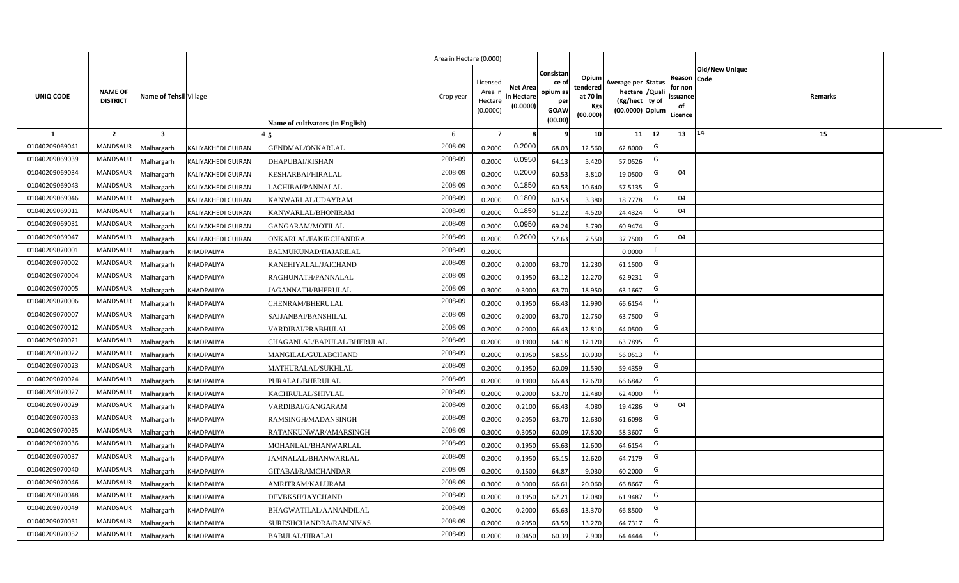|                |                                   |                         |                    |                                  | Area in Hectare (0.000) |                                            |                                           |                                                                |                                                  |                                                                            |    |                                                    |                       |         |  |
|----------------|-----------------------------------|-------------------------|--------------------|----------------------------------|-------------------------|--------------------------------------------|-------------------------------------------|----------------------------------------------------------------|--------------------------------------------------|----------------------------------------------------------------------------|----|----------------------------------------------------|-----------------------|---------|--|
| UNIQ CODE      | <b>NAME OF</b><br><b>DISTRICT</b> | Name of Tehsil Village  |                    | Name of cultivators (in English) | Crop year               | Licensed<br>Area in<br>Hectare<br>(0.0000) | <b>Net Area</b><br>in Hectare<br>(0.0000) | Consistan<br>ce o<br>opium as<br>per<br><b>GOAW</b><br>(00.00) | Opium<br>tendered<br>at 70 in<br>Kgs<br>(00.000) | Average per Status<br>hectare / Quali<br>(Kg/hect ty of<br>(00.0000) Opium |    | Reason Code<br>for non<br>ssuance<br>of<br>Licence | <b>Old/New Unique</b> | Remarks |  |
| $\mathbf{1}$   | $\overline{2}$                    | $\overline{\mathbf{3}}$ |                    |                                  | 6                       | $\overline{7}$                             |                                           | ٩                                                              | 10                                               | 11                                                                         | 12 | 13                                                 | 14                    | 15      |  |
| 01040209069041 | MANDSAUR                          | <b>Malhargarh</b>       | KALIYAKHEDI GUJRAN | <b>GENDMAL/ONKARLAL</b>          | 2008-09                 | 0.2000                                     | 0.2000                                    | 68.03                                                          | 12.560                                           | 62.8000                                                                    | G  |                                                    |                       |         |  |
| 01040209069039 | <b>MANDSAUR</b>                   | <b>Malhargarh</b>       | KALIYAKHEDI GUJRAN | DHAPUBAI/KISHAN                  | 2008-09                 | 0.2000                                     | 0.0950                                    | 64.13                                                          | 5.420                                            | 57.0526                                                                    | G  |                                                    |                       |         |  |
| 01040209069034 | <b>MANDSAUR</b>                   | <b>Malhargarh</b>       | KALIYAKHEDI GUJRAN | KESHARBAI/HIRALAL                | 2008-09                 | 0.2000                                     | 0.2000                                    | 60.53                                                          | 3.810                                            | 19.0500                                                                    | G  | 04                                                 |                       |         |  |
| 01040209069043 | <b>MANDSAUR</b>                   | <b>Malhargarh</b>       | KALIYAKHEDI GUJRAN | LACHIBAI/PANNALAL                | 2008-09                 | 0.2000                                     | 0.1850                                    | 60.53                                                          | 10.640                                           | 57.5135                                                                    | G  |                                                    |                       |         |  |
| 01040209069046 | <b>MANDSAUR</b>                   | <b>Malhargarh</b>       | KALIYAKHEDI GUJRAN | KANWARLAL/UDAYRAM                | 2008-09                 | 0.2000                                     | 0.1800                                    | 60.53                                                          | 3.380                                            | 18.7778                                                                    | G  | 04                                                 |                       |         |  |
| 01040209069011 | <b>MANDSAUR</b>                   | <b>Malhargarh</b>       | KALIYAKHEDI GUJRAN | KANWARLAL/BHONIRAM               | 2008-09                 | 0.2000                                     | 0.1850                                    | 51.22                                                          | 4.520                                            | 24.4324                                                                    | G  | 04                                                 |                       |         |  |
| 01040209069031 | <b>MANDSAUR</b>                   | <b>Malhargarh</b>       | KALIYAKHEDI GUJRAN | GANGARAM/MOTILAL                 | 2008-09                 | 0.2000                                     | 0.0950                                    | 69.24                                                          | 5.790                                            | 60.9474                                                                    | G  |                                                    |                       |         |  |
| 01040209069047 | <b>MANDSAUR</b>                   | <b>Malhargarh</b>       | KALIYAKHEDI GUJRAN | ONKARLAL/FAKIRCHANDRA            | 2008-09                 | 0.2000                                     | 0.2000                                    | 57.63                                                          | 7.550                                            | 37.7500                                                                    | G  | 04                                                 |                       |         |  |
| 01040209070001 | <b>MANDSAUR</b>                   | <b>Malhargarh</b>       | KHADPALIYA         | BALMUKUNAD/HAJARILAL             | 2008-09                 | 0.2000                                     |                                           |                                                                |                                                  | 0.0000                                                                     | F  |                                                    |                       |         |  |
| 01040209070002 | <b>MANDSAUR</b>                   | <b>Malhargarh</b>       | KHADPALIYA         | KANEHIYALAL/JAICHAND             | 2008-09                 | 0.2000                                     | 0.2000                                    | 63.70                                                          | 12.230                                           | 61.1500                                                                    | G  |                                                    |                       |         |  |
| 01040209070004 | <b>MANDSAUR</b>                   | <b>Malhargarh</b>       | KHADPALIYA         | RAGHUNATH/PANNALAL               | 2008-09                 | 0.2000                                     | 0.1950                                    | 63.12                                                          | 12.270                                           | 62.9231                                                                    | G  |                                                    |                       |         |  |
| 01040209070005 | <b>MANDSAUR</b>                   | <b>Malhargarh</b>       | KHADPALIYA         | IAGANNATH/BHERULAL               | 2008-09                 | 0.3000                                     | 0.3000                                    | 63.70                                                          | 18.950                                           | 63.1667                                                                    | G  |                                                    |                       |         |  |
| 01040209070006 | <b>MANDSAUR</b>                   | <b>Malhargarh</b>       | KHADPALIYA         | CHENRAM/BHERULAL                 | 2008-09                 | 0.2000                                     | 0.1950                                    | 66.43                                                          | 12.990                                           | 66.6154                                                                    | G  |                                                    |                       |         |  |
| 01040209070007 | <b>MANDSAUR</b>                   | Malhargarh              | KHADPALIYA         | SAJJANBAI/BANSHILAL              | 2008-09                 | 0.2000                                     | 0.2000                                    | 63.70                                                          | 12.750                                           | 63.7500                                                                    | G  |                                                    |                       |         |  |
| 01040209070012 | <b>MANDSAUR</b>                   | Malhargarh              | KHADPALIYA         | VARDIBAI/PRABHULAL               | 2008-09                 | 0.2000                                     | 0.2000                                    | 66.43                                                          | 12.810                                           | 64.0500                                                                    | G  |                                                    |                       |         |  |
| 01040209070021 | <b>MANDSAUR</b>                   | <b>Malhargarh</b>       | KHADPALIYA         | CHAGANLAL/BAPULAL/BHERULAL       | 2008-09                 | 0.2000                                     | 0.1900                                    | 64.18                                                          | 12.120                                           | 63.7895                                                                    | G  |                                                    |                       |         |  |
| 01040209070022 | <b>MANDSAUR</b>                   | <b>Malhargarh</b>       | KHADPALIYA         | MANGILAL/GULABCHAND              | 2008-09                 | 0.2000                                     | 0.1950                                    | 58.55                                                          | 10.930                                           | 56.0513                                                                    | G  |                                                    |                       |         |  |
| 01040209070023 | MANDSAUR                          | <b>Malhargarh</b>       | KHADPALIYA         | MATHURALAL/SUKHLAL               | 2008-09                 | 0.2000                                     | 0.1950                                    | 60.09                                                          | 11.590                                           | 59.4359                                                                    | G  |                                                    |                       |         |  |
| 01040209070024 | <b>MANDSAUR</b>                   | <b>Malhargarh</b>       | KHADPALIYA         | PURALAL/BHERULAL                 | 2008-09                 | 0.2000                                     | 0.1900                                    | 66.43                                                          | 12.670                                           | 66.6842                                                                    | G  |                                                    |                       |         |  |
| 01040209070027 | <b>MANDSAUR</b>                   | Malhargarh              | KHADPALIYA         | KACHRULAL/SHIVLAL                | 2008-09                 | 0.2000                                     | 0.2000                                    | 63.70                                                          | 12.480                                           | 62.4000                                                                    | G  |                                                    |                       |         |  |
| 01040209070029 | MANDSAUR                          | <b>Malhargarh</b>       | KHADPALIYA         | VARDIBAI/GANGARAM                | 2008-09                 | 0.2000                                     | 0.2100                                    | 66.43                                                          | 4.080                                            | 19.4286                                                                    | G  | 04                                                 |                       |         |  |
| 01040209070033 | MANDSAUR                          | <b>Malhargarh</b>       | KHADPALIYA         | RAMSINGH/MADANSINGH              | 2008-09                 | 0.2000                                     | 0.2050                                    | 63.70                                                          | 12.630                                           | 61.6098                                                                    | G  |                                                    |                       |         |  |
| 01040209070035 | <b>MANDSAUR</b>                   | <b>Aalhargarh</b>       | KHADPALIYA         | RATANKUNWAR/AMARSINGH            | 2008-09                 | 0.3000                                     | 0.3050                                    | 60.09                                                          | 17.800                                           | 58.3607                                                                    | G  |                                                    |                       |         |  |
| 01040209070036 | <b>MANDSAUR</b>                   | <b>Malhargarh</b>       | KHADPALIYA         | MOHANLAL/BHANWARLAL              | 2008-09                 | 0.2000                                     | 0.1950                                    | 65.63                                                          | 12.600                                           | 64.6154                                                                    | G  |                                                    |                       |         |  |
| 01040209070037 | <b>MANDSAUR</b>                   | <b>Malhargarh</b>       | KHADPALIYA         | JAMNALAL/BHANWARLAL              | 2008-09                 | 0.2000                                     | 0.1950                                    | 65.15                                                          | 12.620                                           | 64.7179                                                                    | G  |                                                    |                       |         |  |
| 01040209070040 | MANDSAUR                          | <b>Malhargarh</b>       | KHADPALIYA         | GITABAI/RAMCHANDAR               | 2008-09                 | 0.2000                                     | 0.1500                                    | 64.87                                                          | 9.030                                            | 60.2000                                                                    | G  |                                                    |                       |         |  |
| 01040209070046 | MANDSAUR                          | <b>Malhargarh</b>       | KHADPALIYA         | AMRITRAM/KALURAM                 | 2008-09                 | 0.3000                                     | 0.3000                                    | 66.61                                                          | 20.060                                           | 66.8667                                                                    | G  |                                                    |                       |         |  |
| 01040209070048 | <b>MANDSAUR</b>                   | <b>Malhargarh</b>       | KHADPALIYA         | DEVBKSH/JAYCHAND                 | 2008-09                 | 0.2000                                     | 0.1950                                    | 67.21                                                          | 12.080                                           | 61.9487                                                                    | G  |                                                    |                       |         |  |
| 01040209070049 | <b>MANDSAUR</b>                   | <b>Malhargarh</b>       | KHADPALIYA         | BHAGWATILAL/AANANDILAL           | 2008-09                 | 0.2000                                     | 0.2000                                    | 65.63                                                          | 13.370                                           | 66.8500                                                                    | G  |                                                    |                       |         |  |
| 01040209070051 | <b>MANDSAUR</b>                   | <b>Malhargarh</b>       | KHADPALIYA         | SURESHCHANDRA/RAMNIVAS           | 2008-09                 | 0.2000                                     | 0.2050                                    | 63.59                                                          | 13.270                                           | 64.7317                                                                    | G  |                                                    |                       |         |  |
| 01040209070052 | MANDSAUR                          | Malhargarh              | KHADPALIYA         | <b>BABULAL/HIRALAL</b>           | 2008-09                 | 0.2000                                     | 0.0450                                    | 60.39                                                          | 2.900                                            | 64.4444                                                                    | G  |                                                    |                       |         |  |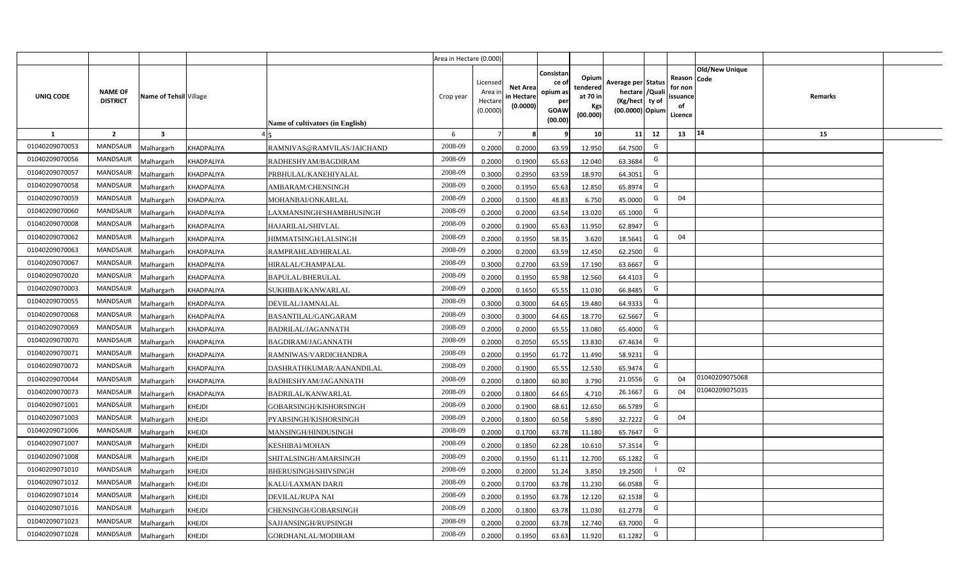|                |                                   |                         |               |                                  | Area in Hectare (0.000) |                                            |                                           |                                                         |                                                  |                                                                            |    |                                                     |                       |         |  |
|----------------|-----------------------------------|-------------------------|---------------|----------------------------------|-------------------------|--------------------------------------------|-------------------------------------------|---------------------------------------------------------|--------------------------------------------------|----------------------------------------------------------------------------|----|-----------------------------------------------------|-----------------------|---------|--|
| UNIQ CODE      | <b>NAME OF</b><br><b>DISTRICT</b> | Name of Tehsil Village  |               | Name of cultivators (in English) | Crop year               | Licensed<br>Area ir<br>Hectare<br>(0.0000) | <b>Net Area</b><br>in Hectare<br>(0.0000) | Consistar<br>ce o<br>opium as<br>per<br>GOAW<br>(00.00) | Opium<br>tendered<br>at 70 in<br>Kgs<br>(00.000) | Average per Status<br>hectare / Quali<br>(Kg/hect ty of<br>(00.0000) Opium |    | Reason Code<br>for non<br>issuance<br>of<br>Licence | <b>Old/New Unique</b> | Remarks |  |
| 1              | $\overline{2}$                    | $\overline{\mathbf{3}}$ |               |                                  | 6                       | $\overline{7}$                             |                                           |                                                         | 10                                               | 11                                                                         | 12 | 13                                                  | 14                    | 15      |  |
| 01040209070053 | <b>MANDSAUR</b>                   | <b>Aalhargarh</b>       | KHADPALIYA    | RAMNIVAS@RAMVILAS/JAICHAND       | 2008-09                 | 0.2000                                     | 0.2000                                    | 63.59                                                   | 12.950                                           | 64.7500                                                                    | G  |                                                     |                       |         |  |
| 01040209070056 | <b>MANDSAUR</b>                   | <b>Malhargarh</b>       | KHADPALIYA    | RADHESHYAM/BAGDIRAM              | 2008-09                 | 0.2000                                     | 0.1900                                    | 65.63                                                   | 12.040                                           | 63.3684                                                                    | G  |                                                     |                       |         |  |
| 01040209070057 | <b>MANDSAUR</b>                   | <b>Aalhargarh</b>       | KHADPALIYA    | PRBHULAL/KANEHIYALAL             | 2008-09                 | 0.3000                                     | 0.2950                                    | 63.59                                                   | 18.970                                           | 64.3051                                                                    | G  |                                                     |                       |         |  |
| 01040209070058 | <b>MANDSAUR</b>                   | <b>Malhargarh</b>       | KHADPALIYA    | AMBARAM/CHENSINGH                | 2008-09                 | 0.2000                                     | 0.1950                                    | 65.63                                                   | 12.850                                           | 65.8974                                                                    | G  |                                                     |                       |         |  |
| 01040209070059 | <b>MANDSAUR</b>                   | <b>Malhargarh</b>       | KHADPALIYA    | MOHANBAI/ONKARLAL                | 2008-09                 | 0.2000                                     | 0.1500                                    | 48.83                                                   | 6.750                                            | 45.0000                                                                    | G  | 04                                                  |                       |         |  |
| 01040209070060 | <b>MANDSAUR</b>                   | <b>Malhargarh</b>       | KHADPALIYA    | LAXMANSINGH/SHAMBHUSINGH         | 2008-09                 | 0.2000                                     | 0.2000                                    | 63.54                                                   | 13.020                                           | 65.1000                                                                    | G  |                                                     |                       |         |  |
| 01040209070008 | <b>MANDSAUR</b>                   | <b>Malhargarh</b>       | KHADPALIYA    | HAJARILAL/SHIVLAL                | 2008-09                 | 0.2000                                     | 0.1900                                    | 65.63                                                   | 11.950                                           | 62.8947                                                                    | G  |                                                     |                       |         |  |
| 01040209070062 | <b>MANDSAUR</b>                   | <b>Malhargarh</b>       | KHADPALIYA    | HIMMATSINGH/LALSINGH             | 2008-09                 | 0.2000                                     | 0.1950                                    | 58.35                                                   | 3.620                                            | 18.5641                                                                    | G  | 04                                                  |                       |         |  |
| 01040209070063 | <b>MANDSAUR</b>                   | <b>Malhargarh</b>       | KHADPALIYA    | RAMPRAHLAD/HIRALAL               | 2008-09                 | 0.2000                                     | 0.2000                                    | 63.59                                                   | 12.450                                           | 62.2500                                                                    | G  |                                                     |                       |         |  |
| 01040209070067 | <b>MANDSAUR</b>                   | <b>Malhargarh</b>       | KHADPALIYA    | HIRALAL/CHAMPALAL                | 2008-09                 | 0.3000                                     | 0.2700                                    | 63.59                                                   | 17.190                                           | 63.6667                                                                    | G  |                                                     |                       |         |  |
| 01040209070020 | <b>MANDSAUR</b>                   | <b>Malhargarh</b>       | KHADPALIYA    | <b>BAPULAL/BHERULAL</b>          | 2008-09                 | 0.2000                                     | 0.1950                                    | 65.98                                                   | 12.560                                           | 64.4103                                                                    | G  |                                                     |                       |         |  |
| 01040209070003 | <b>MANDSAUR</b>                   | <b>Malhargarh</b>       | KHADPALIYA    | SUKHIBAI/KANWARLAL               | 2008-09                 | 0.2000                                     | 0.1650                                    | 65.55                                                   | 11.030                                           | 66.8485                                                                    | G  |                                                     |                       |         |  |
| 01040209070055 | <b>MANDSAUR</b>                   | <b>Malhargarh</b>       | KHADPALIYA    | DEVILAL/JAMNALAL                 | 2008-09                 | 0.3000                                     | 0.3000                                    | 64.65                                                   | 19.480                                           | 64.9333                                                                    | G  |                                                     |                       |         |  |
| 01040209070068 | <b>MANDSAUR</b>                   | <b>Malhargarh</b>       | KHADPALIYA    | BASANTILAL/GANGARAM              | 2008-09                 | 0.3000                                     | 0.3000                                    | 64.65                                                   | 18.770                                           | 62.5667                                                                    | G  |                                                     |                       |         |  |
| 01040209070069 | MANDSAUR                          | <b>Malhargarh</b>       | KHADPALIYA    | <b>BADRILAL/JAGANNATH</b>        | 2008-09                 | 0.2000                                     | 0.2000                                    | 65.55                                                   | 13.080                                           | 65.4000                                                                    | G  |                                                     |                       |         |  |
| 01040209070070 | <b>MANDSAUR</b>                   | <b>Malhargarh</b>       | KHADPALIYA    | <b>BAGDIRAM/JAGANNATH</b>        | 2008-09                 | 0.2000                                     | 0.2050                                    | 65.55                                                   | 13.830                                           | 67.4634                                                                    | G  |                                                     |                       |         |  |
| 01040209070071 | <b>MANDSAUR</b>                   | <b>Malhargarh</b>       | KHADPALIYA    | RAMNIWAS/VARDICHANDRA            | 2008-09                 | 0.2000                                     | 0.1950                                    | 61.72                                                   | 11.490                                           | 58.9231                                                                    | G  |                                                     |                       |         |  |
| 01040209070072 | <b>MANDSAUR</b>                   | Malhargarh              | KHADPALIYA    | DASHRATHKUMAR/AANANDILAL         | 2008-09                 | 0.2000                                     | 0.1900                                    | 65.55                                                   | 12.530                                           | 65.9474                                                                    | G  |                                                     |                       |         |  |
| 01040209070044 | <b>MANDSAUR</b>                   | <b>Malhargarh</b>       | KHADPALIYA    | RADHESHYAM/JAGANNATH             | 2008-09                 | 0.2000                                     | 0.1800                                    | 60.80                                                   | 3.790                                            | 21.0556                                                                    | G  | 04                                                  | 01040209075068        |         |  |
| 01040209070073 | <b>MANDSAUR</b>                   | <b>Malhargarh</b>       | KHADPALIYA    | BADRILAL/KANWARLAL               | 2008-09                 | 0.2000                                     | 0.1800                                    | 64.65                                                   | 4.710                                            | 26.1667                                                                    | G  | 04                                                  | 01040209075035        |         |  |
| 01040209071001 | <b>MANDSAUR</b>                   | <b>Malhargarh</b>       | <b>KHEJDI</b> | GOBARSINGH/KISHORSINGH           | 2008-09                 | 0.2000                                     | 0.1900                                    | 68.61                                                   | 12.650                                           | 66.5789                                                                    | G  |                                                     |                       |         |  |
| 01040209071003 | MANDSAUR                          | <b>Malhargarh</b>       | KHEJDI        | PYARSINGH/KISHORSINGH            | 2008-09                 | 0.2000                                     | 0.1800                                    | 60.58                                                   | 5.890                                            | 32.7222                                                                    | G  | 04                                                  |                       |         |  |
| 01040209071006 | <b>MANDSAUR</b>                   | <b>Malhargarh</b>       | <b>KHEJDI</b> | MANSINGH/HINDUSINGH              | 2008-09                 | 0.2000                                     | 0.1700                                    | 63.78                                                   | 11.180                                           | 65.7647                                                                    | G  |                                                     |                       |         |  |
| 01040209071007 | <b>MANDSAUR</b>                   | Malhargarh              | KHEJDI        | <b>KESHIBAI/MOHAN</b>            | 2008-09                 | 0.2000                                     | 0.1850                                    | 62.28                                                   | 10.610                                           | 57.351                                                                     | G  |                                                     |                       |         |  |
| 01040209071008 | <b>MANDSAUR</b>                   | <b>Aalhargarh</b>       | KHEJDI        | SHITALSINGH/AMARSINGH            | 2008-09                 | 0.2000                                     | 0.1950                                    | 61.11                                                   | 12.700                                           | 65.1282                                                                    | G  |                                                     |                       |         |  |
| 01040209071010 | <b>MANDSAUR</b>                   | <b>Malhargarh</b>       | KHEJDI        | BHERUSINGH/SHIVSINGH             | 2008-09                 | 0.2000                                     | 0.2000                                    | 51.24                                                   | 3.850                                            | 19.2500                                                                    |    | 02                                                  |                       |         |  |
| 01040209071012 | <b>MANDSAUR</b>                   | <b>Malhargarh</b>       | <b>KHEJDI</b> | KALU/LAXMAN DARJI                | 2008-09                 | 0.2000                                     | 0.1700                                    | 63.78                                                   | 11.230                                           | 66.0588                                                                    | G  |                                                     |                       |         |  |
| 01040209071014 | <b>MANDSAUR</b>                   | <b>Malhargarh</b>       | <b>KHEJDI</b> | DEVILAL/RUPA NAI                 | 2008-09                 | 0.2000                                     | 0.1950                                    | 63.78                                                   | 12.120                                           | 62.1538                                                                    | G  |                                                     |                       |         |  |
| 01040209071016 | MANDSAUR                          | √alhargarh              | <b>KHEJDI</b> | CHENSINGH/GOBARSINGH             | 2008-09                 | 0.2000                                     | 0.1800                                    | 63.78                                                   | 11.030                                           | 61.2778                                                                    | G  |                                                     |                       |         |  |
| 01040209071023 | <b>MANDSAUR</b>                   | <b>Malhargarh</b>       | KHEJDI        | SAJJANSINGH/RUPSINGH             | 2008-09                 | 0.2000                                     | 0.2000                                    | 63.78                                                   | 12.740                                           | 63.7000                                                                    | G  |                                                     |                       |         |  |
| 01040209071028 | <b>MANDSAUR</b>                   | Malhargarh              | <b>KHEJDI</b> | GORDHANLAL/MODIRAM               | 2008-09                 | 0.2000                                     | 0.1950                                    | 63.63                                                   | 11.920                                           | 61.1282                                                                    | G  |                                                     |                       |         |  |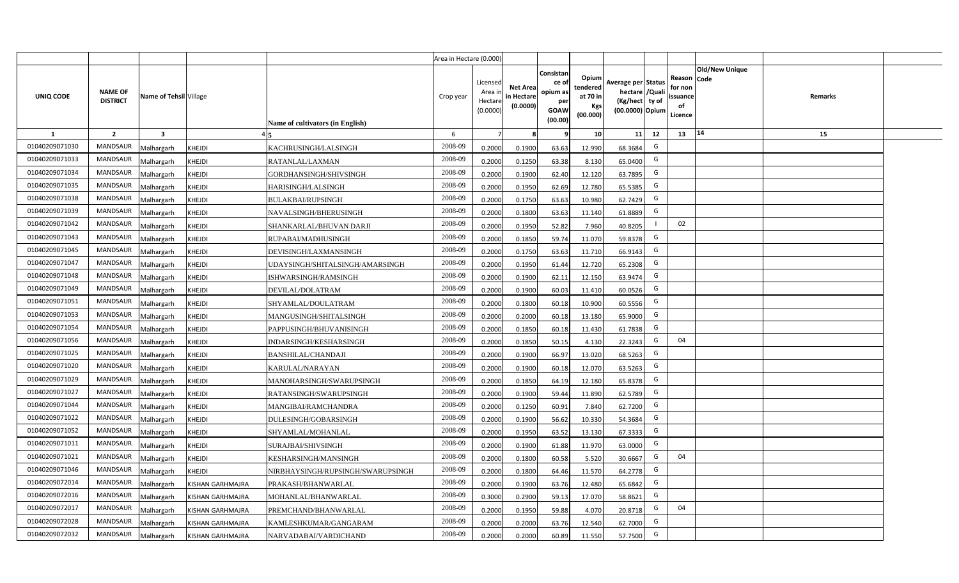|                  |                                   |                         |                         |                                         | Area in Hectare (0.000) |                                            |                                           |                                                                |                                                  |                                                                            |    |                                                                             |         |  |
|------------------|-----------------------------------|-------------------------|-------------------------|-----------------------------------------|-------------------------|--------------------------------------------|-------------------------------------------|----------------------------------------------------------------|--------------------------------------------------|----------------------------------------------------------------------------|----|-----------------------------------------------------------------------------|---------|--|
| <b>UNIQ CODE</b> | <b>NAME OF</b><br><b>DISTRICT</b> | Name of Tehsil Village  |                         | <b>Name of cultivators (in English)</b> | Crop year               | Licensed<br>Area in<br>Hectare<br>(0.0000) | <b>Net Area</b><br>in Hectare<br>(0.0000) | Consistar<br>ce o<br>opium as<br>per<br><b>GOAW</b><br>(00.00) | Opium<br>tendered<br>at 70 in<br>Kgs<br>(00.000) | Average per Status<br>hectare / Quali<br>(Kg/hect ty of<br>(00.0000) Opium |    | <b>Old/New Unique</b><br>Reason Code<br>for non<br>ssuance<br>of<br>Licence | Remarks |  |
| $\mathbf{1}$     | $\overline{2}$                    | $\overline{\mathbf{3}}$ |                         |                                         | 6                       | $\overline{7}$                             | -8                                        | ٩                                                              | 10                                               | 11                                                                         | 12 | 14<br>13                                                                    | 15      |  |
| 01040209071030   | MANDSAUR                          | <b>Aalhargarh</b>       | KHEJDI                  | KACHRUSINGH/LALSINGH                    | 2008-09                 | 0.2000                                     | 0.1900                                    | 63.63                                                          | 12.990                                           | 68.3684                                                                    | G  |                                                                             |         |  |
| 01040209071033   | <b>MANDSAUR</b>                   | <b>Malhargarh</b>       | KHEJDI                  | RATANLAL/LAXMAN                         | 2008-09                 | 0.2000                                     | 0.1250                                    | 63.38                                                          | 8.130                                            | 65.0400                                                                    | G  |                                                                             |         |  |
| 01040209071034   | <b>MANDSAUR</b>                   | <b>Malhargarh</b>       | <b>KHEJDI</b>           | GORDHANSINGH/SHIVSINGH                  | 2008-09                 | 0.2000                                     | 0.1900                                    | 62.40                                                          | 12.120                                           | 63.7895                                                                    | G  |                                                                             |         |  |
| 01040209071035   | <b>MANDSAUR</b>                   | <b>Malhargarh</b>       | KHEJDI                  | <b>HARISINGH/LALSINGH</b>               | 2008-09                 | 0.2000                                     | 0.1950                                    | 62.69                                                          | 12.780                                           | 65.5385                                                                    | G  |                                                                             |         |  |
| 01040209071038   | <b>MANDSAUR</b>                   | <b>Malhargarh</b>       | KHEJDI                  | <b>BULAKBAI/RUPSINGH</b>                | 2008-09                 | 0.2000                                     | 0.1750                                    | 63.63                                                          | 10.980                                           | 62.7429                                                                    | G  |                                                                             |         |  |
| 01040209071039   | <b>MANDSAUR</b>                   | <b>Malhargarh</b>       | <b>KHEJDI</b>           | NAVALSINGH/BHERUSINGH                   | 2008-09                 | 0.2000                                     | 0.1800                                    | 63.63                                                          | 11.140                                           | 61.8889                                                                    | G  |                                                                             |         |  |
| 01040209071042   | <b>MANDSAUR</b>                   | <b>Malhargarh</b>       | <b>KHEJDI</b>           | SHANKARLAL/BHUVAN DARJI                 | 2008-09                 | 0.2000                                     | 0.1950                                    | 52.82                                                          | 7.960                                            | 40.8205                                                                    |    | 02                                                                          |         |  |
| 01040209071043   | <b>MANDSAUR</b>                   | <b>Malhargarh</b>       | KHEJDI                  | RUPABAI/MADHUSINGH                      | 2008-09                 | 0.2000                                     | 0.1850                                    | 59.74                                                          | 11.070                                           | 59.8378                                                                    | G  |                                                                             |         |  |
| 01040209071045   | <b>MANDSAUR</b>                   | <b>Malhargarh</b>       | KHEJDI                  | DEVISINGH/LAXMANSINGH                   | 2008-09                 | 0.2000                                     | 0.1750                                    | 63.63                                                          | 11.710                                           | 66.9143                                                                    | G  |                                                                             |         |  |
| 01040209071047   | MANDSAUR                          | <b>Malhargarh</b>       | KHEJDI                  | UDAYSINGH/SHITALSINGH/AMARSINGH         | 2008-09                 | 0.2000                                     | 0.1950                                    | 61.44                                                          | 12.720                                           | 65.2308                                                                    | G  |                                                                             |         |  |
| 01040209071048   | <b>MANDSAUR</b>                   | <b>Malhargarh</b>       | KHEJDI                  | ISHWARSINGH/RAMSINGH                    | 2008-09                 | 0.2000                                     | 0.1900                                    | 62.11                                                          | 12.150                                           | 63.9474                                                                    | G  |                                                                             |         |  |
| 01040209071049   | <b>MANDSAUR</b>                   | <b>Malhargarh</b>       | KHEJDI                  | DEVILAL/DOLATRAM                        | 2008-09                 | 0.2000                                     | 0.1900                                    | 60.03                                                          | 11.410                                           | 60.0526                                                                    | G  |                                                                             |         |  |
| 01040209071051   | <b>MANDSAUR</b>                   | <b>Malhargarh</b>       | KHEJDI                  | SHYAMLAL/DOULATRAM                      | 2008-09                 | 0.2000                                     | 0.1800                                    | 60.18                                                          | 10.900                                           | 60.5556                                                                    | G  |                                                                             |         |  |
| 01040209071053   | <b>MANDSAUR</b>                   | Malhargarh              | KHEJDI                  | MANGUSINGH/SHITALSINGH                  | 2008-09                 | 0.2000                                     | 0.2000                                    | 60.18                                                          | 13.180                                           | 65.9000                                                                    | G  |                                                                             |         |  |
| 01040209071054   | MANDSAUR                          | Malhargarh              | <b>KHEJDI</b>           | PAPPUSINGH/BHUVANISINGH                 | 2008-09                 | 0.2000                                     | 0.1850                                    | 60.18                                                          | 11.430                                           | 61.7838                                                                    | G  |                                                                             |         |  |
| 01040209071056   | MANDSAUR                          | Malhargarh              | KHEJDI                  | INDARSINGH/KESHARSINGH                  | 2008-09                 | 0.2000                                     | 0.1850                                    | 50.15                                                          | 4.130                                            | 22.3243                                                                    | G  | 04                                                                          |         |  |
| 01040209071025   | <b>MANDSAUR</b>                   | <b>Malhargarh</b>       | KHEJDI                  | <b>BANSHILAL/CHANDAJI</b>               | 2008-09                 | 0.2000                                     | 0.1900                                    | 66.97                                                          | 13.020                                           | 68.5263                                                                    | G  |                                                                             |         |  |
| 01040209071020   | MANDSAUR                          | <b>Malhargarh</b>       | KHEJDI                  | KARULAL/NARAYAN                         | 2008-09                 | 0.2000                                     | 0.1900                                    | 60.18                                                          | 12.070                                           | 63.5263                                                                    | G  |                                                                             |         |  |
| 01040209071029   | <b>MANDSAUR</b>                   | <b>Malhargarh</b>       | KHEJDI                  | MANOHARSINGH/SWARUPSINGH                | 2008-09                 | 0.2000                                     | 0.1850                                    | 64.19                                                          | 12.180                                           | 65.8378                                                                    | G  |                                                                             |         |  |
| 01040209071027   | <b>MANDSAUR</b>                   | Malhargarh              | KHEJDI                  | RATANSINGH/SWARUPSINGH                  | 2008-09                 | 0.2000                                     | 0.1900                                    | 59.44                                                          | 11.890                                           | 62.5789                                                                    | G  |                                                                             |         |  |
| 01040209071044   | MANDSAUR                          | <b>Malhargarh</b>       | <b>KHEJDI</b>           | MANGIBAI/RAMCHANDRA                     | 2008-09                 | 0.2000                                     | 0.1250                                    | 60.91                                                          | 7.840                                            | 62.7200                                                                    | G  |                                                                             |         |  |
| 01040209071022   | MANDSAUR                          | <b>Malhargarh</b>       | <b>KHEJDI</b>           | DULESINGH/GOBARSINGH                    | 2008-09                 | 0.2000                                     | 0.1900                                    | 56.62                                                          | 10.330                                           | 54.3684                                                                    | G  |                                                                             |         |  |
| 01040209071052   | <b>MANDSAUR</b>                   | <i>A</i> alhargarh      | KHEJDI                  | SHYAMLAL/MOHANLAL                       | 2008-09                 | 0.2000                                     | 0.1950                                    | 63.52                                                          | 13.130                                           | 67.3333                                                                    | G  |                                                                             |         |  |
| 01040209071011   | <b>MANDSAUR</b>                   | <b>Malhargarh</b>       | KHEJDI                  | SURAJBAI/SHIVSINGH                      | 2008-09                 | 0.2000                                     | 0.1900                                    | 61.88                                                          | 11.970                                           | 63.0000                                                                    | G  |                                                                             |         |  |
| 01040209071021   | <b>MANDSAUR</b>                   | <b>Malhargarh</b>       | KHEJDI                  | KESHARSINGH/MANSINGH                    | 2008-09                 | 0.2000                                     | 0.1800                                    | 60.58                                                          | 5.520                                            | 30.6667                                                                    | G  | 04                                                                          |         |  |
| 01040209071046   | MANDSAUR                          | <b>Malhargarh</b>       | <b>KHEJDI</b>           | NIRBHAYSINGH/RUPSINGH/SWARUPSINGH       | 2008-09                 | 0.2000                                     | 0.1800                                    | 64.46                                                          | 11.570                                           | 64.2778                                                                    | G  |                                                                             |         |  |
| 01040209072014   | <b>MANDSAUR</b>                   | <b>Malhargarh</b>       | KISHAN GARHMAJRA        | PRAKASH/BHANWARLAL                      | 2008-09                 | 0.2000                                     | 0.1900                                    | 63.76                                                          | 12.480                                           | 65.6842                                                                    | G  |                                                                             |         |  |
| 01040209072016   | <b>MANDSAUR</b>                   | <b>Malhargarh</b>       | <b>KISHAN GARHMAJRA</b> | MOHANLAL/BHANWARLAL                     | 2008-09                 | 0.3000                                     | 0.2900                                    | 59.13                                                          | 17.070                                           | 58.8621                                                                    | G  |                                                                             |         |  |
| 01040209072017   | <b>MANDSAUR</b>                   | <b>Malhargarh</b>       | <b>KISHAN GARHMAJRA</b> | PREMCHAND/BHANWARLAL                    | 2008-09                 | 0.2000                                     | 0.1950                                    | 59.88                                                          | 4.070                                            | 20.8718                                                                    | G  | 04                                                                          |         |  |
| 01040209072028   | <b>MANDSAUR</b>                   | <b>Malhargarh</b>       | <b>KISHAN GARHMAJRA</b> | KAMLESHKUMAR/GANGARAM                   | 2008-09                 | 0.2000                                     | 0.2000                                    | 63.76                                                          | 12.540                                           | 62.7000                                                                    | G  |                                                                             |         |  |
| 01040209072032   | MANDSAUR                          | Malhargarh              | KISHAN GARHMAJRA        | NARVADABAI/VARDICHAND                   | 2008-09                 | 0.2000                                     | 0.2000                                    | 60.89                                                          | 11.550                                           | 57.7500                                                                    | G  |                                                                             |         |  |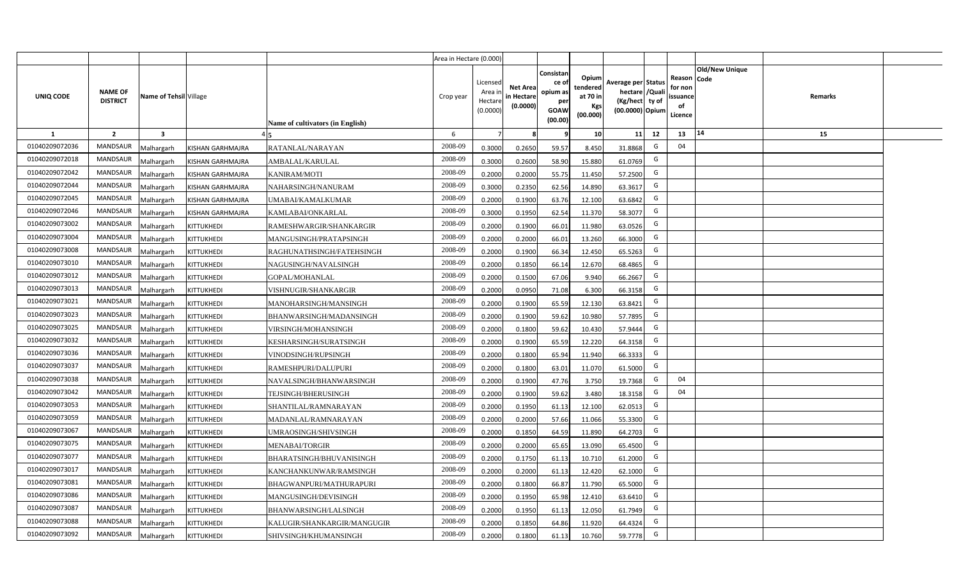|                |                                   |                         |                         |                                  | Area in Hectare (0.000) |                                           |                                           |                                                                 |                                                  |                                                                            |                                                    |                       |         |  |
|----------------|-----------------------------------|-------------------------|-------------------------|----------------------------------|-------------------------|-------------------------------------------|-------------------------------------------|-----------------------------------------------------------------|--------------------------------------------------|----------------------------------------------------------------------------|----------------------------------------------------|-----------------------|---------|--|
| UNIQ CODE      | <b>NAME OF</b><br><b>DISTRICT</b> | Name of Tehsil Village  |                         | Name of cultivators (in English) | Crop year               | Licensed<br>Area i<br>Hectare<br>(0.0000) | <b>Net Area</b><br>in Hectare<br>(0.0000) | Consistan<br>ce of<br>opium as<br>per<br><b>GOAW</b><br>(00.00) | Opium<br>tendered<br>at 70 in<br>Kgs<br>(00.000) | Average per Status<br>hectare / Quali<br>(Kg/hect ty of<br>(00.0000) Opium | Reason Code<br>for non<br>ssuance<br>of<br>Licence | <b>Old/New Unique</b> | Remarks |  |
| $\mathbf{1}$   | $\overline{2}$                    | $\overline{\mathbf{3}}$ |                         |                                  | 6                       | $\overline{7}$                            | 8                                         | 9                                                               | 10 <sup>1</sup>                                  | 12<br>11                                                                   | 13                                                 | 14                    | 15      |  |
| 01040209072036 | MANDSAUR                          | Malhargarh              | KISHAN GARHMAJRA        | RATANLAL/NARAYAN                 | 2008-09                 | 0.3000                                    | 0.2650                                    | 59.57                                                           | 8.450                                            | G<br>31.8868                                                               | 04                                                 |                       |         |  |
| 01040209072018 | <b>MANDSAUR</b>                   | <b>Aalhargarh</b>       | KISHAN GARHMAJRA        | AMBALAL/KARULAL                  | 2008-09                 | 0.3000                                    | 0.2600                                    | 58.90                                                           | 15.880                                           | G<br>61.0769                                                               |                                                    |                       |         |  |
| 01040209072042 | MANDSAUR                          | Malhargarh              | <b>KISHAN GARHMAJRA</b> | <b>KANIRAM/MOTI</b>              | 2008-09                 | 0.2000                                    | 0.2000                                    | 55.75                                                           | 11.450                                           | G<br>57.2500                                                               |                                                    |                       |         |  |
| 01040209072044 | <b>MANDSAUR</b>                   | Malhargarh              | <b>KISHAN GARHMAJRA</b> | NAHARSINGH/NANURAM               | 2008-09                 | 0.3000                                    | 0.2350                                    | 62.56                                                           | 14.890                                           | G<br>63.3617                                                               |                                                    |                       |         |  |
| 01040209072045 | <b>MANDSAUR</b>                   | Malhargarh              | KISHAN GARHMAJRA        | UMABAI/KAMALKUMAR                | 2008-09                 | 0.2000                                    | 0.1900                                    | 63.76                                                           | 12.100                                           | G<br>63.6842                                                               |                                                    |                       |         |  |
| 01040209072046 | MANDSAUR                          | Malhargarh              | <b>KISHAN GARHMAJRA</b> | KAMLABAI/ONKARLAL                | 2008-09                 | 0.3000                                    | 0.1950                                    | 62.54                                                           | 11.370                                           | G<br>58.3077                                                               |                                                    |                       |         |  |
| 01040209073002 | <b>MANDSAUR</b>                   | Malhargarh              | KITTUKHEDI              | RAMESHWARGIR/SHANKARGIR          | 2008-09                 | 0.2000                                    | 0.1900                                    | 66.01                                                           | 11.980                                           | G<br>63.0526                                                               |                                                    |                       |         |  |
| 01040209073004 | <b>MANDSAUR</b>                   | Malhargarh              | KITTUKHEDI              | MANGUSINGH/PRATAPSINGH           | 2008-09                 | 0.2000                                    | 0.2000                                    | 66.01                                                           | 13.260                                           | G<br>66.3000                                                               |                                                    |                       |         |  |
| 01040209073008 | <b>MANDSAUR</b>                   | Malhargarh              | KITTUKHEDI              | RAGHUNATHSINGH/FATEHSINGH        | 2008-09                 | 0.2000                                    | 0.1900                                    | 66.34                                                           | 12.450                                           | G<br>65.5263                                                               |                                                    |                       |         |  |
| 01040209073010 | <b>MANDSAUR</b>                   | Malhargarh              | KITTUKHEDI              | NAGUSINGH/NAVALSINGH             | 2008-09                 | 0.2000                                    | 0.1850                                    | 66.14                                                           | 12.670                                           | G<br>68.4865                                                               |                                                    |                       |         |  |
| 01040209073012 | MANDSAUR                          | Malhargarh              | <b>KITTUKHEDI</b>       | <b>GOPAL/MOHANLAL</b>            | 2008-09                 | 0.2000                                    | 0.1500                                    | 67.06                                                           | 9.940                                            | G<br>66.2667                                                               |                                                    |                       |         |  |
| 01040209073013 | <b>MANDSAUR</b>                   | Malhargarh              | KITTUKHEDI              | VISHNUGIR/SHANKARGIR             | 2008-09                 | 0.2000                                    | 0.0950                                    | 71.08                                                           | 6.300                                            | G<br>66.3158                                                               |                                                    |                       |         |  |
| 01040209073021 | MANDSAUR                          | Malhargarh              | KITTUKHEDI              | MANOHARSINGH/MANSINGH            | 2008-09                 | 0.2000                                    | 0.1900                                    | 65.59                                                           | 12.130                                           | G<br>63.8421                                                               |                                                    |                       |         |  |
| 01040209073023 | <b>MANDSAUR</b>                   | Malhargarh              | KITTUKHEDI              | BHANWARSINGH/MADANSINGH          | 2008-09                 | 0.2000                                    | 0.1900                                    | 59.62                                                           | 10.980                                           | G<br>57.7895                                                               |                                                    |                       |         |  |
| 01040209073025 | <b>MANDSAUR</b>                   | Malhargarh              | KITTUKHEDI              | VIRSINGH/MOHANSINGH              | 2008-09                 | 0.2000                                    | 0.1800                                    | 59.62                                                           | 10.430                                           | G<br>57.9444                                                               |                                                    |                       |         |  |
| 01040209073032 | <b>MANDSAUR</b>                   | Malhargarh              | <b>KITTUKHEDI</b>       | KESHARSINGH/SURATSINGH           | 2008-09                 | 0.2000                                    | 0.1900                                    | 65.59                                                           | 12.220                                           | G<br>64.3158                                                               |                                                    |                       |         |  |
| 01040209073036 | <b>MANDSAUR</b>                   | Malhargarh              | KITTUKHEDI              | VINODSINGH/RUPSINGH              | 2008-09                 | 0.2000                                    | 0.1800                                    | 65.94                                                           | 11.940                                           | G<br>66.3333                                                               |                                                    |                       |         |  |
| 01040209073037 | <b>MANDSAUR</b>                   | Malhargarh              | KITTUKHEDI              | RAMESHPURI/DALUPURI              | 2008-09                 | 0.2000                                    | 0.1800                                    | 63.01                                                           | 11.070                                           | G<br>61.5000                                                               |                                                    |                       |         |  |
| 01040209073038 | <b>MANDSAUR</b>                   | Malhargarh              | KITTUKHEDI              | NAVALSINGH/BHANWARSINGH          | 2008-09                 | 0.2000                                    | 0.1900                                    | 47.76                                                           | 3.750                                            | G<br>19.7368                                                               | 04                                                 |                       |         |  |
| 01040209073042 | MANDSAUR                          | Malhargarh              | KITTUKHEDI              | TEJSINGH/BHERUSINGH              | 2008-09                 | 0.2000                                    | 0.1900                                    | 59.62                                                           | 3.480                                            | G<br>18.3158                                                               | 04                                                 |                       |         |  |
| 01040209073053 | MANDSAUR                          | Malhargarh              | KITTUKHEDI              | SHANTILAL/RAMNARAYAN             | 2008-09                 | 0.2000                                    | 0.1950                                    | 61.13                                                           | 12.100                                           | G<br>62.0513                                                               |                                                    |                       |         |  |
| 01040209073059 | MANDSAUR                          | Malhargarh              | KITTUKHEDI              | MADANLAL/RAMNARAYAN              | 2008-09                 | 0.2000                                    | 0.2000                                    | 57.66                                                           | 11.066                                           | G<br>55.3300                                                               |                                                    |                       |         |  |
| 01040209073067 | <b>MANDSAUR</b>                   | Malhargarh              | KITTUKHEDI              | UMRAOSINGH/SHIVSINGH             | 2008-09                 | 0.2000                                    | 0.1850                                    | 64.59                                                           | 11.890                                           | G<br>64.2703                                                               |                                                    |                       |         |  |
| 01040209073075 | MANDSAUR                          | Malhargarh              | KITTUKHEDI              | <b>MENABAI/TORGIR</b>            | 2008-09                 | 0.2000                                    | 0.2000                                    | 65.65                                                           | 13.090                                           | G<br>65.4500                                                               |                                                    |                       |         |  |
| 01040209073077 | MANDSAUR                          | Malhargarh              | KITTUKHEDI              | BHARATSINGH/BHUVANISINGH         | 2008-09                 | 0.2000                                    | 0.1750                                    | 61.13                                                           | 10.710                                           | G<br>61.2000                                                               |                                                    |                       |         |  |
| 01040209073017 | MANDSAUR                          | Malhargarh              | KITTUKHEDI              | KANCHANKUNWAR/RAMSINGH           | 2008-09                 | 0.2000                                    | 0.2000                                    | 61.13                                                           | 12.420                                           | G<br>62.1000                                                               |                                                    |                       |         |  |
| 01040209073081 | MANDSAUR                          | Malhargarh              | KITTUKHEDI              | BHAGWANPURI/MATHURAPURI          | 2008-09                 | 0.2000                                    | 0.1800                                    | 66.87                                                           | 11.790                                           | G<br>65.5000                                                               |                                                    |                       |         |  |
| 01040209073086 | MANDSAUR                          | Malhargarh              | <b>KITTUKHEDI</b>       | MANGUSINGH/DEVISINGH             | 2008-09                 | 0.2000                                    | 0.1950                                    | 65.98                                                           | 12.410                                           | G<br>63.6410                                                               |                                                    |                       |         |  |
| 01040209073087 | MANDSAUR                          | Malhargarh              | KITTUKHEDI              | BHANWARSINGH/LALSINGH            | 2008-09                 | 0.2000                                    | 0.1950                                    | 61.13                                                           | 12.050                                           | G<br>61.7949                                                               |                                                    |                       |         |  |
| 01040209073088 | MANDSAUR                          | Malhargarh              | KITTUKHEDI              | KALUGIR/SHANKARGIR/MANGUGIR      | 2008-09                 | 0.2000                                    | 0.1850                                    | 64.86                                                           | 11.920                                           | G<br>64.4324                                                               |                                                    |                       |         |  |
| 01040209073092 | MANDSAUR                          | Malhargarh              | <b>KITTUKHEDI</b>       | SHIVSINGH/KHUMANSINGH            | 2008-09                 | 0.2000                                    | 0.1800                                    | 61.13                                                           | 10.760                                           | G<br>59.7778                                                               |                                                    |                       |         |  |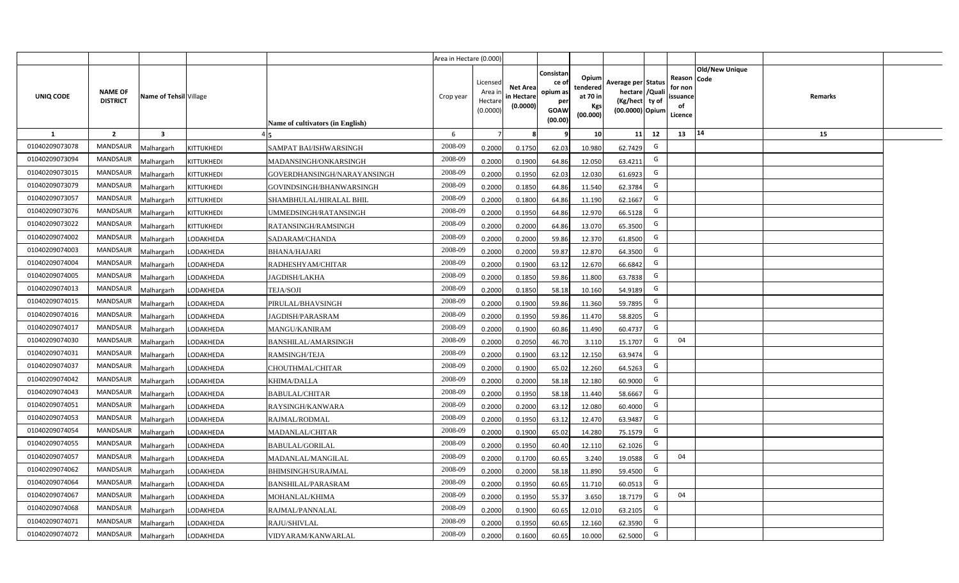|                |                                   |                         |            |                                  | Area in Hectare (0.000) |                                            |                                           |                                                                |                                                  |                                                                            |    |                                                                             |         |  |
|----------------|-----------------------------------|-------------------------|------------|----------------------------------|-------------------------|--------------------------------------------|-------------------------------------------|----------------------------------------------------------------|--------------------------------------------------|----------------------------------------------------------------------------|----|-----------------------------------------------------------------------------|---------|--|
| UNIQ CODE      | <b>NAME OF</b><br><b>DISTRICT</b> | Name of Tehsil Village  |            | Name of cultivators (in English) | Crop year               | Licensed<br>Area in<br>Hectare<br>(0.0000) | <b>Net Area</b><br>in Hectare<br>(0.0000) | Consistan<br>ce o<br>opium as<br>per<br><b>GOAW</b><br>(00.00) | Opium<br>tendered<br>at 70 in<br>Kgs<br>(00.000) | Average per Status<br>hectare / Quali<br>(Kg/hect ty of<br>(00.0000) Opium |    | <b>Old/New Unique</b><br>Reason Code<br>for non<br>ssuance<br>of<br>Licence | Remarks |  |
| $\mathbf{1}$   | $\overline{2}$                    | $\overline{\mathbf{3}}$ |            |                                  | 6                       | $\overline{7}$                             | -8                                        | q                                                              | 10                                               | 11                                                                         | 12 | 14<br>13                                                                    | 15      |  |
| 01040209073078 | MANDSAUR                          | <b>Malhargarh</b>       | KITTUKHEDI | SAMPAT BAI/ISHWARSINGH           | 2008-09                 | 0.2000                                     | 0.1750                                    | 62.03                                                          | 10.980                                           | 62.7429                                                                    | G  |                                                                             |         |  |
| 01040209073094 | <b>MANDSAUR</b>                   | <b>Malhargarh</b>       | KITTUKHEDI | MADANSINGH/ONKARSINGH            | 2008-09                 | 0.2000                                     | 0.1900                                    | 64.86                                                          | 12.050                                           | 63.4211                                                                    | G  |                                                                             |         |  |
| 01040209073015 | <b>MANDSAUR</b>                   | <b>Malhargarh</b>       | KITTUKHEDI | GOVERDHANSINGH/NARAYANSINGH      | 2008-09                 | 0.2000                                     | 0.1950                                    | 62.03                                                          | 12.030                                           | 61.6923                                                                    | G  |                                                                             |         |  |
| 01040209073079 | <b>MANDSAUR</b>                   | <b>Malhargarh</b>       | KITTUKHEDI | GOVINDSINGH/BHANWARSINGH         | 2008-09                 | 0.2000                                     | 0.1850                                    | 64.86                                                          | 11.540                                           | 62.3784                                                                    | G  |                                                                             |         |  |
| 01040209073057 | <b>MANDSAUR</b>                   | <b>Malhargarh</b>       | KITTUKHEDI | SHAMBHULAL/HIRALAL BHIL          | 2008-09                 | 0.2000                                     | 0.1800                                    | 64.86                                                          | 11.190                                           | 62.1667                                                                    | G  |                                                                             |         |  |
| 01040209073076 | <b>MANDSAUR</b>                   | <b>Malhargarh</b>       | KITTUKHEDI | UMMEDSINGH/RATANSINGH            | 2008-09                 | 0.2000                                     | 0.1950                                    | 64.86                                                          | 12.970                                           | 66.5128                                                                    | G  |                                                                             |         |  |
| 01040209073022 | <b>MANDSAUR</b>                   | <b>Malhargarh</b>       | KITTUKHEDI | RATANSINGH/RAMSINGH              | 2008-09                 | 0.2000                                     | 0.2000                                    | 64.86                                                          | 13.070                                           | 65.3500                                                                    | G  |                                                                             |         |  |
| 01040209074002 | <b>MANDSAUR</b>                   | <b>Malhargarh</b>       | LODAKHEDA  | SADARAM/CHANDA                   | 2008-09                 | 0.2000                                     | 0.2000                                    | 59.86                                                          | 12.370                                           | 61.8500                                                                    | G  |                                                                             |         |  |
| 01040209074003 | <b>MANDSAUR</b>                   | <b>Malhargarh</b>       | LODAKHEDA  | <b>BHANA/HAJARI</b>              | 2008-09                 | 0.2000                                     | 0.2000                                    | 59.87                                                          | 12.870                                           | 64.3500                                                                    | G  |                                                                             |         |  |
| 01040209074004 | MANDSAUR                          | <b>Malhargarh</b>       | LODAKHEDA  | RADHESHYAM/CHITAR                | 2008-09                 | 0.2000                                     | 0.1900                                    | 63.12                                                          | 12.670                                           | 66.6842                                                                    | G  |                                                                             |         |  |
| 01040209074005 | <b>MANDSAUR</b>                   | <b>Malhargarh</b>       | LODAKHEDA  | <b>AGDISH/LAKHA</b>              | 2008-09                 | 0.2000                                     | 0.1850                                    | 59.86                                                          | 11.800                                           | 63.7838                                                                    | G  |                                                                             |         |  |
| 01040209074013 | <b>MANDSAUR</b>                   | <b>Malhargarh</b>       | LODAKHEDA  | TEJA/SOJI                        | 2008-09                 | 0.2000                                     | 0.1850                                    | 58.18                                                          | 10.160                                           | 54.9189                                                                    | G  |                                                                             |         |  |
| 01040209074015 | <b>MANDSAUR</b>                   | <b>Malhargarh</b>       | LODAKHEDA  | PIRULAL/BHAVSINGH                | 2008-09                 | 0.2000                                     | 0.1900                                    | 59.86                                                          | 11.360                                           | 59.7895                                                                    | G  |                                                                             |         |  |
| 01040209074016 | <b>MANDSAUR</b>                   | Malhargarh              | LODAKHEDA  | AGDISH/PARASRAM                  | 2008-09                 | 0.2000                                     | 0.1950                                    | 59.86                                                          | 11.470                                           | 58.8205                                                                    | G  |                                                                             |         |  |
| 01040209074017 | <b>MANDSAUR</b>                   | Malhargarh              | LODAKHEDA  | <b>MANGU/KANIRAM</b>             | 2008-09                 | 0.2000                                     | 0.1900                                    | 60.86                                                          | 11.490                                           | 60.4737                                                                    | G  |                                                                             |         |  |
| 01040209074030 | MANDSAUR                          | Malhargarh              | LODAKHEDA  | BANSHILAL/AMARSINGH              | 2008-09                 | 0.2000                                     | 0.2050                                    | 46.70                                                          | 3.110                                            | 15.1707                                                                    | G  | 04                                                                          |         |  |
| 01040209074031 | <b>MANDSAUR</b>                   | <b>Malhargarh</b>       | LODAKHEDA  | RAMSINGH/TEJA                    | 2008-09                 | 0.2000                                     | 0.1900                                    | 63.12                                                          | 12.150                                           | 63.9474                                                                    | G  |                                                                             |         |  |
| 01040209074037 | <b>MANDSAUR</b>                   | <b>Malhargarh</b>       | LODAKHEDA  | CHOUTHMAL/CHITAR                 | 2008-09                 | 0.2000                                     | 0.1900                                    | 65.02                                                          | 12.260                                           | 64.5263                                                                    | G  |                                                                             |         |  |
| 01040209074042 | <b>MANDSAUR</b>                   | <b>Malhargarh</b>       | LODAKHEDA  | KHIMA/DALLA                      | 2008-09                 | 0.2000                                     | 0.2000                                    | 58.18                                                          | 12.180                                           | 60.9000                                                                    | G  |                                                                             |         |  |
| 01040209074043 | <b>MANDSAUR</b>                   | Malhargarh              | LODAKHEDA  | <b>BABULAL/CHITAR</b>            | 2008-09                 | 0.2000                                     | 0.1950                                    | 58.1                                                           | 11.440                                           | 58.6667                                                                    | G  |                                                                             |         |  |
| 01040209074051 | <b>MANDSAUR</b>                   | <b>Malhargarh</b>       | LODAKHEDA  | RAYSINGH/KANWARA                 | 2008-09                 | 0.2000                                     | 0.2000                                    | 63.12                                                          | 12.080                                           | 60.4000                                                                    | G  |                                                                             |         |  |
| 01040209074053 | <b>MANDSAUR</b>                   | <b>Malhargarh</b>       | LODAKHEDA  | RAJMAL/RODMAL                    | 2008-09                 | 0.2000                                     | 0.1950                                    | 63.12                                                          | 12.470                                           | 63.9487                                                                    | G  |                                                                             |         |  |
| 01040209074054 | MANDSAUR                          | Aalhargarh              | LODAKHEDA  | <b>MADANLAL/CHITAR</b>           | 2008-09                 | 0.2000                                     | 0.1900                                    | 65.02                                                          | 14.280                                           | 75.1579                                                                    | G  |                                                                             |         |  |
| 01040209074055 | <b>MANDSAUR</b>                   | <b>Malhargarh</b>       | LODAKHEDA  | <b>BABULAL/GORILAL</b>           | 2008-09                 | 0.2000                                     | 0.1950                                    | 60.40                                                          | 12.110                                           | 62.1026                                                                    | G  |                                                                             |         |  |
| 01040209074057 | <b>MANDSAUR</b>                   | <b>Malhargarh</b>       | LODAKHEDA  | MADANLAL/MANGILAL                | 2008-09                 | 0.2000                                     | 0.1700                                    | 60.65                                                          | 3.240                                            | 19.0588                                                                    | G  | 04                                                                          |         |  |
| 01040209074062 | MANDSAUR                          | <b>Malhargarh</b>       | LODAKHEDA  | <b>BHIMSINGH/SURAJMAL</b>        | 2008-09                 | 0.2000                                     | 0.2000                                    | 58.18                                                          | 11.890                                           | 59.4500                                                                    | G  |                                                                             |         |  |
| 01040209074064 | <b>MANDSAUR</b>                   | <b>Malhargarh</b>       | LODAKHEDA  | <b>BANSHILAL/PARASRAM</b>        | 2008-09                 | 0.2000                                     | 0.1950                                    | 60.65                                                          | 11.710                                           | 60.0513                                                                    | G  |                                                                             |         |  |
| 01040209074067 | <b>MANDSAUR</b>                   | <b>Malhargarh</b>       | LODAKHEDA  | MOHANLAL/KHIMA                   | 2008-09                 | 0.2000                                     | 0.1950                                    | 55.37                                                          | 3.650                                            | 18.7179                                                                    | G  | 04                                                                          |         |  |
| 01040209074068 | <b>MANDSAUR</b>                   | <b>Malhargarh</b>       | LODAKHEDA  | RAJMAL/PANNALAL                  | 2008-09                 | 0.2000                                     | 0.1900                                    | 60.65                                                          | 12.010                                           | 63.2105                                                                    | G  |                                                                             |         |  |
| 01040209074071 | <b>MANDSAUR</b>                   | <b>Malhargarh</b>       | LODAKHEDA  | RAJU/SHIVLAL                     | 2008-09                 | 0.2000                                     | 0.1950                                    | 60.65                                                          | 12.160                                           | 62.3590                                                                    | G  |                                                                             |         |  |
| 01040209074072 | MANDSAUR                          | Malhargarh              | LODAKHEDA  | VIDYARAM/KANWARLAL               | 2008-09                 | 0.2000                                     | 0.1600                                    | 60.65                                                          | 10.000                                           | 62.5000                                                                    | G  |                                                                             |         |  |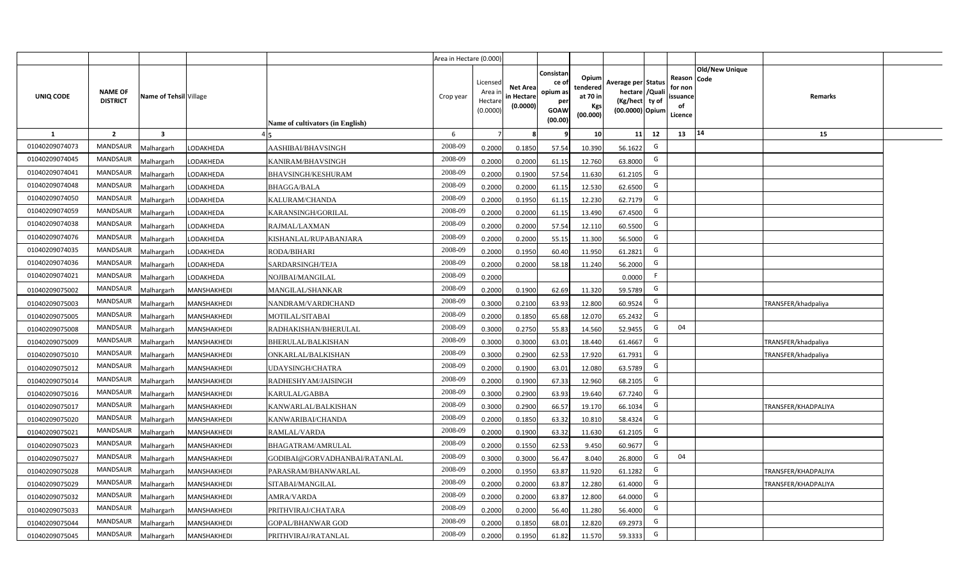|                |                                   |                           |                                  | Area in Hectare (0.000) |                                          |                                           |                                                          |                                                  |                                                                            |    |                                                     |                       |                            |  |
|----------------|-----------------------------------|---------------------------|----------------------------------|-------------------------|------------------------------------------|-------------------------------------------|----------------------------------------------------------|--------------------------------------------------|----------------------------------------------------------------------------|----|-----------------------------------------------------|-----------------------|----------------------------|--|
| UNIQ CODE      | <b>NAME OF</b><br><b>DISTRICT</b> | Name of Tehsil Village    | Name of cultivators (in English) | Crop year               | Licensed<br>Area i<br>Hectar<br>(0.0000) | <b>Net Area</b><br>in Hectare<br>(0.0000) | Consistan<br>ce of<br>opium as<br>per<br>GOAW<br>(00.00) | Opium<br>tendered<br>at 70 in<br>Kgs<br>(00.000) | Average per Status<br>hectare / Quali<br>(Kg/hect ty of<br>(00.0000) Opium |    | Reason Code<br>for non<br>issuance<br>of<br>Licence | <b>Old/New Unique</b> | Remarks                    |  |
| 1              | $\overline{2}$                    | $\overline{\mathbf{3}}$   |                                  | 6                       |                                          |                                           |                                                          | 10                                               | 11                                                                         | 12 | 13                                                  | 14                    | 15                         |  |
| 01040209074073 | MANDSAUR                          | Malhargarh<br>LODAKHEDA   | AASHIBAI/BHAVSINGH               | 2008-09                 | 0.2000                                   | 0.1850                                    | 57.54                                                    | 10.390                                           | 56.1622                                                                    | G  |                                                     |                       |                            |  |
| 01040209074045 | <b>MANDSAUR</b>                   | Malhargarh<br>LODAKHEDA   | KANIRAM/BHAVSINGH                | 2008-09                 | 0.2000                                   | 0.2000                                    | 61.15                                                    | 12.760                                           | 63.8000                                                                    | G  |                                                     |                       |                            |  |
| 01040209074041 | MANDSAUR                          | Malhargarh<br>LODAKHEDA   | BHAVSINGH/KESHURAM               | 2008-09                 | 0.2000                                   | 0.1900                                    | 57.54                                                    | 11.630                                           | 61.2105                                                                    | G  |                                                     |                       |                            |  |
| 01040209074048 | MANDSAUR                          | Malhargarh<br>LODAKHEDA   | <b>BHAGGA/BALA</b>               | 2008-09                 | 0.2000                                   | 0.2000                                    | 61.15                                                    | 12.530                                           | 62.6500                                                                    | G  |                                                     |                       |                            |  |
| 01040209074050 | <b>MANDSAUR</b>                   | Malhargarh<br>LODAKHEDA   | KALURAM/CHANDA                   | 2008-09                 | 0.2000                                   | 0.1950                                    | 61.15                                                    | 12.230                                           | 62.7179                                                                    | G  |                                                     |                       |                            |  |
| 01040209074059 | <b>MANDSAUR</b>                   | Malhargarh<br>LODAKHEDA   | KARANSINGH/GORILAL               | 2008-09                 | 0.2000                                   | 0.2000                                    | 61.15                                                    | 13.490                                           | 67.4500                                                                    | G  |                                                     |                       |                            |  |
| 01040209074038 | <b>MANDSAUR</b>                   | Malhargarh<br>LODAKHEDA   | RAJMAL/LAXMAN                    | 2008-09                 | 0.200                                    | 0.2000                                    | 57.54                                                    | 12.110                                           | 60.5500                                                                    | G  |                                                     |                       |                            |  |
| 01040209074076 | <b>MANDSAUR</b>                   | Malhargarh<br>LODAKHEDA   | KISHANLAL/RUPABANJARA            | 2008-09                 | 0.2000                                   | 0.2000                                    | 55.15                                                    | 11.300                                           | 56.5000                                                                    | G  |                                                     |                       |                            |  |
| 01040209074035 | <b>MANDSAUR</b>                   | Malhargarh<br>LODAKHEDA   | RODA/BIHARI                      | 2008-09                 | 0.2000                                   | 0.1950                                    | 60.40                                                    | 11.950                                           | 61.2821                                                                    | G  |                                                     |                       |                            |  |
| 01040209074036 | <b>MANDSAUR</b>                   | Malhargarh<br>LODAKHEDA   | SARDARSINGH/TEJA                 | 2008-09                 | 0.2000                                   | 0.2000                                    | 58.18                                                    | 11.240                                           | 56.2000                                                                    | G  |                                                     |                       |                            |  |
| 01040209074021 | <b>MANDSAUR</b>                   | Malhargarh<br>LODAKHEDA   | NOJIBAI/MANGILAL                 | 2008-09                 | 0.2000                                   |                                           |                                                          |                                                  | 0.0000                                                                     | F. |                                                     |                       |                            |  |
| 01040209075002 | <b>MANDSAUR</b>                   | Malhargarh<br>MANSHAKHEDI | MANGILAL/SHANKAR                 | 2008-09                 | 0.2000                                   | 0.1900                                    | 62.69                                                    | 11.320                                           | 59.5789                                                                    | G  |                                                     |                       |                            |  |
| 01040209075003 | <b>MANDSAUR</b>                   | Malhargarh<br>MANSHAKHEDI | NANDRAM/VARDICHAND               | 2008-09                 | 0.3000                                   | 0.2100                                    | 63.93                                                    | 12.800                                           | 60.9524                                                                    | G  |                                                     |                       | TRANSFER/khadpaliya        |  |
| 01040209075005 | <b>MANDSAUR</b>                   | Malhargarh<br>MANSHAKHEDI | <b>MOTILAL/SITABAI</b>           | 2008-09                 | 0.2000                                   | 0.1850                                    | 65.68                                                    | 12.070                                           | 65.2432                                                                    | G  |                                                     |                       |                            |  |
| 01040209075008 | <b>MANDSAUR</b>                   | MANSHAKHEDI<br>Malhargarh | RADHAKISHAN/BHERULAL             | 2008-09                 | 0.3000                                   | 0.2750                                    | 55.83                                                    | 14.560                                           | 52.9455                                                                    | G  | 04                                                  |                       |                            |  |
| 01040209075009 | <b>MANDSAUR</b>                   | Malhargarh<br>MANSHAKHEDI | BHERULAL/BALKISHAN               | 2008-09                 | 0.3000                                   | 0.3000                                    | 63.01                                                    | 18.440                                           | 61.4667                                                                    | G  |                                                     |                       | TRANSFER/khadpaliya        |  |
| 01040209075010 | <b>MANDSAUR</b>                   | Malhargarh<br>MANSHAKHEDI | ONKARLAL/BALKISHAN               | 2008-09                 | 0.3000                                   | 0.2900                                    | 62.53                                                    | 17.920                                           | 61.7931                                                                    | G  |                                                     |                       | <b>FRANSFER/khadpaliya</b> |  |
| 01040209075012 | <b>MANDSAUR</b>                   | Malhargarh<br>MANSHAKHEDI | <b>JDAYSINGH/CHATRA</b>          | 2008-09                 | 0.2000                                   | 0.1900                                    | 63.01                                                    | 12.080                                           | 63.5789                                                                    | G  |                                                     |                       |                            |  |
| 01040209075014 | <b>MANDSAUR</b>                   | Malhargarh<br>MANSHAKHEDI | RADHESHYAM/JAISINGH              | 2008-09                 | 0.2000                                   | 0.1900                                    | 67.33                                                    | 12.960                                           | 68.2105                                                                    | G  |                                                     |                       |                            |  |
| 01040209075016 | <b>MANDSAUR</b>                   | Malhargarh<br>MANSHAKHEDI | KARULAL/GABBA                    | 2008-09                 | 0.3000                                   | 0.2900                                    | 63.93                                                    | 19.640                                           | 67.7240                                                                    | G  |                                                     |                       |                            |  |
| 01040209075017 | <b>MANDSAUR</b>                   | Malhargarh<br>MANSHAKHEDI | KANWARLAL/BALKISHAN              | 2008-09                 | 0.3000                                   | 0.2900                                    | 66.57                                                    | 19.170                                           | 66.1034                                                                    | G  |                                                     |                       | <b>TRANSFER/KHADPALIYA</b> |  |
| 01040209075020 | MANDSAUR                          | Malhargarh<br>MANSHAKHEDI | KANWARIBAI/CHANDA                | 2008-09                 | 0.2000                                   | 0.1850                                    | 63.32                                                    | 10.810                                           | 58.4324                                                                    | G  |                                                     |                       |                            |  |
| 01040209075021 | <b>MANDSAUR</b>                   | Malhargarh<br>MANSHAKHEDI | RAMLAL/VARDA                     | 2008-09                 | 0.2000                                   | 0.1900                                    | 63.32                                                    | 11.630                                           | 61.2105                                                                    | G  |                                                     |                       |                            |  |
| 01040209075023 | <b>MANDSAUR</b>                   | Malhargarh<br>MANSHAKHEDI | BHAGATRAM/AMRULAL                | 2008-09                 | 0.2000                                   | 0.1550                                    | 62.53                                                    | 9.450                                            | 60.9677                                                                    | G  |                                                     |                       |                            |  |
| 01040209075027 | <b>MANDSAUR</b>                   | Malhargarh<br>MANSHAKHEDI | GODIBAI@GORVADHANBAI/RATANLAL    | 2008-09                 | 0.3000                                   | 0.3000                                    | 56.47                                                    | 8.040                                            | 26.8000                                                                    | G  | 04                                                  |                       |                            |  |
| 01040209075028 | <b>MANDSAUR</b>                   | Malhargarh<br>MANSHAKHEDI | PARASRAM/BHANWARLAL              | 2008-09                 | 0.200                                    | 0.1950                                    | 63.87                                                    | 11.920                                           | 61.1282                                                                    | G  |                                                     |                       | <b>TRANSFER/KHADPALIYA</b> |  |
| 01040209075029 | <b>MANDSAUR</b>                   | Malhargarh<br>MANSHAKHEDI | SITABAI/MANGILAL                 | 2008-09                 | 0.200                                    | 0.2000                                    | 63.87                                                    | 12.280                                           | 61.4000                                                                    | G  |                                                     |                       | <b>TRANSFER/KHADPALIYA</b> |  |
| 01040209075032 | <b>MANDSAUR</b>                   | Malhargarh<br>MANSHAKHEDI | AMRA/VARDA                       | 2008-09                 | 0.2000                                   | 0.2000                                    | 63.87                                                    | 12.800                                           | 64.0000                                                                    | G  |                                                     |                       |                            |  |
| 01040209075033 | <b>MANDSAUR</b>                   | Malhargarh<br>MANSHAKHEDI | PRITHVIRAJ/CHATARA               | 2008-09                 | 0.2000                                   | 0.2000                                    | 56.40                                                    | 11.280                                           | 56.4000                                                                    | G  |                                                     |                       |                            |  |
| 01040209075044 | <b>MANDSAUR</b>                   | Malhargarh<br>MANSHAKHEDI | GOPAL/BHANWAR GOD                | 2008-09                 | 0.2000                                   | 0.1850                                    | 68.01                                                    | 12.820                                           | 69.2973                                                                    | G  |                                                     |                       |                            |  |
| 01040209075045 | MANDSAUR                          | Malhargarh<br>MANSHAKHEDI | PRITHVIRAJ/RATANLAL              | 2008-09                 | 0.2000                                   | 0.1950                                    | 61.82                                                    | 11.570                                           | 59.3333                                                                    | G  |                                                     |                       |                            |  |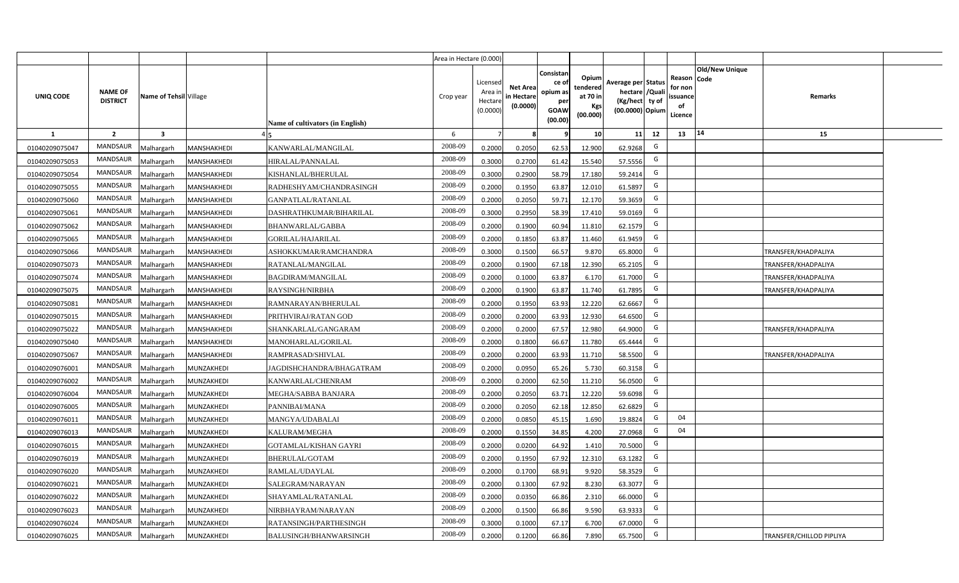|                |                                   |                         |             |                                  | Area in Hectare (0.000) |                                           |                                          |                                                         |                                                  |                                                                           |    |                                                     |                       |                            |  |
|----------------|-----------------------------------|-------------------------|-------------|----------------------------------|-------------------------|-------------------------------------------|------------------------------------------|---------------------------------------------------------|--------------------------------------------------|---------------------------------------------------------------------------|----|-----------------------------------------------------|-----------------------|----------------------------|--|
| UNIQ CODE      | <b>NAME OF</b><br><b>DISTRICT</b> | Name of Tehsil Village  |             | Name of cultivators (in English) | Crop year               | Licensed<br>Area ir<br>Hectar<br>(0.0000) | <b>Net Area</b><br>n Hectare<br>(0.0000) | Consistan<br>ce o<br>opium as<br>per<br>GOAW<br>(00.00) | Opium<br>tendered<br>at 70 in<br>Kgs<br>(00.000) | Average per Status<br>hectare / Qual<br>(Kg/hect ty of<br>(00.0000) Opium |    | Reason Code<br>for nor<br>issuance<br>of<br>Licence | <b>Old/New Unique</b> | Remarks                    |  |
| 1              | $\overline{2}$                    | $\overline{\mathbf{3}}$ |             |                                  | 6                       |                                           |                                          |                                                         | 10 <sup>1</sup>                                  | 11                                                                        | 12 | 13                                                  | 14                    | 15                         |  |
| 01040209075047 | <b>MANDSAUR</b>                   | Malhargarh              | MANSHAKHEDI | KANWARLAL/MANGILAL               | 2008-09                 | 0.2000                                    | 0.2050                                   | 62.53                                                   | 12.900                                           | 62.9268                                                                   | G  |                                                     |                       |                            |  |
| 01040209075053 | <b>MANDSAUR</b>                   | Malhargarh              | MANSHAKHEDI | HIRALAL/PANNALAL                 | 2008-09                 | 0.3000                                    | 0.2700                                   | 61.42                                                   | 15.540                                           | 57.5556                                                                   | G  |                                                     |                       |                            |  |
| 01040209075054 | <b>MANDSAUR</b>                   | Malhargarh              | MANSHAKHEDI | KISHANLAL/BHERULAL               | 2008-09                 | 0.3000                                    | 0.2900                                   | 58.79                                                   | 17.180                                           | 59.2414                                                                   | G  |                                                     |                       |                            |  |
| 01040209075055 | <b>MANDSAUR</b>                   | Malhargarh              | MANSHAKHEDI | RADHESHYAM/CHANDRASINGH          | 2008-09                 | 0.2000                                    | 0.1950                                   | 63.87                                                   | 12.010                                           | 61.5897                                                                   | G  |                                                     |                       |                            |  |
| 01040209075060 | <b>MANDSAUR</b>                   | Malhargarh              | MANSHAKHEDI | GANPATLAL/RATANLAL               | 2008-09                 | 0.200                                     | 0.2050                                   | 59.71                                                   | 12.170                                           | 59.3659                                                                   | G  |                                                     |                       |                            |  |
| 01040209075061 | <b>MANDSAUR</b>                   | Malhargarh              | MANSHAKHEDI | DASHRATHKUMAR/BIHARILAL          | 2008-09                 | 0.300                                     | 0.2950                                   | 58.39                                                   | 17.410                                           | 59.0169                                                                   | G  |                                                     |                       |                            |  |
| 01040209075062 | <b>MANDSAUR</b>                   | Malhargarh              | MANSHAKHEDI | BHANWARLAL/GABBA                 | 2008-09                 | 0.200                                     | 0.1900                                   | 60.94                                                   | 11.810                                           | 62.1579                                                                   | G  |                                                     |                       |                            |  |
| 01040209075065 | <b>MANDSAUR</b>                   | Malhargarh              | MANSHAKHEDI | GORILAL/HAJARILAL                | 2008-09                 | 0.200                                     | 0.1850                                   | 63.87                                                   | 11.460                                           | 61.9459                                                                   | G  |                                                     |                       |                            |  |
| 01040209075066 | MANDSAUR                          | Malhargarh              | MANSHAKHEDI | ASHOKKUMAR/RAMCHANDRA            | 2008-09                 | 0.3000                                    | 0.1500                                   | 66.57                                                   | 9.870                                            | 65.8000                                                                   | G  |                                                     |                       | TRANSFER/KHADPALIYA        |  |
| 01040209075073 | <b>MANDSAUR</b>                   | Malhargarh              | MANSHAKHEDI | RATANLAL/MANGILAL                | 2008-09                 | 0.2000                                    | 0.1900                                   | 67.18                                                   | 12.390                                           | 65.2105                                                                   | G  |                                                     |                       | <b>TRANSFER/KHADPALIYA</b> |  |
| 01040209075074 | <b>MANDSAUR</b>                   | Malhargarh              | MANSHAKHEDI | <b>BAGDIRAM/MANGILAL</b>         | 2008-09                 | 0.2000                                    | 0.1000                                   | 63.87                                                   | 6.170                                            | 61.7000                                                                   | G  |                                                     |                       | <b>TRANSFER/KHADPALIYA</b> |  |
| 01040209075075 | <b>MANDSAUR</b>                   | Malhargarh              | MANSHAKHEDI | RAYSINGH/NIRBHA                  | 2008-09                 | 0.2000                                    | 0.1900                                   | 63.87                                                   | 11.740                                           | 61.7895                                                                   | G  |                                                     |                       | TRANSFER/KHADPALIYA        |  |
| 01040209075081 | MANDSAUR                          | Malhargarh              | MANSHAKHEDI | RAMNARAYAN/BHERULAL              | 2008-09                 | 0.2000                                    | 0.1950                                   | 63.93                                                   | 12.220                                           | 62.6667                                                                   | G  |                                                     |                       |                            |  |
| 01040209075015 | <b>MANDSAUR</b>                   | Malhargarh              | MANSHAKHEDI | PRITHVIRAJ/RATAN GOD             | 2008-09                 | 0.2000                                    | 0.2000                                   | 63.93                                                   | 12.930                                           | 64.6500                                                                   | G  |                                                     |                       |                            |  |
| 01040209075022 | <b>MANDSAUR</b>                   | Malhargarh              | MANSHAKHEDI | SHANKARLAL/GANGARAM              | 2008-09                 | 0.2000                                    | 0.2000                                   | 67.57                                                   | 12.980                                           | 64.9000                                                                   | G  |                                                     |                       | TRANSFER/KHADPALIYA        |  |
| 01040209075040 | <b>MANDSAUR</b>                   | Malhargarh              | MANSHAKHEDI | MANOHARLAL/GORILAL               | 2008-09                 | 0.2000                                    | 0.1800                                   | 66.67                                                   | 11.780                                           | 65.4444                                                                   | G  |                                                     |                       |                            |  |
| 01040209075067 | <b>MANDSAUR</b>                   | Malhargarh              | MANSHAKHEDI | RAMPRASAD/SHIVLAL                | 2008-09                 | 0.200                                     | 0.2000                                   | 63.93                                                   | 11.710                                           | 58.5500                                                                   | G  |                                                     |                       | <b>TRANSFER/KHADPALIYA</b> |  |
| 01040209076001 | <b>MANDSAUR</b>                   | Malhargarh              | MUNZAKHEDI  | JAGDISHCHANDRA/BHAGATRAM         | 2008-09                 | 0.2000                                    | 0.0950                                   | 65.26                                                   | 5.730                                            | 60.3158                                                                   | G  |                                                     |                       |                            |  |
| 01040209076002 | <b>MANDSAUR</b>                   | Malhargarh              | MUNZAKHEDI  | KANWARLAL/CHENRAM                | 2008-09                 | 0.2000                                    | 0.2000                                   | 62.50                                                   | 11.210                                           | 56.0500                                                                   | G  |                                                     |                       |                            |  |
| 01040209076004 | <b>MANDSAUR</b>                   | Malhargarh              | MUNZAKHEDI  | MEGHA/SABBA BANJARA              | 2008-09                 | 0.2000                                    | 0.2050                                   | 63.71                                                   | 12.220                                           | 59.6098                                                                   | G  |                                                     |                       |                            |  |
| 01040209076005 | <b>MANDSAUR</b>                   | Malhargarh              | MUNZAKHEDI  | PANNIBAI/MANA                    | 2008-09                 | 0.2000                                    | 0.2050                                   | 62.18                                                   | 12.850                                           | 62.6829                                                                   | G  |                                                     |                       |                            |  |
| 01040209076011 | <b>MANDSAUR</b>                   | Malhargarh              | MUNZAKHEDI  | MANGYA/UDABALAI                  | 2008-09                 | 0.2000                                    | 0.0850                                   | 45.15                                                   | 1.690                                            | 19.8824                                                                   | G  | 04                                                  |                       |                            |  |
| 01040209076013 | <b>MANDSAUR</b>                   | Malhargarh              | MUNZAKHEDI  | KALURAM/MEGHA                    | 2008-09                 | 0.2000                                    | 0.1550                                   | 34.85                                                   | 4.200                                            | 27.0968                                                                   | G  | 04                                                  |                       |                            |  |
| 01040209076015 | <b>MANDSAUR</b>                   | Malhargarh              | MUNZAKHEDI  | GOTAMLAL/KISHAN GAYRI            | 2008-09                 | 0.200                                     | 0.0200                                   | 64.92                                                   | 1.410                                            | 70.5000                                                                   | G  |                                                     |                       |                            |  |
| 01040209076019 | <b>MANDSAUR</b>                   | Malhargarh              | MUNZAKHEDI  | BHERULAL/GOTAM                   | 2008-09                 | 0.200                                     | 0.1950                                   | 67.92                                                   | 12.310                                           | 63.1282                                                                   | G  |                                                     |                       |                            |  |
| 01040209076020 | <b>MANDSAUR</b>                   | Malhargarh              | MUNZAKHEDI  | RAMLAL/UDAYLAL                   | 2008-09                 | 0.200                                     | 0.1700                                   | 68.91                                                   | 9.920                                            | 58.3529                                                                   | G  |                                                     |                       |                            |  |
| 01040209076021 | <b>MANDSAUR</b>                   | Malhargarh              | MUNZAKHEDI  | SALEGRAM/NARAYAN                 | 2008-09                 | 0.2000                                    | 0.1300                                   | 67.92                                                   | 8.230                                            | 63.3077                                                                   | G  |                                                     |                       |                            |  |
| 01040209076022 | <b>MANDSAUR</b>                   | Malhargarh              | MUNZAKHEDI  | SHAYAMLAL/RATANLAL               | 2008-09                 | 0.2000                                    | 0.0350                                   | 66.86                                                   | 2.310                                            | 66.0000                                                                   | G  |                                                     |                       |                            |  |
| 01040209076023 | <b>MANDSAUR</b>                   | Malhargarh              | MUNZAKHEDI  | NIRBHAYRAM/NARAYAN               | 2008-09                 | 0.2000                                    | 0.1500                                   | 66.86                                                   | 9.590                                            | 63.9333                                                                   | G  |                                                     |                       |                            |  |
| 01040209076024 | <b>MANDSAUR</b>                   | Malhargarh              | MUNZAKHEDI  | RATANSINGH/PARTHESINGH           | 2008-09                 | 0.3000                                    | 0.1000                                   | 67.17                                                   | 6.700                                            | 67.0000                                                                   | G  |                                                     |                       |                            |  |
| 01040209076025 | <b>MANDSAUR</b>                   | Malhargarh              | MUNZAKHEDI  | BALUSINGH/BHANWARSINGH           | 2008-09                 | 0.2000                                    | 0.1200                                   | 66.86                                                   | 7.890                                            | 65.7500                                                                   | G  |                                                     |                       | TRANSFER/CHILLOD PIPLIYA   |  |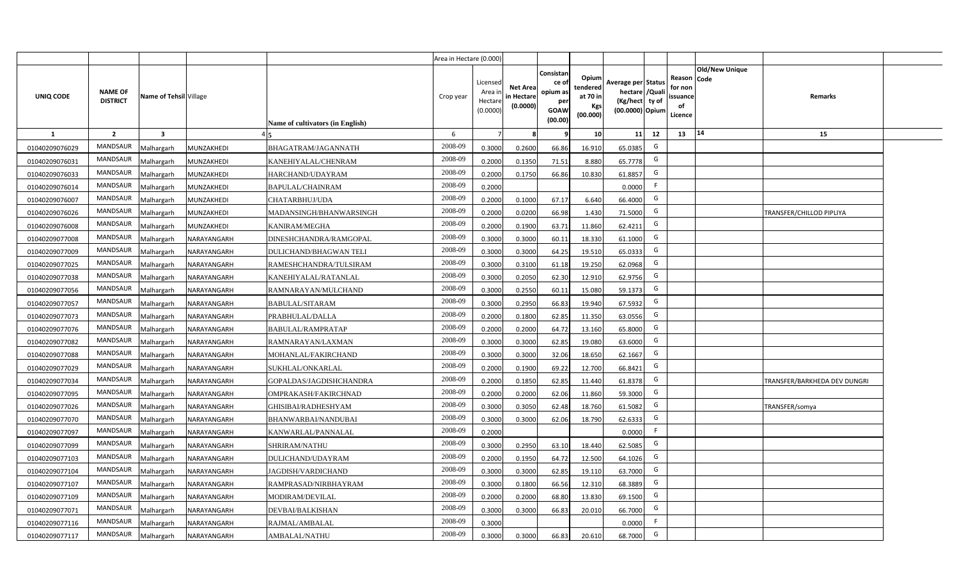|                |                                   |                         |             |                                  | Area in Hectare (0.000) |                                          |                                           |                                                         |                                                         |                                                                           |    |                                                     |                       |                                     |  |
|----------------|-----------------------------------|-------------------------|-------------|----------------------------------|-------------------------|------------------------------------------|-------------------------------------------|---------------------------------------------------------|---------------------------------------------------------|---------------------------------------------------------------------------|----|-----------------------------------------------------|-----------------------|-------------------------------------|--|
| UNIQ CODE      | <b>NAME OF</b><br><b>DISTRICT</b> | Name of Tehsil Village  |             | Name of cultivators (in English) | Crop year               | Licensed<br>Area i<br>Hectar<br>(0.0000) | <b>Net Area</b><br>in Hectare<br>(0.0000) | Consistan<br>ce o<br>opium as<br>per<br>GOAW<br>(00.00) | Opium<br>tendered<br>at 70 in<br><b>Kgs</b><br>(00.000) | Average per Status<br>hectare / Qual<br>(Kg/hect ty of<br>(00.0000) Opium |    | Reason Code<br>for nor<br>issuance<br>of<br>Licence | <b>Old/New Unique</b> | Remarks                             |  |
| 1              | $\overline{2}$                    | $\overline{\mathbf{3}}$ |             |                                  | 6                       |                                          |                                           |                                                         | 10 <sup>1</sup>                                         | 11                                                                        | 12 | 13                                                  | 14                    | 15                                  |  |
| 01040209076029 | <b>MANDSAUR</b>                   | Malhargarh              | MUNZAKHEDI  | BHAGATRAM/JAGANNATH              | 2008-09                 | 0.3000                                   | 0.2600                                    | 66.86                                                   | 16.910                                                  | 65.0385                                                                   | G  |                                                     |                       |                                     |  |
| 01040209076031 | <b>MANDSAUR</b>                   | Malhargarh              | MUNZAKHEDI  | KANEHIYALAL/CHENRAM              | 2008-09                 | 0.2000                                   | 0.1350                                    | 71.51                                                   | 8.880                                                   | 65.7778                                                                   | G  |                                                     |                       |                                     |  |
| 01040209076033 | <b>MANDSAUR</b>                   | Malhargarh              | MUNZAKHEDI  | HARCHAND/UDAYRAM                 | 2008-09                 | 0.2000                                   | 0.1750                                    | 66.86                                                   | 10.830                                                  | 61.8857                                                                   | G  |                                                     |                       |                                     |  |
| 01040209076014 | <b>MANDSAUR</b>                   | Malhargarh              | MUNZAKHEDI  | BAPULAL/CHAINRAM                 | 2008-09                 | 0.2000                                   |                                           |                                                         |                                                         | 0.0000                                                                    |    |                                                     |                       |                                     |  |
| 01040209076007 | <b>MANDSAUR</b>                   | Malhargarh              | MUNZAKHEDI  | CHATARBHUJ/UDA                   | 2008-09                 | 0.2000                                   | 0.1000                                    | 67.17                                                   | 6.640                                                   | 66.4000                                                                   | G  |                                                     |                       |                                     |  |
| 01040209076026 | <b>MANDSAUR</b>                   | Malhargarh              | MUNZAKHEDI  | MADANSINGH/BHANWARSINGH          | 2008-09                 | 0.200                                    | 0.0200                                    | 66.98                                                   | 1.430                                                   | 71.5000                                                                   | G  |                                                     |                       | TRANSFER/CHILLOD PIPLIYA            |  |
| 01040209076008 | <b>MANDSAUR</b>                   | Malhargarh              | MUNZAKHEDI  | KANIRAM/MEGHA                    | 2008-09                 | 0.200                                    | 0.1900                                    | 63.71                                                   | 11.860                                                  | 62.4211                                                                   | G  |                                                     |                       |                                     |  |
| 01040209077008 | <b>MANDSAUR</b>                   | Malhargarh              | NARAYANGARH | DINESHCHANDRA/RAMGOPAL           | 2008-09                 | 0.300                                    | 0.3000                                    | 60.11                                                   | 18.330                                                  | 61.1000                                                                   | G  |                                                     |                       |                                     |  |
| 01040209077009 | <b>MANDSAUR</b>                   | Malhargarh              | NARAYANGARH | DULICHAND/BHAGWAN TELI           | 2008-09                 | 0.3000                                   | 0.3000                                    | 64.25                                                   | 19.510                                                  | 65.0333                                                                   | G  |                                                     |                       |                                     |  |
| 01040209077025 | <b>MANDSAUR</b>                   | Malhargarh              | NARAYANGARH | RAMESHCHANDRA/TULSIRAM           | 2008-09                 | 0.3000                                   | 0.3100                                    | 61.18                                                   | 19.250                                                  | 62.0968                                                                   | G  |                                                     |                       |                                     |  |
| 01040209077038 | <b>MANDSAUR</b>                   | Malhargarh              | NARAYANGARH | KANEHIYALAL/RATANLAL             | 2008-09                 | 0.3000                                   | 0.2050                                    | 62.30                                                   | 12.910                                                  | 62.9756                                                                   | G  |                                                     |                       |                                     |  |
| 01040209077056 | <b>MANDSAUR</b>                   | Malhargarh              | NARAYANGARH | RAMNARAYAN/MULCHAND              | 2008-09                 | 0.3000                                   | 0.2550                                    | 60.11                                                   | 15.080                                                  | 59.1373                                                                   | G  |                                                     |                       |                                     |  |
| 01040209077057 | <b>MANDSAUR</b>                   | Malhargarh              | NARAYANGARH | <b>BABULAL/SITARAM</b>           | 2008-09                 | 0.3000                                   | 0.2950                                    | 66.83                                                   | 19.940                                                  | 67.5932                                                                   | G  |                                                     |                       |                                     |  |
| 01040209077073 | <b>MANDSAUR</b>                   | Malhargarh              | NARAYANGARH | PRABHULAL/DALLA                  | 2008-09                 | 0.2000                                   | 0.1800                                    | 62.85                                                   | 11.350                                                  | 63.0556                                                                   | G  |                                                     |                       |                                     |  |
| 01040209077076 | <b>MANDSAUR</b>                   | Malhargarh              | NARAYANGARH | BABULAL/RAMPRATAP                | 2008-09                 | 0.2000                                   | 0.2000                                    | 64.72                                                   | 13.160                                                  | 65.8000                                                                   | G  |                                                     |                       |                                     |  |
| 01040209077082 | <b>MANDSAUR</b>                   | Malhargarh              | NARAYANGARH | RAMNARAYAN/LAXMAN                | 2008-09                 | 0.3000                                   | 0.3000                                    | 62.85                                                   | 19.080                                                  | 63.6000                                                                   | G  |                                                     |                       |                                     |  |
| 01040209077088 | <b>MANDSAUR</b>                   | Malhargarh              | NARAYANGARH | MOHANLAL/FAKIRCHAND              | 2008-09                 | 0.3000                                   | 0.3000                                    | 32.06                                                   | 18.650                                                  | 62.1667                                                                   | G  |                                                     |                       |                                     |  |
| 01040209077029 | <b>MANDSAUR</b>                   | Malhargarh              | NARAYANGARH | SUKHLAL/ONKARLAL                 | 2008-09                 | 0.200                                    | 0.1900                                    | 69.22                                                   | 12.700                                                  | 66.8421                                                                   | G  |                                                     |                       |                                     |  |
| 01040209077034 | <b>MANDSAUR</b>                   | Malhargarh              | NARAYANGARH | GOPALDAS/JAGDISHCHANDRA          | 2008-09                 | 0.2000                                   | 0.1850                                    | 62.85                                                   | 11.440                                                  | 61.8378                                                                   | G  |                                                     |                       | <b>TRANSFER/BARKHEDA DEV DUNGRI</b> |  |
| 01040209077095 | <b>MANDSAUR</b>                   | Malhargarh              | NARAYANGARH | OMPRAKASH/FAKIRCHNAD             | 2008-09                 | 0.2000                                   | 0.2000                                    | 62.06                                                   | 11.860                                                  | 59.3000                                                                   | G  |                                                     |                       |                                     |  |
| 01040209077026 | <b>MANDSAUR</b>                   | Malhargarh              | NARAYANGARH | GHISIBAI/RADHESHYAM              | 2008-09                 | 0.3000                                   | 0.3050                                    | 62.48                                                   | 18.760                                                  | 61.5082                                                                   | G  |                                                     |                       | <b>TRANSFER/somya</b>               |  |
| 01040209077070 | <b>MANDSAUR</b>                   | Malhargarh              | NARAYANGARH | BHANWARBAI/NANDUBAI              | 2008-09                 | 0.3000                                   | 0.3000                                    | 62.06                                                   | 18.790                                                  | 62.6333                                                                   | G  |                                                     |                       |                                     |  |
| 01040209077097 | <b>MANDSAUR</b>                   | Malhargarh              | NARAYANGARH | KANWARLAL/PANNALAL               | 2008-09                 | 0.2000                                   |                                           |                                                         |                                                         | 0.0000                                                                    | F. |                                                     |                       |                                     |  |
| 01040209077099 | <b>MANDSAUR</b>                   | Malhargarh              | NARAYANGARH | SHRIRAM/NATHU                    | 2008-09                 | 0.3000                                   | 0.2950                                    | 63.10                                                   | 18.440                                                  | 62.5085                                                                   | G  |                                                     |                       |                                     |  |
| 01040209077103 | <b>MANDSAUR</b>                   | Malhargarh              | NARAYANGARH | DULICHAND/UDAYRAM                | 2008-09                 | 0.200                                    | 0.1950                                    | 64.72                                                   | 12.500                                                  | 64.1026                                                                   | G  |                                                     |                       |                                     |  |
| 01040209077104 | <b>MANDSAUR</b>                   | Malhargarh              | NARAYANGARH | JAGDISH/VARDICHAND               | 2008-09                 | 0.300                                    | 0.3000                                    | 62.85                                                   | 19.110                                                  | 63.7000                                                                   | G  |                                                     |                       |                                     |  |
| 01040209077107 | <b>MANDSAUR</b>                   | Malhargarh              | NARAYANGARH | RAMPRASAD/NIRBHAYRAM             | 2008-09                 | 0.300                                    | 0.1800                                    | 66.56                                                   | 12.310                                                  | 68.3889                                                                   | G  |                                                     |                       |                                     |  |
| 01040209077109 | <b>MANDSAUR</b>                   | Malhargarh              | NARAYANGARH | MODIRAM/DEVILAL                  | 2008-09                 | 0.2000                                   | 0.2000                                    | 68.80                                                   | 13.830                                                  | 69.1500                                                                   | G  |                                                     |                       |                                     |  |
| 01040209077071 | <b>MANDSAUR</b>                   | Malhargarh              | NARAYANGARH | DEVBAI/BALKISHAN                 | 2008-09                 | 0.3000                                   | 0.3000                                    | 66.83                                                   | 20.010                                                  | 66.7000                                                                   | G  |                                                     |                       |                                     |  |
| 01040209077116 | <b>MANDSAUR</b>                   | Malhargarh              | NARAYANGARH | RAJMAL/AMBALAL                   | 2008-09                 | 0.3000                                   |                                           |                                                         |                                                         | 0.0000                                                                    | F  |                                                     |                       |                                     |  |
| 01040209077117 | <b>MANDSAUR</b>                   | Malhargarh              | NARAYANGARH | AMBALAL/NATHU                    | 2008-09                 | 0.3000                                   | 0.3000                                    | 66.83                                                   | 20.610                                                  | 68.7000                                                                   | G  |                                                     |                       |                                     |  |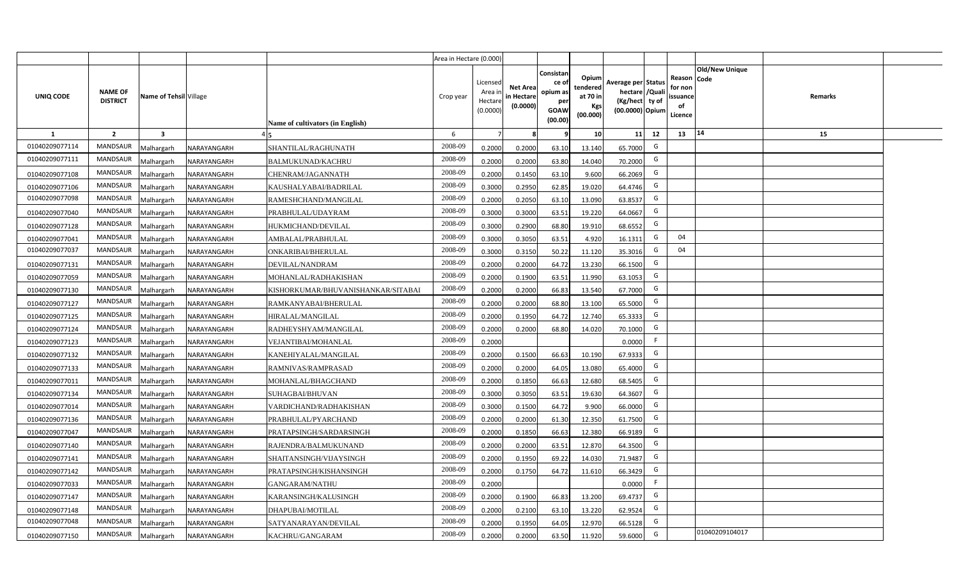|                |                                   |                         |             |                                    | Area in Hectare (0.000) |                                          |                                           |                                                         |                                                         |                                                                           |    |                                                     |                       |         |  |
|----------------|-----------------------------------|-------------------------|-------------|------------------------------------|-------------------------|------------------------------------------|-------------------------------------------|---------------------------------------------------------|---------------------------------------------------------|---------------------------------------------------------------------------|----|-----------------------------------------------------|-----------------------|---------|--|
| UNIQ CODE      | <b>NAME OF</b><br><b>DISTRICT</b> | Name of Tehsil Village  |             | Name of cultivators (in English)   | Crop year               | Licensed<br>Area i<br>Hectar<br>(0.0000) | <b>Net Area</b><br>in Hectare<br>(0.0000) | Consistan<br>ce o<br>opium as<br>per<br>GOAW<br>(00.00) | Opium<br>tendered<br>at 70 in<br><b>Kgs</b><br>(00.000) | Average per Status<br>hectare / Qual<br>(Kg/hect ty of<br>(00.0000) Opium |    | Reason Code<br>for nor<br>issuance<br>of<br>Licence | <b>Old/New Unique</b> | Remarks |  |
| 1              | $\overline{2}$                    | $\overline{\mathbf{3}}$ |             |                                    | 6                       |                                          |                                           |                                                         | 10 <sup>1</sup>                                         | 11                                                                        | 12 | 13                                                  | 14                    | 15      |  |
| 01040209077114 | <b>MANDSAUR</b>                   | Malhargarh              | NARAYANGARH | SHANTILAL/RAGHUNATH                | 2008-09                 | 0.2000                                   | 0.2000                                    | 63.10                                                   | 13.140                                                  | 65.7000                                                                   | G  |                                                     |                       |         |  |
| 01040209077111 | <b>MANDSAUR</b>                   | Malhargarh              | NARAYANGARH | BALMUKUNAD/KACHRU                  | 2008-09                 | 0.2000                                   | 0.2000                                    | 63.80                                                   | 14.040                                                  | 70.2000                                                                   | G  |                                                     |                       |         |  |
| 01040209077108 | <b>MANDSAUR</b>                   | Malhargarh              | NARAYANGARH | CHENRAM/JAGANNATH                  | 2008-09                 | 0.2000                                   | 0.1450                                    | 63.10                                                   | 9.600                                                   | 66.2069                                                                   | G  |                                                     |                       |         |  |
| 01040209077106 | <b>MANDSAUR</b>                   | Malhargarh              | NARAYANGARH | KAUSHALYABAI/BADRILAL              | 2008-09                 | 0.3000                                   | 0.2950                                    | 62.85                                                   | 19.020                                                  | 64.4746                                                                   | G  |                                                     |                       |         |  |
| 01040209077098 | <b>MANDSAUR</b>                   | Malhargarh              | NARAYANGARH | RAMESHCHAND/MANGILAL               | 2008-09                 | 0.2000                                   | 0.2050                                    | 63.10                                                   | 13.090                                                  | 63.8537                                                                   | G  |                                                     |                       |         |  |
| 01040209077040 | <b>MANDSAUR</b>                   | Malhargarh              | NARAYANGARH | PRABHULAL/UDAYRAM                  | 2008-09                 | 0.300                                    | 0.3000                                    | 63.51                                                   | 19.220                                                  | 64.0667                                                                   | G  |                                                     |                       |         |  |
| 01040209077128 | <b>MANDSAUR</b>                   | Malhargarh              | NARAYANGARH | HUKMICHAND/DEVILAL                 | 2008-09                 | 0.300                                    | 0.2900                                    | 68.80                                                   | 19.910                                                  | 68.6552                                                                   | G  |                                                     |                       |         |  |
| 01040209077041 | <b>MANDSAUR</b>                   | Malhargarh              | NARAYANGARH | AMBALAL/PRABHULAL                  | 2008-09                 | 0.300                                    | 0.3050                                    | 63.51                                                   | 4.920                                                   | 16.1311                                                                   | G  | 04                                                  |                       |         |  |
| 01040209077037 | MANDSAUR                          | Malhargarh              | NARAYANGARH | ONKARIBAI/BHERULAL                 | 2008-09                 | 0.3000                                   | 0.3150                                    | 50.22                                                   | 11.120                                                  | 35.3016                                                                   | G  | 04                                                  |                       |         |  |
| 01040209077131 | <b>MANDSAUR</b>                   | Malhargarh              | NARAYANGARH | DEVILAL/NANDRAM                    | 2008-09                 | 0.2000                                   | 0.2000                                    | 64.72                                                   | 13.230                                                  | 66.1500                                                                   | G  |                                                     |                       |         |  |
| 01040209077059 | MANDSAUR                          | Malhargarh              | NARAYANGARH | MOHANLAL/RADHAKISHAN               | 2008-09                 | 0.2000                                   | 0.1900                                    | 63.51                                                   | 11.990                                                  | 63.1053                                                                   | G  |                                                     |                       |         |  |
| 01040209077130 | <b>MANDSAUR</b>                   | Malhargarh              | NARAYANGARH | KISHORKUMAR/BHUVANISHANKAR/SITABAI | 2008-09                 | 0.2000                                   | 0.2000                                    | 66.83                                                   | 13.540                                                  | 67.7000                                                                   | G  |                                                     |                       |         |  |
| 01040209077127 | <b>MANDSAUR</b>                   | Malhargarh              | NARAYANGARH | RAMKANYABAI/BHERULAL               | 2008-09                 | 0.2000                                   | 0.2000                                    | 68.80                                                   | 13.100                                                  | 65.5000                                                                   | G  |                                                     |                       |         |  |
| 01040209077125 | <b>MANDSAUR</b>                   | Malhargarh              | NARAYANGARH | HIRALAL/MANGILAL                   | 2008-09                 | 0.2000                                   | 0.1950                                    | 64.72                                                   | 12.740                                                  | 65.3333                                                                   | G  |                                                     |                       |         |  |
| 01040209077124 | <b>MANDSAUR</b>                   | Malhargarh              | NARAYANGARH | RADHEYSHYAM/MANGILAL               | 2008-09                 | 0.2000                                   | 0.2000                                    | 68.80                                                   | 14.020                                                  | 70.1000                                                                   | G  |                                                     |                       |         |  |
| 01040209077123 | MANDSAUR                          | Malhargarh              | NARAYANGARH | VEJANTIBAI/MOHANLAL                | 2008-09                 | 0.2000                                   |                                           |                                                         |                                                         | 0.0000                                                                    | F. |                                                     |                       |         |  |
| 01040209077132 | <b>MANDSAUR</b>                   | Malhargarh              | NARAYANGARH | KANEHIYALAL/MANGILAL               | 2008-09                 | 0.2000                                   | 0.1500                                    | 66.63                                                   | 10.190                                                  | 67.9333                                                                   | G  |                                                     |                       |         |  |
| 01040209077133 | <b>MANDSAUR</b>                   | Malhargarh              | NARAYANGARH | RAMNIVAS/RAMPRASAD                 | 2008-09                 | 0.200                                    | 0.2000                                    | 64.05                                                   | 13.080                                                  | 65.4000                                                                   | G  |                                                     |                       |         |  |
| 01040209077011 | <b>MANDSAUR</b>                   | Malhargarh              | NARAYANGARH | MOHANLAL/BHAGCHAND                 | 2008-09                 | 0.2000                                   | 0.1850                                    | 66.63                                                   | 12.680                                                  | 68.5405                                                                   | G  |                                                     |                       |         |  |
| 01040209077134 | <b>MANDSAUR</b>                   | Malhargarh              | NARAYANGARH | SUHAGBAI/BHUVAN                    | 2008-09                 | 0.3000                                   | 0.3050                                    | 63.51                                                   | 19.630                                                  | 64.3607                                                                   | G  |                                                     |                       |         |  |
| 01040209077014 | <b>MANDSAUR</b>                   | Malhargarh              | NARAYANGARH | VARDICHAND/RADHAKISHAN             | 2008-09                 | 0.3000                                   | 0.1500                                    | 64.72                                                   | 9.900                                                   | 66.0000                                                                   | G  |                                                     |                       |         |  |
| 01040209077136 | <b>MANDSAUR</b>                   | Malhargarh              | NARAYANGARH | PRABHULAL/PYARCHAND                | 2008-09                 | 0.2000                                   | 0.2000                                    | 61.30                                                   | 12.350                                                  | 61.7500                                                                   | G  |                                                     |                       |         |  |
| 01040209077047 | <b>MANDSAUR</b>                   | Malhargarh              | NARAYANGARH | PRATAPSINGH/SARDARSINGH            | 2008-09                 | 0.2000                                   | 0.1850                                    | 66.63                                                   | 12.380                                                  | 66.9189                                                                   | G  |                                                     |                       |         |  |
| 01040209077140 | <b>MANDSAUR</b>                   | Malhargarh              | NARAYANGARH | RAJENDRA/BALMUKUNAND               | 2008-09                 | 0.200                                    | 0.2000                                    | 63.51                                                   | 12.870                                                  | 64.3500                                                                   | G  |                                                     |                       |         |  |
| 01040209077141 | <b>MANDSAUR</b>                   | Malhargarh              | NARAYANGARH | SHAITANSINGH/VIJAYSINGH            | 2008-09                 | 0.200                                    | 0.1950                                    | 69.22                                                   | 14.030                                                  | 71.9487                                                                   | G  |                                                     |                       |         |  |
| 01040209077142 | <b>MANDSAUR</b>                   | Malhargarh              | NARAYANGARH | PRATAPSINGH/KISHANSINGH            | 2008-09                 | 0.200                                    | 0.1750                                    | 64.72                                                   | 11.610                                                  | 66.3429                                                                   | G  |                                                     |                       |         |  |
| 01040209077033 | <b>MANDSAUR</b>                   | Malhargarh              | NARAYANGARH | GANGARAM/NATHU                     | 2008-09                 | 0.2000                                   |                                           |                                                         |                                                         | 0.0000                                                                    |    |                                                     |                       |         |  |
| 01040209077147 | <b>MANDSAUR</b>                   | Malhargarh              | NARAYANGARH | KARANSINGH/KALUSINGH               | 2008-09                 | 0.2000                                   | 0.1900                                    | 66.83                                                   | 13.200                                                  | 69.4737                                                                   | G  |                                                     |                       |         |  |
| 01040209077148 | <b>MANDSAUR</b>                   | Malhargarh              | NARAYANGARH | DHAPUBAI/MOTILAL                   | 2008-09                 | 0.2000                                   | 0.2100                                    | 63.10                                                   | 13.220                                                  | 62.9524                                                                   | G  |                                                     |                       |         |  |
| 01040209077048 | <b>MANDSAUR</b>                   | Malhargarh              | NARAYANGARH | SATYANARAYAN/DEVILAL               | 2008-09                 | 0.2000                                   | 0.1950                                    | 64.05                                                   | 12.970                                                  | 66.5128                                                                   | G  |                                                     |                       |         |  |
| 01040209077150 | <b>MANDSAUR</b>                   | Malhargarh              | NARAYANGARH | KACHRU/GANGARAM                    | 2008-09                 | 0.2000                                   | 0.2000                                    | 63.50                                                   | 11.920                                                  | 59.6000                                                                   | G  |                                                     | 01040209104017        |         |  |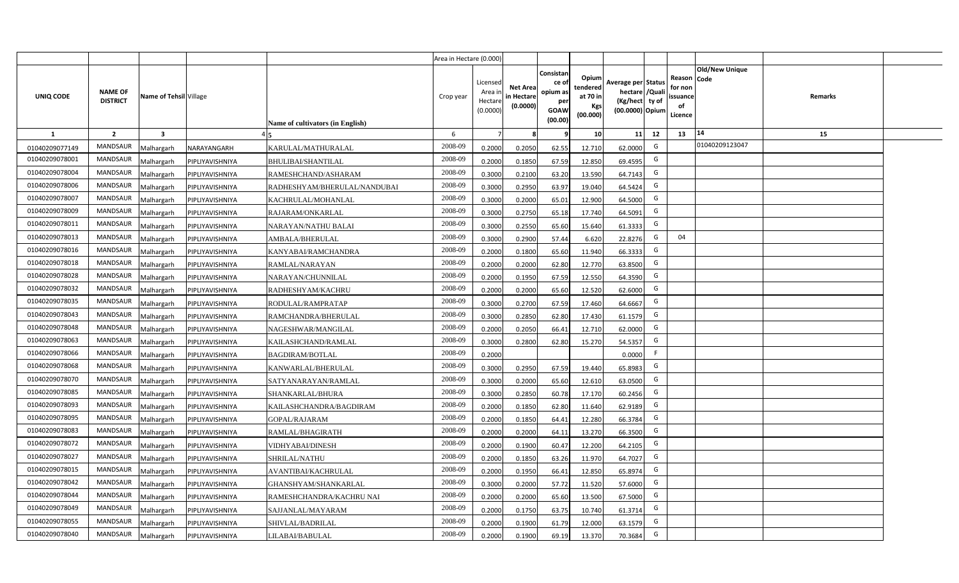|                |                                   |                         |                 |                                  | Area in Hectare (0.000) |                                           |                                           |                                                                 |                                                  |                                                                            |                                                    |                       |         |  |
|----------------|-----------------------------------|-------------------------|-----------------|----------------------------------|-------------------------|-------------------------------------------|-------------------------------------------|-----------------------------------------------------------------|--------------------------------------------------|----------------------------------------------------------------------------|----------------------------------------------------|-----------------------|---------|--|
| UNIQ CODE      | <b>NAME OF</b><br><b>DISTRICT</b> | Name of Tehsil Village  |                 | Name of cultivators (in English) | Crop year               | Licensed<br>Area i<br>Hectare<br>(0.0000) | <b>Net Area</b><br>in Hectare<br>(0.0000) | Consistan<br>ce of<br>opium as<br>per<br><b>GOAW</b><br>(00.00) | Opium<br>tendered<br>at 70 in<br>Kgs<br>(00.000) | Average per Status<br>hectare / Quali<br>(Kg/hect ty of<br>(00.0000) Opium | Reason Code<br>for non<br>ssuance<br>of<br>Licence | <b>Old/New Unique</b> | Remarks |  |
| $\mathbf{1}$   | $\overline{2}$                    | $\overline{\mathbf{3}}$ |                 |                                  | 6                       | $\overline{7}$                            | 8                                         | 9                                                               | 10 <sup>1</sup>                                  | 11<br>12                                                                   | 13                                                 | 14                    | 15      |  |
| 01040209077149 | MANDSAUR                          | Malhargarh              | NARAYANGARH     | KARULAL/MATHURALAL               | 2008-09                 | 0.2000                                    | 0.2050                                    | 62.55                                                           | 12.710                                           | G<br>62.0000                                                               |                                                    | 01040209123047        |         |  |
| 01040209078001 | <b>MANDSAUR</b>                   | <b>Aalhargarh</b>       | PIPLIYAVISHNIYA | <b>BHULIBAI/SHANTILAL</b>        | 2008-09                 | 0.2000                                    | 0.1850                                    | 67.59                                                           | 12.850                                           | G<br>69.4595                                                               |                                                    |                       |         |  |
| 01040209078004 | MANDSAUR                          | Malhargarh              | PIPLIYAVISHNIYA | RAMESHCHAND/ASHARAM              | 2008-09                 | 0.3000                                    | 0.2100                                    | 63.20                                                           | 13.590                                           | G<br>64.7143                                                               |                                                    |                       |         |  |
| 01040209078006 | <b>MANDSAUR</b>                   | Vlalhargarh             | PIPLIYAVISHNIYA | RADHESHYAM/BHERULAL/NANDUBAI     | 2008-09                 | 0.3000                                    | 0.2950                                    | 63.97                                                           | 19.040                                           | G<br>64.5424                                                               |                                                    |                       |         |  |
| 01040209078007 | <b>MANDSAUR</b>                   | Malhargarh              | PIPLIYAVISHNIYA | KACHRULAL/MOHANLAL               | 2008-09                 | 0.3000                                    | 0.2000                                    | 65.01                                                           | 12.900                                           | G<br>64.5000                                                               |                                                    |                       |         |  |
| 01040209078009 | <b>MANDSAUR</b>                   | Malhargarh              | PIPLIYAVISHNIYA | RAJARAM/ONKARLAL                 | 2008-09                 | 0.3000                                    | 0.2750                                    | 65.18                                                           | 17.740                                           | G<br>64.5091                                                               |                                                    |                       |         |  |
| 01040209078011 | <b>MANDSAUR</b>                   | Malhargarh              | PIPLIYAVISHNIYA | NARAYAN/NATHU BALAI              | 2008-09                 | 0.3000                                    | 0.2550                                    | 65.60                                                           | 15.640                                           | G<br>61.3333                                                               |                                                    |                       |         |  |
| 01040209078013 | <b>MANDSAUR</b>                   | Malhargarh              | PIPLIYAVISHNIYA | AMBALA/BHERULAL                  | 2008-09                 | 0.3000                                    | 0.2900                                    | 57.44                                                           | 6.620                                            | G<br>22.8276                                                               | 04                                                 |                       |         |  |
| 01040209078016 | <b>MANDSAUR</b>                   | Malhargarh              | PIPLIYAVISHNIYA | KANYABAI/RAMCHANDRA              | 2008-09                 | 0.2000                                    | 0.1800                                    | 65.60                                                           | 11.940                                           | G<br>66.3333                                                               |                                                    |                       |         |  |
| 01040209078018 | <b>MANDSAUR</b>                   | Malhargarh              | PIPLIYAVISHNIYA | RAMLAL/NARAYAN                   | 2008-09                 | 0.2000                                    | 0.2000                                    | 62.80                                                           | 12.770                                           | G<br>63.8500                                                               |                                                    |                       |         |  |
| 01040209078028 | MANDSAUR                          | Malhargarh              | PIPLIYAVISHNIYA | NARAYAN/CHUNNILAL                | 2008-09                 | 0.2000                                    | 0.1950                                    | 67.59                                                           | 12.550                                           | G<br>64.3590                                                               |                                                    |                       |         |  |
| 01040209078032 | <b>MANDSAUR</b>                   | Malhargarh              | PIPLIYAVISHNIYA | RADHESHYAM/KACHRU                | 2008-09                 | 0.2000                                    | 0.2000                                    | 65.60                                                           | 12.520                                           | G<br>62.6000                                                               |                                                    |                       |         |  |
| 01040209078035 | MANDSAUR                          | Malhargarh              | PIPLIYAVISHNIYA | RODULAL/RAMPRATAP                | 2008-09                 | 0.3000                                    | 0.2700                                    | 67.59                                                           | 17.460                                           | G<br>64.6667                                                               |                                                    |                       |         |  |
| 01040209078043 | <b>MANDSAUR</b>                   | Malhargarh              | PIPLIYAVISHNIYA | RAMCHANDRA/BHERULAL              | 2008-09                 | 0.3000                                    | 0.2850                                    | 62.80                                                           | 17.430                                           | G<br>61.1579                                                               |                                                    |                       |         |  |
| 01040209078048 | <b>MANDSAUR</b>                   | Malhargarh              | PIPLIYAVISHNIYA | NAGESHWAR/MANGILAL               | 2008-09                 | 0.2000                                    | 0.2050                                    | 66.41                                                           | 12.710                                           | G<br>62.0000                                                               |                                                    |                       |         |  |
| 01040209078063 | <b>MANDSAUR</b>                   | Malhargarh              | PIPLIYAVISHNIYA | KAILASHCHAND/RAMLAL              | 2008-09                 | 0.3000                                    | 0.2800                                    | 62.80                                                           | 15.270                                           | G<br>54.5357                                                               |                                                    |                       |         |  |
| 01040209078066 | <b>MANDSAUR</b>                   | Malhargarh              | PIPLIYAVISHNIYA | <b>BAGDIRAM/BOTLAL</b>           | 2008-09                 | 0.2000                                    |                                           |                                                                 |                                                  | F<br>0.0000                                                                |                                                    |                       |         |  |
| 01040209078068 | <b>MANDSAUR</b>                   | Malhargarh              | PIPLIYAVISHNIYA | KANWARLAL/BHERULAL               | 2008-09                 | 0.3000                                    | 0.2950                                    | 67.59                                                           | 19.440                                           | G<br>65.8983                                                               |                                                    |                       |         |  |
| 01040209078070 | <b>MANDSAUR</b>                   | Malhargarh              | PIPLIYAVISHNIYA | SATYANARAYAN/RAMLAL              | 2008-09                 | 0.3000                                    | 0.2000                                    | 65.60                                                           | 12.610                                           | G<br>63.0500                                                               |                                                    |                       |         |  |
| 01040209078085 | <b>MANDSAUR</b>                   | Malhargarh              | PIPLIYAVISHNIYA | SHANKARLAL/BHURA                 | 2008-09                 | 0.3000                                    | 0.2850                                    | 60.78                                                           | 17.170                                           | G<br>60.2456                                                               |                                                    |                       |         |  |
| 01040209078093 | MANDSAUR                          | Malhargarh              | PIPLIYAVISHNIYA | KAILASHCHANDRA/BAGDIRAM          | 2008-09                 | 0.2000                                    | 0.1850                                    | 62.80                                                           | 11.640                                           | G<br>62.9189                                                               |                                                    |                       |         |  |
| 01040209078095 | <b>MANDSAUR</b>                   | Malhargarh              | PIPLIYAVISHNIYA | GOPAL/RAJARAM                    | 2008-09                 | 0.2000                                    | 0.1850                                    | 64.41                                                           | 12.280                                           | G<br>66.3784                                                               |                                                    |                       |         |  |
| 01040209078083 | <b>MANDSAUR</b>                   | Malhargarh              | PIPLIYAVISHNIYA | RAMLAL/BHAGIRATH                 | 2008-09                 | 0.2000                                    | 0.2000                                    | 64.11                                                           | 13.270                                           | G<br>66.3500                                                               |                                                    |                       |         |  |
| 01040209078072 | MANDSAUR                          | Malhargarh              | PIPLIYAVISHNIYA | <b>VIDHYABAI/DINESH</b>          | 2008-09                 | 0.2000                                    | 0.1900                                    | 60.47                                                           | 12.200                                           | G<br>64.2105                                                               |                                                    |                       |         |  |
| 01040209078027 | <b>MANDSAUR</b>                   | Malhargarh              | PIPLIYAVISHNIYA | <b>SHRILAL/NATHU</b>             | 2008-09                 | 0.2000                                    | 0.1850                                    | 63.26                                                           | 11.970                                           | G<br>64.7027                                                               |                                                    |                       |         |  |
| 01040209078015 | MANDSAUR                          | Malhargarh              | PIPLIYAVISHNIYA | AVANTIBAI/KACHRULAL              | 2008-09                 | 0.2000                                    | 0.1950                                    | 66.41                                                           | 12.850                                           | G<br>65.8974                                                               |                                                    |                       |         |  |
| 01040209078042 | MANDSAUR                          | Malhargarh              | PIPLIYAVISHNIYA | GHANSHYAM/SHANKARLAL             | 2008-09                 | 0.3000                                    | 0.2000                                    | 57.72                                                           | 11.520                                           | G<br>57.6000                                                               |                                                    |                       |         |  |
| 01040209078044 | MANDSAUR                          | Malhargarh              | PIPLIYAVISHNIYA | RAMESHCHANDRA/KACHRU NAI         | 2008-09                 | 0.2000                                    | 0.2000                                    | 65.60                                                           | 13.500                                           | G<br>67.5000                                                               |                                                    |                       |         |  |
| 01040209078049 | MANDSAUR                          | Malhargarh              | PIPLIYAVISHNIYA | SAJJANLAL/MAYARAM                | 2008-09                 | 0.2000                                    | 0.1750                                    | 63.75                                                           | 10.740                                           | G<br>61.3714                                                               |                                                    |                       |         |  |
| 01040209078055 | MANDSAUR                          | Malhargarh              | PIPLIYAVISHNIYA | SHIVLAL/BADRILAL                 | 2008-09                 | 0.2000                                    | 0.1900                                    | 61.79                                                           | 12.000                                           | G<br>63.1579                                                               |                                                    |                       |         |  |
| 01040209078040 | MANDSAUR                          | Malhargarh              | PIPLIYAVISHNIYA | LILABAI/BABULAL                  | 2008-09                 | 0.2000                                    | 0.1900                                    | 69.19                                                           | 13.370                                           | G<br>70.3684                                                               |                                                    |                       |         |  |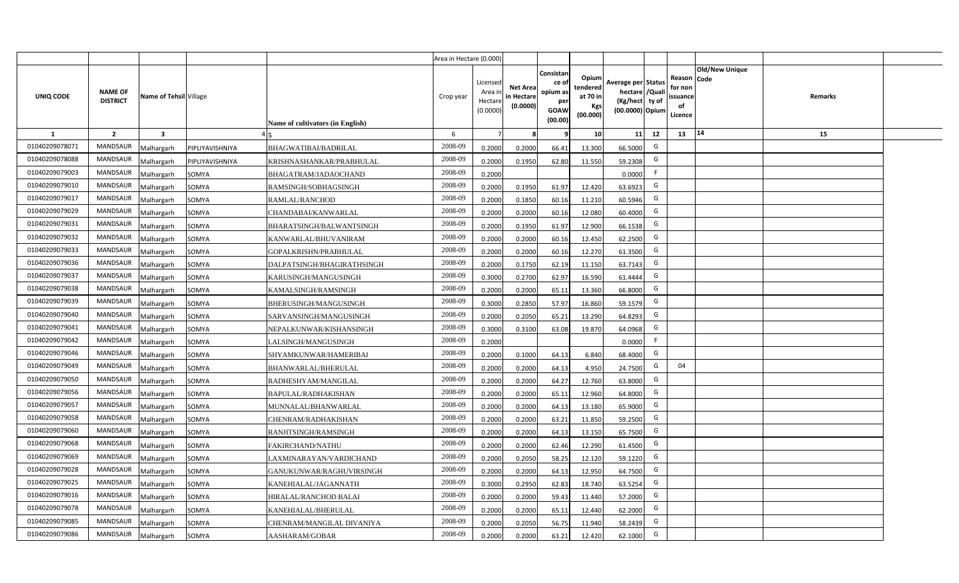|                |                                   |                         |                 |                                  | Area in Hectare (0.000) |                                            |                                           |                                                                |                                                  |                                                                            |     |                                                                             |         |  |
|----------------|-----------------------------------|-------------------------|-----------------|----------------------------------|-------------------------|--------------------------------------------|-------------------------------------------|----------------------------------------------------------------|--------------------------------------------------|----------------------------------------------------------------------------|-----|-----------------------------------------------------------------------------|---------|--|
| UNIQ CODE      | <b>NAME OF</b><br><b>DISTRICT</b> | Name of Tehsil Village  |                 | Name of cultivators (in English) | Crop year               | Licensed<br>Area in<br>Hectare<br>(0.0000) | <b>Net Area</b><br>in Hectare<br>(0.0000) | Consistar<br>ce o<br>opium as<br>per<br><b>GOAW</b><br>(00.00) | Opium<br>tendered<br>at 70 in<br>Kgs<br>(00.000) | Average per Status<br>hectare / Quali<br>(Kg/hect ty of<br>(00.0000) Opium |     | <b>Old/New Unique</b><br>Reason Code<br>for non<br>ssuance<br>of<br>Licence | Remarks |  |
| <b>1</b>       | $\overline{2}$                    | $\overline{\mathbf{3}}$ |                 |                                  | 6                       | $\overline{7}$                             | -8                                        | ٩                                                              | 10                                               | 11                                                                         | 12  | 14<br>13                                                                    | 15      |  |
| 01040209078071 | <b>MANDSAUR</b>                   | <b>Aalhargarh</b>       | PIPLIYAVISHNIYA | BHAGWATIBAI/BADRILAL             | 2008-09                 | 0.2000                                     | 0.2000                                    | 66.41                                                          | 13.300                                           | 66.5000                                                                    | G   |                                                                             |         |  |
| 01040209078088 | <b>MANDSAUR</b>                   | <b>Malhargarh</b>       | PIPLIYAVISHNIYA | KRISHNASHANKAR/PRABHULAL         | 2008-09                 | 0.2000                                     | 0.1950                                    | 62.80                                                          | 11.550                                           | 59.2308                                                                    | G   |                                                                             |         |  |
| 01040209079003 | <b>MANDSAUR</b>                   | <b>Malhargarh</b>       | SOMYA           | BHAGATRAM/JADAOCHAND             | 2008-09                 | 0.2000                                     |                                           |                                                                |                                                  | 0.0000                                                                     | -F. |                                                                             |         |  |
| 01040209079010 | <b>MANDSAUR</b>                   | <b>Malhargarh</b>       | SOMYA           | RAMSINGH/SOBHAGSINGH             | 2008-09                 | 0.2000                                     | 0.1950                                    | 61.97                                                          | 12.420                                           | 63.6923                                                                    | G   |                                                                             |         |  |
| 01040209079017 | <b>MANDSAUR</b>                   | <b>Malhargarh</b>       | SOMYA           | <b>RAMLAL/RANCHOD</b>            | 2008-09                 | 0.2000                                     | 0.1850                                    | 60.16                                                          | 11.210                                           | 60.5946                                                                    | G   |                                                                             |         |  |
| 01040209079029 | <b>MANDSAUR</b>                   | <b>Malhargarh</b>       | SOMYA           | CHANDABAI/KANWARLAL              | 2008-09                 | 0.2000                                     | 0.2000                                    | 60.16                                                          | 12.080                                           | 60.4000                                                                    | G   |                                                                             |         |  |
| 01040209079031 | MANDSAUR                          | <b>Malhargarh</b>       | SOMYA           | BHARATSINGH/BALWANTSINGH         | 2008-09                 | 0.2000                                     | 0.1950                                    | 61.97                                                          | 12.900                                           | 66.1538                                                                    | G   |                                                                             |         |  |
| 01040209079032 | <b>MANDSAUR</b>                   | <b>Malhargarh</b>       | SOMYA           | KANWARLAL/BHUVANIRAM             | 2008-09                 | 0.2000                                     | 0.2000                                    | 60.16                                                          | 12.450                                           | 62.2500                                                                    | G   |                                                                             |         |  |
| 01040209079033 | <b>MANDSAUR</b>                   | <b>Malhargarh</b>       | SOMYA           | GOPALKRISHN/PRABHULAL            | 2008-09                 | 0.2000                                     | 0.2000                                    | 60.16                                                          | 12.270                                           | 61.3500                                                                    | G   |                                                                             |         |  |
| 01040209079036 | <b>MANDSAUR</b>                   | <b>Malhargarh</b>       | SOMYA           | DALPATSINGH/BHAGIRATHSINGH       | 2008-09                 | 0.2000                                     | 0.1750                                    | 62.19                                                          | 11.150                                           | 63.7143                                                                    | G   |                                                                             |         |  |
| 01040209079037 | <b>MANDSAUR</b>                   | <b>Malhargarh</b>       | SOMYA           | KARUSINGH/MANGUSINGH             | 2008-09                 | 0.3000                                     | 0.2700                                    | 62.97                                                          | 16.590                                           | 61.4444                                                                    | G   |                                                                             |         |  |
| 01040209079038 | <b>MANDSAUR</b>                   | <b>Malhargarh</b>       | SOMYA           | KAMALSINGH/RAMSINGH              | 2008-09                 | 0.2000                                     | 0.2000                                    | 65.11                                                          | 13.360                                           | 66.8000                                                                    | G   |                                                                             |         |  |
| 01040209079039 | <b>MANDSAUR</b>                   | <b>Malhargarh</b>       | SOMYA           | BHERUSINGH/MANGUSINGH            | 2008-09                 | 0.3000                                     | 0.2850                                    | 57.97                                                          | 16.860                                           | 59.1579                                                                    | G   |                                                                             |         |  |
| 01040209079040 | <b>MANDSAUR</b>                   | <b>Malhargarh</b>       | SOMYA           | SARVANSINGH/MANGUSINGH           | 2008-09                 | 0.2000                                     | 0.2050                                    | 65.21                                                          | 13.290                                           | 64.8293                                                                    | G   |                                                                             |         |  |
| 01040209079041 | <b>MANDSAUR</b>                   | Malhargarh              | SOMYA           | NEPALKUNWAR/KISHANSINGH          | 2008-09                 | 0.3000                                     | 0.3100                                    | 63.08                                                          | 19.870                                           | 64.0968                                                                    | G   |                                                                             |         |  |
| 01040209079042 | <b>MANDSAUR</b>                   | Malhargarh              | SOMYA           | LALSINGH/MANGUSINGH              | 2008-09                 | 0.2000                                     |                                           |                                                                |                                                  | 0.0000                                                                     | F   |                                                                             |         |  |
| 01040209079046 | MANDSAUR                          | <b>Malhargarh</b>       | SOMYA           | SHYAMKUNWAR/HAMERIBAI            | 2008-09                 | 0.2000                                     | 0.1000                                    | 64.13                                                          | 6.840                                            | 68.4000                                                                    | G   |                                                                             |         |  |
| 01040209079049 | <b>MANDSAUR</b>                   | <b>Malhargarh</b>       | SOMYA           | BHANWARLAL/BHERULAL              | 2008-09                 | 0.2000                                     | 0.2000                                    | 64.13                                                          | 4.950                                            | 24.7500                                                                    | G   | 04                                                                          |         |  |
| 01040209079050 | MANDSAUR                          | <b>Malhargarh</b>       | SOMYA           | RADHESHYAM/MANGILAL              | 2008-09                 | 0.2000                                     | 0.2000                                    | 64.27                                                          | 12.760                                           | 63.8000                                                                    | G   |                                                                             |         |  |
| 01040209079056 | <b>MANDSAUR</b>                   | <b>Malhargarh</b>       | SOMYA           | BAPULAL/RADHAKISHAN              | 2008-09                 | 0.2000                                     | 0.2000                                    | 65.11                                                          | 12.960                                           | 64.8000                                                                    | G   |                                                                             |         |  |
| 01040209079057 | <b>MANDSAUR</b>                   | <b>Malhargarh</b>       | SOMYA           | MUNNALAL/BHANWARLAL              | 2008-09                 | 0.2000                                     | 0.2000                                    | 64.13                                                          | 13.180                                           | 65.9000                                                                    | G   |                                                                             |         |  |
| 01040209079058 | <b>MANDSAUR</b>                   | <b>Malhargarh</b>       | SOMYA           | CHENRAM/RADHAKISHAN              | 2008-09                 | 0.2000                                     | 0.2000                                    | 63.21                                                          | 11.850                                           | 59.2500                                                                    | G   |                                                                             |         |  |
| 01040209079060 | MANDSAUR                          | <b>Malhargarh</b>       | SOMYA           | RANJITSINGH/RAMSINGH             | 2008-09                 | 0.2000                                     | 0.2000                                    | 64.13                                                          | 13.150                                           | 65.7500                                                                    | G   |                                                                             |         |  |
| 01040209079068 | <b>MANDSAUR</b>                   | <b>Aalhargarh</b>       | SOMYA           | FAKIRCHAND/NATHU                 | 2008-09                 | 0.2000                                     | 0.2000                                    | 62.46                                                          | 12.290                                           | 61.4500                                                                    | G   |                                                                             |         |  |
| 01040209079069 | <b>MANDSAUR</b>                   | <b>Malhargarh</b>       | SOMYA           | LAXMINARAYAN/VARDICHAND          | 2008-09                 | 0.2000                                     | 0.2050                                    | 58.25                                                          | 12.120                                           | 59.1220                                                                    | G   |                                                                             |         |  |
| 01040209079028 | <b>MANDSAUR</b>                   | <b>Malhargarh</b>       | SOMYA           | GANUKUNWAR/RAGHUVIRSINGH         | 2008-09                 | 0.2000                                     | 0.2000                                    | 64.13                                                          | 12.950                                           | 64.7500                                                                    | G   |                                                                             |         |  |
| 01040209079025 | <b>MANDSAUR</b>                   | <b>Malhargarh</b>       | SOMYA           | KANEHIALAL/JAGANNATH             | 2008-09                 | 0.3000                                     | 0.2950                                    | 62.83                                                          | 18.740                                           | 63.5254                                                                    | G   |                                                                             |         |  |
| 01040209079016 | <b>MANDSAUR</b>                   | <b>Malhargarh</b>       | SOMYA           | HIRALAL/RANCHOD BALAI            | 2008-09                 | 0.2000                                     | 0.2000                                    | 59.43                                                          | 11.440                                           | 57.2000                                                                    | G   |                                                                             |         |  |
| 01040209079078 | MANDSAUR                          | <b>Malhargarh</b>       | SOMYA           | KANEHIALAL/BHERULAL              | 2008-09                 | 0.2000                                     | 0.2000                                    | 65.11                                                          | 12.440                                           | 62.2000                                                                    | G   |                                                                             |         |  |
| 01040209079085 | <b>MANDSAUR</b>                   | <b>Malhargarh</b>       | SOMYA           | CHENRAM/MANGILAL DIVANIYA        | 2008-09                 | 0.2000                                     | 0.2050                                    | 56.75                                                          | 11.940                                           | 58.2439                                                                    | G   |                                                                             |         |  |
| 01040209079086 | MANDSAUR                          | Malhargarh              | SOMYA           | AASHARAM/GOBAR                   | 2008-09                 | 0.2000                                     | 0.2000                                    | 63.21                                                          | 12.420                                           | 62.1000                                                                    | G   |                                                                             |         |  |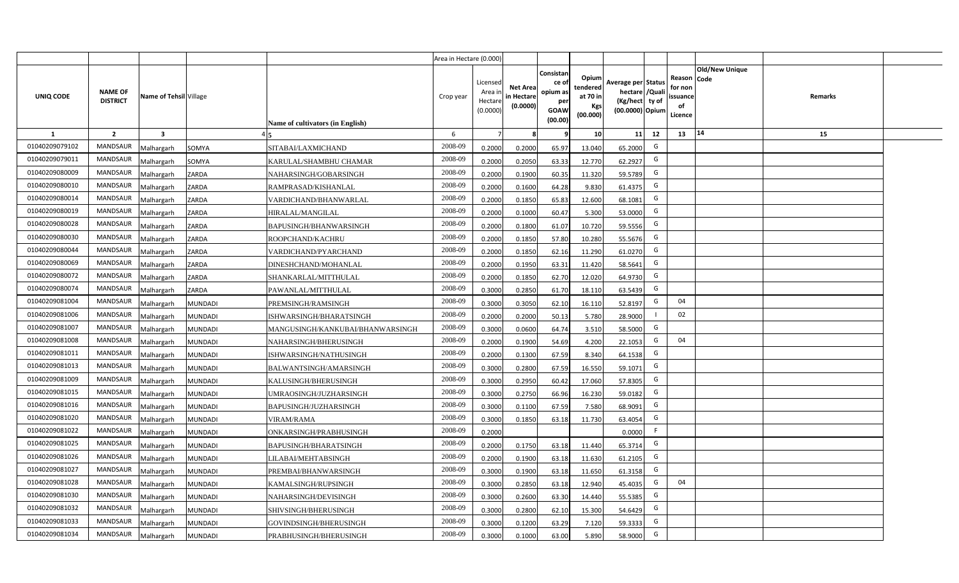|                |                                   |                         |                                                    | Area in Hectare (0.000) |                                            |                                           |                                                                |                                                  |                                                                            |     |                                                                             |         |  |
|----------------|-----------------------------------|-------------------------|----------------------------------------------------|-------------------------|--------------------------------------------|-------------------------------------------|----------------------------------------------------------------|--------------------------------------------------|----------------------------------------------------------------------------|-----|-----------------------------------------------------------------------------|---------|--|
| UNIQ CODE      | <b>NAME OF</b><br><b>DISTRICT</b> | Name of Tehsil Village  | Name of cultivators (in English)                   | Crop year               | Licensed<br>Area in<br>Hectare<br>(0.0000) | <b>Net Area</b><br>in Hectare<br>(0.0000) | Consistar<br>ce o<br>opium as<br>per<br><b>GOAW</b><br>(00.00) | Opium<br>tendered<br>at 70 in<br>Kgs<br>(00.000) | Average per Status<br>hectare / Quali<br>(Kg/hect ty of<br>(00.0000) Opium |     | <b>Old/New Unique</b><br>Reason Code<br>for non<br>ssuance<br>of<br>Licence | Remarks |  |
| $\mathbf{1}$   | $\overline{2}$                    | $\overline{\mathbf{3}}$ |                                                    | 6                       | $\overline{7}$                             | -8                                        | ٩                                                              | 10                                               | 11                                                                         | 12  | 14<br>13                                                                    | 15      |  |
| 01040209079102 | MANDSAUR                          | <b>Malhargarh</b>       | <b>SITABAI/LAXMICHAND</b><br>SOMYA                 | 2008-09                 | 0.2000                                     | 0.2000                                    | 65.97                                                          | 13.040                                           | 65.2000                                                                    | G   |                                                                             |         |  |
| 01040209079011 | <b>MANDSAUR</b>                   | <b>Malhargarh</b>       | SOMYA<br>KARULAL/SHAMBHU CHAMAR                    | 2008-09                 | 0.2000                                     | 0.2050                                    | 63.33                                                          | 12.770                                           | 62.2927                                                                    | G   |                                                                             |         |  |
| 01040209080009 | <b>MANDSAUR</b>                   | <b>Malhargarh</b>       | ZARDA<br>NAHARSINGH/GOBARSINGH                     | 2008-09                 | 0.2000                                     | 0.1900                                    | 60.35                                                          | 11.320                                           | 59.5789                                                                    | G   |                                                                             |         |  |
| 01040209080010 | <b>MANDSAUR</b>                   | <b>Malhargarh</b>       | ZARDA<br>RAMPRASAD/KISHANLAL                       | 2008-09                 | 0.2000                                     | 0.1600                                    | 64.28                                                          | 9.830                                            | 61.4375                                                                    | G   |                                                                             |         |  |
| 01040209080014 | <b>MANDSAUR</b>                   | <b>Malhargarh</b>       | ZARDA<br>VARDICHAND/BHANWARLAL                     | 2008-09                 | 0.2000                                     | 0.1850                                    | 65.83                                                          | 12.600                                           | 68.1081                                                                    | G   |                                                                             |         |  |
| 01040209080019 | <b>MANDSAUR</b>                   | <b>Malhargarh</b>       | ZARDA<br><b>HIRALAL/MANGILAL</b>                   | 2008-09                 | 0.2000                                     | 0.1000                                    | 60.47                                                          | 5.300                                            | 53.0000                                                                    | G   |                                                                             |         |  |
| 01040209080028 | <b>MANDSAUR</b>                   | <b>Malhargarh</b>       | ZARDA<br>BAPUSINGH/BHANWARSINGH                    | 2008-09                 | 0.2000                                     | 0.1800                                    | 61.07                                                          | 10.720                                           | 59.5556                                                                    | G   |                                                                             |         |  |
| 01040209080030 | <b>MANDSAUR</b>                   | <b>Malhargarh</b>       | ZARDA<br>ROOPCHAND/KACHRU                          | 2008-09                 | 0.2000                                     | 0.1850                                    | 57.80                                                          | 10.280                                           | 55.5676                                                                    | G   |                                                                             |         |  |
| 01040209080044 | <b>MANDSAUR</b>                   | <b>Malhargarh</b>       | ZARDA<br>VARDICHAND/PYARCHAND                      | 2008-09                 | 0.2000                                     | 0.1850                                    | 62.16                                                          | 11.290                                           | 61.0270                                                                    | G   |                                                                             |         |  |
| 01040209080069 | <b>MANDSAUR</b>                   | <b>Malhargarh</b>       | ZARDA<br>DINESHCHAND/MOHANLAL                      | 2008-09                 | 0.2000                                     | 0.1950                                    | 63.31                                                          | 11.420                                           | 58.5641                                                                    | G   |                                                                             |         |  |
| 01040209080072 | <b>MANDSAUR</b>                   | <b>Malhargarh</b>       | ZARDA<br>SHANKARLAL/MITTHULAL                      | 2008-09                 | 0.2000                                     | 0.1850                                    | 62.70                                                          | 12.020                                           | 64.9730                                                                    | G   |                                                                             |         |  |
| 01040209080074 | <b>MANDSAUR</b>                   | <b>Malhargarh</b>       | ZARDA<br>PAWANLAL/MITTHULAL                        | 2008-09                 | 0.3000                                     | 0.2850                                    | 61.70                                                          | 18.110                                           | 63.5439                                                                    | G   |                                                                             |         |  |
| 01040209081004 | <b>MANDSAUR</b>                   | <b>Malhargarh</b>       | <b>MUNDADI</b><br>PREMSINGH/RAMSINGH               | 2008-09                 | 0.3000                                     | 0.3050                                    | 62.10                                                          | 16.110                                           | 52.8197                                                                    | G   | 04                                                                          |         |  |
| 01040209081006 | <b>MANDSAUR</b>                   | Malhargarh              | <b>MUNDADI</b><br>ISHWARSINGH/BHARATSINGH          | 2008-09                 | 0.2000                                     | 0.2000                                    | 50.13                                                          | 5.780                                            | 28.9000                                                                    |     | 02                                                                          |         |  |
| 01040209081007 | <b>MANDSAUR</b>                   | Malhargarh              | <b>MUNDADI</b><br>MANGUSINGH/KANKUBAI/BHANWARSINGH | 2008-09                 | 0.3000                                     | 0.0600                                    | 64.74                                                          | 3.510                                            | 58.5000                                                                    | G   |                                                                             |         |  |
| 01040209081008 | MANDSAUR                          | Malhargarh              | <b>MUNDADI</b><br>NAHARSINGH/BHERUSINGH            | 2008-09                 | 0.2000                                     | 0.1900                                    | 54.69                                                          | 4.200                                            | 22.1053                                                                    | G   | 04                                                                          |         |  |
| 01040209081011 | <b>MANDSAUR</b>                   | <b>Malhargarh</b>       | <b>MUNDADI</b><br>ISHWARSINGH/NATHUSINGH           | 2008-09                 | 0.2000                                     | 0.1300                                    | 67.59                                                          | 8.340                                            | 64.1538                                                                    | G   |                                                                             |         |  |
| 01040209081013 | <b>MANDSAUR</b>                   | <b>Malhargarh</b>       | <b>MUNDADI</b><br>BALWANTSINGH/AMARSINGH           | 2008-09                 | 0.3000                                     | 0.2800                                    | 67.59                                                          | 16.550                                           | 59.1071                                                                    | G   |                                                                             |         |  |
| 01040209081009 | <b>MANDSAUR</b>                   | <b>Malhargarh</b>       | <b>MUNDADI</b><br>KALUSINGH/BHERUSINGH             | 2008-09                 | 0.3000                                     | 0.2950                                    | 60.42                                                          | 17.060                                           | 57.8305                                                                    | G   |                                                                             |         |  |
| 01040209081015 | <b>MANDSAUR</b>                   | Malhargarh              | <b>MUNDADI</b><br>UMRAOSINGH/JUZHARSINGH           | 2008-09                 | 0.3000                                     | 0.2750                                    | 66.96                                                          | 16.230                                           | 59.0182                                                                    | G   |                                                                             |         |  |
| 01040209081016 | <b>MANDSAUR</b>                   | <b>Malhargarh</b>       | <b>MUNDADI</b><br>BAPUSINGH/JUZHARSINGH            | 2008-09                 | 0.3000                                     | 0.1100                                    | 67.59                                                          | 7.580                                            | 68.9091                                                                    | G   |                                                                             |         |  |
| 01040209081020 | <b>MANDSAUR</b>                   | <b>Malhargarh</b>       | <b>MUNDADI</b><br>VIRAM/RAMA                       | 2008-09                 | 0.3000                                     | 0.1850                                    | 63.18                                                          | 11.730                                           | 63.4054                                                                    | G   |                                                                             |         |  |
| 01040209081022 | MANDSAUR                          | <i>A</i> alhargarh      | <b>MUNDADI</b><br>ONKARSINGH/PRABHUSINGH           | 2008-09                 | 0.2000                                     |                                           |                                                                |                                                  | 0.0000                                                                     | - F |                                                                             |         |  |
| 01040209081025 | <b>MANDSAUR</b>                   | <b>Malhargarh</b>       | <b>MUNDADI</b><br><b>BAPUSINGH/BHARATSINGH</b>     | 2008-09                 | 0.2000                                     | 0.1750                                    | 63.18                                                          | 11.440                                           | 65.3714                                                                    | G   |                                                                             |         |  |
| 01040209081026 | <b>MANDSAUR</b>                   | <b>Malhargarh</b>       | <b>MUNDADI</b><br>LILABAI/MEHTABSINGH              | 2008-09                 | 0.2000                                     | 0.1900                                    | 63.18                                                          | 11.630                                           | 61.2105                                                                    | G   |                                                                             |         |  |
| 01040209081027 | MANDSAUR                          | <b>Malhargarh</b>       | <b>MUNDADI</b><br>PREMBAI/BHANWARSINGH             | 2008-09                 | 0.3000                                     | 0.1900                                    | 63.18                                                          | 11.650                                           | 61.3158                                                                    | G   |                                                                             |         |  |
| 01040209081028 | <b>MANDSAUR</b>                   | <b>Malhargarh</b>       | <b>MUNDADI</b><br>KAMALSINGH/RUPSINGH              | 2008-09                 | 0.3000                                     | 0.2850                                    | 63.18                                                          | 12.940                                           | 45.4035                                                                    | G   | 04                                                                          |         |  |
| 01040209081030 | <b>MANDSAUR</b>                   | <b>Malhargarh</b>       | <b>MUNDADI</b><br>NAHARSINGH/DEVISINGH             | 2008-09                 | 0.3000                                     | 0.2600                                    | 63.30                                                          | 14.440                                           | 55.5385                                                                    | G   |                                                                             |         |  |
| 01040209081032 | <b>MANDSAUR</b>                   | <b>Malhargarh</b>       | SHIVSINGH/BHERUSINGH<br><b>MUNDADI</b>             | 2008-09                 | 0.3000                                     | 0.2800                                    | 62.10                                                          | 15.300                                           | 54.6429                                                                    | G   |                                                                             |         |  |
| 01040209081033 | <b>MANDSAUR</b>                   | <b>Malhargarh</b>       | <b>MUNDADI</b><br>GOVINDSINGH/BHERUSINGH           | 2008-09                 | 0.3000                                     | 0.1200                                    | 63.29                                                          | 7.120                                            | 59.3333                                                                    | G   |                                                                             |         |  |
| 01040209081034 | MANDSAUR                          | Malhargarh              | <b>MUNDADI</b><br>PRABHUSINGH/BHERUSINGH           | 2008-09                 | 0.3000                                     | 0.1000                                    | 63.00                                                          | 5.890                                            | 58.9000                                                                    | G   |                                                                             |         |  |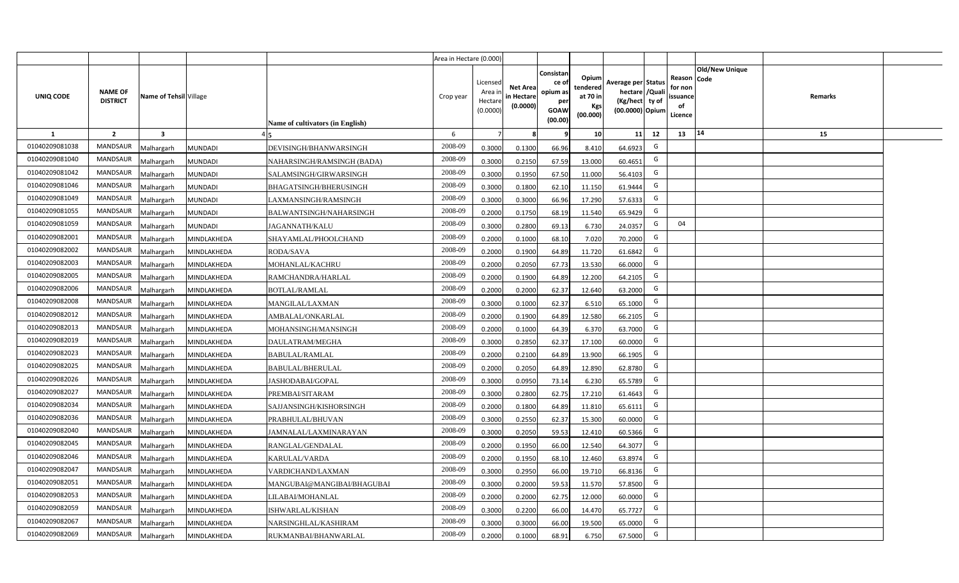|                  |                                   |                         |                |                                  | Area in Hectare (0.000) |                                            |                                           |                                                                |                                                  |                                                                            |    |                                                                             |         |  |
|------------------|-----------------------------------|-------------------------|----------------|----------------------------------|-------------------------|--------------------------------------------|-------------------------------------------|----------------------------------------------------------------|--------------------------------------------------|----------------------------------------------------------------------------|----|-----------------------------------------------------------------------------|---------|--|
| <b>UNIQ CODE</b> | <b>NAME OF</b><br><b>DISTRICT</b> | Name of Tehsil Village  |                | Name of cultivators (in English) | Crop year               | Licensed<br>Area in<br>Hectare<br>(0.0000) | <b>Net Area</b><br>in Hectare<br>(0.0000) | Consistan<br>ce o<br>opium as<br>per<br><b>GOAW</b><br>(00.00) | Opium<br>tendered<br>at 70 in<br>Kgs<br>(00.000) | Average per Status<br>hectare / Quali<br>(Kg/hect ty of<br>(00.0000) Opium |    | <b>Old/New Unique</b><br>Reason Code<br>for non<br>ssuance<br>of<br>Licence | Remarks |  |
| $\mathbf{1}$     | $\overline{2}$                    | $\overline{\mathbf{3}}$ |                |                                  | 6                       | $\overline{7}$                             | -8                                        | 9                                                              | 10                                               | 11                                                                         | 12 | 14<br>13                                                                    | 15      |  |
| 01040209081038   | MANDSAUR                          | <b>Malhargarh</b>       | <b>MUNDADI</b> | DEVISINGH/BHANWARSINGH           | 2008-09                 | 0.3000                                     | 0.1300                                    | 66.96                                                          | 8.410                                            | 64.6923                                                                    | G  |                                                                             |         |  |
| 01040209081040   | <b>MANDSAUR</b>                   | <b>Malhargarh</b>       | <b>MUNDADI</b> | NAHARSINGH/RAMSINGH (BADA)       | 2008-09                 | 0.3000                                     | 0.2150                                    | 67.59                                                          | 13.000                                           | 60.4651                                                                    | G  |                                                                             |         |  |
| 01040209081042   | <b>MANDSAUR</b>                   | <b>Malhargarh</b>       | <b>MUNDADI</b> | SALAMSINGH/GIRWARSINGH           | 2008-09                 | 0.3000                                     | 0.1950                                    | 67.50                                                          | 11.000                                           | 56.4103                                                                    | G  |                                                                             |         |  |
| 01040209081046   | <b>MANDSAUR</b>                   | <b>Malhargarh</b>       | <b>MUNDADI</b> | <b>BHAGATSINGH/BHERUSINGH</b>    | 2008-09                 | 0.3000                                     | 0.1800                                    | 62.10                                                          | 11.150                                           | 61.9444                                                                    | G  |                                                                             |         |  |
| 01040209081049   | <b>MANDSAUR</b>                   | <b>Malhargarh</b>       | <b>MUNDADI</b> | LAXMANSINGH/RAMSINGH             | 2008-09                 | 0.3000                                     | 0.3000                                    | 66.96                                                          | 17.290                                           | 57.6333                                                                    | G  |                                                                             |         |  |
| 01040209081055   | <b>MANDSAUR</b>                   | <b>Malhargarh</b>       | <b>MUNDADI</b> | BALWANTSINGH/NAHARSINGH          | 2008-09                 | 0.2000                                     | 0.1750                                    | 68.19                                                          | 11.540                                           | 65.9429                                                                    | G  |                                                                             |         |  |
| 01040209081059   | <b>MANDSAUR</b>                   | <b>Malhargarh</b>       | <b>MUNDADI</b> | JAGANNATH/KALU                   | 2008-09                 | 0.3000                                     | 0.2800                                    | 69.13                                                          | 6.730                                            | 24.0357                                                                    | G  | 04                                                                          |         |  |
| 01040209082001   | <b>MANDSAUR</b>                   | <b>Malhargarh</b>       | MINDLAKHEDA    | SHAYAMLAL/PHOOLCHAND             | 2008-09                 | 0.2000                                     | 0.1000                                    | 68.10                                                          | 7.020                                            | 70.2000                                                                    | G  |                                                                             |         |  |
| 01040209082002   | <b>MANDSAUR</b>                   | <b>Malhargarh</b>       | MINDLAKHEDA    | RODA/SAVA                        | 2008-09                 | 0.2000                                     | 0.1900                                    | 64.89                                                          | 11.720                                           | 61.6842                                                                    | G  |                                                                             |         |  |
| 01040209082003   | <b>MANDSAUR</b>                   | <b>Malhargarh</b>       | MINDLAKHEDA    | MOHANLAL/KACHRU                  | 2008-09                 | 0.2000                                     | 0.2050                                    | 67.73                                                          | 13.530                                           | 66.0000                                                                    | G  |                                                                             |         |  |
| 01040209082005   | <b>MANDSAUR</b>                   | <b>Malhargarh</b>       | MINDLAKHEDA    | RAMCHANDRA/HARLAL                | 2008-09                 | 0.2000                                     | 0.1900                                    | 64.89                                                          | 12.200                                           | 64.2105                                                                    | G  |                                                                             |         |  |
| 01040209082006   | <b>MANDSAUR</b>                   | <b>Malhargarh</b>       | MINDLAKHEDA    | <b>BOTLAL/RAMLAL</b>             | 2008-09                 | 0.2000                                     | 0.2000                                    | 62.37                                                          | 12.640                                           | 63.2000                                                                    | G  |                                                                             |         |  |
| 01040209082008   | <b>MANDSAUR</b>                   | <b>Malhargarh</b>       | MINDLAKHEDA    | MANGILAL/LAXMAN                  | 2008-09                 | 0.3000                                     | 0.1000                                    | 62.37                                                          | 6.510                                            | 65.1000                                                                    | G  |                                                                             |         |  |
| 01040209082012   | <b>MANDSAUR</b>                   | Malhargarh              | MINDLAKHEDA    | AMBALAL/ONKARLAL                 | 2008-09                 | 0.2000                                     | 0.1900                                    | 64.89                                                          | 12.580                                           | 66.2105                                                                    | G  |                                                                             |         |  |
| 01040209082013   | <b>MANDSAUR</b>                   | Malhargarh              | MINDLAKHEDA    | MOHANSINGH/MANSINGH              | 2008-09                 | 0.2000                                     | 0.1000                                    | 64.39                                                          | 6.370                                            | 63.7000                                                                    | G  |                                                                             |         |  |
| 01040209082019   | MANDSAUR                          | Malhargarh              | MINDLAKHEDA    | DAULATRAM/MEGHA                  | 2008-09                 | 0.3000                                     | 0.2850                                    | 62.37                                                          | 17.100                                           | 60.0000                                                                    | G  |                                                                             |         |  |
| 01040209082023   | <b>MANDSAUR</b>                   | <b>Malhargarh</b>       | MINDLAKHEDA    | <b>BABULAL/RAMLAL</b>            | 2008-09                 | 0.2000                                     | 0.2100                                    | 64.89                                                          | 13.900                                           | 66.1905                                                                    | G  |                                                                             |         |  |
| 01040209082025   | MANDSAUR                          | <b>Malhargarh</b>       | MINDLAKHEDA    | BABULAL/BHERULAL                 | 2008-09                 | 0.2000                                     | 0.2050                                    | 64.89                                                          | 12.890                                           | 62.8780                                                                    | G  |                                                                             |         |  |
| 01040209082026   | <b>MANDSAUR</b>                   | <b>Malhargarh</b>       | MINDLAKHEDA    | <b>JASHODABAI/GOPAL</b>          | 2008-09                 | 0.3000                                     | 0.0950                                    | 73.14                                                          | 6.230                                            | 65.5789                                                                    | G  |                                                                             |         |  |
| 01040209082027   | <b>MANDSAUR</b>                   | Malhargarh              | MINDLAKHEDA    | PREMBAI/SITARAM                  | 2008-09                 | 0.3000                                     | 0.2800                                    | 62.75                                                          | 17.210                                           | 61.4643                                                                    | G  |                                                                             |         |  |
| 01040209082034   | MANDSAUR                          | <b>Malhargarh</b>       | MINDLAKHEDA    | SAJJANSINGH/KISHORSINGH          | 2008-09                 | 0.2000                                     | 0.1800                                    | 64.89                                                          | 11.810                                           | 65.611                                                                     | G  |                                                                             |         |  |
| 01040209082036   | MANDSAUR                          | <b>Malhargarh</b>       | MINDLAKHEDA    | PRABHULAL/BHUVAN                 | 2008-09                 | 0.3000                                     | 0.2550                                    | 62.37                                                          | 15.300                                           | 60.0000                                                                    | G  |                                                                             |         |  |
| 01040209082040   | <b>MANDSAUR</b>                   | <i>A</i> alhargarh      | MINDLAKHEDA    | IAMNALAL/LAXMINARAYAN            | 2008-09                 | 0.3000                                     | 0.2050                                    | 59.53                                                          | 12.410                                           | 60.5366                                                                    | G  |                                                                             |         |  |
| 01040209082045   | <b>MANDSAUR</b>                   | <b>Malhargarh</b>       | MINDLAKHEDA    | RANGLAL/GENDALAL                 | 2008-09                 | 0.2000                                     | 0.1950                                    | 66.00                                                          | 12.540                                           | 64.3077                                                                    | G  |                                                                             |         |  |
| 01040209082046   | <b>MANDSAUR</b>                   | <b>Malhargarh</b>       | MINDLAKHEDA    | KARULAL/VARDA                    | 2008-09                 | 0.2000                                     | 0.1950                                    | 68.10                                                          | 12.460                                           | 63.8974                                                                    | G  |                                                                             |         |  |
| 01040209082047   | MANDSAUR                          | <b>Malhargarh</b>       | MINDLAKHEDA    | VARDICHAND/LAXMAN                | 2008-09                 | 0.3000                                     | 0.2950                                    | 66.00                                                          | 19.710                                           | 66.8136                                                                    | G  |                                                                             |         |  |
| 01040209082051   | <b>MANDSAUR</b>                   | <b>Malhargarh</b>       | MINDLAKHEDA    | MANGUBAI@MANGIBAI/BHAGUBAI       | 2008-09                 | 0.3000                                     | 0.2000                                    | 59.53                                                          | 11.570                                           | 57.8500                                                                    | G  |                                                                             |         |  |
| 01040209082053   | <b>MANDSAUR</b>                   | <b>Malhargarh</b>       | MINDLAKHEDA    | LILABAI/MOHANLAL                 | 2008-09                 | 0.2000                                     | 0.2000                                    | 62.75                                                          | 12.000                                           | 60.0000                                                                    | G  |                                                                             |         |  |
| 01040209082059   | <b>MANDSAUR</b>                   | <b>Malhargarh</b>       | MINDLAKHEDA    | ISHWARLAL/KISHAN                 | 2008-09                 | 0.3000                                     | 0.2200                                    | 66.00                                                          | 14.470                                           | 65.7727                                                                    | G  |                                                                             |         |  |
| 01040209082067   | <b>MANDSAUR</b>                   | <b>Malhargarh</b>       | MINDLAKHEDA    | NARSINGHLAL/KASHIRAM             | 2008-09                 | 0.3000                                     | 0.3000                                    | 66.00                                                          | 19.500                                           | 65.0000                                                                    | G  |                                                                             |         |  |
| 01040209082069   | MANDSAUR                          | Malhargarh              | MINDLAKHEDA    | RUKMANBAI/BHANWARLAL             | 2008-09                 | 0.2000                                     | 0.1000                                    | 68.91                                                          | 6.750                                            | 67.5000                                                                    | G  |                                                                             |         |  |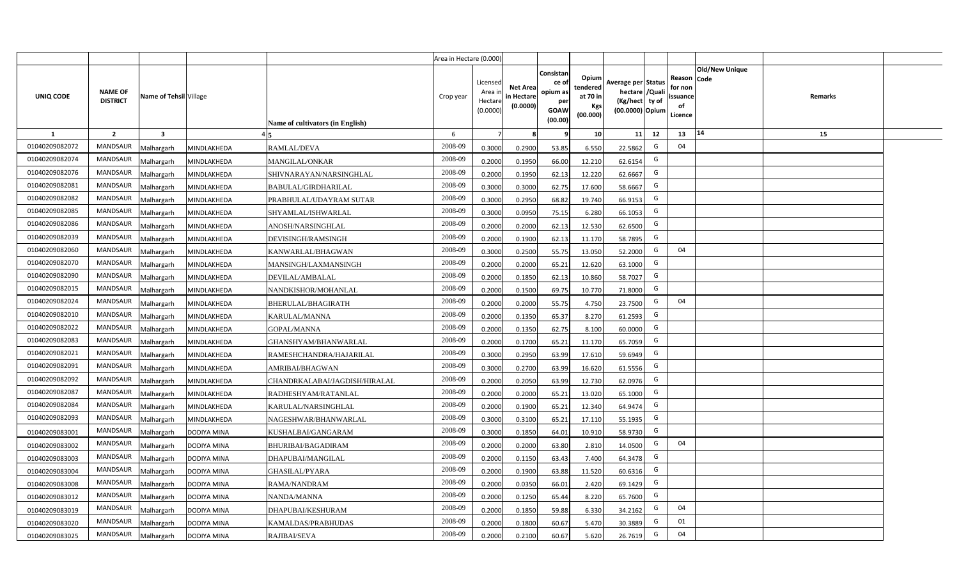|                |                                   |                         |                    |                                  | Area in Hectare (0.000) |                                            |                                           |                                                                |                                                  |                                                                            |    |                                                     |                       |         |  |
|----------------|-----------------------------------|-------------------------|--------------------|----------------------------------|-------------------------|--------------------------------------------|-------------------------------------------|----------------------------------------------------------------|--------------------------------------------------|----------------------------------------------------------------------------|----|-----------------------------------------------------|-----------------------|---------|--|
| UNIQ CODE      | <b>NAME OF</b><br><b>DISTRICT</b> | Name of Tehsil Village  |                    | Name of cultivators (in English) | Crop year               | Licensed<br>Area in<br>Hectare<br>(0.0000) | <b>Net Area</b><br>in Hectare<br>(0.0000) | Consistar<br>ce o<br>opium as<br>per<br><b>GOAW</b><br>(00.00) | Opium<br>tendered<br>at 70 in<br>Kgs<br>(00.000) | Average per Status<br>hectare / Quali<br>(Kg/hect ty of<br>(00.0000) Opium |    | Reason Code<br>for non<br>issuance<br>of<br>Licence | <b>Old/New Unique</b> | Remarks |  |
| $\mathbf{1}$   | $\overline{2}$                    | $\overline{\mathbf{3}}$ |                    |                                  | 6                       | $\overline{7}$                             | -8                                        | 9                                                              | 10                                               | 11                                                                         | 12 | 13                                                  | 14                    | 15      |  |
| 01040209082072 | <b>MANDSAUR</b>                   | <b>Aalhargarh</b>       | MINDLAKHEDA        | RAMLAL/DEVA                      | 2008-09                 | 0.3000                                     | 0.2900                                    | 53.85                                                          | 6.550                                            | 22.5862                                                                    | G  | 04                                                  |                       |         |  |
| 01040209082074 | <b>MANDSAUR</b>                   | <b>Malhargarh</b>       | MINDLAKHEDA        | MANGILAL/ONKAR                   | 2008-09                 | 0.2000                                     | 0.1950                                    | 66.00                                                          | 12.210                                           | 62.6154                                                                    | G  |                                                     |                       |         |  |
| 01040209082076 | <b>MANDSAUR</b>                   | <b>Malhargarh</b>       | MINDLAKHEDA        | SHIVNARAYAN/NARSINGHLAL          | 2008-09                 | 0.2000                                     | 0.1950                                    | 62.13                                                          | 12.220                                           | 62.6667                                                                    | G  |                                                     |                       |         |  |
| 01040209082081 | <b>MANDSAUR</b>                   | <b>Malhargarh</b>       | MINDLAKHEDA        | BABULAL/GIRDHARILAL              | 2008-09                 | 0.3000                                     | 0.3000                                    | 62.75                                                          | 17.600                                           | 58.6667                                                                    | G  |                                                     |                       |         |  |
| 01040209082082 | <b>MANDSAUR</b>                   | <b>Malhargarh</b>       | MINDLAKHEDA        | PRABHULAL/UDAYRAM SUTAR          | 2008-09                 | 0.3000                                     | 0.2950                                    | 68.82                                                          | 19.740                                           | 66.9153                                                                    | G  |                                                     |                       |         |  |
| 01040209082085 | <b>MANDSAUR</b>                   | <b>Malhargarh</b>       | MINDLAKHEDA        | SHYAMLAL/ISHWARLAL               | 2008-09                 | 0.3000                                     | 0.0950                                    | 75.15                                                          | 6.280                                            | 66.1053                                                                    | G  |                                                     |                       |         |  |
| 01040209082086 | MANDSAUR                          | <b>Malhargarh</b>       | MINDLAKHEDA        | ANOSH/NARSINGHLAL                | 2008-09                 | 0.2000                                     | 0.2000                                    | 62.13                                                          | 12.530                                           | 62.6500                                                                    | G  |                                                     |                       |         |  |
| 01040209082039 | <b>MANDSAUR</b>                   | <b>Malhargarh</b>       | MINDLAKHEDA        | DEVISINGH/RAMSINGH               | 2008-09                 | 0.2000                                     | 0.1900                                    | 62.13                                                          | 11.170                                           | 58.7895                                                                    | G  |                                                     |                       |         |  |
| 01040209082060 | <b>MANDSAUR</b>                   | <b>Malhargarh</b>       | MINDLAKHEDA        | KANWARLAL/BHAGWAN                | 2008-09                 | 0.3000                                     | 0.2500                                    | 55.75                                                          | 13.050                                           | 52.2000                                                                    | G  | 04                                                  |                       |         |  |
| 01040209082070 | <b>MANDSAUR</b>                   | <b>Malhargarh</b>       | MINDLAKHEDA        | MANSINGH/LAXMANSINGH             | 2008-09                 | 0.2000                                     | 0.2000                                    | 65.21                                                          | 12.620                                           | 63.1000                                                                    | G  |                                                     |                       |         |  |
| 01040209082090 | <b>MANDSAUR</b>                   | <b>Malhargarh</b>       | MINDLAKHEDA        | DEVILAL/AMBALAL                  | 2008-09                 | 0.2000                                     | 0.1850                                    | 62.13                                                          | 10.860                                           | 58.7027                                                                    | G  |                                                     |                       |         |  |
| 01040209082015 | <b>MANDSAUR</b>                   | <b>Malhargarh</b>       | MINDLAKHEDA        | NANDKISHOR/MOHANLAL              | 2008-09                 | 0.2000                                     | 0.1500                                    | 69.75                                                          | 10.770                                           | 71.8000                                                                    | G  |                                                     |                       |         |  |
| 01040209082024 | <b>MANDSAUR</b>                   | <b>Malhargarh</b>       | MINDLAKHEDA        | BHERULAL/BHAGIRATH               | 2008-09                 | 0.2000                                     | 0.2000                                    | 55.75                                                          | 4.750                                            | 23.7500                                                                    | G  | 04                                                  |                       |         |  |
| 01040209082010 | <b>MANDSAUR</b>                   | <b>Malhargarh</b>       | MINDLAKHEDA        | KARULAL/MANNA                    | 2008-09                 | 0.2000                                     | 0.1350                                    | 65.37                                                          | 8.270                                            | 61.2593                                                                    | G  |                                                     |                       |         |  |
| 01040209082022 | <b>MANDSAUR</b>                   | <b>Malhargarh</b>       | MINDLAKHEDA        | <b>GOPAL/MANNA</b>               | 2008-09                 | 0.2000                                     | 0.1350                                    | 62.75                                                          | 8.100                                            | 60.0000                                                                    | G  |                                                     |                       |         |  |
| 01040209082083 | <b>MANDSAUR</b>                   | <b>Malhargarh</b>       | MINDLAKHEDA        | GHANSHYAM/BHANWARLAL             | 2008-09                 | 0.2000                                     | 0.1700                                    | 65.21                                                          | 11.170                                           | 65.7059                                                                    | G  |                                                     |                       |         |  |
| 01040209082021 | MANDSAUR                          | <b>Malhargarh</b>       | MINDLAKHEDA        | RAMESHCHANDRA/HAJARILAL          | 2008-09                 | 0.3000                                     | 0.2950                                    | 63.99                                                          | 17.610                                           | 59.6949                                                                    | G  |                                                     |                       |         |  |
| 01040209082091 | <b>MANDSAUR</b>                   | <b>Malhargarh</b>       | MINDLAKHEDA        | AMRIBAI/BHAGWAN                  | 2008-09                 | 0.3000                                     | 0.2700                                    | 63.99                                                          | 16.620                                           | 61.5556                                                                    | G  |                                                     |                       |         |  |
| 01040209082092 | <b>MANDSAUR</b>                   | <b>Malhargarh</b>       | MINDLAKHEDA        | CHANDRKALABAI/JAGDISH/HIRALAL    | 2008-09                 | 0.2000                                     | 0.2050                                    | 63.99                                                          | 12.730                                           | 62.0976                                                                    | G  |                                                     |                       |         |  |
| 01040209082087 | <b>MANDSAUR</b>                   | <b>Malhargarh</b>       | MINDLAKHEDA        | RADHESHYAM/RATANLAL              | 2008-09                 | 0.2000                                     | 0.2000                                    | 65.21                                                          | 13.020                                           | 65.1000                                                                    | G  |                                                     |                       |         |  |
| 01040209082084 | <b>MANDSAUR</b>                   | <b>Malhargarh</b>       | MINDLAKHEDA        | KARULAL/NARSINGHLAL              | 2008-09                 | 0.2000                                     | 0.1900                                    | 65.21                                                          | 12.340                                           | 64.9474                                                                    | G  |                                                     |                       |         |  |
| 01040209082093 | <b>MANDSAUR</b>                   | <b>Malhargarh</b>       | MINDLAKHEDA        | NAGESHWAR/BHANWARLAL             | 2008-09                 | 0.3000                                     | 0.3100                                    | 65.21                                                          | 17.110                                           | 55.1935                                                                    | G  |                                                     |                       |         |  |
| 01040209083001 | <b>MANDSAUR</b>                   | <b>Malhargarh</b>       | DODIYA MINA        | KUSHALBAI/GANGARAM               | 2008-09                 | 0.3000                                     | 0.1850                                    | 64.01                                                          | 10.910                                           | 58.9730                                                                    | G  |                                                     |                       |         |  |
| 01040209083002 | <b>MANDSAUR</b>                   | <b>Aalhargarh</b>       | DODIYA MINA        | BHURIBAI/BAGADIRAM               | 2008-09                 | 0.2000                                     | 0.2000                                    | 63.80                                                          | 2.810                                            | 14.0500                                                                    | G  | 04                                                  |                       |         |  |
| 01040209083003 | <b>MANDSAUR</b>                   | <b>Malhargarh</b>       | DODIYA MINA        | DHAPUBAI/MANGILAL                | 2008-09                 | 0.2000                                     | 0.1150                                    | 63.43                                                          | 7.400                                            | 64.3478                                                                    | G  |                                                     |                       |         |  |
| 01040209083004 | <b>MANDSAUR</b>                   | <b>Malhargarh</b>       | DODIYA MINA        | GHASILAL/PYARA                   | 2008-09                 | 0.2000                                     | 0.1900                                    | 63.88                                                          | 11.520                                           | 60.6316                                                                    | G  |                                                     |                       |         |  |
| 01040209083008 | <b>MANDSAUR</b>                   | <b>Malhargarh</b>       | DODIYA MINA        | RAMA/NANDRAM                     | 2008-09                 | 0.2000                                     | 0.0350                                    | 66.01                                                          | 2.420                                            | 69.1429                                                                    | G  |                                                     |                       |         |  |
| 01040209083012 | <b>MANDSAUR</b>                   | <b>Malhargarh</b>       | DODIYA MINA        | NANDA/MANNA                      | 2008-09                 | 0.2000                                     | 0.1250                                    | 65.44                                                          | 8.220                                            | 65.7600                                                                    | G  |                                                     |                       |         |  |
| 01040209083019 | MANDSAUR                          | <b>Malhargarh</b>       | DODIYA MINA        | DHAPUBAI/KESHURAM                | 2008-09                 | 0.2000                                     | 0.1850                                    | 59.88                                                          | 6.330                                            | 34.2162                                                                    | G  | 04                                                  |                       |         |  |
| 01040209083020 | <b>MANDSAUR</b>                   | <b>Malhargarh</b>       | DODIYA MINA        | KAMALDAS/PRABHUDAS               | 2008-09                 | 0.2000                                     | 0.1800                                    | 60.67                                                          | 5.470                                            | 30.3889                                                                    | G  | 01                                                  |                       |         |  |
| 01040209083025 | MANDSAUR                          | Malhargarh              | <b>DODIYA MINA</b> | RAJIBAI/SEVA                     | 2008-09                 | 0.2000                                     | 0.2100                                    | 60.67                                                          | 5.620                                            | 26.7619                                                                    | G  | 04                                                  |                       |         |  |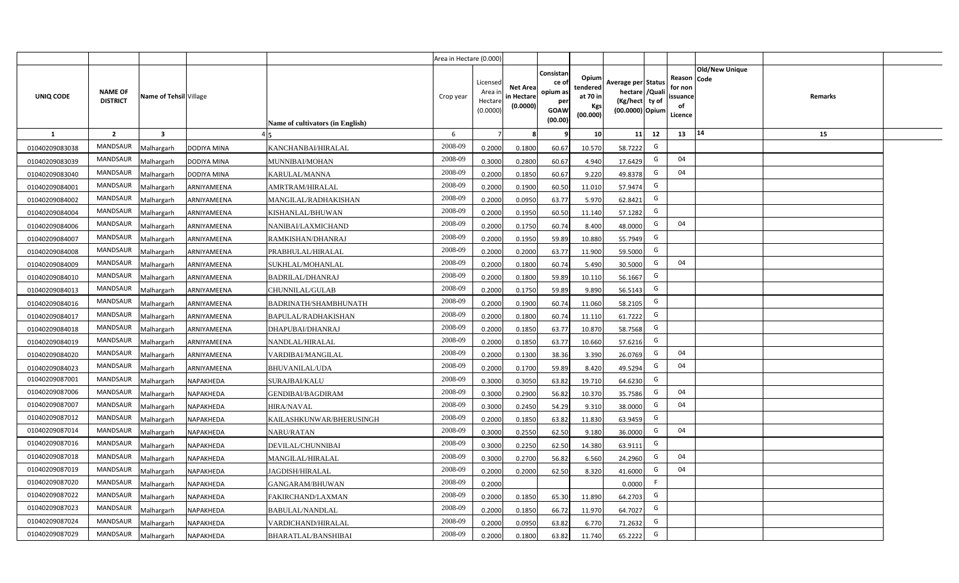|                |                                   |                         |                    |                                  | Area in Hectare (0.000) |                                           |                                           |                                                                 |                                                  |                                                                            |                                                    |                       |         |  |
|----------------|-----------------------------------|-------------------------|--------------------|----------------------------------|-------------------------|-------------------------------------------|-------------------------------------------|-----------------------------------------------------------------|--------------------------------------------------|----------------------------------------------------------------------------|----------------------------------------------------|-----------------------|---------|--|
| UNIQ CODE      | <b>NAME OF</b><br><b>DISTRICT</b> | Name of Tehsil Village  |                    | Name of cultivators (in English) | Crop year               | Licensed<br>Area i<br>Hectare<br>(0.0000) | <b>Net Area</b><br>in Hectare<br>(0.0000) | Consistan<br>ce of<br>opium as<br>per<br><b>GOAW</b><br>(00.00) | Opium<br>tendered<br>at 70 in<br>Kgs<br>(00.000) | Average per Status<br>hectare / Quali<br>(Kg/hect ty of<br>(00.0000) Opium | Reason Code<br>for non<br>ssuance<br>of<br>Licence | <b>Old/New Unique</b> | Remarks |  |
| $\mathbf{1}$   | $\overline{2}$                    | $\overline{\mathbf{3}}$ |                    |                                  | 6                       | $\overline{7}$                            | 8                                         | 9                                                               | 10 <sup>1</sup>                                  | 12<br>11                                                                   | 13                                                 | 14                    | 15      |  |
| 01040209083038 | MANDSAUR                          | Malhargarh              | <b>DODIYA MINA</b> | KANCHANBAI/HIRALAL               | 2008-09                 | 0.2000                                    | 0.1800                                    | 60.67                                                           | 10.570                                           | G<br>58.7222                                                               |                                                    |                       |         |  |
| 01040209083039 | MANDSAUR                          | <b>Aalhargarh</b>       | DODIYA MINA        | MUNNIBAI/MOHAN                   | 2008-09                 | 0.3000                                    | 0.2800                                    | 60.67                                                           | 4.940                                            | G<br>17.6429                                                               | 04                                                 |                       |         |  |
| 01040209083040 | MANDSAUR                          | Malhargarh              | <b>DODIYA MINA</b> | KARULAL/MANNA                    | 2008-09                 | 0.2000                                    | 0.1850                                    | 60.67                                                           | 9.220                                            | G<br>49.8378                                                               | 04                                                 |                       |         |  |
| 01040209084001 | <b>MANDSAUR</b>                   | Malhargarh              | ARNIYAMEENA        | AMRTRAM/HIRALAL                  | 2008-09                 | 0.2000                                    | 0.1900                                    | 60.50                                                           | 11.010                                           | G<br>57.9474                                                               |                                                    |                       |         |  |
| 01040209084002 | MANDSAUR                          | Malhargarh              | ARNIYAMEENA        | MANGILAL/RADHAKISHAN             | 2008-09                 | 0.2000                                    | 0.0950                                    | 63.77                                                           | 5.970                                            | G<br>62.8421                                                               |                                                    |                       |         |  |
| 01040209084004 | MANDSAUR                          | Malhargarh              | ARNIYAMEENA        | KISHANLAL/BHUWAN                 | 2008-09                 | 0.2000                                    | 0.1950                                    | 60.50                                                           | 11.140                                           | G<br>57.1282                                                               |                                                    |                       |         |  |
| 01040209084006 | MANDSAUR                          | Malhargarh              | ARNIYAMEENA        | NANIBAI/LAXMICHAND               | 2008-09                 | 0.2000                                    | 0.1750                                    | 60.74                                                           | 8.400                                            | G<br>48.0000                                                               | 04                                                 |                       |         |  |
| 01040209084007 | <b>MANDSAUR</b>                   | Malhargarh              | ARNIYAMEENA        | RAMKISHAN/DHANRAJ                | 2008-09                 | 0.2000                                    | 0.1950                                    | 59.89                                                           | 10.880                                           | G<br>55.7949                                                               |                                                    |                       |         |  |
| 01040209084008 | <b>MANDSAUR</b>                   | Malhargarh              | ARNIYAMEENA        | PRABHULAL/HIRALAL                | 2008-09                 | 0.2000                                    | 0.2000                                    | 63.77                                                           | 11.900                                           | G<br>59.5000                                                               |                                                    |                       |         |  |
| 01040209084009 | <b>MANDSAUR</b>                   | Malhargarh              | ARNIYAMEENA        | SUKHLAL/MOHANLAL                 | 2008-09                 | 0.2000                                    | 0.1800                                    | 60.74                                                           | 5.490                                            | G<br>30.5000                                                               | 04                                                 |                       |         |  |
| 01040209084010 | MANDSAUR                          | Malhargarh              | ARNIYAMEENA        | <b>BADRILAL/DHANRAJ</b>          | 2008-09                 | 0.2000                                    | 0.1800                                    | 59.89                                                           | 10.110                                           | G<br>56.1667                                                               |                                                    |                       |         |  |
| 01040209084013 | MANDSAUR                          | Malhargarh              | ARNIYAMEENA        | CHUNNILAL/GULAB                  | 2008-09                 | 0.2000                                    | 0.1750                                    | 59.89                                                           | 9.890                                            | G<br>56.5143                                                               |                                                    |                       |         |  |
| 01040209084016 | MANDSAUR                          | Malhargarh              | ARNIYAMEENA        | BADRINATH/SHAMBHUNATH            | 2008-09                 | 0.2000                                    | 0.1900                                    | 60.74                                                           | 11.060                                           | G<br>58.2105                                                               |                                                    |                       |         |  |
| 01040209084017 | <b>MANDSAUR</b>                   | Malhargarh              | ARNIYAMEENA        | BAPULAL/RADHAKISHAN              | 2008-09                 | 0.2000                                    | 0.1800                                    | 60.74                                                           | 11.110                                           | G<br>61.7222                                                               |                                                    |                       |         |  |
| 01040209084018 | <b>MANDSAUR</b>                   | Malhargarh              | ARNIYAMEENA        | DHAPUBAI/DHANRAJ                 | 2008-09                 | 0.2000                                    | 0.1850                                    | 63.77                                                           | 10.870                                           | G<br>58.7568                                                               |                                                    |                       |         |  |
| 01040209084019 | <b>MANDSAUR</b>                   | Malhargarh              | ARNIYAMEENA        | NANDLAL/HIRALAL                  | 2008-09                 | 0.2000                                    | 0.1850                                    | 63.77                                                           | 10.660                                           | G<br>57.6216                                                               |                                                    |                       |         |  |
| 01040209084020 | <b>MANDSAUR</b>                   | Malhargarh              | ARNIYAMEENA        | VARDIBAI/MANGILAL                | 2008-09                 | 0.2000                                    | 0.1300                                    | 38.36                                                           | 3.390                                            | G<br>26.0769                                                               | 04                                                 |                       |         |  |
| 01040209084023 | <b>MANDSAUR</b>                   | Malhargarh              | ARNIYAMEENA        | <b>BHUVANILAL/UDA</b>            | 2008-09                 | 0.2000                                    | 0.1700                                    | 59.89                                                           | 8.420                                            | G<br>49.5294                                                               | 04                                                 |                       |         |  |
| 01040209087001 | <b>MANDSAUR</b>                   | Malhargarh              | NAPAKHEDA          | SURAJBAI/KALU                    | 2008-09                 | 0.3000                                    | 0.3050                                    | 63.82                                                           | 19.710                                           | G<br>64.6230                                                               |                                                    |                       |         |  |
| 01040209087006 | <b>MANDSAUR</b>                   | Malhargarh              | NAPAKHEDA          | GENDIBAI/BAGDIRAM                | 2008-09                 | 0.3000                                    | 0.2900                                    | 56.82                                                           | 10.370                                           | G<br>35.7586                                                               | 04                                                 |                       |         |  |
| 01040209087007 | MANDSAUR                          | Malhargarh              | NAPAKHEDA          | HIRA/NAVAL                       | 2008-09                 | 0.3000                                    | 0.2450                                    | 54.29                                                           | 9.310                                            | G<br>38.0000                                                               | 04                                                 |                       |         |  |
| 01040209087012 | MANDSAUR                          | Malhargarh              | NAPAKHEDA          | KAILASHKUNWAR/BHERUSINGH         | 2008-09                 | 0.2000                                    | 0.1850                                    | 63.82                                                           | 11.830                                           | G<br>63.9459                                                               |                                                    |                       |         |  |
| 01040209087014 | <b>MANDSAUR</b>                   | Malhargarh              | NAPAKHEDA          | <b>NARU/RATAN</b>                | 2008-09                 | 0.3000                                    | 0.2550                                    | 62.50                                                           | 9.180                                            | G<br>36.0000                                                               | 04                                                 |                       |         |  |
| 01040209087016 | MANDSAUR                          | Malhargarh              | NAPAKHEDA          | DEVILAL/CHUNNIBAI                | 2008-09                 | 0.3000                                    | 0.2250                                    | 62.50                                                           | 14.380                                           | G<br>63.9111                                                               |                                                    |                       |         |  |
| 01040209087018 | <b>MANDSAUR</b>                   | Malhargarh              | NAPAKHEDA          | MANGILAL/HIRALAL                 | 2008-09                 | 0.3000                                    | 0.2700                                    | 56.82                                                           | 6.560                                            | G<br>24.2960                                                               | 04                                                 |                       |         |  |
| 01040209087019 | MANDSAUR                          | Malhargarh              | NAPAKHEDA          | <b>JAGDISH/HIRALAL</b>           | 2008-09                 | 0.2000                                    | 0.2000                                    | 62.50                                                           | 8.320                                            | G<br>41.6000                                                               | 04                                                 |                       |         |  |
| 01040209087020 | MANDSAUR                          | Malhargarh              | NAPAKHEDA          | GANGARAM/BHUWAN                  | 2008-09                 | 0.2000                                    |                                           |                                                                 |                                                  | -F<br>0.0000                                                               |                                                    |                       |         |  |
| 01040209087022 | MANDSAUR                          | Malhargarh              | NAPAKHEDA          | FAKIRCHAND/LAXMAN                | 2008-09                 | 0.2000                                    | 0.1850                                    | 65.30                                                           | 11.890                                           | G<br>64.2703                                                               |                                                    |                       |         |  |
| 01040209087023 | MANDSAUR                          | Malhargarh              | NAPAKHEDA          | BABULAL/NANDLAL                  | 2008-09                 | 0.2000                                    | 0.1850                                    | 66.72                                                           | 11.970                                           | G<br>64.7027                                                               |                                                    |                       |         |  |
| 01040209087024 | MANDSAUR                          | Malhargarh              | NAPAKHEDA          | VARDICHAND/HIRALAL               | 2008-09                 | 0.2000                                    | 0.0950                                    | 63.82                                                           | 6.770                                            | G<br>71.2632                                                               |                                                    |                       |         |  |
| 01040209087029 | MANDSAUR                          | Malhargarh              | NAPAKHEDA          | BHARATLAL/BANSHIBAI              | 2008-09                 | 0.2000                                    | 0.1800                                    | 63.82                                                           | 11.740                                           | G<br>65.2222                                                               |                                                    |                       |         |  |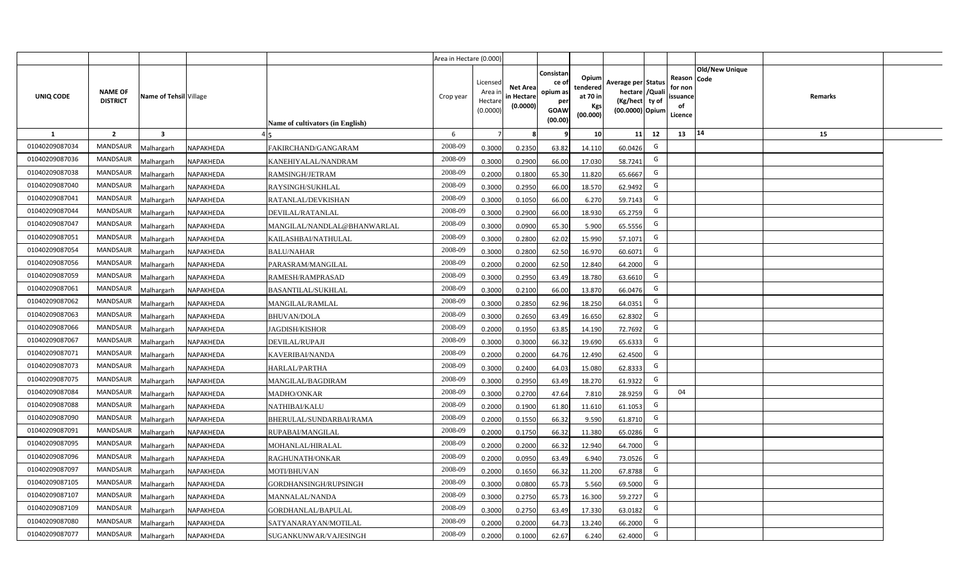|                  |                                   |                         |                                          | Area in Hectare (0.000) |                                            |                                           |                                                                |                                                  |                                                                            |    |                                                                             |         |  |
|------------------|-----------------------------------|-------------------------|------------------------------------------|-------------------------|--------------------------------------------|-------------------------------------------|----------------------------------------------------------------|--------------------------------------------------|----------------------------------------------------------------------------|----|-----------------------------------------------------------------------------|---------|--|
| <b>UNIQ CODE</b> | <b>NAME OF</b><br><b>DISTRICT</b> | Name of Tehsil Village  | <b>Name of cultivators (in English)</b>  | Crop year               | Licensed<br>Area in<br>Hectare<br>(0.0000) | <b>Net Area</b><br>in Hectare<br>(0.0000) | Consistan<br>ce o<br>opium as<br>per<br><b>GOAW</b><br>(00.00) | Opium<br>tendered<br>at 70 in<br>Kgs<br>(00.000) | Average per Status<br>hectare / Quali<br>(Kg/hect ty of<br>(00.0000) Opium |    | <b>Old/New Unique</b><br>Reason Code<br>for non<br>ssuance<br>of<br>Licence | Remarks |  |
| $\mathbf{1}$     | $\overline{2}$                    | $\overline{\mathbf{3}}$ |                                          | 6                       | $\overline{7}$                             | -8                                        | ٩                                                              | 10                                               | 11                                                                         | 12 | 14<br>13                                                                    | 15      |  |
| 01040209087034   | MANDSAUR                          | <b>Malhargarh</b>       | NAPAKHEDA<br>FAKIRCHAND/GANGARAM         | 2008-09                 | 0.3000                                     | 0.2350                                    | 63.82                                                          | 14.110                                           | 60.0426                                                                    | G  |                                                                             |         |  |
| 01040209087036   | <b>MANDSAUR</b>                   | <b>Malhargarh</b>       | NAPAKHEDA<br>KANEHIYALAL/NANDRAM         | 2008-09                 | 0.3000                                     | 0.2900                                    | 66.00                                                          | 17.030                                           | 58.7241                                                                    | G  |                                                                             |         |  |
| 01040209087038   | <b>MANDSAUR</b>                   | <b>Malhargarh</b>       | NAPAKHEDA<br>RAMSINGH/JETRAM             | 2008-09                 | 0.2000                                     | 0.1800                                    | 65.30                                                          | 11.820                                           | 65.6667                                                                    | G  |                                                                             |         |  |
| 01040209087040   | <b>MANDSAUR</b>                   | <b>Malhargarh</b>       | NAPAKHEDA<br>RAYSINGH/SUKHLAL            | 2008-09                 | 0.3000                                     | 0.2950                                    | 66.00                                                          | 18.570                                           | 62.9492                                                                    | G  |                                                                             |         |  |
| 01040209087041   | <b>MANDSAUR</b>                   | <b>Malhargarh</b>       | NAPAKHEDA<br>RATANLAL/DEVKISHAN          | 2008-09                 | 0.3000                                     | 0.1050                                    | 66.00                                                          | 6.270                                            | 59.7143                                                                    | G  |                                                                             |         |  |
| 01040209087044   | <b>MANDSAUR</b>                   | <b>Malhargarh</b>       | NAPAKHEDA<br>DEVILAL/RATANLAL            | 2008-09                 | 0.3000                                     | 0.2900                                    | 66.00                                                          | 18.930                                           | 65.2759                                                                    | G  |                                                                             |         |  |
| 01040209087047   | <b>MANDSAUR</b>                   | <b>Malhargarh</b>       | NAPAKHEDA<br>MANGILAL/NANDLAL@BHANWARLAL | 2008-09                 | 0.3000                                     | 0.0900                                    | 65.30                                                          | 5.900                                            | 65.5556                                                                    | G  |                                                                             |         |  |
| 01040209087051   | <b>MANDSAUR</b>                   | <b>Malhargarh</b>       | NAPAKHEDA<br>KAILASHBAI/NATHULAL         | 2008-09                 | 0.3000                                     | 0.2800                                    | 62.02                                                          | 15.990                                           | 57.1071                                                                    | G  |                                                                             |         |  |
| 01040209087054   | <b>MANDSAUR</b>                   | <b>Malhargarh</b>       | <b>BALU/NAHAR</b><br>NAPAKHEDA           | 2008-09                 | 0.3000                                     | 0.2800                                    | 62.50                                                          | 16.970                                           | 60.6071                                                                    | G  |                                                                             |         |  |
| 01040209087056   | <b>MANDSAUR</b>                   | <b>Malhargarh</b>       | NAPAKHEDA<br>PARASRAM/MANGILAL           | 2008-09                 | 0.2000                                     | 0.2000                                    | 62.50                                                          | 12.840                                           | 64.2000                                                                    | G  |                                                                             |         |  |
| 01040209087059   | <b>MANDSAUR</b>                   | <b>Malhargarh</b>       | NAPAKHEDA<br>RAMESH/RAMPRASAD            | 2008-09                 | 0.3000                                     | 0.2950                                    | 63.49                                                          | 18.780                                           | 63.6610                                                                    | G  |                                                                             |         |  |
| 01040209087061   | <b>MANDSAUR</b>                   | <b>Malhargarh</b>       | NAPAKHEDA<br><b>BASANTILAL/SUKHLAL</b>   | 2008-09                 | 0.3000                                     | 0.2100                                    | 66.00                                                          | 13.870                                           | 66.0476                                                                    | G  |                                                                             |         |  |
| 01040209087062   | <b>MANDSAUR</b>                   | <b>Malhargarh</b>       | NAPAKHEDA<br>MANGILAL/RAMLAL             | 2008-09                 | 0.3000                                     | 0.2850                                    | 62.96                                                          | 18.250                                           | 64.0351                                                                    | G  |                                                                             |         |  |
| 01040209087063   | <b>MANDSAUR</b>                   | Malhargarh              | NAPAKHEDA<br><b>BHUVAN/DOLA</b>          | 2008-09                 | 0.3000                                     | 0.2650                                    | 63.49                                                          | 16.650                                           | 62.8302                                                                    | G  |                                                                             |         |  |
| 01040209087066   | <b>MANDSAUR</b>                   | Malhargarh              | NAPAKHEDA<br><b>JAGDISH/KISHOR</b>       | 2008-09                 | 0.2000                                     | 0.1950                                    | 63.85                                                          | 14.190                                           | 72.7692                                                                    | G  |                                                                             |         |  |
| 01040209087067   | MANDSAUR                          | Malhargarh              | NAPAKHEDA<br>DEVILAL/RUPAJI              | 2008-09                 | 0.3000                                     | 0.3000                                    | 66.32                                                          | 19.690                                           | 65.6333                                                                    | G  |                                                                             |         |  |
| 01040209087071   | <b>MANDSAUR</b>                   | <b>Malhargarh</b>       | NAPAKHEDA<br>KAVERIBAI/NANDA             | 2008-09                 | 0.2000                                     | 0.2000                                    | 64.76                                                          | 12.490                                           | 62.4500                                                                    | G  |                                                                             |         |  |
| 01040209087073   | MANDSAUR                          | <b>Malhargarh</b>       | NAPAKHEDA<br>HARLAL/PARTHA               | 2008-09                 | 0.3000                                     | 0.2400                                    | 64.03                                                          | 15.080                                           | 62.8333                                                                    | G  |                                                                             |         |  |
| 01040209087075   | <b>MANDSAUR</b>                   | <b>Malhargarh</b>       | NAPAKHEDA<br>MANGILAL/BAGDIRAM           | 2008-09                 | 0.3000                                     | 0.2950                                    | 63.49                                                          | 18.270                                           | 61.9322                                                                    | G  |                                                                             |         |  |
| 01040209087084   | <b>MANDSAUR</b>                   | Malhargarh              | NAPAKHEDA<br><b>MADHO/ONKAR</b>          | 2008-09                 | 0.3000                                     | 0.2700                                    | 47.64                                                          | 7.810                                            | 28.9259                                                                    | G  | 04                                                                          |         |  |
| 01040209087088   | MANDSAUR                          | <b>Malhargarh</b>       | NAPAKHEDA<br>NATHIBAI/KALU               | 2008-09                 | 0.2000                                     | 0.1900                                    | 61.80                                                          | 11.610                                           | 61.1053                                                                    | G  |                                                                             |         |  |
| 01040209087090   | MANDSAUR                          | <b>Malhargarh</b>       | NAPAKHEDA<br>BHERULAL/SUNDARBAI/RAMA     | 2008-09                 | 0.2000                                     | 0.1550                                    | 66.32                                                          | 9.590                                            | 61.8710                                                                    | G  |                                                                             |         |  |
| 01040209087091   | MANDSAUR                          | Aalhargarh              | NAPAKHEDA<br>RUPABAI/MANGILAL            | 2008-09                 | 0.2000                                     | 0.1750                                    | 66.32                                                          | 11.380                                           | 65.0286                                                                    | G  |                                                                             |         |  |
| 01040209087095   | <b>MANDSAUR</b>                   | <b>Malhargarh</b>       | NAPAKHEDA<br>MOHANLAL/HIRALAL            | 2008-09                 | 0.2000                                     | 0.2000                                    | 66.32                                                          | 12.940                                           | 64.7000                                                                    | G  |                                                                             |         |  |
| 01040209087096   | <b>MANDSAUR</b>                   | <b>Malhargarh</b>       | NAPAKHEDA<br>RAGHUNATH/ONKAR             | 2008-09                 | 0.2000                                     | 0.0950                                    | 63.49                                                          | 6.940                                            | 73.0526                                                                    | G  |                                                                             |         |  |
| 01040209087097   | MANDSAUR                          | <b>Malhargarh</b>       | NAPAKHEDA<br>MOTI/BHUVAN                 | 2008-09                 | 0.2000                                     | 0.1650                                    | 66.32                                                          | 11.200                                           | 67.8788                                                                    | G  |                                                                             |         |  |
| 01040209087105   | <b>MANDSAUR</b>                   | <b>Malhargarh</b>       | NAPAKHEDA<br>GORDHANSINGH/RUPSINGH       | 2008-09                 | 0.3000                                     | 0.0800                                    | 65.73                                                          | 5.560                                            | 69.5000                                                                    | G  |                                                                             |         |  |
| 01040209087107   | <b>MANDSAUR</b>                   | <b>Malhargarh</b>       | NAPAKHEDA<br>MANNALAL/NANDA              | 2008-09                 | 0.3000                                     | 0.2750                                    | 65.73                                                          | 16.300                                           | 59.2727                                                                    | G  |                                                                             |         |  |
| 01040209087109   | <b>MANDSAUR</b>                   | <b>Malhargarh</b>       | NAPAKHEDA<br>GORDHANLAL/BAPULAL          | 2008-09                 | 0.3000                                     | 0.2750                                    | 63.49                                                          | 17.330                                           | 63.0182                                                                    | G  |                                                                             |         |  |
| 01040209087080   | <b>MANDSAUR</b>                   | <b>Malhargarh</b>       | NAPAKHEDA<br>SATYANARAYAN/MOTILAL        | 2008-09                 | 0.2000                                     | 0.2000                                    | 64.73                                                          | 13.240                                           | 66.2000                                                                    | G  |                                                                             |         |  |
| 01040209087077   | MANDSAUR                          | Malhargarh              | NAPAKHEDA<br>SUGANKUNWAR/VAJESINGH       | 2008-09                 | 0.2000                                     | 0.1000                                    | 62.67                                                          | 6.240                                            | 62.4000                                                                    | G  |                                                                             |         |  |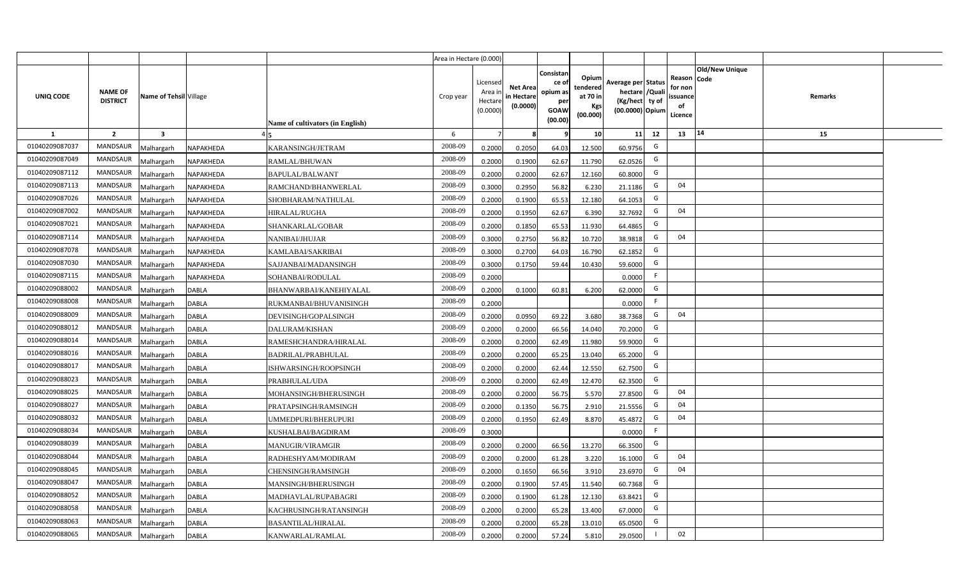|                |                                   |                         |              |                                  | Area in Hectare (0.000) |                                           |                                           |                                                                |                                                  |                                                                            |                |                                                     |                       |         |  |
|----------------|-----------------------------------|-------------------------|--------------|----------------------------------|-------------------------|-------------------------------------------|-------------------------------------------|----------------------------------------------------------------|--------------------------------------------------|----------------------------------------------------------------------------|----------------|-----------------------------------------------------|-----------------------|---------|--|
| UNIQ CODE      | <b>NAME OF</b><br><b>DISTRICT</b> | Name of Tehsil Village  |              | Name of cultivators (in English) | Crop year               | Licensed<br>Area i<br>Hectare<br>(0.0000) | <b>Net Area</b><br>in Hectare<br>(0.0000) | Consistan<br>ce o<br>opium as<br>per<br><b>GOAW</b><br>(00.00) | Opium<br>tendered<br>at 70 in<br>Kgs<br>(00.000) | Average per Status<br>hectare / Quali<br>(Kg/hect ty of<br>(00.0000) Opium |                | Reason Code<br>for non<br>issuance<br>of<br>Licence | <b>Old/New Unique</b> | Remarks |  |
| 1              | $\overline{2}$                    | $\overline{\mathbf{3}}$ |              |                                  | 6                       | 7                                         |                                           |                                                                | 10 <sup>1</sup>                                  | 11                                                                         | 12             | 13                                                  | 14                    | 15      |  |
| 01040209087037 | <b>MANDSAUR</b>                   | Malhargarh              | NAPAKHEDA    | KARANSINGH/JETRAM                | 2008-09                 | 0.2000                                    | 0.2050                                    | 64.03                                                          | 12.500                                           | 60.9756                                                                    | G              |                                                     |                       |         |  |
| 01040209087049 | MANDSAUR                          | Malhargarh              | NAPAKHEDA    | RAMLAL/BHUWAN                    | 2008-09                 | 0.2000                                    | 0.1900                                    | 62.67                                                          | 11.790                                           | 62.0526                                                                    | G              |                                                     |                       |         |  |
| 01040209087112 | <b>MANDSAUR</b>                   | Malhargarh              | NAPAKHEDA    | BAPULAL/BALWANT                  | 2008-09                 | 0.2000                                    | 0.2000                                    | 62.67                                                          | 12.160                                           | 60.8000                                                                    | G              |                                                     |                       |         |  |
| 01040209087113 | <b>MANDSAUR</b>                   | Malhargarh              | NAPAKHEDA    | RAMCHAND/BHANWERLAL              | 2008-09                 | 0.3000                                    | 0.2950                                    | 56.82                                                          | 6.230                                            | 21.1186                                                                    | G              | 04                                                  |                       |         |  |
| 01040209087026 | <b>MANDSAUR</b>                   | Malhargarh              | NAPAKHEDA    | SHOBHARAM/NATHULAL               | 2008-09                 | 0.2000                                    | 0.1900                                    | 65.53                                                          | 12.180                                           | 64.1053                                                                    | G              |                                                     |                       |         |  |
| 01040209087002 | <b>MANDSAUR</b>                   | Malhargarh              | NAPAKHEDA    | <b>HIRALAL/RUGHA</b>             | 2008-09                 | 0.2000                                    | 0.1950                                    | 62.67                                                          | 6.390                                            | 32.7692                                                                    | G              | 04                                                  |                       |         |  |
| 01040209087021 | <b>MANDSAUR</b>                   | Malhargarh              | NAPAKHEDA    | SHANKARLAL/GOBAR                 | 2008-09                 | 0.2000                                    | 0.1850                                    | 65.53                                                          | 11.930                                           | 64.4865                                                                    | G              |                                                     |                       |         |  |
| 01040209087114 | MANDSAUR                          | Malhargarh              | NAPAKHEDA    | <b>NANIBAI/JHUJAR</b>            | 2008-09                 | 0.3000                                    | 0.2750                                    | 56.82                                                          | 10.720                                           | 38.9818                                                                    | G              | 04                                                  |                       |         |  |
| 01040209087078 | MANDSAUR                          | Malhargarh              | NAPAKHEDA    | KAMLABAI/SAKRIBAI                | 2008-09                 | 0.3000                                    | 0.2700                                    | 64.03                                                          | 16.790                                           | 62.1852                                                                    | G              |                                                     |                       |         |  |
| 01040209087030 | MANDSAUR                          | Malhargarh              | NAPAKHEDA    | SAJJANBAI/MADANSINGH             | 2008-09                 | 0.3000                                    | 0.1750                                    | 59.44                                                          | 10.430                                           | 59.6000                                                                    | G              |                                                     |                       |         |  |
| 01040209087115 | MANDSAUR                          | Malhargarh              | NAPAKHEDA    | SOHANBAI/RODULAL                 | 2008-09                 | 0.2000                                    |                                           |                                                                |                                                  | 0.0000                                                                     | F.             |                                                     |                       |         |  |
| 01040209088002 | MANDSAUR                          | Malhargarh              | <b>DABLA</b> | BHANWARBAI/KANEHIYALAL           | 2008-09                 | 0.2000                                    | 0.1000                                    | 60.81                                                          | 6.200                                            | 62.0000                                                                    | G              |                                                     |                       |         |  |
| 01040209088008 | MANDSAUR                          | Malhargarh              | <b>DABLA</b> | RUKMANBAI/BHUVANISINGH           | 2008-09                 | 0.2000                                    |                                           |                                                                |                                                  | 0.0000                                                                     | F              |                                                     |                       |         |  |
| 01040209088009 | MANDSAUR                          | Malhargarh              | <b>DABLA</b> | DEVISINGH/GOPALSINGH             | 2008-09                 | 0.2000                                    | 0.0950                                    | 69.22                                                          | 3.680                                            | 38.7368                                                                    | G              | 04                                                  |                       |         |  |
| 01040209088012 | MANDSAUR                          | Malhargarh              | <b>DABLA</b> | DALURAM/KISHAN                   | 2008-09                 | 0.2000                                    | 0.2000                                    | 66.56                                                          | 14.040                                           | 70.2000                                                                    | G              |                                                     |                       |         |  |
| 01040209088014 | <b>MANDSAUR</b>                   | Malhargarh              | <b>DABLA</b> | RAMESHCHANDRA/HIRALAL            | 2008-09                 | 0.2000                                    | 0.2000                                    | 62.49                                                          | 11.980                                           | 59.9000                                                                    | G              |                                                     |                       |         |  |
| 01040209088016 | MANDSAUR                          | Malhargarh              | <b>DABLA</b> | <b>BADRILAL/PRABHULAL</b>        | 2008-09                 | 0.2000                                    | 0.2000                                    | 65.25                                                          | 13.040                                           | 65.2000                                                                    | G              |                                                     |                       |         |  |
| 01040209088017 | MANDSAUR                          | Malhargarh              | <b>DABLA</b> | ISHWARSINGH/ROOPSINGH            | 2008-09                 | 0.2000                                    | 0.2000                                    | 62.44                                                          | 12.550                                           | 62.7500                                                                    | G              |                                                     |                       |         |  |
| 01040209088023 | MANDSAUR                          | Malhargarh              | <b>DABLA</b> | PRABHULAL/UDA                    | 2008-09                 | 0.2000                                    | 0.2000                                    | 62.49                                                          | 12.470                                           | 62.3500                                                                    | G              |                                                     |                       |         |  |
| 01040209088025 | MANDSAUR                          | Malhargarh              | <b>DABLA</b> | MOHANSINGH/BHERUSINGH            | 2008-09                 | 0.2000                                    | 0.2000                                    | 56.75                                                          | 5.570                                            | 27.8500                                                                    | G              | 04                                                  |                       |         |  |
| 01040209088027 | MANDSAUR                          | Malhargarh              | <b>DABLA</b> | PRATAPSINGH/RAMSINGH             | 2008-09                 | 0.2000                                    | 0.1350                                    | 56.75                                                          | 2.910                                            | 21.5556                                                                    | G              | 04                                                  |                       |         |  |
| 01040209088032 | MANDSAUR                          | Malhargarh              | <b>DABLA</b> | UMMEDPURI/BHERUPURI              | 2008-09                 | 0.2000                                    | 0.1950                                    | 62.49                                                          | 8.870                                            | 45.4872                                                                    | G              | 04                                                  |                       |         |  |
| 01040209088034 | MANDSAUR                          | Malhargarh              | <b>DABLA</b> | KUSHALBAI/BAGDIRAM               | 2008-09                 | 0.3000                                    |                                           |                                                                |                                                  | 0.0000                                                                     | F              |                                                     |                       |         |  |
| 01040209088039 | MANDSAUR                          | Malhargarh              | <b>DABLA</b> | MANUGIR/VIRAMGIR                 | 2008-09                 | 0.2000                                    | 0.2000                                    | 66.56                                                          | 13.270                                           | 66.3500                                                                    | G              |                                                     |                       |         |  |
| 01040209088044 | MANDSAUR                          | Malhargarh              | <b>DABLA</b> | RADHESHYAM/MODIRAM               | 2008-09                 | 0.2000                                    | 0.2000                                    | 61.28                                                          | 3.220                                            | 16.1000                                                                    | G              | 04                                                  |                       |         |  |
| 01040209088045 | MANDSAUR                          | Malhargarh              | <b>DABLA</b> | CHENSINGH/RAMSINGH               | 2008-09                 | 0.2000                                    | 0.1650                                    | 66.56                                                          | 3.910                                            | 23.6970                                                                    | G              | 04                                                  |                       |         |  |
| 01040209088047 | MANDSAUR                          | Malhargarh              | <b>DABLA</b> | MANSINGH/BHERUSINGH              | 2008-09                 | 0.2000                                    | 0.1900                                    | 57.45                                                          | 11.540                                           | 60.7368                                                                    | G              |                                                     |                       |         |  |
| 01040209088052 | MANDSAUR                          | Malhargarh              | <b>DABLA</b> | MADHAVLAL/RUPABAGRI              | 2008-09                 | 0.2000                                    | 0.1900                                    | 61.28                                                          | 12.130                                           | 63.8421                                                                    | G              |                                                     |                       |         |  |
| 01040209088058 | MANDSAUR                          | Malhargarh              | <b>DABLA</b> | KACHRUSINGH/RATANSINGH           | 2008-09                 | 0.2000                                    | 0.2000                                    | 65.28                                                          | 13.400                                           | 67.0000                                                                    | G              |                                                     |                       |         |  |
| 01040209088063 | MANDSAUR                          | Malhargarh              | <b>DABLA</b> | <b>BASANTILAL/HIRALAL</b>        | 2008-09                 | 0.2000                                    | 0.2000                                    | 65.28                                                          | 13.010                                           | 65.0500                                                                    | G              |                                                     |                       |         |  |
| 01040209088065 | <b>MANDSAUR</b>                   | Malhargarh              | <b>DABLA</b> | KANWARLAL/RAMLAL                 | 2008-09                 | 0.2000                                    | 0.2000                                    | 57.24                                                          | 5.810                                            | 29.0500                                                                    | $\overline{1}$ | 02                                                  |                       |         |  |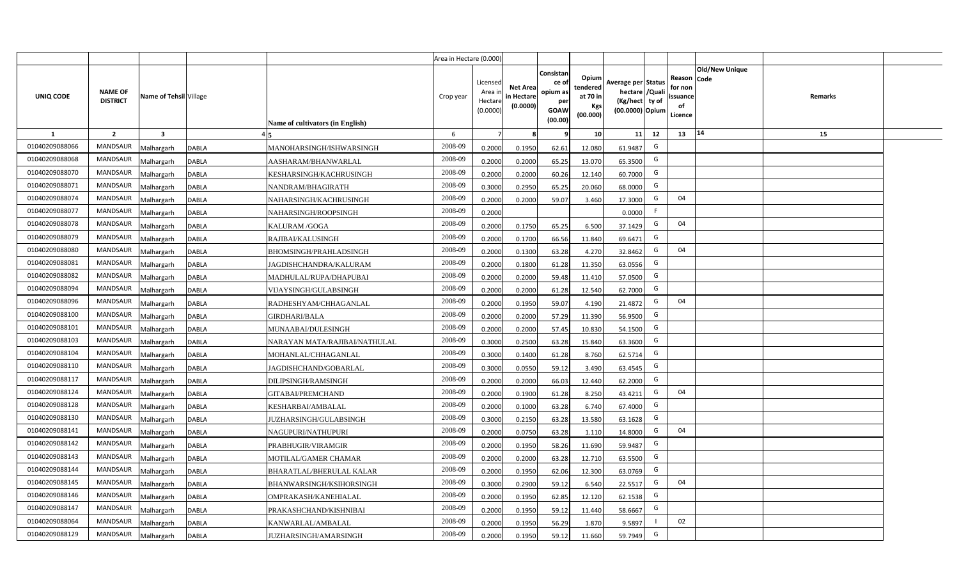|                |                                   |                         |              |                                         | Area in Hectare (0.000) |                                           |                                           |                                                                |                                                  |                                                                            |    |                                                     |                       |         |  |
|----------------|-----------------------------------|-------------------------|--------------|-----------------------------------------|-------------------------|-------------------------------------------|-------------------------------------------|----------------------------------------------------------------|--------------------------------------------------|----------------------------------------------------------------------------|----|-----------------------------------------------------|-----------------------|---------|--|
| UNIQ CODE      | <b>NAME OF</b><br><b>DISTRICT</b> | Name of Tehsil Village  |              | <b>Name of cultivators (in English)</b> | Crop year               | Licensed<br>Area i<br>Hectare<br>(0.0000) | <b>Net Area</b><br>in Hectare<br>(0.0000) | Consistan<br>ce o<br>opium as<br>per<br><b>GOAW</b><br>(00.00) | Opium<br>tendered<br>at 70 in<br>Kgs<br>(00.000) | Average per Status<br>hectare / Quali<br>(Kg/hect ty of<br>(00.0000) Opium |    | Reason Code<br>for non<br>issuance<br>of<br>Licence | <b>Old/New Unique</b> | Remarks |  |
| 1              | $\overline{2}$                    | $\overline{\mathbf{3}}$ |              |                                         | 6                       | $\overline{7}$                            |                                           | 9                                                              | 10 <sup>1</sup>                                  | 11                                                                         | 12 | 13                                                  | 14                    | 15      |  |
| 01040209088066 | <b>MANDSAUR</b>                   | Malhargarh              | <b>DABLA</b> | MANOHARSINGH/ISHWARSINGH                | 2008-09                 | 0.2000                                    | 0.1950                                    | 62.61                                                          | 12.080                                           | 61.9487                                                                    | G  |                                                     |                       |         |  |
| 01040209088068 | <b>MANDSAUR</b>                   | Malhargarh              | <b>DABLA</b> | AASHARAM/BHANWARLAL                     | 2008-09                 | 0.2000                                    | 0.2000                                    | 65.25                                                          | 13.070                                           | 65.3500                                                                    | G  |                                                     |                       |         |  |
| 01040209088070 | <b>MANDSAUR</b>                   | Malhargarh              | <b>DABLA</b> | KESHARSINGH/KACHRUSINGH                 | 2008-09                 | 0.2000                                    | 0.2000                                    | 60.26                                                          | 12.140                                           | 60.7000                                                                    | G  |                                                     |                       |         |  |
| 01040209088071 | <b>MANDSAUR</b>                   | Malhargarh              | <b>DABLA</b> | NANDRAM/BHAGIRATH                       | 2008-09                 | 0.3000                                    | 0.2950                                    | 65.25                                                          | 20.060                                           | 68.0000                                                                    | G  |                                                     |                       |         |  |
| 01040209088074 | <b>MANDSAUR</b>                   | Malhargarh              | <b>DABLA</b> | NAHARSINGH/KACHRUSINGH                  | 2008-09                 | 0.2000                                    | 0.2000                                    | 59.07                                                          | 3.460                                            | 17.3000                                                                    | G  | 04                                                  |                       |         |  |
| 01040209088077 | MANDSAUR                          | Malhargarh              | <b>DABLA</b> | NAHARSINGH/ROOPSINGH                    | 2008-09                 | 0.2000                                    |                                           |                                                                |                                                  | 0.0000                                                                     | F  |                                                     |                       |         |  |
| 01040209088078 | MANDSAUR                          | Malhargarh              | <b>DABLA</b> | KALURAM /GOGA                           | 2008-09                 | 0.2000                                    | 0.1750                                    | 65.25                                                          | 6.500                                            | 37.1429                                                                    | G  | 04                                                  |                       |         |  |
| 01040209088079 | MANDSAUR                          | Malhargarh              | <b>DABLA</b> | RAJIBAI/KALUSINGH                       | 2008-09                 | 0.2000                                    | 0.1700                                    | 66.56                                                          | 11.840                                           | 69.6471                                                                    | G  |                                                     |                       |         |  |
| 01040209088080 | MANDSAUR                          | Malhargarh              | <b>DABLA</b> | BHOMSINGH/PRAHLADSINGH                  | 2008-09                 | 0.2000                                    | 0.1300                                    | 63.28                                                          | 4.270                                            | 32.8462                                                                    | G  | 04                                                  |                       |         |  |
| 01040209088081 | MANDSAUR                          | Malhargarh              | <b>DABLA</b> | JAGDISHCHANDRA/KALURAM                  | 2008-09                 | 0.2000                                    | 0.1800                                    | 61.28                                                          | 11.350                                           | 63.0556                                                                    | G  |                                                     |                       |         |  |
| 01040209088082 | MANDSAUR                          | Malhargarh              | <b>DABLA</b> | MADHULAL/RUPA/DHAPUBAI                  | 2008-09                 | 0.2000                                    | 0.2000                                    | 59.48                                                          | 11.410                                           | 57.0500                                                                    | G  |                                                     |                       |         |  |
| 01040209088094 | MANDSAUR                          | Malhargarh              | <b>DABLA</b> | VIJAYSINGH/GULABSINGH                   | 2008-09                 | 0.2000                                    | 0.2000                                    | 61.28                                                          | 12.540                                           | 62.7000                                                                    | G  |                                                     |                       |         |  |
| 01040209088096 | MANDSAUR                          | Malhargarh              | <b>DABLA</b> | RADHESHYAM/CHHAGANLAL                   | 2008-09                 | 0.2000                                    | 0.1950                                    | 59.07                                                          | 4.190                                            | 21.4872                                                                    | G  | 04                                                  |                       |         |  |
| 01040209088100 | MANDSAUR                          | Malhargarh              | DABLA        | <b>GIRDHARI/BALA</b>                    | 2008-09                 | 0.2000                                    | 0.2000                                    | 57.29                                                          | 11.390                                           | 56.9500                                                                    | G  |                                                     |                       |         |  |
| 01040209088101 | MANDSAUR                          | Malhargarh              | <b>DABLA</b> | MUNAABAI/DULESINGH                      | 2008-09                 | 0.2000                                    | 0.2000                                    | 57.45                                                          | 10.830                                           | 54.1500                                                                    | G  |                                                     |                       |         |  |
| 01040209088103 | MANDSAUR                          | Malhargarh              | <b>DABLA</b> | NARAYAN MATA/RAJIBAI/NATHULAL           | 2008-09                 | 0.3000                                    | 0.2500                                    | 63.28                                                          | 15.840                                           | 63.3600                                                                    | G  |                                                     |                       |         |  |
| 01040209088104 | MANDSAUR                          | Malhargarh              | <b>DABLA</b> | MOHANLAL/CHHAGANLAL                     | 2008-09                 | 0.3000                                    | 0.1400                                    | 61.28                                                          | 8.760                                            | 62.5714                                                                    | G  |                                                     |                       |         |  |
| 01040209088110 | MANDSAUR                          | Malhargarh              | <b>DABLA</b> | JAGDISHCHAND/GOBARLAL                   | 2008-09                 | 0.3000                                    | 0.0550                                    | 59.12                                                          | 3.490                                            | 63.4545                                                                    | G  |                                                     |                       |         |  |
| 01040209088117 | MANDSAUR                          | Malhargarh              | <b>DABLA</b> | DILIPSINGH/RAMSINGH                     | 2008-09                 | 0.2000                                    | 0.2000                                    | 66.03                                                          | 12.440                                           | 62.2000                                                                    | G  |                                                     |                       |         |  |
| 01040209088124 | MANDSAUR                          | Malhargarh              | <b>DABLA</b> | GITABAI/PREMCHAND                       | 2008-09                 | 0.2000                                    | 0.1900                                    | 61.28                                                          | 8.250                                            | 43.4211                                                                    | G  | 04                                                  |                       |         |  |
| 01040209088128 | MANDSAUR                          | Malhargarh              | <b>DABLA</b> | KESHARBAI/AMBALAL                       | 2008-09                 | 0.2000                                    | 0.1000                                    | 63.28                                                          | 6.740                                            | 67.4000                                                                    | G  |                                                     |                       |         |  |
| 01040209088130 | MANDSAUR                          | Malhargarh              | <b>DABLA</b> | JUZHARSINGH/GULABSINGH                  | 2008-09                 | 0.3000                                    | 0.2150                                    | 63.28                                                          | 13.580                                           | 63.1628                                                                    | G  |                                                     |                       |         |  |
| 01040209088141 | MANDSAUR                          | Malhargarh              | <b>DABLA</b> | NAGUPURI/NATHUPURI                      | 2008-09                 | 0.2000                                    | 0.0750                                    | 63.28                                                          | 1.110                                            | 14.8000                                                                    | G  | 04                                                  |                       |         |  |
| 01040209088142 | MANDSAUR                          | Malhargarh              | <b>DABLA</b> | PRABHUGIR/VIRAMGIR                      | 2008-09                 | 0.2000                                    | 0.1950                                    | 58.26                                                          | 11.690                                           | 59.9487                                                                    | G  |                                                     |                       |         |  |
| 01040209088143 | MANDSAUR                          | Malhargarh              | <b>DABLA</b> | MOTILAL/GAMER CHAMAR                    | 2008-09                 | 0.2000                                    | 0.2000                                    | 63.28                                                          | 12.710                                           | 63.5500                                                                    | G  |                                                     |                       |         |  |
| 01040209088144 | MANDSAUR                          | Malhargarh              | <b>DABLA</b> | <b>BHARATLAL/BHERULAL KALAR</b>         | 2008-09                 | 0.2000                                    | 0.1950                                    | 62.06                                                          | 12.300                                           | 63.0769                                                                    | G  |                                                     |                       |         |  |
| 01040209088145 | MANDSAUR                          | Malhargarh              | <b>DABLA</b> | BHANWARSINGH/KSIHORSINGH                | 2008-09                 | 0.3000                                    | 0.2900                                    | 59.12                                                          | 6.540                                            | 22.5517                                                                    | G  | 04                                                  |                       |         |  |
| 01040209088146 | MANDSAUR                          | Malhargarh              | <b>DABLA</b> | OMPRAKASH/KANEHIALAL                    | 2008-09                 | 0.2000                                    | 0.1950                                    | 62.85                                                          | 12.120                                           | 62.1538                                                                    | G  |                                                     |                       |         |  |
| 01040209088147 | MANDSAUR                          | Malhargarh              | <b>DABLA</b> | PRAKASHCHAND/KISHNIBAI                  | 2008-09                 | 0.2000                                    | 0.1950                                    | 59.12                                                          | 11.440                                           | 58.6667                                                                    | G  |                                                     |                       |         |  |
| 01040209088064 | MANDSAUR                          | Malhargarh              | <b>DABLA</b> | KANWARLAL/AMBALAL                       | 2008-09                 | 0.2000                                    | 0.1950                                    | 56.29                                                          | 1.870                                            | 9.5897                                                                     |    | 02                                                  |                       |         |  |
| 01040209088129 | MANDSAUR                          | Malhargarh              | <b>DABLA</b> | <b>JUZHARSINGH/AMARSINGH</b>            | 2008-09                 | 0.2000                                    | 0.1950                                    | 59.12                                                          | 11.660                                           | 59.7949                                                                    | G  |                                                     |                       |         |  |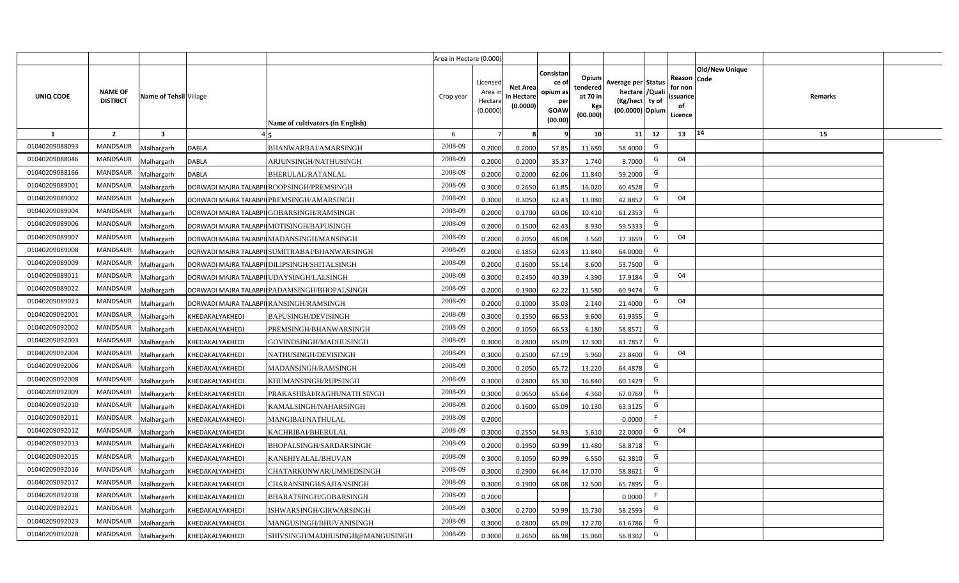|                |                                   |                        |                 |                                               | Area in Hectare (0.000) |                                           |                                           |                                                                 |                                                  |                                                                           |                                                    |                       |         |  |
|----------------|-----------------------------------|------------------------|-----------------|-----------------------------------------------|-------------------------|-------------------------------------------|-------------------------------------------|-----------------------------------------------------------------|--------------------------------------------------|---------------------------------------------------------------------------|----------------------------------------------------|-----------------------|---------|--|
| UNIQ CODE      | <b>NAME OF</b><br><b>DISTRICT</b> | Name of Tehsil Village |                 | Name of cultivators (in English)              | Crop year               | Licensed<br>Area i<br>Hectare<br>(0.0000) | <b>Net Area</b><br>in Hectare<br>(0.0000) | Consistan<br>ce of<br>opium as<br>per<br><b>GOAW</b><br>(00.00) | Opium<br>tendered<br>at 70 in<br>Kgs<br>(00.000) | Average per Status<br>hectare /Quali<br>(Kg/hect ty of<br>(00.0000) Opium | Reason Code<br>for non<br>ssuance<br>of<br>Licence | <b>Old/New Unique</b> | Remarks |  |
| $\mathbf{1}$   | $\overline{2}$                    | 3                      |                 |                                               | 6                       | $\overline{7}$                            | 8                                         | 9                                                               | 10 <sup>1</sup>                                  | 11<br>12                                                                  | 13                                                 | 14                    | 15      |  |
| 01040209088093 | MANDSAUR                          | <b>Aalhargarh</b>      | <b>DABLA</b>    | BHANWARBAI/AMARSINGH                          | 2008-09                 | 0.2000                                    | 0.2000                                    | 57.85                                                           | 11.680                                           | G<br>58.4000                                                              |                                                    |                       |         |  |
| 01040209088046 | <b>MANDSAUR</b>                   | <b>Aalhargarh</b>      | <b>DABLA</b>    | ARJUNSINGH/NATHUSINGH                         | 2008-09                 | 0.2000                                    | 0.2000                                    | 35.37                                                           | 1.740                                            | G<br>8.7000                                                               | 04                                                 |                       |         |  |
| 01040209088166 | MANDSAUR                          | Malhargarh             | <b>DABLA</b>    | BHERULAL/RATANLAL                             | 2008-09                 | 0.2000                                    | 0.2000                                    | 62.06                                                           | 11.840                                           | G<br>59.2000                                                              |                                                    |                       |         |  |
| 01040209089001 | MANDSAUR                          | Malhargarh             |                 | DORWADI MAJRA TALABPII ROOPSINGH/PREMSINGH    | 2008-09                 | 0.3000                                    | 0.2650                                    | 61.85                                                           | 16.020                                           | G<br>60.4528                                                              |                                                    |                       |         |  |
| 01040209089002 | <b>MANDSAUR</b>                   | Malhargarh             |                 | DORWADI MAJRA TALABPILPREMSINGH/AMARSINGH     | 2008-09                 | 0.3000                                    | 0.3050                                    | 62.43                                                           | 13.080                                           | G<br>42.8852                                                              | 04                                                 |                       |         |  |
| 01040209089004 | <b>MANDSAUR</b>                   | Malhargarh             |                 | DORWADI MAJRA TALABPII GOBARSINGH/RAMSINGH    | 2008-09                 | 0.2000                                    | 0.1700                                    | 60.06                                                           | 10.410                                           | G<br>61.2353                                                              |                                                    |                       |         |  |
| 01040209089006 | <b>MANDSAUR</b>                   | Malhargarh             |                 | DORWADI MAJRA TALABPII MOTISINGH/BAPUSINGH    | 2008-09                 | 0.2000                                    | 0.1500                                    | 62.43                                                           | 8.930                                            | G<br>59.5333                                                              |                                                    |                       |         |  |
| 01040209089007 | <b>MANDSAUR</b>                   | Malhargarh             |                 | DORWADI MAJRA TALABPII MADANSINGH/MANSINGH    | 2008-09                 | 0.2000                                    | 0.2050                                    | 48.08                                                           | 3.560                                            | G<br>17.3659                                                              | 04                                                 |                       |         |  |
| 01040209089008 | <b>MANDSAUR</b>                   | Malhargarh             |                 | DORWADI MAJRA TALABPILSUMITRABAI/BHANWARSINGH | 2008-09                 | 0.2000                                    | 0.1850                                    | 62.43                                                           | 11.840                                           | G<br>64.0000                                                              |                                                    |                       |         |  |
| 01040209089009 | <b>MANDSAUR</b>                   | Malhargarh             |                 | DORWADI MAJRA TALABPI DILIPSINGH/SHITALSINGH  | 2008-09                 | 0.2000                                    | 0.1600                                    | 55.14                                                           | 8.600                                            | G<br>53.7500                                                              |                                                    |                       |         |  |
| 01040209089011 | <b>MANDSAUR</b>                   | Malhargarh             |                 | DORWADI MAJRA TALABPILUDAYSINGH/LALSINGH      | 2008-09                 | 0.3000                                    | 0.2450                                    | 40.39                                                           | 4.390                                            | G<br>17.9184                                                              | 04                                                 |                       |         |  |
| 01040209089022 | <b>MANDSAUR</b>                   | Malhargarh             |                 | DORWADI MAJRA TALABPI PADAMSINGH/BHOPALSINGH  | 2008-09                 | 0.2000                                    | 0.1900                                    | 62.22                                                           | 11.580                                           | G<br>60.9474                                                              |                                                    |                       |         |  |
| 01040209089023 | <b>MANDSAUR</b>                   | Malhargarh             |                 | DORWADI MAJRA TALABPILRANSINGH/RAMSINGH       | 2008-09                 | 0.2000                                    | 0.1000                                    | 35.03                                                           | 2.140                                            | G<br>21.4000                                                              | 04                                                 |                       |         |  |
| 01040209092001 | <b>MANDSAUR</b>                   | Malhargarh             | KHEDAKALYAKHEDI | BAPUSINGH/DEVISINGH                           | 2008-09                 | 0.3000                                    | 0.1550                                    | 66.53                                                           | 9.600                                            | G<br>61.9355                                                              |                                                    |                       |         |  |
| 01040209092002 | <b>MANDSAUR</b>                   | Malhargarh             | KHEDAKALYAKHEDI | PREMSINGH/BHANWARSINGH                        | 2008-09                 | 0.2000                                    | 0.1050                                    | 66.53                                                           | 6.180                                            | G<br>58.8571                                                              |                                                    |                       |         |  |
| 01040209092003 | <b>MANDSAUR</b>                   | Malhargarh             | KHEDAKALYAKHEDI | GOVINDSINGH/MADHUSINGH                        | 2008-09                 | 0.3000                                    | 0.2800                                    | 65.09                                                           | 17.300                                           | G<br>61.7857                                                              |                                                    |                       |         |  |
| 01040209092004 | <b>MANDSAUR</b>                   | Malhargarh             | KHEDAKALYAKHEDI | NATHUSINGH/DEVISINGH                          | 2008-09                 | 0.3000                                    | 0.2500                                    | 67.19                                                           | 5.960                                            | G<br>23.8400                                                              | 04                                                 |                       |         |  |
| 01040209092006 | <b>MANDSAUR</b>                   | Malhargarh             | KHEDAKALYAKHEDI | MADANSINGH/RAMSINGH                           | 2008-09                 | 0.2000                                    | 0.2050                                    | 65.72                                                           | 13.220                                           | G<br>64.4878                                                              |                                                    |                       |         |  |
| 01040209092008 | MANDSAUR                          | Malhargarh             | KHEDAKALYAKHEDI | KHUMANSINGH/RUPSINGH                          | 2008-09                 | 0.3000                                    | 0.2800                                    | 65.30                                                           | 16.840                                           | G<br>60.1429                                                              |                                                    |                       |         |  |
| 01040209092009 | MANDSAUR                          | Malhargarh             | KHEDAKALYAKHEDI | PRAKASHBAI/RAGHUNATH SINGH                    | 2008-09                 | 0.3000                                    | 0.0650                                    | 65.64                                                           | 4.360                                            | G<br>67.0769                                                              |                                                    |                       |         |  |
| 01040209092010 | MANDSAUR                          | Malhargarh             | KHEDAKALYAKHEDI | KAMALSINGH/NAHARSINGH                         | 2008-09                 | 0.2000                                    | 0.1600                                    | 65.09                                                           | 10.130                                           | G<br>63.3125                                                              |                                                    |                       |         |  |
| 01040209092011 | <b>MANDSAUR</b>                   | Malhargarh             | KHEDAKALYAKHEDI | MANGIBAI/NATHULAL                             | 2008-09                 | 0.2000                                    |                                           |                                                                 |                                                  | -F<br>0.0000                                                              |                                                    |                       |         |  |
| 01040209092012 | MANDSAUR                          | Malhargarh             | KHEDAKALYAKHEDI | KACHRIBAI/BHERULAL                            | 2008-09                 | 0.3000                                    | 0.2550                                    | 54.93                                                           | 5.610                                            | G<br>22.0000                                                              | 04                                                 |                       |         |  |
| 01040209092013 | MANDSAUR                          | Malhargarh             | KHEDAKALYAKHEDI | BHOPALSINGH/SARDARSINGH                       | 2008-09                 | 0.2000                                    | 0.1950                                    | 60.99                                                           | 11.480                                           | G<br>58.8718                                                              |                                                    |                       |         |  |
| 01040209092015 | MANDSAUR                          | Malhargarh             | KHEDAKALYAKHEDI | KANEHIYALAL/BHUVAN                            | 2008-09                 | 0.3000                                    | 0.1050                                    | 60.99                                                           | 6.550                                            | G<br>62.3810                                                              |                                                    |                       |         |  |
| 01040209092016 | MANDSAUR                          | Malhargarh             | KHEDAKALYAKHEDI | CHATARKUNWAR/UMMEDSINGH                       | 2008-09                 | 0.3000                                    | 0.2900                                    | 64.44                                                           | 17.070                                           | G<br>58.8621                                                              |                                                    |                       |         |  |
| 01040209092017 | MANDSAUR                          | Malhargarh             | KHEDAKALYAKHEDI | CHARANSINGH/SAJJANSINGH                       | 2008-09                 | 0.3000                                    | 0.1900                                    | 68.08                                                           | 12.500                                           | G<br>65.7895                                                              |                                                    |                       |         |  |
| 01040209092018 | MANDSAUR                          | Malhargarh             | KHEDAKALYAKHEDI | BHARATSINGH/GOBARSINGH                        | 2008-09                 | 0.2000                                    |                                           |                                                                 |                                                  | -F<br>0.0000                                                              |                                                    |                       |         |  |
| 01040209092021 | MANDSAUR                          | Malhargarh             | KHEDAKALYAKHEDI | ISHWARSINGH/GIRWARSINGH                       | 2008-09                 | 0.3000                                    | 0.2700                                    | 50.99                                                           | 15.730                                           | G<br>58.2593                                                              |                                                    |                       |         |  |
| 01040209092023 | MANDSAUR                          | Malhargarh             | KHEDAKALYAKHEDI | MANGUSINGH/BHUVANISINGH                       | 2008-09                 | 0.3000                                    | 0.2800                                    | 65.09                                                           | 17.270                                           | G<br>61.6786                                                              |                                                    |                       |         |  |
| 01040209092028 | <b>MANDSAUR</b>                   | Malhargarh             | KHEDAKALYAKHEDI | SHIVSINGH/MADHUSINGH@MANGUSINGH               | 2008-09                 | 0.3000                                    | 0.2650                                    | 66.98                                                           | 15.060                                           | G<br>56.8302                                                              |                                                    |                       |         |  |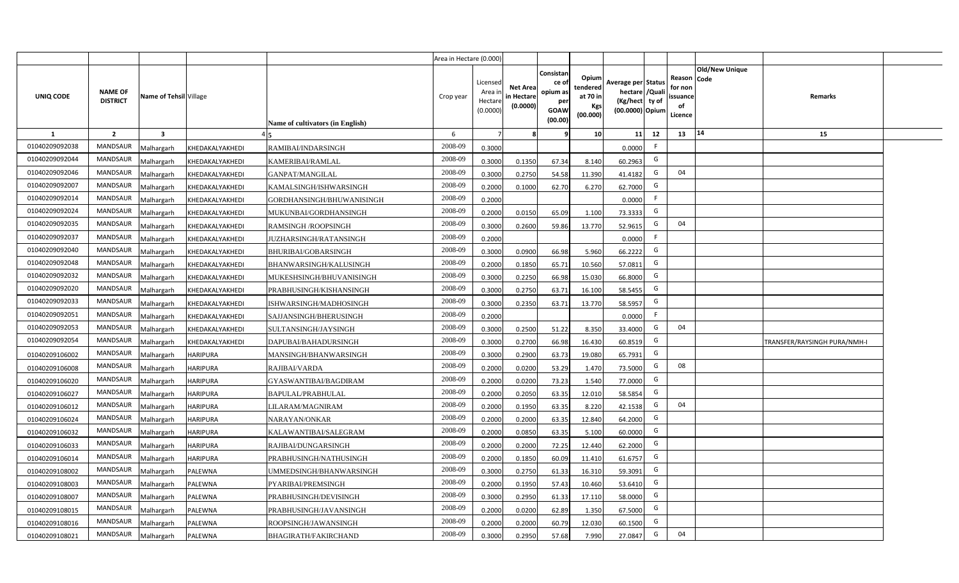|                |                                   |                         |                 |                                  | Area in Hectare (0.000) |                                           |                                           |                                                                 |                                                  |                                                                            |                                                    |                |                              |  |
|----------------|-----------------------------------|-------------------------|-----------------|----------------------------------|-------------------------|-------------------------------------------|-------------------------------------------|-----------------------------------------------------------------|--------------------------------------------------|----------------------------------------------------------------------------|----------------------------------------------------|----------------|------------------------------|--|
| UNIQ CODE      | <b>NAME OF</b><br><b>DISTRICT</b> | Name of Tehsil Village  |                 | Name of cultivators (in English) | Crop year               | Licensed<br>Area i<br>Hectare<br>(0.0000) | <b>Net Area</b><br>in Hectare<br>(0.0000) | Consistan<br>ce of<br>opium as<br>per<br><b>GOAW</b><br>(00.00) | Opium<br>tendered<br>at 70 in<br>Kgs<br>(00.000) | Average per Status<br>hectare / Quali<br>(Kg/hect ty of<br>(00.0000) Opium | Reason Code<br>for non<br>ssuance<br>of<br>Licence | Old/New Unique | Remarks                      |  |
| $\mathbf{1}$   | $\overline{2}$                    | $\overline{\mathbf{3}}$ |                 |                                  | 6                       | $\overline{7}$                            |                                           | 9                                                               | 10 <sup>1</sup>                                  | 12<br>11                                                                   | 13                                                 | 14             | 15                           |  |
| 01040209092038 | MANDSAUR                          | Malhargarh              | KHEDAKALYAKHEDI | RAMIBAI/INDARSINGH               | 2008-09                 | 0.3000                                    |                                           |                                                                 |                                                  | F.<br>0.0000                                                               |                                                    |                |                              |  |
| 01040209092044 | <b>MANDSAUR</b>                   | <b>Aalhargarh</b>       | KHEDAKALYAKHEDI | KAMERIBAI/RAMLAL                 | 2008-09                 | 0.3000                                    | 0.1350                                    | 67.34                                                           | 8.140                                            | G<br>60.2963                                                               |                                                    |                |                              |  |
| 01040209092046 | MANDSAUR                          | Malhargarh              | KHEDAKALYAKHEDI | GANPAT/MANGILAL                  | 2008-09                 | 0.3000                                    | 0.2750                                    | 54.58                                                           | 11.390                                           | G<br>41.4182                                                               | 04                                                 |                |                              |  |
| 01040209092007 | <b>MANDSAUR</b>                   | Malhargarh              | KHEDAKALYAKHEDI | KAMALSINGH/ISHWARSINGH           | 2008-09                 | 0.2000                                    | 0.1000                                    | 62.70                                                           | 6.270                                            | G<br>62.7000                                                               |                                                    |                |                              |  |
| 01040209092014 | MANDSAUR                          | Malhargarh              | KHEDAKALYAKHEDI | GORDHANSINGH/BHUWANISINGH        | 2008-09                 | 0.2000                                    |                                           |                                                                 |                                                  | F<br>0.0000                                                                |                                                    |                |                              |  |
| 01040209092024 | MANDSAUR                          | Malhargarh              | KHEDAKALYAKHEDI | MUKUNBAI/GORDHANSINGH            | 2008-09                 | 0.2000                                    | 0.0150                                    | 65.09                                                           | 1.100                                            | G<br>73.3333                                                               |                                                    |                |                              |  |
| 01040209092035 | <b>MANDSAUR</b>                   | Malhargarh              | KHEDAKALYAKHEDI | <b>RAMSINGH/ROOPSINGH</b>        | 2008-09                 | 0.3000                                    | 0.2600                                    | 59.86                                                           | 13.770                                           | G<br>52.9615                                                               | 04                                                 |                |                              |  |
| 01040209092037 | <b>MANDSAUR</b>                   | Malhargarh              | KHEDAKALYAKHEDI | <b>JUZHARSINGH/RATANSINGH</b>    | 2008-09                 | 0.2000                                    |                                           |                                                                 |                                                  | F<br>0.0000                                                                |                                                    |                |                              |  |
| 01040209092040 | <b>MANDSAUR</b>                   | Malhargarh              | KHEDAKALYAKHEDI | BHURIBAI/GOBARSINGH              | 2008-09                 | 0.3000                                    | 0.0900                                    | 66.98                                                           | 5.960                                            | G<br>66.2222                                                               |                                                    |                |                              |  |
| 01040209092048 | <b>MANDSAUR</b>                   | Malhargarh              | KHEDAKALYAKHEDI | BHANWARSINGH/KALUSINGH           | 2008-09                 | 0.2000                                    | 0.1850                                    | 65.71                                                           | 10.560                                           | G<br>57.0811                                                               |                                                    |                |                              |  |
| 01040209092032 | MANDSAUR                          | Malhargarh              | KHEDAKALYAKHEDI | MUKESHSINGH/BHUVANISINGH         | 2008-09                 | 0.3000                                    | 0.2250                                    | 66.98                                                           | 15.030                                           | G<br>66.8000                                                               |                                                    |                |                              |  |
| 01040209092020 | <b>MANDSAUR</b>                   | Malhargarh              | KHEDAKALYAKHEDI | PRABHUSINGH/KISHANSINGH          | 2008-09                 | 0.3000                                    | 0.2750                                    | 63.71                                                           | 16.100                                           | G<br>58.5455                                                               |                                                    |                |                              |  |
| 01040209092033 | MANDSAUR                          | Malhargarh              | KHEDAKALYAKHEDI | ISHWARSINGH/MADHOSINGH           | 2008-09                 | 0.3000                                    | 0.2350                                    | 63.71                                                           | 13.770                                           | G<br>58.5957                                                               |                                                    |                |                              |  |
| 01040209092051 | <b>MANDSAUR</b>                   | Malhargarh              | KHEDAKALYAKHEDI | SAJJANSINGH/BHERUSINGH           | 2008-09                 | 0.2000                                    |                                           |                                                                 |                                                  | F<br>0.0000                                                                |                                                    |                |                              |  |
| 01040209092053 | <b>MANDSAUR</b>                   | Malhargarh              | KHEDAKALYAKHEDI | SULTANSINGH/JAYSINGH             | 2008-09                 | 0.3000                                    | 0.2500                                    | 51.22                                                           | 8.350                                            | G<br>33.4000                                                               | 04                                                 |                |                              |  |
| 01040209092054 | <b>MANDSAUR</b>                   | Malhargarh              | KHEDAKALYAKHEDI | DAPUBAI/BAHADURSINGH             | 2008-09                 | 0.3000                                    | 0.2700                                    | 66.98                                                           | 16.430                                           | G<br>60.8519                                                               |                                                    |                | TRANSFER/RAYSINGH PURA/NMH-I |  |
| 01040209106002 | <b>MANDSAUR</b>                   | Malhargarh              | <b>HARIPURA</b> | MANSINGH/BHANWARSINGH            | 2008-09                 | 0.3000                                    | 0.2900                                    | 63.73                                                           | 19.080                                           | G<br>65.7931                                                               |                                                    |                |                              |  |
| 01040209106008 | <b>MANDSAUR</b>                   | Malhargarh              | <b>HARIPURA</b> | RAJIBAI/VARDA                    | 2008-09                 | 0.2000                                    | 0.0200                                    | 53.29                                                           | 1.470                                            | G<br>73.5000                                                               | 08                                                 |                |                              |  |
| 01040209106020 | <b>MANDSAUR</b>                   | Malhargarh              | <b>HARIPURA</b> | GYASWANTIBAI/BAGDIRAM            | 2008-09                 | 0.2000                                    | 0.0200                                    | 73.23                                                           | 1.540                                            | G<br>77.0000                                                               |                                                    |                |                              |  |
| 01040209106027 | MANDSAUR                          | Malhargarh              | <b>HARIPURA</b> | BAPULAL/PRABHULAL                | 2008-09                 | 0.2000                                    | 0.2050                                    | 63.35                                                           | 12.010                                           | G<br>58.5854                                                               |                                                    |                |                              |  |
| 01040209106012 | MANDSAUR                          | Malhargarh              | <b>HARIPURA</b> | LILARAM/MAGNIRAM                 | 2008-09                 | 0.2000                                    | 0.1950                                    | 63.35                                                           | 8.220                                            | G<br>42.1538                                                               | 04                                                 |                |                              |  |
| 01040209106024 | MANDSAUR                          | Malhargarh              | <b>HARIPURA</b> | NARAYAN/ONKAR                    | 2008-09                 | 0.2000                                    | 0.2000                                    | 63.35                                                           | 12.840                                           | G<br>64.2000                                                               |                                                    |                |                              |  |
| 01040209106032 | <b>MANDSAUR</b>                   | Malhargarh              | <b>HARIPURA</b> | KALAWANTIBAI/SALEGRAM            | 2008-09                 | 0.2000                                    | 0.0850                                    | 63.35                                                           | 5.100                                            | G<br>60.0000                                                               |                                                    |                |                              |  |
| 01040209106033 | MANDSAUR                          | Malhargarh              | <b>HARIPURA</b> | RAJIBAI/DUNGARSINGH              | 2008-09                 | 0.2000                                    | 0.2000                                    | 72.25                                                           | 12.440                                           | G<br>62.2000                                                               |                                                    |                |                              |  |
| 01040209106014 | <b>MANDSAUR</b>                   | Malhargarh              | <b>HARIPURA</b> | PRABHUSINGH/NATHUSINGH           | 2008-09                 | 0.2000                                    | 0.1850                                    | 60.09                                                           | 11.410                                           | G<br>61.6757                                                               |                                                    |                |                              |  |
| 01040209108002 | MANDSAUR                          | Malhargarh              | PALEWNA         | UMMEDSINGH/BHANWARSINGH          | 2008-09                 | 0.3000                                    | 0.2750                                    | 61.33                                                           | 16.310                                           | G<br>59.3091                                                               |                                                    |                |                              |  |
| 01040209108003 | MANDSAUR                          | Malhargarh              | PALEWNA         | PYARIBAI/PREMSINGH               | 2008-09                 | 0.2000                                    | 0.1950                                    | 57.43                                                           | 10.460                                           | G<br>53.6410                                                               |                                                    |                |                              |  |
| 01040209108007 | MANDSAUR                          | Malhargarh              | PALEWNA         | PRABHUSINGH/DEVISINGH            | 2008-09                 | 0.3000                                    | 0.2950                                    | 61.33                                                           | 17.110                                           | G<br>58.0000                                                               |                                                    |                |                              |  |
| 01040209108015 | MANDSAUR                          | Malhargarh              | PALEWNA         | PRABHUSINGH/JAVANSINGH           | 2008-09                 | 0.2000                                    | 0.0200                                    | 62.89                                                           | 1.350                                            | G<br>67.5000                                                               |                                                    |                |                              |  |
| 01040209108016 | MANDSAUR                          | Malhargarh              | PALEWNA         | ROOPSINGH/JAWANSINGH             | 2008-09                 | 0.2000                                    | 0.2000                                    | 60.79                                                           | 12.030                                           | G<br>60.1500                                                               |                                                    |                |                              |  |
| 01040209108021 | MANDSAUR                          | Malhargarh              | PALEWNA         | <b>BHAGIRATH/FAKIRCHAND</b>      | 2008-09                 | 0.3000                                    | 0.2950                                    | 57.68                                                           | 7.990                                            | G<br>27.0847                                                               | 04                                                 |                |                              |  |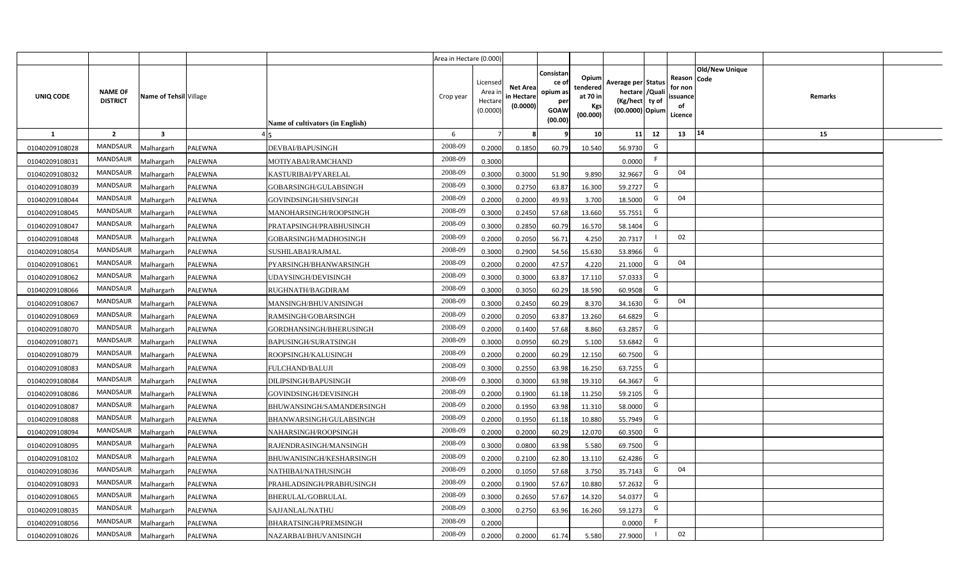|                |                                   |                         |         |                                  | Area in Hectare (0.000) |                                           |                                           |                                                          |                                                  |                                                                            |                                                    |                       |         |  |
|----------------|-----------------------------------|-------------------------|---------|----------------------------------|-------------------------|-------------------------------------------|-------------------------------------------|----------------------------------------------------------|--------------------------------------------------|----------------------------------------------------------------------------|----------------------------------------------------|-----------------------|---------|--|
| UNIQ CODE      | <b>NAME OF</b><br><b>DISTRICT</b> | Name of Tehsil Village  |         | Name of cultivators (in English) | Crop year               | Licensed<br>Area i<br>Hectare<br>(0.0000) | <b>Net Area</b><br>in Hectare<br>(0.0000) | Consistan<br>ce of<br>opium as<br>per<br>GOAW<br>(00.00) | Opium<br>tendered<br>at 70 in<br>Kgs<br>(00.000) | Average per Status<br>hectare / Quali<br>(Kg/hect ty of<br>(00.0000) Opium | Reason Code<br>for non<br>ssuance<br>of<br>Licence | <b>Old/New Unique</b> | Remarks |  |
| $\mathbf{1}$   | $\overline{2}$                    | $\overline{\mathbf{3}}$ |         |                                  | 6                       | $\overline{7}$                            | 8                                         | 9                                                        | 10 <sup>1</sup>                                  | 11<br>12                                                                   | 13                                                 | 14                    | 15      |  |
| 01040209108028 | MANDSAUR                          | Malhargarh              | PALEWNA | DEVBAI/BAPUSINGH                 | 2008-09                 | 0.2000                                    | 0.1850                                    | 60.79                                                    | 10.540                                           | G<br>56.9730                                                               |                                                    |                       |         |  |
| 01040209108031 | MANDSAUR                          | <b>Aalhargarh</b>       | PALEWNA | MOTIYABAI/RAMCHAND               | 2008-09                 | 0.3000                                    |                                           |                                                          |                                                  | F.<br>0.0000                                                               |                                                    |                       |         |  |
| 01040209108032 | MANDSAUR                          | Malhargarh              | PALEWNA | KASTURIBAI/PYARELAL              | 2008-09                 | 0.3000                                    | 0.3000                                    | 51.90                                                    | 9.890                                            | G<br>32.9667                                                               | 04                                                 |                       |         |  |
| 01040209108039 | <b>MANDSAUR</b>                   | Malhargarh              | PALEWNA | GOBARSINGH/GULABSINGH            | 2008-09                 | 0.3000                                    | 0.2750                                    | 63.87                                                    | 16.300                                           | G<br>59.2727                                                               |                                                    |                       |         |  |
| 01040209108044 | MANDSAUR                          | Malhargarh              | PALEWNA | GOVINDSINGH/SHIVSINGH            | 2008-09                 | 0.2000                                    | 0.2000                                    | 49.93                                                    | 3.700                                            | G<br>18.5000                                                               | 04                                                 |                       |         |  |
| 01040209108045 | MANDSAUR                          | Malhargarh              | PALEWNA | MANOHARSINGH/ROOPSINGH           | 2008-09                 | 0.3000                                    | 0.2450                                    | 57.68                                                    | 13.660                                           | G<br>55.7551                                                               |                                                    |                       |         |  |
| 01040209108047 | MANDSAUR                          | Malhargarh              | PALEWNA | PRATAPSINGH/PRABHUSINGH          | 2008-09                 | 0.3000                                    | 0.2850                                    | 60.79                                                    | 16.570                                           | G<br>58.1404                                                               |                                                    |                       |         |  |
| 01040209108048 | MANDSAUR                          | Malhargarh              | PALEWNA | GOBARSINGH/MADHOSINGH            | 2008-09                 | 0.2000                                    | 0.2050                                    | 56.71                                                    | 4.250                                            | 20.7317                                                                    | 02                                                 |                       |         |  |
| 01040209108054 | MANDSAUR                          | Malhargarh              | PALEWNA | SUSHILABAI/RAJMAL                | 2008-09                 | 0.3000                                    | 0.2900                                    | 54.56                                                    | 15.630                                           | G<br>53.8966                                                               |                                                    |                       |         |  |
| 01040209108061 | MANDSAUR                          | Malhargarh              | PALEWNA | PYARSINGH/BHANWARSINGH           | 2008-09                 | 0.2000                                    | 0.2000                                    | 47.57                                                    | 4.220                                            | G<br>21.1000                                                               | 04                                                 |                       |         |  |
| 01040209108062 | MANDSAUR                          | Malhargarh              | PALEWNA | UDAYSINGH/DEVISINGH              | 2008-09                 | 0.3000                                    | 0.3000                                    | 63.87                                                    | 17.110                                           | G<br>57.0333                                                               |                                                    |                       |         |  |
| 01040209108066 | MANDSAUR                          | Malhargarh              | PALEWNA | RUGHNATH/BAGDIRAM                | 2008-09                 | 0.3000                                    | 0.3050                                    | 60.29                                                    | 18.590                                           | G<br>60.9508                                                               |                                                    |                       |         |  |
| 01040209108067 | MANDSAUR                          | Malhargarh              | PALEWNA | MANSINGH/BHUVANISINGH            | 2008-09                 | 0.3000                                    | 0.2450                                    | 60.29                                                    | 8.370                                            | G<br>34.1630                                                               | 04                                                 |                       |         |  |
| 01040209108069 | <b>MANDSAUR</b>                   | Malhargarh              | PALEWNA | RAMSINGH/GOBARSINGH              | 2008-09                 | 0.2000                                    | 0.2050                                    | 63.87                                                    | 13.260                                           | G<br>64.6829                                                               |                                                    |                       |         |  |
| 01040209108070 | <b>MANDSAUR</b>                   | Malhargarh              | PALEWNA | GORDHANSINGH/BHERUSINGH          | 2008-09                 | 0.2000                                    | 0.1400                                    | 57.68                                                    | 8.860                                            | G<br>63.2857                                                               |                                                    |                       |         |  |
| 01040209108071 | <b>MANDSAUR</b>                   | Malhargarh              | PALEWNA | <b>BAPUSINGH/SURATSINGH</b>      | 2008-09                 | 0.3000                                    | 0.0950                                    | 60.29                                                    | 5.100                                            | G<br>53.6842                                                               |                                                    |                       |         |  |
| 01040209108079 | <b>MANDSAUR</b>                   | Malhargarh              | PALEWNA | ROOPSINGH/KALUSINGH              | 2008-09                 | 0.2000                                    | 0.2000                                    | 60.29                                                    | 12.150                                           | G<br>60.7500                                                               |                                                    |                       |         |  |
| 01040209108083 | <b>MANDSAUR</b>                   | Malhargarh              | PALEWNA | FULCHAND/BALUJI                  | 2008-09                 | 0.3000                                    | 0.2550                                    | 63.98                                                    | 16.250                                           | G<br>63.7255                                                               |                                                    |                       |         |  |
| 01040209108084 | <b>MANDSAUR</b>                   | Malhargarh              | PALEWNA | DILIPSINGH/BAPUSINGH             | 2008-09                 | 0.3000                                    | 0.3000                                    | 63.98                                                    | 19.310                                           | G<br>64.3667                                                               |                                                    |                       |         |  |
| 01040209108086 | MANDSAUR                          | Malhargarh              | PALEWNA | GOVINDSINGH/DEVISINGH            | 2008-09                 | 0.2000                                    | 0.1900                                    | 61.18                                                    | 11.250                                           | G<br>59.2105                                                               |                                                    |                       |         |  |
| 01040209108087 | MANDSAUR                          | Malhargarh              | PALEWNA | BHUWANSINGH/SAMANDERSINGH        | 2008-09                 | 0.2000                                    | 0.1950                                    | 63.98                                                    | 11.310                                           | G<br>58.0000                                                               |                                                    |                       |         |  |
| 01040209108088 | MANDSAUR                          | Malhargarh              | PALEWNA | BHANWARSINGH/GULABSINGH          | 2008-09                 | 0.2000                                    | 0.1950                                    | 61.18                                                    | 10.880                                           | G<br>55.7949                                                               |                                                    |                       |         |  |
| 01040209108094 | <b>MANDSAUR</b>                   | Malhargarh              | PALEWNA | NAHARSINGH/ROOPSINGH             | 2008-09                 | 0.2000                                    | 0.2000                                    | 60.29                                                    | 12.070                                           | G<br>60.3500                                                               |                                                    |                       |         |  |
| 01040209108095 | MANDSAUR                          | Malhargarh              | PALEWNA | RAJENDRASINGH/MANSINGH           | 2008-09                 | 0.3000                                    | 0.0800                                    | 63.98                                                    | 5.580                                            | G<br>69.7500                                                               |                                                    |                       |         |  |
| 01040209108102 | MANDSAUR                          | Malhargarh              | PALEWNA | BHUWANISINGH/KESHARSINGH         | 2008-09                 | 0.2000                                    | 0.2100                                    | 62.80                                                    | 13.110                                           | G<br>62.4286                                                               |                                                    |                       |         |  |
| 01040209108036 | MANDSAUR                          | Malhargarh              | PALEWNA | NATHIBAI/NATHUSINGH              | 2008-09                 | 0.2000                                    | 0.1050                                    | 57.68                                                    | 3.750                                            | G<br>35.7143                                                               | 04                                                 |                       |         |  |
| 01040209108093 | MANDSAUR                          | Malhargarh              | PALEWNA | PRAHLADSINGH/PRABHUSINGH         | 2008-09                 | 0.2000                                    | 0.1900                                    | 57.67                                                    | 10.880                                           | G<br>57.2632                                                               |                                                    |                       |         |  |
| 01040209108065 | MANDSAUR                          | Malhargarh              | PALEWNA | BHERULAL/GOBRULAL                | 2008-09                 | 0.3000                                    | 0.2650                                    | 57.67                                                    | 14.320                                           | G<br>54.0377                                                               |                                                    |                       |         |  |
| 01040209108035 | MANDSAUR                          | Malhargarh              | PALEWNA | SAJJANLAL/NATHU                  | 2008-09                 | 0.3000                                    | 0.2750                                    | 63.96                                                    | 16.260                                           | G<br>59.1273                                                               |                                                    |                       |         |  |
| 01040209108056 | MANDSAUR                          | Malhargarh              | PALEWNA | BHARATSINGH/PREMSINGH            | 2008-09                 | 0.2000                                    |                                           |                                                          |                                                  | -F<br>0.0000                                                               |                                                    |                       |         |  |
| 01040209108026 | MANDSAUR                          | Malhargarh              | PALEWNA | NAZARBAI/BHUVANISINGH            | 2008-09                 | 0.2000                                    | 0.2000                                    | 61.74                                                    | 5.580                                            | 27.9000                                                                    | 02                                                 |                       |         |  |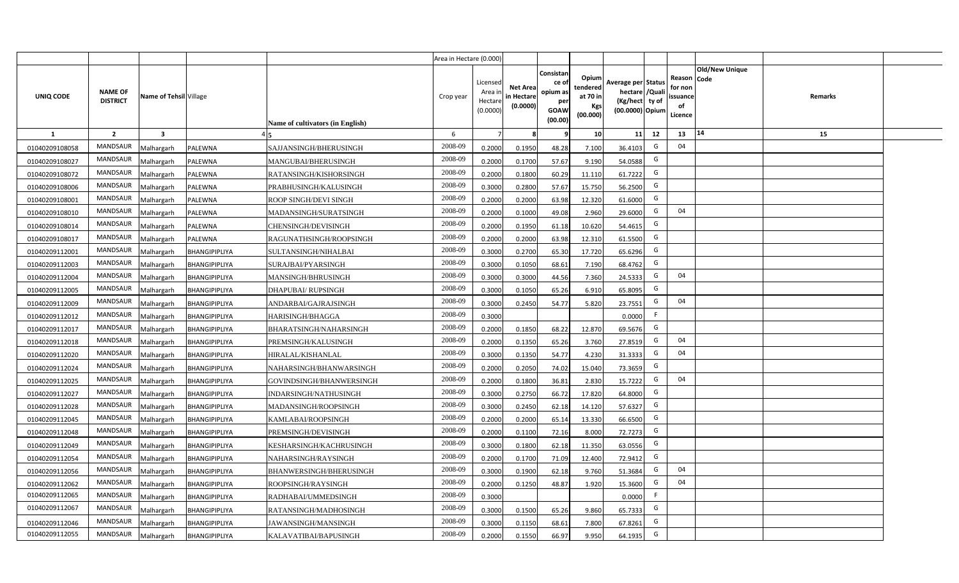|                |                                   |                         |                      |                                  | Area in Hectare (0.000) |                                           |                                           |                                                                 |                                                  |                                                                            |                                                    |                |         |  |
|----------------|-----------------------------------|-------------------------|----------------------|----------------------------------|-------------------------|-------------------------------------------|-------------------------------------------|-----------------------------------------------------------------|--------------------------------------------------|----------------------------------------------------------------------------|----------------------------------------------------|----------------|---------|--|
| UNIQ CODE      | <b>NAME OF</b><br><b>DISTRICT</b> | Name of Tehsil Village  |                      | Name of cultivators (in English) | Crop year               | Licensed<br>Area i<br>Hectare<br>(0.0000) | <b>Net Area</b><br>in Hectare<br>(0.0000) | Consistan<br>ce of<br>opium as<br>per<br><b>GOAW</b><br>(00.00) | Opium<br>tendered<br>at 70 in<br>Kgs<br>(00.000) | Average per Status<br>hectare / Quali<br>(Kg/hect ty of<br>(00.0000) Opium | Reason Code<br>for non<br>ssuance<br>of<br>Licence | Old/New Unique | Remarks |  |
| $\mathbf{1}$   | $\overline{2}$                    | $\overline{\mathbf{3}}$ |                      |                                  | 6                       | $\overline{7}$                            | 8                                         | 9                                                               | 10 <sup>1</sup>                                  | 12<br>11                                                                   | 13                                                 | 14             | 15      |  |
| 01040209108058 | MANDSAUR                          | Malhargarh              | PALEWNA              | SAJJANSINGH/BHERUSINGH           | 2008-09                 | 0.2000                                    | 0.1950                                    | 48.28                                                           | 7.100                                            | G<br>36.4103                                                               | 04                                                 |                |         |  |
| 01040209108027 | MANDSAUR                          | <b>Aalhargarh</b>       | PALEWNA              | MANGUBAI/BHERUSINGH              | 2008-09                 | 0.2000                                    | 0.1700                                    | 57.67                                                           | 9.190                                            | G<br>54.0588                                                               |                                                    |                |         |  |
| 01040209108072 | MANDSAUR                          | Malhargarh              | PALEWNA              | RATANSINGH/KISHORSINGH           | 2008-09                 | 0.2000                                    | 0.1800                                    | 60.29                                                           | 11.110                                           | G<br>61.7222                                                               |                                                    |                |         |  |
| 01040209108006 | <b>MANDSAUR</b>                   | Malhargarh              | PALEWNA              | PRABHUSINGH/KALUSINGH            | 2008-09                 | 0.3000                                    | 0.2800                                    | 57.67                                                           | 15.750                                           | G<br>56.2500                                                               |                                                    |                |         |  |
| 01040209108001 | MANDSAUR                          | Malhargarh              | PALEWNA              | ROOP SINGH/DEVI SINGH            | 2008-09                 | 0.2000                                    | 0.2000                                    | 63.98                                                           | 12.320                                           | G<br>61.6000                                                               |                                                    |                |         |  |
| 01040209108010 | MANDSAUR                          | Malhargarh              | PALEWNA              | MADANSINGH/SURATSINGH            | 2008-09                 | 0.2000                                    | 0.1000                                    | 49.08                                                           | 2.960                                            | G<br>29.6000                                                               | 04                                                 |                |         |  |
| 01040209108014 | MANDSAUR                          | Malhargarh              | PALEWNA              | <b>CHENSINGH/DEVISINGH</b>       | 2008-09                 | 0.2000                                    | 0.1950                                    | 61.18                                                           | 10.620                                           | G<br>54.4615                                                               |                                                    |                |         |  |
| 01040209108017 | MANDSAUR                          | Malhargarh              | PALEWNA              | RAGUNATHSINGH/ROOPSINGH          | 2008-09                 | 0.2000                                    | 0.2000                                    | 63.98                                                           | 12.310                                           | G<br>61.5500                                                               |                                                    |                |         |  |
| 01040209112001 | <b>MANDSAUR</b>                   | Malhargarh              | BHANGIPIPLIYA        | SULTANSINGH/NIHALBAI             | 2008-09                 | 0.3000                                    | 0.2700                                    | 65.30                                                           | 17.720                                           | G<br>65.6296                                                               |                                                    |                |         |  |
| 01040209112003 | <b>MANDSAUR</b>                   | Malhargarh              | BHANGIPIPLIYA        | SURAJBAI/PYARSINGH               | 2008-09                 | 0.3000                                    | 0.1050                                    | 68.61                                                           | 7.190                                            | G<br>68.4762                                                               |                                                    |                |         |  |
| 01040209112004 | MANDSAUR                          | Malhargarh              | BHANGIPIPLIYA        | MANSINGH/BHRUSINGH               | 2008-09                 | 0.3000                                    | 0.3000                                    | 44.56                                                           | 7.360                                            | G<br>24.5333                                                               | 04                                                 |                |         |  |
| 01040209112005 | <b>MANDSAUR</b>                   | Malhargarh              | BHANGIPIPLIYA        | <b>DHAPUBAI/ RUPSINGH</b>        | 2008-09                 | 0.3000                                    | 0.1050                                    | 65.26                                                           | 6.910                                            | G<br>65.8095                                                               |                                                    |                |         |  |
| 01040209112009 | MANDSAUR                          | Malhargarh              | <b>BHANGIPIPLIYA</b> | ANDARBAI/GAJRAJSINGH             | 2008-09                 | 0.3000                                    | 0.2450                                    | 54.77                                                           | 5.820                                            | G<br>23.7551                                                               | 04                                                 |                |         |  |
| 01040209112012 | <b>MANDSAUR</b>                   | Malhargarh              | BHANGIPIPLIYA        | HARISINGH/BHAGGA                 | 2008-09                 | 0.3000                                    |                                           |                                                                 |                                                  | F<br>0.0000                                                                |                                                    |                |         |  |
| 01040209112017 | <b>MANDSAUR</b>                   | Malhargarh              | BHANGIPIPLIYA        | BHARATSINGH/NAHARSINGH           | 2008-09                 | 0.2000                                    | 0.1850                                    | 68.22                                                           | 12.870                                           | G<br>69.5676                                                               |                                                    |                |         |  |
| 01040209112018 | <b>MANDSAUR</b>                   | Malhargarh              | BHANGIPIPLIYA        | PREMSINGH/KALUSINGH              | 2008-09                 | 0.2000                                    | 0.1350                                    | 65.26                                                           | 3.760                                            | G<br>27.8519                                                               | 04                                                 |                |         |  |
| 01040209112020 | <b>MANDSAUR</b>                   | Malhargarh              | BHANGIPIPLIYA        | HIRALAL/KISHANLAL                | 2008-09                 | 0.3000                                    | 0.1350                                    | 54.77                                                           | 4.230                                            | G<br>31.3333                                                               | 04                                                 |                |         |  |
| 01040209112024 | <b>MANDSAUR</b>                   | Malhargarh              | BHANGIPIPLIYA        | NAHARSINGH/BHANWARSINGH          | 2008-09                 | 0.2000                                    | 0.2050                                    | 74.02                                                           | 15.040                                           | G<br>73.3659                                                               |                                                    |                |         |  |
| 01040209112025 | <b>MANDSAUR</b>                   | Malhargarh              | BHANGIPIPLIYA        | GOVINDSINGH/BHANWERSINGH         | 2008-09                 | 0.2000                                    | 0.1800                                    | 36.81                                                           | 2.830                                            | G<br>15.7222                                                               | 04                                                 |                |         |  |
| 01040209112027 | MANDSAUR                          | Malhargarh              | BHANGIPIPLIYA        | INDARSINGH/NATHUSINGH            | 2008-09                 | 0.3000                                    | 0.2750                                    | 66.72                                                           | 17.820                                           | G<br>64.8000                                                               |                                                    |                |         |  |
| 01040209112028 | MANDSAUR                          | Malhargarh              | BHANGIPIPLIYA        | MADANSINGH/ROOPSINGH             | 2008-09                 | 0.3000                                    | 0.2450                                    | 62.18                                                           | 14.120                                           | G<br>57.6327                                                               |                                                    |                |         |  |
| 01040209112045 | MANDSAUR                          | Malhargarh              | BHANGIPIPLIYA        | KAMLABAI/ROOPSINGH               | 2008-09                 | 0.2000                                    | 0.2000                                    | 65.14                                                           | 13.330                                           | G<br>66.6500                                                               |                                                    |                |         |  |
| 01040209112048 | <b>MANDSAUR</b>                   | Malhargarh              | BHANGIPIPLIYA        | PREMSINGH/DEVISINGH              | 2008-09                 | 0.2000                                    | 0.1100                                    | 72.16                                                           | 8.000                                            | G<br>72.7273                                                               |                                                    |                |         |  |
| 01040209112049 | MANDSAUR                          | Malhargarh              | BHANGIPIPLIYA        | KESHARSINGH/KACHRUSINGH          | 2008-09                 | 0.3000                                    | 0.1800                                    | 62.18                                                           | 11.350                                           | G<br>63.0556                                                               |                                                    |                |         |  |
| 01040209112054 | <b>MANDSAUR</b>                   | Malhargarh              | BHANGIPIPLIYA        | NAHARSINGH/RAYSINGH              | 2008-09                 | 0.2000                                    | 0.1700                                    | 71.09                                                           | 12.400                                           | G<br>72.9412                                                               |                                                    |                |         |  |
| 01040209112056 | MANDSAUR                          | Malhargarh              | BHANGIPIPLIYA        | <b>BHANWERSINGH/BHERUSINGH</b>   | 2008-09                 | 0.3000                                    | 0.1900                                    | 62.18                                                           | 9.760                                            | G<br>51.3684                                                               | 04                                                 |                |         |  |
| 01040209112062 | MANDSAUR                          | Malhargarh              | BHANGIPIPLIYA        | ROOPSINGH/RAYSINGH               | 2008-09                 | 0.2000                                    | 0.1250                                    | 48.87                                                           | 1.920                                            | G<br>15.3600                                                               | 04                                                 |                |         |  |
| 01040209112065 | MANDSAUR                          | Malhargarh              | BHANGIPIPLIYA        | RADHABAI/UMMEDSINGH              | 2008-09                 | 0.3000                                    |                                           |                                                                 |                                                  | -F<br>0.0000                                                               |                                                    |                |         |  |
| 01040209112067 | MANDSAUR                          | Malhargarh              | BHANGIPIPLIYA        | RATANSINGH/MADHOSINGH            | 2008-09                 | 0.3000                                    | 0.1500                                    | 65.26                                                           | 9.860                                            | G<br>65.7333                                                               |                                                    |                |         |  |
| 01040209112046 | MANDSAUR                          | Malhargarh              | BHANGIPIPLIYA        | <b>JAWANSINGH/MANSINGH</b>       | 2008-09                 | 0.3000                                    | 0.1150                                    | 68.61                                                           | 7.800                                            | G<br>67.8261                                                               |                                                    |                |         |  |
| 01040209112055 | MANDSAUR                          | Malhargarh              | BHANGIPIPLIYA        | KALAVATIBAI/BAPUSINGH            | 2008-09                 | 0.2000                                    | 0.1550                                    | 66.97                                                           | 9.950                                            | G<br>64.1935                                                               |                                                    |                |         |  |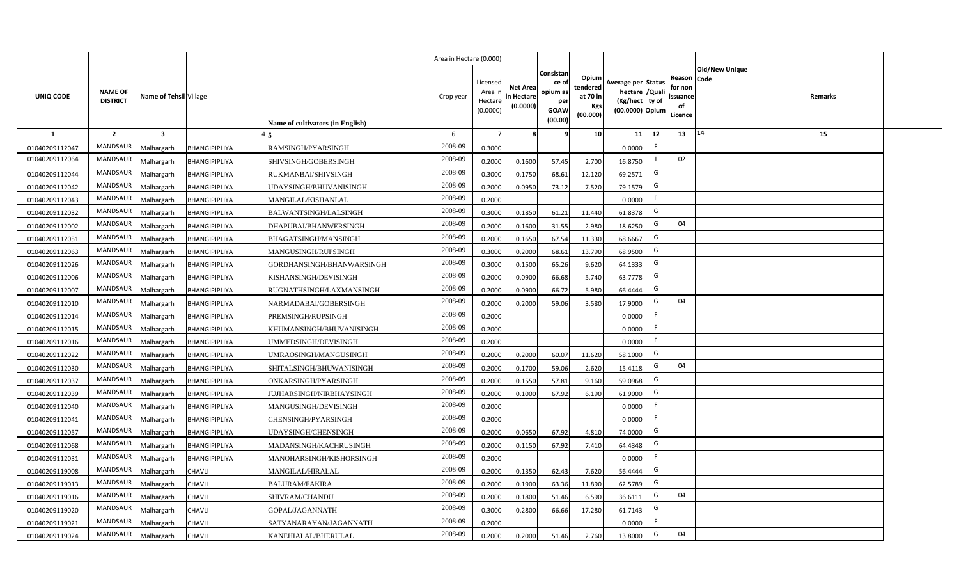|                |                                   |                         |                      |                                  | Area in Hectare (0.000) |                                           |                                           |                                                          |                                                  |                                                                            |                                                     |                |         |  |
|----------------|-----------------------------------|-------------------------|----------------------|----------------------------------|-------------------------|-------------------------------------------|-------------------------------------------|----------------------------------------------------------|--------------------------------------------------|----------------------------------------------------------------------------|-----------------------------------------------------|----------------|---------|--|
| UNIQ CODE      | <b>NAME OF</b><br><b>DISTRICT</b> | Name of Tehsil Village  |                      | Name of cultivators (in English) | Crop year               | Licensed<br>Area i<br>Hectare<br>(0.0000) | <b>Net Area</b><br>in Hectare<br>(0.0000) | Consistan<br>ce of<br>opium as<br>per<br>GOAW<br>(00.00) | Opium<br>tendered<br>at 70 in<br>Kgs<br>(00.000) | Average per Status<br>hectare / Quali<br>(Kg/hect ty of<br>(00.0000) Opium | Reason Code<br>for non<br>issuance<br>of<br>Licence | Old/New Unique | Remarks |  |
| $\mathbf{1}$   | $\overline{2}$                    | $\overline{\mathbf{3}}$ |                      |                                  | 6                       | $\overline{7}$                            |                                           | 9                                                        | 10 <sup>1</sup>                                  | 12<br>11                                                                   | 13                                                  | 14             | 15      |  |
| 01040209112047 | MANDSAUR                          | Malhargarh              | BHANGIPIPLIYA        | RAMSINGH/PYARSINGH               | 2008-09                 | 0.3000                                    |                                           |                                                          |                                                  | F<br>0.0000                                                                |                                                     |                |         |  |
| 01040209112064 | <b>MANDSAUR</b>                   | <b>Aalhargarh</b>       | BHANGIPIPLIYA        | SHIVSINGH/GOBERSINGH             | 2008-09                 | 0.2000                                    | 0.1600                                    | 57.45                                                    | 2.700                                            | 16.8750                                                                    | 02                                                  |                |         |  |
| 01040209112044 | MANDSAUR                          | Malhargarh              | BHANGIPIPLIYA        | RUKMANBAI/SHIVSINGH              | 2008-09                 | 0.3000                                    | 0.1750                                    | 68.61                                                    | 12.120                                           | G<br>69.2571                                                               |                                                     |                |         |  |
| 01040209112042 | <b>MANDSAUR</b>                   | Malhargarh              | BHANGIPIPLIYA        | UDAYSINGH/BHUVANISINGH           | 2008-09                 | 0.2000                                    | 0.0950                                    | 73.12                                                    | 7.520                                            | G<br>79.1579                                                               |                                                     |                |         |  |
| 01040209112043 | MANDSAUR                          | Malhargarh              | BHANGIPIPLIYA        | MANGILAL/KISHANLAL               | 2008-09                 | 0.2000                                    |                                           |                                                          |                                                  | F<br>0.0000                                                                |                                                     |                |         |  |
| 01040209112032 | MANDSAUR                          | Malhargarh              | BHANGIPIPLIYA        | BALWANTSINGH/LALSINGH            | 2008-09                 | 0.3000                                    | 0.1850                                    | 61.21                                                    | 11.440                                           | G<br>61.8378                                                               |                                                     |                |         |  |
| 01040209112002 | MANDSAUR                          | Malhargarh              | BHANGIPIPLIYA        | DHAPUBAI/BHANWERSINGH            | 2008-09                 | 0.2000                                    | 0.1600                                    | 31.55                                                    | 2.980                                            | G<br>18.6250                                                               | 04                                                  |                |         |  |
| 01040209112051 | MANDSAUR                          | Malhargarh              | BHANGIPIPLIYA        | BHAGATSINGH/MANSINGH             | 2008-09                 | 0.2000                                    | 0.1650                                    | 67.54                                                    | 11.330                                           | G<br>68.6667                                                               |                                                     |                |         |  |
| 01040209112063 | MANDSAUR                          | Malhargarh              | BHANGIPIPLIYA        | MANGUSINGH/RUPSINGH              | 2008-09                 | 0.3000                                    | 0.2000                                    | 68.61                                                    | 13.790                                           | G<br>68.9500                                                               |                                                     |                |         |  |
| 01040209112026 | MANDSAUR                          | Malhargarh              | BHANGIPIPLIYA        | GORDHANSINGH/BHANWARSINGH        | 2008-09                 | 0.3000                                    | 0.1500                                    | 65.26                                                    | 9.620                                            | G<br>64.1333                                                               |                                                     |                |         |  |
| 01040209112006 | MANDSAUR                          | Malhargarh              | BHANGIPIPLIYA        | KISHANSINGH/DEVISINGH            | 2008-09                 | 0.2000                                    | 0.0900                                    | 66.68                                                    | 5.740                                            | G<br>63.7778                                                               |                                                     |                |         |  |
| 01040209112007 | MANDSAUR                          | Malhargarh              | BHANGIPIPLIYA        | RUGNATHSINGH/LAXMANSINGH         | 2008-09                 | 0.2000                                    | 0.0900                                    | 66.72                                                    | 5.980                                            | G<br>66.4444                                                               |                                                     |                |         |  |
| 01040209112010 | MANDSAUR                          | Malhargarh              | <b>BHANGIPIPLIYA</b> | NARMADABAI/GOBERSINGH            | 2008-09                 | 0.2000                                    | 0.2000                                    | 59.06                                                    | 3.580                                            | G<br>17.9000                                                               | 04                                                  |                |         |  |
| 01040209112014 | MANDSAUR                          | Malhargarh              | BHANGIPIPLIYA        | PREMSINGH/RUPSINGH               | 2008-09                 | 0.2000                                    |                                           |                                                          |                                                  | F<br>0.0000                                                                |                                                     |                |         |  |
| 01040209112015 | <b>MANDSAUR</b>                   | Malhargarh              | BHANGIPIPLIYA        | KHUMANSINGH/BHUVANISINGH         | 2008-09                 | 0.2000                                    |                                           |                                                          |                                                  | F.<br>0.0000                                                               |                                                     |                |         |  |
| 01040209112016 | <b>MANDSAUR</b>                   | Malhargarh              | BHANGIPIPLIYA        | UMMEDSINGH/DEVISINGH             | 2008-09                 | 0.2000                                    |                                           |                                                          |                                                  | -F.<br>0.0000                                                              |                                                     |                |         |  |
| 01040209112022 | <b>MANDSAUR</b>                   | Malhargarh              | BHANGIPIPLIYA        | UMRAOSINGH/MANGUSINGH            | 2008-09                 | 0.2000                                    | 0.2000                                    | 60.07                                                    | 11.620                                           | G<br>58.1000                                                               |                                                     |                |         |  |
| 01040209112030 | <b>MANDSAUR</b>                   | Malhargarh              | BHANGIPIPLIYA        | SHITALSINGH/BHUWANISINGH         | 2008-09                 | 0.2000                                    | 0.1700                                    | 59.06                                                    | 2.620                                            | G<br>15.4118                                                               | 04                                                  |                |         |  |
| 01040209112037 | <b>MANDSAUR</b>                   | Malhargarh              | BHANGIPIPLIYA        | ONKARSINGH/PYARSINGH             | 2008-09                 | 0.2000                                    | 0.1550                                    | 57.81                                                    | 9.160                                            | G<br>59.0968                                                               |                                                     |                |         |  |
| 01040209112039 | MANDSAUR                          | Malhargarh              | BHANGIPIPLIYA        | JUJHARSINGH/NIRBHAYSINGH         | 2008-09                 | 0.2000                                    | 0.1000                                    | 67.92                                                    | 6.190                                            | G<br>61.9000                                                               |                                                     |                |         |  |
| 01040209112040 | MANDSAUR                          | Malhargarh              | BHANGIPIPLIYA        | MANGUSINGH/DEVISINGH             | 2008-09                 | 0.2000                                    |                                           |                                                          |                                                  | F.<br>0.0000                                                               |                                                     |                |         |  |
| 01040209112041 | MANDSAUR                          | Malhargarh              | BHANGIPIPLIYA        | CHENSINGH/PYARSINGH              | 2008-09                 | 0.2000                                    |                                           |                                                          |                                                  | F.<br>0.0000                                                               |                                                     |                |         |  |
| 01040209112057 | <b>MANDSAUR</b>                   | Malhargarh              | BHANGIPIPLIYA        | UDAYSINGH/CHENSINGH              | 2008-09                 | 0.2000                                    | 0.0650                                    | 67.92                                                    | 4.810                                            | G<br>74.0000                                                               |                                                     |                |         |  |
| 01040209112068 | MANDSAUR                          | Malhargarh              | BHANGIPIPLIYA        | MADANSINGH/KACHRUSINGH           | 2008-09                 | 0.2000                                    | 0.1150                                    | 67.92                                                    | 7.410                                            | G<br>64.4348                                                               |                                                     |                |         |  |
| 01040209112031 | MANDSAUR                          | Malhargarh              | BHANGIPIPLIYA        | MANOHARSINGH/KISHORSINGH         | 2008-09                 | 0.2000                                    |                                           |                                                          |                                                  | F.<br>0.0000                                                               |                                                     |                |         |  |
| 01040209119008 | MANDSAUR                          | Malhargarh              | <b>CHAVLI</b>        | MANGILAL/HIRALAL                 | 2008-09                 | 0.2000                                    | 0.1350                                    | 62.43                                                    | 7.620                                            | G<br>56.4444                                                               |                                                     |                |         |  |
| 01040209119013 | MANDSAUR                          | Malhargarh              | <b>CHAVLI</b>        | <b>BALURAM/FAKIRA</b>            | 2008-09                 | 0.2000                                    | 0.1900                                    | 63.36                                                    | 11.890                                           | G<br>62.5789                                                               |                                                     |                |         |  |
| 01040209119016 | MANDSAUR                          | Malhargarh              | <b>CHAVLI</b>        | SHIVRAM/CHANDU                   | 2008-09                 | 0.2000                                    | 0.1800                                    | 51.46                                                    | 6.590                                            | G<br>36.6111                                                               | 04                                                  |                |         |  |
| 01040209119020 | MANDSAUR                          | Malhargarh              | CHAVLI               | GOPAL/JAGANNATH                  | 2008-09                 | 0.3000                                    | 0.2800                                    | 66.66                                                    | 17.280                                           | G<br>61.7143                                                               |                                                     |                |         |  |
| 01040209119021 | MANDSAUR                          | Malhargarh              | CHAVLI               | SATYANARAYAN/JAGANNATH           | 2008-09                 | 0.2000                                    |                                           |                                                          |                                                  | -F<br>0.0000                                                               |                                                     |                |         |  |
| 01040209119024 | MANDSAUR                          | Malhargarh              | <b>CHAVLI</b>        | KANEHIALAL/BHERULAL              | 2008-09                 | 0.2000                                    | 0.2000                                    | 51.46                                                    | 2.760                                            | G<br>13.8000                                                               | 04                                                  |                |         |  |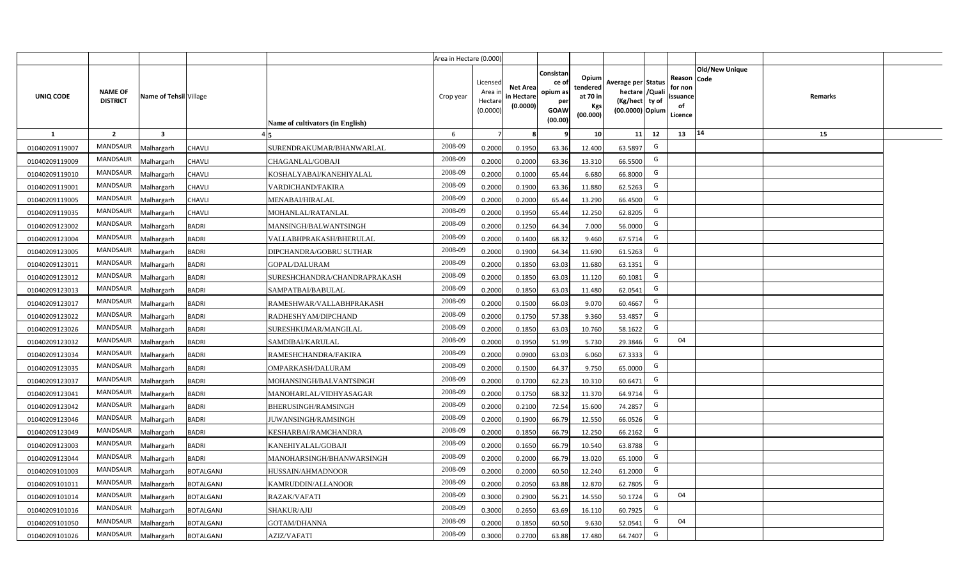|                |                                   |                         |                  |                                  | Area in Hectare (0.000) |                                            |                                           |                                                                |                                                  |                                                                            |    |                                                                             |         |  |
|----------------|-----------------------------------|-------------------------|------------------|----------------------------------|-------------------------|--------------------------------------------|-------------------------------------------|----------------------------------------------------------------|--------------------------------------------------|----------------------------------------------------------------------------|----|-----------------------------------------------------------------------------|---------|--|
| UNIQ CODE      | <b>NAME OF</b><br><b>DISTRICT</b> | Name of Tehsil Village  |                  | Name of cultivators (in English) | Crop year               | Licensed<br>Area in<br>Hectare<br>(0.0000) | <b>Net Area</b><br>in Hectare<br>(0.0000) | Consistar<br>ce o<br>opium as<br>per<br><b>GOAW</b><br>(00.00) | Opium<br>tendered<br>at 70 in<br>Kgs<br>(00.000) | Average per Status<br>hectare / Quali<br>(Kg/hect ty of<br>(00.0000) Opium |    | <b>Old/New Unique</b><br>Reason Code<br>for non<br>ssuance<br>of<br>Licence | Remarks |  |
| $\mathbf{1}$   | $\overline{2}$                    | $\overline{\mathbf{3}}$ |                  |                                  | 6                       | $\overline{7}$                             | -8                                        | 9                                                              | 10                                               | 11                                                                         | 12 | 14<br>13                                                                    | 15      |  |
| 01040209119007 | <b>MANDSAUR</b>                   | <b>Malhargarh</b>       | CHAVLI           | SURENDRAKUMAR/BHANWARLAL         | 2008-09                 | 0.2000                                     | 0.1950                                    | 63.36                                                          | 12.400                                           | 63.5897                                                                    | G  |                                                                             |         |  |
| 01040209119009 | MANDSAUR                          | <b>Malhargarh</b>       | CHAVLI           | CHAGANLAL/GOBAJI                 | 2008-09                 | 0.2000                                     | 0.2000                                    | 63.36                                                          | 13.310                                           | 66.5500                                                                    | G  |                                                                             |         |  |
| 01040209119010 | <b>MANDSAUR</b>                   | <b>Malhargarh</b>       | CHAVLI           | KOSHALYABAI/KANEHIYALAL          | 2008-09                 | 0.2000                                     | 0.1000                                    | 65.44                                                          | 6.680                                            | 66.8000                                                                    | G  |                                                                             |         |  |
| 01040209119001 | <b>MANDSAUR</b>                   | <b>Malhargarh</b>       | CHAVLI           | VARDICHAND/FAKIRA                | 2008-09                 | 0.2000                                     | 0.1900                                    | 63.36                                                          | 11.880                                           | 62.5263                                                                    | G  |                                                                             |         |  |
| 01040209119005 | MANDSAUR                          | <b>Malhargarh</b>       | CHAVLI           | MENABAI/HIRALAL                  | 2008-09                 | 0.2000                                     | 0.2000                                    | 65.44                                                          | 13.290                                           | 66.4500                                                                    | G  |                                                                             |         |  |
| 01040209119035 | <b>MANDSAUR</b>                   | <b>Malhargarh</b>       | CHAVLI           | MOHANLAL/RATANLAL                | 2008-09                 | 0.2000                                     | 0.1950                                    | 65.44                                                          | 12.250                                           | 62.8205                                                                    | G  |                                                                             |         |  |
| 01040209123002 | MANDSAUR                          | <b>Malhargarh</b>       | <b>BADRI</b>     | MANSINGH/BALWANTSINGH            | 2008-09                 | 0.2000                                     | 0.1250                                    | 64.34                                                          | 7.000                                            | 56.0000                                                                    | G  |                                                                             |         |  |
| 01040209123004 | <b>MANDSAUR</b>                   | <b>Malhargarh</b>       | <b>BADRI</b>     | VALLABHPRAKASH/BHERULAL          | 2008-09                 | 0.2000                                     | 0.1400                                    | 68.32                                                          | 9.460                                            | 67.5714                                                                    | G  |                                                                             |         |  |
| 01040209123005 | <b>MANDSAUR</b>                   | <b>Malhargarh</b>       | <b>BADRI</b>     | DIPCHANDRA/GOBRU SUTHAR          | 2008-09                 | 0.2000                                     | 0.1900                                    | 64.34                                                          | 11.690                                           | 61.5263                                                                    | G  |                                                                             |         |  |
| 01040209123011 | <b>MANDSAUR</b>                   | <b>Malhargarh</b>       | <b>BADRI</b>     | <b>GOPAL/DALURAM</b>             | 2008-09                 | 0.2000                                     | 0.1850                                    | 63.03                                                          | 11.680                                           | 63.1351                                                                    | G  |                                                                             |         |  |
| 01040209123012 | <b>MANDSAUR</b>                   | <b>Malhargarh</b>       | <b>BADRI</b>     | SURESHCHANDRA/CHANDRAPRAKASH     | 2008-09                 | 0.2000                                     | 0.1850                                    | 63.03                                                          | 11.120                                           | 60.1081                                                                    | G  |                                                                             |         |  |
| 01040209123013 | <b>MANDSAUR</b>                   | <b>Malhargarh</b>       | <b>BADRI</b>     | SAMPATBAI/BABULAL                | 2008-09                 | 0.2000                                     | 0.1850                                    | 63.03                                                          | 11.480                                           | 62.0541                                                                    | G  |                                                                             |         |  |
| 01040209123017 | <b>MANDSAUR</b>                   | <b>Malhargarh</b>       | <b>BADRI</b>     | RAMESHWAR/VALLABHPRAKASH         | 2008-09                 | 0.2000                                     | 0.1500                                    | 66.03                                                          | 9.070                                            | 60.4667                                                                    | G  |                                                                             |         |  |
| 01040209123022 | MANDSAUR                          | <b>Malhargarh</b>       | <b>BADRI</b>     | RADHESHYAM/DIPCHAND              | 2008-09                 | 0.2000                                     | 0.1750                                    | 57.38                                                          | 9.360                                            | 53.4857                                                                    | G  |                                                                             |         |  |
| 01040209123026 | <b>MANDSAUR</b>                   | Malhargarh              | <b>BADRI</b>     | SURESHKUMAR/MANGILAL             | 2008-09                 | 0.2000                                     | 0.1850                                    | 63.03                                                          | 10.760                                           | 58.1622                                                                    | G  |                                                                             |         |  |
| 01040209123032 | MANDSAUR                          | Malhargarh              | <b>BADRI</b>     | SAMDIBAI/KARULAL                 | 2008-09                 | 0.2000                                     | 0.1950                                    | 51.99                                                          | 5.730                                            | 29.3846                                                                    | G  | 04                                                                          |         |  |
| 01040209123034 | <b>MANDSAUR</b>                   | <b>Malhargarh</b>       | <b>BADRI</b>     | RAMESHCHANDRA/FAKIRA             | 2008-09                 | 0.2000                                     | 0.0900                                    | 63.03                                                          | 6.060                                            | 67.3333                                                                    | G  |                                                                             |         |  |
| 01040209123035 | <b>MANDSAUR</b>                   | <b>Malhargarh</b>       | <b>BADRI</b>     | OMPARKASH/DALURAM                | 2008-09                 | 0.2000                                     | 0.1500                                    | 64.37                                                          | 9.750                                            | 65.0000                                                                    | G  |                                                                             |         |  |
| 01040209123037 | MANDSAUR                          | <b>Malhargarh</b>       | <b>BADRI</b>     | MOHANSINGH/BALVANTSINGH          | 2008-09                 | 0.2000                                     | 0.1700                                    | 62.23                                                          | 10.310                                           | 60.6471                                                                    | G  |                                                                             |         |  |
| 01040209123041 | <b>MANDSAUR</b>                   | <b>Malhargarh</b>       | <b>BADRI</b>     | MANOHARLAL/VIDHYASAGAR           | 2008-09                 | 0.2000                                     | 0.1750                                    | 68.32                                                          | 11.370                                           | 64.971                                                                     | G  |                                                                             |         |  |
| 01040209123042 | <b>MANDSAUR</b>                   | <b>Malhargarh</b>       | <b>BADRI</b>     | BHERUSINGH/RAMSINGH              | 2008-09                 | 0.2000                                     | 0.2100                                    | 72.54                                                          | 15.600                                           | 74.2857                                                                    | G  |                                                                             |         |  |
| 01040209123046 | <b>MANDSAUR</b>                   | <b>Malhargarh</b>       | <b>BADRI</b>     | <b>JUWANSINGH/RAMSINGH</b>       | 2008-09                 | 0.2000                                     | 0.1900                                    | 66.79                                                          | 12.550                                           | 66.0526                                                                    | G  |                                                                             |         |  |
| 01040209123049 | MANDSAUR                          | <b>Malhargarh</b>       | <b>BADRI</b>     | KESHARBAI/RAMCHANDRA             | 2008-09                 | 0.2000                                     | 0.1850                                    | 66.79                                                          | 12.250                                           | 66.2162                                                                    | G  |                                                                             |         |  |
| 01040209123003 | <b>MANDSAUR</b>                   | <b>Aalhargarh</b>       | <b>BADRI</b>     | KANEHIYALAL/GOBAJI               | 2008-09                 | 0.2000                                     | 0.1650                                    | 66.79                                                          | 10.540                                           | 63.8788                                                                    | G  |                                                                             |         |  |
| 01040209123044 | <b>MANDSAUR</b>                   | <b>Malhargarh</b>       | <b>BADRI</b>     | MANOHARSINGH/BHANWARSINGH        | 2008-09                 | 0.2000                                     | 0.2000                                    | 66.79                                                          | 13.020                                           | 65.1000                                                                    | G  |                                                                             |         |  |
| 01040209101003 | <b>MANDSAUR</b>                   | <b>Malhargarh</b>       | <b>BOTALGANJ</b> | HUSSAIN/AHMADNOOR                | 2008-09                 | 0.2000                                     | 0.2000                                    | 60.50                                                          | 12.240                                           | 61.2000                                                                    | G  |                                                                             |         |  |
| 01040209101011 | <b>MANDSAUR</b>                   | <b>Malhargarh</b>       | <b>BOTALGANJ</b> | KAMRUDDIN/ALLANOOR               | 2008-09                 | 0.2000                                     | 0.2050                                    | 63.88                                                          | 12.870                                           | 62.7805                                                                    | G  |                                                                             |         |  |
| 01040209101014 | <b>MANDSAUR</b>                   | <b>Malhargarh</b>       | <b>BOTALGANJ</b> | RAZAK/VAFATI                     | 2008-09                 | 0.3000                                     | 0.2900                                    | 56.21                                                          | 14.550                                           | 50.1724                                                                    | G  | 04                                                                          |         |  |
| 01040209101016 | MANDSAUR                          | <b>Malhargarh</b>       | <b>BOTALGANJ</b> | SHAKUR/AJIJ                      | 2008-09                 | 0.3000                                     | 0.2650                                    | 63.69                                                          | 16.110                                           | 60.7925                                                                    | G  |                                                                             |         |  |
| 01040209101050 | <b>MANDSAUR</b>                   | <b>Malhargarh</b>       | <b>BOTALGANJ</b> | <b>GOTAM/DHANNA</b>              | 2008-09                 | 0.2000                                     | 0.1850                                    | 60.50                                                          | 9.630                                            | 52.0541                                                                    | G  | 04                                                                          |         |  |
| 01040209101026 | MANDSAUR                          | Malhargarh              | <b>BOTALGANJ</b> | <b>AZIZ/VAFATI</b>               | 2008-09                 | 0.3000                                     | 0.2700                                    | 63.88                                                          | 17.480                                           | 64.7407                                                                    | G  |                                                                             |         |  |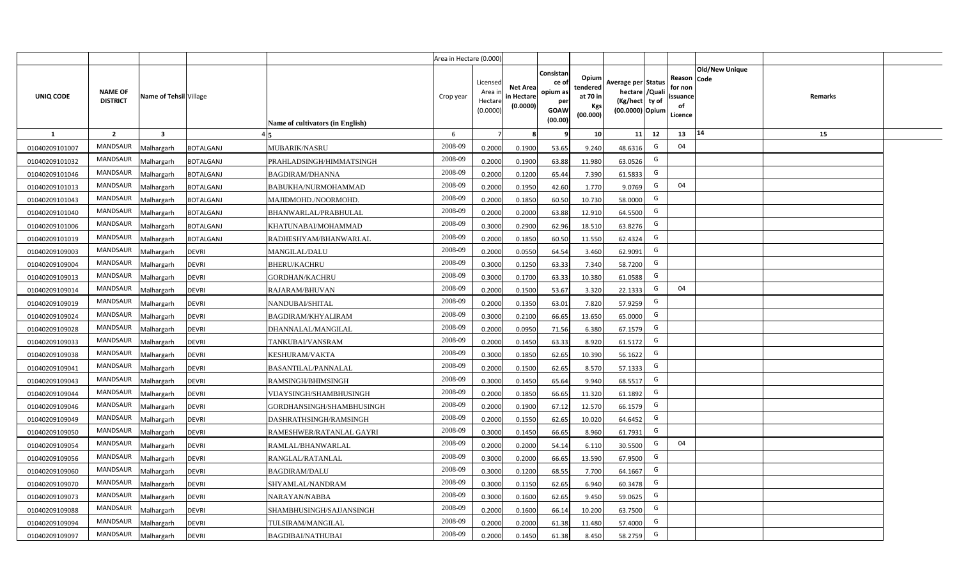|                |                                   |                         |                                              | Area in Hectare (0.000) |                                            |                                           |                                                                |                                                  |                                                                            |    |                                                    |                       |         |  |
|----------------|-----------------------------------|-------------------------|----------------------------------------------|-------------------------|--------------------------------------------|-------------------------------------------|----------------------------------------------------------------|--------------------------------------------------|----------------------------------------------------------------------------|----|----------------------------------------------------|-----------------------|---------|--|
| UNIQ CODE      | <b>NAME OF</b><br><b>DISTRICT</b> | Name of Tehsil Village  | Name of cultivators (in English)             | Crop year               | Licensed<br>Area in<br>Hectare<br>(0.0000) | <b>Net Area</b><br>in Hectare<br>(0.0000) | Consistan<br>ce o<br>opium as<br>per<br><b>GOAW</b><br>(00.00) | Opium<br>tendered<br>at 70 in<br>Kgs<br>(00.000) | Average per Status<br>hectare / Quali<br>(Kg/hect ty of<br>(00.0000) Opium |    | Reason Code<br>for non<br>ssuance<br>of<br>Licence | <b>Old/New Unique</b> | Remarks |  |
| $\mathbf{1}$   | $\overline{2}$                    | $\overline{\mathbf{3}}$ |                                              | 6                       | $\overline{7}$                             |                                           | 9                                                              | 10                                               | 11                                                                         | 12 | 14<br>13                                           |                       | 15      |  |
| 01040209101007 | MANDSAUR                          | <b>Malhargarh</b>       | <b>BOTALGANJ</b><br>MUBARIK/NASRU            | 2008-09                 | 0.2000                                     | 0.1900                                    | 53.65                                                          | 9.240                                            | 48.631                                                                     | G  | 04                                                 |                       |         |  |
| 01040209101032 | MANDSAUR                          | <b>Malhargarh</b>       | <b>BOTALGANJ</b><br>PRAHLADSINGH/HIMMATSINGH | 2008-09                 | 0.2000                                     | 0.1900                                    | 63.88                                                          | 11.980                                           | 63.0526                                                                    | G  |                                                    |                       |         |  |
| 01040209101046 | MANDSAUR                          | <b>Malhargarh</b>       | <b>BOTALGANJ</b><br><b>BAGDIRAM/DHANNA</b>   | 2008-09                 | 0.2000                                     | 0.1200                                    | 65.44                                                          | 7.390                                            | 61.5833                                                                    | G  |                                                    |                       |         |  |
| 01040209101013 | <b>MANDSAUR</b>                   | <b>Malhargarh</b>       | <b>BOTALGANJ</b><br>BABUKHA/NURMOHAMMAD      | 2008-09                 | 0.2000                                     | 0.1950                                    | 42.60                                                          | 1.770                                            | 9.0769                                                                     | G  | 04                                                 |                       |         |  |
| 01040209101043 | MANDSAUR                          | <b>Malhargarh</b>       | <b>BOTALGANJ</b><br>MAJIDMOHD./NOORMOHD.     | 2008-09                 | 0.2000                                     | 0.1850                                    | 60.50                                                          | 10.730                                           | 58.0000                                                                    | G  |                                                    |                       |         |  |
| 01040209101040 | <b>MANDSAUR</b>                   | <b>Malhargarh</b>       | <b>BOTALGANJ</b><br>BHANWARLAL/PRABHULAL     | 2008-09                 | 0.2000                                     | 0.2000                                    | 63.88                                                          | 12.910                                           | 64.5500                                                                    | G  |                                                    |                       |         |  |
| 01040209101006 | MANDSAUR                          | <b>Malhargarh</b>       | <b>BOTALGANJ</b><br>KHATUNABAI/MOHAMMAD      | 2008-09                 | 0.3000                                     | 0.2900                                    | 62.96                                                          | 18.510                                           | 63.8276                                                                    | G  |                                                    |                       |         |  |
| 01040209101019 | <b>MANDSAUR</b>                   | <b>Malhargarh</b>       | <b>BOTALGANJ</b><br>RADHESHYAM/BHANWARLAL    | 2008-09                 | 0.2000                                     | 0.1850                                    | 60.50                                                          | 11.550                                           | 62.4324                                                                    | G  |                                                    |                       |         |  |
| 01040209109003 | MANDSAUR                          | <b>Malhargarh</b>       | MANGILAL/DALU<br><b>DEVRI</b>                | 2008-09                 | 0.2000                                     | 0.0550                                    | 64.54                                                          | 3.460                                            | 62.9091                                                                    | G  |                                                    |                       |         |  |
| 01040209109004 | <b>MANDSAUR</b>                   | <b>Malhargarh</b>       | <b>DEVRI</b><br><b>BHERU/KACHRU</b>          | 2008-09                 | 0.3000                                     | 0.1250                                    | 63.33                                                          | 7.340                                            | 58.7200                                                                    | G  |                                                    |                       |         |  |
| 01040209109013 | <b>MANDSAUR</b>                   | <b>Malhargarh</b>       | <b>DEVRI</b><br><b>GORDHAN/KACHRU</b>        | 2008-09                 | 0.3000                                     | 0.1700                                    | 63.33                                                          | 10.380                                           | 61.0588                                                                    | G  |                                                    |                       |         |  |
| 01040209109014 | MANDSAUR                          | <b>Malhargarh</b>       | <b>DEVRI</b><br>RAJARAM/BHUVAN               | 2008-09                 | 0.2000                                     | 0.1500                                    | 53.67                                                          | 3.320                                            | 22.1333                                                                    | G  | 04                                                 |                       |         |  |
| 01040209109019 | MANDSAUR                          | <b>Malhargarh</b>       | <b>DEVRI</b><br>NANDUBAI/SHITAL              | 2008-09                 | 0.2000                                     | 0.1350                                    | 63.01                                                          | 7.820                                            | 57.9259                                                                    | G  |                                                    |                       |         |  |
| 01040209109024 | MANDSAUR                          | Malhargarh              | <b>DEVRI</b><br><b>BAGDIRAM/KHYALIRAM</b>    | 2008-09                 | 0.3000                                     | 0.2100                                    | 66.65                                                          | 13.650                                           | 65.0000                                                                    | G  |                                                    |                       |         |  |
| 01040209109028 | <b>MANDSAUR</b>                   | Malhargarh              | <b>DEVRI</b><br>DHANNALAL/MANGILAL           | 2008-09                 | 0.2000                                     | 0.0950                                    | 71.56                                                          | 6.380                                            | 67.1579                                                                    | G  |                                                    |                       |         |  |
| 01040209109033 | <b>MANDSAUR</b>                   | Malhargarh              | <b>DEVRI</b><br>TANKUBAI/VANSRAM             | 2008-09                 | 0.2000                                     | 0.1450                                    | 63.33                                                          | 8.920                                            | 61.5172                                                                    | G  |                                                    |                       |         |  |
| 01040209109038 | <b>MANDSAUR</b>                   | <b>Malhargarh</b>       | <b>DEVRI</b><br>KESHURAM/VAKTA               | 2008-09                 | 0.3000                                     | 0.1850                                    | 62.65                                                          | 10.390                                           | 56.1622                                                                    | G  |                                                    |                       |         |  |
| 01040209109041 | MANDSAUR                          | <b>Malhargarh</b>       | <b>DEVRI</b><br><b>BASANTILAL/PANNALAL</b>   | 2008-09                 | 0.2000                                     | 0.1500                                    | 62.65                                                          | 8.570                                            | 57.1333                                                                    | G  |                                                    |                       |         |  |
| 01040209109043 | <b>MANDSAUR</b>                   | <b>Malhargarh</b>       | <b>DEVRI</b><br>RAMSINGH/BHIMSINGH           | 2008-09                 | 0.3000                                     | 0.1450                                    | 65.64                                                          | 9.940                                            | 68.5517                                                                    | G  |                                                    |                       |         |  |
| 01040209109044 | <b>MANDSAUR</b>                   | Malhargarh              | <b>DEVRI</b><br>VIJAYSINGH/SHAMBHUSINGH      | 2008-09                 | 0.2000                                     | 0.1850                                    | 66.65                                                          | 11.320                                           | 61.1892                                                                    | G  |                                                    |                       |         |  |
| 01040209109046 | MANDSAUR                          | <b>Malhargarh</b>       | <b>DEVRI</b><br>GORDHANSINGH/SHAMBHUSINGH    | 2008-09                 | 0.2000                                     | 0.1900                                    | 67.12                                                          | 12.570                                           | 66.1579                                                                    | G  |                                                    |                       |         |  |
| 01040209109049 | MANDSAUR                          | <b>Malhargarh</b>       | <b>DEVRI</b><br>DASHRATHSINGH/RAMSINGH       | 2008-09                 | 0.2000                                     | 0.1550                                    | 62.65                                                          | 10.020                                           | 64.6452                                                                    | G  |                                                    |                       |         |  |
| 01040209109050 | <b>MANDSAUR</b>                   | Aalhargarh              | <b>DEVRI</b><br>RAMESHWER/RATANLAL GAYRI     | 2008-09                 | 0.3000                                     | 0.1450                                    | 66.65                                                          | 8.960                                            | 61.7931                                                                    | G  |                                                    |                       |         |  |
| 01040209109054 | <b>MANDSAUR</b>                   | <b>Malhargarh</b>       | <b>DEVRI</b><br>RAMLAL/BHANWARLAL            | 2008-09                 | 0.2000                                     | 0.2000                                    | 54.14                                                          | 6.110                                            | 30.5500                                                                    | G  | 04                                                 |                       |         |  |
| 01040209109056 | <b>MANDSAUR</b>                   | <b>Malhargarh</b>       | <b>DEVRI</b><br>RANGLAL/RATANLAL             | 2008-09                 | 0.3000                                     | 0.2000                                    | 66.65                                                          | 13.590                                           | 67.9500                                                                    | G  |                                                    |                       |         |  |
| 01040209109060 | MANDSAUR                          | <b>Malhargarh</b>       | <b>DEVRI</b><br><b>BAGDIRAM/DALU</b>         | 2008-09                 | 0.3000                                     | 0.1200                                    | 68.55                                                          | 7.700                                            | 64.1667                                                                    | G  |                                                    |                       |         |  |
| 01040209109070 | <b>MANDSAUR</b>                   | <b>Malhargarh</b>       | <b>DEVRI</b><br>SHYAMLAL/NANDRAM             | 2008-09                 | 0.3000                                     | 0.1150                                    | 62.65                                                          | 6.940                                            | 60.3478                                                                    | G  |                                                    |                       |         |  |
| 01040209109073 | <b>MANDSAUR</b>                   | <b>Malhargarh</b>       | <b>DEVRI</b><br>NARAYAN/NABBA                | 2008-09                 | 0.3000                                     | 0.1600                                    | 62.65                                                          | 9.450                                            | 59.0625                                                                    | G  |                                                    |                       |         |  |
| 01040209109088 | <b>MANDSAUR</b>                   | <b>Malhargarh</b>       | <b>DEVRI</b><br>SHAMBHUSINGH/SAJJANSINGH     | 2008-09                 | 0.2000                                     | 0.1600                                    | 66.14                                                          | 10.200                                           | 63.7500                                                                    | G  |                                                    |                       |         |  |
| 01040209109094 | <b>MANDSAUR</b>                   | <b>Malhargarh</b>       | <b>DEVRI</b><br>TULSIRAM/MANGILAL            | 2008-09                 | 0.2000                                     | 0.2000                                    | 61.38                                                          | 11.480                                           | 57.4000                                                                    | G  |                                                    |                       |         |  |
| 01040209109097 | MANDSAUR                          | Malhargarh              | <b>DEVRI</b><br><b>BAGDIBAI/NATHUBAI</b>     | 2008-09                 | 0.2000                                     | 0.1450                                    | 61.38                                                          | 8.450                                            | 58.2759                                                                    | G  |                                                    |                       |         |  |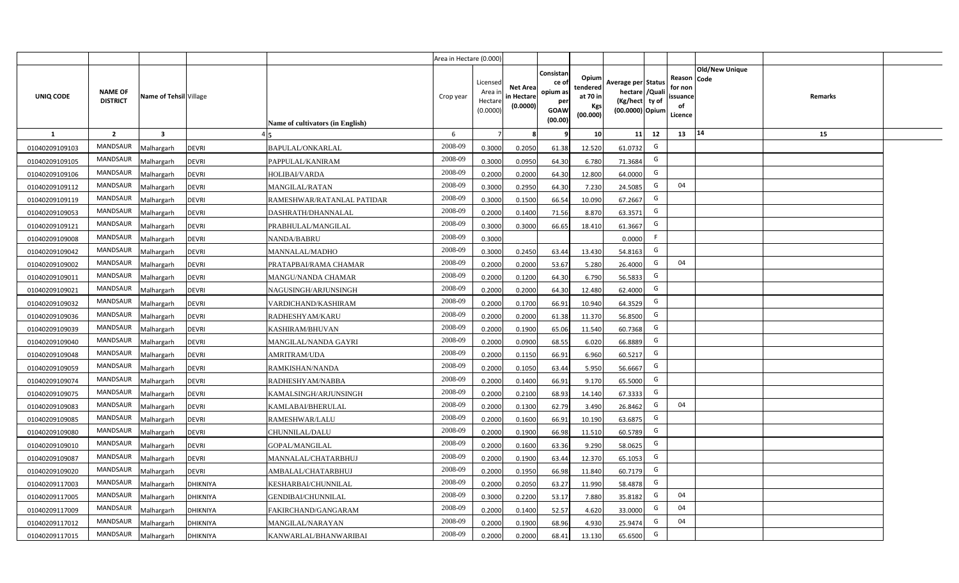|                |                                   |                         |                 |                                  | Area in Hectare (0.000) |                                           |                                           |                                                                |                                                  |                                                                            |                                                     |                       |         |  |
|----------------|-----------------------------------|-------------------------|-----------------|----------------------------------|-------------------------|-------------------------------------------|-------------------------------------------|----------------------------------------------------------------|--------------------------------------------------|----------------------------------------------------------------------------|-----------------------------------------------------|-----------------------|---------|--|
| UNIQ CODE      | <b>NAME OF</b><br><b>DISTRICT</b> | Name of Tehsil Village  |                 | Name of cultivators (in English) | Crop year               | Licensed<br>Area i<br>Hectare<br>(0.0000) | <b>Net Area</b><br>in Hectare<br>(0.0000) | Consistan<br>ce o<br>opium as<br>per<br><b>GOAW</b><br>(00.00) | Opium<br>tendered<br>at 70 in<br>Kgs<br>(00.000) | Average per Status<br>hectare / Quali<br>(Kg/hect ty of<br>(00.0000) Opium | Reason Code<br>for non<br>issuance<br>of<br>Licence | <b>Old/New Unique</b> | Remarks |  |
| $\mathbf{1}$   | $\overline{2}$                    | $\overline{\mathbf{3}}$ |                 |                                  | 6                       | $\overline{7}$                            |                                           | 9                                                              | 10 <sup>1</sup>                                  | 11<br>12                                                                   | 13                                                  | 14                    | 15      |  |
| 01040209109103 | MANDSAUR                          | Malhargarh              | <b>DEVRI</b>    | BAPULAL/ONKARLAL                 | 2008-09                 | 0.3000                                    | 0.2050                                    | 61.38                                                          | 12.520                                           | G<br>61.0732                                                               |                                                     |                       |         |  |
| 01040209109105 | MANDSAUR                          | Malhargarh              | <b>DEVRI</b>    | PAPPULAL/KANIRAM                 | 2008-09                 | 0.3000                                    | 0.0950                                    | 64.30                                                          | 6.780                                            | G<br>71.3684                                                               |                                                     |                       |         |  |
| 01040209109106 | MANDSAUR                          | Malhargarh              | <b>DEVRI</b>    | HOLIBAI/VARDA                    | 2008-09                 | 0.2000                                    | 0.2000                                    | 64.30                                                          | 12.800                                           | G<br>64.0000                                                               |                                                     |                       |         |  |
| 01040209109112 | MANDSAUR                          | Malhargarh              | <b>DEVRI</b>    | <b>MANGILAL/RATAN</b>            | 2008-09                 | 0.3000                                    | 0.2950                                    | 64.30                                                          | 7.230                                            | G<br>24.5085                                                               | 04                                                  |                       |         |  |
| 01040209109119 | MANDSAUR                          | Malhargarh              | <b>DEVRI</b>    | RAMESHWAR/RATANLAL PATIDAR       | 2008-09                 | 0.3000                                    | 0.1500                                    | 66.54                                                          | 10.090                                           | G<br>67.2667                                                               |                                                     |                       |         |  |
| 01040209109053 | <b>MANDSAUR</b>                   | Malhargarh              | <b>DEVRI</b>    | DASHRATH/DHANNALAL               | 2008-09                 | 0.2000                                    | 0.1400                                    | 71.56                                                          | 8.870                                            | G<br>63.3571                                                               |                                                     |                       |         |  |
| 01040209109121 | MANDSAUR                          | Malhargarh              | <b>DEVRI</b>    | PRABHULAL/MANGILAL               | 2008-09                 | 0.3000                                    | 0.3000                                    | 66.65                                                          | 18.410                                           | G<br>61.3667                                                               |                                                     |                       |         |  |
| 01040209109008 | <b>MANDSAUR</b>                   | Malhargarh              | <b>DEVRI</b>    | NANDA/BABRU                      | 2008-09                 | 0.3000                                    |                                           |                                                                |                                                  | F<br>0.0000                                                                |                                                     |                       |         |  |
| 01040209109042 | <b>MANDSAUR</b>                   | Malhargarh              | <b>DEVRI</b>    | MANNALAL/MADHO                   | 2008-09                 | 0.3000                                    | 0.2450                                    | 63.44                                                          | 13.430                                           | G<br>54.8163                                                               |                                                     |                       |         |  |
| 01040209109002 | <b>MANDSAUR</b>                   | Malhargarh              | <b>DEVRI</b>    | PRATAPBAI/RAMA CHAMAR            | 2008-09                 | 0.2000                                    | 0.2000                                    | 53.67                                                          | 5.280                                            | G<br>26.4000                                                               | 04                                                  |                       |         |  |
| 01040209109011 | MANDSAUR                          | Malhargarh              | <b>DEVRI</b>    | MANGU/NANDA CHAMAR               | 2008-09                 | 0.2000                                    | 0.1200                                    | 64.30                                                          | 6.790                                            | G<br>56.5833                                                               |                                                     |                       |         |  |
| 01040209109021 | <b>MANDSAUR</b>                   | Malhargarh              | <b>DEVRI</b>    | NAGUSINGH/ARJUNSINGH             | 2008-09                 | 0.2000                                    | 0.2000                                    | 64.30                                                          | 12.480                                           | G<br>62.4000                                                               |                                                     |                       |         |  |
| 01040209109032 | <b>MANDSAUR</b>                   | Malhargarh              | <b>DEVRI</b>    | VARDICHAND/KASHIRAM              | 2008-09                 | 0.2000                                    | 0.1700                                    | 66.91                                                          | 10.940                                           | G<br>64.3529                                                               |                                                     |                       |         |  |
| 01040209109036 | MANDSAUR                          | Malhargarh              | <b>DEVRI</b>    | RADHESHYAM/KARU                  | 2008-09                 | 0.2000                                    | 0.2000                                    | 61.38                                                          | 11.370                                           | G<br>56.8500                                                               |                                                     |                       |         |  |
| 01040209109039 | <b>MANDSAUR</b>                   | Malhargarh              | <b>DEVRI</b>    | KASHIRAM/BHUVAN                  | 2008-09                 | 0.2000                                    | 0.1900                                    | 65.06                                                          | 11.540                                           | G<br>60.7368                                                               |                                                     |                       |         |  |
| 01040209109040 | <b>MANDSAUR</b>                   | Malhargarh              | <b>DEVRI</b>    | MANGILAL/NANDA GAYRI             | 2008-09                 | 0.2000                                    | 0.0900                                    | 68.55                                                          | 6.020                                            | G<br>66.8889                                                               |                                                     |                       |         |  |
| 01040209109048 | <b>MANDSAUR</b>                   | Malhargarh              | <b>DEVRI</b>    | <b>AMRITRAM/UDA</b>              | 2008-09                 | 0.2000                                    | 0.1150                                    | 66.91                                                          | 6.960                                            | G<br>60.5217                                                               |                                                     |                       |         |  |
| 01040209109059 | <b>MANDSAUR</b>                   | Malhargarh              | <b>DEVRI</b>    | RAMKISHAN/NANDA                  | 2008-09                 | 0.2000                                    | 0.1050                                    | 63.44                                                          | 5.950                                            | G<br>56.6667                                                               |                                                     |                       |         |  |
| 01040209109074 | <b>MANDSAUR</b>                   | Malhargarh              | <b>DEVRI</b>    | RADHESHYAM/NABBA                 | 2008-09                 | 0.2000                                    | 0.1400                                    | 66.91                                                          | 9.170                                            | G<br>65.5000                                                               |                                                     |                       |         |  |
| 01040209109075 | <b>MANDSAUR</b>                   | Malhargarh              | <b>DEVRI</b>    | KAMALSINGH/ARJUNSINGH            | 2008-09                 | 0.2000                                    | 0.2100                                    | 68.93                                                          | 14.140                                           | G<br>67.3333                                                               |                                                     |                       |         |  |
| 01040209109083 | <b>MANDSAUR</b>                   | Malhargarh              | <b>DEVRI</b>    | KAMLABAI/BHERULAL                | 2008-09                 | 0.2000                                    | 0.1300                                    | 62.79                                                          | 3.490                                            | G<br>26.8462                                                               | 04                                                  |                       |         |  |
| 01040209109085 | <b>MANDSAUR</b>                   | Malhargarh              | <b>DEVRI</b>    | RAMESHWAR/LALU                   | 2008-09                 | 0.2000                                    | 0.1600                                    | 66.91                                                          | 10.190                                           | G<br>63.6875                                                               |                                                     |                       |         |  |
| 01040209109080 | <b>MANDSAUR</b>                   | Malhargarh              | <b>DEVRI</b>    | CHUNNILAL/DALU                   | 2008-09                 | 0.2000                                    | 0.1900                                    | 66.98                                                          | 11.510                                           | G<br>60.5789                                                               |                                                     |                       |         |  |
| 01040209109010 | MANDSAUR                          | Malhargarh              | <b>DEVRI</b>    | GOPAL/MANGILAL                   | 2008-09                 | 0.2000                                    | 0.1600                                    | 63.36                                                          | 9.290                                            | G<br>58.0625                                                               |                                                     |                       |         |  |
| 01040209109087 | MANDSAUR                          | Malhargarh              | <b>DEVRI</b>    | MANNALAL/CHATARBHUJ              | 2008-09                 | 0.2000                                    | 0.1900                                    | 63.44                                                          | 12.370                                           | G<br>65.1053                                                               |                                                     |                       |         |  |
| 01040209109020 | <b>MANDSAUR</b>                   | Malhargarh              | <b>DEVRI</b>    | AMBALAL/CHATARBHUJ               | 2008-09                 | 0.2000                                    | 0.1950                                    | 66.98                                                          | 11.840                                           | G<br>60.7179                                                               |                                                     |                       |         |  |
| 01040209117003 | <b>MANDSAUR</b>                   | Malhargarh              | <b>DHIKNIYA</b> | KESHARBAI/CHUNNILAL              | 2008-09                 | 0.2000                                    | 0.2050                                    | 63.27                                                          | 11.990                                           | G<br>58.4878                                                               |                                                     |                       |         |  |
| 01040209117005 | MANDSAUR                          | Malhargarh              | <b>DHIKNIYA</b> | <b>GENDIBAI/CHUNNILAL</b>        | 2008-09                 | 0.3000                                    | 0.2200                                    | 53.17                                                          | 7.880                                            | G<br>35.8182                                                               | 04                                                  |                       |         |  |
| 01040209117009 | <b>MANDSAUR</b>                   | Malhargarh              | <b>DHIKNIYA</b> | FAKIRCHAND/GANGARAM              | 2008-09                 | 0.2000                                    | 0.1400                                    | 52.57                                                          | 4.620                                            | G<br>33.0000                                                               | 04                                                  |                       |         |  |
| 01040209117012 | <b>MANDSAUR</b>                   | Malhargarh              | <b>DHIKNIYA</b> | MANGILAL/NARAYAN                 | 2008-09                 | 0.2000                                    | 0.1900                                    | 68.96                                                          | 4.930                                            | G<br>25.9474                                                               | 04                                                  |                       |         |  |
| 01040209117015 | MANDSAUR                          | Malhargarh              | DHIKNIYA        | KANWARLAL/BHANWARIBAI            | 2008-09                 | 0.2000                                    | 0.2000                                    | 68.41                                                          | 13.130                                           | G<br>65.6500                                                               |                                                     |                       |         |  |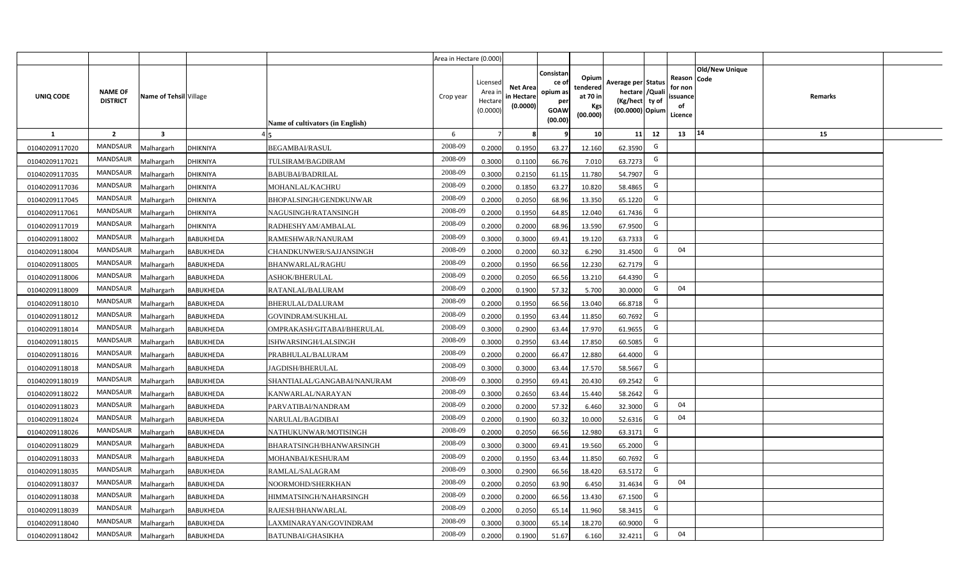|                |                                   |                         |                  |                                  | Area in Hectare (0.000) |                                           |                                           |                                                                 |                                                  |                                                                            |                                                    |                       |         |  |
|----------------|-----------------------------------|-------------------------|------------------|----------------------------------|-------------------------|-------------------------------------------|-------------------------------------------|-----------------------------------------------------------------|--------------------------------------------------|----------------------------------------------------------------------------|----------------------------------------------------|-----------------------|---------|--|
| UNIQ CODE      | <b>NAME OF</b><br><b>DISTRICT</b> | Name of Tehsil Village  |                  | Name of cultivators (in English) | Crop year               | Licensed<br>Area i<br>Hectare<br>(0.0000) | <b>Net Area</b><br>in Hectare<br>(0.0000) | Consistan<br>ce of<br>opium as<br>per<br><b>GOAW</b><br>(00.00) | Opium<br>tendered<br>at 70 in<br>Kgs<br>(00.000) | Average per Status<br>hectare / Quali<br>(Kg/hect ty of<br>(00.0000) Opium | Reason Code<br>for non<br>ssuance<br>of<br>Licence | <b>Old/New Unique</b> | Remarks |  |
| $\mathbf{1}$   | $\overline{2}$                    | $\overline{\mathbf{3}}$ |                  |                                  | 6                       | $\overline{7}$                            | 8                                         | 9                                                               | 10 <sup>1</sup>                                  | 12<br>11                                                                   | 13                                                 | 14                    | 15      |  |
| 01040209117020 | MANDSAUR                          | Malhargarh              | <b>DHIKNIYA</b>  | <b>BEGAMBAI/RASUL</b>            | 2008-09                 | 0.2000                                    | 0.1950                                    | 63.27                                                           | 12.160                                           | G<br>62.3590                                                               |                                                    |                       |         |  |
| 01040209117021 | MANDSAUR                          | <b>Aalhargarh</b>       | <b>DHIKNIYA</b>  | TULSIRAM/BAGDIRAM                | 2008-09                 | 0.3000                                    | 0.1100                                    | 66.76                                                           | 7.010                                            | G<br>63.7273                                                               |                                                    |                       |         |  |
| 01040209117035 | MANDSAUR                          | Malhargarh              | <b>DHIKNIYA</b>  | BABUBAI/BADRILAL                 | 2008-09                 | 0.3000                                    | 0.2150                                    | 61.15                                                           | 11.780                                           | G<br>54.7907                                                               |                                                    |                       |         |  |
| 01040209117036 | <b>MANDSAUR</b>                   | Malhargarh              | <b>DHIKNIYA</b>  | MOHANLAL/KACHRU                  | 2008-09                 | 0.2000                                    | 0.1850                                    | 63.27                                                           | 10.820                                           | G<br>58.4865                                                               |                                                    |                       |         |  |
| 01040209117045 | MANDSAUR                          | Malhargarh              | <b>DHIKNIYA</b>  | BHOPALSINGH/GENDKUNWAR           | 2008-09                 | 0.2000                                    | 0.2050                                    | 68.96                                                           | 13.350                                           | G<br>65.1220                                                               |                                                    |                       |         |  |
| 01040209117061 | MANDSAUR                          | Malhargarh              | <b>DHIKNIYA</b>  | NAGUSINGH/RATANSINGH             | 2008-09                 | 0.2000                                    | 0.1950                                    | 64.85                                                           | 12.040                                           | G<br>61.7436                                                               |                                                    |                       |         |  |
| 01040209117019 | MANDSAUR                          | Malhargarh              | <b>DHIKNIYA</b>  | RADHESHYAM/AMBALAL               | 2008-09                 | 0.2000                                    | 0.2000                                    | 68.96                                                           | 13.590                                           | G<br>67.9500                                                               |                                                    |                       |         |  |
| 01040209118002 | MANDSAUR                          | Malhargarh              | <b>BABUKHEDA</b> | RAMESHWAR/NANURAM                | 2008-09                 | 0.3000                                    | 0.3000                                    | 69.41                                                           | 19.120                                           | G<br>63.7333                                                               |                                                    |                       |         |  |
| 01040209118004 | <b>MANDSAUR</b>                   | Malhargarh              | <b>BABUKHEDA</b> | CHANDKUNWER/SAJJANSINGH          | 2008-09                 | 0.2000                                    | 0.2000                                    | 60.32                                                           | 6.290                                            | G<br>31.4500                                                               | 04                                                 |                       |         |  |
| 01040209118005 | <b>MANDSAUR</b>                   | Malhargarh              | <b>BABUKHEDA</b> | <b>BHANWARLAL/RAGHU</b>          | 2008-09                 | 0.2000                                    | 0.1950                                    | 66.56                                                           | 12.230                                           | G<br>62.7179                                                               |                                                    |                       |         |  |
| 01040209118006 | MANDSAUR                          | Malhargarh              | <b>BABUKHEDA</b> | <b>ASHOK/BHERULAL</b>            | 2008-09                 | 0.2000                                    | 0.2050                                    | 66.56                                                           | 13.210                                           | G<br>64.4390                                                               |                                                    |                       |         |  |
| 01040209118009 | MANDSAUR                          | Malhargarh              | <b>BABUKHEDA</b> | RATANLAL/BALURAM                 | 2008-09                 | 0.2000                                    | 0.1900                                    | 57.32                                                           | 5.700                                            | G<br>30.0000                                                               | 04                                                 |                       |         |  |
| 01040209118010 | MANDSAUR                          | Malhargarh              | <b>BABUKHEDA</b> | <b>BHERULAL/DALURAM</b>          | 2008-09                 | 0.2000                                    | 0.1950                                    | 66.56                                                           | 13.040                                           | G<br>66.8718                                                               |                                                    |                       |         |  |
| 01040209118012 | <b>MANDSAUR</b>                   | Malhargarh              | <b>BABUKHEDA</b> | GOVINDRAM/SUKHLAL                | 2008-09                 | 0.2000                                    | 0.1950                                    | 63.44                                                           | 11.850                                           | G<br>60.7692                                                               |                                                    |                       |         |  |
| 01040209118014 | <b>MANDSAUR</b>                   | Malhargarh              | <b>BABUKHEDA</b> | OMPRAKASH/GITABAI/BHERULAL       | 2008-09                 | 0.3000                                    | 0.2900                                    | 63.44                                                           | 17.970                                           | G<br>61.9655                                                               |                                                    |                       |         |  |
| 01040209118015 | <b>MANDSAUR</b>                   | Malhargarh              | <b>BABUKHEDA</b> | ISHWARSINGH/LALSINGH             | 2008-09                 | 0.3000                                    | 0.2950                                    | 63.44                                                           | 17.850                                           | G<br>60.5085                                                               |                                                    |                       |         |  |
| 01040209118016 | <b>MANDSAUR</b>                   | Malhargarh              | <b>BABUKHEDA</b> | PRABHULAL/BALURAM                | 2008-09                 | 0.2000                                    | 0.2000                                    | 66.47                                                           | 12.880                                           | G<br>64.4000                                                               |                                                    |                       |         |  |
| 01040209118018 | <b>MANDSAUR</b>                   | Malhargarh              | <b>BABUKHEDA</b> | <b>JAGDISH/BHERULAL</b>          | 2008-09                 | 0.3000                                    | 0.3000                                    | 63.44                                                           | 17.570                                           | G<br>58.5667                                                               |                                                    |                       |         |  |
| 01040209118019 | <b>MANDSAUR</b>                   | Malhargarh              | <b>BABUKHEDA</b> | SHANTIALAL/GANGABAI/NANURAM      | 2008-09                 | 0.3000                                    | 0.2950                                    | 69.41                                                           | 20.430                                           | G<br>69.2542                                                               |                                                    |                       |         |  |
| 01040209118022 | MANDSAUR                          | Malhargarh              | <b>BABUKHEDA</b> | KANWARLAL/NARAYAN                | 2008-09                 | 0.3000                                    | 0.2650                                    | 63.44                                                           | 15.440                                           | G<br>58.2642                                                               |                                                    |                       |         |  |
| 01040209118023 | MANDSAUR                          | Malhargarh              | <b>BABUKHEDA</b> | PARVATIBAI/NANDRAM               | 2008-09                 | 0.2000                                    | 0.2000                                    | 57.32                                                           | 6.460                                            | G<br>32.3000                                                               | 04                                                 |                       |         |  |
| 01040209118024 | MANDSAUR                          | Malhargarh              | <b>BABUKHEDA</b> | NARULAL/BAGDIBAI                 | 2008-09                 | 0.2000                                    | 0.1900                                    | 60.32                                                           | 10.000                                           | G<br>52.6316                                                               | 04                                                 |                       |         |  |
| 01040209118026 | <b>MANDSAUR</b>                   | Malhargarh              | <b>BABUKHEDA</b> | NATHUKUNWAR/MOTISINGH            | 2008-09                 | 0.2000                                    | 0.2050                                    | 66.56                                                           | 12.980                                           | G<br>63.3171                                                               |                                                    |                       |         |  |
| 01040209118029 | <b>MANDSAUR</b>                   | Malhargarh              | <b>BABUKHEDA</b> | BHARATSINGH/BHANWARSINGH         | 2008-09                 | 0.3000                                    | 0.3000                                    | 69.41                                                           | 19.560                                           | G<br>65.2000                                                               |                                                    |                       |         |  |
| 01040209118033 | <b>MANDSAUR</b>                   | Malhargarh              | <b>BABUKHEDA</b> | MOHANBAI/KESHURAM                | 2008-09                 | 0.2000                                    | 0.1950                                    | 63.44                                                           | 11.850                                           | G<br>60.7692                                                               |                                                    |                       |         |  |
| 01040209118035 | MANDSAUR                          | Malhargarh              | <b>BABUKHEDA</b> | RAMLAL/SALAGRAM                  | 2008-09                 | 0.3000                                    | 0.2900                                    | 66.56                                                           | 18.420                                           | G<br>63.5172                                                               |                                                    |                       |         |  |
| 01040209118037 | MANDSAUR                          | Malhargarh              | <b>BABUKHEDA</b> | NOORMOHD/SHERKHAN                | 2008-09                 | 0.2000                                    | 0.2050                                    | 63.90                                                           | 6.450                                            | G<br>31.4634                                                               | 04                                                 |                       |         |  |
| 01040209118038 | MANDSAUR                          | Malhargarh              | <b>BABUKHEDA</b> | HIMMATSINGH/NAHARSINGH           | 2008-09                 | 0.2000                                    | 0.2000                                    | 66.56                                                           | 13.430                                           | G<br>67.1500                                                               |                                                    |                       |         |  |
| 01040209118039 | MANDSAUR                          | Malhargarh              | <b>BABUKHEDA</b> | RAJESH/BHANWARLAL                | 2008-09                 | 0.2000                                    | 0.2050                                    | 65.14                                                           | 11.960                                           | G<br>58.3415                                                               |                                                    |                       |         |  |
| 01040209118040 | MANDSAUR                          | Malhargarh              | <b>BABUKHEDA</b> | LAXMINARAYAN/GOVINDRAM           | 2008-09                 | 0.3000                                    | 0.3000                                    | 65.14                                                           | 18.270                                           | G<br>60.9000                                                               |                                                    |                       |         |  |
| 01040209118042 | MANDSAUR                          | Malhargarh              | <b>BABUKHEDA</b> | BATUNBAI/GHASIKHA                | 2008-09                 | 0.2000                                    | 0.1900                                    | 51.67                                                           | 6.160                                            | G<br>32.4211                                                               | 04                                                 |                       |         |  |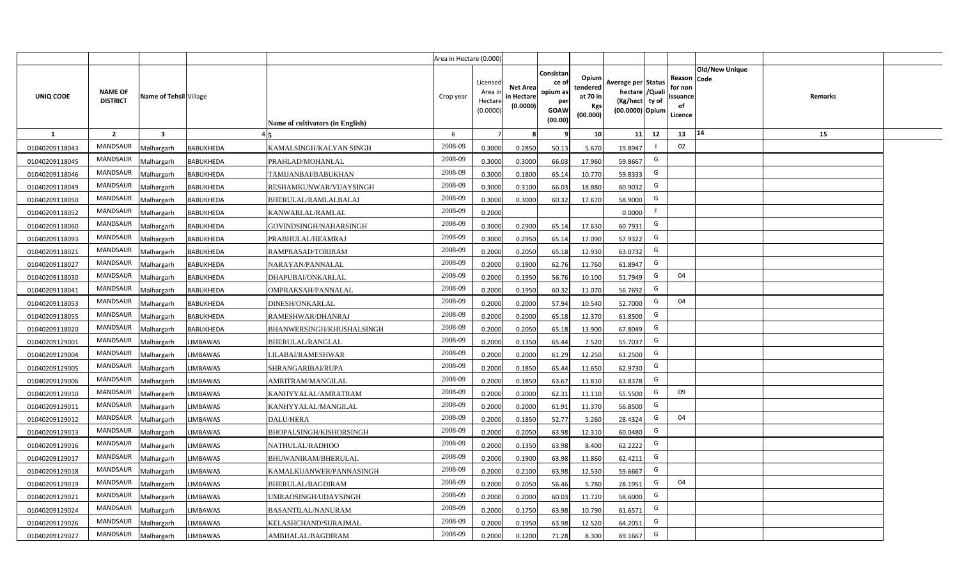|                |                                   |                         |                  |                                  | Area in Hectare (0.000) |                                           |                                           |                                                                |                                                         |                                                                            |                                                     |                       |         |  |
|----------------|-----------------------------------|-------------------------|------------------|----------------------------------|-------------------------|-------------------------------------------|-------------------------------------------|----------------------------------------------------------------|---------------------------------------------------------|----------------------------------------------------------------------------|-----------------------------------------------------|-----------------------|---------|--|
| UNIQ CODE      | <b>NAME OF</b><br><b>DISTRICT</b> | Name of Tehsil Village  |                  | Name of cultivators (in English) | Crop year               | Licensed<br>Area i<br>Hectare<br>(0.0000) | <b>Net Area</b><br>in Hectare<br>(0.0000) | Consistan<br>ce o<br>opium as<br>per<br><b>GOAW</b><br>(00.00) | Opium<br>tendered<br>at 70 in<br><b>Kgs</b><br>(00.000) | Average per Status<br>hectare / Quali<br>(Kg/hect ty of<br>(00.0000) Opium | Reason Code<br>for non<br>issuance<br>of<br>Licence | <b>Old/New Unique</b> | Remarks |  |
| $\mathbf{1}$   | $\overline{2}$                    | $\overline{\mathbf{3}}$ |                  |                                  | 6                       | $\overline{7}$                            |                                           | 9                                                              | 10 <sup>1</sup>                                         | 12<br>11                                                                   | 13                                                  | 14                    | 15      |  |
| 01040209118043 | MANDSAUR                          | Malhargarh              | BABUKHEDA        | KAMALSINGH/KALYAN SINGH          | 2008-09                 | 0.3000                                    | 0.2850                                    | 50.13                                                          | 5.670                                                   | 19.8947                                                                    | 02                                                  |                       |         |  |
| 01040209118045 | MANDSAUR                          | Malhargarh              | BABUKHEDA        | PRAHLAD/MOHANLAL                 | 2008-09                 | 0.3000                                    | 0.3000                                    | 66.03                                                          | 17.960                                                  | G<br>59.8667                                                               |                                                     |                       |         |  |
| 01040209118046 | MANDSAUR                          | Malhargarh              | <b>BABUKHEDA</b> | TAMIJANBAI/BABUKHAN              | 2008-09                 | 0.3000                                    | 0.1800                                    | 65.14                                                          | 10.770                                                  | G<br>59.8333                                                               |                                                     |                       |         |  |
| 01040209118049 | MANDSAUR                          | Malhargarh              | <b>BABUKHEDA</b> | RESHAMKUNWAR/VIJAYSINGH          | 2008-09                 | 0.3000                                    | 0.3100                                    | 66.03                                                          | 18.880                                                  | G<br>60.9032                                                               |                                                     |                       |         |  |
| 01040209118050 | MANDSAUR                          | Malhargarh              | <b>BABUKHEDA</b> | BHERULAL/RAMLALBALAI             | 2008-09                 | 0.3000                                    | 0.3000                                    | 60.32                                                          | 17.670                                                  | G<br>58.9000                                                               |                                                     |                       |         |  |
| 01040209118052 | <b>MANDSAUR</b>                   | <b>Aalhargarh</b>       | <b>BABUKHEDA</b> | KANWARLAL/RAMLAL                 | 2008-09                 | 0.2000                                    |                                           |                                                                |                                                         | -F<br>0.0000                                                               |                                                     |                       |         |  |
| 01040209118060 | MANDSAUR                          | Malhargarh              | <b>BABUKHEDA</b> | GOVINDSINGH/NAHARSINGH           | 2008-09                 | 0.3000                                    | 0.2900                                    | 65.14                                                          | 17.630                                                  | G<br>60.7931                                                               |                                                     |                       |         |  |
| 01040209118093 | <b>MANDSAUR</b>                   | Malhargarh              | <b>BABUKHEDA</b> | PRABHULAL/HEAMRAJ                | 2008-09                 | 0.3000                                    | 0.2950                                    | 65.14                                                          | 17.090                                                  | G<br>57.9322                                                               |                                                     |                       |         |  |
| 01040209118021 | MANDSAUR                          | Malhargarh              | <b>BABUKHEDA</b> | RAMPRASAD/TORIRAM                | 2008-09                 | 0.2000                                    | 0.2050                                    | 65.18                                                          | 12.930                                                  | G<br>63.0732                                                               |                                                     |                       |         |  |
| 01040209118027 | <b>MANDSAUR</b>                   | Malhargarh              | <b>BABUKHEDA</b> | NARAYAN/PANNALAL                 | 2008-09                 | 0.2000                                    | 0.1900                                    | 62.76                                                          | 11.760                                                  | G<br>61.8947                                                               |                                                     |                       |         |  |
| 01040209118030 | <b>MANDSAUR</b>                   | Malhargarh              | <b>BABUKHEDA</b> | DHAPUBAI/ONKARLAL                | 2008-09                 | 0.2000                                    | 0.1950                                    | 56.76                                                          | 10.100                                                  | G<br>51.7949                                                               | 04                                                  |                       |         |  |
| 01040209118041 | MANDSAUR                          | Malhargarh              | <b>BABUKHEDA</b> | OMPRAKSAH/PANNALAL               | 2008-09                 | 0.2000                                    | 0.1950                                    | 60.32                                                          | 11.070                                                  | G<br>56.7692                                                               |                                                     |                       |         |  |
| 01040209118053 | <b>MANDSAUR</b>                   | Malhargarh              | <b>BABUKHEDA</b> | DINESH/ONKARLAL                  | 2008-09                 | 0.2000                                    | 0.2000                                    | 57.94                                                          | 10.540                                                  | G<br>52.7000                                                               | 04                                                  |                       |         |  |
| 01040209118055 | MANDSAUR                          | Malhargarh              | <b>BABUKHEDA</b> | RAMESHWAR/DHANRAJ                | 2008-09                 | 0.2000                                    | 0.2000                                    | 65.18                                                          | 12.370                                                  | G<br>61.8500                                                               |                                                     |                       |         |  |
| 01040209118020 | <b>MANDSAUR</b>                   | Malhargarh              | <b>BABUKHEDA</b> | BHANWERSINGH/KHUSHALSINGH        | 2008-09                 | 0.2000                                    | 0.2050                                    | 65.18                                                          | 13.900                                                  | G<br>67.8049                                                               |                                                     |                       |         |  |
| 01040209129001 | <b>MANDSAUR</b>                   | Malhargarh              | <b>LIMBAWAS</b>  | <b>BHERULAL/RANGLAL</b>          | 2008-09                 | 0.2000                                    | 0.1350                                    | 65.44                                                          | 7.520                                                   | G<br>55.7037                                                               |                                                     |                       |         |  |
| 01040209129004 | <b>MANDSAUR</b>                   | Malhargarh              | LIMBAWAS         | LILABAI/RAMESHWAR                | 2008-09                 | 0.2000                                    | 0.2000                                    | 61.29                                                          | 12.250                                                  | G<br>61.2500                                                               |                                                     |                       |         |  |
| 01040209129005 | <b>MANDSAUR</b>                   | Malhargarh              | LIMBAWAS         | SHRANGARIBAI/RUPA                | 2008-09                 | 0.2000                                    | 0.1850                                    | 65.44                                                          | 11.650                                                  | G<br>62.9730                                                               |                                                     |                       |         |  |
| 01040209129006 | <b>MANDSAUR</b>                   | Malhargarh              | LIMBAWAS         | AMRITRAM/MANGILAL                | 2008-09                 | 0.2000                                    | 0.1850                                    | 63.67                                                          | 11.810                                                  | G<br>63.8378                                                               |                                                     |                       |         |  |
| 01040209129010 | <b>MANDSAUR</b>                   | Malhargarh              | <b>LIMBAWAS</b>  | KANHYYALAL/AMRATRAM              | 2008-09                 | 0.2000                                    | 0.2000                                    | 62.31                                                          | 11.110                                                  | G<br>55.5500                                                               | 09                                                  |                       |         |  |
| 01040209129011 | <b>MANDSAUR</b>                   | Malhargarh              | LIMBAWAS         | KANHYYALAL/MANGILAL              | 2008-09                 | 0.2000                                    | 0.2000                                    | 61.91                                                          | 11.370                                                  | G<br>56.8500                                                               |                                                     |                       |         |  |
| 01040209129012 | <b>MANDSAUR</b>                   | Malhargarh              | LIMBAWAS         | DALU/HERA                        | 2008-09                 | 0.2000                                    | 0.1850                                    | 52.77                                                          | 5.260                                                   | G<br>28.4324                                                               | 04                                                  |                       |         |  |
| 01040209129013 | <b>MANDSAUR</b>                   | Malhargarh              | LIMBAWAS         | BHOPALSINGH/KISHORSINGH          | 2008-09                 | 0.2000                                    | 0.2050                                    | 63.98                                                          | 12.310                                                  | G<br>60.0480                                                               |                                                     |                       |         |  |
| 01040209129016 | MANDSAUR                          | Malhargarh              | LIMBAWAS         | NATHULAL/RADHOO                  | 2008-09                 | 0.2000                                    | 0.1350                                    | 63.98                                                          | 8.400                                                   | G<br>62.2222                                                               |                                                     |                       |         |  |
| 01040209129017 | <b>MANDSAUR</b>                   | Malhargarh              | LIMBAWAS         | BHUWANIRAM/BHERULAL              | 2008-09                 | 0.2000                                    | 0.1900                                    | 63.98                                                          | 11.860                                                  | G<br>62.4211                                                               |                                                     |                       |         |  |
| 01040209129018 | MANDSAUR                          | Malhargarh              | LIMBAWAS         | KAMALKUANWER/PANNASINGH          | 2008-09                 | 0.2000                                    | 0.2100                                    | 63.98                                                          | 12.530                                                  | G<br>59.6667                                                               |                                                     |                       |         |  |
| 01040209129019 | <b>MANDSAUR</b>                   | Malhargarh              | LIMBAWAS         | BHERULAL/BAGDIRAM                | 2008-09                 | 0.2000                                    | 0.2050                                    | 56.46                                                          | 5.780                                                   | G<br>28.1951                                                               | 04                                                  |                       |         |  |
| 01040209129021 | MANDSAUR                          | Malhargarh              | LIMBAWAS         | UMRAOSINGH/UDAYSINGH             | 2008-09                 | 0.2000                                    | 0.2000                                    | 60.03                                                          | 11.720                                                  | G<br>58.6000                                                               |                                                     |                       |         |  |
| 01040209129024 | <b>MANDSAUR</b>                   | Malhargarh              | <b>LIMBAWAS</b>  | <b>BASANTILAL/NANURAM</b>        | 2008-09                 | 0.2000                                    | 0.1750                                    | 63.98                                                          | 10.790                                                  | G<br>61.6571                                                               |                                                     |                       |         |  |
| 01040209129026 | <b>MANDSAUR</b>                   | Malhargarh              | <b>LIMBAWAS</b>  | KELASHCHAND/SURAJMAL             | 2008-09                 | 0.2000                                    | 0.1950                                    | 63.98                                                          | 12.520                                                  | G<br>64.2051                                                               |                                                     |                       |         |  |
| 01040209129027 | MANDSAUR                          | Malhargarh              | <b>LIMBAWAS</b>  | AMBHALAL/BAGDIRAM                | 2008-09                 | 0.2000                                    | 0.1200                                    | 71.28                                                          | 8.300                                                   | G<br>69.1667                                                               |                                                     |                       |         |  |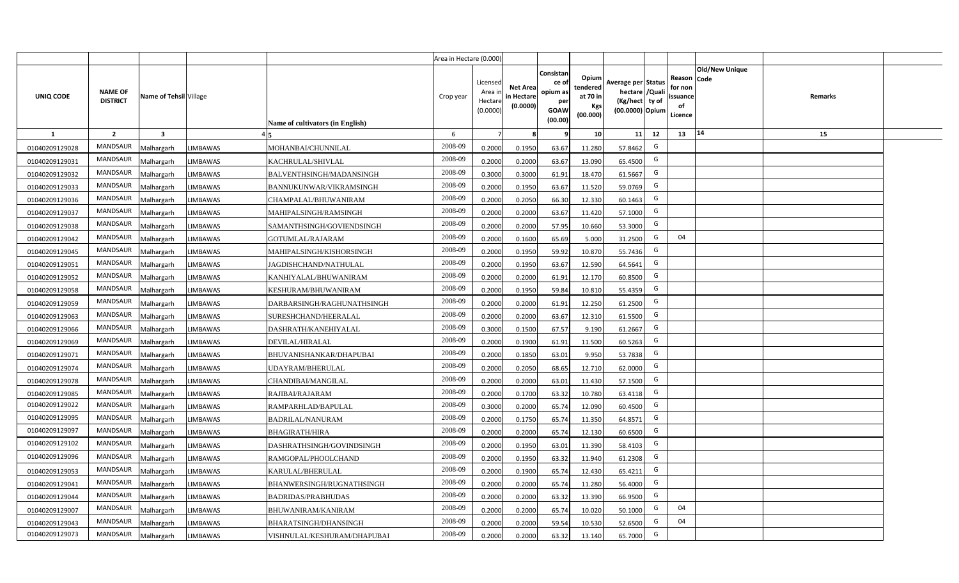|                |                                   |                         |                 |                                  | Area in Hectare (0.000) |                                           |                                           |                                                                 |                                                  |                                                                            |                                                    |                       |         |  |
|----------------|-----------------------------------|-------------------------|-----------------|----------------------------------|-------------------------|-------------------------------------------|-------------------------------------------|-----------------------------------------------------------------|--------------------------------------------------|----------------------------------------------------------------------------|----------------------------------------------------|-----------------------|---------|--|
| UNIQ CODE      | <b>NAME OF</b><br><b>DISTRICT</b> | Name of Tehsil Village  |                 | Name of cultivators (in English) | Crop year               | Licensed<br>Area i<br>Hectare<br>(0.0000) | <b>Net Area</b><br>in Hectare<br>(0.0000) | Consistan<br>ce of<br>opium as<br>per<br><b>GOAW</b><br>(00.00) | Opium<br>tendered<br>at 70 in<br>Kgs<br>(00.000) | Average per Status<br>hectare / Quali<br>(Kg/hect ty of<br>(00.0000) Opium | Reason Code<br>for non<br>ssuance<br>of<br>Licence | <b>Old/New Unique</b> | Remarks |  |
| $\mathbf{1}$   | $\overline{2}$                    | $\overline{\mathbf{3}}$ |                 |                                  | 6                       | $\overline{7}$                            | 8                                         | 9                                                               | 10 <sup>1</sup>                                  | 12<br>11                                                                   | 13                                                 | 14                    | 15      |  |
| 01040209129028 | MANDSAUR                          | Malhargarh              | <b>LIMBAWAS</b> | MOHANBAI/CHUNNILAL               | 2008-09                 | 0.2000                                    | 0.1950                                    | 63.67                                                           | 11.280                                           | G<br>57.8462                                                               |                                                    |                       |         |  |
| 01040209129031 | MANDSAUR                          | <b>Aalhargarh</b>       | <b>LIMBAWAS</b> | KACHRULAL/SHIVLAL                | 2008-09                 | 0.2000                                    | 0.2000                                    | 63.67                                                           | 13.090                                           | G<br>65.4500                                                               |                                                    |                       |         |  |
| 01040209129032 | MANDSAUR                          | Malhargarh              | <b>LIMBAWAS</b> | BALVENTHSINGH/MADANSINGH         | 2008-09                 | 0.3000                                    | 0.3000                                    | 61.91                                                           | 18.470                                           | G<br>61.5667                                                               |                                                    |                       |         |  |
| 01040209129033 | <b>MANDSAUR</b>                   | Malhargarh              | LIMBAWAS        | BANNUKUNWAR/VIKRAMSINGH          | 2008-09                 | 0.2000                                    | 0.1950                                    | 63.67                                                           | 11.520                                           | G<br>59.0769                                                               |                                                    |                       |         |  |
| 01040209129036 | MANDSAUR                          | Malhargarh              | <b>LIMBAWAS</b> | CHAMPALAL/BHUWANIRAM             | 2008-09                 | 0.2000                                    | 0.2050                                    | 66.30                                                           | 12.330                                           | G<br>60.1463                                                               |                                                    |                       |         |  |
| 01040209129037 | MANDSAUR                          | Malhargarh              | <b>LIMBAWAS</b> | MAHIPALSINGH/RAMSINGH            | 2008-09                 | 0.2000                                    | 0.2000                                    | 63.67                                                           | 11.420                                           | G<br>57.1000                                                               |                                                    |                       |         |  |
| 01040209129038 | <b>MANDSAUR</b>                   | Malhargarh              | <b>LIMBAWAS</b> | SAMANTHSINGH/GOVIENDSINGH        | 2008-09                 | 0.2000                                    | 0.2000                                    | 57.95                                                           | 10.660                                           | G<br>53.3000                                                               |                                                    |                       |         |  |
| 01040209129042 | <b>MANDSAUR</b>                   | Malhargarh              | <b>LIMBAWAS</b> | GOTUMLAL/RAJARAM                 | 2008-09                 | 0.2000                                    | 0.1600                                    | 65.69                                                           | 5.000                                            | G<br>31.2500                                                               | 04                                                 |                       |         |  |
| 01040209129045 | <b>MANDSAUR</b>                   | Malhargarh              | <b>LIMBAWAS</b> | MAHIPALSINGH/KISHORSINGH         | 2008-09                 | 0.2000                                    | 0.1950                                    | 59.92                                                           | 10.870                                           | G<br>55.7436                                                               |                                                    |                       |         |  |
| 01040209129051 | <b>MANDSAUR</b>                   | Malhargarh              | <b>LIMBAWAS</b> | JAGDISHCHAND/NATHULAL            | 2008-09                 | 0.2000                                    | 0.1950                                    | 63.67                                                           | 12.590                                           | G<br>64.5641                                                               |                                                    |                       |         |  |
| 01040209129052 | MANDSAUR                          | Malhargarh              | <b>LIMBAWAS</b> | KANHIYALAL/BHUWANIRAM            | 2008-09                 | 0.2000                                    | 0.2000                                    | 61.91                                                           | 12.170                                           | G<br>60.8500                                                               |                                                    |                       |         |  |
| 01040209129058 | <b>MANDSAUR</b>                   | Malhargarh              | LIMBAWAS        | KESHURAM/BHUWANIRAM              | 2008-09                 | 0.2000                                    | 0.1950                                    | 59.84                                                           | 10.810                                           | G<br>55.4359                                                               |                                                    |                       |         |  |
| 01040209129059 | <b>MANDSAUR</b>                   | Malhargarh              | <b>LIMBAWAS</b> | DARBARSINGH/RAGHUNATHSINGH       | 2008-09                 | 0.2000                                    | 0.2000                                    | 61.91                                                           | 12.250                                           | G<br>61.2500                                                               |                                                    |                       |         |  |
| 01040209129063 | <b>MANDSAUR</b>                   | Malhargarh              | LIMBAWAS        | SURESHCHAND/HEERALAL             | 2008-09                 | 0.2000                                    | 0.2000                                    | 63.67                                                           | 12.310                                           | G<br>61.5500                                                               |                                                    |                       |         |  |
| 01040209129066 | <b>MANDSAUR</b>                   | Malhargarh              | LIMBAWAS        | DASHRATH/KANEHIYALAL             | 2008-09                 | 0.3000                                    | 0.1500                                    | 67.57                                                           | 9.190                                            | G<br>61.2667                                                               |                                                    |                       |         |  |
| 01040209129069 | <b>MANDSAUR</b>                   | Malhargarh              | <b>LIMBAWAS</b> | DEVILAL/HIRALAL                  | 2008-09                 | 0.2000                                    | 0.1900                                    | 61.91                                                           | 11.500                                           | G<br>60.5263                                                               |                                                    |                       |         |  |
| 01040209129071 | <b>MANDSAUR</b>                   | Malhargarh              | LIMBAWAS        | BHUVANISHANKAR/DHAPUBAI          | 2008-09                 | 0.2000                                    | 0.1850                                    | 63.01                                                           | 9.950                                            | G<br>53.7838                                                               |                                                    |                       |         |  |
| 01040209129074 | <b>MANDSAUR</b>                   | Malhargarh              | LIMBAWAS        | UDAYRAM/BHERULAL                 | 2008-09                 | 0.2000                                    | 0.2050                                    | 68.65                                                           | 12.710                                           | G<br>62.0000                                                               |                                                    |                       |         |  |
| 01040209129078 | <b>MANDSAUR</b>                   | Malhargarh              | LIMBAWAS        | CHANDIBAI/MANGILAL               | 2008-09                 | 0.2000                                    | 0.2000                                    | 63.01                                                           | 11.430                                           | G<br>57.1500                                                               |                                                    |                       |         |  |
| 01040209129085 | MANDSAUR                          | Malhargarh              | LIMBAWAS        | RAJIBAI/RAJARAM                  | 2008-09                 | 0.2000                                    | 0.1700                                    | 63.32                                                           | 10.780                                           | G<br>63.4118                                                               |                                                    |                       |         |  |
| 01040209129022 | <b>MANDSAUR</b>                   | Malhargarh              | <b>LIMBAWAS</b> | RAMPARHLAD/BAPULAL               | 2008-09                 | 0.3000                                    | 0.2000                                    | 65.74                                                           | 12.090                                           | G<br>60.4500                                                               |                                                    |                       |         |  |
| 01040209129095 | MANDSAUR                          | Malhargarh              | LIMBAWAS        | <b>BADRILAL/NANURAM</b>          | 2008-09                 | 0.2000                                    | 0.1750                                    | 65.74                                                           | 11.350                                           | G<br>64.8571                                                               |                                                    |                       |         |  |
| 01040209129097 | <b>MANDSAUR</b>                   | Malhargarh              | LIMBAWAS        | BHAGIRATH/HIRA                   | 2008-09                 | 0.2000                                    | 0.2000                                    | 65.74                                                           | 12.130                                           | G<br>60.6500                                                               |                                                    |                       |         |  |
| 01040209129102 | <b>MANDSAUR</b>                   | Malhargarh              | <b>LIMBAWAS</b> | DASHRATHSINGH/GOVINDSINGH        | 2008-09                 | 0.2000                                    | 0.1950                                    | 63.01                                                           | 11.390                                           | G<br>58.4103                                                               |                                                    |                       |         |  |
| 01040209129096 | <b>MANDSAUR</b>                   | Malhargarh              | LIMBAWAS        | RAMGOPAL/PHOOLCHAND              | 2008-09                 | 0.2000                                    | 0.1950                                    | 63.32                                                           | 11.940                                           | G<br>61.2308                                                               |                                                    |                       |         |  |
| 01040209129053 | MANDSAUR                          | Malhargarh              | <b>LIMBAWAS</b> | KARULAL/BHERULAL                 | 2008-09                 | 0.2000                                    | 0.1900                                    | 65.74                                                           | 12.430                                           | G<br>65.4211                                                               |                                                    |                       |         |  |
| 01040209129041 | MANDSAUR                          | Malhargarh              | LIMBAWAS        | BHANWERSINGH/RUGNATHSINGH        | 2008-09                 | 0.2000                                    | 0.2000                                    | 65.74                                                           | 11.280                                           | G<br>56.4000                                                               |                                                    |                       |         |  |
| 01040209129044 | MANDSAUR                          | Malhargarh              | <b>LIMBAWAS</b> | BADRIDAS/PRABHUDAS               | 2008-09                 | 0.2000                                    | 0.2000                                    | 63.32                                                           | 13.390                                           | G<br>66.9500                                                               |                                                    |                       |         |  |
| 01040209129007 | MANDSAUR                          | Malhargarh              | <b>LIMBAWAS</b> | BHUWANIRAM/KANIRAM               | 2008-09                 | 0.2000                                    | 0.2000                                    | 65.74                                                           | 10.020                                           | G<br>50.1000                                                               | 04                                                 |                       |         |  |
| 01040209129043 | MANDSAUR                          | Malhargarh              | LIMBAWAS        | BHARATSINGH/DHANSINGH            | 2008-09                 | 0.2000                                    | 0.2000                                    | 59.54                                                           | 10.530                                           | G<br>52.6500                                                               | 04                                                 |                       |         |  |
| 01040209129073 | MANDSAUR                          | Malhargarh              | <b>LIMBAWAS</b> | VISHNULAL/KESHURAM/DHAPUBAI      | 2008-09                 | 0.2000                                    | 0.2000                                    | 63.32                                                           | 13.140                                           | G<br>65.7000                                                               |                                                    |                       |         |  |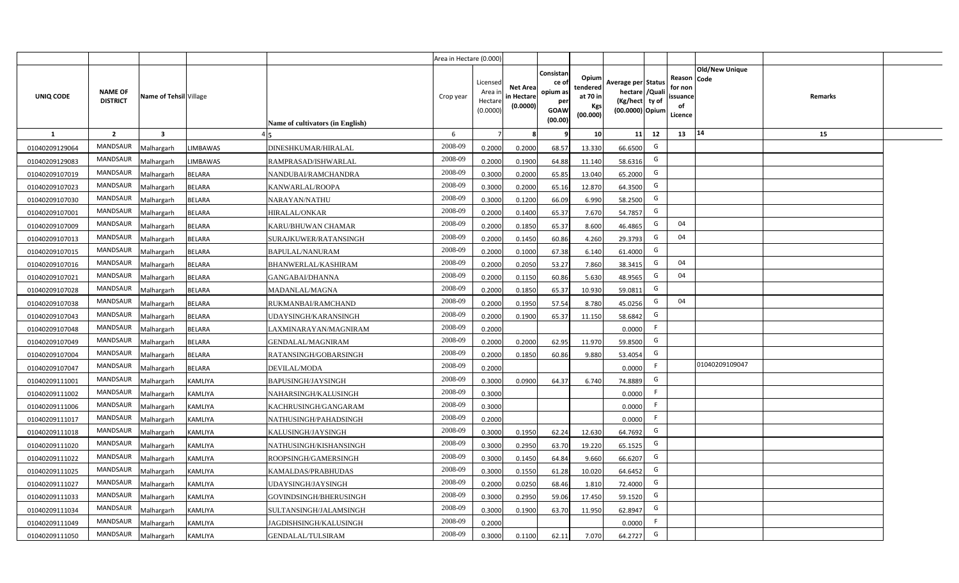|                |                                   |                         |                 |                                  | Area in Hectare (0.000) |                                          |                                           |                                                          |                                                         |                                                                           |    |                                                     |                       |         |  |
|----------------|-----------------------------------|-------------------------|-----------------|----------------------------------|-------------------------|------------------------------------------|-------------------------------------------|----------------------------------------------------------|---------------------------------------------------------|---------------------------------------------------------------------------|----|-----------------------------------------------------|-----------------------|---------|--|
| UNIQ CODE      | <b>NAME OF</b><br><b>DISTRICT</b> | Name of Tehsil Village  |                 | Name of cultivators (in English) | Crop year               | Licensed<br>Area i<br>Hectar<br>(0.0000) | <b>Net Area</b><br>in Hectare<br>(0.0000) | Consistan<br>ce of<br>opium as<br>per<br>GOAW<br>(00.00) | Opium<br>tendered<br>at 70 in<br><b>Kgs</b><br>(00.000) | Average per Status<br>hectare / Qual<br>(Kg/hect ty of<br>(00.0000) Opium |    | Reason Code<br>for nor<br>issuance<br>of<br>Licence | <b>Old/New Unique</b> | Remarks |  |
| 1              | $\overline{2}$                    | $\overline{\mathbf{3}}$ |                 |                                  | 6                       |                                          |                                           |                                                          | 10 <sup>1</sup>                                         | 11                                                                        | 12 | 13                                                  | 14                    | 15      |  |
| 01040209129064 | <b>MANDSAUR</b>                   | Malhargarh              | <b>LIMBAWAS</b> | DINESHKUMAR/HIRALAL              | 2008-09                 | 0.2000                                   | 0.2000                                    | 68.57                                                    | 13.330                                                  | 66.6500                                                                   | G  |                                                     |                       |         |  |
| 01040209129083 | <b>MANDSAUR</b>                   | Malhargarh              | <b>LIMBAWAS</b> | RAMPRASAD/ISHWARLAL              | 2008-09                 | 0.2000                                   | 0.1900                                    | 64.88                                                    | 11.140                                                  | 58.6316                                                                   | G  |                                                     |                       |         |  |
| 01040209107019 | <b>MANDSAUR</b>                   | Malhargarh              | <b>BELARA</b>   | NANDUBAI/RAMCHANDRA              | 2008-09                 | 0.3000                                   | 0.2000                                    | 65.85                                                    | 13.040                                                  | 65.2000                                                                   | G  |                                                     |                       |         |  |
| 01040209107023 | <b>MANDSAUR</b>                   | Malhargarh              | <b>BELARA</b>   | KANWARLAL/ROOPA                  | 2008-09                 | 0.3000                                   | 0.2000                                    | 65.16                                                    | 12.870                                                  | 64.3500                                                                   | G  |                                                     |                       |         |  |
| 01040209107030 | <b>MANDSAUR</b>                   | Malhargarh              | <b>BELARA</b>   | NARAYAN/NATHU                    | 2008-09                 | 0.3000                                   | 0.1200                                    | 66.09                                                    | 6.990                                                   | 58.2500                                                                   | G  |                                                     |                       |         |  |
| 01040209107001 | <b>MANDSAUR</b>                   | Malhargarh              | <b>BELARA</b>   | HIRALAL/ONKAR                    | 2008-09                 | 0.200                                    | 0.1400                                    | 65.37                                                    | 7.670                                                   | 54.7857                                                                   | G  |                                                     |                       |         |  |
| 01040209107009 | <b>MANDSAUR</b>                   | Malhargarh              | <b>BELARA</b>   | KARU/BHUWAN CHAMAR               | 2008-09                 | 0.200                                    | 0.1850                                    | 65.37                                                    | 8.600                                                   | 46.4865                                                                   | G  | 04                                                  |                       |         |  |
| 01040209107013 | <b>MANDSAUR</b>                   | Malhargarh              | <b>BELARA</b>   | SURAJKUWER/RATANSINGH            | 2008-09                 | 0.200                                    | 0.1450                                    | 60.86                                                    | 4.260                                                   | 29.3793                                                                   | G  | 04                                                  |                       |         |  |
| 01040209107015 | MANDSAUR                          | Malhargarh              | <b>BELARA</b>   | BAPULAL/NANURAM                  | 2008-09                 | 0.2000                                   | 0.1000                                    | 67.38                                                    | 6.140                                                   | 61.4000                                                                   | G  |                                                     |                       |         |  |
| 01040209107016 | <b>MANDSAUR</b>                   | Malhargarh              | <b>BELARA</b>   | BHANWERLAL/KASHIRAM              | 2008-09                 | 0.2000                                   | 0.2050                                    | 53.27                                                    | 7.860                                                   | 38.3415                                                                   | G  | 04                                                  |                       |         |  |
| 01040209107021 | MANDSAUR                          | Malhargarh              | <b>BELARA</b>   | GANGABAI/DHANNA                  | 2008-09                 | 0.2000                                   | 0.1150                                    | 60.86                                                    | 5.630                                                   | 48.9565                                                                   | G  | 04                                                  |                       |         |  |
| 01040209107028 | <b>MANDSAUR</b>                   | Malhargarh              | <b>BELARA</b>   | MADANLAL/MAGNA                   | 2008-09                 | 0.2000                                   | 0.1850                                    | 65.37                                                    | 10.930                                                  | 59.0811                                                                   | G  |                                                     |                       |         |  |
| 01040209107038 | MANDSAUR                          | Malhargarh              | <b>BELARA</b>   | RUKMANBAI/RAMCHAND               | 2008-09                 | 0.2000                                   | 0.1950                                    | 57.54                                                    | 8.780                                                   | 45.0256                                                                   | G  | 04                                                  |                       |         |  |
| 01040209107043 | MANDSAUR                          | Malhargarh              | <b>BELARA</b>   | UDAYSINGH/KARANSINGH             | 2008-09                 | 0.2000                                   | 0.1900                                    | 65.37                                                    | 11.150                                                  | 58.6842                                                                   | G  |                                                     |                       |         |  |
| 01040209107048 | <b>MANDSAUR</b>                   | Malhargarh              | <b>BELARA</b>   | LAXMINARAYAN/MAGNIRAM            | 2008-09                 | 0.2000                                   |                                           |                                                          |                                                         | 0.0000                                                                    | -F |                                                     |                       |         |  |
| 01040209107049 | MANDSAUR                          | Malhargarh              | <b>BELARA</b>   | GENDALAL/MAGNIRAM                | 2008-09                 | 0.2000                                   | 0.2000                                    | 62.95                                                    | 11.970                                                  | 59.8500                                                                   | G  |                                                     |                       |         |  |
| 01040209107004 | <b>MANDSAUR</b>                   | Malhargarh              | <b>BELARA</b>   | RATANSINGH/GOBARSINGH            | 2008-09                 | 0.200                                    | 0.1850                                    | 60.86                                                    | 9.880                                                   | 53.4054                                                                   | G  |                                                     |                       |         |  |
| 01040209107047 | <b>MANDSAUR</b>                   | Malhargarh              | <b>BELARA</b>   | DEVILAL/MODA                     | 2008-09                 | 0.2000                                   |                                           |                                                          |                                                         | 0.0000                                                                    | F  |                                                     | 01040209109047        |         |  |
| 01040209111001 | MANDSAUR                          | Malhargarh              | KAMLIYA         | BAPUSINGH/JAYSINGH               | 2008-09                 | 0.3000                                   | 0.0900                                    | 64.37                                                    | 6.740                                                   | 74.8889                                                                   | G  |                                                     |                       |         |  |
| 01040209111002 | <b>MANDSAUR</b>                   | Malhargarh              | KAMLIYA         | NAHARSINGH/KALUSINGH             | 2008-09                 | 0.3000                                   |                                           |                                                          |                                                         | 0.0000                                                                    | F. |                                                     |                       |         |  |
| 01040209111006 | <b>MANDSAUR</b>                   | Malhargarh              | KAMLIYA         | KACHRUSINGH/GANGARAM             | 2008-09                 | 0.3000                                   |                                           |                                                          |                                                         | 0.0000                                                                    | F. |                                                     |                       |         |  |
| 01040209111017 | <b>MANDSAUR</b>                   | Malhargarh              | KAMLIYA         | NATHUSINGH/PAHADSINGH            | 2008-09                 | 0.2000                                   |                                           |                                                          |                                                         | 0.0000                                                                    | F. |                                                     |                       |         |  |
| 01040209111018 | <b>MANDSAUR</b>                   | Malhargarh              | KAMLIYA         | KALUSINGH/JAYSINGH               | 2008-09                 | 0.3000                                   | 0.1950                                    | 62.24                                                    | 12.630                                                  | 64.7692                                                                   | G  |                                                     |                       |         |  |
| 01040209111020 | <b>MANDSAUR</b>                   | Malhargarh              | KAMLIYA         | NATHUSINGH/KISHANSINGH           | 2008-09                 | 0.3000                                   | 0.2950                                    | 63.70                                                    | 19.220                                                  | 65.1525                                                                   | G  |                                                     |                       |         |  |
| 01040209111022 | <b>MANDSAUR</b>                   | Malhargarh              | KAMLIYA         | ROOPSINGH/GAMERSINGH             | 2008-09                 | 0.300                                    | 0.1450                                    | 64.84                                                    | 9.660                                                   | 66.6207                                                                   | G  |                                                     |                       |         |  |
| 01040209111025 | <b>MANDSAUR</b>                   | Malhargarh              | KAMLIYA         | KAMALDAS/PRABHUDAS               | 2008-09                 | 0.300                                    | 0.1550                                    | 61.28                                                    | 10.020                                                  | 64.6452                                                                   | G  |                                                     |                       |         |  |
| 01040209111027 | <b>MANDSAUR</b>                   | Malhargarh              | KAMLIYA         | UDAYSINGH/JAYSINGH               | 2008-09                 | 0.200                                    | 0.0250                                    | 68.46                                                    | 1.810                                                   | 72.4000                                                                   | G  |                                                     |                       |         |  |
| 01040209111033 | <b>MANDSAUR</b>                   | Malhargarh              | KAMLIYA         | GOVINDSINGH/BHERUSINGH           | 2008-09                 | 0.3000                                   | 0.2950                                    | 59.06                                                    | 17.450                                                  | 59.1520                                                                   | G  |                                                     |                       |         |  |
| 01040209111034 | <b>MANDSAUR</b>                   | Malhargarh              | KAMLIYA         | SULTANSINGH/JALAMSINGH           | 2008-09                 | 0.3000                                   | 0.1900                                    | 63.70                                                    | 11.950                                                  | 62.8947                                                                   | G  |                                                     |                       |         |  |
| 01040209111049 | <b>MANDSAUR</b>                   | Malhargarh              | KAMLIYA         | JAGDISHSINGH/KALUSINGH           | 2008-09                 | 0.2000                                   |                                           |                                                          |                                                         | 0.0000                                                                    | F. |                                                     |                       |         |  |
| 01040209111050 | <b>MANDSAUR</b>                   | Malhargarh              | KAMLIYA         | GENDALAL/TULSIRAM                | 2008-09                 | 0.3000                                   | 0.1100                                    | 62.11                                                    | 7.070                                                   | 64.2727                                                                   | G  |                                                     |                       |         |  |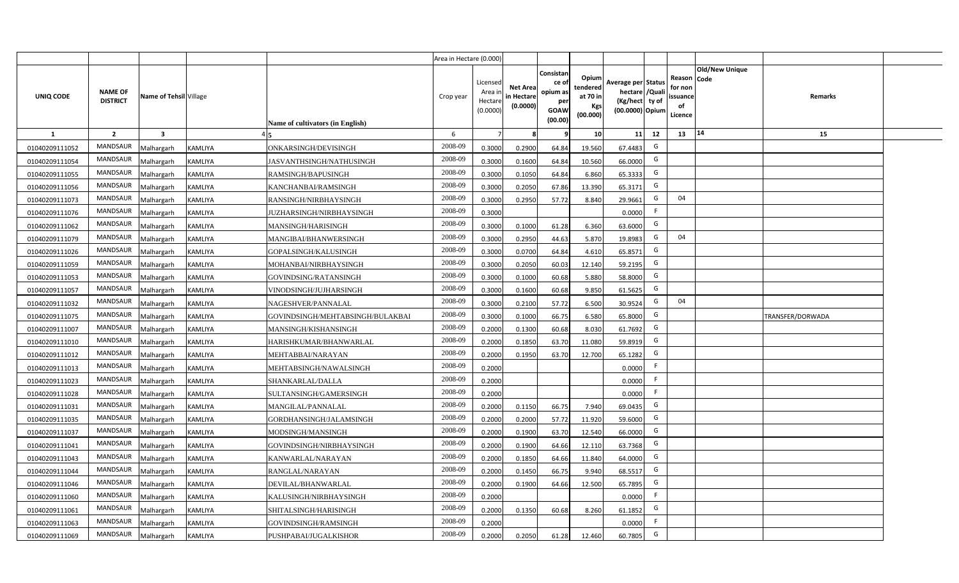|                |                                   |                        |         |                                  | Area in Hectare (0.000) |                                          |                                           |                                                          |                                                         |                                                                           |    |                                                     |                       |                  |  |
|----------------|-----------------------------------|------------------------|---------|----------------------------------|-------------------------|------------------------------------------|-------------------------------------------|----------------------------------------------------------|---------------------------------------------------------|---------------------------------------------------------------------------|----|-----------------------------------------------------|-----------------------|------------------|--|
| UNIQ CODE      | <b>NAME OF</b><br><b>DISTRICT</b> | Name of Tehsil Village |         | Name of cultivators (in English) | Crop year               | Licensed<br>Area i<br>Hectar<br>(0.0000) | <b>Net Area</b><br>in Hectare<br>(0.0000) | Consistan<br>ce of<br>opium as<br>per<br>GOAW<br>(00.00) | Opium<br>tendered<br>at 70 in<br><b>Kgs</b><br>(00.000) | Average per Status<br>hectare / Qual<br>(Kg/hect ty of<br>(00.0000) Opium |    | Reason Code<br>for nor<br>issuance<br>of<br>Licence | <b>Old/New Unique</b> | Remarks          |  |
| 1              | $\overline{2}$                    | 3                      |         |                                  | 6                       |                                          |                                           |                                                          | 10 <sup>1</sup>                                         | 11                                                                        | 12 | 13                                                  | 14                    | 15               |  |
| 01040209111052 | <b>MANDSAUR</b>                   | Malhargarh             | KAMLIYA | ONKARSINGH/DEVISINGH             | 2008-09                 | 0.3000                                   | 0.2900                                    | 64.84                                                    | 19.560                                                  | 67.4483                                                                   | G  |                                                     |                       |                  |  |
| 01040209111054 | <b>MANDSAUR</b>                   | Malhargarh             | KAMLIYA | JASVANTHSINGH/NATHUSINGH         | 2008-09                 | 0.3000                                   | 0.1600                                    | 64.84                                                    | 10.560                                                  | 66.0000                                                                   | G  |                                                     |                       |                  |  |
| 01040209111055 | <b>MANDSAUR</b>                   | Malhargarh             | KAMLIYA | RAMSINGH/BAPUSINGH               | 2008-09                 | 0.3000                                   | 0.1050                                    | 64.84                                                    | 6.860                                                   | 65.3333                                                                   | G  |                                                     |                       |                  |  |
| 01040209111056 | <b>MANDSAUR</b>                   | Malhargarh             | KAMLIYA | KANCHANBAI/RAMSINGH              | 2008-09                 | 0.3000                                   | 0.2050                                    | 67.86                                                    | 13.390                                                  | 65.3171                                                                   | G  |                                                     |                       |                  |  |
| 01040209111073 | <b>MANDSAUR</b>                   | Malhargarh             | KAMLIYA | RANSINGH/NIRBHAYSINGH            | 2008-09                 | 0.3000                                   | 0.2950                                    | 57.72                                                    | 8.840                                                   | 29.9661                                                                   | G  | 04                                                  |                       |                  |  |
| 01040209111076 | <b>MANDSAUR</b>                   | Malhargarh             | KAMLIYA | JUZHARSINGH/NIRBHAYSINGH         | 2008-09                 | 0.3000                                   |                                           |                                                          |                                                         | 0.0000                                                                    | F. |                                                     |                       |                  |  |
| 01040209111062 | <b>MANDSAUR</b>                   | Malhargarh             | KAMLIYA | MANSINGH/HARISINGH               | 2008-09                 | 0.3000                                   | 0.1000                                    | 61.28                                                    | 6.360                                                   | 63.6000                                                                   | G  |                                                     |                       |                  |  |
| 01040209111079 | <b>MANDSAUR</b>                   | Malhargarh             | KAMLIYA | MANGIBAI/BHANWERSINGH            | 2008-09                 | 0.300                                    | 0.2950                                    | 44.63                                                    | 5.870                                                   | 19.8983                                                                   | G  | 04                                                  |                       |                  |  |
| 01040209111026 | MANDSAUR                          | Malhargarh             | KAMLIYA | GOPALSINGH/KALUSINGH             | 2008-09                 | 0.3000                                   | 0.0700                                    | 64.84                                                    | 4.610                                                   | 65.8571                                                                   | G  |                                                     |                       |                  |  |
| 01040209111059 | <b>MANDSAUR</b>                   | Malhargarh             | KAMLIYA | MOHANBAI/NIRBHAYSINGH            | 2008-09                 | 0.3000                                   | 0.2050                                    | 60.03                                                    | 12.140                                                  | 59.2195                                                                   | G  |                                                     |                       |                  |  |
| 01040209111053 | MANDSAUR                          | Malhargarh             | KAMLIYA | GOVINDSING/RATANSINGH            | 2008-09                 | 0.3000                                   | 0.1000                                    | 60.68                                                    | 5.880                                                   | 58.8000                                                                   | G  |                                                     |                       |                  |  |
| 01040209111057 | <b>MANDSAUR</b>                   | Malhargarh             | KAMLIYA | VINODSINGH/JUJHARSINGH           | 2008-09                 | 0.3000                                   | 0.1600                                    | 60.68                                                    | 9.850                                                   | 61.5625                                                                   | G  |                                                     |                       |                  |  |
| 01040209111032 | MANDSAUR                          | Malhargarh             | KAMLIYA | NAGESHVER/PANNALAL               | 2008-09                 | 0.3000                                   | 0.2100                                    | 57.72                                                    | 6.500                                                   | 30.9524                                                                   | G  | 04                                                  |                       |                  |  |
| 01040209111075 | MANDSAUR                          | Malhargarh             | KAMLIYA | GOVINDSINGH/MEHTABSINGH/BULAKBAI | 2008-09                 | 0.3000                                   | 0.1000                                    | 66.75                                                    | 6.580                                                   | 65.8000                                                                   | G  |                                                     |                       | TRANSFER/DORWADA |  |
| 01040209111007 | MANDSAUR                          | Malhargarh             | KAMLIYA | MANSINGH/KISHANSINGH             | 2008-09                 | 0.2000                                   | 0.1300                                    | 60.68                                                    | 8.030                                                   | 61.7692                                                                   | G  |                                                     |                       |                  |  |
| 01040209111010 | MANDSAUR                          | Malhargarh             | KAMLIYA | HARISHKUMAR/BHANWARLAL           | 2008-09                 | 0.2000                                   | 0.1850                                    | 63.70                                                    | 11.080                                                  | 59.8919                                                                   | G  |                                                     |                       |                  |  |
| 01040209111012 | <b>MANDSAUR</b>                   | Malhargarh             | KAMLIYA | MEHTABBAI/NARAYAN                | 2008-09                 | 0.200                                    | 0.1950                                    | 63.70                                                    | 12.700                                                  | 65.1282                                                                   | G  |                                                     |                       |                  |  |
| 01040209111013 | <b>MANDSAUR</b>                   | Malhargarh             | KAMLIYA | MEHTABSINGH/NAWALSINGH           | 2008-09                 | 0.2000                                   |                                           |                                                          |                                                         | 0.0000                                                                    | F. |                                                     |                       |                  |  |
| 01040209111023 | <b>MANDSAUR</b>                   | Malhargarh             | KAMLIYA | SHANKARLAL/DALLA                 | 2008-09                 | 0.2000                                   |                                           |                                                          |                                                         | 0.0000                                                                    | F  |                                                     |                       |                  |  |
| 01040209111028 | <b>MANDSAUR</b>                   | Malhargarh             | KAMLIYA | SULTANSINGH/GAMERSINGH           | 2008-09                 | 0.2000                                   |                                           |                                                          |                                                         | 0.0000                                                                    | F. |                                                     |                       |                  |  |
| 01040209111031 | <b>MANDSAUR</b>                   | Malhargarh             | KAMLIYA | MANGILAL/PANNALAL                | 2008-09                 | 0.2000                                   | 0.1150                                    | 66.75                                                    | 7.940                                                   | 69.0435                                                                   | G  |                                                     |                       |                  |  |
| 01040209111035 | <b>MANDSAUR</b>                   | Malhargarh             | KAMLIYA | GORDHANSINGH/JALAMSINGH          | 2008-09                 | 0.2000                                   | 0.2000                                    | 57.72                                                    | 11.920                                                  | 59.6000                                                                   | G  |                                                     |                       |                  |  |
| 01040209111037 | <b>MANDSAUR</b>                   | Malhargarh             | KAMLIYA | MODSINGH/MANSINGH                | 2008-09                 | 0.2000                                   | 0.1900                                    | 63.70                                                    | 12.540                                                  | 66.0000                                                                   | G  |                                                     |                       |                  |  |
| 01040209111041 | <b>MANDSAUR</b>                   | Malhargarh             | KAMLIYA | GOVINDSINGH/NIRBHAYSINGH         | 2008-09                 | 0.2000                                   | 0.1900                                    | 64.66                                                    | 12.110                                                  | 63.7368                                                                   | G  |                                                     |                       |                  |  |
| 01040209111043 | <b>MANDSAUR</b>                   | Malhargarh             | KAMLIYA | KANWARLAL/NARAYAN                | 2008-09                 | 0.200                                    | 0.1850                                    | 64.66                                                    | 11.840                                                  | 64.0000                                                                   | G  |                                                     |                       |                  |  |
| 01040209111044 | <b>MANDSAUR</b>                   | Malhargarh             | KAMLIYA | RANGLAL/NARAYAN                  | 2008-09                 | 0.200                                    | 0.1450                                    | 66.75                                                    | 9.940                                                   | 68.5517                                                                   | G  |                                                     |                       |                  |  |
| 01040209111046 | <b>MANDSAUR</b>                   | Malhargarh             | KAMLIYA | DEVILAL/BHANWARLAL               | 2008-09                 | 0.200                                    | 0.1900                                    | 64.66                                                    | 12.500                                                  | 65.7895                                                                   | G  |                                                     |                       |                  |  |
| 01040209111060 | <b>MANDSAUR</b>                   | Malhargarh             | KAMLIYA | KALUSINGH/NIRBHAYSINGH           | 2008-09                 | 0.2000                                   |                                           |                                                          |                                                         | 0.0000                                                                    | F. |                                                     |                       |                  |  |
| 01040209111061 | <b>MANDSAUR</b>                   | Malhargarh             | KAMLIYA | SHITALSINGH/HARISINGH            | 2008-09                 | 0.2000                                   | 0.1350                                    | 60.68                                                    | 8.260                                                   | 61.1852                                                                   | G  |                                                     |                       |                  |  |
| 01040209111063 | <b>MANDSAUR</b>                   | Malhargarh             | KAMLIYA | GOVINDSINGH/RAMSINGH             | 2008-09                 | 0.2000                                   |                                           |                                                          |                                                         | 0.0000                                                                    | F  |                                                     |                       |                  |  |
| 01040209111069 | <b>MANDSAUR</b>                   | Malhargarh             | KAMLIYA | PUSHPABAI/JUGALKISHOR            | 2008-09                 | 0.2000                                   | 0.2050                                    | 61.28                                                    | 12.460                                                  | 60.7805                                                                   | G  |                                                     |                       |                  |  |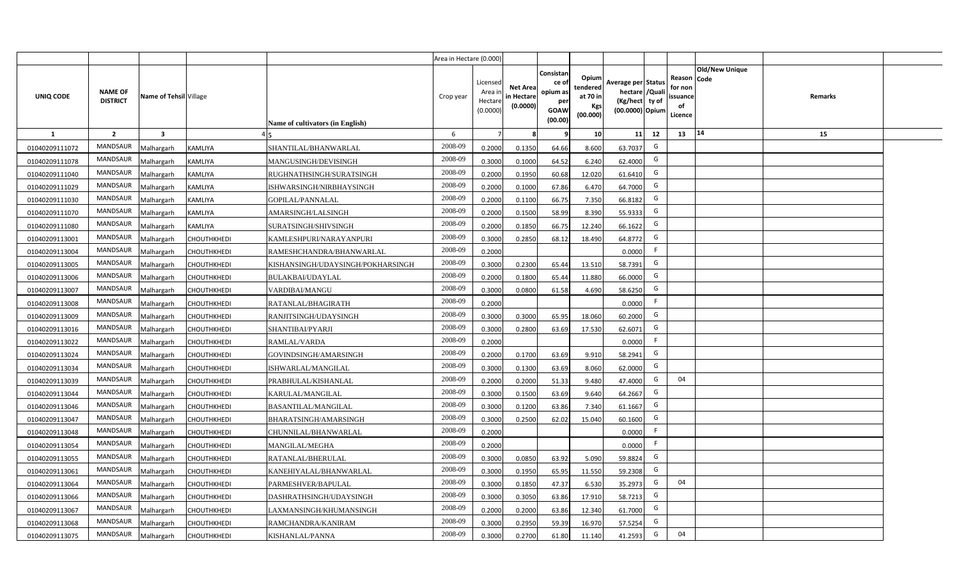|                |                                   |                         |                |                                   | Area in Hectare (0.000) |                                            |                                           |                                                         |                                                  |                                                                            |    |                                                     |                       |         |  |
|----------------|-----------------------------------|-------------------------|----------------|-----------------------------------|-------------------------|--------------------------------------------|-------------------------------------------|---------------------------------------------------------|--------------------------------------------------|----------------------------------------------------------------------------|----|-----------------------------------------------------|-----------------------|---------|--|
| UNIQ CODE      | <b>NAME OF</b><br><b>DISTRICT</b> | Name of Tehsil Village  |                | Name of cultivators (in English)  | Crop year               | Licensed<br>Area ir<br>Hectare<br>(0.0000) | <b>Net Area</b><br>in Hectare<br>(0.0000) | Consistar<br>ce o<br>opium as<br>per<br>GOAW<br>(00.00) | Opium<br>tendered<br>at 70 in<br>Kgs<br>(00.000) | Average per Status<br>hectare / Quali<br>(Kg/hect ty of<br>(00.0000) Opium |    | Reason Code<br>for non<br>issuance<br>of<br>Licence | <b>Old/New Unique</b> | Remarks |  |
| $\mathbf{1}$   | $\overline{2}$                    | $\overline{\mathbf{3}}$ |                |                                   | 6                       | 7                                          |                                           |                                                         | 10                                               | 11                                                                         | 12 | 13                                                  | 14                    | 15      |  |
| 01040209111072 | MANDSAUR                          | <b>Aalhargarh</b>       | <b>KAMLIYA</b> | SHANTILAL/BHANWARLAL              | 2008-09                 | 0.2000                                     | 0.1350                                    | 64.66                                                   | 8.600                                            | 63.7037                                                                    | G  |                                                     |                       |         |  |
| 01040209111078 | <b>MANDSAUR</b>                   | <b>Malhargarh</b>       | KAMLIYA        | MANGUSINGH/DEVISINGH              | 2008-09                 | 0.3000                                     | 0.1000                                    | 64.52                                                   | 6.240                                            | 62.4000                                                                    | G  |                                                     |                       |         |  |
| 01040209111040 | MANDSAUR                          | <b>Malhargarh</b>       | KAMLIYA        | RUGHNATHSINGH/SURATSINGH          | 2008-09                 | 0.2000                                     | 0.1950                                    | 60.68                                                   | 12.020                                           | 61.641                                                                     | G  |                                                     |                       |         |  |
| 01040209111029 | MANDSAUR                          | <b>Malhargarh</b>       | KAMLIYA        | ISHWARSINGH/NIRBHAYSINGH          | 2008-09                 | 0.2000                                     | 0.1000                                    | 67.86                                                   | 6.470                                            | 64.7000                                                                    | G  |                                                     |                       |         |  |
| 01040209111030 | <b>MANDSAUR</b>                   | <b>Malhargarh</b>       | KAMLIYA        | GOPILAL/PANNALAL                  | 2008-09                 | 0.2000                                     | 0.1100                                    | 66.75                                                   | 7.350                                            | 66.8182                                                                    | G  |                                                     |                       |         |  |
| 01040209111070 | MANDSAUR                          | <b>Malhargarh</b>       | KAMLIYA        | AMARSINGH/LALSINGH                | 2008-09                 | 0.2000                                     | 0.1500                                    | 58.99                                                   | 8.390                                            | 55.9333                                                                    | G  |                                                     |                       |         |  |
| 01040209111080 | <b>MANDSAUR</b>                   | <b>Malhargarh</b>       | KAMLIYA        | SURATSINGH/SHIVSINGH              | 2008-09                 | 0.2000                                     | 0.1850                                    | 66.75                                                   | 12.240                                           | 66.1622                                                                    | G  |                                                     |                       |         |  |
| 01040209113001 | MANDSAUR                          | <b>Malhargarh</b>       | CHOUTHKHEDI    | KAMLESHPURI/NARAYANPURI           | 2008-09                 | 0.3000                                     | 0.2850                                    | 68.12                                                   | 18.490                                           | 64.8772                                                                    | G  |                                                     |                       |         |  |
| 01040209113004 | <b>MANDSAUR</b>                   | <b>Malhargarh</b>       | СНОИТНКНЕДІ    | RAMESHCHANDRA/BHANWARLAL          | 2008-09                 | 0.2000                                     |                                           |                                                         |                                                  | 0.0000                                                                     | F  |                                                     |                       |         |  |
| 01040209113005 | MANDSAUR                          | <b>Malhargarh</b>       | CHOUTHKHEDI    | KISHANSINGH/UDAYSINGH/POKHARSINGH | 2008-09                 | 0.3000                                     | 0.2300                                    | 65.44                                                   | 13.510                                           | 58.7391                                                                    | G  |                                                     |                       |         |  |
| 01040209113006 | MANDSAUR                          | <b>Malhargarh</b>       | CHOUTHKHEDI    | <b>BULAKBAI/UDAYLAL</b>           | 2008-09                 | 0.2000                                     | 0.1800                                    | 65.44                                                   | 11.880                                           | 66.0000                                                                    | G  |                                                     |                       |         |  |
| 01040209113007 | <b>MANDSAUR</b>                   | <b>Malhargarh</b>       | CHOUTHKHEDI    | VARDIBAI/MANGU                    | 2008-09                 | 0.3000                                     | 0.0800                                    | 61.58                                                   | 4.690                                            | 58.6250                                                                    | G  |                                                     |                       |         |  |
| 01040209113008 | <b>MANDSAUR</b>                   | <b>Malhargarh</b>       | CHOUTHKHEDI    | RATANLAL/BHAGIRATH                | 2008-09                 | 0.2000                                     |                                           |                                                         |                                                  | 0.0000                                                                     | F. |                                                     |                       |         |  |
| 01040209113009 | MANDSAUR                          | <b>Malhargarh</b>       | CHOUTHKHEDI    | RANJITSINGH/UDAYSINGH             | 2008-09                 | 0.3000                                     | 0.3000                                    | 65.95                                                   | 18.060                                           | 60.2000                                                                    | G  |                                                     |                       |         |  |
| 01040209113016 | MANDSAUR                          | <b>Malhargarh</b>       | CHOUTHKHEDI    | SHANTIBAI/PYARJI                  | 2008-09                 | 0.3000                                     | 0.2800                                    | 63.69                                                   | 17.530                                           | 62.6071                                                                    | G  |                                                     |                       |         |  |
| 01040209113022 | <b>MANDSAUR</b>                   | Malhargarh              | CHOUTHKHEDI    | RAMLAL/VARDA                      | 2008-09                 | 0.2000                                     |                                           |                                                         |                                                  | 0.0000                                                                     | F. |                                                     |                       |         |  |
| 01040209113024 | <b>MANDSAUR</b>                   | <b>Malhargarh</b>       | СНОИТНКНЕДІ    | GOVINDSINGH/AMARSINGH             | 2008-09                 | 0.2000                                     | 0.1700                                    | 63.69                                                   | 9.910                                            | 58.2941                                                                    | G  |                                                     |                       |         |  |
| 01040209113034 | <b>MANDSAUR</b>                   | <b>Malhargarh</b>       | CHOUTHKHEDI    | ISHWARLAL/MANGILAL                | 2008-09                 | 0.3000                                     | 0.1300                                    | 63.69                                                   | 8.060                                            | 62.0000                                                                    | G  |                                                     |                       |         |  |
| 01040209113039 | <b>MANDSAUR</b>                   | <b>Malhargarh</b>       | CHOUTHKHEDI    | PRABHULAL/KISHANLAL               | 2008-09                 | 0.2000                                     | 0.2000                                    | 51.33                                                   | 9.480                                            | 47.4000                                                                    | G  | 04                                                  |                       |         |  |
| 01040209113044 | <b>MANDSAUR</b>                   | Malhargarh              | CHOUTHKHEDI    | KARULAL/MANGILAL                  | 2008-09                 | 0.3000                                     | 0.1500                                    | 63.69                                                   | 9.640                                            | 64.2667                                                                    | G  |                                                     |                       |         |  |
| 01040209113046 | MANDSAUR                          | <b>Malhargarh</b>       | CHOUTHKHEDI    | <b>BASANTILAL/MANGILAL</b>        | 2008-09                 | 0.3000                                     | 0.1200                                    | 63.86                                                   | 7.340                                            | 61.1667                                                                    | G  |                                                     |                       |         |  |
| 01040209113047 | <b>MANDSAUR</b>                   | <b>Malhargarh</b>       | CHOUTHKHEDI    | BHARATSINGH/AMARSINGH             | 2008-09                 | 0.3000                                     | 0.2500                                    | 62.02                                                   | 15.040                                           | 60.1600                                                                    | G  |                                                     |                       |         |  |
| 01040209113048 | <b>MANDSAUR</b>                   | <b>Aalhargarh</b>       | CHOUTHKHEDI    | CHUNNILAL/BHANWARLAL              | 2008-09                 | 0.2000                                     |                                           |                                                         |                                                  | 0.0000                                                                     | F. |                                                     |                       |         |  |
| 01040209113054 | <b>MANDSAUR</b>                   | <b>Malhargarh</b>       | CHOUTHKHEDI    | MANGILAL/MEGHA                    | 2008-09                 | 0.2000                                     |                                           |                                                         |                                                  | 0.0000                                                                     | F  |                                                     |                       |         |  |
| 01040209113055 | <b>MANDSAUR</b>                   | <b>Malhargarh</b>       | CHOUTHKHEDI    | RATANLAL/BHERULAL                 | 2008-09                 | 0.3000                                     | 0.0850                                    | 63.92                                                   | 5.090                                            | 59.8824                                                                    | G  |                                                     |                       |         |  |
| 01040209113061 | <b>MANDSAUR</b>                   | <b>Malhargarh</b>       | CHOUTHKHEDI    | KANEHIYALAL/BHANWARLAL            | 2008-09                 | 0.3000                                     | 0.1950                                    | 65.95                                                   | 11.550                                           | 59.2308                                                                    | G  |                                                     |                       |         |  |
| 01040209113064 | <b>MANDSAUR</b>                   | <b>Malhargarh</b>       | CHOUTHKHEDI    | PARMESHVER/BAPULAL                | 2008-09                 | 0.3000                                     | 0.1850                                    | 47.37                                                   | 6.530                                            | 35.2973                                                                    | G  | 04                                                  |                       |         |  |
| 01040209113066 | <b>MANDSAUR</b>                   | <b>Malhargarh</b>       | CHOUTHKHEDI    | DASHRATHSINGH/UDAYSINGH           | 2008-09                 | 0.3000                                     | 0.3050                                    | 63.86                                                   | 17.910                                           | 58.7213                                                                    | G  |                                                     |                       |         |  |
| 01040209113067 | <b>MANDSAUR</b>                   | <b>Malhargarh</b>       | CHOUTHKHEDI    | LAXMANSINGH/KHUMANSINGH           | 2008-09                 | 0.2000                                     | 0.2000                                    | 63.86                                                   | 12.340                                           | 61.7000                                                                    | G  |                                                     |                       |         |  |
| 01040209113068 | <b>MANDSAUR</b>                   | <b>Malhargarh</b>       | CHOUTHKHEDI    | RAMCHANDRA/KANIRAM                | 2008-09                 | 0.3000                                     | 0.2950                                    | 59.39                                                   | 16.970                                           | 57.5254                                                                    | G  |                                                     |                       |         |  |
| 01040209113075 | MANDSAUR                          | Malhargarh              | CHOUTHKHEDI    | KISHANLAL/PANNA                   | 2008-09                 | 0.3000                                     | 0.2700                                    | 61.80                                                   | 11.140                                           | 41.2593                                                                    | G  | 04                                                  |                       |         |  |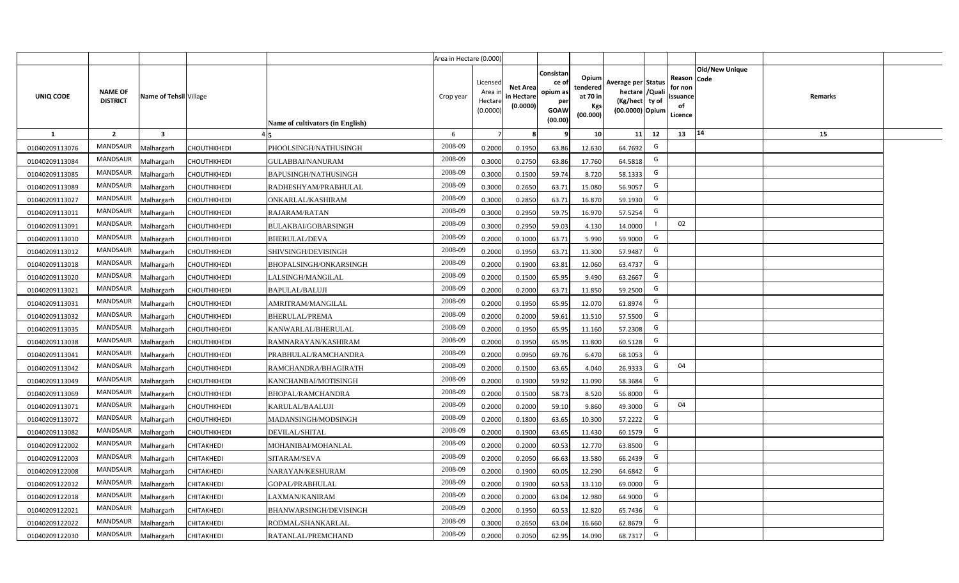|                |                                   |                        |                    |                                         | Area in Hectare (0.000) |                                          |                                           |                                                          |                                                         |                                                                            |                                                     |                       |         |  |
|----------------|-----------------------------------|------------------------|--------------------|-----------------------------------------|-------------------------|------------------------------------------|-------------------------------------------|----------------------------------------------------------|---------------------------------------------------------|----------------------------------------------------------------------------|-----------------------------------------------------|-----------------------|---------|--|
| UNIQ CODE      | <b>NAME OF</b><br><b>DISTRICT</b> | Name of Tehsil Village |                    | <b>Name of cultivators (in English)</b> | Crop year               | Licensed<br>Area i<br>Hectar<br>(0.0000) | <b>Net Area</b><br>in Hectare<br>(0.0000) | Consistan<br>ce of<br>opium as<br>per<br>GOAW<br>(00.00) | Opium<br>tendered<br>at 70 in<br><b>Kgs</b><br>(00.000) | Average per Status<br>hectare / Quali<br>(Kg/hect ty of<br>(00.0000) Opium | Reason Code<br>for non<br>issuance<br>of<br>Licence | <b>Old/New Unique</b> | Remarks |  |
| 1              | $\overline{2}$                    | 3                      |                    |                                         | 6                       |                                          |                                           | 9                                                        | 10 <sup>1</sup>                                         | 12<br>11                                                                   | 13                                                  | 14                    | 15      |  |
| 01040209113076 | MANDSAUR                          | <b>Malhargarh</b>      | CHOUTHKHEDI        | PHOOLSINGH/NATHUSINGH                   | 2008-09                 | 0.2000                                   | 0.1950                                    | 63.86                                                    | 12.630                                                  | G<br>64.7692                                                               |                                                     |                       |         |  |
| 01040209113084 | <b>MANDSAUR</b>                   | <b>Malhargarh</b>      | CHOUTHKHEDI        | GULABBAI/NANURAM                        | 2008-09                 | 0.3000                                   | 0.2750                                    | 63.86                                                    | 17.760                                                  | G<br>64.5818                                                               |                                                     |                       |         |  |
| 01040209113085 | <b>MANDSAUR</b>                   | <b>Malhargarh</b>      | CHOUTHKHEDI        | <b>BAPUSINGH/NATHUSINGH</b>             | 2008-09                 | 0.3000                                   | 0.1500                                    | 59.74                                                    | 8.720                                                   | G<br>58.1333                                                               |                                                     |                       |         |  |
| 01040209113089 | MANDSAUR                          | <b>Malhargarh</b>      | CHOUTHKHEDI        | RADHESHYAM/PRABHULAL                    | 2008-09                 | 0.3000                                   | 0.2650                                    | 63.71                                                    | 15.080                                                  | G<br>56.9057                                                               |                                                     |                       |         |  |
| 01040209113027 | <b>MANDSAUR</b>                   | Malhargarh             | CHOUTHKHEDI        | ONKARLAL/KASHIRAM                       | 2008-09                 | 0.3000                                   | 0.2850                                    | 63.71                                                    | 16.870                                                  | G<br>59.1930                                                               |                                                     |                       |         |  |
| 01040209113011 | <b>MANDSAUR</b>                   | Malhargarh             | CHOUTHKHEDI        | RAJARAM/RATAN                           | 2008-09                 | 0.3000                                   | 0.2950                                    | 59.75                                                    | 16.970                                                  | G<br>57.5254                                                               |                                                     |                       |         |  |
| 01040209113091 | MANDSAUR                          | Malhargarh             | CHOUTHKHEDI        | BULAKBAI/GOBARSINGH                     | 2008-09                 | 0.3000                                   | 0.2950                                    | 59.03                                                    | 4.130                                                   | 14.0000                                                                    | 02                                                  |                       |         |  |
| 01040209113010 | <b>MANDSAUR</b>                   | Malhargarh             | <b>CHOUTHKHEDI</b> | <b>BHERULAL/DEVA</b>                    | 2008-09                 | 0.2000                                   | 0.1000                                    | 63.71                                                    | 5.990                                                   | G<br>59.9000                                                               |                                                     |                       |         |  |
| 01040209113012 | <b>MANDSAUR</b>                   | Malhargarh             | CHOUTHKHEDI        | SHIVSINGH/DEVISINGH                     | 2008-09                 | 0.2000                                   | 0.1950                                    | 63.71                                                    | 11.300                                                  | G<br>57.9487                                                               |                                                     |                       |         |  |
| 01040209113018 | MANDSAUR                          | Malhargarh             | CHOUTHKHEDI        | BHOPALSINGH/ONKARSINGH                  | 2008-09                 | 0.2000                                   | 0.1900                                    | 63.81                                                    | 12.060                                                  | G<br>63.4737                                                               |                                                     |                       |         |  |
| 01040209113020 | <b>MANDSAUR</b>                   | Malhargarh             | <b>CHOUTHKHEDI</b> | LALSINGH/MANGILAL                       | 2008-09                 | 0.2000                                   | 0.1500                                    | 65.95                                                    | 9.490                                                   | G<br>63.2667                                                               |                                                     |                       |         |  |
| 01040209113021 | <b>MANDSAUR</b>                   | Malhargarh             | CHOUTHKHEDI        | <b>BAPULAL/BALUJI</b>                   | 2008-09                 | 0.2000                                   | 0.2000                                    | 63.71                                                    | 11.850                                                  | G<br>59.2500                                                               |                                                     |                       |         |  |
| 01040209113031 | <b>MANDSAUR</b>                   | Malhargarh             | <b>CHOUTHKHEDI</b> | AMRITRAM/MANGILAL                       | 2008-09                 | 0.2000                                   | 0.1950                                    | 65.95                                                    | 12.070                                                  | G<br>61.8974                                                               |                                                     |                       |         |  |
| 01040209113032 | <b>MANDSAUR</b>                   | Malhargarh             | CHOUTHKHEDI        | <b>BHERULAL/PREMA</b>                   | 2008-09                 | 0.2000                                   | 0.2000                                    | 59.61                                                    | 11.510                                                  | G<br>57.5500                                                               |                                                     |                       |         |  |
| 01040209113035 | <b>MANDSAUR</b>                   | Malhargarh             | CHOUTHKHEDI        | KANWARLAL/BHERULAL                      | 2008-09                 | 0.2000                                   | 0.1950                                    | 65.95                                                    | 11.160                                                  | G<br>57.2308                                                               |                                                     |                       |         |  |
| 01040209113038 | <b>MANDSAUR</b>                   | Malhargarh             | CHOUTHKHEDI        | RAMNARAYAN/KASHIRAM                     | 2008-09                 | 0.2000                                   | 0.1950                                    | 65.95                                                    | 11.800                                                  | G<br>60.5128                                                               |                                                     |                       |         |  |
| 01040209113041 | MANDSAUR                          | Malhargarh             | CHOUTHKHEDI        | PRABHULAL/RAMCHANDRA                    | 2008-09                 | 0.2000                                   | 0.0950                                    | 69.76                                                    | 6.470                                                   | G<br>68.1053                                                               |                                                     |                       |         |  |
| 01040209113042 | <b>MANDSAUR</b>                   | Malhargarh             | CHOUTHKHEDI        | RAMCHANDRA/BHAGIRATH                    | 2008-09                 | 0.2000                                   | 0.1500                                    | 63.65                                                    | 4.040                                                   | G<br>26.9333                                                               | 04                                                  |                       |         |  |
| 01040209113049 | <b>MANDSAUR</b>                   | Malhargarh             | CHOUTHKHEDI        | KANCHANBAI/MOTISINGH                    | 2008-09                 | 0.2000                                   | 0.1900                                    | 59.92                                                    | 11.090                                                  | G<br>58.3684                                                               |                                                     |                       |         |  |
| 01040209113069 | MANDSAUR                          | Malhargarh             | CHOUTHKHEDI        | <b>BHOPAL/RAMCHANDRA</b>                | 2008-09                 | 0.2000                                   | 0.1500                                    | 58.73                                                    | 8.520                                                   | G<br>56.8000                                                               |                                                     |                       |         |  |
| 01040209113071 | MANDSAUR                          | Malhargarh             | CHOUTHKHEDI        | KARULAL/BAALUJI                         | 2008-09                 | 0.2000                                   | 0.2000                                    | 59.10                                                    | 9.860                                                   | G<br>49.3000                                                               | 04                                                  |                       |         |  |
| 01040209113072 | <b>MANDSAUR</b>                   | <b>Malhargarh</b>      | CHOUTHKHEDI        | MADANSINGH/MODSINGH                     | 2008-09                 | 0.2000                                   | 0.1800                                    | 63.65                                                    | 10.300                                                  | G<br>57.2222                                                               |                                                     |                       |         |  |
| 01040209113082 | <b>MANDSAUR</b>                   | <b>Malhargarh</b>      | <b>CHOUTHKHEDI</b> | <b>DEVILAL/SHITAL</b>                   | 2008-09                 | 0.2000                                   | 0.1900                                    | 63.65                                                    | 11.430                                                  | G<br>60.1579                                                               |                                                     |                       |         |  |
| 01040209122002 | MANDSAUR                          | Malhargarh             | CHITAKHEDI         | MOHANIBAI/MOHANLAL                      | 2008-09                 | 0.2000                                   | 0.2000                                    | 60.53                                                    | 12.770                                                  | G<br>63.8500                                                               |                                                     |                       |         |  |
| 01040209122003 | <b>MANDSAUR</b>                   | Malhargarh             | CHITAKHEDI         | SITARAM/SEVA                            | 2008-09                 | 0.2000                                   | 0.2050                                    | 66.63                                                    | 13.580                                                  | G<br>66.2439                                                               |                                                     |                       |         |  |
| 01040209122008 | MANDSAUR                          | Malhargarh             | CHITAKHEDI         | NARAYAN/KESHURAM                        | 2008-09                 | 0.2000                                   | 0.1900                                    | 60.05                                                    | 12.290                                                  | G<br>64.6842                                                               |                                                     |                       |         |  |
| 01040209122012 | MANDSAUR                          | Malhargarh             | CHITAKHEDI         | GOPAL/PRABHULAL                         | 2008-09                 | 0.2000                                   | 0.1900                                    | 60.53                                                    | 13.110                                                  | G<br>69.0000                                                               |                                                     |                       |         |  |
| 01040209122018 | MANDSAUR                          | Malhargarh             | CHITAKHEDI         | LAXMAN/KANIRAM                          | 2008-09                 | 0.2000                                   | 0.2000                                    | 63.04                                                    | 12.980                                                  | G<br>64.9000                                                               |                                                     |                       |         |  |
| 01040209122021 | MANDSAUR                          | Malhargarh             | CHITAKHEDI         | <b>BHANWARSINGH/DEVISINGH</b>           | 2008-09                 | 0.2000                                   | 0.1950                                    | 60.53                                                    | 12.820                                                  | G<br>65.7436                                                               |                                                     |                       |         |  |
| 01040209122022 | <b>MANDSAUR</b>                   | <b>Malhargarh</b>      | CHITAKHEDI         | RODMAL/SHANKARLAL                       | 2008-09                 | 0.3000                                   | 0.2650                                    | 63.04                                                    | 16.660                                                  | G<br>62.8679                                                               |                                                     |                       |         |  |
| 01040209122030 | MANDSAUR                          | Malhargarh             | <b>CHITAKHEDI</b>  | RATANLAL/PREMCHAND                      | 2008-09                 | 0.2000                                   | 0.2050                                    | 62.95                                                    | 14.090                                                  | G<br>68.7317                                                               |                                                     |                       |         |  |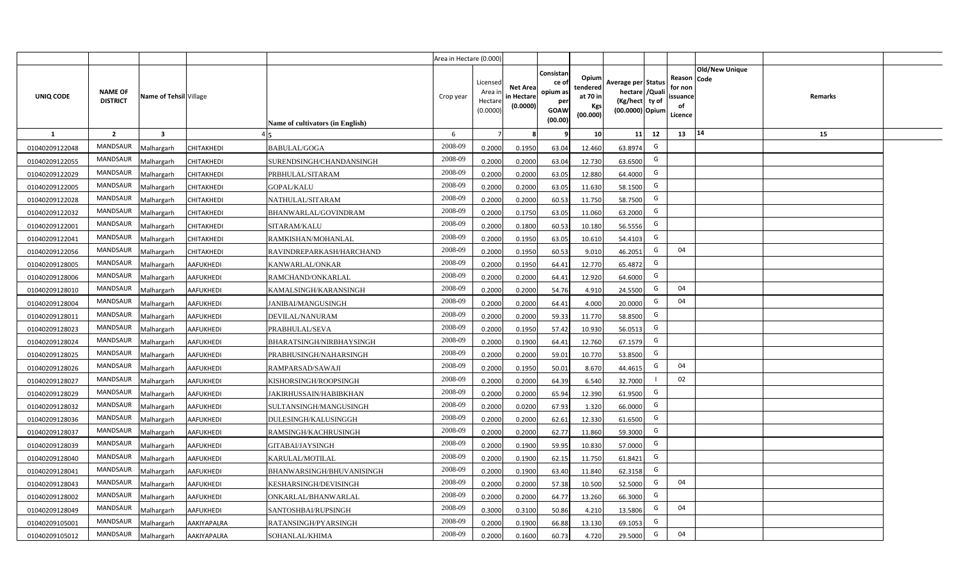|                |                                   |                         |                  |                                  | Area in Hectare (0.000) |                                           |                                           |                                                                 |                                                  |                                                                            |                                                    |                       |         |  |
|----------------|-----------------------------------|-------------------------|------------------|----------------------------------|-------------------------|-------------------------------------------|-------------------------------------------|-----------------------------------------------------------------|--------------------------------------------------|----------------------------------------------------------------------------|----------------------------------------------------|-----------------------|---------|--|
| UNIQ CODE      | <b>NAME OF</b><br><b>DISTRICT</b> | Name of Tehsil Village  |                  | Name of cultivators (in English) | Crop year               | Licensed<br>Area i<br>Hectare<br>(0.0000) | <b>Net Area</b><br>in Hectare<br>(0.0000) | Consistan<br>ce of<br>opium as<br>per<br><b>GOAW</b><br>(00.00) | Opium<br>tendered<br>at 70 in<br>Kgs<br>(00.000) | Average per Status<br>hectare / Quali<br>(Kg/hect ty of<br>(00.0000) Opium | Reason Code<br>for non<br>ssuance<br>of<br>Licence | <b>Old/New Unique</b> | Remarks |  |
| $\mathbf{1}$   | $\overline{2}$                    | $\overline{\mathbf{3}}$ |                  |                                  | 6                       | $\overline{7}$                            | 8                                         | 9                                                               | 10 <sup>1</sup>                                  | 12<br>11                                                                   | 13                                                 | 14                    | 15      |  |
| 01040209122048 | MANDSAUR                          | Malhargarh              | CHITAKHEDI       | <b>BABULAL/GOGA</b>              | 2008-09                 | 0.2000                                    | 0.1950                                    | 63.04                                                           | 12.460                                           | G<br>63.8974                                                               |                                                    |                       |         |  |
| 01040209122055 | MANDSAUR                          | <b>Aalhargarh</b>       | CHITAKHEDI       | SURENDSINGH/CHANDANSINGH         | 2008-09                 | 0.2000                                    | 0.2000                                    | 63.04                                                           | 12.730                                           | G<br>63.6500                                                               |                                                    |                       |         |  |
| 01040209122029 | MANDSAUR                          | Malhargarh              | CHITAKHEDI       | PRBHULAL/SITARAM                 | 2008-09                 | 0.2000                                    | 0.2000                                    | 63.05                                                           | 12.880                                           | G<br>64.4000                                                               |                                                    |                       |         |  |
| 01040209122005 | <b>MANDSAUR</b>                   | Vlalhargarh             | CHITAKHEDI       | <b>GOPAL/KALU</b>                | 2008-09                 | 0.2000                                    | 0.2000                                    | 63.05                                                           | 11.630                                           | G<br>58.1500                                                               |                                                    |                       |         |  |
| 01040209122028 | MANDSAUR                          | Malhargarh              | CHITAKHEDI       | NATHULAL/SITARAM                 | 2008-09                 | 0.2000                                    | 0.2000                                    | 60.53                                                           | 11.750                                           | G<br>58.7500                                                               |                                                    |                       |         |  |
| 01040209122032 | MANDSAUR                          | Malhargarh              | CHITAKHEDI       | BHANWARLAL/GOVINDRAM             | 2008-09                 | 0.2000                                    | 0.1750                                    | 63.05                                                           | 11.060                                           | G<br>63.2000                                                               |                                                    |                       |         |  |
| 01040209122001 | MANDSAUR                          | Malhargarh              | CHITAKHEDI       | SITARAM/KALU                     | 2008-09                 | 0.2000                                    | 0.1800                                    | 60.53                                                           | 10.180                                           | G<br>56.5556                                                               |                                                    |                       |         |  |
| 01040209122041 | MANDSAUR                          | Malhargarh              | CHITAKHEDI       | RAMKISHAN/MOHANLAL               | 2008-09                 | 0.2000                                    | 0.1950                                    | 63.05                                                           | 10.610                                           | G<br>54.4103                                                               |                                                    |                       |         |  |
| 01040209122056 | MANDSAUR                          | Malhargarh              | CHITAKHEDI       | RAVINDREPARKASH/HARCHAND         | 2008-09                 | 0.2000                                    | 0.1950                                    | 60.53                                                           | 9.010                                            | G<br>46.2051                                                               | 04                                                 |                       |         |  |
| 01040209128005 | MANDSAUR                          | Malhargarh              | <b>AAFUKHEDI</b> | KANWARLAL/ONKAR                  | 2008-09                 | 0.2000                                    | 0.1950                                    | 64.41                                                           | 12.770                                           | G<br>65.4872                                                               |                                                    |                       |         |  |
| 01040209128006 | MANDSAUR                          | Malhargarh              | <b>AAFUKHEDI</b> | RAMCHAND/ONKARLAL                | 2008-09                 | 0.2000                                    | 0.2000                                    | 64.41                                                           | 12.920                                           | G<br>64.6000                                                               |                                                    |                       |         |  |
| 01040209128010 | MANDSAUR                          | Malhargarh              | <b>AAFUKHEDI</b> | KAMALSINGH/KARANSINGH            | 2008-09                 | 0.2000                                    | 0.2000                                    | 54.76                                                           | 4.910                                            | G<br>24.5500                                                               | 04                                                 |                       |         |  |
| 01040209128004 | MANDSAUR                          | Malhargarh              | <b>AAFUKHEDI</b> | <b>JANIBAI/MANGUSINGH</b>        | 2008-09                 | 0.2000                                    | 0.2000                                    | 64.41                                                           | 4.000                                            | G<br>20.0000                                                               | 04                                                 |                       |         |  |
| 01040209128011 | <b>MANDSAUR</b>                   | Malhargarh              | <b>AAFUKHEDI</b> | DEVILAL/NANURAM                  | 2008-09                 | 0.2000                                    | 0.2000                                    | 59.33                                                           | 11.770                                           | G<br>58.8500                                                               |                                                    |                       |         |  |
| 01040209128023 | <b>MANDSAUR</b>                   | Malhargarh              | AAFUKHEDI        | PRABHULAL/SEVA                   | 2008-09                 | 0.2000                                    | 0.1950                                    | 57.42                                                           | 10.930                                           | G<br>56.0513                                                               |                                                    |                       |         |  |
| 01040209128024 | <b>MANDSAUR</b>                   | Malhargarh              | <b>AAFUKHEDI</b> | BHARATSINGH/NIRBHAYSINGH         | 2008-09                 | 0.2000                                    | 0.1900                                    | 64.41                                                           | 12.760                                           | G<br>67.1579                                                               |                                                    |                       |         |  |
| 01040209128025 | <b>MANDSAUR</b>                   | Malhargarh              | AAFUKHEDI        | PRABHUSINGH/NAHARSINGH           | 2008-09                 | 0.2000                                    | 0.2000                                    | 59.01                                                           | 10.770                                           | G<br>53.8500                                                               |                                                    |                       |         |  |
| 01040209128026 | <b>MANDSAUR</b>                   | Malhargarh              | <b>AAFUKHEDI</b> | RAMPARSAD/SAWAJI                 | 2008-09                 | 0.2000                                    | 0.1950                                    | 50.01                                                           | 8.670                                            | G<br>44.4615                                                               | 04                                                 |                       |         |  |
| 01040209128027 | <b>MANDSAUR</b>                   | Malhargarh              | <b>AAFUKHEDI</b> | KISHORSINGH/ROOPSINGH            | 2008-09                 | 0.2000                                    | 0.2000                                    | 64.39                                                           | 6.540                                            | 32.7000                                                                    | 02                                                 |                       |         |  |
| 01040209128029 | MANDSAUR                          | Malhargarh              | <b>AAFUKHEDI</b> | JAKIRHUSSAIN/HABIBKHAN           | 2008-09                 | 0.2000                                    | 0.2000                                    | 65.94                                                           | 12.390                                           | G<br>61.9500                                                               |                                                    |                       |         |  |
| 01040209128032 | MANDSAUR                          | Malhargarh              | <b>AAFUKHEDI</b> | SULTANSINGH/MANGUSINGH           | 2008-09                 | 0.2000                                    | 0.0200                                    | 67.93                                                           | 1.320                                            | G<br>66.0000                                                               |                                                    |                       |         |  |
| 01040209128036 | MANDSAUR                          | Malhargarh              | <b>AAFUKHEDI</b> | DULESINGH/KALUSINGGH             | 2008-09                 | 0.2000                                    | 0.2000                                    | 62.61                                                           | 12.330                                           | G<br>61.6500                                                               |                                                    |                       |         |  |
| 01040209128037 | <b>MANDSAUR</b>                   | Malhargarh              | AAFUKHEDI        | RAMSINGH/KACHRUSINGH             | 2008-09                 | 0.2000                                    | 0.2000                                    | 62.77                                                           | 11.860                                           | G<br>59.3000                                                               |                                                    |                       |         |  |
| 01040209128039 | MANDSAUR                          | Malhargarh              | <b>AAFUKHEDI</b> | GITABAI/JAYSINGH                 | 2008-09                 | 0.2000                                    | 0.1900                                    | 59.95                                                           | 10.830                                           | G<br>57.0000                                                               |                                                    |                       |         |  |
| 01040209128040 | MANDSAUR                          | Malhargarh              | <b>AAFUKHEDI</b> | KARULAL/MOTILAL                  | 2008-09                 | 0.2000                                    | 0.1900                                    | 62.15                                                           | 11.750                                           | G<br>61.8421                                                               |                                                    |                       |         |  |
| 01040209128041 | MANDSAUR                          | Malhargarh              | <b>AAFUKHEDI</b> | BHANWARSINGH/BHUVANISINGH        | 2008-09                 | 0.2000                                    | 0.1900                                    | 63.40                                                           | 11.840                                           | G<br>62.3158                                                               |                                                    |                       |         |  |
| 01040209128043 | MANDSAUR                          | Malhargarh              | <b>AAFUKHEDI</b> | KESHARSINGH/DEVISINGH            | 2008-09                 | 0.2000                                    | 0.2000                                    | 57.38                                                           | 10.500                                           | G<br>52.5000                                                               | 04                                                 |                       |         |  |
| 01040209128002 | MANDSAUR                          | Malhargarh              | <b>AAFUKHEDI</b> | ONKARLAL/BHANWARLAL              | 2008-09                 | 0.2000                                    | 0.2000                                    | 64.77                                                           | 13.260                                           | G<br>66.3000                                                               |                                                    |                       |         |  |
| 01040209128049 | MANDSAUR                          | Malhargarh              | <b>AAFUKHEDI</b> | SANTOSHBAI/RUPSINGH              | 2008-09                 | 0.3000                                    | 0.3100                                    | 50.86                                                           | 4.210                                            | G<br>13.5806                                                               | 04                                                 |                       |         |  |
| 01040209105001 | MANDSAUR                          | Malhargarh              | AAKIYAPALRA      | RATANSINGH/PYARSINGH             | 2008-09                 | 0.2000                                    | 0.1900                                    | 66.88                                                           | 13.130                                           | G<br>69.1053                                                               |                                                    |                       |         |  |
| 01040209105012 | MANDSAUR                          | Malhargarh              | AAKIYAPALRA      | SOHANLAL/KHIMA                   | 2008-09                 | 0.2000                                    | 0.1600                                    | 60.73                                                           | 4.720                                            | G<br>29.5000                                                               | 04                                                 |                       |         |  |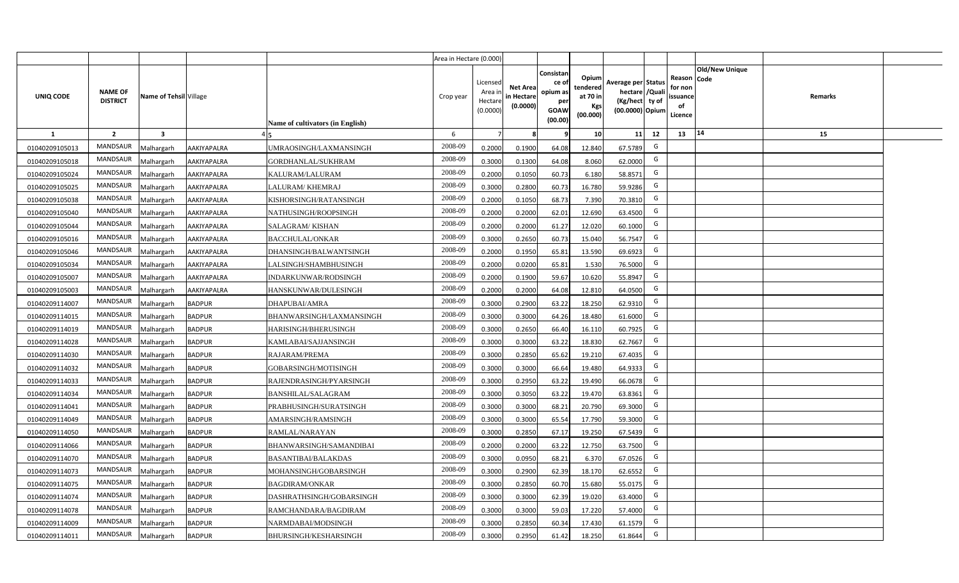|                |                                   |                        |                    |                                  | Area in Hectare (0.000) |                                           |                                           |                                                          |                                                  |                                                                            |                                                    |                |         |  |
|----------------|-----------------------------------|------------------------|--------------------|----------------------------------|-------------------------|-------------------------------------------|-------------------------------------------|----------------------------------------------------------|--------------------------------------------------|----------------------------------------------------------------------------|----------------------------------------------------|----------------|---------|--|
| UNIQ CODE      | <b>NAME OF</b><br><b>DISTRICT</b> | Name of Tehsil Village |                    | Name of cultivators (in English) | Crop year               | Licensed<br>Area i<br>Hectare<br>(0.0000) | <b>Net Area</b><br>in Hectare<br>(0.0000) | Consistan<br>ce of<br>opium as<br>per<br>GOAW<br>(00.00) | Opium<br>tendered<br>at 70 in<br>Kgs<br>(00.000) | Average per Status<br>hectare / Quali<br>(Kg/hect ty of<br>(00.0000) Opium | Reason Code<br>for non<br>ssuance<br>of<br>Licence | Old/New Unique | Remarks |  |
| $\mathbf{1}$   | $\overline{2}$                    | $\mathbf{3}$           |                    |                                  | 6                       | $\overline{7}$                            | 8                                         | 9                                                        | 10 <sup>1</sup>                                  | 11<br>12                                                                   | 13                                                 | 14             | 15      |  |
| 01040209105013 | MANDSAUR                          | Malhargarh             | AAKIYAPALRA        | UMRAOSINGH/LAXMANSINGH           | 2008-09                 | 0.2000                                    | 0.1900                                    | 64.08                                                    | 12.840                                           | G<br>67.5789                                                               |                                                    |                |         |  |
| 01040209105018 | MANDSAUR                          | Malhargarh             | AAKIYAPALRA        | GORDHANLAL/SUKHRAM               | 2008-09                 | 0.3000                                    | 0.1300                                    | 64.08                                                    | 8.060                                            | G<br>62.0000                                                               |                                                    |                |         |  |
| 01040209105024 | MANDSAUR                          | Malhargarh             | AAKIYAPALRA        | KALURAM/LALURAM                  | 2008-09                 | 0.2000                                    | 0.1050                                    | 60.73                                                    | 6.180                                            | G<br>58.8571                                                               |                                                    |                |         |  |
| 01040209105025 | MANDSAUR                          | Malhargarh             | AAKIYAPALRA        | LALURAM/KHEMRAJ                  | 2008-09                 | 0.3000                                    | 0.2800                                    | 60.73                                                    | 16.780                                           | G<br>59.9286                                                               |                                                    |                |         |  |
| 01040209105038 | MANDSAUR                          | Malhargarh             | AAKIYAPALRA        | KISHORSINGH/RATANSINGH           | 2008-09                 | 0.2000                                    | 0.1050                                    | 68.73                                                    | 7.390                                            | G<br>70.3810                                                               |                                                    |                |         |  |
| 01040209105040 | MANDSAUR                          | Malhargarh             | AAKIYAPALRA        | NATHUSINGH/ROOPSINGH             | 2008-09                 | 0.2000                                    | 0.2000                                    | 62.01                                                    | 12.690                                           | G<br>63.4500                                                               |                                                    |                |         |  |
| 01040209105044 | MANDSAUR                          | Malhargarh             | AAKIYAPALRA        | SALAGRAM/KISHAN                  | 2008-09                 | 0.2000                                    | 0.2000                                    | 61.27                                                    | 12.020                                           | G<br>60.1000                                                               |                                                    |                |         |  |
| 01040209105016 | <b>MANDSAUR</b>                   | Malhargarh             | AAKIYAPALRA        | <b>BACCHULAL/ONKAR</b>           | 2008-09                 | 0.3000                                    | 0.2650                                    | 60.73                                                    | 15.040                                           | G<br>56.7547                                                               |                                                    |                |         |  |
| 01040209105046 | MANDSAUR                          | Malhargarh             | AAKIYAPALRA        | DHANSINGH/BALWANTSINGH           | 2008-09                 | 0.2000                                    | 0.1950                                    | 65.81                                                    | 13.590                                           | G<br>69.6923                                                               |                                                    |                |         |  |
| 01040209105034 | MANDSAUR                          | Malhargarh             | AAKIYAPALRA        | LALSINGH/SHAMBHUSINGH            | 2008-09                 | 0.2000                                    | 0.0200                                    | 65.81                                                    | 1.530                                            | G<br>76.5000                                                               |                                                    |                |         |  |
| 01040209105007 | MANDSAUR                          | Malhargarh             | AAKIYAPALRA        | INDARKUNWAR/RODSINGH             | 2008-09                 | 0.2000                                    | 0.1900                                    | 59.67                                                    | 10.620                                           | G<br>55.8947                                                               |                                                    |                |         |  |
| 01040209105003 | <b>MANDSAUR</b>                   | Malhargarh             | <b>AAKIYAPALRA</b> | HANSKUNWAR/DULESINGH             | 2008-09                 | 0.2000                                    | 0.2000                                    | 64.08                                                    | 12.810                                           | G<br>64.0500                                                               |                                                    |                |         |  |
| 01040209114007 | <b>MANDSAUR</b>                   | Malhargarh             | <b>BADPUR</b>      | DHAPUBAI/AMRA                    | 2008-09                 | 0.3000                                    | 0.2900                                    | 63.22                                                    | 18.250                                           | G<br>62.9310                                                               |                                                    |                |         |  |
| 01040209114015 | MANDSAUR                          | Malhargarh             | <b>BADPUR</b>      | BHANWARSINGH/LAXMANSINGH         | 2008-09                 | 0.3000                                    | 0.3000                                    | 64.26                                                    | 18.480                                           | G<br>61.6000                                                               |                                                    |                |         |  |
| 01040209114019 | MANDSAUR                          | Malhargarh             | <b>BADPUR</b>      | HARISINGH/BHERUSINGH             | 2008-09                 | 0.3000                                    | 0.2650                                    | 66.40                                                    | 16.110                                           | G<br>60.7925                                                               |                                                    |                |         |  |
| 01040209114028 | MANDSAUR                          | Malhargarh             | <b>BADPUR</b>      | KAMLABAI/SAJJANSINGH             | 2008-09                 | 0.3000                                    | 0.3000                                    | 63.22                                                    | 18.830                                           | G<br>62.7667                                                               |                                                    |                |         |  |
| 01040209114030 | <b>MANDSAUR</b>                   | Malhargarh             | <b>BADPUR</b>      | RAJARAM/PREMA                    | 2008-09                 | 0.3000                                    | 0.2850                                    | 65.62                                                    | 19.210                                           | G<br>67.4035                                                               |                                                    |                |         |  |
| 01040209114032 | <b>MANDSAUR</b>                   | Malhargarh             | <b>BADPUR</b>      | GOBARSINGH/MOTISINGH             | 2008-09                 | 0.3000                                    | 0.3000                                    | 66.64                                                    | 19.480                                           | G<br>64.9333                                                               |                                                    |                |         |  |
| 01040209114033 | MANDSAUR                          | Malhargarh             | <b>BADPUR</b>      | RAJENDRASINGH/PYARSINGH          | 2008-09                 | 0.3000                                    | 0.2950                                    | 63.22                                                    | 19.490                                           | G<br>66.0678                                                               |                                                    |                |         |  |
| 01040209114034 | MANDSAUR                          | Malhargarh             | <b>BADPUR</b>      | <b>BANSHILAL/SALAGRAM</b>        | 2008-09                 | 0.3000                                    | 0.3050                                    | 63.22                                                    | 19.470                                           | G<br>63.8361                                                               |                                                    |                |         |  |
| 01040209114041 | MANDSAUR                          | Malhargarh             | <b>BADPUR</b>      | PRABHUSINGH/SURATSINGH           | 2008-09                 | 0.3000                                    | 0.3000                                    | 68.21                                                    | 20.790                                           | G<br>69.3000                                                               |                                                    |                |         |  |
| 01040209114049 | MANDSAUR                          | Malhargarh             | <b>BADPUR</b>      | AMARSINGH/RAMSINGH               | 2008-09                 | 0.3000                                    | 0.3000                                    | 65.54                                                    | 17.790                                           | G<br>59.3000                                                               |                                                    |                |         |  |
| 01040209114050 | MANDSAUR                          | Malhargarh             | <b>BADPUR</b>      | RAMLAL/NARAYAN                   | 2008-09                 | 0.3000                                    | 0.2850                                    | 67.17                                                    | 19.250                                           | G<br>67.5439                                                               |                                                    |                |         |  |
| 01040209114066 | <b>MANDSAUR</b>                   | Malhargarh             | <b>BADPUR</b>      | BHANWARSINGH/SAMANDIBAI          | 2008-09                 | 0.2000                                    | 0.2000                                    | 63.22                                                    | 12.750                                           | G<br>63.7500                                                               |                                                    |                |         |  |
| 01040209114070 | MANDSAUR                          | Malhargarh             | <b>BADPUR</b>      | <b>BASANTIBAI/BALAKDAS</b>       | 2008-09                 | 0.3000                                    | 0.0950                                    | 68.21                                                    | 6.370                                            | G<br>67.0526                                                               |                                                    |                |         |  |
| 01040209114073 | MANDSAUR                          | Malhargarh             | <b>BADPUR</b>      | MOHANSINGH/GOBARSINGH            | 2008-09                 | 0.3000                                    | 0.2900                                    | 62.39                                                    | 18.170                                           | G<br>62.6552                                                               |                                                    |                |         |  |
| 01040209114075 | MANDSAUR                          | Malhargarh             | <b>BADPUR</b>      | <b>BAGDIRAM/ONKAR</b>            | 2008-09                 | 0.3000                                    | 0.2850                                    | 60.70                                                    | 15.680                                           | G<br>55.0175                                                               |                                                    |                |         |  |
| 01040209114074 | MANDSAUR                          | Malhargarh             | <b>BADPUR</b>      | DASHRATHSINGH/GOBARSINGH         | 2008-09                 | 0.3000                                    | 0.3000                                    | 62.39                                                    | 19.020                                           | G<br>63.4000                                                               |                                                    |                |         |  |
| 01040209114078 | MANDSAUR                          | Malhargarh             | <b>BADPUR</b>      | RAMCHANDARA/BAGDIRAM             | 2008-09                 | 0.3000                                    | 0.3000                                    | 59.03                                                    | 17.220                                           | G<br>57.4000                                                               |                                                    |                |         |  |
| 01040209114009 | MANDSAUR                          | Malhargarh             | <b>BADPUR</b>      | NARMDABAI/MODSINGH               | 2008-09                 | 0.3000                                    | 0.2850                                    | 60.34                                                    | 17.430                                           | G<br>61.1579                                                               |                                                    |                |         |  |
| 01040209114011 | MANDSAUR                          | Malhargarh             | <b>BADPUR</b>      | BHURSINGH/KESHARSINGH            | 2008-09                 | 0.3000                                    | 0.2950                                    | 61.42                                                    | 18.250                                           | G<br>61.8644                                                               |                                                    |                |         |  |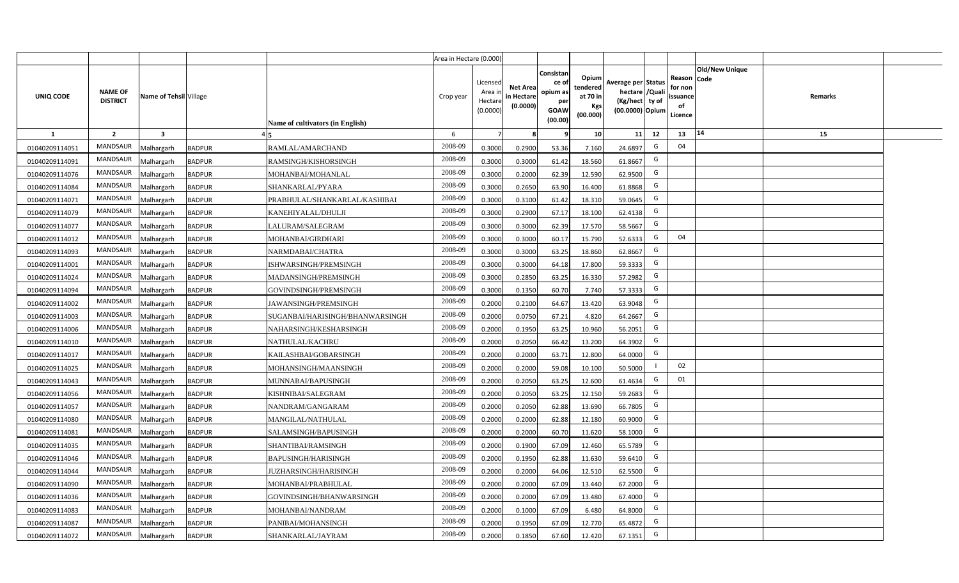|                |                                   |                         |               |                                  | Area in Hectare (0.000) |                                          |                                           |                                                          |                                                         |                                                                           |    |                                                     |                       |         |  |
|----------------|-----------------------------------|-------------------------|---------------|----------------------------------|-------------------------|------------------------------------------|-------------------------------------------|----------------------------------------------------------|---------------------------------------------------------|---------------------------------------------------------------------------|----|-----------------------------------------------------|-----------------------|---------|--|
| UNIQ CODE      | <b>NAME OF</b><br><b>DISTRICT</b> | Name of Tehsil Village  |               | Name of cultivators (in English) | Crop year               | Licensed<br>Area i<br>Hectar<br>(0.0000) | <b>Net Area</b><br>in Hectare<br>(0.0000) | Consistan<br>ce of<br>opium as<br>per<br>GOAW<br>(00.00) | Opium<br>tendered<br>at 70 in<br><b>Kgs</b><br>(00.000) | Average per Status<br>hectare / Qual<br>(Kg/hect ty of<br>(00.0000) Opium |    | Reason Code<br>for nor<br>issuance<br>of<br>Licence | <b>Old/New Unique</b> | Remarks |  |
| 1              | $\overline{2}$                    | $\overline{\mathbf{3}}$ |               |                                  | 6                       |                                          |                                           |                                                          | 10 <sup>1</sup>                                         | 11                                                                        | 12 | 13                                                  | 14                    | 15      |  |
| 01040209114051 | <b>MANDSAUR</b>                   | Malhargarh              | <b>BADPUR</b> | RAMLAL/AMARCHAND                 | 2008-09                 | 0.3000                                   | 0.2900                                    | 53.36                                                    | 7.160                                                   | 24.6897                                                                   | G  | 04                                                  |                       |         |  |
| 01040209114091 | <b>MANDSAUR</b>                   | Malhargarh              | <b>BADPUR</b> | RAMSINGH/KISHORSINGH             | 2008-09                 | 0.3000                                   | 0.3000                                    | 61.42                                                    | 18.560                                                  | 61.8667                                                                   | G  |                                                     |                       |         |  |
| 01040209114076 | <b>MANDSAUR</b>                   | Malhargarh              | <b>BADPUR</b> | MOHANBAI/MOHANLAL                | 2008-09                 | 0.3000                                   | 0.2000                                    | 62.39                                                    | 12.590                                                  | 62.9500                                                                   | G  |                                                     |                       |         |  |
| 01040209114084 | <b>MANDSAUR</b>                   | Malhargarh              | <b>BADPUR</b> | SHANKARLAL/PYARA                 | 2008-09                 | 0.3000                                   | 0.2650                                    | 63.90                                                    | 16.400                                                  | 61.8868                                                                   | G  |                                                     |                       |         |  |
| 01040209114071 | <b>MANDSAUR</b>                   | Malhargarh              | <b>BADPUR</b> | PRABHULAL/SHANKARLAL/KASHIBAI    | 2008-09                 | 0.3000                                   | 0.3100                                    | 61.42                                                    | 18.310                                                  | 59.0645                                                                   | G  |                                                     |                       |         |  |
| 01040209114079 | <b>MANDSAUR</b>                   | Malhargarh              | <b>BADPUR</b> | KANEHIYALAL/DHULJI               | 2008-09                 | 0.300                                    | 0.2900                                    | 67.17                                                    | 18.100                                                  | 62.4138                                                                   | G  |                                                     |                       |         |  |
| 01040209114077 | <b>MANDSAUR</b>                   | Malhargarh              | <b>BADPUR</b> | LALURAM/SALEGRAM                 | 2008-09                 | 0.300                                    | 0.3000                                    | 62.39                                                    | 17.570                                                  | 58.5667                                                                   | G  |                                                     |                       |         |  |
| 01040209114012 | <b>MANDSAUR</b>                   | Malhargarh              | <b>BADPUR</b> | MOHANBAI/GIRDHARI                | 2008-09                 | 0.300                                    | 0.3000                                    | 60.17                                                    | 15.790                                                  | 52.6333                                                                   | G  | 04                                                  |                       |         |  |
| 01040209114093 | MANDSAUR                          | Malhargarh              | <b>BADPUR</b> | NARMDABAI/CHATRA                 | 2008-09                 | 0.3000                                   | 0.3000                                    | 63.25                                                    | 18.860                                                  | 62.8667                                                                   | G  |                                                     |                       |         |  |
| 01040209114001 | <b>MANDSAUR</b>                   | Malhargarh              | <b>BADPUR</b> | ISHWARSINGH/PREMSINGH            | 2008-09                 | 0.3000                                   | 0.3000                                    | 64.18                                                    | 17.800                                                  | 59.3333                                                                   | G  |                                                     |                       |         |  |
| 01040209114024 | MANDSAUR                          | Malhargarh              | <b>BADPUR</b> | MADANSINGH/PREMSINGH             | 2008-09                 | 0.3000                                   | 0.2850                                    | 63.25                                                    | 16.330                                                  | 57.2982                                                                   | G  |                                                     |                       |         |  |
| 01040209114094 | <b>MANDSAUR</b>                   | Malhargarh              | <b>BADPUR</b> | GOVINDSINGH/PREMSINGH            | 2008-09                 | 0.3000                                   | 0.1350                                    | 60.70                                                    | 7.740                                                   | 57.3333                                                                   | G  |                                                     |                       |         |  |
| 01040209114002 | MANDSAUR                          | Malhargarh              | <b>BADPUR</b> | JAWANSINGH/PREMSINGH             | 2008-09                 | 0.2000                                   | 0.2100                                    | 64.67                                                    | 13.420                                                  | 63.9048                                                                   | G  |                                                     |                       |         |  |
| 01040209114003 | MANDSAUR                          | Malhargarh              | <b>BADPUR</b> | SUGANBAI/HARISINGH/BHANWARSINGH  | 2008-09                 | 0.2000                                   | 0.0750                                    | 67.21                                                    | 4.820                                                   | 64.2667                                                                   | G  |                                                     |                       |         |  |
| 01040209114006 | <b>MANDSAUR</b>                   | Malhargarh              | <b>BADPUR</b> | NAHARSINGH/KESHARSINGH           | 2008-09                 | 0.2000                                   | 0.1950                                    | 63.25                                                    | 10.960                                                  | 56.2051                                                                   | G  |                                                     |                       |         |  |
| 01040209114010 | MANDSAUR                          | Malhargarh              | <b>BADPUR</b> | <b>NATHULAL/KACHRU</b>           | 2008-09                 | 0.2000                                   | 0.2050                                    | 66.42                                                    | 13.200                                                  | 64.3902                                                                   | G  |                                                     |                       |         |  |
| 01040209114017 | <b>MANDSAUR</b>                   | Malhargarh              | <b>BADPUR</b> | KAILASHBAI/GOBARSINGH            | 2008-09                 | 0.2000                                   | 0.2000                                    | 63.71                                                    | 12.800                                                  | 64.0000                                                                   | G  |                                                     |                       |         |  |
| 01040209114025 | <b>MANDSAUR</b>                   | Malhargarh              | <b>BADPUR</b> | MOHANSINGH/MAANSINGH             | 2008-09                 | 0.2000                                   | 0.2000                                    | 59.08                                                    | 10.100                                                  | 50.5000                                                                   |    | 02                                                  |                       |         |  |
| 01040209114043 | <b>MANDSAUR</b>                   | Malhargarh              | <b>BADPUR</b> | MUNNABAI/BAPUSINGH               | 2008-09                 | 0.2000                                   | 0.2050                                    | 63.25                                                    | 12.600                                                  | 61.4634                                                                   | G  | 01                                                  |                       |         |  |
| 01040209114056 | <b>MANDSAUR</b>                   | Malhargarh              | <b>BADPUR</b> | KISHNIBAI/SALEGRAM               | 2008-09                 | 0.2000                                   | 0.2050                                    | 63.25                                                    | 12.150                                                  | 59.2683                                                                   | G  |                                                     |                       |         |  |
| 01040209114057 | <b>MANDSAUR</b>                   | Malhargarh              | <b>BADPUR</b> | NANDRAM/GANGARAM                 | 2008-09                 | 0.2000                                   | 0.2050                                    | 62.88                                                    | 13.690                                                  | 66.7805                                                                   | G  |                                                     |                       |         |  |
| 01040209114080 | <b>MANDSAUR</b>                   | Malhargarh              | <b>BADPUR</b> | MANGILAL/NATHULAL                | 2008-09                 | 0.2000                                   | 0.2000                                    | 62.88                                                    | 12.180                                                  | 60.9000                                                                   | G  |                                                     |                       |         |  |
| 01040209114081 | <b>MANDSAUR</b>                   | Malhargarh              | <b>BADPUR</b> | SALAMSINGH/BAPUSINGH             | 2008-09                 | 0.2000                                   | 0.2000                                    | 60.70                                                    | 11.620                                                  | 58.1000                                                                   | G  |                                                     |                       |         |  |
| 01040209114035 | <b>MANDSAUR</b>                   | Malhargarh              | <b>BADPUR</b> | SHANTIBAI/RAMSINGH               | 2008-09                 | 0.2000                                   | 0.1900                                    | 67.09                                                    | 12.460                                                  | 65.5789                                                                   | G  |                                                     |                       |         |  |
| 01040209114046 | <b>MANDSAUR</b>                   | Malhargarh              | <b>BADPUR</b> | BAPUSINGH/HARISINGH              | 2008-09                 | 0.200                                    | 0.1950                                    | 62.88                                                    | 11.630                                                  | 59.6410                                                                   | G  |                                                     |                       |         |  |
| 01040209114044 | <b>MANDSAUR</b>                   | Malhargarh              | <b>BADPUR</b> | JUZHARSINGH/HARISINGH            | 2008-09                 | 0.200                                    | 0.2000                                    | 64.06                                                    | 12.510                                                  | 62.5500                                                                   | G  |                                                     |                       |         |  |
| 01040209114090 | <b>MANDSAUR</b>                   | Malhargarh              | <b>BADPUR</b> | MOHANBAI/PRABHULAL               | 2008-09                 | 0.200                                    | 0.2000                                    | 67.09                                                    | 13.440                                                  | 67.2000                                                                   | G  |                                                     |                       |         |  |
| 01040209114036 | <b>MANDSAUR</b>                   | Malhargarh              | <b>BADPUR</b> | GOVINDSINGH/BHANWARSINGH         | 2008-09                 | 0.2000                                   | 0.2000                                    | 67.09                                                    | 13.480                                                  | 67.4000                                                                   | G  |                                                     |                       |         |  |
| 01040209114083 | <b>MANDSAUR</b>                   | Malhargarh              | <b>BADPUR</b> | MOHANBAI/NANDRAM                 | 2008-09                 | 0.2000                                   | 0.1000                                    | 67.09                                                    | 6.480                                                   | 64.8000                                                                   | G  |                                                     |                       |         |  |
| 01040209114087 | <b>MANDSAUR</b>                   | Malhargarh              | <b>BADPUR</b> | PANIBAI/MOHANSINGH               | 2008-09                 | 0.2000                                   | 0.1950                                    | 67.09                                                    | 12.770                                                  | 65.4872                                                                   | G  |                                                     |                       |         |  |
| 01040209114072 | <b>MANDSAUR</b>                   | Malhargarh              | <b>BADPUR</b> | SHANKARLAL/JAYRAM                | 2008-09                 | 0.2000                                   | 0.1850                                    | 67.60                                                    | 12.420                                                  | 67.1351                                                                   | G  |                                                     |                       |         |  |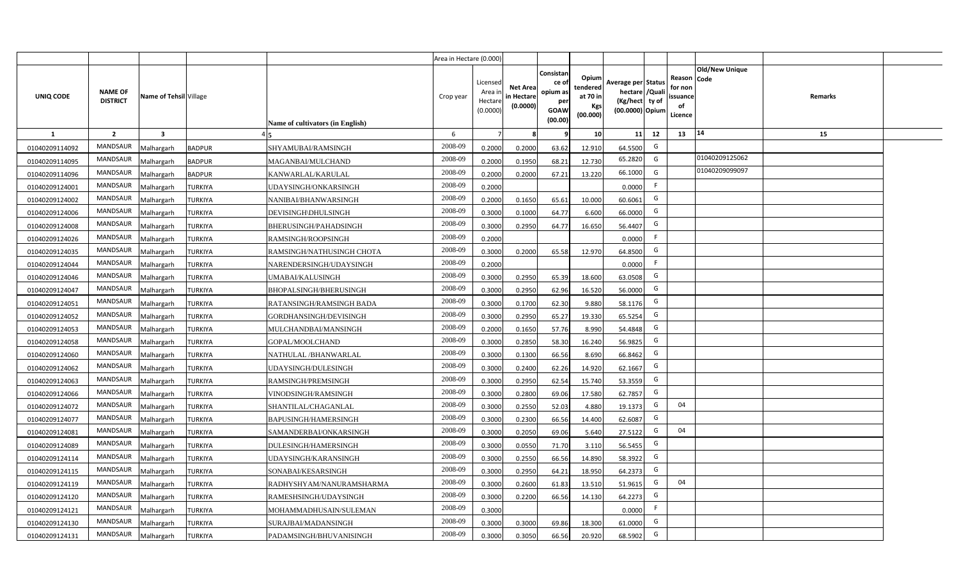|                |                                   |                         |                |                                  | Area in Hectare (0.000) |                                           |                                           |                                                         |                                                         |                                                                            |                                                     |                       |         |  |
|----------------|-----------------------------------|-------------------------|----------------|----------------------------------|-------------------------|-------------------------------------------|-------------------------------------------|---------------------------------------------------------|---------------------------------------------------------|----------------------------------------------------------------------------|-----------------------------------------------------|-----------------------|---------|--|
| UNIQ CODE      | <b>NAME OF</b><br><b>DISTRICT</b> | Name of Tehsil Village  |                | Name of cultivators (in English) | Crop year               | Licensed<br>Area i<br>Hectare<br>(0.0000) | <b>Net Area</b><br>in Hectare<br>(0.0000) | Consistan<br>ce o<br>opium as<br>per<br>GOAW<br>(00.00) | Opium<br>tendered<br>at 70 in<br><b>Kgs</b><br>(00.000) | Average per Status<br>hectare / Quali<br>(Kg/hect ty of<br>(00.0000) Opium | Reason Code<br>for non<br>issuance<br>of<br>Licence | <b>Old/New Unique</b> | Remarks |  |
| $\mathbf{1}$   | $\overline{2}$                    | $\overline{\mathbf{3}}$ |                |                                  | 6                       | $\overline{7}$                            |                                           | 9                                                       | 10 <sup>1</sup>                                         | 12<br>11                                                                   | 13                                                  | 14                    | 15      |  |
| 01040209114092 | MANDSAUR                          | Malhargarh              | <b>BADPUR</b>  | SHYAMUBAI/RAMSINGH               | 2008-09                 | 0.2000                                    | 0.2000                                    | 63.62                                                   | 12.910                                                  | G<br>64.5500                                                               |                                                     |                       |         |  |
| 01040209114095 | MANDSAUR                          | Malhargarh              | <b>BADPUR</b>  | MAGANBAI/MULCHAND                | 2008-09                 | 0.2000                                    | 0.1950                                    | 68.21                                                   | 12.730                                                  | 65.2820<br>G                                                               |                                                     | 01040209125062        |         |  |
| 01040209114096 | MANDSAUR                          | Malhargarh              | <b>BADPUR</b>  | KANWARLAL/KARULAL                | 2008-09                 | 0.2000                                    | 0.2000                                    | 67.21                                                   | 13.220                                                  | 66.1000<br>G                                                               |                                                     | 01040209099097        |         |  |
| 01040209124001 | MANDSAUR                          | Malhargarh              | <b>TURKIYA</b> | UDAYSINGH/ONKARSINGH             | 2008-09                 | 0.2000                                    |                                           |                                                         |                                                         | F.<br>0.0000                                                               |                                                     |                       |         |  |
| 01040209124002 | <b>MANDSAUR</b>                   | Malhargarh              | <b>TURKIYA</b> | NANIBAI/BHANWARSINGH             | 2008-09                 | 0.2000                                    | 0.1650                                    | 65.61                                                   | 10.000                                                  | G<br>60.6061                                                               |                                                     |                       |         |  |
| 01040209124006 | MANDSAUR                          | Malhargarh              | <b>TURKIYA</b> | DEVISINGH\DHULSINGH              | 2008-09                 | 0.3000                                    | 0.1000                                    | 64.77                                                   | 6.600                                                   | G<br>66.0000                                                               |                                                     |                       |         |  |
| 01040209124008 | MANDSAUR                          | Malhargarh              | <b>TURKIYA</b> | BHERUSINGH/PAHADSINGH            | 2008-09                 | 0.3000                                    | 0.2950                                    | 64.77                                                   | 16.650                                                  | G<br>56.4407                                                               |                                                     |                       |         |  |
| 01040209124026 | MANDSAUR                          | Malhargarh              | <b>TURKIYA</b> | RAMSINGH/ROOPSINGH               | 2008-09                 | 0.2000                                    |                                           |                                                         |                                                         | F<br>0.0000                                                                |                                                     |                       |         |  |
| 01040209124035 | <b>MANDSAUR</b>                   | Malhargarh              | <b>TURKIYA</b> | RAMSINGH/NATHUSINGH CHOTA        | 2008-09                 | 0.3000                                    | 0.2000                                    | 65.58                                                   | 12.970                                                  | G<br>64.8500                                                               |                                                     |                       |         |  |
| 01040209124044 | <b>MANDSAUR</b>                   | Malhargarh              | <b>TURKIYA</b> | NARENDERSINGH/UDAYSINGH          | 2008-09                 | 0.2000                                    |                                           |                                                         |                                                         | F<br>0.0000                                                                |                                                     |                       |         |  |
| 01040209124046 | MANDSAUR                          | Malhargarh              | <b>TURKIYA</b> | UMABAI/KALUSINGH                 | 2008-09                 | 0.3000                                    | 0.2950                                    | 65.39                                                   | 18.600                                                  | G<br>63.0508                                                               |                                                     |                       |         |  |
| 01040209124047 | MANDSAUR                          | Malhargarh              | <b>TURKIYA</b> | <b>BHOPALSINGH/BHERUSINGH</b>    | 2008-09                 | 0.3000                                    | 0.2950                                    | 62.96                                                   | 16.520                                                  | G<br>56.0000                                                               |                                                     |                       |         |  |
| 01040209124051 | <b>MANDSAUR</b>                   | Malhargarh              | <b>TURKIYA</b> | RATANSINGH/RAMSINGH BADA         | 2008-09                 | 0.3000                                    | 0.1700                                    | 62.30                                                   | 9.880                                                   | G<br>58.1176                                                               |                                                     |                       |         |  |
| 01040209124052 | MANDSAUR                          | Malhargarh              | <b>TURKIYA</b> | GORDHANSINGH/DEVISINGH           | 2008-09                 | 0.3000                                    | 0.2950                                    | 65.27                                                   | 19.330                                                  | G<br>65.5254                                                               |                                                     |                       |         |  |
| 01040209124053 | <b>MANDSAUR</b>                   | Malhargarh              | <b>TURKIYA</b> | MULCHANDBAI/MANSINGH             | 2008-09                 | 0.2000                                    | 0.1650                                    | 57.76                                                   | 8.990                                                   | G<br>54.4848                                                               |                                                     |                       |         |  |
| 01040209124058 | <b>MANDSAUR</b>                   | Malhargarh              | <b>TURKIYA</b> | GOPAL/MOOLCHAND                  | 2008-09                 | 0.3000                                    | 0.2850                                    | 58.30                                                   | 16.240                                                  | G<br>56.9825                                                               |                                                     |                       |         |  |
| 01040209124060 | <b>MANDSAUR</b>                   | Malhargarh              | <b>TURKIYA</b> | NATHULAL/BHANWARLAL              | 2008-09                 | 0.3000                                    | 0.1300                                    | 66.56                                                   | 8.690                                                   | G<br>66.8462                                                               |                                                     |                       |         |  |
| 01040209124062 | <b>MANDSAUR</b>                   | Malhargarh              | <b>TURKIYA</b> | UDAYSINGH/DULESINGH              | 2008-09                 | 0.3000                                    | 0.2400                                    | 62.26                                                   | 14.920                                                  | G<br>62.1667                                                               |                                                     |                       |         |  |
| 01040209124063 | <b>MANDSAUR</b>                   | Malhargarh              | <b>TURKIYA</b> | RAMSINGH/PREMSINGH               | 2008-09                 | 0.3000                                    | 0.2950                                    | 62.54                                                   | 15.740                                                  | G<br>53.3559                                                               |                                                     |                       |         |  |
| 01040209124066 | MANDSAUR                          | Malhargarh              | <b>TURKIYA</b> | VINODSINGH/RAMSINGH              | 2008-09                 | 0.3000                                    | 0.2800                                    | 69.06                                                   | 17.580                                                  | G<br>62.7857                                                               |                                                     |                       |         |  |
| 01040209124072 | MANDSAUR                          | Malhargarh              | <b>TURKIYA</b> | SHANTILAL/CHAGANLAL              | 2008-09                 | 0.3000                                    | 0.2550                                    | 52.03                                                   | 4.880                                                   | G<br>19.1373                                                               | 04                                                  |                       |         |  |
| 01040209124077 | MANDSAUR                          | Malhargarh              | <b>TURKIYA</b> | BAPUSINGH/HAMERSINGH             | 2008-09                 | 0.3000                                    | 0.2300                                    | 66.56                                                   | 14.400                                                  | G<br>62.6087                                                               |                                                     |                       |         |  |
| 01040209124081 | <b>MANDSAUR</b>                   | Malhargarh              | <b>TURKIYA</b> | SAMANDERBAI/ONKARSINGH           | 2008-09                 | 0.3000                                    | 0.2050                                    | 69.06                                                   | 5.640                                                   | G<br>27.5122                                                               | 04                                                  |                       |         |  |
| 01040209124089 | MANDSAUR                          | Malhargarh              | <b>TURKIYA</b> | DULESINGH/HAMERSINGH             | 2008-09                 | 0.3000                                    | 0.0550                                    | 71.70                                                   | 3.110                                                   | G<br>56.5455                                                               |                                                     |                       |         |  |
| 01040209124114 | MANDSAUR                          | Malhargarh              | <b>TURKIYA</b> | UDAYSINGH/KARANSINGH             | 2008-09                 | 0.3000                                    | 0.2550                                    | 66.56                                                   | 14.890                                                  | G<br>58.3922                                                               |                                                     |                       |         |  |
| 01040209124115 | MANDSAUR                          | Malhargarh              | <b>TURKIYA</b> | SONABAI/KESARSINGH               | 2008-09                 | 0.3000                                    | 0.2950                                    | 64.21                                                   | 18.950                                                  | G<br>64.2373                                                               |                                                     |                       |         |  |
| 01040209124119 | MANDSAUR                          | Malhargarh              | <b>TURKIYA</b> | RADHYSHYAM/NANURAMSHARMA         | 2008-09                 | 0.3000                                    | 0.2600                                    | 61.83                                                   | 13.510                                                  | G<br>51.9615                                                               | 04                                                  |                       |         |  |
| 01040209124120 | MANDSAUR                          | Malhargarh              | <b>TURKIYA</b> | RAMESHSINGH/UDAYSINGH            | 2008-09                 | 0.3000                                    | 0.2200                                    | 66.56                                                   | 14.130                                                  | G<br>64.2273                                                               |                                                     |                       |         |  |
| 01040209124121 | MANDSAUR                          | Malhargarh              | <b>TURKIYA</b> | MOHAMMADHUSAIN/SULEMAN           | 2008-09                 | 0.3000                                    |                                           |                                                         |                                                         | -F<br>0.0000                                                               |                                                     |                       |         |  |
| 01040209124130 | MANDSAUR                          | Malhargarh              | <b>TURKIYA</b> | SURAJBAI/MADANSINGH              | 2008-09                 | 0.3000                                    | 0.3000                                    | 69.86                                                   | 18.300                                                  | G<br>61.0000                                                               |                                                     |                       |         |  |
| 01040209124131 | MANDSAUR                          | Malhargarh              | <b>TURKIYA</b> | PADAMSINGH/BHUVANISINGH          | 2008-09                 | 0.3000                                    | 0.3050                                    | 66.56                                                   | 20.920                                                  | G<br>68.5902                                                               |                                                     |                       |         |  |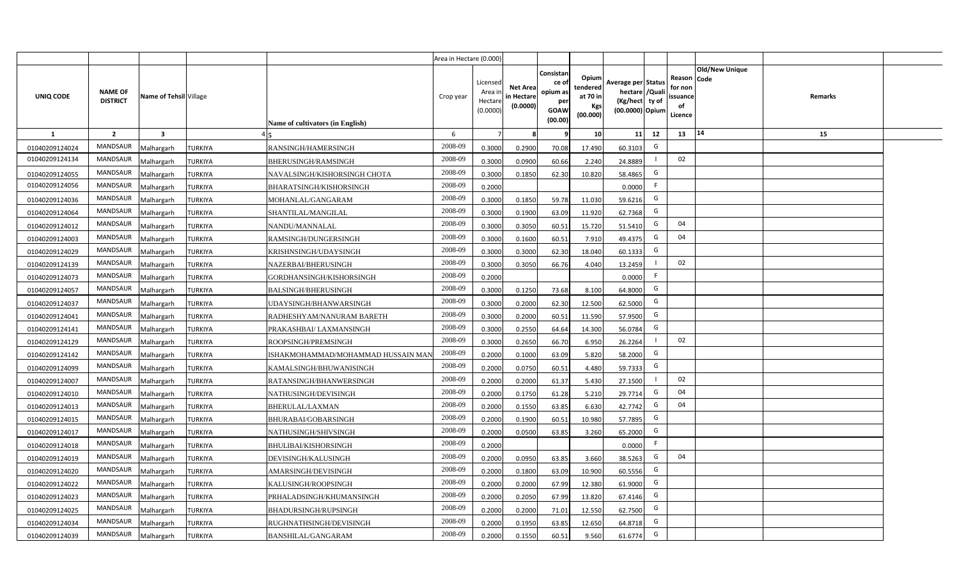|                |                                   |                         |                |                                    | Area in Hectare (0.000) |                                           |                                           |                                                          |                                                  |                                                                            |                                                    |                       |         |  |
|----------------|-----------------------------------|-------------------------|----------------|------------------------------------|-------------------------|-------------------------------------------|-------------------------------------------|----------------------------------------------------------|--------------------------------------------------|----------------------------------------------------------------------------|----------------------------------------------------|-----------------------|---------|--|
| UNIQ CODE      | <b>NAME OF</b><br><b>DISTRICT</b> | Name of Tehsil Village  |                | Name of cultivators (in English)   | Crop year               | Licensed<br>Area i<br>Hectare<br>(0.0000) | <b>Net Area</b><br>in Hectare<br>(0.0000) | Consistan<br>ce of<br>opium as<br>per<br>GOAW<br>(00.00) | Opium<br>tendered<br>at 70 in<br>Kgs<br>(00.000) | Average per Status<br>hectare / Quali<br>(Kg/hect ty of<br>(00.0000) Opium | Reason Code<br>for non<br>ssuance<br>of<br>Licence | <b>Old/New Unique</b> | Remarks |  |
| $\mathbf{1}$   | $\overline{2}$                    | $\overline{\mathbf{3}}$ |                |                                    | 6                       | $\overline{7}$                            | 8                                         | 9                                                        | 10 <sup>1</sup>                                  | 11<br>12                                                                   | 13                                                 | 14                    | 15      |  |
| 01040209124024 | MANDSAUR                          | Malhargarh              | <b>TURKIYA</b> | RANSINGH/HAMERSINGH                | 2008-09                 | 0.3000                                    | 0.2900                                    | 70.08                                                    | 17.490                                           | G<br>60.3103                                                               |                                                    |                       |         |  |
| 01040209124134 | <b>MANDSAUR</b>                   | <b>Aalhargarh</b>       | <b>TURKIYA</b> | BHERUSINGH/RAMSINGH                | 2008-09                 | 0.3000                                    | 0.0900                                    | 60.66                                                    | 2.240                                            | 24.8889                                                                    | 02                                                 |                       |         |  |
| 01040209124055 | MANDSAUR                          | Malhargarh              | <b>TURKIYA</b> | NAVALSINGH/KISHORSINGH CHOTA       | 2008-09                 | 0.3000                                    | 0.1850                                    | 62.30                                                    | 10.820                                           | G<br>58.4865                                                               |                                                    |                       |         |  |
| 01040209124056 | <b>MANDSAUR</b>                   | Malhargarh              | <b>TURKIYA</b> | BHARATSINGH/KISHORSINGH            | 2008-09                 | 0.2000                                    |                                           |                                                          |                                                  | F<br>0.0000                                                                |                                                    |                       |         |  |
| 01040209124036 | MANDSAUR                          | Malhargarh              | <b>TURKIYA</b> | MOHANLAL/GANGARAM                  | 2008-09                 | 0.3000                                    | 0.1850                                    | 59.78                                                    | 11.030                                           | G<br>59.6216                                                               |                                                    |                       |         |  |
| 01040209124064 | MANDSAUR                          | Malhargarh              | <b>TURKIYA</b> | SHANTILAL/MANGILAL                 | 2008-09                 | 0.3000                                    | 0.1900                                    | 63.09                                                    | 11.920                                           | G<br>62.7368                                                               |                                                    |                       |         |  |
| 01040209124012 | MANDSAUR                          | Malhargarh              | <b>TURKIYA</b> | NANDU/MANNALAL                     | 2008-09                 | 0.3000                                    | 0.3050                                    | 60.51                                                    | 15.720                                           | G<br>51.5410                                                               | 04                                                 |                       |         |  |
| 01040209124003 | MANDSAUR                          | Malhargarh              | <b>TURKIYA</b> | RAMSINGH/DUNGERSINGH               | 2008-09                 | 0.3000                                    | 0.1600                                    | 60.51                                                    | 7.910                                            | G<br>49.4375                                                               | 04                                                 |                       |         |  |
| 01040209124029 | MANDSAUR                          | Malhargarh              | <b>TURKIYA</b> | KRISHNSINGH/UDAYSINGH              | 2008-09                 | 0.3000                                    | 0.3000                                    | 62.30                                                    | 18.040                                           | G<br>60.1333                                                               |                                                    |                       |         |  |
| 01040209124139 | MANDSAUR                          | Malhargarh              | <b>TURKIYA</b> | NAZERBAI/BHERUSINGH                | 2008-09                 | 0.3000                                    | 0.3050                                    | 66.76                                                    | 4.040                                            | 13.2459                                                                    | 02                                                 |                       |         |  |
| 01040209124073 | MANDSAUR                          | Malhargarh              | <b>TURKIYA</b> | GORDHANSINGH/KISHORSINGH           | 2008-09                 | 0.2000                                    |                                           |                                                          |                                                  | F<br>0.0000                                                                |                                                    |                       |         |  |
| 01040209124057 | MANDSAUR                          | Malhargarh              | <b>TURKIYA</b> | <b>BALSINGH/BHERUSINGH</b>         | 2008-09                 | 0.3000                                    | 0.1250                                    | 73.68                                                    | 8.100                                            | G<br>64.8000                                                               |                                                    |                       |         |  |
| 01040209124037 | MANDSAUR                          | Malhargarh              | <b>TURKIYA</b> | UDAYSINGH/BHANWARSINGH             | 2008-09                 | 0.3000                                    | 0.2000                                    | 62.30                                                    | 12.500                                           | G<br>62.5000                                                               |                                                    |                       |         |  |
| 01040209124041 | MANDSAUR                          | Malhargarh              | <b>TURKIYA</b> | RADHESHYAM/NANURAM BARETH          | 2008-09                 | 0.3000                                    | 0.2000                                    | 60.51                                                    | 11.590                                           | G<br>57.9500                                                               |                                                    |                       |         |  |
| 01040209124141 | <b>MANDSAUR</b>                   | Malhargarh              | <b>TURKIYA</b> | PRAKASHBAI/ LAXMANSINGH            | 2008-09                 | 0.3000                                    | 0.2550                                    | 64.64                                                    | 14.300                                           | G<br>56.0784                                                               |                                                    |                       |         |  |
| 01040209124129 | <b>MANDSAUR</b>                   | Malhargarh              | <b>TURKIYA</b> | ROOPSINGH/PREMSINGH                | 2008-09                 | 0.3000                                    | 0.2650                                    | 66.70                                                    | 6.950                                            | 26.2264                                                                    | 02                                                 |                       |         |  |
| 01040209124142 | <b>MANDSAUR</b>                   | Malhargarh              | <b>TURKIYA</b> | ISHAKMOHAMMAD/MOHAMMAD HUSSAIN MAI | 2008-09                 | 0.2000                                    | 0.1000                                    | 63.09                                                    | 5.820                                            | G<br>58.2000                                                               |                                                    |                       |         |  |
| 01040209124099 | <b>MANDSAUR</b>                   | Malhargarh              | <b>TURKIYA</b> | KAMALSINGH/BHUWANISINGH            | 2008-09                 | 0.2000                                    | 0.0750                                    | 60.51                                                    | 4.480                                            | G<br>59.7333                                                               |                                                    |                       |         |  |
| 01040209124007 | <b>MANDSAUR</b>                   | Malhargarh              | <b>TURKIYA</b> | RATANSINGH/BHANWERSINGH            | 2008-09                 | 0.2000                                    | 0.2000                                    | 61.37                                                    | 5.430                                            | 27.1500                                                                    | 02                                                 |                       |         |  |
| 01040209124010 | MANDSAUR                          | Malhargarh              | <b>TURKIYA</b> | NATHUSINGH/DEVISINGH               | 2008-09                 | 0.2000                                    | 0.1750                                    | 61.28                                                    | 5.210                                            | G<br>29.7714                                                               | 04                                                 |                       |         |  |
| 01040209124013 | MANDSAUR                          | Malhargarh              | <b>TURKIYA</b> | BHERULAL/LAXMAN                    | 2008-09                 | 0.2000                                    | 0.1550                                    | 63.85                                                    | 6.630                                            | G<br>42.7742                                                               | 04                                                 |                       |         |  |
| 01040209124015 | MANDSAUR                          | Malhargarh              | <b>TURKIYA</b> | BHURABAI/GOBARSINGH                | 2008-09                 | 0.2000                                    | 0.1900                                    | 60.51                                                    | 10.980                                           | G<br>57.7895                                                               |                                                    |                       |         |  |
| 01040209124017 | MANDSAUR                          | Malhargarh              | <b>TURKIYA</b> | NATHUSINGH/SHIVSINGH               | 2008-09                 | 0.2000                                    | 0.0500                                    | 63.85                                                    | 3.260                                            | G<br>65.2000                                                               |                                                    |                       |         |  |
| 01040209124018 | MANDSAUR                          | Malhargarh              | <b>TURKIYA</b> | BHULIBAI/KISHORSINGH               | 2008-09                 | 0.2000                                    |                                           |                                                          |                                                  | F<br>0.0000                                                                |                                                    |                       |         |  |
| 01040209124019 | MANDSAUR                          | Malhargarh              | <b>TURKIYA</b> | DEVISINGH/KALUSINGH                | 2008-09                 | 0.2000                                    | 0.0950                                    | 63.85                                                    | 3.660                                            | G<br>38.5263                                                               | 04                                                 |                       |         |  |
| 01040209124020 | MANDSAUR                          | Malhargarh              | <b>TURKIYA</b> | AMARSINGH/DEVISINGH                | 2008-09                 | 0.2000                                    | 0.1800                                    | 63.09                                                    | 10.900                                           | G<br>60.5556                                                               |                                                    |                       |         |  |
| 01040209124022 | MANDSAUR                          | Malhargarh              | <b>TURKIYA</b> | KALUSINGH/ROOPSINGH                | 2008-09                 | 0.2000                                    | 0.2000                                    | 67.99                                                    | 12.380                                           | G<br>61.9000                                                               |                                                    |                       |         |  |
| 01040209124023 | MANDSAUR                          | Malhargarh              | <b>TURKIYA</b> | PRHALADSINGH/KHUMANSINGH           | 2008-09                 | 0.2000                                    | 0.2050                                    | 67.99                                                    | 13.820                                           | G<br>67.4146                                                               |                                                    |                       |         |  |
| 01040209124025 | MANDSAUR                          | Malhargarh              | <b>TURKIYA</b> | BHADURSINGH/RUPSINGH               | 2008-09                 | 0.2000                                    | 0.2000                                    | 71.01                                                    | 12.550                                           | G<br>62.7500                                                               |                                                    |                       |         |  |
| 01040209124034 | MANDSAUR                          | Malhargarh              | <b>TURKIYA</b> | RUGHNATHSINGH/DEVISINGH            | 2008-09                 | 0.2000                                    | 0.1950                                    | 63.85                                                    | 12.650                                           | G<br>64.8718                                                               |                                                    |                       |         |  |
| 01040209124039 | MANDSAUR                          | Malhargarh              | <b>TURKIYA</b> | BANSHILAL/GANGARAM                 | 2008-09                 | 0.2000                                    | 0.1550                                    | 60.51                                                    | 9.560                                            | G<br>61.6774                                                               |                                                    |                       |         |  |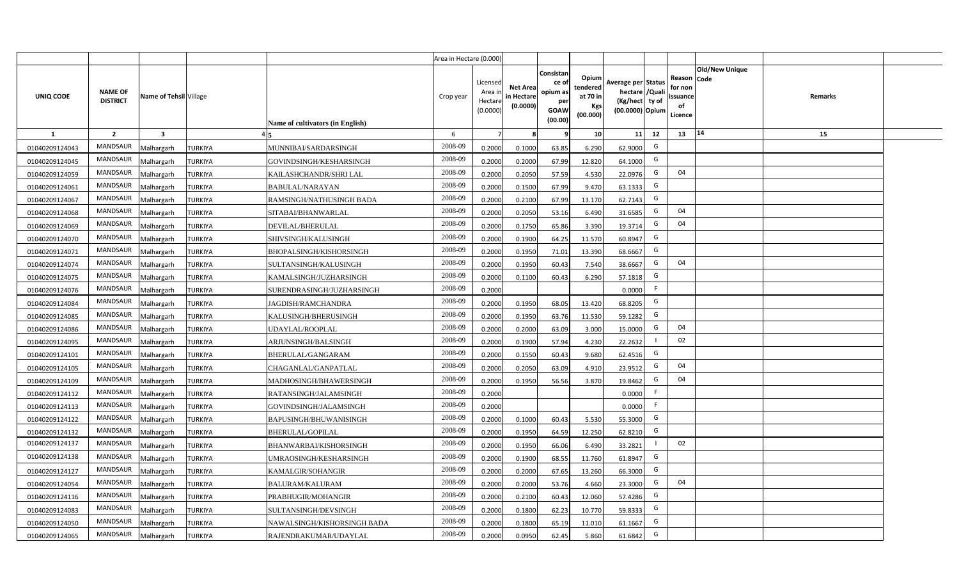|                |                                   |                         |                |                                  | Area in Hectare (0.000) |                                            |                                           |                                                                |                                                  |                                                                            |    |                                                     |                       |         |  |
|----------------|-----------------------------------|-------------------------|----------------|----------------------------------|-------------------------|--------------------------------------------|-------------------------------------------|----------------------------------------------------------------|--------------------------------------------------|----------------------------------------------------------------------------|----|-----------------------------------------------------|-----------------------|---------|--|
| UNIQ CODE      | <b>NAME OF</b><br><b>DISTRICT</b> | Name of Tehsil Village  |                | Name of cultivators (in English) | Crop year               | Licensed<br>Area in<br>Hectare<br>(0.0000) | <b>Net Area</b><br>in Hectare<br>(0.0000) | Consistan<br>ce o<br>opium as<br>per<br><b>GOAW</b><br>(00.00) | Opium<br>tendered<br>at 70 in<br>Kgs<br>(00.000) | Average per Status<br>hectare / Quali<br>(Kg/hect ty of<br>(00.0000) Opium |    | Reason Code<br>for non<br>issuance<br>of<br>Licence | <b>Old/New Unique</b> | Remarks |  |
| $\mathbf{1}$   | $\overline{2}$                    | $\overline{\mathbf{3}}$ |                |                                  | 6                       | $\overline{7}$                             | -8                                        | 9                                                              | 10                                               | 11                                                                         | 12 | 13                                                  | 14                    | 15      |  |
| 01040209124043 | MANDSAUR                          | <b>Malhargarh</b>       | <b>TURKIYA</b> | MUNNIBAI/SARDARSINGH             | 2008-09                 | 0.2000                                     | 0.1000                                    | 63.85                                                          | 6.290                                            | 62.9000                                                                    | G  |                                                     |                       |         |  |
| 01040209124045 | MANDSAUR                          | <b>Malhargarh</b>       | <b>TURKIYA</b> | GOVINDSINGH/KESHARSINGH          | 2008-09                 | 0.2000                                     | 0.2000                                    | 67.99                                                          | 12.820                                           | 64.1000                                                                    | G  |                                                     |                       |         |  |
| 01040209124059 | MANDSAUR                          | <b>Malhargarh</b>       | <b>TURKIYA</b> | KAILASHCHANDR/SHRI LAL           | 2008-09                 | 0.2000                                     | 0.2050                                    | 57.59                                                          | 4.530                                            | 22.0976                                                                    | G  | 04                                                  |                       |         |  |
| 01040209124061 | <b>MANDSAUR</b>                   | <b>Malhargarh</b>       | <b>TURKIYA</b> | <b>BABULAL/NARAYAN</b>           | 2008-09                 | 0.2000                                     | 0.1500                                    | 67.99                                                          | 9.470                                            | 63.1333                                                                    | G  |                                                     |                       |         |  |
| 01040209124067 | MANDSAUR                          | <b>Malhargarh</b>       | <b>TURKIYA</b> | RAMSINGH/NATHUSINGH BADA         | 2008-09                 | 0.2000                                     | 0.2100                                    | 67.99                                                          | 13.170                                           | 62.7143                                                                    | G  |                                                     |                       |         |  |
| 01040209124068 | <b>MANDSAUR</b>                   | <b>Malhargarh</b>       | <b>TURKIYA</b> | SITABAI/BHANWARLAL               | 2008-09                 | 0.2000                                     | 0.2050                                    | 53.16                                                          | 6.490                                            | 31.6585                                                                    | G  | 04                                                  |                       |         |  |
| 01040209124069 | <b>MANDSAUR</b>                   | <b>Malhargarh</b>       | <b>TURKIYA</b> | DEVILAL/BHERULAL                 | 2008-09                 | 0.2000                                     | 0.1750                                    | 65.86                                                          | 3.390                                            | 19.3714                                                                    | G  | 04                                                  |                       |         |  |
| 01040209124070 | <b>MANDSAUR</b>                   | <b>Malhargarh</b>       | <b>TURKIYA</b> | SHIVSINGH/KALUSINGH              | 2008-09                 | 0.2000                                     | 0.1900                                    | 64.25                                                          | 11.570                                           | 60.8947                                                                    | G  |                                                     |                       |         |  |
| 01040209124071 | MANDSAUR                          | <b>Malhargarh</b>       | <b>TURKIYA</b> | BHOPALSINGH/KISHORSINGH          | 2008-09                 | 0.2000                                     | 0.1950                                    | 71.01                                                          | 13.390                                           | 68.6667                                                                    | G  |                                                     |                       |         |  |
| 01040209124074 | <b>MANDSAUR</b>                   | <b>Malhargarh</b>       | <b>TURKIYA</b> | SULTANSINGH/KALUSINGH            | 2008-09                 | 0.2000                                     | 0.1950                                    | 60.43                                                          | 7.540                                            | 38.6667                                                                    | G  | 04                                                  |                       |         |  |
| 01040209124075 | <b>MANDSAUR</b>                   | <b>Malhargarh</b>       | TURKIYA        | KAMALSINGH/JUZHARSINGH           | 2008-09                 | 0.2000                                     | 0.1100                                    | 60.43                                                          | 6.290                                            | 57.1818                                                                    | G  |                                                     |                       |         |  |
| 01040209124076 | MANDSAUR                          | <b>Malhargarh</b>       | TURKIYA        | SURENDRASINGH/JUZHARSINGH        | 2008-09                 | 0.2000                                     |                                           |                                                                |                                                  | 0.0000                                                                     | F. |                                                     |                       |         |  |
| 01040209124084 | MANDSAUR                          | <b>Malhargarh</b>       | <b>TURKIYA</b> | JAGDISH/RAMCHANDRA               | 2008-09                 | 0.2000                                     | 0.1950                                    | 68.05                                                          | 13.420                                           | 68.8205                                                                    | G  |                                                     |                       |         |  |
| 01040209124085 | <b>MANDSAUR</b>                   | Malhargarh              | TURKIYA        | KALUSINGH/BHERUSINGH             | 2008-09                 | 0.2000                                     | 0.1950                                    | 63.76                                                          | 11.530                                           | 59.1282                                                                    | G  |                                                     |                       |         |  |
| 01040209124086 | <b>MANDSAUR</b>                   | Malhargarh              | <b>TURKIYA</b> | UDAYLAL/ROOPLAL                  | 2008-09                 | 0.2000                                     | 0.2000                                    | 63.09                                                          | 3.000                                            | 15.0000                                                                    | G  | 04                                                  |                       |         |  |
| 01040209124095 | <b>MANDSAUR</b>                   | Malhargarh              | <b>TURKIYA</b> | ARJUNSINGH/BALSINGH              | 2008-09                 | 0.2000                                     | 0.1900                                    | 57.94                                                          | 4.230                                            | 22.2632                                                                    |    | 02                                                  |                       |         |  |
| 01040209124101 | <b>MANDSAUR</b>                   | <b>Malhargarh</b>       | <b>TURKIYA</b> | BHERULAL/GANGARAM                | 2008-09                 | 0.2000                                     | 0.1550                                    | 60.43                                                          | 9.680                                            | 62.4516                                                                    | G  |                                                     |                       |         |  |
| 01040209124105 | MANDSAUR                          | <b>Malhargarh</b>       | <b>TURKIYA</b> | CHAGANLAL/GANPATLAL              | 2008-09                 | 0.2000                                     | 0.2050                                    | 63.09                                                          | 4.910                                            | 23.9512                                                                    | G  | 04                                                  |                       |         |  |
| 01040209124109 | <b>MANDSAUR</b>                   | Malhargarh              | <b>TURKIYA</b> | MADHOSINGH/BHAWERSINGH           | 2008-09                 | 0.2000                                     | 0.1950                                    | 56.56                                                          | 3.870                                            | 19.8462                                                                    | G  | 04                                                  |                       |         |  |
| 01040209124112 | <b>MANDSAUR</b>                   | Malhargarh              | TURKIYA        | RATANSINGH/JALAMSINGH            | 2008-09                 | 0.2000                                     |                                           |                                                                |                                                  | 0.0000                                                                     | F. |                                                     |                       |         |  |
| 01040209124113 | MANDSAUR                          | Malhargarh              | TURKIYA        | GOVINDSINGH/JALAMSINGH           | 2008-09                 | 0.2000                                     |                                           |                                                                |                                                  | 0.0000                                                                     | F  |                                                     |                       |         |  |
| 01040209124122 | MANDSAUR                          | <b>Malhargarh</b>       | TURKIYA        | BAPUSINGH/BHUWANISINGH           | 2008-09                 | 0.2000                                     | 0.1000                                    | 60.43                                                          | 5.530                                            | 55.3000                                                                    | G  |                                                     |                       |         |  |
| 01040209124132 | <b>MANDSAUR</b>                   | Aalhargarh              | TURKIYA        | BHERULAL/GOPILAL                 | 2008-09                 | 0.2000                                     | 0.1950                                    | 64.59                                                          | 12.250                                           | 62.8210                                                                    | G  |                                                     |                       |         |  |
| 01040209124137 | <b>MANDSAUR</b>                   | <b>Malhargarh</b>       | <b>TURKIYA</b> | <b>BHANWARBAI/KISHORSINGH</b>    | 2008-09                 | 0.2000                                     | 0.1950                                    | 66.06                                                          | 6.490                                            | 33.2821                                                                    |    | 02                                                  |                       |         |  |
| 01040209124138 | <b>MANDSAUR</b>                   | <b>Malhargarh</b>       | <b>TURKIYA</b> | UMRAOSINGH/KESHARSINGH           | 2008-09                 | 0.2000                                     | 0.1900                                    | 68.55                                                          | 11.760                                           | 61.8947                                                                    | G  |                                                     |                       |         |  |
| 01040209124127 | MANDSAUR                          | <b>Malhargarh</b>       | <b>TURKIYA</b> | KAMALGIR/SOHANGIR                | 2008-09                 | 0.2000                                     | 0.2000                                    | 67.65                                                          | 13.260                                           | 66.3000                                                                    | G  |                                                     |                       |         |  |
| 01040209124054 | <b>MANDSAUR</b>                   | <b>Malhargarh</b>       | <b>TURKIYA</b> | <b>BALURAM/KALURAM</b>           | 2008-09                 | 0.2000                                     | 0.2000                                    | 53.76                                                          | 4.660                                            | 23.3000                                                                    | G  | 04                                                  |                       |         |  |
| 01040209124116 | <b>MANDSAUR</b>                   | <b>Malhargarh</b>       | <b>TURKIYA</b> | PRABHUGIR/MOHANGIR               | 2008-09                 | 0.2000                                     | 0.2100                                    | 60.43                                                          | 12.060                                           | 57.4286                                                                    | G  |                                                     |                       |         |  |
| 01040209124083 | <b>MANDSAUR</b>                   | <b>Malhargarh</b>       | <b>TURKIYA</b> | SULTANSINGH/DEVSINGH             | 2008-09                 | 0.2000                                     | 0.1800                                    | 62.23                                                          | 10.770                                           | 59.8333                                                                    | G  |                                                     |                       |         |  |
| 01040209124050 | <b>MANDSAUR</b>                   | <b>Malhargarh</b>       | TURKIYA        | NAWALSINGH/KISHORSINGH BADA      | 2008-09                 | 0.2000                                     | 0.1800                                    | 65.19                                                          | 11.010                                           | 61.1667                                                                    | G  |                                                     |                       |         |  |
| 01040209124065 | MANDSAUR                          | Malhargarh              | <b>TURKIYA</b> | RAJENDRAKUMAR/UDAYLAL            | 2008-09                 | 0.2000                                     | 0.0950                                    | 62.45                                                          | 5.860                                            | 61.6842                                                                    | G  |                                                     |                       |         |  |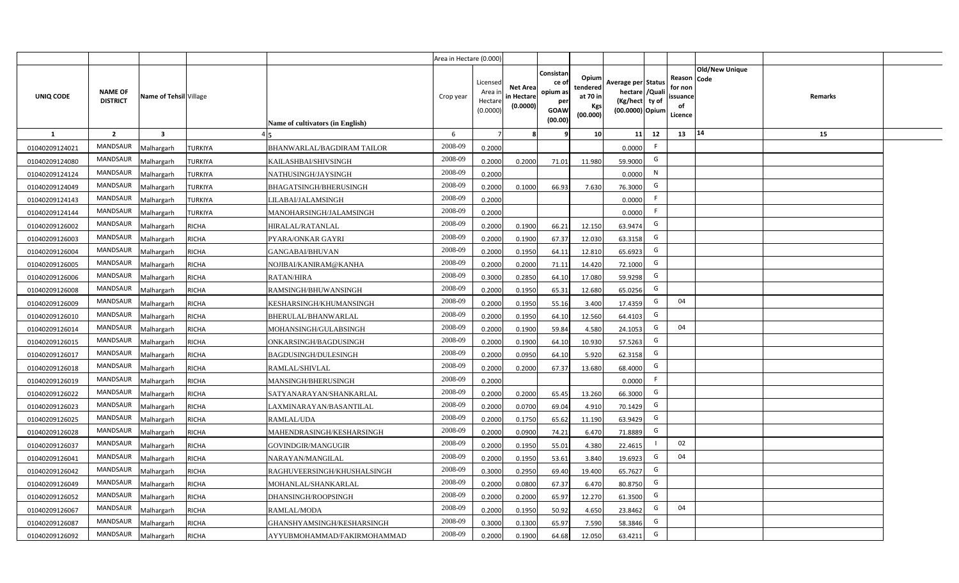|                |                                   |                         |                                                     | Area in Hectare (0.000) |                                            |                                           |                                                         |                                                  |                                                                            |    |                                                                              |         |  |
|----------------|-----------------------------------|-------------------------|-----------------------------------------------------|-------------------------|--------------------------------------------|-------------------------------------------|---------------------------------------------------------|--------------------------------------------------|----------------------------------------------------------------------------|----|------------------------------------------------------------------------------|---------|--|
| UNIQ CODE      | <b>NAME OF</b><br><b>DISTRICT</b> | Name of Tehsil Village  | Name of cultivators (in English)                    | Crop year               | Licensed<br>Area ir<br>Hectare<br>(0.0000) | <b>Net Area</b><br>in Hectare<br>(0.0000) | Consistar<br>ce o<br>opium as<br>per<br>GOAW<br>(00.00) | Opium<br>tendered<br>at 70 in<br>Kgs<br>(00.000) | Average per Status<br>hectare / Quali<br>(Kg/hect ty of<br>(00.0000) Opium |    | <b>Old/New Unique</b><br>Reason Code<br>for non<br>issuance<br>of<br>Licence | Remarks |  |
| $\mathbf{1}$   | $\overline{2}$                    | $\overline{\mathbf{3}}$ |                                                     | 6                       | 7                                          |                                           |                                                         | 10                                               | 11                                                                         | 12 | 14<br>13                                                                     | 15      |  |
| 01040209124021 | MANDSAUR                          | <b>Aalhargarh</b>       | <b>TURKIYA</b><br><b>BHANWARLAL/BAGDIRAM TAILOR</b> | 2008-09                 | 0.2000                                     |                                           |                                                         |                                                  | 0.0000                                                                     | F. |                                                                              |         |  |
| 01040209124080 | <b>MANDSAUR</b>                   | <b>Malhargarh</b>       | <b>TURKIYA</b><br>KAILASHBAI/SHIVSINGH              | 2008-09                 | 0.2000                                     | 0.2000                                    | 71.01                                                   | 11.980                                           | 59.9000                                                                    | G  |                                                                              |         |  |
| 01040209124124 | MANDSAUR                          | <b>Malhargarh</b>       | <b>TURKIYA</b><br>NATHUSINGH/JAYSINGH               | 2008-09                 | 0.2000                                     |                                           |                                                         |                                                  | 0.0000                                                                     | N  |                                                                              |         |  |
| 01040209124049 | MANDSAUR                          | <b>Malhargarh</b>       | <b>TURKIYA</b><br><b>BHAGATSINGH/BHERUSINGH</b>     | 2008-09                 | 0.2000                                     | 0.1000                                    | 66.93                                                   | 7.630                                            | 76.3000                                                                    | G  |                                                                              |         |  |
| 01040209124143 | <b>MANDSAUR</b>                   | <b>Malhargarh</b>       | TURKIYA<br>LILABAI/JALAMSINGH                       | 2008-09                 | 0.2000                                     |                                           |                                                         |                                                  | 0.0000                                                                     | F. |                                                                              |         |  |
| 01040209124144 | MANDSAUR                          | <b>Malhargarh</b>       | TURKIYA<br>MANOHARSINGH/JALAMSINGH                  | 2008-09                 | 0.2000                                     |                                           |                                                         |                                                  | 0.0000                                                                     | F  |                                                                              |         |  |
| 01040209126002 | MANDSAUR                          | <b>Malhargarh</b>       | <b>RICHA</b><br><b>HIRALAL/RATANLAL</b>             | 2008-09                 | 0.2000                                     | 0.1900                                    | 66.21                                                   | 12.150                                           | 63.9474                                                                    | G  |                                                                              |         |  |
| 01040209126003 | MANDSAUR                          | <b>Malhargarh</b>       | <b>RICHA</b><br>PYARA/ONKAR GAYRI                   | 2008-09                 | 0.2000                                     | 0.1900                                    | 67.37                                                   | 12.030                                           | 63.3158                                                                    | G  |                                                                              |         |  |
| 01040209126004 | <b>MANDSAUR</b>                   | <b>Malhargarh</b>       | <b>RICHA</b><br>GANGABAI/BHUVAN                     | 2008-09                 | 0.2000                                     | 0.1950                                    | 64.11                                                   | 12.810                                           | 65.6923                                                                    | G  |                                                                              |         |  |
| 01040209126005 | MANDSAUR                          | <b>Malhargarh</b>       | <b>RICHA</b><br>NOJIBAI/KANIRAM@KANHA               | 2008-09                 | 0.2000                                     | 0.2000                                    | 71.11                                                   | 14.420                                           | 72.1000                                                                    | G  |                                                                              |         |  |
| 01040209126006 | MANDSAUR                          | <b>Malhargarh</b>       | <b>RICHA</b><br><b>RATAN/HIRA</b>                   | 2008-09                 | 0.3000                                     | 0.2850                                    | 64.10                                                   | 17.080                                           | 59.9298                                                                    | G  |                                                                              |         |  |
| 01040209126008 | MANDSAUR                          | <b>Malhargarh</b>       | <b>RICHA</b><br>RAMSINGH/BHUWANSINGH                | 2008-09                 | 0.2000                                     | 0.1950                                    | 65.31                                                   | 12.680                                           | 65.0256                                                                    | G  |                                                                              |         |  |
| 01040209126009 | <b>MANDSAUR</b>                   | <b>Malhargarh</b>       | <b>RICHA</b><br>KESHARSINGH/KHUMANSINGH             | 2008-09                 | 0.2000                                     | 0.1950                                    | 55.16                                                   | 3.400                                            | 17.4359                                                                    | G  | 04                                                                           |         |  |
| 01040209126010 | MANDSAUR                          | Malhargarh              | <b>RICHA</b><br>BHERULAL/BHANWARLAL                 | 2008-09                 | 0.2000                                     | 0.1950                                    | 64.10                                                   | 12.560                                           | 64.4103                                                                    | G  |                                                                              |         |  |
| 01040209126014 | MANDSAUR                          | <b>Malhargarh</b>       | <b>RICHA</b><br>MOHANSINGH/GULABSINGH               | 2008-09                 | 0.2000                                     | 0.1900                                    | 59.84                                                   | 4.580                                            | 24.1053                                                                    | G  | 04                                                                           |         |  |
| 01040209126015 | <b>MANDSAUR</b>                   | Malhargarh              | <b>RICHA</b><br>ONKARSINGH/BAGDUSINGH               | 2008-09                 | 0.2000                                     | 0.1900                                    | 64.10                                                   | 10.930                                           | 57.5263                                                                    | G  |                                                                              |         |  |
| 01040209126017 | <b>MANDSAUR</b>                   | <b>Malhargarh</b>       | <b>RICHA</b><br>BAGDUSINGH/DULESINGH                | 2008-09                 | 0.2000                                     | 0.0950                                    | 64.10                                                   | 5.920                                            | 62.3158                                                                    | G  |                                                                              |         |  |
| 01040209126018 | <b>MANDSAUR</b>                   | <b>Malhargarh</b>       | <b>RICHA</b><br>RAMLAL/SHIVLAL                      | 2008-09                 | 0.2000                                     | 0.2000                                    | 67.37                                                   | 13.680                                           | 68.4000                                                                    | G  |                                                                              |         |  |
| 01040209126019 | <b>MANDSAUR</b>                   | <b>Malhargarh</b>       | <b>RICHA</b><br>MANSINGH/BHERUSINGH                 | 2008-09                 | 0.2000                                     |                                           |                                                         |                                                  | 0.0000                                                                     | F. |                                                                              |         |  |
| 01040209126022 | <b>MANDSAUR</b>                   | Malhargarh              | <b>RICHA</b><br>SATYANARAYAN/SHANKARLAL             | 2008-09                 | 0.2000                                     | 0.2000                                    | 65.45                                                   | 13.260                                           | 66.3000                                                                    | G  |                                                                              |         |  |
| 01040209126023 | MANDSAUR                          | <b>Malhargarh</b>       | <b>RICHA</b><br>LAXMINARAYAN/BASANTILAL             | 2008-09                 | 0.2000                                     | 0.0700                                    | 69.04                                                   | 4.910                                            | 70.1429                                                                    | G  |                                                                              |         |  |
| 01040209126025 | <b>MANDSAUR</b>                   | <b>Malhargarh</b>       | <b>RICHA</b><br>RAMLAL/UDA                          | 2008-09                 | 0.2000                                     | 0.1750                                    | 65.62                                                   | 11.190                                           | 63.9429                                                                    | G  |                                                                              |         |  |
| 01040209126028 | <b>MANDSAUR</b>                   | <b>Aalhargarh</b>       | <b>RICHA</b><br>MAHENDRASINGH/KESHARSINGH           | 2008-09                 | 0.2000                                     | 0.0900                                    | 74.21                                                   | 6.470                                            | 71.8889                                                                    | G  |                                                                              |         |  |
| 01040209126037 | <b>MANDSAUR</b>                   | <b>Malhargarh</b>       | <b>RICHA</b><br>GOVINDGIR/MANGUGIR                  | 2008-09                 | 0.2000                                     | 0.1950                                    | 55.01                                                   | 4.380                                            | 22.4615                                                                    |    | 02                                                                           |         |  |
| 01040209126041 | <b>MANDSAUR</b>                   | <b>Malhargarh</b>       | <b>RICHA</b><br>NARAYAN/MANGILAL                    | 2008-09                 | 0.2000                                     | 0.1950                                    | 53.61                                                   | 3.840                                            | 19.6923                                                                    | G  | 04                                                                           |         |  |
| 01040209126042 | <b>MANDSAUR</b>                   | <b>Malhargarh</b>       | <b>RICHA</b><br>RAGHUVEERSINGH/KHUSHALSINGH         | 2008-09                 | 0.3000                                     | 0.2950                                    | 69.40                                                   | 19.400                                           | 65.7627                                                                    | G  |                                                                              |         |  |
| 01040209126049 | MANDSAUR                          | <b>Malhargarh</b>       | <b>RICHA</b><br>MOHANLAL/SHANKARLAL                 | 2008-09                 | 0.2000                                     | 0.0800                                    | 67.37                                                   | 6.470                                            | 80.8750                                                                    | G  |                                                                              |         |  |
| 01040209126052 | <b>MANDSAUR</b>                   | <b>Malhargarh</b>       | <b>RICHA</b><br>DHANSINGH/ROOPSINGH                 | 2008-09                 | 0.2000                                     | 0.2000                                    | 65.97                                                   | 12.270                                           | 61.3500                                                                    | G  |                                                                              |         |  |
| 01040209126067 | MANDSAUR                          | <b>Malhargarh</b>       | <b>RICHA</b><br>RAMLAL/MODA                         | 2008-09                 | 0.2000                                     | 0.1950                                    | 50.92                                                   | 4.650                                            | 23.8462                                                                    | G  | 04                                                                           |         |  |
| 01040209126087 | <b>MANDSAUR</b>                   | <b>Malhargarh</b>       | RICHA<br>GHANSHYAMSINGH/KESHARSINGH                 | 2008-09                 | 0.3000                                     | 0.1300                                    | 65.97                                                   | 7.590                                            | 58.3846                                                                    | G  |                                                                              |         |  |
| 01040209126092 | MANDSAUR                          | Malhargarh              | <b>RICHA</b><br>AYYUBMOHAMMAD/FAKIRMOHAMMAD         | 2008-09                 | 0.2000                                     | 0.1900                                    | 64.68                                                   | 12.050                                           | 63.4211                                                                    | G  |                                                                              |         |  |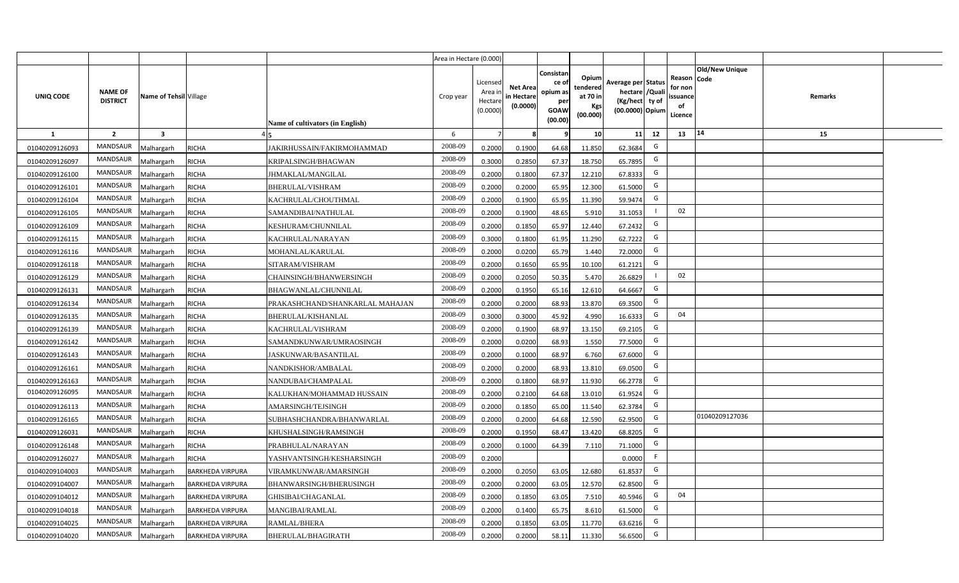|                |                                   |                         |                         |                                  | Area in Hectare (0.000) |                                          |                                           |                                                          |                                                         |                                                                           |    |                                                     |                       |         |  |
|----------------|-----------------------------------|-------------------------|-------------------------|----------------------------------|-------------------------|------------------------------------------|-------------------------------------------|----------------------------------------------------------|---------------------------------------------------------|---------------------------------------------------------------------------|----|-----------------------------------------------------|-----------------------|---------|--|
| UNIQ CODE      | <b>NAME OF</b><br><b>DISTRICT</b> | Name of Tehsil Village  |                         | Name of cultivators (in English) | Crop year               | Licensed<br>Area i<br>Hectar<br>(0.0000) | <b>Net Area</b><br>in Hectare<br>(0.0000) | Consistan<br>ce of<br>opium as<br>per<br>GOAW<br>(00.00) | Opium<br>tendered<br>at 70 in<br><b>Kgs</b><br>(00.000) | Average per Status<br>hectare / Qual<br>(Kg/hect ty of<br>(00.0000) Opium |    | Reason Code<br>for nor<br>issuance<br>of<br>Licence | <b>Old/New Unique</b> | Remarks |  |
| 1              | $\overline{2}$                    | $\overline{\mathbf{3}}$ |                         |                                  | 6                       |                                          |                                           |                                                          | 10 <sup>1</sup>                                         | 11                                                                        | 12 | 13                                                  | $ 14\rangle$          | 15      |  |
| 01040209126093 | <b>MANDSAUR</b>                   | Malhargarh              | RICHA                   | JAKIRHUSSAIN/FAKIRMOHAMMAD       | 2008-09                 | 0.2000                                   | 0.1900                                    | 64.68                                                    | 11.850                                                  | 62.3684                                                                   | G  |                                                     |                       |         |  |
| 01040209126097 | <b>MANDSAUR</b>                   | Malhargarh              | RICHA                   | KRIPALSINGH/BHAGWAN              | 2008-09                 | 0.3000                                   | 0.2850                                    | 67.37                                                    | 18.750                                                  | 65.7895                                                                   | G  |                                                     |                       |         |  |
| 01040209126100 | <b>MANDSAUR</b>                   | Malhargarh              | RICHA                   | JHMAKLAL/MANGILAL                | 2008-09                 | 0.2000                                   | 0.1800                                    | 67.37                                                    | 12.210                                                  | 67.8333                                                                   | G  |                                                     |                       |         |  |
| 01040209126101 | <b>MANDSAUR</b>                   | Malhargarh              | <b>RICHA</b>            | BHERULAL/VISHRAM                 | 2008-09                 | 0.2000                                   | 0.2000                                    | 65.95                                                    | 12.300                                                  | 61.5000                                                                   | G  |                                                     |                       |         |  |
| 01040209126104 | <b>MANDSAUR</b>                   | Malhargarh              | RICHA                   | KACHRULAL/CHOUTHMAL              | 2008-09                 | 0.2000                                   | 0.1900                                    | 65.95                                                    | 11.390                                                  | 59.9474                                                                   | G  |                                                     |                       |         |  |
| 01040209126105 | <b>MANDSAUR</b>                   | Malhargarh              | RICHA                   | SAMANDIBAI/NATHULAL              | 2008-09                 | 0.200                                    | 0.1900                                    | 48.65                                                    | 5.910                                                   | 31.1053                                                                   |    | 02                                                  |                       |         |  |
| 01040209126109 | <b>MANDSAUR</b>                   | Malhargarh              | RICHA                   | KESHURAM/CHUNNILAL               | 2008-09                 | 0.200                                    | 0.1850                                    | 65.97                                                    | 12.440                                                  | 67.2432                                                                   | G  |                                                     |                       |         |  |
| 01040209126115 | <b>MANDSAUR</b>                   | Malhargarh              | <b>RICHA</b>            | KACHRULAL/NARAYAN                | 2008-09                 | 0.300                                    | 0.1800                                    | 61.95                                                    | 11.290                                                  | 62.7222                                                                   | G  |                                                     |                       |         |  |
| 01040209126116 | MANDSAUR                          | Malhargarh              | <b>RICHA</b>            | MOHANLAL/KARULAL                 | 2008-09                 | 0.2000                                   | 0.0200                                    | 65.79                                                    | 1.440                                                   | 72.0000                                                                   | G  |                                                     |                       |         |  |
| 01040209126118 | <b>MANDSAUR</b>                   | Malhargarh              | <b>RICHA</b>            | SITARAM/VISHRAM                  | 2008-09                 | 0.2000                                   | 0.1650                                    | 65.95                                                    | 10.100                                                  | 61.2121                                                                   | G  |                                                     |                       |         |  |
| 01040209126129 | MANDSAUR                          | Malhargarh              | <b>RICHA</b>            | CHAINSINGH/BHANWERSINGH          | 2008-09                 | 0.2000                                   | 0.2050                                    | 50.35                                                    | 5.470                                                   | 26.6829                                                                   |    | 02                                                  |                       |         |  |
| 01040209126131 | <b>MANDSAUR</b>                   | Malhargarh              | RICHA                   | BHAGWANLAL/CHUNNILAL             | 2008-09                 | 0.2000                                   | 0.1950                                    | 65.16                                                    | 12.610                                                  | 64.6667                                                                   | G  |                                                     |                       |         |  |
| 01040209126134 | MANDSAUR                          | Malhargarh              | <b>RICHA</b>            | PRAKASHCHAND/SHANKARLAL MAHAJAN  | 2008-09                 | 0.2000                                   | 0.2000                                    | 68.93                                                    | 13.870                                                  | 69.3500                                                                   | G  |                                                     |                       |         |  |
| 01040209126135 | MANDSAUR                          | Malhargarh              | <b>RICHA</b>            | BHERULAL/KISHANLAL               | 2008-09                 | 0.3000                                   | 0.3000                                    | 45.92                                                    | 4.990                                                   | 16.6333                                                                   | G  | 04                                                  |                       |         |  |
| 01040209126139 | <b>MANDSAUR</b>                   | Malhargarh              | RICHA                   | KACHRULAL/VISHRAM                | 2008-09                 | 0.2000                                   | 0.1900                                    | 68.97                                                    | 13.150                                                  | 69.2105                                                                   | G  |                                                     |                       |         |  |
| 01040209126142 | MANDSAUR                          | Malhargarh              | RICHA                   | SAMANDKUNWAR/UMRAOSINGH          | 2008-09                 | 0.2000                                   | 0.0200                                    | 68.93                                                    | 1.550                                                   | 77.5000                                                                   | G  |                                                     |                       |         |  |
| 01040209126143 | <b>MANDSAUR</b>                   | Malhargarh              | RICHA                   | JASKUNWAR/BASANTILAL             | 2008-09                 | 0.2000                                   | 0.1000                                    | 68.97                                                    | 6.760                                                   | 67.6000                                                                   | G  |                                                     |                       |         |  |
| 01040209126161 | <b>MANDSAUR</b>                   | Malhargarh              | RICHA                   | NANDKISHOR/AMBALAL               | 2008-09                 | 0.2000                                   | 0.2000                                    | 68.93                                                    | 13.810                                                  | 69.0500                                                                   | G  |                                                     |                       |         |  |
| 01040209126163 | MANDSAUR                          | Malhargarh              | RICHA                   | NANDUBAI/CHAMPALAL               | 2008-09                 | 0.2000                                   | 0.1800                                    | 68.97                                                    | 11.930                                                  | 66.2778                                                                   | G  |                                                     |                       |         |  |
| 01040209126095 | <b>MANDSAUR</b>                   | Malhargarh              | RICHA                   | KALUKHAN/MOHAMMAD HUSSAIN        | 2008-09                 | 0.2000                                   | 0.2100                                    | 64.68                                                    | 13.010                                                  | 61.9524                                                                   | G  |                                                     |                       |         |  |
| 01040209126113 | <b>MANDSAUR</b>                   | Malhargarh              | RICHA                   | AMARSINGH/TEJSINGH               | 2008-09                 | 0.2000                                   | 0.1850                                    | 65.00                                                    | 11.540                                                  | 62.3784                                                                   | G  |                                                     |                       |         |  |
| 01040209126165 | <b>MANDSAUR</b>                   | Malhargarh              | RICHA                   | SUBHASHCHANDRA/BHANWARLAL        | 2008-09                 | 0.2000                                   | 0.2000                                    | 64.68                                                    | 12.590                                                  | 62.9500                                                                   | G  |                                                     | 01040209127036        |         |  |
| 01040209126031 | <b>MANDSAUR</b>                   | Malhargarh              | <b>RICHA</b>            | KHUSHALSINGH/RAMSINGH            | 2008-09                 | 0.2000                                   | 0.1950                                    | 68.47                                                    | 13.420                                                  | 68.8205                                                                   | G  |                                                     |                       |         |  |
| 01040209126148 | <b>MANDSAUR</b>                   | Malhargarh              | RICHA                   | PRABHULAL/NARAYAN                | 2008-09                 | 0.2000                                   | 0.1000                                    | 64.39                                                    | 7.110                                                   | 71.1000                                                                   | G  |                                                     |                       |         |  |
| 01040209126027 | <b>MANDSAUR</b>                   | Malhargarh              | RICHA                   | YASHVANTSINGH/KESHARSINGH        | 2008-09                 | 0.2000                                   |                                           |                                                          |                                                         | 0.0000                                                                    |    |                                                     |                       |         |  |
| 01040209104003 | <b>MANDSAUR</b>                   | Malhargarh              | <b>BARKHEDA VIRPURA</b> | VIRAMKUNWAR/AMARSINGH            | 2008-09                 | 0.200                                    | 0.2050                                    | 63.05                                                    | 12.680                                                  | 61.8537                                                                   | G  |                                                     |                       |         |  |
| 01040209104007 | <b>MANDSAUR</b>                   | Malhargarh              | <b>BARKHEDA VIRPURA</b> | BHANWARSINGH/BHERUSINGH          | 2008-09                 | 0.200                                    | 0.2000                                    | 63.05                                                    | 12.570                                                  | 62.8500                                                                   | G  |                                                     |                       |         |  |
| 01040209104012 | <b>MANDSAUR</b>                   | Malhargarh              | <b>BARKHEDA VIRPURA</b> | GHISIBAI/CHAGANLAL               | 2008-09                 | 0.2000                                   | 0.1850                                    | 63.05                                                    | 7.510                                                   | 40.5946                                                                   | G  | 04                                                  |                       |         |  |
| 01040209104018 | <b>MANDSAUR</b>                   | Malhargarh              | <b>BARKHEDA VIRPURA</b> | MANGIBAI/RAMLAL                  | 2008-09                 | 0.2000                                   | 0.1400                                    | 65.75                                                    | 8.610                                                   | 61.5000                                                                   | G  |                                                     |                       |         |  |
| 01040209104025 | <b>MANDSAUR</b>                   | Malhargarh              | <b>BARKHEDA VIRPURA</b> | RAMLAL/BHERA                     | 2008-09                 | 0.2000                                   | 0.1850                                    | 63.05                                                    | 11.770                                                  | 63.6216                                                                   | G  |                                                     |                       |         |  |
| 01040209104020 | <b>MANDSAUR</b>                   | Malhargarh              | <b>BARKHEDA VIRPURA</b> | BHERULAL/BHAGIRATH               | 2008-09                 | 0.2000                                   | 0.2000                                    | 58.11                                                    | 11.330                                                  | 56.6500                                                                   | G  |                                                     |                       |         |  |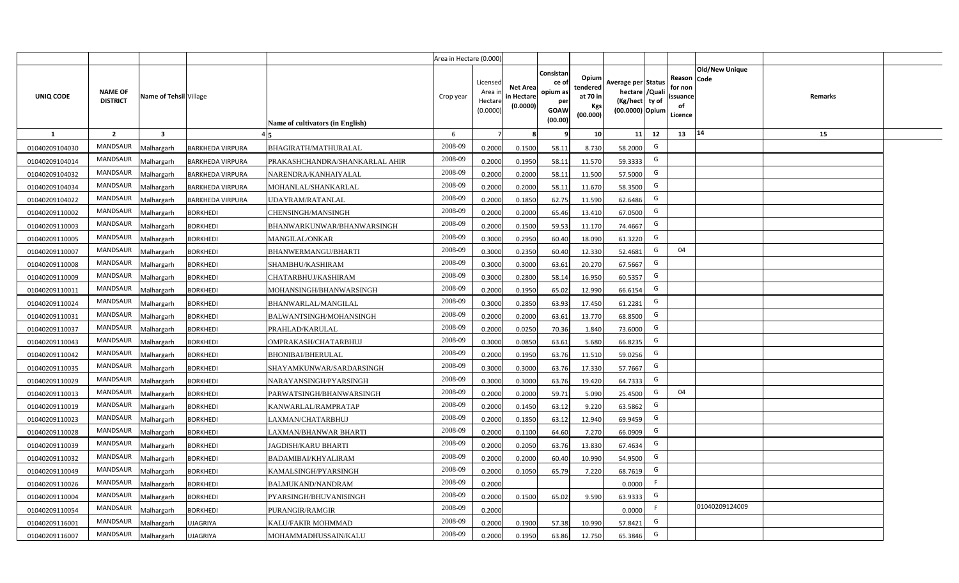|                |                                   |                         |                         |                                  | Area in Hectare (0.000) |                                           |                                           |                                                         |                                                         |                                                                            |                                                     |                       |         |  |
|----------------|-----------------------------------|-------------------------|-------------------------|----------------------------------|-------------------------|-------------------------------------------|-------------------------------------------|---------------------------------------------------------|---------------------------------------------------------|----------------------------------------------------------------------------|-----------------------------------------------------|-----------------------|---------|--|
| UNIQ CODE      | <b>NAME OF</b><br><b>DISTRICT</b> | Name of Tehsil Village  |                         | Name of cultivators (in English) | Crop year               | Licensed<br>Area i<br>Hectare<br>(0.0000) | <b>Net Area</b><br>in Hectare<br>(0.0000) | Consistan<br>ce o<br>opium as<br>per<br>GOAW<br>(00.00) | Opium<br>tendered<br>at 70 in<br><b>Kgs</b><br>(00.000) | Average per Status<br>hectare / Quali<br>(Kg/hect ty of<br>(00.0000) Opium | Reason Code<br>for non<br>issuance<br>of<br>Licence | <b>Old/New Unique</b> | Remarks |  |
| $\mathbf{1}$   | $\overline{2}$                    | $\overline{\mathbf{3}}$ |                         |                                  | 6                       | $\overline{7}$                            |                                           | 9                                                       | 10 <sup>1</sup>                                         | 12<br>11                                                                   | 13                                                  | 14                    | 15      |  |
| 01040209104030 | MANDSAUR                          | <b>Aalhargarh</b>       | <b>BARKHEDA VIRPURA</b> | BHAGIRATH/MATHURALAL             | 2008-09                 | 0.2000                                    | 0.1500                                    | 58.11                                                   | 8.730                                                   | G<br>58,2000                                                               |                                                     |                       |         |  |
| 01040209104014 | MANDSAUR                          | Malhargarh              | <b>BARKHEDA VIRPURA</b> | PRAKASHCHANDRA/SHANKARLAL AHIR   | 2008-09                 | 0.2000                                    | 0.1950                                    | 58.11                                                   | 11.570                                                  | G<br>59.3333                                                               |                                                     |                       |         |  |
| 01040209104032 | MANDSAUR                          | Malhargarh              | <b>BARKHEDA VIRPURA</b> | NARENDRA/KANHAIYALAL             | 2008-09                 | 0.2000                                    | 0.2000                                    | 58.11                                                   | 11.500                                                  | G<br>57.5000                                                               |                                                     |                       |         |  |
| 01040209104034 | MANDSAUR                          | Malhargarh              | <b>BARKHEDA VIRPURA</b> | MOHANLAL/SHANKARLAL              | 2008-09                 | 0.2000                                    | 0.2000                                    | 58.11                                                   | 11.670                                                  | G<br>58.3500                                                               |                                                     |                       |         |  |
| 01040209104022 | <b>MANDSAUR</b>                   | Malhargarh              | <b>BARKHEDA VIRPURA</b> | UDAYRAM/RATANLAL                 | 2008-09                 | 0.2000                                    | 0.1850                                    | 62.75                                                   | 11.590                                                  | G<br>62.6486                                                               |                                                     |                       |         |  |
| 01040209110002 | MANDSAUR                          | Malhargarh              | <b>BORKHEDI</b>         | CHENSINGH/MANSINGH               | 2008-09                 | 0.2000                                    | 0.2000                                    | 65.46                                                   | 13.410                                                  | G<br>67.0500                                                               |                                                     |                       |         |  |
| 01040209110003 | MANDSAUR                          | Malhargarh              | <b>BORKHEDI</b>         | BHANWARKUNWAR/BHANWARSINGH       | 2008-09                 | 0.2000                                    | 0.1500                                    | 59.53                                                   | 11.170                                                  | G<br>74.4667                                                               |                                                     |                       |         |  |
| 01040209110005 | MANDSAUR                          | Malhargarh              | <b>BORKHEDI</b>         | <b>MANGILAL/ONKAR</b>            | 2008-09                 | 0.3000                                    | 0.2950                                    | 60.40                                                   | 18.090                                                  | G<br>61.3220                                                               |                                                     |                       |         |  |
| 01040209110007 | <b>MANDSAUR</b>                   | Malhargarh              | <b>BORKHEDI</b>         | BHANWERMANGU/BHARTI              | 2008-09                 | 0.3000                                    | 0.2350                                    | 60.40                                                   | 12.330                                                  | G<br>52.4681                                                               | 04                                                  |                       |         |  |
| 01040209110008 | <b>MANDSAUR</b>                   | Malhargarh              | <b>BORKHEDI</b>         | SHAMBHU/KASHIRAM                 | 2008-09                 | 0.3000                                    | 0.3000                                    | 63.61                                                   | 20.270                                                  | G<br>67.5667                                                               |                                                     |                       |         |  |
| 01040209110009 | <b>MANDSAUR</b>                   | Malhargarh              | <b>BORKHEDI</b>         | CHATARBHUJ/KASHIRAM              | 2008-09                 | 0.3000                                    | 0.2800                                    | 58.14                                                   | 16.950                                                  | G<br>60.5357                                                               |                                                     |                       |         |  |
| 01040209110011 | MANDSAUR                          | Malhargarh              | <b>BORKHEDI</b>         | MOHANSINGH/BHANWARSINGH          | 2008-09                 | 0.2000                                    | 0.1950                                    | 65.02                                                   | 12.990                                                  | G<br>66.6154                                                               |                                                     |                       |         |  |
| 01040209110024 | <b>MANDSAUR</b>                   | Malhargarh              | <b>BORKHEDI</b>         | BHANWARLAL/MANGILAL              | 2008-09                 | 0.3000                                    | 0.2850                                    | 63.93                                                   | 17.450                                                  | G<br>61.2281                                                               |                                                     |                       |         |  |
| 01040209110031 | MANDSAUR                          | Malhargarh              | <b>BORKHEDI</b>         | BALWANTSINGH/MOHANSINGH          | 2008-09                 | 0.2000                                    | 0.2000                                    | 63.61                                                   | 13.770                                                  | G<br>68.8500                                                               |                                                     |                       |         |  |
| 01040209110037 | <b>MANDSAUR</b>                   | Malhargarh              | <b>BORKHEDI</b>         | PRAHLAD/KARULAL                  | 2008-09                 | 0.2000                                    | 0.0250                                    | 70.36                                                   | 1.840                                                   | G<br>73.6000                                                               |                                                     |                       |         |  |
| 01040209110043 | <b>MANDSAUR</b>                   | Malhargarh              | <b>BORKHEDI</b>         | OMPRAKASH/CHATARBHUJ             | 2008-09                 | 0.3000                                    | 0.0850                                    | 63.61                                                   | 5.680                                                   | G<br>66.8235                                                               |                                                     |                       |         |  |
| 01040209110042 | <b>MANDSAUR</b>                   | Malhargarh              | <b>BORKHEDI</b>         | BHONIBAI/BHERULAL                | 2008-09                 | 0.2000                                    | 0.1950                                    | 63.76                                                   | 11.510                                                  | G<br>59.0256                                                               |                                                     |                       |         |  |
| 01040209110035 | <b>MANDSAUR</b>                   | Malhargarh              | <b>BORKHEDI</b>         | SHAYAMKUNWAR/SARDARSINGH         | 2008-09                 | 0.3000                                    | 0.3000                                    | 63.76                                                   | 17.330                                                  | G<br>57.7667                                                               |                                                     |                       |         |  |
| 01040209110029 | <b>MANDSAUR</b>                   | Malhargarh              | <b>BORKHEDI</b>         | NARAYANSINGH/PYARSINGH           | 2008-09                 | 0.3000                                    | 0.3000                                    | 63.76                                                   | 19.420                                                  | G<br>64.7333                                                               |                                                     |                       |         |  |
| 01040209110013 | MANDSAUR                          | Malhargarh              | <b>BORKHEDI</b>         | PARWATSINGH/BHANWARSINGH         | 2008-09                 | 0.2000                                    | 0.2000                                    | 59.71                                                   | 5.090                                                   | G<br>25.4500                                                               | 04                                                  |                       |         |  |
| 01040209110019 | MANDSAUR                          | Malhargarh              | <b>BORKHEDI</b>         | KANWARLAL/RAMPRATAP              | 2008-09                 | 0.2000                                    | 0.1450                                    | 63.12                                                   | 9.220                                                   | G<br>63.5862                                                               |                                                     |                       |         |  |
| 01040209110023 | MANDSAUR                          | Malhargarh              | <b>BORKHEDI</b>         | LAXMAN/CHATARBHUJ                | 2008-09                 | 0.2000                                    | 0.1850                                    | 63.12                                                   | 12.940                                                  | G<br>69.9459                                                               |                                                     |                       |         |  |
| 01040209110028 | <b>MANDSAUR</b>                   | Malhargarh              | <b>BORKHEDI</b>         | LAXMAN/BHANWAR BHARTI            | 2008-09                 | 0.2000                                    | 0.1100                                    | 64.60                                                   | 7.270                                                   | G<br>66.0909                                                               |                                                     |                       |         |  |
| 01040209110039 | <b>MANDSAUR</b>                   | Malhargarh              | <b>BORKHEDI</b>         | JAGDISH/KARU BHARTI              | 2008-09                 | 0.2000                                    | 0.2050                                    | 63.76                                                   | 13.830                                                  | G<br>67.4634                                                               |                                                     |                       |         |  |
| 01040209110032 | <b>MANDSAUR</b>                   | Malhargarh              | <b>BORKHEDI</b>         | BADAMIBAI/KHYALIRAM              | 2008-09                 | 0.2000                                    | 0.2000                                    | 60.40                                                   | 10.990                                                  | G<br>54.9500                                                               |                                                     |                       |         |  |
| 01040209110049 | MANDSAUR                          | Malhargarh              | <b>BORKHEDI</b>         | KAMALSINGH/PYARSINGH             | 2008-09                 | 0.2000                                    | 0.1050                                    | 65.79                                                   | 7.220                                                   | G<br>68.7619                                                               |                                                     |                       |         |  |
| 01040209110026 | MANDSAUR                          | Malhargarh              | <b>BORKHEDI</b>         | <b>BALMUKAND/NANDRAM</b>         | 2008-09                 | 0.2000                                    |                                           |                                                         |                                                         | -F<br>0.0000                                                               |                                                     |                       |         |  |
| 01040209110004 | MANDSAUR                          | Malhargarh              | <b>BORKHEDI</b>         | PYARSINGH/BHUVANISINGH           | 2008-09                 | 0.2000                                    | 0.1500                                    | 65.02                                                   | 9.590                                                   | G<br>63.9333                                                               |                                                     |                       |         |  |
| 01040209110054 | MANDSAUR                          | Malhargarh              | <b>BORKHEDI</b>         | PURANGIR/RAMGIR                  | 2008-09                 | 0.2000                                    |                                           |                                                         |                                                         | F<br>0.0000                                                                |                                                     | 01040209124009        |         |  |
| 01040209116001 | MANDSAUR                          | Malhargarh              | <b>UJAGRIYA</b>         | KALU/FAKIR MOHMMAD               | 2008-09                 | 0.2000                                    | 0.1900                                    | 57.38                                                   | 10.990                                                  | G<br>57.8421                                                               |                                                     |                       |         |  |
| 01040209116007 | MANDSAUR                          | Malhargarh              | <b>UJAGRIYA</b>         | MOHAMMADHUSSAIN/KALU             | 2008-09                 | 0.2000                                    | 0.1950                                    | 63.86                                                   | 12.750                                                  | G<br>65.3846                                                               |                                                     |                       |         |  |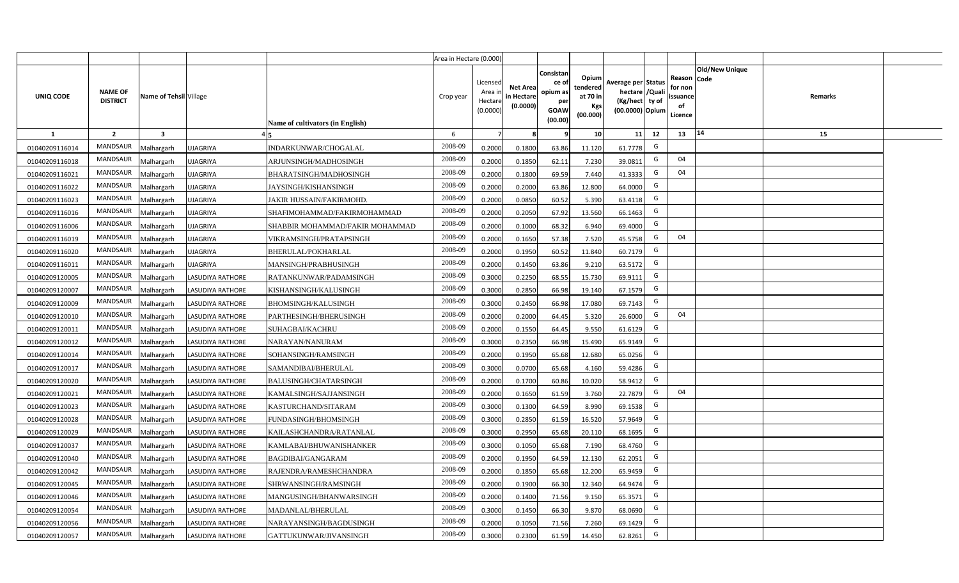|                |                                   |                         |                         |                                  | Area in Hectare (0.000) |                                           |                                           |                                                                 |                                                  |                                                                            |                                                    |                |         |  |
|----------------|-----------------------------------|-------------------------|-------------------------|----------------------------------|-------------------------|-------------------------------------------|-------------------------------------------|-----------------------------------------------------------------|--------------------------------------------------|----------------------------------------------------------------------------|----------------------------------------------------|----------------|---------|--|
| UNIQ CODE      | <b>NAME OF</b><br><b>DISTRICT</b> | Name of Tehsil Village  |                         | Name of cultivators (in English) | Crop year               | Licensed<br>Area i<br>Hectare<br>(0.0000) | <b>Net Area</b><br>in Hectare<br>(0.0000) | Consistan<br>ce of<br>opium as<br>per<br><b>GOAW</b><br>(00.00) | Opium<br>tendered<br>at 70 in<br>Kgs<br>(00.000) | Average per Status<br>hectare / Quali<br>(Kg/hect ty of<br>(00.0000) Opium | Reason Code<br>for non<br>ssuance<br>of<br>Licence | Old/New Unique | Remarks |  |
| $\mathbf{1}$   | $\overline{2}$                    | $\overline{\mathbf{3}}$ |                         |                                  | 6                       | $\overline{7}$                            | 8                                         | 9                                                               | 10 <sup>1</sup>                                  | 11<br>12                                                                   | 13                                                 | 14             | 15      |  |
| 01040209116014 | MANDSAUR                          | Malhargarh              | <b>UJAGRIYA</b>         | INDARKUNWAR/CHOGALAL             | 2008-09                 | 0.2000                                    | 0.1800                                    | 63.86                                                           | 11.120                                           | G<br>61.7778                                                               |                                                    |                |         |  |
| 01040209116018 | MANDSAUR                          | <b>Aalhargarh</b>       | <b>UJAGRIYA</b>         | ARJUNSINGH/MADHOSINGH            | 2008-09                 | 0.2000                                    | 0.1850                                    | 62.11                                                           | 7.230                                            | G<br>39.0811                                                               | 04                                                 |                |         |  |
| 01040209116021 | MANDSAUR                          | Malhargarh              | <b>UJAGRIYA</b>         | BHARATSINGH/MADHOSINGH           | 2008-09                 | 0.2000                                    | 0.1800                                    | 69.59                                                           | 7.440                                            | G<br>41.3333                                                               | 04                                                 |                |         |  |
| 01040209116022 | <b>MANDSAUR</b>                   | Malhargarh              | <b>UJAGRIYA</b>         | JAYSINGH/KISHANSINGH             | 2008-09                 | 0.2000                                    | 0.2000                                    | 63.86                                                           | 12.800                                           | G<br>64.0000                                                               |                                                    |                |         |  |
| 01040209116023 | MANDSAUR                          | Malhargarh              | <b>UJAGRIYA</b>         | JAKIR HUSSAIN/FAKIRMOHD.         | 2008-09                 | 0.2000                                    | 0.0850                                    | 60.52                                                           | 5.390                                            | G<br>63.4118                                                               |                                                    |                |         |  |
| 01040209116016 | MANDSAUR                          | Malhargarh              | <b>UJAGRIYA</b>         | SHAFIMOHAMMAD/FAKIRMOHAMMAD      | 2008-09                 | 0.2000                                    | 0.2050                                    | 67.92                                                           | 13.560                                           | G<br>66.1463                                                               |                                                    |                |         |  |
| 01040209116006 | MANDSAUR                          | Malhargarh              | <b>UJAGRIYA</b>         | SHABBIR MOHAMMAD/FAKIR MOHAMMAD  | 2008-09                 | 0.2000                                    | 0.1000                                    | 68.32                                                           | 6.940                                            | G<br>69.4000                                                               |                                                    |                |         |  |
| 01040209116019 | MANDSAUR                          | Malhargarh              | <b>UJAGRIYA</b>         | VIKRAMSINGH/PRATAPSINGH          | 2008-09                 | 0.2000                                    | 0.1650                                    | 57.38                                                           | 7.520                                            | G<br>45.5758                                                               | 04                                                 |                |         |  |
| 01040209116020 | MANDSAUR                          | Malhargarh              | <b>UJAGRIYA</b>         | BHERULAL/POKHARLAL               | 2008-09                 | 0.2000                                    | 0.1950                                    | 60.52                                                           | 11.840                                           | G<br>60.7179                                                               |                                                    |                |         |  |
| 01040209116011 | MANDSAUR                          | Malhargarh              | <b>UJAGRIYA</b>         | MANSINGH/PRABHUSINGH             | 2008-09                 | 0.2000                                    | 0.1450                                    | 63.86                                                           | 9.210                                            | G<br>63.5172                                                               |                                                    |                |         |  |
| 01040209120005 | MANDSAUR                          | Malhargarh              | <b>LASUDIYA RATHORE</b> | RATANKUNWAR/PADAMSINGH           | 2008-09                 | 0.3000                                    | 0.2250                                    | 68.55                                                           | 15.730                                           | G<br>69.9111                                                               |                                                    |                |         |  |
| 01040209120007 | MANDSAUR                          | Malhargarh              | <b>LASUDIYA RATHORE</b> | KISHANSINGH/KALUSINGH            | 2008-09                 | 0.3000                                    | 0.2850                                    | 66.98                                                           | 19.140                                           | G<br>67.1579                                                               |                                                    |                |         |  |
| 01040209120009 | MANDSAUR                          | Malhargarh              | LASUDIYA RATHORE        | <b>BHOMSINGH/KALUSINGH</b>       | 2008-09                 | 0.3000                                    | 0.2450                                    | 66.98                                                           | 17.080                                           | G<br>69.7143                                                               |                                                    |                |         |  |
| 01040209120010 | MANDSAUR                          | Malhargarh              | <b>LASUDIYA RATHORE</b> | PARTHESINGH/BHERUSINGH           | 2008-09                 | 0.2000                                    | 0.2000                                    | 64.45                                                           | 5.320                                            | G<br>26.6000                                                               | 04                                                 |                |         |  |
| 01040209120011 | <b>MANDSAUR</b>                   | Malhargarh              | <b>LASUDIYA RATHORE</b> | SUHAGBAI/KACHRU                  | 2008-09                 | 0.2000                                    | 0.1550                                    | 64.45                                                           | 9.550                                            | G<br>61.6129                                                               |                                                    |                |         |  |
| 01040209120012 | <b>MANDSAUR</b>                   | Malhargarh              | <b>LASUDIYA RATHORE</b> | NARAYAN/NANURAM                  | 2008-09                 | 0.3000                                    | 0.2350                                    | 66.98                                                           | 15.490                                           | G<br>65.9149                                                               |                                                    |                |         |  |
| 01040209120014 | <b>MANDSAUR</b>                   | Malhargarh              | <b>LASUDIYA RATHORE</b> | SOHANSINGH/RAMSINGH              | 2008-09                 | 0.2000                                    | 0.1950                                    | 65.68                                                           | 12.680                                           | G<br>65.0256                                                               |                                                    |                |         |  |
| 01040209120017 | <b>MANDSAUR</b>                   | Malhargarh              | LASUDIYA RATHORE        | SAMANDIBAI/BHERULAL              | 2008-09                 | 0.3000                                    | 0.0700                                    | 65.68                                                           | 4.160                                            | G<br>59.4286                                                               |                                                    |                |         |  |
| 01040209120020 | <b>MANDSAUR</b>                   | Malhargarh              | <b>LASUDIYA RATHORE</b> | BALUSINGH/CHATARSINGH            | 2008-09                 | 0.2000                                    | 0.1700                                    | 60.86                                                           | 10.020                                           | G<br>58.9412                                                               |                                                    |                |         |  |
| 01040209120021 | MANDSAUR                          | Malhargarh              | LASUDIYA RATHORE        | KAMALSINGH/SAJJANSINGH           | 2008-09                 | 0.2000                                    | 0.1650                                    | 61.59                                                           | 3.760                                            | G<br>22.7879                                                               | 04                                                 |                |         |  |
| 01040209120023 | MANDSAUR                          | Malhargarh              | <b>LASUDIYA RATHORE</b> | KASTURCHAND/SITARAM              | 2008-09                 | 0.3000                                    | 0.1300                                    | 64.59                                                           | 8.990                                            | G<br>69.1538                                                               |                                                    |                |         |  |
| 01040209120028 | MANDSAUR                          | Malhargarh              | LASUDIYA RATHORE        | FUNDASINGH/BHOMSINGH             | 2008-09                 | 0.3000                                    | 0.2850                                    | 61.59                                                           | 16.520                                           | G<br>57.9649                                                               |                                                    |                |         |  |
| 01040209120029 | <b>MANDSAUR</b>                   | Malhargarh              | LASUDIYA RATHORE        | KAILASHCHANDRA/RATANLAL          | 2008-09                 | 0.3000                                    | 0.2950                                    | 65.68                                                           | 20.110                                           | G<br>68.1695                                                               |                                                    |                |         |  |
| 01040209120037 | MANDSAUR                          | Malhargarh              | <b>LASUDIYA RATHORE</b> | KAMLABAI/BHUWANISHANKER          | 2008-09                 | 0.3000                                    | 0.1050                                    | 65.68                                                           | 7.190                                            | G<br>68.4760                                                               |                                                    |                |         |  |
| 01040209120040 | MANDSAUR                          | Malhargarh              | LASUDIYA RATHORE        | BAGDIBAI/GANGARAM                | 2008-09                 | 0.2000                                    | 0.1950                                    | 64.59                                                           | 12.130                                           | G<br>62.2051                                                               |                                                    |                |         |  |
| 01040209120042 | MANDSAUR                          | Malhargarh              | <b>LASUDIYA RATHORE</b> | RAJENDRA/RAMESHCHANDRA           | 2008-09                 | 0.2000                                    | 0.1850                                    | 65.68                                                           | 12.200                                           | G<br>65.9459                                                               |                                                    |                |         |  |
| 01040209120045 | MANDSAUR                          | Malhargarh              | <b>LASUDIYA RATHORE</b> | SHRWANSINGH/RAMSINGH             | 2008-09                 | 0.2000                                    | 0.1900                                    | 66.30                                                           | 12.340                                           | G<br>64.9474                                                               |                                                    |                |         |  |
| 01040209120046 | MANDSAUR                          | Malhargarh              | LASUDIYA RATHORE        | MANGUSINGH/BHANWARSINGH          | 2008-09                 | 0.2000                                    | 0.1400                                    | 71.56                                                           | 9.150                                            | G<br>65.3571                                                               |                                                    |                |         |  |
| 01040209120054 | MANDSAUR                          | Malhargarh              | <b>LASUDIYA RATHORE</b> | MADANLAL/BHERULAL                | 2008-09                 | 0.3000                                    | 0.1450                                    | 66.30                                                           | 9.870                                            | G<br>68.0690                                                               |                                                    |                |         |  |
| 01040209120056 | MANDSAUR                          | Malhargarh              | <b>LASUDIYA RATHORE</b> | NARAYANSINGH/BAGDUSINGH          | 2008-09                 | 0.2000                                    | 0.1050                                    | 71.56                                                           | 7.260                                            | G<br>69.1429                                                               |                                                    |                |         |  |
| 01040209120057 | MANDSAUR                          | Malhargarh              | <b>LASUDIYA RATHORE</b> | GATTUKUNWAR/JIVANSINGH           | 2008-09                 | 0.3000                                    | 0.2300                                    | 61.59                                                           | 14.450                                           | G<br>62.8261                                                               |                                                    |                |         |  |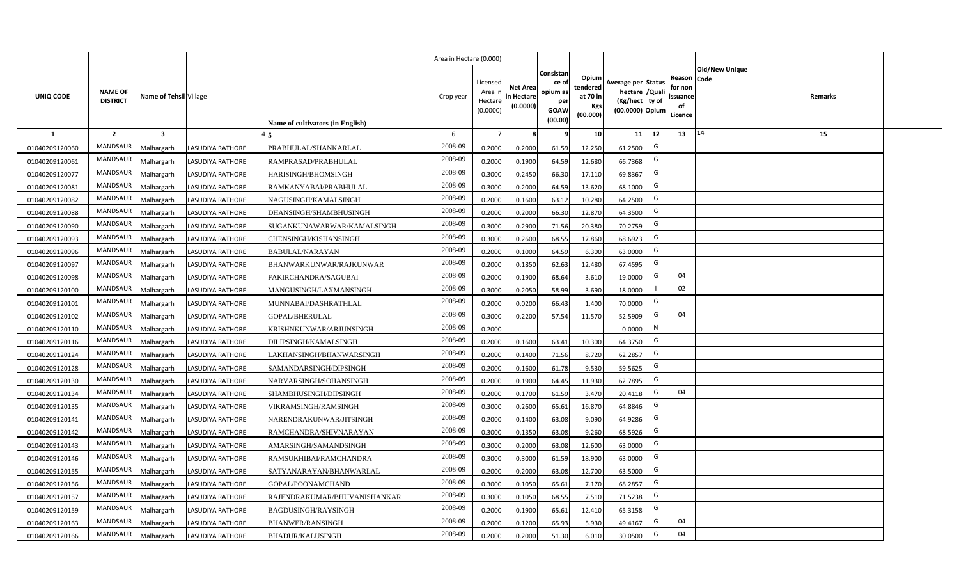|                |                                   |                        |                         |                                  | Area in Hectare (0.000) |                                          |                                           |                                                                 |                                                         |                                                                            |                                                     |                       |         |  |
|----------------|-----------------------------------|------------------------|-------------------------|----------------------------------|-------------------------|------------------------------------------|-------------------------------------------|-----------------------------------------------------------------|---------------------------------------------------------|----------------------------------------------------------------------------|-----------------------------------------------------|-----------------------|---------|--|
| UNIQ CODE      | <b>NAME OF</b><br><b>DISTRICT</b> | Name of Tehsil Village |                         | Name of cultivators (in English) | Crop year               | Licensed<br>Area i<br>Hectar<br>(0.0000) | <b>Net Area</b><br>in Hectare<br>(0.0000) | Consistan<br>ce of<br>opium as<br>per<br><b>GOAW</b><br>(00.00) | Opium<br>tendered<br>at 70 in<br><b>Kgs</b><br>(00.000) | Average per Status<br>hectare / Quali<br>(Kg/hect ty of<br>(00.0000) Opium | Reason Code<br>for non<br>issuance<br>of<br>Licence | <b>Old/New Unique</b> | Remarks |  |
| <b>1</b>       | $\overline{2}$                    | $\mathbf{3}$           |                         |                                  | 6                       |                                          |                                           | 9                                                               | 10 <sup>1</sup>                                         | 11<br>12                                                                   | 13                                                  | 14                    | 15      |  |
| 01040209120060 | MANDSAUR                          | <b>Malhargarh</b>      | LASUDIYA RATHORE        | PRABHULAL/SHANKARLAL             | 2008-09                 | 0.2000                                   | 0.2000                                    | 61.59                                                           | 12.250                                                  | G<br>61.2500                                                               |                                                     |                       |         |  |
| 01040209120061 | <b>MANDSAUR</b>                   | <b>Malhargarh</b>      | LASUDIYA RATHORE        | RAMPRASAD/PRABHULAL              | 2008-09                 | 0.2000                                   | 0.1900                                    | 64.59                                                           | 12.680                                                  | G<br>66.7368                                                               |                                                     |                       |         |  |
| 01040209120077 | MANDSAUR                          | Malhargarh             | <b>LASUDIYA RATHORE</b> | HARISINGH/BHOMSINGH              | 2008-09                 | 0.3000                                   | 0.2450                                    | 66.30                                                           | 17.110                                                  | G<br>69.8367                                                               |                                                     |                       |         |  |
| 01040209120081 | <b>MANDSAUR</b>                   | <b>Malhargarh</b>      | <b>LASUDIYA RATHORE</b> | RAMKANYABAI/PRABHULAL            | 2008-09                 | 0.3000                                   | 0.2000                                    | 64.59                                                           | 13.620                                                  | G<br>68.1000                                                               |                                                     |                       |         |  |
| 01040209120082 | MANDSAUR                          | <b>Malhargarh</b>      | <b>LASUDIYA RATHORE</b> | NAGUSINGH/KAMALSINGH             | 2008-09                 | 0.2000                                   | 0.1600                                    | 63.12                                                           | 10.280                                                  | G<br>64.2500                                                               |                                                     |                       |         |  |
| 01040209120088 | MANDSAUR                          | <b>Malhargarh</b>      | <b>LASUDIYA RATHORE</b> | DHANSINGH/SHAMBHUSINGH           | 2008-09                 | 0.2000                                   | 0.2000                                    | 66.30                                                           | 12.870                                                  | G<br>64.3500                                                               |                                                     |                       |         |  |
| 01040209120090 | <b>MANDSAUR</b>                   | <b>Malhargarh</b>      | LASUDIYA RATHORE        | SUGANKUNAWARWAR/KAMALSINGH       | 2008-09                 | 0.3000                                   | 0.2900                                    | 71.56                                                           | 20.380                                                  | G<br>70.2759                                                               |                                                     |                       |         |  |
| 01040209120093 | <b>MANDSAUR</b>                   | <b>Malhargarh</b>      | <b>LASUDIYA RATHORE</b> | CHENSINGH/KISHANSINGH            | 2008-09                 | 0.3000                                   | 0.2600                                    | 68.55                                                           | 17.860                                                  | G<br>68.6923                                                               |                                                     |                       |         |  |
| 01040209120096 | MANDSAUR                          | Malhargarh             | <b>LASUDIYA RATHORE</b> | BABULAL/NARAYAN                  | 2008-09                 | 0.2000                                   | 0.1000                                    | 64.59                                                           | 6.300                                                   | G<br>63.0000                                                               |                                                     |                       |         |  |
| 01040209120097 | MANDSAUR                          | Malhargarh             | <b>LASUDIYA RATHORE</b> | BHANWARKUNWAR/RAJKUNWAR          | 2008-09                 | 0.2000                                   | 0.1850                                    | 62.63                                                           | 12.480                                                  | G<br>67.4595                                                               |                                                     |                       |         |  |
| 01040209120098 | <b>MANDSAUR</b>                   | Malhargarh             | <b>LASUDIYA RATHORE</b> | FAKIRCHANDRA/SAGUBAI             | 2008-09                 | 0.2000                                   | 0.1900                                    | 68.64                                                           | 3.610                                                   | G<br>19.0000                                                               | 04                                                  |                       |         |  |
| 01040209120100 | <b>MANDSAUR</b>                   | Malhargarh             | <b>LASUDIYA RATHORE</b> | MANGUSINGH/LAXMANSINGH           | 2008-09                 | 0.3000                                   | 0.2050                                    | 58.99                                                           | 3.690                                                   | 18.0000                                                                    | 02                                                  |                       |         |  |
| 01040209120101 | <b>MANDSAUR</b>                   | Malhargarh             | <b>LASUDIYA RATHORE</b> | MUNNABAI/DASHRATHLAL             | 2008-09                 | 0.2000                                   | 0.0200                                    | 66.43                                                           | 1.400                                                   | G<br>70.0000                                                               |                                                     |                       |         |  |
| 01040209120102 | MANDSAUR                          | Malhargarh             | LASUDIYA RATHORE        | <b>GOPAL/BHERULAL</b>            | 2008-09                 | 0.3000                                   | 0.2200                                    | 57.54                                                           | 11.570                                                  | G<br>52.5909                                                               | 04                                                  |                       |         |  |
| 01040209120110 | MANDSAUR                          | Malhargarh             | <b>LASUDIYA RATHORE</b> | KRISHNKUNWAR/ARJUNSINGH          | 2008-09                 | 0.2000                                   |                                           |                                                                 |                                                         | N<br>0.0000                                                                |                                                     |                       |         |  |
| 01040209120116 | <b>MANDSAUR</b>                   | Malhargarh             | LASUDIYA RATHORE        | DILIPSINGH/KAMALSINGH            | 2008-09                 | 0.2000                                   | 0.1600                                    | 63.41                                                           | 10.300                                                  | G<br>64.3750                                                               |                                                     |                       |         |  |
| 01040209120124 | <b>MANDSAUR</b>                   | Malhargarh             | LASUDIYA RATHORE        | LAKHANSINGH/BHANWARSINGH         | 2008-09                 | 0.2000                                   | 0.1400                                    | 71.56                                                           | 8.720                                                   | G<br>62.2857                                                               |                                                     |                       |         |  |
| 01040209120128 | <b>MANDSAUR</b>                   | Malhargarh             | LASUDIYA RATHORE        | SAMANDARSINGH/DIPSINGH           | 2008-09                 | 0.2000                                   | 0.1600                                    | 61.78                                                           | 9.530                                                   | G<br>59.5625                                                               |                                                     |                       |         |  |
| 01040209120130 | <b>MANDSAUR</b>                   | Malhargarh             | LASUDIYA RATHORE        | NARVARSINGH/SOHANSINGH           | 2008-09                 | 0.2000                                   | 0.1900                                    | 64.45                                                           | 11.930                                                  | G<br>62.7895                                                               |                                                     |                       |         |  |
| 01040209120134 | <b>MANDSAUR</b>                   | Malhargarh             | LASUDIYA RATHORE        | SHAMBHUSINGH/DIPSINGH            | 2008-09                 | 0.2000                                   | 0.1700                                    | 61.59                                                           | 3.470                                                   | G<br>20.4118                                                               | 04                                                  |                       |         |  |
| 01040209120135 | <b>MANDSAUR</b>                   | Malhargarh             | LASUDIYA RATHORE        | VIKRAMSINGH/RAMSINGH             | 2008-09                 | 0.3000                                   | 0.2600                                    | 65.61                                                           | 16.870                                                  | G<br>64.8846                                                               |                                                     |                       |         |  |
| 01040209120141 | <b>MANDSAUR</b>                   | Malhargarh             | <b>LASUDIYA RATHORE</b> | NARENDRAKUNWAR/JITSINGH          | 2008-09                 | 0.2000                                   | 0.1400                                    | 63.08                                                           | 9.090                                                   | G<br>64.9286                                                               |                                                     |                       |         |  |
| 01040209120142 | <b>MANDSAUR</b>                   | <b>Malhargarh</b>      | LASUDIYA RATHORE        | RAMCHANDRA/SHIVNARAYAN           | 2008-09                 | 0.3000                                   | 0.1350                                    | 63.08                                                           | 9.260                                                   | G<br>68.5926                                                               |                                                     |                       |         |  |
| 01040209120143 | <b>MANDSAUR</b>                   | <b>Malhargarh</b>      | <b>LASUDIYA RATHORE</b> | AMARSINGH/SAMANDSINGH            | 2008-09                 | 0.3000                                   | 0.2000                                    | 63.08                                                           | 12.600                                                  | G<br>63.0000                                                               |                                                     |                       |         |  |
| 01040209120146 | MANDSAUR                          | Malhargarh             | LASUDIYA RATHORE        | RAMSUKHIBAI/RAMCHANDRA           | 2008-09                 | 0.3000                                   | 0.3000                                    | 61.59                                                           | 18.900                                                  | G<br>63.0000                                                               |                                                     |                       |         |  |
| 01040209120155 | <b>MANDSAUR</b>                   | Malhargarh             | LASUDIYA RATHORE        | SATYANARAYAN/BHANWARLAL          | 2008-09                 | 0.2000                                   | 0.2000                                    | 63.08                                                           | 12.700                                                  | G<br>63.5000                                                               |                                                     |                       |         |  |
| 01040209120156 | <b>MANDSAUR</b>                   | Malhargarh             | <b>LASUDIYA RATHORE</b> | GOPAL/POONAMCHAND                | 2008-09                 | 0.3000                                   | 0.1050                                    | 65.61                                                           | 7.170                                                   | G<br>68.2857                                                               |                                                     |                       |         |  |
| 01040209120157 | <b>MANDSAUR</b>                   | Malhargarh             | LASUDIYA RATHORE        | RAJENDRAKUMAR/BHUVANISHANKAR     | 2008-09                 | 0.3000                                   | 0.1050                                    | 68.55                                                           | 7.510                                                   | G<br>71.5238                                                               |                                                     |                       |         |  |
| 01040209120159 | MANDSAUR                          | Malhargarh             | LASUDIYA RATHORE        | BAGDUSINGH/RAYSINGH              | 2008-09                 | 0.2000                                   | 0.1900                                    | 65.61                                                           | 12.410                                                  | G<br>65.3158                                                               |                                                     |                       |         |  |
| 01040209120163 | MANDSAUR                          | Malhargarh             | LASUDIYA RATHORE        | <b>BHANWER/RANSINGH</b>          | 2008-09                 | 0.2000                                   | 0.1200                                    | 65.93                                                           | 5.930                                                   | G<br>49.4167                                                               | 04                                                  |                       |         |  |
| 01040209120166 | MANDSAUR                          | Malhargarh             | <b>LASUDIYA RATHORE</b> | <b>BHADUR/KALUSINGH</b>          | 2008-09                 | 0.2000                                   | 0.2000                                    | 51.30                                                           | 6.010                                                   | G<br>30.0500                                                               | 04                                                  |                       |         |  |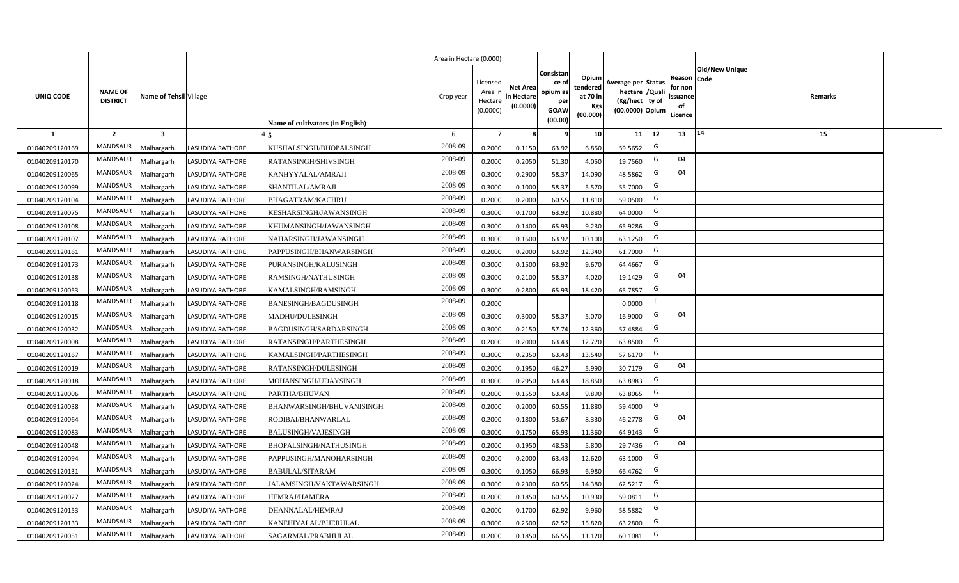|                |                                   |                         |                         |                                  | Area in Hectare (0.000) |                                           |                                           |                                                                 |                                                  |                                                                            |                                                     |                |         |  |
|----------------|-----------------------------------|-------------------------|-------------------------|----------------------------------|-------------------------|-------------------------------------------|-------------------------------------------|-----------------------------------------------------------------|--------------------------------------------------|----------------------------------------------------------------------------|-----------------------------------------------------|----------------|---------|--|
| UNIQ CODE      | <b>NAME OF</b><br><b>DISTRICT</b> | Name of Tehsil Village  |                         | Name of cultivators (in English) | Crop year               | Licensed<br>Area i<br>Hectare<br>(0.0000) | <b>Net Area</b><br>in Hectare<br>(0.0000) | Consistan<br>ce of<br>opium as<br>per<br><b>GOAW</b><br>(00.00) | Opium<br>tendered<br>at 70 in<br>Kgs<br>(00.000) | Average per Status<br>hectare / Quali<br>(Kg/hect ty of<br>(00.0000) Opium | Reason Code<br>for non<br>issuance<br>of<br>Licence | Old/New Unique | Remarks |  |
| $\mathbf{1}$   | $\overline{2}$                    | $\overline{\mathbf{3}}$ |                         |                                  | 6                       | $\overline{7}$                            | 8                                         | 9                                                               | 10 <sup>1</sup>                                  | 11<br>12                                                                   | 13                                                  | 14             | 15      |  |
| 01040209120169 | MANDSAUR                          | Malhargarh              | <b>LASUDIYA RATHORE</b> | KUSHALSINGH/BHOPALSINGH          | 2008-09                 | 0.2000                                    | 0.1150                                    | 63.92                                                           | 6.850                                            | G<br>59.5652                                                               |                                                     |                |         |  |
| 01040209120170 | MANDSAUR                          | <b>Aalhargarh</b>       | <b>LASUDIYA RATHORE</b> | RATANSINGH/SHIVSINGH             | 2008-09                 | 0.2000                                    | 0.2050                                    | 51.30                                                           | 4.050                                            | G<br>19.7560                                                               | 04                                                  |                |         |  |
| 01040209120065 | MANDSAUR                          | Malhargarh              | <b>LASUDIYA RATHORE</b> | KANHYYALAL/AMRAJI                | 2008-09                 | 0.3000                                    | 0.2900                                    | 58.37                                                           | 14.090                                           | G<br>48.5862                                                               | 04                                                  |                |         |  |
| 01040209120099 | <b>MANDSAUR</b>                   | Malhargarh              | <b>LASUDIYA RATHORE</b> | SHANTILAL/AMRAJI                 | 2008-09                 | 0.3000                                    | 0.1000                                    | 58.37                                                           | 5.570                                            | G<br>55.7000                                                               |                                                     |                |         |  |
| 01040209120104 | MANDSAUR                          | Malhargarh              | <b>LASUDIYA RATHORE</b> | BHAGATRAM/KACHRU                 | 2008-09                 | 0.2000                                    | 0.2000                                    | 60.55                                                           | 11.810                                           | G<br>59.0500                                                               |                                                     |                |         |  |
| 01040209120075 | MANDSAUR                          | Malhargarh              | <b>LASUDIYA RATHORE</b> | KESHARSINGH/JAWANSINGH           | 2008-09                 | 0.3000                                    | 0.1700                                    | 63.92                                                           | 10.880                                           | G<br>64.0000                                                               |                                                     |                |         |  |
| 01040209120108 | <b>MANDSAUR</b>                   | Malhargarh              | <b>LASUDIYA RATHORE</b> | KHUMANSINGH/JAWANSINGH           | 2008-09                 | 0.3000                                    | 0.1400                                    | 65.93                                                           | 9.230                                            | G<br>65.9286                                                               |                                                     |                |         |  |
| 01040209120107 | MANDSAUR                          | Malhargarh              | <b>LASUDIYA RATHORE</b> | NAHARSINGH/JAWANSINGH            | 2008-09                 | 0.3000                                    | 0.1600                                    | 63.92                                                           | 10.100                                           | G<br>63.1250                                                               |                                                     |                |         |  |
| 01040209120161 | <b>MANDSAUR</b>                   | Malhargarh              | <b>LASUDIYA RATHORE</b> | PAPPUSINGH/BHANWARSINGH          | 2008-09                 | 0.2000                                    | 0.2000                                    | 63.92                                                           | 12.340                                           | G<br>61.7000                                                               |                                                     |                |         |  |
| 01040209120173 | <b>MANDSAUR</b>                   | Malhargarh              | LASUDIYA RATHORE        | PURANSINGH/KALUSINGH             | 2008-09                 | 0.3000                                    | 0.1500                                    | 63.92                                                           | 9.670                                            | G<br>64.4667                                                               |                                                     |                |         |  |
| 01040209120138 | MANDSAUR                          | Malhargarh              | <b>LASUDIYA RATHORE</b> | RAMSINGH/NATHUSINGH              | 2008-09                 | 0.3000                                    | 0.2100                                    | 58.37                                                           | 4.020                                            | G<br>19.1429                                                               | 04                                                  |                |         |  |
| 01040209120053 | MANDSAUR                          | Malhargarh              | <b>LASUDIYA RATHORE</b> | KAMALSINGH/RAMSINGH              | 2008-09                 | 0.3000                                    | 0.2800                                    | 65.93                                                           | 18.420                                           | G<br>65.7857                                                               |                                                     |                |         |  |
| 01040209120118 | MANDSAUR                          | Malhargarh              | LASUDIYA RATHORE        | <b>BANESINGH/BAGDUSINGH</b>      | 2008-09                 | 0.2000                                    |                                           |                                                                 |                                                  | F<br>0.0000                                                                |                                                     |                |         |  |
| 01040209120015 | <b>MANDSAUR</b>                   | Malhargarh              | <b>LASUDIYA RATHORE</b> | MADHU/DULESINGH                  | 2008-09                 | 0.3000                                    | 0.3000                                    | 58.37                                                           | 5.070                                            | G<br>16.9000                                                               | 04                                                  |                |         |  |
| 01040209120032 | <b>MANDSAUR</b>                   | Malhargarh              | <b>LASUDIYA RATHORE</b> | BAGDUSINGH/SARDARSINGH           | 2008-09                 | 0.3000                                    | 0.2150                                    | 57.74                                                           | 12.360                                           | G<br>57.4884                                                               |                                                     |                |         |  |
| 01040209120008 | <b>MANDSAUR</b>                   | Malhargarh              | <b>LASUDIYA RATHORE</b> | RATANSINGH/PARTHESINGH           | 2008-09                 | 0.2000                                    | 0.2000                                    | 63.43                                                           | 12.770                                           | G<br>63.8500                                                               |                                                     |                |         |  |
| 01040209120167 | <b>MANDSAUR</b>                   | Malhargarh              | <b>LASUDIYA RATHORE</b> | KAMALSINGH/PARTHESINGH           | 2008-09                 | 0.3000                                    | 0.2350                                    | 63.43                                                           | 13.540                                           | G<br>57.6170                                                               |                                                     |                |         |  |
| 01040209120019 | <b>MANDSAUR</b>                   | Malhargarh              | LASUDIYA RATHORE        | RATANSINGH/DULESINGH             | 2008-09                 | 0.2000                                    | 0.1950                                    | 46.27                                                           | 5.990                                            | G<br>30.7179                                                               | 04                                                  |                |         |  |
| 01040209120018 | <b>MANDSAUR</b>                   | Malhargarh              | <b>LASUDIYA RATHORE</b> | MOHANSINGH/UDAYSINGH             | 2008-09                 | 0.3000                                    | 0.2950                                    | 63.43                                                           | 18.850                                           | G<br>63.8983                                                               |                                                     |                |         |  |
| 01040209120006 | MANDSAUR                          | Malhargarh              | <b>LASUDIYA RATHORE</b> | PARTHA/BHUVAN                    | 2008-09                 | 0.2000                                    | 0.1550                                    | 63.43                                                           | 9.890                                            | G<br>63.8065                                                               |                                                     |                |         |  |
| 01040209120038 | MANDSAUR                          | Malhargarh              | <b>LASUDIYA RATHORE</b> | BHANWARSINGH/BHUVANISINGH        | 2008-09                 | 0.2000                                    | 0.2000                                    | 60.55                                                           | 11.880                                           | G<br>59.4000                                                               |                                                     |                |         |  |
| 01040209120064 | MANDSAUR                          | Malhargarh              | LASUDIYA RATHORE        | RODIBAI/BHANWARLAL               | 2008-09                 | 0.2000                                    | 0.1800                                    | 53.67                                                           | 8.330                                            | G<br>46.2778                                                               | 04                                                  |                |         |  |
| 01040209120083 | <b>MANDSAUR</b>                   | Malhargarh              | LASUDIYA RATHORE        | BALUSINGH/VAJESINGH              | 2008-09                 | 0.3000                                    | 0.1750                                    | 65.93                                                           | 11.360                                           | G<br>64.9143                                                               |                                                     |                |         |  |
| 01040209120048 | MANDSAUR                          | Malhargarh              | <b>LASUDIYA RATHORE</b> | BHOPALSINGH/NATHUSINGH           | 2008-09                 | 0.2000                                    | 0.1950                                    | 48.53                                                           | 5.800                                            | G<br>29.7436                                                               | 04                                                  |                |         |  |
| 01040209120094 | <b>MANDSAUR</b>                   | Malhargarh              | LASUDIYA RATHORE        | PAPPUSINGH/MANOHARSINGH          | 2008-09                 | 0.2000                                    | 0.2000                                    | 63.43                                                           | 12.620                                           | G<br>63.1000                                                               |                                                     |                |         |  |
| 01040209120131 | MANDSAUR                          | Malhargarh              | <b>LASUDIYA RATHORE</b> | <b>BABULAL/SITARAM</b>           | 2008-09                 | 0.3000                                    | 0.1050                                    | 66.93                                                           | 6.980                                            | G<br>66.4762                                                               |                                                     |                |         |  |
| 01040209120024 | MANDSAUR                          | Malhargarh              | <b>LASUDIYA RATHORE</b> | JALAMSINGH/VAKTAWARSINGH         | 2008-09                 | 0.3000                                    | 0.2300                                    | 60.55                                                           | 14.380                                           | G<br>62.5217                                                               |                                                     |                |         |  |
| 01040209120027 | MANDSAUR                          | Malhargarh              | LASUDIYA RATHORE        | HEMRAJ/HAMERA                    | 2008-09                 | 0.2000                                    | 0.1850                                    | 60.55                                                           | 10.930                                           | G<br>59.0811                                                               |                                                     |                |         |  |
| 01040209120153 | MANDSAUR                          | Malhargarh              | <b>LASUDIYA RATHORE</b> | DHANNALAL/HEMRAJ                 | 2008-09                 | 0.2000                                    | 0.1700                                    | 62.92                                                           | 9.960                                            | G<br>58.5882                                                               |                                                     |                |         |  |
| 01040209120133 | MANDSAUR                          | Malhargarh              | <b>LASUDIYA RATHORE</b> | KANEHIYALAL/BHERULAL             | 2008-09                 | 0.3000                                    | 0.2500                                    | 62.52                                                           | 15.820                                           | G<br>63.2800                                                               |                                                     |                |         |  |
| 01040209120051 | MANDSAUR                          | Malhargarh              | <b>LASUDIYA RATHORE</b> | SAGARMAL/PRABHULAL               | 2008-09                 | 0.2000                                    | 0.1850                                    | 66.55                                                           | 11.120                                           | G<br>60.1081                                                               |                                                     |                |         |  |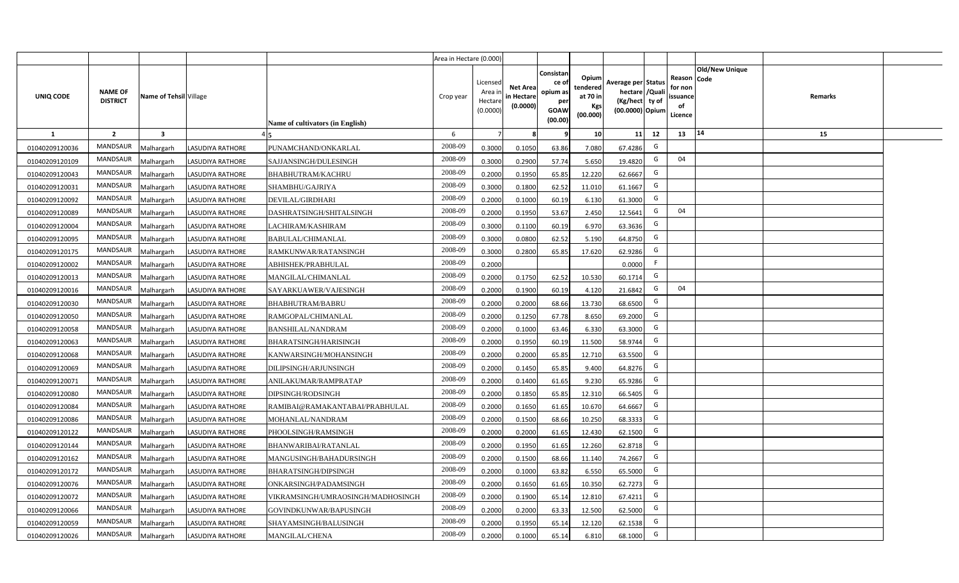|                |                                   |                         |                         |                                   | Area in Hectare (0.000) |                                           |                                           |                                                                 |                                                  |                                                                            |                                                    |                       |         |  |
|----------------|-----------------------------------|-------------------------|-------------------------|-----------------------------------|-------------------------|-------------------------------------------|-------------------------------------------|-----------------------------------------------------------------|--------------------------------------------------|----------------------------------------------------------------------------|----------------------------------------------------|-----------------------|---------|--|
| UNIQ CODE      | <b>NAME OF</b><br><b>DISTRICT</b> | Name of Tehsil Village  |                         | Name of cultivators (in English)  | Crop year               | Licensed<br>Area i<br>Hectare<br>(0.0000) | <b>Net Area</b><br>in Hectare<br>(0.0000) | Consistan<br>ce of<br>opium as<br>per<br><b>GOAW</b><br>(00.00) | Opium<br>tendered<br>at 70 in<br>Kgs<br>(00.000) | Average per Status<br>hectare / Quali<br>(Kg/hect ty of<br>(00.0000) Opium | Reason Code<br>for non<br>ssuance<br>of<br>Licence | <b>Old/New Unique</b> | Remarks |  |
| $\mathbf{1}$   | $\overline{2}$                    | $\overline{\mathbf{3}}$ |                         |                                   | 6                       | $\overline{7}$                            | 8                                         | 9                                                               | 10 <sup>1</sup>                                  | 11<br>12                                                                   | 13                                                 | 14                    | 15      |  |
| 01040209120036 | MANDSAUR                          | Malhargarh              | <b>LASUDIYA RATHORE</b> | PUNAMCHAND/ONKARLAL               | 2008-09                 | 0.3000                                    | 0.1050                                    | 63.86                                                           | 7.080                                            | G<br>67.4286                                                               |                                                    |                       |         |  |
| 01040209120109 | MANDSAUR                          | <b>Aalhargarh</b>       | <b>LASUDIYA RATHORE</b> | SAJJANSINGH/DULESINGH             | 2008-09                 | 0.3000                                    | 0.2900                                    | 57.74                                                           | 5.650                                            | G<br>19.4820                                                               | 04                                                 |                       |         |  |
| 01040209120043 | MANDSAUR                          | Malhargarh              | <b>LASUDIYA RATHORE</b> | BHABHUTRAM/KACHRU                 | 2008-09                 | 0.2000                                    | 0.1950                                    | 65.85                                                           | 12.220                                           | G<br>62.6667                                                               |                                                    |                       |         |  |
| 01040209120031 | <b>MANDSAUR</b>                   | Malhargarh              | <b>LASUDIYA RATHORE</b> | SHAMBHU/GAJRIYA                   | 2008-09                 | 0.3000                                    | 0.1800                                    | 62.52                                                           | 11.010                                           | G<br>61.1667                                                               |                                                    |                       |         |  |
| 01040209120092 | MANDSAUR                          | Malhargarh              | <b>LASUDIYA RATHORE</b> | DEVILAL/GIRDHARI                  | 2008-09                 | 0.2000                                    | 0.1000                                    | 60.19                                                           | 6.130                                            | G<br>61.3000                                                               |                                                    |                       |         |  |
| 01040209120089 | MANDSAUR                          | Malhargarh              | <b>LASUDIYA RATHORE</b> | DASHRATSINGH/SHITALSINGH          | 2008-09                 | 0.2000                                    | 0.1950                                    | 53.67                                                           | 2.450                                            | G<br>12.5641                                                               | 04                                                 |                       |         |  |
| 01040209120004 | <b>MANDSAUR</b>                   | Malhargarh              | <b>LASUDIYA RATHORE</b> | LACHIRAM/KASHIRAM                 | 2008-09                 | 0.3000                                    | 0.1100                                    | 60.19                                                           | 6.970                                            | G<br>63.3636                                                               |                                                    |                       |         |  |
| 01040209120095 | <b>MANDSAUR</b>                   | Malhargarh              | <b>LASUDIYA RATHORE</b> | BABULAL/CHIMANLAL                 | 2008-09                 | 0.3000                                    | 0.0800                                    | 62.52                                                           | 5.190                                            | G<br>64.8750                                                               |                                                    |                       |         |  |
| 01040209120175 | <b>MANDSAUR</b>                   | Malhargarh              | <b>LASUDIYA RATHORE</b> | RAMKUNWAR/RATANSINGH              | 2008-09                 | 0.3000                                    | 0.2800                                    | 65.85                                                           | 17.620                                           | G<br>62.9286                                                               |                                                    |                       |         |  |
| 01040209120002 | <b>MANDSAUR</b>                   | Malhargarh              | LASUDIYA RATHORE        | ABHISHEK/PRABHULAL                | 2008-09                 | 0.2000                                    |                                           |                                                                 |                                                  | F<br>0.0000                                                                |                                                    |                       |         |  |
| 01040209120013 | MANDSAUR                          | Malhargarh              | <b>LASUDIYA RATHORE</b> | MANGILAL/CHIMANLAL                | 2008-09                 | 0.2000                                    | 0.1750                                    | 62.52                                                           | 10.530                                           | G<br>60.1714                                                               |                                                    |                       |         |  |
| 01040209120016 | MANDSAUR                          | Malhargarh              | <b>LASUDIYA RATHORE</b> | SAYARKUAWER/VAJESINGH             | 2008-09                 | 0.2000                                    | 0.1900                                    | 60.19                                                           | 4.120                                            | G<br>21.6842                                                               | 04                                                 |                       |         |  |
| 01040209120030 | MANDSAUR                          | Malhargarh              | LASUDIYA RATHORE        | <b>BHABHUTRAM/BABRU</b>           | 2008-09                 | 0.2000                                    | 0.2000                                    | 68.66                                                           | 13.730                                           | G<br>68.6500                                                               |                                                    |                       |         |  |
| 01040209120050 | <b>MANDSAUR</b>                   | Malhargarh              | <b>LASUDIYA RATHORE</b> | RAMGOPAL/CHIMANLAL                | 2008-09                 | 0.2000                                    | 0.1250                                    | 67.78                                                           | 8.650                                            | G<br>69.2000                                                               |                                                    |                       |         |  |
| 01040209120058 | <b>MANDSAUR</b>                   | Malhargarh              | <b>LASUDIYA RATHORE</b> | <b>BANSHILAL/NANDRAM</b>          | 2008-09                 | 0.2000                                    | 0.1000                                    | 63.46                                                           | 6.330                                            | G<br>63.3000                                                               |                                                    |                       |         |  |
| 01040209120063 | <b>MANDSAUR</b>                   | Malhargarh              | <b>LASUDIYA RATHORE</b> | BHARATSINGH/HARISINGH             | 2008-09                 | 0.2000                                    | 0.1950                                    | 60.19                                                           | 11.500                                           | G<br>58.9744                                                               |                                                    |                       |         |  |
| 01040209120068 | <b>MANDSAUR</b>                   | Malhargarh              | <b>LASUDIYA RATHORE</b> | KANWARSINGH/MOHANSINGH            | 2008-09                 | 0.2000                                    | 0.2000                                    | 65.85                                                           | 12.710                                           | G<br>63.5500                                                               |                                                    |                       |         |  |
| 01040209120069 | <b>MANDSAUR</b>                   | Malhargarh              | LASUDIYA RATHORE        | DILIPSINGH/ARJUNSINGH             | 2008-09                 | 0.2000                                    | 0.1450                                    | 65.85                                                           | 9.400                                            | G<br>64.8276                                                               |                                                    |                       |         |  |
| 01040209120071 | <b>MANDSAUR</b>                   | Malhargarh              | <b>LASUDIYA RATHORE</b> | ANILAKUMAR/RAMPRATAP              | 2008-09                 | 0.2000                                    | 0.1400                                    | 61.65                                                           | 9.230                                            | G<br>65.9286                                                               |                                                    |                       |         |  |
| 01040209120080 | MANDSAUR                          | Malhargarh              | <b>LASUDIYA RATHORE</b> | DIPSINGH/RODSINGH                 | 2008-09                 | 0.2000                                    | 0.1850                                    | 65.85                                                           | 12.310                                           | G<br>66.5405                                                               |                                                    |                       |         |  |
| 01040209120084 | MANDSAUR                          | Malhargarh              | <b>LASUDIYA RATHORE</b> | RAMIBAI@RAMAKANTABAI/PRABHULAL    | 2008-09                 | 0.2000                                    | 0.1650                                    | 61.65                                                           | 10.670                                           | G<br>64.6667                                                               |                                                    |                       |         |  |
| 01040209120086 | MANDSAUR                          | Malhargarh              | LASUDIYA RATHORE        | MOHANLAL/NANDRAM                  | 2008-09                 | 0.2000                                    | 0.1500                                    | 68.66                                                           | 10.250                                           | G<br>68.3333                                                               |                                                    |                       |         |  |
| 01040209120122 | <b>MANDSAUR</b>                   | Malhargarh              | LASUDIYA RATHORE        | PHOOLSINGH/RAMSINGH               | 2008-09                 | 0.2000                                    | 0.2000                                    | 61.65                                                           | 12.430                                           | G<br>62.1500                                                               |                                                    |                       |         |  |
| 01040209120144 | MANDSAUR                          | Malhargarh              | <b>LASUDIYA RATHORE</b> | BHANWARIBAI/RATANLAL              | 2008-09                 | 0.2000                                    | 0.1950                                    | 61.65                                                           | 12.260                                           | G<br>62.8718                                                               |                                                    |                       |         |  |
| 01040209120162 | <b>MANDSAUR</b>                   | Malhargarh              | LASUDIYA RATHORE        | MANGUSINGH/BAHADURSINGH           | 2008-09                 | 0.2000                                    | 0.1500                                    | 68.66                                                           | 11.140                                           | G<br>74.2667                                                               |                                                    |                       |         |  |
| 01040209120172 | MANDSAUR                          | Malhargarh              | LASUDIYA RATHORE        | BHARATSINGH/DIPSINGH              | 2008-09                 | 0.2000                                    | 0.1000                                    | 63.82                                                           | 6.550                                            | G<br>65.5000                                                               |                                                    |                       |         |  |
| 01040209120076 | MANDSAUR                          | Malhargarh              | <b>LASUDIYA RATHORE</b> | ONKARSINGH/PADAMSINGH             | 2008-09                 | 0.2000                                    | 0.1650                                    | 61.65                                                           | 10.350                                           | G<br>62.7273                                                               |                                                    |                       |         |  |
| 01040209120072 | MANDSAUR                          | Malhargarh              | LASUDIYA RATHORE        | VIKRAMSINGH/UMRAOSINGH/MADHOSINGH | 2008-09                 | 0.2000                                    | 0.1900                                    | 65.14                                                           | 12.810                                           | G<br>67.4211                                                               |                                                    |                       |         |  |
| 01040209120066 | MANDSAUR                          | Malhargarh              | <b>LASUDIYA RATHORE</b> | GOVINDKUNWAR/BAPUSINGH            | 2008-09                 | 0.2000                                    | 0.2000                                    | 63.33                                                           | 12.500                                           | G<br>62.5000                                                               |                                                    |                       |         |  |
| 01040209120059 | MANDSAUR                          | Malhargarh              | <b>LASUDIYA RATHORE</b> | SHAYAMSINGH/BALUSINGH             | 2008-09                 | 0.2000                                    | 0.1950                                    | 65.14                                                           | 12.120                                           | G<br>62.1538                                                               |                                                    |                       |         |  |
| 01040209120026 | MANDSAUR                          | Malhargarh              | <b>LASUDIYA RATHORE</b> | MANGILAL/CHENA                    | 2008-09                 | 0.2000                                    | 0.1000                                    | 65.14                                                           | 6.810                                            | G<br>68.1000                                                               |                                                    |                       |         |  |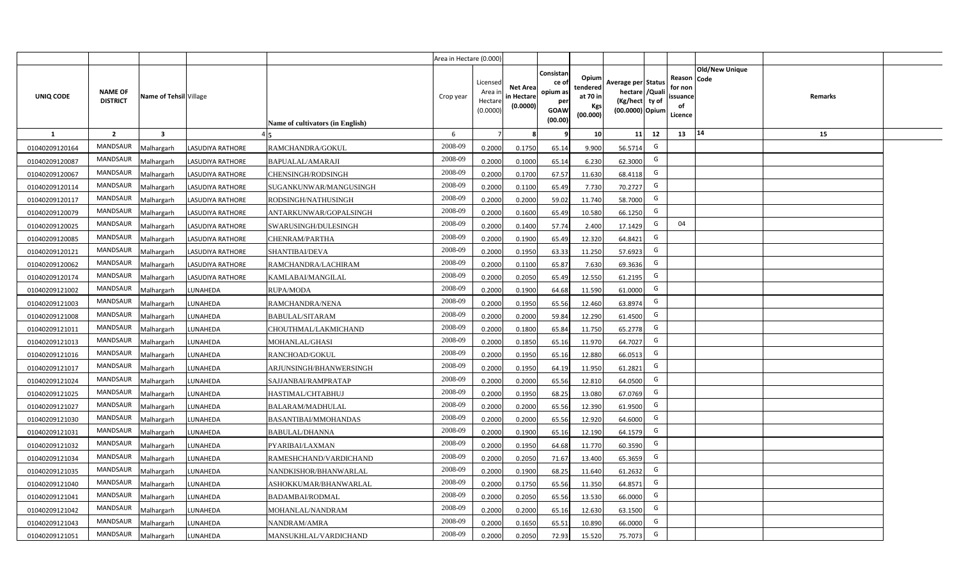|                |                                   |                        |                         |                                         | Area in Hectare (0.000) |                                          |                                           |                                                          |                                                         |                                                                            |                                                     |                       |         |  |
|----------------|-----------------------------------|------------------------|-------------------------|-----------------------------------------|-------------------------|------------------------------------------|-------------------------------------------|----------------------------------------------------------|---------------------------------------------------------|----------------------------------------------------------------------------|-----------------------------------------------------|-----------------------|---------|--|
| UNIQ CODE      | <b>NAME OF</b><br><b>DISTRICT</b> | Name of Tehsil Village |                         | <b>Name of cultivators (in English)</b> | Crop year               | Licensed<br>Area i<br>Hectar<br>(0.0000) | <b>Net Area</b><br>in Hectare<br>(0.0000) | Consistan<br>ce of<br>opium as<br>per<br>GOAW<br>(00.00) | Opium<br>tendered<br>at 70 in<br><b>Kgs</b><br>(00.000) | Average per Status<br>hectare / Quali<br>(Kg/hect ty of<br>(00.0000) Opium | Reason Code<br>for non<br>issuance<br>of<br>Licence | <b>Old/New Unique</b> | Remarks |  |
| 1              | $\overline{2}$                    | 3                      |                         |                                         | 6                       | 7                                        |                                           | 9                                                        | 10 <sup>1</sup>                                         | 11<br>12                                                                   | 13                                                  | 14                    | 15      |  |
| 01040209120164 | MANDSAUR                          | <b>Malhargarh</b>      | <b>LASUDIYA RATHORE</b> | RAMCHANDRA/GOKUL                        | 2008-09                 | 0.2000                                   | 0.1750                                    | 65.14                                                    | 9.900                                                   | G<br>56.5714                                                               |                                                     |                       |         |  |
| 01040209120087 | <b>MANDSAUR</b>                   | <b>Malhargarh</b>      | <b>LASUDIYA RATHORE</b> | BAPUALAL/AMARAJI                        | 2008-09                 | 0.2000                                   | 0.1000                                    | 65.14                                                    | 6.230                                                   | G<br>62.3000                                                               |                                                     |                       |         |  |
| 01040209120067 | <b>MANDSAUR</b>                   | <b>Malhargarh</b>      | <b>LASUDIYA RATHORE</b> | CHENSINGH/RODSINGH                      | 2008-09                 | 0.2000                                   | 0.1700                                    | 67.57                                                    | 11.630                                                  | G<br>68.4118                                                               |                                                     |                       |         |  |
| 01040209120114 | MANDSAUR                          | <b>Malhargarh</b>      | <b>LASUDIYA RATHORE</b> | SUGANKUNWAR/MANGUSINGH                  | 2008-09                 | 0.2000                                   | 0.1100                                    | 65.49                                                    | 7.730                                                   | G<br>70.2727                                                               |                                                     |                       |         |  |
| 01040209120117 | <b>MANDSAUR</b>                   | Malhargarh             | LASUDIYA RATHORE        | RODSINGH/NATHUSINGH                     | 2008-09                 | 0.2000                                   | 0.2000                                    | 59.02                                                    | 11.740                                                  | G<br>58.7000                                                               |                                                     |                       |         |  |
| 01040209120079 | <b>MANDSAUR</b>                   | Malhargarh             | <b>LASUDIYA RATHORE</b> | ANTARKUNWAR/GOPALSINGH                  | 2008-09                 | 0.2000                                   | 0.1600                                    | 65.49                                                    | 10.580                                                  | G<br>66.1250                                                               |                                                     |                       |         |  |
| 01040209120025 | MANDSAUR                          | Malhargarh             | <b>LASUDIYA RATHORE</b> | SWARUSINGH/DULESINGH                    | 2008-09                 | 0.2000                                   | 0.1400                                    | 57.74                                                    | 2.400                                                   | G<br>17.1429                                                               | 04                                                  |                       |         |  |
| 01040209120085 | <b>MANDSAUR</b>                   | Malhargarh             | <b>LASUDIYA RATHORE</b> | CHENRAM/PARTHA                          | 2008-09                 | 0.2000                                   | 0.1900                                    | 65.49                                                    | 12.320                                                  | G<br>64.8421                                                               |                                                     |                       |         |  |
| 01040209120121 | <b>MANDSAUR</b>                   | Malhargarh             | <b>LASUDIYA RATHORE</b> | SHANTIBAI/DEVA                          | 2008-09                 | 0.2000                                   | 0.1950                                    | 63.33                                                    | 11.250                                                  | G<br>57.6923                                                               |                                                     |                       |         |  |
| 01040209120062 | MANDSAUR                          | Malhargarh             | LASUDIYA RATHORE        | RAMCHANDRA/LACHIRAM                     | 2008-09                 | 0.2000                                   | 0.1100                                    | 65.87                                                    | 7.630                                                   | G<br>69.3636                                                               |                                                     |                       |         |  |
| 01040209120174 | <b>MANDSAUR</b>                   | Malhargarh             | <b>LASUDIYA RATHORE</b> | KAMLABAI/MANGILAL                       | 2008-09                 | 0.2000                                   | 0.2050                                    | 65.49                                                    | 12.550                                                  | G<br>61.2195                                                               |                                                     |                       |         |  |
| 01040209121002 | <b>MANDSAUR</b>                   | Malhargarh             | LUNAHEDA                | <b>RUPA/MODA</b>                        | 2008-09                 | 0.2000                                   | 0.1900                                    | 64.68                                                    | 11.590                                                  | G<br>61.0000                                                               |                                                     |                       |         |  |
| 01040209121003 | <b>MANDSAUR</b>                   | Malhargarh             | LUNAHEDA                | RAMCHANDRA/NENA                         | 2008-09                 | 0.2000                                   | 0.1950                                    | 65.56                                                    | 12.460                                                  | G<br>63.8974                                                               |                                                     |                       |         |  |
| 01040209121008 | <b>MANDSAUR</b>                   | Malhargarh             | LUNAHEDA                | <b>BABULAL/SITARAM</b>                  | 2008-09                 | 0.2000                                   | 0.2000                                    | 59.84                                                    | 12.290                                                  | G<br>61.4500                                                               |                                                     |                       |         |  |
| 01040209121011 | <b>MANDSAUR</b>                   | Malhargarh             | LUNAHEDA                | CHOUTHMAL/LAKMICHAND                    | 2008-09                 | 0.2000                                   | 0.1800                                    | 65.84                                                    | 11.750                                                  | G<br>65.2778                                                               |                                                     |                       |         |  |
| 01040209121013 | <b>MANDSAUR</b>                   | Malhargarh             | LUNAHEDA                | MOHANLAL/GHASI                          | 2008-09                 | 0.2000                                   | 0.1850                                    | 65.16                                                    | 11.970                                                  | G<br>64.7027                                                               |                                                     |                       |         |  |
| 01040209121016 | MANDSAUR                          | Malhargarh             | LUNAHEDA                | RANCHOAD/GOKUL                          | 2008-09                 | 0.2000                                   | 0.1950                                    | 65.16                                                    | 12.880                                                  | G<br>66.0513                                                               |                                                     |                       |         |  |
| 01040209121017 | <b>MANDSAUR</b>                   | Malhargarh             | LUNAHEDA                | ARJUNSINGH/BHANWERSINGH                 | 2008-09                 | 0.2000                                   | 0.1950                                    | 64.19                                                    | 11.950                                                  | G<br>61.2821                                                               |                                                     |                       |         |  |
| 01040209121024 | <b>MANDSAUR</b>                   | Malhargarh             | LUNAHEDA                | SAJJANBAI/RAMPRATAP                     | 2008-09                 | 0.2000                                   | 0.2000                                    | 65.56                                                    | 12.810                                                  | G<br>64.0500                                                               |                                                     |                       |         |  |
| 01040209121025 | <b>MANDSAUR</b>                   | Malhargarh             | LUNAHEDA                | HASTIMAL/CHTABHUJ                       | 2008-09                 | 0.2000                                   | 0.1950                                    | 68.25                                                    | 13.080                                                  | G<br>67.0769                                                               |                                                     |                       |         |  |
| 01040209121027 | MANDSAUR                          | Malhargarh             | LUNAHEDA                | BALARAM/MADHULAL                        | 2008-09                 | 0.2000                                   | 0.2000                                    | 65.56                                                    | 12.390                                                  | G<br>61.9500                                                               |                                                     |                       |         |  |
| 01040209121030 | <b>MANDSAUR</b>                   | <b>Malhargarh</b>      | LUNAHEDA                | BASANTIBAI/MMOHANDAS                    | 2008-09                 | 0.2000                                   | 0.2000                                    | 65.56                                                    | 12.920                                                  | G<br>64.6000                                                               |                                                     |                       |         |  |
| 01040209121031 | <b>MANDSAUR</b>                   | <b>Malhargarh</b>      | LUNAHEDA                | <b>BABULAL/DHANNA</b>                   | 2008-09                 | 0.2000                                   | 0.1900                                    | 65.16                                                    | 12.190                                                  | G<br>64.1579                                                               |                                                     |                       |         |  |
| 01040209121032 | MANDSAUR                          | Malhargarh             | LUNAHEDA                | PYARIBAI/LAXMAN                         | 2008-09                 | 0.2000                                   | 0.1950                                    | 64.68                                                    | 11.770                                                  | G<br>60.3590                                                               |                                                     |                       |         |  |
| 01040209121034 | MANDSAUR                          | Malhargarh             | LUNAHEDA                | RAMESHCHAND/VARDICHAND                  | 2008-09                 | 0.2000                                   | 0.2050                                    | 71.67                                                    | 13.400                                                  | G<br>65.3659                                                               |                                                     |                       |         |  |
| 01040209121035 | MANDSAUR                          | Malhargarh             | LUNAHEDA                | NANDKISHOR/BHANWARLAL                   | 2008-09                 | 0.2000                                   | 0.1900                                    | 68.25                                                    | 11.640                                                  | G<br>61.2632                                                               |                                                     |                       |         |  |
| 01040209121040 | MANDSAUR                          | Malhargarh             | LUNAHEDA                | ASHOKKUMAR/BHANWARLAL                   | 2008-09                 | 0.2000                                   | 0.1750                                    | 65.56                                                    | 11.350                                                  | G<br>64.8571                                                               |                                                     |                       |         |  |
| 01040209121041 | MANDSAUR                          | Malhargarh             | LUNAHEDA                | BADAMBAI/RODMAL                         | 2008-09                 | 0.2000                                   | 0.2050                                    | 65.56                                                    | 13.530                                                  | G<br>66.0000                                                               |                                                     |                       |         |  |
| 01040209121042 | MANDSAUR                          | Malhargarh             | LUNAHEDA                | MOHANLAL/NANDRAM                        | 2008-09                 | 0.2000                                   | 0.2000                                    | 65.16                                                    | 12.630                                                  | G<br>63.1500                                                               |                                                     |                       |         |  |
| 01040209121043 | <b>MANDSAUR</b>                   | <b>Malhargarh</b>      | LUNAHEDA                | NANDRAM/AMRA                            | 2008-09                 | 0.2000                                   | 0.1650                                    | 65.51                                                    | 10.890                                                  | G<br>66.0000                                                               |                                                     |                       |         |  |
| 01040209121051 | MANDSAUR                          | Malhargarh             | LUNAHEDA                | MANSUKHLAL/VARDICHAND                   | 2008-09                 | 0.2000                                   | 0.2050                                    | 72.93                                                    | 15.520                                                  | G<br>75.7073                                                               |                                                     |                       |         |  |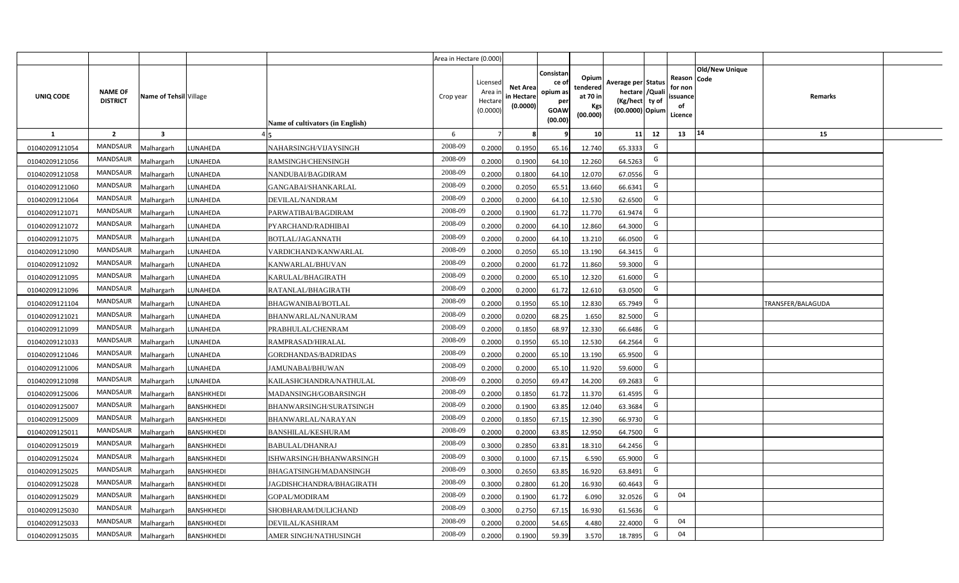|                |                                   |                         |                   |                                  | Area in Hectare (0.000) |                                          |                                           |                                                          |                                                         |                                                                           |    |                                                     |                       |                   |  |
|----------------|-----------------------------------|-------------------------|-------------------|----------------------------------|-------------------------|------------------------------------------|-------------------------------------------|----------------------------------------------------------|---------------------------------------------------------|---------------------------------------------------------------------------|----|-----------------------------------------------------|-----------------------|-------------------|--|
| UNIQ CODE      | <b>NAME OF</b><br><b>DISTRICT</b> | Name of Tehsil Village  |                   | Name of cultivators (in English) | Crop year               | Licensed<br>Area i<br>Hectar<br>(0.0000) | <b>Net Area</b><br>in Hectare<br>(0.0000) | Consistan<br>ce of<br>opium as<br>per<br>GOAW<br>(00.00) | Opium<br>tendered<br>at 70 in<br><b>Kgs</b><br>(00.000) | Average per Status<br>hectare / Qual<br>(Kg/hect ty of<br>(00.0000) Opium |    | Reason Code<br>for nor<br>issuance<br>of<br>Licence | <b>Old/New Unique</b> | Remarks           |  |
| $\mathbf{1}$   | $\overline{2}$                    | $\overline{\mathbf{3}}$ |                   |                                  | 6                       |                                          |                                           |                                                          | 10 <sup>1</sup>                                         | 11                                                                        | 12 | 13                                                  | 14                    | 15                |  |
| 01040209121054 | <b>MANDSAUR</b>                   | Malhargarh              | LUNAHEDA          | NAHARSINGH/VIJAYSINGH            | 2008-09                 | 0.2000                                   | 0.1950                                    | 65.16                                                    | 12.740                                                  | 65.3333                                                                   | G  |                                                     |                       |                   |  |
| 01040209121056 | <b>MANDSAUR</b>                   | Malhargarh              | LUNAHEDA          | RAMSINGH/CHENSINGH               | 2008-09                 | 0.2000                                   | 0.1900                                    | 64.10                                                    | 12.260                                                  | 64.5263                                                                   | G  |                                                     |                       |                   |  |
| 01040209121058 | <b>MANDSAUR</b>                   | Malhargarh              | LUNAHEDA          | NANDUBAI/BAGDIRAM                | 2008-09                 | 0.2000                                   | 0.1800                                    | 64.10                                                    | 12.070                                                  | 67.0556                                                                   | G  |                                                     |                       |                   |  |
| 01040209121060 | <b>MANDSAUR</b>                   | Malhargarh              | LUNAHEDA          | GANGABAI/SHANKARLAL              | 2008-09                 | 0.2000                                   | 0.2050                                    | 65.51                                                    | 13.660                                                  | 66.6341                                                                   | G  |                                                     |                       |                   |  |
| 01040209121064 | <b>MANDSAUR</b>                   | Malhargarh              | LUNAHEDA          | DEVILAL/NANDRAM                  | 2008-09                 | 0.2000                                   | 0.2000                                    | 64.10                                                    | 12.530                                                  | 62.6500                                                                   | G  |                                                     |                       |                   |  |
| 01040209121071 | <b>MANDSAUR</b>                   | Malhargarh              | LUNAHEDA          | PARWATIBAI/BAGDIRAM              | 2008-09                 | 0.200                                    | 0.1900                                    | 61.72                                                    | 11.770                                                  | 61.9474                                                                   | G  |                                                     |                       |                   |  |
| 01040209121072 | <b>MANDSAUR</b>                   | Malhargarh              | LUNAHEDA          | PYARCHAND/RADHIBAI               | 2008-09                 | 0.200                                    | 0.2000                                    | 64.10                                                    | 12.860                                                  | 64.3000                                                                   | G  |                                                     |                       |                   |  |
| 01040209121075 | <b>MANDSAUR</b>                   | Malhargarh              | LUNAHEDA          | BOTLAL/JAGANNATH                 | 2008-09                 | 0.200                                    | 0.2000                                    | 64.10                                                    | 13.210                                                  | 66.0500                                                                   | G  |                                                     |                       |                   |  |
| 01040209121090 | MANDSAUR                          | Malhargarh              | LUNAHEDA          | VARDICHAND/KANWARLAL             | 2008-09                 | 0.2000                                   | 0.2050                                    | 65.10                                                    | 13.190                                                  | 64.3415                                                                   | G  |                                                     |                       |                   |  |
| 01040209121092 | <b>MANDSAUR</b>                   | Malhargarh              | LUNAHEDA          | KANWARLAL/BHUVAN                 | 2008-09                 | 0.2000                                   | 0.2000                                    | 61.72                                                    | 11.860                                                  | 59.3000                                                                   | G  |                                                     |                       |                   |  |
| 01040209121095 | MANDSAUR                          | Malhargarh              | LUNAHEDA          | KARULAL/BHAGIRATH                | 2008-09                 | 0.2000                                   | 0.2000                                    | 65.10                                                    | 12.320                                                  | 61.6000                                                                   | G  |                                                     |                       |                   |  |
| 01040209121096 | <b>MANDSAUR</b>                   | Malhargarh              | LUNAHEDA          | RATANLAL/BHAGIRATH               | 2008-09                 | 0.2000                                   | 0.2000                                    | 61.72                                                    | 12.610                                                  | 63.0500                                                                   | G  |                                                     |                       |                   |  |
| 01040209121104 | MANDSAUR                          | Malhargarh              | LUNAHEDA          | <b>BHAGWANIBAI/BOTLAL</b>        | 2008-09                 | 0.2000                                   | 0.1950                                    | 65.10                                                    | 12.830                                                  | 65.7949                                                                   | G  |                                                     |                       | TRANSFER/BALAGUDA |  |
| 01040209121021 | MANDSAUR                          | Malhargarh              | LUNAHEDA          | <b>BHANWARLAL/NANURAM</b>        | 2008-09                 | 0.2000                                   | 0.0200                                    | 68.25                                                    | 1.650                                                   | 82.5000                                                                   | G  |                                                     |                       |                   |  |
| 01040209121099 | <b>MANDSAUR</b>                   | Malhargarh              | LUNAHEDA          | PRABHULAL/CHENRAM                | 2008-09                 | 0.2000                                   | 0.1850                                    | 68.97                                                    | 12.330                                                  | 66.6486                                                                   | G  |                                                     |                       |                   |  |
| 01040209121033 | MANDSAUR                          | Malhargarh              | LUNAHEDA          | RAMPRASAD/HIRALAL                | 2008-09                 | 0.2000                                   | 0.1950                                    | 65.10                                                    | 12.530                                                  | 64.2564                                                                   | G  |                                                     |                       |                   |  |
| 01040209121046 | <b>MANDSAUR</b>                   | Malhargarh              | LUNAHEDA          | <b>GORDHANDAS/BADRIDAS</b>       | 2008-09                 | 0.2000                                   | 0.2000                                    | 65.10                                                    | 13.190                                                  | 65.9500                                                                   | G  |                                                     |                       |                   |  |
| 01040209121006 | <b>MANDSAUR</b>                   | Malhargarh              | LUNAHEDA          | JAMUNABAI/BHUWAN                 | 2008-09                 | 0.2000                                   | 0.2000                                    | 65.10                                                    | 11.920                                                  | 59.6000                                                                   | G  |                                                     |                       |                   |  |
| 01040209121098 | MANDSAUR                          | Malhargarh              | LUNAHEDA          | KAILASHCHANDRA/NATHULAL          | 2008-09                 | 0.2000                                   | 0.2050                                    | 69.47                                                    | 14.200                                                  | 69.2683                                                                   | G  |                                                     |                       |                   |  |
| 01040209125006 | <b>MANDSAUR</b>                   | Malhargarh              | BANSHKHEDI        | MADANSINGH/GOBARSINGH            | 2008-09                 | 0.2000                                   | 0.1850                                    | 61.72                                                    | 11.370                                                  | 61.4595                                                                   | G  |                                                     |                       |                   |  |
| 01040209125007 | <b>MANDSAUR</b>                   | Malhargarh              | BANSHKHEDI        | BHANWARSINGH/SURATSINGH          | 2008-09                 | 0.2000                                   | 0.1900                                    | 63.85                                                    | 12.040                                                  | 63.3684                                                                   | G  |                                                     |                       |                   |  |
| 01040209125009 | <b>MANDSAUR</b>                   | Malhargarh              | <b>BANSHKHEDI</b> | BHANWARLAL/NARAYAN               | 2008-09                 | 0.2000                                   | 0.1850                                    | 67.15                                                    | 12.390                                                  | 66.9730                                                                   | G  |                                                     |                       |                   |  |
| 01040209125011 | <b>MANDSAUR</b>                   | Malhargarh              | BANSHKHEDI        | <b>BANSHILAL/KESHURAM</b>        | 2008-09                 | 0.2000                                   | 0.2000                                    | 63.85                                                    | 12.950                                                  | 64.7500                                                                   | G  |                                                     |                       |                   |  |
| 01040209125019 | <b>MANDSAUR</b>                   | Malhargarh              | <b>BANSHKHEDI</b> | <b>BABULAL/DHANRAJ</b>           | 2008-09                 | 0.3000                                   | 0.2850                                    | 63.81                                                    | 18.310                                                  | 64.2456                                                                   | G  |                                                     |                       |                   |  |
| 01040209125024 | <b>MANDSAUR</b>                   | Malhargarh              | <b>BANSHKHEDI</b> | ISHWARSINGH/BHANWARSINGH         | 2008-09                 | 0.300                                    | 0.1000                                    | 67.15                                                    | 6.590                                                   | 65.9000                                                                   | G  |                                                     |                       |                   |  |
| 01040209125025 | <b>MANDSAUR</b>                   | Malhargarh              | BANSHKHEDI        | BHAGATSINGH/MADANSINGH           | 2008-09                 | 0.300                                    | 0.2650                                    | 63.85                                                    | 16.920                                                  | 63.8491                                                                   | G  |                                                     |                       |                   |  |
| 01040209125028 | <b>MANDSAUR</b>                   | Malhargarh              | BANSHKHEDI        | JAGDISHCHANDRA/BHAGIRATH         | 2008-09                 | 0.300                                    | 0.2800                                    | 61.20                                                    | 16.930                                                  | 60.4643                                                                   | G  |                                                     |                       |                   |  |
| 01040209125029 | <b>MANDSAUR</b>                   | Malhargarh              | <b>BANSHKHEDI</b> | GOPAL/MODIRAM                    | 2008-09                 | 0.2000                                   | 0.1900                                    | 61.72                                                    | 6.090                                                   | 32.0526                                                                   | G  | 04                                                  |                       |                   |  |
| 01040209125030 | <b>MANDSAUR</b>                   | Malhargarh              | <b>BANSHKHEDI</b> | SHOBHARAM/DULICHAND              | 2008-09                 | 0.3000                                   | 0.2750                                    | 67.15                                                    | 16.930                                                  | 61.5636                                                                   | G  |                                                     |                       |                   |  |
| 01040209125033 | <b>MANDSAUR</b>                   | Malhargarh              | <b>BANSHKHEDI</b> | DEVILAL/KASHIRAM                 | 2008-09                 | 0.2000                                   | 0.2000                                    | 54.65                                                    | 4.480                                                   | 22.4000                                                                   | G  | 04                                                  |                       |                   |  |
| 01040209125035 | <b>MANDSAUR</b>                   | Malhargarh              | <b>BANSHKHEDI</b> | AMER SINGH/NATHUSINGH            | 2008-09                 | 0.2000                                   | 0.1900                                    | 59.39                                                    | 3.570                                                   | 18.7895                                                                   | G  | 04                                                  |                       |                   |  |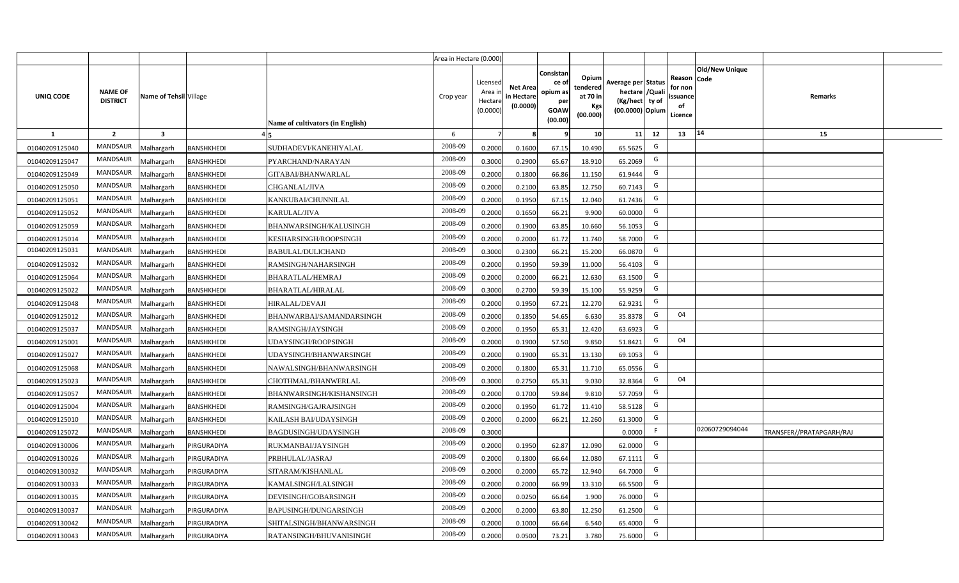|                |                                   |                         |                   |                                  | Area in Hectare (0.000) |                                          |                                           |                                                         |                                                         |                                                                           |    |                                                     |                       |                          |  |
|----------------|-----------------------------------|-------------------------|-------------------|----------------------------------|-------------------------|------------------------------------------|-------------------------------------------|---------------------------------------------------------|---------------------------------------------------------|---------------------------------------------------------------------------|----|-----------------------------------------------------|-----------------------|--------------------------|--|
| UNIQ CODE      | <b>NAME OF</b><br><b>DISTRICT</b> | Name of Tehsil Village  |                   | Name of cultivators (in English) | Crop year               | Licensed<br>Area i<br>Hectar<br>(0.0000) | <b>Net Area</b><br>in Hectare<br>(0.0000) | Consistan<br>ce o<br>opium as<br>per<br>GOAW<br>(00.00) | Opium<br>tendered<br>at 70 in<br><b>Kgs</b><br>(00.000) | Average per Status<br>hectare / Qual<br>(Kg/hect ty of<br>(00.0000) Opium |    | Reason Code<br>for nor<br>issuance<br>of<br>Licence | <b>Old/New Unique</b> | Remarks                  |  |
| 1              | $\overline{2}$                    | $\overline{\mathbf{3}}$ |                   |                                  | 6                       |                                          |                                           |                                                         | 10 <sup>1</sup>                                         | 11                                                                        | 12 | 13                                                  | $ 14\rangle$          | 15                       |  |
| 01040209125040 | <b>MANDSAUR</b>                   | Malhargarh              | BANSHKHEDI        | SUDHADEVI/KANEHIYALAL            | 2008-09                 | 0.2000                                   | 0.1600                                    | 67.15                                                   | 10.490                                                  | 65.5625                                                                   | G  |                                                     |                       |                          |  |
| 01040209125047 | <b>MANDSAUR</b>                   | Malhargarh              | <b>BANSHKHEDI</b> | PYARCHAND/NARAYAN                | 2008-09                 | 0.3000                                   | 0.2900                                    | 65.67                                                   | 18.910                                                  | 65.2069                                                                   | G  |                                                     |                       |                          |  |
| 01040209125049 | <b>MANDSAUR</b>                   | Malhargarh              | BANSHKHEDI        | GITABAI/BHANWARLAL               | 2008-09                 | 0.2000                                   | 0.1800                                    | 66.86                                                   | 11.150                                                  | 61.9444                                                                   | G  |                                                     |                       |                          |  |
| 01040209125050 | <b>MANDSAUR</b>                   | Malhargarh              | BANSHKHEDI        | CHGANLAL/JIVA                    | 2008-09                 | 0.2000                                   | 0.2100                                    | 63.85                                                   | 12.750                                                  | 60.7143                                                                   | G  |                                                     |                       |                          |  |
| 01040209125051 | <b>MANDSAUR</b>                   | Malhargarh              | BANSHKHEDI        | KANKUBAI/CHUNNILAL               | 2008-09                 | 0.2000                                   | 0.1950                                    | 67.15                                                   | 12.040                                                  | 61.7436                                                                   | G  |                                                     |                       |                          |  |
| 01040209125052 | <b>MANDSAUR</b>                   | Malhargarh              | BANSHKHEDI        | KARULAL/JIVA                     | 2008-09                 | 0.200                                    | 0.1650                                    | 66.21                                                   | 9.900                                                   | 60.0000                                                                   | G  |                                                     |                       |                          |  |
| 01040209125059 | <b>MANDSAUR</b>                   | Malhargarh              | BANSHKHEDI        | BHANWARSINGH/KALUSINGH           | 2008-09                 | 0.200                                    | 0.1900                                    | 63.85                                                   | 10.660                                                  | 56.1053                                                                   | G  |                                                     |                       |                          |  |
| 01040209125014 | <b>MANDSAUR</b>                   | Malhargarh              | BANSHKHEDI        | KESHARSINGH/ROOPSINGH            | 2008-09                 | 0.200                                    | 0.2000                                    | 61.72                                                   | 11.740                                                  | 58.7000                                                                   | G  |                                                     |                       |                          |  |
| 01040209125031 | MANDSAUR                          | Malhargarh              | BANSHKHEDI        | <b>BABULAL/DULICHAND</b>         | 2008-09                 | 0.3000                                   | 0.2300                                    | 66.21                                                   | 15.200                                                  | 66.0870                                                                   | G  |                                                     |                       |                          |  |
| 01040209125032 | MANDSAUR                          | Malhargarh              | BANSHKHEDI        | RAMSINGH/NAHARSINGH              | 2008-09                 | 0.2000                                   | 0.1950                                    | 59.39                                                   | 11.000                                                  | 56.4103                                                                   | G  |                                                     |                       |                          |  |
| 01040209125064 | MANDSAUR                          | Malhargarh              | <b>BANSHKHEDI</b> | BHARATLAL/HEMRAJ                 | 2008-09                 | 0.2000                                   | 0.2000                                    | 66.21                                                   | 12.630                                                  | 63.1500                                                                   | G  |                                                     |                       |                          |  |
| 01040209125022 | <b>MANDSAUR</b>                   | Malhargarh              | <b>BANSHKHEDI</b> | BHARATLAL/HIRALAL                | 2008-09                 | 0.3000                                   | 0.2700                                    | 59.39                                                   | 15.100                                                  | 55.9259                                                                   | G  |                                                     |                       |                          |  |
| 01040209125048 | MANDSAUR                          | Malhargarh              | BANSHKHEDI        | HIRALAL/DEVAJI                   | 2008-09                 | 0.2000                                   | 0.1950                                    | 67.21                                                   | 12.270                                                  | 62.9231                                                                   | G  |                                                     |                       |                          |  |
| 01040209125012 | MANDSAUR                          | Malhargarh              | BANSHKHEDI        | BHANWARBAI/SAMANDARSINGH         | 2008-09                 | 0.2000                                   | 0.1850                                    | 54.65                                                   | 6.630                                                   | 35.8378                                                                   | G  | 04                                                  |                       |                          |  |
| 01040209125037 | <b>MANDSAUR</b>                   | Malhargarh              | BANSHKHEDI        | RAMSINGH/JAYSINGH                | 2008-09                 | 0.2000                                   | 0.1950                                    | 65.31                                                   | 12.420                                                  | 63.6923                                                                   | G  |                                                     |                       |                          |  |
| 01040209125001 | MANDSAUR                          | Malhargarh              | BANSHKHEDI        | UDAYSINGH/ROOPSINGH              | 2008-09                 | 0.2000                                   | 0.1900                                    | 57.50                                                   | 9.850                                                   | 51.8421                                                                   | G  | 04                                                  |                       |                          |  |
| 01040209125027 | <b>MANDSAUR</b>                   | Malhargarh              | BANSHKHEDI        | UDAYSINGH/BHANWARSINGH           | 2008-09                 | 0.2000                                   | 0.1900                                    | 65.31                                                   | 13.130                                                  | 69.1053                                                                   | G  |                                                     |                       |                          |  |
| 01040209125068 | <b>MANDSAUR</b>                   | Malhargarh              | BANSHKHEDI        | NAWALSINGH/BHANWARSINGH          | 2008-09                 | 0.2000                                   | 0.1800                                    | 65.31                                                   | 11.710                                                  | 65.0556                                                                   | G  |                                                     |                       |                          |  |
| 01040209125023 | <b>MANDSAUR</b>                   | Malhargarh              | <b>BANSHKHEDI</b> | CHOTHMAL/BHANWERLAL              | 2008-09                 | 0.3000                                   | 0.2750                                    | 65.31                                                   | 9.030                                                   | 32.8364                                                                   | G  | 04                                                  |                       |                          |  |
| 01040209125057 | <b>MANDSAUR</b>                   | Malhargarh              | BANSHKHEDI        | BHANWARSINGH/KISHANSINGH         | 2008-09                 | 0.2000                                   | 0.1700                                    | 59.84                                                   | 9.810                                                   | 57.7059                                                                   | G  |                                                     |                       |                          |  |
| 01040209125004 | <b>MANDSAUR</b>                   | Malhargarh              | BANSHKHEDI        | RAMSINGH/GAJRAJSINGH             | 2008-09                 | 0.2000                                   | 0.1950                                    | 61.72                                                   | 11.410                                                  | 58.5128                                                                   | G  |                                                     |                       |                          |  |
| 01040209125010 | <b>MANDSAUR</b>                   | Malhargarh              | <b>BANSHKHEDI</b> | KAILASH BAI/UDAYSINGH            | 2008-09                 | 0.2000                                   | 0.2000                                    | 66.21                                                   | 12.260                                                  | 61.3000                                                                   | G  |                                                     |                       |                          |  |
| 01040209125072 | <b>MANDSAUR</b>                   | Malhargarh              | BANSHKHEDI        | BAGDUSINGH/UDAYSINGH             | 2008-09                 | 0.3000                                   |                                           |                                                         |                                                         | 0.0000                                                                    |    |                                                     | 02060729094044        | TRANSFER//PRATAPGARH/RAJ |  |
| 01040209130006 | <b>MANDSAUR</b>                   | Malhargarh              | PIRGURADIYA       | RUKMANBAI/JAYSINGH               | 2008-09                 | 0.2000                                   | 0.1950                                    | 62.87                                                   | 12.090                                                  | 62.0000                                                                   | G  |                                                     |                       |                          |  |
| 01040209130026 | <b>MANDSAUR</b>                   | Malhargarh              | PIRGURADIYA       | PRBHULAL/JASRAJ                  | 2008-09                 | 0.200                                    | 0.1800                                    | 66.64                                                   | 12.080                                                  | 67.1111                                                                   | G  |                                                     |                       |                          |  |
| 01040209130032 | <b>MANDSAUR</b>                   | Malhargarh              | PIRGURADIYA       | SITARAM/KISHANLAL                | 2008-09                 | 0.200                                    | 0.2000                                    | 65.72                                                   | 12.940                                                  | 64.7000                                                                   | G  |                                                     |                       |                          |  |
| 01040209130033 | <b>MANDSAUR</b>                   | Malhargarh              | PIRGURADIYA       | KAMALSINGH/LALSINGH              | 2008-09                 | 0.200                                    | 0.2000                                    | 66.99                                                   | 13.310                                                  | 66.5500                                                                   | G  |                                                     |                       |                          |  |
| 01040209130035 | <b>MANDSAUR</b>                   | Malhargarh              | PIRGURADIYA       | DEVISINGH/GOBARSINGH             | 2008-09                 | 0.2000                                   | 0.0250                                    | 66.64                                                   | 1.900                                                   | 76.0000                                                                   | G  |                                                     |                       |                          |  |
| 01040209130037 | <b>MANDSAUR</b>                   | Malhargarh              | PIRGURADIYA       | BAPUSINGH/DUNGARSINGH            | 2008-09                 | 0.2000                                   | 0.2000                                    | 63.80                                                   | 12.250                                                  | 61.2500                                                                   | G  |                                                     |                       |                          |  |
| 01040209130042 | <b>MANDSAUR</b>                   | Malhargarh              | PIRGURADIYA       | SHITALSINGH/BHANWARSINGH         | 2008-09                 | 0.2000                                   | 0.1000                                    | 66.64                                                   | 6.540                                                   | 65.4000                                                                   | G  |                                                     |                       |                          |  |
| 01040209130043 | <b>MANDSAUR</b>                   | Malhargarh              | PIRGURADIYA       | RATANSINGH/BHUVANISINGH          | 2008-09                 | 0.2000                                   | 0.0500                                    | 73.21                                                   | 3.780                                                   | 75.6000                                                                   | G  |                                                     |                       |                          |  |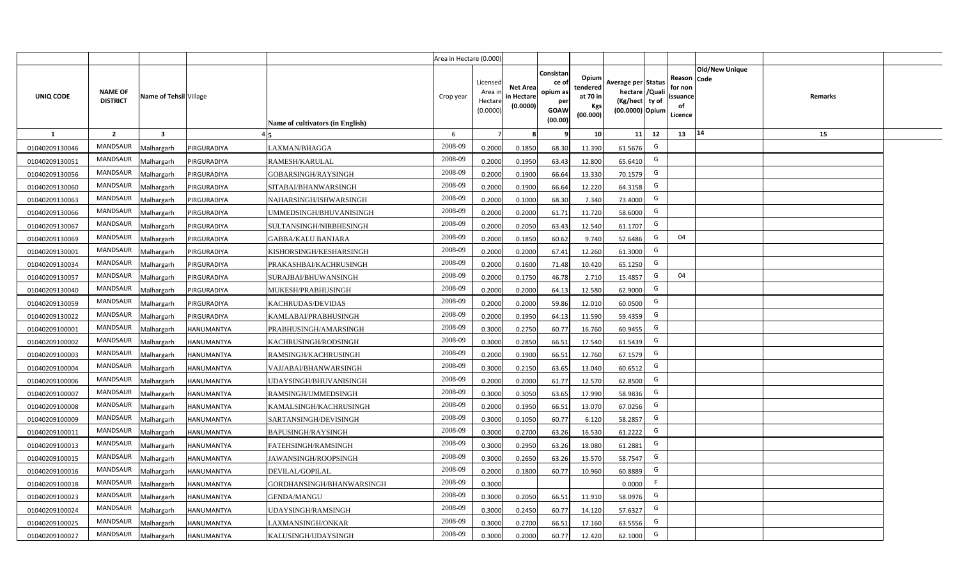|                |                                   |                         |                   |                                  | Area in Hectare (0.000) |                                           |                                           |                                                                 |                                                  |                                                                            |                                                    |                       |         |  |
|----------------|-----------------------------------|-------------------------|-------------------|----------------------------------|-------------------------|-------------------------------------------|-------------------------------------------|-----------------------------------------------------------------|--------------------------------------------------|----------------------------------------------------------------------------|----------------------------------------------------|-----------------------|---------|--|
| UNIQ CODE      | <b>NAME OF</b><br><b>DISTRICT</b> | Name of Tehsil Village  |                   | Name of cultivators (in English) | Crop year               | Licensed<br>Area i<br>Hectare<br>(0.0000) | <b>Net Area</b><br>in Hectare<br>(0.0000) | Consistan<br>ce of<br>opium as<br>per<br><b>GOAW</b><br>(00.00) | Opium<br>tendered<br>at 70 in<br>Kgs<br>(00.000) | Average per Status<br>hectare / Quali<br>(Kg/hect ty of<br>(00.0000) Opium | Reason Code<br>for non<br>ssuance<br>of<br>Licence | <b>Old/New Unique</b> | Remarks |  |
| $\mathbf{1}$   | $\overline{2}$                    | $\overline{\mathbf{3}}$ |                   |                                  | 6                       | $\overline{7}$                            | 8                                         | 9                                                               | 10 <sup>1</sup>                                  | 12<br>11                                                                   | 13                                                 | 14                    | 15      |  |
| 01040209130046 | MANDSAUR                          | Malhargarh              | PIRGURADIYA       | LAXMAN/BHAGGA                    | 2008-09                 | 0.2000                                    | 0.1850                                    | 68.30                                                           | 11.390                                           | G<br>61.5676                                                               |                                                    |                       |         |  |
| 01040209130051 | MANDSAUR                          | <b>Aalhargarh</b>       | PIRGURADIYA       | RAMESH/KARULAL                   | 2008-09                 | 0.2000                                    | 0.1950                                    | 63.43                                                           | 12.800                                           | G<br>65.6410                                                               |                                                    |                       |         |  |
| 01040209130056 | MANDSAUR                          | Malhargarh              | PIRGURADIYA       | GOBARSINGH/RAYSINGH              | 2008-09                 | 0.2000                                    | 0.1900                                    | 66.64                                                           | 13.330                                           | G<br>70.1579                                                               |                                                    |                       |         |  |
| 01040209130060 | <b>MANDSAUR</b>                   | Malhargarh              | PIRGURADIYA       | SITABAI/BHANWARSINGH             | 2008-09                 | 0.2000                                    | 0.1900                                    | 66.64                                                           | 12.220                                           | G<br>64.3158                                                               |                                                    |                       |         |  |
| 01040209130063 | MANDSAUR                          | Malhargarh              | PIRGURADIYA       | NAHARSINGH/ISHWARSINGH           | 2008-09                 | 0.2000                                    | 0.1000                                    | 68.30                                                           | 7.340                                            | G<br>73.4000                                                               |                                                    |                       |         |  |
| 01040209130066 | MANDSAUR                          | Malhargarh              | PIRGURADIYA       | UMMEDSINGH/BHUVANISINGH          | 2008-09                 | 0.2000                                    | 0.2000                                    | 61.71                                                           | 11.720                                           | G<br>58.6000                                                               |                                                    |                       |         |  |
| 01040209130067 | MANDSAUR                          | Malhargarh              | PIRGURADIYA       | SULTANSINGH/NIRBHESINGH          | 2008-09                 | 0.2000                                    | 0.2050                                    | 63.43                                                           | 12.540                                           | G<br>61.1707                                                               |                                                    |                       |         |  |
| 01040209130069 | <b>MANDSAUR</b>                   | Malhargarh              | PIRGURADIYA       | <b>GABBA/KALU BANJARA</b>        | 2008-09                 | 0.2000                                    | 0.1850                                    | 60.62                                                           | 9.740                                            | G<br>52.6486                                                               | 04                                                 |                       |         |  |
| 01040209130001 | <b>MANDSAUR</b>                   | Malhargarh              | PIRGURADIYA       | KISHORSINGH/KESHARSINGH          | 2008-09                 | 0.2000                                    | 0.2000                                    | 67.41                                                           | 12.260                                           | G<br>61.3000                                                               |                                                    |                       |         |  |
| 01040209130034 | <b>MANDSAUR</b>                   | Malhargarh              | PIRGURADIYA       | PRAKASHBAI/KACHRUSINGH           | 2008-09                 | 0.2000                                    | 0.1600                                    | 71.48                                                           | 10.420                                           | G<br>65.1250                                                               |                                                    |                       |         |  |
| 01040209130057 | MANDSAUR                          | Malhargarh              | PIRGURADIYA       | SURAJBAI/BHUWANSINGH             | 2008-09                 | 0.2000                                    | 0.1750                                    | 46.78                                                           | 2.710                                            | G<br>15.4857                                                               | 04                                                 |                       |         |  |
| 01040209130040 | MANDSAUR                          | Malhargarh              | PIRGURADIYA       | MUKESH/PRABHUSINGH               | 2008-09                 | 0.2000                                    | 0.2000                                    | 64.13                                                           | 12.580                                           | G<br>62.9000                                                               |                                                    |                       |         |  |
| 01040209130059 | MANDSAUR                          | Malhargarh              | PIRGURADIYA       | KACHRUDAS/DEVIDAS                | 2008-09                 | 0.2000                                    | 0.2000                                    | 59.86                                                           | 12.010                                           | G<br>60.0500                                                               |                                                    |                       |         |  |
| 01040209130022 | <b>MANDSAUR</b>                   | Malhargarh              | PIRGURADIYA       | KAMLABAI/PRABHUSINGH             | 2008-09                 | 0.2000                                    | 0.1950                                    | 64.13                                                           | 11.590                                           | G<br>59.4359                                                               |                                                    |                       |         |  |
| 01040209100001 | <b>MANDSAUR</b>                   | Malhargarh              | HANUMANTYA        | PRABHUSINGH/AMARSINGH            | 2008-09                 | 0.3000                                    | 0.2750                                    | 60.77                                                           | 16.760                                           | G<br>60.9455                                                               |                                                    |                       |         |  |
| 01040209100002 | <b>MANDSAUR</b>                   | Malhargarh              | HANUMANTYA        | KACHRUSINGH/RODSINGH             | 2008-09                 | 0.3000                                    | 0.2850                                    | 66.51                                                           | 17.540                                           | G<br>61.5439                                                               |                                                    |                       |         |  |
| 01040209100003 | <b>MANDSAUR</b>                   | Malhargarh              | HANUMANTYA        | RAMSINGH/KACHRUSINGH             | 2008-09                 | 0.2000                                    | 0.1900                                    | 66.51                                                           | 12.760                                           | G<br>67.1579                                                               |                                                    |                       |         |  |
| 01040209100004 | <b>MANDSAUR</b>                   | Malhargarh              | HANUMANTYA        | VAJJABAI/BHANWARSINGH            | 2008-09                 | 0.3000                                    | 0.2150                                    | 63.65                                                           | 13.040                                           | G<br>60.6512                                                               |                                                    |                       |         |  |
| 01040209100006 | <b>MANDSAUR</b>                   | Malhargarh              | <b>HANUMANTYA</b> | UDAYSINGH/BHUVANISINGH           | 2008-09                 | 0.2000                                    | 0.2000                                    | 61.77                                                           | 12.570                                           | G<br>62.8500                                                               |                                                    |                       |         |  |
| 01040209100007 | <b>MANDSAUR</b>                   | Malhargarh              | HANUMANTYA        | RAMSINGH/UMMEDSINGH              | 2008-09                 | 0.3000                                    | 0.3050                                    | 63.65                                                           | 17.990                                           | G<br>58.9836                                                               |                                                    |                       |         |  |
| 01040209100008 | <b>MANDSAUR</b>                   | Malhargarh              | <b>HANUMANTYA</b> | KAMALSINGH/KACHRUSINGH           | 2008-09                 | 0.2000                                    | 0.1950                                    | 66.51                                                           | 13.070                                           | G<br>67.0256                                                               |                                                    |                       |         |  |
| 01040209100009 | MANDSAUR                          | Malhargarh              | <b>HANUMANTYA</b> | SARTANSINGH/DEVISINGH            | 2008-09                 | 0.3000                                    | 0.1050                                    | 60.77                                                           | 6.120                                            | G<br>58.2857                                                               |                                                    |                       |         |  |
| 01040209100011 | <b>MANDSAUR</b>                   | Malhargarh              | HANUMANTYA        | BAPUSINGH/RAYSINGH               | 2008-09                 | 0.3000                                    | 0.2700                                    | 63.26                                                           | 16.530                                           | G<br>61.2222                                                               |                                                    |                       |         |  |
| 01040209100013 | <b>MANDSAUR</b>                   | Malhargarh              | <b>HANUMANTYA</b> | FATEHSINGH/RAMSINGH              | 2008-09                 | 0.3000                                    | 0.2950                                    | 63.26                                                           | 18.080                                           | G<br>61.2881                                                               |                                                    |                       |         |  |
| 01040209100015 | <b>MANDSAUR</b>                   | Malhargarh              | <b>HANUMANTYA</b> | JAWANSINGH/ROOPSINGH             | 2008-09                 | 0.3000                                    | 0.2650                                    | 63.26                                                           | 15.570                                           | G<br>58.7547                                                               |                                                    |                       |         |  |
| 01040209100016 | MANDSAUR                          | Malhargarh              | HANUMANTYA        | DEVILAL/GOPILAL                  | 2008-09                 | 0.2000                                    | 0.1800                                    | 60.77                                                           | 10.960                                           | G<br>60.8889                                                               |                                                    |                       |         |  |
| 01040209100018 | MANDSAUR                          | Malhargarh              | HANUMANTYA        | GORDHANSINGH/BHANWARSINGH        | 2008-09                 | 0.3000                                    |                                           |                                                                 |                                                  | -F<br>0.0000                                                               |                                                    |                       |         |  |
| 01040209100023 | MANDSAUR                          | Malhargarh              | HANUMANTYA        | <b>GENDA/MANGU</b>               | 2008-09                 | 0.3000                                    | 0.2050                                    | 66.51                                                           | 11.910                                           | G<br>58.0976                                                               |                                                    |                       |         |  |
| 01040209100024 | MANDSAUR                          | Malhargarh              | HANUMANTYA        | UDAYSINGH/RAMSINGH               | 2008-09                 | 0.3000                                    | 0.2450                                    | 60.77                                                           | 14.120                                           | G<br>57.6327                                                               |                                                    |                       |         |  |
| 01040209100025 | MANDSAUR                          | Malhargarh              | HANUMANTYA        | LAXMANSINGH/ONKAR                | 2008-09                 | 0.3000                                    | 0.2700                                    | 66.51                                                           | 17.160                                           | G<br>63.5556                                                               |                                                    |                       |         |  |
| 01040209100027 | MANDSAUR                          | Malhargarh              | <b>HANUMANTYA</b> | KALUSINGH/UDAYSINGH              | 2008-09                 | 0.3000                                    | 0.2000                                    | 60.77                                                           | 12.420                                           | G<br>62.1000                                                               |                                                    |                       |         |  |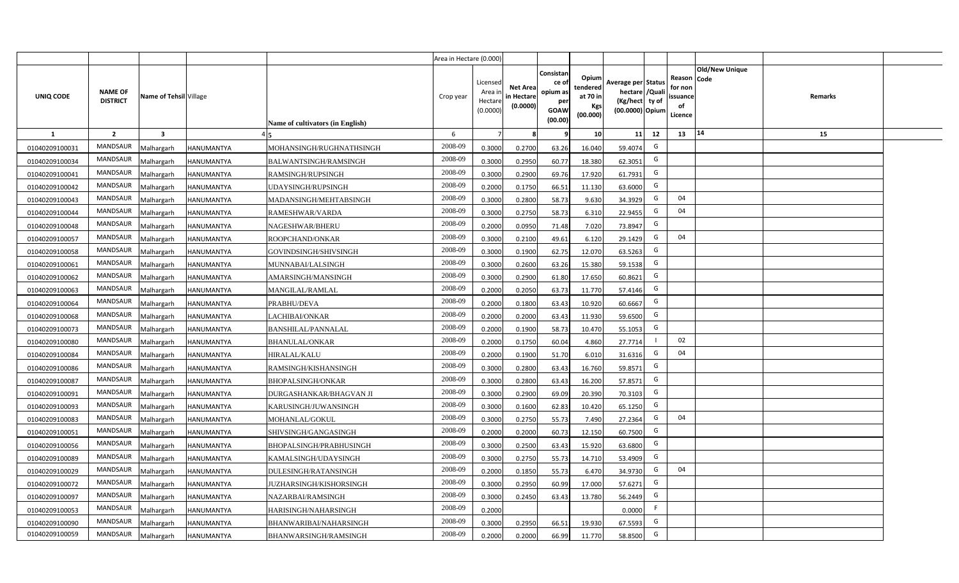|                |                                   |                         |                   |                                  | Area in Hectare (0.000) |                                           |                                           |                                                                 |                                                  |                                                                            |                                                    |                       |         |  |
|----------------|-----------------------------------|-------------------------|-------------------|----------------------------------|-------------------------|-------------------------------------------|-------------------------------------------|-----------------------------------------------------------------|--------------------------------------------------|----------------------------------------------------------------------------|----------------------------------------------------|-----------------------|---------|--|
| UNIQ CODE      | <b>NAME OF</b><br><b>DISTRICT</b> | Name of Tehsil Village  |                   | Name of cultivators (in English) | Crop year               | Licensed<br>Area i<br>Hectare<br>(0.0000) | <b>Net Area</b><br>in Hectare<br>(0.0000) | Consistan<br>ce of<br>opium as<br>per<br><b>GOAW</b><br>(00.00) | Opium<br>tendered<br>at 70 in<br>Kgs<br>(00.000) | Average per Status<br>hectare / Quali<br>(Kg/hect ty of<br>(00.0000) Opium | Reason Code<br>for non<br>ssuance<br>of<br>Licence | <b>Old/New Unique</b> | Remarks |  |
| $\mathbf{1}$   | $\overline{2}$                    | $\overline{\mathbf{3}}$ |                   |                                  | 6                       | $\overline{7}$                            | 8                                         | 9                                                               | 10 <sup>1</sup>                                  | 12<br>11                                                                   | 13                                                 | 14                    | 15      |  |
| 01040209100031 | MANDSAUR                          | Malhargarh              | HANUMANTYA        | MOHANSINGH/RUGHNATHSINGH         | 2008-09                 | 0.3000                                    | 0.2700                                    | 63.26                                                           | 16.040                                           | G<br>59.4074                                                               |                                                    |                       |         |  |
| 01040209100034 | MANDSAUR                          | <b>Aalhargarh</b>       | HANUMANTYA        | BALWANTSINGH/RAMSINGH            | 2008-09                 | 0.3000                                    | 0.2950                                    | 60.77                                                           | 18.380                                           | G<br>62.3051                                                               |                                                    |                       |         |  |
| 01040209100041 | MANDSAUR                          | Malhargarh              | HANUMANTYA        | RAMSINGH/RUPSINGH                | 2008-09                 | 0.3000                                    | 0.2900                                    | 69.76                                                           | 17.920                                           | G<br>61.7931                                                               |                                                    |                       |         |  |
| 01040209100042 | <b>MANDSAUR</b>                   | Malhargarh              | <b>HANUMANTYA</b> | UDAYSINGH/RUPSINGH               | 2008-09                 | 0.2000                                    | 0.1750                                    | 66.51                                                           | 11.130                                           | G<br>63.6000                                                               |                                                    |                       |         |  |
| 01040209100043 | MANDSAUR                          | Malhargarh              | <b>HANUMANTYA</b> | MADANSINGH/MEHTABSINGH           | 2008-09                 | 0.3000                                    | 0.2800                                    | 58.73                                                           | 9.630                                            | G<br>34.3929                                                               | 04                                                 |                       |         |  |
| 01040209100044 | MANDSAUR                          | Malhargarh              | <b>HANUMANTYA</b> | RAMESHWAR/VARDA                  | 2008-09                 | 0.3000                                    | 0.2750                                    | 58.73                                                           | 6.310                                            | G<br>22.9455                                                               | 04                                                 |                       |         |  |
| 01040209100048 | MANDSAUR                          | Malhargarh              | <b>HANUMANTYA</b> | NAGESHWAR/BHERU                  | 2008-09                 | 0.2000                                    | 0.0950                                    | 71.48                                                           | 7.020                                            | G<br>73.8947                                                               |                                                    |                       |         |  |
| 01040209100057 | <b>MANDSAUR</b>                   | Malhargarh              | <b>HANUMANTYA</b> | ROOPCHAND/ONKAR                  | 2008-09                 | 0.3000                                    | 0.2100                                    | 49.61                                                           | 6.120                                            | G<br>29.1429                                                               | 04                                                 |                       |         |  |
| 01040209100058 | <b>MANDSAUR</b>                   | Malhargarh              | HANUMANTYA        | GOVINDSINGH/SHIVSINGH            | 2008-09                 | 0.3000                                    | 0.1900                                    | 62.75                                                           | 12.070                                           | G<br>63.5263                                                               |                                                    |                       |         |  |
| 01040209100061 | <b>MANDSAUR</b>                   | Malhargarh              | <b>HANUMANTYA</b> | MUNNABAI/LALSINGH                | 2008-09                 | 0.3000                                    | 0.2600                                    | 63.26                                                           | 15.380                                           | G<br>59.1538                                                               |                                                    |                       |         |  |
| 01040209100062 | MANDSAUR                          | Malhargarh              | <b>HANUMANTYA</b> | AMARSINGH/MANSINGH               | 2008-09                 | 0.3000                                    | 0.2900                                    | 61.80                                                           | 17.650                                           | G<br>60.8621                                                               |                                                    |                       |         |  |
| 01040209100063 | <b>MANDSAUR</b>                   | Malhargarh              | HANUMANTYA        | <b>MANGILAL/RAMLAL</b>           | 2008-09                 | 0.2000                                    | 0.2050                                    | 63.73                                                           | 11.770                                           | G<br>57.4146                                                               |                                                    |                       |         |  |
| 01040209100064 | MANDSAUR                          | Malhargarh              | <b>HANUMANTYA</b> | PRABHU/DEVA                      | 2008-09                 | 0.2000                                    | 0.1800                                    | 63.43                                                           | 10.920                                           | G<br>60.6667                                                               |                                                    |                       |         |  |
| 01040209100068 | <b>MANDSAUR</b>                   | Malhargarh              | HANUMANTYA        | LACHIBAI/ONKAR                   | 2008-09                 | 0.2000                                    | 0.2000                                    | 63.43                                                           | 11.930                                           | G<br>59.6500                                                               |                                                    |                       |         |  |
| 01040209100073 | <b>MANDSAUR</b>                   | Malhargarh              | HANUMANTYA        | BANSHILAL/PANNALAL               | 2008-09                 | 0.2000                                    | 0.1900                                    | 58.73                                                           | 10.470                                           | G<br>55.1053                                                               |                                                    |                       |         |  |
| 01040209100080 | <b>MANDSAUR</b>                   | Malhargarh              | HANUMANTYA        | <b>BHANULAL/ONKAR</b>            | 2008-09                 | 0.2000                                    | 0.1750                                    | 60.04                                                           | 4.860                                            | 27.7714                                                                    | 02                                                 |                       |         |  |
| 01040209100084 | <b>MANDSAUR</b>                   | Malhargarh              | HANUMANTYA        | <b>HIRALAL/KALU</b>              | 2008-09                 | 0.2000                                    | 0.1900                                    | 51.70                                                           | 6.010                                            | G<br>31.6316                                                               | 04                                                 |                       |         |  |
| 01040209100086 | <b>MANDSAUR</b>                   | Malhargarh              | HANUMANTYA        | RAMSINGH/KISHANSINGH             | 2008-09                 | 0.3000                                    | 0.2800                                    | 63.43                                                           | 16.760                                           | G<br>59.8571                                                               |                                                    |                       |         |  |
| 01040209100087 | <b>MANDSAUR</b>                   | Malhargarh              | <b>HANUMANTYA</b> | <b>BHOPALSINGH/ONKAR</b>         | 2008-09                 | 0.3000                                    | 0.2800                                    | 63.43                                                           | 16.200                                           | G<br>57.8571                                                               |                                                    |                       |         |  |
| 01040209100091 | MANDSAUR                          | Malhargarh              | HANUMANTYA        | DURGASHANKAR/BHAGVAN JI          | 2008-09                 | 0.3000                                    | 0.2900                                    | 69.09                                                           | 20.390                                           | G<br>70.3103                                                               |                                                    |                       |         |  |
| 01040209100093 | MANDSAUR                          | Malhargarh              | <b>HANUMANTYA</b> | KARUSINGH/JUWANSINGH             | 2008-09                 | 0.3000                                    | 0.1600                                    | 62.83                                                           | 10.420                                           | G<br>65.1250                                                               |                                                    |                       |         |  |
| 01040209100083 | MANDSAUR                          | Malhargarh              | <b>HANUMANTYA</b> | MOHANLAL/GOKUL                   | 2008-09                 | 0.3000                                    | 0.2750                                    | 55.73                                                           | 7.490                                            | G<br>27.2364                                                               | 04                                                 |                       |         |  |
| 01040209100051 | <b>MANDSAUR</b>                   | Malhargarh              | <b>HANUMANTYA</b> | SHIVSINGH/GANGASINGH             | 2008-09                 | 0.2000                                    | 0.2000                                    | 60.73                                                           | 12.150                                           | G<br>60.7500                                                               |                                                    |                       |         |  |
| 01040209100056 | <b>MANDSAUR</b>                   | Malhargarh              | <b>HANUMANTYA</b> | BHOPALSINGH/PRABHUSINGH          | 2008-09                 | 0.3000                                    | 0.2500                                    | 63.43                                                           | 15.920                                           | G<br>63.6800                                                               |                                                    |                       |         |  |
| 01040209100089 | <b>MANDSAUR</b>                   | Malhargarh              | <b>HANUMANTYA</b> | KAMALSINGH/UDAYSINGH             | 2008-09                 | 0.3000                                    | 0.2750                                    | 55.73                                                           | 14.710                                           | G<br>53.4909                                                               |                                                    |                       |         |  |
| 01040209100029 | MANDSAUR                          | Malhargarh              | HANUMANTYA        | DULESINGH/RATANSINGH             | 2008-09                 | 0.2000                                    | 0.1850                                    | 55.73                                                           | 6.470                                            | G<br>34.9730                                                               | 04                                                 |                       |         |  |
| 01040209100072 | MANDSAUR                          | Malhargarh              | HANUMANTYA        | JUZHARSINGH/KISHORSINGH          | 2008-09                 | 0.3000                                    | 0.2950                                    | 60.99                                                           | 17.000                                           | G<br>57.6271                                                               |                                                    |                       |         |  |
| 01040209100097 | MANDSAUR                          | Malhargarh              | HANUMANTYA        | NAZARBAI/RAMSINGH                | 2008-09                 | 0.3000                                    | 0.2450                                    | 63.43                                                           | 13.780                                           | G<br>56.2449                                                               |                                                    |                       |         |  |
| 01040209100053 | MANDSAUR                          | Malhargarh              | HANUMANTYA        | HARISINGH/NAHARSINGH             | 2008-09                 | 0.2000                                    |                                           |                                                                 |                                                  | - F<br>0.0000                                                              |                                                    |                       |         |  |
| 01040209100090 | MANDSAUR                          | Malhargarh              | HANUMANTYA        | BHANWARIBAI/NAHARSINGH           | 2008-09                 | 0.3000                                    | 0.2950                                    | 66.51                                                           | 19.930                                           | G<br>67.5593                                                               |                                                    |                       |         |  |
| 01040209100059 | MANDSAUR                          | Malhargarh              | <b>HANUMANTYA</b> | BHANWARSINGH/RAMSINGH            | 2008-09                 | 0.2000                                    | 0.2000                                    | 66.99                                                           | 11.770                                           | G<br>58.8500                                                               |                                                    |                       |         |  |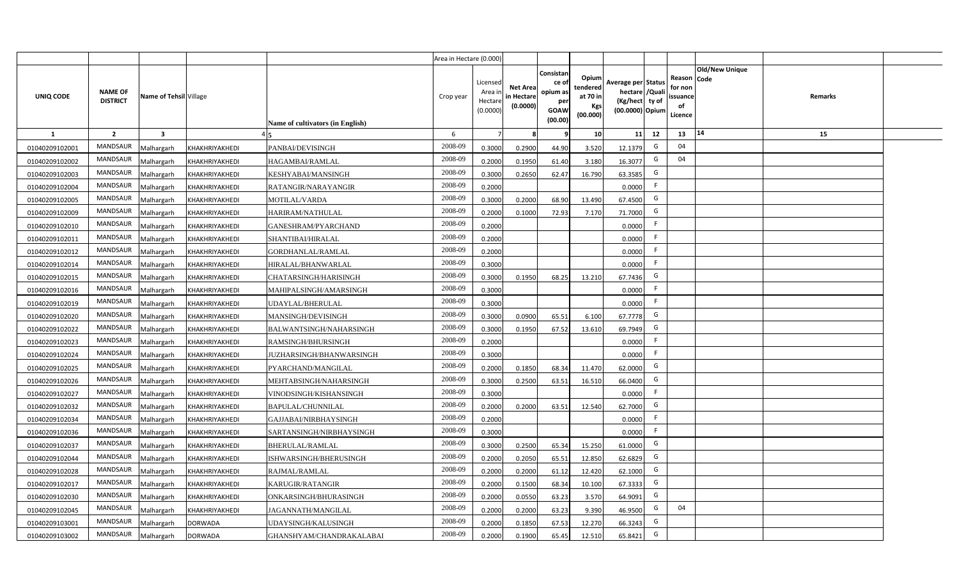|                |                                   |                         |                |                                  | Area in Hectare (0.000) |                                           |                                           |                                                                 |                                                  |                                                                            |                                                     |                |         |  |
|----------------|-----------------------------------|-------------------------|----------------|----------------------------------|-------------------------|-------------------------------------------|-------------------------------------------|-----------------------------------------------------------------|--------------------------------------------------|----------------------------------------------------------------------------|-----------------------------------------------------|----------------|---------|--|
| UNIQ CODE      | <b>NAME OF</b><br><b>DISTRICT</b> | Name of Tehsil Village  |                | Name of cultivators (in English) | Crop year               | Licensed<br>Area i<br>Hectare<br>(0.0000) | <b>Net Area</b><br>in Hectare<br>(0.0000) | Consistan<br>ce of<br>opium as<br>per<br><b>GOAW</b><br>(00.00) | Opium<br>tendered<br>at 70 in<br>Kgs<br>(00.000) | Average per Status<br>hectare / Quali<br>(Kg/hect ty of<br>(00.0000) Opium | Reason Code<br>for non<br>issuance<br>of<br>Licence | Old/New Unique | Remarks |  |
| $\mathbf{1}$   | $\overline{2}$                    | $\overline{\mathbf{3}}$ |                |                                  | 6                       | $\overline{7}$                            | 8                                         | 9                                                               | 10 <sup>1</sup>                                  | 12<br>11                                                                   | 13                                                  | 14             | 15      |  |
| 01040209102001 | MANDSAUR                          | Malhargarh              | KHAKHRIYAKHEDI | PANBAI/DEVISINGH                 | 2008-09                 | 0.3000                                    | 0.2900                                    | 44.90                                                           | 3.520                                            | G<br>12.1379                                                               | 04                                                  |                |         |  |
| 01040209102002 | MANDSAUR                          | <b>Aalhargarh</b>       | KHAKHRIYAKHEDI | HAGAMBAI/RAMLAL                  | 2008-09                 | 0.2000                                    | 0.1950                                    | 61.40                                                           | 3.180                                            | G<br>16.3077                                                               | 04                                                  |                |         |  |
| 01040209102003 | MANDSAUR                          | Malhargarh              | KHAKHRIYAKHEDI | KESHYABAI/MANSINGH               | 2008-09                 | 0.3000                                    | 0.2650                                    | 62.47                                                           | 16.790                                           | G<br>63.3585                                                               |                                                     |                |         |  |
| 01040209102004 | <b>MANDSAUR</b>                   | Malhargarh              | KHAKHRIYAKHEDI | RATANGIR/NARAYANGIR              | 2008-09                 | 0.2000                                    |                                           |                                                                 |                                                  | F.<br>0.0000                                                               |                                                     |                |         |  |
| 01040209102005 | MANDSAUR                          | Malhargarh              | KHAKHRIYAKHEDI | MOTILAL/VARDA                    | 2008-09                 | 0.3000                                    | 0.2000                                    | 68.90                                                           | 13.490                                           | G<br>67.4500                                                               |                                                     |                |         |  |
| 01040209102009 | MANDSAUR                          | Malhargarh              | KHAKHRIYAKHEDI | HARIRAM/NATHULAL                 | 2008-09                 | 0.2000                                    | 0.1000                                    | 72.93                                                           | 7.170                                            | G<br>71.7000                                                               |                                                     |                |         |  |
| 01040209102010 | MANDSAUR                          | Malhargarh              | KHAKHRIYAKHEDI | GANESHRAM/PYARCHAND              | 2008-09                 | 0.2000                                    |                                           |                                                                 |                                                  | F<br>0.0000                                                                |                                                     |                |         |  |
| 01040209102011 | MANDSAUR                          | Malhargarh              | KHAKHRIYAKHEDI | SHANTIBAI/HIRALAL                | 2008-09                 | 0.2000                                    |                                           |                                                                 |                                                  | F<br>0.0000                                                                |                                                     |                |         |  |
| 01040209102012 | MANDSAUR                          | Malhargarh              | KHAKHRIYAKHEDI | GORDHANLAL/RAMLAL                | 2008-09                 | 0.2000                                    |                                           |                                                                 |                                                  | F<br>0.0000                                                                |                                                     |                |         |  |
| 01040209102014 | <b>MANDSAUR</b>                   | Malhargarh              | KHAKHRIYAKHEDI | HIRALAL/BHANWARLAL               | 2008-09                 | 0.3000                                    |                                           |                                                                 |                                                  | F<br>0.0000                                                                |                                                     |                |         |  |
| 01040209102015 | MANDSAUR                          | Malhargarh              | KHAKHRIYAKHEDI | CHATARSINGH/HARISINGH            | 2008-09                 | 0.3000                                    | 0.1950                                    | 68.25                                                           | 13.210                                           | G<br>67.7436                                                               |                                                     |                |         |  |
| 01040209102016 | MANDSAUR                          | Malhargarh              | KHAKHRIYAKHEDI | MAHIPALSINGH/AMARSINGH           | 2008-09                 | 0.3000                                    |                                           |                                                                 |                                                  | F.<br>0.0000                                                               |                                                     |                |         |  |
| 01040209102019 | MANDSAUR                          | Malhargarh              | KHAKHRIYAKHEDI | UDAYLAL/BHERULAL                 | 2008-09                 | 0.3000                                    |                                           |                                                                 |                                                  | F<br>0.0000                                                                |                                                     |                |         |  |
| 01040209102020 | <b>MANDSAUR</b>                   | Malhargarh              | KHAKHRIYAKHEDI | MANSINGH/DEVISINGH               | 2008-09                 | 0.3000                                    | 0.0900                                    | 65.51                                                           | 6.100                                            | G<br>67.7778                                                               |                                                     |                |         |  |
| 01040209102022 | <b>MANDSAUR</b>                   | Malhargarh              | KHAKHRIYAKHEDI | BALWANTSINGH/NAHARSINGH          | 2008-09                 | 0.3000                                    | 0.1950                                    | 67.52                                                           | 13.610                                           | G<br>69.7949                                                               |                                                     |                |         |  |
| 01040209102023 | <b>MANDSAUR</b>                   | Malhargarh              | KHAKHRIYAKHEDI | RAMSINGH/BHURSINGH               | 2008-09                 | 0.2000                                    |                                           |                                                                 |                                                  | F.<br>0.0000                                                               |                                                     |                |         |  |
| 01040209102024 | <b>MANDSAUR</b>                   | Malhargarh              | KHAKHRIYAKHEDI | JUZHARSINGH/BHANWARSINGH         | 2008-09                 | 0.3000                                    |                                           |                                                                 |                                                  | F<br>0.0000                                                                |                                                     |                |         |  |
| 01040209102025 | <b>MANDSAUR</b>                   | Malhargarh              | KHAKHRIYAKHEDI | PYARCHAND/MANGILAL               | 2008-09                 | 0.2000                                    | 0.1850                                    | 68.34                                                           | 11.470                                           | G<br>62.0000                                                               |                                                     |                |         |  |
| 01040209102026 | <b>MANDSAUR</b>                   | Malhargarh              | KHAKHRIYAKHEDI | MEHTABSINGH/NAHARSINGH           | 2008-09                 | 0.3000                                    | 0.2500                                    | 63.51                                                           | 16.510                                           | G<br>66.0400                                                               |                                                     |                |         |  |
| 01040209102027 | MANDSAUR                          | Malhargarh              | KHAKHRIYAKHEDI | VINODSINGH/KISHANSINGH           | 2008-09                 | 0.3000                                    |                                           |                                                                 |                                                  | F.<br>0.0000                                                               |                                                     |                |         |  |
| 01040209102032 | MANDSAUR                          | Malhargarh              | KHAKHRIYAKHEDI | BAPULAL/CHUNNILAL                | 2008-09                 | 0.2000                                    | 0.2000                                    | 63.51                                                           | 12.540                                           | G<br>62.7000                                                               |                                                     |                |         |  |
| 01040209102034 | MANDSAUR                          | Malhargarh              | KHAKHRIYAKHEDI | GAJJABAI/NIRBHAYSINGH            | 2008-09                 | 0.2000                                    |                                           |                                                                 |                                                  | F.<br>0.0000                                                               |                                                     |                |         |  |
| 01040209102036 | <b>MANDSAUR</b>                   | Malhargarh              | KHAKHRIYAKHEDI | SARTANSINGH/NIRBHAYSINGH         | 2008-09                 | 0.3000                                    |                                           |                                                                 |                                                  | -F<br>0.0000                                                               |                                                     |                |         |  |
| 01040209102037 | MANDSAUR                          | Malhargarh              | KHAKHRIYAKHEDI | BHERULAL/RAMLAL                  | 2008-09                 | 0.3000                                    | 0.2500                                    | 65.34                                                           | 15.250                                           | G<br>61.0000                                                               |                                                     |                |         |  |
| 01040209102044 | MANDSAUR                          | Malhargarh              | KHAKHRIYAKHEDI | ISHWARSINGH/BHERUSINGH           | 2008-09                 | 0.2000                                    | 0.2050                                    | 65.51                                                           | 12.850                                           | G<br>62.6829                                                               |                                                     |                |         |  |
| 01040209102028 | MANDSAUR                          | Malhargarh              | KHAKHRIYAKHEDI | RAJMAL/RAMLAL                    | 2008-09                 | 0.2000                                    | 0.2000                                    | 61.12                                                           | 12.420                                           | G<br>62.1000                                                               |                                                     |                |         |  |
| 01040209102017 | MANDSAUR                          | Malhargarh              | KHAKHRIYAKHEDI | KARUGIR/RATANGIR                 | 2008-09                 | 0.2000                                    | 0.1500                                    | 68.34                                                           | 10.100                                           | G<br>67.3333                                                               |                                                     |                |         |  |
| 01040209102030 | MANDSAUR                          | Malhargarh              | KHAKHRIYAKHEDI | ONKARSINGH/BHURASINGH            | 2008-09                 | 0.2000                                    | 0.0550                                    | 63.23                                                           | 3.570                                            | G<br>64.9091                                                               |                                                     |                |         |  |
| 01040209102045 | MANDSAUR                          | Malhargarh              | KHAKHRIYAKHEDI | JAGANNATH/MANGILAL               | 2008-09                 | 0.2000                                    | 0.2000                                    | 63.23                                                           | 9.390                                            | G<br>46.9500                                                               | 04                                                  |                |         |  |
| 01040209103001 | MANDSAUR                          | Malhargarh              | <b>DORWADA</b> | UDAYSINGH/KALUSINGH              | 2008-09                 | 0.2000                                    | 0.1850                                    | 67.53                                                           | 12.270                                           | G<br>66.3243                                                               |                                                     |                |         |  |
| 01040209103002 | MANDSAUR                          | Malhargarh              | <b>DORWADA</b> | GHANSHYAM/CHANDRAKALABAI         | 2008-09                 | 0.2000                                    | 0.1900                                    | 65.45                                                           | 12.510                                           | G<br>65.8421                                                               |                                                     |                |         |  |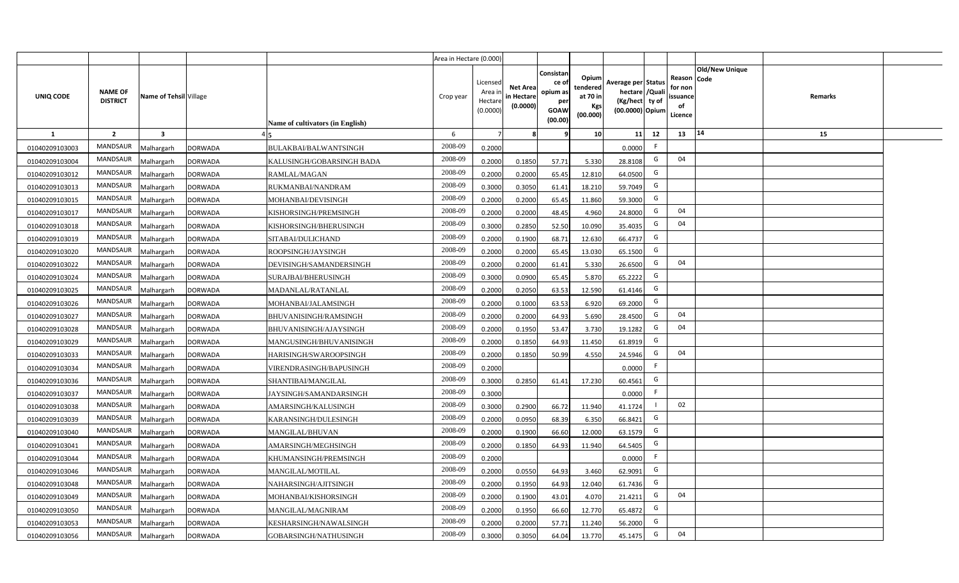|                |                                   |                         |                |                                  | Area in Hectare (0.000) |                                           |                                           |                                                                 |                                                  |                                                                            |                                                    |                |         |  |
|----------------|-----------------------------------|-------------------------|----------------|----------------------------------|-------------------------|-------------------------------------------|-------------------------------------------|-----------------------------------------------------------------|--------------------------------------------------|----------------------------------------------------------------------------|----------------------------------------------------|----------------|---------|--|
| UNIQ CODE      | <b>NAME OF</b><br><b>DISTRICT</b> | Name of Tehsil Village  |                | Name of cultivators (in English) | Crop year               | Licensed<br>Area i<br>Hectare<br>(0.0000) | <b>Net Area</b><br>in Hectare<br>(0.0000) | Consistan<br>ce of<br>opium as<br>per<br><b>GOAW</b><br>(00.00) | Opium<br>tendered<br>at 70 in<br>Kgs<br>(00.000) | Average per Status<br>hectare / Quali<br>(Kg/hect ty of<br>(00.0000) Opium | Reason Code<br>for non<br>ssuance<br>of<br>Licence | Old/New Unique | Remarks |  |
| $\mathbf{1}$   | $\overline{2}$                    | $\overline{\mathbf{3}}$ |                |                                  | 6                       | $\overline{7}$                            |                                           | 9                                                               | 10 <sup>1</sup>                                  | 12<br>11                                                                   | 13                                                 | 14             | 15      |  |
| 01040209103003 | MANDSAUR                          | Malhargarh              | <b>DORWADA</b> | BULAKBAI/BALWANTSINGH            | 2008-09                 | 0.2000                                    |                                           |                                                                 |                                                  | F<br>0.0000                                                                |                                                    |                |         |  |
| 01040209103004 | MANDSAUR                          | <b>Aalhargarh</b>       | <b>DORWADA</b> | KALUSINGH/GOBARSINGH BADA        | 2008-09                 | 0.2000                                    | 0.1850                                    | 57.71                                                           | 5.330                                            | G<br>28.8108                                                               | 04                                                 |                |         |  |
| 01040209103012 | MANDSAUR                          | Malhargarh              | <b>DORWADA</b> | RAMLAL/MAGAN                     | 2008-09                 | 0.2000                                    | 0.2000                                    | 65.45                                                           | 12.810                                           | G<br>64.0500                                                               |                                                    |                |         |  |
| 01040209103013 | <b>MANDSAUR</b>                   | Malhargarh              | <b>DORWADA</b> | RUKMANBAI/NANDRAM                | 2008-09                 | 0.3000                                    | 0.3050                                    | 61.41                                                           | 18.210                                           | G<br>59.7049                                                               |                                                    |                |         |  |
| 01040209103015 | MANDSAUR                          | Malhargarh              | <b>DORWADA</b> | MOHANBAI/DEVISINGH               | 2008-09                 | 0.2000                                    | 0.2000                                    | 65.45                                                           | 11.860                                           | G<br>59.3000                                                               |                                                    |                |         |  |
| 01040209103017 | MANDSAUR                          | Malhargarh              | <b>DORWADA</b> | KISHORSINGH/PREMSINGH            | 2008-09                 | 0.2000                                    | 0.2000                                    | 48.45                                                           | 4.960                                            | G<br>24.8000                                                               | 04                                                 |                |         |  |
| 01040209103018 | MANDSAUR                          | Malhargarh              | <b>DORWADA</b> | KISHORSINGH/BHERUSINGH           | 2008-09                 | 0.3000                                    | 0.2850                                    | 52.50                                                           | 10.090                                           | G<br>35.4035                                                               | 04                                                 |                |         |  |
| 01040209103019 | MANDSAUR                          | Malhargarh              | <b>DORWADA</b> | SITABAI/DULICHAND                | 2008-09                 | 0.2000                                    | 0.1900                                    | 68.71                                                           | 12.630                                           | G<br>66.4737                                                               |                                                    |                |         |  |
| 01040209103020 | MANDSAUR                          | Malhargarh              | <b>DORWADA</b> | ROOPSINGH/JAYSINGH               | 2008-09                 | 0.2000                                    | 0.2000                                    | 65.45                                                           | 13.030                                           | G<br>65.1500                                                               |                                                    |                |         |  |
| 01040209103022 | MANDSAUR                          | Malhargarh              | <b>DORWADA</b> | DEVISINGH/SAMANDERSINGH          | 2008-09                 | 0.2000                                    | 0.2000                                    | 61.41                                                           | 5.330                                            | G<br>26.6500                                                               | 04                                                 |                |         |  |
| 01040209103024 | MANDSAUR                          | Malhargarh              | <b>DORWADA</b> | SURAJBAI/BHERUSINGH              | 2008-09                 | 0.3000                                    | 0.0900                                    | 65.45                                                           | 5.870                                            | G<br>65.2222                                                               |                                                    |                |         |  |
| 01040209103025 | MANDSAUR                          | Malhargarh              | <b>DORWADA</b> | MADANLAL/RATANLAL                | 2008-09                 | 0.2000                                    | 0.2050                                    | 63.53                                                           | 12.590                                           | G<br>61.4146                                                               |                                                    |                |         |  |
| 01040209103026 | MANDSAUR                          | Malhargarh              | <b>DORWADA</b> | MOHANBAI/JALAMSINGH              | 2008-09                 | 0.2000                                    | 0.1000                                    | 63.53                                                           | 6.920                                            | G<br>69.2000                                                               |                                                    |                |         |  |
| 01040209103027 | MANDSAUR                          | Malhargarh              | <b>DORWADA</b> | BHUVANISINGH/RAMSINGH            | 2008-09                 | 0.2000                                    | 0.2000                                    | 64.93                                                           | 5.690                                            | G<br>28.4500                                                               | 04                                                 |                |         |  |
| 01040209103028 | <b>MANDSAUR</b>                   | Malhargarh              | <b>DORWADA</b> | BHUVANISINGH/AJAYSINGH           | 2008-09                 | 0.2000                                    | 0.1950                                    | 53.47                                                           | 3.730                                            | G<br>19.1282                                                               | 04                                                 |                |         |  |
| 01040209103029 | <b>MANDSAUR</b>                   | Malhargarh              | <b>DORWADA</b> | MANGUSINGH/BHUVANISINGH          | 2008-09                 | 0.2000                                    | 0.1850                                    | 64.93                                                           | 11.450                                           | G<br>61.8919                                                               |                                                    |                |         |  |
| 01040209103033 | <b>MANDSAUR</b>                   | Malhargarh              | <b>DORWADA</b> | HARISINGH/SWAROOPSINGH           | 2008-09                 | 0.2000                                    | 0.1850                                    | 50.99                                                           | 4.550                                            | G<br>24.5946                                                               | 04                                                 |                |         |  |
| 01040209103034 | <b>MANDSAUR</b>                   | Malhargarh              | <b>DORWADA</b> | VIRENDRASINGH/BAPUSINGH          | 2008-09                 | 0.2000                                    |                                           |                                                                 |                                                  | F<br>0.0000                                                                |                                                    |                |         |  |
| 01040209103036 | <b>MANDSAUR</b>                   | Malhargarh              | <b>DORWADA</b> | SHANTIBAI/MANGILAL               | 2008-09                 | 0.3000                                    | 0.2850                                    | 61.41                                                           | 17.230                                           | G<br>60.4561                                                               |                                                    |                |         |  |
| 01040209103037 | MANDSAUR                          | Malhargarh              | <b>DORWADA</b> | JAYSINGH/SAMANDARSINGH           | 2008-09                 | 0.3000                                    |                                           |                                                                 |                                                  | F.<br>0.0000                                                               |                                                    |                |         |  |
| 01040209103038 | MANDSAUR                          | Malhargarh              | <b>DORWADA</b> | AMARSINGH/KALUSINGH              | 2008-09                 | 0.3000                                    | 0.2900                                    | 66.72                                                           | 11.940                                           | 41.1724                                                                    | 02                                                 |                |         |  |
| 01040209103039 | MANDSAUR                          | Malhargarh              | <b>DORWADA</b> | KARANSINGH/DULESINGH             | 2008-09                 | 0.2000                                    | 0.0950                                    | 68.39                                                           | 6.350                                            | G<br>66.8421                                                               |                                                    |                |         |  |
| 01040209103040 | <b>MANDSAUR</b>                   | Malhargarh              | <b>DORWADA</b> | MANGILAL/BHUVAN                  | 2008-09                 | 0.2000                                    | 0.1900                                    | 66.60                                                           | 12.000                                           | G<br>63.1579                                                               |                                                    |                |         |  |
| 01040209103041 | MANDSAUR                          | Malhargarh              | <b>DORWADA</b> | AMARSINGH/MEGHSINGH              | 2008-09                 | 0.2000                                    | 0.1850                                    | 64.93                                                           | 11.940                                           | G<br>64.5405                                                               |                                                    |                |         |  |
| 01040209103044 | MANDSAUR                          | Malhargarh              | <b>DORWADA</b> | KHUMANSINGH/PREMSINGH            | 2008-09                 | 0.2000                                    |                                           |                                                                 |                                                  | F<br>0.0000                                                                |                                                    |                |         |  |
| 01040209103046 | MANDSAUR                          | Malhargarh              | <b>DORWADA</b> | MANGILAL/MOTILAL                 | 2008-09                 | 0.2000                                    | 0.0550                                    | 64.93                                                           | 3.460                                            | G<br>62.9091                                                               |                                                    |                |         |  |
| 01040209103048 | MANDSAUR                          | Malhargarh              | <b>DORWADA</b> | NAHARSINGH/AJITSINGH             | 2008-09                 | 0.2000                                    | 0.1950                                    | 64.93                                                           | 12.040                                           | G<br>61.7436                                                               |                                                    |                |         |  |
| 01040209103049 | MANDSAUR                          | Malhargarh              | <b>DORWADA</b> | MOHANBAI/KISHORSINGH             | 2008-09                 | 0.2000                                    | 0.1900                                    | 43.01                                                           | 4.070                                            | G<br>21.4211                                                               | 04                                                 |                |         |  |
| 01040209103050 | MANDSAUR                          | Malhargarh              | <b>DORWADA</b> | MANGILAL/MAGNIRAM                | 2008-09                 | 0.2000                                    | 0.1950                                    | 66.60                                                           | 12.770                                           | G<br>65.4872                                                               |                                                    |                |         |  |
| 01040209103053 | MANDSAUR                          | Malhargarh              | <b>DORWADA</b> | KESHARSINGH/NAWALSINGH           | 2008-09                 | 0.2000                                    | 0.2000                                    | 57.71                                                           | 11.240                                           | G<br>56.2000                                                               |                                                    |                |         |  |
| 01040209103056 | MANDSAUR                          | Malhargarh              | <b>DORWADA</b> | GOBARSINGH/NATHUSINGH            | 2008-09                 | 0.3000                                    | 0.3050                                    | 64.04                                                           | 13.770                                           | G<br>45.1475                                                               | 04                                                 |                |         |  |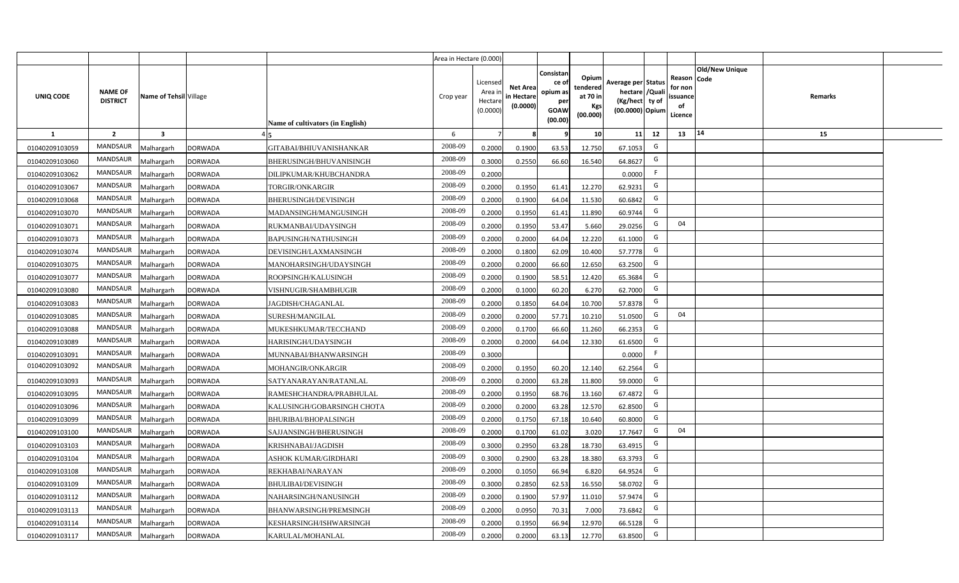|                |                                   |                         |                |                                  | Area in Hectare (0.000) |                                           |                                           |                                                          |                                                  |                                                                            |                                                    |                |         |  |
|----------------|-----------------------------------|-------------------------|----------------|----------------------------------|-------------------------|-------------------------------------------|-------------------------------------------|----------------------------------------------------------|--------------------------------------------------|----------------------------------------------------------------------------|----------------------------------------------------|----------------|---------|--|
| UNIQ CODE      | <b>NAME OF</b><br><b>DISTRICT</b> | Name of Tehsil Village  |                | Name of cultivators (in English) | Crop year               | Licensed<br>Area i<br>Hectare<br>(0.0000) | <b>Net Area</b><br>in Hectare<br>(0.0000) | Consistan<br>ce of<br>opium as<br>per<br>GOAW<br>(00.00) | Opium<br>tendered<br>at 70 in<br>Kgs<br>(00.000) | Average per Status<br>hectare / Quali<br>(Kg/hect ty of<br>(00.0000) Opium | Reason Code<br>for non<br>ssuance<br>of<br>Licence | Old/New Unique | Remarks |  |
| $\mathbf{1}$   | $\overline{2}$                    | $\overline{\mathbf{3}}$ |                |                                  | 6                       | $\overline{7}$                            | 8                                         | 9                                                        | 10 <sup>1</sup>                                  | 12<br>11                                                                   | 13                                                 | 14             | 15      |  |
| 01040209103059 | MANDSAUR                          | Malhargarh              | <b>DORWADA</b> | GITABAI/BHIUVANISHANKAR          | 2008-09                 | 0.2000                                    | 0.1900                                    | 63.53                                                    | 12.750                                           | G<br>67.1053                                                               |                                                    |                |         |  |
| 01040209103060 | MANDSAUR                          | <b>Aalhargarh</b>       | <b>DORWADA</b> | BHERUSINGH/BHUVANISINGH          | 2008-09                 | 0.3000                                    | 0.2550                                    | 66.60                                                    | 16.540                                           | G<br>64.8627                                                               |                                                    |                |         |  |
| 01040209103062 | MANDSAUR                          | Malhargarh              | <b>DORWADA</b> | DILIPKUMAR/KHUBCHANDRA           | 2008-09                 | 0.2000                                    |                                           |                                                          |                                                  | F<br>0.0000                                                                |                                                    |                |         |  |
| 01040209103067 | <b>MANDSAUR</b>                   | Malhargarh              | <b>DORWADA</b> | <b>TORGIR/ONKARGIR</b>           | 2008-09                 | 0.2000                                    | 0.1950                                    | 61.41                                                    | 12.270                                           | G<br>62.9231                                                               |                                                    |                |         |  |
| 01040209103068 | MANDSAUR                          | Malhargarh              | <b>DORWADA</b> | BHERUSINGH/DEVISINGH             | 2008-09                 | 0.2000                                    | 0.1900                                    | 64.04                                                    | 11.530                                           | G<br>60.6842                                                               |                                                    |                |         |  |
| 01040209103070 | MANDSAUR                          | Malhargarh              | <b>DORWADA</b> | MADANSINGH/MANGUSINGH            | 2008-09                 | 0.2000                                    | 0.1950                                    | 61.41                                                    | 11.890                                           | G<br>60.9744                                                               |                                                    |                |         |  |
| 01040209103071 | MANDSAUR                          | Malhargarh              | <b>DORWADA</b> | RUKMANBAI/UDAYSINGH              | 2008-09                 | 0.2000                                    | 0.1950                                    | 53.47                                                    | 5.660                                            | G<br>29.0256                                                               | 04                                                 |                |         |  |
| 01040209103073 | MANDSAUR                          | Malhargarh              | <b>DORWADA</b> | BAPUSINGH/NATHUSINGH             | 2008-09                 | 0.2000                                    | 0.2000                                    | 64.04                                                    | 12.220                                           | G<br>61.1000                                                               |                                                    |                |         |  |
| 01040209103074 | MANDSAUR                          | Malhargarh              | <b>DORWADA</b> | DEVISINGH/LAXMANSINGH            | 2008-09                 | 0.2000                                    | 0.1800                                    | 62.09                                                    | 10.400                                           | G<br>57.7778                                                               |                                                    |                |         |  |
| 01040209103075 | MANDSAUR                          | Malhargarh              | <b>DORWADA</b> | MANOHARSINGH/UDAYSINGH           | 2008-09                 | 0.2000                                    | 0.2000                                    | 66.60                                                    | 12.650                                           | G<br>63.2500                                                               |                                                    |                |         |  |
| 01040209103077 | MANDSAUR                          | Malhargarh              | <b>DORWADA</b> | ROOPSINGH/KALUSINGH              | 2008-09                 | 0.2000                                    | 0.1900                                    | 58.51                                                    | 12.420                                           | G<br>65.3684                                                               |                                                    |                |         |  |
| 01040209103080 | MANDSAUR                          | Malhargarh              | <b>DORWADA</b> | VISHNUGIR/SHAMBHUGIR             | 2008-09                 | 0.2000                                    | 0.1000                                    | 60.20                                                    | 6.270                                            | G<br>62.7000                                                               |                                                    |                |         |  |
| 01040209103083 | MANDSAUR                          | Malhargarh              | <b>DORWADA</b> | <b>JAGDISH/CHAGANLAL</b>         | 2008-09                 | 0.2000                                    | 0.1850                                    | 64.04                                                    | 10.700                                           | G<br>57.8378                                                               |                                                    |                |         |  |
| 01040209103085 | <b>MANDSAUR</b>                   | Malhargarh              | <b>DORWADA</b> | SURESH/MANGILAL                  | 2008-09                 | 0.2000                                    | 0.2000                                    | 57.71                                                    | 10.210                                           | G<br>51.0500                                                               | 04                                                 |                |         |  |
| 01040209103088 | <b>MANDSAUR</b>                   | Malhargarh              | <b>DORWADA</b> | MUKESHKUMAR/TECCHAND             | 2008-09                 | 0.2000                                    | 0.1700                                    | 66.60                                                    | 11.260                                           | G<br>66.2353                                                               |                                                    |                |         |  |
| 01040209103089 | <b>MANDSAUR</b>                   | Malhargarh              | <b>DORWADA</b> | HARISINGH/UDAYSINGH              | 2008-09                 | 0.2000                                    | 0.2000                                    | 64.04                                                    | 12.330                                           | G<br>61.6500                                                               |                                                    |                |         |  |
| 01040209103091 | <b>MANDSAUR</b>                   | Malhargarh              | <b>DORWADA</b> | MUNNABAI/BHANWARSINGH            | 2008-09                 | 0.3000                                    |                                           |                                                          |                                                  | F.<br>0.0000                                                               |                                                    |                |         |  |
| 01040209103092 | <b>MANDSAUR</b>                   | Malhargarh              | <b>DORWADA</b> | MOHANGIR/ONKARGIR                | 2008-09                 | 0.2000                                    | 0.1950                                    | 60.20                                                    | 12.140                                           | G<br>62.2564                                                               |                                                    |                |         |  |
| 01040209103093 | <b>MANDSAUR</b>                   | Malhargarh              | <b>DORWADA</b> | SATYANARAYAN/RATANLAL            | 2008-09                 | 0.2000                                    | 0.2000                                    | 63.28                                                    | 11.800                                           | G<br>59.0000                                                               |                                                    |                |         |  |
| 01040209103095 | MANDSAUR                          | Malhargarh              | <b>DORWADA</b> | RAMESHCHANDRA/PRABHULAL          | 2008-09                 | 0.2000                                    | 0.1950                                    | 68.76                                                    | 13.160                                           | G<br>67.4872                                                               |                                                    |                |         |  |
| 01040209103096 | MANDSAUR                          | Malhargarh              | <b>DORWADA</b> | KALUSINGH/GOBARSINGH CHOTA       | 2008-09                 | 0.2000                                    | 0.2000                                    | 63.28                                                    | 12.570                                           | G<br>62.8500                                                               |                                                    |                |         |  |
| 01040209103099 | MANDSAUR                          | Malhargarh              | <b>DORWADA</b> | BHURIBAI/BHOPALSINGH             | 2008-09                 | 0.2000                                    | 0.1750                                    | 67.18                                                    | 10.640                                           | G<br>60.8000                                                               |                                                    |                |         |  |
| 01040209103100 | <b>MANDSAUR</b>                   | Malhargarh              | <b>DORWADA</b> | SAJJANSINGH/BHERUSINGH           | 2008-09                 | 0.2000                                    | 0.1700                                    | 61.02                                                    | 3.020                                            | G<br>17.7647                                                               | 04                                                 |                |         |  |
| 01040209103103 | MANDSAUR                          | Malhargarh              | <b>DORWADA</b> | KRISHNABAI/JAGDISH               | 2008-09                 | 0.3000                                    | 0.2950                                    | 63.28                                                    | 18.730                                           | G<br>63.4915                                                               |                                                    |                |         |  |
| 01040209103104 | MANDSAUR                          | Malhargarh              | <b>DORWADA</b> | ASHOK KUMAR/GIRDHARI             | 2008-09                 | 0.3000                                    | 0.2900                                    | 63.28                                                    | 18.380                                           | G<br>63.3793                                                               |                                                    |                |         |  |
| 01040209103108 | MANDSAUR                          | Malhargarh              | <b>DORWADA</b> | REKHABAI/NARAYAN                 | 2008-09                 | 0.2000                                    | 0.1050                                    | 66.94                                                    | 6.820                                            | G<br>64.9524                                                               |                                                    |                |         |  |
| 01040209103109 | MANDSAUR                          | Malhargarh              | <b>DORWADA</b> | <b>BHULIBAI/DEVISINGH</b>        | 2008-09                 | 0.3000                                    | 0.2850                                    | 62.53                                                    | 16.550                                           | G<br>58.0702                                                               |                                                    |                |         |  |
| 01040209103112 | MANDSAUR                          | Malhargarh              | <b>DORWADA</b> | NAHARSINGH/NANUSINGH             | 2008-09                 | 0.2000                                    | 0.1900                                    | 57.97                                                    | 11.010                                           | G<br>57.9474                                                               |                                                    |                |         |  |
| 01040209103113 | MANDSAUR                          | Malhargarh              | <b>DORWADA</b> | BHANWARSINGH/PREMSINGH           | 2008-09                 | 0.2000                                    | 0.0950                                    | 70.31                                                    | 7.000                                            | G<br>73.6842                                                               |                                                    |                |         |  |
| 01040209103114 | MANDSAUR                          | Malhargarh              | <b>DORWADA</b> | KESHARSINGH/ISHWARSINGH          | 2008-09                 | 0.2000                                    | 0.1950                                    | 66.94                                                    | 12.970                                           | G<br>66.5128                                                               |                                                    |                |         |  |
| 01040209103117 | MANDSAUR                          | Malhargarh              | <b>DORWADA</b> | KARULAL/MOHANLAL                 | 2008-09                 | 0.2000                                    | 0.2000                                    | 63.13                                                    | 12.770                                           | G<br>63.8500                                                               |                                                    |                |         |  |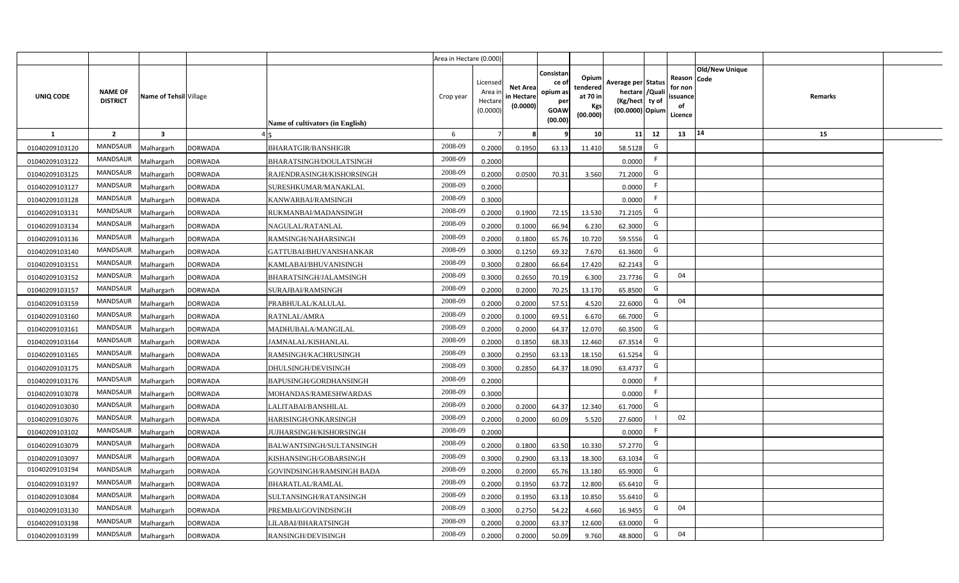|                |                                   |                        |                |                                  | Area in Hectare (0.000) |                                          |                                           |                                                          |                                                         |                                                                           |    |                                                     |                       |         |  |
|----------------|-----------------------------------|------------------------|----------------|----------------------------------|-------------------------|------------------------------------------|-------------------------------------------|----------------------------------------------------------|---------------------------------------------------------|---------------------------------------------------------------------------|----|-----------------------------------------------------|-----------------------|---------|--|
| UNIQ CODE      | <b>NAME OF</b><br><b>DISTRICT</b> | Name of Tehsil Village |                | Name of cultivators (in English) | Crop year               | Licensed<br>Area i<br>Hectar<br>(0.0000) | <b>Net Area</b><br>in Hectare<br>(0.0000) | Consistan<br>ce of<br>opium as<br>per<br>GOAW<br>(00.00) | Opium<br>tendered<br>at 70 in<br><b>Kgs</b><br>(00.000) | Average per Status<br>hectare / Qual<br>(Kg/hect ty of<br>(00.0000) Opium |    | Reason Code<br>for nor<br>issuance<br>of<br>Licence | <b>Old/New Unique</b> | Remarks |  |
| 1              | $\overline{2}$                    | 3                      |                |                                  | 6                       |                                          |                                           |                                                          | 10 <sup>1</sup>                                         | 11                                                                        | 12 | 13                                                  | 14                    | 15      |  |
| 01040209103120 | <b>MANDSAUR</b>                   | Malhargarh             | <b>DORWADA</b> | BHARATGIR/BANSHIGIR              | 2008-09                 | 0.2000                                   | 0.1950                                    | 63.13                                                    | 11.410                                                  | 58.5128                                                                   | G  |                                                     |                       |         |  |
| 01040209103122 | <b>MANDSAUR</b>                   | Malhargarh             | <b>DORWADA</b> | BHARATSINGH/DOULATSINGH          | 2008-09                 | 0.2000                                   |                                           |                                                          |                                                         | 0.0000                                                                    | F. |                                                     |                       |         |  |
| 01040209103125 | MANDSAUR                          | Malhargarh             | <b>DORWADA</b> | RAJENDRASINGH/KISHORSINGH        | 2008-09                 | 0.2000                                   | 0.0500                                    | 70.31                                                    | 3.560                                                   | 71.2000                                                                   | G  |                                                     |                       |         |  |
| 01040209103127 | <b>MANDSAUR</b>                   | Malhargarh             | <b>DORWADA</b> | SURESHKUMAR/MANAKLAL             | 2008-09                 | 0.2000                                   |                                           |                                                          |                                                         | 0.0000                                                                    |    |                                                     |                       |         |  |
| 01040209103128 | <b>MANDSAUR</b>                   | Malhargarh             | <b>DORWADA</b> | KANWARBAI/RAMSINGH               | 2008-09                 | 0.3000                                   |                                           |                                                          |                                                         | 0.0000                                                                    | F. |                                                     |                       |         |  |
| 01040209103131 | <b>MANDSAUR</b>                   | Malhargarh             | <b>DORWADA</b> | RUKMANBAI/MADANSINGH             | 2008-09                 | 0.2000                                   | 0.1900                                    | 72.15                                                    | 13.530                                                  | 71.2105                                                                   | G  |                                                     |                       |         |  |
| 01040209103134 | <b>MANDSAUR</b>                   | Malhargarh             | <b>DORWADA</b> | NAGULAL/RATANLAL                 | 2008-09                 | 0.200                                    | 0.1000                                    | 66.94                                                    | 6.230                                                   | 62.3000                                                                   | G  |                                                     |                       |         |  |
| 01040209103136 | <b>MANDSAUR</b>                   | Malhargarh             | <b>DORWADA</b> | RAMSINGH/NAHARSINGH              | 2008-09                 | 0.200                                    | 0.1800                                    | 65.76                                                    | 10.720                                                  | 59.5556                                                                   | G  |                                                     |                       |         |  |
| 01040209103140 | <b>MANDSAUR</b>                   | Malhargarh             | <b>DORWADA</b> | GATTUBAI/BHUVANISHANKAR          | 2008-09                 | 0.3000                                   | 0.1250                                    | 69.32                                                    | 7.670                                                   | 61.3600                                                                   | G  |                                                     |                       |         |  |
| 01040209103151 | MANDSAUR                          | Malhargarh             | <b>DORWADA</b> | KAMLABAI/BHUVANISINGH            | 2008-09                 | 0.3000                                   | 0.2800                                    | 66.64                                                    | 17.420                                                  | 62.2143                                                                   | G  |                                                     |                       |         |  |
| 01040209103152 | <b>MANDSAUR</b>                   | Malhargarh             | <b>DORWADA</b> | BHARATSINGH/JALAMSINGH           | 2008-09                 | 0.3000                                   | 0.2650                                    | 70.19                                                    | 6.300                                                   | 23.7736                                                                   | G  | 04                                                  |                       |         |  |
| 01040209103157 | <b>MANDSAUR</b>                   | Malhargarh             | <b>DORWADA</b> | SURAJBAI/RAMSINGH                | 2008-09                 | 0.2000                                   | 0.2000                                    | 70.25                                                    | 13.170                                                  | 65.8500                                                                   | G  |                                                     |                       |         |  |
| 01040209103159 | <b>MANDSAUR</b>                   | Malhargarh             | <b>DORWADA</b> | PRABHULAL/KALULAL                | 2008-09                 | 0.2000                                   | 0.2000                                    | 57.51                                                    | 4.520                                                   | 22.6000                                                                   | G  | 04                                                  |                       |         |  |
| 01040209103160 | <b>MANDSAUR</b>                   | Malhargarh             | <b>DORWADA</b> | RATNLAL/AMRA                     | 2008-09                 | 0.2000                                   | 0.1000                                    | 69.51                                                    | 6.670                                                   | 66.7000                                                                   | G  |                                                     |                       |         |  |
| 01040209103161 | <b>MANDSAUR</b>                   | Malhargarh             | <b>DORWADA</b> | MADHUBALA/MANGILAL               | 2008-09                 | 0.2000                                   | 0.2000                                    | 64.37                                                    | 12.070                                                  | 60.3500                                                                   | G  |                                                     |                       |         |  |
| 01040209103164 | <b>MANDSAUR</b>                   | Malhargarh             | <b>DORWADA</b> | JAMNALAL/KISHANLAL               | 2008-09                 | 0.2000                                   | 0.1850                                    | 68.33                                                    | 12.460                                                  | 67.3514                                                                   | G  |                                                     |                       |         |  |
| 01040209103165 | <b>MANDSAUR</b>                   | Malhargarh             | <b>DORWADA</b> | RAMSINGH/KACHRUSINGH             | 2008-09                 | 0.3000                                   | 0.2950                                    | 63.13                                                    | 18.150                                                  | 61.5254                                                                   | G  |                                                     |                       |         |  |
| 01040209103175 | <b>MANDSAUR</b>                   | Malhargarh             | <b>DORWADA</b> | DHULSINGH/DEVISINGH              | 2008-09                 | 0.300                                    | 0.2850                                    | 64.37                                                    | 18.090                                                  | 63.4737                                                                   | G  |                                                     |                       |         |  |
| 01040209103176 | <b>MANDSAUR</b>                   | Malhargarh             | <b>DORWADA</b> | BAPUSINGH/GORDHANSINGH           | 2008-09                 | 0.2000                                   |                                           |                                                          |                                                         | 0.0000                                                                    | F. |                                                     |                       |         |  |
| 01040209103078 | MANDSAUR                          | Malhargarh             | <b>DORWADA</b> | MOHANDAS/RAMESHWARDAS            | 2008-09                 | 0.3000                                   |                                           |                                                          |                                                         | 0.0000                                                                    | F. |                                                     |                       |         |  |
| 01040209103030 | MANDSAUR                          | Malhargarh             | <b>DORWADA</b> | LALITABAI/BANSHILAL              | 2008-09                 | 0.2000                                   | 0.2000                                    | 64.37                                                    | 12.340                                                  | 61.7000                                                                   | G  |                                                     |                       |         |  |
| 01040209103076 | <b>MANDSAUR</b>                   | Malhargarh             | <b>DORWADA</b> | HARISINGH/ONKARSINGH             | 2008-09                 | 0.2000                                   | 0.2000                                    | 60.09                                                    | 5.520                                                   | 27.6000                                                                   |    | 02                                                  |                       |         |  |
| 01040209103102 | <b>MANDSAUR</b>                   | Malhargarh             | <b>DORWADA</b> | JUJHARSINGH/KISHORSINGH          | 2008-09                 | 0.2000                                   |                                           |                                                          |                                                         | 0.0000                                                                    | -F |                                                     |                       |         |  |
| 01040209103079 | <b>MANDSAUR</b>                   | Malhargarh             | <b>DORWADA</b> | BALWANTSINGH/SULTANSINGH         | 2008-09                 | 0.2000                                   | 0.1800                                    | 63.50                                                    | 10.330                                                  | 57.2770                                                                   | G  |                                                     |                       |         |  |
| 01040209103097 | <b>MANDSAUR</b>                   | Malhargarh             | <b>DORWADA</b> | KISHANSINGH/GOBARSINGH           | 2008-09                 | 0.300                                    | 0.2900                                    | 63.13                                                    | 18.300                                                  | 63.1034                                                                   | G  |                                                     |                       |         |  |
| 01040209103194 | <b>MANDSAUR</b>                   | Malhargarh             | <b>DORWADA</b> | GOVINDSINGH/RAMSINGH BADA        | 2008-09                 | 0.200                                    | 0.2000                                    | 65.76                                                    | 13.180                                                  | 65.9000                                                                   | G  |                                                     |                       |         |  |
| 01040209103197 | <b>MANDSAUR</b>                   | Malhargarh             | <b>DORWADA</b> | BHARATLAL/RAMLAL                 | 2008-09                 | 0.200                                    | 0.1950                                    | 63.72                                                    | 12.800                                                  | 65.6410                                                                   | G  |                                                     |                       |         |  |
| 01040209103084 | <b>MANDSAUR</b>                   | Malhargarh             | <b>DORWADA</b> | SULTANSINGH/RATANSINGH           | 2008-09                 | 0.200                                    | 0.1950                                    | 63.13                                                    | 10.850                                                  | 55.6410                                                                   | G  |                                                     |                       |         |  |
| 01040209103130 | <b>MANDSAUR</b>                   | Malhargarh             | <b>DORWADA</b> | PREMBAI/GOVINDSINGH              | 2008-09                 | 0.300                                    | 0.2750                                    | 54.22                                                    | 4.660                                                   | 16.9455                                                                   | G  | 04                                                  |                       |         |  |
| 01040209103198 | MANDSAUR                          | Malhargarh             | <b>DORWADA</b> | LILABAI/BHARATSINGH              | 2008-09                 | 0.2000                                   | 0.2000                                    | 63.37                                                    | 12.600                                                  | 63.0000                                                                   | G  |                                                     |                       |         |  |
| 01040209103199 | MANDSAUR                          | Malhargarh             | <b>DORWADA</b> | RANSINGH/DEVISINGH               | 2008-09                 | 0.2000                                   | 0.2000                                    | 50.09                                                    | 9.760                                                   | 48.8000                                                                   | G  | 04                                                  |                       |         |  |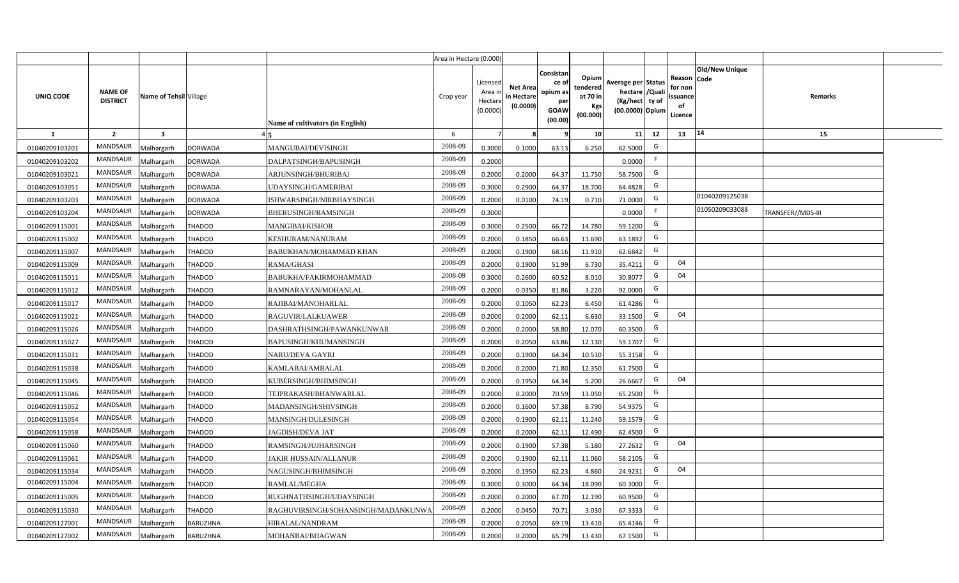|                |                                   |                         |                 |                                     | Area in Hectare (0.000) |                                          |                                           |                                                         |                                                         |                                                                           |    |                                                     |                       |                          |  |
|----------------|-----------------------------------|-------------------------|-----------------|-------------------------------------|-------------------------|------------------------------------------|-------------------------------------------|---------------------------------------------------------|---------------------------------------------------------|---------------------------------------------------------------------------|----|-----------------------------------------------------|-----------------------|--------------------------|--|
| UNIQ CODE      | <b>NAME OF</b><br><b>DISTRICT</b> | Name of Tehsil Village  |                 | Name of cultivators (in English)    | Crop year               | Licensed<br>Area i<br>Hectar<br>(0.0000) | <b>Net Area</b><br>in Hectare<br>(0.0000) | Consistan<br>ce o<br>opium as<br>per<br>GOAW<br>(00.00) | Opium<br>tendered<br>at 70 in<br><b>Kgs</b><br>(00.000) | Average per Status<br>hectare / Qual<br>(Kg/hect ty of<br>(00.0000) Opium |    | Reason Code<br>for nor<br>issuance<br>of<br>Licence | <b>Old/New Unique</b> | Remarks                  |  |
| 1              | $\overline{2}$                    | $\overline{\mathbf{3}}$ |                 |                                     | 6                       |                                          |                                           |                                                         | 10 <sup>1</sup>                                         | 11                                                                        | 12 | 13                                                  | $ 14\rangle$          | 15                       |  |
| 01040209103201 | <b>MANDSAUR</b>                   | Malhargarh              | <b>DORWADA</b>  | MANGUBAI/DEVISINGH                  | 2008-09                 | 0.3000                                   | 0.1000                                    | 63.13                                                   | 6.250                                                   | 62.5000                                                                   | G  |                                                     |                       |                          |  |
| 01040209103202 | <b>MANDSAUR</b>                   | Malhargarh              | <b>DORWADA</b>  | DALPATSINGH/BAPUSINGH               | 2008-09                 | 0.2000                                   |                                           |                                                         |                                                         | 0.0000                                                                    | F. |                                                     |                       |                          |  |
| 01040209103021 | <b>MANDSAUR</b>                   | Malhargarh              | <b>DORWADA</b>  | ARJUNSINGH/BHURIBAI                 | 2008-09                 | 0.2000                                   | 0.2000                                    | 64.37                                                   | 11.750                                                  | 58.7500                                                                   | G  |                                                     |                       |                          |  |
| 01040209103051 | <b>MANDSAUR</b>                   | Malhargarh              | <b>DORWADA</b>  | UDAYSINGH/GAMERIBAI                 | 2008-09                 | 0.3000                                   | 0.2900                                    | 64.37                                                   | 18.700                                                  | 64.4828                                                                   | G  |                                                     |                       |                          |  |
| 01040209103203 | <b>MANDSAUR</b>                   | Malhargarh              | <b>DORWADA</b>  | ISHWARSINGH/NIRBHAYSINGH            | 2008-09                 | 0.2000                                   | 0.0100                                    | 74.19                                                   | 0.710                                                   | 71.0000                                                                   | G  |                                                     | 01040209125038        |                          |  |
| 01040209103204 | <b>MANDSAUR</b>                   | Malhargarh              | <b>DORWADA</b>  | BHERUSINGH/RAMSINGH                 | 2008-09                 | 0.3000                                   |                                           |                                                         |                                                         | 0.0000                                                                    | F. |                                                     | 01050209033088        | <b>TRANSFER//MDS-III</b> |  |
| 01040209115001 | <b>MANDSAUR</b>                   | Malhargarh              | THADOD          | MANGIBAI/KISHOR                     | 2008-09                 | 0.3000                                   | 0.2500                                    | 66.72                                                   | 14.780                                                  | 59.1200                                                                   | G  |                                                     |                       |                          |  |
| 01040209115002 | <b>MANDSAUR</b>                   | Malhargarh              | THADOD          | KESHURAM/NANURAM                    | 2008-09                 | 0.200                                    | 0.1850                                    | 66.63                                                   | 11.690                                                  | 63.1892                                                                   | G  |                                                     |                       |                          |  |
| 01040209115007 | MANDSAUR                          | Malhargarh              | THADOD          | BABUKHAN/MOHAMMAD KHAN              | 2008-09                 | 0.2000                                   | 0.1900                                    | 68.16                                                   | 11.910                                                  | 62.6842                                                                   | G  |                                                     |                       |                          |  |
| 01040209115009 | <b>MANDSAUR</b>                   | Malhargarh              | THADOD          | RAMA/GHASI                          | 2008-09                 | 0.2000                                   | 0.1900                                    | 51.99                                                   | 6.730                                                   | 35.4211                                                                   | G  | 04                                                  |                       |                          |  |
| 01040209115011 | MANDSAUR                          | Malhargarh              | THADOD          | BABUKHA/FAKIRMOHAMMAD               | 2008-09                 | 0.3000                                   | 0.2600                                    | 60.52                                                   | 8.010                                                   | 30.8077                                                                   | G  | 04                                                  |                       |                          |  |
| 01040209115012 | <b>MANDSAUR</b>                   | Malhargarh              | THADOD          | RAMNARAYAN/MOHANLAL                 | 2008-09                 | 0.2000                                   | 0.0350                                    | 81.86                                                   | 3.220                                                   | 92.0000                                                                   | G  |                                                     |                       |                          |  |
| 01040209115017 | MANDSAUR                          | Malhargarh              | THADOD          | RAJIBAI/MANOHARLAL                  | 2008-09                 | 0.2000                                   | 0.1050                                    | 62.23                                                   | 6.450                                                   | 61.4286                                                                   | G  |                                                     |                       |                          |  |
| 01040209115021 | MANDSAUR                          | Malhargarh              | <b>THADOD</b>   | RAGUVIR/LALKUAWER                   | 2008-09                 | 0.2000                                   | 0.2000                                    | 62.11                                                   | 6.630                                                   | 33.1500                                                                   | G  | 04                                                  |                       |                          |  |
| 01040209115026 | <b>MANDSAUR</b>                   | Malhargarh              | THADOD          | DASHRATHSINGH/PAWANKUNWAR           | 2008-09                 | 0.2000                                   | 0.2000                                    | 58.80                                                   | 12.070                                                  | 60.3500                                                                   | G  |                                                     |                       |                          |  |
| 01040209115027 | MANDSAUR                          | Malhargarh              | THADOD          | BAPUSINGH/KHUMANSINGH               | 2008-09                 | 0.2000                                   | 0.2050                                    | 63.86                                                   | 12.130                                                  | 59.1707                                                                   | G  |                                                     |                       |                          |  |
| 01040209115031 | <b>MANDSAUR</b>                   | Malhargarh              | THADOD          | <b>NARU/DEVA GAYRI</b>              | 2008-09                 | 0.2000                                   | 0.1900                                    | 64.34                                                   | 10.510                                                  | 55.3158                                                                   | G  |                                                     |                       |                          |  |
| 01040209115038 | <b>MANDSAUR</b>                   | Malhargarh              | THADOD          | KAMLABAI/AMBALAL                    | 2008-09                 | 0.2000                                   | 0.2000                                    | 71.80                                                   | 12.350                                                  | 61.7500                                                                   | G  |                                                     |                       |                          |  |
| 01040209115045 | <b>MANDSAUR</b>                   | Malhargarh              | THADOD          | KUBERSINGH/BHIMSINGH                | 2008-09                 | 0.2000                                   | 0.1950                                    | 64.34                                                   | 5.200                                                   | 26.6667                                                                   | G  | 04                                                  |                       |                          |  |
| 01040209115046 | <b>MANDSAUR</b>                   | Malhargarh              | THADOD          | TEJPRAKASH/BHANWARLAL               | 2008-09                 | 0.2000                                   | 0.2000                                    | 70.59                                                   | 13.050                                                  | 65.2500                                                                   | G  |                                                     |                       |                          |  |
| 01040209115052 | <b>MANDSAUR</b>                   | Malhargarh              | THADOD          | MADANSINGH/SHIVSINGH                | 2008-09                 | 0.2000                                   | 0.1600                                    | 57.38                                                   | 8.790                                                   | 54.9375                                                                   | G  |                                                     |                       |                          |  |
| 01040209115054 | <b>MANDSAUR</b>                   | Malhargarh              | THADOD          | MANSINGH/DULESINGH                  | 2008-09                 | 0.2000                                   | 0.1900                                    | 62.11                                                   | 11.240                                                  | 59.1579                                                                   | G  |                                                     |                       |                          |  |
| 01040209115058 | <b>MANDSAUR</b>                   | Malhargarh              | THADOD          | JAGDISH/DEVA JAT                    | 2008-09                 | 0.2000                                   | 0.2000                                    | 62.11                                                   | 12.490                                                  | 62.4500                                                                   | G  |                                                     |                       |                          |  |
| 01040209115060 | <b>MANDSAUR</b>                   | Malhargarh              | THADOD          | RAMSINGH/JUJHARSINGH                | 2008-09                 | 0.2000                                   | 0.1900                                    | 57.38                                                   | 5.180                                                   | 27.2632                                                                   | G  | 04                                                  |                       |                          |  |
| 01040209115061 | <b>MANDSAUR</b>                   | Malhargarh              | THADOD          | JAKIR HUSSAIN/ALLANUR               | 2008-09                 | 0.200                                    | 0.1900                                    | 62.11                                                   | 11.060                                                  | 58.2105                                                                   | G  |                                                     |                       |                          |  |
| 01040209115034 | <b>MANDSAUR</b>                   | Malhargarh              | THADOD          | NAGUSINGH/BHIMSINGH                 | 2008-09                 | 0.200                                    | 0.1950                                    | 62.23                                                   | 4.860                                                   | 24.9231                                                                   | G  | 04                                                  |                       |                          |  |
| 01040209115004 | <b>MANDSAUR</b>                   | Malhargarh              | THADOD          | RAMLAL/MEGHA                        | 2008-09                 | 0.300                                    | 0.3000                                    | 64.34                                                   | 18.090                                                  | 60.3000                                                                   | G  |                                                     |                       |                          |  |
| 01040209115005 | <b>MANDSAUR</b>                   | Malhargarh              | THADOD          | RUGHNATHSINGH/UDAYSINGH             | 2008-09                 | 0.2000                                   | 0.2000                                    | 67.70                                                   | 12.190                                                  | 60.9500                                                                   | G  |                                                     |                       |                          |  |
| 01040209115030 | <b>MANDSAUR</b>                   | Malhargarh              | THADOD          | RAGHUVIRSINGH/SOHANSINGH/MADANKUNWA | 2008-09                 | 0.2000                                   | 0.0450                                    | 70.71                                                   | 3.030                                                   | 67.3333                                                                   | G  |                                                     |                       |                          |  |
| 01040209127001 | <b>MANDSAUR</b>                   | Malhargarh              | <b>BARUZHNA</b> | HIRALAL/NANDRAM                     | 2008-09                 | 0.2000                                   | 0.2050                                    | 69.19                                                   | 13.410                                                  | 65.4146                                                                   | G  |                                                     |                       |                          |  |
| 01040209127002 | <b>MANDSAUR</b>                   | Malhargarh              | <b>BARUZHNA</b> | MOHANBAI/BHAGWAN                    | 2008-09                 | 0.2000                                   | 0.2000                                    | 65.79                                                   | 13.430                                                  | 67.1500                                                                   | G  |                                                     |                       |                          |  |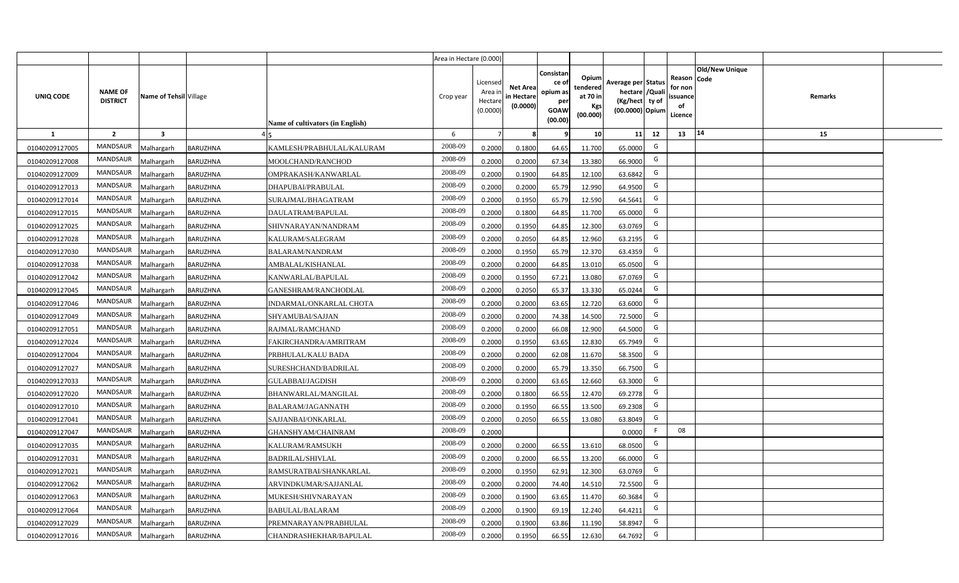|                |                                   |                         |                 |                                  | Area in Hectare (0.000) |                                          |                                           |                                                         |                                                         |                                                                           |    |                                                     |                       |         |  |
|----------------|-----------------------------------|-------------------------|-----------------|----------------------------------|-------------------------|------------------------------------------|-------------------------------------------|---------------------------------------------------------|---------------------------------------------------------|---------------------------------------------------------------------------|----|-----------------------------------------------------|-----------------------|---------|--|
| UNIQ CODE      | <b>NAME OF</b><br><b>DISTRICT</b> | Name of Tehsil Village  |                 | Name of cultivators (in English) | Crop year               | Licensed<br>Area i<br>Hectar<br>(0.0000) | <b>Net Area</b><br>in Hectare<br>(0.0000) | Consistan<br>ce o<br>opium as<br>per<br>GOAW<br>(00.00) | Opium<br>tendered<br>at 70 in<br><b>Kgs</b><br>(00.000) | Average per Status<br>hectare / Qual<br>(Kg/hect ty of<br>(00.0000) Opium |    | Reason Code<br>for nor<br>issuance<br>of<br>Licence | <b>Old/New Unique</b> | Remarks |  |
| $\mathbf{1}$   | $\overline{2}$                    | $\overline{\mathbf{3}}$ |                 |                                  | 6                       |                                          |                                           |                                                         | 10 <sup>1</sup>                                         | 11                                                                        | 12 | 13                                                  | $ 14\rangle$          | 15      |  |
| 01040209127005 | <b>MANDSAUR</b>                   | Malhargarh              | BARUZHNA        | KAMLESH/PRABHULAL/KALURAM        | 2008-09                 | 0.2000                                   | 0.1800                                    | 64.65                                                   | 11.700                                                  | 65.0000                                                                   | G  |                                                     |                       |         |  |
| 01040209127008 | <b>MANDSAUR</b>                   | Malhargarh              | BARUZHNA        | MOOLCHAND/RANCHOD                | 2008-09                 | 0.2000                                   | 0.2000                                    | 67.34                                                   | 13.380                                                  | 66.9000                                                                   | G  |                                                     |                       |         |  |
| 01040209127009 | <b>MANDSAUR</b>                   | Malhargarh              | BARUZHNA        | OMPRAKASH/KANWARLAL              | 2008-09                 | 0.2000                                   | 0.1900                                    | 64.85                                                   | 12.100                                                  | 63.6842                                                                   | G  |                                                     |                       |         |  |
| 01040209127013 | <b>MANDSAUR</b>                   | Malhargarh              | BARUZHNA        | DHAPUBAI/PRABULAL                | 2008-09                 | 0.2000                                   | 0.2000                                    | 65.79                                                   | 12.990                                                  | 64.9500                                                                   | G  |                                                     |                       |         |  |
| 01040209127014 | <b>MANDSAUR</b>                   | Malhargarh              | BARUZHNA        | SURAJMAL/BHAGATRAM               | 2008-09                 | 0.2000                                   | 0.1950                                    | 65.79                                                   | 12.590                                                  | 64.5641                                                                   | G  |                                                     |                       |         |  |
| 01040209127015 | <b>MANDSAUR</b>                   | Malhargarh              | BARUZHNA        | DAULATRAM/BAPULAL                | 2008-09                 | 0.200                                    | 0.1800                                    | 64.85                                                   | 11.700                                                  | 65.0000                                                                   | G  |                                                     |                       |         |  |
| 01040209127025 | <b>MANDSAUR</b>                   | Malhargarh              | BARUZHNA        | SHIVNARAYAN/NANDRAM              | 2008-09                 | 0.200                                    | 0.1950                                    | 64.85                                                   | 12.300                                                  | 63.0769                                                                   | G  |                                                     |                       |         |  |
| 01040209127028 | <b>MANDSAUR</b>                   | Malhargarh              | BARUZHNA        | KALURAM/SALEGRAM                 | 2008-09                 | 0.200                                    | 0.2050                                    | 64.85                                                   | 12.960                                                  | 63.2195                                                                   | G  |                                                     |                       |         |  |
| 01040209127030 | MANDSAUR                          | Malhargarh              | BARUZHNA        | <b>BALARAM/NANDRAM</b>           | 2008-09                 | 0.2000                                   | 0.1950                                    | 65.79                                                   | 12.370                                                  | 63.4359                                                                   | G  |                                                     |                       |         |  |
| 01040209127038 | <b>MANDSAUR</b>                   | Malhargarh              | <b>BARUZHNA</b> | AMBALAL/KISHANLAL                | 2008-09                 | 0.2000                                   | 0.2000                                    | 64.85                                                   | 13.010                                                  | 65.0500                                                                   | G  |                                                     |                       |         |  |
| 01040209127042 | MANDSAUR                          | Malhargarh              | <b>BARUZHNA</b> | KANWARLAL/BAPULAL                | 2008-09                 | 0.2000                                   | 0.1950                                    | 67.21                                                   | 13.080                                                  | 67.0769                                                                   | G  |                                                     |                       |         |  |
| 01040209127045 | <b>MANDSAUR</b>                   | Malhargarh              | <b>BARUZHNA</b> | GANESHRAM/RANCHODLAL             | 2008-09                 | 0.2000                                   | 0.2050                                    | 65.37                                                   | 13.330                                                  | 65.0244                                                                   | G  |                                                     |                       |         |  |
| 01040209127046 | MANDSAUR                          | Malhargarh              | <b>BARUZHNA</b> | INDARMAL/ONKARLAL CHOTA          | 2008-09                 | 0.2000                                   | 0.2000                                    | 63.65                                                   | 12.720                                                  | 63.6000                                                                   | G  |                                                     |                       |         |  |
| 01040209127049 | MANDSAUR                          | Malhargarh              | <b>BARUZHNA</b> | SHYAMUBAI/SAJJAN                 | 2008-09                 | 0.2000                                   | 0.2000                                    | 74.38                                                   | 14.500                                                  | 72.5000                                                                   | G  |                                                     |                       |         |  |
| 01040209127051 | <b>MANDSAUR</b>                   | Malhargarh              | <b>BARUZHNA</b> | RAJMAL/RAMCHAND                  | 2008-09                 | 0.2000                                   | 0.2000                                    | 66.08                                                   | 12.900                                                  | 64.5000                                                                   | G  |                                                     |                       |         |  |
| 01040209127024 | MANDSAUR                          | Malhargarh              | <b>BARUZHNA</b> | FAKIRCHANDRA/AMRITRAM            | 2008-09                 | 0.2000                                   | 0.1950                                    | 63.65                                                   | 12.830                                                  | 65.7949                                                                   | G  |                                                     |                       |         |  |
| 01040209127004 | <b>MANDSAUR</b>                   | Malhargarh              | BARUZHNA        | PRBHULAL/KALU BADA               | 2008-09                 | 0.2000                                   | 0.2000                                    | 62.08                                                   | 11.670                                                  | 58.3500                                                                   | G  |                                                     |                       |         |  |
| 01040209127027 | <b>MANDSAUR</b>                   | Malhargarh              | BARUZHNA        | SURESHCHAND/BADRILAL             | 2008-09                 | 0.2000                                   | 0.2000                                    | 65.79                                                   | 13.350                                                  | 66.7500                                                                   | G  |                                                     |                       |         |  |
| 01040209127033 | MANDSAUR                          | Malhargarh              | <b>BARUZHNA</b> | GULABBAI/JAGDISH                 | 2008-09                 | 0.2000                                   | 0.2000                                    | 63.65                                                   | 12.660                                                  | 63.3000                                                                   | G  |                                                     |                       |         |  |
| 01040209127020 | <b>MANDSAUR</b>                   | Malhargarh              | BARUZHNA        | BHANWARLAL/MANGILAL              | 2008-09                 | 0.2000                                   | 0.1800                                    | 66.55                                                   | 12.470                                                  | 69.2778                                                                   | G  |                                                     |                       |         |  |
| 01040209127010 | <b>MANDSAUR</b>                   | Malhargarh              | BARUZHNA        | <b>BALARAM/JAGANNATH</b>         | 2008-09                 | 0.2000                                   | 0.1950                                    | 66.55                                                   | 13.500                                                  | 69.2308                                                                   | G  |                                                     |                       |         |  |
| 01040209127041 | <b>MANDSAUR</b>                   | Malhargarh              | BARUZHNA        | SAJJANBAI/ONKARLAL               | 2008-09                 | 0.2000                                   | 0.2050                                    | 66.55                                                   | 13.080                                                  | 63.8049                                                                   | G  |                                                     |                       |         |  |
| 01040209127047 | <b>MANDSAUR</b>                   | Malhargarh              | BARUZHNA        | GHANSHYAM/CHAINRAM               | 2008-09                 | 0.2000                                   |                                           |                                                         |                                                         | 0.0000                                                                    |    | 08                                                  |                       |         |  |
| 01040209127035 | <b>MANDSAUR</b>                   | Malhargarh              | <b>BARUZHNA</b> | KALURAM/RAMSUKH                  | 2008-09                 | 0.2000                                   | 0.2000                                    | 66.55                                                   | 13.610                                                  | 68.0500                                                                   | G  |                                                     |                       |         |  |
| 01040209127031 | <b>MANDSAUR</b>                   | Malhargarh              | BARUZHNA        | <b>BADRILAL/SHIVLAL</b>          | 2008-09                 | 0.200                                    | 0.2000                                    | 66.55                                                   | 13.200                                                  | 66.0000                                                                   | G  |                                                     |                       |         |  |
| 01040209127021 | <b>MANDSAUR</b>                   | Malhargarh              | BARUZHNA        | RAMSURATBAI/SHANKARLAL           | 2008-09                 | 0.200                                    | 0.1950                                    | 62.91                                                   | 12.300                                                  | 63.0769                                                                   | G  |                                                     |                       |         |  |
| 01040209127062 | <b>MANDSAUR</b>                   | Malhargarh              | BARUZHNA        | ARVINDKUMAR/SAJJANLAL            | 2008-09                 | 0.200                                    | 0.2000                                    | 74.40                                                   | 14.510                                                  | 72.5500                                                                   | G  |                                                     |                       |         |  |
| 01040209127063 | <b>MANDSAUR</b>                   | Malhargarh              | BARUZHNA        | MUKESH/SHIVNARAYAN               | 2008-09                 | 0.2000                                   | 0.1900                                    | 63.65                                                   | 11.470                                                  | 60.3684                                                                   | G  |                                                     |                       |         |  |
| 01040209127064 | <b>MANDSAUR</b>                   | Malhargarh              | <b>BARUZHNA</b> | BABULAL/BALARAM                  | 2008-09                 | 0.2000                                   | 0.1900                                    | 69.19                                                   | 12.240                                                  | 64.4211                                                                   | G  |                                                     |                       |         |  |
| 01040209127029 | <b>MANDSAUR</b>                   | Malhargarh              | BARUZHNA        | PREMNARAYAN/PRABHULAL            | 2008-09                 | 0.2000                                   | 0.1900                                    | 63.86                                                   | 11.190                                                  | 58.8947                                                                   | G  |                                                     |                       |         |  |
| 01040209127016 | <b>MANDSAUR</b>                   | Malhargarh              | BARUZHNA        | CHANDRASHEKHAR/BAPULAL           | 2008-09                 | 0.2000                                   | 0.1950                                    | 66.55                                                   | 12.630                                                  | 64.7692                                                                   | G  |                                                     |                       |         |  |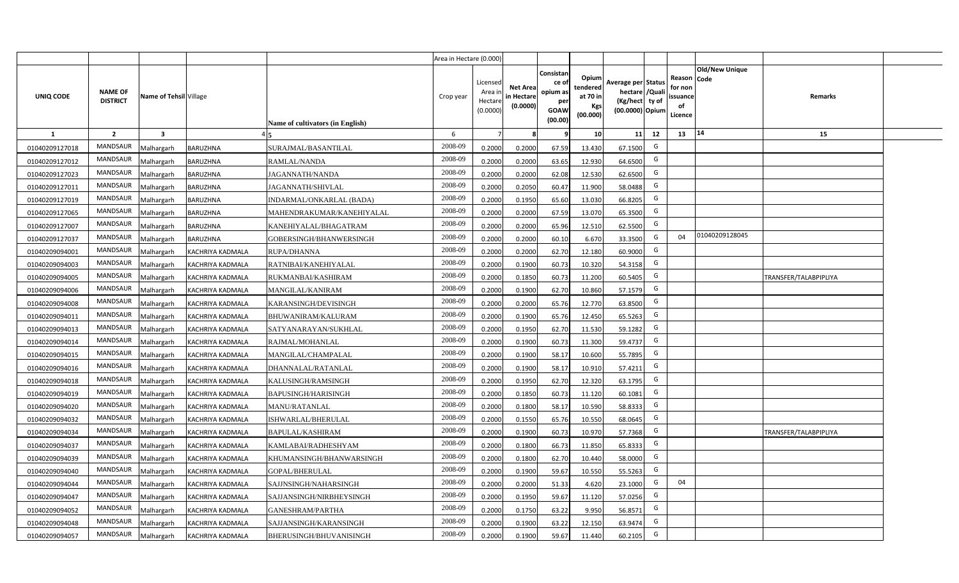|                |                                   |                        |                  |                                  | Area in Hectare (0.000) |                                          |                                           |                                                                |                                                         |                                                                           |    |                                                     |                       |                              |  |
|----------------|-----------------------------------|------------------------|------------------|----------------------------------|-------------------------|------------------------------------------|-------------------------------------------|----------------------------------------------------------------|---------------------------------------------------------|---------------------------------------------------------------------------|----|-----------------------------------------------------|-----------------------|------------------------------|--|
| UNIQ CODE      | <b>NAME OF</b><br><b>DISTRICT</b> | Name of Tehsil Village |                  | Name of cultivators (in English) | Crop year               | Licensed<br>Area i<br>Hectar<br>(0.0000) | <b>Net Area</b><br>in Hectare<br>(0.0000) | Consistan<br>ce o<br>opium as<br>per<br><b>GOAW</b><br>(00.00) | Opium<br>tendered<br>at 70 in<br><b>Kgs</b><br>(00.000) | Average per Status<br>hectare / Qual<br>(Kg/hect ty of<br>(00.0000) Opium |    | Reason Code<br>for nor<br>issuance<br>of<br>Licence | <b>Old/New Unique</b> | Remarks                      |  |
| 1              | $\overline{2}$                    | 3                      |                  |                                  | 6                       |                                          |                                           |                                                                | 10 <sup>1</sup>                                         | 11                                                                        | 12 | 13                                                  | $ 14\rangle$          | 15                           |  |
| 01040209127018 | <b>MANDSAUR</b>                   | Malhargarh             | BARUZHNA         | SURAJMAL/BASANTILAL              | 2008-09                 | 0.2000                                   | 0.2000                                    | 67.59                                                          | 13.430                                                  | 67.1500                                                                   | G  |                                                     |                       |                              |  |
| 01040209127012 | <b>MANDSAUR</b>                   | Malhargarh             | BARUZHNA         | RAMLAL/NANDA                     | 2008-09                 | 0.2000                                   | 0.2000                                    | 63.65                                                          | 12.930                                                  | 64.6500                                                                   | G  |                                                     |                       |                              |  |
| 01040209127023 | MANDSAUR                          | Malhargarh             | BARUZHNA         | JAGANNATH/NANDA                  | 2008-09                 | 0.2000                                   | 0.2000                                    | 62.08                                                          | 12.530                                                  | 62.6500                                                                   | G  |                                                     |                       |                              |  |
| 01040209127011 | <b>MANDSAUR</b>                   | Malhargarh             | BARUZHNA         | JAGANNATH/SHIVLAL                | 2008-09                 | 0.2000                                   | 0.2050                                    | 60.47                                                          | 11.900                                                  | 58.0488                                                                   | G  |                                                     |                       |                              |  |
| 01040209127019 | <b>MANDSAUR</b>                   | Malhargarh             | BARUZHNA         | INDARMAL/ONKARLAL (BADA)         | 2008-09                 | 0.200                                    | 0.1950                                    | 65.60                                                          | 13.030                                                  | 66.8205                                                                   | G  |                                                     |                       |                              |  |
| 01040209127065 | <b>MANDSAUR</b>                   | Malhargarh             | BARUZHNA         | MAHENDRAKUMAR/KANEHIYALAL        | 2008-09                 | 0.200                                    | 0.2000                                    | 67.59                                                          | 13.070                                                  | 65.3500                                                                   | G  |                                                     |                       |                              |  |
| 01040209127007 | <b>MANDSAUR</b>                   | Malhargarh             | BARUZHNA         | KANEHIYALAL/BHAGATRAM            | 2008-09                 | 0.200                                    | 0.2000                                    | 65.96                                                          | 12.510                                                  | 62.5500                                                                   | G  |                                                     |                       |                              |  |
| 01040209127037 | <b>MANDSAUR</b>                   | Malhargarh             | BARUZHNA         | GOBERSINGH/BHANWERSINGH          | 2008-09                 | 0.200                                    | 0.2000                                    | 60.10                                                          | 6.670                                                   | 33.3500                                                                   | G  | 04                                                  | 01040209128045        |                              |  |
| 01040209094001 | MANDSAUR                          | Malhargarh             | KACHRIYA KADMALA | RUPA/DHANNA                      | 2008-09                 | 0.2000                                   | 0.2000                                    | 62.70                                                          | 12.180                                                  | 60.9000                                                                   | G  |                                                     |                       |                              |  |
| 01040209094003 | <b>MANDSAUR</b>                   | Malhargarh             | KACHRIYA KADMALA | RATNIBAI/KANEHIYALAL             | 2008-09                 | 0.2000                                   | 0.1900                                    | 60.73                                                          | 10.320                                                  | 54.3158                                                                   | G  |                                                     |                       |                              |  |
| 01040209094005 | MANDSAUR                          | Malhargarh             | KACHRIYA KADMALA | RUKMANBAI/KASHIRAM               | 2008-09                 | 0.2000                                   | 0.1850                                    | 60.73                                                          | 11.200                                                  | 60.5405                                                                   | G  |                                                     |                       | <b>TRANSFER/TALABPIPLIYA</b> |  |
| 01040209094006 | <b>MANDSAUR</b>                   | Malhargarh             | KACHRIYA KADMALA | MANGILAL/KANIRAM                 | 2008-09                 | 0.2000                                   | 0.1900                                    | 62.70                                                          | 10.860                                                  | 57.1579                                                                   | G  |                                                     |                       |                              |  |
| 01040209094008 | <b>MANDSAUR</b>                   | Malhargarh             | KACHRIYA KADMALA | KARANSINGH/DEVISINGH             | 2008-09                 | 0.2000                                   | 0.2000                                    | 65.76                                                          | 12.770                                                  | 63.8500                                                                   | G  |                                                     |                       |                              |  |
| 01040209094011 | <b>MANDSAUR</b>                   | Malhargarh             | KACHRIYA KADMALA | BHUWANIRAM/KALURAM               | 2008-09                 | 0.2000                                   | 0.1900                                    | 65.76                                                          | 12.450                                                  | 65.5263                                                                   | G  |                                                     |                       |                              |  |
| 01040209094013 | <b>MANDSAUR</b>                   | Malhargarh             | KACHRIYA KADMALA | SATYANARAYAN/SUKHLAL             | 2008-09                 | 0.2000                                   | 0.1950                                    | 62.70                                                          | 11.530                                                  | 59.1282                                                                   | G  |                                                     |                       |                              |  |
| 01040209094014 | MANDSAUR                          | Malhargarh             | KACHRIYA KADMALA | RAJMAL/MOHANLAL                  | 2008-09                 | 0.2000                                   | 0.1900                                    | 60.73                                                          | 11.300                                                  | 59.4737                                                                   | G  |                                                     |                       |                              |  |
| 01040209094015 | <b>MANDSAUR</b>                   | Malhargarh             | KACHRIYA KADMALA | MANGILAL/CHAMPALAL               | 2008-09                 | 0.2000                                   | 0.1900                                    | 58.17                                                          | 10.600                                                  | 55.7895                                                                   | G  |                                                     |                       |                              |  |
| 01040209094016 | <b>MANDSAUR</b>                   | Malhargarh             | KACHRIYA KADMALA | DHANNALAL/RATANLAL               | 2008-09                 | 0.2000                                   | 0.1900                                    | 58.17                                                          | 10.910                                                  | 57.4211                                                                   | G  |                                                     |                       |                              |  |
| 01040209094018 | <b>MANDSAUR</b>                   | Malhargarh             | KACHRIYA KADMALA | KALUSINGH/RAMSINGH               | 2008-09                 | 0.2000                                   | 0.1950                                    | 62.70                                                          | 12.320                                                  | 63.1795                                                                   | G  |                                                     |                       |                              |  |
| 01040209094019 | <b>MANDSAUR</b>                   | Malhargarh             | KACHRIYA KADMALA | <b>BAPUSINGH/HARISINGH</b>       | 2008-09                 | 0.2000                                   | 0.1850                                    | 60.73                                                          | 11.120                                                  | 60.1081                                                                   | G  |                                                     |                       |                              |  |
| 01040209094020 | <b>MANDSAUR</b>                   | Malhargarh             | KACHRIYA KADMALA | MANU/RATANLAL                    | 2008-09                 | 0.2000                                   | 0.1800                                    | 58.17                                                          | 10.590                                                  | 58.8333                                                                   | G  |                                                     |                       |                              |  |
| 01040209094032 | <b>MANDSAUR</b>                   | Malhargarh             | KACHRIYA KADMALA | ISHWARLAL/BHERULAL               | 2008-09                 | 0.2000                                   | 0.1550                                    | 65.76                                                          | 10.550                                                  | 68.0645                                                                   | G  |                                                     |                       |                              |  |
| 01040209094034 | <b>MANDSAUR</b>                   | Malhargarh             | KACHRIYA KADMALA | <b>BAPULAL/KASHIRAM</b>          | 2008-09                 | 0.2000                                   | 0.1900                                    | 60.73                                                          | 10.970                                                  | 57.7368                                                                   | G  |                                                     |                       | TRANSFER/TALABPIPLIYA        |  |
| 01040209094037 | <b>MANDSAUR</b>                   | Malhargarh             | KACHRIYA KADMALA | KAMLABAI/RADHESHYAM              | 2008-09                 | 0.200                                    | 0.1800                                    | 66.73                                                          | 11.850                                                  | 65.8333                                                                   | G  |                                                     |                       |                              |  |
| 01040209094039 | <b>MANDSAUR</b>                   | Malhargarh             | KACHRIYA KADMALA | KHUMANSINGH/BHANWARSINGH         | 2008-09                 | 0.200                                    | 0.1800                                    | 62.70                                                          | 10.440                                                  | 58.0000                                                                   | G  |                                                     |                       |                              |  |
| 01040209094040 | <b>MANDSAUR</b>                   | Malhargarh             | KACHRIYA KADMALA | GOPAL/BHERULAL                   | 2008-09                 | 0.200                                    | 0.1900                                    | 59.67                                                          | 10.550                                                  | 55.5263                                                                   | G  |                                                     |                       |                              |  |
| 01040209094044 | <b>MANDSAUR</b>                   | Malhargarh             | KACHRIYA KADMALA | SAJJNSINGH/NAHARSINGH            | 2008-09                 | 0.200                                    | 0.2000                                    | 51.33                                                          | 4.620                                                   | 23.1000                                                                   | G  | 04                                                  |                       |                              |  |
| 01040209094047 | <b>MANDSAUR</b>                   | Malhargarh             | KACHRIYA KADMALA | SAJJANSINGH/NIRBHEYSINGH         | 2008-09                 | 0.2000                                   | 0.1950                                    | 59.67                                                          | 11.120                                                  | 57.0256                                                                   | G  |                                                     |                       |                              |  |
| 01040209094052 | <b>MANDSAUR</b>                   | Malhargarh             | KACHRIYA KADMALA | GANESHRAM/PARTHA                 | 2008-09                 | 0.2000                                   | 0.1750                                    | 63.22                                                          | 9.950                                                   | 56.8571                                                                   | G  |                                                     |                       |                              |  |
| 01040209094048 | <b>MANDSAUR</b>                   | Malhargarh             | KACHRIYA KADMALA | SAJJANSINGH/KARANSINGH           | 2008-09                 | 0.2000                                   | 0.1900                                    | 63.22                                                          | 12.150                                                  | 63.9474                                                                   | G  |                                                     |                       |                              |  |
| 01040209094057 | <b>MANDSAUR</b>                   | Malhargarh             | KACHRIYA KADMALA | BHERUSINGH/BHUVANISINGH          | 2008-09                 | 0.2000                                   | 0.1900                                    | 59.67                                                          | 11.440                                                  | 60.2105                                                                   | G  |                                                     |                       |                              |  |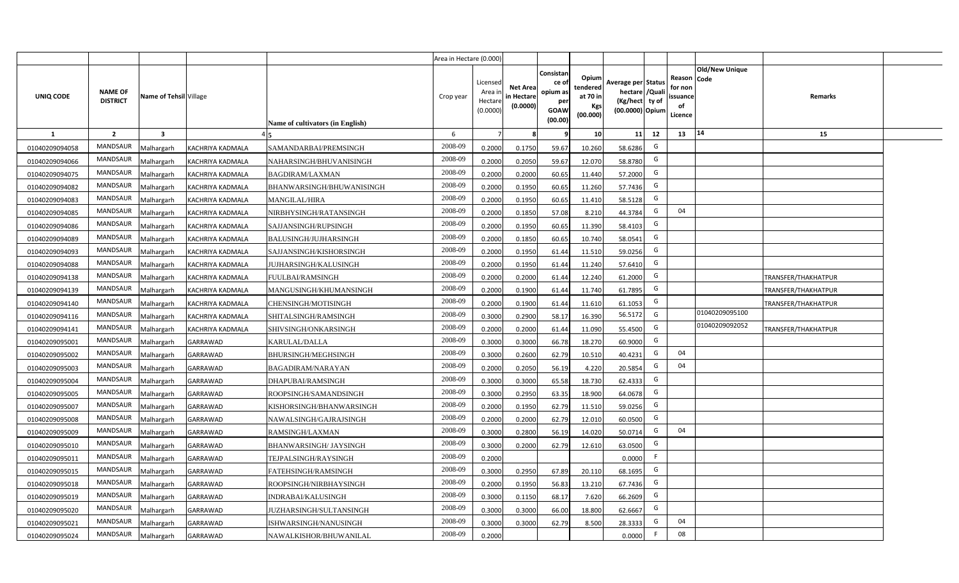|                |                                   |                         |                  |                                  | Area in Hectare (0.000) |                                          |                                           |                                                         |                                                         |                                                                           |    |                                                     |                       |                            |  |
|----------------|-----------------------------------|-------------------------|------------------|----------------------------------|-------------------------|------------------------------------------|-------------------------------------------|---------------------------------------------------------|---------------------------------------------------------|---------------------------------------------------------------------------|----|-----------------------------------------------------|-----------------------|----------------------------|--|
| UNIQ CODE      | <b>NAME OF</b><br><b>DISTRICT</b> | Name of Tehsil Village  |                  | Name of cultivators (in English) | Crop year               | Licensed<br>Area i<br>Hectar<br>(0.0000) | <b>Net Area</b><br>in Hectare<br>(0.0000) | Consistan<br>ce o<br>opium as<br>per<br>GOAW<br>(00.00) | Opium<br>tendered<br>at 70 in<br><b>Kgs</b><br>(00.000) | Average per Status<br>hectare / Qual<br>(Kg/hect ty of<br>(00.0000) Opium |    | Reason Code<br>for nor<br>issuance<br>of<br>Licence | <b>Old/New Unique</b> | Remarks                    |  |
| 1              | $\overline{2}$                    | $\overline{\mathbf{3}}$ |                  |                                  | 6                       |                                          |                                           |                                                         | 10 <sup>1</sup>                                         | 11                                                                        | 12 | 13                                                  | $ 14\rangle$          | 15                         |  |
| 01040209094058 | <b>MANDSAUR</b>                   | Malhargarh              | KACHRIYA KADMALA | SAMANDARBAI/PREMSINGH            | 2008-09                 | 0.2000                                   | 0.1750                                    | 59.67                                                   | 10.260                                                  | 58.6286                                                                   | G  |                                                     |                       |                            |  |
| 01040209094066 | <b>MANDSAUR</b>                   | Malhargarh              | KACHRIYA KADMALA | NAHARSINGH/BHUVANISINGH          | 2008-09                 | 0.2000                                   | 0.2050                                    | 59.67                                                   | 12.070                                                  | 58.8780                                                                   | G  |                                                     |                       |                            |  |
| 01040209094075 | <b>MANDSAUR</b>                   | Malhargarh              | KACHRIYA KADMALA | BAGDIRAM/LAXMAN                  | 2008-09                 | 0.2000                                   | 0.2000                                    | 60.65                                                   | 11.440                                                  | 57.2000                                                                   | G  |                                                     |                       |                            |  |
| 01040209094082 | <b>MANDSAUR</b>                   | Malhargarh              | KACHRIYA KADMALA | BHANWARSINGH/BHUWANISINGH        | 2008-09                 | 0.2000                                   | 0.1950                                    | 60.65                                                   | 11.260                                                  | 57.7436                                                                   | G  |                                                     |                       |                            |  |
| 01040209094083 | <b>MANDSAUR</b>                   | Malhargarh              | KACHRIYA KADMALA | <b>MANGILAL/HIRA</b>             | 2008-09                 | 0.200                                    | 0.1950                                    | 60.65                                                   | 11.410                                                  | 58.5128                                                                   | G  |                                                     |                       |                            |  |
| 01040209094085 | <b>MANDSAUR</b>                   | Malhargarh              | KACHRIYA KADMALA | NIRBHYSINGH/RATANSINGH           | 2008-09                 | 0.200                                    | 0.1850                                    | 57.08                                                   | 8.210                                                   | 44.3784                                                                   | G  | 04                                                  |                       |                            |  |
| 01040209094086 | <b>MANDSAUR</b>                   | Malhargarh              | KACHRIYA KADMALA | SAJJANSINGH/RUPSINGH             | 2008-09                 | 0.200                                    | 0.1950                                    | 60.65                                                   | 11.390                                                  | 58.4103                                                                   | G  |                                                     |                       |                            |  |
| 01040209094089 | <b>MANDSAUR</b>                   | Malhargarh              | KACHRIYA KADMALA | BALUSINGH/JUJHARSINGH            | 2008-09                 | 0.200                                    | 0.1850                                    | 60.65                                                   | 10.740                                                  | 58.0541                                                                   | G  |                                                     |                       |                            |  |
| 01040209094093 | MANDSAUR                          | Malhargarh              | KACHRIYA KADMALA | SAJJANSINGH/KISHORSINGH          | 2008-09                 | 0.2000                                   | 0.1950                                    | 61.44                                                   | 11.510                                                  | 59.0256                                                                   | G  |                                                     |                       |                            |  |
| 01040209094088 | <b>MANDSAUR</b>                   | Malhargarh              | KACHRIYA KADMALA | JUJHARSINGH/KALUSINGH            | 2008-09                 | 0.2000                                   | 0.1950                                    | 61.44                                                   | 11.240                                                  | 57.6410                                                                   | G  |                                                     |                       |                            |  |
| 01040209094138 | MANDSAUR                          | Malhargarh              | KACHRIYA KADMALA | FUULBAI/RAMSINGH                 | 2008-09                 | 0.2000                                   | 0.2000                                    | 61.44                                                   | 12.240                                                  | 61.2000                                                                   | G  |                                                     |                       | TRANSFER/THAKHATPUR        |  |
| 01040209094139 | <b>MANDSAUR</b>                   | Malhargarh              | KACHRIYA KADMALA | MANGUSINGH/KHUMANSINGH           | 2008-09                 | 0.2000                                   | 0.1900                                    | 61.44                                                   | 11.740                                                  | 61.7895                                                                   | G  |                                                     |                       | <b>TRANSFER/THAKHATPUR</b> |  |
| 01040209094140 | MANDSAUR                          | Malhargarh              | KACHRIYA KADMALA | CHENSINGH/MOTISINGH              | 2008-09                 | 0.2000                                   | 0.1900                                    | 61.44                                                   | 11.610                                                  | 61.1053                                                                   | G  |                                                     |                       | TRANSFER/THAKHATPUR        |  |
| 01040209094116 | <b>MANDSAUR</b>                   | Malhargarh              | KACHRIYA KADMALA | SHITALSINGH/RAMSINGH             | 2008-09                 | 0.3000                                   | 0.2900                                    | 58.17                                                   | 16.390                                                  | 56.5172                                                                   | G  |                                                     | 01040209095100        |                            |  |
| 01040209094141 | <b>MANDSAUR</b>                   | Malhargarh              | KACHRIYA KADMALA | SHIVSINGH/ONKARSINGH             | 2008-09                 | 0.2000                                   | 0.2000                                    | 61.44                                                   | 11.090                                                  | 55.4500                                                                   | G  |                                                     | 01040209092052        | TRANSFER/THAKHATPUR        |  |
| 01040209095001 | MANDSAUR                          | Malhargarh              | GARRAWAD         | KARULAL/DALLA                    | 2008-09                 | 0.3000                                   | 0.3000                                    | 66.78                                                   | 18.270                                                  | 60.9000                                                                   | G  |                                                     |                       |                            |  |
| 01040209095002 | <b>MANDSAUR</b>                   | Malhargarh              | GARRAWAD         | <b>BHURSINGH/MEGHSINGH</b>       | 2008-09                 | 0.3000                                   | 0.2600                                    | 62.79                                                   | 10.510                                                  | 40.4231                                                                   | G  | 04                                                  |                       |                            |  |
| 01040209095003 | <b>MANDSAUR</b>                   | Malhargarh              | GARRAWAD         | <b>BAGADIRAM/NARAYAN</b>         | 2008-09                 | 0.200                                    | 0.2050                                    | 56.19                                                   | 4.220                                                   | 20.5854                                                                   | G  | 04                                                  |                       |                            |  |
| 01040209095004 | <b>MANDSAUR</b>                   | Malhargarh              | GARRAWAD         | DHAPUBAI/RAMSINGH                | 2008-09                 | 0.3000                                   | 0.3000                                    | 65.58                                                   | 18.730                                                  | 62.4333                                                                   | G  |                                                     |                       |                            |  |
| 01040209095005 | <b>MANDSAUR</b>                   | Malhargarh              | GARRAWAD         | ROOPSINGH/SAMANDSINGH            | 2008-09                 | 0.3000                                   | 0.2950                                    | 63.35                                                   | 18.900                                                  | 64.0678                                                                   | G  |                                                     |                       |                            |  |
| 01040209095007 | <b>MANDSAUR</b>                   | Malhargarh              | GARRAWAD         | KISHORSINGH/BHANWARSINGH         | 2008-09                 | 0.2000                                   | 0.1950                                    | 62.79                                                   | 11.510                                                  | 59.0256                                                                   | G  |                                                     |                       |                            |  |
| 01040209095008 | <b>MANDSAUR</b>                   | Malhargarh              | GARRAWAD         | NAWALSINGH/GAJRAJSINGH           | 2008-09                 | 0.2000                                   | 0.2000                                    | 62.79                                                   | 12.010                                                  | 60.0500                                                                   | G  |                                                     |                       |                            |  |
| 01040209095009 | <b>MANDSAUR</b>                   | Malhargarh              | GARRAWAD         | RAMSINGH/LAXMAN                  | 2008-09                 | 0.3000                                   | 0.2800                                    | 56.19                                                   | 14.020                                                  | 50.0714                                                                   | G  | 04                                                  |                       |                            |  |
| 01040209095010 | <b>MANDSAUR</b>                   | Malhargarh              | GARRAWAD         | <b>BHANWARSINGH/ JAYSINGH</b>    | 2008-09                 | 0.300                                    | 0.2000                                    | 62.79                                                   | 12.610                                                  | 63.0500                                                                   | G  |                                                     |                       |                            |  |
| 01040209095011 | <b>MANDSAUR</b>                   | Malhargarh              | GARRAWAD         | TEJPALSINGH/RAYSINGH             | 2008-09                 | 0.2000                                   |                                           |                                                         |                                                         | 0.0000                                                                    |    |                                                     |                       |                            |  |
| 01040209095015 | <b>MANDSAUR</b>                   | Malhargarh              | GARRAWAD         | FATEHSINGH/RAMSINGH              | 2008-09                 | 0.300                                    | 0.2950                                    | 67.89                                                   | 20.110                                                  | 68.1695                                                                   | G  |                                                     |                       |                            |  |
| 01040209095018 | <b>MANDSAUR</b>                   | Malhargarh              | GARRAWAD         | ROOPSINGH/NIRBHAYSINGH           | 2008-09                 | 0.200                                    | 0.1950                                    | 56.83                                                   | 13.210                                                  | 67.7436                                                                   | G  |                                                     |                       |                            |  |
| 01040209095019 | <b>MANDSAUR</b>                   | Malhargarh              | GARRAWAD         | INDRABAI/KALUSINGH               | 2008-09                 | 0.3000                                   | 0.1150                                    | 68.17                                                   | 7.620                                                   | 66.2609                                                                   | G  |                                                     |                       |                            |  |
| 01040209095020 | <b>MANDSAUR</b>                   | Malhargarh              | GARRAWAD         | JUZHARSINGH/SULTANSINGH          | 2008-09                 | 0.3000                                   | 0.3000                                    | 66.00                                                   | 18.800                                                  | 62.6667                                                                   | G  |                                                     |                       |                            |  |
| 01040209095021 | <b>MANDSAUR</b>                   | Malhargarh              | GARRAWAD         | ISHWARSINGH/NANUSINGH            | 2008-09                 | 0.3000                                   | 0.3000                                    | 62.79                                                   | 8.500                                                   | 28.3333                                                                   | G  | 04                                                  |                       |                            |  |
| 01040209095024 | <b>MANDSAUR</b>                   | Malhargarh              | GARRAWAD         | NAWALKISHOR/BHUWANILAL           | 2008-09                 | 0.2000                                   |                                           |                                                         |                                                         | 0.0000                                                                    | F  | 08                                                  |                       |                            |  |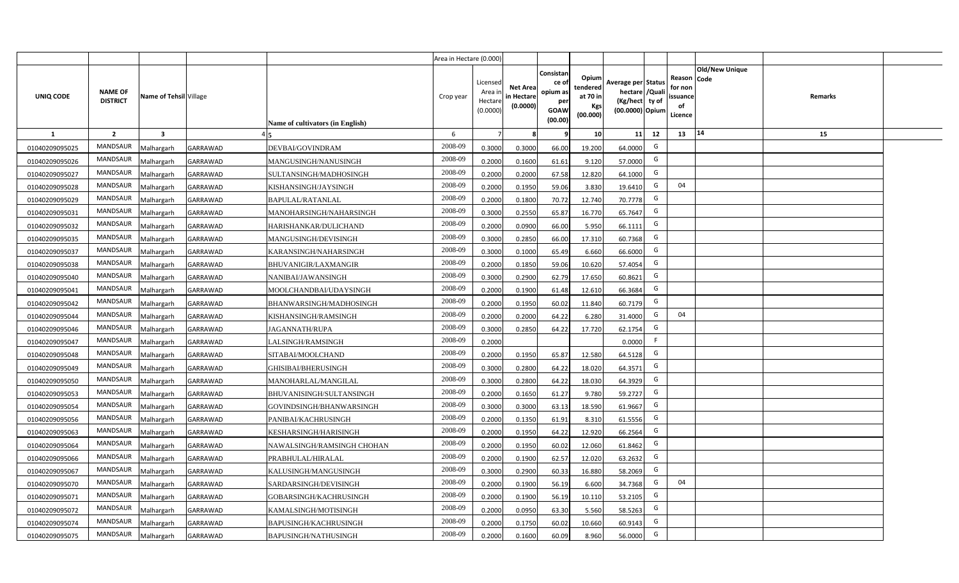|                |                                   |                         |                 |                                  | Area in Hectare (0.000) |                                           |                                           |                                                                 |                                                  |                                                                            |                                                    |                |         |  |
|----------------|-----------------------------------|-------------------------|-----------------|----------------------------------|-------------------------|-------------------------------------------|-------------------------------------------|-----------------------------------------------------------------|--------------------------------------------------|----------------------------------------------------------------------------|----------------------------------------------------|----------------|---------|--|
| UNIQ CODE      | <b>NAME OF</b><br><b>DISTRICT</b> | Name of Tehsil Village  |                 | Name of cultivators (in English) | Crop year               | Licensed<br>Area i<br>Hectare<br>(0.0000) | <b>Net Area</b><br>in Hectare<br>(0.0000) | Consistan<br>ce of<br>opium as<br>per<br><b>GOAW</b><br>(00.00) | Opium<br>tendered<br>at 70 in<br>Kgs<br>(00.000) | Average per Status<br>hectare / Quali<br>(Kg/hect ty of<br>(00.0000) Opium | Reason Code<br>for non<br>ssuance<br>of<br>Licence | Old/New Unique | Remarks |  |
| $\mathbf{1}$   | $\overline{2}$                    | $\overline{\mathbf{3}}$ |                 |                                  | 6                       | $\overline{7}$                            | 8                                         | 9                                                               | 10 <sup>1</sup>                                  | 12<br>11                                                                   | 13                                                 | 14             | 15      |  |
| 01040209095025 | MANDSAUR                          | Malhargarh              | <b>GARRAWAD</b> | DEVBAI/GOVINDRAM                 | 2008-09                 | 0.3000                                    | 0.3000                                    | 66.00                                                           | 19.200                                           | G<br>64.0000                                                               |                                                    |                |         |  |
| 01040209095026 | MANDSAUR                          | <b>Aalhargarh</b>       | <b>GARRAWAD</b> | MANGUSINGH/NANUSINGH             | 2008-09                 | 0.2000                                    | 0.1600                                    | 61.61                                                           | 9.120                                            | G<br>57.0000                                                               |                                                    |                |         |  |
| 01040209095027 | MANDSAUR                          | Malhargarh              | <b>GARRAWAD</b> | SULTANSINGH/MADHOSINGH           | 2008-09                 | 0.2000                                    | 0.2000                                    | 67.58                                                           | 12.820                                           | G<br>64.1000                                                               |                                                    |                |         |  |
| 01040209095028 | <b>MANDSAUR</b>                   | Malhargarh              | <b>GARRAWAD</b> | KISHANSINGH/JAYSINGH             | 2008-09                 | 0.2000                                    | 0.1950                                    | 59.06                                                           | 3.830                                            | G<br>19.6410                                                               | 04                                                 |                |         |  |
| 01040209095029 | MANDSAUR                          | Malhargarh              | GARRAWAD        | <b>BAPULAL/RATANLAL</b>          | 2008-09                 | 0.2000                                    | 0.1800                                    | 70.72                                                           | 12.740                                           | G<br>70.7778                                                               |                                                    |                |         |  |
| 01040209095031 | MANDSAUR                          | Malhargarh              | GARRAWAD        | MANOHARSINGH/NAHARSINGH          | 2008-09                 | 0.3000                                    | 0.2550                                    | 65.87                                                           | 16.770                                           | G<br>65.7647                                                               |                                                    |                |         |  |
| 01040209095032 | MANDSAUR                          | Malhargarh              | GARRAWAD        | HARISHANKAR/DULICHAND            | 2008-09                 | 0.2000                                    | 0.0900                                    | 66.00                                                           | 5.950                                            | G<br>66.1111                                                               |                                                    |                |         |  |
| 01040209095035 | <b>MANDSAUR</b>                   | Malhargarh              | GARRAWAD        | MANGUSINGH/DEVISINGH             | 2008-09                 | 0.3000                                    | 0.2850                                    | 66.00                                                           | 17.310                                           | G<br>60.7368                                                               |                                                    |                |         |  |
| 01040209095037 | <b>MANDSAUR</b>                   | Malhargarh              | <b>GARRAWAD</b> | KARANSINGH/NAHARSINGH            | 2008-09                 | 0.3000                                    | 0.1000                                    | 65.49                                                           | 6.660                                            | G<br>66.6000                                                               |                                                    |                |         |  |
| 01040209095038 | <b>MANDSAUR</b>                   | Malhargarh              | GARRAWAD        | BHUVANIGIR/LAXMANGIR             | 2008-09                 | 0.2000                                    | 0.1850                                    | 59.06                                                           | 10.620                                           | G<br>57.4054                                                               |                                                    |                |         |  |
| 01040209095040 | MANDSAUR                          | Malhargarh              | GARRAWAD        | NANIBAI/JAWANSINGH               | 2008-09                 | 0.3000                                    | 0.2900                                    | 62.79                                                           | 17.650                                           | G<br>60.8621                                                               |                                                    |                |         |  |
| 01040209095041 | MANDSAUR                          | Malhargarh              | <b>GARRAWAD</b> | MOOLCHANDBAI/UDAYSINGH           | 2008-09                 | 0.2000                                    | 0.1900                                    | 61.48                                                           | 12.610                                           | G<br>66.3684                                                               |                                                    |                |         |  |
| 01040209095042 | MANDSAUR                          | Malhargarh              | GARRAWAD        | BHANWARSINGH/MADHOSINGH          | 2008-09                 | 0.2000                                    | 0.1950                                    | 60.02                                                           | 11.840                                           | G<br>60.7179                                                               |                                                    |                |         |  |
| 01040209095044 | <b>MANDSAUR</b>                   | Malhargarh              | GARRAWAD        | KISHANSINGH/RAMSINGH             | 2008-09                 | 0.2000                                    | 0.2000                                    | 64.22                                                           | 6.280                                            | G<br>31.4000                                                               | 04                                                 |                |         |  |
| 01040209095046 | <b>MANDSAUR</b>                   | Malhargarh              | GARRAWAD        | JAGANNATH/RUPA                   | 2008-09                 | 0.3000                                    | 0.2850                                    | 64.22                                                           | 17.720                                           | G<br>62.1754                                                               |                                                    |                |         |  |
| 01040209095047 | <b>MANDSAUR</b>                   | Malhargarh              | GARRAWAD        | LALSINGH/RAMSINGH                | 2008-09                 | 0.2000                                    |                                           |                                                                 |                                                  | F.<br>0.0000                                                               |                                                    |                |         |  |
| 01040209095048 | <b>MANDSAUR</b>                   | Malhargarh              | GARRAWAD        | SITABAI/MOOLCHAND                | 2008-09                 | 0.2000                                    | 0.1950                                    | 65.87                                                           | 12.580                                           | G<br>64.5128                                                               |                                                    |                |         |  |
| 01040209095049 | <b>MANDSAUR</b>                   | Malhargarh              | GARRAWAD        | GHISIBAI/BHERUSINGH              | 2008-09                 | 0.3000                                    | 0.2800                                    | 64.22                                                           | 18.020                                           | G<br>64.3571                                                               |                                                    |                |         |  |
| 01040209095050 | <b>MANDSAUR</b>                   | Malhargarh              | <b>GARRAWAD</b> | MANOHARLAL/MANGILAL              | 2008-09                 | 0.3000                                    | 0.2800                                    | 64.22                                                           | 18.030                                           | G<br>64.3929                                                               |                                                    |                |         |  |
| 01040209095053 | MANDSAUR                          | Malhargarh              | GARRAWAD        | BHUVANISINGH/SULTANSINGH         | 2008-09                 | 0.2000                                    | 0.1650                                    | 61.27                                                           | 9.780                                            | G<br>59.2727                                                               |                                                    |                |         |  |
| 01040209095054 | MANDSAUR                          | Malhargarh              | <b>GARRAWAD</b> | GOVINDSINGH/BHANWARSINGH         | 2008-09                 | 0.3000                                    | 0.3000                                    | 63.13                                                           | 18.590                                           | G<br>61.9667                                                               |                                                    |                |         |  |
| 01040209095056 | MANDSAUR                          | Malhargarh              | GARRAWAD        | PANIBAI/KACHRUSINGH              | 2008-09                 | 0.2000                                    | 0.1350                                    | 61.91                                                           | 8.310                                            | G<br>61.5556                                                               |                                                    |                |         |  |
| 01040209095063 | <b>MANDSAUR</b>                   | Malhargarh              | GARRAWAD        | KESHARSINGH/HARISINGH            | 2008-09                 | 0.2000                                    | 0.1950                                    | 64.22                                                           | 12.920                                           | G<br>66.2564                                                               |                                                    |                |         |  |
| 01040209095064 | MANDSAUR                          | Malhargarh              | <b>GARRAWAD</b> | NAWALSINGH/RAMSINGH CHOHAN       | 2008-09                 | 0.2000                                    | 0.1950                                    | 60.02                                                           | 12.060                                           | G<br>61.8462                                                               |                                                    |                |         |  |
| 01040209095066 | <b>MANDSAUR</b>                   | Malhargarh              | GARRAWAD        | PRABHULAL/HIRALAL                | 2008-09                 | 0.2000                                    | 0.1900                                    | 62.57                                                           | 12.020                                           | G<br>63.2632                                                               |                                                    |                |         |  |
| 01040209095067 | MANDSAUR                          | Malhargarh              | <b>GARRAWAD</b> | KALUSINGH/MANGUSINGH             | 2008-09                 | 0.3000                                    | 0.2900                                    | 60.33                                                           | 16.880                                           | G<br>58.2069                                                               |                                                    |                |         |  |
| 01040209095070 | MANDSAUR                          | Malhargarh              | GARRAWAD        | SARDARSINGH/DEVISINGH            | 2008-09                 | 0.2000                                    | 0.1900                                    | 56.19                                                           | 6.600                                            | G<br>34.7368                                                               | 04                                                 |                |         |  |
| 01040209095071 | MANDSAUR                          | Malhargarh              | GARRAWAD        | GOBARSINGH/KACHRUSINGH           | 2008-09                 | 0.2000                                    | 0.1900                                    | 56.19                                                           | 10.110                                           | G<br>53.2105                                                               |                                                    |                |         |  |
| 01040209095072 | MANDSAUR                          | Malhargarh              | GARRAWAD        | KAMALSINGH/MOTISINGH             | 2008-09                 | 0.2000                                    | 0.0950                                    | 63.30                                                           | 5.560                                            | G<br>58.5263                                                               |                                                    |                |         |  |
| 01040209095074 | MANDSAUR                          | Malhargarh              | GARRAWAD        | BAPUSINGH/KACHRUSINGH            | 2008-09                 | 0.2000                                    | 0.1750                                    | 60.02                                                           | 10.660                                           | G<br>60.9143                                                               |                                                    |                |         |  |
| 01040209095075 | MANDSAUR                          | Malhargarh              | <b>GARRAWAD</b> | BAPUSINGH/NATHUSINGH             | 2008-09                 | 0.2000                                    | 0.1600                                    | 60.09                                                           | 8.960                                            | G<br>56.0000                                                               |                                                    |                |         |  |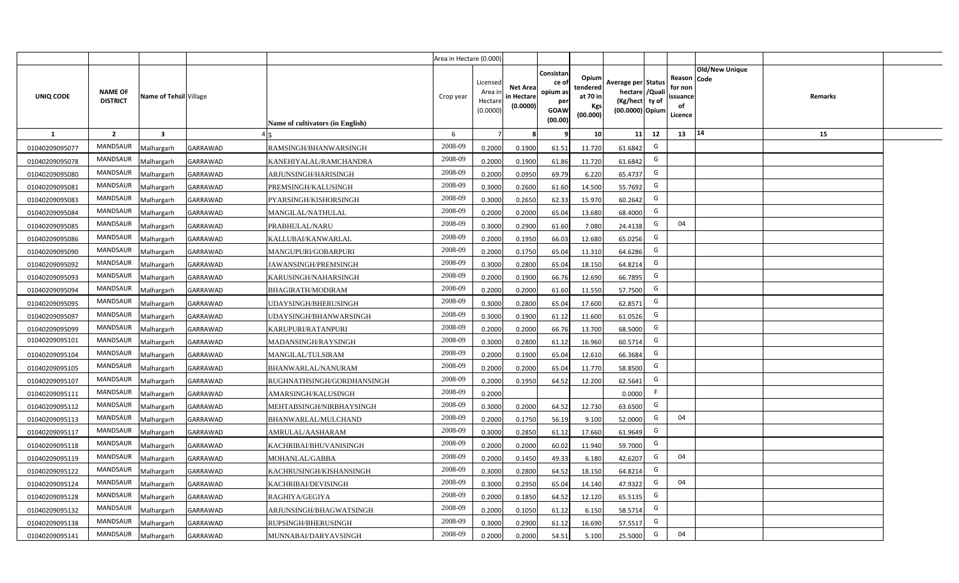|                |                                   |                         |                 |                                  | Area in Hectare (0.000) |                                           |                                           |                                                                 |                                                  |                                                                            |                                                    |                |         |  |
|----------------|-----------------------------------|-------------------------|-----------------|----------------------------------|-------------------------|-------------------------------------------|-------------------------------------------|-----------------------------------------------------------------|--------------------------------------------------|----------------------------------------------------------------------------|----------------------------------------------------|----------------|---------|--|
| UNIQ CODE      | <b>NAME OF</b><br><b>DISTRICT</b> | Name of Tehsil Village  |                 | Name of cultivators (in English) | Crop year               | Licensed<br>Area i<br>Hectare<br>(0.0000) | <b>Net Area</b><br>in Hectare<br>(0.0000) | Consistan<br>ce of<br>opium as<br>per<br><b>GOAW</b><br>(00.00) | Opium<br>tendered<br>at 70 in<br>Kgs<br>(00.000) | Average per Status<br>hectare / Quali<br>(Kg/hect ty of<br>(00.0000) Opium | Reason Code<br>for non<br>ssuance<br>of<br>Licence | Old/New Unique | Remarks |  |
| $\mathbf{1}$   | $\overline{2}$                    | $\overline{\mathbf{3}}$ |                 |                                  | 6                       | $\overline{7}$                            | 8                                         | 9                                                               | 10 <sup>1</sup>                                  | 12<br>11                                                                   | 13                                                 | 14             | 15      |  |
| 01040209095077 | MANDSAUR                          | Malhargarh              | GARRAWAD        | RAMSINGH/BHANWARSINGH            | 2008-09                 | 0.2000                                    | 0.1900                                    | 61.51                                                           | 11.720                                           | G<br>61.6842                                                               |                                                    |                |         |  |
| 01040209095078 | MANDSAUR                          | <b>Aalhargarh</b>       | <b>GARRAWAD</b> | KANEHIYALAL/RAMCHANDRA           | 2008-09                 | 0.2000                                    | 0.1900                                    | 61.86                                                           | 11.720                                           | G<br>61.6842                                                               |                                                    |                |         |  |
| 01040209095080 | MANDSAUR                          | Malhargarh              | <b>GARRAWAD</b> | ARJUNSINGH/HARISINGH             | 2008-09                 | 0.2000                                    | 0.0950                                    | 69.79                                                           | 6.220                                            | G<br>65.4737                                                               |                                                    |                |         |  |
| 01040209095081 | <b>MANDSAUR</b>                   | Malhargarh              | <b>GARRAWAD</b> | PREMSINGH/KALUSINGH              | 2008-09                 | 0.3000                                    | 0.2600                                    | 61.60                                                           | 14.500                                           | G<br>55.7692                                                               |                                                    |                |         |  |
| 01040209095083 | MANDSAUR                          | Malhargarh              | GARRAWAD        | PYARSINGH/KISHORSINGH            | 2008-09                 | 0.3000                                    | 0.2650                                    | 62.33                                                           | 15.970                                           | G<br>60.2642                                                               |                                                    |                |         |  |
| 01040209095084 | MANDSAUR                          | Malhargarh              | GARRAWAD        | MANGILAL/NATHULAL                | 2008-09                 | 0.2000                                    | 0.2000                                    | 65.04                                                           | 13.680                                           | G<br>68.4000                                                               |                                                    |                |         |  |
| 01040209095085 | MANDSAUR                          | Malhargarh              | GARRAWAD        | PRABHULAL/NARU                   | 2008-09                 | 0.3000                                    | 0.2900                                    | 61.60                                                           | 7.080                                            | G<br>24.4138                                                               | 04                                                 |                |         |  |
| 01040209095086 | <b>MANDSAUR</b>                   | Malhargarh              | GARRAWAD        | KALLUBAI/KANWARLAL               | 2008-09                 | 0.2000                                    | 0.1950                                    | 66.03                                                           | 12.680                                           | G<br>65.0256                                                               |                                                    |                |         |  |
| 01040209095090 | <b>MANDSAUR</b>                   | Malhargarh              | <b>GARRAWAD</b> | MANGUPURI/GOBARPURI              | 2008-09                 | 0.2000                                    | 0.1750                                    | 65.04                                                           | 11.310                                           | G<br>64.6286                                                               |                                                    |                |         |  |
| 01040209095092 | <b>MANDSAUR</b>                   | Malhargarh              | GARRAWAD        | JAWANSINGH/PREMSINGH             | 2008-09                 | 0.3000                                    | 0.2800                                    | 65.04                                                           | 18.150                                           | G<br>64.8214                                                               |                                                    |                |         |  |
| 01040209095093 | MANDSAUR                          | Malhargarh              | GARRAWAD        | KARUSINGH/NAHARSINGH             | 2008-09                 | 0.2000                                    | 0.1900                                    | 66.76                                                           | 12.690                                           | G<br>66.7895                                                               |                                                    |                |         |  |
| 01040209095094 | MANDSAUR                          | Malhargarh              | <b>GARRAWAD</b> | BHAGIRATH/MODIRAM                | 2008-09                 | 0.2000                                    | 0.2000                                    | 61.60                                                           | 11.550                                           | G<br>57.7500                                                               |                                                    |                |         |  |
| 01040209095095 | MANDSAUR                          | Malhargarh              | GARRAWAD        | UDAYSINGH/BHERUSINGH             | 2008-09                 | 0.3000                                    | 0.2800                                    | 65.04                                                           | 17.600                                           | G<br>62.8571                                                               |                                                    |                |         |  |
| 01040209095097 | <b>MANDSAUR</b>                   | Malhargarh              | GARRAWAD        | UDAYSINGH/BHANWARSINGH           | 2008-09                 | 0.3000                                    | 0.1900                                    | 61.12                                                           | 11.600                                           | G<br>61.0526                                                               |                                                    |                |         |  |
| 01040209095099 | <b>MANDSAUR</b>                   | Malhargarh              | GARRAWAD        | KARUPURI/RATANPURI               | 2008-09                 | 0.2000                                    | 0.2000                                    | 66.76                                                           | 13.700                                           | G<br>68.5000                                                               |                                                    |                |         |  |
| 01040209095101 | <b>MANDSAUR</b>                   | Malhargarh              | GARRAWAD        | MADANSINGH/RAYSINGH              | 2008-09                 | 0.3000                                    | 0.2800                                    | 61.12                                                           | 16.960                                           | G<br>60.5714                                                               |                                                    |                |         |  |
| 01040209095104 | <b>MANDSAUR</b>                   | Malhargarh              | GARRAWAD        | MANGILAL/TULSIRAM                | 2008-09                 | 0.2000                                    | 0.1900                                    | 65.04                                                           | 12.610                                           | G<br>66.3684                                                               |                                                    |                |         |  |
| 01040209095105 | <b>MANDSAUR</b>                   | Malhargarh              | GARRAWAD        | BHANWARLAL/NANURAM               | 2008-09                 | 0.2000                                    | 0.2000                                    | 65.04                                                           | 11.770                                           | G<br>58.8500                                                               |                                                    |                |         |  |
| 01040209095107 | <b>MANDSAUR</b>                   | Malhargarh              | <b>GARRAWAD</b> | RUGHNATHSINGH/GORDHANSINGH       | 2008-09                 | 0.2000                                    | 0.1950                                    | 64.52                                                           | 12.200                                           | G<br>62.5641                                                               |                                                    |                |         |  |
| 01040209095111 | MANDSAUR                          | Malhargarh              | GARRAWAD        | AMARSINGH/KALUSINGH              | 2008-09                 | 0.2000                                    |                                           |                                                                 |                                                  | F.<br>0.0000                                                               |                                                    |                |         |  |
| 01040209095112 | MANDSAUR                          | Malhargarh              | <b>GARRAWAD</b> | MEHTABSINGH/NIRBHAYSINGH         | 2008-09                 | 0.3000                                    | 0.2000                                    | 64.52                                                           | 12.730                                           | G<br>63.6500                                                               |                                                    |                |         |  |
| 01040209095113 | MANDSAUR                          | Malhargarh              | GARRAWAD        | BHANWARLAL/MULCHAND              | 2008-09                 | 0.2000                                    | 0.1750                                    | 56.19                                                           | 9.100                                            | G<br>52.0000                                                               | 04                                                 |                |         |  |
| 01040209095117 | <b>MANDSAUR</b>                   | Malhargarh              | GARRAWAD        | AMRULAL/AASHARAM                 | 2008-09                 | 0.3000                                    | 0.2850                                    | 61.12                                                           | 17.660                                           | G<br>61.9649                                                               |                                                    |                |         |  |
| 01040209095118 | MANDSAUR                          | Malhargarh              | <b>GARRAWAD</b> | KACHRIBAI/BHUVANISINGH           | 2008-09                 | 0.2000                                    | 0.2000                                    | 60.02                                                           | 11.940                                           | G<br>59.7000                                                               |                                                    |                |         |  |
| 01040209095119 | MANDSAUR                          | Malhargarh              | GARRAWAD        | MOHANLAL/GABBA                   | 2008-09                 | 0.2000                                    | 0.1450                                    | 49.33                                                           | 6.180                                            | G<br>42.6207                                                               | 04                                                 |                |         |  |
| 01040209095122 | MANDSAUR                          | Malhargarh              | <b>GARRAWAD</b> | KACHRUSINGH/KISHANSINGH          | 2008-09                 | 0.3000                                    | 0.2800                                    | 64.52                                                           | 18.150                                           | G<br>64.8214                                                               |                                                    |                |         |  |
| 01040209095124 | MANDSAUR                          | Malhargarh              | GARRAWAD        | KACHRIBAI/DEVISINGH              | 2008-09                 | 0.3000                                    | 0.2950                                    | 65.04                                                           | 14.140                                           | G<br>47.9322                                                               | 04                                                 |                |         |  |
| 01040209095128 | MANDSAUR                          | Malhargarh              | GARRAWAD        | RAGHIYA/GEGIYA                   | 2008-09                 | 0.2000                                    | 0.1850                                    | 64.52                                                           | 12.120                                           | G<br>65.5135                                                               |                                                    |                |         |  |
| 01040209095132 | MANDSAUR                          | Malhargarh              | GARRAWAD        | ARJUNSINGH/BHAGWATSINGH          | 2008-09                 | 0.2000                                    | 0.1050                                    | 61.12                                                           | 6.150                                            | G<br>58.5714                                                               |                                                    |                |         |  |
| 01040209095138 | MANDSAUR                          | Malhargarh              | GARRAWAD        | RUPSINGH/BHERUSINGH              | 2008-09                 | 0.3000                                    | 0.2900                                    | 61.12                                                           | 16.690                                           | G<br>57.5517                                                               |                                                    |                |         |  |
| 01040209095141 | MANDSAUR                          | Malhargarh              | <b>GARRAWAD</b> | MUNNABAI/DARYAVSINGH             | 2008-09                 | 0.2000                                    | 0.2000                                    | 54.51                                                           | 5.100                                            | G<br>25.5000                                                               | 04                                                 |                |         |  |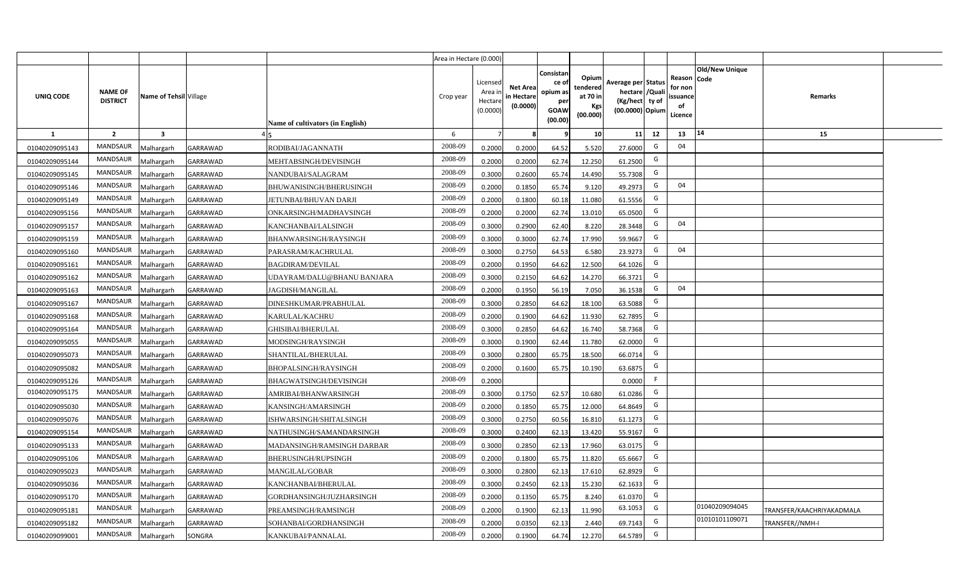|                |                                   |                         |                 |                                  | Area in Hectare (0.000) |                                           |                                           |                                                         |                                                         |                                                                           |    |                                                     |                       |                           |  |
|----------------|-----------------------------------|-------------------------|-----------------|----------------------------------|-------------------------|-------------------------------------------|-------------------------------------------|---------------------------------------------------------|---------------------------------------------------------|---------------------------------------------------------------------------|----|-----------------------------------------------------|-----------------------|---------------------------|--|
| UNIQ CODE      | <b>NAME OF</b><br><b>DISTRICT</b> | Name of Tehsil Village  |                 | Name of cultivators (in English) | Crop year               | Licensed<br>Area ir<br>Hectar<br>(0.0000) | <b>Net Area</b><br>in Hectare<br>(0.0000) | Consistan<br>ce o<br>opium as<br>per<br>GOAW<br>(00.00) | Opium<br>tendered<br>at 70 in<br><b>Kgs</b><br>(00.000) | Average per Status<br>hectare / Qual<br>(Kg/hect ty of<br>(00.0000) Opium |    | Reason Code<br>for nor<br>issuance<br>of<br>Licence | <b>Old/New Unique</b> | Remarks                   |  |
| 1              | $\overline{2}$                    | $\overline{\mathbf{3}}$ |                 |                                  | 6                       |                                           |                                           |                                                         | 10 <sup>1</sup>                                         | 11                                                                        | 12 | 13                                                  | 14                    | 15                        |  |
| 01040209095143 | <b>MANDSAUR</b>                   | Malhargarh              | <b>GARRAWAD</b> | RODIBAI/JAGANNATH                | 2008-09                 | 0.2000                                    | 0.2000                                    | 64.52                                                   | 5.520                                                   | 27.6000                                                                   | G  | 04                                                  |                       |                           |  |
| 01040209095144 | <b>MANDSAUR</b>                   | Malhargarh              | GARRAWAD        | MEHTABSINGH/DEVISINGH            | 2008-09                 | 0.2000                                    | 0.2000                                    | 62.74                                                   | 12.250                                                  | 61.2500                                                                   | G  |                                                     |                       |                           |  |
| 01040209095145 | <b>MANDSAUR</b>                   | Malhargarh              | GARRAWAD        | NANDUBAI/SALAGRAM                | 2008-09                 | 0.3000                                    | 0.2600                                    | 65.74                                                   | 14.490                                                  | 55.7308                                                                   | G  |                                                     |                       |                           |  |
| 01040209095146 | <b>MANDSAUR</b>                   | Malhargarh              | GARRAWAD        | BHUWANISINGH/BHERUSINGH          | 2008-09                 | 0.2000                                    | 0.1850                                    | 65.74                                                   | 9.120                                                   | 49.2973                                                                   | G  | 04                                                  |                       |                           |  |
| 01040209095149 | <b>MANDSAUR</b>                   | Malhargarh              | GARRAWAD        | JETUNBAI/BHUVAN DARJI            | 2008-09                 | 0.200                                     | 0.1800                                    | 60.18                                                   | 11.080                                                  | 61.5556                                                                   | G  |                                                     |                       |                           |  |
| 01040209095156 | <b>MANDSAUR</b>                   | Malhargarh              | <b>GARRAWAD</b> | ONKARSINGH/MADHAVSINGH           | 2008-09                 | 0.200                                     | 0.2000                                    | 62.74                                                   | 13.010                                                  | 65.0500                                                                   | G  |                                                     |                       |                           |  |
| 01040209095157 | <b>MANDSAUR</b>                   | Malhargarh              | GARRAWAD        | KANCHANBAI/LALSINGH              | 2008-09                 | 0.300                                     | 0.2900                                    | 62.40                                                   | 8.220                                                   | 28.3448                                                                   | G  | 04                                                  |                       |                           |  |
| 01040209095159 | <b>MANDSAUR</b>                   | Malhargarh              | GARRAWAD        | BHANWARSINGH/RAYSINGH            | 2008-09                 | 0.3000                                    | 0.3000                                    | 62.74                                                   | 17.990                                                  | 59.9667                                                                   | G  |                                                     |                       |                           |  |
| 01040209095160 | <b>MANDSAUR</b>                   | Malhargarh              | GARRAWAD        | PARASRAM/KACHRULAL               | 2008-09                 | 0.3000                                    | 0.2750                                    | 64.53                                                   | 6.580                                                   | 23.9273                                                                   | G  | 04                                                  |                       |                           |  |
| 01040209095161 | MANDSAUR                          | Malhargarh              | GARRAWAD        | <b>BAGDIRAM/DEVILAL</b>          | 2008-09                 | 0.2000                                    | 0.1950                                    | 64.62                                                   | 12.500                                                  | 64.1026                                                                   | G  |                                                     |                       |                           |  |
| 01040209095162 | MANDSAUR                          | Malhargarh              | GARRAWAD        | UDAYRAM/DALU@BHANU BANJARA       | 2008-09                 | 0.3000                                    | 0.2150                                    | 64.62                                                   | 14.270                                                  | 66.3721                                                                   | G  |                                                     |                       |                           |  |
| 01040209095163 | MANDSAUR                          | Malhargarh              | GARRAWAD        | JAGDISH/MANGILAL                 | 2008-09                 | 0.2000                                    | 0.1950                                    | 56.19                                                   | 7.050                                                   | 36.1538                                                                   | G  | 04                                                  |                       |                           |  |
| 01040209095167 | MANDSAUR                          | Malhargarh              | GARRAWAD        | DINESHKUMAR/PRABHULAL            | 2008-09                 | 0.3000                                    | 0.2850                                    | 64.62                                                   | 18.100                                                  | 63.5088                                                                   | G  |                                                     |                       |                           |  |
| 01040209095168 | MANDSAUR                          | Malhargarh              | GARRAWAD        | KARULAL/KACHRU                   | 2008-09                 | 0.2000                                    | 0.1900                                    | 64.62                                                   | 11.930                                                  | 62.7895                                                                   | G  |                                                     |                       |                           |  |
| 01040209095164 | MANDSAUR                          | Malhargarh              | GARRAWAD        | GHISIBAI/BHERULAL                | 2008-09                 | 0.3000                                    | 0.2850                                    | 64.62                                                   | 16.740                                                  | 58.7368                                                                   | G  |                                                     |                       |                           |  |
| 01040209095055 | <b>MANDSAUR</b>                   | Malhargarh              | <b>GARRAWAD</b> | MODSINGH/RAYSINGH                | 2008-09                 | 0.3000                                    | 0.1900                                    | 62.44                                                   | 11.780                                                  | 62.0000                                                                   | G  |                                                     |                       |                           |  |
| 01040209095073 | <b>MANDSAUR</b>                   | Malhargarh              | GARRAWAD        | SHANTILAL/BHERULAL               | 2008-09                 | 0.300                                     | 0.2800                                    | 65.75                                                   | 18.500                                                  | 66.0714                                                                   | G  |                                                     |                       |                           |  |
| 01040209095082 | <b>MANDSAUR</b>                   | Malhargarh              | GARRAWAD        | <b>BHOPALSINGH/RAYSINGH</b>      | 2008-09                 | 0.2000                                    | 0.1600                                    | 65.75                                                   | 10.190                                                  | 63.6875                                                                   | G  |                                                     |                       |                           |  |
| 01040209095126 | <b>MANDSAUR</b>                   | Malhargarh              | GARRAWAD        | BHAGWATSINGH/DEVISINGH           | 2008-09                 | 0.2000                                    |                                           |                                                         |                                                         | 0.0000                                                                    | F. |                                                     |                       |                           |  |
| 01040209095175 | <b>MANDSAUR</b>                   | Malhargarh              | GARRAWAD        | AMRIBAI/BHANWARSINGH             | 2008-09                 | 0.3000                                    | 0.1750                                    | 62.57                                                   | 10.680                                                  | 61.0286                                                                   | G  |                                                     |                       |                           |  |
| 01040209095030 | <b>MANDSAUR</b>                   | Malhargarh              | GARRAWAD        | KANSINGH/AMARSINGH               | 2008-09                 | 0.2000                                    | 0.1850                                    | 65.75                                                   | 12.000                                                  | 64.8649                                                                   | G  |                                                     |                       |                           |  |
| 01040209095076 | <b>MANDSAUR</b>                   | Malhargarh              | GARRAWAD        | ISHWARSINGH/SHITALSINGH          | 2008-09                 | 0.3000                                    | 0.2750                                    | 60.56                                                   | 16.810                                                  | 61.1273                                                                   | G  |                                                     |                       |                           |  |
| 01040209095154 | <b>MANDSAUR</b>                   | Malhargarh              | GARRAWAD        | NATHUSINGH/SAMANDARSINGH         | 2008-09                 | 0.3000                                    | 0.2400                                    | 62.13                                                   | 13.420                                                  | 55.9167                                                                   | G  |                                                     |                       |                           |  |
| 01040209095133 | <b>MANDSAUR</b>                   | Malhargarh              | GARRAWAD        | MADANSINGH/RAMSINGH DARBAR       | 2008-09                 | 0.300                                     | 0.2850                                    | 62.13                                                   | 17.960                                                  | 63.0175                                                                   | G  |                                                     |                       |                           |  |
| 01040209095106 | <b>MANDSAUR</b>                   | Malhargarh              | GARRAWAD        | BHERUSINGH/RUPSINGH              | 2008-09                 | 0.200                                     | 0.1800                                    | 65.75                                                   | 11.820                                                  | 65.6667                                                                   | G  |                                                     |                       |                           |  |
| 01040209095023 | <b>MANDSAUR</b>                   | Malhargarh              | GARRAWAD        | MANGILAL/GOBAR                   | 2008-09                 | 0.300                                     | 0.2800                                    | 62.13                                                   | 17.610                                                  | 62.8929                                                                   | G  |                                                     |                       |                           |  |
| 01040209095036 | MANDSAUR                          | Malhargarh              | GARRAWAD        | KANCHANBAI/BHERULAL              | 2008-09                 | 0.3000                                    | 0.2450                                    | 62.13                                                   | 15.230                                                  | 62.1633                                                                   | G  |                                                     |                       |                           |  |
| 01040209095170 | <b>MANDSAUR</b>                   | Malhargarh              | GARRAWAD        | GORDHANSINGH/JUZHARSINGH         | 2008-09                 | 0.2000                                    | 0.1350                                    | 65.75                                                   | 8.240                                                   | 61.0370                                                                   | G  |                                                     |                       |                           |  |
| 01040209095181 | MANDSAUR                          | Malhargarh              | GARRAWAD        | PREAMSINGH/RAMSINGH              | 2008-09                 | 0.2000                                    | 0.1900                                    | 62.13                                                   | 11.990                                                  | 63.1053                                                                   | G  |                                                     | 01040209094045        | TRANSFER/KAACHRIYAKADMALA |  |
| 01040209095182 | <b>MANDSAUR</b>                   | Malhargarh              | GARRAWAD        | SOHANBAI/GORDHANSINGH            | 2008-09                 | 0.2000                                    | 0.0350                                    | 62.13                                                   | 2.440                                                   | 69.7143                                                                   | G  |                                                     | 01010101109071        | RANSFER//NMH-I            |  |
| 01040209099001 | <b>MANDSAUR</b>                   | Malhargarh              | SONGRA          | KANKUBAI/PANNALAL                | 2008-09                 | 0.2000                                    | 0.1900                                    | 64.74                                                   | 12.270                                                  | 64.5789                                                                   | G  |                                                     |                       |                           |  |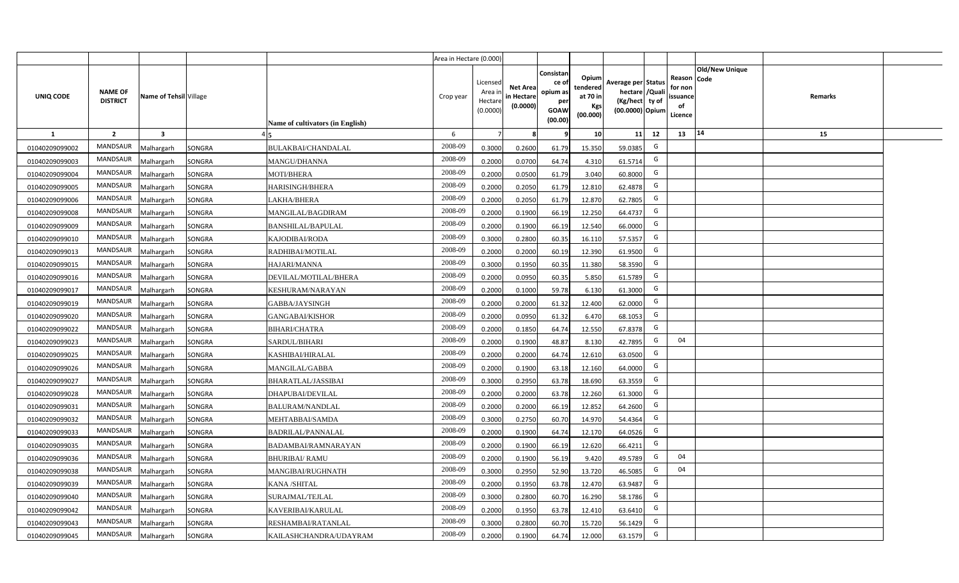|                |                                   |                         |                                     | Area in Hectare (0.000) |                                            |                                           |                                                         |                                                  |                                                                            |              |                                                                              |         |  |
|----------------|-----------------------------------|-------------------------|-------------------------------------|-------------------------|--------------------------------------------|-------------------------------------------|---------------------------------------------------------|--------------------------------------------------|----------------------------------------------------------------------------|--------------|------------------------------------------------------------------------------|---------|--|
| UNIQ CODE      | <b>NAME OF</b><br><b>DISTRICT</b> | Name of Tehsil Village  | Name of cultivators (in English)    | Crop year               | Licensed<br>Area ir<br>Hectare<br>(0.0000) | <b>Net Area</b><br>in Hectare<br>(0.0000) | Consistar<br>ce o<br>opium as<br>per<br>GOAW<br>(00.00) | Opium<br>tendered<br>at 70 in<br>Kgs<br>(00.000) | Average per Status<br>hectare / Quali<br>(Kg/hect ty of<br>(00.0000) Opium |              | <b>Old/New Unique</b><br>Reason Code<br>for non<br>issuance<br>of<br>Licence | Remarks |  |
| $\mathbf{1}$   | $\overline{2}$                    | $\overline{\mathbf{3}}$ |                                     | 6                       | $\overline{7}$                             |                                           |                                                         | 10                                               | 11                                                                         | 12           | 14<br>13                                                                     | 15      |  |
| 01040209099002 | <b>MANDSAUR</b>                   | <b>Aalhargarh</b>       | SONGRA<br><b>BULAKBAI/CHANDALAL</b> | 2008-09                 | 0.3000                                     | 0.2600                                    | 61.79                                                   | 15.350                                           | 59.0385                                                                    | G            |                                                                              |         |  |
| 01040209099003 | MANDSAUR                          | <b>Malhargarh</b>       | SONGRA<br>MANGU/DHANNA              | 2008-09                 | 0.2000                                     | 0.0700                                    | 64.74                                                   | 4.310                                            | 61.5714                                                                    | G            |                                                                              |         |  |
| 01040209099004 | MANDSAUR                          | <b>Malhargarh</b>       | SONGRA<br><b>MOTI/BHERA</b>         | 2008-09                 | 0.2000                                     | 0.0500                                    | 61.79                                                   | 3.040                                            | 60.8000                                                                    | G            |                                                                              |         |  |
| 01040209099005 | <b>MANDSAUR</b>                   | <b>Malhargarh</b>       | SONGRA<br><b>HARISINGH/BHERA</b>    | 2008-09                 | 0.2000                                     | 0.2050                                    | 61.79                                                   | 12.810                                           | 62.4878                                                                    | G            |                                                                              |         |  |
| 01040209099006 | MANDSAUR                          | <b>Malhargarh</b>       | SONGRA<br>LAKHA/BHERA               | 2008-09                 | 0.2000                                     | 0.2050                                    | 61.79                                                   | 12.870                                           | 62.7805                                                                    | G            |                                                                              |         |  |
| 01040209099008 | <b>MANDSAUR</b>                   | <b>Malhargarh</b>       | SONGRA<br>MANGILAL/BAGDIRAM         | 2008-09                 | 0.2000                                     | 0.1900                                    | 66.19                                                   | 12.250                                           | 64.4737                                                                    | G            |                                                                              |         |  |
| 01040209099009 | <b>MANDSAUR</b>                   | <b>Malhargarh</b>       | SONGRA<br><b>BANSHILAL/BAPULAL</b>  | 2008-09                 | 0.2000                                     | 0.1900                                    | 66.19                                                   | 12.540                                           | 66.0000                                                                    | G            |                                                                              |         |  |
| 01040209099010 | <b>MANDSAUR</b>                   | <b>Malhargarh</b>       | SONGRA<br>KAJODIBAI/RODA            | 2008-09                 | 0.3000                                     | 0.2800                                    | 60.35                                                   | 16.110                                           | 57.5357                                                                    | G            |                                                                              |         |  |
| 01040209099013 | <b>MANDSAUR</b>                   | <b>Malhargarh</b>       | SONGRA<br>RADHIBAI/MOTILAL          | 2008-09                 | 0.2000                                     | 0.2000                                    | 60.19                                                   | 12.390                                           | 61.9500                                                                    | G            |                                                                              |         |  |
| 01040209099015 | <b>MANDSAUR</b>                   | <b>Malhargarh</b>       | SONGRA<br>HAJARI/MANNA              | 2008-09                 | 0.3000                                     | 0.1950                                    | 60.35                                                   | 11.380                                           | 58.3590                                                                    | G            |                                                                              |         |  |
| 01040209099016 | <b>MANDSAUR</b>                   | <b>Malhargarh</b>       | SONGRA<br>DEVILAL/MOTILAL/BHERA     | 2008-09                 | 0.2000                                     | 0.0950                                    | 60.35                                                   | 5.850                                            | 61.5789                                                                    | G            |                                                                              |         |  |
| 01040209099017 | <b>MANDSAUR</b>                   | <b>Malhargarh</b>       | SONGRA<br>KESHURAM/NARAYAN          | 2008-09                 | 0.2000                                     | 0.1000                                    | 59.78                                                   | 6.130                                            | 61.3000                                                                    | G            |                                                                              |         |  |
| 01040209099019 | <b>MANDSAUR</b>                   | <b>Malhargarh</b>       | SONGRA<br>GABBA/JAYSINGH            | 2008-09                 | 0.2000                                     | 0.2000                                    | 61.32                                                   | 12.400                                           | 62.0000                                                                    | G            |                                                                              |         |  |
| 01040209099020 | <b>MANDSAUR</b>                   | <b>Malhargarh</b>       | SONGRA<br><b>GANGABAI/KISHOR</b>    | 2008-09                 | 0.2000                                     | 0.0950                                    | 61.32                                                   | 6.470                                            | 68.1053                                                                    | G            |                                                                              |         |  |
| 01040209099022 | MANDSAUR                          | <b>Malhargarh</b>       | SONGRA<br><b>BIHARI/CHATRA</b>      | 2008-09                 | 0.2000                                     | 0.1850                                    | 64.74                                                   | 12.550                                           | 67.8378                                                                    | G            |                                                                              |         |  |
| 01040209099023 | <b>MANDSAUR</b>                   | <b>Malhargarh</b>       | SONGRA<br>SARDUL/BIHARI             | 2008-09                 | 0.2000                                     | 0.1900                                    | 48.87                                                   | 8.130                                            | 42.7895                                                                    | G            | 04                                                                           |         |  |
| 01040209099025 | MANDSAUR                          | <b>Malhargarh</b>       | SONGRA<br><b>KASHIBAI/HIRALAL</b>   | 2008-09                 | 0.2000                                     | 0.2000                                    | 64.74                                                   | 12.610                                           | 63.0500                                                                    | $\mathsf{G}$ |                                                                              |         |  |
| 01040209099026 | <b>MANDSAUR</b>                   | Malhargarh              | SONGRA<br>MANGILAL/GABBA            | 2008-09                 | 0.2000                                     | 0.1900                                    | 63.18                                                   | 12.160                                           | 64.0000                                                                    | G            |                                                                              |         |  |
| 01040209099027 | <b>MANDSAUR</b>                   | Malhargarh              | SONGRA<br><b>BHARATLAL/JASSIBAI</b> | 2008-09                 | 0.3000                                     | 0.2950                                    | 63.78                                                   | 18.690                                           | 63.3559                                                                    | G            |                                                                              |         |  |
| 01040209099028 | <b>MANDSAUR</b>                   | <b>Malhargarh</b>       | SONGRA<br>DHAPUBAI/DEVILAL          | 2008-09                 | 0.2000                                     | 0.2000                                    | 63.78                                                   | 12.260                                           | 61.3000                                                                    | G            |                                                                              |         |  |
| 01040209099031 | <b>MANDSAUR</b>                   | <b>Malhargarh</b>       | SONGRA<br><b>BALURAM/NANDLAL</b>    | 2008-09                 | 0.2000                                     | 0.2000                                    | 66.19                                                   | 12.852                                           | 64.2600                                                                    | G            |                                                                              |         |  |
| 01040209099032 | <b>MANDSAUR</b>                   | <b>Malhargarh</b>       | SONGRA<br>MEHTABBAI/SAMDA           | 2008-09                 | 0.3000                                     | 0.2750                                    | 60.70                                                   | 14.970                                           | 54.4364                                                                    | G            |                                                                              |         |  |
| 01040209099033 | <b>MANDSAUR</b>                   | <b>Malhargarh</b>       | SONGRA<br>BADRILAL/PANNALAL         | 2008-09                 | 0.2000                                     | 0.1900                                    | 64.74                                                   | 12.170                                           | 64.0526                                                                    | G            |                                                                              |         |  |
| 01040209099035 | <b>MANDSAUR</b>                   | Malhargarh              | SONGRA<br>BADAMBAI/RAMNARAYAN       | 2008-09                 | 0.2000                                     | 0.1900                                    | 66.19                                                   | 12.620                                           | 66.4211                                                                    | G            |                                                                              |         |  |
| 01040209099036 | <b>MANDSAUR</b>                   | <b>Aalhargarh</b>       | SONGRA<br>BHURIBAI/ RAMU            | 2008-09                 | 0.2000                                     | 0.1900                                    | 56.19                                                   | 9.420                                            | 49.5789                                                                    | G            | 04                                                                           |         |  |
| 01040209099038 | <b>MANDSAUR</b>                   | <b>Malhargarh</b>       | SONGRA<br>MANGIBAI/RUGHNATH         | 2008-09                 | 0.3000                                     | 0.2950                                    | 52.90                                                   | 13.720                                           | 46.5085                                                                    | G            | 04                                                                           |         |  |
| 01040209099039 | <b>MANDSAUR</b>                   | <b>Malhargarh</b>       | SONGRA<br><b>KANA /SHITAL</b>       | 2008-09                 | 0.2000                                     | 0.1950                                    | 63.78                                                   | 12.470                                           | 63.9487                                                                    | G            |                                                                              |         |  |
| 01040209099040 | <b>MANDSAUR</b>                   | <b>Malhargarh</b>       | SONGRA<br>SURAJMAL/TEJLAL           | 2008-09                 | 0.3000                                     | 0.2800                                    | 60.70                                                   | 16.290                                           | 58.1786                                                                    | G            |                                                                              |         |  |
| 01040209099042 | <b>MANDSAUR</b>                   | <b>Malhargarh</b>       | SONGRA<br>KAVERIBAI/KARULAL         | 2008-09                 | 0.2000                                     | 0.1950                                    | 63.78                                                   | 12.410                                           | 63.641                                                                     | G            |                                                                              |         |  |
| 01040209099043 | <b>MANDSAUR</b>                   | <b>Malhargarh</b>       | SONGRA<br>RESHAMBAI/RATANLAL        | 2008-09                 | 0.3000                                     | 0.2800                                    | 60.70                                                   | 15.720                                           | 56.1429                                                                    | G            |                                                                              |         |  |
| 01040209099045 | <b>MANDSAUR</b>                   | Malhargarh              | SONGRA<br>KAILASHCHANDRA/UDAYRAM    | 2008-09                 | 0.2000                                     | 0.1900                                    | 64.74                                                   | 12.000                                           | 63.1579                                                                    | G            |                                                                              |         |  |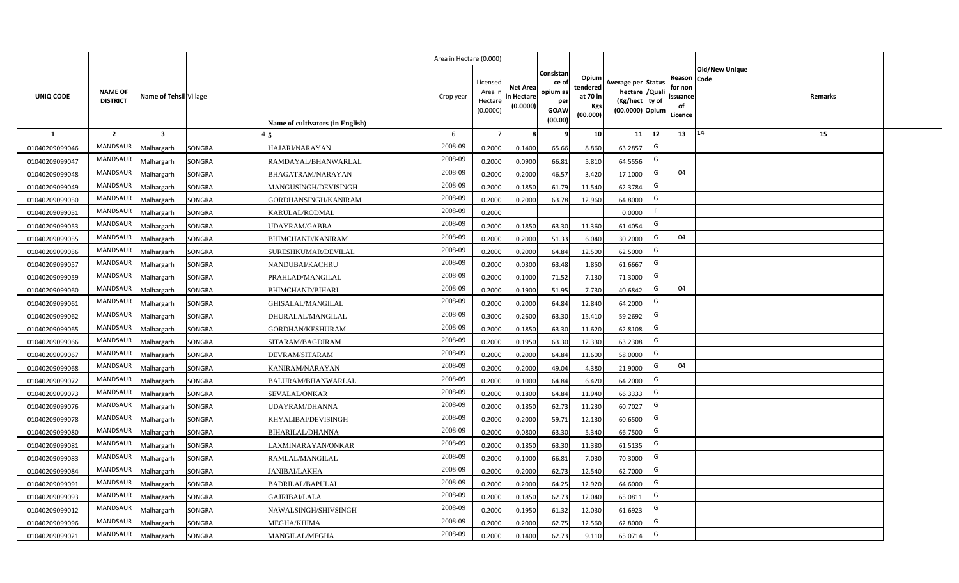|                |                                   |                         |        |                                  | Area in Hectare (0.000) |                                           |                                           |                                                                |                                                         |                                                                            |                                                     |                       |         |  |
|----------------|-----------------------------------|-------------------------|--------|----------------------------------|-------------------------|-------------------------------------------|-------------------------------------------|----------------------------------------------------------------|---------------------------------------------------------|----------------------------------------------------------------------------|-----------------------------------------------------|-----------------------|---------|--|
| UNIQ CODE      | <b>NAME OF</b><br><b>DISTRICT</b> | Name of Tehsil Village  |        | Name of cultivators (in English) | Crop year               | Licensed<br>Area i<br>Hectare<br>(0.0000) | <b>Net Area</b><br>in Hectare<br>(0.0000) | Consistan<br>ce o<br>opium as<br>per<br><b>GOAW</b><br>(00.00) | Opium<br>tendered<br>at 70 in<br><b>Kgs</b><br>(00.000) | Average per Status<br>hectare / Quali<br>(Kg/hect ty of<br>(00.0000) Opium | Reason Code<br>for non<br>issuance<br>of<br>Licence | <b>Old/New Unique</b> | Remarks |  |
| $\mathbf{1}$   | $\overline{2}$                    | $\overline{\mathbf{3}}$ |        |                                  | 6                       | $\overline{7}$                            |                                           | 9                                                              | 10 <sup>1</sup>                                         | 11<br>12                                                                   | 13                                                  | 14                    | 15      |  |
| 01040209099046 | MANDSAUR                          | Malhargarh              | SONGRA | HAJARI/NARAYAN                   | 2008-09                 | 0.2000                                    | 0.1400                                    | 65.66                                                          | 8.860                                                   | G<br>63.2857                                                               |                                                     |                       |         |  |
| 01040209099047 | MANDSAUR                          | Malhargarh              | SONGRA | RAMDAYAL/BHANWARLAL              | 2008-09                 | 0.2000                                    | 0.0900                                    | 66.81                                                          | 5.810                                                   | G<br>64.5556                                                               |                                                     |                       |         |  |
| 01040209099048 | MANDSAUR                          | Malhargarh              | SONGRA | BHAGATRAM/NARAYAN                | 2008-09                 | 0.2000                                    | 0.2000                                    | 46.57                                                          | 3.420                                                   | G<br>17.1000                                                               | 04                                                  |                       |         |  |
| 01040209099049 | MANDSAUR                          | Malhargarh              | SONGRA | MANGUSINGH/DEVISINGH             | 2008-09                 | 0.2000                                    | 0.1850                                    | 61.79                                                          | 11.540                                                  | G<br>62.3784                                                               |                                                     |                       |         |  |
| 01040209099050 | MANDSAUR                          | Malhargarh              | SONGRA | GORDHANSINGH/KANIRAM             | 2008-09                 | 0.2000                                    | 0.2000                                    | 63.78                                                          | 12.960                                                  | G<br>64.8000                                                               |                                                     |                       |         |  |
| 01040209099051 | <b>MANDSAUR</b>                   | <b>Aalhargarh</b>       | SONGRA | KARULAL/RODMAL                   | 2008-09                 | 0.2000                                    |                                           |                                                                |                                                         | F<br>0.0000                                                                |                                                     |                       |         |  |
| 01040209099053 | MANDSAUR                          | Malhargarh              | SONGRA | UDAYRAM/GABBA                    | 2008-09                 | 0.2000                                    | 0.1850                                    | 63.30                                                          | 11.360                                                  | G<br>61.4054                                                               |                                                     |                       |         |  |
| 01040209099055 | <b>MANDSAUR</b>                   | Malhargarh              | SONGRA | BHIMCHAND/KANIRAM                | 2008-09                 | 0.2000                                    | 0.2000                                    | 51.33                                                          | 6.040                                                   | G<br>30.2000                                                               | 04                                                  |                       |         |  |
| 01040209099056 | <b>MANDSAUR</b>                   | Malhargarh              | SONGRA | SURESHKUMAR/DEVILAL              | 2008-09                 | 0.2000                                    | 0.2000                                    | 64.84                                                          | 12.500                                                  | G<br>62.5000                                                               |                                                     |                       |         |  |
| 01040209099057 | MANDSAUR                          | Malhargarh              | SONGRA | NANDUBAI/KACHRU                  | 2008-09                 | 0.2000                                    | 0.0300                                    | 63.48                                                          | 1.850                                                   | G<br>61.6667                                                               |                                                     |                       |         |  |
| 01040209099059 | MANDSAUR                          | Malhargarh              | SONGRA | PRAHLAD/MANGILAL                 | 2008-09                 | 0.2000                                    | 0.1000                                    | 71.52                                                          | 7.130                                                   | G<br>71.3000                                                               |                                                     |                       |         |  |
| 01040209099060 | <b>MANDSAUR</b>                   | Malhargarh              | SONGRA | <b>BHIMCHAND/BIHARI</b>          | 2008-09                 | 0.2000                                    | 0.1900                                    | 51.95                                                          | 7.730                                                   | G<br>40.6842                                                               | 04                                                  |                       |         |  |
| 01040209099061 | <b>MANDSAUR</b>                   | Malhargarh              | SONGRA | <b>GHISALAL/MANGILAL</b>         | 2008-09                 | 0.2000                                    | 0.2000                                    | 64.84                                                          | 12.840                                                  | G<br>64.2000                                                               |                                                     |                       |         |  |
| 01040209099062 | MANDSAUR                          | Malhargarh              | SONGRA | DHURALAL/MANGILAL                | 2008-09                 | 0.3000                                    | 0.2600                                    | 63.30                                                          | 15.410                                                  | G<br>59.2692                                                               |                                                     |                       |         |  |
| 01040209099065 | MANDSAUR                          | Malhargarh              | SONGRA | GORDHAN/KESHURAM                 | 2008-09                 | 0.2000                                    | 0.1850                                    | 63.30                                                          | 11.620                                                  | G<br>62.8108                                                               |                                                     |                       |         |  |
| 01040209099066 | <b>MANDSAUR</b>                   | Malhargarh              | SONGRA | SITARAM/BAGDIRAM                 | 2008-09                 | 0.2000                                    | 0.1950                                    | 63.30                                                          | 12.330                                                  | G<br>63.2308                                                               |                                                     |                       |         |  |
| 01040209099067 | <b>MANDSAUR</b>                   | Malhargarh              | SONGRA | DEVRAM/SITARAM                   | 2008-09                 | 0.2000                                    | 0.2000                                    | 64.84                                                          | 11.600                                                  | G<br>58.0000                                                               |                                                     |                       |         |  |
| 01040209099068 | <b>MANDSAUR</b>                   | Malhargarh              | SONGRA | KANIRAM/NARAYAN                  | 2008-09                 | 0.2000                                    | 0.2000                                    | 49.04                                                          | 4.380                                                   | G<br>21.9000                                                               | 04                                                  |                       |         |  |
| 01040209099072 | <b>MANDSAUR</b>                   | Malhargarh              | SONGRA | BALURAM/BHANWARLAL               | 2008-09                 | 0.2000                                    | 0.1000                                    | 64.84                                                          | 6.420                                                   | G<br>64.2000                                                               |                                                     |                       |         |  |
| 01040209099073 | <b>MANDSAUR</b>                   | Malhargarh              | SONGRA | SEVALAL/ONKAR                    | 2008-09                 | 0.2000                                    | 0.1800                                    | 64.84                                                          | 11.940                                                  | G<br>66.3333                                                               |                                                     |                       |         |  |
| 01040209099076 | <b>MANDSAUR</b>                   | Malhargarh              | SONGRA | UDAYRAM/DHANNA                   | 2008-09                 | 0.2000                                    | 0.1850                                    | 62.73                                                          | 11.230                                                  | G<br>60.7027                                                               |                                                     |                       |         |  |
| 01040209099078 | <b>MANDSAUR</b>                   | Malhargarh              | SONGRA | KHYALIBAI/DEVISINGH              | 2008-09                 | 0.2000                                    | 0.2000                                    | 59.71                                                          | 12.130                                                  | G<br>60.6500                                                               |                                                     |                       |         |  |
| 01040209099080 | <b>MANDSAUR</b>                   | Malhargarh              | SONGRA | BIHARILAL/DHANNA                 | 2008-09                 | 0.2000                                    | 0.0800                                    | 63.30                                                          | 5.340                                                   | G<br>66.7500                                                               |                                                     |                       |         |  |
| 01040209099081 | MANDSAUR                          | Malhargarh              | SONGRA | LAXMINARAYAN/ONKAR               | 2008-09                 | 0.2000                                    | 0.1850                                    | 63.30                                                          | 11.380                                                  | G<br>61.5135                                                               |                                                     |                       |         |  |
| 01040209099083 | <b>MANDSAUR</b>                   | Malhargarh              | SONGRA | RAMLAL/MANGILAL                  | 2008-09                 | 0.2000                                    | 0.1000                                    | 66.81                                                          | 7.030                                                   | G<br>70.3000                                                               |                                                     |                       |         |  |
| 01040209099084 | <b>MANDSAUR</b>                   | Malhargarh              | SONGRA | JANIBAI/LAKHA                    | 2008-09                 | 0.2000                                    | 0.2000                                    | 62.73                                                          | 12.540                                                  | G<br>62.7000                                                               |                                                     |                       |         |  |
| 01040209099091 | <b>MANDSAUR</b>                   | Malhargarh              | SONGRA | <b>BADRILAL/BAPULAL</b>          | 2008-09                 | 0.2000                                    | 0.2000                                    | 64.25                                                          | 12.920                                                  | G<br>64.6000                                                               |                                                     |                       |         |  |
| 01040209099093 | MANDSAUR                          | Malhargarh              | SONGRA | <b>GAJRIBAI/LALA</b>             | 2008-09                 | 0.2000                                    | 0.1850                                    | 62.73                                                          | 12.040                                                  | G<br>65.0811                                                               |                                                     |                       |         |  |
| 01040209099012 | <b>MANDSAUR</b>                   | Malhargarh              | SONGRA | NAWALSINGH/SHIVSINGH             | 2008-09                 | 0.2000                                    | 0.1950                                    | 61.32                                                          | 12.030                                                  | G<br>61.6923                                                               |                                                     |                       |         |  |
| 01040209099096 | <b>MANDSAUR</b>                   | Malhargarh              | SONGRA | MEGHA/KHIMA                      | 2008-09                 | 0.2000                                    | 0.2000                                    | 62.75                                                          | 12.560                                                  | G<br>62.8000                                                               |                                                     |                       |         |  |
| 01040209099021 | MANDSAUR                          | Malhargarh              | SONGRA | MANGILAL/MEGHA                   | 2008-09                 | 0.2000                                    | 0.1400                                    | 62.73                                                          | 9.110                                                   | G<br>65.0714                                                               |                                                     |                       |         |  |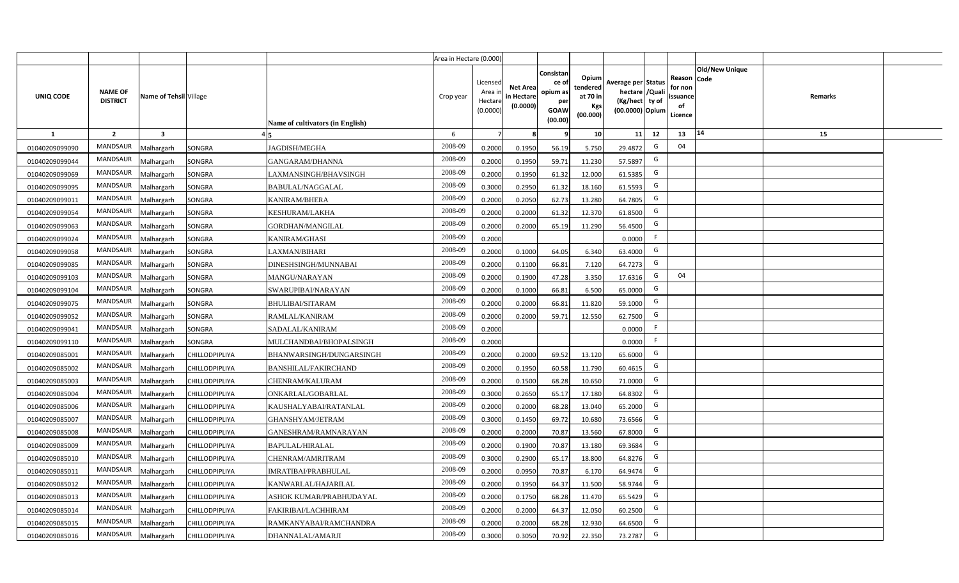|                |                                   |                         |                       |                                  | Area in Hectare (0.000) |                                           |                                           |                                                                 |                                                  |                                                                            |                                                    |                       |         |  |
|----------------|-----------------------------------|-------------------------|-----------------------|----------------------------------|-------------------------|-------------------------------------------|-------------------------------------------|-----------------------------------------------------------------|--------------------------------------------------|----------------------------------------------------------------------------|----------------------------------------------------|-----------------------|---------|--|
| UNIQ CODE      | <b>NAME OF</b><br><b>DISTRICT</b> | Name of Tehsil Village  |                       | Name of cultivators (in English) | Crop year               | Licensed<br>Area i<br>Hectare<br>(0.0000) | <b>Net Area</b><br>in Hectare<br>(0.0000) | Consistan<br>ce of<br>opium as<br>per<br><b>GOAW</b><br>(00.00) | Opium<br>tendered<br>at 70 in<br>Kgs<br>(00.000) | Average per Status<br>hectare / Quali<br>(Kg/hect ty of<br>(00.0000) Opium | Reason Code<br>for non<br>ssuance<br>of<br>Licence | <b>Old/New Unique</b> | Remarks |  |
| $\mathbf{1}$   | $\overline{2}$                    | $\overline{\mathbf{3}}$ |                       |                                  | 6                       | $\overline{7}$                            | 8                                         | 9                                                               | 10 <sup>1</sup>                                  | 12<br>11                                                                   | 13                                                 | 14                    | 15      |  |
| 01040209099090 | MANDSAUR                          | Malhargarh              | SONGRA                | <b>JAGDISH/MEGHA</b>             | 2008-09                 | 0.2000                                    | 0.1950                                    | 56.19                                                           | 5.750                                            | G<br>29.4872                                                               | 04                                                 |                       |         |  |
| 01040209099044 | MANDSAUR                          | <b>Aalhargarh</b>       | SONGRA                | GANGARAM/DHANNA                  | 2008-09                 | 0.2000                                    | 0.1950                                    | 59.71                                                           | 11.230                                           | G<br>57.5897                                                               |                                                    |                       |         |  |
| 01040209099069 | MANDSAUR                          | Malhargarh              | SONGRA                | LAXMANSINGH/BHAVSINGH            | 2008-09                 | 0.2000                                    | 0.1950                                    | 61.32                                                           | 12.000                                           | G<br>61.5385                                                               |                                                    |                       |         |  |
| 01040209099095 | <b>MANDSAUR</b>                   | Malhargarh              | SONGRA                | BABULAL/NAGGALAL                 | 2008-09                 | 0.3000                                    | 0.2950                                    | 61.32                                                           | 18.160                                           | G<br>61.5593                                                               |                                                    |                       |         |  |
| 01040209099011 | MANDSAUR                          | Malhargarh              | SONGRA                | KANIRAM/BHERA                    | 2008-09                 | 0.2000                                    | 0.2050                                    | 62.73                                                           | 13.280                                           | G<br>64.7805                                                               |                                                    |                       |         |  |
| 01040209099054 | MANDSAUR                          | Malhargarh              | SONGRA                | KESHURAM/LAKHA                   | 2008-09                 | 0.2000                                    | 0.2000                                    | 61.32                                                           | 12.370                                           | G<br>61.8500                                                               |                                                    |                       |         |  |
| 01040209099063 | MANDSAUR                          | Malhargarh              | SONGRA                | GORDHAN/MANGILAL                 | 2008-09                 | 0.2000                                    | 0.2000                                    | 65.19                                                           | 11.290                                           | G<br>56.4500                                                               |                                                    |                       |         |  |
| 01040209099024 | <b>MANDSAUR</b>                   | Malhargarh              | SONGRA                | KANIRAM/GHASI                    | 2008-09                 | 0.2000                                    |                                           |                                                                 |                                                  | F<br>0.0000                                                                |                                                    |                       |         |  |
| 01040209099058 | <b>MANDSAUR</b>                   | Malhargarh              | SONGRA                | LAXMAN/BIHARI                    | 2008-09                 | 0.2000                                    | 0.1000                                    | 64.05                                                           | 6.340                                            | G<br>63.4000                                                               |                                                    |                       |         |  |
| 01040209099085 | <b>MANDSAUR</b>                   | Malhargarh              | SONGRA                | DINESHSINGH/MUNNABAI             | 2008-09                 | 0.2000                                    | 0.1100                                    | 66.81                                                           | 7.120                                            | G<br>64.7273                                                               |                                                    |                       |         |  |
| 01040209099103 | MANDSAUR                          | Malhargarh              | SONGRA                | MANGU/NARAYAN                    | 2008-09                 | 0.2000                                    | 0.1900                                    | 47.28                                                           | 3.350                                            | G<br>17.6316                                                               | 04                                                 |                       |         |  |
| 01040209099104 | MANDSAUR                          | Malhargarh              | SONGRA                | SWARUPIBAI/NARAYAN               | 2008-09                 | 0.2000                                    | 0.1000                                    | 66.81                                                           | 6.500                                            | G<br>65.0000                                                               |                                                    |                       |         |  |
| 01040209099075 | MANDSAUR                          | Malhargarh              | SONGRA                | BHULIBAI/SITARAM                 | 2008-09                 | 0.2000                                    | 0.2000                                    | 66.81                                                           | 11.820                                           | G<br>59.1000                                                               |                                                    |                       |         |  |
| 01040209099052 | <b>MANDSAUR</b>                   | Malhargarh              | SONGRA                | RAMLAL/KANIRAM                   | 2008-09                 | 0.2000                                    | 0.2000                                    | 59.71                                                           | 12.550                                           | G<br>62.7500                                                               |                                                    |                       |         |  |
| 01040209099041 | <b>MANDSAUR</b>                   | Malhargarh              | SONGRA                | SADALAL/KANIRAM                  | 2008-09                 | 0.2000                                    |                                           |                                                                 |                                                  | F.<br>0.0000                                                               |                                                    |                       |         |  |
| 01040209099110 | <b>MANDSAUR</b>                   | Malhargarh              | SONGRA                | MULCHANDBAI/BHOPALSINGH          | 2008-09                 | 0.2000                                    |                                           |                                                                 |                                                  | F.<br>0.0000                                                               |                                                    |                       |         |  |
| 01040209085001 | <b>MANDSAUR</b>                   | Malhargarh              | CHILLODPIPLIYA        | BHANWARSINGH/DUNGARSINGH         | 2008-09                 | 0.2000                                    | 0.2000                                    | 69.52                                                           | 13.120                                           | G<br>65.6000                                                               |                                                    |                       |         |  |
| 01040209085002 | <b>MANDSAUR</b>                   | Malhargarh              | CHILLODPIPLIYA        | BANSHILAL/FAKIRCHAND             | 2008-09                 | 0.2000                                    | 0.1950                                    | 60.58                                                           | 11.790                                           | G<br>60.4615                                                               |                                                    |                       |         |  |
| 01040209085003 | <b>MANDSAUR</b>                   | Malhargarh              | CHILLODPIPLIYA        | CHENRAM/KALURAM                  | 2008-09                 | 0.2000                                    | 0.1500                                    | 68.28                                                           | 10.650                                           | G<br>71.0000                                                               |                                                    |                       |         |  |
| 01040209085004 | MANDSAUR                          | Malhargarh              | CHILLODPIPLIYA        | ONKARLAL/GOBARLAL                | 2008-09                 | 0.3000                                    | 0.2650                                    | 65.17                                                           | 17.180                                           | G<br>64.8302                                                               |                                                    |                       |         |  |
| 01040209085006 | MANDSAUR                          | Malhargarh              | CHILLODPIPLIYA        | KAUSHALYABAI/RATANLAL            | 2008-09                 | 0.2000                                    | 0.2000                                    | 68.28                                                           | 13.040                                           | G<br>65.2000                                                               |                                                    |                       |         |  |
| 01040209085007 | MANDSAUR                          | Malhargarh              | CHILLODPIPLIYA        | GHANSHYAM/JETRAM                 | 2008-09                 | 0.3000                                    | 0.1450                                    | 69.72                                                           | 10.680                                           | G<br>73.6566                                                               |                                                    |                       |         |  |
| 01040209085008 | <b>MANDSAUR</b>                   | Malhargarh              | CHILLODPIPLIYA        | GANESHRAM/RAMNARAYAN             | 2008-09                 | 0.2000                                    | 0.2000                                    | 70.87                                                           | 13.560                                           | G<br>67.8000                                                               |                                                    |                       |         |  |
| 01040209085009 | <b>MANDSAUR</b>                   | Malhargarh              | CHILLODPIPLIYA        | <b>BAPULAL/HIRALAL</b>           | 2008-09                 | 0.2000                                    | 0.1900                                    | 70.87                                                           | 13.180                                           | G<br>69.3684                                                               |                                                    |                       |         |  |
| 01040209085010 | <b>MANDSAUR</b>                   | Malhargarh              | CHILLODPIPLIYA        | CHENRAM/AMRITRAM                 | 2008-09                 | 0.3000                                    | 0.2900                                    | 65.17                                                           | 18.800                                           | G<br>64.8276                                                               |                                                    |                       |         |  |
| 01040209085011 | MANDSAUR                          | Malhargarh              | CHILLODPIPLIYA        | IMRATIBAI/PRABHULAL              | 2008-09                 | 0.2000                                    | 0.0950                                    | 70.87                                                           | 6.170                                            | G<br>64.9474                                                               |                                                    |                       |         |  |
| 01040209085012 | MANDSAUR                          | Malhargarh              | CHILLODPIPLIYA        | KANWARLAL/HAJARILAL              | 2008-09                 | 0.2000                                    | 0.1950                                    | 64.37                                                           | 11.500                                           | G<br>58.9744                                                               |                                                    |                       |         |  |
| 01040209085013 | MANDSAUR                          | Malhargarh              | CHILLODPIPLIYA        | ASHOK KUMAR/PRABHUDAYAL          | 2008-09                 | 0.2000                                    | 0.1750                                    | 68.28                                                           | 11.470                                           | G<br>65.5429                                                               |                                                    |                       |         |  |
| 01040209085014 | MANDSAUR                          | Malhargarh              | <b>CHILLODPIPLIYA</b> | FAKIRIBAI/LACHHIRAM              | 2008-09                 | 0.2000                                    | 0.2000                                    | 64.37                                                           | 12.050                                           | G<br>60.2500                                                               |                                                    |                       |         |  |
| 01040209085015 | MANDSAUR                          | Malhargarh              | CHILLODPIPLIYA        | RAMKANYABAI/RAMCHANDRA           | 2008-09                 | 0.2000                                    | 0.2000                                    | 68.28                                                           | 12.930                                           | G<br>64.6500                                                               |                                                    |                       |         |  |
| 01040209085016 | MANDSAUR                          | Malhargarh              | <b>CHILLODPIPLIYA</b> | DHANNALAL/AMARJI                 | 2008-09                 | 0.3000                                    | 0.3050                                    | 70.92                                                           | 22.350                                           | G<br>73.2787                                                               |                                                    |                       |         |  |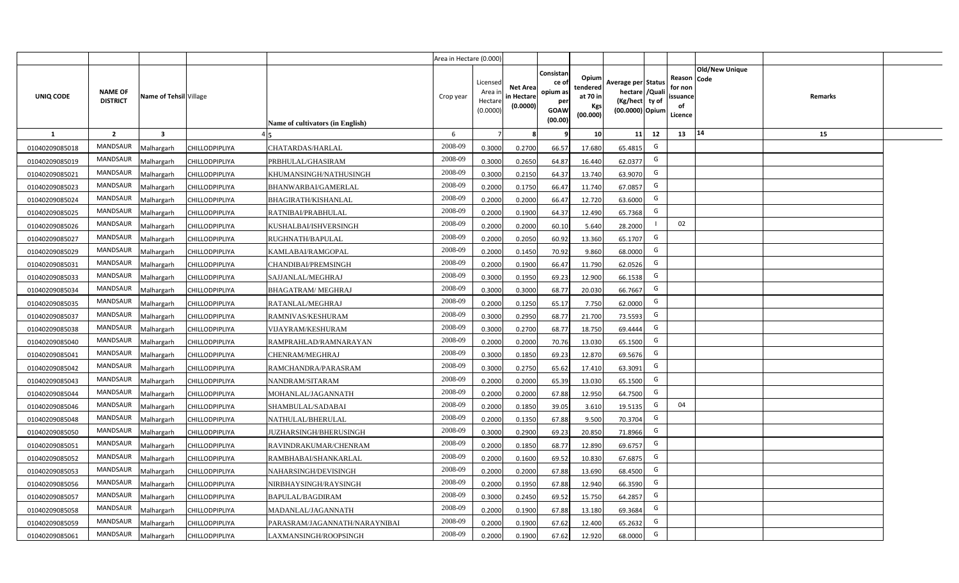|                |                                   |                         |                       |                                  | Area in Hectare (0.000) |                                           |                                           |                                                         |                                                         |                                                                            |                                                |                               |         |  |
|----------------|-----------------------------------|-------------------------|-----------------------|----------------------------------|-------------------------|-------------------------------------------|-------------------------------------------|---------------------------------------------------------|---------------------------------------------------------|----------------------------------------------------------------------------|------------------------------------------------|-------------------------------|---------|--|
| UNIQ CODE      | <b>NAME OF</b><br><b>DISTRICT</b> | Name of Tehsil Village  |                       | Name of cultivators (in English) | Crop year               | Licensed<br>Area i<br>Hectare<br>(0.0000) | <b>Net Area</b><br>in Hectare<br>(0.0000) | Consistan<br>ce o<br>opium as<br>per<br>GOAW<br>(00.00) | Opium<br>tendered<br>at 70 in<br><b>Kgs</b><br>(00.000) | Average per Status<br>hectare / Quali<br>(Kg/hect ty of<br>(00.0000) Opium | Reason<br>for non<br>issuance<br>of<br>Licence | <b>Old/New Unique</b><br>Code | Remarks |  |
| $\mathbf{1}$   | $\overline{2}$                    | $\overline{\mathbf{3}}$ |                       |                                  | 6                       | -7                                        |                                           | 9                                                       | 10 <sup>1</sup>                                         | 11<br>12                                                                   | 13                                             | 14                            | 15      |  |
| 01040209085018 | MANDSAUR                          | <b>Aalhargarh</b>       | CHILLODPIPLIYA        | CHATARDAS/HARLAL                 | 2008-09                 | 0.3000                                    | 0.2700                                    | 66.57                                                   | 17.680                                                  | G<br>65.4815                                                               |                                                |                               |         |  |
| 01040209085019 | MANDSAUR                          | Malhargarh              | <b>CHILLODPIPLIYA</b> | PRBHULAL/GHASIRAM                | 2008-09                 | 0.3000                                    | 0.2650                                    | 64.87                                                   | 16.440                                                  | G<br>62.0377                                                               |                                                |                               |         |  |
| 01040209085021 | MANDSAUR                          | Malhargarh              | CHILLODPIPLIYA        | KHUMANSINGH/NATHUSINGH           | 2008-09                 | 0.3000                                    | 0.2150                                    | 64.37                                                   | 13.740                                                  | G<br>63.9070                                                               |                                                |                               |         |  |
| 01040209085023 | MANDSAUR                          | Malhargarh              | CHILLODPIPLIYA        | BHANWARBAI/GAMERLAL              | 2008-09                 | 0.2000                                    | 0.1750                                    | 66.47                                                   | 11.740                                                  | G<br>67.0857                                                               |                                                |                               |         |  |
| 01040209085024 | <b>MANDSAUR</b>                   | <b>Aalhargarh</b>       | CHILLODPIPLIYA        | BHAGIRATH/KISHANLAL              | 2008-09                 | 0.2000                                    | 0.2000                                    | 66.47                                                   | 12.720                                                  | G<br>63.6000                                                               |                                                |                               |         |  |
| 01040209085025 | MANDSAUR                          | Malhargarh              | CHILLODPIPLIYA        | RATNIBAI/PRABHULAL               | 2008-09                 | 0.2000                                    | 0.1900                                    | 64.37                                                   | 12.490                                                  | G<br>65.7368                                                               |                                                |                               |         |  |
| 01040209085026 | MANDSAUR                          | Malhargarh              | CHILLODPIPLIYA        | KUSHALBAI/ISHVERSINGH            | 2008-09                 | 0.2000                                    | 0.2000                                    | 60.10                                                   | 5.640                                                   | 28.2000                                                                    | 02                                             |                               |         |  |
| 01040209085027 | <b>MANDSAUR</b>                   | Malhargarh              | CHILLODPIPLIYA        | RUGHNATH/BAPULAL                 | 2008-09                 | 0.2000                                    | 0.2050                                    | 60.92                                                   | 13.360                                                  | G<br>65.1707                                                               |                                                |                               |         |  |
| 01040209085029 | <b>MANDSAUR</b>                   | Malhargarh              | CHILLODPIPLIYA        | KAMLABAI/RAMGOPAL                | 2008-09                 | 0.2000                                    | 0.1450                                    | 70.92                                                   | 9.860                                                   | G<br>68.0000                                                               |                                                |                               |         |  |
| 01040209085031 | <b>MANDSAUR</b>                   | Malhargarh              | CHILLODPIPLIYA        | CHANDIBAI/PREMSINGH              | 2008-09                 | 0.2000                                    | 0.1900                                    | 66.47                                                   | 11.790                                                  | G<br>62.0526                                                               |                                                |                               |         |  |
| 01040209085033 | <b>MANDSAUR</b>                   | Malhargarh              | CHILLODPIPLIYA        | SAJJANLAL/MEGHRAJ                | 2008-09                 | 0.3000                                    | 0.1950                                    | 69.23                                                   | 12.900                                                  | G<br>66.1538                                                               |                                                |                               |         |  |
| 01040209085034 | <b>MANDSAUR</b>                   | Malhargarh              | <b>CHILLODPIPLIYA</b> | <b>BHAGATRAM/ MEGHRAJ</b>        | 2008-09                 | 0.3000                                    | 0.3000                                    | 68.77                                                   | 20.030                                                  | G<br>66.7667                                                               |                                                |                               |         |  |
| 01040209085035 | <b>MANDSAUR</b>                   | Malhargarh              | CHILLODPIPLIYA        | RATANLAL/MEGHRAJ                 | 2008-09                 | 0.2000                                    | 0.1250                                    | 65.17                                                   | 7.750                                                   | G<br>62.0000                                                               |                                                |                               |         |  |
| 01040209085037 | <b>MANDSAUR</b>                   | Malhargarh              | CHILLODPIPLIYA        | RAMNIVAS/KESHURAM                | 2008-09                 | 0.3000                                    | 0.2950                                    | 68.77                                                   | 21.700                                                  | G<br>73.5593                                                               |                                                |                               |         |  |
| 01040209085038 | <b>MANDSAUR</b>                   | Malhargarh              | CHILLODPIPLIYA        | <b>VIJAYRAM/KESHURAM</b>         | 2008-09                 | 0.3000                                    | 0.2700                                    | 68.77                                                   | 18.750                                                  | G<br>69.4444                                                               |                                                |                               |         |  |
| 01040209085040 | MANDSAUR                          | Malhargarh              | CHILLODPIPLIYA        | RAMPRAHLAD/RAMNARAYAN            | 2008-09                 | 0.2000                                    | 0.2000                                    | 70.76                                                   | 13.030                                                  | G<br>65.1500                                                               |                                                |                               |         |  |
| 01040209085041 | <b>MANDSAUR</b>                   | Malhargarh              | CHILLODPIPLIYA        | CHENRAM/MEGHRAJ                  | 2008-09                 | 0.3000                                    | 0.1850                                    | 69.23                                                   | 12.870                                                  | G<br>69.5676                                                               |                                                |                               |         |  |
| 01040209085042 | <b>MANDSAUR</b>                   | Malhargarh              | CHILLODPIPLIYA        | RAMCHANDRA/PARASRAM              | 2008-09                 | 0.3000                                    | 0.2750                                    | 65.62                                                   | 17.410                                                  | G<br>63.3091                                                               |                                                |                               |         |  |
| 01040209085043 | <b>MANDSAUR</b>                   | Malhargarh              | CHILLODPIPLIYA        | NANDRAM/SITARAM                  | 2008-09                 | 0.2000                                    | 0.2000                                    | 65.39                                                   | 13.030                                                  | G<br>65.1500                                                               |                                                |                               |         |  |
| 01040209085044 | <b>MANDSAUR</b>                   | Malhargarh              | CHILLODPIPLIYA        | MOHANLAL/JAGANNATH               | 2008-09                 | 0.2000                                    | 0.2000                                    | 67.88                                                   | 12.950                                                  | G<br>64.7500                                                               |                                                |                               |         |  |
| 01040209085046 | MANDSAUR                          | Malhargarh              | CHILLODPIPLIYA        | SHAMBULAL/SADABAI                | 2008-09                 | 0.2000                                    | 0.1850                                    | 39.05                                                   | 3.610                                                   | G<br>19.5135                                                               | 04                                             |                               |         |  |
| 01040209085048 | MANDSAUR                          | Malhargarh              | CHILLODPIPLIYA        | NATHULAL/BHERULAL                | 2008-09                 | 0.2000                                    | 0.1350                                    | 67.88                                                   | 9.500                                                   | G<br>70.3704                                                               |                                                |                               |         |  |
| 01040209085050 | <b>MANDSAUR</b>                   | <b>Aalhargarh</b>       | CHILLODPIPLIYA        | JUZHARSINGH/BHERUSINGH           | 2008-09                 | 0.3000                                    | 0.2900                                    | 69.23                                                   | 20.850                                                  | G<br>71.8966                                                               |                                                |                               |         |  |
| 01040209085051 | <b>MANDSAUR</b>                   | Malhargarh              | CHILLODPIPLIYA        | RAVINDRAKUMAR/CHENRAM            | 2008-09                 | 0.2000                                    | 0.1850                                    | 68.77                                                   | 12.890                                                  | G<br>69.6757                                                               |                                                |                               |         |  |
| 01040209085052 | <b>MANDSAUR</b>                   | Malhargarh              | <b>CHILLODPIPLIYA</b> | RAMBHABAI/SHANKARLAL             | 2008-09                 | 0.2000                                    | 0.1600                                    | 69.52                                                   | 10.830                                                  | G<br>67.6875                                                               |                                                |                               |         |  |
| 01040209085053 | MANDSAUR                          | Malhargarh              | CHILLODPIPLIYA        | NAHARSINGH/DEVISINGH             | 2008-09                 | 0.2000                                    | 0.2000                                    | 67.88                                                   | 13.690                                                  | G<br>68.4500                                                               |                                                |                               |         |  |
| 01040209085056 | MANDSAUR                          | Malhargarh              | CHILLODPIPLIYA        | NIRBHAYSINGH/RAYSINGH            | 2008-09                 | 0.2000                                    | 0.1950                                    | 67.88                                                   | 12.940                                                  | G<br>66.3590                                                               |                                                |                               |         |  |
| 01040209085057 | MANDSAUR                          | Malhargarh              | CHILLODPIPLIYA        | BAPULAL/BAGDIRAM                 | 2008-09                 | 0.3000                                    | 0.2450                                    | 69.52                                                   | 15.750                                                  | G<br>64.2857                                                               |                                                |                               |         |  |
| 01040209085058 | MANDSAUR                          | Malhargarh              | CHILLODPIPLIYA        | MADANLAL/JAGANNATH               | 2008-09                 | 0.2000                                    | 0.1900                                    | 67.88                                                   | 13.180                                                  | G<br>69.3684                                                               |                                                |                               |         |  |
| 01040209085059 | MANDSAUR                          | Malhargarh              | CHILLODPIPLIYA        | PARASRAM/JAGANNATH/NARAYNIBAI    | 2008-09                 | 0.2000                                    | 0.1900                                    | 67.62                                                   | 12.400                                                  | G<br>65.2632                                                               |                                                |                               |         |  |
| 01040209085061 | MANDSAUR                          | Malhargarh              | CHILLODPIPLIYA        | LAXMANSINGH/ROOPSINGH            | 2008-09                 | 0.2000                                    | 0.1900                                    | 67.62                                                   | 12.920                                                  | G<br>68.0000                                                               |                                                |                               |         |  |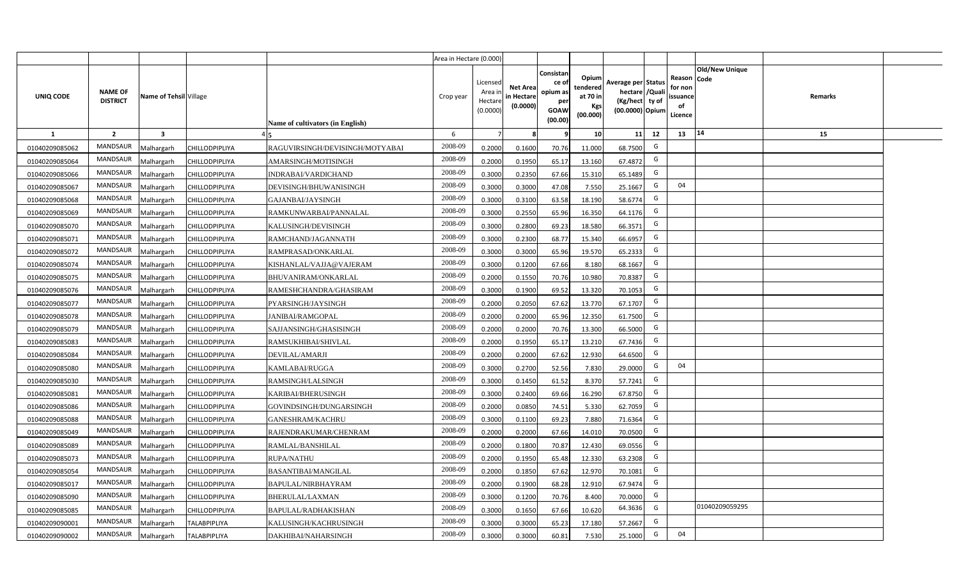|                |                                   |                         |                     |                                  | Area in Hectare (0.000) |                                          |                                           |                                                         |                                                         |                                                                           |    |                                                     |                       |         |  |
|----------------|-----------------------------------|-------------------------|---------------------|----------------------------------|-------------------------|------------------------------------------|-------------------------------------------|---------------------------------------------------------|---------------------------------------------------------|---------------------------------------------------------------------------|----|-----------------------------------------------------|-----------------------|---------|--|
| UNIQ CODE      | <b>NAME OF</b><br><b>DISTRICT</b> | Name of Tehsil Village  |                     | Name of cultivators (in English) | Crop year               | Licensed<br>Area i<br>Hectar<br>(0.0000) | <b>Net Area</b><br>in Hectare<br>(0.0000) | Consistan<br>ce o<br>opium as<br>per<br>GOAW<br>(00.00) | Opium<br>tendered<br>at 70 in<br><b>Kgs</b><br>(00.000) | Average per Status<br>hectare / Qual<br>(Kg/hect ty of<br>(00.0000) Opium |    | Reason Code<br>for nor<br>issuance<br>of<br>Licence | <b>Old/New Unique</b> | Remarks |  |
| 1              | $\overline{2}$                    | $\overline{\mathbf{3}}$ |                     |                                  | 6                       |                                          |                                           |                                                         | 10 <sup>1</sup>                                         | 11                                                                        | 12 | 13                                                  | $ 14\rangle$          | 15      |  |
| 01040209085062 | <b>MANDSAUR</b>                   | Malhargarh              | CHILLODPIPLIYA      | RAGUVIRSINGH/DEVISINGH/MOTYABAI  | 2008-09                 | 0.2000                                   | 0.1600                                    | 70.76                                                   | 11.000                                                  | 68.7500                                                                   | G  |                                                     |                       |         |  |
| 01040209085064 | <b>MANDSAUR</b>                   | Malhargarh              | CHILLODPIPLIYA      | AMARSINGH/MOTISINGH              | 2008-09                 | 0.2000                                   | 0.1950                                    | 65.17                                                   | 13.160                                                  | 67.4872                                                                   | G  |                                                     |                       |         |  |
| 01040209085066 | MANDSAUR                          | Malhargarh              | CHILLODPIPLIYA      | INDRABAI/VARDICHAND              | 2008-09                 | 0.3000                                   | 0.2350                                    | 67.66                                                   | 15.310                                                  | 65.1489                                                                   | G  |                                                     |                       |         |  |
| 01040209085067 | <b>MANDSAUR</b>                   | Malhargarh              | CHILLODPIPLIYA      | DEVISINGH/BHUWANISINGH           | 2008-09                 | 0.3000                                   | 0.3000                                    | 47.08                                                   | 7.550                                                   | 25.1667                                                                   | G  | 04                                                  |                       |         |  |
| 01040209085068 | <b>MANDSAUR</b>                   | Malhargarh              | CHILLODPIPLIYA      | GAJANBAI/JAYSINGH                | 2008-09                 | 0.3000                                   | 0.3100                                    | 63.58                                                   | 18.190                                                  | 58.6774                                                                   | G  |                                                     |                       |         |  |
| 01040209085069 | <b>MANDSAUR</b>                   | Malhargarh              | CHILLODPIPLIYA      | RAMKUNWARBAI/PANNALAL            | 2008-09                 | 0.300                                    | 0.2550                                    | 65.96                                                   | 16.350                                                  | 64.1176                                                                   | G  |                                                     |                       |         |  |
| 01040209085070 | <b>MANDSAUR</b>                   | Malhargarh              | CHILLODPIPLIYA      | KALUSINGH/DEVISINGH              | 2008-09                 | 0.300                                    | 0.2800                                    | 69.23                                                   | 18.580                                                  | 66.3571                                                                   | G  |                                                     |                       |         |  |
| 01040209085071 | <b>MANDSAUR</b>                   | Malhargarh              | CHILLODPIPLIYA      | RAMCHAND/JAGANNATH               | 2008-09                 | 0.300                                    | 0.2300                                    | 68.77                                                   | 15.340                                                  | 66.6957                                                                   | G  |                                                     |                       |         |  |
| 01040209085072 | MANDSAUR                          | Malhargarh              | CHILLODPIPLIYA      | RAMPRASAD/ONKARLAL               | 2008-09                 | 0.3000                                   | 0.3000                                    | 65.96                                                   | 19.570                                                  | 65.2333                                                                   | G  |                                                     |                       |         |  |
| 01040209085074 | <b>MANDSAUR</b>                   | Malhargarh              | CHILLODPIPLIYA      | KISHANLAL/VAJJA@VAJERAM          | 2008-09                 | 0.3000                                   | 0.1200                                    | 67.66                                                   | 8.180                                                   | 68.1667                                                                   | G  |                                                     |                       |         |  |
| 01040209085075 | MANDSAUR                          | Malhargarh              | CHILLODPIPLIYA      | <b>BHUVANIRAM/ONKARLAL</b>       | 2008-09                 | 0.2000                                   | 0.1550                                    | 70.76                                                   | 10.980                                                  | 70.8387                                                                   | G  |                                                     |                       |         |  |
| 01040209085076 | <b>MANDSAUR</b>                   | Malhargarh              | CHILLODPIPLIYA      | RAMESHCHANDRA/GHASIRAM           | 2008-09                 | 0.3000                                   | 0.1900                                    | 69.52                                                   | 13.320                                                  | 70.1053                                                                   | G  |                                                     |                       |         |  |
| 01040209085077 | <b>MANDSAUR</b>                   | Malhargarh              | CHILLODPIPLIYA      | PYARSINGH/JAYSINGH               | 2008-09                 | 0.2000                                   | 0.2050                                    | 67.62                                                   | 13.770                                                  | 67.1707                                                                   | G  |                                                     |                       |         |  |
| 01040209085078 | <b>MANDSAUR</b>                   | Malhargarh              | CHILLODPIPLIYA      | <b>JANIBAI/RAMGOPAL</b>          | 2008-09                 | 0.2000                                   | 0.2000                                    | 65.96                                                   | 12.350                                                  | 61.7500                                                                   | G  |                                                     |                       |         |  |
| 01040209085079 | <b>MANDSAUR</b>                   | Malhargarh              | CHILLODPIPLIYA      | SAJJANSINGH/GHASISINGH           | 2008-09                 | 0.2000                                   | 0.2000                                    | 70.76                                                   | 13.300                                                  | 66.5000                                                                   | G  |                                                     |                       |         |  |
| 01040209085083 | MANDSAUR                          | Malhargarh              | CHILLODPIPLIYA      | RAMSUKHIBAI/SHIVLAL              | 2008-09                 | 0.2000                                   | 0.1950                                    | 65.17                                                   | 13.210                                                  | 67.7436                                                                   | G  |                                                     |                       |         |  |
| 01040209085084 | <b>MANDSAUR</b>                   | Malhargarh              | CHILLODPIPLIYA      | DEVILAL/AMARJI                   | 2008-09                 | 0.2000                                   | 0.2000                                    | 67.62                                                   | 12.930                                                  | 64.6500                                                                   | G  |                                                     |                       |         |  |
| 01040209085080 | <b>MANDSAUR</b>                   | Malhargarh              | CHILLODPIPLIYA      | KAMLABAI/RUGGA                   | 2008-09                 | 0.3000                                   | 0.2700                                    | 52.56                                                   | 7.830                                                   | 29.0000                                                                   | G  | 04                                                  |                       |         |  |
| 01040209085030 | <b>MANDSAUR</b>                   | Malhargarh              | CHILLODPIPLIYA      | RAMSINGH/LALSINGH                | 2008-09                 | 0.3000                                   | 0.1450                                    | 61.52                                                   | 8.370                                                   | 57.7241                                                                   | G  |                                                     |                       |         |  |
| 01040209085081 | <b>MANDSAUR</b>                   | Malhargarh              | CHILLODPIPLIYA      | KARIBAI/BHERUSINGH               | 2008-09                 | 0.3000                                   | 0.2400                                    | 69.66                                                   | 16.290                                                  | 67.8750                                                                   | G  |                                                     |                       |         |  |
| 01040209085086 | <b>MANDSAUR</b>                   | Malhargarh              | CHILLODPIPLIYA      | GOVINDSINGH/DUNGARSINGH          | 2008-09                 | 0.2000                                   | 0.0850                                    | 74.51                                                   | 5.330                                                   | 62.7059                                                                   | G  |                                                     |                       |         |  |
| 01040209085088 | <b>MANDSAUR</b>                   | Malhargarh              | CHILLODPIPLIYA      | <b>GANESHRAM/KACHRU</b>          | 2008-09                 | 0.3000                                   | 0.1100                                    | 69.23                                                   | 7.880                                                   | 71.6364                                                                   | G  |                                                     |                       |         |  |
| 01040209085049 | <b>MANDSAUR</b>                   | Malhargarh              | CHILLODPIPLIYA      | RAJENDRAKUMAR/CHENRAM            | 2008-09                 | 0.2000                                   | 0.2000                                    | 67.66                                                   | 14.010                                                  | 70.0500                                                                   | G  |                                                     |                       |         |  |
| 01040209085089 | <b>MANDSAUR</b>                   | Malhargarh              | CHILLODPIPLIYA      | RAMLAL/BANSHILAL                 | 2008-09                 | 0.200                                    | 0.1800                                    | 70.87                                                   | 12.430                                                  | 69.0556                                                                   | G  |                                                     |                       |         |  |
| 01040209085073 | <b>MANDSAUR</b>                   | Malhargarh              | CHILLODPIPLIYA      | <b>RUPA/NATHU</b>                | 2008-09                 | 0.200                                    | 0.1950                                    | 65.48                                                   | 12.330                                                  | 63.2308                                                                   | G  |                                                     |                       |         |  |
| 01040209085054 | <b>MANDSAUR</b>                   | Malhargarh              | CHILLODPIPLIYA      | BASANTIBAI/MANGILAL              | 2008-09                 | 0.200                                    | 0.1850                                    | 67.62                                                   | 12.970                                                  | 70.1081                                                                   | G  |                                                     |                       |         |  |
| 01040209085017 | <b>MANDSAUR</b>                   | Malhargarh              | CHILLODPIPLIYA      | BAPULAL/NIRBHAYRAM               | 2008-09                 | 0.200                                    | 0.1900                                    | 68.28                                                   | 12.910                                                  | 67.9474                                                                   | G  |                                                     |                       |         |  |
| 01040209085090 | <b>MANDSAUR</b>                   | Malhargarh              | CHILLODPIPLIYA      | BHERULAL/LAXMAN                  | 2008-09                 | 0.3000                                   | 0.1200                                    | 70.76                                                   | 8.400                                                   | 70.0000                                                                   | G  |                                                     |                       |         |  |
| 01040209085085 | <b>MANDSAUR</b>                   | Malhargarh              | CHILLODPIPLIYA      | BAPULAL/RADHAKISHAN              | 2008-09                 | 0.3000                                   | 0.1650                                    | 67.66                                                   | 10.620                                                  | 64.3636                                                                   | G  |                                                     | 01040209059295        |         |  |
| 01040209090001 | <b>MANDSAUR</b>                   | Malhargarh              | <b>TALABPIPLIYA</b> | KALUSINGH/KACHRUSINGH            | 2008-09                 | 0.3000                                   | 0.3000                                    | 65.23                                                   | 17.180                                                  | 57.2667                                                                   | G  |                                                     |                       |         |  |
| 01040209090002 | <b>MANDSAUR</b>                   | Malhargarh              | <b>TALABPIPLIYA</b> | DAKHIBAI/NAHARSINGH              | 2008-09                 | 0.3000                                   | 0.3000                                    | 60.81                                                   | 7.530                                                   | 25.1000                                                                   | G  | 04                                                  |                       |         |  |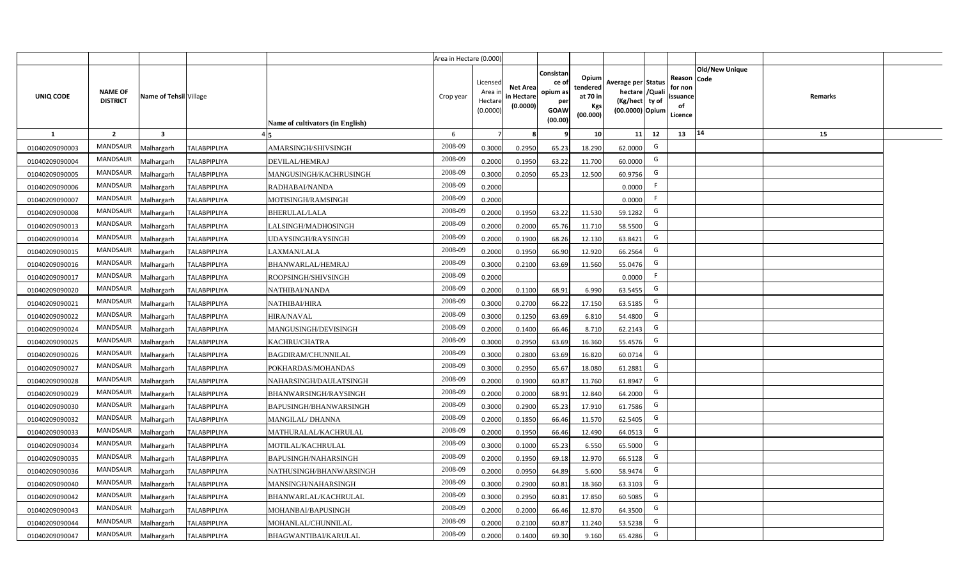|                |                                   |                        |                     |                                  | Area in Hectare (0.000) |                                           |                                           |                                                          |                                                  |                                                                            |                                                     |                |         |  |
|----------------|-----------------------------------|------------------------|---------------------|----------------------------------|-------------------------|-------------------------------------------|-------------------------------------------|----------------------------------------------------------|--------------------------------------------------|----------------------------------------------------------------------------|-----------------------------------------------------|----------------|---------|--|
| UNIQ CODE      | <b>NAME OF</b><br><b>DISTRICT</b> | Name of Tehsil Village |                     | Name of cultivators (in English) | Crop year               | Licensed<br>Area i<br>Hectare<br>(0.0000) | <b>Net Area</b><br>in Hectare<br>(0.0000) | Consistan<br>ce of<br>opium as<br>per<br>GOAW<br>(00.00) | Opium<br>tendered<br>at 70 in<br>Kgs<br>(00.000) | Average per Status<br>hectare / Quali<br>(Kg/hect ty of<br>(00.0000) Opium | Reason Code<br>for non<br>issuance<br>of<br>Licence | Old/New Unique | Remarks |  |
| $\mathbf{1}$   | $\overline{2}$                    | $\mathbf{3}$           |                     |                                  | -6                      | $\overline{7}$                            | 8                                         | 9                                                        | 10 <sup>1</sup>                                  | 11<br>12                                                                   | 13                                                  | 14             | 15      |  |
| 01040209090003 | MANDSAUR                          | Malhargarh             | <b>TALABPIPLIYA</b> | AMARSINGH/SHIVSINGH              | 2008-09                 | 0.3000                                    | 0.2950                                    | 65.23                                                    | 18.290                                           | G<br>62.0000                                                               |                                                     |                |         |  |
| 01040209090004 | MANDSAUR                          | Malhargarh             | <b>TALABPIPLIYA</b> | DEVILAL/HEMRAJ                   | 2008-09                 | 0.2000                                    | 0.1950                                    | 63.22                                                    | 11.700                                           | G<br>60.0000                                                               |                                                     |                |         |  |
| 01040209090005 | MANDSAUR                          | Malhargarh             | <b>TALABPIPLIYA</b> | MANGUSINGH/KACHRUSINGH           | 2008-09                 | 0.3000                                    | 0.2050                                    | 65.23                                                    | 12.500                                           | G<br>60.9756                                                               |                                                     |                |         |  |
| 01040209090006 | MANDSAUR                          | Malhargarh             | <b>TALABPIPLIYA</b> | RADHABAI/NANDA                   | 2008-09                 | 0.2000                                    |                                           |                                                          |                                                  | F.<br>0.0000                                                               |                                                     |                |         |  |
| 01040209090007 | MANDSAUR                          | Malhargarh             | <b>TALABPIPLIYA</b> | MOTISINGH/RAMSINGH               | 2008-09                 | 0.2000                                    |                                           |                                                          |                                                  | F.<br>0.0000                                                               |                                                     |                |         |  |
| 01040209090008 | MANDSAUR                          | Malhargarh             | <b>TALABPIPLIYA</b> | <b>BHERULAL/LALA</b>             | 2008-09                 | 0.2000                                    | 0.1950                                    | 63.22                                                    | 11.530                                           | G<br>59.1282                                                               |                                                     |                |         |  |
| 01040209090013 | MANDSAUR                          | Malhargarh             | TALABPIPLIYA        | LALSINGH/MADHOSINGH              | 2008-09                 | 0.2000                                    | 0.2000                                    | 65.76                                                    | 11.710                                           | G<br>58.5500                                                               |                                                     |                |         |  |
| 01040209090014 | <b>MANDSAUR</b>                   | Malhargarh             | <b>TALABPIPLIYA</b> | UDAYSINGH/RAYSINGH               | 2008-09                 | 0.2000                                    | 0.1900                                    | 68.26                                                    | 12.130                                           | G<br>63.8421                                                               |                                                     |                |         |  |
| 01040209090015 | MANDSAUR                          | Malhargarh             | <b>TALABPIPLIYA</b> | LAXMAN/LALA                      | 2008-09                 | 0.2000                                    | 0.1950                                    | 66.90                                                    | 12.920                                           | G<br>66.2564                                                               |                                                     |                |         |  |
| 01040209090016 | MANDSAUR                          | Malhargarh             | <b>TALABPIPLIYA</b> | BHANWARLAL/HEMRAJ                | 2008-09                 | 0.3000                                    | 0.2100                                    | 63.69                                                    | 11.560                                           | G<br>55.0476                                                               |                                                     |                |         |  |
| 01040209090017 | MANDSAUR                          | Malhargarh             | <b>TALABPIPLIYA</b> | ROOPSINGH/SHIVSINGH              | 2008-09                 | 0.2000                                    |                                           |                                                          |                                                  | F<br>0.0000                                                                |                                                     |                |         |  |
| 01040209090020 | MANDSAUR                          | Malhargarh             | <b>TALABPIPLIYA</b> | NATHIBAI/NANDA                   | 2008-09                 | 0.2000                                    | 0.1100                                    | 68.91                                                    | 6.990                                            | G<br>63.5455                                                               |                                                     |                |         |  |
| 01040209090021 | <b>MANDSAUR</b>                   | Malhargarh             | <b>TALABPIPLIYA</b> | NATHIBAI/HIRA                    | 2008-09                 | 0.3000                                    | 0.2700                                    | 66.22                                                    | 17.150                                           | G<br>63.5185                                                               |                                                     |                |         |  |
| 01040209090022 | MANDSAUR                          | Malhargarh             | <b>TALABPIPLIYA</b> | <b>HIRA/NAVAL</b>                | 2008-09                 | 0.3000                                    | 0.1250                                    | 63.69                                                    | 6.810                                            | G<br>54.4800                                                               |                                                     |                |         |  |
| 01040209090024 | MANDSAUR                          | Malhargarh             | <b>TALABPIPLIYA</b> | MANGUSINGH/DEVISINGH             | 2008-09                 | 0.2000                                    | 0.1400                                    | 66.46                                                    | 8.710                                            | G<br>62.2143                                                               |                                                     |                |         |  |
| 01040209090025 | MANDSAUR                          | Malhargarh             | <b>TALABPIPLIYA</b> | KACHRU/CHATRA                    | 2008-09                 | 0.3000                                    | 0.2950                                    | 63.69                                                    | 16.360                                           | G<br>55.4576                                                               |                                                     |                |         |  |
| 01040209090026 | <b>MANDSAUR</b>                   | Malhargarh             | <b>TALABPIPLIYA</b> | <b>BAGDIRAM/CHUNNILAL</b>        | 2008-09                 | 0.3000                                    | 0.2800                                    | 63.69                                                    | 16.820                                           | G<br>60.0714                                                               |                                                     |                |         |  |
| 01040209090027 | <b>MANDSAUR</b>                   | Malhargarh             | <b>TALABPIPLIYA</b> | POKHARDAS/MOHANDAS               | 2008-09                 | 0.3000                                    | 0.2950                                    | 65.67                                                    | 18.080                                           | G<br>61.2881                                                               |                                                     |                |         |  |
| 01040209090028 | MANDSAUR                          | Malhargarh             | <b>TALABPIPLIYA</b> | NAHARSINGH/DAULATSINGH           | 2008-09                 | 0.2000                                    | 0.1900                                    | 60.87                                                    | 11.760                                           | G<br>61.8947                                                               |                                                     |                |         |  |
| 01040209090029 | <b>MANDSAUR</b>                   | Malhargarh             | <b>TALABPIPLIYA</b> | BHANWARSINGH/RAYSINGH            | 2008-09                 | 0.2000                                    | 0.2000                                    | 68.91                                                    | 12.840                                           | G<br>64.2000                                                               |                                                     |                |         |  |
| 01040209090030 | <b>MANDSAUR</b>                   | Malhargarh             | <b>TALABPIPLIYA</b> | BAPUSINGH/BHANWARSINGH           | 2008-09                 | 0.3000                                    | 0.2900                                    | 65.23                                                    | 17.910                                           | G<br>61.7586                                                               |                                                     |                |         |  |
| 01040209090032 | MANDSAUR                          | Malhargarh             | <b>TALABPIPLIYA</b> | MANGILAL/DHANNA                  | 2008-09                 | 0.2000                                    | 0.1850                                    | 66.46                                                    | 11.570                                           | G<br>62.5405                                                               |                                                     |                |         |  |
| 01040209090033 | MANDSAUR                          | Malhargarh             | <b>TALABPIPLIYA</b> | MATHURALAL/KACHRULAL             | 2008-09                 | 0.2000                                    | 0.1950                                    | 66.46                                                    | 12.490                                           | G<br>64.0513                                                               |                                                     |                |         |  |
| 01040209090034 | <b>MANDSAUR</b>                   | Malhargarh             | <b>TALABPIPLIYA</b> | MOTILAL/KACHRULAL                | 2008-09                 | 0.3000                                    | 0.1000                                    | 65.23                                                    | 6.550                                            | G<br>65.5000                                                               |                                                     |                |         |  |
| 01040209090035 | <b>MANDSAUR</b>                   | Malhargarh             | <b>TALABPIPLIYA</b> | BAPUSINGH/NAHARSINGH             | 2008-09                 | 0.2000                                    | 0.1950                                    | 69.18                                                    | 12.970                                           | G<br>66.5128                                                               |                                                     |                |         |  |
| 01040209090036 | MANDSAUR                          | Malhargarh             | <b>TALABPIPLIYA</b> | NATHUSINGH/BHANWARSINGH          | 2008-09                 | 0.2000                                    | 0.0950                                    | 64.89                                                    | 5.600                                            | G<br>58.9474                                                               |                                                     |                |         |  |
| 01040209090040 | MANDSAUR                          | Malhargarh             | <b>TALABPIPLIYA</b> | MANSINGH/NAHARSINGH              | 2008-09                 | 0.3000                                    | 0.2900                                    | 60.81                                                    | 18.360                                           | G<br>63.3103                                                               |                                                     |                |         |  |
| 01040209090042 | MANDSAUR                          | Malhargarh             | <b>TALABPIPLIYA</b> | BHANWARLAL/KACHRULAL             | 2008-09                 | 0.3000                                    | 0.2950                                    | 60.81                                                    | 17.850                                           | G<br>60.5085                                                               |                                                     |                |         |  |
| 01040209090043 | MANDSAUR                          | Malhargarh             | <b>TALABPIPLIYA</b> | MOHANBAI/BAPUSINGH               | 2008-09                 | 0.2000                                    | 0.2000                                    | 66.46                                                    | 12.870                                           | G<br>64.3500                                                               |                                                     |                |         |  |
| 01040209090044 | MANDSAUR                          | Malhargarh             | <b>TALABPIPLIYA</b> | MOHANLAL/CHUNNILAL               | 2008-09                 | 0.2000                                    | 0.2100                                    | 60.87                                                    | 11.240                                           | G<br>53.5238                                                               |                                                     |                |         |  |
| 01040209090047 | MANDSAUR                          | Malhargarh             | <b>TALABPIPLIYA</b> | <b>BHAGWANTIBAI/KARULAL</b>      | 2008-09                 | 0.2000                                    | 0.1400                                    | 69.30                                                    | 9.160                                            | G<br>65.4286                                                               |                                                     |                |         |  |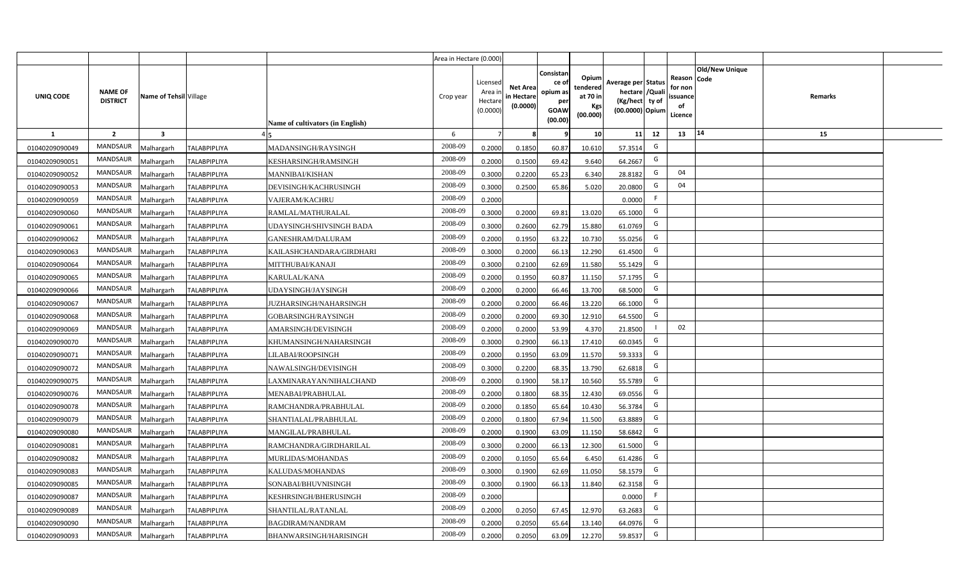|                |                                   |                         |                     |                                  | Area in Hectare (0.000) |                                           |                                           |                                                                 |                                                  |                                                                            |                                                    |                       |         |  |
|----------------|-----------------------------------|-------------------------|---------------------|----------------------------------|-------------------------|-------------------------------------------|-------------------------------------------|-----------------------------------------------------------------|--------------------------------------------------|----------------------------------------------------------------------------|----------------------------------------------------|-----------------------|---------|--|
| UNIQ CODE      | <b>NAME OF</b><br><b>DISTRICT</b> | Name of Tehsil Village  |                     | Name of cultivators (in English) | Crop year               | Licensed<br>Area i<br>Hectare<br>(0.0000) | <b>Net Area</b><br>in Hectare<br>(0.0000) | Consistan<br>ce of<br>opium as<br>per<br><b>GOAW</b><br>(00.00) | Opium<br>tendered<br>at 70 in<br>Kgs<br>(00.000) | Average per Status<br>hectare / Quali<br>(Kg/hect ty of<br>(00.0000) Opium | Reason Code<br>for non<br>ssuance<br>of<br>Licence | <b>Old/New Unique</b> | Remarks |  |
| $\mathbf{1}$   | $\overline{2}$                    | $\overline{\mathbf{3}}$ |                     |                                  | 6                       | $\overline{7}$                            | 8                                         | 9                                                               | 10 <sup>1</sup>                                  | 12<br>11                                                                   | 13                                                 | 14                    | 15      |  |
| 01040209090049 | MANDSAUR                          | Malhargarh              | <b>TALABPIPLIYA</b> | MADANSINGH/RAYSINGH              | 2008-09                 | 0.2000                                    | 0.1850                                    | 60.87                                                           | 10.610                                           | G<br>57.3514                                                               |                                                    |                       |         |  |
| 01040209090051 | MANDSAUR                          | <b>Aalhargarh</b>       | <b>TALABPIPLIYA</b> | KESHARSINGH/RAMSINGH             | 2008-09                 | 0.2000                                    | 0.1500                                    | 69.42                                                           | 9.640                                            | G<br>64.2667                                                               |                                                    |                       |         |  |
| 01040209090052 | MANDSAUR                          | Malhargarh              | <b>TALABPIPLIYA</b> | MANNIBAI/KISHAN                  | 2008-09                 | 0.3000                                    | 0.2200                                    | 65.23                                                           | 6.340                                            | G<br>28.8182                                                               | 04                                                 |                       |         |  |
| 01040209090053 | <b>MANDSAUR</b>                   | Malhargarh              | <b>TALABPIPLIYA</b> | DEVISINGH/KACHRUSINGH            | 2008-09                 | 0.3000                                    | 0.2500                                    | 65.86                                                           | 5.020                                            | G<br>20.0800                                                               | 04                                                 |                       |         |  |
| 01040209090059 | MANDSAUR                          | Malhargarh              | <b>TALABPIPLIYA</b> | VAJERAM/KACHRU                   | 2008-09                 | 0.2000                                    |                                           |                                                                 |                                                  | F<br>0.0000                                                                |                                                    |                       |         |  |
| 01040209090060 | MANDSAUR                          | Malhargarh              | <b>TALABPIPLIYA</b> | RAMLAL/MATHURALAL                | 2008-09                 | 0.3000                                    | 0.2000                                    | 69.81                                                           | 13.020                                           | G<br>65.1000                                                               |                                                    |                       |         |  |
| 01040209090061 | MANDSAUR                          | Malhargarh              | <b>TALABPIPLIYA</b> | UDAYSINGH/SHIVSINGH BADA         | 2008-09                 | 0.3000                                    | 0.2600                                    | 62.79                                                           | 15.880                                           | G<br>61.0769                                                               |                                                    |                       |         |  |
| 01040209090062 | <b>MANDSAUR</b>                   | Malhargarh              | <b>TALABPIPLIYA</b> | GANESHRAM/DALURAM                | 2008-09                 | 0.2000                                    | 0.1950                                    | 63.22                                                           | 10.730                                           | G<br>55.0256                                                               |                                                    |                       |         |  |
| 01040209090063 | <b>MANDSAUR</b>                   | Malhargarh              | <b>TALABPIPLIYA</b> | KAILASHCHANDARA/GIRDHARI         | 2008-09                 | 0.3000                                    | 0.2000                                    | 66.13                                                           | 12.290                                           | G<br>61.4500                                                               |                                                    |                       |         |  |
| 01040209090064 | <b>MANDSAUR</b>                   | Malhargarh              | <b>TALABPIPLIYA</b> | MITTHUBAI/KANAJI                 | 2008-09                 | 0.3000                                    | 0.2100                                    | 62.69                                                           | 11.580                                           | G<br>55.1429                                                               |                                                    |                       |         |  |
| 01040209090065 | MANDSAUR                          | Malhargarh              | <b>TALABPIPLIYA</b> | KARULAL/KANA                     | 2008-09                 | 0.2000                                    | 0.1950                                    | 60.87                                                           | 11.150                                           | G<br>57.1795                                                               |                                                    |                       |         |  |
| 01040209090066 | <b>MANDSAUR</b>                   | Malhargarh              | <b>TALABPIPLIYA</b> | UDAYSINGH/JAYSINGH               | 2008-09                 | 0.2000                                    | 0.2000                                    | 66.46                                                           | 13.700                                           | G<br>68.5000                                                               |                                                    |                       |         |  |
| 01040209090067 | MANDSAUR                          | Malhargarh              | <b>TALABPIPLIYA</b> | JUZHARSINGH/NAHARSINGH           | 2008-09                 | 0.2000                                    | 0.2000                                    | 66.46                                                           | 13.220                                           | G<br>66.1000                                                               |                                                    |                       |         |  |
| 01040209090068 | <b>MANDSAUR</b>                   | Malhargarh              | <b>TALABPIPLIYA</b> | GOBARSINGH/RAYSINGH              | 2008-09                 | 0.2000                                    | 0.2000                                    | 69.30                                                           | 12.910                                           | G<br>64.5500                                                               |                                                    |                       |         |  |
| 01040209090069 | <b>MANDSAUR</b>                   | Malhargarh              | <b>TALABPIPLIYA</b> | AMARSINGH/DEVISINGH              | 2008-09                 | 0.2000                                    | 0.2000                                    | 53.99                                                           | 4.370                                            | 21.8500                                                                    | 02                                                 |                       |         |  |
| 01040209090070 | <b>MANDSAUR</b>                   | Malhargarh              | <b>TALABPIPLIYA</b> | KHUMANSINGH/NAHARSINGH           | 2008-09                 | 0.3000                                    | 0.2900                                    | 66.13                                                           | 17.410                                           | G<br>60.0345                                                               |                                                    |                       |         |  |
| 01040209090071 | <b>MANDSAUR</b>                   | Malhargarh              | <b>TALABPIPLIYA</b> | LILABAI/ROOPSINGH                | 2008-09                 | 0.2000                                    | 0.1950                                    | 63.09                                                           | 11.570                                           | G<br>59.3333                                                               |                                                    |                       |         |  |
| 01040209090072 | <b>MANDSAUR</b>                   | Malhargarh              | <b>TALABPIPLIYA</b> | NAWALSINGH/DEVISINGH             | 2008-09                 | 0.3000                                    | 0.2200                                    | 68.35                                                           | 13.790                                           | G<br>62.6818                                                               |                                                    |                       |         |  |
| 01040209090075 | <b>MANDSAUR</b>                   | Malhargarh              | <b>TALABPIPLIYA</b> | LAXMINARAYAN/NIHALCHAND          | 2008-09                 | 0.2000                                    | 0.1900                                    | 58.17                                                           | 10.560                                           | G<br>55.5789                                                               |                                                    |                       |         |  |
| 01040209090076 | MANDSAUR                          | Malhargarh              | <b>TALABPIPLIYA</b> | MENABAI/PRABHULAL                | 2008-09                 | 0.2000                                    | 0.1800                                    | 68.35                                                           | 12.430                                           | G<br>69.0556                                                               |                                                    |                       |         |  |
| 01040209090078 | MANDSAUR                          | Malhargarh              | <b>TALABPIPLIYA</b> | RAMCHANDRA/PRABHULAL             | 2008-09                 | 0.2000                                    | 0.1850                                    | 65.64                                                           | 10.430                                           | G<br>56.3784                                                               |                                                    |                       |         |  |
| 01040209090079 | MANDSAUR                          | Malhargarh              | <b>TALABPIPLIYA</b> | SHANTIALAL/PRABHULAL             | 2008-09                 | 0.2000                                    | 0.1800                                    | 67.94                                                           | 11.500                                           | G<br>63.8889                                                               |                                                    |                       |         |  |
| 01040209090080 | <b>MANDSAUR</b>                   | Malhargarh              | <b>TALABPIPLIYA</b> | MANGILAL/PRABHULAL               | 2008-09                 | 0.2000                                    | 0.1900                                    | 63.09                                                           | 11.150                                           | G<br>58.6842                                                               |                                                    |                       |         |  |
| 01040209090081 | MANDSAUR                          | Malhargarh              | <b>TALABPIPLIYA</b> | RAMCHANDRA/GIRDHARILAL           | 2008-09                 | 0.3000                                    | 0.2000                                    | 66.13                                                           | 12.300                                           | G<br>61.5000                                                               |                                                    |                       |         |  |
| 01040209090082 | <b>MANDSAUR</b>                   | Malhargarh              | <b>TALABPIPLIYA</b> | MURLIDAS/MOHANDAS                | 2008-09                 | 0.2000                                    | 0.1050                                    | 65.64                                                           | 6.450                                            | G<br>61.4286                                                               |                                                    |                       |         |  |
| 01040209090083 | MANDSAUR                          | Malhargarh              | <b>TALABPIPLIYA</b> | KALUDAS/MOHANDAS                 | 2008-09                 | 0.3000                                    | 0.1900                                    | 62.69                                                           | 11.050                                           | G<br>58.1579                                                               |                                                    |                       |         |  |
| 01040209090085 | MANDSAUR                          | Malhargarh              | <b>TALABPIPLIYA</b> | SONABAI/BHUVNISINGH              | 2008-09                 | 0.3000                                    | 0.1900                                    | 66.13                                                           | 11.840                                           | G<br>62.3158                                                               |                                                    |                       |         |  |
| 01040209090087 | MANDSAUR                          | Malhargarh              | <b>TALABPIPLIYA</b> | KESHRSINGH/BHERUSINGH            | 2008-09                 | 0.2000                                    |                                           |                                                                 |                                                  | -F<br>0.0000                                                               |                                                    |                       |         |  |
| 01040209090089 | MANDSAUR                          | Malhargarh              | <b>TALABPIPLIYA</b> | SHANTILAL/RATANLAL               | 2008-09                 | 0.2000                                    | 0.2050                                    | 67.45                                                           | 12.970                                           | G<br>63.2683                                                               |                                                    |                       |         |  |
| 01040209090090 | MANDSAUR                          | Malhargarh              | <b>TALABPIPLIYA</b> | <b>BAGDIRAM/NANDRAM</b>          | 2008-09                 | 0.2000                                    | 0.2050                                    | 65.64                                                           | 13.140                                           | G<br>64.0976                                                               |                                                    |                       |         |  |
| 01040209090093 | MANDSAUR                          | Malhargarh              | <b>TALABPIPLIYA</b> | BHANWARSINGH/HARISINGH           | 2008-09                 | 0.2000                                    | 0.2050                                    | 63.09                                                           | 12.270                                           | G<br>59.8537                                                               |                                                    |                       |         |  |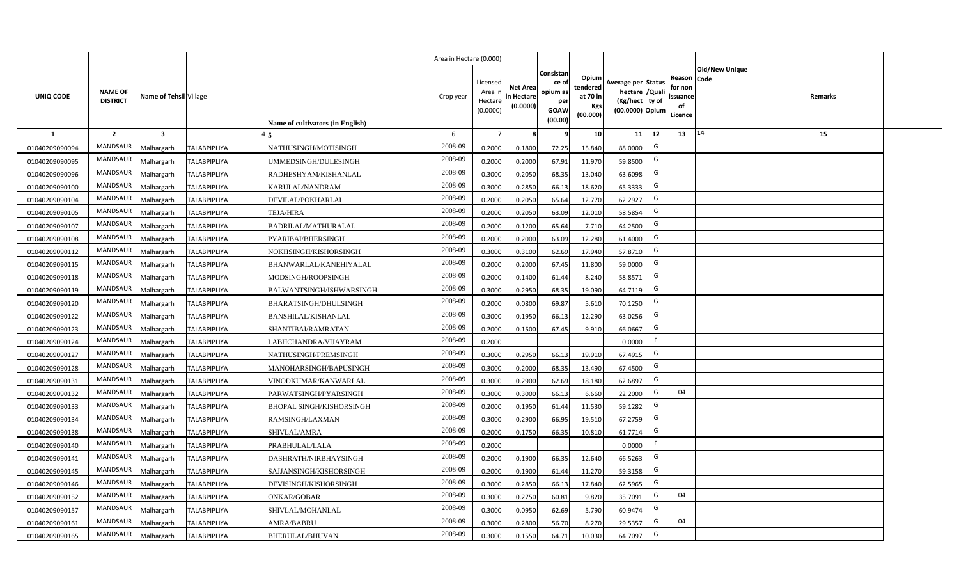|                |                                   |                         |                     |                                  | Area in Hectare (0.000) |                                           |                                           |                                                         |                                                         |                                                                            |                                                     |                       |         |  |
|----------------|-----------------------------------|-------------------------|---------------------|----------------------------------|-------------------------|-------------------------------------------|-------------------------------------------|---------------------------------------------------------|---------------------------------------------------------|----------------------------------------------------------------------------|-----------------------------------------------------|-----------------------|---------|--|
| UNIQ CODE      | <b>NAME OF</b><br><b>DISTRICT</b> | Name of Tehsil Village  |                     | Name of cultivators (in English) | Crop year               | Licensed<br>Area i<br>Hectare<br>(0.0000) | <b>Net Area</b><br>in Hectare<br>(0.0000) | Consistan<br>ce o<br>opium as<br>per<br>GOAW<br>(00.00) | Opium<br>tendered<br>at 70 in<br><b>Kgs</b><br>(00.000) | Average per Status<br>hectare / Quali<br>(Kg/hect ty of<br>(00.0000) Opium | Reason Code<br>for non<br>issuance<br>of<br>Licence | <b>Old/New Unique</b> | Remarks |  |
| $\mathbf{1}$   | $\overline{2}$                    | $\overline{\mathbf{3}}$ |                     |                                  | 6                       | $\overline{7}$                            |                                           | 9                                                       | 10 <sup>1</sup>                                         | 12<br>11                                                                   | 13                                                  | 14                    | 15      |  |
| 01040209090094 | MANDSAUR                          | <b>Aalhargarh</b>       | <b>TALABPIPLIYA</b> | NATHUSINGH/MOTISINGH             | 2008-09                 | 0.2000                                    | 0.1800                                    | 72.25                                                   | 15.840                                                  | G<br>88,0000                                                               |                                                     |                       |         |  |
| 01040209090095 | MANDSAUR                          | Malhargarh              | <b>TALABPIPLIYA</b> | UMMEDSINGH/DULESINGH             | 2008-09                 | 0.2000                                    | 0.2000                                    | 67.91                                                   | 11.970                                                  | G<br>59.8500                                                               |                                                     |                       |         |  |
| 01040209090096 | MANDSAUR                          | Malhargarh              | <b>TALABPIPLIYA</b> | RADHESHYAM/KISHANLAL             | 2008-09                 | 0.3000                                    | 0.2050                                    | 68.35                                                   | 13.040                                                  | G<br>63.6098                                                               |                                                     |                       |         |  |
| 01040209090100 | MANDSAUR                          | Malhargarh              | <b>TALABPIPLIYA</b> | KARULAL/NANDRAM                  | 2008-09                 | 0.3000                                    | 0.2850                                    | 66.13                                                   | 18.620                                                  | G<br>65.3333                                                               |                                                     |                       |         |  |
| 01040209090104 | <b>MANDSAUR</b>                   | Malhargarh              | <b>TALABPIPLIYA</b> | DEVILAL/POKHARLAL                | 2008-09                 | 0.2000                                    | 0.2050                                    | 65.64                                                   | 12.770                                                  | G<br>62.2927                                                               |                                                     |                       |         |  |
| 01040209090105 | MANDSAUR                          | Malhargarh              | <b>TALABPIPLIYA</b> | <b>TEJA/HIRA</b>                 | 2008-09                 | 0.2000                                    | 0.2050                                    | 63.09                                                   | 12.010                                                  | G<br>58.5854                                                               |                                                     |                       |         |  |
| 01040209090107 | MANDSAUR                          | Malhargarh              | <b>TALABPIPLIYA</b> | <b>BADRILAL/MATHURALAL</b>       | 2008-09                 | 0.2000                                    | 0.1200                                    | 65.64                                                   | 7.710                                                   | G<br>64.2500                                                               |                                                     |                       |         |  |
| 01040209090108 | <b>MANDSAUR</b>                   | Malhargarh              | <b>TALABPIPLIYA</b> | PYARIBAI/BHERSINGH               | 2008-09                 | 0.2000                                    | 0.2000                                    | 63.09                                                   | 12.280                                                  | G<br>61.4000                                                               |                                                     |                       |         |  |
| 01040209090112 | <b>MANDSAUR</b>                   | Malhargarh              | <b>TALABPIPLIYA</b> | NOKHSINGH/KISHORSINGH            | 2008-09                 | 0.3000                                    | 0.3100                                    | 62.69                                                   | 17.940                                                  | G<br>57.8710                                                               |                                                     |                       |         |  |
| 01040209090115 | <b>MANDSAUR</b>                   | Malhargarh              | <b>TALABPIPLIYA</b> | BHANWARLAL/KANEHIYALAL           | 2008-09                 | 0.2000                                    | 0.2000                                    | 67.45                                                   | 11.800                                                  | G<br>59.0000                                                               |                                                     |                       |         |  |
| 01040209090118 | <b>MANDSAUR</b>                   | Malhargarh              | <b>TALABPIPLIYA</b> | MODSINGH/ROOPSINGH               | 2008-09                 | 0.2000                                    | 0.1400                                    | 61.44                                                   | 8.240                                                   | G<br>58.8571                                                               |                                                     |                       |         |  |
| 01040209090119 | MANDSAUR                          | Malhargarh              | <b>TALABPIPLIYA</b> | BALWANTSINGH/ISHWARSINGH         | 2008-09                 | 0.3000                                    | 0.2950                                    | 68.35                                                   | 19.090                                                  | G<br>64.7119                                                               |                                                     |                       |         |  |
| 01040209090120 | <b>MANDSAUR</b>                   | Malhargarh              | <b>TALABPIPLIYA</b> | BHARATSINGH/DHULSINGH            | 2008-09                 | 0.2000                                    | 0.0800                                    | 69.87                                                   | 5.610                                                   | G<br>70.1250                                                               |                                                     |                       |         |  |
| 01040209090122 | MANDSAUR                          | Malhargarh              | <b>TALABPIPLIYA</b> | BANSHILAL/KISHANLAL              | 2008-09                 | 0.3000                                    | 0.1950                                    | 66.13                                                   | 12.290                                                  | G<br>63.0256                                                               |                                                     |                       |         |  |
| 01040209090123 | <b>MANDSAUR</b>                   | Malhargarh              | <b>TALABPIPLIYA</b> | SHANTIBAI/RAMRATAN               | 2008-09                 | 0.2000                                    | 0.1500                                    | 67.45                                                   | 9.910                                                   | G<br>66.0667                                                               |                                                     |                       |         |  |
| 01040209090124 | <b>MANDSAUR</b>                   | Malhargarh              | <b>TALABPIPLIYA</b> | LABHCHANDRA/VIJAYRAM             | 2008-09                 | 0.2000                                    |                                           |                                                         |                                                         | F.<br>0.0000                                                               |                                                     |                       |         |  |
| 01040209090127 | <b>MANDSAUR</b>                   | Malhargarh              | <b>TALABPIPLIYA</b> | NATHUSINGH/PREMSINGH             | 2008-09                 | 0.3000                                    | 0.2950                                    | 66.13                                                   | 19.910                                                  | G<br>67.4915                                                               |                                                     |                       |         |  |
| 01040209090128 | <b>MANDSAUR</b>                   | Malhargarh              | <b>TALABPIPLIYA</b> | MANOHARSINGH/BAPUSINGH           | 2008-09                 | 0.3000                                    | 0.2000                                    | 68.35                                                   | 13.490                                                  | G<br>67.4500                                                               |                                                     |                       |         |  |
| 01040209090131 | <b>MANDSAUR</b>                   | Malhargarh              | <b>TALABPIPLIYA</b> | VINODKUMAR/KANWARLAL             | 2008-09                 | 0.3000                                    | 0.2900                                    | 62.69                                                   | 18.180                                                  | G<br>62.6897                                                               |                                                     |                       |         |  |
| 01040209090132 | <b>MANDSAUR</b>                   | Malhargarh              | <b>TALABPIPLIYA</b> | PARWATSINGH/PYARSINGH            | 2008-09                 | 0.3000                                    | 0.3000                                    | 66.13                                                   | 6.660                                                   | G<br>22.2000                                                               | 04                                                  |                       |         |  |
| 01040209090133 | MANDSAUR                          | Malhargarh              | <b>TALABPIPLIYA</b> | BHOPAL SINGH/KISHORSINGH         | 2008-09                 | 0.2000                                    | 0.1950                                    | 61.44                                                   | 11.530                                                  | G<br>59.1282                                                               |                                                     |                       |         |  |
| 01040209090134 | MANDSAUR                          | Malhargarh              | <b>TALABPIPLIYA</b> | RAMSINGH/LAXMAN                  | 2008-09                 | 0.3000                                    | 0.2900                                    | 66.95                                                   | 19.510                                                  | G<br>67.2759                                                               |                                                     |                       |         |  |
| 01040209090138 | <b>MANDSAUR</b>                   | <b>Aalhargarh</b>       | <b>TALABPIPLIYA</b> | SHIVLAL/AMRA                     | 2008-09                 | 0.2000                                    | 0.1750                                    | 66.35                                                   | 10.810                                                  | G<br>61.7714                                                               |                                                     |                       |         |  |
| 01040209090140 | <b>MANDSAUR</b>                   | Malhargarh              | <b>TALABPIPLIYA</b> | PRABHULAL/LALA                   | 2008-09                 | 0.2000                                    |                                           |                                                         |                                                         | -F<br>0.0000                                                               |                                                     |                       |         |  |
| 01040209090141 | <b>MANDSAUR</b>                   | Malhargarh              | TALABPIPLIYA        | DASHRATH/NIRBHAYSINGH            | 2008-09                 | 0.2000                                    | 0.1900                                    | 66.35                                                   | 12.640                                                  | G<br>66.5263                                                               |                                                     |                       |         |  |
| 01040209090145 | MANDSAUR                          | Malhargarh              | <b>TALABPIPLIYA</b> | SAJJANSINGH/KISHORSINGH          | 2008-09                 | 0.2000                                    | 0.1900                                    | 61.44                                                   | 11.270                                                  | G<br>59.3158                                                               |                                                     |                       |         |  |
| 01040209090146 | MANDSAUR                          | Malhargarh              | <b>TALABPIPLIYA</b> | DEVISINGH/KISHORSINGH            | 2008-09                 | 0.3000                                    | 0.2850                                    | 66.13                                                   | 17.840                                                  | G<br>62.5965                                                               |                                                     |                       |         |  |
| 01040209090152 | MANDSAUR                          | Malhargarh              | <b>TALABPIPLIYA</b> | <b>ONKAR/GOBAR</b>               | 2008-09                 | 0.3000                                    | 0.2750                                    | 60.81                                                   | 9.820                                                   | G<br>35.7091                                                               | 04                                                  |                       |         |  |
| 01040209090157 | MANDSAUR                          | Malhargarh              | <b>TALABPIPLIYA</b> | SHIVLAL/MOHANLAL                 | 2008-09                 | 0.3000                                    | 0.0950                                    | 62.69                                                   | 5.790                                                   | G<br>60.9474                                                               |                                                     |                       |         |  |
| 01040209090161 | MANDSAUR                          | Malhargarh              | <b>TALABPIPLIYA</b> | AMRA/BABRU                       | 2008-09                 | 0.3000                                    | 0.2800                                    | 56.70                                                   | 8.270                                                   | G<br>29.5357                                                               | 04                                                  |                       |         |  |
| 01040209090165 | MANDSAUR                          | Malhargarh              | <b>TALABPIPLIYA</b> | <b>BHERULAL/BHUVAN</b>           | 2008-09                 | 0.3000                                    | 0.1550                                    | 64.71                                                   | 10.030                                                  | G<br>64.7097                                                               |                                                     |                       |         |  |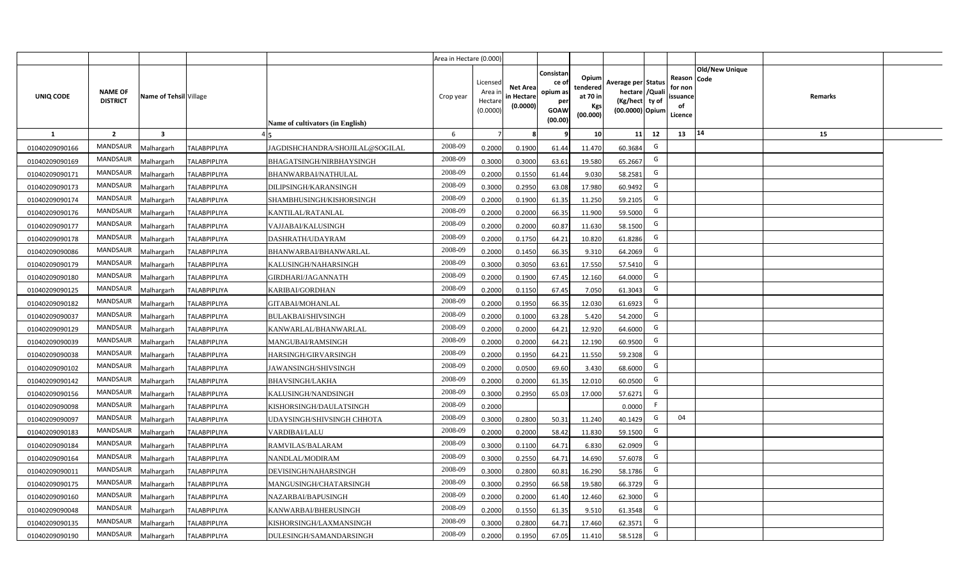|                |                                   |                         |                     |                                  | Area in Hectare (0.000) |                                           |                                           |                                                                 |                                                  |                                                                            |                                                    |                |         |  |
|----------------|-----------------------------------|-------------------------|---------------------|----------------------------------|-------------------------|-------------------------------------------|-------------------------------------------|-----------------------------------------------------------------|--------------------------------------------------|----------------------------------------------------------------------------|----------------------------------------------------|----------------|---------|--|
| UNIQ CODE      | <b>NAME OF</b><br><b>DISTRICT</b> | Name of Tehsil Village  |                     | Name of cultivators (in English) | Crop year               | Licensed<br>Area i<br>Hectare<br>(0.0000) | <b>Net Area</b><br>in Hectare<br>(0.0000) | Consistan<br>ce of<br>opium as<br>per<br><b>GOAW</b><br>(00.00) | Opium<br>tendered<br>at 70 in<br>Kgs<br>(00.000) | Average per Status<br>hectare / Quali<br>(Kg/hect ty of<br>(00.0000) Opium | Reason Code<br>for non<br>ssuance<br>of<br>Licence | Old/New Unique | Remarks |  |
| $\mathbf{1}$   | $\overline{2}$                    | $\overline{\mathbf{3}}$ |                     |                                  | -6                      | $\overline{7}$                            | 8                                         | 9                                                               | 10 <sup>1</sup>                                  | 12<br>11                                                                   | 13                                                 | 14             | 15      |  |
| 01040209090166 | MANDSAUR                          | Malhargarh              | <b>TALABPIPLIYA</b> | JAGDISHCHANDRA/SHOJILAL@SOGILAL  | 2008-09                 | 0.2000                                    | 0.1900                                    | 61.44                                                           | 11.470                                           | G<br>60.3684                                                               |                                                    |                |         |  |
| 01040209090169 | MANDSAUR                          | <b>Aalhargarh</b>       | <b>TALABPIPLIYA</b> | BHAGATSINGH/NIRBHAYSINGH         | 2008-09                 | 0.3000                                    | 0.3000                                    | 63.61                                                           | 19.580                                           | G<br>65.2667                                                               |                                                    |                |         |  |
| 01040209090171 | MANDSAUR                          | Malhargarh              | <b>TALABPIPLIYA</b> | BHANWARBAI/NATHULAL              | 2008-09                 | 0.2000                                    | 0.1550                                    | 61.44                                                           | 9.030                                            | G<br>58.2581                                                               |                                                    |                |         |  |
| 01040209090173 | <b>MANDSAUR</b>                   | Malhargarh              | <b>TALABPIPLIYA</b> | DILIPSINGH/KARANSINGH            | 2008-09                 | 0.3000                                    | 0.2950                                    | 63.08                                                           | 17.980                                           | G<br>60.9492                                                               |                                                    |                |         |  |
| 01040209090174 | MANDSAUR                          | Malhargarh              | <b>TALABPIPLIYA</b> | SHAMBHUSINGH/KISHORSINGH         | 2008-09                 | 0.2000                                    | 0.1900                                    | 61.35                                                           | 11.250                                           | G<br>59.2105                                                               |                                                    |                |         |  |
| 01040209090176 | MANDSAUR                          | Malhargarh              | <b>TALABPIPLIYA</b> | KANTILAL/RATANLAL                | 2008-09                 | 0.2000                                    | 0.2000                                    | 66.35                                                           | 11.900                                           | G<br>59.5000                                                               |                                                    |                |         |  |
| 01040209090177 | MANDSAUR                          | Malhargarh              | <b>TALABPIPLIYA</b> | VAJJABAI/KALUSINGH               | 2008-09                 | 0.2000                                    | 0.2000                                    | 60.87                                                           | 11.630                                           | G<br>58.1500                                                               |                                                    |                |         |  |
| 01040209090178 | <b>MANDSAUR</b>                   | Malhargarh              | <b>TALABPIPLIYA</b> | DASHRATH/UDAYRAM                 | 2008-09                 | 0.2000                                    | 0.1750                                    | 64.21                                                           | 10.820                                           | G<br>61.8286                                                               |                                                    |                |         |  |
| 01040209090086 | <b>MANDSAUR</b>                   | Malhargarh              | <b>TALABPIPLIYA</b> | BHANWARBAI/BHANWARLAL            | 2008-09                 | 0.2000                                    | 0.1450                                    | 66.35                                                           | 9.310                                            | G<br>64.2069                                                               |                                                    |                |         |  |
| 01040209090179 | <b>MANDSAUR</b>                   | Malhargarh              | <b>TALABPIPLIYA</b> | KALUSINGH/NAHARSINGH             | 2008-09                 | 0.3000                                    | 0.3050                                    | 63.61                                                           | 17.550                                           | G<br>57.5410                                                               |                                                    |                |         |  |
| 01040209090180 | MANDSAUR                          | Malhargarh              | <b>TALABPIPLIYA</b> | GIRDHARI/JAGANNATH               | 2008-09                 | 0.2000                                    | 0.1900                                    | 67.45                                                           | 12.160                                           | G<br>64.0000                                                               |                                                    |                |         |  |
| 01040209090125 | MANDSAUR                          | Malhargarh              | <b>TALABPIPLIYA</b> | KARIBAI/GORDHAN                  | 2008-09                 | 0.2000                                    | 0.1150                                    | 67.45                                                           | 7.050                                            | G<br>61.3043                                                               |                                                    |                |         |  |
| 01040209090182 | MANDSAUR                          | Malhargarh              | <b>TALABPIPLIYA</b> | GITABAI/MOHANLAL                 | 2008-09                 | 0.2000                                    | 0.1950                                    | 66.35                                                           | 12.030                                           | G<br>61.6923                                                               |                                                    |                |         |  |
| 01040209090037 | <b>MANDSAUR</b>                   | Malhargarh              | <b>TALABPIPLIYA</b> | <b>BULAKBAI/SHIVSINGH</b>        | 2008-09                 | 0.2000                                    | 0.1000                                    | 63.28                                                           | 5.420                                            | G<br>54.2000                                                               |                                                    |                |         |  |
| 01040209090129 | <b>MANDSAUR</b>                   | Malhargarh              | <b>TALABPIPLIYA</b> | KANWARLAL/BHANWARLAL             | 2008-09                 | 0.2000                                    | 0.2000                                    | 64.21                                                           | 12.920                                           | G<br>64.6000                                                               |                                                    |                |         |  |
| 01040209090039 | <b>MANDSAUR</b>                   | Malhargarh              | <b>TALABPIPLIYA</b> | MANGUBAI/RAMSINGH                | 2008-09                 | 0.2000                                    | 0.2000                                    | 64.21                                                           | 12.190                                           | G<br>60.9500                                                               |                                                    |                |         |  |
| 01040209090038 | <b>MANDSAUR</b>                   | Malhargarh              | <b>TALABPIPLIYA</b> | HARSINGH/GIRVARSINGH             | 2008-09                 | 0.2000                                    | 0.1950                                    | 64.21                                                           | 11.550                                           | G<br>59.2308                                                               |                                                    |                |         |  |
| 01040209090102 | <b>MANDSAUR</b>                   | Malhargarh              | <b>TALABPIPLIYA</b> | JAWANSINGH/SHIVSINGH             | 2008-09                 | 0.2000                                    | 0.0500                                    | 69.60                                                           | 3.430                                            | G<br>68.6000                                                               |                                                    |                |         |  |
| 01040209090142 | <b>MANDSAUR</b>                   | Malhargarh              | <b>TALABPIPLIYA</b> | BHAVSINGH/LAKHA                  | 2008-09                 | 0.2000                                    | 0.2000                                    | 61.35                                                           | 12.010                                           | G<br>60.0500                                                               |                                                    |                |         |  |
| 01040209090156 | MANDSAUR                          | Malhargarh              | <b>TALABPIPLIYA</b> | KALUSINGH/NANDSINGH              | 2008-09                 | 0.3000                                    | 0.2950                                    | 65.03                                                           | 17.000                                           | G<br>57.6271                                                               |                                                    |                |         |  |
| 01040209090098 | MANDSAUR                          | Malhargarh              | <b>TALABPIPLIYA</b> | KISHORSINGH/DAULATSINGH          | 2008-09                 | 0.2000                                    |                                           |                                                                 |                                                  | F.<br>0.0000                                                               |                                                    |                |         |  |
| 01040209090097 | MANDSAUR                          | Malhargarh              | <b>TALABPIPLIYA</b> | UDAYSINGH/SHIVSINGH CHHOTA       | 2008-09                 | 0.3000                                    | 0.2800                                    | 50.31                                                           | 11.240                                           | G<br>40.1429                                                               | 04                                                 |                |         |  |
| 01040209090183 | <b>MANDSAUR</b>                   | Malhargarh              | <b>TALABPIPLIYA</b> | VARDIBAI/LALU                    | 2008-09                 | 0.2000                                    | 0.2000                                    | 58.42                                                           | 11.830                                           | G<br>59.1500                                                               |                                                    |                |         |  |
| 01040209090184 | MANDSAUR                          | Malhargarh              | <b>TALABPIPLIYA</b> | RAMVILAS/BALARAM                 | 2008-09                 | 0.3000                                    | 0.1100                                    | 64.71                                                           | 6.830                                            | G<br>62.0909                                                               |                                                    |                |         |  |
| 01040209090164 | MANDSAUR                          | Malhargarh              | <b>TALABPIPLIYA</b> | NANDLAL/MODIRAM                  | 2008-09                 | 0.3000                                    | 0.2550                                    | 64.71                                                           | 14.690                                           | G<br>57.6078                                                               |                                                    |                |         |  |
| 01040209090011 | MANDSAUR                          | Malhargarh              | <b>TALABPIPLIYA</b> | DEVISINGH/NAHARSINGH             | 2008-09                 | 0.3000                                    | 0.2800                                    | 60.81                                                           | 16.290                                           | G<br>58.1786                                                               |                                                    |                |         |  |
| 01040209090175 | MANDSAUR                          | Malhargarh              | <b>TALABPIPLIYA</b> | MANGUSINGH/CHATARSINGH           | 2008-09                 | 0.3000                                    | 0.2950                                    | 66.58                                                           | 19.580                                           | G<br>66.3729                                                               |                                                    |                |         |  |
| 01040209090160 | MANDSAUR                          | Malhargarh              | <b>TALABPIPLIYA</b> | NAZARBAI/BAPUSINGH               | 2008-09                 | 0.2000                                    | 0.2000                                    | 61.40                                                           | 12.460                                           | G<br>62.3000                                                               |                                                    |                |         |  |
| 01040209090048 | MANDSAUR                          | Malhargarh              | <b>TALABPIPLIYA</b> | KANWARBAI/BHERUSINGH             | 2008-09                 | 0.2000                                    | 0.1550                                    | 61.35                                                           | 9.510                                            | G<br>61.3548                                                               |                                                    |                |         |  |
| 01040209090135 | MANDSAUR                          | Malhargarh              | <b>TALABPIPLIYA</b> | KISHORSINGH/LAXMANSINGH          | 2008-09                 | 0.3000                                    | 0.2800                                    | 64.71                                                           | 17.460                                           | G<br>62.3571                                                               |                                                    |                |         |  |
| 01040209090190 | MANDSAUR                          | Malhargarh              | <b>TALABPIPLIYA</b> | DULESINGH/SAMANDARSINGH          | 2008-09                 | 0.2000                                    | 0.1950                                    | 67.05                                                           | 11.410                                           | G<br>58.5128                                                               |                                                    |                |         |  |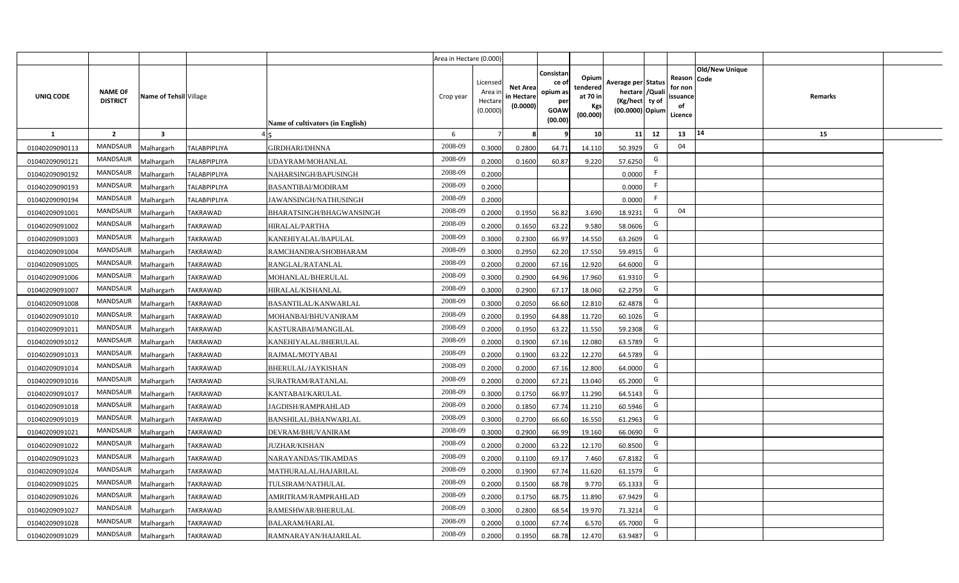|                |                                   |                         |                     |                                  | Area in Hectare (0.000) |                                           |                                           |                                                                |                                                  |                                                                            |                                                     |                       |         |  |
|----------------|-----------------------------------|-------------------------|---------------------|----------------------------------|-------------------------|-------------------------------------------|-------------------------------------------|----------------------------------------------------------------|--------------------------------------------------|----------------------------------------------------------------------------|-----------------------------------------------------|-----------------------|---------|--|
| UNIQ CODE      | <b>NAME OF</b><br><b>DISTRICT</b> | Name of Tehsil Village  |                     | Name of cultivators (in English) | Crop year               | Licensed<br>Area i<br>Hectare<br>(0.0000) | <b>Net Area</b><br>in Hectare<br>(0.0000) | Consistan<br>ce o<br>opium as<br>per<br><b>GOAW</b><br>(00.00) | Opium<br>tendered<br>at 70 in<br>Kgs<br>(00.000) | Average per Status<br>hectare / Quali<br>(Kg/hect ty of<br>(00.0000) Opium | Reason Code<br>for non<br>issuance<br>of<br>Licence | <b>Old/New Unique</b> | Remarks |  |
| $\mathbf{1}$   | $\overline{2}$                    | $\overline{\mathbf{3}}$ |                     |                                  | 6                       | $\overline{7}$                            |                                           | 9                                                              | 10 <sup>1</sup>                                  | 12<br>11                                                                   | 13                                                  | 14                    | 15      |  |
| 01040209090113 | MANDSAUR                          | Malhargarh              | <b>TALABPIPLIYA</b> | <b>GIRDHARI/DHNNA</b>            | 2008-09                 | 0.3000                                    | 0.2800                                    | 64.71                                                          | 14.110                                           | G<br>50.3929                                                               | 04                                                  |                       |         |  |
| 01040209090121 | MANDSAUR                          | Malhargarh              | <b>TALABPIPLIYA</b> | UDAYRAM/MOHANLAL                 | 2008-09                 | 0.2000                                    | 0.1600                                    | 60.87                                                          | 9.220                                            | G<br>57.6250                                                               |                                                     |                       |         |  |
| 01040209090192 | MANDSAUR                          | Malhargarh              | <b>TALABPIPLIYA</b> | NAHARSINGH/BAPUSINGH             | 2008-09                 | 0.2000                                    |                                           |                                                                |                                                  | F.<br>0.0000                                                               |                                                     |                       |         |  |
| 01040209090193 | MANDSAUR                          | Malhargarh              | <b>TALABPIPLIYA</b> | <b>BASANTIBAI/MODIRAM</b>        | 2008-09                 | 0.2000                                    |                                           |                                                                |                                                  | F.<br>0.0000                                                               |                                                     |                       |         |  |
| 01040209090194 | MANDSAUR                          | Malhargarh              | <b>TALABPIPLIYA</b> | JAWANSINGH/NATHUSINGH            | 2008-09                 | 0.2000                                    |                                           |                                                                |                                                  | F.<br>0.0000                                                               |                                                     |                       |         |  |
| 01040209091001 | <b>MANDSAUR</b>                   | <b>Aalhargarh</b>       | <b>TAKRAWAD</b>     | BHARATSINGH/BHAGWANSINGH         | 2008-09                 | 0.2000                                    | 0.1950                                    | 56.82                                                          | 3.690                                            | G<br>18.9231                                                               | 04                                                  |                       |         |  |
| 01040209091002 | MANDSAUR                          | Malhargarh              | <b>TAKRAWAD</b>     | HIRALAL/PARTHA                   | 2008-09                 | 0.2000                                    | 0.1650                                    | 63.22                                                          | 9.580                                            | G<br>58.0606                                                               |                                                     |                       |         |  |
| 01040209091003 | <b>MANDSAUR</b>                   | Malhargarh              | <b>TAKRAWAD</b>     | KANEHIYALAL/BAPULAL              | 2008-09                 | 0.3000                                    | 0.2300                                    | 66.97                                                          | 14.550                                           | G<br>63.2609                                                               |                                                     |                       |         |  |
| 01040209091004 | <b>MANDSAUR</b>                   | Malhargarh              | <b>TAKRAWAD</b>     | RAMCHANDRA/SHOBHARAM             | 2008-09                 | 0.3000                                    | 0.2950                                    | 62.20                                                          | 17.550                                           | G<br>59.4915                                                               |                                                     |                       |         |  |
| 01040209091005 | <b>MANDSAUR</b>                   | Malhargarh              | <b>TAKRAWAD</b>     | RANGLAL/RATANLAL                 | 2008-09                 | 0.2000                                    | 0.2000                                    | 67.16                                                          | 12.920                                           | G<br>64.6000                                                               |                                                     |                       |         |  |
| 01040209091006 | <b>MANDSAUR</b>                   | Malhargarh              | <b>TAKRAWAD</b>     | MOHANLAL/BHERULAL                | 2008-09                 | 0.3000                                    | 0.2900                                    | 64.96                                                          | 17.960                                           | G<br>61.9310                                                               |                                                     |                       |         |  |
| 01040209091007 | <b>MANDSAUR</b>                   | Malhargarh              | <b>TAKRAWAD</b>     | HIRALAL/KISHANLAL                | 2008-09                 | 0.3000                                    | 0.2900                                    | 67.17                                                          | 18.060                                           | G<br>62.2759                                                               |                                                     |                       |         |  |
| 01040209091008 | <b>MANDSAUR</b>                   | Malhargarh              | <b>TAKRAWAD</b>     | BASANTILAL/KANWARLAL             | 2008-09                 | 0.3000                                    | 0.2050                                    | 66.60                                                          | 12.810                                           | G<br>62.4878                                                               |                                                     |                       |         |  |
| 01040209091010 | MANDSAUR                          | Malhargarh              | <b>TAKRAWAD</b>     | MOHANBAI/BHUVANIRAM              | 2008-09                 | 0.2000                                    | 0.1950                                    | 64.88                                                          | 11.720                                           | G<br>60.1026                                                               |                                                     |                       |         |  |
| 01040209091011 | MANDSAUR                          | Malhargarh              | TAKRAWAD            | KASTURABAI/MANGILAL              | 2008-09                 | 0.2000                                    | 0.1950                                    | 63.22                                                          | 11.550                                           | G<br>59.2308                                                               |                                                     |                       |         |  |
| 01040209091012 | <b>MANDSAUR</b>                   | Malhargarh              | TAKRAWAD            | KANEHIYALAL/BHERULAL             | 2008-09                 | 0.2000                                    | 0.1900                                    | 67.16                                                          | 12.080                                           | G<br>63.5789                                                               |                                                     |                       |         |  |
| 01040209091013 | <b>MANDSAUR</b>                   | Malhargarh              | <b>TAKRAWAD</b>     | RAJMAL/MOTYABAI                  | 2008-09                 | 0.2000                                    | 0.1900                                    | 63.22                                                          | 12.270                                           | G<br>64.5789                                                               |                                                     |                       |         |  |
| 01040209091014 | <b>MANDSAUR</b>                   | Malhargarh              | TAKRAWAD            | BHERULAL/JAYKISHAN               | 2008-09                 | 0.2000                                    | 0.2000                                    | 67.16                                                          | 12.800                                           | G<br>64.0000                                                               |                                                     |                       |         |  |
| 01040209091016 | <b>MANDSAUR</b>                   | Malhargarh              | <b>TAKRAWAD</b>     | SURATRAM/RATANLAL                | 2008-09                 | 0.2000                                    | 0.2000                                    | 67.21                                                          | 13.040                                           | G<br>65.2000                                                               |                                                     |                       |         |  |
| 01040209091017 | <b>MANDSAUR</b>                   | Malhargarh              | <b>TAKRAWAD</b>     | KANTABAI/KARULAL                 | 2008-09                 | 0.3000                                    | 0.1750                                    | 66.97                                                          | 11.290                                           | G<br>64.5143                                                               |                                                     |                       |         |  |
| 01040209091018 | <b>MANDSAUR</b>                   | Malhargarh              | <b>TAKRAWAD</b>     | JAGDISH/RAMPRAHLAD               | 2008-09                 | 0.2000                                    | 0.1850                                    | 67.74                                                          | 11.210                                           | G<br>60.5946                                                               |                                                     |                       |         |  |
| 01040209091019 | <b>MANDSAUR</b>                   | Malhargarh              | TAKRAWAD            | BANSHILAL/BHANWARLAL             | 2008-09                 | 0.3000                                    | 0.2700                                    | 66.60                                                          | 16.550                                           | G<br>61.2963                                                               |                                                     |                       |         |  |
| 01040209091021 | <b>MANDSAUR</b>                   | Malhargarh              | <b>TAKRAWAD</b>     | DEVRAM/BHUVANIRAM                | 2008-09                 | 0.3000                                    | 0.2900                                    | 66.99                                                          | 19.160                                           | G<br>66.0690                                                               |                                                     |                       |         |  |
| 01040209091022 | MANDSAUR                          | Malhargarh              | <b>TAKRAWAD</b>     | <b>JUZHAR/KISHAN</b>             | 2008-09                 | 0.2000                                    | 0.2000                                    | 63.22                                                          | 12.170                                           | G<br>60.8500                                                               |                                                     |                       |         |  |
| 01040209091023 | <b>MANDSAUR</b>                   | Malhargarh              | <b>TAKRAWAD</b>     | NARAYANDAS/TIKAMDAS              | 2008-09                 | 0.2000                                    | 0.1100                                    | 69.17                                                          | 7.460                                            | G<br>67.8182                                                               |                                                     |                       |         |  |
| 01040209091024 | <b>MANDSAUR</b>                   | Malhargarh              | <b>TAKRAWAD</b>     | MATHURALAL/HAJARILAL             | 2008-09                 | 0.2000                                    | 0.1900                                    | 67.74                                                          | 11.620                                           | G<br>61.1579                                                               |                                                     |                       |         |  |
| 01040209091025 | <b>MANDSAUR</b>                   | Malhargarh              | <b>TAKRAWAD</b>     | TULSIRAM/NATHULAL                | 2008-09                 | 0.2000                                    | 0.1500                                    | 68.78                                                          | 9.770                                            | G<br>65.1333                                                               |                                                     |                       |         |  |
| 01040209091026 | MANDSAUR                          | Malhargarh              | <b>TAKRAWAD</b>     | AMRITRAM/RAMPRAHLAD              | 2008-09                 | 0.2000                                    | 0.1750                                    | 68.75                                                          | 11.890                                           | G<br>67.9429                                                               |                                                     |                       |         |  |
| 01040209091027 | <b>MANDSAUR</b>                   | Malhargarh              | <b>TAKRAWAD</b>     | RAMESHWAR/BHERULAL               | 2008-09                 | 0.3000                                    | 0.2800                                    | 68.54                                                          | 19.970                                           | G<br>71.3214                                                               |                                                     |                       |         |  |
| 01040209091028 | <b>MANDSAUR</b>                   | Malhargarh              | TAKRAWAD            | <b>BALARAM/HARLAL</b>            | 2008-09                 | 0.2000                                    | 0.1000                                    | 67.74                                                          | 6.570                                            | G<br>65.7000                                                               |                                                     |                       |         |  |
| 01040209091029 | MANDSAUR                          | Malhargarh              | <b>TAKRAWAD</b>     | RAMNARAYAN/HAJARILAL             | 2008-09                 | 0.2000                                    | 0.1950                                    | 68.78                                                          | 12.470                                           | G<br>63.9487                                                               |                                                     |                       |         |  |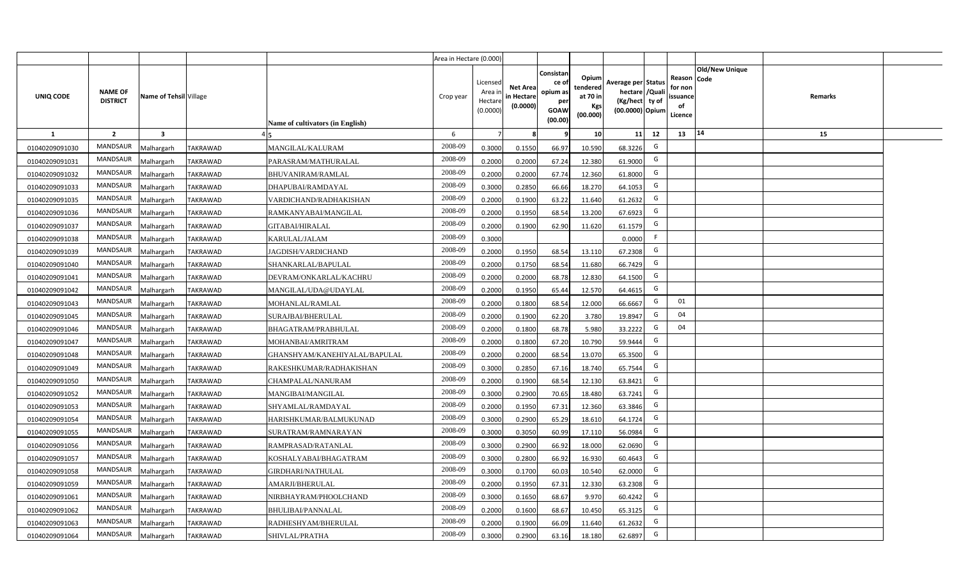|                |                                   |                        |                 |                                  | Area in Hectare (0.000) |                                           |                                           |                                                                 |                                                  |                                                                            |                                                    |                |                |  |
|----------------|-----------------------------------|------------------------|-----------------|----------------------------------|-------------------------|-------------------------------------------|-------------------------------------------|-----------------------------------------------------------------|--------------------------------------------------|----------------------------------------------------------------------------|----------------------------------------------------|----------------|----------------|--|
| UNIQ CODE      | <b>NAME OF</b><br><b>DISTRICT</b> | Name of Tehsil Village |                 | Name of cultivators (in English) | Crop year               | Licensed<br>Area i<br>Hectare<br>(0.0000) | <b>Net Area</b><br>in Hectare<br>(0.0000) | Consistan<br>ce of<br>opium as<br>per<br><b>GOAW</b><br>(00.00) | Opium<br>tendered<br>at 70 in<br>Kgs<br>(00.000) | Average per Status<br>hectare / Quali<br>(Kg/hect ty of<br>(00.0000) Opium | Reason Code<br>for non<br>ssuance<br>of<br>Licence | Old/New Unique | <b>Remarks</b> |  |
| $\mathbf{1}$   | $\overline{2}$                    | $\mathbf{3}$           |                 |                                  | 6                       | $\overline{7}$                            | 8                                         | 9                                                               | 10 <sup>1</sup>                                  | 11<br>12                                                                   | 13                                                 | 14             | 15             |  |
| 01040209091030 | MANDSAUR                          | Malhargarh             | <b>TAKRAWAD</b> | MANGILAL/KALURAM                 | 2008-09                 | 0.3000                                    | 0.1550                                    | 66.97                                                           | 10.590                                           | G<br>68.3226                                                               |                                                    |                |                |  |
| 01040209091031 | MANDSAUR                          | Malhargarh             | <b>TAKRAWAD</b> | PARASRAM/MATHURALAL              | 2008-09                 | 0.2000                                    | 0.2000                                    | 67.24                                                           | 12.380                                           | G<br>61.9000                                                               |                                                    |                |                |  |
| 01040209091032 | MANDSAUR                          | Malhargarh             | <b>TAKRAWAD</b> | <b>BHUVANIRAM/RAMLAL</b>         | 2008-09                 | 0.2000                                    | 0.2000                                    | 67.74                                                           | 12.360                                           | G<br>61.8000                                                               |                                                    |                |                |  |
| 01040209091033 | MANDSAUR                          | Malhargarh             | <b>TAKRAWAD</b> | DHAPUBAI/RAMDAYAL                | 2008-09                 | 0.3000                                    | 0.2850                                    | 66.66                                                           | 18.270                                           | G<br>64.1053                                                               |                                                    |                |                |  |
| 01040209091035 | MANDSAUR                          | Malhargarh             | <b>TAKRAWAD</b> | VARDICHAND/RADHAKISHAN           | 2008-09                 | 0.2000                                    | 0.1900                                    | 63.22                                                           | 11.640                                           | G<br>61.2632                                                               |                                                    |                |                |  |
| 01040209091036 | MANDSAUR                          | Malhargarh             | <b>TAKRAWAD</b> | RAMKANYABAI/MANGILAL             | 2008-09                 | 0.2000                                    | 0.1950                                    | 68.54                                                           | 13.200                                           | G<br>67.6923                                                               |                                                    |                |                |  |
| 01040209091037 | MANDSAUR                          | Malhargarh             | <b>TAKRAWAD</b> | <b>GITABAI/HIRALAL</b>           | 2008-09                 | 0.2000                                    | 0.1900                                    | 62.90                                                           | 11.620                                           | G<br>61.1579                                                               |                                                    |                |                |  |
| 01040209091038 | <b>MANDSAUR</b>                   | Malhargarh             | <b>TAKRAWAD</b> | KARULAL/JALAM                    | 2008-09                 | 0.3000                                    |                                           |                                                                 |                                                  | F<br>0.0000                                                                |                                                    |                |                |  |
| 01040209091039 | MANDSAUR                          | Malhargarh             | <b>TAKRAWAD</b> | JAGDISH/VARDICHAND               | 2008-09                 | 0.2000                                    | 0.1950                                    | 68.54                                                           | 13.110                                           | G<br>67.2308                                                               |                                                    |                |                |  |
| 01040209091040 | MANDSAUR                          | Malhargarh             | <b>TAKRAWAD</b> | SHANKARLAL/BAPULAL               | 2008-09                 | 0.2000                                    | 0.1750                                    | 68.54                                                           | 11.680                                           | G<br>66.7429                                                               |                                                    |                |                |  |
| 01040209091041 | MANDSAUR                          | Malhargarh             | <b>TAKRAWAD</b> | DEVRAM/ONKARLAL/KACHRU           | 2008-09                 | 0.2000                                    | 0.2000                                    | 68.78                                                           | 12.830                                           | G<br>64.1500                                                               |                                                    |                |                |  |
| 01040209091042 | MANDSAUR                          | Malhargarh             | <b>TAKRAWAD</b> | MANGILAL/UDA@UDAYLAL             | 2008-09                 | 0.2000                                    | 0.1950                                    | 65.44                                                           | 12.570                                           | G<br>64.4615                                                               |                                                    |                |                |  |
| 01040209091043 | <b>MANDSAUR</b>                   | Malhargarh             | TAKRAWAD        | MOHANLAL/RAMLAL                  | 2008-09                 | 0.2000                                    | 0.1800                                    | 68.54                                                           | 12.000                                           | G<br>66.6667                                                               | 01                                                 |                |                |  |
| 01040209091045 | MANDSAUR                          | Malhargarh             | <b>TAKRAWAD</b> | SURAJBAI/BHERULAL                | 2008-09                 | 0.2000                                    | 0.1900                                    | 62.20                                                           | 3.780                                            | G<br>19.8947                                                               | 04                                                 |                |                |  |
| 01040209091046 | <b>MANDSAUR</b>                   | Malhargarh             | <b>TAKRAWAD</b> | BHAGATRAM/PRABHULAL              | 2008-09                 | 0.2000                                    | 0.1800                                    | 68.78                                                           | 5.980                                            | G<br>33.2222                                                               | 04                                                 |                |                |  |
| 01040209091047 | MANDSAUR                          | Malhargarh             | <b>TAKRAWAD</b> | MOHANBAI/AMRITRAM                | 2008-09                 | 0.2000                                    | 0.1800                                    | 67.20                                                           | 10.790                                           | G<br>59.9444                                                               |                                                    |                |                |  |
| 01040209091048 | <b>MANDSAUR</b>                   | Malhargarh             | <b>TAKRAWAD</b> | GHANSHYAM/KANEHIYALAL/BAPULAL    | 2008-09                 | 0.2000                                    | 0.2000                                    | 68.54                                                           | 13.070                                           | G<br>65.3500                                                               |                                                    |                |                |  |
| 01040209091049 | <b>MANDSAUR</b>                   | Malhargarh             | <b>TAKRAWAD</b> | RAKESHKUMAR/RADHAKISHAN          | 2008-09                 | 0.3000                                    | 0.2850                                    | 67.16                                                           | 18.740                                           | G<br>65.7544                                                               |                                                    |                |                |  |
| 01040209091050 | MANDSAUR                          | Malhargarh             | <b>TAKRAWAD</b> | CHAMPALAL/NANURAM                | 2008-09                 | 0.2000                                    | 0.1900                                    | 68.54                                                           | 12.130                                           | G<br>63.8421                                                               |                                                    |                |                |  |
| 01040209091052 | MANDSAUR                          | Malhargarh             | <b>TAKRAWAD</b> | MANGIBAI/MANGILAL                | 2008-09                 | 0.3000                                    | 0.2900                                    | 70.65                                                           | 18.480                                           | G<br>63.7241                                                               |                                                    |                |                |  |
| 01040209091053 | MANDSAUR                          | Malhargarh             | <b>TAKRAWAD</b> | SHYAMLAL/RAMDAYAL                | 2008-09                 | 0.2000                                    | 0.1950                                    | 67.31                                                           | 12.360                                           | G<br>63.3846                                                               |                                                    |                |                |  |
| 01040209091054 | MANDSAUR                          | Malhargarh             | <b>TAKRAWAD</b> | HARISHKUMAR/BALMUKUNAD           | 2008-09                 | 0.3000                                    | 0.2900                                    | 65.29                                                           | 18.610                                           | G<br>64.1724                                                               |                                                    |                |                |  |
| 01040209091055 | MANDSAUR                          | Malhargarh             | <b>TAKRAWAD</b> | SURATRAM/RAMNARAYAN              | 2008-09                 | 0.3000                                    | 0.3050                                    | 60.99                                                           | 17.110                                           | G<br>56.0984                                                               |                                                    |                |                |  |
| 01040209091056 | <b>MANDSAUR</b>                   | Malhargarh             | <b>TAKRAWAD</b> | RAMPRASAD/RATANLAL               | 2008-09                 | 0.3000                                    | 0.2900                                    | 66.92                                                           | 18.000                                           | G<br>62.0690                                                               |                                                    |                |                |  |
| 01040209091057 | MANDSAUR                          | Malhargarh             | <b>TAKRAWAD</b> | KOSHALYABAI/BHAGATRAM            | 2008-09                 | 0.3000                                    | 0.2800                                    | 66.92                                                           | 16.930                                           | G<br>60.4643                                                               |                                                    |                |                |  |
| 01040209091058 | MANDSAUR                          | Malhargarh             | <b>TAKRAWAD</b> | GIRDHARI/NATHULAL                | 2008-09                 | 0.3000                                    | 0.1700                                    | 60.03                                                           | 10.540                                           | G<br>62.0000                                                               |                                                    |                |                |  |
| 01040209091059 | MANDSAUR                          | Malhargarh             | <b>TAKRAWAD</b> | AMARJI/BHERULAL                  | 2008-09                 | 0.2000                                    | 0.1950                                    | 67.31                                                           | 12.330                                           | G<br>63.2308                                                               |                                                    |                |                |  |
| 01040209091061 | MANDSAUR                          | Malhargarh             | <b>TAKRAWAD</b> | NIRBHAYRAM/PHOOLCHAND            | 2008-09                 | 0.3000                                    | 0.1650                                    | 68.67                                                           | 9.970                                            | G<br>60.4242                                                               |                                                    |                |                |  |
| 01040209091062 | MANDSAUR                          | Malhargarh             | <b>TAKRAWAD</b> | BHULIBAI/PANNALAL                | 2008-09                 | 0.2000                                    | 0.1600                                    | 68.67                                                           | 10.450                                           | G<br>65.3125                                                               |                                                    |                |                |  |
| 01040209091063 | MANDSAUR                          | Malhargarh             | <b>TAKRAWAD</b> | RADHESHYAM/BHERULAL              | 2008-09                 | 0.2000                                    | 0.1900                                    | 66.09                                                           | 11.640                                           | G<br>61.2632                                                               |                                                    |                |                |  |
| 01040209091064 | MANDSAUR                          | Malhargarh             | <b>TAKRAWAD</b> | SHIVLAL/PRATHA                   | 2008-09                 | 0.3000                                    | 0.2900                                    | 63.16                                                           | 18.180                                           | G<br>62.6897                                                               |                                                    |                |                |  |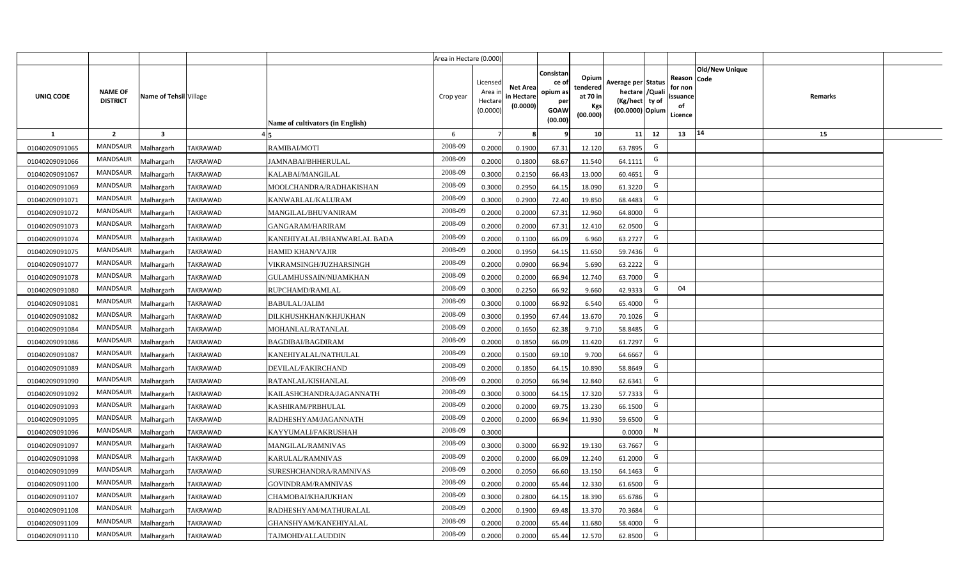|                |                                   |                         |                 |                                  | Area in Hectare (0.000) |                                           |                                           |                                                         |                                                         |                                                                            |                                                |                               |         |  |
|----------------|-----------------------------------|-------------------------|-----------------|----------------------------------|-------------------------|-------------------------------------------|-------------------------------------------|---------------------------------------------------------|---------------------------------------------------------|----------------------------------------------------------------------------|------------------------------------------------|-------------------------------|---------|--|
| UNIQ CODE      | <b>NAME OF</b><br><b>DISTRICT</b> | Name of Tehsil Village  |                 | Name of cultivators (in English) | Crop year               | Licensed<br>Area i<br>Hectare<br>(0.0000) | <b>Net Area</b><br>in Hectare<br>(0.0000) | Consistan<br>ce o<br>opium as<br>per<br>GOAW<br>(00.00) | Opium<br>tendered<br>at 70 in<br><b>Kgs</b><br>(00.000) | Average per Status<br>hectare / Quali<br>(Kg/hect ty of<br>(00.0000) Opium | Reason<br>for non<br>issuance<br>of<br>Licence | <b>Old/New Unique</b><br>Code | Remarks |  |
| $\mathbf{1}$   | $\overline{2}$                    | $\overline{\mathbf{3}}$ |                 |                                  | 6                       | $\overline{7}$                            |                                           | 9                                                       | 10 <sup>1</sup>                                         | 12<br>11                                                                   | 13                                             | 14                            | 15      |  |
| 01040209091065 | MANDSAUR                          | Malhargarh              | <b>TAKRAWAD</b> | RAMIBAI/MOTI                     | 2008-09                 | 0.2000                                    | 0.1900                                    | 67.31                                                   | 12.120                                                  | G<br>63.7895                                                               |                                                |                               |         |  |
| 01040209091066 | MANDSAUR                          | Malhargarh              | <b>TAKRAWAD</b> | JAMNABAI/BHHERULAL               | 2008-09                 | 0.2000                                    | 0.1800                                    | 68.67                                                   | 11.540                                                  | G<br>64.1111                                                               |                                                |                               |         |  |
| 01040209091067 | MANDSAUR                          | Malhargarh              | <b>TAKRAWAD</b> | KALABAI/MANGILAL                 | 2008-09                 | 0.3000                                    | 0.2150                                    | 66.43                                                   | 13.000                                                  | G<br>60.4651                                                               |                                                |                               |         |  |
| 01040209091069 | MANDSAUR                          | Malhargarh              | <b>TAKRAWAD</b> | MOOLCHANDRA/RADHAKISHAN          | 2008-09                 | 0.3000                                    | 0.2950                                    | 64.15                                                   | 18.090                                                  | G<br>61.3220                                                               |                                                |                               |         |  |
| 01040209091071 | <b>MANDSAUR</b>                   | Malhargarh              | <b>TAKRAWAD</b> | KANWARLAL/KALURAM                | 2008-09                 | 0.3000                                    | 0.2900                                    | 72.40                                                   | 19.850                                                  | G<br>68.4483                                                               |                                                |                               |         |  |
| 01040209091072 | MANDSAUR                          | Malhargarh              | <b>TAKRAWAD</b> | MANGILAL/BHUVANIRAM              | 2008-09                 | 0.2000                                    | 0.2000                                    | 67.31                                                   | 12.960                                                  | G<br>64.8000                                                               |                                                |                               |         |  |
| 01040209091073 | MANDSAUR                          | Malhargarh              | <b>TAKRAWAD</b> | <b>GANGARAM/HARIRAM</b>          | 2008-09                 | 0.2000                                    | 0.2000                                    | 67.31                                                   | 12.410                                                  | G<br>62.0500                                                               |                                                |                               |         |  |
| 01040209091074 | <b>MANDSAUR</b>                   | Malhargarh              | <b>TAKRAWAD</b> | KANEHIYALAL/BHANWARLAL BADA      | 2008-09                 | 0.2000                                    | 0.1100                                    | 66.09                                                   | 6.960                                                   | G<br>63.2727                                                               |                                                |                               |         |  |
| 01040209091075 | <b>MANDSAUR</b>                   | Malhargarh              | <b>TAKRAWAD</b> | <b>HAMID KHAN/VAJIR</b>          | 2008-09                 | 0.2000                                    | 0.1950                                    | 64.15                                                   | 11.650                                                  | G<br>59.7436                                                               |                                                |                               |         |  |
| 01040209091077 | <b>MANDSAUR</b>                   | Malhargarh              | <b>TAKRAWAD</b> | VIKRAMSINGH/JUZHARSINGH          | 2008-09                 | 0.2000                                    | 0.0900                                    | 66.94                                                   | 5.690                                                   | G<br>63.2222                                                               |                                                |                               |         |  |
| 01040209091078 | <b>MANDSAUR</b>                   | Malhargarh              | <b>TAKRAWAD</b> | GULAMHUSSAIN/NIJAMKHAN           | 2008-09                 | 0.2000                                    | 0.2000                                    | 66.94                                                   | 12.740                                                  | G<br>63.7000                                                               |                                                |                               |         |  |
| 01040209091080 | MANDSAUR                          | Malhargarh              | <b>TAKRAWAD</b> | RUPCHAMD/RAMLAL                  | 2008-09                 | 0.3000                                    | 0.2250                                    | 66.92                                                   | 9.660                                                   | G<br>42.9333                                                               | 04                                             |                               |         |  |
| 01040209091081 | <b>MANDSAUR</b>                   | Malhargarh              | <b>TAKRAWAD</b> | <b>BABULAL/JALIM</b>             | 2008-09                 | 0.3000                                    | 0.1000                                    | 66.92                                                   | 6.540                                                   | G<br>65.4000                                                               |                                                |                               |         |  |
| 01040209091082 | MANDSAUR                          | Malhargarh              | TAKRAWAD        | DILKHUSHKHAN/KHJUKHAN            | 2008-09                 | 0.3000                                    | 0.1950                                    | 67.44                                                   | 13.670                                                  | G<br>70.1026                                                               |                                                |                               |         |  |
| 01040209091084 | <b>MANDSAUR</b>                   | Malhargarh              | <b>TAKRAWAD</b> | MOHANLAL/RATANLAL                | 2008-09                 | 0.2000                                    | 0.1650                                    | 62.38                                                   | 9.710                                                   | G<br>58.8485                                                               |                                                |                               |         |  |
| 01040209091086 | <b>MANDSAUR</b>                   | Malhargarh              | <b>TAKRAWAD</b> | <b>BAGDIBAI/BAGDIRAM</b>         | 2008-09                 | 0.2000                                    | 0.1850                                    | 66.09                                                   | 11.420                                                  | G<br>61.7297                                                               |                                                |                               |         |  |
| 01040209091087 | <b>MANDSAUR</b>                   | Malhargarh              | <b>TAKRAWAD</b> | KANEHIYALAL/NATHULAL             | 2008-09                 | 0.2000                                    | 0.1500                                    | 69.10                                                   | 9.700                                                   | G<br>64.6667                                                               |                                                |                               |         |  |
| 01040209091089 | <b>MANDSAUR</b>                   | Malhargarh              | <b>TAKRAWAD</b> | DEVILAL/FAKIRCHAND               | 2008-09                 | 0.2000                                    | 0.1850                                    | 64.15                                                   | 10.890                                                  | G<br>58.8649                                                               |                                                |                               |         |  |
| 01040209091090 | <b>MANDSAUR</b>                   | Malhargarh              | <b>TAKRAWAD</b> | RATANLAL/KISHANLAL               | 2008-09                 | 0.2000                                    | 0.2050                                    | 66.94                                                   | 12.840                                                  | G<br>62.6341                                                               |                                                |                               |         |  |
| 01040209091092 | <b>MANDSAUR</b>                   | Malhargarh              | <b>TAKRAWAD</b> | KAILASHCHANDRA/JAGANNATH         | 2008-09                 | 0.3000                                    | 0.3000                                    | 64.15                                                   | 17.320                                                  | G<br>57.7333                                                               |                                                |                               |         |  |
| 01040209091093 | MANDSAUR                          | Malhargarh              | <b>TAKRAWAD</b> | KASHIRAM/PRBHULAL                | 2008-09                 | 0.2000                                    | 0.2000                                    | 69.75                                                   | 13.230                                                  | G<br>66.1500                                                               |                                                |                               |         |  |
| 01040209091095 | MANDSAUR                          | Malhargarh              | <b>TAKRAWAD</b> | RADHESHYAM/JAGANNATH             | 2008-09                 | 0.2000                                    | 0.2000                                    | 66.94                                                   | 11.930                                                  | G<br>59.6500                                                               |                                                |                               |         |  |
| 01040209091096 | <b>MANDSAUR</b>                   | Malhargarh              | TAKRAWAD        | KAYYUMALI/FAKRUSHAH              | 2008-09                 | 0.3000                                    |                                           |                                                         |                                                         | N<br>0.0000                                                                |                                                |                               |         |  |
| 01040209091097 | <b>MANDSAUR</b>                   | Malhargarh              | <b>TAKRAWAD</b> | MANGILAL/RAMNIVAS                | 2008-09                 | 0.3000                                    | 0.3000                                    | 66.92                                                   | 19.130                                                  | G<br>63.7667                                                               |                                                |                               |         |  |
| 01040209091098 | <b>MANDSAUR</b>                   | Malhargarh              | <b>TAKRAWAD</b> | KARULAL/RAMNIVAS                 | 2008-09                 | 0.2000                                    | 0.2000                                    | 66.09                                                   | 12.240                                                  | G<br>61.2000                                                               |                                                |                               |         |  |
| 01040209091099 | MANDSAUR                          | Malhargarh              | <b>TAKRAWAD</b> | SURESHCHANDRA/RAMNIVAS           | 2008-09                 | 0.2000                                    | 0.2050                                    | 66.60                                                   | 13.150                                                  | G<br>64.1463                                                               |                                                |                               |         |  |
| 01040209091100 | MANDSAUR                          | Malhargarh              | <b>TAKRAWAD</b> | GOVINDRAM/RAMNIVAS               | 2008-09                 | 0.2000                                    | 0.2000                                    | 65.44                                                   | 12.330                                                  | G<br>61.6500                                                               |                                                |                               |         |  |
| 01040209091107 | MANDSAUR                          | Malhargarh              | <b>TAKRAWAD</b> | CHAMOBAI/KHAJUKHAN               | 2008-09                 | 0.3000                                    | 0.2800                                    | 64.15                                                   | 18.390                                                  | G<br>65.6786                                                               |                                                |                               |         |  |
| 01040209091108 | MANDSAUR                          | Malhargarh              | <b>TAKRAWAD</b> | RADHESHYAM/MATHURALAL            | 2008-09                 | 0.2000                                    | 0.1900                                    | 69.48                                                   | 13.370                                                  | G<br>70.3684                                                               |                                                |                               |         |  |
| 01040209091109 | MANDSAUR                          | Malhargarh              | TAKRAWAD        | GHANSHYAM/KANEHIYALAL            | 2008-09                 | 0.2000                                    | 0.2000                                    | 65.44                                                   | 11.680                                                  | G<br>58.4000                                                               |                                                |                               |         |  |
| 01040209091110 | MANDSAUR                          | Malhargarh              | <b>TAKRAWAD</b> | TAJMOHD/ALLAUDDIN                | 2008-09                 | 0.2000                                    | 0.2000                                    | 65.44                                                   | 12.570                                                  | G<br>62.8500                                                               |                                                |                               |         |  |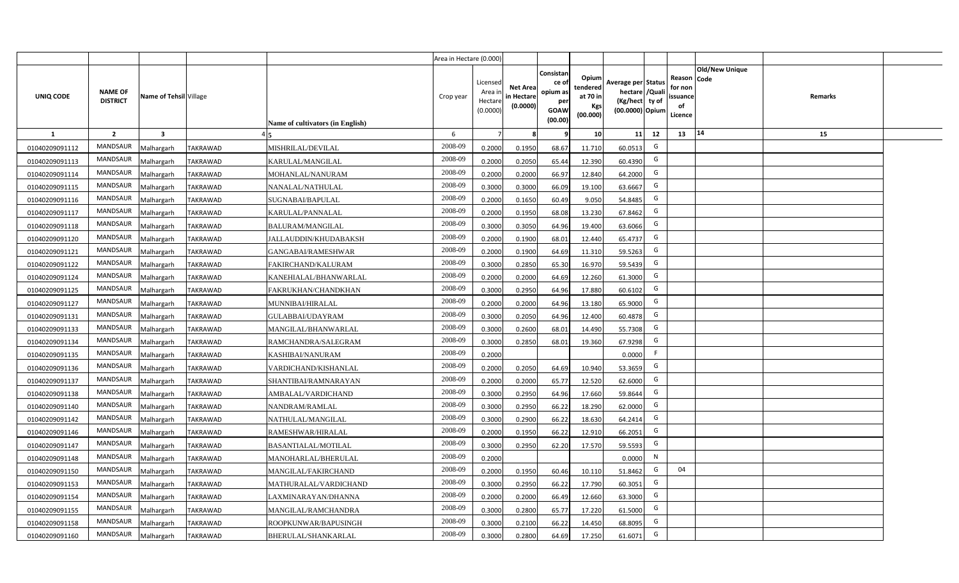|                |                                   |                         |                 |                                  | Area in Hectare (0.000) |                                           |                                           |                                                         |                                                         |                                                                            |                                                |                               |         |  |
|----------------|-----------------------------------|-------------------------|-----------------|----------------------------------|-------------------------|-------------------------------------------|-------------------------------------------|---------------------------------------------------------|---------------------------------------------------------|----------------------------------------------------------------------------|------------------------------------------------|-------------------------------|---------|--|
| UNIQ CODE      | <b>NAME OF</b><br><b>DISTRICT</b> | Name of Tehsil Village  |                 | Name of cultivators (in English) | Crop year               | Licensed<br>Area i<br>Hectare<br>(0.0000) | <b>Net Area</b><br>in Hectare<br>(0.0000) | Consistan<br>ce o<br>opium as<br>per<br>GOAW<br>(00.00) | Opium<br>tendered<br>at 70 in<br><b>Kgs</b><br>(00.000) | Average per Status<br>hectare / Quali<br>(Kg/hect ty of<br>(00.0000) Opium | Reason<br>for non<br>issuance<br>of<br>Licence | <b>Old/New Unique</b><br>Code | Remarks |  |
| $\mathbf{1}$   | $\overline{2}$                    | $\overline{\mathbf{3}}$ |                 |                                  | 6                       | -7                                        |                                           | 9                                                       | 10 <sup>1</sup>                                         | 12<br>11                                                                   | 13                                             | 14                            | 15      |  |
| 01040209091112 | MANDSAUR                          | Malhargarh              | <b>TAKRAWAD</b> | MISHRILAL/DEVILAL                | 2008-09                 | 0.2000                                    | 0.1950                                    | 68.67                                                   | 11.710                                                  | G<br>60.0513                                                               |                                                |                               |         |  |
| 01040209091113 | MANDSAUR                          | Malhargarh              | <b>TAKRAWAD</b> | KARULAL/MANGILAL                 | 2008-09                 | 0.2000                                    | 0.2050                                    | 65.44                                                   | 12.390                                                  | G<br>60.4390                                                               |                                                |                               |         |  |
| 01040209091114 | MANDSAUR                          | Malhargarh              | <b>TAKRAWAD</b> | MOHANLAL/NANURAM                 | 2008-09                 | 0.2000                                    | 0.2000                                    | 66.97                                                   | 12.840                                                  | G<br>64.2000                                                               |                                                |                               |         |  |
| 01040209091115 | MANDSAUR                          | Malhargarh              | <b>TAKRAWAD</b> | NANALAL/NATHULAL                 | 2008-09                 | 0.3000                                    | 0.3000                                    | 66.09                                                   | 19.100                                                  | G<br>63.6667                                                               |                                                |                               |         |  |
| 01040209091116 | <b>MANDSAUR</b>                   | Malhargarh              | <b>TAKRAWAD</b> | SUGNABAI/BAPULAL                 | 2008-09                 | 0.2000                                    | 0.1650                                    | 60.49                                                   | 9.050                                                   | G<br>54.8485                                                               |                                                |                               |         |  |
| 01040209091117 | MANDSAUR                          | Malhargarh              | TAKRAWAD        | KARULAL/PANNALAL                 | 2008-09                 | 0.2000                                    | 0.1950                                    | 68.08                                                   | 13.230                                                  | G<br>67.8462                                                               |                                                |                               |         |  |
| 01040209091118 | MANDSAUR                          | Malhargarh              | <b>TAKRAWAD</b> | <b>BALURAM/MANGILAL</b>          | 2008-09                 | 0.3000                                    | 0.3050                                    | 64.96                                                   | 19.400                                                  | G<br>63.6066                                                               |                                                |                               |         |  |
| 01040209091120 | <b>MANDSAUR</b>                   | Malhargarh              | <b>TAKRAWAD</b> | <b>JALLAUDDIN/KHUDABAKSH</b>     | 2008-09                 | 0.2000                                    | 0.1900                                    | 68.01                                                   | 12.440                                                  | G<br>65.4737                                                               |                                                |                               |         |  |
| 01040209091121 | <b>MANDSAUR</b>                   | Malhargarh              | <b>TAKRAWAD</b> | GANGABAI/RAMESHWAR               | 2008-09                 | 0.2000                                    | 0.1900                                    | 64.69                                                   | 11.310                                                  | G<br>59.5263                                                               |                                                |                               |         |  |
| 01040209091122 | <b>MANDSAUR</b>                   | Malhargarh              | <b>TAKRAWAD</b> | FAKIRCHAND/KALURAM               | 2008-09                 | 0.3000                                    | 0.2850                                    | 65.30                                                   | 16.970                                                  | G<br>59.5439                                                               |                                                |                               |         |  |
| 01040209091124 | <b>MANDSAUR</b>                   | Malhargarh              | <b>TAKRAWAD</b> | KANEHIALAL/BHANWARLAL            | 2008-09                 | 0.2000                                    | 0.2000                                    | 64.69                                                   | 12.260                                                  | G<br>61.3000                                                               |                                                |                               |         |  |
| 01040209091125 | MANDSAUR                          | Malhargarh              | <b>TAKRAWAD</b> | FAKRUKHAN/CHANDKHAN              | 2008-09                 | 0.3000                                    | 0.2950                                    | 64.96                                                   | 17.880                                                  | G<br>60.6102                                                               |                                                |                               |         |  |
| 01040209091127 | <b>MANDSAUR</b>                   | Malhargarh              | <b>TAKRAWAD</b> | MUNNIBAI/HIRALAL                 | 2008-09                 | 0.2000                                    | 0.2000                                    | 64.96                                                   | 13.180                                                  | G<br>65.9000                                                               |                                                |                               |         |  |
| 01040209091131 | MANDSAUR                          | Malhargarh              | TAKRAWAD        | <b>GULABBAI/UDAYRAM</b>          | 2008-09                 | 0.3000                                    | 0.2050                                    | 64.96                                                   | 12.400                                                  | G<br>60.4878                                                               |                                                |                               |         |  |
| 01040209091133 | <b>MANDSAUR</b>                   | Malhargarh              | <b>TAKRAWAD</b> | MANGILAL/BHANWARLAL              | 2008-09                 | 0.3000                                    | 0.2600                                    | 68.01                                                   | 14.490                                                  | G<br>55.7308                                                               |                                                |                               |         |  |
| 01040209091134 | <b>MANDSAUR</b>                   | Malhargarh              | <b>TAKRAWAD</b> | RAMCHANDRA/SALEGRAM              | 2008-09                 | 0.3000                                    | 0.2850                                    | 68.01                                                   | 19.360                                                  | G<br>67.9298                                                               |                                                |                               |         |  |
| 01040209091135 | <b>MANDSAUR</b>                   | Malhargarh              | <b>TAKRAWAD</b> | KASHIBAI/NANURAM                 | 2008-09                 | 0.2000                                    |                                           |                                                         |                                                         | F<br>0.0000                                                                |                                                |                               |         |  |
| 01040209091136 | <b>MANDSAUR</b>                   | Malhargarh              | <b>TAKRAWAD</b> | VARDICHAND/KISHANLAL             | 2008-09                 | 0.2000                                    | 0.2050                                    | 64.69                                                   | 10.940                                                  | G<br>53.3659                                                               |                                                |                               |         |  |
| 01040209091137 | <b>MANDSAUR</b>                   | Malhargarh              | <b>TAKRAWAD</b> | SHANTIBAI/RAMNARAYAN             | 2008-09                 | 0.2000                                    | 0.2000                                    | 65.77                                                   | 12.520                                                  | G<br>62.6000                                                               |                                                |                               |         |  |
| 01040209091138 | MANDSAUR                          | Malhargarh              | <b>TAKRAWAD</b> | AMBALAL/VARDICHAND               | 2008-09                 | 0.3000                                    | 0.2950                                    | 64.96                                                   | 17.660                                                  | G<br>59.8644                                                               |                                                |                               |         |  |
| 01040209091140 | MANDSAUR                          | Malhargarh              | <b>TAKRAWAD</b> | NANDRAM/RAMLAL                   | 2008-09                 | 0.3000                                    | 0.2950                                    | 66.22                                                   | 18.290                                                  | G<br>62.0000                                                               |                                                |                               |         |  |
| 01040209091142 | MANDSAUR                          | Malhargarh              | TAKRAWAD        | NATHULAL/MANGILAL                | 2008-09                 | 0.3000                                    | 0.2900                                    | 66.22                                                   | 18.630                                                  | G<br>64.2414                                                               |                                                |                               |         |  |
| 01040209091146 | <b>MANDSAUR</b>                   | Malhargarh              | TAKRAWAD        | RAMESHWAR/HIRALAL                | 2008-09                 | 0.2000                                    | 0.1950                                    | 66.22                                                   | 12.910                                                  | G<br>66.2051                                                               |                                                |                               |         |  |
| 01040209091147 | <b>MANDSAUR</b>                   | Malhargarh              | <b>TAKRAWAD</b> | BASANTIALAL/MOTILAL              | 2008-09                 | 0.3000                                    | 0.2950                                    | 62.20                                                   | 17.570                                                  | G<br>59.5593                                                               |                                                |                               |         |  |
| 01040209091148 | <b>MANDSAUR</b>                   | Malhargarh              | <b>TAKRAWAD</b> | MANOHARLAL/BHERULAL              | 2008-09                 | 0.2000                                    |                                           |                                                         |                                                         | N<br>0.0000                                                                |                                                |                               |         |  |
| 01040209091150 | MANDSAUR                          | Malhargarh              | <b>TAKRAWAD</b> | MANGILAL/FAKIRCHAND              | 2008-09                 | 0.2000                                    | 0.1950                                    | 60.46                                                   | 10.110                                                  | G<br>51.8462                                                               | 04                                             |                               |         |  |
| 01040209091153 | MANDSAUR                          | Malhargarh              | <b>TAKRAWAD</b> | MATHURALAL/VARDICHAND            | 2008-09                 | 0.3000                                    | 0.2950                                    | 66.22                                                   | 17.790                                                  | G<br>60.3051                                                               |                                                |                               |         |  |
| 01040209091154 | MANDSAUR                          | Malhargarh              | <b>TAKRAWAD</b> | LAXMINARAYAN/DHANNA              | 2008-09                 | 0.2000                                    | 0.2000                                    | 66.49                                                   | 12.660                                                  | G<br>63.3000                                                               |                                                |                               |         |  |
| 01040209091155 | MANDSAUR                          | Malhargarh              | <b>TAKRAWAD</b> | MANGILAL/RAMCHANDRA              | 2008-09                 | 0.3000                                    | 0.2800                                    | 65.77                                                   | 17.220                                                  | G<br>61.5000                                                               |                                                |                               |         |  |
| 01040209091158 | MANDSAUR                          | Malhargarh              | TAKRAWAD        | ROOPKUNWAR/BAPUSINGH             | 2008-09                 | 0.3000                                    | 0.2100                                    | 66.22                                                   | 14.450                                                  | G<br>68.8095                                                               |                                                |                               |         |  |
| 01040209091160 | MANDSAUR                          | Malhargarh              | <b>TAKRAWAD</b> | BHERULAL/SHANKARLAL              | 2008-09                 | 0.3000                                    | 0.2800                                    | 64.69                                                   | 17.250                                                  | G<br>61.6071                                                               |                                                |                               |         |  |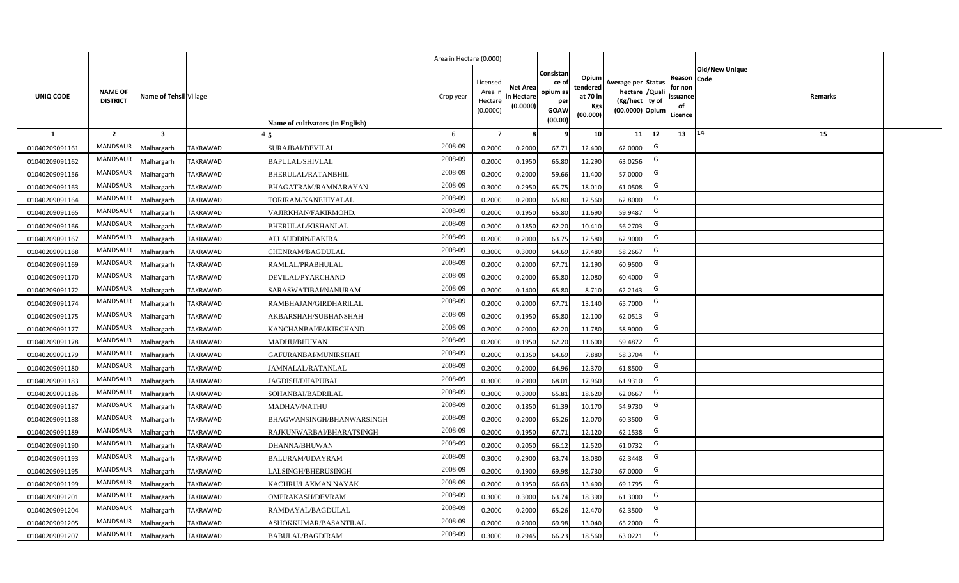|                |                                   |                         |                 |                                  | Area in Hectare (0.000) |                                           |                                           |                                                                 |                                                  |                                                                            |                                                    |                       |         |  |
|----------------|-----------------------------------|-------------------------|-----------------|----------------------------------|-------------------------|-------------------------------------------|-------------------------------------------|-----------------------------------------------------------------|--------------------------------------------------|----------------------------------------------------------------------------|----------------------------------------------------|-----------------------|---------|--|
| UNIQ CODE      | <b>NAME OF</b><br><b>DISTRICT</b> | Name of Tehsil Village  |                 | Name of cultivators (in English) | Crop year               | Licensed<br>Area i<br>Hectare<br>(0.0000) | <b>Net Area</b><br>in Hectare<br>(0.0000) | Consistan<br>ce of<br>opium as<br>per<br><b>GOAW</b><br>(00.00) | Opium<br>tendered<br>at 70 in<br>Kgs<br>(00.000) | Average per Status<br>hectare / Quali<br>(Kg/hect ty of<br>(00.0000) Opium | Reason Code<br>for non<br>ssuance<br>of<br>Licence | <b>Old/New Unique</b> | Remarks |  |
| $\mathbf{1}$   | $\overline{2}$                    | $\overline{\mathbf{3}}$ |                 |                                  | 6                       | $\overline{7}$                            | 8                                         | 9                                                               | 10 <sup>1</sup>                                  | 11<br>12                                                                   | 13                                                 | 14                    | 15      |  |
| 01040209091161 | MANDSAUR                          | Malhargarh              | <b>TAKRAWAD</b> | SURAJBAI/DEVILAL                 | 2008-09                 | 0.2000                                    | 0.2000                                    | 67.71                                                           | 12.400                                           | G<br>62.0000                                                               |                                                    |                       |         |  |
| 01040209091162 | MANDSAUR                          | <b>Aalhargarh</b>       | <b>TAKRAWAD</b> | <b>BAPULAL/SHIVLAL</b>           | 2008-09                 | 0.2000                                    | 0.1950                                    | 65.80                                                           | 12.290                                           | G<br>63.0256                                                               |                                                    |                       |         |  |
| 01040209091156 | MANDSAUR                          | Malhargarh              | <b>TAKRAWAD</b> | BHERULAL/RATANBHIL               | 2008-09                 | 0.2000                                    | 0.2000                                    | 59.66                                                           | 11.400                                           | G<br>57.0000                                                               |                                                    |                       |         |  |
| 01040209091163 | <b>MANDSAUR</b>                   | Malhargarh              | <b>TAKRAWAD</b> | BHAGATRAM/RAMNARAYAN             | 2008-09                 | 0.3000                                    | 0.2950                                    | 65.75                                                           | 18.010                                           | G<br>61.0508                                                               |                                                    |                       |         |  |
| 01040209091164 | MANDSAUR                          | Malhargarh              | <b>TAKRAWAD</b> | TORIRAM/KANEHIYALAL              | 2008-09                 | 0.2000                                    | 0.2000                                    | 65.80                                                           | 12.560                                           | G<br>62.8000                                                               |                                                    |                       |         |  |
| 01040209091165 | MANDSAUR                          | Malhargarh              | <b>TAKRAWAD</b> | VAJIRKHAN/FAKIRMOHD.             | 2008-09                 | 0.2000                                    | 0.1950                                    | 65.80                                                           | 11.690                                           | G<br>59.9487                                                               |                                                    |                       |         |  |
| 01040209091166 | MANDSAUR                          | Malhargarh              | <b>TAKRAWAD</b> | BHERULAL/KISHANLAL               | 2008-09                 | 0.2000                                    | 0.1850                                    | 62.20                                                           | 10.410                                           | G<br>56.2703                                                               |                                                    |                       |         |  |
| 01040209091167 | MANDSAUR                          | Malhargarh              | <b>TAKRAWAD</b> | ALLAUDDIN/FAKIRA                 | 2008-09                 | 0.2000                                    | 0.2000                                    | 63.75                                                           | 12.580                                           | G<br>62.9000                                                               |                                                    |                       |         |  |
| 01040209091168 | MANDSAUR                          | Malhargarh              | <b>TAKRAWAD</b> | CHENRAM/BAGDULAL                 | 2008-09                 | 0.3000                                    | 0.3000                                    | 64.69                                                           | 17.480                                           | G<br>58.2667                                                               |                                                    |                       |         |  |
| 01040209091169 | MANDSAUR                          | Malhargarh              | <b>TAKRAWAD</b> | RAMLAL/PRABHULAL                 | 2008-09                 | 0.2000                                    | 0.2000                                    | 67.71                                                           | 12.190                                           | G<br>60.9500                                                               |                                                    |                       |         |  |
| 01040209091170 | MANDSAUR                          | Malhargarh              | <b>TAKRAWAD</b> | DEVILAL/PYARCHAND                | 2008-09                 | 0.2000                                    | 0.2000                                    | 65.80                                                           | 12.080                                           | G<br>60.4000                                                               |                                                    |                       |         |  |
| 01040209091172 | MANDSAUR                          | Malhargarh              | <b>TAKRAWAD</b> | SARASWATIBAI/NANURAM             | 2008-09                 | 0.2000                                    | 0.1400                                    | 65.80                                                           | 8.710                                            | G<br>62.2143                                                               |                                                    |                       |         |  |
| 01040209091174 | MANDSAUR                          | Malhargarh              | <b>TAKRAWAD</b> | RAMBHAJAN/GIRDHARILAL            | 2008-09                 | 0.2000                                    | 0.2000                                    | 67.71                                                           | 13.140                                           | G<br>65.7000                                                               |                                                    |                       |         |  |
| 01040209091175 | <b>MANDSAUR</b>                   | Malhargarh              | <b>TAKRAWAD</b> | AKBARSHAH/SUBHANSHAH             | 2008-09                 | 0.2000                                    | 0.1950                                    | 65.80                                                           | 12.100                                           | G<br>62.0513                                                               |                                                    |                       |         |  |
| 01040209091177 | <b>MANDSAUR</b>                   | Malhargarh              | <b>TAKRAWAD</b> | KANCHANBAI/FAKIRCHAND            | 2008-09                 | 0.2000                                    | 0.2000                                    | 62.20                                                           | 11.780                                           | G<br>58.9000                                                               |                                                    |                       |         |  |
| 01040209091178 | <b>MANDSAUR</b>                   | Malhargarh              | <b>TAKRAWAD</b> | MADHU/BHUVAN                     | 2008-09                 | 0.2000                                    | 0.1950                                    | 62.20                                                           | 11.600                                           | G<br>59.4872                                                               |                                                    |                       |         |  |
| 01040209091179 | <b>MANDSAUR</b>                   | Malhargarh              | <b>TAKRAWAD</b> | GAFURANBAI/MUNIRSHAH             | 2008-09                 | 0.2000                                    | 0.1350                                    | 64.69                                                           | 7.880                                            | G<br>58.3704                                                               |                                                    |                       |         |  |
| 01040209091180 | <b>MANDSAUR</b>                   | Malhargarh              | <b>TAKRAWAD</b> | JAMNALAL/RATANLAL                | 2008-09                 | 0.2000                                    | 0.2000                                    | 64.96                                                           | 12.370                                           | G<br>61.8500                                                               |                                                    |                       |         |  |
| 01040209091183 | <b>MANDSAUR</b>                   | Malhargarh              | <b>TAKRAWAD</b> | JAGDISH/DHAPUBAI                 | 2008-09                 | 0.3000                                    | 0.2900                                    | 68.01                                                           | 17.960                                           | G<br>61.9310                                                               |                                                    |                       |         |  |
| 01040209091186 | MANDSAUR                          | Malhargarh              | <b>TAKRAWAD</b> | SOHANBAI/BADRILAL                | 2008-09                 | 0.3000                                    | 0.3000                                    | 65.81                                                           | 18.620                                           | G<br>62.0667                                                               |                                                    |                       |         |  |
| 01040209091187 | MANDSAUR                          | Malhargarh              | <b>TAKRAWAD</b> | MADHAV/NATHU                     | 2008-09                 | 0.2000                                    | 0.1850                                    | 61.39                                                           | 10.170                                           | G<br>54.9730                                                               |                                                    |                       |         |  |
| 01040209091188 | MANDSAUR                          | Malhargarh              | <b>TAKRAWAD</b> | BHAGWANSINGH/BHANWARSINGH        | 2008-09                 | 0.2000                                    | 0.2000                                    | 65.26                                                           | 12.070                                           | G<br>60.3500                                                               |                                                    |                       |         |  |
| 01040209091189 | <b>MANDSAUR</b>                   | Malhargarh              | <b>TAKRAWAD</b> | RAJKUNWARBAI/BHARATSINGH         | 2008-09                 | 0.2000                                    | 0.1950                                    | 67.71                                                           | 12.120                                           | G<br>62.1538                                                               |                                                    |                       |         |  |
| 01040209091190 | MANDSAUR                          | Malhargarh              | <b>TAKRAWAD</b> | DHANNA/BHUWAN                    | 2008-09                 | 0.2000                                    | 0.2050                                    | 66.12                                                           | 12.520                                           | G<br>61.0732                                                               |                                                    |                       |         |  |
| 01040209091193 | MANDSAUR                          | Malhargarh              | <b>TAKRAWAD</b> | BALURAM/UDAYRAM                  | 2008-09                 | 0.3000                                    | 0.2900                                    | 63.74                                                           | 18.080                                           | G<br>62.3448                                                               |                                                    |                       |         |  |
| 01040209091195 | MANDSAUR                          | Malhargarh              | <b>TAKRAWAD</b> | LALSINGH/BHERUSINGH              | 2008-09                 | 0.2000                                    | 0.1900                                    | 69.98                                                           | 12.730                                           | G<br>67.0000                                                               |                                                    |                       |         |  |
| 01040209091199 | MANDSAUR                          | Malhargarh              | <b>TAKRAWAD</b> | KACHRU/LAXMAN NAYAK              | 2008-09                 | 0.2000                                    | 0.1950                                    | 66.63                                                           | 13.490                                           | G<br>69.1795                                                               |                                                    |                       |         |  |
| 01040209091201 | MANDSAUR                          | Malhargarh              | <b>TAKRAWAD</b> | OMPRAKASH/DEVRAM                 | 2008-09                 | 0.3000                                    | 0.3000                                    | 63.74                                                           | 18.390                                           | G<br>61.3000                                                               |                                                    |                       |         |  |
| 01040209091204 | MANDSAUR                          | Malhargarh              | <b>TAKRAWAD</b> | RAMDAYAL/BAGDULAL                | 2008-09                 | 0.2000                                    | 0.2000                                    | 65.26                                                           | 12.470                                           | G<br>62.3500                                                               |                                                    |                       |         |  |
| 01040209091205 | MANDSAUR                          | Malhargarh              | TAKRAWAD        | ASHOKKUMAR/BASANTILAL            | 2008-09                 | 0.2000                                    | 0.2000                                    | 69.98                                                           | 13.040                                           | G<br>65.2000                                                               |                                                    |                       |         |  |
| 01040209091207 | MANDSAUR                          | Malhargarh              | <b>TAKRAWAD</b> | <b>BABULAL/BAGDIRAM</b>          | 2008-09                 | 0.3000                                    | 0.2945                                    | 66.23                                                           | 18.560                                           | G<br>63.0221                                                               |                                                    |                       |         |  |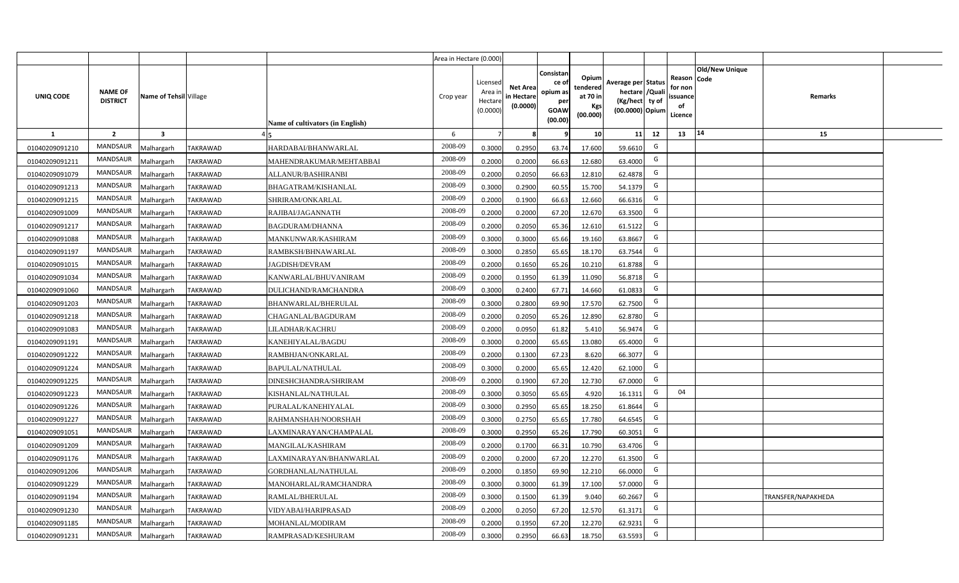|                |                                   |                         |                 |                                  | Area in Hectare (0.000) |                                           |                                           |                                                         |                                                         |                                                                            |                                               |                               |                    |  |
|----------------|-----------------------------------|-------------------------|-----------------|----------------------------------|-------------------------|-------------------------------------------|-------------------------------------------|---------------------------------------------------------|---------------------------------------------------------|----------------------------------------------------------------------------|-----------------------------------------------|-------------------------------|--------------------|--|
| UNIQ CODE      | <b>NAME OF</b><br><b>DISTRICT</b> | Name of Tehsil Village  |                 | Name of cultivators (in English) | Crop year               | Licensed<br>Area i<br>Hectare<br>(0.0000) | <b>Net Area</b><br>in Hectare<br>(0.0000) | Consistan<br>ce o<br>opium as<br>per<br>GOAW<br>(00.00) | Opium<br>tendered<br>at 70 in<br><b>Kgs</b><br>(00.000) | Average per Status<br>hectare / Quali<br>(Kg/hect ty of<br>(00.0000) Opium | Reason<br>for non<br>ssuance<br>of<br>Licence | <b>Old/New Unique</b><br>Code | Remarks            |  |
| $\mathbf{1}$   | $\overline{2}$                    | $\overline{\mathbf{3}}$ |                 |                                  | 6                       | $\overline{7}$                            |                                           | 9                                                       | 10 <sup>1</sup>                                         | 12<br>11                                                                   | 13                                            | 14                            | 15                 |  |
| 01040209091210 | MANDSAUR                          | <b>Aalhargarh</b>       | <b>TAKRAWAD</b> | HARDABAI/BHANWARLAL              | 2008-09                 | 0.3000                                    | 0.2950                                    | 63.74                                                   | 17.600                                                  | G<br>59.6610                                                               |                                               |                               |                    |  |
| 01040209091211 | MANDSAUR                          | Malhargarh              | <b>TAKRAWAD</b> | MAHENDRAKUMAR/MEHTABBAI          | 2008-09                 | 0.2000                                    | 0.2000                                    | 66.63                                                   | 12.680                                                  | G<br>63.4000                                                               |                                               |                               |                    |  |
| 01040209091079 | MANDSAUR                          | Malhargarh              | <b>TAKRAWAD</b> | ALLANUR/BASHIRANBI               | 2008-09                 | 0.2000                                    | 0.2050                                    | 66.63                                                   | 12.810                                                  | G<br>62.4878                                                               |                                               |                               |                    |  |
| 01040209091213 | MANDSAUR                          | Malhargarh              | <b>TAKRAWAD</b> | BHAGATRAM/KISHANLAL              | 2008-09                 | 0.3000                                    | 0.2900                                    | 60.55                                                   | 15.700                                                  | G<br>54.1379                                                               |                                               |                               |                    |  |
| 01040209091215 | <b>MANDSAUR</b>                   | Malhargarh              | <b>TAKRAWAD</b> | SHRIRAM/ONKARLAL                 | 2008-09                 | 0.2000                                    | 0.1900                                    | 66.63                                                   | 12.660                                                  | G<br>66.6316                                                               |                                               |                               |                    |  |
| 01040209091009 | MANDSAUR                          | Malhargarh              | TAKRAWAD        | RAJIBAI/JAGANNATH                | 2008-09                 | 0.2000                                    | 0.2000                                    | 67.20                                                   | 12.670                                                  | G<br>63.3500                                                               |                                               |                               |                    |  |
| 01040209091217 | <b>MANDSAUR</b>                   | Malhargarh              | <b>TAKRAWAD</b> | <b>BAGDURAM/DHANNA</b>           | 2008-09                 | 0.2000                                    | 0.2050                                    | 65.36                                                   | 12.610                                                  | G<br>61.5122                                                               |                                               |                               |                    |  |
| 01040209091088 | <b>MANDSAUR</b>                   | Malhargarh              | <b>TAKRAWAD</b> | MANKUNWAR/KASHIRAM               | 2008-09                 | 0.3000                                    | 0.3000                                    | 65.66                                                   | 19.160                                                  | G<br>63.8667                                                               |                                               |                               |                    |  |
| 01040209091197 | <b>MANDSAUR</b>                   | Malhargarh              | <b>TAKRAWAD</b> | RAMBKSH/BHNAWARLAL               | 2008-09                 | 0.3000                                    | 0.2850                                    | 65.65                                                   | 18.170                                                  | G<br>63.7544                                                               |                                               |                               |                    |  |
| 01040209091015 | <b>MANDSAUR</b>                   | Malhargarh              | <b>TAKRAWAD</b> | JAGDISH/DEVRAM                   | 2008-09                 | 0.2000                                    | 0.1650                                    | 65.26                                                   | 10.210                                                  | G<br>61.8788                                                               |                                               |                               |                    |  |
| 01040209091034 | <b>MANDSAUR</b>                   | Malhargarh              | <b>TAKRAWAD</b> | KANWARLAL/BHUVANIRAM             | 2008-09                 | 0.2000                                    | 0.1950                                    | 61.39                                                   | 11.090                                                  | G<br>56.8718                                                               |                                               |                               |                    |  |
| 01040209091060 | MANDSAUR                          | Malhargarh              | <b>TAKRAWAD</b> | DULICHAND/RAMCHANDRA             | 2008-09                 | 0.3000                                    | 0.2400                                    | 67.71                                                   | 14.660                                                  | G<br>61.0833                                                               |                                               |                               |                    |  |
| 01040209091203 | <b>MANDSAUR</b>                   | Malhargarh              | TAKRAWAD        | BHANWARLAL/BHERULAL              | 2008-09                 | 0.3000                                    | 0.2800                                    | 69.90                                                   | 17.570                                                  | G<br>62.7500                                                               |                                               |                               |                    |  |
| 01040209091218 | MANDSAUR                          | Malhargarh              | TAKRAWAD        | CHAGANLAL/BAGDURAM               | 2008-09                 | 0.2000                                    | 0.2050                                    | 65.26                                                   | 12.890                                                  | G<br>62.8780                                                               |                                               |                               |                    |  |
| 01040209091083 | <b>MANDSAUR</b>                   | Malhargarh              | <b>TAKRAWAD</b> | LILADHAR/KACHRU                  | 2008-09                 | 0.2000                                    | 0.0950                                    | 61.82                                                   | 5.410                                                   | G<br>56.9474                                                               |                                               |                               |                    |  |
| 01040209091191 | <b>MANDSAUR</b>                   | Malhargarh              | <b>TAKRAWAD</b> | KANEHIYALAL/BAGDU                | 2008-09                 | 0.3000                                    | 0.2000                                    | 65.65                                                   | 13.080                                                  | G<br>65.4000                                                               |                                               |                               |                    |  |
| 01040209091222 | <b>MANDSAUR</b>                   | Malhargarh              | <b>TAKRAWAD</b> | RAMBHJAN/ONKARLAL                | 2008-09                 | 0.2000                                    | 0.1300                                    | 67.23                                                   | 8.620                                                   | G<br>66.3077                                                               |                                               |                               |                    |  |
| 01040209091224 | <b>MANDSAUR</b>                   | Malhargarh              | <b>TAKRAWAD</b> | <b>BAPULAL/NATHULAL</b>          | 2008-09                 | 0.3000                                    | 0.2000                                    | 65.65                                                   | 12.420                                                  | G<br>62.1000                                                               |                                               |                               |                    |  |
| 01040209091225 | <b>MANDSAUR</b>                   | Malhargarh              | <b>TAKRAWAD</b> | DINESHCHANDRA/SHRIRAM            | 2008-09                 | 0.2000                                    | 0.1900                                    | 67.20                                                   | 12.730                                                  | G<br>67.0000                                                               |                                               |                               |                    |  |
| 01040209091223 | <b>MANDSAUR</b>                   | Malhargarh              | <b>TAKRAWAD</b> | KISHANLAL/NATHULAL               | 2008-09                 | 0.3000                                    | 0.3050                                    | 65.65                                                   | 4.920                                                   | G<br>16.1311                                                               | 04                                            |                               |                    |  |
| 01040209091226 | MANDSAUR                          | Malhargarh              | <b>TAKRAWAD</b> | PURALAL/KANEHIYALAL              | 2008-09                 | 0.3000                                    | 0.2950                                    | 65.65                                                   | 18.250                                                  | G<br>61.8644                                                               |                                               |                               |                    |  |
| 01040209091227 | MANDSAUR                          | Malhargarh              | TAKRAWAD        | RAHMANSHAH/NOORSHAH              | 2008-09                 | 0.3000                                    | 0.2750                                    | 65.65                                                   | 17.780                                                  | G<br>64.6545                                                               |                                               |                               |                    |  |
| 01040209091051 | <b>MANDSAUR</b>                   | <b>Aalhargarh</b>       | TAKRAWAD        | LAXMINARAYAN/CHAMPALAL           | 2008-09                 | 0.3000                                    | 0.2950                                    | 65.26                                                   | 17.790                                                  | G<br>60.3051                                                               |                                               |                               |                    |  |
| 01040209091209 | <b>MANDSAUR</b>                   | Malhargarh              | <b>TAKRAWAD</b> | MANGILAL/KASHIRAM                | 2008-09                 | 0.2000                                    | 0.1700                                    | 66.31                                                   | 10.790                                                  | G<br>63.4706                                                               |                                               |                               |                    |  |
| 01040209091176 | <b>MANDSAUR</b>                   | Malhargarh              | <b>TAKRAWAD</b> | LAXMINARAYAN/BHANWARLAL          | 2008-09                 | 0.2000                                    | 0.2000                                    | 67.20                                                   | 12.270                                                  | G<br>61.3500                                                               |                                               |                               |                    |  |
| 01040209091206 | MANDSAUR                          | Malhargarh              | <b>TAKRAWAD</b> | GORDHANLAL/NATHULAL              | 2008-09                 | 0.2000                                    | 0.1850                                    | 69.90                                                   | 12.210                                                  | G<br>66.0000                                                               |                                               |                               |                    |  |
| 01040209091229 | MANDSAUR                          | Malhargarh              | <b>TAKRAWAD</b> | MANOHARLAL/RAMCHANDRA            | 2008-09                 | 0.3000                                    | 0.3000                                    | 61.39                                                   | 17.100                                                  | G<br>57.0000                                                               |                                               |                               |                    |  |
| 01040209091194 | MANDSAUR                          | Malhargarh              | <b>TAKRAWAD</b> | RAMLAL/BHERULAL                  | 2008-09                 | 0.3000                                    | 0.1500                                    | 61.39                                                   | 9.040                                                   | G<br>60.2667                                                               |                                               |                               | TRANSFER/NAPAKHEDA |  |
| 01040209091230 | MANDSAUR                          | Malhargarh              | <b>TAKRAWAD</b> | VIDYABAI/HARIPRASAD              | 2008-09                 | 0.2000                                    | 0.2050                                    | 67.20                                                   | 12.570                                                  | G<br>61.3171                                                               |                                               |                               |                    |  |
| 01040209091185 | MANDSAUR                          | Malhargarh              | TAKRAWAD        | MOHANLAL/MODIRAM                 | 2008-09                 | 0.2000                                    | 0.1950                                    | 67.20                                                   | 12.270                                                  | G<br>62.9231                                                               |                                               |                               |                    |  |
| 01040209091231 | MANDSAUR                          | Malhargarh              | <b>TAKRAWAD</b> | RAMPRASAD/KESHURAM               | 2008-09                 | 0.3000                                    | 0.2950                                    | 66.63                                                   | 18.750                                                  | G<br>63.5593                                                               |                                               |                               |                    |  |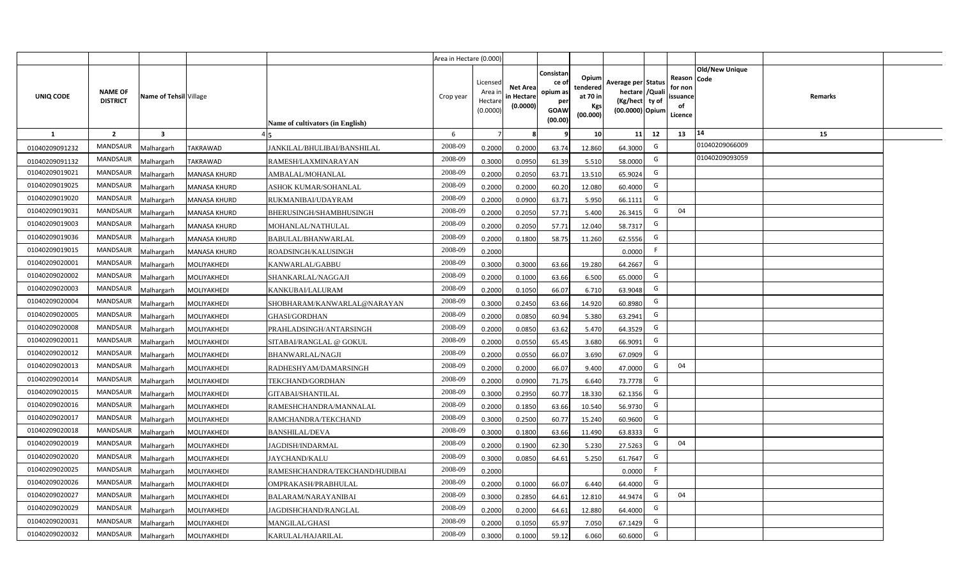|                |                                   |                         |                     |                                  | Area in Hectare (0.000) |                                           |                                           |                                                                 |                                                  |                                                                            |                                                    |                       |         |  |
|----------------|-----------------------------------|-------------------------|---------------------|----------------------------------|-------------------------|-------------------------------------------|-------------------------------------------|-----------------------------------------------------------------|--------------------------------------------------|----------------------------------------------------------------------------|----------------------------------------------------|-----------------------|---------|--|
| UNIQ CODE      | <b>NAME OF</b><br><b>DISTRICT</b> | Name of Tehsil Village  |                     | Name of cultivators (in English) | Crop year               | Licensed<br>Area i<br>Hectare<br>(0.0000) | <b>Net Area</b><br>in Hectare<br>(0.0000) | Consistan<br>ce of<br>opium as<br>per<br><b>GOAW</b><br>(00.00) | Opium<br>tendered<br>at 70 in<br>Kgs<br>(00.000) | Average per Status<br>hectare / Quali<br>(Kg/hect ty of<br>(00.0000) Opium | Reason Code<br>for non<br>ssuance<br>of<br>Licence | <b>Old/New Unique</b> | Remarks |  |
| $\mathbf{1}$   | $\overline{2}$                    | $\overline{\mathbf{3}}$ |                     |                                  | 6                       | $\overline{7}$                            | 8                                         | 9                                                               | 10 <sup>1</sup>                                  | 11<br>12                                                                   | 13                                                 | 14                    | 15      |  |
| 01040209091232 | MANDSAUR                          | Malhargarh              | <b>TAKRAWAD</b>     | JANKILAL/BHULIBAI/BANSHILAL      | 2008-09                 | 0.2000                                    | 0.2000                                    | 63.74                                                           | 12.860                                           | G<br>64.3000                                                               |                                                    | 01040209066009        |         |  |
| 01040209091132 | MANDSAUR                          | <b>Aalhargarh</b>       | <b>TAKRAWAD</b>     | RAMESH/LAXMINARAYAN              | 2008-09                 | 0.3000                                    | 0.0950                                    | 61.39                                                           | 5.510                                            | G<br>58.0000                                                               |                                                    | 01040209093059        |         |  |
| 01040209019021 | MANDSAUR                          | Malhargarh              | <b>MANASA KHURD</b> | AMBALAL/MOHANLAL                 | 2008-09                 | 0.2000                                    | 0.2050                                    | 63.71                                                           | 13.510                                           | G<br>65.9024                                                               |                                                    |                       |         |  |
| 01040209019025 | <b>MANDSAUR</b>                   | Vlalhargarh             | <b>MANASA KHURD</b> | ASHOK KUMAR/SOHANLAL             | 2008-09                 | 0.2000                                    | 0.2000                                    | 60.20                                                           | 12.080                                           | G<br>60.4000                                                               |                                                    |                       |         |  |
| 01040209019020 | <b>MANDSAUR</b>                   | Malhargarh              | <b>MANASA KHURD</b> | RUKMANIBAI/UDAYRAM               | 2008-09                 | 0.2000                                    | 0.0900                                    | 63.71                                                           | 5.950                                            | G<br>66.1111                                                               |                                                    |                       |         |  |
| 01040209019031 | <b>MANDSAUR</b>                   | Malhargarh              | <b>MANASA KHURD</b> | BHERUSINGH/SHAMBHUSINGH          | 2008-09                 | 0.2000                                    | 0.2050                                    | 57.71                                                           | 5.400                                            | G<br>26.3415                                                               | 04                                                 |                       |         |  |
| 01040209019003 | <b>MANDSAUR</b>                   | Malhargarh              | <b>MANASA KHURD</b> | MOHANLAL/NATHULAL                | 2008-09                 | 0.2000                                    | 0.2050                                    | 57.71                                                           | 12.040                                           | G<br>58.7317                                                               |                                                    |                       |         |  |
| 01040209019036 | <b>MANDSAUR</b>                   | Malhargarh              | <b>MANASA KHURD</b> | BABULAL/BHANWARLAL               | 2008-09                 | 0.2000                                    | 0.1800                                    | 58.75                                                           | 11.260                                           | G<br>62.5556                                                               |                                                    |                       |         |  |
| 01040209019015 | <b>MANDSAUR</b>                   | Malhargarh              | <b>MANASA KHURD</b> | ROADSINGH/KALUSINGH              | 2008-09                 | 0.2000                                    |                                           |                                                                 |                                                  | F<br>0.0000                                                                |                                                    |                       |         |  |
| 01040209020001 | <b>MANDSAUR</b>                   | Malhargarh              | MOLIYAKHEDI         | KANWARLAL/GABBU                  | 2008-09                 | 0.3000                                    | 0.3000                                    | 63.66                                                           | 19.280                                           | G<br>64.2667                                                               |                                                    |                       |         |  |
| 01040209020002 | <b>MANDSAUR</b>                   | Malhargarh              | MOLIYAKHEDI         | SHANKARLAL/NAGGAJI               | 2008-09                 | 0.2000                                    | 0.1000                                    | 63.66                                                           | 6.500                                            | G<br>65.0000                                                               |                                                    |                       |         |  |
| 01040209020003 | <b>MANDSAUR</b>                   | Malhargarh              | MOLIYAKHEDI         | KANKUBAI/LALURAM                 | 2008-09                 | 0.2000                                    | 0.1050                                    | 66.07                                                           | 6.710                                            | G<br>63.9048                                                               |                                                    |                       |         |  |
| 01040209020004 | MANDSAUR                          | Malhargarh              | MOLIYAKHEDI         | SHOBHARAM/KANWARLAL@NARAYAN      | 2008-09                 | 0.3000                                    | 0.2450                                    | 63.66                                                           | 14.920                                           | G<br>60.8980                                                               |                                                    |                       |         |  |
| 01040209020005 | <b>MANDSAUR</b>                   | Malhargarh              | MOLIYAKHEDI         | <b>GHASI/GORDHAN</b>             | 2008-09                 | 0.2000                                    | 0.0850                                    | 60.94                                                           | 5.380                                            | G<br>63.2941                                                               |                                                    |                       |         |  |
| 01040209020008 | <b>MANDSAUR</b>                   | Malhargarh              | MOLIYAKHEDI         | PRAHLADSINGH/ANTARSINGH          | 2008-09                 | 0.2000                                    | 0.0850                                    | 63.62                                                           | 5.470                                            | G<br>64.3529                                                               |                                                    |                       |         |  |
| 01040209020011 | <b>MANDSAUR</b>                   | Malhargarh              | MOLIYAKHEDI         | SITABAI/RANGLAL @ GOKUL          | 2008-09                 | 0.2000                                    | 0.0550                                    | 65.45                                                           | 3.680                                            | G<br>66.9091                                                               |                                                    |                       |         |  |
| 01040209020012 | <b>MANDSAUR</b>                   | Malhargarh              | MOLIYAKHEDI         | BHANWARLAL/NAGJI                 | 2008-09                 | 0.2000                                    | 0.0550                                    | 66.07                                                           | 3.690                                            | G<br>67.0909                                                               |                                                    |                       |         |  |
| 01040209020013 | <b>MANDSAUR</b>                   | Malhargarh              | MOLIYAKHEDI         | RADHESHYAM/DAMARSINGH            | 2008-09                 | 0.2000                                    | 0.2000                                    | 66.07                                                           | 9.400                                            | G<br>47.0000                                                               | 04                                                 |                       |         |  |
| 01040209020014 | <b>MANDSAUR</b>                   | Malhargarh              | MOLIYAKHEDI         | TEKCHAND/GORDHAN                 | 2008-09                 | 0.2000                                    | 0.0900                                    | 71.75                                                           | 6.640                                            | G<br>73.7778                                                               |                                                    |                       |         |  |
| 01040209020015 | MANDSAUR                          | Malhargarh              | MOLIYAKHEDI         | GITABAI/SHANTILAL                | 2008-09                 | 0.3000                                    | 0.2950                                    | 60.77                                                           | 18.330                                           | G<br>62.1356                                                               |                                                    |                       |         |  |
| 01040209020016 | MANDSAUR                          | Malhargarh              | MOLIYAKHEDI         | RAMESHCHANDRA/MANNALAL           | 2008-09                 | 0.2000                                    | 0.1850                                    | 63.66                                                           | 10.540                                           | G<br>56.9730                                                               |                                                    |                       |         |  |
| 01040209020017 | MANDSAUR                          | Malhargarh              | MOLIYAKHEDI         | RAMCHANDRA/TEKCHAND              | 2008-09                 | 0.3000                                    | 0.2500                                    | 60.77                                                           | 15.240                                           | G<br>60.9600                                                               |                                                    |                       |         |  |
| 01040209020018 | <b>MANDSAUR</b>                   | Malhargarh              | MOLIYAKHEDI         | BANSHILAL/DEVA                   | 2008-09                 | 0.3000                                    | 0.1800                                    | 63.66                                                           | 11.490                                           | G<br>63.8333                                                               |                                                    |                       |         |  |
| 01040209020019 | MANDSAUR                          | Malhargarh              | MOLIYAKHEDI         | JAGDISH/INDARMAL                 | 2008-09                 | 0.2000                                    | 0.1900                                    | 62.30                                                           | 5.230                                            | G<br>27.5263                                                               | 04                                                 |                       |         |  |
| 01040209020020 | <b>MANDSAUR</b>                   | Malhargarh              | MOLIYAKHEDI         | JAYCHAND/KALU                    | 2008-09                 | 0.3000                                    | 0.0850                                    | 64.61                                                           | 5.250                                            | G<br>61.7647                                                               |                                                    |                       |         |  |
| 01040209020025 | MANDSAUR                          | Malhargarh              | MOLIYAKHEDI         | RAMESHCHANDRA/TEKCHAND/HUDIBAI   | 2008-09                 | 0.2000                                    |                                           |                                                                 |                                                  | -F<br>0.0000                                                               |                                                    |                       |         |  |
| 01040209020026 | MANDSAUR                          | Malhargarh              | MOLIYAKHEDI         | OMPRAKASH/PRABHULAL              | 2008-09                 | 0.2000                                    | 0.1000                                    | 66.07                                                           | 6.440                                            | G<br>64.4000                                                               |                                                    |                       |         |  |
| 01040209020027 | MANDSAUR                          | Malhargarh              | MOLIYAKHEDI         | BALARAM/NARAYANIBAI              | 2008-09                 | 0.3000                                    | 0.2850                                    | 64.61                                                           | 12.810                                           | G<br>44.9474                                                               | 04                                                 |                       |         |  |
| 01040209020029 | MANDSAUR                          | Malhargarh              | MOLIYAKHEDI         | JAGDISHCHAND/RANGLAL             | 2008-09                 | 0.2000                                    | 0.2000                                    | 64.61                                                           | 12.880                                           | G<br>64.4000                                                               |                                                    |                       |         |  |
| 01040209020031 | MANDSAUR                          | Malhargarh              | MOLIYAKHEDI         | MANGILAL/GHASI                   | 2008-09                 | 0.2000                                    | 0.1050                                    | 65.97                                                           | 7.050                                            | G<br>67.1429                                                               |                                                    |                       |         |  |
| 01040209020032 | MANDSAUR                          | Malhargarh              | MOLIYAKHEDI         | KARULAL/HAJARILAL                | 2008-09                 | 0.3000                                    | 0.1000                                    | 59.12                                                           | 6.060                                            | G<br>60.6000                                                               |                                                    |                       |         |  |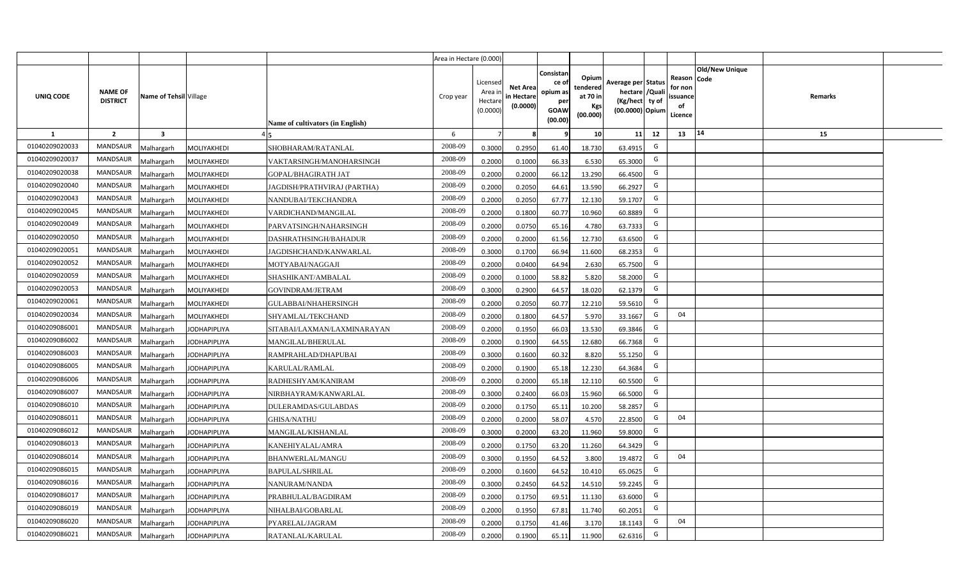|                |                                   |                         |                     |                                  | Area in Hectare (0.000) |                                           |                                           |                                                                 |                                                         |                                                                            |                                                    |                       |         |  |
|----------------|-----------------------------------|-------------------------|---------------------|----------------------------------|-------------------------|-------------------------------------------|-------------------------------------------|-----------------------------------------------------------------|---------------------------------------------------------|----------------------------------------------------------------------------|----------------------------------------------------|-----------------------|---------|--|
| UNIQ CODE      | <b>NAME OF</b><br><b>DISTRICT</b> | Name of Tehsil Village  |                     | Name of cultivators (in English) | Crop year               | Licensed<br>Area i<br>Hectare<br>(0.0000) | <b>Net Area</b><br>in Hectare<br>(0.0000) | Consistan<br>ce of<br>opium as<br>per<br><b>GOAW</b><br>(00.00) | Opium<br>tendered<br>at 70 in<br><b>Kgs</b><br>(00.000) | Average per Status<br>hectare / Quali<br>(Kg/hect ty of<br>(00.0000) Opium | Reason Code<br>for non<br>ssuance<br>of<br>Licence | <b>Old/New Unique</b> | Remarks |  |
| $\mathbf{1}$   | $\overline{2}$                    | $\overline{\mathbf{3}}$ |                     |                                  | 6                       | $\overline{7}$                            | 8                                         | 9                                                               | 10 <sup>1</sup>                                         | 12<br>11                                                                   | 13                                                 | 14                    | 15      |  |
| 01040209020033 | MANDSAUR                          | <b>Aalhargarh</b>       | MOLIYAKHEDI         | SHOBHARAM/RATANLAL               | 2008-09                 | 0.3000                                    | 0.2950                                    | 61.40                                                           | 18.730                                                  | G<br>63.4915                                                               |                                                    |                       |         |  |
| 01040209020037 | <b>MANDSAUR</b>                   | <b>Aalhargarh</b>       | MOLIYAKHEDI         | VAKTARSINGH/MANOHARSINGH         | 2008-09                 | 0.2000                                    | 0.1000                                    | 66.33                                                           | 6.530                                                   | G<br>65.3000                                                               |                                                    |                       |         |  |
| 01040209020038 | MANDSAUR                          | Malhargarh              | MOLIYAKHEDI         | GOPAL/BHAGIRATH JAT              | 2008-09                 | 0.2000                                    | 0.2000                                    | 66.12                                                           | 13.290                                                  | G<br>66.4500                                                               |                                                    |                       |         |  |
| 01040209020040 | <b>MANDSAUR</b>                   | Malhargarh              | MOLIYAKHEDI         | JAGDISH/PRATHVIRAJ (PARTHA)      | 2008-09                 | 0.2000                                    | 0.2050                                    | 64.61                                                           | 13.590                                                  | G<br>66.2927                                                               |                                                    |                       |         |  |
| 01040209020043 | <b>MANDSAUR</b>                   | Malhargarh              | MOLIYAKHEDI         | NANDUBAI/TEKCHANDRA              | 2008-09                 | 0.2000                                    | 0.2050                                    | 67.77                                                           | 12.130                                                  | G<br>59.1707                                                               |                                                    |                       |         |  |
| 01040209020045 | <b>MANDSAUR</b>                   | Malhargarh              | MOLIYAKHEDI         | VARDICHAND/MANGILAL              | 2008-09                 | 0.2000                                    | 0.1800                                    | 60.77                                                           | 10.960                                                  | G<br>60.8889                                                               |                                                    |                       |         |  |
| 01040209020049 | <b>MANDSAUR</b>                   | Malhargarh              | MOLIYAKHEDI         | PARVATSINGH/NAHARSINGH           | 2008-09                 | 0.2000                                    | 0.0750                                    | 65.16                                                           | 4.780                                                   | G<br>63.7333                                                               |                                                    |                       |         |  |
| 01040209020050 | <b>MANDSAUR</b>                   | Malhargarh              | MOLIYAKHEDI         | DASHRATHSINGH/BAHADUR            | 2008-09                 | 0.2000                                    | 0.2000                                    | 61.56                                                           | 12.730                                                  | G<br>63.6500                                                               |                                                    |                       |         |  |
| 01040209020051 | <b>MANDSAUR</b>                   | Malhargarh              | MOLIYAKHEDI         | JAGDISHCHAND/KANWARLAL           | 2008-09                 | 0.3000                                    | 0.1700                                    | 66.94                                                           | 11.600                                                  | G<br>68.2353                                                               |                                                    |                       |         |  |
| 01040209020052 | <b>MANDSAUR</b>                   | Malhargarh              | MOLIYAKHEDI         | MOTYABAI/NAGGAJI                 | 2008-09                 | 0.2000                                    | 0.0400                                    | 64.94                                                           | 2.630                                                   | G<br>65.7500                                                               |                                                    |                       |         |  |
| 01040209020059 | MANDSAUR                          | Malhargarh              | MOLIYAKHEDI         | SHASHIKANT/AMBALAL               | 2008-09                 | 0.2000                                    | 0.1000                                    | 58.82                                                           | 5.820                                                   | G<br>58.2000                                                               |                                                    |                       |         |  |
| 01040209020053 | <b>MANDSAUR</b>                   | Malhargarh              | MOLIYAKHEDI         | GOVINDRAM/JETRAM                 | 2008-09                 | 0.3000                                    | 0.2900                                    | 64.57                                                           | 18.020                                                  | G<br>62.1379                                                               |                                                    |                       |         |  |
| 01040209020061 | MANDSAUR                          | Malhargarh              | MOLIYAKHEDI         | <b>GULABBAI/NHAHERSINGH</b>      | 2008-09                 | 0.2000                                    | 0.2050                                    | 60.77                                                           | 12.210                                                  | G<br>59.5610                                                               |                                                    |                       |         |  |
| 01040209020034 | <b>MANDSAUR</b>                   | Malhargarh              | MOLIYAKHEDI         | SHYAMLAL/TEKCHAND                | 2008-09                 | 0.2000                                    | 0.1800                                    | 64.57                                                           | 5.970                                                   | G<br>33.1667                                                               | 04                                                 |                       |         |  |
| 01040209086001 | <b>MANDSAUR</b>                   | Malhargarh              | <b>JODHAPIPLIYA</b> | SITABAI/LAXMAN/LAXMINARAYAN      | 2008-09                 | 0.2000                                    | 0.1950                                    | 66.03                                                           | 13.530                                                  | G<br>69.3846                                                               |                                                    |                       |         |  |
| 01040209086002 | <b>MANDSAUR</b>                   | Malhargarh              | <b>JODHAPIPLIYA</b> | MANGILAL/BHERULAL                | 2008-09                 | 0.2000                                    | 0.1900                                    | 64.55                                                           | 12.680                                                  | G<br>66.7368                                                               |                                                    |                       |         |  |
| 01040209086003 | <b>MANDSAUR</b>                   | Malhargarh              | <b>JODHAPIPLIYA</b> | RAMPRAHLAD/DHAPUBAI              | 2008-09                 | 0.3000                                    | 0.1600                                    | 60.32                                                           | 8.820                                                   | G<br>55.1250                                                               |                                                    |                       |         |  |
| 01040209086005 | <b>MANDSAUR</b>                   | Malhargarh              | <b>JODHAPIPLIYA</b> | KARULAL/RAMLAL                   | 2008-09                 | 0.2000                                    | 0.1900                                    | 65.18                                                           | 12.230                                                  | G<br>64.3684                                                               |                                                    |                       |         |  |
| 01040209086006 | <b>MANDSAUR</b>                   | Malhargarh              | <b>JODHAPIPLIYA</b> | RADHESHYAM/KANIRAM               | 2008-09                 | 0.2000                                    | 0.2000                                    | 65.18                                                           | 12.110                                                  | G<br>60.5500                                                               |                                                    |                       |         |  |
| 01040209086007 | MANDSAUR                          | Malhargarh              | <b>JODHAPIPLIYA</b> | NIRBHAYRAM/KANWARLAL             | 2008-09                 | 0.3000                                    | 0.2400                                    | 66.03                                                           | 15.960                                                  | G<br>66.5000                                                               |                                                    |                       |         |  |
| 01040209086010 | MANDSAUR                          | Malhargarh              | <b>JODHAPIPLIYA</b> | DULERAMDAS/GULABDAS              | 2008-09                 | 0.2000                                    | 0.1750                                    | 65.11                                                           | 10.200                                                  | G<br>58.2857                                                               |                                                    |                       |         |  |
| 01040209086011 | MANDSAUR                          | Malhargarh              | <b>JODHAPIPLIYA</b> | <b>GHISA/NATHU</b>               | 2008-09                 | 0.2000                                    | 0.2000                                    | 58.07                                                           | 4.570                                                   | G<br>22.8500                                                               | 04                                                 |                       |         |  |
| 01040209086012 | <b>MANDSAUR</b>                   | Malhargarh              | <b>JODHAPIPLIYA</b> | MANGILAL/KISHANLAL               | 2008-09                 | 0.3000                                    | 0.2000                                    | 63.20                                                           | 11.960                                                  | G<br>59.8000                                                               |                                                    |                       |         |  |
| 01040209086013 | MANDSAUR                          | Malhargarh              | <b>JODHAPIPLIYA</b> | KANEHIYALAL/AMRA                 | 2008-09                 | 0.2000                                    | 0.1750                                    | 63.20                                                           | 11.260                                                  | G<br>64.3429                                                               |                                                    |                       |         |  |
| 01040209086014 | <b>MANDSAUR</b>                   | Malhargarh              | <b>JODHAPIPLIYA</b> | BHANWERLAL/MANGU                 | 2008-09                 | 0.3000                                    | 0.1950                                    | 64.52                                                           | 3.800                                                   | G<br>19.4872                                                               | 04                                                 |                       |         |  |
| 01040209086015 | MANDSAUR                          | Malhargarh              | <b>JODHAPIPLIYA</b> | <b>BAPULAL/SHRILAL</b>           | 2008-09                 | 0.2000                                    | 0.1600                                    | 64.52                                                           | 10.410                                                  | G<br>65.0625                                                               |                                                    |                       |         |  |
| 01040209086016 | MANDSAUR                          | Malhargarh              | <b>JODHAPIPLIYA</b> | NANURAM/NANDA                    | 2008-09                 | 0.3000                                    | 0.2450                                    | 64.52                                                           | 14.510                                                  | G<br>59.2245                                                               |                                                    |                       |         |  |
| 01040209086017 | MANDSAUR                          | Malhargarh              | <b>JODHAPIPLIYA</b> | PRABHULAL/BAGDIRAM               | 2008-09                 | 0.2000                                    | 0.1750                                    | 69.51                                                           | 11.130                                                  | G<br>63.6000                                                               |                                                    |                       |         |  |
| 01040209086019 | MANDSAUR                          | Malhargarh              | <b>JODHAPIPLIYA</b> | NIHALBAI/GOBARLAL                | 2008-09                 | 0.2000                                    | 0.1950                                    | 67.81                                                           | 11.740                                                  | G<br>60.2051                                                               |                                                    |                       |         |  |
| 01040209086020 | MANDSAUR                          | Malhargarh              | <b>JODHAPIPLIYA</b> | PYARELAL/JAGRAM                  | 2008-09                 | 0.2000                                    | 0.1750                                    | 41.46                                                           | 3.170                                                   | G<br>18.1143                                                               | 04                                                 |                       |         |  |
| 01040209086021 | MANDSAUR                          | Malhargarh              | <b>JODHAPIPLIYA</b> | RATANLAL/KARULAL                 | 2008-09                 | 0.2000                                    | 0.1900                                    | 65.11                                                           | 11.900                                                  | G<br>62.6316                                                               |                                                    |                       |         |  |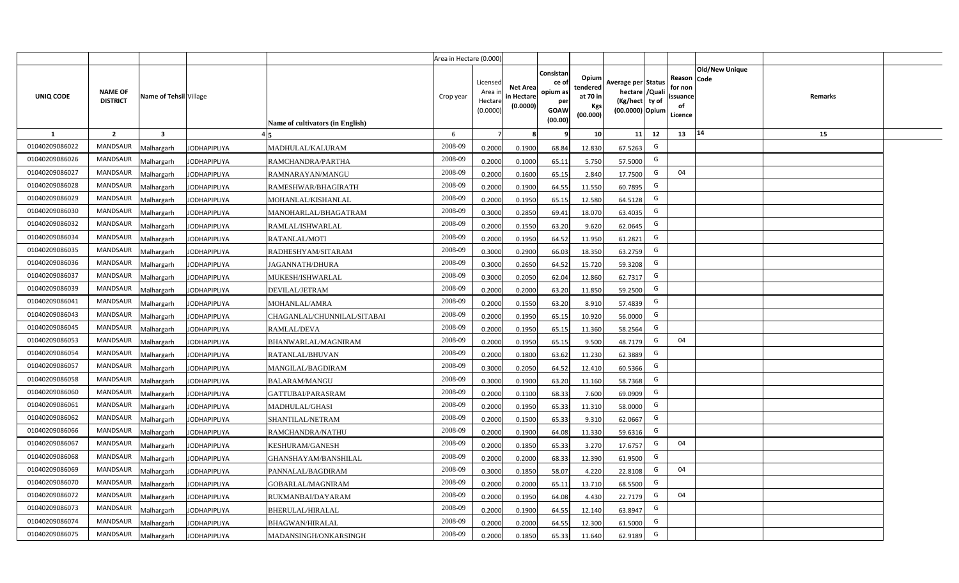|                |                                   |                         |                     |                                  | Area in Hectare (0.000) |                                           |                                           |                                                                 |                                                  |                                                                            |                                                    |                       |         |  |
|----------------|-----------------------------------|-------------------------|---------------------|----------------------------------|-------------------------|-------------------------------------------|-------------------------------------------|-----------------------------------------------------------------|--------------------------------------------------|----------------------------------------------------------------------------|----------------------------------------------------|-----------------------|---------|--|
| UNIQ CODE      | <b>NAME OF</b><br><b>DISTRICT</b> | Name of Tehsil Village  |                     | Name of cultivators (in English) | Crop year               | Licensed<br>Area i<br>Hectare<br>(0.0000) | <b>Net Area</b><br>in Hectare<br>(0.0000) | Consistan<br>ce of<br>opium as<br>per<br><b>GOAW</b><br>(00.00) | Opium<br>tendered<br>at 70 in<br>Kgs<br>(00.000) | Average per Status<br>hectare / Quali<br>(Kg/hect ty of<br>(00.0000) Opium | Reason Code<br>for non<br>ssuance<br>of<br>Licence | <b>Old/New Unique</b> | Remarks |  |
| $\mathbf{1}$   | $\overline{2}$                    | $\overline{\mathbf{3}}$ |                     |                                  | 6                       | $\overline{7}$                            | 8                                         | 9                                                               | 10 <sup>1</sup>                                  | 11<br>12                                                                   | 13                                                 | 14                    | 15      |  |
| 01040209086022 | MANDSAUR                          | <b>Aalhargarh</b>       | <b>JODHAPIPLIYA</b> | MADHULAL/KALURAM                 | 2008-09                 | 0.2000                                    | 0.1900                                    | 68.84                                                           | 12.830                                           | G<br>67.5263                                                               |                                                    |                       |         |  |
| 01040209086026 | <b>MANDSAUR</b>                   | <b>Aalhargarh</b>       | <b>JODHAPIPLIYA</b> | RAMCHANDRA/PARTHA                | 2008-09                 | 0.2000                                    | 0.1000                                    | 65.11                                                           | 5.750                                            | G<br>57.5000                                                               |                                                    |                       |         |  |
| 01040209086027 | MANDSAUR                          | Malhargarh              | <b>JODHAPIPLIYA</b> | RAMNARAYAN/MANGU                 | 2008-09                 | 0.2000                                    | 0.1600                                    | 65.15                                                           | 2.840                                            | G<br>17.7500                                                               | 04                                                 |                       |         |  |
| 01040209086028 | <b>MANDSAUR</b>                   | Vlalhargarh             | <b>JODHAPIPLIYA</b> | RAMESHWAR/BHAGIRATH              | 2008-09                 | 0.2000                                    | 0.1900                                    | 64.55                                                           | 11.550                                           | G<br>60.7895                                                               |                                                    |                       |         |  |
| 01040209086029 | <b>MANDSAUR</b>                   | Malhargarh              | <b>JODHAPIPLIYA</b> | MOHANLAL/KISHANLAL               | 2008-09                 | 0.2000                                    | 0.1950                                    | 65.15                                                           | 12.580                                           | G<br>64.5128                                                               |                                                    |                       |         |  |
| 01040209086030 | <b>MANDSAUR</b>                   | Malhargarh              | <b>JODHAPIPLIYA</b> | MANOHARLAL/BHAGATRAM             | 2008-09                 | 0.3000                                    | 0.2850                                    | 69.41                                                           | 18.070                                           | G<br>63.4035                                                               |                                                    |                       |         |  |
| 01040209086032 | <b>MANDSAUR</b>                   | Malhargarh              | <b>JODHAPIPLIYA</b> | RAMLAL/ISHWARLAL                 | 2008-09                 | 0.2000                                    | 0.1550                                    | 63.20                                                           | 9.620                                            | G<br>62.0645                                                               |                                                    |                       |         |  |
| 01040209086034 | <b>MANDSAUR</b>                   | Malhargarh              | <b>JODHAPIPLIYA</b> | RATANLAL/MOTI                    | 2008-09                 | 0.2000                                    | 0.1950                                    | 64.52                                                           | 11.950                                           | G<br>61.2821                                                               |                                                    |                       |         |  |
| 01040209086035 | <b>MANDSAUR</b>                   | Malhargarh              | <b>JODHAPIPLIYA</b> | RADHESHYAM/SITARAM               | 2008-09                 | 0.3000                                    | 0.2900                                    | 66.03                                                           | 18.350                                           | G<br>63.2759                                                               |                                                    |                       |         |  |
| 01040209086036 | <b>MANDSAUR</b>                   | Malhargarh              | <b>JODHAPIPLIYA</b> | <b>JAGANNATH/DHURA</b>           | 2008-09                 | 0.3000                                    | 0.2650                                    | 64.52                                                           | 15.720                                           | G<br>59.3208                                                               |                                                    |                       |         |  |
| 01040209086037 | <b>MANDSAUR</b>                   | Malhargarh              | <b>JODHAPIPLIYA</b> | MUKESH/ISHWARLAL                 | 2008-09                 | 0.3000                                    | 0.2050                                    | 62.04                                                           | 12.860                                           | G<br>62.7317                                                               |                                                    |                       |         |  |
| 01040209086039 | <b>MANDSAUR</b>                   | Malhargarh              | <b>JODHAPIPLIYA</b> | DEVILAL/JETRAM                   | 2008-09                 | 0.2000                                    | 0.2000                                    | 63.20                                                           | 11.850                                           | G<br>59.2500                                                               |                                                    |                       |         |  |
| 01040209086041 | <b>MANDSAUR</b>                   | Malhargarh              | <b>JODHAPIPLIYA</b> | MOHANLAL/AMRA                    | 2008-09                 | 0.2000                                    | 0.1550                                    | 63.20                                                           | 8.910                                            | G<br>57.4839                                                               |                                                    |                       |         |  |
| 01040209086043 | <b>MANDSAUR</b>                   | Malhargarh              | <b>JODHAPIPLIYA</b> | CHAGANLAL/CHUNNILAL/SITABAI      | 2008-09                 | 0.2000                                    | 0.1950                                    | 65.15                                                           | 10.920                                           | G<br>56.0000                                                               |                                                    |                       |         |  |
| 01040209086045 | <b>MANDSAUR</b>                   | Malhargarh              | <b>JODHAPIPLIYA</b> | RAMLAL/DEVA                      | 2008-09                 | 0.2000                                    | 0.1950                                    | 65.15                                                           | 11.360                                           | G<br>58.2564                                                               |                                                    |                       |         |  |
| 01040209086053 | <b>MANDSAUR</b>                   | Malhargarh              | <b>JODHAPIPLIYA</b> | BHANWARLAL/MAGNIRAM              | 2008-09                 | 0.2000                                    | 0.1950                                    | 65.15                                                           | 9.500                                            | G<br>48.7179                                                               | 04                                                 |                       |         |  |
| 01040209086054 | <b>MANDSAUR</b>                   | Malhargarh              | <b>JODHAPIPLIYA</b> | RATANLAL/BHUVAN                  | 2008-09                 | 0.2000                                    | 0.1800                                    | 63.62                                                           | 11.230                                           | G<br>62.3889                                                               |                                                    |                       |         |  |
| 01040209086057 | <b>MANDSAUR</b>                   | Malhargarh              | <b>JODHAPIPLIYA</b> | MANGILAL/BAGDIRAM                | 2008-09                 | 0.3000                                    | 0.2050                                    | 64.52                                                           | 12.410                                           | G<br>60.5366                                                               |                                                    |                       |         |  |
| 01040209086058 | <b>MANDSAUR</b>                   | Malhargarh              | <b>JODHAPIPLIYA</b> | <b>BALARAM/MANGU</b>             | 2008-09                 | 0.3000                                    | 0.1900                                    | 63.20                                                           | 11.160                                           | G<br>58.7368                                                               |                                                    |                       |         |  |
| 01040209086060 | <b>MANDSAUR</b>                   | Malhargarh              | <b>JODHAPIPLIYA</b> | GATTUBAI/PARASRAM                | 2008-09                 | 0.2000                                    | 0.1100                                    | 68.33                                                           | 7.600                                            | G<br>69.0909                                                               |                                                    |                       |         |  |
| 01040209086061 | MANDSAUR                          | Malhargarh              | <b>JODHAPIPLIYA</b> | MADHULAL/GHASI                   | 2008-09                 | 0.2000                                    | 0.1950                                    | 65.33                                                           | 11.310                                           | G<br>58.0000                                                               |                                                    |                       |         |  |
| 01040209086062 | MANDSAUR                          | Malhargarh              | <b>JODHAPIPLIYA</b> | SHANTILAL/NETRAM                 | 2008-09                 | 0.2000                                    | 0.1500                                    | 65.33                                                           | 9.310                                            | G<br>62.0667                                                               |                                                    |                       |         |  |
| 01040209086066 | <b>MANDSAUR</b>                   | Malhargarh              | <b>JODHAPIPLIYA</b> | RAMCHANDRA/NATHU                 | 2008-09                 | 0.2000                                    | 0.1900                                    | 64.08                                                           | 11.330                                           | G<br>59.6316                                                               |                                                    |                       |         |  |
| 01040209086067 | MANDSAUR                          | Malhargarh              | <b>JODHAPIPLIYA</b> | <b>KESHURAM/GANESH</b>           | 2008-09                 | 0.2000                                    | 0.1850                                    | 65.33                                                           | 3.270                                            | G<br>17.6757                                                               | 04                                                 |                       |         |  |
| 01040209086068 | <b>MANDSAUR</b>                   | Malhargarh              | <b>JODHAPIPLIYA</b> | GHANSHAYAM/BANSHILAL             | 2008-09                 | 0.2000                                    | 0.2000                                    | 68.33                                                           | 12.390                                           | G<br>61.9500                                                               |                                                    |                       |         |  |
| 01040209086069 | MANDSAUR                          | Malhargarh              | <b>JODHAPIPLIYA</b> | PANNALAL/BAGDIRAM                | 2008-09                 | 0.3000                                    | 0.1850                                    | 58.07                                                           | 4.220                                            | G<br>22.8108                                                               | 04                                                 |                       |         |  |
| 01040209086070 | MANDSAUR                          | Malhargarh              | <b>JODHAPIPLIYA</b> | GOBARLAL/MAGNIRAM                | 2008-09                 | 0.2000                                    | 0.2000                                    | 65.11                                                           | 13.710                                           | G<br>68.5500                                                               |                                                    |                       |         |  |
| 01040209086072 | MANDSAUR                          | Malhargarh              | <b>JODHAPIPLIYA</b> | RUKMANBAI/DAYARAM                | 2008-09                 | 0.2000                                    | 0.1950                                    | 64.08                                                           | 4.430                                            | G<br>22.7179                                                               | 04                                                 |                       |         |  |
| 01040209086073 | MANDSAUR                          | Malhargarh              | <b>JODHAPIPLIYA</b> | <b>BHERULAL/HIRALAL</b>          | 2008-09                 | 0.2000                                    | 0.1900                                    | 64.55                                                           | 12.140                                           | G<br>63.8947                                                               |                                                    |                       |         |  |
| 01040209086074 | MANDSAUR                          | Malhargarh              | <b>JODHAPIPLIYA</b> | <b>BHAGWAN/HIRALAL</b>           | 2008-09                 | 0.2000                                    | 0.2000                                    | 64.55                                                           | 12.300                                           | G<br>61.5000                                                               |                                                    |                       |         |  |
| 01040209086075 | MANDSAUR                          | Malhargarh              | <b>JODHAPIPLIYA</b> | MADANSINGH/ONKARSINGH            | 2008-09                 | 0.2000                                    | 0.1850                                    | 65.33                                                           | 11.640                                           | G<br>62.9189                                                               |                                                    |                       |         |  |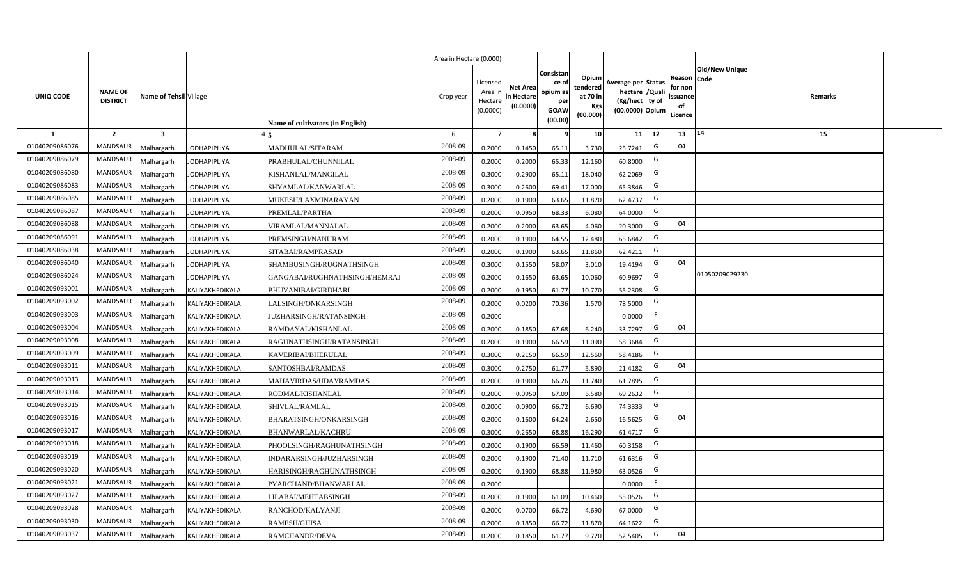|                |                                   |                         |                     |                                  | Area in Hectare (0.000) |                                           |                                           |                                                                 |                                                  |                                                                            |                                                    |                       |         |  |
|----------------|-----------------------------------|-------------------------|---------------------|----------------------------------|-------------------------|-------------------------------------------|-------------------------------------------|-----------------------------------------------------------------|--------------------------------------------------|----------------------------------------------------------------------------|----------------------------------------------------|-----------------------|---------|--|
| UNIQ CODE      | <b>NAME OF</b><br><b>DISTRICT</b> | Name of Tehsil Village  |                     | Name of cultivators (in English) | Crop year               | Licensed<br>Area i<br>Hectare<br>(0.0000) | <b>Net Area</b><br>in Hectare<br>(0.0000) | Consistan<br>ce of<br>opium as<br>per<br><b>GOAW</b><br>(00.00) | Opium<br>tendered<br>at 70 in<br>Kgs<br>(00.000) | Average per Status<br>hectare / Quali<br>(Kg/hect ty of<br>(00.0000) Opium | Reason Code<br>for non<br>ssuance<br>of<br>Licence | <b>Old/New Unique</b> | Remarks |  |
| $\mathbf{1}$   | $\overline{2}$                    | $\overline{\mathbf{3}}$ |                     |                                  | 6                       | $\overline{7}$                            | 8                                         | 9                                                               | 10 <sup>1</sup>                                  | 11<br>12                                                                   | 13                                                 | 14                    | 15      |  |
| 01040209086076 | MANDSAUR                          | Malhargarh              | <b>JODHAPIPLIYA</b> | MADHULAL/SITARAM                 | 2008-09                 | 0.2000                                    | 0.1450                                    | 65.11                                                           | 3.730                                            | G<br>25.7241                                                               | 04                                                 |                       |         |  |
| 01040209086079 | <b>MANDSAUR</b>                   | <b>Aalhargarh</b>       | <b>JODHAPIPLIYA</b> | PRABHULAL/CHUNNILAL              | 2008-09                 | 0.2000                                    | 0.2000                                    | 65.33                                                           | 12.160                                           | G<br>60.8000                                                               |                                                    |                       |         |  |
| 01040209086080 | MANDSAUR                          | Malhargarh              | <b>JODHAPIPLIYA</b> | KISHANLAL/MANGILAL               | 2008-09                 | 0.3000                                    | 0.2900                                    | 65.11                                                           | 18.040                                           | G<br>62.2069                                                               |                                                    |                       |         |  |
| 01040209086083 | <b>MANDSAUR</b>                   | Vlalhargarh             | <b>JODHAPIPLIYA</b> | SHYAMLAL/KANWARLAL               | 2008-09                 | 0.3000                                    | 0.2600                                    | 69.41                                                           | 17.000                                           | G<br>65.3846                                                               |                                                    |                       |         |  |
| 01040209086085 | <b>MANDSAUR</b>                   | Malhargarh              | <b>JODHAPIPLIYA</b> | MUKESH/LAXMINARAYAN              | 2008-09                 | 0.2000                                    | 0.1900                                    | 63.65                                                           | 11.870                                           | G<br>62.4737                                                               |                                                    |                       |         |  |
| 01040209086087 | <b>MANDSAUR</b>                   | Malhargarh              | <b>JODHAPIPLIYA</b> | PREMLAL/PARTHA                   | 2008-09                 | 0.2000                                    | 0.0950                                    | 68.33                                                           | 6.080                                            | G<br>64.0000                                                               |                                                    |                       |         |  |
| 01040209086088 | <b>MANDSAUR</b>                   | Malhargarh              | <b>JODHAPIPLIYA</b> | VIRAMLAL/MANNALAL                | 2008-09                 | 0.2000                                    | 0.2000                                    | 63.65                                                           | 4.060                                            | G<br>20.3000                                                               | 04                                                 |                       |         |  |
| 01040209086091 | <b>MANDSAUR</b>                   | Malhargarh              | <b>JODHAPIPLIYA</b> | PREMSINGH/NANURAM                | 2008-09                 | 0.2000                                    | 0.1900                                    | 64.55                                                           | 12.480                                           | G<br>65.6842                                                               |                                                    |                       |         |  |
| 01040209086038 | <b>MANDSAUR</b>                   | Malhargarh              | <b>JODHAPIPLIYA</b> | SITABAI/RAMPRASAD                | 2008-09                 | 0.2000                                    | 0.1900                                    | 63.65                                                           | 11.860                                           | G<br>62.4211                                                               |                                                    |                       |         |  |
| 01040209086040 | <b>MANDSAUR</b>                   | Malhargarh              | <b>JODHAPIPLIYA</b> | SHAMBUSINGH/RUGNATHSINGH         | 2008-09                 | 0.3000                                    | 0.1550                                    | 58.07                                                           | 3.010                                            | G<br>19.4194                                                               | 04                                                 |                       |         |  |
| 01040209086024 | MANDSAUR                          | Malhargarh              | <b>JODHAPIPLIYA</b> | GANGABAI/RUGHNATHSINGH/HEMRAJ    | 2008-09                 | 0.2000                                    | 0.1650                                    | 63.65                                                           | 10.060                                           | G<br>60.9697                                                               |                                                    | 01050209029230        |         |  |
| 01040209093001 | <b>MANDSAUR</b>                   | Malhargarh              | KALIYAKHEDIKALA     | <b>BHUVANIBAI/GIRDHARI</b>       | 2008-09                 | 0.2000                                    | 0.1950                                    | 61.77                                                           | 10.770                                           | G<br>55.2308                                                               |                                                    |                       |         |  |
| 01040209093002 | MANDSAUR                          | Malhargarh              | KALIYAKHEDIKALA     | LALSINGH/ONKARSINGH              | 2008-09                 | 0.2000                                    | 0.0200                                    | 70.36                                                           | 1.570                                            | G<br>78.5000                                                               |                                                    |                       |         |  |
| 01040209093003 | <b>MANDSAUR</b>                   | Malhargarh              | KALIYAKHEDIKALA     | JUZHARSINGH/RATANSINGH           | 2008-09                 | 0.2000                                    |                                           |                                                                 |                                                  | F<br>0.0000                                                                |                                                    |                       |         |  |
| 01040209093004 | <b>MANDSAUR</b>                   | Malhargarh              | KALIYAKHEDIKALA     | RAMDAYAL/KISHANLAL               | 2008-09                 | 0.2000                                    | 0.1850                                    | 67.68                                                           | 6.240                                            | G<br>33.7297                                                               | 04                                                 |                       |         |  |
| 01040209093008 | <b>MANDSAUR</b>                   | Malhargarh              | KALIYAKHEDIKALA     | RAGUNATHSINGH/RATANSINGH         | 2008-09                 | 0.2000                                    | 0.1900                                    | 66.59                                                           | 11.090                                           | G<br>58.3684                                                               |                                                    |                       |         |  |
| 01040209093009 | <b>MANDSAUR</b>                   | Malhargarh              | KALIYAKHEDIKALA     | KAVERIBAI/BHERULAL               | 2008-09                 | 0.3000                                    | 0.2150                                    | 66.59                                                           | 12.560                                           | G<br>58.4186                                                               |                                                    |                       |         |  |
| 01040209093011 | <b>MANDSAUR</b>                   | Malhargarh              | KALIYAKHEDIKALA     | SANTOSHBAI/RAMDAS                | 2008-09                 | 0.3000                                    | 0.2750                                    | 61.77                                                           | 5.890                                            | G<br>21.4182                                                               | 04                                                 |                       |         |  |
| 01040209093013 | <b>MANDSAUR</b>                   | Malhargarh              | KALIYAKHEDIKALA     | MAHAVIRDAS/UDAYRAMDAS            | 2008-09                 | 0.2000                                    | 0.1900                                    | 66.26                                                           | 11.740                                           | G<br>61.7895                                                               |                                                    |                       |         |  |
| 01040209093014 | MANDSAUR                          | Malhargarh              | KALIYAKHEDIKALA     | RODMAL/KISHANLAL                 | 2008-09                 | 0.2000                                    | 0.0950                                    | 67.09                                                           | 6.580                                            | G<br>69.2632                                                               |                                                    |                       |         |  |
| 01040209093015 | MANDSAUR                          | Malhargarh              | KALIYAKHEDIKALA     | SHIVLAL/RAMLAL                   | 2008-09                 | 0.2000                                    | 0.0900                                    | 66.72                                                           | 6.690                                            | G<br>74.3333                                                               |                                                    |                       |         |  |
| 01040209093016 | MANDSAUR                          | Malhargarh              | KALIYAKHEDIKALA     | BHARATSINGH/ONKARSINGH           | 2008-09                 | 0.2000                                    | 0.1600                                    | 64.24                                                           | 2.650                                            | G<br>16.5625                                                               | 04                                                 |                       |         |  |
| 01040209093017 | <b>MANDSAUR</b>                   | Malhargarh              | KALIYAKHEDIKALA     | BHANWARLAL/KACHRU                | 2008-09                 | 0.3000                                    | 0.2650                                    | 68.88                                                           | 16.290                                           | G<br>61.4717                                                               |                                                    |                       |         |  |
| 01040209093018 | MANDSAUR                          | Malhargarh              | KALIYAKHEDIKALA     | PHOOLSINGH/RAGHUNATHSINGH        | 2008-09                 | 0.2000                                    | 0.1900                                    | 66.59                                                           | 11.460                                           | G<br>60.3158                                                               |                                                    |                       |         |  |
| 01040209093019 | <b>MANDSAUR</b>                   | Malhargarh              | KALIYAKHEDIKALA     | INDARARSINGH/JUZHARSINGH         | 2008-09                 | 0.2000                                    | 0.1900                                    | 71.40                                                           | 11.710                                           | G<br>61.6316                                                               |                                                    |                       |         |  |
| 01040209093020 | MANDSAUR                          | Malhargarh              | KALIYAKHEDIKALA     | HARISINGH/RAGHUNATHSINGH         | 2008-09                 | 0.2000                                    | 0.1900                                    | 68.88                                                           | 11.980                                           | G<br>63.0526                                                               |                                                    |                       |         |  |
| 01040209093021 | MANDSAUR                          | Malhargarh              | KALIYAKHEDIKALA     | PYARCHAND/BHANWARLAL             | 2008-09                 | 0.2000                                    |                                           |                                                                 |                                                  | -F<br>0.0000                                                               |                                                    |                       |         |  |
| 01040209093027 | MANDSAUR                          | Malhargarh              | KALIYAKHEDIKALA     | LILABAI/MEHTABSINGH              | 2008-09                 | 0.2000                                    | 0.1900                                    | 61.09                                                           | 10.460                                           | G<br>55.0526                                                               |                                                    |                       |         |  |
| 01040209093028 | MANDSAUR                          | Malhargarh              | KALIYAKHEDIKALA     | RANCHOD/KALYANJI                 | 2008-09                 | 0.2000                                    | 0.0700                                    | 66.72                                                           | 4.690                                            | G<br>67.0000                                                               |                                                    |                       |         |  |
| 01040209093030 | MANDSAUR                          | Malhargarh              | KALIYAKHEDIKALA     | RAMESH/GHISA                     | 2008-09                 | 0.2000                                    | 0.1850                                    | 66.72                                                           | 11.870                                           | G<br>64.1622                                                               |                                                    |                       |         |  |
| 01040209093037 | MANDSAUR                          | Malhargarh              | KALIYAKHEDIKALA     | RAMCHANDR/DEVA                   | 2008-09                 | 0.2000                                    | 0.1850                                    | 61.77                                                           | 9.720                                            | G<br>52.5405                                                               | 04                                                 |                       |         |  |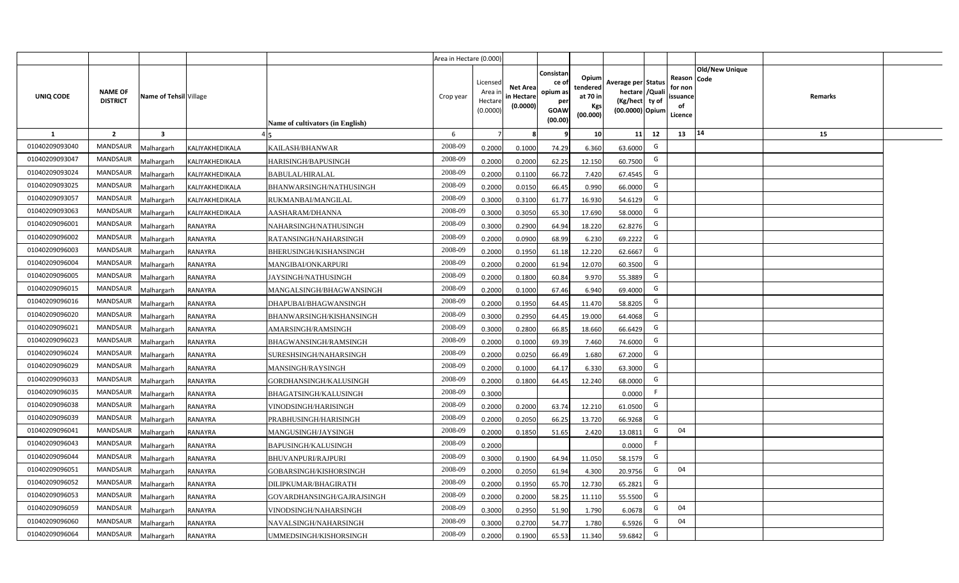|                |                                   |                         |                 |                                  | Area in Hectare (0.000) |                                           |                                           |                                                                 |                                                  |                                                                            |                                                    |                |         |  |
|----------------|-----------------------------------|-------------------------|-----------------|----------------------------------|-------------------------|-------------------------------------------|-------------------------------------------|-----------------------------------------------------------------|--------------------------------------------------|----------------------------------------------------------------------------|----------------------------------------------------|----------------|---------|--|
| UNIQ CODE      | <b>NAME OF</b><br><b>DISTRICT</b> | Name of Tehsil Village  |                 | Name of cultivators (in English) | Crop year               | Licensed<br>Area i<br>Hectare<br>(0.0000) | <b>Net Area</b><br>in Hectare<br>(0.0000) | Consistan<br>ce of<br>opium as<br>per<br><b>GOAW</b><br>(00.00) | Opium<br>tendered<br>at 70 in<br>Kgs<br>(00.000) | Average per Status<br>hectare / Quali<br>(Kg/hect ty of<br>(00.0000) Opium | Reason Code<br>for non<br>ssuance<br>of<br>Licence | Old/New Unique | Remarks |  |
| $\mathbf{1}$   | $\overline{2}$                    | $\overline{\mathbf{3}}$ |                 |                                  | 6                       | $\overline{7}$                            | 8                                         | 9                                                               | 10 <sup>1</sup>                                  | 12<br>11                                                                   | 13                                                 | 14             | 15      |  |
| 01040209093040 | MANDSAUR                          | Malhargarh              | KALIYAKHEDIKALA | KAILASH/BHANWAR                  | 2008-09                 | 0.2000                                    | 0.1000                                    | 74.29                                                           | 6.360                                            | G<br>63.6000                                                               |                                                    |                |         |  |
| 01040209093047 | <b>MANDSAUR</b>                   | <b>Aalhargarh</b>       | KALIYAKHEDIKALA | HARISINGH/BAPUSINGH              | 2008-09                 | 0.2000                                    | 0.2000                                    | 62.25                                                           | 12.150                                           | G<br>60.7500                                                               |                                                    |                |         |  |
| 01040209093024 | MANDSAUR                          | Malhargarh              | KALIYAKHEDIKALA | <b>BABULAL/HIRALAL</b>           | 2008-09                 | 0.2000                                    | 0.1100                                    | 66.72                                                           | 7.420                                            | G<br>67.4545                                                               |                                                    |                |         |  |
| 01040209093025 | <b>MANDSAUR</b>                   | Malhargarh              | KALIYAKHEDIKALA | BHANWARSINGH/NATHUSINGH          | 2008-09                 | 0.2000                                    | 0.0150                                    | 66.45                                                           | 0.990                                            | G<br>66.0000                                                               |                                                    |                |         |  |
| 01040209093057 | MANDSAUR                          | Malhargarh              | KALIYAKHEDIKALA | RUKMANBAI/MANGILAL               | 2008-09                 | 0.3000                                    | 0.3100                                    | 61.77                                                           | 16.930                                           | G<br>54.6129                                                               |                                                    |                |         |  |
| 01040209093063 | MANDSAUR                          | Malhargarh              | KALIYAKHEDIKALA | AASHARAM/DHANNA                  | 2008-09                 | 0.3000                                    | 0.3050                                    | 65.30                                                           | 17.690                                           | G<br>58.0000                                                               |                                                    |                |         |  |
| 01040209096001 | MANDSAUR                          | Malhargarh              | <b>RANAYRA</b>  | NAHARSINGH/NATHUSINGH            | 2008-09                 | 0.3000                                    | 0.2900                                    | 64.94                                                           | 18.220                                           | G<br>62.8276                                                               |                                                    |                |         |  |
| 01040209096002 | MANDSAUR                          | Malhargarh              | <b>RANAYRA</b>  | RATANSINGH/NAHARSINGH            | 2008-09                 | 0.2000                                    | 0.0900                                    | 68.99                                                           | 6.230                                            | G<br>69.2222                                                               |                                                    |                |         |  |
| 01040209096003 | MANDSAUR                          | Malhargarh              | <b>RANAYRA</b>  | BHERUSINGH/KISHANSINGH           | 2008-09                 | 0.2000                                    | 0.1950                                    | 61.18                                                           | 12.220                                           | G<br>62.6667                                                               |                                                    |                |         |  |
| 01040209096004 | <b>MANDSAUR</b>                   | Malhargarh              | <b>RANAYRA</b>  | MANGIBAI/ONKARPURI               | 2008-09                 | 0.2000                                    | 0.2000                                    | 61.94                                                           | 12.070                                           | G<br>60.3500                                                               |                                                    |                |         |  |
| 01040209096005 | MANDSAUR                          | Malhargarh              | <b>RANAYRA</b>  | JAYSINGH/NATHUSINGH              | 2008-09                 | 0.2000                                    | 0.1800                                    | 60.84                                                           | 9.970                                            | G<br>55.3889                                                               |                                                    |                |         |  |
| 01040209096015 | <b>MANDSAUR</b>                   | Malhargarh              | <b>RANAYRA</b>  | MANGALSINGH/BHAGWANSINGH         | 2008-09                 | 0.2000                                    | 0.1000                                    | 67.46                                                           | 6.940                                            | G<br>69.4000                                                               |                                                    |                |         |  |
| 01040209096016 | MANDSAUR                          | Malhargarh              | <b>RANAYRA</b>  | DHAPUBAI/BHAGWANSINGH            | 2008-09                 | 0.2000                                    | 0.1950                                    | 64.45                                                           | 11.470                                           | G<br>58.8205                                                               |                                                    |                |         |  |
| 01040209096020 | <b>MANDSAUR</b>                   | Malhargarh              | <b>RANAYRA</b>  | BHANWARSINGH/KISHANSINGH         | 2008-09                 | 0.3000                                    | 0.2950                                    | 64.45                                                           | 19.000                                           | G<br>64.4068                                                               |                                                    |                |         |  |
| 01040209096021 | <b>MANDSAUR</b>                   | Malhargarh              | <b>RANAYRA</b>  | AMARSINGH/RAMSINGH               | 2008-09                 | 0.3000                                    | 0.2800                                    | 66.85                                                           | 18.660                                           | G<br>66.6429                                                               |                                                    |                |         |  |
| 01040209096023 | <b>MANDSAUR</b>                   | Malhargarh              | <b>RANAYRA</b>  | BHAGWANSINGH/RAMSINGH            | 2008-09                 | 0.2000                                    | 0.1000                                    | 69.39                                                           | 7.460                                            | G<br>74.6000                                                               |                                                    |                |         |  |
| 01040209096024 | <b>MANDSAUR</b>                   | Malhargarh              | <b>RANAYRA</b>  | SURESHSINGH/NAHARSINGH           | 2008-09                 | 0.2000                                    | 0.0250                                    | 66.49                                                           | 1.680                                            | G<br>67.2000                                                               |                                                    |                |         |  |
| 01040209096029 | <b>MANDSAUR</b>                   | Malhargarh              | RANAYRA         | MANSINGH/RAYSINGH                | 2008-09                 | 0.2000                                    | 0.1000                                    | 64.17                                                           | 6.330                                            | G<br>63.3000                                                               |                                                    |                |         |  |
| 01040209096033 | <b>MANDSAUR</b>                   | Malhargarh              | <b>RANAYRA</b>  | GORDHANSINGH/KALUSINGH           | 2008-09                 | 0.2000                                    | 0.1800                                    | 64.45                                                           | 12.240                                           | G<br>68.0000                                                               |                                                    |                |         |  |
| 01040209096035 | MANDSAUR                          | Malhargarh              | <b>RANAYRA</b>  | BHAGATSINGH/KALUSINGH            | 2008-09                 | 0.3000                                    |                                           |                                                                 |                                                  | F.<br>0.0000                                                               |                                                    |                |         |  |
| 01040209096038 | MANDSAUR                          | Malhargarh              | <b>RANAYRA</b>  | VINODSINGH/HARISINGH             | 2008-09                 | 0.2000                                    | 0.2000                                    | 63.74                                                           | 12.210                                           | G<br>61.0500                                                               |                                                    |                |         |  |
| 01040209096039 | MANDSAUR                          | Malhargarh              | <b>RANAYRA</b>  | PRABHUSINGH/HARISINGH            | 2008-09                 | 0.2000                                    | 0.2050                                    | 66.25                                                           | 13.720                                           | G<br>66.9268                                                               |                                                    |                |         |  |
| 01040209096041 | <b>MANDSAUR</b>                   | Malhargarh              | RANAYRA         | MANGUSINGH/JAYSINGH              | 2008-09                 | 0.2000                                    | 0.1850                                    | 51.65                                                           | 2.420                                            | G<br>13.0811                                                               | 04                                                 |                |         |  |
| 01040209096043 | MANDSAUR                          | Malhargarh              | <b>RANAYRA</b>  | BAPUSINGH/KALUSINGH              | 2008-09                 | 0.2000                                    |                                           |                                                                 |                                                  | F<br>0.0000                                                                |                                                    |                |         |  |
| 01040209096044 | MANDSAUR                          | Malhargarh              | <b>RANAYRA</b>  | BHUVANPURI/RAJPURI               | 2008-09                 | 0.3000                                    | 0.1900                                    | 64.94                                                           | 11.050                                           | G<br>58.1579                                                               |                                                    |                |         |  |
| 01040209096051 | MANDSAUR                          | Malhargarh              | <b>RANAYRA</b>  | GOBARSINGH/KISHORSINGH           | 2008-09                 | 0.2000                                    | 0.2050                                    | 61.94                                                           | 4.300                                            | G<br>20.9756                                                               | 04                                                 |                |         |  |
| 01040209096052 | MANDSAUR                          | Malhargarh              | <b>RANAYRA</b>  | DILIPKUMAR/BHAGIRATH             | 2008-09                 | 0.2000                                    | 0.1950                                    | 65.70                                                           | 12.730                                           | G<br>65.2821                                                               |                                                    |                |         |  |
| 01040209096053 | MANDSAUR                          | Malhargarh              | <b>RANAYRA</b>  | GOVARDHANSINGH/GAJRAJSINGH       | 2008-09                 | 0.2000                                    | 0.2000                                    | 58.25                                                           | 11.110                                           | G<br>55.5500                                                               |                                                    |                |         |  |
| 01040209096059 | MANDSAUR                          | Malhargarh              | <b>RANAYRA</b>  | VINODSINGH/NAHARSINGH            | 2008-09                 | 0.3000                                    | 0.2950                                    | 51.90                                                           | 1.790                                            | G<br>6.0678                                                                | 04                                                 |                |         |  |
| 01040209096060 | MANDSAUR                          | Malhargarh              | RANAYRA         | NAVALSINGH/NAHARSINGH            | 2008-09                 | 0.3000                                    | 0.2700                                    | 54.77                                                           | 1.780                                            | G<br>6.5926                                                                | 04                                                 |                |         |  |
| 01040209096064 | MANDSAUR                          | Malhargarh              | <b>RANAYRA</b>  | UMMEDSINGH/KISHORSINGH           | 2008-09                 | 0.2000                                    | 0.1900                                    | 65.53                                                           | 11.340                                           | G<br>59.6842                                                               |                                                    |                |         |  |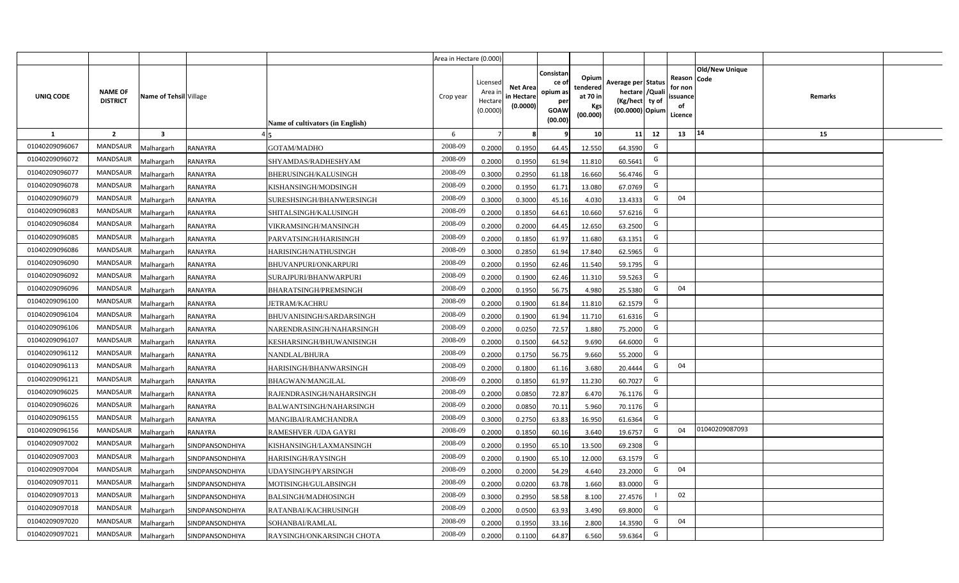|                |                                   |                        |                 |                                  | Area in Hectare (0.000) |                                          |                                           |                                                          |                                                         |                                                                           |    |                                                     |                       |         |  |
|----------------|-----------------------------------|------------------------|-----------------|----------------------------------|-------------------------|------------------------------------------|-------------------------------------------|----------------------------------------------------------|---------------------------------------------------------|---------------------------------------------------------------------------|----|-----------------------------------------------------|-----------------------|---------|--|
| UNIQ CODE      | <b>NAME OF</b><br><b>DISTRICT</b> | Name of Tehsil Village |                 | Name of cultivators (in English) | Crop year               | Licensed<br>Area i<br>Hectar<br>(0.0000) | <b>Net Area</b><br>in Hectare<br>(0.0000) | Consistan<br>ce of<br>opium as<br>per<br>GOAW<br>(00.00) | Opium<br>tendered<br>at 70 in<br><b>Kgs</b><br>(00.000) | Average per Status<br>hectare / Qual<br>(Kg/hect ty of<br>(00.0000) Opium |    | Reason Code<br>for nor<br>issuance<br>of<br>Licence | <b>Old/New Unique</b> | Remarks |  |
| 1              | $\overline{2}$                    | 3                      |                 |                                  | 6                       |                                          |                                           |                                                          | 10 <sup>1</sup>                                         | 11                                                                        | 12 | 13                                                  | $ 14\rangle$          | 15      |  |
| 01040209096067 | <b>MANDSAUR</b>                   | Malhargarh             | RANAYRA         | GOTAM/MADHO                      | 2008-09                 | 0.2000                                   | 0.1950                                    | 64.45                                                    | 12.550                                                  | 64.3590                                                                   | G  |                                                     |                       |         |  |
| 01040209096072 | <b>MANDSAUR</b>                   | Malhargarh             | RANAYRA         | SHYAMDAS/RADHESHYAM              | 2008-09                 | 0.2000                                   | 0.1950                                    | 61.94                                                    | 11.810                                                  | 60.5641                                                                   | G  |                                                     |                       |         |  |
| 01040209096077 | <b>MANDSAUR</b>                   | Malhargarh             | RANAYRA         | <b>BHERUSINGH/KALUSINGH</b>      | 2008-09                 | 0.3000                                   | 0.2950                                    | 61.18                                                    | 16.660                                                  | 56.4746                                                                   | G  |                                                     |                       |         |  |
| 01040209096078 | <b>MANDSAUR</b>                   | Malhargarh             | RANAYRA         | KISHANSINGH/MODSINGH             | 2008-09                 | 0.2000                                   | 0.1950                                    | 61.71                                                    | 13.080                                                  | 67.0769                                                                   | G  |                                                     |                       |         |  |
| 01040209096079 | <b>MANDSAUR</b>                   | Malhargarh             | RANAYRA         | SURESHSINGH/BHANWERSINGH         | 2008-09                 | 0.3000                                   | 0.3000                                    | 45.16                                                    | 4.030                                                   | 13.4333                                                                   | G  | 04                                                  |                       |         |  |
| 01040209096083 | <b>MANDSAUR</b>                   | Malhargarh             | RANAYRA         | SHITALSINGH/KALUSINGH            | 2008-09                 | 0.200                                    | 0.1850                                    | 64.61                                                    | 10.660                                                  | 57.6216                                                                   | G  |                                                     |                       |         |  |
| 01040209096084 | <b>MANDSAUR</b>                   | Malhargarh             | RANAYRA         | VIKRAMSINGH/MANSINGH             | 2008-09                 | 0.200                                    | 0.2000                                    | 64.45                                                    | 12.650                                                  | 63.2500                                                                   | G  |                                                     |                       |         |  |
| 01040209096085 | <b>MANDSAUR</b>                   | Malhargarh             | RANAYRA         | PARVATSINGH/HARISINGH            | 2008-09                 | 0.200                                    | 0.1850                                    | 61.97                                                    | 11.680                                                  | 63.1351                                                                   | G  |                                                     |                       |         |  |
| 01040209096086 | <b>MANDSAUR</b>                   | Malhargarh             | RANAYRA         | HARISINGH/NATHUSINGH             | 2008-09                 | 0.3000                                   | 0.2850                                    | 61.94                                                    | 17.840                                                  | 62.5965                                                                   | G  |                                                     |                       |         |  |
| 01040209096090 | <b>MANDSAUR</b>                   | Malhargarh             | RANAYRA         | BHUVANPURI/ONKARPURI             | 2008-09                 | 0.2000                                   | 0.1950                                    | 62.46                                                    | 11.540                                                  | 59.1795                                                                   | G  |                                                     |                       |         |  |
| 01040209096092 | <b>MANDSAUR</b>                   | Malhargarh             | RANAYRA         | SURAJPURI/BHANWARPURI            | 2008-09                 | 0.2000                                   | 0.1900                                    | 62.46                                                    | 11.310                                                  | 59.5263                                                                   | G  |                                                     |                       |         |  |
| 01040209096096 | <b>MANDSAUR</b>                   | Malhargarh             | RANAYRA         | <b>BHARATSINGH/PREMSINGH</b>     | 2008-09                 | 0.2000                                   | 0.1950                                    | 56.75                                                    | 4.980                                                   | 25.5380                                                                   | G  | 04                                                  |                       |         |  |
| 01040209096100 | MANDSAUR                          | Malhargarh             | RANAYRA         | <b>JETRAM/KACHRU</b>             | 2008-09                 | 0.2000                                   | 0.1900                                    | 61.84                                                    | 11.810                                                  | 62.1579                                                                   | G  |                                                     |                       |         |  |
| 01040209096104 | <b>MANDSAUR</b>                   | Malhargarh             | RANAYRA         | BHUVANISINGH/SARDARSINGH         | 2008-09                 | 0.2000                                   | 0.1900                                    | 61.94                                                    | 11.710                                                  | 61.6316                                                                   | G  |                                                     |                       |         |  |
| 01040209096106 | <b>MANDSAUR</b>                   | Malhargarh             | RANAYRA         | NARENDRASINGH/NAHARSINGH         | 2008-09                 | 0.2000                                   | 0.0250                                    | 72.57                                                    | 1.880                                                   | 75.2000                                                                   | G  |                                                     |                       |         |  |
| 01040209096107 | <b>MANDSAUR</b>                   | Malhargarh             | RANAYRA         | KESHARSINGH/BHUWANISINGH         | 2008-09                 | 0.2000                                   | 0.1500                                    | 64.52                                                    | 9.690                                                   | 64.6000                                                                   | G  |                                                     |                       |         |  |
| 01040209096112 | <b>MANDSAUR</b>                   | Malhargarh             | RANAYRA         | NANDLAL/BHURA                    | 2008-09                 | 0.2000                                   | 0.1750                                    | 56.75                                                    | 9.660                                                   | 55.2000                                                                   | G  |                                                     |                       |         |  |
| 01040209096113 | <b>MANDSAUR</b>                   | Malhargarh             | RANAYRA         | HARISINGH/BHANWARSINGH           | 2008-09                 | 0.2000                                   | 0.1800                                    | 61.16                                                    | 3.680                                                   | 20.4444                                                                   | G  | 04                                                  |                       |         |  |
| 01040209096121 | <b>MANDSAUR</b>                   | Malhargarh             | RANAYRA         | <b>BHAGWAN/MANGILAL</b>          | 2008-09                 | 0.2000                                   | 0.1850                                    | 61.97                                                    | 11.230                                                  | 60.7027                                                                   | G  |                                                     |                       |         |  |
| 01040209096025 | <b>MANDSAUR</b>                   | Malhargarh             | RANAYRA         | RAJENDRASINGH/NAHARSINGH         | 2008-09                 | 0.2000                                   | 0.0850                                    | 72.87                                                    | 6.470                                                   | 76.1176                                                                   | G  |                                                     |                       |         |  |
| 01040209096026 | <b>MANDSAUR</b>                   | Malhargarh             | RANAYRA         | BALWANTSINGH/NAHARSINGH          | 2008-09                 | 0.2000                                   | 0.0850                                    | 70.11                                                    | 5.960                                                   | 70.1176                                                                   | G  |                                                     |                       |         |  |
| 01040209096155 | <b>MANDSAUR</b>                   | Malhargarh             | RANAYRA         | MANGIBAI/RAMCHANDRA              | 2008-09                 | 0.3000                                   | 0.2750                                    | 63.83                                                    | 16.950                                                  | 61.6364                                                                   | G  |                                                     |                       |         |  |
| 01040209096156 | <b>MANDSAUR</b>                   | Malhargarh             | <b>RANAYRA</b>  | RAMESHVER / UDA GAYRI            | 2008-09                 | 0.2000                                   | 0.1850                                    | 60.16                                                    | 3.640                                                   | 19.6757                                                                   | G  | 04                                                  | 01040209087093        |         |  |
| 01040209097002 | <b>MANDSAUR</b>                   | Malhargarh             | SINDPANSONDHIYA | KISHANSINGH/LAXMANSINGH          | 2008-09                 | 0.200                                    | 0.1950                                    | 65.10                                                    | 13.500                                                  | 69.2308                                                                   | G  |                                                     |                       |         |  |
| 01040209097003 | <b>MANDSAUR</b>                   | Malhargarh             | SINDPANSONDHIYA | HARISINGH/RAYSINGH               | 2008-09                 | 0.200                                    | 0.1900                                    | 65.10                                                    | 12.000                                                  | 63.1579                                                                   | G  |                                                     |                       |         |  |
| 01040209097004 | <b>MANDSAUR</b>                   | Malhargarh             | SINDPANSONDHIYA | UDAYSINGH/PYARSINGH              | 2008-09                 | 0.200                                    | 0.2000                                    | 54.29                                                    | 4.640                                                   | 23.2000                                                                   | G  | 04                                                  |                       |         |  |
| 01040209097011 | <b>MANDSAUR</b>                   | Malhargarh             | SINDPANSONDHIYA | MOTISINGH/GULABSINGH             | 2008-09                 | 0.200                                    | 0.0200                                    | 63.78                                                    | 1.660                                                   | 83.0000                                                                   | G  |                                                     |                       |         |  |
| 01040209097013 | <b>MANDSAUR</b>                   | Malhargarh             | SINDPANSONDHIYA | <b>BALSINGH/MADHOSINGH</b>       | 2008-09                 | 0.3000                                   | 0.2950                                    | 58.58                                                    | 8.100                                                   | 27.4576                                                                   |    | 02                                                  |                       |         |  |
| 01040209097018 | <b>MANDSAUR</b>                   | Malhargarh             | SINDPANSONDHIYA | RATANBAI/KACHRUSINGH             | 2008-09                 | 0.2000                                   | 0.0500                                    | 63.93                                                    | 3.490                                                   | 69.8000                                                                   | G  |                                                     |                       |         |  |
| 01040209097020 | <b>MANDSAUR</b>                   | Malhargarh             | SINDPANSONDHIYA | SOHANBAI/RAMLAL                  | 2008-09                 | 0.2000                                   | 0.1950                                    | 33.16                                                    | 2.800                                                   | 14.3590                                                                   | G  | 04                                                  |                       |         |  |
| 01040209097021 | <b>MANDSAUR</b>                   | Malhargarh             | SINDPANSONDHIYA | RAYSINGH/ONKARSINGH CHOTA        | 2008-09                 | 0.2000                                   | 0.1100                                    | 64.87                                                    | 6.560                                                   | 59.6364                                                                   | G  |                                                     |                       |         |  |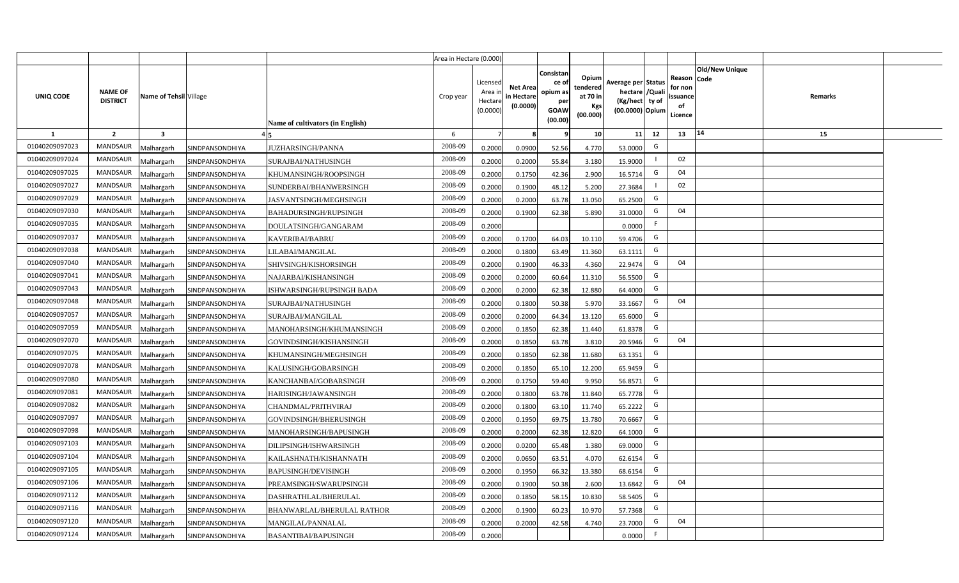|                |                                   |                         |                 |                                  | Area in Hectare (0.000) |                                            |                                           |                                                                |                                                  |                                                                            |    |                                                    |                       |         |  |
|----------------|-----------------------------------|-------------------------|-----------------|----------------------------------|-------------------------|--------------------------------------------|-------------------------------------------|----------------------------------------------------------------|--------------------------------------------------|----------------------------------------------------------------------------|----|----------------------------------------------------|-----------------------|---------|--|
| UNIQ CODE      | <b>NAME OF</b><br><b>DISTRICT</b> | Name of Tehsil Village  |                 | Name of cultivators (in English) | Crop year               | Licensed<br>Area in<br>Hectare<br>(0.0000) | <b>Net Area</b><br>in Hectare<br>(0.0000) | Consistar<br>ce o<br>opium as<br>per<br><b>GOAW</b><br>(00.00) | Opium<br>tendered<br>at 70 in<br>Kgs<br>(00.000) | Average per Status<br>hectare / Quali<br>(Kg/hect ty of<br>(00.0000) Opium |    | Reason Code<br>for non<br>ssuance<br>of<br>Licence | <b>Old/New Unique</b> | Remarks |  |
| <b>1</b>       | $\overline{2}$                    | $\overline{\mathbf{3}}$ |                 |                                  | 6                       | $\overline{7}$                             | -8                                        | - 9                                                            | 10                                               | 11                                                                         | 12 | 13                                                 | 14                    | 15      |  |
| 01040209097023 | MANDSAUR                          | <b>Malhargarh</b>       | SINDPANSONDHIYA | <b>JUZHARSINGH/PANNA</b>         | 2008-09                 | 0.2000                                     | 0.0900                                    | 52.56                                                          | 4.770                                            | 53.0000                                                                    | G  |                                                    |                       |         |  |
| 01040209097024 | <b>MANDSAUR</b>                   | <b>Malhargarh</b>       | SINDPANSONDHIYA | SURAJBAI/NATHUSINGH              | 2008-09                 | 0.2000                                     | 0.2000                                    | 55.84                                                          | 3.180                                            | 15.9000                                                                    |    | 02                                                 |                       |         |  |
| 01040209097025 | <b>MANDSAUR</b>                   | <b>Malhargarh</b>       | SINDPANSONDHIYA | KHUMANSINGH/ROOPSINGH            | 2008-09                 | 0.2000                                     | 0.1750                                    | 42.36                                                          | 2.900                                            | 16.5714                                                                    | G  | 04                                                 |                       |         |  |
| 01040209097027 | <b>MANDSAUR</b>                   | <b>Malhargarh</b>       | SINDPANSONDHIYA | SUNDERBAI/BHANWERSINGH           | 2008-09                 | 0.2000                                     | 0.1900                                    | 48.12                                                          | 5.200                                            | 27.3684                                                                    |    | 02                                                 |                       |         |  |
| 01040209097029 | <b>MANDSAUR</b>                   | <b>Malhargarh</b>       | SINDPANSONDHIYA | JASVANTSINGH/MEGHSINGH           | 2008-09                 | 0.2000                                     | 0.2000                                    | 63.78                                                          | 13.050                                           | 65.2500                                                                    | G  |                                                    |                       |         |  |
| 01040209097030 | <b>MANDSAUR</b>                   | <b>Malhargarh</b>       | SINDPANSONDHIYA | <b>BAHADURSINGH/RUPSINGH</b>     | 2008-09                 | 0.2000                                     | 0.1900                                    | 62.38                                                          | 5.890                                            | 31.0000                                                                    | G  | 04                                                 |                       |         |  |
| 01040209097035 | <b>MANDSAUR</b>                   | <b>Malhargarh</b>       | SINDPANSONDHIYA | DOULATSINGH/GANGARAM             | 2008-09                 | 0.2000                                     |                                           |                                                                |                                                  | 0.0000                                                                     | F  |                                                    |                       |         |  |
| 01040209097037 | <b>MANDSAUR</b>                   | <b>Malhargarh</b>       | SINDPANSONDHIYA | KAVERIBAI/BABRU                  | 2008-09                 | 0.2000                                     | 0.1700                                    | 64.03                                                          | 10.110                                           | 59.4706                                                                    | G  |                                                    |                       |         |  |
| 01040209097038 | <b>MANDSAUR</b>                   | <b>Malhargarh</b>       | SINDPANSONDHIYA | LILABAI/MANGILAL                 | 2008-09                 | 0.2000                                     | 0.1800                                    | 63.49                                                          | 11.360                                           | 63.1111                                                                    | G  |                                                    |                       |         |  |
| 01040209097040 | <b>MANDSAUR</b>                   | <b>Malhargarh</b>       | SINDPANSONDHIYA | SHIVSINGH/KISHORSINGH            | 2008-09                 | 0.2000                                     | 0.1900                                    | 46.33                                                          | 4.360                                            | 22.9474                                                                    | G  | 04                                                 |                       |         |  |
| 01040209097041 | <b>MANDSAUR</b>                   | <b>Malhargarh</b>       | SINDPANSONDHIYA | NAJARBAI/KISHANSINGH             | 2008-09                 | 0.2000                                     | 0.2000                                    | 60.64                                                          | 11.310                                           | 56.5500                                                                    | G  |                                                    |                       |         |  |
| 01040209097043 | <b>MANDSAUR</b>                   | <b>Malhargarh</b>       | SINDPANSONDHIYA | ISHWARSINGH/RUPSINGH BADA        | 2008-09                 | 0.2000                                     | 0.2000                                    | 62.38                                                          | 12.880                                           | 64.4000                                                                    | G  |                                                    |                       |         |  |
| 01040209097048 | <b>MANDSAUR</b>                   | <b>Malhargarh</b>       | SINDPANSONDHIYA | SURAJBAI/NATHUSINGH              | 2008-09                 | 0.2000                                     | 0.1800                                    | 50.38                                                          | 5.970                                            | 33.1667                                                                    | G  | 04                                                 |                       |         |  |
| 01040209097057 | <b>MANDSAUR</b>                   | Malhargarh              | SINDPANSONDHIYA | SURAJBAI/MANGILAL                | 2008-09                 | 0.2000                                     | 0.2000                                    | 64.34                                                          | 13.120                                           | 65.6000                                                                    | G  |                                                    |                       |         |  |
| 01040209097059 | <b>MANDSAUR</b>                   | Malhargarh              | SINDPANSONDHIYA | MANOHARSINGH/KHUMANSINGH         | 2008-09                 | 0.2000                                     | 0.1850                                    | 62.38                                                          | 11.440                                           | 61.8378                                                                    | G  |                                                    |                       |         |  |
| 01040209097070 | <b>MANDSAUR</b>                   | <b>Malhargarh</b>       | SINDPANSONDHIYA | GOVINDSINGH/KISHANSINGH          | 2008-09                 | 0.2000                                     | 0.1850                                    | 63.78                                                          | 3.810                                            | 20.5946                                                                    | G  | 04                                                 |                       |         |  |
| 01040209097075 | <b>MANDSAUR</b>                   | <b>Malhargarh</b>       | SINDPANSONDHIYA | KHUMANSINGH/MEGHSINGH            | 2008-09                 | 0.2000                                     | 0.1850                                    | 62.38                                                          | 11.680                                           | 63.1351                                                                    | G  |                                                    |                       |         |  |
| 01040209097078 | <b>MANDSAUR</b>                   | <b>Malhargarh</b>       | SINDPANSONDHIYA | KALUSINGH/GOBARSINGH             | 2008-09                 | 0.2000                                     | 0.1850                                    | 65.10                                                          | 12.200                                           | 65.9459                                                                    | G  |                                                    |                       |         |  |
| 01040209097080 | <b>MANDSAUR</b>                   | <b>Malhargarh</b>       | SINDPANSONDHIYA | KANCHANBAI/GOBARSINGH            | 2008-09                 | 0.2000                                     | 0.1750                                    | 59.40                                                          | 9.950                                            | 56.8571                                                                    | G  |                                                    |                       |         |  |
| 01040209097081 | <b>MANDSAUR</b>                   | Malhargarh              | SINDPANSONDHIYA | HARISINGH/JAWANSINGH             | 2008-09                 | 0.2000                                     | 0.1800                                    | 63.78                                                          | 11.840                                           | 65.7778                                                                    | G  |                                                    |                       |         |  |
| 01040209097082 | <b>MANDSAUR</b>                   | <b>Malhargarh</b>       | SINDPANSONDHIYA | CHANDMAL/PRITHVIRAJ              | 2008-09                 | 0.2000                                     | 0.1800                                    | 63.1                                                           | 11.740                                           | 65.2222                                                                    | G  |                                                    |                       |         |  |
| 01040209097097 | MANDSAUR                          | <b>Malhargarh</b>       | SINDPANSONDHIYA | GOVINDSINGH/BHERUSINGH           | 2008-09                 | 0.2000                                     | 0.1950                                    | 69.75                                                          | 13.780                                           | 70.6667                                                                    | G  |                                                    |                       |         |  |
| 01040209097098 | <b>MANDSAUR</b>                   | Aalhargarh              | SINDPANSONDHIYA | MANOHARSINGH/BAPUSINGH           | 2008-09                 | 0.2000                                     | 0.2000                                    | 62.38                                                          | 12.820                                           | 64.1000                                                                    | G  |                                                    |                       |         |  |
| 01040209097103 | <b>MANDSAUR</b>                   | <b>Malhargarh</b>       | SINDPANSONDHIYA | DILIPSINGH/ISHWARSINGH           | 2008-09                 | 0.2000                                     | 0.0200                                    | 65.48                                                          | 1.380                                            | 69.0000                                                                    | G  |                                                    |                       |         |  |
| 01040209097104 | <b>MANDSAUR</b>                   | <b>Malhargarh</b>       | SINDPANSONDHIYA | KAILASHNATH/KISHANNATH           | 2008-09                 | 0.2000                                     | 0.0650                                    | 63.51                                                          | 4.070                                            | 62.6154                                                                    | G  |                                                    |                       |         |  |
| 01040209097105 | MANDSAUR                          | <b>Malhargarh</b>       | SINDPANSONDHIYA | <b>BAPUSINGH/DEVISINGH</b>       | 2008-09                 | 0.2000                                     | 0.1950                                    | 66.32                                                          | 13.380                                           | 68.6154                                                                    | G  |                                                    |                       |         |  |
| 01040209097106 | <b>MANDSAUR</b>                   | <b>Malhargarh</b>       | SINDPANSONDHIYA | PREAMSINGH/SWARUPSINGH           | 2008-09                 | 0.2000                                     | 0.1900                                    | 50.38                                                          | 2.600                                            | 13.6842                                                                    | G  | 04                                                 |                       |         |  |
| 01040209097112 | MANDSAUR                          | <b>Malhargarh</b>       | SINDPANSONDHIYA | DASHRATHLAL/BHERULAL             | 2008-09                 | 0.2000                                     | 0.1850                                    | 58.15                                                          | 10.830                                           | 58.5405                                                                    | G  |                                                    |                       |         |  |
| 01040209097116 | MANDSAUR                          | <b>Malhargarh</b>       | SINDPANSONDHIYA | BHANWARLAL/BHERULAL RATHOR       | 2008-09                 | 0.2000                                     | 0.1900                                    | 60.23                                                          | 10.970                                           | 57.7368                                                                    | G  |                                                    |                       |         |  |
| 01040209097120 | <b>MANDSAUR</b>                   | <b>Malhargarh</b>       | SINDPANSONDHIYA | MANGILAL/PANNALAL                | 2008-09                 | 0.2000                                     | 0.2000                                    | 42.58                                                          | 4.740                                            | 23.7000                                                                    | G  | 04                                                 |                       |         |  |
| 01040209097124 | MANDSAUR                          | Malhargarh              | SINDPANSONDHIYA | BASANTIBAI/BAPUSINGH             | 2008-09                 | 0.2000                                     |                                           |                                                                |                                                  | 0.0000                                                                     | F. |                                                    |                       |         |  |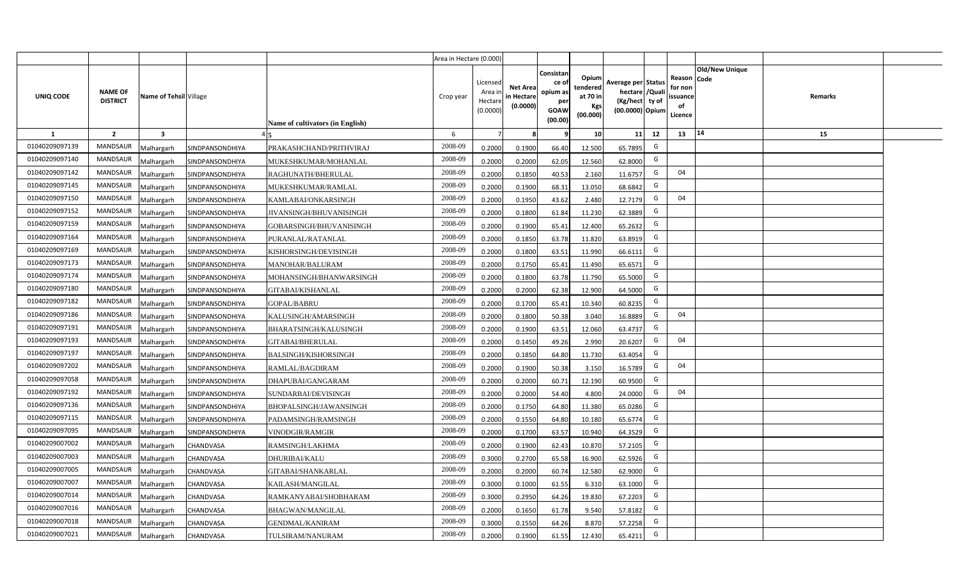|                |                                   |                         |                 |                                  | Area in Hectare (0.000) |                                            |                                           |                                                                |                                                  |                                                                            |    |                                                    |                       |         |  |
|----------------|-----------------------------------|-------------------------|-----------------|----------------------------------|-------------------------|--------------------------------------------|-------------------------------------------|----------------------------------------------------------------|--------------------------------------------------|----------------------------------------------------------------------------|----|----------------------------------------------------|-----------------------|---------|--|
| UNIQ CODE      | <b>NAME OF</b><br><b>DISTRICT</b> | Name of Tehsil Village  |                 | Name of cultivators (in English) | Crop year               | Licensed<br>Area in<br>Hectare<br>(0.0000) | <b>Net Area</b><br>in Hectare<br>(0.0000) | Consistan<br>ce o<br>opium as<br>per<br><b>GOAW</b><br>(00.00) | Opium<br>tendered<br>at 70 in<br>Kgs<br>(00.000) | Average per Status<br>hectare / Quali<br>(Kg/hect ty of<br>(00.0000) Opium |    | Reason Code<br>for non<br>ssuance<br>of<br>Licence | <b>Old/New Unique</b> | Remarks |  |
| $\mathbf{1}$   | $\overline{2}$                    | $\overline{\mathbf{3}}$ |                 |                                  | 6                       | $\overline{7}$                             | -8                                        | 9                                                              | 10                                               | 11                                                                         | 12 | 13                                                 | 14                    | 15      |  |
| 01040209097139 | MANDSAUR                          | <b>Malhargarh</b>       | SINDPANSONDHIYA | PRAKASHCHAND/PRITHVIRAJ          | 2008-09                 | 0.2000                                     | 0.1900                                    | 66.40                                                          | 12.500                                           | 65.7895                                                                    | G  |                                                    |                       |         |  |
| 01040209097140 | <b>MANDSAUR</b>                   | <b>Malhargarh</b>       | SINDPANSONDHIYA | MUKESHKUMAR/MOHANLAL             | 2008-09                 | 0.2000                                     | 0.2000                                    | 62.05                                                          | 12.560                                           | 62.8000                                                                    | G  |                                                    |                       |         |  |
| 01040209097142 | <b>MANDSAUR</b>                   | <b>Malhargarh</b>       | SINDPANSONDHIYA | RAGHUNATH/BHERULAL               | 2008-09                 | 0.2000                                     | 0.1850                                    | 40.53                                                          | 2.160                                            | 11.6757                                                                    | G  | 04                                                 |                       |         |  |
| 01040209097145 | <b>MANDSAUR</b>                   | <b>Malhargarh</b>       | SINDPANSONDHIYA | MUKESHKUMAR/RAMLAL               | 2008-09                 | 0.2000                                     | 0.1900                                    | 68.31                                                          | 13.050                                           | 68.6842                                                                    | G  |                                                    |                       |         |  |
| 01040209097150 | <b>MANDSAUR</b>                   | <b>Malhargarh</b>       | SINDPANSONDHIYA | KAMLABAI/ONKARSINGH              | 2008-09                 | 0.2000                                     | 0.1950                                    | 43.62                                                          | 2.480                                            | 12.7179                                                                    | G  | 04                                                 |                       |         |  |
| 01040209097152 | <b>MANDSAUR</b>                   | <b>Malhargarh</b>       | SINDPANSONDHIYA | JIVANSINGH/BHUVANISINGH          | 2008-09                 | 0.2000                                     | 0.1800                                    | 61.84                                                          | 11.230                                           | 62.3889                                                                    | G  |                                                    |                       |         |  |
| 01040209097159 | <b>MANDSAUR</b>                   | <b>Malhargarh</b>       | SINDPANSONDHIYA | GOBARSINGH/BHUVANISINGH          | 2008-09                 | 0.2000                                     | 0.1900                                    | 65.41                                                          | 12.400                                           | 65.2632                                                                    | G  |                                                    |                       |         |  |
| 01040209097164 | <b>MANDSAUR</b>                   | <b>Malhargarh</b>       | SINDPANSONDHIYA | PURANLAL/RATANLAL                | 2008-09                 | 0.2000                                     | 0.1850                                    | 63.78                                                          | 11.820                                           | 63.8919                                                                    | G  |                                                    |                       |         |  |
| 01040209097169 | <b>MANDSAUR</b>                   | <b>Malhargarh</b>       | SINDPANSONDHIYA | KISHORSINGH/DEVISINGH            | 2008-09                 | 0.2000                                     | 0.1800                                    | 63.51                                                          | 11.990                                           | 66.6111                                                                    | G  |                                                    |                       |         |  |
| 01040209097173 | <b>MANDSAUR</b>                   | <b>Malhargarh</b>       | SINDPANSONDHIYA | MANOHAR/BALURAM                  | 2008-09                 | 0.2000                                     | 0.1750                                    | 65.41                                                          | 11.490                                           | 65.6571                                                                    | G  |                                                    |                       |         |  |
| 01040209097174 | <b>MANDSAUR</b>                   | <b>Malhargarh</b>       | SINDPANSONDHIYA | MOHANSINGH/BHANWARSINGH          | 2008-09                 | 0.2000                                     | 0.1800                                    | 63.78                                                          | 11.790                                           | 65.5000                                                                    | G  |                                                    |                       |         |  |
| 01040209097180 | <b>MANDSAUR</b>                   | <b>Malhargarh</b>       | SINDPANSONDHIYA | GITABAI/KISHANLAL                | 2008-09                 | 0.2000                                     | 0.2000                                    | 62.38                                                          | 12.900                                           | 64.5000                                                                    | G  |                                                    |                       |         |  |
| 01040209097182 | <b>MANDSAUR</b>                   | <b>Malhargarh</b>       | SINDPANSONDHIYA | GOPAL/BABRU                      | 2008-09                 | 0.2000                                     | 0.1700                                    | 65.41                                                          | 10.340                                           | 60.8235                                                                    | G  |                                                    |                       |         |  |
| 01040209097186 | <b>MANDSAUR</b>                   | Malhargarh              | SINDPANSONDHIYA | KALUSINGH/AMARSINGH              | 2008-09                 | 0.2000                                     | 0.1800                                    | 50.38                                                          | 3.040                                            | 16.8889                                                                    | G  | 04                                                 |                       |         |  |
| 01040209097191 | <b>MANDSAUR</b>                   | Malhargarh              | SINDPANSONDHIYA | BHARATSINGH/KALUSINGH            | 2008-09                 | 0.2000                                     | 0.1900                                    | 63.51                                                          | 12.060                                           | 63.4737                                                                    | G  |                                                    |                       |         |  |
| 01040209097193 | MANDSAUR                          | <b>Malhargarh</b>       | SINDPANSONDHIYA | GITABAI/BHERULAL                 | 2008-09                 | 0.2000                                     | 0.1450                                    | 49.26                                                          | 2.990                                            | 20.6207                                                                    | G  | 04                                                 |                       |         |  |
| 01040209097197 | <b>MANDSAUR</b>                   | <b>Malhargarh</b>       | SINDPANSONDHIYA | <b>BALSINGH/KISHORSINGH</b>      | 2008-09                 | 0.2000                                     | 0.1850                                    | 64.80                                                          | 11.730                                           | 63.4054                                                                    | G  |                                                    |                       |         |  |
| 01040209097202 | MANDSAUR                          | <b>Malhargarh</b>       | SINDPANSONDHIYA | RAMLAL/BAGDIRAM                  | 2008-09                 | 0.2000                                     | 0.1900                                    | 50.38                                                          | 3.150                                            | 16.5789                                                                    | G  | 04                                                 |                       |         |  |
| 01040209097058 | <b>MANDSAUR</b>                   | <b>Malhargarh</b>       | SINDPANSONDHIYA | DHAPUBAI/GANGARAM                | 2008-09                 | 0.2000                                     | 0.2000                                    | 60.71                                                          | 12.190                                           | 60.9500                                                                    | G  |                                                    |                       |         |  |
| 01040209097192 | <b>MANDSAUR</b>                   | Malhargarh              | SINDPANSONDHIYA | SUNDARBAI/DEVISINGH              | 2008-09                 | 0.2000                                     | 0.2000                                    | 54.40                                                          | 4.800                                            | 24.0000                                                                    | G  | 04                                                 |                       |         |  |
| 01040209097136 | MANDSAUR                          | <b>Malhargarh</b>       | SINDPANSONDHIYA | BHOPALSINGH/JAWANSINGH           | 2008-09                 | 0.2000                                     | 0.1750                                    | 64.80                                                          | 11.380                                           | 65.0286                                                                    | G  |                                                    |                       |         |  |
| 01040209097115 | MANDSAUR                          | <b>Malhargarh</b>       | SINDPANSONDHIYA | PADAMSINGH/RAMSINGH              | 2008-09                 | 0.2000                                     | 0.1550                                    | 64.80                                                          | 10.180                                           | 65.6774                                                                    | G  |                                                    |                       |         |  |
| 01040209097095 | <b>MANDSAUR</b>                   | <b>Aalhargarh</b>       | SINDPANSONDHIYA | VINODGIR/RAMGIR                  | 2008-09                 | 0.2000                                     | 0.1700                                    | 63.57                                                          | 10.940                                           | 64.3529                                                                    | G  |                                                    |                       |         |  |
| 01040209007002 | <b>MANDSAUR</b>                   | <b>Malhargarh</b>       | CHANDVASA       | RAMSINGH/LAKHMA                  | 2008-09                 | 0.2000                                     | 0.1900                                    | 62.43                                                          | 10.870                                           | 57.2105                                                                    | G  |                                                    |                       |         |  |
| 01040209007003 | <b>MANDSAUR</b>                   | <b>Malhargarh</b>       | CHANDVASA       | DHURIBAI/KALU                    | 2008-09                 | 0.3000                                     | 0.2700                                    | 65.58                                                          | 16.900                                           | 62.5926                                                                    | G  |                                                    |                       |         |  |
| 01040209007005 | MANDSAUR                          | <b>Malhargarh</b>       | CHANDVASA       | GITABAI/SHANKARLAL               | 2008-09                 | 0.2000                                     | 0.2000                                    | 60.74                                                          | 12.580                                           | 62.9000                                                                    | G  |                                                    |                       |         |  |
| 01040209007007 | <b>MANDSAUR</b>                   | <b>Malhargarh</b>       | CHANDVASA       | KAILASH/MANGILAL                 | 2008-09                 | 0.3000                                     | 0.1000                                    | 61.55                                                          | 6.310                                            | 63.1000                                                                    | G  |                                                    |                       |         |  |
| 01040209007014 | <b>MANDSAUR</b>                   | <b>Malhargarh</b>       | CHANDVASA       | RAMKANYABAI/SHOBHARAM            | 2008-09                 | 0.3000                                     | 0.2950                                    | 64.26                                                          | 19.830                                           | 67.2203                                                                    | G  |                                                    |                       |         |  |
| 01040209007016 | <b>MANDSAUR</b>                   | <b>Malhargarh</b>       | CHANDVASA       | BHAGWAN/MANGILAL                 | 2008-09                 | 0.2000                                     | 0.1650                                    | 61.78                                                          | 9.540                                            | 57.8182                                                                    | G  |                                                    |                       |         |  |
| 01040209007018 | <b>MANDSAUR</b>                   | <b>Malhargarh</b>       | CHANDVASA       | <b>GENDMAL/KANIRAM</b>           | 2008-09                 | 0.3000                                     | 0.1550                                    | 64.26                                                          | 8.870                                            | 57.2258                                                                    | G  |                                                    |                       |         |  |
| 01040209007021 | MANDSAUR                          | Malhargarh              | CHANDVASA       | TULSIRAM/NANURAM                 | 2008-09                 | 0.2000                                     | 0.1900                                    | 61.55                                                          | 12.430                                           | 65.4211                                                                    | G  |                                                    |                       |         |  |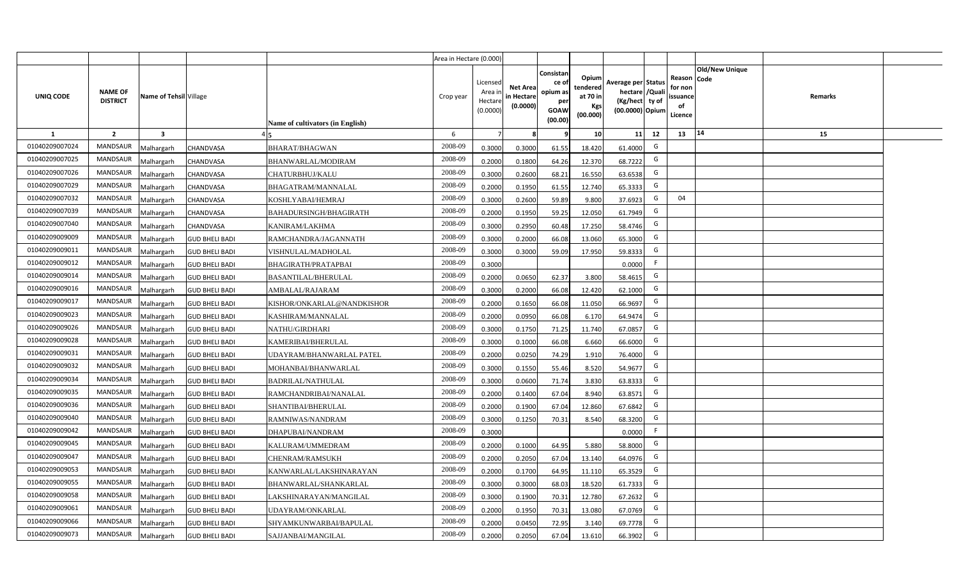|                |                                   |                        |                       |                                  | Area in Hectare (0.000) |                                           |                                           |                                                                 |                                                  |                                                                            |                                                    |                       |         |  |
|----------------|-----------------------------------|------------------------|-----------------------|----------------------------------|-------------------------|-------------------------------------------|-------------------------------------------|-----------------------------------------------------------------|--------------------------------------------------|----------------------------------------------------------------------------|----------------------------------------------------|-----------------------|---------|--|
| UNIQ CODE      | <b>NAME OF</b><br><b>DISTRICT</b> | Name of Tehsil Village |                       | Name of cultivators (in English) | Crop year               | Licensed<br>Area i<br>Hectare<br>(0.0000) | <b>Net Area</b><br>in Hectare<br>(0.0000) | Consistan<br>ce of<br>opium as<br>per<br><b>GOAW</b><br>(00.00) | Opium<br>tendered<br>at 70 in<br>Kgs<br>(00.000) | Average per Status<br>hectare / Quali<br>(Kg/hect ty of<br>(00.0000) Opium | Reason Code<br>for non<br>ssuance<br>of<br>Licence | <b>Old/New Unique</b> | Remarks |  |
| $\mathbf{1}$   | $\overline{2}$                    | $\mathbf{3}$           |                       |                                  | 6                       | $\overline{7}$                            | 8                                         | 9                                                               | 10 <sup>1</sup>                                  | 11<br>12                                                                   | 13                                                 | 14                    | 15      |  |
| 01040209007024 | MANDSAUR                          | Malhargarh             | CHANDVASA             | BHARAT/BHAGWAN                   | 2008-09                 | 0.3000                                    | 0.3000                                    | 61.55                                                           | 18.420                                           | G<br>61.4000                                                               |                                                    |                       |         |  |
| 01040209007025 | <b>MANDSAUR</b>                   | <b>Aalhargarh</b>      | CHANDVASA             | BHANWARLAL/MODIRAM               | 2008-09                 | 0.2000                                    | 0.1800                                    | 64.26                                                           | 12.370                                           | G<br>68.7222                                                               |                                                    |                       |         |  |
| 01040209007026 | MANDSAUR                          | Malhargarh             | CHANDVASA             | CHATURBHUJ/KALU                  | 2008-09                 | 0.3000                                    | 0.2600                                    | 68.21                                                           | 16.550                                           | G<br>63.6538                                                               |                                                    |                       |         |  |
| 01040209007029 | <b>MANDSAUR</b>                   | Vlalhargarh            | CHANDVASA             | BHAGATRAM/MANNALAL               | 2008-09                 | 0.2000                                    | 0.1950                                    | 61.55                                                           | 12.740                                           | G<br>65.3333                                                               |                                                    |                       |         |  |
| 01040209007032 | <b>MANDSAUR</b>                   | Malhargarh             | CHANDVASA             | KOSHLYABAI/HEMRAJ                | 2008-09                 | 0.3000                                    | 0.2600                                    | 59.89                                                           | 9.800                                            | G<br>37.6923                                                               | 04                                                 |                       |         |  |
| 01040209007039 | MANDSAUR                          | Malhargarh             | CHANDVASA             | BAHADURSINGH/BHAGIRATH           | 2008-09                 | 0.2000                                    | 0.1950                                    | 59.25                                                           | 12.050                                           | G<br>61.7949                                                               |                                                    |                       |         |  |
| 01040209007040 | <b>MANDSAUR</b>                   | Malhargarh             | CHANDVASA             | KANIRAM/LAKHMA                   | 2008-09                 | 0.3000                                    | 0.2950                                    | 60.48                                                           | 17.250                                           | G<br>58.4746                                                               |                                                    |                       |         |  |
| 01040209009009 | <b>MANDSAUR</b>                   | Malhargarh             | <b>GUD BHELI BADI</b> | RAMCHANDRA/JAGANNATH             | 2008-09                 | 0.3000                                    | 0.2000                                    | 66.08                                                           | 13.060                                           | G<br>65.3000                                                               |                                                    |                       |         |  |
| 01040209009011 | <b>MANDSAUR</b>                   | Malhargarh             | <b>GUD BHELI BADI</b> | VISHNULAL/MADHOLAL               | 2008-09                 | 0.3000                                    | 0.3000                                    | 59.09                                                           | 17.950                                           | G<br>59.8333                                                               |                                                    |                       |         |  |
| 01040209009012 | <b>MANDSAUR</b>                   | Malhargarh             | <b>GUD BHELI BADI</b> | BHAGIRATH/PRATAPBAI              | 2008-09                 | 0.3000                                    |                                           |                                                                 |                                                  | F<br>0.0000                                                                |                                                    |                       |         |  |
| 01040209009014 | MANDSAUR                          | Malhargarh             | <b>GUD BHELI BADI</b> | <b>BASANTILAL/BHERULAL</b>       | 2008-09                 | 0.2000                                    | 0.0650                                    | 62.37                                                           | 3.800                                            | G<br>58.4615                                                               |                                                    |                       |         |  |
| 01040209009016 | <b>MANDSAUR</b>                   | Malhargarh             | <b>GUD BHELI BADI</b> | AMBALAL/RAJARAM                  | 2008-09                 | 0.3000                                    | 0.2000                                    | 66.08                                                           | 12.420                                           | G<br>62.1000                                                               |                                                    |                       |         |  |
| 01040209009017 | MANDSAUR                          | Malhargarh             | <b>GUD BHELI BADI</b> | KISHOR/ONKARLAL@NANDKISHOR       | 2008-09                 | 0.2000                                    | 0.1650                                    | 66.08                                                           | 11.050                                           | G<br>66.9697                                                               |                                                    |                       |         |  |
| 01040209009023 | <b>MANDSAUR</b>                   | Malhargarh             | <b>GUD BHELI BADI</b> | KASHIRAM/MANNALAL                | 2008-09                 | 0.2000                                    | 0.0950                                    | 66.08                                                           | 6.170                                            | G<br>64.9474                                                               |                                                    |                       |         |  |
| 01040209009026 | <b>MANDSAUR</b>                   | Malhargarh             | <b>GUD BHELI BADI</b> | NATHU/GIRDHARI                   | 2008-09                 | 0.3000                                    | 0.1750                                    | 71.25                                                           | 11.740                                           | G<br>67.0857                                                               |                                                    |                       |         |  |
| 01040209009028 | <b>MANDSAUR</b>                   | Malhargarh             | <b>GUD BHELI BADI</b> | KAMERIBAI/BHERULAL               | 2008-09                 | 0.3000                                    | 0.1000                                    | 66.08                                                           | 6.660                                            | G<br>66.6000                                                               |                                                    |                       |         |  |
| 01040209009031 | <b>MANDSAUR</b>                   | Malhargarh             | <b>GUD BHELI BADI</b> | UDAYRAM/BHANWARLAL PATEL         | 2008-09                 | 0.2000                                    | 0.0250                                    | 74.29                                                           | 1.910                                            | G<br>76.4000                                                               |                                                    |                       |         |  |
| 01040209009032 | <b>MANDSAUR</b>                   | Malhargarh             | <b>GUD BHELI BADI</b> | MOHANBAI/BHANWARLAL              | 2008-09                 | 0.3000                                    | 0.1550                                    | 55.46                                                           | 8.520                                            | G<br>54.9677                                                               |                                                    |                       |         |  |
| 01040209009034 | <b>MANDSAUR</b>                   | Malhargarh             | <b>GUD BHELI BADI</b> | <b>BADRILAL/NATHULAL</b>         | 2008-09                 | 0.3000                                    | 0.0600                                    | 71.74                                                           | 3.830                                            | G<br>63.8333                                                               |                                                    |                       |         |  |
| 01040209009035 | MANDSAUR                          | Malhargarh             | <b>GUD BHELI BADI</b> | RAMCHANDRIBAI/NANALAL            | 2008-09                 | 0.2000                                    | 0.1400                                    | 67.04                                                           | 8.940                                            | G<br>63.8571                                                               |                                                    |                       |         |  |
| 01040209009036 | MANDSAUR                          | Malhargarh             | <b>GUD BHELI BADI</b> | SHANTIBAI/BHERULAL               | 2008-09                 | 0.2000                                    | 0.1900                                    | 67.04                                                           | 12.860                                           | G<br>67.6842                                                               |                                                    |                       |         |  |
| 01040209009040 | MANDSAUR                          | Malhargarh             | <b>GUD BHELI BADI</b> | RAMNIWAS/NANDRAM                 | 2008-09                 | 0.3000                                    | 0.1250                                    | 70.31                                                           | 8.540                                            | G<br>68.3200                                                               |                                                    |                       |         |  |
| 01040209009042 | <b>MANDSAUR</b>                   | Malhargarh             | <b>GUD BHELI BADI</b> | DHAPUBAI/NANDRAM                 | 2008-09                 | 0.3000                                    |                                           |                                                                 |                                                  | -F<br>0.0000                                                               |                                                    |                       |         |  |
| 01040209009045 | MANDSAUR                          | Malhargarh             | <b>GUD BHELI BADI</b> | KALURAM/UMMEDRAM                 | 2008-09                 | 0.2000                                    | 0.1000                                    | 64.95                                                           | 5.880                                            | G<br>58.8000                                                               |                                                    |                       |         |  |
| 01040209009047 | <b>MANDSAUR</b>                   | Malhargarh             | <b>GUD BHELI BADI</b> | CHENRAM/RAMSUKH                  | 2008-09                 | 0.2000                                    | 0.2050                                    | 67.04                                                           | 13.140                                           | G<br>64.0976                                                               |                                                    |                       |         |  |
| 01040209009053 | MANDSAUR                          | Malhargarh             | <b>GUD BHELI BADI</b> | KANWARLAL/LAKSHINARAYAN          | 2008-09                 | 0.2000                                    | 0.1700                                    | 64.95                                                           | 11.110                                           | G<br>65.3529                                                               |                                                    |                       |         |  |
| 01040209009055 | MANDSAUR                          | Malhargarh             | <b>GUD BHELI BADI</b> | BHANWARLAL/SHANKARLAL            | 2008-09                 | 0.3000                                    | 0.3000                                    | 68.03                                                           | 18.520                                           | G<br>61.7333                                                               |                                                    |                       |         |  |
| 01040209009058 | MANDSAUR                          | Malhargarh             | <b>GUD BHELI BADI</b> | LAKSHINARAYAN/MANGILAL           | 2008-09                 | 0.3000                                    | 0.1900                                    | 70.31                                                           | 12.780                                           | G<br>67.2632                                                               |                                                    |                       |         |  |
| 01040209009061 | MANDSAUR                          | Malhargarh             | <b>GUD BHELI BADI</b> | UDAYRAM/ONKARLAL                 | 2008-09                 | 0.2000                                    | 0.1950                                    | 70.31                                                           | 13.080                                           | G<br>67.0769                                                               |                                                    |                       |         |  |
| 01040209009066 | MANDSAUR                          | Malhargarh             | <b>GUD BHELI BADI</b> | SHYAMKUNWARBAI/BAPULAL           | 2008-09                 | 0.2000                                    | 0.0450                                    | 72.95                                                           | 3.140                                            | G<br>69.7778                                                               |                                                    |                       |         |  |
| 01040209009073 | MANDSAUR                          | Malhargarh             | <b>GUD BHELI BADI</b> | SAJJANBAI/MANGILAL               | 2008-09                 | 0.2000                                    | 0.2050                                    | 67.04                                                           | 13.610                                           | G<br>66.3902                                                               |                                                    |                       |         |  |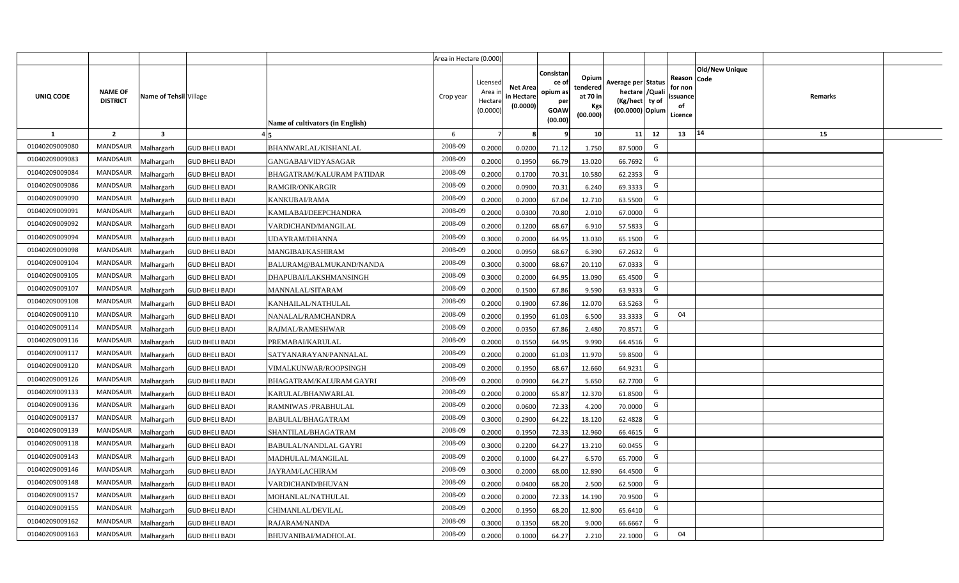|                |                                   |                         |                       |                                         | Area in Hectare (0.000) |                                            |                                           |                                                                |                                                  |                                                                            |    |                                                                             |         |  |
|----------------|-----------------------------------|-------------------------|-----------------------|-----------------------------------------|-------------------------|--------------------------------------------|-------------------------------------------|----------------------------------------------------------------|--------------------------------------------------|----------------------------------------------------------------------------|----|-----------------------------------------------------------------------------|---------|--|
| UNIQ CODE      | <b>NAME OF</b><br><b>DISTRICT</b> | Name of Tehsil Village  |                       | <b>Name of cultivators (in English)</b> | Crop year               | Licensed<br>Area in<br>Hectare<br>(0.0000) | <b>Net Area</b><br>in Hectare<br>(0.0000) | Consistar<br>ce o<br>opium as<br>per<br><b>GOAW</b><br>(00.00) | Opium<br>tendered<br>at 70 in<br>Kgs<br>(00.000) | Average per Status<br>hectare / Quali<br>(Kg/hect ty of<br>(00.0000) Opium |    | <b>Old/New Unique</b><br>Reason Code<br>for non<br>ssuance<br>of<br>Licence | Remarks |  |
| $\mathbf{1}$   | $\overline{2}$                    | $\overline{\mathbf{3}}$ |                       |                                         | 6                       | $\overline{7}$                             | -8                                        | 9                                                              | 10                                               | 11                                                                         | 12 | 14<br>13                                                                    | 15      |  |
| 01040209009080 | MANDSAUR                          | <b>Malhargarh</b>       | <b>GUD BHELI BADI</b> | BHANWARLAL/KISHANLAL                    | 2008-09                 | 0.2000                                     | 0.0200                                    | 71.12                                                          | 1.750                                            | 87.5000                                                                    | G  |                                                                             |         |  |
| 01040209009083 | <b>MANDSAUR</b>                   | <b>Malhargarh</b>       | <b>GUD BHELI BADI</b> | GANGABAI/VIDYASAGAR                     | 2008-09                 | 0.2000                                     | 0.1950                                    | 66.79                                                          | 13.020                                           | 66.7692                                                                    | G  |                                                                             |         |  |
| 01040209009084 | <b>MANDSAUR</b>                   | <b>Malhargarh</b>       | <b>GUD BHELI BADI</b> | BHAGATRAM/KALURAM PATIDAR               | 2008-09                 | 0.2000                                     | 0.1700                                    | 70.31                                                          | 10.580                                           | 62.2353                                                                    | G  |                                                                             |         |  |
| 01040209009086 | <b>MANDSAUR</b>                   | <b>Malhargarh</b>       | <b>GUD BHELI BADI</b> | <b>RAMGIR/ONKARGIR</b>                  | 2008-09                 | 0.2000                                     | 0.0900                                    | 70.31                                                          | 6.240                                            | 69.3333                                                                    | G  |                                                                             |         |  |
| 01040209009090 | <b>MANDSAUR</b>                   | <b>Malhargarh</b>       | <b>GUD BHELI BADI</b> | KANKUBAI/RAMA                           | 2008-09                 | 0.2000                                     | 0.2000                                    | 67.04                                                          | 12.710                                           | 63.5500                                                                    | G  |                                                                             |         |  |
| 01040209009091 | <b>MANDSAUR</b>                   | <b>Malhargarh</b>       | <b>GUD BHELI BADI</b> | KAMLABAI/DEEPCHANDRA                    | 2008-09                 | 0.2000                                     | 0.0300                                    | 70.80                                                          | 2.010                                            | 67.0000                                                                    | G  |                                                                             |         |  |
| 01040209009092 | <b>MANDSAUR</b>                   | <b>Malhargarh</b>       | <b>GUD BHELI BADI</b> | VARDICHAND/MANGILAL                     | 2008-09                 | 0.2000                                     | 0.1200                                    | 68.67                                                          | 6.910                                            | 57.5833                                                                    | G  |                                                                             |         |  |
| 01040209009094 | <b>MANDSAUR</b>                   | <b>Malhargarh</b>       | <b>GUD BHELI BADI</b> | UDAYRAM/DHANNA                          | 2008-09                 | 0.3000                                     | 0.2000                                    | 64.95                                                          | 13.030                                           | 65.1500                                                                    | G  |                                                                             |         |  |
| 01040209009098 | <b>MANDSAUR</b>                   | <b>Malhargarh</b>       | <b>GUD BHELI BADI</b> | MANGIBAI/KASHIRAM                       | 2008-09                 | 0.2000                                     | 0.0950                                    | 68.67                                                          | 6.390                                            | 67.2632                                                                    | G  |                                                                             |         |  |
| 01040209009104 | <b>MANDSAUR</b>                   | <b>Malhargarh</b>       | <b>GUD BHELI BADI</b> | BALURAM@BALMUKAND/NANDA                 | 2008-09                 | 0.3000                                     | 0.3000                                    | 68.67                                                          | 20.110                                           | 67.0333                                                                    | G  |                                                                             |         |  |
| 01040209009105 | <b>MANDSAUR</b>                   | <b>Malhargarh</b>       | <b>GUD BHELI BADI</b> | DHAPUBAI/LAKSHMANSINGH                  | 2008-09                 | 0.3000                                     | 0.2000                                    | 64.95                                                          | 13.090                                           | 65.4500                                                                    | G  |                                                                             |         |  |
| 01040209009107 | <b>MANDSAUR</b>                   | <b>Malhargarh</b>       | <b>GUD BHELI BADI</b> | MANNALAL/SITARAM                        | 2008-09                 | 0.2000                                     | 0.1500                                    | 67.86                                                          | 9.590                                            | 63.9333                                                                    | G  |                                                                             |         |  |
| 01040209009108 | <b>MANDSAUR</b>                   | <b>Malhargarh</b>       | <b>GUD BHELI BADI</b> | KANHAILAL/NATHULAL                      | 2008-09                 | 0.2000                                     | 0.1900                                    | 67.86                                                          | 12.070                                           | 63.5263                                                                    | G  |                                                                             |         |  |
| 01040209009110 | <b>MANDSAUR</b>                   | Malhargarh              | <b>GUD BHELI BADI</b> | NANALAL/RAMCHANDRA                      | 2008-09                 | 0.2000                                     | 0.1950                                    | 61.03                                                          | 6.500                                            | 33.3333                                                                    | G  | 04                                                                          |         |  |
| 01040209009114 | <b>MANDSAUR</b>                   | Malhargarh              | <b>GUD BHELI BADI</b> | RAJMAL/RAMESHWAR                        | 2008-09                 | 0.2000                                     | 0.0350                                    | 67.86                                                          | 2.480                                            | 70.8571                                                                    | G  |                                                                             |         |  |
| 01040209009116 | MANDSAUR                          | Malhargarh              | <b>GUD BHELI BADI</b> | PREMABAI/KARULAL                        | 2008-09                 | 0.2000                                     | 0.1550                                    | 64.95                                                          | 9.990                                            | 64.4516                                                                    | G  |                                                                             |         |  |
| 01040209009117 | <b>MANDSAUR</b>                   | <b>Malhargarh</b>       | <b>GUD BHELI BADI</b> | SATYANARAYAN/PANNALAL                   | 2008-09                 | 0.2000                                     | 0.2000                                    | 61.03                                                          | 11.970                                           | 59.8500                                                                    | G  |                                                                             |         |  |
| 01040209009120 | <b>MANDSAUR</b>                   | <b>Malhargarh</b>       | <b>GUD BHELI BADI</b> | VIMALKUNWAR/ROOPSINGH                   | 2008-09                 | 0.2000                                     | 0.1950                                    | 68.67                                                          | 12.660                                           | 64.9231                                                                    | G  |                                                                             |         |  |
| 01040209009126 | <b>MANDSAUR</b>                   | <b>Malhargarh</b>       | <b>GUD BHELI BADI</b> | BHAGATRAM/KALURAM GAYRI                 | 2008-09                 | 0.2000                                     | 0.0900                                    | 64.27                                                          | 5.650                                            | 62.7700                                                                    | G  |                                                                             |         |  |
| 01040209009133 | <b>MANDSAUR</b>                   | Malhargarh              | <b>GUD BHELI BADI</b> | KARULAL/BHANWARLAL                      | 2008-09                 | 0.2000                                     | 0.2000                                    | 65.87                                                          | 12.370                                           | 61.8500                                                                    | G  |                                                                             |         |  |
| 01040209009136 | <b>MANDSAUR</b>                   | Malhargarh              | <b>GUD BHELI BADI</b> | RAMNIWAS / PRABHULAL                    | 2008-09                 | 0.2000                                     | 0.0600                                    | 72.33                                                          | 4.200                                            | 70.0000                                                                    | G  |                                                                             |         |  |
| 01040209009137 | <b>MANDSAUR</b>                   | <b>Malhargarh</b>       | <b>GUD BHELI BADI</b> | BABULAL/BHAGATRAM                       | 2008-09                 | 0.3000                                     | 0.2900                                    | 64.22                                                          | 18.120                                           | 62.4828                                                                    | G  |                                                                             |         |  |
| 01040209009139 | <b>MANDSAUR</b>                   | <i>A</i> alhargarh      | <b>GUD BHELI BADI</b> | SHANTILAL/BHAGATRAM                     | 2008-09                 | 0.2000                                     | 0.1950                                    | 72.33                                                          | 12.960                                           | 66.4615                                                                    | G  |                                                                             |         |  |
| 01040209009118 | <b>MANDSAUR</b>                   | <b>Malhargarh</b>       | <b>GUD BHELI BADI</b> | BABULAL/NANDLAL GAYRI                   | 2008-09                 | 0.3000                                     | 0.2200                                    | 64.27                                                          | 13.210                                           | 60.0455                                                                    | G  |                                                                             |         |  |
| 01040209009143 | <b>MANDSAUR</b>                   | <b>Malhargarh</b>       | <b>GUD BHELI BADI</b> | MADHULAL/MANGILAL                       | 2008-09                 | 0.2000                                     | 0.1000                                    | 64.27                                                          | 6.570                                            | 65.7000                                                                    | G  |                                                                             |         |  |
| 01040209009146 | MANDSAUR                          | <b>Malhargarh</b>       | <b>GUD BHELI BADI</b> | JAYRAM/LACHIRAM                         | 2008-09                 | 0.3000                                     | 0.2000                                    | 68.00                                                          | 12.890                                           | 64.4500                                                                    | G  |                                                                             |         |  |
| 01040209009148 | <b>MANDSAUR</b>                   | <b>Malhargarh</b>       | <b>GUD BHELI BADI</b> | VARDICHAND/BHUVAN                       | 2008-09                 | 0.2000                                     | 0.0400                                    | 68.20                                                          | 2.500                                            | 62.5000                                                                    | G  |                                                                             |         |  |
| 01040209009157 | <b>MANDSAUR</b>                   | <b>Malhargarh</b>       | <b>GUD BHELI BADI</b> | MOHANLAL/NATHULAL                       | 2008-09                 | 0.2000                                     | 0.2000                                    | 72.33                                                          | 14.190                                           | 70.9500                                                                    | G  |                                                                             |         |  |
| 01040209009155 | <b>MANDSAUR</b>                   | <b>Malhargarh</b>       | <b>GUD BHELI BADI</b> | CHIMANLAL/DEVILAL                       | 2008-09                 | 0.2000                                     | 0.1950                                    | 68.20                                                          | 12.800                                           | 65.6410                                                                    | G  |                                                                             |         |  |
| 01040209009162 | <b>MANDSAUR</b>                   | <b>Malhargarh</b>       | <b>GUD BHELI BADI</b> | RAJARAM/NANDA                           | 2008-09                 | 0.3000                                     | 0.1350                                    | 68.20                                                          | 9.000                                            | 66.6667                                                                    | G  |                                                                             |         |  |
| 01040209009163 | MANDSAUR                          | Malhargarh              | <b>GUD BHELI BADI</b> | <b>BHUVANIBAI/MADHOLAL</b>              | 2008-09                 | 0.2000                                     | 0.1000                                    | 64.27                                                          | 2.210                                            | 22.1000                                                                    | G  | 04                                                                          |         |  |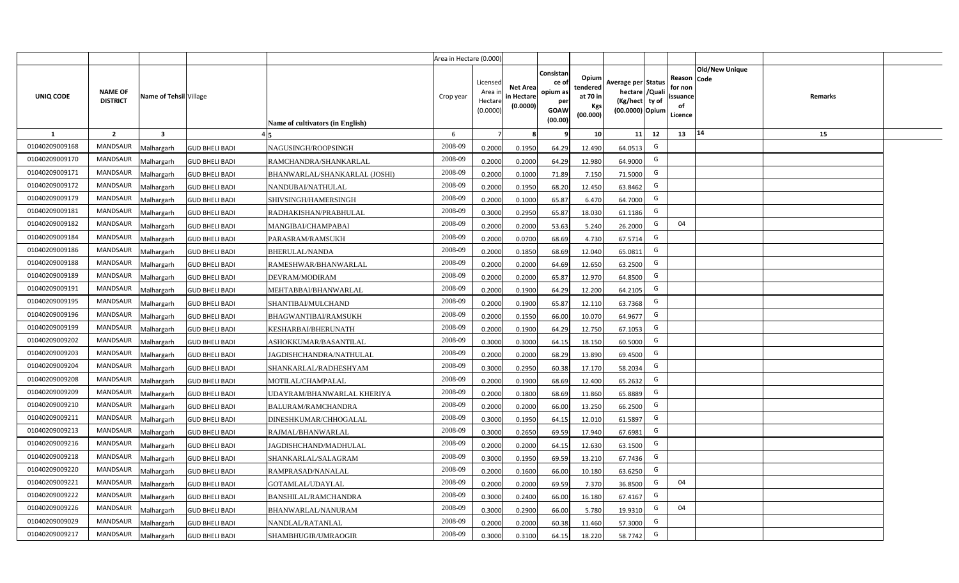|                |                                   |                         |                       |                                  | Area in Hectare (0.000) |                                            |                                           |                                                                |                                                  |                                                                            |    |                                                                             |         |  |
|----------------|-----------------------------------|-------------------------|-----------------------|----------------------------------|-------------------------|--------------------------------------------|-------------------------------------------|----------------------------------------------------------------|--------------------------------------------------|----------------------------------------------------------------------------|----|-----------------------------------------------------------------------------|---------|--|
| UNIQ CODE      | <b>NAME OF</b><br><b>DISTRICT</b> | Name of Tehsil Village  |                       | Name of cultivators (in English) | Crop year               | Licensed<br>Area in<br>Hectare<br>(0.0000) | <b>Net Area</b><br>in Hectare<br>(0.0000) | Consistar<br>ce o<br>opium as<br>per<br><b>GOAW</b><br>(00.00) | Opium<br>tendered<br>at 70 in<br>Kgs<br>(00.000) | Average per Status<br>hectare / Quali<br>(Kg/hect ty of<br>(00.0000) Opium |    | <b>Old/New Unique</b><br>Reason Code<br>for non<br>ssuance<br>of<br>Licence | Remarks |  |
| $\mathbf{1}$   | $\overline{2}$                    | $\overline{\mathbf{3}}$ |                       |                                  | 6                       | $\overline{7}$                             | -8                                        | 9                                                              | 10                                               | 11                                                                         | 12 | 14<br>13                                                                    | 15      |  |
| 01040209009168 | MANDSAUR                          | <b>Malhargarh</b>       | <b>GUD BHELI BADI</b> | NAGUSINGH/ROOPSINGH              | 2008-09                 | 0.2000                                     | 0.1950                                    | 64.29                                                          | 12.490                                           | 64.0513                                                                    | G  |                                                                             |         |  |
| 01040209009170 | <b>MANDSAUR</b>                   | <b>Malhargarh</b>       | <b>GUD BHELI BADI</b> | RAMCHANDRA/SHANKARLAL            | 2008-09                 | 0.2000                                     | 0.2000                                    | 64.29                                                          | 12.980                                           | 64.9000                                                                    | G  |                                                                             |         |  |
| 01040209009171 | <b>MANDSAUR</b>                   | <b>Malhargarh</b>       | <b>GUD BHELI BADI</b> | BHANWARLAL/SHANKARLAL (JOSHI)    | 2008-09                 | 0.2000                                     | 0.1000                                    | 71.89                                                          | 7.150                                            | 71.5000                                                                    | G  |                                                                             |         |  |
| 01040209009172 | <b>MANDSAUR</b>                   | <b>Malhargarh</b>       | <b>GUD BHELI BADI</b> | NANDUBAI/NATHULAL                | 2008-09                 | 0.2000                                     | 0.1950                                    | 68.20                                                          | 12.450                                           | 63.8462                                                                    | G  |                                                                             |         |  |
| 01040209009179 | <b>MANDSAUR</b>                   | <b>Malhargarh</b>       | <b>GUD BHELI BADI</b> | SHIVSINGH/HAMERSINGH             | 2008-09                 | 0.2000                                     | 0.1000                                    | 65.87                                                          | 6.470                                            | 64.7000                                                                    | G  |                                                                             |         |  |
| 01040209009181 | <b>MANDSAUR</b>                   | <b>Malhargarh</b>       | <b>GUD BHELI BADI</b> | RADHAKISHAN/PRABHULAL            | 2008-09                 | 0.3000                                     | 0.2950                                    | 65.87                                                          | 18.030                                           | 61.1186                                                                    | G  |                                                                             |         |  |
| 01040209009182 | <b>MANDSAUR</b>                   | <b>Malhargarh</b>       | <b>GUD BHELI BADI</b> | MANGIBAI/CHAMPABAI               | 2008-09                 | 0.2000                                     | 0.2000                                    | 53.63                                                          | 5.240                                            | 26.2000                                                                    | G  | 04                                                                          |         |  |
| 01040209009184 | <b>MANDSAUR</b>                   | <b>Malhargarh</b>       | <b>GUD BHELI BADI</b> | PARASRAM/RAMSUKH                 | 2008-09                 | 0.2000                                     | 0.0700                                    | 68.69                                                          | 4.730                                            | 67.5714                                                                    | G  |                                                                             |         |  |
| 01040209009186 | <b>MANDSAUR</b>                   | <b>Malhargarh</b>       | <b>GUD BHELI BADI</b> | <b>BHERULAL/NANDA</b>            | 2008-09                 | 0.2000                                     | 0.1850                                    | 68.69                                                          | 12.040                                           | 65.0811                                                                    | G  |                                                                             |         |  |
| 01040209009188 | <b>MANDSAUR</b>                   | <b>Malhargarh</b>       | <b>GUD BHELI BADI</b> | RAMESHWAR/BHANWARLAL             | 2008-09                 | 0.2000                                     | 0.2000                                    | 64.69                                                          | 12.650                                           | 63.2500                                                                    | G  |                                                                             |         |  |
| 01040209009189 | <b>MANDSAUR</b>                   | <b>Malhargarh</b>       | <b>GUD BHELI BADI</b> | DEVRAM/MODIRAM                   | 2008-09                 | 0.2000                                     | 0.2000                                    | 65.87                                                          | 12.970                                           | 64.8500                                                                    | G  |                                                                             |         |  |
| 01040209009191 | <b>MANDSAUR</b>                   | <b>Malhargarh</b>       | <b>GUD BHELI BADI</b> | MEHTABBAI/BHANWARLAL             | 2008-09                 | 0.2000                                     | 0.1900                                    | 64.29                                                          | 12.200                                           | 64.2105                                                                    | G  |                                                                             |         |  |
| 01040209009195 | <b>MANDSAUR</b>                   | <b>Malhargarh</b>       | <b>GUD BHELI BADI</b> | SHANTIBAI/MULCHAND               | 2008-09                 | 0.2000                                     | 0.1900                                    | 65.87                                                          | 12.110                                           | 63.7368                                                                    | G  |                                                                             |         |  |
| 01040209009196 | <b>MANDSAUR</b>                   | Malhargarh              | <b>GUD BHELI BADI</b> | <b>BHAGWANTIBAI/RAMSUKH</b>      | 2008-09                 | 0.2000                                     | 0.1550                                    | 66.00                                                          | 10.070                                           | 64.9677                                                                    | G  |                                                                             |         |  |
| 01040209009199 | <b>MANDSAUR</b>                   | Malhargarh              | <b>GUD BHELI BADI</b> | KESHARBAI/BHERUNATH              | 2008-09                 | 0.2000                                     | 0.1900                                    | 64.29                                                          | 12.750                                           | 67.1053                                                                    | G  |                                                                             |         |  |
| 01040209009202 | MANDSAUR                          | Malhargarh              | <b>GUD BHELI BADI</b> | ASHOKKUMAR/BASANTILAL            | 2008-09                 | 0.3000                                     | 0.3000                                    | 64.15                                                          | 18.150                                           | 60.5000                                                                    | G  |                                                                             |         |  |
| 01040209009203 | <b>MANDSAUR</b>                   | <b>Malhargarh</b>       | <b>GUD BHELI BADI</b> | JAGDISHCHANDRA/NATHULAL          | 2008-09                 | 0.2000                                     | 0.2000                                    | 68.29                                                          | 13.890                                           | 69.4500                                                                    | G  |                                                                             |         |  |
| 01040209009204 | MANDSAUR                          | <b>Malhargarh</b>       | <b>GUD BHELI BADI</b> | SHANKARLAL/RADHESHYAM            | 2008-09                 | 0.3000                                     | 0.2950                                    | 60.38                                                          | 17.170                                           | 58.2034                                                                    | G  |                                                                             |         |  |
| 01040209009208 | <b>MANDSAUR</b>                   | <b>Malhargarh</b>       | <b>GUD BHELI BADI</b> | MOTILAL/CHAMPALAL                | 2008-09                 | 0.2000                                     | 0.1900                                    | 68.69                                                          | 12.400                                           | 65.2632                                                                    | G  |                                                                             |         |  |
| 01040209009209 | <b>MANDSAUR</b>                   | Malhargarh              | <b>GUD BHELI BADI</b> | UDAYRAM/BHANWARLAL KHERIYA       | 2008-09                 | 0.2000                                     | 0.1800                                    | 68.69                                                          | 11.860                                           | 65.8889                                                                    | G  |                                                                             |         |  |
| 01040209009210 | MANDSAUR                          | <b>Malhargarh</b>       | <b>GUD BHELI BADI</b> | <b>BALURAM/RAMCHANDRA</b>        | 2008-09                 | 0.2000                                     | 0.2000                                    | 66.00                                                          | 13.250                                           | 66.2500                                                                    | G  |                                                                             |         |  |
| 01040209009211 | MANDSAUR                          | <b>Malhargarh</b>       | <b>GUD BHELI BADI</b> | DINESHKUMAR/CHHOGALAL            | 2008-09                 | 0.3000                                     | 0.1950                                    | 64.15                                                          | 12.010                                           | 61.5897                                                                    | G  |                                                                             |         |  |
| 01040209009213 | <b>MANDSAUR</b>                   | <i>A</i> alhargarh      | <b>GUD BHELI BADI</b> | RAJMAL/BHANWARLAL                | 2008-09                 | 0.3000                                     | 0.2650                                    | 69.59                                                          | 17.940                                           | 67.6981                                                                    | G  |                                                                             |         |  |
| 01040209009216 | <b>MANDSAUR</b>                   | <b>Malhargarh</b>       | <b>GUD BHELI BADI</b> | IAGDISHCHAND/MADHULAL            | 2008-09                 | 0.2000                                     | 0.2000                                    | 64.15                                                          | 12.630                                           | 63.1500                                                                    | G  |                                                                             |         |  |
| 01040209009218 | <b>MANDSAUR</b>                   | <b>Malhargarh</b>       | <b>GUD BHELI BADI</b> | SHANKARLAL/SALAGRAM              | 2008-09                 | 0.3000                                     | 0.1950                                    | 69.59                                                          | 13.210                                           | 67.7436                                                                    | G  |                                                                             |         |  |
| 01040209009220 | MANDSAUR                          | <b>Malhargarh</b>       | <b>GUD BHELI BADI</b> | RAMPRASAD/NANALAL                | 2008-09                 | 0.2000                                     | 0.1600                                    | 66.00                                                          | 10.180                                           | 63.6250                                                                    | G  |                                                                             |         |  |
| 01040209009221 | <b>MANDSAUR</b>                   | <b>Malhargarh</b>       | <b>GUD BHELI BADI</b> | GOTAMLAL/UDAYLAL                 | 2008-09                 | 0.2000                                     | 0.2000                                    | 69.59                                                          | 7.370                                            | 36.8500                                                                    | G  | 04                                                                          |         |  |
| 01040209009222 | <b>MANDSAUR</b>                   | <b>Malhargarh</b>       | <b>GUD BHELI BADI</b> | BANSHILAL/RAMCHANDRA             | 2008-09                 | 0.3000                                     | 0.2400                                    | 66.00                                                          | 16.180                                           | 67.4167                                                                    | G  |                                                                             |         |  |
| 01040209009226 | <b>MANDSAUR</b>                   | <b>Malhargarh</b>       | <b>GUD BHELI BADI</b> | BHANWARLAL/NANURAM               | 2008-09                 | 0.3000                                     | 0.2900                                    | 66.00                                                          | 5.780                                            | 19.9310                                                                    | G  | 04                                                                          |         |  |
| 01040209009029 | <b>MANDSAUR</b>                   | <b>Malhargarh</b>       | <b>GUD BHELI BADI</b> | NANDLAL/RATANLAL                 | 2008-09                 | 0.2000                                     | 0.2000                                    | 60.38                                                          | 11.460                                           | 57.3000                                                                    | G  |                                                                             |         |  |
| 01040209009217 | MANDSAUR                          | Malhargarh              | <b>GUD BHELI BADI</b> | SHAMBHUGIR/UMRAOGIR              | 2008-09                 | 0.3000                                     | 0.3100                                    | 64.15                                                          | 18.220                                           | 58.7742                                                                    | G  |                                                                             |         |  |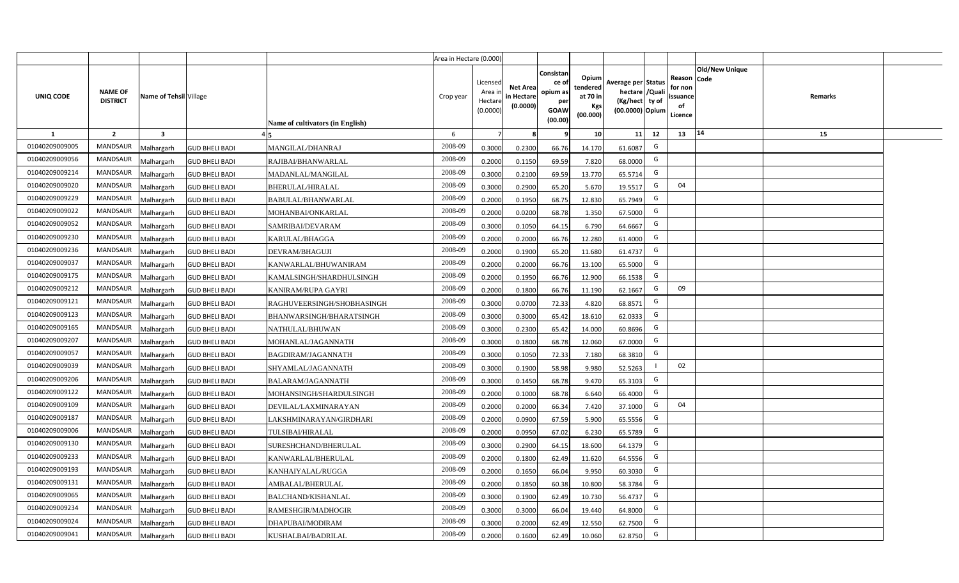|                |                                   |                        |                       |                                  | Area in Hectare (0.000) |                                           |                                           |                                                                 |                                                  |                                                                            |                                                    |                       |         |  |
|----------------|-----------------------------------|------------------------|-----------------------|----------------------------------|-------------------------|-------------------------------------------|-------------------------------------------|-----------------------------------------------------------------|--------------------------------------------------|----------------------------------------------------------------------------|----------------------------------------------------|-----------------------|---------|--|
| UNIQ CODE      | <b>NAME OF</b><br><b>DISTRICT</b> | Name of Tehsil Village |                       | Name of cultivators (in English) | Crop year               | Licensed<br>Area i<br>Hectare<br>(0.0000) | <b>Net Area</b><br>in Hectare<br>(0.0000) | Consistan<br>ce of<br>opium as<br>per<br><b>GOAW</b><br>(00.00) | Opium<br>tendered<br>at 70 in<br>Kgs<br>(00.000) | Average per Status<br>hectare / Quali<br>(Kg/hect ty of<br>(00.0000) Opium | Reason Code<br>for non<br>ssuance<br>of<br>Licence | <b>Old/New Unique</b> | Remarks |  |
| $\mathbf{1}$   | $\overline{2}$                    | $\mathbf{3}$           |                       |                                  | 6                       | $\overline{7}$                            | 8                                         | 9                                                               | 10 <sup>1</sup>                                  | 11<br>12                                                                   | 13                                                 | 14                    | 15      |  |
| 01040209009005 | MANDSAUR                          | Malhargarh             | <b>GUD BHELI BADI</b> | MANGILAL/DHANRAJ                 | 2008-09                 | 0.3000                                    | 0.2300                                    | 66.76                                                           | 14.170                                           | G<br>61.6087                                                               |                                                    |                       |         |  |
| 01040209009056 | <b>MANDSAUR</b>                   | <b>Aalhargarh</b>      | <b>GUD BHELI BADI</b> | RAJIBAI/BHANWARLAL               | 2008-09                 | 0.2000                                    | 0.1150                                    | 69.59                                                           | 7.820                                            | G<br>68.0000                                                               |                                                    |                       |         |  |
| 01040209009214 | MANDSAUR                          | Malhargarh             | <b>GUD BHELI BADI</b> | MADANLAL/MANGILAL                | 2008-09                 | 0.3000                                    | 0.2100                                    | 69.59                                                           | 13.770                                           | G<br>65.5714                                                               |                                                    |                       |         |  |
| 01040209009020 | <b>MANDSAUR</b>                   | Malhargarh             | <b>GUD BHELI BADI</b> | <b>BHERULAL/HIRALAL</b>          | 2008-09                 | 0.3000                                    | 0.2900                                    | 65.20                                                           | 5.670                                            | G<br>19.5517                                                               | 04                                                 |                       |         |  |
| 01040209009229 | <b>MANDSAUR</b>                   | Malhargarh             | <b>GUD BHELI BADI</b> | BABULAL/BHANWARLAL               | 2008-09                 | 0.2000                                    | 0.1950                                    | 68.75                                                           | 12.830                                           | G<br>65.7949                                                               |                                                    |                       |         |  |
| 01040209009022 | MANDSAUR                          | Malhargarh             | <b>GUD BHELI BADI</b> | MOHANBAI/ONKARLAL                | 2008-09                 | 0.2000                                    | 0.0200                                    | 68.78                                                           | 1.350                                            | G<br>67.5000                                                               |                                                    |                       |         |  |
| 01040209009052 | <b>MANDSAUR</b>                   | Malhargarh             | <b>GUD BHELI BADI</b> | SAMRIBAI/DEVARAM                 | 2008-09                 | 0.3000                                    | 0.1050                                    | 64.15                                                           | 6.790                                            | G<br>64.6667                                                               |                                                    |                       |         |  |
| 01040209009230 | <b>MANDSAUR</b>                   | Malhargarh             | <b>GUD BHELI BADI</b> | KARULAL/BHAGGA                   | 2008-09                 | 0.2000                                    | 0.2000                                    | 66.76                                                           | 12.280                                           | G<br>61.4000                                                               |                                                    |                       |         |  |
| 01040209009236 | <b>MANDSAUR</b>                   | Malhargarh             | <b>GUD BHELI BADI</b> | DEVRAM/BHAGUJI                   | 2008-09                 | 0.2000                                    | 0.1900                                    | 65.20                                                           | 11.680                                           | G<br>61.4737                                                               |                                                    |                       |         |  |
| 01040209009037 | <b>MANDSAUR</b>                   | Malhargarh             | <b>GUD BHELI BADI</b> | KANWARLAL/BHUWANIRAM             | 2008-09                 | 0.2000                                    | 0.2000                                    | 66.76                                                           | 13.100                                           | G<br>65.5000                                                               |                                                    |                       |         |  |
| 01040209009175 | MANDSAUR                          | Malhargarh             | <b>GUD BHELI BADI</b> | KAMALSINGH/SHARDHULSINGH         | 2008-09                 | 0.2000                                    | 0.1950                                    | 66.76                                                           | 12.900                                           | G<br>66.1538                                                               |                                                    |                       |         |  |
| 01040209009212 | <b>MANDSAUR</b>                   | Malhargarh             | <b>GUD BHELI BADI</b> | KANIRAM/RUPA GAYRI               | 2008-09                 | 0.2000                                    | 0.1800                                    | 66.76                                                           | 11.190                                           | G<br>62.1667                                                               | 09                                                 |                       |         |  |
| 01040209009121 | MANDSAUR                          | Malhargarh             | <b>GUD BHELI BADI</b> | RAGHUVEERSINGH/SHOBHASINGH       | 2008-09                 | 0.3000                                    | 0.0700                                    | 72.33                                                           | 4.820                                            | G<br>68.8571                                                               |                                                    |                       |         |  |
| 01040209009123 | <b>MANDSAUR</b>                   | Malhargarh             | <b>GUD BHELI BADI</b> | BHANWARSINGH/BHARATSINGH         | 2008-09                 | 0.3000                                    | 0.3000                                    | 65.42                                                           | 18.610                                           | G<br>62.0333                                                               |                                                    |                       |         |  |
| 01040209009165 | <b>MANDSAUR</b>                   | Malhargarh             | <b>GUD BHELI BADI</b> | NATHULAL/BHUWAN                  | 2008-09                 | 0.3000                                    | 0.2300                                    | 65.42                                                           | 14.000                                           | G<br>60.8696                                                               |                                                    |                       |         |  |
| 01040209009207 | <b>MANDSAUR</b>                   | Malhargarh             | <b>GUD BHELI BADI</b> | MOHANLAL/JAGANNATH               | 2008-09                 | 0.3000                                    | 0.1800                                    | 68.78                                                           | 12.060                                           | G<br>67.0000                                                               |                                                    |                       |         |  |
| 01040209009057 | <b>MANDSAUR</b>                   | Malhargarh             | <b>GUD BHELI BADI</b> | BAGDIRAM/JAGANNATH               | 2008-09                 | 0.3000                                    | 0.1050                                    | 72.33                                                           | 7.180                                            | G<br>68.3810                                                               |                                                    |                       |         |  |
| 01040209009039 | <b>MANDSAUR</b>                   | Malhargarh             | <b>GUD BHELI BADI</b> | SHYAMLAL/JAGANNATH               | 2008-09                 | 0.3000                                    | 0.1900                                    | 58.98                                                           | 9.980                                            | 52.5263                                                                    | 02                                                 |                       |         |  |
| 01040209009206 | <b>MANDSAUR</b>                   | Malhargarh             | <b>GUD BHELI BADI</b> | BALARAM/JAGANNATH                | 2008-09                 | 0.3000                                    | 0.1450                                    | 68.78                                                           | 9.470                                            | G<br>65.3103                                                               |                                                    |                       |         |  |
| 01040209009122 | MANDSAUR                          | Malhargarh             | <b>GUD BHELI BADI</b> | MOHANSINGH/SHARDULSINGH          | 2008-09                 | 0.2000                                    | 0.1000                                    | 68.78                                                           | 6.640                                            | G<br>66.4000                                                               |                                                    |                       |         |  |
| 01040209009109 | MANDSAUR                          | Malhargarh             | <b>GUD BHELI BADI</b> | DEVILAL/LAXMINARAYAN             | 2008-09                 | 0.2000                                    | 0.2000                                    | 66.34                                                           | 7.420                                            | G<br>37.1000                                                               | 04                                                 |                       |         |  |
| 01040209009187 | MANDSAUR                          | Malhargarh             | <b>GUD BHELI BADI</b> | LAKSHMINARAYAN/GIRDHARI          | 2008-09                 | 0.2000                                    | 0.0900                                    | 67.59                                                           | 5.900                                            | G<br>65.5556                                                               |                                                    |                       |         |  |
| 01040209009006 | <b>MANDSAUR</b>                   | Malhargarh             | <b>GUD BHELI BADI</b> | TULSIBAI/HIRALAL                 | 2008-09                 | 0.2000                                    | 0.0950                                    | 67.02                                                           | 6.230                                            | G<br>65.5789                                                               |                                                    |                       |         |  |
| 01040209009130 | MANDSAUR                          | Malhargarh             | <b>GUD BHELI BADI</b> | SURESHCHAND/BHERULAL             | 2008-09                 | 0.3000                                    | 0.2900                                    | 64.15                                                           | 18.600                                           | G<br>64.1379                                                               |                                                    |                       |         |  |
| 01040209009233 | <b>MANDSAUR</b>                   | Malhargarh             | <b>GUD BHELI BADI</b> | KANWARLAL/BHERULAL               | 2008-09                 | 0.2000                                    | 0.1800                                    | 62.49                                                           | 11.620                                           | G<br>64.5556                                                               |                                                    |                       |         |  |
| 01040209009193 | MANDSAUR                          | Malhargarh             | <b>GUD BHELI BADI</b> | KANHAIYALAL/RUGGA                | 2008-09                 | 0.2000                                    | 0.1650                                    | 66.04                                                           | 9.950                                            | G<br>60.3030                                                               |                                                    |                       |         |  |
| 01040209009131 | MANDSAUR                          | Malhargarh             | <b>GUD BHELI BADI</b> | AMBALAL/BHERULAL                 | 2008-09                 | 0.2000                                    | 0.1850                                    | 60.38                                                           | 10.800                                           | G<br>58.3784                                                               |                                                    |                       |         |  |
| 01040209009065 | MANDSAUR                          | Malhargarh             | <b>GUD BHELI BADI</b> | BALCHAND/KISHANLAL               | 2008-09                 | 0.3000                                    | 0.1900                                    | 62.49                                                           | 10.730                                           | G<br>56.4737                                                               |                                                    |                       |         |  |
| 01040209009234 | MANDSAUR                          | Malhargarh             | <b>GUD BHELI BADI</b> | RAMESHGIR/MADHOGIR               | 2008-09                 | 0.3000                                    | 0.3000                                    | 66.04                                                           | 19.440                                           | G<br>64.8000                                                               |                                                    |                       |         |  |
| 01040209009024 | MANDSAUR                          | Malhargarh             | <b>GUD BHELI BADI</b> | DHAPUBAI/MODIRAM                 | 2008-09                 | 0.3000                                    | 0.2000                                    | 62.49                                                           | 12.550                                           | G<br>62.7500                                                               |                                                    |                       |         |  |
| 01040209009041 | MANDSAUR                          | Malhargarh             | <b>GUD BHELI BADI</b> | KUSHALBAI/BADRILAL               | 2008-09                 | 0.2000                                    | 0.1600                                    | 62.49                                                           | 10.060                                           | G<br>62.8750                                                               |                                                    |                       |         |  |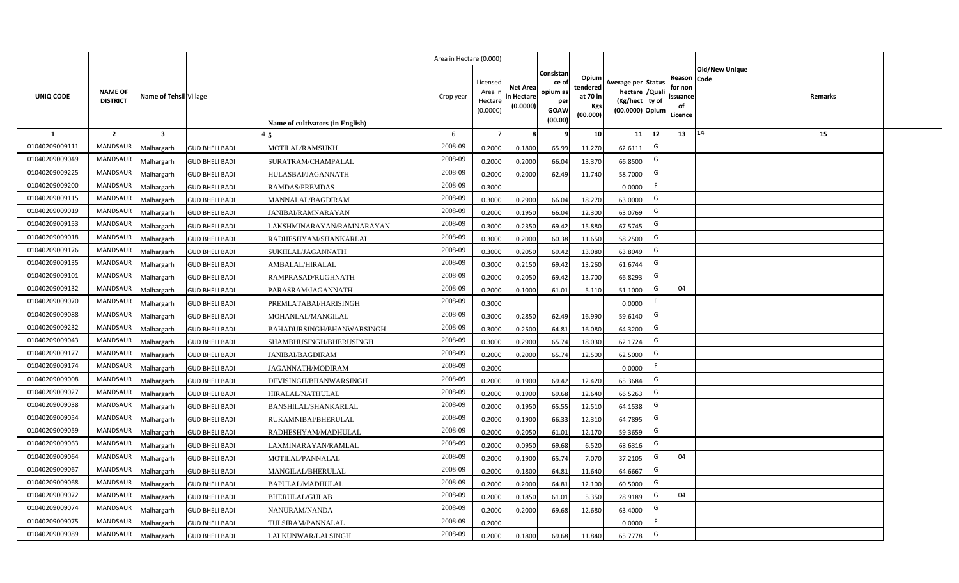|                |                                   |                        |                       |                                  | Area in Hectare (0.000) |                                           |                                           |                                                                 |                                                  |                                                                            |                                                    |                       |         |  |
|----------------|-----------------------------------|------------------------|-----------------------|----------------------------------|-------------------------|-------------------------------------------|-------------------------------------------|-----------------------------------------------------------------|--------------------------------------------------|----------------------------------------------------------------------------|----------------------------------------------------|-----------------------|---------|--|
| UNIQ CODE      | <b>NAME OF</b><br><b>DISTRICT</b> | Name of Tehsil Village |                       | Name of cultivators (in English) | Crop year               | Licensed<br>Area i<br>Hectare<br>(0.0000) | <b>Net Area</b><br>in Hectare<br>(0.0000) | Consistan<br>ce of<br>opium as<br>per<br><b>GOAW</b><br>(00.00) | Opium<br>tendered<br>at 70 in<br>Kgs<br>(00.000) | Average per Status<br>hectare / Quali<br>(Kg/hect ty of<br>(00.0000) Opium | Reason Code<br>for non<br>ssuance<br>of<br>Licence | <b>Old/New Unique</b> | Remarks |  |
| $\mathbf{1}$   | $\overline{2}$                    | $\mathbf{3}$           |                       |                                  | 6                       | $\overline{7}$                            | 8                                         | 9                                                               | 10 <sup>1</sup>                                  | 11<br>12                                                                   | 13                                                 | 14                    | 15      |  |
| 01040209009111 | MANDSAUR                          | Malhargarh             | <b>GUD BHELI BADI</b> | MOTILAL/RAMSUKH                  | 2008-09                 | 0.2000                                    | 0.1800                                    | 65.99                                                           | 11.270                                           | G<br>62.6111                                                               |                                                    |                       |         |  |
| 01040209009049 | <b>MANDSAUR</b>                   | <b>Aalhargarh</b>      | <b>GUD BHELI BADI</b> | SURATRAM/CHAMPALAL               | 2008-09                 | 0.2000                                    | 0.2000                                    | 66.04                                                           | 13.370                                           | G<br>66.8500                                                               |                                                    |                       |         |  |
| 01040209009225 | MANDSAUR                          | Malhargarh             | <b>GUD BHELI BADI</b> | HULASBAI/JAGANNATH               | 2008-09                 | 0.2000                                    | 0.2000                                    | 62.49                                                           | 11.740                                           | G<br>58.7000                                                               |                                                    |                       |         |  |
| 01040209009200 | <b>MANDSAUR</b>                   | Malhargarh             | <b>GUD BHELI BADI</b> | <b>RAMDAS/PREMDAS</b>            | 2008-09                 | 0.3000                                    |                                           |                                                                 |                                                  | F<br>0.0000                                                                |                                                    |                       |         |  |
| 01040209009115 | <b>MANDSAUR</b>                   | Malhargarh             | <b>GUD BHELI BADI</b> | MANNALAL/BAGDIRAM                | 2008-09                 | 0.3000                                    | 0.2900                                    | 66.04                                                           | 18.270                                           | G<br>63.0000                                                               |                                                    |                       |         |  |
| 01040209009019 | MANDSAUR                          | Malhargarh             | <b>GUD BHELI BADI</b> | <b>JANIBAI/RAMNARAYAN</b>        | 2008-09                 | 0.2000                                    | 0.1950                                    | 66.04                                                           | 12.300                                           | G<br>63.0769                                                               |                                                    |                       |         |  |
| 01040209009153 | MANDSAUR                          | Malhargarh             | <b>GUD BHELI BADI</b> | LAKSHMINARAYAN/RAMNARAYAN        | 2008-09                 | 0.3000                                    | 0.2350                                    | 69.42                                                           | 15.880                                           | G<br>67.5745                                                               |                                                    |                       |         |  |
| 01040209009018 | <b>MANDSAUR</b>                   | Malhargarh             | <b>GUD BHELI BADI</b> | RADHESHYAM/SHANKARLAL            | 2008-09                 | 0.3000                                    | 0.2000                                    | 60.38                                                           | 11.650                                           | G<br>58.2500                                                               |                                                    |                       |         |  |
| 01040209009176 | <b>MANDSAUR</b>                   | Malhargarh             | <b>GUD BHELI BADI</b> | SUKHLAL/JAGANNATH                | 2008-09                 | 0.3000                                    | 0.2050                                    | 69.42                                                           | 13.080                                           | G<br>63.8049                                                               |                                                    |                       |         |  |
| 01040209009135 | <b>MANDSAUR</b>                   | Malhargarh             | <b>GUD BHELI BADI</b> | AMBALAL/HIRALAL                  | 2008-09                 | 0.3000                                    | 0.2150                                    | 69.42                                                           | 13.260                                           | G<br>61.6744                                                               |                                                    |                       |         |  |
| 01040209009101 | MANDSAUR                          | Malhargarh             | <b>GUD BHELI BADI</b> | RAMPRASAD/RUGHNATH               | 2008-09                 | 0.2000                                    | 0.2050                                    | 69.42                                                           | 13.700                                           | G<br>66.8293                                                               |                                                    |                       |         |  |
| 01040209009132 | <b>MANDSAUR</b>                   | Malhargarh             | <b>GUD BHELI BADI</b> | PARASRAM/JAGANNATH               | 2008-09                 | 0.2000                                    | 0.1000                                    | 61.01                                                           | 5.110                                            | G<br>51.1000                                                               | 04                                                 |                       |         |  |
| 01040209009070 | MANDSAUR                          | Malhargarh             | <b>GUD BHELI BADI</b> | PREMLATABAI/HARISINGH            | 2008-09                 | 0.3000                                    |                                           |                                                                 |                                                  | F<br>0.0000                                                                |                                                    |                       |         |  |
| 01040209009088 | <b>MANDSAUR</b>                   | Malhargarh             | <b>GUD BHELI BADI</b> | MOHANLAL/MANGILAL                | 2008-09                 | 0.3000                                    | 0.2850                                    | 62.49                                                           | 16.990                                           | G<br>59.6140                                                               |                                                    |                       |         |  |
| 01040209009232 | <b>MANDSAUR</b>                   | Malhargarh             | <b>GUD BHELI BADI</b> | BAHADURSINGH/BHANWARSINGH        | 2008-09                 | 0.3000                                    | 0.2500                                    | 64.81                                                           | 16.080                                           | G<br>64.3200                                                               |                                                    |                       |         |  |
| 01040209009043 | <b>MANDSAUR</b>                   | Malhargarh             | <b>GUD BHELI BADI</b> | SHAMBHUSINGH/BHERUSINGH          | 2008-09                 | 0.3000                                    | 0.2900                                    | 65.74                                                           | 18.030                                           | G<br>62.1724                                                               |                                                    |                       |         |  |
| 01040209009177 | <b>MANDSAUR</b>                   | Malhargarh             | <b>GUD BHELI BADI</b> | JANIBAI/BAGDIRAM                 | 2008-09                 | 0.2000                                    | 0.2000                                    | 65.74                                                           | 12.500                                           | G<br>62.5000                                                               |                                                    |                       |         |  |
| 01040209009174 | <b>MANDSAUR</b>                   | Malhargarh             | <b>GUD BHELI BADI</b> | JAGANNATH/MODIRAM                | 2008-09                 | 0.2000                                    |                                           |                                                                 |                                                  | F<br>0.0000                                                                |                                                    |                       |         |  |
| 01040209009008 | <b>MANDSAUR</b>                   | Malhargarh             | <b>GUD BHELI BADI</b> | DEVISINGH/BHANWARSINGH           | 2008-09                 | 0.2000                                    | 0.1900                                    | 69.42                                                           | 12.420                                           | G<br>65.3684                                                               |                                                    |                       |         |  |
| 01040209009027 | MANDSAUR                          | Malhargarh             | <b>GUD BHELI BADI</b> | HIRALAL/NATHULAL                 | 2008-09                 | 0.2000                                    | 0.1900                                    | 69.68                                                           | 12.640                                           | G<br>66.5263                                                               |                                                    |                       |         |  |
| 01040209009038 | MANDSAUR                          | Malhargarh             | <b>GUD BHELI BADI</b> | BANSHILAL/SHANKARLAL             | 2008-09                 | 0.2000                                    | 0.1950                                    | 65.55                                                           | 12.510                                           | G<br>64.1538                                                               |                                                    |                       |         |  |
| 01040209009054 | MANDSAUR                          | Malhargarh             | <b>GUD BHELI BADI</b> | RUKAMNIBAI/BHERULAL              | 2008-09                 | 0.2000                                    | 0.1900                                    | 66.33                                                           | 12.310                                           | G<br>64.7895                                                               |                                                    |                       |         |  |
| 01040209009059 | <b>MANDSAUR</b>                   | Malhargarh             | <b>GUD BHELI BADI</b> | RADHESHYAM/MADHULAL              | 2008-09                 | 0.2000                                    | 0.2050                                    | 61.01                                                           | 12.170                                           | G<br>59.3659                                                               |                                                    |                       |         |  |
| 01040209009063 | MANDSAUR                          | Malhargarh             | <b>GUD BHELI BADI</b> | LAXMINARAYAN/RAMLAL              | 2008-09                 | 0.2000                                    | 0.0950                                    | 69.68                                                           | 6.520                                            | G<br>68.6316                                                               |                                                    |                       |         |  |
| 01040209009064 | <b>MANDSAUR</b>                   | Malhargarh             | <b>GUD BHELI BADI</b> | MOTILAL/PANNALAL                 | 2008-09                 | 0.2000                                    | 0.1900                                    | 65.74                                                           | 7.070                                            | G<br>37.2105                                                               | 04                                                 |                       |         |  |
| 01040209009067 | MANDSAUR                          | Malhargarh             | <b>GUD BHELI BADI</b> | MANGILAL/BHERULAL                | 2008-09                 | 0.2000                                    | 0.1800                                    | 64.81                                                           | 11.640                                           | G<br>64.6667                                                               |                                                    |                       |         |  |
| 01040209009068 | MANDSAUR                          | Malhargarh             | <b>GUD BHELI BADI</b> | BAPULAL/MADHULAL                 | 2008-09                 | 0.2000                                    | 0.2000                                    | 64.81                                                           | 12.100                                           | G<br>60.5000                                                               |                                                    |                       |         |  |
| 01040209009072 | MANDSAUR                          | Malhargarh             | <b>GUD BHELI BADI</b> | <b>BHERULAL/GULAB</b>            | 2008-09                 | 0.2000                                    | 0.1850                                    | 61.01                                                           | 5.350                                            | G<br>28.9189                                                               | 04                                                 |                       |         |  |
| 01040209009074 | MANDSAUR                          | Malhargarh             | <b>GUD BHELI BADI</b> | NANURAM/NANDA                    | 2008-09                 | 0.2000                                    | 0.2000                                    | 69.68                                                           | 12.680                                           | G<br>63.4000                                                               |                                                    |                       |         |  |
| 01040209009075 | MANDSAUR                          | Malhargarh             | <b>GUD BHELI BADI</b> | TULSIRAM/PANNALAL                | 2008-09                 | 0.2000                                    |                                           |                                                                 |                                                  | -F<br>0.0000                                                               |                                                    |                       |         |  |
| 01040209009089 | MANDSAUR                          | Malhargarh             | <b>GUD BHELI BADI</b> | LALKUNWAR/LALSINGH               | 2008-09                 | 0.2000                                    | 0.1800                                    | 69.68                                                           | 11.840                                           | G<br>65.7778                                                               |                                                    |                       |         |  |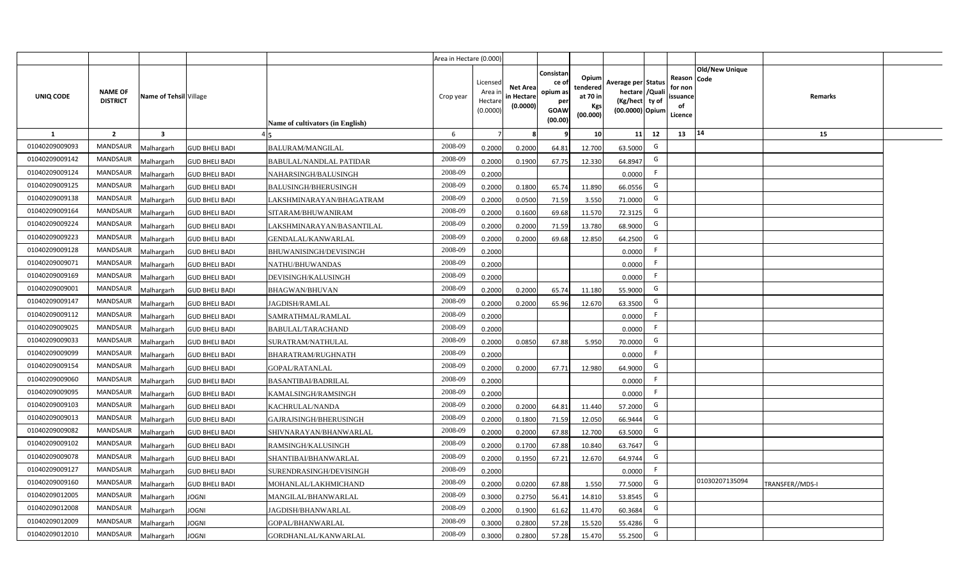|                |                                   |                         |                       |                                  | Area in Hectare (0.000) |                                            |                                           |                                                         |                                                         |                                                                            |    |                                                                              |                 |  |
|----------------|-----------------------------------|-------------------------|-----------------------|----------------------------------|-------------------------|--------------------------------------------|-------------------------------------------|---------------------------------------------------------|---------------------------------------------------------|----------------------------------------------------------------------------|----|------------------------------------------------------------------------------|-----------------|--|
| UNIQ CODE      | <b>NAME OF</b><br><b>DISTRICT</b> | Name of Tehsil Village  |                       | Name of cultivators (in English) | Crop year               | Licensed<br>Area ir<br>Hectare<br>(0.0000) | <b>Net Area</b><br>in Hectare<br>(0.0000) | Consistar<br>ce o<br>opium as<br>per<br>GOAW<br>(00.00) | Opium<br>tendered<br>at 70 in<br><b>Kgs</b><br>(00.000) | Average per Status<br>hectare / Quali<br>(Kg/hect ty of<br>(00.0000) Opium |    | <b>Old/New Unique</b><br>Reason Code<br>for non<br>issuance<br>of<br>Licence | Remarks         |  |
| 1              | $\overline{2}$                    | $\overline{\mathbf{3}}$ |                       |                                  | 6                       | 7                                          |                                           |                                                         | 10                                                      | 11                                                                         | 12 | 14<br>13                                                                     | 15              |  |
| 01040209009093 | MANDSAUR                          | <b>Aalhargarh</b>       | <b>GUD BHELI BADI</b> | <b>BALURAM/MANGILAL</b>          | 2008-09                 | 0.2000                                     | 0.2000                                    | 64.81                                                   | 12.700                                                  | 63.5000                                                                    | G  |                                                                              |                 |  |
| 01040209009142 | <b>MANDSAUR</b>                   | <b>Malhargarh</b>       | <b>GUD BHELI BADI</b> | <b>BABULAL/NANDLAL PATIDAR</b>   | 2008-09                 | 0.2000                                     | 0.1900                                    | 67.75                                                   | 12.330                                                  | 64.8947                                                                    | G  |                                                                              |                 |  |
| 01040209009124 | <b>MANDSAUR</b>                   | <b>Malhargarh</b>       | <b>GUD BHELI BADI</b> | NAHARSINGH/BALUSINGH             | 2008-09                 | 0.2000                                     |                                           |                                                         |                                                         | 0.0000                                                                     | F. |                                                                              |                 |  |
| 01040209009125 | MANDSAUR                          | <b>Malhargarh</b>       | <b>GUD BHELI BADI</b> | <b>BALUSINGH/BHERUSINGH</b>      | 2008-09                 | 0.2000                                     | 0.1800                                    | 65.74                                                   | 11.890                                                  | 66.0556                                                                    | G  |                                                                              |                 |  |
| 01040209009138 | <b>MANDSAUR</b>                   | <b>Malhargarh</b>       | <b>GUD BHELI BADI</b> | LAKSHMINARAYAN/BHAGATRAM         | 2008-09                 | 0.2000                                     | 0.0500                                    | 71.59                                                   | 3.550                                                   | 71.0000                                                                    | G  |                                                                              |                 |  |
| 01040209009164 | <b>MANDSAUR</b>                   | <b>Malhargarh</b>       | <b>GUD BHELI BADI</b> | SITARAM/BHUWANIRAM               | 2008-09                 | 0.2000                                     | 0.1600                                    | 69.68                                                   | 11.570                                                  | 72.3125                                                                    | G  |                                                                              |                 |  |
| 01040209009224 | <b>MANDSAUR</b>                   | <b>Malhargarh</b>       | <b>GUD BHELI BADI</b> | LAKSHMINARAYAN/BASANTILAL        | 2008-09                 | 0.2000                                     | 0.2000                                    | 71.59                                                   | 13.780                                                  | 68.9000                                                                    | G  |                                                                              |                 |  |
| 01040209009223 | <b>MANDSAUR</b>                   | <b>Malhargarh</b>       | <b>GUD BHELI BADI</b> | <b>GENDALAL/KANWARLAL</b>        | 2008-09                 | 0.2000                                     | 0.2000                                    | 69.68                                                   | 12.850                                                  | 64.2500                                                                    | G  |                                                                              |                 |  |
| 01040209009128 | <b>MANDSAUR</b>                   | <b>Malhargarh</b>       | <b>GUD BHELI BADI</b> | BHUWANISINGH/DEVISINGH           | 2008-09                 | 0.2000                                     |                                           |                                                         |                                                         | 0.0000                                                                     | F  |                                                                              |                 |  |
| 01040209009071 | MANDSAUR                          | <b>Malhargarh</b>       | <b>GUD BHELI BADI</b> | NATHU/BHUWANDAS                  | 2008-09                 | 0.2000                                     |                                           |                                                         |                                                         | 0.0000                                                                     | F  |                                                                              |                 |  |
| 01040209009169 | <b>MANDSAUR</b>                   | <b>Malhargarh</b>       | <b>GUD BHELI BADI</b> | DEVISINGH/KALUSINGH              | 2008-09                 | 0.2000                                     |                                           |                                                         |                                                         | 0.0000                                                                     | F  |                                                                              |                 |  |
| 01040209009001 | <b>MANDSAUR</b>                   | <b>Malhargarh</b>       | <b>GUD BHELI BADI</b> | <b>BHAGWAN/BHUVAN</b>            | 2008-09                 | 0.2000                                     | 0.2000                                    | 65.74                                                   | 11.180                                                  | 55.9000                                                                    | G  |                                                                              |                 |  |
| 01040209009147 | <b>MANDSAUR</b>                   | <b>Malhargarh</b>       | <b>GUD BHELI BADI</b> | JAGDISH/RAMLAL                   | 2008-09                 | 0.2000                                     | 0.2000                                    | 65.96                                                   | 12.670                                                  | 63.3500                                                                    | G  |                                                                              |                 |  |
| 01040209009112 | MANDSAUR                          | <b>Malhargarh</b>       | <b>GUD BHELI BADI</b> | SAMRATHMAL/RAMLAL                | 2008-09                 | 0.2000                                     |                                           |                                                         |                                                         | 0.0000                                                                     | F  |                                                                              |                 |  |
| 01040209009025 | <b>MANDSAUR</b>                   | <b>Malhargarh</b>       | <b>GUD BHELI BADI</b> | <b>BABULAL/TARACHAND</b>         | 2008-09                 | 0.2000                                     |                                           |                                                         |                                                         | 0.0000                                                                     | F. |                                                                              |                 |  |
| 01040209009033 | <b>MANDSAUR</b>                   | Malhargarh              | <b>GUD BHELI BADI</b> | SURATRAM/NATHULAL                | 2008-09                 | 0.2000                                     | 0.0850                                    | 67.88                                                   | 5.950                                                   | 70.0000                                                                    | G  |                                                                              |                 |  |
| 01040209009099 | <b>MANDSAUR</b>                   | <b>Malhargarh</b>       | <b>GUD BHELI BADI</b> | BHARATRAM/RUGHNATH               | 2008-09                 | 0.2000                                     |                                           |                                                         |                                                         | 0.0000                                                                     | F. |                                                                              |                 |  |
| 01040209009154 | <b>MANDSAUR</b>                   | <b>Malhargarh</b>       | <b>GUD BHELI BADI</b> | <b>GOPAL/RATANLAL</b>            | 2008-09                 | 0.2000                                     | 0.2000                                    | 67.71                                                   | 12.980                                                  | 64.9000                                                                    | G  |                                                                              |                 |  |
| 01040209009060 | <b>MANDSAUR</b>                   | <b>Malhargarh</b>       | <b>GUD BHELI BADI</b> | <b>BASANTIBAI/BADRILAL</b>       | 2008-09                 | 0.2000                                     |                                           |                                                         |                                                         | 0.0000                                                                     | F. |                                                                              |                 |  |
| 01040209009095 | <b>MANDSAUR</b>                   | Malhargarh              | <b>GUD BHELI BADI</b> | KAMALSINGH/RAMSINGH              | 2008-09                 | 0.2000                                     |                                           |                                                         |                                                         | 0.0000                                                                     | F. |                                                                              |                 |  |
| 01040209009103 | <b>MANDSAUR</b>                   | <b>Malhargarh</b>       | <b>GUD BHELI BADI</b> | KACHRULAL/NANDA                  | 2008-09                 | 0.2000                                     | 0.2000                                    | 64.81                                                   | 11.440                                                  | 57.2000                                                                    | G  |                                                                              |                 |  |
| 01040209009013 | <b>MANDSAUR</b>                   | <b>Malhargarh</b>       | <b>GUD BHELI BADI</b> | GAJRAJSINGH/BHERUSINGH           | 2008-09                 | 0.2000                                     | 0.1800                                    | 71.59                                                   | 12.050                                                  | 66.9444                                                                    | G  |                                                                              |                 |  |
| 01040209009082 | <b>MANDSAUR</b>                   | <b>Aalhargarh</b>       | <b>GUD BHELI BADI</b> | SHIVNARAYAN/BHANWARLAL           | 2008-09                 | 0.2000                                     | 0.2000                                    | 67.88                                                   | 12.700                                                  | 63.5000                                                                    | G  |                                                                              |                 |  |
| 01040209009102 | <b>MANDSAUR</b>                   | <b>Malhargarh</b>       | <b>GUD BHELI BADI</b> | RAMSINGH/KALUSINGH               | 2008-09                 | 0.2000                                     | 0.1700                                    | 67.88                                                   | 10.840                                                  | 63.7647                                                                    | G  |                                                                              |                 |  |
| 01040209009078 | <b>MANDSAUR</b>                   | <b>Malhargarh</b>       | <b>GUD BHELI BADI</b> | SHANTIBAI/BHANWARLAL             | 2008-09                 | 0.2000                                     | 0.1950                                    | 67.21                                                   | 12.670                                                  | 64.9744                                                                    | G  |                                                                              |                 |  |
| 01040209009127 | <b>MANDSAUR</b>                   | <b>Malhargarh</b>       | <b>GUD BHELI BADI</b> | SURENDRASINGH/DEVISINGH          | 2008-09                 | 0.2000                                     |                                           |                                                         |                                                         | 0.0000                                                                     | F  |                                                                              |                 |  |
| 01040209009160 | MANDSAUR                          | <b>Malhargarh</b>       | <b>GUD BHELI BADI</b> | MOHANLAL/LAKHMICHAND             | 2008-09                 | 0.2000                                     | 0.0200                                    | 67.88                                                   | 1.550                                                   | 77.5000                                                                    | G  | 01030207135094                                                               | TRANSFER//MDS-I |  |
| 01040209012005 | <b>MANDSAUR</b>                   | <b>Malhargarh</b>       | <b>JOGNI</b>          | MANGILAL/BHANWARLAL              | 2008-09                 | 0.3000                                     | 0.2750                                    | 56.41                                                   | 14.810                                                  | 53.8545                                                                    | G  |                                                                              |                 |  |
| 01040209012008 | <b>MANDSAUR</b>                   | <b>Malhargarh</b>       | <b>JOGNI</b>          | <b>JAGDISH/BHANWARLAL</b>        | 2008-09                 | 0.2000                                     | 0.1900                                    | 61.62                                                   | 11.470                                                  | 60.3684                                                                    | G  |                                                                              |                 |  |
| 01040209012009 | <b>MANDSAUR</b>                   | <b>Malhargarh</b>       | <b>JOGNI</b>          | GOPAL/BHANWARLAL                 | 2008-09                 | 0.3000                                     | 0.2800                                    | 57.28                                                   | 15.520                                                  | 55.4286                                                                    | G  |                                                                              |                 |  |
| 01040209012010 | <b>MANDSAUR</b>                   | Malhargarh              | <b>JOGNI</b>          | GORDHANLAL/KANWARLAL             | 2008-09                 | 0.3000                                     | 0.2800                                    | 57.28                                                   | 15.470                                                  | 55.2500                                                                    | G  |                                                                              |                 |  |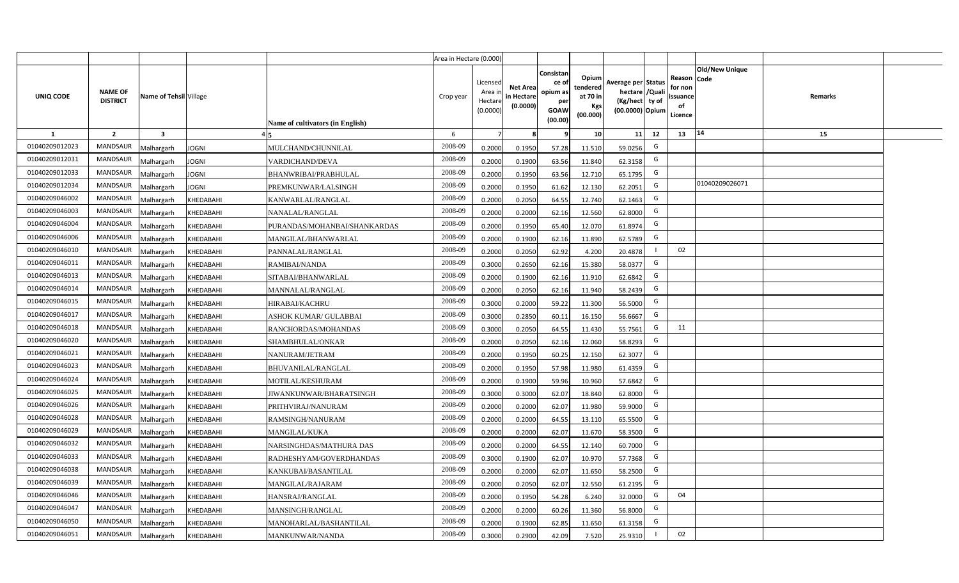|                |                                   |                         |                                           | Area in Hectare (0.000) |                                            |                                           |                                                         |                                                  |                                                                            |                |                                                     |                       |         |  |
|----------------|-----------------------------------|-------------------------|-------------------------------------------|-------------------------|--------------------------------------------|-------------------------------------------|---------------------------------------------------------|--------------------------------------------------|----------------------------------------------------------------------------|----------------|-----------------------------------------------------|-----------------------|---------|--|
| UNIQ CODE      | <b>NAME OF</b><br><b>DISTRICT</b> | Name of Tehsil Village  | Name of cultivators (in English)          | Crop year               | Licensed<br>Area ir<br>Hectare<br>(0.0000) | <b>Net Area</b><br>in Hectare<br>(0.0000) | Consistar<br>ce o<br>opium as<br>per<br>GOAW<br>(00.00) | Opium<br>tendered<br>at 70 in<br>Kgs<br>(00.000) | Average per Status<br>hectare / Quali<br>(Kg/hect ty of<br>(00.0000) Opium |                | Reason Code<br>for non<br>issuance<br>of<br>Licence | <b>Old/New Unique</b> | Remarks |  |
| 1              | $\overline{2}$                    | $\overline{\mathbf{3}}$ |                                           | 6                       | $\overline{7}$                             |                                           |                                                         | 10                                               | 11                                                                         | 12             | 13                                                  | 14                    | 15      |  |
| 01040209012023 | <b>MANDSAUR</b>                   | <b>Aalhargarh</b>       | <b>JOGNI</b><br>MULCHAND/CHUNNILAL        | 2008-09                 | 0.2000                                     | 0.1950                                    | 57.28                                                   | 11.510                                           | 59.0256                                                                    | G              |                                                     |                       |         |  |
| 01040209012031 | <b>MANDSAUR</b>                   | <b>Malhargarh</b>       | <b>JOGNI</b><br>VARDICHAND/DEVA           | 2008-09                 | 0.2000                                     | 0.1900                                    | 63.56                                                   | 11.840                                           | 62.3158                                                                    | G              |                                                     |                       |         |  |
| 01040209012033 | <b>MANDSAUR</b>                   | <b>Malhargarh</b>       | <b>JOGNI</b><br>BHANWRIBAI/PRABHULAL      | 2008-09                 | 0.2000                                     | 0.1950                                    | 63.56                                                   | 12.710                                           | 65.1795                                                                    | G              |                                                     |                       |         |  |
| 01040209012034 | <b>MANDSAUR</b>                   | <b>Malhargarh</b>       | <b>JOGNI</b><br>PREMKUNWAR/LALSINGH       | 2008-09                 | 0.2000                                     | 0.1950                                    | 61.62                                                   | 12.130                                           | 62.2051                                                                    | G              |                                                     | 01040209026071        |         |  |
| 01040209046002 | <b>MANDSAUR</b>                   | <b>Malhargarh</b>       | KHEDABAHI<br>KANWARLAL/RANGLAL            | 2008-09                 | 0.2000                                     | 0.2050                                    | 64.55                                                   | 12.740                                           | 62.1463                                                                    | G              |                                                     |                       |         |  |
| 01040209046003 | <b>MANDSAUR</b>                   | <b>Malhargarh</b>       | KHEDABAHI<br>NANALAL/RANGLAL              | 2008-09                 | 0.2000                                     | 0.2000                                    | 62.16                                                   | 12.560                                           | 62.8000                                                                    | G              |                                                     |                       |         |  |
| 01040209046004 | <b>MANDSAUR</b>                   | <b>Malhargarh</b>       | KHEDABAHI<br>PURANDAS/MOHANBAI/SHANKARDAS | 2008-09                 | 0.2000                                     | 0.1950                                    | 65.40                                                   | 12.070                                           | 61.8974                                                                    | G              |                                                     |                       |         |  |
| 01040209046006 | <b>MANDSAUR</b>                   | <b>Malhargarh</b>       | KHEDABAHI<br>MANGILAL/BHANWARLAL          | 2008-09                 | 0.2000                                     | 0.1900                                    | 62.16                                                   | 11.890                                           | 62.5789                                                                    | G              |                                                     |                       |         |  |
| 01040209046010 | <b>MANDSAUR</b>                   | <b>Malhargarh</b>       | KHEDABAHI<br>PANNALAL/RANGLAL             | 2008-09                 | 0.2000                                     | 0.2050                                    | 62.92                                                   | 4.200                                            | 20.4878                                                                    |                | 02                                                  |                       |         |  |
| 01040209046011 | <b>MANDSAUR</b>                   | <b>Malhargarh</b>       | KHEDABAHI<br>RAMIBAI/NANDA                | 2008-09                 | 0.3000                                     | 0.2650                                    | 62.16                                                   | 15.380                                           | 58.0377                                                                    | G              |                                                     |                       |         |  |
| 01040209046013 | <b>MANDSAUR</b>                   | <b>Malhargarh</b>       | KHEDABAHI<br>SITABAI/BHANWARLAL           | 2008-09                 | 0.2000                                     | 0.1900                                    | 62.16                                                   | 11.910                                           | 62.6842                                                                    | G              |                                                     |                       |         |  |
| 01040209046014 | <b>MANDSAUR</b>                   | <b>Malhargarh</b>       | KHEDABAHI<br>MANNALAL/RANGLAL             | 2008-09                 | 0.2000                                     | 0.2050                                    | 62.16                                                   | 11.940                                           | 58.2439                                                                    | G              |                                                     |                       |         |  |
| 01040209046015 | <b>MANDSAUR</b>                   | <b>Malhargarh</b>       | KHEDABAHI<br><b>HIRABAI/KACHRU</b>        | 2008-09                 | 0.3000                                     | 0.2000                                    | 59.22                                                   | 11.300                                           | 56.5000                                                                    | G              |                                                     |                       |         |  |
| 01040209046017 | <b>MANDSAUR</b>                   | <b>Malhargarh</b>       | KHEDABAHI<br>ASHOK KUMAR/ GULABBAI        | 2008-09                 | 0.3000                                     | 0.2850                                    | 60.11                                                   | 16.150                                           | 56.6667                                                                    | G              |                                                     |                       |         |  |
| 01040209046018 | MANDSAUR                          | <b>Malhargarh</b>       | KHEDABAHI<br>RANCHORDAS/MOHANDAS          | 2008-09                 | 0.3000                                     | 0.2050                                    | 64.55                                                   | 11.430                                           | 55.7561                                                                    | G              | 11                                                  |                       |         |  |
| 01040209046020 | <b>MANDSAUR</b>                   | <b>Malhargarh</b>       | KHEDABAHI<br>SHAMBHULAL/ONKAR             | 2008-09                 | 0.2000                                     | 0.2050                                    | 62.16                                                   | 12.060                                           | 58.8293                                                                    | G              |                                                     |                       |         |  |
| 01040209046021 | <b>MANDSAUR</b>                   | <b>Malhargarh</b>       | KHEDABAHI<br>NANURAM/JETRAM               | 2008-09                 | 0.2000                                     | 0.1950                                    | 60.25                                                   | 12.150                                           | 62.3077                                                                    | G              |                                                     |                       |         |  |
| 01040209046023 | <b>MANDSAUR</b>                   | Malhargarh              | KHEDABAHI<br><b>BHUVANILAL/RANGLAL</b>    | 2008-09                 | 0.2000                                     | 0.1950                                    | 57.98                                                   | 11.980                                           | 61.4359                                                                    | G              |                                                     |                       |         |  |
| 01040209046024 | <b>MANDSAUR</b>                   | <b>Malhargarh</b>       | KHEDABAHI<br>MOTILAL/KESHURAM             | 2008-09                 | 0.2000                                     | 0.1900                                    | 59.96                                                   | 10.960                                           | 57.6842                                                                    | G              |                                                     |                       |         |  |
| 01040209046025 | <b>MANDSAUR</b>                   | <b>Malhargarh</b>       | KHEDABAHI<br>JIWANKUNWAR/BHARATSINGH      | 2008-09                 | 0.3000                                     | 0.3000                                    | 62.07                                                   | 18.840                                           | 62.8000                                                                    | G              |                                                     |                       |         |  |
| 01040209046026 | <b>MANDSAUR</b>                   | <b>Malhargarh</b>       | KHEDABAHI<br>PRITHVIRAJ/NANURAM           | 2008-09                 | 0.2000                                     | 0.2000                                    | 62.07                                                   | 11.980                                           | 59.9000                                                                    | G              |                                                     |                       |         |  |
| 01040209046028 | MANDSAUR                          | <b>Malhargarh</b>       | KHEDABAHI<br>RAMSINGH/NANURAM             | 2008-09                 | 0.2000                                     | 0.2000                                    | 64.55                                                   | 13.110                                           | 65.5500                                                                    | G              |                                                     |                       |         |  |
| 01040209046029 | <b>MANDSAUR</b>                   | <b>Malhargarh</b>       | KHEDABAHI<br><b>MANGILAL/KUKA</b>         | 2008-09                 | 0.2000                                     | 0.2000                                    | 62.07                                                   | 11.670                                           | 58.3500                                                                    | G              |                                                     |                       |         |  |
| 01040209046032 | <b>MANDSAUR</b>                   | <b>Malhargarh</b>       | KHEDABAHI<br>NARSINGHDAS/MATHURA DAS      | 2008-09                 | 0.2000                                     | 0.2000                                    | 64.55                                                   | 12.140                                           | 60.7000                                                                    | G              |                                                     |                       |         |  |
| 01040209046033 | <b>MANDSAUR</b>                   | <b>Aalhargarh</b>       | KHEDABAHI<br>RADHESHYAM/GOVERDHANDAS      | 2008-09                 | 0.3000                                     | 0.1900                                    | 62.07                                                   | 10.970                                           | 57.7368                                                                    | G              |                                                     |                       |         |  |
| 01040209046038 | <b>MANDSAUR</b>                   | <b>Malhargarh</b>       | KHEDABAHI<br>KANKUBAI/BASANTILAL          | 2008-09                 | 0.2000                                     | 0.2000                                    | 62.07                                                   | 11.650                                           | 58.2500                                                                    | G              |                                                     |                       |         |  |
| 01040209046039 | <b>MANDSAUR</b>                   | <b>Malhargarh</b>       | KHEDABAHI<br>MANGILAL/RAJARAM             | 2008-09                 | 0.2000                                     | 0.2050                                    | 62.07                                                   | 12.550                                           | 61.2195                                                                    | G              |                                                     |                       |         |  |
| 01040209046046 | <b>MANDSAUR</b>                   | <b>Malhargarh</b>       | KHEDABAHI<br>HANSRAJ/RANGLAL              | 2008-09                 | 0.2000                                     | 0.1950                                    | 54.28                                                   | 6.240                                            | 32.0000                                                                    | G              | 04                                                  |                       |         |  |
| 01040209046047 | <b>MANDSAUR</b>                   | <b>Malhargarh</b>       | MANSINGH/RANGLAL<br>KHEDABAHI             | 2008-09                 | 0.2000                                     | 0.2000                                    | 60.26                                                   | 11.360                                           | 56.8000                                                                    | G              |                                                     |                       |         |  |
| 01040209046050 | <b>MANDSAUR</b>                   | <b>Malhargarh</b>       | KHEDABAHI<br>MANOHARLAL/BASHANTILAL       | 2008-09                 | 0.2000                                     | 0.1900                                    | 62.85                                                   | 11.650                                           | 61.3158                                                                    | G              |                                                     |                       |         |  |
| 01040209046051 | <b>MANDSAUR</b>                   | Malhargarh              | KHEDABAHI<br>MANKUNWAR/NANDA              | 2008-09                 | 0.3000                                     | 0.2900                                    | 42.09                                                   | 7.520                                            | 25.9310                                                                    | $\blacksquare$ | 02                                                  |                       |         |  |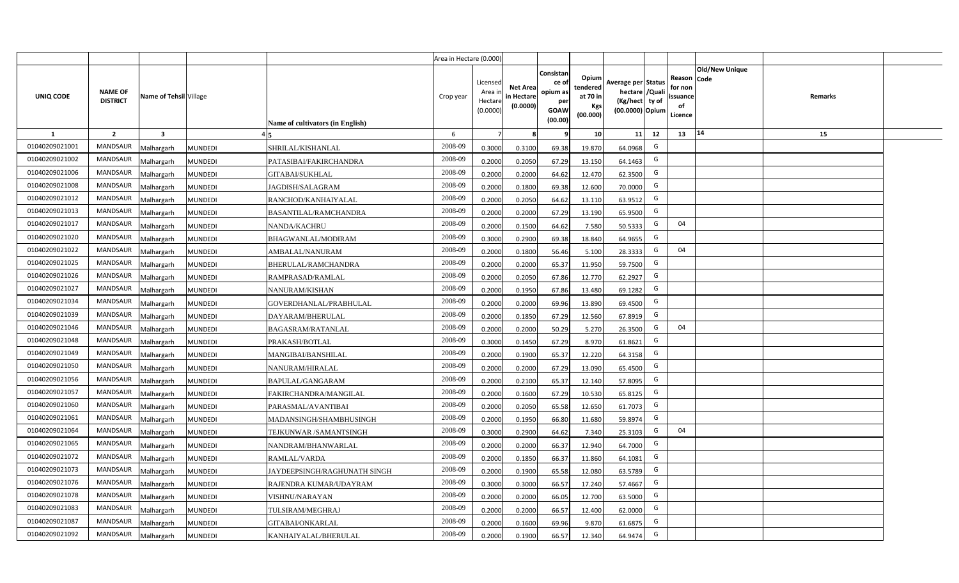|                |                                   |                         |                                                | Area in Hectare (0.000) |                                            |                                           |                                                                |                                                  |                                                                            |    |                                                                                    |         |  |
|----------------|-----------------------------------|-------------------------|------------------------------------------------|-------------------------|--------------------------------------------|-------------------------------------------|----------------------------------------------------------------|--------------------------------------------------|----------------------------------------------------------------------------|----|------------------------------------------------------------------------------------|---------|--|
| UNIQ CODE      | <b>NAME OF</b><br><b>DISTRICT</b> | Name of Tehsil Village  | Name of cultivators (in English)               | Crop year               | Licensed<br>Area in<br>Hectare<br>(0.0000) | <b>Net Area</b><br>in Hectare<br>(0.0000) | Consistan<br>ce o<br>opium as<br>per<br><b>GOAW</b><br>(00.00) | Opium<br>tendered<br>at 70 in<br>Kgs<br>(00.000) | Average per Status<br>hectare / Quali<br>(Kg/hect ty of<br>(00.0000) Opium |    | <b>Old/New Unique</b><br>Reason Code<br>for non<br><b>ssuance</b><br>of<br>Licence | Remarks |  |
| $\mathbf{1}$   | $\overline{2}$                    | $\overline{\mathbf{3}}$ |                                                | 6                       | $\overline{7}$                             | -8                                        | ٩                                                              | 10                                               | 11                                                                         | 12 | 14<br>13                                                                           | 15      |  |
| 01040209021001 | MANDSAUR                          | <b>Malhargarh</b>       | <b>MUNDEDI</b><br>SHRILAL/KISHANLAL            | 2008-09                 | 0.3000                                     | 0.3100                                    | 69.38                                                          | 19.870                                           | 64.0968                                                                    | G  |                                                                                    |         |  |
| 01040209021002 | <b>MANDSAUR</b>                   | <b>Malhargarh</b>       | MUNDEDI<br>PATASIBAI/FAKIRCHANDRA              | 2008-09                 | 0.2000                                     | 0.2050                                    | 67.29                                                          | 13.150                                           | 64.1463                                                                    | G  |                                                                                    |         |  |
| 01040209021006 | <b>MANDSAUR</b>                   | <b>Malhargarh</b>       | <b>MUNDEDI</b><br><b>GITABAI/SUKHLAL</b>       | 2008-09                 | 0.2000                                     | 0.2000                                    | 64.62                                                          | 12.470                                           | 62.3500                                                                    | G  |                                                                                    |         |  |
| 01040209021008 | <b>MANDSAUR</b>                   | <b>Malhargarh</b>       | <b>MUNDEDI</b><br><b>JAGDISH/SALAGRAM</b>      | 2008-09                 | 0.2000                                     | 0.1800                                    | 69.38                                                          | 12.600                                           | 70.0000                                                                    | G  |                                                                                    |         |  |
| 01040209021012 | <b>MANDSAUR</b>                   | <b>Malhargarh</b>       | MUNDEDI<br>RANCHOD/KANHAIYALAL                 | 2008-09                 | 0.2000                                     | 0.2050                                    | 64.62                                                          | 13.110                                           | 63.9512                                                                    | G  |                                                                                    |         |  |
| 01040209021013 | <b>MANDSAUR</b>                   | <b>Malhargarh</b>       | <b>MUNDEDI</b><br><b>BASANTILAL/RAMCHANDRA</b> | 2008-09                 | 0.2000                                     | 0.2000                                    | 67.29                                                          | 13.190                                           | 65.9500                                                                    | G  |                                                                                    |         |  |
| 01040209021017 | <b>MANDSAUR</b>                   | <b>Malhargarh</b>       | <b>MUNDEDI</b><br>NANDA/KACHRU                 | 2008-09                 | 0.2000                                     | 0.1500                                    | 64.62                                                          | 7.580                                            | 50.5333                                                                    | G  | 04                                                                                 |         |  |
| 01040209021020 | <b>MANDSAUR</b>                   | <b>Malhargarh</b>       | <b>MUNDEDI</b><br>BHAGWANLAL/MODIRAM           | 2008-09                 | 0.3000                                     | 0.2900                                    | 69.38                                                          | 18.840                                           | 64.9655                                                                    | G  |                                                                                    |         |  |
| 01040209021022 | <b>MANDSAUR</b>                   | <b>Malhargarh</b>       | <b>MUNDEDI</b><br>AMBALAL/NANURAM              | 2008-09                 | 0.2000                                     | 0.1800                                    | 56.46                                                          | 5.100                                            | 28.3333                                                                    | G  | 04                                                                                 |         |  |
| 01040209021025 | MANDSAUR                          | <b>Malhargarh</b>       | MUNDEDI<br>BHERULAL/RAMCHANDRA                 | 2008-09                 | 0.2000                                     | 0.2000                                    | 65.37                                                          | 11.950                                           | 59.7500                                                                    | G  |                                                                                    |         |  |
| 01040209021026 | <b>MANDSAUR</b>                   | <b>Malhargarh</b>       | <b>MUNDEDI</b><br>RAMPRASAD/RAMLAL             | 2008-09                 | 0.2000                                     | 0.2050                                    | 67.86                                                          | 12.770                                           | 62.2927                                                                    | G  |                                                                                    |         |  |
| 01040209021027 | <b>MANDSAUR</b>                   | <b>Malhargarh</b>       | <b>MUNDEDI</b><br>NANURAM/KISHAN               | 2008-09                 | 0.2000                                     | 0.1950                                    | 67.86                                                          | 13.480                                           | 69.1282                                                                    | G  |                                                                                    |         |  |
| 01040209021034 | <b>MANDSAUR</b>                   | <b>Malhargarh</b>       | MUNDEDI<br>GOVERDHANLAL/PRABHULAL              | 2008-09                 | 0.2000                                     | 0.2000                                    | 69.96                                                          | 13.890                                           | 69.4500                                                                    | G  |                                                                                    |         |  |
| 01040209021039 | <b>MANDSAUR</b>                   | Malhargarh              | <b>MUNDEDI</b><br>DAYARAM/BHERULAL             | 2008-09                 | 0.2000                                     | 0.1850                                    | 67.29                                                          | 12.560                                           | 67.8919                                                                    | G  |                                                                                    |         |  |
| 01040209021046 | <b>MANDSAUR</b>                   | Malhargarh              | <b>MUNDEDI</b><br>BAGASRAM/RATANLAL            | 2008-09                 | 0.2000                                     | 0.2000                                    | 50.29                                                          | 5.270                                            | 26.3500                                                                    | G  | 04                                                                                 |         |  |
| 01040209021048 | MANDSAUR                          | Malhargarh              | MUNDEDI<br>PRAKASH/BOTLAL                      | 2008-09                 | 0.3000                                     | 0.1450                                    | 67.29                                                          | 8.970                                            | 61.8621                                                                    | G  |                                                                                    |         |  |
| 01040209021049 | <b>MANDSAUR</b>                   | <b>Malhargarh</b>       | MUNDEDI<br>MANGIBAI/BANSHILAL                  | 2008-09                 | 0.2000                                     | 0.1900                                    | 65.37                                                          | 12.220                                           | 64.3158                                                                    | G  |                                                                                    |         |  |
| 01040209021050 | MANDSAUR                          | <b>Malhargarh</b>       | MUNDEDI<br>NANURAM/HIRALAL                     | 2008-09                 | 0.2000                                     | 0.2000                                    | 67.29                                                          | 13.090                                           | 65.4500                                                                    | G  |                                                                                    |         |  |
| 01040209021056 | <b>MANDSAUR</b>                   | <b>Malhargarh</b>       | MUNDEDI<br>BAPULAL/GANGARAM                    | 2008-09                 | 0.2000                                     | 0.2100                                    | 65.37                                                          | 12.140                                           | 57.8095                                                                    | G  |                                                                                    |         |  |
| 01040209021057 | <b>MANDSAUR</b>                   | Malhargarh              | <b>MUNDEDI</b><br>FAKIRCHANDRA/MANGILAL        | 2008-09                 | 0.2000                                     | 0.1600                                    | 67.29                                                          | 10.530                                           | 65.812                                                                     | G  |                                                                                    |         |  |
| 01040209021060 | MANDSAUR                          | <b>Malhargarh</b>       | <b>MUNDEDI</b><br>PARASMAL/AVANTIBAI           | 2008-09                 | 0.2000                                     | 0.2050                                    | 65.58                                                          | 12.650                                           | 61.7073                                                                    | G  |                                                                                    |         |  |
| 01040209021061 | MANDSAUR                          | <b>Malhargarh</b>       | <b>MUNDEDI</b><br>MADANSINGH/SHAMBHUSINGH      | 2008-09                 | 0.2000                                     | 0.1950                                    | 66.80                                                          | 11.680                                           | 59.8974                                                                    | G  |                                                                                    |         |  |
| 01040209021064 | <b>MANDSAUR</b>                   | <i>A</i> alhargarh      | MUNDEDI<br>TEJKUNWAR /SAMANTSINGH              | 2008-09                 | 0.3000                                     | 0.2900                                    | 64.62                                                          | 7.340                                            | 25.3103                                                                    | G  | 04                                                                                 |         |  |
| 01040209021065 | <b>MANDSAUR</b>                   | <b>Malhargarh</b>       | <b>MUNDEDI</b><br>NANDRAM/BHANWARLAL           | 2008-09                 | 0.2000                                     | 0.2000                                    | 66.37                                                          | 12.940                                           | 64.7000                                                                    | G  |                                                                                    |         |  |
| 01040209021072 | <b>MANDSAUR</b>                   | <b>Malhargarh</b>       | <b>MUNDEDI</b><br>RAMLAL/VARDA                 | 2008-09                 | 0.2000                                     | 0.1850                                    | 66.37                                                          | 11.860                                           | 64.1081                                                                    | G  |                                                                                    |         |  |
| 01040209021073 | MANDSAUR                          | <b>Malhargarh</b>       | <b>MUNDEDI</b><br>JAYDEEPSINGH/RAGHUNATH SINGH | 2008-09                 | 0.2000                                     | 0.1900                                    | 65.58                                                          | 12.080                                           | 63.5789                                                                    | G  |                                                                                    |         |  |
| 01040209021076 | <b>MANDSAUR</b>                   | <b>Malhargarh</b>       | <b>MUNDEDI</b><br>RAJENDRA KUMAR/UDAYRAM       | 2008-09                 | 0.3000                                     | 0.3000                                    | 66.57                                                          | 17.240                                           | 57.4667                                                                    | G  |                                                                                    |         |  |
| 01040209021078 | <b>MANDSAUR</b>                   | <b>Malhargarh</b>       | <b>MUNDEDI</b><br>VISHNU/NARAYAN               | 2008-09                 | 0.2000                                     | 0.2000                                    | 66.05                                                          | 12.700                                           | 63.5000                                                                    | G  |                                                                                    |         |  |
| 01040209021083 | <b>MANDSAUR</b>                   | <b>Malhargarh</b>       | <b>MUNDEDI</b><br><b>TULSIRAM/MEGHRAJ</b>      | 2008-09                 | 0.2000                                     | 0.2000                                    | 66.57                                                          | 12.400                                           | 62.0000                                                                    | G  |                                                                                    |         |  |
| 01040209021087 | <b>MANDSAUR</b>                   | <b>Malhargarh</b>       | <b>MUNDEDI</b><br>GITABAI/ONKARLAL             | 2008-09                 | 0.2000                                     | 0.1600                                    | 69.96                                                          | 9.870                                            | 61.6875                                                                    | G  |                                                                                    |         |  |
| 01040209021092 | MANDSAUR                          | Malhargarh              | <b>MUNDEDI</b><br>KANHAIYALAL/BHERULAL         | 2008-09                 | 0.2000                                     | 0.1900                                    | 66.57                                                          | 12.340                                           | 64.9474                                                                    | G  |                                                                                    |         |  |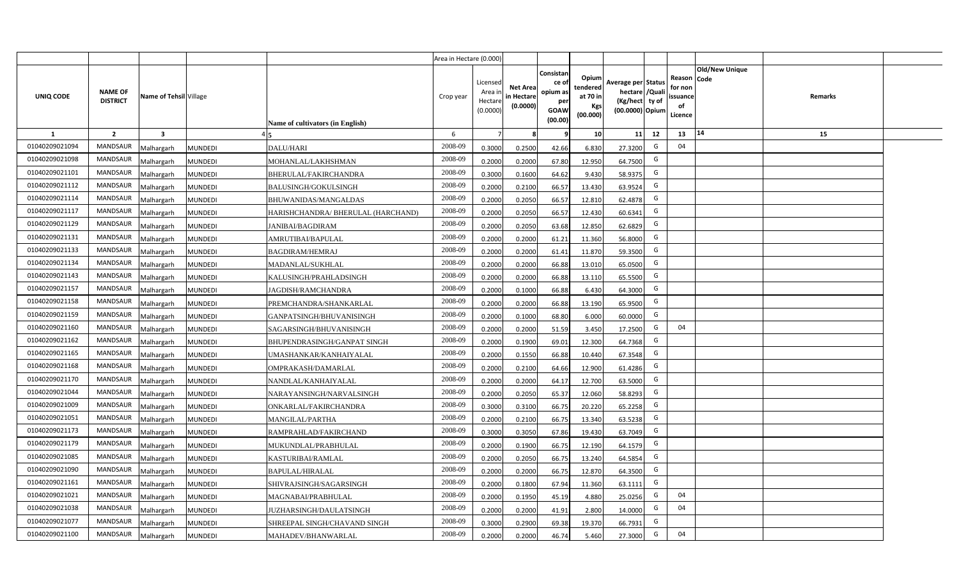|                |                                   |                         |                                                      | Area in Hectare (0.000) |                                            |                                           |                                                                |                                                  |                                                                            |    |                                                                             |         |  |
|----------------|-----------------------------------|-------------------------|------------------------------------------------------|-------------------------|--------------------------------------------|-------------------------------------------|----------------------------------------------------------------|--------------------------------------------------|----------------------------------------------------------------------------|----|-----------------------------------------------------------------------------|---------|--|
| UNIQ CODE      | <b>NAME OF</b><br><b>DISTRICT</b> | Name of Tehsil Village  | Name of cultivators (in English)                     | Crop year               | Licensed<br>Area in<br>Hectare<br>(0.0000) | <b>Net Area</b><br>in Hectare<br>(0.0000) | Consistan<br>ce o<br>opium as<br>per<br><b>GOAW</b><br>(00.00) | Opium<br>tendered<br>at 70 in<br>Kgs<br>(00.000) | Average per Status<br>hectare / Quali<br>(Kg/hect ty of<br>(00.0000) Opium |    | <b>Old/New Unique</b><br>Reason Code<br>for non<br>ssuance<br>of<br>Licence | Remarks |  |
| $\mathbf{1}$   | $\overline{2}$                    | $\overline{\mathbf{3}}$ |                                                      | 6                       | $\overline{7}$                             | -8                                        | 9                                                              | 10                                               | 11                                                                         | 12 | 14<br>13                                                                    | 15      |  |
| 01040209021094 | MANDSAUR                          | <b>Malhargarh</b>       | MUNDEDI<br>DALU/HARI                                 | 2008-09                 | 0.3000                                     | 0.2500                                    | 42.66                                                          | 6.830                                            | 27.3200                                                                    | G  | 04                                                                          |         |  |
| 01040209021098 | <b>MANDSAUR</b>                   | <b>Malhargarh</b>       | MUNDEDI<br>MOHANLAL/LAKHSHMAN                        | 2008-09                 | 0.2000                                     | 0.2000                                    | 67.80                                                          | 12.950                                           | 64.7500                                                                    | G  |                                                                             |         |  |
| 01040209021101 | <b>MANDSAUR</b>                   | <b>Malhargarh</b>       | <b>MUNDEDI</b><br><b>BHERULAL/FAKIRCHANDRA</b>       | 2008-09                 | 0.3000                                     | 0.1600                                    | 64.62                                                          | 9.430                                            | 58.9375                                                                    | G  |                                                                             |         |  |
| 01040209021112 | <b>MANDSAUR</b>                   | <b>Malhargarh</b>       | <b>MUNDEDI</b><br><b>BALUSINGH/GOKULSINGH</b>        | 2008-09                 | 0.2000                                     | 0.2100                                    | 66.57                                                          | 13.430                                           | 63.9524                                                                    | G  |                                                                             |         |  |
| 01040209021114 | <b>MANDSAUR</b>                   | <b>Malhargarh</b>       | MUNDEDI<br><b>BHUWANIDAS/MANGALDAS</b>               | 2008-09                 | 0.2000                                     | 0.2050                                    | 66.57                                                          | 12.810                                           | 62.4878                                                                    | G  |                                                                             |         |  |
| 01040209021117 | <b>MANDSAUR</b>                   | <b>Malhargarh</b>       | <b>MUNDEDI</b><br>HARISHCHANDRA/ BHERULAL (HARCHAND) | 2008-09                 | 0.2000                                     | 0.2050                                    | 66.57                                                          | 12.430                                           | 60.6341                                                                    | G  |                                                                             |         |  |
| 01040209021129 | <b>MANDSAUR</b>                   | <b>Malhargarh</b>       | <b>MUNDEDI</b><br><b>JANIBAI/BAGDIRAM</b>            | 2008-09                 | 0.2000                                     | 0.2050                                    | 63.68                                                          | 12.850                                           | 62.6829                                                                    | G  |                                                                             |         |  |
| 01040209021131 | <b>MANDSAUR</b>                   | <b>Malhargarh</b>       | <b>MUNDEDI</b><br>AMRUTIBAI/BAPULAL                  | 2008-09                 | 0.2000                                     | 0.2000                                    | 61.21                                                          | 11.360                                           | 56.8000                                                                    | G  |                                                                             |         |  |
| 01040209021133 | <b>MANDSAUR</b>                   | <b>Malhargarh</b>       | <b>MUNDEDI</b><br><b>BAGDIRAM/HEMRAJ</b>             | 2008-09                 | 0.2000                                     | 0.2000                                    | 61.41                                                          | 11.870                                           | 59.3500                                                                    | G  |                                                                             |         |  |
| 01040209021134 | <b>MANDSAUR</b>                   | <b>Malhargarh</b>       | MUNDEDI<br>MADANLAL/SUKHLAL                          | 2008-09                 | 0.2000                                     | 0.2000                                    | 66.88                                                          | 13.010                                           | 65.0500                                                                    | G  |                                                                             |         |  |
| 01040209021143 | <b>MANDSAUR</b>                   | <b>Malhargarh</b>       | <b>MUNDEDI</b><br>KALUSINGH/PRAHLADSINGH             | 2008-09                 | 0.2000                                     | 0.2000                                    | 66.88                                                          | 13.110                                           | 65.5500                                                                    | G  |                                                                             |         |  |
| 01040209021157 | <b>MANDSAUR</b>                   | <b>Malhargarh</b>       | <b>MUNDEDI</b><br>IAGDISH/RAMCHANDRA                 | 2008-09                 | 0.2000                                     | 0.1000                                    | 66.88                                                          | 6.430                                            | 64.3000                                                                    | G  |                                                                             |         |  |
| 01040209021158 | <b>MANDSAUR</b>                   | <b>Malhargarh</b>       | MUNDEDI<br>PREMCHANDRA/SHANKARLAL                    | 2008-09                 | 0.2000                                     | 0.2000                                    | 66.88                                                          | 13.190                                           | 65.9500                                                                    | G  |                                                                             |         |  |
| 01040209021159 | <b>MANDSAUR</b>                   | Malhargarh              | MUNDEDI<br>GANPATSINGH/BHUVANISINGH                  | 2008-09                 | 0.2000                                     | 0.1000                                    | 68.80                                                          | 6.000                                            | 60.0000                                                                    | G  |                                                                             |         |  |
| 01040209021160 | MANDSAUR                          | Malhargarh              | MUNDEDI<br>SAGARSINGH/BHUVANISINGH                   | 2008-09                 | 0.2000                                     | 0.2000                                    | 51.59                                                          | 3.450                                            | 17.2500                                                                    | G  | 04                                                                          |         |  |
| 01040209021162 | MANDSAUR                          | Malhargarh              | MUNDEDI<br>BHUPENDRASINGH/GANPAT SINGH               | 2008-09                 | 0.2000                                     | 0.1900                                    | 69.01                                                          | 12.300                                           | 64.7368                                                                    | G  |                                                                             |         |  |
| 01040209021165 | <b>MANDSAUR</b>                   | <b>Malhargarh</b>       | MUNDEDI<br>UMASHANKAR/KANHAIYALAL                    | 2008-09                 | 0.2000                                     | 0.1550                                    | 66.88                                                          | 10.440                                           | 67.3548                                                                    | G  |                                                                             |         |  |
| 01040209021168 | MANDSAUR                          | <b>Malhargarh</b>       | MUNDEDI<br>OMPRAKASH/DAMARLAL                        | 2008-09                 | 0.2000                                     | 0.2100                                    | 64.66                                                          | 12.900                                           | 61.4286                                                                    | G  |                                                                             |         |  |
| 01040209021170 | <b>MANDSAUR</b>                   | <b>Malhargarh</b>       | MUNDEDI<br>NANDLAL/KANHAIYALAL                       | 2008-09                 | 0.2000                                     | 0.2000                                    | 64.17                                                          | 12.700                                           | 63.5000                                                                    | G  |                                                                             |         |  |
| 01040209021044 | <b>MANDSAUR</b>                   | Malhargarh              | <b>MUNDEDI</b><br>NARAYANSINGH/NARVALSINGH           | 2008-09                 | 0.2000                                     | 0.2050                                    | 65.37                                                          | 12.060                                           | 58.8293                                                                    | G  |                                                                             |         |  |
| 01040209021009 | MANDSAUR                          | <b>Malhargarh</b>       | <b>MUNDEDI</b><br>ONKARLAL/FAKIRCHANDRA              | 2008-09                 | 0.3000                                     | 0.3100                                    | 66.75                                                          | 20.220                                           | 65.2258                                                                    | G  |                                                                             |         |  |
| 01040209021051 | MANDSAUR                          | <b>Malhargarh</b>       | <b>MUNDEDI</b><br><b>MANGILAL/PARTHA</b>             | 2008-09                 | 0.2000                                     | 0.2100                                    | 66.75                                                          | 13.340                                           | 63.5238                                                                    | G  |                                                                             |         |  |
| 01040209021173 | <b>MANDSAUR</b>                   | <i>A</i> alhargarh      | MUNDEDI<br>RAMPRAHLAD/FAKIRCHAND                     | 2008-09                 | 0.3000                                     | 0.3050                                    | 67.86                                                          | 19.430                                           | 63.7049                                                                    | G  |                                                                             |         |  |
| 01040209021179 | <b>MANDSAUR</b>                   | <b>Malhargarh</b>       | MUNDEDI<br>MUKUNDLAL/PRABHULAL                       | 2008-09                 | 0.2000                                     | 0.1900                                    | 66.75                                                          | 12.190                                           | 64.1579                                                                    | G  |                                                                             |         |  |
| 01040209021085 | <b>MANDSAUR</b>                   | <b>Malhargarh</b>       | MUNDEDI<br>KASTURIBAI/RAMLAL                         | 2008-09                 | 0.2000                                     | 0.2050                                    | 66.75                                                          | 13.240                                           | 64.5854                                                                    | G  |                                                                             |         |  |
| 01040209021090 | MANDSAUR                          | <b>Malhargarh</b>       | <b>MUNDEDI</b><br><b>BAPULAL/HIRALAL</b>             | 2008-09                 | 0.2000                                     | 0.2000                                    | 66.75                                                          | 12.870                                           | 64.3500                                                                    | G  |                                                                             |         |  |
| 01040209021161 | <b>MANDSAUR</b>                   | <b>Malhargarh</b>       | <b>MUNDEDI</b><br>SHIVRAJSINGH/SAGARSINGH            | 2008-09                 | 0.2000                                     | 0.1800                                    | 67.94                                                          | 11.360                                           | 63.1111                                                                    | G  |                                                                             |         |  |
| 01040209021021 | <b>MANDSAUR</b>                   | <b>Malhargarh</b>       | <b>MUNDEDI</b><br>MAGNABAI/PRABHULAL                 | 2008-09                 | 0.2000                                     | 0.1950                                    | 45.19                                                          | 4.880                                            | 25.0256                                                                    | G  | 04                                                                          |         |  |
| 01040209021038 | <b>MANDSAUR</b>                   | <b>Malhargarh</b>       | <b>MUNDEDI</b><br><b>JUZHARSINGH/DAULATSINGH</b>     | 2008-09                 | 0.2000                                     | 0.2000                                    | 41.91                                                          | 2.800                                            | 14.0000                                                                    | G  | 04                                                                          |         |  |
| 01040209021077 | <b>MANDSAUR</b>                   | <b>Malhargarh</b>       | <b>MUNDEDI</b><br>SHREEPAL SINGH/CHAVAND SINGH       | 2008-09                 | 0.3000                                     | 0.2900                                    | 69.38                                                          | 19.370                                           | 66.7931                                                                    | G  |                                                                             |         |  |
| 01040209021100 | MANDSAUR                          | Malhargarh              | <b>MUNDEDI</b><br>MAHADEV/BHANWARLAL                 | 2008-09                 | 0.2000                                     | 0.2000                                    | 46.74                                                          | 5.460                                            | 27.3000                                                                    | G  | 04                                                                          |         |  |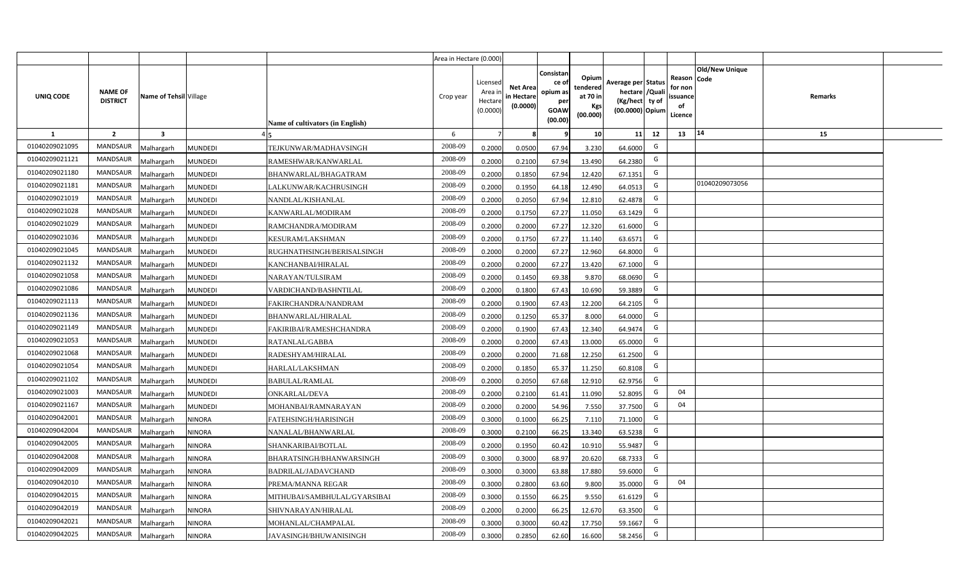|                |                                   |                         |                |                                  | Area in Hectare (0.000) |                                          |                                           |                                                         |                                                         |                                                                           |    |                                                     |                       |         |  |
|----------------|-----------------------------------|-------------------------|----------------|----------------------------------|-------------------------|------------------------------------------|-------------------------------------------|---------------------------------------------------------|---------------------------------------------------------|---------------------------------------------------------------------------|----|-----------------------------------------------------|-----------------------|---------|--|
| UNIQ CODE      | <b>NAME OF</b><br><b>DISTRICT</b> | Name of Tehsil Village  |                | Name of cultivators (in English) | Crop year               | Licensed<br>Area i<br>Hectar<br>(0.0000) | <b>Net Area</b><br>in Hectare<br>(0.0000) | Consistan<br>ce o<br>opium as<br>per<br>GOAW<br>(00.00) | Opium<br>tendered<br>at 70 in<br><b>Kgs</b><br>(00.000) | Average per Status<br>hectare / Qual<br>(Kg/hect ty of<br>(00.0000) Opium |    | Reason Code<br>for nor<br>issuance<br>of<br>Licence | <b>Old/New Unique</b> | Remarks |  |
| 1              | $\overline{2}$                    | $\overline{\mathbf{3}}$ |                |                                  | 6                       |                                          |                                           |                                                         | 10 <sup>1</sup>                                         | 11                                                                        | 12 | 13                                                  | $ 14\rangle$          | 15      |  |
| 01040209021095 | <b>MANDSAUR</b>                   | Malhargarh              | <b>MUNDEDI</b> | TEJKUNWAR/MADHAVSINGH            | 2008-09                 | 0.2000                                   | 0.0500                                    | 67.94                                                   | 3.230                                                   | 64.6000                                                                   | G  |                                                     |                       |         |  |
| 01040209021121 | <b>MANDSAUR</b>                   | Malhargarh              | <b>MUNDEDI</b> | RAMESHWAR/KANWARLAL              | 2008-09                 | 0.2000                                   | 0.2100                                    | 67.94                                                   | 13.490                                                  | 64.2380                                                                   | G  |                                                     |                       |         |  |
| 01040209021180 | <b>MANDSAUR</b>                   | Malhargarh              | <b>MUNDEDI</b> | BHANWARLAL/BHAGATRAM             | 2008-09                 | 0.2000                                   | 0.1850                                    | 67.94                                                   | 12.420                                                  | 67.1351                                                                   | G  |                                                     |                       |         |  |
| 01040209021181 | <b>MANDSAUR</b>                   | Malhargarh              | <b>MUNDEDI</b> | LALKUNWAR/KACHRUSINGH            | 2008-09                 | 0.2000                                   | 0.1950                                    | 64.18                                                   | 12.490                                                  | 64.0513                                                                   | G  |                                                     | 01040209073056        |         |  |
| 01040209021019 | <b>MANDSAUR</b>                   | Malhargarh              | <b>MUNDEDI</b> | NANDLAL/KISHANLAL                | 2008-09                 | 0.2000                                   | 0.2050                                    | 67.94                                                   | 12.810                                                  | 62.4878                                                                   | G  |                                                     |                       |         |  |
| 01040209021028 | <b>MANDSAUR</b>                   | Malhargarh              | <b>MUNDEDI</b> | KANWARLAL/MODIRAM                | 2008-09                 | 0.200                                    | 0.1750                                    | 67.27                                                   | 11.050                                                  | 63.1429                                                                   | G  |                                                     |                       |         |  |
| 01040209021029 | <b>MANDSAUR</b>                   | Malhargarh              | <b>MUNDEDI</b> | RAMCHANDRA/MODIRAM               | 2008-09                 | 0.200                                    | 0.2000                                    | 67.27                                                   | 12.320                                                  | 61.6000                                                                   | G  |                                                     |                       |         |  |
| 01040209021036 | <b>MANDSAUR</b>                   | Malhargarh              | <b>MUNDEDI</b> | KESURAM/LAKSHMAN                 | 2008-09                 | 0.200                                    | 0.1750                                    | 67.27                                                   | 11.140                                                  | 63.6571                                                                   | G  |                                                     |                       |         |  |
| 01040209021045 | MANDSAUR                          | Malhargarh              | <b>MUNDEDI</b> | RUGHNATHSINGH/BERISALSINGH       | 2008-09                 | 0.2000                                   | 0.2000                                    | 67.27                                                   | 12.960                                                  | 64.8000                                                                   | G  |                                                     |                       |         |  |
| 01040209021132 | <b>MANDSAUR</b>                   | Malhargarh              | <b>MUNDEDI</b> | KANCHANBAI/HIRALAL               | 2008-09                 | 0.2000                                   | 0.2000                                    | 67.27                                                   | 13.420                                                  | 67.1000                                                                   | G  |                                                     |                       |         |  |
| 01040209021058 | MANDSAUR                          | Malhargarh              | <b>MUNDEDI</b> | NARAYAN/TULSIRAM                 | 2008-09                 | 0.2000                                   | 0.1450                                    | 69.38                                                   | 9.870                                                   | 68.0690                                                                   | G  |                                                     |                       |         |  |
| 01040209021086 | <b>MANDSAUR</b>                   | Malhargarh              | <b>MUNDEDI</b> | VARDICHAND/BASHNTILAL            | 2008-09                 | 0.2000                                   | 0.1800                                    | 67.43                                                   | 10.690                                                  | 59.3889                                                                   | G  |                                                     |                       |         |  |
| 01040209021113 | <b>MANDSAUR</b>                   | Malhargarh              | <b>MUNDEDI</b> | FAKIRCHANDRA/NANDRAM             | 2008-09                 | 0.2000                                   | 0.1900                                    | 67.43                                                   | 12.200                                                  | 64.2105                                                                   | G  |                                                     |                       |         |  |
| 01040209021136 | <b>MANDSAUR</b>                   | Malhargarh              | <b>MUNDEDI</b> | BHANWARLAL/HIRALAL               | 2008-09                 | 0.2000                                   | 0.1250                                    | 65.37                                                   | 8.000                                                   | 64.0000                                                                   | G  |                                                     |                       |         |  |
| 01040209021149 | <b>MANDSAUR</b>                   | Malhargarh              | <b>MUNDEDI</b> | FAKIRIBAI/RAMESHCHANDRA          | 2008-09                 | 0.2000                                   | 0.1900                                    | 67.43                                                   | 12.340                                                  | 64.9474                                                                   | G  |                                                     |                       |         |  |
| 01040209021053 | <b>MANDSAUR</b>                   | Malhargarh              | <b>MUNDEDI</b> | RATANLAL/GABBA                   | 2008-09                 | 0.2000                                   | 0.2000                                    | 67.43                                                   | 13.000                                                  | 65.0000                                                                   | G  |                                                     |                       |         |  |
| 01040209021068 | <b>MANDSAUR</b>                   | Malhargarh              | <b>MUNDEDI</b> | RADESHYAM/HIRALAL                | 2008-09                 | 0.2000                                   | 0.2000                                    | 71.68                                                   | 12.250                                                  | 61.2500                                                                   | G  |                                                     |                       |         |  |
| 01040209021054 | <b>MANDSAUR</b>                   | Malhargarh              | <b>MUNDEDI</b> | HARLAL/LAKSHMAN                  | 2008-09                 | 0.2000                                   | 0.1850                                    | 65.37                                                   | 11.250                                                  | 60.8108                                                                   | G  |                                                     |                       |         |  |
| 01040209021102 | <b>MANDSAUR</b>                   | Malhargarh              | <b>MUNDEDI</b> | <b>BABULAL/RAMLAL</b>            | 2008-09                 | 0.2000                                   | 0.2050                                    | 67.68                                                   | 12.910                                                  | 62.9756                                                                   | G  |                                                     |                       |         |  |
| 01040209021003 | <b>MANDSAUR</b>                   | Malhargarh              | <b>MUNDEDI</b> | ONKARLAL/DEVA                    | 2008-09                 | 0.2000                                   | 0.2100                                    | 61.41                                                   | 11.090                                                  | 52.8095                                                                   | G  | 04                                                  |                       |         |  |
| 01040209021167 | <b>MANDSAUR</b>                   | Malhargarh              | <b>MUNDEDI</b> | MOHANBAI/RAMNARAYAN              | 2008-09                 | 0.2000                                   | 0.2000                                    | 54.96                                                   | 7.550                                                   | 37.7500                                                                   | G  | 04                                                  |                       |         |  |
| 01040209042001 | <b>MANDSAUR</b>                   | Malhargarh              | NINORA         | FATEHSINGH/HARISINGH             | 2008-09                 | 0.3000                                   | 0.1000                                    | 66.25                                                   | 7.110                                                   | 71.1000                                                                   | G  |                                                     |                       |         |  |
| 01040209042004 | <b>MANDSAUR</b>                   | Malhargarh              | NINORA         | NANALAL/BHANWARLAL               | 2008-09                 | 0.3000                                   | 0.2100                                    | 66.25                                                   | 13.340                                                  | 63.5238                                                                   | G  |                                                     |                       |         |  |
| 01040209042005 | <b>MANDSAUR</b>                   | Malhargarh              | <b>NINORA</b>  | SHANKARIBAI/BOTLAL               | 2008-09                 | 0.2000                                   | 0.1950                                    | 60.42                                                   | 10.910                                                  | 55.9487                                                                   | G  |                                                     |                       |         |  |
| 01040209042008 | <b>MANDSAUR</b>                   | Malhargarh              | <b>NINORA</b>  | BHARATSINGH/BHANWARSINGH         | 2008-09                 | 0.300                                    | 0.3000                                    | 68.97                                                   | 20.620                                                  | 68.7333                                                                   | G  |                                                     |                       |         |  |
| 01040209042009 | <b>MANDSAUR</b>                   | Malhargarh              | NINORA         | BADRILAL/JADAVCHAND              | 2008-09                 | 0.300                                    | 0.3000                                    | 63.88                                                   | 17.880                                                  | 59.6000                                                                   | G  |                                                     |                       |         |  |
| 01040209042010 | <b>MANDSAUR</b>                   | Malhargarh              | NINORA         | PREMA/MANNA REGAR                | 2008-09                 | 0.300                                    | 0.2800                                    | 63.60                                                   | 9.800                                                   | 35.0000                                                                   | G  | 04                                                  |                       |         |  |
| 01040209042015 | <b>MANDSAUR</b>                   | Malhargarh              | <b>NINORA</b>  | MITHUBAI/SAMBHULAL/GYARSIBAI     | 2008-09                 | 0.3000                                   | 0.1550                                    | 66.25                                                   | 9.550                                                   | 61.6129                                                                   | G  |                                                     |                       |         |  |
| 01040209042019 | <b>MANDSAUR</b>                   | Malhargarh              | <b>NINORA</b>  | SHIVNARAYAN/HIRALAL              | 2008-09                 | 0.2000                                   | 0.2000                                    | 66.25                                                   | 12.670                                                  | 63.3500                                                                   | G  |                                                     |                       |         |  |
| 01040209042021 | <b>MANDSAUR</b>                   | Malhargarh              | <b>NINORA</b>  | MOHANLAL/CHAMPALAL               | 2008-09                 | 0.3000                                   | 0.3000                                    | 60.42                                                   | 17.750                                                  | 59.1667                                                                   | G  |                                                     |                       |         |  |
| 01040209042025 | <b>MANDSAUR</b>                   | Malhargarh              | <b>NINORA</b>  | JAVASINGH/BHUWANISINGH           | 2008-09                 | 0.3000                                   | 0.2850                                    | 62.60                                                   | 16.600                                                  | 58.2456                                                                   | G  |                                                     |                       |         |  |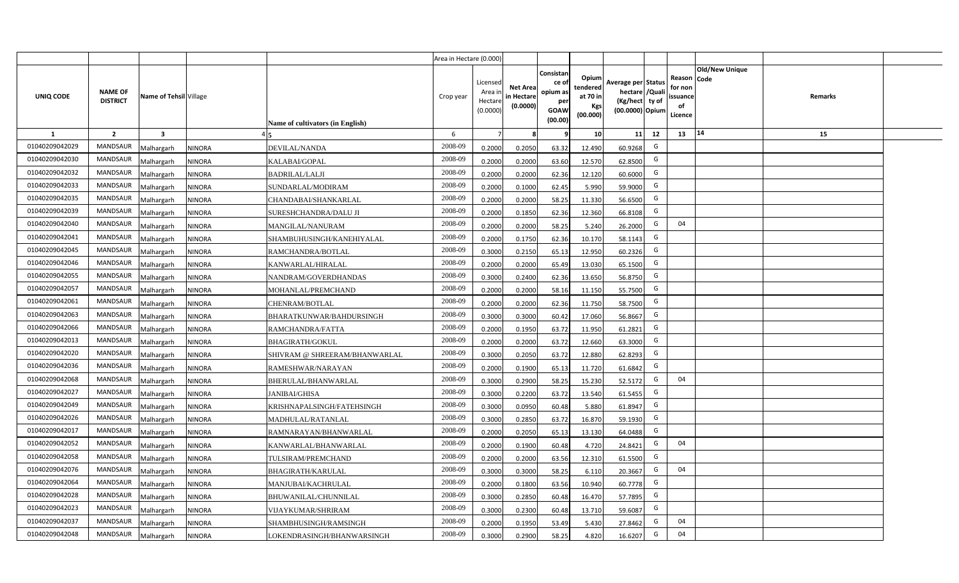|                |                                   |                         |               |                                  | Area in Hectare (0.000) |                                           |                                           |                                                                |                                                  |                                                                            |    |                                                     |                |         |  |
|----------------|-----------------------------------|-------------------------|---------------|----------------------------------|-------------------------|-------------------------------------------|-------------------------------------------|----------------------------------------------------------------|--------------------------------------------------|----------------------------------------------------------------------------|----|-----------------------------------------------------|----------------|---------|--|
| UNIQ CODE      | <b>NAME OF</b><br><b>DISTRICT</b> | Name of Tehsil Village  |               | Name of cultivators (in English) | Crop year               | Licensed<br>Area i<br>Hectare<br>(0.0000) | <b>Net Area</b><br>in Hectare<br>(0.0000) | Consistan<br>ce o<br>opium as<br>per<br><b>GOAW</b><br>(00.00) | Opium<br>tendered<br>at 70 in<br>Kgs<br>(00.000) | Average per Status<br>hectare / Quali<br>(Kg/hect ty of<br>(00.0000) Opium |    | Reason Code<br>for non<br>issuance<br>of<br>Licence | Old/New Unique | Remarks |  |
| 1              | $\overline{2}$                    | $\overline{\mathbf{3}}$ |               |                                  | 6                       | 7                                         |                                           |                                                                | 10 <sup>1</sup>                                  | 11                                                                         | 12 | 13                                                  | 14             | 15      |  |
| 01040209042029 | <b>MANDSAUR</b>                   | Malhargarh              | <b>NINORA</b> | <b>DEVILAL/NANDA</b>             | 2008-09                 | 0.2000                                    | 0.2050                                    | 63.32                                                          | 12.490                                           | 60.9268                                                                    | G  |                                                     |                |         |  |
| 01040209042030 | MANDSAUR                          | Malhargarh              | <b>NINORA</b> | KALABAI/GOPAL                    | 2008-09                 | 0.2000                                    | 0.2000                                    | 63.60                                                          | 12.570                                           | 62.8500                                                                    | G  |                                                     |                |         |  |
| 01040209042032 | <b>MANDSAUR</b>                   | Malhargarh              | <b>NINORA</b> | <b>BADRILAL/LALJI</b>            | 2008-09                 | 0.2000                                    | 0.2000                                    | 62.36                                                          | 12.120                                           | 60.6000                                                                    | G  |                                                     |                |         |  |
| 01040209042033 | <b>MANDSAUR</b>                   | Malhargarh              | <b>NINORA</b> | SUNDARLAL/MODIRAM                | 2008-09                 | 0.2000                                    | 0.1000                                    | 62.45                                                          | 5.990                                            | 59.9000                                                                    | G  |                                                     |                |         |  |
| 01040209042035 | <b>MANDSAUR</b>                   | Malhargarh              | <b>NINORA</b> | CHANDABAI/SHANKARLAL             | 2008-09                 | 0.2000                                    | 0.2000                                    | 58.25                                                          | 11.330                                           | 56.6500                                                                    | G  |                                                     |                |         |  |
| 01040209042039 | <b>MANDSAUR</b>                   | Malhargarh              | <b>NINORA</b> | SURESHCHANDRA/DALU JI            | 2008-09                 | 0.2000                                    | 0.1850                                    | 62.36                                                          | 12.360                                           | 66.8108                                                                    | G  |                                                     |                |         |  |
| 01040209042040 | <b>MANDSAUR</b>                   | Malhargarh              | <b>NINORA</b> | MANGILAL/NANURAM                 | 2008-09                 | 0.2000                                    | 0.2000                                    | 58.25                                                          | 5.240                                            | 26.2000                                                                    | G  | 04                                                  |                |         |  |
| 01040209042041 | MANDSAUR                          | Malhargarh              | <b>NINORA</b> | SHAMBUHUSINGH/KANEHIYALAL        | 2008-09                 | 0.2000                                    | 0.1750                                    | 62.36                                                          | 10.170                                           | 58.1143                                                                    | G  |                                                     |                |         |  |
| 01040209042045 | MANDSAUR                          | Malhargarh              | <b>NINORA</b> | RAMCHANDRA/BOTLAL                | 2008-09                 | 0.3000                                    | 0.2150                                    | 65.13                                                          | 12.950                                           | 60.2326                                                                    | G  |                                                     |                |         |  |
| 01040209042046 | MANDSAUR                          | Malhargarh              | <b>NINORA</b> | KANWARLAL/HIRALAL                | 2008-09                 | 0.2000                                    | 0.2000                                    | 65.49                                                          | 13.030                                           | 65.1500                                                                    | G  |                                                     |                |         |  |
| 01040209042055 | MANDSAUR                          | Malhargarh              | <b>NINORA</b> | NANDRAM/GOVERDHANDAS             | 2008-09                 | 0.3000                                    | 0.2400                                    | 62.36                                                          | 13.650                                           | 56.8750                                                                    | G  |                                                     |                |         |  |
| 01040209042057 | MANDSAUR                          | Malhargarh              | <b>NINORA</b> | MOHANLAL/PREMCHAND               | 2008-09                 | 0.2000                                    | 0.2000                                    | 58.16                                                          | 11.150                                           | 55.7500                                                                    | G  |                                                     |                |         |  |
| 01040209042061 | <b>MANDSAUR</b>                   | Malhargarh              | <b>NINORA</b> | CHENRAM/BOTLAL                   | 2008-09                 | 0.2000                                    | 0.2000                                    | 62.36                                                          | 11.750                                           | 58.7500                                                                    | G  |                                                     |                |         |  |
| 01040209042063 | <b>MANDSAUR</b>                   | Malhargarh              | <b>NINORA</b> | BHARATKUNWAR/BAHDURSINGH         | 2008-09                 | 0.3000                                    | 0.3000                                    | 60.42                                                          | 17.060                                           | 56.8667                                                                    | G  |                                                     |                |         |  |
| 01040209042066 | MANDSAUR                          | Malhargarh              | <b>NINORA</b> | RAMCHANDRA/FATTA                 | 2008-09                 | 0.2000                                    | 0.1950                                    | 63.72                                                          | 11.950                                           | 61.2821                                                                    | G  |                                                     |                |         |  |
| 01040209042013 | <b>MANDSAUR</b>                   | Malhargarh              | <b>NINORA</b> | <b>BHAGIRATH/GOKUL</b>           | 2008-09                 | 0.2000                                    | 0.2000                                    | 63.72                                                          | 12.660                                           | 63.3000                                                                    | G  |                                                     |                |         |  |
| 01040209042020 | MANDSAUR                          | Malhargarh              | <b>NINORA</b> | SHIVRAM @ SHREERAM/BHANWARLAL    | 2008-09                 | 0.3000                                    | 0.2050                                    | 63.72                                                          | 12.880                                           | 62.8293                                                                    | G  |                                                     |                |         |  |
| 01040209042036 | MANDSAUR                          | Malhargarh              | <b>NINORA</b> | RAMESHWAR/NARAYAN                | 2008-09                 | 0.2000                                    | 0.1900                                    | 65.13                                                          | 11.720                                           | 61.6842                                                                    | G  |                                                     |                |         |  |
| 01040209042068 | MANDSAUR                          | Malhargarh              | <b>NINORA</b> | BHERULAL/BHANWARLAL              | 2008-09                 | 0.3000                                    | 0.2900                                    | 58.25                                                          | 15.230                                           | 52.5172                                                                    | G  | 04                                                  |                |         |  |
| 01040209042027 | MANDSAUR                          | Malhargarh              | <b>NINORA</b> | <b>JANIBAI/GHISA</b>             | 2008-09                 | 0.3000                                    | 0.2200                                    | 63.72                                                          | 13.540                                           | 61.5455                                                                    | G  |                                                     |                |         |  |
| 01040209042049 | MANDSAUR                          | Malhargarh              | <b>NINORA</b> | KRISHNAPALSINGH/FATEHSINGH       | 2008-09                 | 0.3000                                    | 0.0950                                    | 60.48                                                          | 5.880                                            | 61.8947                                                                    | G  |                                                     |                |         |  |
| 01040209042026 | MANDSAUR                          | Malhargarh              | <b>NINORA</b> | MADHULAL/RATANLAL                | 2008-09                 | 0.3000                                    | 0.2850                                    | 63.72                                                          | 16.870                                           | 59.1930                                                                    | G  |                                                     |                |         |  |
| 01040209042017 | MANDSAUR                          | Malhargarh              | <b>NINORA</b> | RAMNARAYAN/BHANWARLAL            | 2008-09                 | 0.2000                                    | 0.2050                                    | 65.13                                                          | 13.130                                           | 64.0488                                                                    | G  |                                                     |                |         |  |
| 01040209042052 | <b>MANDSAUR</b>                   | Malhargarh              | <b>NINORA</b> | KANWARLAL/BHANWARLAL             | 2008-09                 | 0.2000                                    | 0.1900                                    | 60.48                                                          | 4.720                                            | 24.8421                                                                    | G  | 04                                                  |                |         |  |
| 01040209042058 | <b>MANDSAUR</b>                   | Malhargarh              | <b>NINORA</b> | TULSIRAM/PREMCHAND               | 2008-09                 | 0.2000                                    | 0.2000                                    | 63.56                                                          | 12.310                                           | 61.5500                                                                    | G  |                                                     |                |         |  |
| 01040209042076 | MANDSAUR                          | Malhargarh              | <b>NINORA</b> | <b>BHAGIRATH/KARULAL</b>         | 2008-09                 | 0.3000                                    | 0.3000                                    | 58.25                                                          | 6.110                                            | 20.3667                                                                    | G  | 04                                                  |                |         |  |
| 01040209042064 | MANDSAUR                          | Malhargarh              | <b>NINORA</b> | MANJUBAI/KACHRULAL               | 2008-09                 | 0.2000                                    | 0.1800                                    | 63.56                                                          | 10.940                                           | 60.7778                                                                    | G  |                                                     |                |         |  |
| 01040209042028 | MANDSAUR                          | Malhargarh              | <b>NINORA</b> | BHUWANILAL/CHUNNILAL             | 2008-09                 | 0.3000                                    | 0.2850                                    | 60.48                                                          | 16.470                                           | 57.7895                                                                    | G  |                                                     |                |         |  |
| 01040209042023 | MANDSAUR                          | Malhargarh              | <b>NINORA</b> | <b>VIJAYKUMAR/SHRIRAM</b>        | 2008-09                 | 0.3000                                    | 0.2300                                    | 60.48                                                          | 13.710                                           | 59.6087                                                                    | G  |                                                     |                |         |  |
| 01040209042037 | MANDSAUR                          | Malhargarh              | <b>NINORA</b> | SHAMBHUSINGH/RAMSINGH            | 2008-09                 | 0.2000                                    | 0.1950                                    | 53.49                                                          | 5.430                                            | 27.8462                                                                    | G  | 04                                                  |                |         |  |
| 01040209042048 | <b>MANDSAUR</b>                   | Malhargarh              | <b>NINORA</b> | LOKENDRASINGH/BHANWARSINGH       | 2008-09                 | 0.3000                                    | 0.2900                                    | 58.25                                                          | 4.820                                            | 16.6207                                                                    | G  | 04                                                  |                |         |  |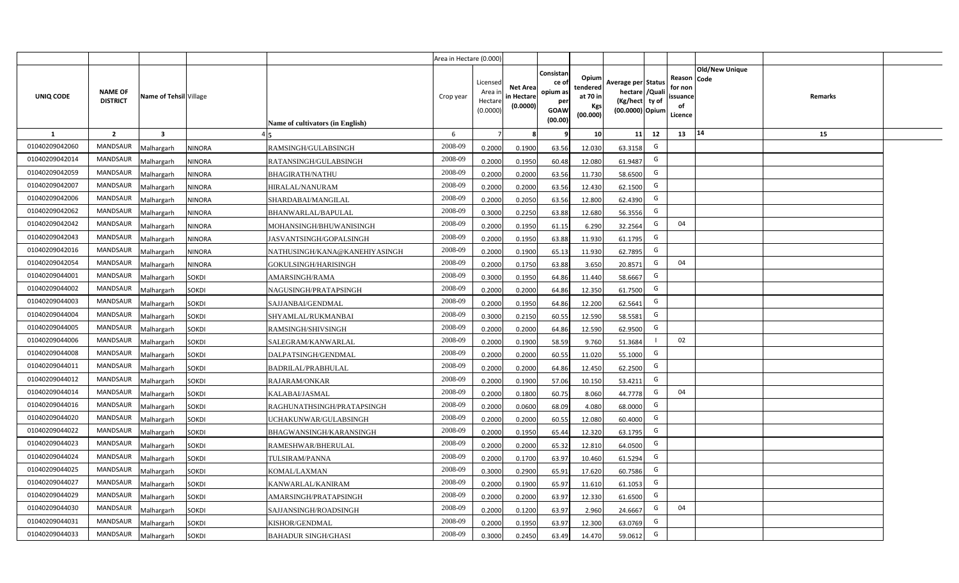|                |                                   |                        |               |                                         | Area in Hectare (0.000) |                                           |                                           |                                                         |                                                  |                                                                            |    |                                                     |                       |         |  |
|----------------|-----------------------------------|------------------------|---------------|-----------------------------------------|-------------------------|-------------------------------------------|-------------------------------------------|---------------------------------------------------------|--------------------------------------------------|----------------------------------------------------------------------------|----|-----------------------------------------------------|-----------------------|---------|--|
| UNIQ CODE      | <b>NAME OF</b><br><b>DISTRICT</b> | Name of Tehsil Village |               | <b>Name of cultivators (in English)</b> | Crop year               | Licensed<br>Area i<br>Hectare<br>(0.0000) | <b>Net Area</b><br>in Hectare<br>(0.0000) | Consistan<br>ce o<br>opium as<br>per<br>GOAW<br>(00.00) | Opium<br>tendered<br>at 70 in<br>Kgs<br>(00.000) | Average per Status<br>hectare / Quali<br>(Kg/hect ty of<br>(00.0000) Opium |    | Reason Code<br>for non<br>issuance<br>of<br>Licence | <b>Old/New Unique</b> | Remarks |  |
| 1              | $\overline{2}$                    | $\mathbf{3}$           |               |                                         | 6                       | $\overline{7}$                            |                                           | q                                                       | 10 <sup>1</sup>                                  | 11                                                                         | 12 | 13                                                  | 14                    | 15      |  |
| 01040209042060 | <b>MANDSAUR</b>                   | Malhargarh             | <b>NINORA</b> | RAMSINGH/GULABSINGH                     | 2008-09                 | 0.2000                                    | 0.1900                                    | 63.56                                                   | 12.030                                           | 63.3158                                                                    | G  |                                                     |                       |         |  |
| 01040209042014 | <b>MANDSAUR</b>                   | Malhargarh             | <b>NINORA</b> | RATANSINGH/GULABSINGH                   | 2008-09                 | 0.2000                                    | 0.1950                                    | 60.48                                                   | 12.080                                           | 61.9487                                                                    | G  |                                                     |                       |         |  |
| 01040209042059 | <b>MANDSAUR</b>                   | Malhargarh             | <b>NINORA</b> | <b>BHAGIRATH/NATHU</b>                  | 2008-09                 | 0.2000                                    | 0.2000                                    | 63.56                                                   | 11.730                                           | 58.6500                                                                    | G  |                                                     |                       |         |  |
| 01040209042007 | <b>MANDSAUR</b>                   | Malhargarh             | <b>NINORA</b> | <b>HIRALAL/NANURAM</b>                  | 2008-09                 | 0.2000                                    | 0.2000                                    | 63.56                                                   | 12.430                                           | 62.1500                                                                    | G  |                                                     |                       |         |  |
| 01040209042006 | <b>MANDSAUR</b>                   | Malhargarh             | <b>NINORA</b> | SHARDABAI/MANGILAL                      | 2008-09                 | 0.2000                                    | 0.2050                                    | 63.56                                                   | 12.800                                           | 62.4390                                                                    | G  |                                                     |                       |         |  |
| 01040209042062 | MANDSAUR                          | Malhargarh             | <b>NINORA</b> | BHANWARLAL/BAPULAL                      | 2008-09                 | 0.3000                                    | 0.2250                                    | 63.88                                                   | 12.680                                           | 56.3556                                                                    | G  |                                                     |                       |         |  |
| 01040209042042 | MANDSAUR                          | Malhargarh             | <b>NINORA</b> | MOHANSINGH/BHUWANISINGH                 | 2008-09                 | 0.2000                                    | 0.1950                                    | 61.15                                                   | 6.290                                            | 32.2564                                                                    | G  | 04                                                  |                       |         |  |
| 01040209042043 | MANDSAUR                          | Malhargarh             | <b>NINORA</b> | JASVANTSINGH/GOPALSINGH                 | 2008-09                 | 0.2000                                    | 0.1950                                    | 63.88                                                   | 11.930                                           | 61.1795                                                                    | G  |                                                     |                       |         |  |
| 01040209042016 | MANDSAUR                          | Malhargarh             | <b>NINORA</b> | NATHUSINGH/KANA@KANEHIYASINGH           | 2008-09                 | 0.2000                                    | 0.1900                                    | 65.13                                                   | 11.930                                           | 62.7895                                                                    | G  |                                                     |                       |         |  |
| 01040209042054 | MANDSAUR                          | Malhargarh             | <b>NINORA</b> | GOKULSINGH/HARISINGH                    | 2008-09                 | 0.2000                                    | 0.1750                                    | 63.88                                                   | 3.650                                            | 20.8571                                                                    | G  | 04                                                  |                       |         |  |
| 01040209044001 | MANDSAUR                          | Malhargarh             | <b>SOKDI</b>  | AMARSINGH/RAMA                          | 2008-09                 | 0.3000                                    | 0.1950                                    | 64.86                                                   | 11.440                                           | 58.6667                                                                    | G  |                                                     |                       |         |  |
| 01040209044002 | <b>MANDSAUR</b>                   | Malhargarh             | <b>SOKDI</b>  | NAGUSINGH/PRATAPSINGH                   | 2008-09                 | 0.2000                                    | 0.2000                                    | 64.86                                                   | 12.350                                           | 61.7500                                                                    | G  |                                                     |                       |         |  |
| 01040209044003 | MANDSAUR                          | Malhargarh             | <b>SOKDI</b>  | SAJJANBAI/GENDMAL                       | 2008-09                 | 0.2000                                    | 0.1950                                    | 64.86                                                   | 12.200                                           | 62.5641                                                                    | G  |                                                     |                       |         |  |
| 01040209044004 | MANDSAUR                          | Malhargarh             | <b>SOKDI</b>  | SHYAMLAL/RUKMANBAI                      | 2008-09                 | 0.3000                                    | 0.2150                                    | 60.55                                                   | 12.590                                           | 58.5581                                                                    | G  |                                                     |                       |         |  |
| 01040209044005 | MANDSAUR                          | Malhargarh             | <b>SOKDI</b>  | RAMSINGH/SHIVSINGH                      | 2008-09                 | 0.2000                                    | 0.2000                                    | 64.86                                                   | 12.590                                           | 62.9500                                                                    | G  |                                                     |                       |         |  |
| 01040209044006 | MANDSAUR                          | Malhargarh             | <b>SOKDI</b>  | SALEGRAM/KANWARLAL                      | 2008-09                 | 0.2000                                    | 0.1900                                    | 58.59                                                   | 9.760                                            | 51.3684                                                                    |    | 02                                                  |                       |         |  |
| 01040209044008 | MANDSAUR                          | Malhargarh             | <b>SOKDI</b>  | DALPATSINGH/GENDMAL                     | 2008-09                 | 0.2000                                    | 0.2000                                    | 60.55                                                   | 11.020                                           | 55.1000                                                                    | G  |                                                     |                       |         |  |
| 01040209044011 | MANDSAUR                          | Malhargarh             | <b>SOKDI</b>  | <b>BADRILAL/PRABHULAL</b>               | 2008-09                 | 0.2000                                    | 0.2000                                    | 64.86                                                   | 12.450                                           | 62.2500                                                                    | G  |                                                     |                       |         |  |
| 01040209044012 | MANDSAUR                          | Malhargarh             | <b>SOKDI</b>  | RAJARAM/ONKAR                           | 2008-09                 | 0.2000                                    | 0.1900                                    | 57.06                                                   | 10.150                                           | 53.4211                                                                    | G  |                                                     |                       |         |  |
| 01040209044014 | MANDSAUR                          | Malhargarh             | <b>SOKDI</b>  | KALABAI/JASMAL                          | 2008-09                 | 0.2000                                    | 0.1800                                    | 60.75                                                   | 8.060                                            | 44.7778                                                                    | G  | 04                                                  |                       |         |  |
| 01040209044016 | MANDSAUR                          | Malhargarh             | <b>SOKDI</b>  | RAGHUNATHSINGH/PRATAPSINGH              | 2008-09                 | 0.2000                                    | 0.0600                                    | 68.09                                                   | 4.080                                            | 68.0000                                                                    | G  |                                                     |                       |         |  |
| 01040209044020 | MANDSAUR                          | Malhargarh             | <b>SOKDI</b>  | UCHAKUNWAR/GULABSINGH                   | 2008-09                 | 0.2000                                    | 0.2000                                    | 60.55                                                   | 12.080                                           | 60.4000                                                                    | G  |                                                     |                       |         |  |
| 01040209044022 | MANDSAUR                          | Malhargarh             | <b>SOKDI</b>  | BHAGWANSINGH/KARANSINGH                 | 2008-09                 | 0.2000                                    | 0.1950                                    | 65.44                                                   | 12.320                                           | 63.1795                                                                    | G  |                                                     |                       |         |  |
| 01040209044023 | MANDSAUR                          | Malhargarh             | <b>SOKDI</b>  | RAMESHWAR/BHERULAL                      | 2008-09                 | 0.2000                                    | 0.2000                                    | 65.32                                                   | 12.810                                           | 64.0500                                                                    | G  |                                                     |                       |         |  |
| 01040209044024 | MANDSAUR                          | Malhargarh             | <b>SOKDI</b>  | TULSIRAM/PANNA                          | 2008-09                 | 0.2000                                    | 0.1700                                    | 63.97                                                   | 10.460                                           | 61.5294                                                                    | G  |                                                     |                       |         |  |
| 01040209044025 | MANDSAUR                          | Malhargarh             | <b>SOKDI</b>  | KOMAL/LAXMAN                            | 2008-09                 | 0.3000                                    | 0.2900                                    | 65.91                                                   | 17.620                                           | 60.7586                                                                    | G  |                                                     |                       |         |  |
| 01040209044027 | MANDSAUR                          | Malhargarh             | <b>SOKDI</b>  | KANWARLAL/KANIRAM                       | 2008-09                 | 0.2000                                    | 0.1900                                    | 65.97                                                   | 11.610                                           | 61.1053                                                                    | G  |                                                     |                       |         |  |
| 01040209044029 | MANDSAUR                          | Malhargarh             | <b>SOKDI</b>  | AMARSINGH/PRATAPSINGH                   | 2008-09                 | 0.2000                                    | 0.2000                                    | 63.97                                                   | 12.330                                           | 61.6500                                                                    | G  |                                                     |                       |         |  |
| 01040209044030 | MANDSAUR                          | Malhargarh             | <b>SOKDI</b>  | SAJJANSINGH/ROADSINGH                   | 2008-09                 | 0.2000                                    | 0.1200                                    | 63.97                                                   | 2.960                                            | 24.6667                                                                    | G  | 04                                                  |                       |         |  |
| 01040209044031 | MANDSAUR                          | Malhargarh             | <b>SOKDI</b>  | KISHOR/GENDMAL                          | 2008-09                 | 0.2000                                    | 0.1950                                    | 63.97                                                   | 12.300                                           | 63.0769                                                                    | G  |                                                     |                       |         |  |
| 01040209044033 | MANDSAUR                          | Malhargarh             | <b>SOKDI</b>  | <b>BAHADUR SINGH/GHASI</b>              | 2008-09                 | 0.3000                                    | 0.2450                                    | 63.49                                                   | 14.470                                           | 59.0612                                                                    | G  |                                                     |                       |         |  |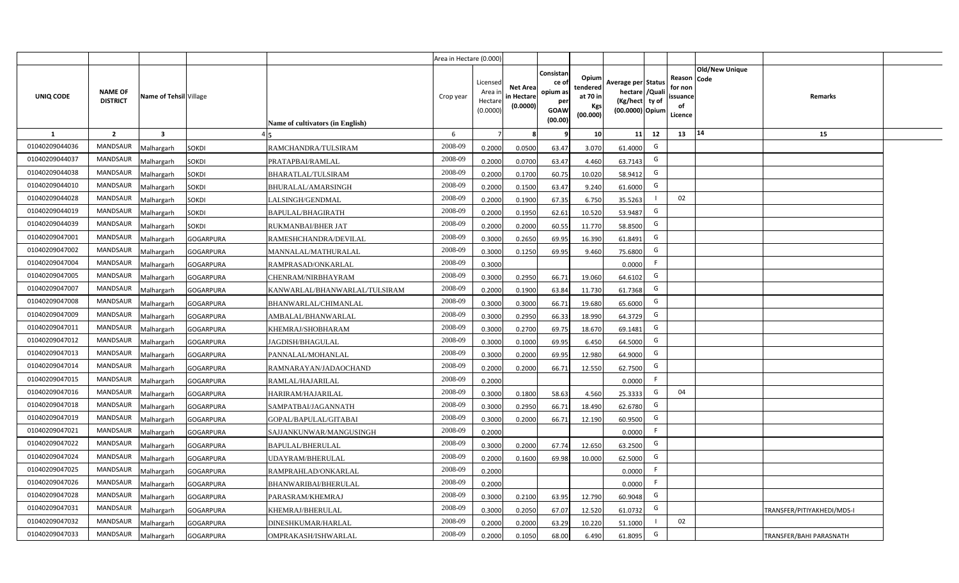|                |                                   |                         |                                                   | Area in Hectare (0.000) |                                            |                                           |                                                         |                                                         |                                                                            |    |                                                |                               |                                   |  |
|----------------|-----------------------------------|-------------------------|---------------------------------------------------|-------------------------|--------------------------------------------|-------------------------------------------|---------------------------------------------------------|---------------------------------------------------------|----------------------------------------------------------------------------|----|------------------------------------------------|-------------------------------|-----------------------------------|--|
| UNIQ CODE      | <b>NAME OF</b><br><b>DISTRICT</b> | Name of Tehsil Village  | Name of cultivators (in English)                  | Crop year               | Licensed<br>Area ir<br>Hectare<br>(0.0000) | <b>Net Area</b><br>in Hectare<br>(0.0000) | Consistar<br>ce o<br>opium as<br>per<br>GOAW<br>(00.00) | Opium<br>tendered<br>at 70 in<br><b>Kgs</b><br>(00.000) | Average per Status<br>hectare / Quali<br>(Kg/hect ty of<br>(00.0000) Opium |    | Reason<br>for non<br>issuance<br>of<br>Licence | <b>Old/New Unique</b><br>Code | Remarks                           |  |
| 1              | $\overline{2}$                    | $\overline{\mathbf{3}}$ |                                                   | 6                       | 7                                          |                                           |                                                         | 10                                                      | 11                                                                         | 12 | 13                                             | 14                            | 15                                |  |
| 01040209044036 | MANDSAUR                          | <b>Aalhargarh</b>       | <b>SOKDI</b><br>RAMCHANDRA/TULSIRAM               | 2008-09                 | 0.2000                                     | 0.0500                                    | 63.47                                                   | 3.070                                                   | 61.4000                                                                    | G  |                                                |                               |                                   |  |
| 01040209044037 | <b>MANDSAUR</b>                   | <b>Malhargarh</b>       | SOKDI<br>PRATAPBAI/RAMLAL                         | 2008-09                 | 0.2000                                     | 0.0700                                    | 63.47                                                   | 4.460                                                   | 63.7143                                                                    | G  |                                                |                               |                                   |  |
| 01040209044038 | <b>MANDSAUR</b>                   | <b>Malhargarh</b>       | SOKDI<br>BHARATLAL/TULSIRAM                       | 2008-09                 | 0.2000                                     | 0.1700                                    | 60.75                                                   | 10.020                                                  | 58.9412                                                                    | G  |                                                |                               |                                   |  |
| 01040209044010 | MANDSAUR                          | <b>Malhargarh</b>       | SOKDI<br>BHURALAL/AMARSINGH                       | 2008-09                 | 0.2000                                     | 0.1500                                    | 63.47                                                   | 9.240                                                   | 61.6000                                                                    | G  |                                                |                               |                                   |  |
| 01040209044028 | <b>MANDSAUR</b>                   | <b>Malhargarh</b>       | SOKDI<br>LALSINGH/GENDMAL                         | 2008-09                 | 0.2000                                     | 0.1900                                    | 67.35                                                   | 6.750                                                   | 35.5263                                                                    |    | 02                                             |                               |                                   |  |
| 01040209044019 | <b>MANDSAUR</b>                   | <b>Malhargarh</b>       | SOKDI<br>BAPULAL/BHAGIRATH                        | 2008-09                 | 0.2000                                     | 0.1950                                    | 62.61                                                   | 10.520                                                  | 53.9487                                                                    | G  |                                                |                               |                                   |  |
| 01040209044039 | <b>MANDSAUR</b>                   | <b>Malhargarh</b>       | SOKDI<br>RUKMANBAI/BHER JAT                       | 2008-09                 | 0.2000                                     | 0.2000                                    | 60.55                                                   | 11.770                                                  | 58.8500                                                                    | G  |                                                |                               |                                   |  |
| 01040209047001 | <b>MANDSAUR</b>                   | <b>Malhargarh</b>       | <b>GOGARPURA</b><br>RAMESHCHANDRA/DEVILAL         | 2008-09                 | 0.3000                                     | 0.2650                                    | 69.95                                                   | 16.390                                                  | 61.8491                                                                    | G  |                                                |                               |                                   |  |
| 01040209047002 | <b>MANDSAUR</b>                   | <b>Malhargarh</b>       | GOGARPURA<br>MANNALAL/MATHURALAL                  | 2008-09                 | 0.3000                                     | 0.1250                                    | 69.95                                                   | 9.460                                                   | 75.6800                                                                    | G  |                                                |                               |                                   |  |
| 01040209047004 | <b>MANDSAUR</b>                   | <b>Malhargarh</b>       | <b>GOGARPURA</b><br>RAMPRASAD/ONKARLAL            | 2008-09                 | 0.3000                                     |                                           |                                                         |                                                         | 0.0000                                                                     | F  |                                                |                               |                                   |  |
| 01040209047005 | <b>MANDSAUR</b>                   | <b>Malhargarh</b>       | <b>GOGARPURA</b><br>CHENRAM/NIRBHAYRAM            | 2008-09                 | 0.3000                                     | 0.2950                                    | 66.71                                                   | 19.060                                                  | 64.6102                                                                    | G  |                                                |                               |                                   |  |
| 01040209047007 | <b>MANDSAUR</b>                   | <b>Malhargarh</b>       | <b>GOGARPURA</b><br>KANWARLAL/BHANWARLAL/TULSIRAM | 2008-09                 | 0.2000                                     | 0.1900                                    | 63.84                                                   | 11.730                                                  | 61.7368                                                                    | G  |                                                |                               |                                   |  |
| 01040209047008 | <b>MANDSAUR</b>                   | <b>Malhargarh</b>       | <b>GOGARPURA</b><br>BHANWARLAL/CHIMANLAL          | 2008-09                 | 0.3000                                     | 0.3000                                    | 66.71                                                   | 19.680                                                  | 65.6000                                                                    | G  |                                                |                               |                                   |  |
| 01040209047009 | <b>MANDSAUR</b>                   | <b>Malhargarh</b>       | GOGARPURA<br>AMBALAL/BHANWARLAL                   | 2008-09                 | 0.3000                                     | 0.2950                                    | 66.33                                                   | 18.990                                                  | 64.3729                                                                    | G  |                                                |                               |                                   |  |
| 01040209047011 | <b>MANDSAUR</b>                   | <b>Malhargarh</b>       | <b>GOGARPURA</b><br>KHEMRAJ/SHOBHARAM             | 2008-09                 | 0.3000                                     | 0.2700                                    | 69.75                                                   | 18.670                                                  | 69.1481                                                                    | G  |                                                |                               |                                   |  |
| 01040209047012 | <b>MANDSAUR</b>                   | Malhargarh              | GOGARPURA<br>IAGDISH/BHAGULAL                     | 2008-09                 | 0.3000                                     | 0.1000                                    | 69.95                                                   | 6.450                                                   | 64.5000                                                                    | G  |                                                |                               |                                   |  |
| 01040209047013 | <b>MANDSAUR</b>                   | <b>Malhargarh</b>       | GOGARPURA<br>PANNALAL/MOHANLAL                    | 2008-09                 | 0.3000                                     | 0.2000                                    | 69.95                                                   | 12.980                                                  | 64.9000                                                                    | G  |                                                |                               |                                   |  |
| 01040209047014 | <b>MANDSAUR</b>                   | <b>Malhargarh</b>       | <b>GOGARPURA</b><br>RAMNARAYAN/JADAOCHAND         | 2008-09                 | 0.2000                                     | 0.2000                                    | 66.71                                                   | 12.550                                                  | 62.7500                                                                    | G  |                                                |                               |                                   |  |
| 01040209047015 | <b>MANDSAUR</b>                   | <b>Malhargarh</b>       | GOGARPURA<br>RAMLAL/HAJARILAL                     | 2008-09                 | 0.2000                                     |                                           |                                                         |                                                         | 0.0000                                                                     | F. |                                                |                               |                                   |  |
| 01040209047016 | <b>MANDSAUR</b>                   | Malhargarh              | <b>GOGARPURA</b><br>HARIRAM/HAJARILAL             | 2008-09                 | 0.3000                                     | 0.1800                                    | 58.63                                                   | 4.560                                                   | 25.3333                                                                    | G  | 04                                             |                               |                                   |  |
| 01040209047018 | <b>MANDSAUR</b>                   | <b>Malhargarh</b>       | <b>GOGARPURA</b><br>SAMPATBAI/JAGANNATH           | 2008-09                 | 0.3000                                     | 0.2950                                    | 66.71                                                   | 18.490                                                  | 62.6780                                                                    | G  |                                                |                               |                                   |  |
| 01040209047019 | <b>MANDSAUR</b>                   | <b>Malhargarh</b>       | <b>GOGARPURA</b><br>GOPAL/BAPULAL/GITABAI         | 2008-09                 | 0.3000                                     | 0.2000                                    | 66.71                                                   | 12.190                                                  | 60.9500                                                                    | G  |                                                |                               |                                   |  |
| 01040209047021 | <b>MANDSAUR</b>                   | <b>Aalhargarh</b>       | <b>GOGARPURA</b><br>SAJJANKUNWAR/MANGUSINGH       | 2008-09                 | 0.2000                                     |                                           |                                                         |                                                         | 0.0000                                                                     | -F |                                                |                               |                                   |  |
| 01040209047022 | MANDSAUR                          | <b>Malhargarh</b>       | <b>GOGARPURA</b><br>BAPULAL/BHERULAL              | 2008-09                 | 0.3000                                     | 0.2000                                    | 67.74                                                   | 12.650                                                  | 63.2500                                                                    | G  |                                                |                               |                                   |  |
| 01040209047024 | MANDSAUR                          | <b>Malhargarh</b>       | <b>GOGARPURA</b><br>UDAYRAM/BHERULAL              | 2008-09                 | 0.2000                                     | 0.1600                                    | 69.98                                                   | 10.000                                                  | 62.5000                                                                    | G  |                                                |                               |                                   |  |
| 01040209047025 | <b>MANDSAUR</b>                   | <b>Malhargarh</b>       | <b>GOGARPURA</b><br>RAMPRAHLAD/ONKARLAL           | 2008-09                 | 0.2000                                     |                                           |                                                         |                                                         | 0.0000                                                                     | F  |                                                |                               |                                   |  |
| 01040209047026 | MANDSAUR                          | <b>Malhargarh</b>       | GOGARPURA<br>BHANWARIBAI/BHERULAL                 | 2008-09                 | 0.2000                                     |                                           |                                                         |                                                         | 0.0000                                                                     | F  |                                                |                               |                                   |  |
| 01040209047028 | MANDSAUR                          | <b>Malhargarh</b>       | <b>GOGARPURA</b><br>PARASRAM/KHEMRAJ              | 2008-09                 | 0.3000                                     | 0.2100                                    | 63.95                                                   | 12.790                                                  | 60.9048                                                                    | G  |                                                |                               |                                   |  |
| 01040209047031 | <b>MANDSAUR</b>                   | <b>Malhargarh</b>       | KHEMRAJ/BHERULAL<br><b>GOGARPURA</b>              | 2008-09                 | 0.3000                                     | 0.2050                                    | 67.07                                                   | 12.520                                                  | 61.0732                                                                    | G  |                                                |                               | <b>TRANSFER/PITIYAKHEDI/MDS-I</b> |  |
| 01040209047032 | <b>MANDSAUR</b>                   | <b>Malhargarh</b>       | GOGARPURA<br>DINESHKUMAR/HARLAL                   | 2008-09                 | 0.2000                                     | 0.2000                                    | 63.29                                                   | 10.220                                                  | 51.1000                                                                    |    | 02                                             |                               |                                   |  |
| 01040209047033 | <b>MANDSAUR</b>                   | Malhargarh              | <b>GOGARPURA</b><br>OMPRAKASH/ISHWARLAL           | 2008-09                 | 0.2000                                     | 0.1050                                    | 68.00                                                   | 6.490                                                   | 61.8095                                                                    | G  |                                                |                               | TRANSFER/BAHI PARASNATH           |  |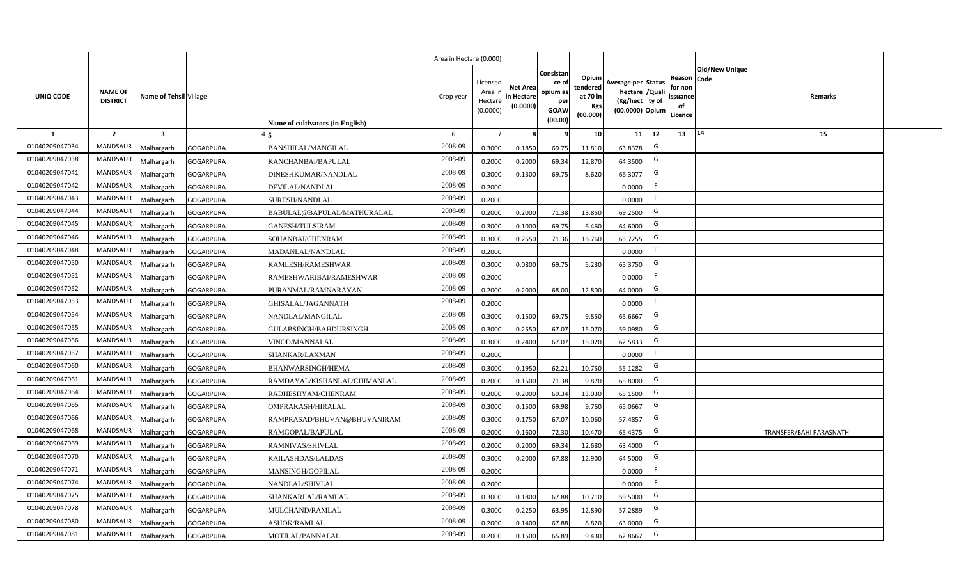|                |                                   |                         |                                               | Area in Hectare (0.000)                       |                                            |                                           |                                                                |                                                  |                                                                            |    |                                                                             |                         |  |
|----------------|-----------------------------------|-------------------------|-----------------------------------------------|-----------------------------------------------|--------------------------------------------|-------------------------------------------|----------------------------------------------------------------|--------------------------------------------------|----------------------------------------------------------------------------|----|-----------------------------------------------------------------------------|-------------------------|--|
| UNIQ CODE      | <b>NAME OF</b><br><b>DISTRICT</b> | Name of Tehsil Village  |                                               | Crop year<br>Name of cultivators (in English) | Licensed<br>Area in<br>Hectare<br>(0.0000) | <b>Net Area</b><br>in Hectare<br>(0.0000) | Consistan<br>ce o<br>opium as<br>per<br><b>GOAW</b><br>(00.00) | Opium<br>tendered<br>at 70 in<br>Kgs<br>(00.000) | Average per Status<br>hectare / Quali<br>(Kg/hect ty of<br>(00.0000) Opium |    | <b>Old/New Unique</b><br>Reason Code<br>for non<br>ssuance<br>of<br>Licence | Remarks                 |  |
| $\mathbf{1}$   | $\overline{2}$                    | $\overline{\mathbf{3}}$ |                                               | 6                                             | $\overline{7}$                             | -8                                        | ٩                                                              | 10                                               | 11                                                                         | 12 | 14<br>13                                                                    | 15                      |  |
| 01040209047034 | MANDSAUR                          | <b>Malhargarh</b>       | <b>GOGARPURA</b><br><b>BANSHILAL/MANGILAL</b> | 2008-09                                       | 0.3000                                     | 0.1850                                    | 69.75                                                          | 11.810                                           | 63.8378                                                                    | G  |                                                                             |                         |  |
| 01040209047038 | <b>MANDSAUR</b>                   | <b>Malhargarh</b>       | <b>GOGARPURA</b><br>KANCHANBAI/BAPULAL        | 2008-09                                       | 0.2000                                     | 0.2000                                    | 69.34                                                          | 12.870                                           | 64.3500                                                                    | G  |                                                                             |                         |  |
| 01040209047041 | <b>MANDSAUR</b>                   | <b>Malhargarh</b>       | GOGARPURA<br>DINESHKUMAR/NANDLAL              | 2008-09                                       | 0.3000                                     | 0.1300                                    | 69.75                                                          | 8.620                                            | 66.3077                                                                    | G  |                                                                             |                         |  |
| 01040209047042 | <b>MANDSAUR</b>                   | <b>Malhargarh</b>       | <b>GOGARPURA</b><br>DEVILAL/NANDLAL           | 2008-09                                       | 0.2000                                     |                                           |                                                                |                                                  | 0.0000                                                                     | F. |                                                                             |                         |  |
| 01040209047043 | <b>MANDSAUR</b>                   | <b>Malhargarh</b>       | GOGARPURA<br>SURESH/NANDLAL                   | 2008-09                                       | 0.2000                                     |                                           |                                                                |                                                  | 0.0000                                                                     | F  |                                                                             |                         |  |
| 01040209047044 | <b>MANDSAUR</b>                   | <b>Malhargarh</b>       | <b>GOGARPURA</b>                              | 2008-09<br>BABULAL@BAPULAL/MATHURALAL         | 0.2000                                     | 0.2000                                    | 71.38                                                          | 13.850                                           | 69.2500                                                                    | G  |                                                                             |                         |  |
| 01040209047045 | <b>MANDSAUR</b>                   | <b>Malhargarh</b>       | <b>GOGARPURA</b><br><b>GANESH/TULSIRAM</b>    | 2008-09                                       | 0.3000                                     | 0.1000                                    | 69.75                                                          | 6.460                                            | 64.6000                                                                    | G  |                                                                             |                         |  |
| 01040209047046 | <b>MANDSAUR</b>                   | <b>Malhargarh</b>       | <b>GOGARPURA</b><br>SOHANBAI/CHENRAM          | 2008-09                                       | 0.3000                                     | 0.2550                                    | 71.36                                                          | 16.760                                           | 65.7255                                                                    | G  |                                                                             |                         |  |
| 01040209047048 | <b>MANDSAUR</b>                   | <b>Malhargarh</b>       | <b>GOGARPURA</b><br>MADANLAL/NANDLAL          | 2008-09                                       | 0.2000                                     |                                           |                                                                |                                                  | 0.0000                                                                     | F  |                                                                             |                         |  |
| 01040209047050 | <b>MANDSAUR</b>                   | <b>Malhargarh</b>       | GOGARPURA<br>KAMLESH/RAMESHWAR                | 2008-09                                       | 0.3000                                     | 0.0800                                    | 69.75                                                          | 5.230                                            | 65.3750                                                                    | G  |                                                                             |                         |  |
| 01040209047051 | <b>MANDSAUR</b>                   | <b>Malhargarh</b>       | <b>GOGARPURA</b>                              | 2008-09<br>RAMESHWARIBAI/RAMESHWAR            | 0.2000                                     |                                           |                                                                |                                                  | 0.0000                                                                     | F. |                                                                             |                         |  |
| 01040209047052 | <b>MANDSAUR</b>                   | <b>Malhargarh</b>       | <b>GOGARPURA</b>                              | 2008-09<br>PURANMAL/RAMNARAYAN                | 0.2000                                     | 0.2000                                    | 68.00                                                          | 12.800                                           | 64.0000                                                                    | G  |                                                                             |                         |  |
| 01040209047053 | <b>MANDSAUR</b>                   | <b>Malhargarh</b>       | GOGARPURA<br>GHISALAL/JAGANNATH               | 2008-09                                       | 0.2000                                     |                                           |                                                                |                                                  | 0.0000                                                                     | F. |                                                                             |                         |  |
| 01040209047054 | <b>MANDSAUR</b>                   | Malhargarh              | <b>GOGARPURA</b><br>NANDLAL/MANGILAL          | 2008-09                                       | 0.3000                                     | 0.1500                                    | 69.75                                                          | 9.850                                            | 65.6667                                                                    | G  |                                                                             |                         |  |
| 01040209047055 | <b>MANDSAUR</b>                   | <b>Malhargarh</b>       | GOGARPURA                                     | 2008-09<br>GULABSINGH/BAHDURSINGH             | 0.3000                                     | 0.2550                                    | 67.07                                                          | 15.070                                           | 59.0980                                                                    | G  |                                                                             |                         |  |
| 01040209047056 | MANDSAUR                          | <b>Malhargarh</b>       | <b>GOGARPURA</b><br>VINOD/MANNALAL            | 2008-09                                       | 0.3000                                     | 0.2400                                    | 67.07                                                          | 15.020                                           | 62.5833                                                                    | G  |                                                                             |                         |  |
| 01040209047057 | <b>MANDSAUR</b>                   | <b>Malhargarh</b>       | GOGARPURA<br>SHANKAR/LAXMAN                   | 2008-09                                       | 0.2000                                     |                                           |                                                                |                                                  | 0.0000                                                                     | F. |                                                                             |                         |  |
| 01040209047060 | <b>MANDSAUR</b>                   | <b>Malhargarh</b>       | GOGARPURA<br><b>BHANWARSINGH/HEMA</b>         | 2008-09                                       | 0.3000                                     | 0.1950                                    | 62.21                                                          | 10.750                                           | 55.1282                                                                    | G  |                                                                             |                         |  |
| 01040209047061 | <b>MANDSAUR</b>                   | <b>Malhargarh</b>       | <b>GOGARPURA</b>                              | 2008-09<br>RAMDAYAL/KISHANLAL/CHIMANLAL       | 0.2000                                     | 0.1500                                    | 71.38                                                          | 9.870                                            | 65.8000                                                                    | G  |                                                                             |                         |  |
| 01040209047064 | <b>MANDSAUR</b>                   | Malhargarh              | GOGARPURA<br>RADHESHYAM/CHENRAM               | 2008-09                                       | 0.2000                                     | 0.2000                                    | 69.34                                                          | 13.030                                           | 65.1500                                                                    | G  |                                                                             |                         |  |
| 01040209047065 | <b>MANDSAUR</b>                   | <b>Malhargarh</b>       | <b>GOGARPURA</b><br>OMPRAKASH/HIRALAL         | 2008-09                                       | 0.3000                                     | 0.1500                                    | 69.98                                                          | 9.760                                            | 65.0667                                                                    | G  |                                                                             |                         |  |
| 01040209047066 | <b>MANDSAUR</b>                   | <b>Malhargarh</b>       | <b>GOGARPURA</b>                              | 2008-09<br>RAMPRASAD/BHUVAN@BHUVANIRAM        | 0.3000                                     | 0.1750                                    | 67.07                                                          | 10.060                                           | 57.4857                                                                    | G  |                                                                             |                         |  |
| 01040209047068 | MANDSAUR                          | Aalhargarh              | GOGARPURA<br>RAMGOPAL/BAPULAL                 | 2008-09                                       | 0.2000                                     | 0.1600                                    | 72.30                                                          | 10.470                                           | 65.4375                                                                    | G  |                                                                             | TRANSFER/BAHI PARASNATH |  |
| 01040209047069 | <b>MANDSAUR</b>                   | <b>Malhargarh</b>       | <b>GOGARPURA</b><br>RAMNIVAS/SHIVLAL          | 2008-09                                       | 0.2000                                     | 0.2000                                    | 69.34                                                          | 12.680                                           | 63.4000                                                                    | G  |                                                                             |                         |  |
| 01040209047070 | <b>MANDSAUR</b>                   | <b>Malhargarh</b>       | GOGARPURA<br>KAILASHDAS/LALDAS                | 2008-09                                       | 0.3000                                     | 0.2000                                    | 67.88                                                          | 12.900                                           | 64.5000                                                                    | G  |                                                                             |                         |  |
| 01040209047071 | MANDSAUR                          | <b>Malhargarh</b>       | <b>GOGARPURA</b><br>MANSINGH/GOPILAL          | 2008-09                                       | 0.2000                                     |                                           |                                                                |                                                  | 0.0000                                                                     | F  |                                                                             |                         |  |
| 01040209047074 | <b>MANDSAUR</b>                   | <b>Malhargarh</b>       | GOGARPURA<br>NANDLAL/SHIVLAL                  | 2008-09                                       | 0.2000                                     |                                           |                                                                |                                                  | 0.0000                                                                     | F  |                                                                             |                         |  |
| 01040209047075 | <b>MANDSAUR</b>                   | <b>Malhargarh</b>       | <b>GOGARPURA</b><br>SHANKARLAL/RAMLAL         | 2008-09                                       | 0.3000                                     | 0.1800                                    | 67.88                                                          | 10.710                                           | 59.5000                                                                    | G  |                                                                             |                         |  |
| 01040209047078 | <b>MANDSAUR</b>                   | <b>Malhargarh</b>       | MULCHAND/RAMLAL<br><b>GOGARPURA</b>           | 2008-09                                       | 0.3000                                     | 0.2250                                    | 63.95                                                          | 12.890                                           | 57.2889                                                                    | G  |                                                                             |                         |  |
| 01040209047080 | <b>MANDSAUR</b>                   | <b>Malhargarh</b>       | GOGARPURA<br>ASHOK/RAMLAL                     | 2008-09                                       | 0.2000                                     | 0.1400                                    | 67.88                                                          | 8.820                                            | 63.0000                                                                    | G  |                                                                             |                         |  |
| 01040209047081 | MANDSAUR                          | Malhargarh              | <b>GOGARPURA</b><br>MOTILAL/PANNALAL          | 2008-09                                       | 0.2000                                     | 0.1500                                    | 65.89                                                          | 9.430                                            | 62.8667                                                                    | G  |                                                                             |                         |  |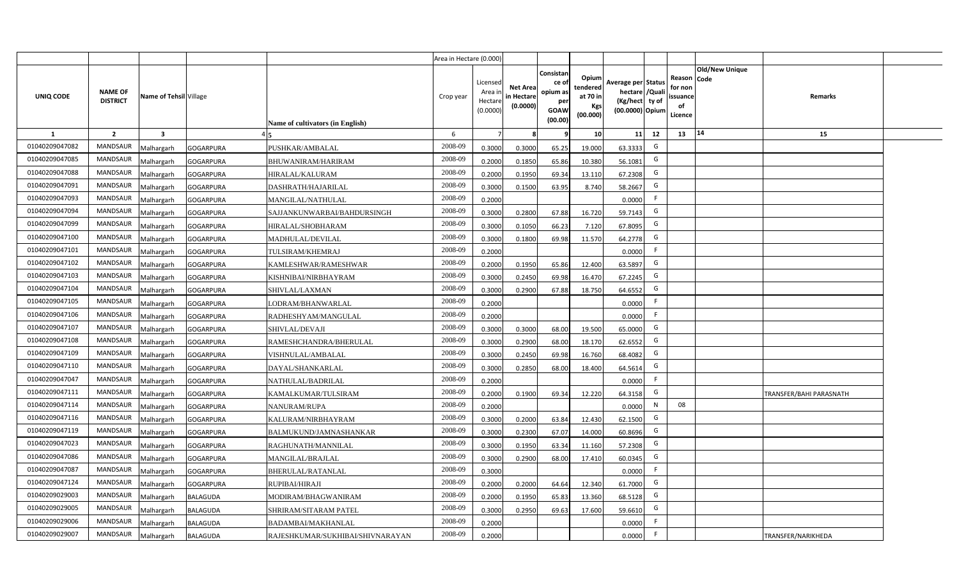|                |                                   |                         |                                                     | Area in Hectare (0.000) |                                            |                                           |                                                         |                                                         |                                                                            |    |                                                                              |                                |  |
|----------------|-----------------------------------|-------------------------|-----------------------------------------------------|-------------------------|--------------------------------------------|-------------------------------------------|---------------------------------------------------------|---------------------------------------------------------|----------------------------------------------------------------------------|----|------------------------------------------------------------------------------|--------------------------------|--|
| UNIQ CODE      | <b>NAME OF</b><br><b>DISTRICT</b> | Name of Tehsil Village  | Name of cultivators (in English)                    | Crop year               | Licensed<br>Area ir<br>Hectare<br>(0.0000) | <b>Net Area</b><br>in Hectare<br>(0.0000) | Consistar<br>ce o<br>opium as<br>per<br>GOAW<br>(00.00) | Opium<br>tendered<br>at 70 in<br><b>Kgs</b><br>(00.000) | Average per Status<br>hectare / Quali<br>(Kg/hect ty of<br>(00.0000) Opium |    | <b>Old/New Unique</b><br>Reason Code<br>for non<br>issuance<br>of<br>Licence | Remarks                        |  |
| 1              | $\overline{2}$                    | $\overline{\mathbf{3}}$ |                                                     | 6                       | 7                                          |                                           |                                                         | 10                                                      | 11                                                                         | 12 | 14<br>13                                                                     | 15                             |  |
| 01040209047082 | MANDSAUR                          | <b>Aalhargarh</b>       | GOGARPURA<br>PUSHKAR/AMBALAL                        | 2008-09                 | 0.3000                                     | 0.3000                                    | 65.25                                                   | 19.000                                                  | 63.3333                                                                    | G  |                                                                              |                                |  |
| 01040209047085 | <b>MANDSAUR</b>                   | <b>Malhargarh</b>       | <b>GOGARPURA</b><br>BHUWANIRAM/HARIRAM              | 2008-09                 | 0.2000                                     | 0.1850                                    | 65.86                                                   | 10.380                                                  | 56.1081                                                                    | G  |                                                                              |                                |  |
| 01040209047088 | <b>MANDSAUR</b>                   | <b>Malhargarh</b>       | GOGARPURA<br>HIRALAL/KALURAM                        | 2008-09                 | 0.2000                                     | 0.1950                                    | 69.34                                                   | 13.110                                                  | 67.2308                                                                    | G  |                                                                              |                                |  |
| 01040209047091 | MANDSAUR                          | <b>Malhargarh</b>       | <b>GOGARPURA</b><br>DASHRATH/HAJARILAL              | 2008-09                 | 0.3000                                     | 0.1500                                    | 63.95                                                   | 8.740                                                   | 58.2667                                                                    | G  |                                                                              |                                |  |
| 01040209047093 | <b>MANDSAUR</b>                   | <b>Malhargarh</b>       | <b>GOGARPURA</b><br>MANGILAL/NATHULAL               | 2008-09                 | 0.2000                                     |                                           |                                                         |                                                         | 0.0000                                                                     | F. |                                                                              |                                |  |
| 01040209047094 | <b>MANDSAUR</b>                   | <b>Malhargarh</b>       | GOGARPURA<br>SAJJANKUNWARBAI/BAHDURSINGH            | 2008-09                 | 0.3000                                     | 0.2800                                    | 67.88                                                   | 16.720                                                  | 59.7143                                                                    | G  |                                                                              |                                |  |
| 01040209047099 | <b>MANDSAUR</b>                   | <b>Malhargarh</b>       | <b>GOGARPURA</b><br>HIRALAL/SHOBHARAM               | 2008-09                 | 0.3000                                     | 0.1050                                    | 66.23                                                   | 7.120                                                   | 67.8095                                                                    | G  |                                                                              |                                |  |
| 01040209047100 | <b>MANDSAUR</b>                   | <b>Malhargarh</b>       | <b>GOGARPURA</b><br>MADHULAL/DEVILAL                | 2008-09                 | 0.3000                                     | 0.1800                                    | 69.98                                                   | 11.570                                                  | 64.2778                                                                    | G  |                                                                              |                                |  |
| 01040209047101 | <b>MANDSAUR</b>                   | <b>Malhargarh</b>       | GOGARPURA<br>TULSIRAM/KHEMRAJ                       | 2008-09                 | 0.2000                                     |                                           |                                                         |                                                         | 0.0000                                                                     | F  |                                                                              |                                |  |
| 01040209047102 | MANDSAUR                          | <b>Malhargarh</b>       | <b>GOGARPURA</b><br>KAMLESHWAR/RAMESHWAR            | 2008-09                 | 0.2000                                     | 0.1950                                    | 65.86                                                   | 12.400                                                  | 63.5897                                                                    | G  |                                                                              |                                |  |
| 01040209047103 | <b>MANDSAUR</b>                   | <b>Malhargarh</b>       | <b>GOGARPURA</b><br>KISHNIBAI/NIRBHAYRAM            | 2008-09                 | 0.3000                                     | 0.2450                                    | 69.98                                                   | 16.470                                                  | 67.2245                                                                    | G  |                                                                              |                                |  |
| 01040209047104 | <b>MANDSAUR</b>                   | <b>Malhargarh</b>       | <b>GOGARPURA</b><br><b>SHIVLAL/LAXMAN</b>           | 2008-09                 | 0.3000                                     | 0.2900                                    | 67.88                                                   | 18.750                                                  | 64.6552                                                                    | G  |                                                                              |                                |  |
| 01040209047105 | <b>MANDSAUR</b>                   | <b>Malhargarh</b>       | <b>GOGARPURA</b><br>LODRAM/BHANWARLAL               | 2008-09                 | 0.2000                                     |                                           |                                                         |                                                         | 0.0000                                                                     | F. |                                                                              |                                |  |
| 01040209047106 | MANDSAUR                          | <b>Malhargarh</b>       | GOGARPURA<br>RADHESHYAM/MANGULAL                    | 2008-09                 | 0.2000                                     |                                           |                                                         |                                                         | 0.0000                                                                     | F  |                                                                              |                                |  |
| 01040209047107 | <b>MANDSAUR</b>                   | <b>Malhargarh</b>       | SHIVLAL/DEVAJI<br><b>GOGARPURA</b>                  | 2008-09                 | 0.3000                                     | 0.3000                                    | 68.00                                                   | 19.500                                                  | 65.0000                                                                    | G  |                                                                              |                                |  |
| 01040209047108 | <b>MANDSAUR</b>                   | Malhargarh              | GOGARPURA<br>RAMESHCHANDRA/BHERULAL                 | 2008-09                 | 0.3000                                     | 0.2900                                    | 68.00                                                   | 18.170                                                  | 62.6552                                                                    | G  |                                                                              |                                |  |
| 01040209047109 | <b>MANDSAUR</b>                   | <b>Malhargarh</b>       | GOGARPURA<br>VISHNULAL/AMBALAL                      | 2008-09                 | 0.3000                                     | 0.2450                                    | 69.98                                                   | 16.760                                                  | 68.4082                                                                    | G  |                                                                              |                                |  |
| 01040209047110 | <b>MANDSAUR</b>                   | <b>Malhargarh</b>       | <b>GOGARPURA</b><br>DAYAL/SHANKARLAL                | 2008-09                 | 0.3000                                     | 0.2850                                    | 68.00                                                   | 18.400                                                  | 64.5614                                                                    | G  |                                                                              |                                |  |
| 01040209047047 | <b>MANDSAUR</b>                   | <b>Malhargarh</b>       | GOGARPURA<br>NATHULAL/BADRILAL                      | 2008-09                 | 0.2000                                     |                                           |                                                         |                                                         | 0.0000                                                                     | F. |                                                                              |                                |  |
| 01040209047111 | <b>MANDSAUR</b>                   | Malhargarh              | <b>GOGARPURA</b><br>KAMALKUMAR/TULSIRAM             | 2008-09                 | 0.2000                                     | 0.1900                                    | 69.34                                                   | 12.220                                                  | 64.3158                                                                    | G  |                                                                              | <b>TRANSFER/BAHI PARASNATH</b> |  |
| 01040209047114 | <b>MANDSAUR</b>                   | <b>Malhargarh</b>       | <b>GOGARPURA</b><br>NANURAM/RUPA                    | 2008-09                 | 0.2000                                     |                                           |                                                         |                                                         | 0.0000                                                                     | N  | 08                                                                           |                                |  |
| 01040209047116 | <b>MANDSAUR</b>                   | <b>Malhargarh</b>       | GOGARPURA<br>KALURAM/NIRBHAYRAM                     | 2008-09                 | 0.3000                                     | 0.2000                                    | 63.84                                                   | 12.430                                                  | 62.1500                                                                    | G  |                                                                              |                                |  |
| 01040209047119 | <b>MANDSAUR</b>                   | <b>Aalhargarh</b>       | <b>GOGARPURA</b><br>BALMUKUND/JAMNASHANKAR          | 2008-09                 | 0.3000                                     | 0.2300                                    | 67.07                                                   | 14.000                                                  | 60.8696                                                                    | G  |                                                                              |                                |  |
| 01040209047023 | <b>MANDSAUR</b>                   | <b>Malhargarh</b>       | <b>GOGARPURA</b><br>RAGHUNATH/MANNILAL              | 2008-09                 | 0.3000                                     | 0.1950                                    | 63.34                                                   | 11.160                                                  | 57.2308                                                                    | G  |                                                                              |                                |  |
| 01040209047086 | <b>MANDSAUR</b>                   | <b>Malhargarh</b>       | GOGARPURA<br>MANGILAL/BRAJLAL                       | 2008-09                 | 0.3000                                     | 0.2900                                    | 68.00                                                   | 17.410                                                  | 60.0345                                                                    | G  |                                                                              |                                |  |
| 01040209047087 | <b>MANDSAUR</b>                   | <b>Malhargarh</b>       | <b>GOGARPURA</b><br><b>BHERULAL/RATANLAL</b>        | 2008-09                 | 0.3000                                     |                                           |                                                         |                                                         | 0.0000                                                                     | F  |                                                                              |                                |  |
| 01040209047124 | MANDSAUR                          | <b>Malhargarh</b>       | GOGARPURA<br>RUPIBAI/HIRAJI                         | 2008-09                 | 0.2000                                     | 0.2000                                    | 64.64                                                   | 12.340                                                  | 61.7000                                                                    | G  |                                                                              |                                |  |
| 01040209029003 | <b>MANDSAUR</b>                   | <b>Malhargarh</b>       | <b>BALAGUDA</b><br>MODIRAM/BHAGWANIRAM              | 2008-09                 | 0.2000                                     | 0.1950                                    | 65.83                                                   | 13.360                                                  | 68.5128                                                                    | G  |                                                                              |                                |  |
| 01040209029005 | <b>MANDSAUR</b>                   | <b>Malhargarh</b>       | SHRIRAM/SITARAM PATEL<br><b>BALAGUDA</b>            | 2008-09                 | 0.3000                                     | 0.2950                                    | 69.63                                                   | 17.600                                                  | 59.6610                                                                    | G  |                                                                              |                                |  |
| 01040209029006 | <b>MANDSAUR</b>                   | <b>Malhargarh</b>       | <b>BALAGUDA</b><br>BADAMBAI/MAKHANLAL               | 2008-09                 | 0.2000                                     |                                           |                                                         |                                                         | 0.0000                                                                     | -F |                                                                              |                                |  |
| 01040209029007 | <b>MANDSAUR</b>                   | Malhargarh              | <b>BALAGUDA</b><br>RAJESHKUMAR/SUKHIBAI/SHIVNARAYAN | 2008-09                 | 0.2000                                     |                                           |                                                         |                                                         | 0.0000                                                                     | F  |                                                                              | TRANSFER/NARIKHEDA             |  |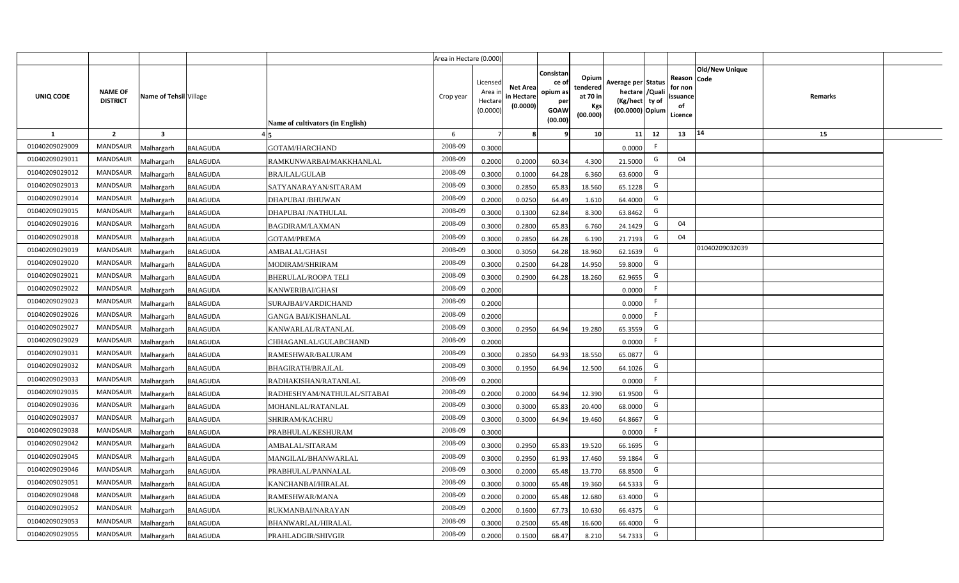|                |                                   |                         |                 |                                  | Area in Hectare (0.000) |                                            |                                           |                                                         |                                                         |                                                                            |    |                                                     |                       |         |  |
|----------------|-----------------------------------|-------------------------|-----------------|----------------------------------|-------------------------|--------------------------------------------|-------------------------------------------|---------------------------------------------------------|---------------------------------------------------------|----------------------------------------------------------------------------|----|-----------------------------------------------------|-----------------------|---------|--|
| UNIQ CODE      | <b>NAME OF</b><br><b>DISTRICT</b> | Name of Tehsil Village  |                 | Name of cultivators (in English) | Crop year               | Licensed<br>Area ir<br>Hectare<br>(0.0000) | <b>Net Area</b><br>in Hectare<br>(0.0000) | Consistar<br>ce o<br>opium as<br>per<br>GOAW<br>(00.00) | Opium<br>tendered<br>at 70 in<br><b>Kgs</b><br>(00.000) | Average per Status<br>hectare / Quali<br>(Kg/hect ty of<br>(00.0000) Opium |    | Reason Code<br>for non<br>issuance<br>of<br>Licence | <b>Old/New Unique</b> | Remarks |  |
| 1              | $\overline{2}$                    | $\overline{\mathbf{3}}$ |                 |                                  | 6                       | $\overline{7}$                             |                                           |                                                         | 10                                                      | 11                                                                         | 12 | 13                                                  | 14                    | 15      |  |
| 01040209029009 | MANDSAUR                          | <b>Aalhargarh</b>       | <b>BALAGUDA</b> | GOTAM/HARCHAND                   | 2008-09                 | 0.3000                                     |                                           |                                                         |                                                         | 0.0000                                                                     | F. |                                                     |                       |         |  |
| 01040209029011 | <b>MANDSAUR</b>                   | <b>Malhargarh</b>       | <b>BALAGUDA</b> | RAMKUNWARBAI/MAKKHANLAL          | 2008-09                 | 0.2000                                     | 0.2000                                    | 60.34                                                   | 4.300                                                   | 21.5000                                                                    | G  | 04                                                  |                       |         |  |
| 01040209029012 | <b>MANDSAUR</b>                   | <b>Malhargarh</b>       | <b>BALAGUDA</b> | <b>BRAJLAL/GULAB</b>             | 2008-09                 | 0.3000                                     | 0.1000                                    | 64.28                                                   | 6.360                                                   | 63.6000                                                                    | G  |                                                     |                       |         |  |
| 01040209029013 | MANDSAUR                          | <b>Malhargarh</b>       | <b>BALAGUDA</b> | SATYANARAYAN/SITARAM             | 2008-09                 | 0.3000                                     | 0.2850                                    | 65.83                                                   | 18.560                                                  | 65.1228                                                                    | G  |                                                     |                       |         |  |
| 01040209029014 | <b>MANDSAUR</b>                   | <b>Malhargarh</b>       | BALAGUDA        | DHAPUBAI/BHUWAN                  | 2008-09                 | 0.2000                                     | 0.0250                                    | 64.49                                                   | 1.610                                                   | 64.4000                                                                    | G  |                                                     |                       |         |  |
| 01040209029015 | <b>MANDSAUR</b>                   | <b>Malhargarh</b>       | BALAGUDA        | DHAPUBAI /NATHULAL               | 2008-09                 | 0.3000                                     | 0.1300                                    | 62.84                                                   | 8.300                                                   | 63.8462                                                                    | G  |                                                     |                       |         |  |
| 01040209029016 | <b>MANDSAUR</b>                   | <b>Malhargarh</b>       | <b>BALAGUDA</b> | <b>BAGDIRAM/LAXMAN</b>           | 2008-09                 | 0.3000                                     | 0.2800                                    | 65.83                                                   | 6.760                                                   | 24.1429                                                                    | G  | 04                                                  |                       |         |  |
| 01040209029018 | <b>MANDSAUR</b>                   | <b>Malhargarh</b>       | <b>BALAGUDA</b> | <b>GOTAM/PREMA</b>               | 2008-09                 | 0.3000                                     | 0.2850                                    | 64.28                                                   | 6.190                                                   | 21.7193                                                                    | G  | 04                                                  |                       |         |  |
| 01040209029019 | <b>MANDSAUR</b>                   | <b>Malhargarh</b>       | <b>BALAGUDA</b> | AMBALAL/GHASI                    | 2008-09                 | 0.3000                                     | 0.3050                                    | 64.28                                                   | 18.960                                                  | 62.1639                                                                    | G  |                                                     | 01040209032039        |         |  |
| 01040209029020 | <b>MANDSAUR</b>                   | <b>Malhargarh</b>       | <b>BALAGUDA</b> | MODIRAM/SHRIRAM                  | 2008-09                 | 0.3000                                     | 0.2500                                    | 64.28                                                   | 14.950                                                  | 59.8000                                                                    | G  |                                                     |                       |         |  |
| 01040209029021 | <b>MANDSAUR</b>                   | <b>Malhargarh</b>       | <b>BALAGUDA</b> | <b>BHERULAL/ROOPA TELI</b>       | 2008-09                 | 0.3000                                     | 0.2900                                    | 64.28                                                   | 18.260                                                  | 62.9655                                                                    | G  |                                                     |                       |         |  |
| 01040209029022 | <b>MANDSAUR</b>                   | <b>Malhargarh</b>       | <b>BALAGUDA</b> | KANWERIBAI/GHASI                 | 2008-09                 | 0.2000                                     |                                           |                                                         |                                                         | 0.0000                                                                     | F. |                                                     |                       |         |  |
| 01040209029023 | <b>MANDSAUR</b>                   | <b>Malhargarh</b>       | BALAGUDA        | SURAJBAI/VARDICHAND              | 2008-09                 | 0.2000                                     |                                           |                                                         |                                                         | 0.0000                                                                     | F. |                                                     |                       |         |  |
| 01040209029026 | <b>MANDSAUR</b>                   | <b>Malhargarh</b>       | BALAGUDA        | <b>GANGA BAI/KISHANLAL</b>       | 2008-09                 | 0.2000                                     |                                           |                                                         |                                                         | 0.0000                                                                     | F  |                                                     |                       |         |  |
| 01040209029027 | <b>MANDSAUR</b>                   | <b>Malhargarh</b>       | BALAGUDA        | KANWARLAL/RATANLAL               | 2008-09                 | 0.3000                                     | 0.2950                                    | 64.94                                                   | 19.280                                                  | 65.3559                                                                    | G  |                                                     |                       |         |  |
| 01040209029029 | <b>MANDSAUR</b>                   | Malhargarh              | <b>BALAGUDA</b> | CHHAGANLAL/GULABCHAND            | 2008-09                 | 0.2000                                     |                                           |                                                         |                                                         | 0.0000                                                                     | F. |                                                     |                       |         |  |
| 01040209029031 | <b>MANDSAUR</b>                   | <b>Malhargarh</b>       | <b>BALAGUDA</b> | RAMESHWAR/BALURAM                | 2008-09                 | 0.3000                                     | 0.2850                                    | 64.93                                                   | 18.550                                                  | 65.0877                                                                    | G  |                                                     |                       |         |  |
| 01040209029032 | <b>MANDSAUR</b>                   | <b>Malhargarh</b>       | <b>BALAGUDA</b> | <b>BHAGIRATH/BRAJLAL</b>         | 2008-09                 | 0.3000                                     | 0.1950                                    | 64.94                                                   | 12.500                                                  | 64.1026                                                                    | G  |                                                     |                       |         |  |
| 01040209029033 | <b>MANDSAUR</b>                   | <b>Malhargarh</b>       | BALAGUDA        | RADHAKISHAN/RATANLAL             | 2008-09                 | 0.2000                                     |                                           |                                                         |                                                         | 0.0000                                                                     | F. |                                                     |                       |         |  |
| 01040209029035 | <b>MANDSAUR</b>                   | Malhargarh              | <b>BALAGUDA</b> | RADHESHYAM/NATHULAL/SITABAI      | 2008-09                 | 0.2000                                     | 0.2000                                    | 64.94                                                   | 12.390                                                  | 61.9500                                                                    | G  |                                                     |                       |         |  |
| 01040209029036 | <b>MANDSAUR</b>                   | <b>Malhargarh</b>       | <b>BALAGUDA</b> | MOHANLAL/RATANLAL                | 2008-09                 | 0.3000                                     | 0.3000                                    | 65.83                                                   | 20.400                                                  | 68.0000                                                                    | G  |                                                     |                       |         |  |
| 01040209029037 | <b>MANDSAUR</b>                   | <b>Malhargarh</b>       | BALAGUDA        | SHRIRAM/KACHRU                   | 2008-09                 | 0.3000                                     | 0.3000                                    | 64.94                                                   | 19.460                                                  | 64.8667                                                                    | G  |                                                     |                       |         |  |
| 01040209029038 | <b>MANDSAUR</b>                   | <b>Aalhargarh</b>       | BALAGUDA        | PRABHULAL/KESHURAM               | 2008-09                 | 0.3000                                     |                                           |                                                         |                                                         | 0.0000                                                                     | -F |                                                     |                       |         |  |
| 01040209029042 | <b>MANDSAUR</b>                   | <b>Malhargarh</b>       | BALAGUDA        | AMBALAL/SITARAM                  | 2008-09                 | 0.3000                                     | 0.2950                                    | 65.83                                                   | 19.520                                                  | 66.1695                                                                    | G  |                                                     |                       |         |  |
| 01040209029045 | <b>MANDSAUR</b>                   | <b>Malhargarh</b>       | <b>BALAGUDA</b> | MANGILAL/BHANWARLAL              | 2008-09                 | 0.3000                                     | 0.2950                                    | 61.93                                                   | 17.460                                                  | 59.1864                                                                    | G  |                                                     |                       |         |  |
| 01040209029046 | <b>MANDSAUR</b>                   | <b>Malhargarh</b>       | <b>BALAGUDA</b> | PRABHULAL/PANNALAL               | 2008-09                 | 0.3000                                     | 0.2000                                    | 65.48                                                   | 13.770                                                  | 68.8500                                                                    | G  |                                                     |                       |         |  |
| 01040209029051 | <b>MANDSAUR</b>                   | <b>Malhargarh</b>       | BALAGUDA        | KANCHANBAI/HIRALAL               | 2008-09                 | 0.3000                                     | 0.3000                                    | 65.48                                                   | 19.360                                                  | 64.5333                                                                    | G  |                                                     |                       |         |  |
| 01040209029048 | <b>MANDSAUR</b>                   | <b>Malhargarh</b>       | <b>BALAGUDA</b> | RAMESHWAR/MANA                   | 2008-09                 | 0.2000                                     | 0.2000                                    | 65.48                                                   | 12.680                                                  | 63.4000                                                                    | G  |                                                     |                       |         |  |
| 01040209029052 | <b>MANDSAUR</b>                   | <b>Malhargarh</b>       | <b>BALAGUDA</b> | RUKMANBAI/NARAYAN                | 2008-09                 | 0.2000                                     | 0.1600                                    | 67.73                                                   | 10.630                                                  | 66.4375                                                                    | G  |                                                     |                       |         |  |
| 01040209029053 | <b>MANDSAUR</b>                   | <b>Malhargarh</b>       | <b>BALAGUDA</b> | BHANWARLAL/HIRALAL               | 2008-09                 | 0.3000                                     | 0.2500                                    | 65.48                                                   | 16.600                                                  | 66.4000                                                                    | G  |                                                     |                       |         |  |
| 01040209029055 | <b>MANDSAUR</b>                   | Malhargarh              | <b>BALAGUDA</b> | PRAHLADGIR/SHIVGIR               | 2008-09                 | 0.2000                                     | 0.1500                                    | 68.47                                                   | 8.210                                                   | 54.7333                                                                    | G  |                                                     |                       |         |  |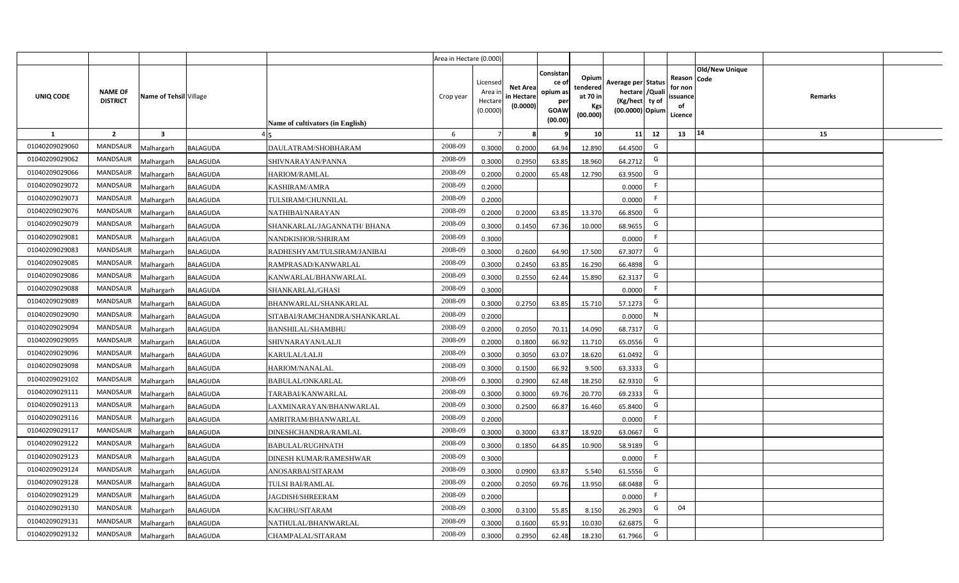|                |                                   |                         |                                                  | Area in Hectare (0.000) |                                            |                                           |                                                         |                                                         |                                                                            |    |                                                                              |         |  |
|----------------|-----------------------------------|-------------------------|--------------------------------------------------|-------------------------|--------------------------------------------|-------------------------------------------|---------------------------------------------------------|---------------------------------------------------------|----------------------------------------------------------------------------|----|------------------------------------------------------------------------------|---------|--|
| UNIQ CODE      | <b>NAME OF</b><br><b>DISTRICT</b> | Name of Tehsil Village  | Name of cultivators (in English)                 | Crop year               | Licensed<br>Area ir<br>Hectare<br>(0.0000) | <b>Net Area</b><br>in Hectare<br>(0.0000) | Consistar<br>ce o<br>opium as<br>per<br>GOAW<br>(00.00) | Opium<br>tendered<br>at 70 in<br><b>Kgs</b><br>(00.000) | Average per Status<br>hectare / Quali<br>(Kg/hect ty of<br>(00.0000) Opium |    | <b>Old/New Unique</b><br>Reason Code<br>for non<br>issuance<br>of<br>Licence | Remarks |  |
| 1              | $\overline{2}$                    | $\overline{\mathbf{3}}$ |                                                  | 6                       | 7                                          |                                           |                                                         | 10                                                      | 11                                                                         | 12 | 14<br>13                                                                     | 15      |  |
| 01040209029060 | MANDSAUR                          | <b>Aalhargarh</b>       | <b>BALAGUDA</b><br>DAULATRAM/SHOBHARAM           | 2008-09                 | 0.3000                                     | 0.2000                                    | 64.94                                                   | 12.890                                                  | 64.4500                                                                    | G  |                                                                              |         |  |
| 01040209029062 | <b>MANDSAUR</b>                   | <b>Malhargarh</b>       | <b>BALAGUDA</b><br>SHIVNARAYAN/PANNA             | 2008-09                 | 0.3000                                     | 0.2950                                    | 63.85                                                   | 18.960                                                  | 64.2712                                                                    | G  |                                                                              |         |  |
| 01040209029066 | <b>MANDSAUR</b>                   | <b>Malhargarh</b>       | <b>BALAGUDA</b><br>HARIOM/RAMLAL                 | 2008-09                 | 0.2000                                     | 0.2000                                    | 65.48                                                   | 12.790                                                  | 63.9500                                                                    | G  |                                                                              |         |  |
| 01040209029072 | MANDSAUR                          | <b>Malhargarh</b>       | <b>BALAGUDA</b><br>KASHIRAM/AMRA                 | 2008-09                 | 0.2000                                     |                                           |                                                         |                                                         | 0.0000                                                                     | F. |                                                                              |         |  |
| 01040209029073 | <b>MANDSAUR</b>                   | <b>Malhargarh</b>       | <b>BALAGUDA</b><br>TULSIRAM/CHUNNILAL            | 2008-09                 | 0.2000                                     |                                           |                                                         |                                                         | 0.0000                                                                     | F. |                                                                              |         |  |
| 01040209029076 | <b>MANDSAUR</b>                   | <b>Malhargarh</b>       | BALAGUDA<br>NATHIBAI/NARAYAN                     | 2008-09                 | 0.2000                                     | 0.2000                                    | 63.85                                                   | 13.370                                                  | 66.8500                                                                    | G  |                                                                              |         |  |
| 01040209029079 | <b>MANDSAUR</b>                   | <b>Malhargarh</b>       | <b>BALAGUDA</b><br>SHANKARLAL/JAGANNATH/ BHANA   | 2008-09                 | 0.3000                                     | 0.1450                                    | 67.36                                                   | 10.000                                                  | 68.9655                                                                    | G  |                                                                              |         |  |
| 01040209029081 | <b>MANDSAUR</b>                   | <b>Malhargarh</b>       | <b>BALAGUDA</b><br>NANDKISHOR/SHRIRAM            | 2008-09                 | 0.3000                                     |                                           |                                                         |                                                         | 0.0000                                                                     | F. |                                                                              |         |  |
| 01040209029083 | <b>MANDSAUR</b>                   | <b>Malhargarh</b>       | <b>BALAGUDA</b><br>RADHESHYAM/TULSIRAM/JANIBAI   | 2008-09                 | 0.3000                                     | 0.2600                                    | 64.90                                                   | 17.500                                                  | 67.3077                                                                    | G  |                                                                              |         |  |
| 01040209029085 | <b>MANDSAUR</b>                   | <b>Malhargarh</b>       | <b>BALAGUDA</b><br>RAMPRASAD/KANWARLAL           | 2008-09                 | 0.3000                                     | 0.2450                                    | 63.85                                                   | 16.290                                                  | 66.4898                                                                    | G  |                                                                              |         |  |
| 01040209029086 | <b>MANDSAUR</b>                   | <b>Malhargarh</b>       | <b>BALAGUDA</b><br>KANWARLAL/BHANWARLAL          | 2008-09                 | 0.3000                                     | 0.2550                                    | 62.44                                                   | 15.890                                                  | 62.3137                                                                    | G  |                                                                              |         |  |
| 01040209029088 | <b>MANDSAUR</b>                   | <b>Malhargarh</b>       | <b>BALAGUDA</b><br>SHANKARLAL/GHASI              | 2008-09                 | 0.3000                                     |                                           |                                                         |                                                         | 0.0000                                                                     | F. |                                                                              |         |  |
| 01040209029089 | <b>MANDSAUR</b>                   | <b>Malhargarh</b>       | <b>BALAGUDA</b><br>BHANWARLAL/SHANKARLAL         | 2008-09                 | 0.3000                                     | 0.2750                                    | 63.85                                                   | 15.710                                                  | 57.1273                                                                    | G  |                                                                              |         |  |
| 01040209029090 | <b>MANDSAUR</b>                   | <b>Malhargarh</b>       | <b>BALAGUDA</b><br>SITABAI/RAMCHANDRA/SHANKARLAL | 2008-09                 | 0.2000                                     |                                           |                                                         |                                                         | 0.0000                                                                     | N  |                                                                              |         |  |
| 01040209029094 | <b>MANDSAUR</b>                   | <b>Malhargarh</b>       | BALAGUDA<br><b>BANSHILAL/SHAMBHU</b>             | 2008-09                 | 0.2000                                     | 0.2050                                    | 70.11                                                   | 14.090                                                  | 68.7317                                                                    | G  |                                                                              |         |  |
| 01040209029095 | <b>MANDSAUR</b>                   | Malhargarh              | <b>BALAGUDA</b><br>SHIVNARAYAN/LALJI             | 2008-09                 | 0.2000                                     | 0.1800                                    | 66.92                                                   | 11.710                                                  | 65.0556                                                                    | G  |                                                                              |         |  |
| 01040209029096 | <b>MANDSAUR</b>                   | <b>Malhargarh</b>       | <b>BALAGUDA</b><br>KARULAL/LALJI                 | 2008-09                 | 0.3000                                     | 0.3050                                    | 63.07                                                   | 18.620                                                  | 61.0492                                                                    | G  |                                                                              |         |  |
| 01040209029098 | <b>MANDSAUR</b>                   | <b>Malhargarh</b>       | <b>BALAGUDA</b><br>HARIOM/NANALAL                | 2008-09                 | 0.3000                                     | 0.1500                                    | 66.92                                                   | 9.500                                                   | 63.3333                                                                    | G  |                                                                              |         |  |
| 01040209029102 | <b>MANDSAUR</b>                   | <b>Malhargarh</b>       | BALAGUDA<br><b>BABULAL/ONKARLAL</b>              | 2008-09                 | 0.3000                                     | 0.2900                                    | 62.48                                                   | 18.250                                                  | 62.931                                                                     | G  |                                                                              |         |  |
| 01040209029111 | <b>MANDSAUR</b>                   | Malhargarh              | <b>BALAGUDA</b><br>TARABAI/KANWARLAL             | 2008-09                 | 0.3000                                     | 0.3000                                    | 69.7                                                    | 20.770                                                  | 69.2333                                                                    | G  |                                                                              |         |  |
| 01040209029113 | <b>MANDSAUR</b>                   | <b>Malhargarh</b>       | <b>BALAGUDA</b><br>LAXMINARAYAN/BHANWARLAL       | 2008-09                 | 0.3000                                     | 0.2500                                    | 66.87                                                   | 16.460                                                  | 65.8400                                                                    | G  |                                                                              |         |  |
| 01040209029116 | <b>MANDSAUR</b>                   | <b>Malhargarh</b>       | BALAGUDA<br>AMRITRAM/BHANWARLAL                  | 2008-09                 | 0.2000                                     |                                           |                                                         |                                                         | 0.0000                                                                     | F. |                                                                              |         |  |
| 01040209029117 | <b>MANDSAUR</b>                   | <b>Aalhargarh</b>       | BALAGUDA<br>DINESHCHANDRA/RAMLAL                 | 2008-09                 | 0.3000                                     | 0.3000                                    | 63.87                                                   | 18.920                                                  | 63.0667                                                                    | G  |                                                                              |         |  |
| 01040209029122 | <b>MANDSAUR</b>                   | <b>Malhargarh</b>       | BALAGUDA<br><b>BABULAL/RUGHNATH</b>              | 2008-09                 | 0.3000                                     | 0.1850                                    | 64.85                                                   | 10.900                                                  | 58.9189                                                                    | G  |                                                                              |         |  |
| 01040209029123 | <b>MANDSAUR</b>                   | <b>Malhargarh</b>       | <b>BALAGUDA</b><br>DINESH KUMAR/RAMESHWAR        | 2008-09                 | 0.3000                                     |                                           |                                                         |                                                         | 0.0000                                                                     | F  |                                                                              |         |  |
| 01040209029124 | <b>MANDSAUR</b>                   | <b>Malhargarh</b>       | <b>BALAGUDA</b><br>ANOSARBAI/SITARAM             | 2008-09                 | 0.3000                                     | 0.0900                                    | 63.87                                                   | 5.540                                                   | 61.5556                                                                    | G  |                                                                              |         |  |
| 01040209029128 | <b>MANDSAUR</b>                   | <b>Malhargarh</b>       | <b>BALAGUDA</b><br>TULSI BAI/RAMLAL              | 2008-09                 | 0.2000                                     | 0.2050                                    | 69.76                                                   | 13.950                                                  | 68.0488                                                                    | G  |                                                                              |         |  |
| 01040209029129 | <b>MANDSAUR</b>                   | <b>Malhargarh</b>       | <b>BALAGUDA</b><br><b>JAGDISH/SHREERAM</b>       | 2008-09                 | 0.2000                                     |                                           |                                                         |                                                         | 0.0000                                                                     | F  |                                                                              |         |  |
| 01040209029130 | <b>MANDSAUR</b>                   | <b>Malhargarh</b>       | KACHRU/SITARAM<br><b>BALAGUDA</b>                | 2008-09                 | 0.3000                                     | 0.3100                                    | 55.85                                                   | 8.150                                                   | 26.2903                                                                    | G  | 04                                                                           |         |  |
| 01040209029131 | <b>MANDSAUR</b>                   | <b>Malhargarh</b>       | <b>BALAGUDA</b><br>NATHULAL/BHANWARLAL           | 2008-09                 | 0.3000                                     | 0.1600                                    | 65.91                                                   | 10.030                                                  | 62.6875                                                                    | G  |                                                                              |         |  |
| 01040209029132 | MANDSAUR                          | Malhargarh              | <b>BALAGUDA</b><br>CHAMPALAL/SITARAM             | 2008-09                 | 0.3000                                     | 0.2950                                    | 62.48                                                   | 18.230                                                  | 61.7966                                                                    | G  |                                                                              |         |  |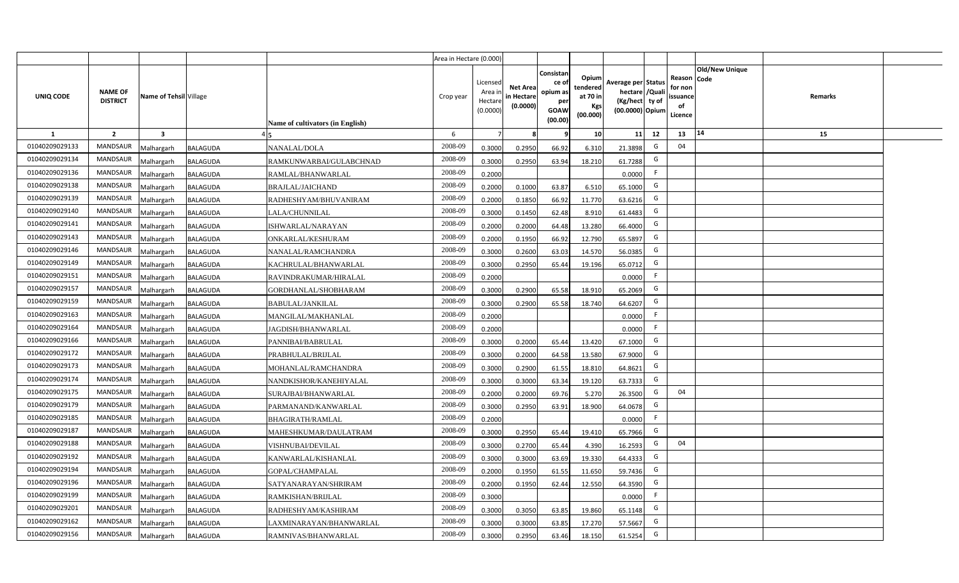|                |                                   |                        |                 |                                  | Area in Hectare (0.000) |                                           |                                           |                                                                 |                                                  |                                                                            |                                                    |                       |         |  |
|----------------|-----------------------------------|------------------------|-----------------|----------------------------------|-------------------------|-------------------------------------------|-------------------------------------------|-----------------------------------------------------------------|--------------------------------------------------|----------------------------------------------------------------------------|----------------------------------------------------|-----------------------|---------|--|
| UNIQ CODE      | <b>NAME OF</b><br><b>DISTRICT</b> | Name of Tehsil Village |                 | Name of cultivators (in English) | Crop year               | Licensed<br>Area i<br>Hectare<br>(0.0000) | <b>Net Area</b><br>in Hectare<br>(0.0000) | Consistan<br>ce of<br>opium as<br>per<br><b>GOAW</b><br>(00.00) | Opium<br>tendered<br>at 70 in<br>Kgs<br>(00.000) | Average per Status<br>hectare / Quali<br>(Kg/hect ty of<br>(00.0000) Opium | Reason Code<br>for non<br>ssuance<br>of<br>Licence | <b>Old/New Unique</b> | Remarks |  |
| $\mathbf{1}$   | $\overline{2}$                    | $\mathbf{3}$           |                 |                                  | 6                       | $\overline{7}$                            | 8                                         | 9                                                               | 10 <sup>1</sup>                                  | 12<br>11                                                                   | 13                                                 | 14                    | 15      |  |
| 01040209029133 | MANDSAUR                          | Malhargarh             | <b>BALAGUDA</b> | NANALAL/DOLA                     | 2008-09                 | 0.3000                                    | 0.2950                                    | 66.92                                                           | 6.310                                            | G<br>21.3898                                                               | 04                                                 |                       |         |  |
| 01040209029134 | <b>MANDSAUR</b>                   | <b>Aalhargarh</b>      | <b>BALAGUDA</b> | RAMKUNWARBAI/GULABCHNAD          | 2008-09                 | 0.3000                                    | 0.2950                                    | 63.94                                                           | 18.210                                           | G<br>61.7288                                                               |                                                    |                       |         |  |
| 01040209029136 | MANDSAUR                          | Malhargarh             | <b>BALAGUDA</b> | RAMLAL/BHANWARLAL                | 2008-09                 | 0.2000                                    |                                           |                                                                 |                                                  | F.<br>0.0000                                                               |                                                    |                       |         |  |
| 01040209029138 | <b>MANDSAUR</b>                   | Malhargarh             | <b>BALAGUDA</b> | <b>BRAJLAL/JAICHAND</b>          | 2008-09                 | 0.2000                                    | 0.1000                                    | 63.87                                                           | 6.510                                            | G<br>65.1000                                                               |                                                    |                       |         |  |
| 01040209029139 | <b>MANDSAUR</b>                   | Malhargarh             | <b>BALAGUDA</b> | RADHESHYAM/BHUVANIRAM            | 2008-09                 | 0.2000                                    | 0.1850                                    | 66.92                                                           | 11.770                                           | G<br>63.6216                                                               |                                                    |                       |         |  |
| 01040209029140 | MANDSAUR                          | Malhargarh             | <b>BALAGUDA</b> | LALA/CHUNNILAL                   | 2008-09                 | 0.3000                                    | 0.1450                                    | 62.48                                                           | 8.910                                            | G<br>61.4483                                                               |                                                    |                       |         |  |
| 01040209029141 | MANDSAUR                          | Malhargarh             | <b>BALAGUDA</b> | ISHWARLAL/NARAYAN                | 2008-09                 | 0.2000                                    | 0.2000                                    | 64.48                                                           | 13.280                                           | G<br>66.4000                                                               |                                                    |                       |         |  |
| 01040209029143 | MANDSAUR                          | Malhargarh             | <b>BALAGUDA</b> | ONKARLAL/KESHURAM                | 2008-09                 | 0.2000                                    | 0.1950                                    | 66.92                                                           | 12.790                                           | G<br>65.5897                                                               |                                                    |                       |         |  |
| 01040209029146 | <b>MANDSAUR</b>                   | Malhargarh             | <b>BALAGUDA</b> | NANALAL/RAMCHANDRA               | 2008-09                 | 0.3000                                    | 0.2600                                    | 63.03                                                           | 14.570                                           | G<br>56.0385                                                               |                                                    |                       |         |  |
| 01040209029149 | <b>MANDSAUR</b>                   | Malhargarh             | <b>BALAGUDA</b> | KACHRULAL/BHANWARLAL             | 2008-09                 | 0.3000                                    | 0.2950                                    | 65.44                                                           | 19.196                                           | G<br>65.0712                                                               |                                                    |                       |         |  |
| 01040209029151 | MANDSAUR                          | Malhargarh             | <b>BALAGUDA</b> | RAVINDRAKUMAR/HIRALAL            | 2008-09                 | 0.2000                                    |                                           |                                                                 |                                                  | F<br>0.0000                                                                |                                                    |                       |         |  |
| 01040209029157 | <b>MANDSAUR</b>                   | Malhargarh             | <b>BALAGUDA</b> | GORDHANLAL/SHOBHARAM             | 2008-09                 | 0.3000                                    | 0.2900                                    | 65.58                                                           | 18.910                                           | G<br>65.2069                                                               |                                                    |                       |         |  |
| 01040209029159 | MANDSAUR                          | Malhargarh             | <b>BALAGUDA</b> | <b>BABULAL/JANKILAL</b>          | 2008-09                 | 0.3000                                    | 0.2900                                    | 65.58                                                           | 18.740                                           | G<br>64.6207                                                               |                                                    |                       |         |  |
| 01040209029163 | <b>MANDSAUR</b>                   | Malhargarh             | <b>BALAGUDA</b> | MANGILAL/MAKHANLAL               | 2008-09                 | 0.2000                                    |                                           |                                                                 |                                                  | F.<br>0.0000                                                               |                                                    |                       |         |  |
| 01040209029164 | <b>MANDSAUR</b>                   | Malhargarh             | <b>BALAGUDA</b> | JAGDISH/BHANWARLAL               | 2008-09                 | 0.2000                                    |                                           |                                                                 |                                                  | F<br>0.0000                                                                |                                                    |                       |         |  |
| 01040209029166 | <b>MANDSAUR</b>                   | Malhargarh             | <b>BALAGUDA</b> | PANNIBAI/BABRULAL                | 2008-09                 | 0.3000                                    | 0.2000                                    | 65.44                                                           | 13.420                                           | G<br>67.1000                                                               |                                                    |                       |         |  |
| 01040209029172 | <b>MANDSAUR</b>                   | Malhargarh             | <b>BALAGUDA</b> | PRABHULAL/BRIJLAL                | 2008-09                 | 0.3000                                    | 0.2000                                    | 64.58                                                           | 13.580                                           | G<br>67.9000                                                               |                                                    |                       |         |  |
| 01040209029173 | <b>MANDSAUR</b>                   | Malhargarh             | <b>BALAGUDA</b> | MOHANLAL/RAMCHANDRA              | 2008-09                 | 0.3000                                    | 0.2900                                    | 61.55                                                           | 18.810                                           | G<br>64.8621                                                               |                                                    |                       |         |  |
| 01040209029174 | <b>MANDSAUR</b>                   | Malhargarh             | <b>BALAGUDA</b> | NANDKISHOR/KANEHIYALAL           | 2008-09                 | 0.3000                                    | 0.3000                                    | 63.34                                                           | 19.120                                           | G<br>63.7333                                                               |                                                    |                       |         |  |
| 01040209029175 | MANDSAUR                          | Malhargarh             | <b>BALAGUDA</b> | SURAJBAI/BHANWARLAL              | 2008-09                 | 0.2000                                    | 0.2000                                    | 69.76                                                           | 5.270                                            | G<br>26.3500                                                               | 04                                                 |                       |         |  |
| 01040209029179 | MANDSAUR                          | Malhargarh             | <b>BALAGUDA</b> | PARMANAND/KANWARLAL              | 2008-09                 | 0.3000                                    | 0.2950                                    | 63.91                                                           | 18.900                                           | G<br>64.0678                                                               |                                                    |                       |         |  |
| 01040209029185 | MANDSAUR                          | Malhargarh             | <b>BALAGUDA</b> | <b>BHAGIRATH/RAMLAL</b>          | 2008-09                 | 0.2000                                    |                                           |                                                                 |                                                  | F.<br>0.0000                                                               |                                                    |                       |         |  |
| 01040209029187 | <b>MANDSAUR</b>                   | Malhargarh             | <b>BALAGUDA</b> | MAHESHKUMAR/DAULATRAM            | 2008-09                 | 0.3000                                    | 0.2950                                    | 65.44                                                           | 19.410                                           | G<br>65.7966                                                               |                                                    |                       |         |  |
| 01040209029188 | MANDSAUR                          | Malhargarh             | <b>BALAGUDA</b> | VISHNUBAI/DEVILAL                | 2008-09                 | 0.3000                                    | 0.2700                                    | 65.44                                                           | 4.390                                            | G<br>16.2593                                                               | 04                                                 |                       |         |  |
| 01040209029192 | MANDSAUR                          | Malhargarh             | <b>BALAGUDA</b> | KANWARLAL/KISHANLAL              | 2008-09                 | 0.3000                                    | 0.3000                                    | 63.69                                                           | 19.330                                           | G<br>64.4333                                                               |                                                    |                       |         |  |
| 01040209029194 | MANDSAUR                          | Malhargarh             | <b>BALAGUDA</b> | <b>GOPAL/CHAMPALAL</b>           | 2008-09                 | 0.2000                                    | 0.1950                                    | 61.55                                                           | 11.650                                           | G<br>59.7436                                                               |                                                    |                       |         |  |
| 01040209029196 | MANDSAUR                          | Malhargarh             | <b>BALAGUDA</b> | SATYANARAYAN/SHRIRAM             | 2008-09                 | 0.2000                                    | 0.1950                                    | 62.44                                                           | 12.550                                           | G<br>64.3590                                                               |                                                    |                       |         |  |
| 01040209029199 | MANDSAUR                          | Malhargarh             | <b>BALAGUDA</b> | RAMKISHAN/BRIJLAL                | 2008-09                 | 0.3000                                    |                                           |                                                                 |                                                  | -F<br>0.0000                                                               |                                                    |                       |         |  |
| 01040209029201 | MANDSAUR                          | Malhargarh             | <b>BALAGUDA</b> | RADHESHYAM/KASHIRAM              | 2008-09                 | 0.3000                                    | 0.3050                                    | 63.85                                                           | 19.860                                           | G<br>65.1148                                                               |                                                    |                       |         |  |
| 01040209029162 | MANDSAUR                          | Malhargarh             | <b>BALAGUDA</b> | LAXMINARAYAN/BHANWARLAL          | 2008-09                 | 0.3000                                    | 0.3000                                    | 63.85                                                           | 17.270                                           | G<br>57.5667                                                               |                                                    |                       |         |  |
| 01040209029156 | MANDSAUR                          | Malhargarh             | <b>BALAGUDA</b> | RAMNIVAS/BHANWARLAL              | 2008-09                 | 0.3000                                    | 0.2950                                    | 63.46                                                           | 18.150                                           | G<br>61.5254                                                               |                                                    |                       |         |  |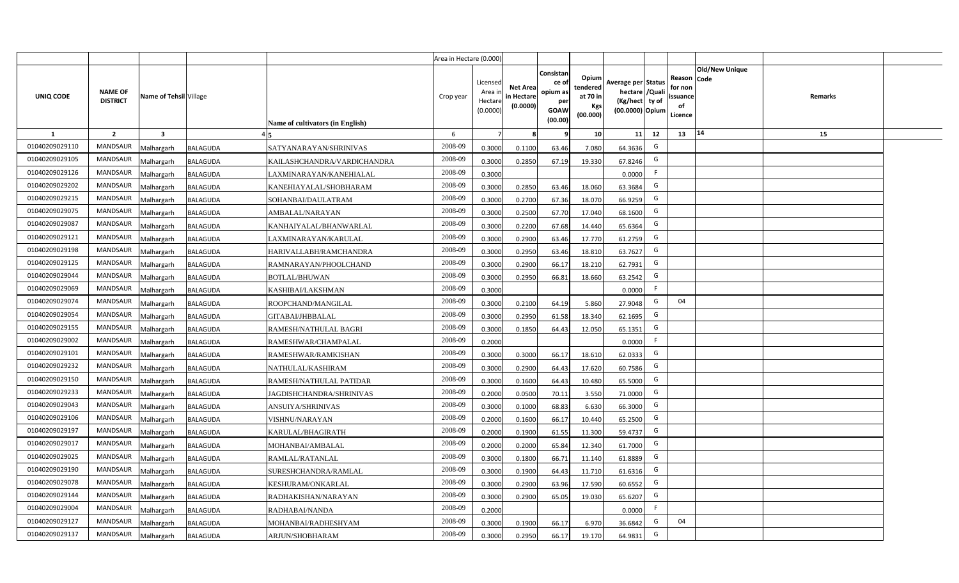|                |                                   |                         |                 |                                  | Area in Hectare (0.000) |                                           |                                           |                                                                |                                                         |                                                                            |                                                     |                       |         |  |
|----------------|-----------------------------------|-------------------------|-----------------|----------------------------------|-------------------------|-------------------------------------------|-------------------------------------------|----------------------------------------------------------------|---------------------------------------------------------|----------------------------------------------------------------------------|-----------------------------------------------------|-----------------------|---------|--|
| UNIQ CODE      | <b>NAME OF</b><br><b>DISTRICT</b> | Name of Tehsil Village  |                 | Name of cultivators (in English) | Crop year               | Licensed<br>Area i<br>Hectare<br>(0.0000) | <b>Net Area</b><br>in Hectare<br>(0.0000) | Consistan<br>ce o<br>opium as<br>per<br><b>GOAW</b><br>(00.00) | Opium<br>tendered<br>at 70 in<br><b>Kgs</b><br>(00.000) | Average per Status<br>hectare / Quali<br>(Kg/hect ty of<br>(00.0000) Opium | Reason Code<br>for non<br>issuance<br>of<br>Licence | <b>Old/New Unique</b> | Remarks |  |
| $\mathbf{1}$   | $\overline{2}$                    | $\overline{\mathbf{3}}$ |                 |                                  | 6                       | $\overline{7}$                            |                                           | 9                                                              | 10 <sup>1</sup>                                         | 11<br>12                                                                   | 13                                                  | 14                    | 15      |  |
| 01040209029110 | <b>MANDSAUR</b>                   | Malhargarh              | <b>BALAGUDA</b> | SATYANARAYAN/SHRINIVAS           | 2008-09                 | 0.3000                                    | 0.1100                                    | 63.46                                                          | 7.080                                                   | G<br>64.3636                                                               |                                                     |                       |         |  |
| 01040209029105 | MANDSAUR                          | Malhargarh              | <b>BALAGUDA</b> | KAILASHCHANDRA/VARDICHANDRA      | 2008-09                 | 0.3000                                    | 0.2850                                    | 67.19                                                          | 19.330                                                  | G<br>67.8246                                                               |                                                     |                       |         |  |
| 01040209029126 | MANDSAUR                          | Malhargarh              | <b>BALAGUDA</b> | LAXMINARAYAN/KANEHIALAL          | 2008-09                 | 0.3000                                    |                                           |                                                                |                                                         | F.<br>0.0000                                                               |                                                     |                       |         |  |
| 01040209029202 | MANDSAUR                          | Malhargarh              | <b>BALAGUDA</b> | KANEHIAYALAL/SHOBHARAM           | 2008-09                 | 0.3000                                    | 0.2850                                    | 63.46                                                          | 18.060                                                  | G<br>63.3684                                                               |                                                     |                       |         |  |
| 01040209029215 | MANDSAUR                          | Malhargarh              | <b>BALAGUDA</b> | SOHANBAI/DAULATRAM               | 2008-09                 | 0.3000                                    | 0.2700                                    | 67.36                                                          | 18.070                                                  | G<br>66.9259                                                               |                                                     |                       |         |  |
| 01040209029075 | <b>MANDSAUR</b>                   | <b>Aalhargarh</b>       | <b>BALAGUDA</b> | AMBALAL/NARAYAN                  | 2008-09                 | 0.3000                                    | 0.2500                                    | 67.70                                                          | 17.040                                                  | G<br>68.1600                                                               |                                                     |                       |         |  |
| 01040209029087 | <b>MANDSAUR</b>                   | Malhargarh              | <b>BALAGUDA</b> | KANHAIYALAL/BHANWARLAL           | 2008-09                 | 0.3000                                    | 0.2200                                    | 67.68                                                          | 14.440                                                  | G<br>65.6364                                                               |                                                     |                       |         |  |
| 01040209029121 | <b>MANDSAUR</b>                   | Malhargarh              | <b>BALAGUDA</b> | LAXMINARAYAN/KARULAL             | 2008-09                 | 0.3000                                    | 0.2900                                    | 63.46                                                          | 17.770                                                  | G<br>61.2759                                                               |                                                     |                       |         |  |
| 01040209029198 | MANDSAUR                          | Malhargarh              | <b>BALAGUDA</b> | HARIVALLABH/RAMCHANDRA           | 2008-09                 | 0.3000                                    | 0.2950                                    | 63.46                                                          | 18.810                                                  | G<br>63.7627                                                               |                                                     |                       |         |  |
| 01040209029125 | <b>MANDSAUR</b>                   | Malhargarh              | <b>BALAGUDA</b> | RAMNARAYAN/PHOOLCHAND            | 2008-09                 | 0.3000                                    | 0.2900                                    | 66.17                                                          | 18.210                                                  | G<br>62.7931                                                               |                                                     |                       |         |  |
| 01040209029044 | <b>MANDSAUR</b>                   | Malhargarh              | <b>BALAGUDA</b> | <b>BOTLAL/BHUWAN</b>             | 2008-09                 | 0.3000                                    | 0.2950                                    | 66.81                                                          | 18.660                                                  | G<br>63.2542                                                               |                                                     |                       |         |  |
| 01040209029069 | <b>MANDSAUR</b>                   | Malhargarh              | <b>BALAGUDA</b> | KASHIBAI/LAKSHMAN                | 2008-09                 | 0.3000                                    |                                           |                                                                |                                                         | F<br>0.0000                                                                |                                                     |                       |         |  |
| 01040209029074 | <b>MANDSAUR</b>                   | Malhargarh              | <b>BALAGUDA</b> | ROOPCHAND/MANGILAL               | 2008-09                 | 0.3000                                    | 0.2100                                    | 64.19                                                          | 5.860                                                   | G<br>27.9048                                                               | 04                                                  |                       |         |  |
| 01040209029054 | MANDSAUR                          | Malhargarh              | <b>BALAGUDA</b> | GITABAI/JHBBALAL                 | 2008-09                 | 0.3000                                    | 0.2950                                    | 61.58                                                          | 18.340                                                  | G<br>62.1695                                                               |                                                     |                       |         |  |
| 01040209029155 | MANDSAUR                          | Malhargarh              | <b>BALAGUDA</b> | RAMESH/NATHULAL BAGRI            | 2008-09                 | 0.3000                                    | 0.1850                                    | 64.43                                                          | 12.050                                                  | G<br>65.1351                                                               |                                                     |                       |         |  |
| 01040209029002 | <b>MANDSAUR</b>                   | Malhargarh              | <b>BALAGUDA</b> | RAMESHWAR/CHAMPALAL              | 2008-09                 | 0.2000                                    |                                           |                                                                |                                                         | F.<br>0.0000                                                               |                                                     |                       |         |  |
| 01040209029101 | <b>MANDSAUR</b>                   | Malhargarh              | <b>BALAGUDA</b> | RAMESHWAR/RAMKISHAN              | 2008-09                 | 0.3000                                    | 0.3000                                    | 66.17                                                          | 18.610                                                  | G<br>62.0333                                                               |                                                     |                       |         |  |
| 01040209029232 | <b>MANDSAUR</b>                   | Malhargarh              | <b>BALAGUDA</b> | NATHULAL/KASHIRAM                | 2008-09                 | 0.3000                                    | 0.2900                                    | 64.43                                                          | 17.620                                                  | G<br>60.7586                                                               |                                                     |                       |         |  |
| 01040209029150 | <b>MANDSAUR</b>                   | Malhargarh              | <b>BALAGUDA</b> | RAMESH/NATHULAL PATIDAR          | 2008-09                 | 0.3000                                    | 0.1600                                    | 64.43                                                          | 10.480                                                  | G<br>65.5000                                                               |                                                     |                       |         |  |
| 01040209029233 | <b>MANDSAUR</b>                   | Malhargarh              | <b>BALAGUDA</b> | JAGDISHCHANDRA/SHRINIVAS         | 2008-09                 | 0.2000                                    | 0.0500                                    | 70.11                                                          | 3.550                                                   | G<br>71.0000                                                               |                                                     |                       |         |  |
| 01040209029043 | <b>MANDSAUR</b>                   | Malhargarh              | <b>BALAGUDA</b> | ANSUIYA/SHRINIVAS                | 2008-09                 | 0.3000                                    | 0.1000                                    | 68.83                                                          | 6.630                                                   | G<br>66.3000                                                               |                                                     |                       |         |  |
| 01040209029106 | <b>MANDSAUR</b>                   | Malhargarh              | <b>BALAGUDA</b> | VISHNU/NARAYAN                   | 2008-09                 | 0.2000                                    | 0.1600                                    | 66.17                                                          | 10.440                                                  | G<br>65.2500                                                               |                                                     |                       |         |  |
| 01040209029197 | <b>MANDSAUR</b>                   | Malhargarh              | <b>BALAGUDA</b> | KARULAL/BHAGIRATH                | 2008-09                 | 0.2000                                    | 0.1900                                    | 61.55                                                          | 11.300                                                  | G<br>59.4737                                                               |                                                     |                       |         |  |
| 01040209029017 | MANDSAUR                          | Malhargarh              | <b>BALAGUDA</b> | MOHANBAI/AMBALAL                 | 2008-09                 | 0.2000                                    | 0.2000                                    | 65.84                                                          | 12.340                                                  | G<br>61.7000                                                               |                                                     |                       |         |  |
| 01040209029025 | <b>MANDSAUR</b>                   | Malhargarh              | <b>BALAGUDA</b> | RAMLAL/RATANLAL                  | 2008-09                 | 0.3000                                    | 0.1800                                    | 66.71                                                          | 11.140                                                  | G<br>61.8889                                                               |                                                     |                       |         |  |
| 01040209029190 | MANDSAUR                          | Malhargarh              | <b>BALAGUDA</b> | SURESHCHANDRA/RAMLAL             | 2008-09                 | 0.3000                                    | 0.1900                                    | 64.43                                                          | 11.710                                                  | G<br>61.6316                                                               |                                                     |                       |         |  |
| 01040209029078 | <b>MANDSAUR</b>                   | Malhargarh              | <b>BALAGUDA</b> | KESHURAM/ONKARLAL                | 2008-09                 | 0.3000                                    | 0.2900                                    | 63.96                                                          | 17.590                                                  | G<br>60.6552                                                               |                                                     |                       |         |  |
| 01040209029144 | MANDSAUR                          | Malhargarh              | <b>BALAGUDA</b> | RADHAKISHAN/NARAYAN              | 2008-09                 | 0.3000                                    | 0.2900                                    | 65.05                                                          | 19.030                                                  | G<br>65.6207                                                               |                                                     |                       |         |  |
| 01040209029004 | <b>MANDSAUR</b>                   | Malhargarh              | <b>BALAGUDA</b> | RADHABAI/NANDA                   | 2008-09                 | 0.2000                                    |                                           |                                                                |                                                         | -F<br>0.0000                                                               |                                                     |                       |         |  |
| 01040209029127 | <b>MANDSAUR</b>                   | Malhargarh              | <b>BALAGUDA</b> | MOHANBAI/RADHESHYAM              | 2008-09                 | 0.3000                                    | 0.1900                                    | 66.17                                                          | 6.970                                                   | G<br>36.6842                                                               | 04                                                  |                       |         |  |
| 01040209029137 | MANDSAUR                          | Malhargarh              | <b>BALAGUDA</b> | ARJUN/SHOBHARAM                  | 2008-09                 | 0.3000                                    | 0.2950                                    | 66.17                                                          | 19.170                                                  | G<br>64.9831                                                               |                                                     |                       |         |  |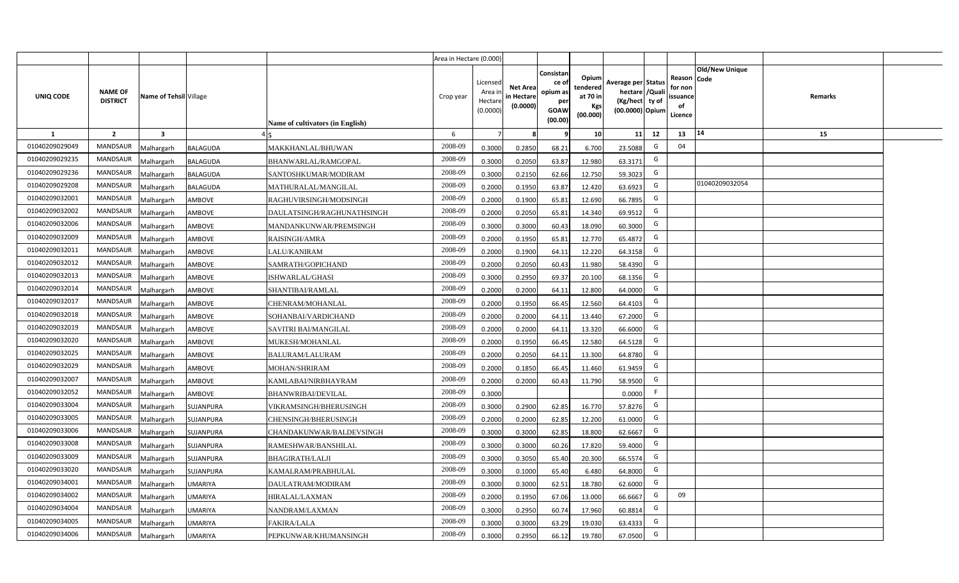|                |                                   |                         |                 |                                  | Area in Hectare (0.000) |                                          |                                           |                                                          |                                                         |                                                                           |    |                                                     |                       |         |  |
|----------------|-----------------------------------|-------------------------|-----------------|----------------------------------|-------------------------|------------------------------------------|-------------------------------------------|----------------------------------------------------------|---------------------------------------------------------|---------------------------------------------------------------------------|----|-----------------------------------------------------|-----------------------|---------|--|
| UNIQ CODE      | <b>NAME OF</b><br><b>DISTRICT</b> | Name of Tehsil Village  |                 | Name of cultivators (in English) | Crop year               | Licensed<br>Area i<br>Hectar<br>(0.0000) | <b>Net Area</b><br>in Hectare<br>(0.0000) | Consistan<br>ce of<br>opium as<br>per<br>GOAW<br>(00.00) | Opium<br>tendered<br>at 70 in<br><b>Kgs</b><br>(00.000) | Average per Status<br>hectare / Qual<br>(Kg/hect ty of<br>(00.0000) Opium |    | Reason Code<br>for nor<br>issuance<br>of<br>Licence | <b>Old/New Unique</b> | Remarks |  |
| 1              | $\overline{2}$                    | $\overline{\mathbf{3}}$ |                 |                                  | 6                       |                                          |                                           |                                                          | 10 <sup>1</sup>                                         | 11                                                                        | 12 | 13                                                  | 14                    | 15      |  |
| 01040209029049 | <b>MANDSAUR</b>                   | Malhargarh              | <b>BALAGUDA</b> | MAKKHANLAL/BHUWAN                | 2008-09                 | 0.3000                                   | 0.2850                                    | 68.21                                                    | 6.700                                                   | 23.5088                                                                   | G  | 04                                                  |                       |         |  |
| 01040209029235 | <b>MANDSAUR</b>                   | Malhargarh              | <b>BALAGUDA</b> | BHANWARLAL/RAMGOPAL              | 2008-09                 | 0.3000                                   | 0.2050                                    | 63.87                                                    | 12.980                                                  | 63.3171                                                                   | G  |                                                     |                       |         |  |
| 01040209029236 | <b>MANDSAUR</b>                   | Malhargarh              | BALAGUDA        | SANTOSHKUMAR/MODIRAM             | 2008-09                 | 0.3000                                   | 0.2150                                    | 62.66                                                    | 12.750                                                  | 59.3023                                                                   | G  |                                                     |                       |         |  |
| 01040209029208 | <b>MANDSAUR</b>                   | Malhargarh              | BALAGUDA        | MATHURALAL/MANGILAL              | 2008-09                 | 0.2000                                   | 0.1950                                    | 63.87                                                    | 12.420                                                  | 63.6923                                                                   | G  |                                                     | 01040209032054        |         |  |
| 01040209032001 | <b>MANDSAUR</b>                   | Malhargarh              | AMBOVE          | RAGHUVIRSINGH/MODSINGH           | 2008-09                 | 0.2000                                   | 0.1900                                    | 65.81                                                    | 12.690                                                  | 66.7895                                                                   | G  |                                                     |                       |         |  |
| 01040209032002 | <b>MANDSAUR</b>                   | Malhargarh              | AMBOVE          | DAULATSINGH/RAGHUNATHSINGH       | 2008-09                 | 0.200                                    | 0.2050                                    | 65.81                                                    | 14.340                                                  | 69.9512                                                                   | G  |                                                     |                       |         |  |
| 01040209032006 | <b>MANDSAUR</b>                   | Malhargarh              | AMBOVE          | MANDANKUNWAR/PREMSINGH           | 2008-09                 | 0.300                                    | 0.3000                                    | 60.43                                                    | 18.090                                                  | 60.3000                                                                   | G  |                                                     |                       |         |  |
| 01040209032009 | <b>MANDSAUR</b>                   | Malhargarh              | AMBOVE          | RAISINGH/AMRA                    | 2008-09                 | 0.200                                    | 0.1950                                    | 65.81                                                    | 12.770                                                  | 65.4872                                                                   | G  |                                                     |                       |         |  |
| 01040209032011 | <b>MANDSAUR</b>                   | Malhargarh              | AMBOVE          | LALU/KANIRAM                     | 2008-09                 | 0.2000                                   | 0.1900                                    | 64.11                                                    | 12.220                                                  | 64.3158                                                                   | G  |                                                     |                       |         |  |
| 01040209032012 | <b>MANDSAUR</b>                   | Malhargarh              | AMBOVE          | SAMRATH/GOPICHAND                | 2008-09                 | 0.2000                                   | 0.2050                                    | 60.43                                                    | 11.980                                                  | 58.4390                                                                   | G  |                                                     |                       |         |  |
| 01040209032013 | <b>MANDSAUR</b>                   | Malhargarh              | AMBOVE          | ISHWARLAL/GHASI                  | 2008-09                 | 0.3000                                   | 0.2950                                    | 69.37                                                    | 20.100                                                  | 68.1356                                                                   | G  |                                                     |                       |         |  |
| 01040209032014 | <b>MANDSAUR</b>                   | Malhargarh              | AMBOVE          | SHANTIBAI/RAMLAL                 | 2008-09                 | 0.2000                                   | 0.2000                                    | 64.11                                                    | 12.800                                                  | 64.0000                                                                   | G  |                                                     |                       |         |  |
| 01040209032017 | <b>MANDSAUR</b>                   | Malhargarh              | AMBOVE          | CHENRAM/MOHANLAL                 | 2008-09                 | 0.2000                                   | 0.1950                                    | 66.45                                                    | 12.560                                                  | 64.4103                                                                   | G  |                                                     |                       |         |  |
| 01040209032018 | <b>MANDSAUR</b>                   | Malhargarh              | AMBOVE          | SOHANBAI/VARDICHAND              | 2008-09                 | 0.2000                                   | 0.2000                                    | 64.11                                                    | 13.440                                                  | 67.2000                                                                   | G  |                                                     |                       |         |  |
| 01040209032019 | <b>MANDSAUR</b>                   | Malhargarh              | AMBOVE          | SAVITRI BAI/MANGILAL             | 2008-09                 | 0.2000                                   | 0.2000                                    | 64.11                                                    | 13.320                                                  | 66.6000                                                                   | G  |                                                     |                       |         |  |
| 01040209032020 | <b>MANDSAUR</b>                   | Malhargarh              | AMBOVE          | MUKESH/MOHANLAL                  | 2008-09                 | 0.2000                                   | 0.1950                                    | 66.45                                                    | 12.580                                                  | 64.5128                                                                   | G  |                                                     |                       |         |  |
| 01040209032025 | <b>MANDSAUR</b>                   | Malhargarh              | AMBOVE          | BALURAM/LALURAM                  | 2008-09                 | 0.2000                                   | 0.2050                                    | 64.11                                                    | 13.300                                                  | 64.8780                                                                   | G  |                                                     |                       |         |  |
| 01040209032029 | <b>MANDSAUR</b>                   | Malhargarh              | AMBOVE          | <b>MOHAN/SHRIRAM</b>             | 2008-09                 | 0.200                                    | 0.1850                                    | 66.45                                                    | 11.460                                                  | 61.9459                                                                   | G  |                                                     |                       |         |  |
| 01040209032007 | <b>MANDSAUR</b>                   | Malhargarh              | AMBOVE          | KAMLABAI/NIRBHAYRAM              | 2008-09                 | 0.2000                                   | 0.2000                                    | 60.43                                                    | 11.790                                                  | 58.9500                                                                   | G  |                                                     |                       |         |  |
| 01040209032052 | <b>MANDSAUR</b>                   | Malhargarh              | AMBOVE          | <b>BHANWRIBAI/DEVILAL</b>        | 2008-09                 | 0.3000                                   |                                           |                                                          |                                                         | 0.0000                                                                    | F. |                                                     |                       |         |  |
| 01040209033004 | <b>MANDSAUR</b>                   | Malhargarh              | SUJANPURA       | VIKRAMSINGH/BHERUSINGH           | 2008-09                 | 0.3000                                   | 0.2900                                    | 62.85                                                    | 16.770                                                  | 57.8276                                                                   | G  |                                                     |                       |         |  |
| 01040209033005 | <b>MANDSAUR</b>                   | Malhargarh              | SUJANPURA       | CHENSINGH/BHERUSINGH             | 2008-09                 | 0.2000                                   | 0.2000                                    | 62.85                                                    | 12.200                                                  | 61.0000                                                                   | G  |                                                     |                       |         |  |
| 01040209033006 | <b>MANDSAUR</b>                   | Malhargarh              | SUJANPURA       | CHANDAKUNWAR/BALDEVSINGH         | 2008-09                 | 0.3000                                   | 0.3000                                    | 62.85                                                    | 18.800                                                  | 62.6667                                                                   | G  |                                                     |                       |         |  |
| 01040209033008 | <b>MANDSAUR</b>                   | Malhargarh              | SUJANPURA       | RAMESHWAR/BANSHILAL              | 2008-09                 | 0.3000                                   | 0.3000                                    | 60.26                                                    | 17.820                                                  | 59.4000                                                                   | G  |                                                     |                       |         |  |
| 01040209033009 | <b>MANDSAUR</b>                   | Malhargarh              | SUJANPURA       | BHAGIRATH/LALJI                  | 2008-09                 | 0.300                                    | 0.3050                                    | 65.40                                                    | 20.300                                                  | 66.5574                                                                   | G  |                                                     |                       |         |  |
| 01040209033020 | <b>MANDSAUR</b>                   | Malhargarh              | SUJANPURA       | KAMALRAM/PRABHULAL               | 2008-09                 | 0.300                                    | 0.1000                                    | 65.40                                                    | 6.480                                                   | 64.8000                                                                   | G  |                                                     |                       |         |  |
| 01040209034001 | <b>MANDSAUR</b>                   | Malhargarh              | <b>JMARIYA</b>  | DAULATRAM/MODIRAM                | 2008-09                 | 0.300                                    | 0.3000                                    | 62.51                                                    | 18.780                                                  | 62.6000                                                                   | G  |                                                     |                       |         |  |
| 01040209034002 | <b>MANDSAUR</b>                   | Malhargarh              | UMARIYA         | HIRALAL/LAXMAN                   | 2008-09                 | 0.2000                                   | 0.1950                                    | 67.06                                                    | 13.000                                                  | 66.6667                                                                   | G  | 09                                                  |                       |         |  |
| 01040209034004 | <b>MANDSAUR</b>                   | Malhargarh              | <b>JMARIYA</b>  | NANDRAM/LAXMAN                   | 2008-09                 | 0.3000                                   | 0.2950                                    | 60.74                                                    | 17.960                                                  | 60.8814                                                                   | G  |                                                     |                       |         |  |
| 01040209034005 | <b>MANDSAUR</b>                   | Malhargarh              | UMARIYA         | FAKIRA/LALA                      | 2008-09                 | 0.3000                                   | 0.3000                                    | 63.29                                                    | 19.030                                                  | 63.4333                                                                   | G  |                                                     |                       |         |  |
| 01040209034006 | <b>MANDSAUR</b>                   | Malhargarh              | <b>UMARIYA</b>  | PEPKUNWAR/KHUMANSINGH            | 2008-09                 | 0.3000                                   | 0.2950                                    | 66.12                                                    | 19.780                                                  | 67.0500                                                                   | G  |                                                     |                       |         |  |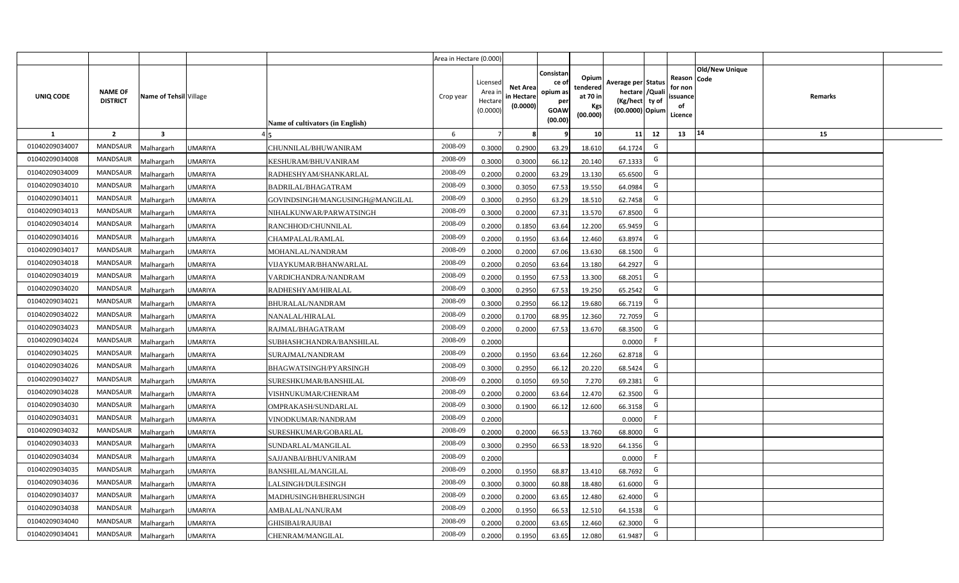|                |                                   |                         |                                                   | Area in Hectare (0.000) |                                            |                                           |                                                         |                                                         |                                                                            |     |                                                                              |         |  |
|----------------|-----------------------------------|-------------------------|---------------------------------------------------|-------------------------|--------------------------------------------|-------------------------------------------|---------------------------------------------------------|---------------------------------------------------------|----------------------------------------------------------------------------|-----|------------------------------------------------------------------------------|---------|--|
| UNIQ CODE      | <b>NAME OF</b><br><b>DISTRICT</b> | Name of Tehsil Village  | Name of cultivators (in English)                  | Crop year               | Licensed<br>Area ir<br>Hectare<br>(0.0000) | <b>Net Area</b><br>in Hectare<br>(0.0000) | Consistar<br>ce o<br>opium as<br>per<br>GOAW<br>(00.00) | Opium<br>tendered<br>at 70 in<br><b>Kgs</b><br>(00.000) | Average per Status<br>hectare / Quali<br>(Kg/hect ty of<br>(00.0000) Opium |     | <b>Old/New Unique</b><br>Reason Code<br>for non<br>issuance<br>of<br>Licence | Remarks |  |
| 1              | $\overline{2}$                    | $\overline{\mathbf{3}}$ |                                                   | 6                       | $\overline{7}$                             |                                           |                                                         | 10                                                      | 11                                                                         | 12  | 14<br>13                                                                     | 15      |  |
| 01040209034007 | MANDSAUR                          | <b>Aalhargarh</b>       | <b>UMARIYA</b><br>CHUNNILAL/BHUWANIRAM            | 2008-09                 | 0.3000                                     | 0.2900                                    | 63.29                                                   | 18.610                                                  | 64.1724                                                                    | G   |                                                                              |         |  |
| 01040209034008 | <b>MANDSAUR</b>                   | <b>Aalhargarh</b>       | <b>UMARIYA</b><br>KESHURAM/BHUVANIRAM             | 2008-09                 | 0.3000                                     | 0.3000                                    | 66.12                                                   | 20.140                                                  | 67.1333                                                                    | G   |                                                                              |         |  |
| 01040209034009 | <b>MANDSAUR</b>                   | <b>Malhargarh</b>       | <b>UMARIYA</b><br>RADHESHYAM/SHANKARLAL           | 2008-09                 | 0.2000                                     | 0.2000                                    | 63.29                                                   | 13.130                                                  | 65.6500                                                                    | G   |                                                                              |         |  |
| 01040209034010 | <b>MANDSAUR</b>                   | <b>Malhargarh</b>       | <b>UMARIYA</b><br><b>BADRILAL/BHAGATRAM</b>       | 2008-09                 | 0.3000                                     | 0.3050                                    | 67.53                                                   | 19.550                                                  | 64.0984                                                                    | G   |                                                                              |         |  |
| 01040209034011 | <b>MANDSAUR</b>                   | <b>Malhargarh</b>       | <b>UMARIYA</b><br>GOVINDSINGH/MANGUSINGH@MANGILAL | 2008-09                 | 0.3000                                     | 0.2950                                    | 63.29                                                   | 18.510                                                  | 62.7458                                                                    | G   |                                                                              |         |  |
| 01040209034013 | <b>MANDSAUR</b>                   | <b>Malhargarh</b>       | <b>UMARIYA</b><br>NIHALKUNWAR/PARWATSINGH         | 2008-09                 | 0.3000                                     | 0.2000                                    | 67.31                                                   | 13.570                                                  | 67.8500                                                                    | G   |                                                                              |         |  |
| 01040209034014 | <b>MANDSAUR</b>                   | <b>Malhargarh</b>       | <b>UMARIYA</b><br>RANCHHOD/CHUNNILAL              | 2008-09                 | 0.2000                                     | 0.1850                                    | 63.64                                                   | 12.200                                                  | 65.9459                                                                    | G   |                                                                              |         |  |
| 01040209034016 | <b>MANDSAUR</b>                   | <b>Malhargarh</b>       | <b>UMARIYA</b><br>CHAMPALAL/RAMLAL                | 2008-09                 | 0.2000                                     | 0.1950                                    | 63.64                                                   | 12.460                                                  | 63.8974                                                                    | G   |                                                                              |         |  |
| 01040209034017 | <b>MANDSAUR</b>                   | <b>Malhargarh</b>       | <b>UMARIYA</b><br>MOHANLAL/NANDRAM                | 2008-09                 | 0.2000                                     | 0.2000                                    | 67.06                                                   | 13.630                                                  | 68.1500                                                                    | G   |                                                                              |         |  |
| 01040209034018 | <b>MANDSAUR</b>                   | <b>Malhargarh</b>       | <b>UMARIYA</b><br>VIJAYKUMAR/BHANWARLAL           | 2008-09                 | 0.2000                                     | 0.2050                                    | 63.64                                                   | 13.180                                                  | 64.2927                                                                    | G   |                                                                              |         |  |
| 01040209034019 | <b>MANDSAUR</b>                   | <b>Malhargarh</b>       | <b>UMARIYA</b><br>VARDICHANDRA/NANDRAM            | 2008-09                 | 0.2000                                     | 0.1950                                    | 67.53                                                   | 13.300                                                  | 68.2051                                                                    | G   |                                                                              |         |  |
| 01040209034020 | <b>MANDSAUR</b>                   | <b>Malhargarh</b>       | <b>UMARIYA</b><br>RADHESHYAM/HIRALAL              | 2008-09                 | 0.3000                                     | 0.2950                                    | 67.53                                                   | 19.250                                                  | 65.2542                                                                    | G   |                                                                              |         |  |
| 01040209034021 | <b>MANDSAUR</b>                   | <b>Malhargarh</b>       | <b>UMARIYA</b><br>BHURALAL/NANDRAM                | 2008-09                 | 0.3000                                     | 0.2950                                    | 66.12                                                   | 19.680                                                  | 66.7119                                                                    | G   |                                                                              |         |  |
| 01040209034022 | <b>MANDSAUR</b>                   | <b>Malhargarh</b>       | <b>UMARIYA</b><br>NANALAL/HIRALAL                 | 2008-09                 | 0.2000                                     | 0.1700                                    | 68.95                                                   | 12.360                                                  | 72.7059                                                                    | G   |                                                                              |         |  |
| 01040209034023 | <b>MANDSAUR</b>                   | <b>Malhargarh</b>       | <b>UMARIYA</b><br>RAJMAL/BHAGATRAM                | 2008-09                 | 0.2000                                     | 0.2000                                    | 67.53                                                   | 13.670                                                  | 68.3500                                                                    | G   |                                                                              |         |  |
| 01040209034024 | <b>MANDSAUR</b>                   | <b>Malhargarh</b>       | <b>UMARIYA</b><br>SUBHASHCHANDRA/BANSHILAL        | 2008-09                 | 0.2000                                     |                                           |                                                         |                                                         | 0.0000                                                                     | F.  |                                                                              |         |  |
| 01040209034025 | <b>MANDSAUR</b>                   | <b>Malhargarh</b>       | <b>UMARIYA</b><br>SURAJMAL/NANDRAM                | 2008-09                 | 0.2000                                     | 0.1950                                    | 63.64                                                   | 12.260                                                  | 62.8718                                                                    | G   |                                                                              |         |  |
| 01040209034026 | <b>MANDSAUR</b>                   | <b>Malhargarh</b>       | <b>UMARIYA</b><br>BHAGWATSINGH/PYARSINGH          | 2008-09                 | 0.3000                                     | 0.2950                                    | 66.12                                                   | 20.220                                                  | 68.5424                                                                    | G   |                                                                              |         |  |
| 01040209034027 | <b>MANDSAUR</b>                   | <b>Malhargarh</b>       | UMARIYA<br>SURESHKUMAR/BANSHILAL                  | 2008-09                 | 0.2000                                     | 0.1050                                    | 69.50                                                   | 7.270                                                   | 69.2381                                                                    | G   |                                                                              |         |  |
| 01040209034028 | <b>MANDSAUR</b>                   | Malhargarh              | UMARIYA<br>VISHNUKUMAR/CHENRAM                    | 2008-09                 | 0.2000                                     | 0.2000                                    | 63.64                                                   | 12.470                                                  | 62.3500                                                                    | G   |                                                                              |         |  |
| 01040209034030 | <b>MANDSAUR</b>                   | <b>Malhargarh</b>       | <b>UMARIYA</b><br>OMPRAKASH/SUNDARLAL             | 2008-09                 | 0.3000                                     | 0.1900                                    | 66.12                                                   | 12.600                                                  | 66.3158                                                                    | G   |                                                                              |         |  |
| 01040209034031 | <b>MANDSAUR</b>                   | <b>Malhargarh</b>       | <b>UMARIYA</b><br>VINODKUMAR/NANDRAM              | 2008-09                 | 0.2000                                     |                                           |                                                         |                                                         | 0.0000                                                                     | F.  |                                                                              |         |  |
| 01040209034032 | <b>MANDSAUR</b>                   | <b>Aalhargarh</b>       | UMARIYA<br>SURESHKUMAR/GOBARLAL                   | 2008-09                 | 0.2000                                     | 0.2000                                    | 66.53                                                   | 13.760                                                  | 68.8000                                                                    | G   |                                                                              |         |  |
| 01040209034033 | <b>MANDSAUR</b>                   | <b>Malhargarh</b>       | <b>UMARIYA</b><br>SUNDARLAL/MANGILAL              | 2008-09                 | 0.3000                                     | 0.2950                                    | 66.53                                                   | 18.920                                                  | 64.1356                                                                    | G   |                                                                              |         |  |
| 01040209034034 | <b>MANDSAUR</b>                   | <b>Malhargarh</b>       | <b>UMARIYA</b><br>SAJJANBAI/BHUVANIRAM            | 2008-09                 | 0.2000                                     |                                           |                                                         |                                                         | 0.0000                                                                     | - F |                                                                              |         |  |
| 01040209034035 | <b>MANDSAUR</b>                   | <b>Malhargarh</b>       | <b>UMARIYA</b><br><b>BANSHILAL/MANGILAL</b>       | 2008-09                 | 0.2000                                     | 0.1950                                    | 68.87                                                   | 13.410                                                  | 68.7692                                                                    | G   |                                                                              |         |  |
| 01040209034036 | <b>MANDSAUR</b>                   | <b>Malhargarh</b>       | <b>UMARIYA</b><br>LALSINGH/DULESINGH              | 2008-09                 | 0.3000                                     | 0.3000                                    | 60.88                                                   | 18.480                                                  | 61.6000                                                                    | G   |                                                                              |         |  |
| 01040209034037 | <b>MANDSAUR</b>                   | <b>Malhargarh</b>       | <b>UMARIYA</b><br>MADHUSINGH/BHERUSINGH           | 2008-09                 | 0.2000                                     | 0.2000                                    | 63.65                                                   | 12.480                                                  | 62.4000                                                                    | G   |                                                                              |         |  |
| 01040209034038 | <b>MANDSAUR</b>                   | <b>Malhargarh</b>       | AMBALAL/NANURAM<br>UMARIYA                        | 2008-09                 | 0.2000                                     | 0.1950                                    | 66.53                                                   | 12.510                                                  | 64.1538                                                                    | G   |                                                                              |         |  |
| 01040209034040 | <b>MANDSAUR</b>                   | <b>Malhargarh</b>       | UMARIYA<br><b>GHISIBAI/RAJUBAI</b>                | 2008-09                 | 0.2000                                     | 0.2000                                    | 63.65                                                   | 12.460                                                  | 62.3000                                                                    | G   |                                                                              |         |  |
| 01040209034041 | MANDSAUR                          | Malhargarh              | <b>UMARIYA</b><br>CHENRAM/MANGILAL                | 2008-09                 | 0.2000                                     | 0.1950                                    | 63.65                                                   | 12.080                                                  | 61.9487                                                                    | G   |                                                                              |         |  |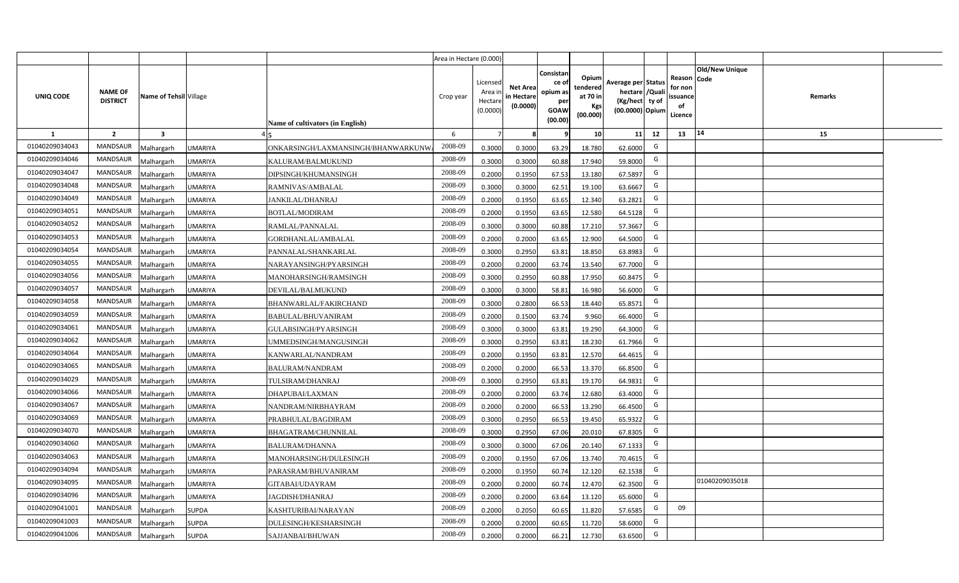|                |                                   |                         |                |                                    | Area in Hectare (0.000) |                                          |                                           |                                                         |                                                         |                                                                           |    |                                                     |                       |         |  |
|----------------|-----------------------------------|-------------------------|----------------|------------------------------------|-------------------------|------------------------------------------|-------------------------------------------|---------------------------------------------------------|---------------------------------------------------------|---------------------------------------------------------------------------|----|-----------------------------------------------------|-----------------------|---------|--|
| UNIQ CODE      | <b>NAME OF</b><br><b>DISTRICT</b> | Name of Tehsil Village  |                | Name of cultivators (in English)   | Crop year               | Licensed<br>Area i<br>Hectar<br>(0.0000) | <b>Net Area</b><br>in Hectare<br>(0.0000) | Consistan<br>ce o<br>opium as<br>per<br>GOAW<br>(00.00) | Opium<br>tendered<br>at 70 in<br><b>Kgs</b><br>(00.000) | Average per Status<br>hectare / Qual<br>(Kg/hect ty of<br>(00.0000) Opium |    | Reason Code<br>for nor<br>issuance<br>of<br>Licence | <b>Old/New Unique</b> | Remarks |  |
| 1              | $\overline{2}$                    | $\overline{\mathbf{3}}$ |                |                                    | 6                       |                                          |                                           |                                                         | 10 <sup>1</sup>                                         | 11                                                                        | 12 | 13                                                  | $ 14\rangle$          | 15      |  |
| 01040209034043 | <b>MANDSAUR</b>                   | Malhargarh              | <b>JMARIYA</b> | ONKARSINGH/LAXMANSINGH/BHANWARKUNW | 2008-09                 | 0.3000                                   | 0.3000                                    | 63.29                                                   | 18.780                                                  | 62.6000                                                                   | G  |                                                     |                       |         |  |
| 01040209034046 | <b>MANDSAUR</b>                   | Malhargarh              | UMARIYA        | KALURAM/BALMUKUND                  | 2008-09                 | 0.3000                                   | 0.3000                                    | 60.88                                                   | 17.940                                                  | 59.8000                                                                   | G  |                                                     |                       |         |  |
| 01040209034047 | <b>MANDSAUR</b>                   | Malhargarh              | UMARIYA        | DIPSINGH/KHUMANSINGH               | 2008-09                 | 0.2000                                   | 0.1950                                    | 67.53                                                   | 13.180                                                  | 67.5897                                                                   | G  |                                                     |                       |         |  |
| 01040209034048 | <b>MANDSAUR</b>                   | Malhargarh              | UMARIYA        | RAMNIVAS/AMBALAL                   | 2008-09                 | 0.3000                                   | 0.3000                                    | 62.51                                                   | 19.100                                                  | 63.6667                                                                   | G  |                                                     |                       |         |  |
| 01040209034049 | <b>MANDSAUR</b>                   | Malhargarh              | UMARIYA        | JANKILAL/DHANRAJ                   | 2008-09                 | 0.2000                                   | 0.1950                                    | 63.65                                                   | 12.340                                                  | 63.2821                                                                   | G  |                                                     |                       |         |  |
| 01040209034051 | <b>MANDSAUR</b>                   | Malhargarh              | UMARIYA        | BOTLAL/MODIRAM                     | 2008-09                 | 0.200                                    | 0.1950                                    | 63.65                                                   | 12.580                                                  | 64.5128                                                                   | G  |                                                     |                       |         |  |
| 01040209034052 | <b>MANDSAUR</b>                   | Malhargarh              | UMARIYA        | RAMLAL/PANNALAL                    | 2008-09                 | 0.300                                    | 0.3000                                    | 60.88                                                   | 17.210                                                  | 57.3667                                                                   | G  |                                                     |                       |         |  |
| 01040209034053 | <b>MANDSAUR</b>                   | Malhargarh              | UMARIYA        | GORDHANLAL/AMBALAL                 | 2008-09                 | 0.200                                    | 0.2000                                    | 63.65                                                   | 12.900                                                  | 64.5000                                                                   | G  |                                                     |                       |         |  |
| 01040209034054 | <b>MANDSAUR</b>                   | Malhargarh              | UMARIYA        | PANNALAL/SHANKARLAL                | 2008-09                 | 0.3000                                   | 0.2950                                    | 63.81                                                   | 18.850                                                  | 63.8983                                                                   | G  |                                                     |                       |         |  |
| 01040209034055 | <b>MANDSAUR</b>                   | Malhargarh              | UMARIYA        | NARAYANSINGH/PYARSINGH             | 2008-09                 | 0.2000                                   | 0.2000                                    | 63.74                                                   | 13.540                                                  | 67.7000                                                                   | G  |                                                     |                       |         |  |
| 01040209034056 | <b>MANDSAUR</b>                   | Malhargarh              | UMARIYA        | MANOHARSINGH/RAMSINGH              | 2008-09                 | 0.3000                                   | 0.2950                                    | 60.88                                                   | 17.950                                                  | 60.8475                                                                   | G  |                                                     |                       |         |  |
| 01040209034057 | <b>MANDSAUR</b>                   | Malhargarh              | UMARIYA        | DEVILAL/BALMUKUND                  | 2008-09                 | 0.3000                                   | 0.3000                                    | 58.81                                                   | 16.980                                                  | 56.6000                                                                   | G  |                                                     |                       |         |  |
| 01040209034058 | <b>MANDSAUR</b>                   | Malhargarh              | UMARIYA        | <b>BHANWARLAL/FAKIRCHAND</b>       | 2008-09                 | 0.3000                                   | 0.2800                                    | 66.53                                                   | 18.440                                                  | 65.8571                                                                   | G  |                                                     |                       |         |  |
| 01040209034059 | <b>MANDSAUR</b>                   | Malhargarh              | UMARIYA        | <b>BABULAL/BHUVANIRAM</b>          | 2008-09                 | 0.2000                                   | 0.1500                                    | 63.74                                                   | 9.960                                                   | 66.4000                                                                   | G  |                                                     |                       |         |  |
| 01040209034061 | <b>MANDSAUR</b>                   | Malhargarh              | UMARIYA        | GULABSINGH/PYARSINGH               | 2008-09                 | 0.3000                                   | 0.3000                                    | 63.81                                                   | 19.290                                                  | 64.3000                                                                   | G  |                                                     |                       |         |  |
| 01040209034062 | <b>MANDSAUR</b>                   | Malhargarh              | <b>UMARIYA</b> | UMMEDSINGH/MANGUSINGH              | 2008-09                 | 0.3000                                   | 0.2950                                    | 63.81                                                   | 18.230                                                  | 61.7966                                                                   | G  |                                                     |                       |         |  |
| 01040209034064 | <b>MANDSAUR</b>                   | Malhargarh              | UMARIYA        | KANWARLAL/NANDRAM                  | 2008-09                 | 0.2000                                   | 0.1950                                    | 63.81                                                   | 12.570                                                  | 64.4615                                                                   | G  |                                                     |                       |         |  |
| 01040209034065 | <b>MANDSAUR</b>                   | Malhargarh              | UMARIYA        | <b>BALURAM/NANDRAM</b>             | 2008-09                 | 0.2000                                   | 0.2000                                    | 66.53                                                   | 13.370                                                  | 66.8500                                                                   | G  |                                                     |                       |         |  |
| 01040209034029 | <b>MANDSAUR</b>                   | Malhargarh              | UMARIYA        | TULSIRAM/DHANRAJ                   | 2008-09                 | 0.3000                                   | 0.2950                                    | 63.81                                                   | 19.170                                                  | 64.9831                                                                   | G  |                                                     |                       |         |  |
| 01040209034066 | <b>MANDSAUR</b>                   | Malhargarh              | <b>JMARIYA</b> | DHAPUBAI/LAXMAN                    | 2008-09                 | 0.2000                                   | 0.2000                                    | 63.74                                                   | 12.680                                                  | 63.4000                                                                   | G  |                                                     |                       |         |  |
| 01040209034067 | <b>MANDSAUR</b>                   | Malhargarh              | <b>JMARIYA</b> | NANDRAM/NIRBHAYRAM                 | 2008-09                 | 0.2000                                   | 0.2000                                    | 66.53                                                   | 13.290                                                  | 66.4500                                                                   | G  |                                                     |                       |         |  |
| 01040209034069 | <b>MANDSAUR</b>                   | Malhargarh              | <b>JMARIYA</b> | PRABHULAL/BAGDIRAM                 | 2008-09                 | 0.3000                                   | 0.2950                                    | 66.53                                                   | 19.450                                                  | 65.9322                                                                   | G  |                                                     |                       |         |  |
| 01040209034070 | <b>MANDSAUR</b>                   | Malhargarh              | <b>JMARIYA</b> | <b>BHAGATRAM/CHUNNILAL</b>         | 2008-09                 | 0.3000                                   | 0.2950                                    | 67.06                                                   | 20.010                                                  | 67.8305                                                                   | G  |                                                     |                       |         |  |
| 01040209034060 | <b>MANDSAUR</b>                   | Malhargarh              | <b>JMARIYA</b> | <b>BALURAM/DHANNA</b>              | 2008-09                 | 0.3000                                   | 0.3000                                    | 67.06                                                   | 20.140                                                  | 67.1333                                                                   | G  |                                                     |                       |         |  |
| 01040209034063 | <b>MANDSAUR</b>                   | Malhargarh              | <b>JMARIYA</b> | MANOHARSINGH/DULESINGH             | 2008-09                 | 0.200                                    | 0.1950                                    | 67.06                                                   | 13.740                                                  | 70.4615                                                                   | G  |                                                     |                       |         |  |
| 01040209034094 | <b>MANDSAUR</b>                   | Malhargarh              | <b>JMARIYA</b> | PARASRAM/BHUVANIRAM                | 2008-09                 | 0.200                                    | 0.1950                                    | 60.74                                                   | 12.120                                                  | 62.1538                                                                   | G  |                                                     |                       |         |  |
| 01040209034095 | <b>MANDSAUR</b>                   | Malhargarh              | <b>JMARIYA</b> | GITABAI/UDAYRAM                    | 2008-09                 | 0.200                                    | 0.2000                                    | 60.74                                                   | 12.470                                                  | 62.3500                                                                   | G  |                                                     | 01040209035018        |         |  |
| 01040209034096 | <b>MANDSAUR</b>                   | Malhargarh              | UMARIYA        | JAGDISH/DHANRAJ                    | 2008-09                 | 0.2000                                   | 0.2000                                    | 63.64                                                   | 13.120                                                  | 65.6000                                                                   | G  |                                                     |                       |         |  |
| 01040209041001 | <b>MANDSAUR</b>                   | Malhargarh              | SUPDA          | KASHTURIBAI/NARAYAN                | 2008-09                 | 0.2000                                   | 0.2050                                    | 60.65                                                   | 11.820                                                  | 57.6585                                                                   | G  | 09                                                  |                       |         |  |
| 01040209041003 | <b>MANDSAUR</b>                   | Malhargarh              | <b>SUPDA</b>   | DULESINGH/KESHARSINGH              | 2008-09                 | 0.2000                                   | 0.2000                                    | 60.65                                                   | 11.720                                                  | 58.6000                                                                   | G  |                                                     |                       |         |  |
| 01040209041006 | <b>MANDSAUR</b>                   | Malhargarh              | <b>SUPDA</b>   | SAJJANBAI/BHUWAN                   | 2008-09                 | 0.2000                                   | 0.2000                                    | 66.21                                                   | 12.730                                                  | 63.6500                                                                   | G  |                                                     |                       |         |  |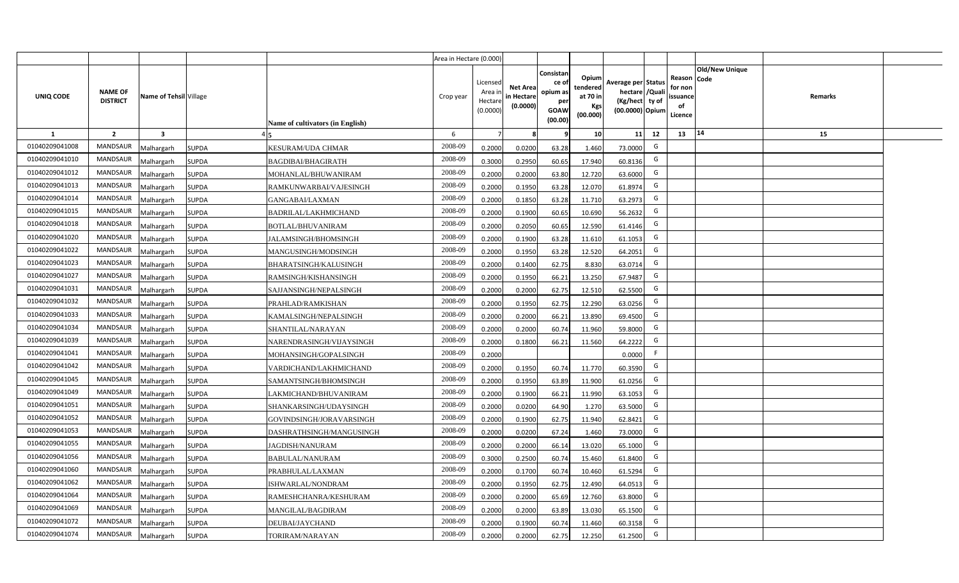|                  |                                   |                         |                                             | Area in Hectare (0.000) |                                            |                                           |                                                                |                                                  |                                                                            |    |                                                                             |         |  |
|------------------|-----------------------------------|-------------------------|---------------------------------------------|-------------------------|--------------------------------------------|-------------------------------------------|----------------------------------------------------------------|--------------------------------------------------|----------------------------------------------------------------------------|----|-----------------------------------------------------------------------------|---------|--|
| <b>UNIQ CODE</b> | <b>NAME OF</b><br><b>DISTRICT</b> | Name of Tehsil Village  | Name of cultivators (in English)            | Crop year               | Licensed<br>Area in<br>Hectare<br>(0.0000) | <b>Net Area</b><br>in Hectare<br>(0.0000) | Consistar<br>ce o<br>opium as<br>per<br><b>GOAW</b><br>(00.00) | Opium<br>tendered<br>at 70 in<br>Kgs<br>(00.000) | Average per Status<br>hectare / Quali<br>(Kg/hect ty of<br>(00.0000) Opium |    | <b>Old/New Unique</b><br>Reason Code<br>for non<br>ssuance<br>of<br>Licence | Remarks |  |
| 1                | $\overline{2}$                    | $\overline{\mathbf{3}}$ |                                             | 6                       | $\overline{7}$                             | -8                                        | - 9                                                            | 10                                               | 11                                                                         | 12 | 14<br>13                                                                    | 15      |  |
| 01040209041008   | MANDSAUR                          | <b>Malhargarh</b>       | <b>SUPDA</b><br><b>KESURAM/UDA CHMAR</b>    | 2008-09                 | 0.2000                                     | 0.0200                                    | 63.28                                                          | 1.460                                            | 73.0000                                                                    | G  |                                                                             |         |  |
| 01040209041010   | <b>MANDSAUR</b>                   | <b>Malhargarh</b>       | <b>SUPDA</b><br><b>BAGDIBAI/BHAGIRATH</b>   | 2008-09                 | 0.3000                                     | 0.2950                                    | 60.65                                                          | 17.940                                           | 60.8136                                                                    | G  |                                                                             |         |  |
| 01040209041012   | <b>MANDSAUR</b>                   | <b>Malhargarh</b>       | <b>SUPDA</b><br>MOHANLAL/BHUWANIRAM         | 2008-09                 | 0.2000                                     | 0.2000                                    | 63.80                                                          | 12.720                                           | 63.6000                                                                    | G  |                                                                             |         |  |
| 01040209041013   | <b>MANDSAUR</b>                   | <b>Malhargarh</b>       | <b>SUPDA</b><br>RAMKUNWARBAI/VAJESINGH      | 2008-09                 | 0.2000                                     | 0.1950                                    | 63.28                                                          | 12.070                                           | 61.8974                                                                    | G  |                                                                             |         |  |
| 01040209041014   | <b>MANDSAUR</b>                   | <b>Malhargarh</b>       | <b>SUPDA</b><br>GANGABAI/LAXMAN             | 2008-09                 | 0.2000                                     | 0.1850                                    | 63.28                                                          | 11.710                                           | 63.2973                                                                    | G  |                                                                             |         |  |
| 01040209041015   | <b>MANDSAUR</b>                   | <b>Malhargarh</b>       | <b>SUPDA</b><br><b>BADRILAL/LAKHMICHAND</b> | 2008-09                 | 0.2000                                     | 0.1900                                    | 60.65                                                          | 10.690                                           | 56.2632                                                                    | G  |                                                                             |         |  |
| 01040209041018   | <b>MANDSAUR</b>                   | <b>Malhargarh</b>       | <b>SUPDA</b><br>BOTLAL/BHUVANIRAM           | 2008-09                 | 0.2000                                     | 0.2050                                    | 60.65                                                          | 12.590                                           | 61.4146                                                                    | G  |                                                                             |         |  |
| 01040209041020   | <b>MANDSAUR</b>                   | <b>Malhargarh</b>       | <b>SUPDA</b><br>JALAMSINGH/BHOMSINGH        | 2008-09                 | 0.2000                                     | 0.1900                                    | 63.28                                                          | 11.610                                           | 61.1053                                                                    | G  |                                                                             |         |  |
| 01040209041022   | <b>MANDSAUR</b>                   | <b>Malhargarh</b>       | <b>SUPDA</b><br>MANGUSINGH/MODSINGH         | 2008-09                 | 0.2000                                     | 0.1950                                    | 63.28                                                          | 12.520                                           | 64.2051                                                                    | G  |                                                                             |         |  |
| 01040209041023   | MANDSAUR                          | <b>Malhargarh</b>       | SUPDA<br>BHARATSINGH/KALUSINGH              | 2008-09                 | 0.2000                                     | 0.1400                                    | 62.75                                                          | 8.830                                            | 63.0714                                                                    | G  |                                                                             |         |  |
| 01040209041027   | <b>MANDSAUR</b>                   | <b>Malhargarh</b>       | <b>SUPDA</b><br>RAMSINGH/KISHANSINGH        | 2008-09                 | 0.2000                                     | 0.1950                                    | 66.21                                                          | 13.250                                           | 67.9487                                                                    | G  |                                                                             |         |  |
| 01040209041031   | <b>MANDSAUR</b>                   | <b>Malhargarh</b>       | <b>SUPDA</b><br>SAJJANSINGH/NEPALSINGH      | 2008-09                 | 0.2000                                     | 0.2000                                    | 62.75                                                          | 12.510                                           | 62.5500                                                                    | G  |                                                                             |         |  |
| 01040209041032   | <b>MANDSAUR</b>                   | <b>Malhargarh</b>       | SUPDA<br>PRAHLAD/RAMKISHAN                  | 2008-09                 | 0.2000                                     | 0.1950                                    | 62.75                                                          | 12.290                                           | 63.0256                                                                    | G  |                                                                             |         |  |
| 01040209041033   | <b>MANDSAUR</b>                   | Malhargarh              | <b>SUPDA</b><br>KAMALSINGH/NEPALSINGH       | 2008-09                 | 0.2000                                     | 0.2000                                    | 66.21                                                          | 13.890                                           | 69.4500                                                                    | G  |                                                                             |         |  |
| 01040209041034   | <b>MANDSAUR</b>                   | Malhargarh              | <b>SUPDA</b><br>SHANTILAL/NARAYAN           | 2008-09                 | 0.2000                                     | 0.2000                                    | 60.74                                                          | 11.960                                           | 59.8000                                                                    | G  |                                                                             |         |  |
| 01040209041039   | MANDSAUR                          | Malhargarh              | <b>SUPDA</b><br>NARENDRASINGH/VIJAYSINGH    | 2008-09                 | 0.2000                                     | 0.1800                                    | 66.21                                                          | 11.560                                           | 64.2222                                                                    | G  |                                                                             |         |  |
| 01040209041041   | <b>MANDSAUR</b>                   | <b>Malhargarh</b>       | <b>SUPDA</b><br>MOHANSINGH/GOPALSINGH       | 2008-09                 | 0.2000                                     |                                           |                                                                |                                                  | 0.0000                                                                     | F. |                                                                             |         |  |
| 01040209041042   | MANDSAUR                          | <b>Malhargarh</b>       | SUPDA<br>VARDICHAND/LAKHMICHAND             | 2008-09                 | 0.2000                                     | 0.1950                                    | 60.74                                                          | 11.770                                           | 60.3590                                                                    | G  |                                                                             |         |  |
| 01040209041045   | <b>MANDSAUR</b>                   | <b>Malhargarh</b>       | <b>SUPDA</b><br>SAMANTSINGH/BHOMSINGH       | 2008-09                 | 0.2000                                     | 0.1950                                    | 63.89                                                          | 11.900                                           | 61.0256                                                                    | G  |                                                                             |         |  |
| 01040209041049   | <b>MANDSAUR</b>                   | Malhargarh              | <b>SUPDA</b><br>LAKMICHAND/BHUVANIRAM       | 2008-09                 | 0.2000                                     | 0.1900                                    | 66.21                                                          | 11.990                                           | 63.1053                                                                    | G  |                                                                             |         |  |
| 01040209041051   | <b>MANDSAUR</b>                   | <b>Malhargarh</b>       | <b>SUPDA</b><br>SHANKARSINGH/UDAYSINGH      | 2008-09                 | 0.2000                                     | 0.0200                                    | 64.90                                                          | 1.270                                            | 63.5000                                                                    | G  |                                                                             |         |  |
| 01040209041052   | <b>MANDSAUR</b>                   | <b>Malhargarh</b>       | <b>SUPDA</b><br>GOVINDSINGH/JORAVARSINGH    | 2008-09                 | 0.2000                                     | 0.1900                                    | 62.75                                                          | 11.940                                           | 62.8421                                                                    | G  |                                                                             |         |  |
| 01040209041053   | MANDSAUR                          | <i>A</i> alhargarh      | SUPDA<br>DASHRATHSINGH/MANGUSINGH           | 2008-09                 | 0.2000                                     | 0.0200                                    | 67.24                                                          | 1.460                                            | 73.0000                                                                    | G  |                                                                             |         |  |
| 01040209041055   | <b>MANDSAUR</b>                   | <b>Malhargarh</b>       | <b>SUPDA</b><br>JAGDISH/NANURAM             | 2008-09                 | 0.2000                                     | 0.2000                                    | 66.14                                                          | 13.020                                           | 65.1000                                                                    | G  |                                                                             |         |  |
| 01040209041056   | <b>MANDSAUR</b>                   | <b>Malhargarh</b>       | <b>SUPDA</b><br>BABULAL/NANURAM             | 2008-09                 | 0.3000                                     | 0.2500                                    | 60.74                                                          | 15.460                                           | 61.8400                                                                    | G  |                                                                             |         |  |
| 01040209041060   | MANDSAUR                          | <b>Malhargarh</b>       | <b>SUPDA</b><br>PRABHULAL/LAXMAN            | 2008-09                 | 0.2000                                     | 0.1700                                    | 60.74                                                          | 10.460                                           | 61.5294                                                                    | G  |                                                                             |         |  |
| 01040209041062   | <b>MANDSAUR</b>                   | <b>Malhargarh</b>       | <b>SUPDA</b><br>ISHWARLAL/NONDRAM           | 2008-09                 | 0.2000                                     | 0.1950                                    | 62.75                                                          | 12.490                                           | 64.0513                                                                    | G  |                                                                             |         |  |
| 01040209041064   | <b>MANDSAUR</b>                   | <b>Malhargarh</b>       | <b>SUPDA</b><br>RAMESHCHANRA/KESHURAM       | 2008-09                 | 0.2000                                     | 0.2000                                    | 65.69                                                          | 12.760                                           | 63.8000                                                                    | G  |                                                                             |         |  |
| 01040209041069   | <b>MANDSAUR</b>                   | <b>Malhargarh</b>       | MANGILAL/BAGDIRAM<br><b>SUPDA</b>           | 2008-09                 | 0.2000                                     | 0.2000                                    | 63.89                                                          | 13.030                                           | 65.1500                                                                    | G  |                                                                             |         |  |
| 01040209041072   | <b>MANDSAUR</b>                   | <b>Malhargarh</b>       | <b>SUPDA</b><br>DEUBAI/JAYCHAND             | 2008-09                 | 0.2000                                     | 0.1900                                    | 60.74                                                          | 11.460                                           | 60.3158                                                                    | G  |                                                                             |         |  |
| 01040209041074   | MANDSAUR                          | Malhargarh              | <b>SUPDA</b><br>TORIRAM/NARAYAN             | 2008-09                 | 0.2000                                     | 0.2000                                    | 62.75                                                          | 12.250                                           | 61.2500                                                                    | G  |                                                                             |         |  |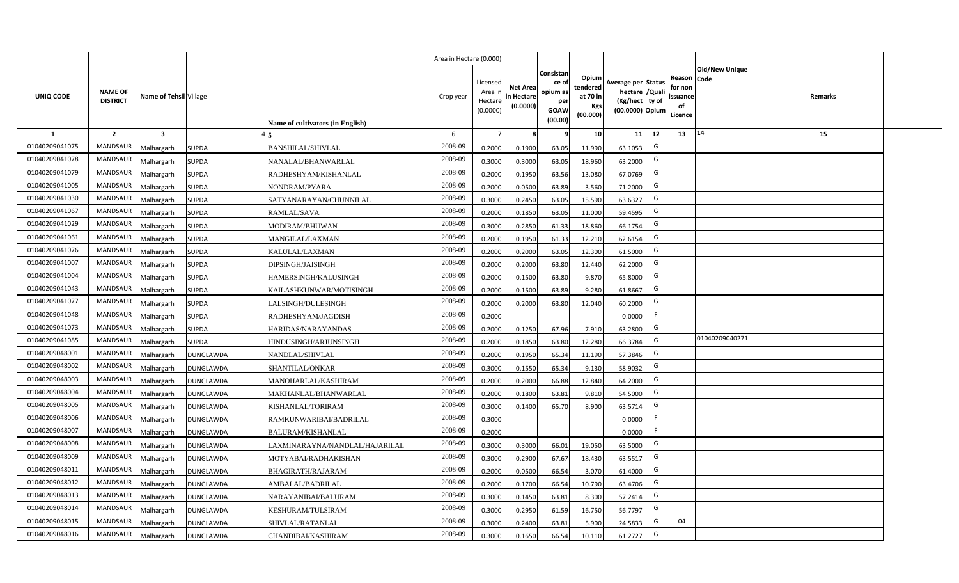|                  |                                   |                         | Area in Hectare (0.000) |                                  |           |                                            |                                           |                                                                |                                                  |                                                                            |    |                                                                             |         |  |
|------------------|-----------------------------------|-------------------------|-------------------------|----------------------------------|-----------|--------------------------------------------|-------------------------------------------|----------------------------------------------------------------|--------------------------------------------------|----------------------------------------------------------------------------|----|-----------------------------------------------------------------------------|---------|--|
| <b>UNIQ CODE</b> | <b>NAME OF</b><br><b>DISTRICT</b> | Name of Tehsil Village  |                         | Name of cultivators (in English) | Crop year | Licensed<br>Area in<br>Hectare<br>(0.0000) | <b>Net Area</b><br>in Hectare<br>(0.0000) | Consistar<br>ce o<br>opium as<br>per<br><b>GOAW</b><br>(00.00) | Opium<br>tendered<br>at 70 in<br>Kgs<br>(00.000) | Average per Status<br>hectare / Quali<br>(Kg/hect ty of<br>(00.0000) Opium |    | <b>Old/New Unique</b><br>Reason Code<br>for non<br>ssuance<br>of<br>Licence | Remarks |  |
| $\mathbf{1}$     | $\overline{2}$                    | $\overline{\mathbf{3}}$ |                         |                                  | 6         | $\overline{7}$                             | -8                                        | ٩                                                              | 10                                               | 11                                                                         | 12 | 14<br>13                                                                    | 15      |  |
| 01040209041075   | MANDSAUR                          | <b>Malhargarh</b>       | <b>SUPDA</b>            | <b>BANSHILAL/SHIVLAL</b>         | 2008-09   | 0.2000                                     | 0.1900                                    | 63.05                                                          | 11.990                                           | 63.1053                                                                    | G  |                                                                             |         |  |
| 01040209041078   | <b>MANDSAUR</b>                   | <b>Malhargarh</b>       | <b>SUPDA</b>            | NANALAL/BHANWARLAL               | 2008-09   | 0.3000                                     | 0.3000                                    | 63.05                                                          | 18.960                                           | 63.2000                                                                    | G  |                                                                             |         |  |
| 01040209041079   | <b>MANDSAUR</b>                   | <b>Malhargarh</b>       | <b>SUPDA</b>            | RADHESHYAM/KISHANLAL             | 2008-09   | 0.2000                                     | 0.1950                                    | 63.56                                                          | 13.080                                           | 67.0769                                                                    | G  |                                                                             |         |  |
| 01040209041005   | <b>MANDSAUR</b>                   | <b>Malhargarh</b>       | <b>SUPDA</b>            | NONDRAM/PYARA                    | 2008-09   | 0.2000                                     | 0.0500                                    | 63.89                                                          | 3.560                                            | 71.2000                                                                    | G  |                                                                             |         |  |
| 01040209041030   | <b>MANDSAUR</b>                   | <b>Malhargarh</b>       | <b>SUPDA</b>            | SATYANARAYAN/CHUNNILAL           | 2008-09   | 0.3000                                     | 0.2450                                    | 63.05                                                          | 15.590                                           | 63.6327                                                                    | G  |                                                                             |         |  |
| 01040209041067   | <b>MANDSAUR</b>                   | <b>Malhargarh</b>       | <b>SUPDA</b>            | RAMLAL/SAVA                      | 2008-09   | 0.2000                                     | 0.1850                                    | 63.05                                                          | 11.000                                           | 59.4595                                                                    | G  |                                                                             |         |  |
| 01040209041029   | <b>MANDSAUR</b>                   | <b>Malhargarh</b>       | <b>SUPDA</b>            | MODIRAM/BHUWAN                   | 2008-09   | 0.3000                                     | 0.2850                                    | 61.33                                                          | 18.860                                           | 66.1754                                                                    | G  |                                                                             |         |  |
| 01040209041061   | <b>MANDSAUR</b>                   | <b>Malhargarh</b>       | <b>SUPDA</b>            | MANGILAL/LAXMAN                  | 2008-09   | 0.2000                                     | 0.1950                                    | 61.33                                                          | 12.210                                           | 62.6154                                                                    | G  |                                                                             |         |  |
| 01040209041076   | <b>MANDSAUR</b>                   | <b>Malhargarh</b>       | <b>SUPDA</b>            | KALULAL/LAXMAN                   | 2008-09   | 0.2000                                     | 0.2000                                    | 63.05                                                          | 12.300                                           | 61.5000                                                                    | G  |                                                                             |         |  |
| 01040209041007   | <b>MANDSAUR</b>                   | <b>Malhargarh</b>       | SUPDA                   | DIPSINGH/JAISINGH                | 2008-09   | 0.2000                                     | 0.2000                                    | 63.80                                                          | 12.440                                           | 62.2000                                                                    | G  |                                                                             |         |  |
| 01040209041004   | <b>MANDSAUR</b>                   | <b>Malhargarh</b>       | <b>SUPDA</b>            | HAMERSINGH/KALUSINGH             | 2008-09   | 0.2000                                     | 0.1500                                    | 63.80                                                          | 9.870                                            | 65.8000                                                                    | G  |                                                                             |         |  |
| 01040209041043   | <b>MANDSAUR</b>                   | <b>Malhargarh</b>       | <b>SUPDA</b>            | KAILASHKUNWAR/MOTISINGH          | 2008-09   | 0.2000                                     | 0.1500                                    | 63.89                                                          | 9.280                                            | 61.8667                                                                    | G  |                                                                             |         |  |
| 01040209041077   | <b>MANDSAUR</b>                   | <b>Malhargarh</b>       | SUPDA                   | LALSINGH/DULESINGH               | 2008-09   | 0.2000                                     | 0.2000                                    | 63.80                                                          | 12.040                                           | 60.2000                                                                    | G  |                                                                             |         |  |
| 01040209041048   | <b>MANDSAUR</b>                   | Malhargarh              | <b>SUPDA</b>            | RADHESHYAM/JAGDISH               | 2008-09   | 0.2000                                     |                                           |                                                                |                                                  | 0.0000                                                                     | F  |                                                                             |         |  |
| 01040209041073   | <b>MANDSAUR</b>                   | Malhargarh              | <b>SUPDA</b>            | HARIDAS/NARAYANDAS               | 2008-09   | 0.2000                                     | 0.1250                                    | 67.96                                                          | 7.910                                            | 63.2800                                                                    | G  |                                                                             |         |  |
| 01040209041085   | MANDSAUR                          | Malhargarh              | <b>SUPDA</b>            | HINDUSINGH/ARJUNSINGH            | 2008-09   | 0.2000                                     | 0.1850                                    | 63.80                                                          | 12.280                                           | 66.3784                                                                    | G  | 01040209040271                                                              |         |  |
| 01040209048001   | <b>MANDSAUR</b>                   | <b>Malhargarh</b>       | DUNGLAWDA               | NANDLAL/SHIVLAL                  | 2008-09   | 0.2000                                     | 0.1950                                    | 65.34                                                          | 11.190                                           | 57.3846                                                                    | G  |                                                                             |         |  |
| 01040209048002   | <b>MANDSAUR</b>                   | <b>Malhargarh</b>       | DUNGLAWDA               | SHANTILAL/ONKAR                  | 2008-09   | 0.3000                                     | 0.1550                                    | 65.34                                                          | 9.130                                            | 58.9032                                                                    | G  |                                                                             |         |  |
| 01040209048003   | <b>MANDSAUR</b>                   | <b>Malhargarh</b>       | DUNGLAWDA               | MANOHARLAL/KASHIRAM              | 2008-09   | 0.2000                                     | 0.2000                                    | 66.88                                                          | 12.840                                           | 64.2000                                                                    | G  |                                                                             |         |  |
| 01040209048004   | <b>MANDSAUR</b>                   | Malhargarh              | DUNGLAWDA               | MAKHANLAL/BHANWARLAL             | 2008-09   | 0.2000                                     | 0.1800                                    | 63.81                                                          | 9.810                                            | 54.5000                                                                    | G  |                                                                             |         |  |
| 01040209048005   | <b>MANDSAUR</b>                   | <b>Malhargarh</b>       | DUNGLAWDA               | KISHANLAL/TORIRAM                | 2008-09   | 0.3000                                     | 0.1400                                    | 65.70                                                          | 8.900                                            | 63.571                                                                     | G  |                                                                             |         |  |
| 01040209048006   | <b>MANDSAUR</b>                   | <b>Malhargarh</b>       | DUNGLAWDA               | RAMKUNWARIBAI/BADRILAL           | 2008-09   | 0.3000                                     |                                           |                                                                |                                                  | 0.0000                                                                     | F  |                                                                             |         |  |
| 01040209048007   | <b>MANDSAUR</b>                   | <i>A</i> alhargarh      | DUNGLAWDA               | BALURAM/KISHANLAL                | 2008-09   | 0.2000                                     |                                           |                                                                |                                                  | 0.0000                                                                     | -F |                                                                             |         |  |
| 01040209048008   | <b>MANDSAUR</b>                   | <b>Malhargarh</b>       | DUNGLAWDA               | LAXMINARAYNA/NANDLAL/HAJARILAL   | 2008-09   | 0.3000                                     | 0.3000                                    | 66.01                                                          | 19.050                                           | 63.5000                                                                    | G  |                                                                             |         |  |
| 01040209048009   | <b>MANDSAUR</b>                   | <b>Malhargarh</b>       | DUNGLAWDA               | MOTYABAI/RADHAKISHAN             | 2008-09   | 0.3000                                     | 0.2900                                    | 67.67                                                          | 18.430                                           | 63.5517                                                                    | G  |                                                                             |         |  |
| 01040209048011   | MANDSAUR                          | <b>Malhargarh</b>       | DUNGLAWDA               | BHAGIRATH/RAJARAM                | 2008-09   | 0.2000                                     | 0.0500                                    | 66.54                                                          | 3.070                                            | 61.4000                                                                    | G  |                                                                             |         |  |
| 01040209048012   | <b>MANDSAUR</b>                   | <b>Malhargarh</b>       | DUNGLAWDA               | AMBALAL/BADRILAL                 | 2008-09   | 0.2000                                     | 0.1700                                    | 66.54                                                          | 10.790                                           | 63.4706                                                                    | G  |                                                                             |         |  |
| 01040209048013   | <b>MANDSAUR</b>                   | <b>Malhargarh</b>       | DUNGLAWDA               | NARAYANIBAI/BALURAM              | 2008-09   | 0.3000                                     | 0.1450                                    | 63.81                                                          | 8.300                                            | 57.2414                                                                    | G  |                                                                             |         |  |
| 01040209048014   | <b>MANDSAUR</b>                   | <b>Malhargarh</b>       | DUNGLAWDA               | KESHURAM/TULSIRAM                | 2008-09   | 0.3000                                     | 0.2950                                    | 61.59                                                          | 16.750                                           | 56.7797                                                                    | G  |                                                                             |         |  |
| 01040209048015   | <b>MANDSAUR</b>                   | <b>Malhargarh</b>       | DUNGLAWDA               | SHIVLAL/RATANLAL                 | 2008-09   | 0.3000                                     | 0.2400                                    | 63.81                                                          | 5.900                                            | 24.5833                                                                    | G  | 04                                                                          |         |  |
| 01040209048016   | MANDSAUR                          | Malhargarh              | <b>DUNGLAWDA</b>        | CHANDIBAI/KASHIRAM               | 2008-09   | 0.3000                                     | 0.1650                                    | 66.54                                                          | 10.110                                           | 61.2727                                                                    | G  |                                                                             |         |  |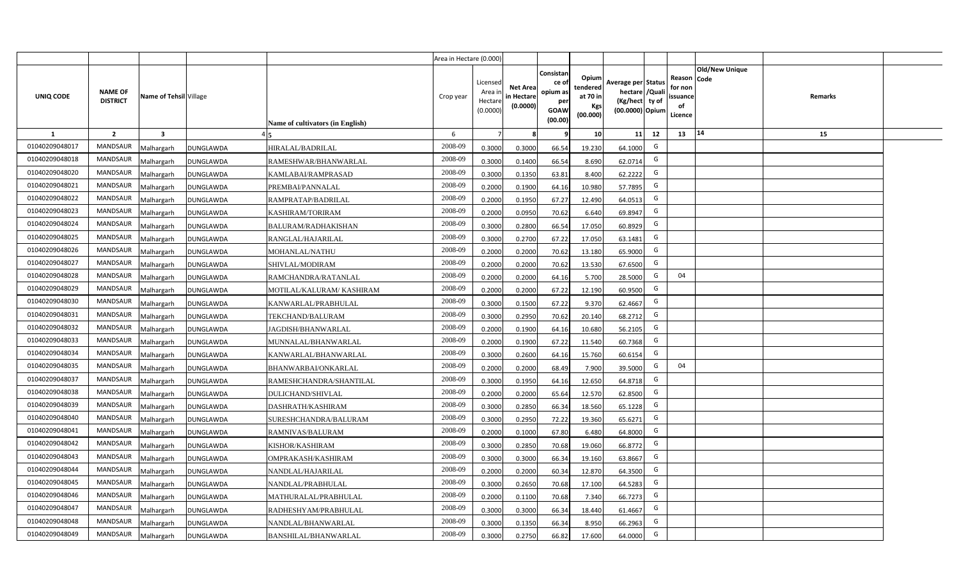|                |                                   |                        |                  |                                  | Area in Hectare (0.000) |                                           |                                           |                                                                 |                                                  |                                                                            |                                                    |                       |         |  |
|----------------|-----------------------------------|------------------------|------------------|----------------------------------|-------------------------|-------------------------------------------|-------------------------------------------|-----------------------------------------------------------------|--------------------------------------------------|----------------------------------------------------------------------------|----------------------------------------------------|-----------------------|---------|--|
| UNIQ CODE      | <b>NAME OF</b><br><b>DISTRICT</b> | Name of Tehsil Village |                  | Name of cultivators (in English) | Crop year               | Licensed<br>Area i<br>Hectare<br>(0.0000) | <b>Net Area</b><br>in Hectare<br>(0.0000) | Consistan<br>ce of<br>opium as<br>per<br><b>GOAW</b><br>(00.00) | Opium<br>tendered<br>at 70 in<br>Kgs<br>(00.000) | Average per Status<br>hectare / Quali<br>(Kg/hect ty of<br>(00.0000) Opium | Reason Code<br>for non<br>ssuance<br>of<br>Licence | <b>Old/New Unique</b> | Remarks |  |
| $\mathbf{1}$   | $\overline{2}$                    | $\mathbf{3}$           |                  |                                  | 6                       | $\overline{7}$                            | 8                                         | 9                                                               | 10 <sup>1</sup>                                  | 11<br>12                                                                   | 13                                                 | 14                    | 15      |  |
| 01040209048017 | MANDSAUR                          | <b>Aalhargarh</b>      | <b>DUNGLAWDA</b> | HIRALAL/BADRILAL                 | 2008-09                 | 0.3000                                    | 0.3000                                    | 66.54                                                           | 19.230                                           | G<br>64.1000                                                               |                                                    |                       |         |  |
| 01040209048018 | <b>MANDSAUR</b>                   | <b>Aalhargarh</b>      | <b>DUNGLAWDA</b> | RAMESHWAR/BHANWARLAL             | 2008-09                 | 0.3000                                    | 0.1400                                    | 66.54                                                           | 8.690                                            | G<br>62.0714                                                               |                                                    |                       |         |  |
| 01040209048020 | MANDSAUR                          | Malhargarh             | <b>DUNGLAWDA</b> | KAMLABAI/RAMPRASAD               | 2008-09                 | 0.3000                                    | 0.1350                                    | 63.81                                                           | 8.400                                            | G<br>62.2222                                                               |                                                    |                       |         |  |
| 01040209048021 | <b>MANDSAUR</b>                   | Vlalhargarh            | <b>DUNGLAWDA</b> | PREMBAI/PANNALAL                 | 2008-09                 | 0.2000                                    | 0.1900                                    | 64.16                                                           | 10.980                                           | G<br>57.7895                                                               |                                                    |                       |         |  |
| 01040209048022 | MANDSAUR                          | Malhargarh             | <b>DUNGLAWDA</b> | RAMPRATAP/BADRILAL               | 2008-09                 | 0.2000                                    | 0.1950                                    | 67.27                                                           | 12.490                                           | G<br>64.0513                                                               |                                                    |                       |         |  |
| 01040209048023 | <b>MANDSAUR</b>                   | Malhargarh             | <b>DUNGLAWDA</b> | KASHIRAM/TORIRAM                 | 2008-09                 | 0.2000                                    | 0.0950                                    | 70.62                                                           | 6.640                                            | G<br>69.8947                                                               |                                                    |                       |         |  |
| 01040209048024 | <b>MANDSAUR</b>                   | Malhargarh             | <b>DUNGLAWDA</b> | BALURAM/RADHAKISHAN              | 2008-09                 | 0.3000                                    | 0.2800                                    | 66.54                                                           | 17.050                                           | G<br>60.8929                                                               |                                                    |                       |         |  |
| 01040209048025 | <b>MANDSAUR</b>                   | Malhargarh             | <b>DUNGLAWDA</b> | RANGLAL/HAJARILAL                | 2008-09                 | 0.3000                                    | 0.2700                                    | 67.22                                                           | 17.050                                           | G<br>63.1481                                                               |                                                    |                       |         |  |
| 01040209048026 | <b>MANDSAUR</b>                   | Malhargarh             | <b>DUNGLAWDA</b> | MOHANLAL/NATHU                   | 2008-09                 | 0.2000                                    | 0.2000                                    | 70.62                                                           | 13.180                                           | G<br>65.9000                                                               |                                                    |                       |         |  |
| 01040209048027 | <b>MANDSAUR</b>                   | Malhargarh             | <b>DUNGLAWDA</b> | SHIVLAL/MODIRAM                  | 2008-09                 | 0.2000                                    | 0.2000                                    | 70.62                                                           | 13.530                                           | G<br>67.6500                                                               |                                                    |                       |         |  |
| 01040209048028 | <b>MANDSAUR</b>                   | Malhargarh             | <b>DUNGLAWDA</b> | RAMCHANDRA/RATANLAL              | 2008-09                 | 0.2000                                    | 0.2000                                    | 64.16                                                           | 5.700                                            | G<br>28.5000                                                               | 04                                                 |                       |         |  |
| 01040209048029 | <b>MANDSAUR</b>                   | Malhargarh             | <b>DUNGLAWDA</b> | MOTILAL/KALURAM/ KASHIRAM        | 2008-09                 | 0.2000                                    | 0.2000                                    | 67.22                                                           | 12.190                                           | G<br>60.9500                                                               |                                                    |                       |         |  |
| 01040209048030 | <b>MANDSAUR</b>                   | Malhargarh             | <b>DUNGLAWDA</b> | KANWARLAL/PRABHULAL              | 2008-09                 | 0.3000                                    | 0.1500                                    | 67.22                                                           | 9.370                                            | G<br>62.4667                                                               |                                                    |                       |         |  |
| 01040209048031 | <b>MANDSAUR</b>                   | Malhargarh             | <b>DUNGLAWDA</b> | TEKCHAND/BALURAM                 | 2008-09                 | 0.3000                                    | 0.2950                                    | 70.62                                                           | 20.140                                           | G<br>68.2712                                                               |                                                    |                       |         |  |
| 01040209048032 | <b>MANDSAUR</b>                   | Malhargarh             | <b>DUNGLAWDA</b> | JAGDISH/BHANWARLAL               | 2008-09                 | 0.2000                                    | 0.1900                                    | 64.16                                                           | 10.680                                           | G<br>56.2105                                                               |                                                    |                       |         |  |
| 01040209048033 | <b>MANDSAUR</b>                   | Malhargarh             | <b>DUNGLAWDA</b> | MUNNALAL/BHANWARLAL              | 2008-09                 | 0.2000                                    | 0.1900                                    | 67.22                                                           | 11.540                                           | G<br>60.7368                                                               |                                                    |                       |         |  |
| 01040209048034 | <b>MANDSAUR</b>                   | Malhargarh             | <b>DUNGLAWDA</b> | KANWARLAL/BHANWARLAL             | 2008-09                 | 0.3000                                    | 0.2600                                    | 64.16                                                           | 15.760                                           | G<br>60.6154                                                               |                                                    |                       |         |  |
| 01040209048035 | <b>MANDSAUR</b>                   | Malhargarh             | <b>DUNGLAWDA</b> | BHANWARBAI/ONKARLAL              | 2008-09                 | 0.2000                                    | 0.2000                                    | 68.49                                                           | 7.900                                            | G<br>39.5000                                                               | 04                                                 |                       |         |  |
| 01040209048037 | <b>MANDSAUR</b>                   | Malhargarh             | <b>DUNGLAWDA</b> | RAMESHCHANDRA/SHANTILAL          | 2008-09                 | 0.3000                                    | 0.1950                                    | 64.16                                                           | 12.650                                           | G<br>64.8718                                                               |                                                    |                       |         |  |
| 01040209048038 | <b>MANDSAUR</b>                   | Malhargarh             | <b>DUNGLAWDA</b> | DULICHAND/SHIVLAL                | 2008-09                 | 0.2000                                    | 0.2000                                    | 65.64                                                           | 12.570                                           | G<br>62.8500                                                               |                                                    |                       |         |  |
| 01040209048039 | <b>MANDSAUR</b>                   | Malhargarh             | <b>DUNGLAWDA</b> | DASHRATH/KASHIRAM                | 2008-09                 | 0.3000                                    | 0.2850                                    | 66.34                                                           | 18.560                                           | G<br>65.1228                                                               |                                                    |                       |         |  |
| 01040209048040 | MANDSAUR                          | Malhargarh             | <b>DUNGLAWDA</b> | SURESHCHANDRA/BALURAM            | 2008-09                 | 0.3000                                    | 0.2950                                    | 72.22                                                           | 19.360                                           | G<br>65.6271                                                               |                                                    |                       |         |  |
| 01040209048041 | <b>MANDSAUR</b>                   | Malhargarh             | <b>DUNGLAWDA</b> | RAMNIVAS/BALURAM                 | 2008-09                 | 0.2000                                    | 0.1000                                    | 67.80                                                           | 6.480                                            | G<br>64.8000                                                               |                                                    |                       |         |  |
| 01040209048042 | <b>MANDSAUR</b>                   | Malhargarh             | <b>DUNGLAWDA</b> | KISHOR/KASHIRAM                  | 2008-09                 | 0.3000                                    | 0.2850                                    | 70.68                                                           | 19.060                                           | G<br>66.8772                                                               |                                                    |                       |         |  |
| 01040209048043 | <b>MANDSAUR</b>                   | Malhargarh             | <b>DUNGLAWDA</b> | OMPRAKASH/KASHIRAM               | 2008-09                 | 0.3000                                    | 0.3000                                    | 66.34                                                           | 19.160                                           | G<br>63.8667                                                               |                                                    |                       |         |  |
| 01040209048044 | MANDSAUR                          | Malhargarh             | <b>DUNGLAWDA</b> | NANDLAL/HAJARILAL                | 2008-09                 | 0.2000                                    | 0.2000                                    | 60.34                                                           | 12.870                                           | G<br>64.3500                                                               |                                                    |                       |         |  |
| 01040209048045 | MANDSAUR                          | Malhargarh             | <b>DUNGLAWDA</b> | NANDLAL/PRABHULAL                | 2008-09                 | 0.3000                                    | 0.2650                                    | 70.68                                                           | 17.100                                           | G<br>64.5283                                                               |                                                    |                       |         |  |
| 01040209048046 | MANDSAUR                          | Malhargarh             | <b>DUNGLAWDA</b> | MATHURALAL/PRABHULAL             | 2008-09                 | 0.2000                                    | 0.1100                                    | 70.68                                                           | 7.340                                            | G<br>66.7273                                                               |                                                    |                       |         |  |
| 01040209048047 | MANDSAUR                          | Malhargarh             | <b>DUNGLAWDA</b> | RADHESHYAM/PRABHULAL             | 2008-09                 | 0.3000                                    | 0.3000                                    | 66.34                                                           | 18.440                                           | G<br>61.4667                                                               |                                                    |                       |         |  |
| 01040209048048 | MANDSAUR                          | Malhargarh             | <b>DUNGLAWDA</b> | NANDLAL/BHANWARLAL               | 2008-09                 | 0.3000                                    | 0.1350                                    | 66.34                                                           | 8.950                                            | G<br>66.2963                                                               |                                                    |                       |         |  |
| 01040209048049 | MANDSAUR                          | Malhargarh             | <b>DUNGLAWDA</b> | BANSHILAL/BHANWARLAL             | 2008-09                 | 0.3000                                    | 0.2750                                    | 66.82                                                           | 17.600                                           | G<br>64.0000                                                               |                                                    |                       |         |  |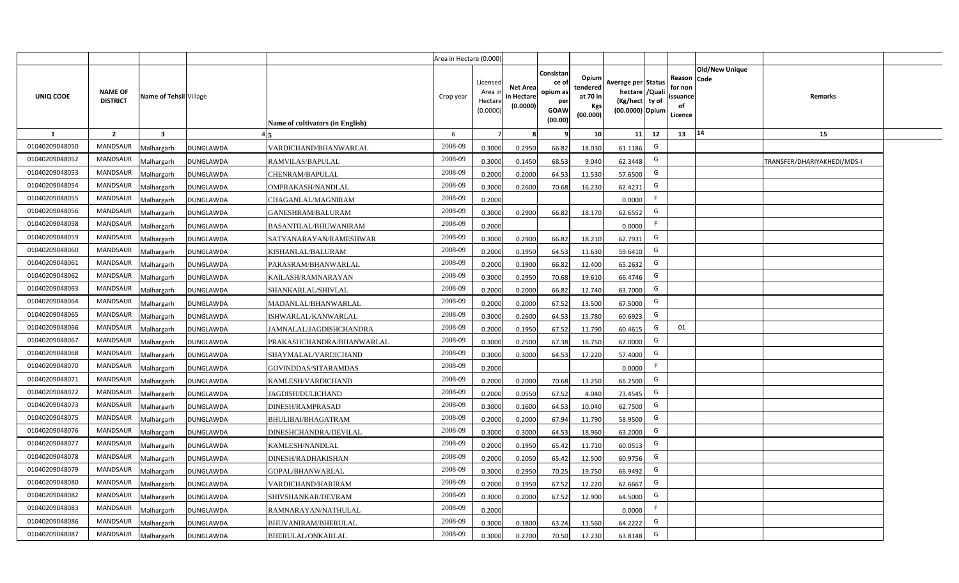|                |                                   |                         |                  |                                  | Area in Hectare (0.000) |                                          |                                           |                                                         |                                                         |                                                                           |    |                                                     |                       |                             |  |
|----------------|-----------------------------------|-------------------------|------------------|----------------------------------|-------------------------|------------------------------------------|-------------------------------------------|---------------------------------------------------------|---------------------------------------------------------|---------------------------------------------------------------------------|----|-----------------------------------------------------|-----------------------|-----------------------------|--|
| UNIQ CODE      | <b>NAME OF</b><br><b>DISTRICT</b> | Name of Tehsil Village  |                  | Name of cultivators (in English) | Crop year               | Licensed<br>Area i<br>Hectar<br>(0.0000) | <b>Net Area</b><br>in Hectare<br>(0.0000) | Consistan<br>ce o<br>opium as<br>per<br>GOAW<br>(00.00) | Opium<br>tendered<br>at 70 in<br><b>Kgs</b><br>(00.000) | Average per Status<br>hectare / Qual<br>(Kg/hect ty of<br>(00.0000) Opium |    | Reason Code<br>for nor<br>issuance<br>of<br>Licence | <b>Old/New Unique</b> | Remarks                     |  |
| 1              | $\overline{2}$                    | $\overline{\mathbf{3}}$ |                  |                                  | 6                       |                                          |                                           |                                                         | 10 <sup>1</sup>                                         | 11                                                                        | 12 | 13                                                  | $ 14\rangle$          | 15                          |  |
| 01040209048050 | <b>MANDSAUR</b>                   | Malhargarh              | <b>DUNGLAWDA</b> | VARDICHAND/BHANWARLAL            | 2008-09                 | 0.3000                                   | 0.2950                                    | 66.82                                                   | 18.030                                                  | 61.1186                                                                   | G  |                                                     |                       |                             |  |
| 01040209048052 | <b>MANDSAUR</b>                   | Malhargarh              | <b>DUNGLAWDA</b> | RAMVILAS/BAPULAL                 | 2008-09                 | 0.3000                                   | 0.1450                                    | 68.53                                                   | 9.040                                                   | 62.3448                                                                   | G  |                                                     |                       | TRANSFER/DHARIYAKHEDI/MDS-I |  |
| 01040209048053 | <b>MANDSAUR</b>                   | Malhargarh              | <b>DUNGLAWDA</b> | CHENRAM/BAPULAL                  | 2008-09                 | 0.2000                                   | 0.2000                                    | 64.53                                                   | 11.530                                                  | 57.6500                                                                   | G  |                                                     |                       |                             |  |
| 01040209048054 | <b>MANDSAUR</b>                   | Malhargarh              | DUNGLAWDA        | OMPRAKASH/NANDLAL                | 2008-09                 | 0.3000                                   | 0.2600                                    | 70.68                                                   | 16.230                                                  | 62.4231                                                                   | G  |                                                     |                       |                             |  |
| 01040209048055 | <b>MANDSAUR</b>                   | Malhargarh              | DUNGLAWDA        | CHAGANLAL/MAGNIRAM               | 2008-09                 | 0.2000                                   |                                           |                                                         |                                                         | 0.0000                                                                    | F. |                                                     |                       |                             |  |
| 01040209048056 | <b>MANDSAUR</b>                   | Malhargarh              | DUNGLAWDA        | GANESHRAM/BALURAM                | 2008-09                 | 0.3000                                   | 0.2900                                    | 66.82                                                   | 18.170                                                  | 62.6552                                                                   | G  |                                                     |                       |                             |  |
| 01040209048058 | <b>MANDSAUR</b>                   | Malhargarh              | DUNGLAWDA        | BASANTILAL/BHUWANIRAM            | 2008-09                 | 0.2000                                   |                                           |                                                         |                                                         | 0.0000                                                                    | F. |                                                     |                       |                             |  |
| 01040209048059 | <b>MANDSAUR</b>                   | Malhargarh              | DUNGLAWDA        | SATYANARAYAN/RAMESHWAR           | 2008-09                 | 0.3000                                   | 0.2900                                    | 66.82                                                   | 18.210                                                  | 62.7931                                                                   | G  |                                                     |                       |                             |  |
| 01040209048060 | <b>MANDSAUR</b>                   | Malhargarh              | DUNGLAWDA        | KISHANLAL/BALURAM                | 2008-09                 | 0.2000                                   | 0.1950                                    | 64.53                                                   | 11.630                                                  | 59.6410                                                                   | G  |                                                     |                       |                             |  |
| 01040209048061 | <b>MANDSAUR</b>                   | Malhargarh              | DUNGLAWDA        | PARASRAM/BHANWARLAL              | 2008-09                 | 0.2000                                   | 0.1900                                    | 66.82                                                   | 12.400                                                  | 65.2632                                                                   | G  |                                                     |                       |                             |  |
| 01040209048062 | MANDSAUR                          | Malhargarh              | <b>DUNGLAWDA</b> | KAILASH/RAMNARAYAN               | 2008-09                 | 0.3000                                   | 0.2950                                    | 70.68                                                   | 19.610                                                  | 66.4746                                                                   | G  |                                                     |                       |                             |  |
| 01040209048063 | <b>MANDSAUR</b>                   | Malhargarh              | <b>DUNGLAWDA</b> | SHANKARLAL/SHIVLAL               | 2008-09                 | 0.2000                                   | 0.2000                                    | 66.82                                                   | 12.740                                                  | 63.7000                                                                   | G  |                                                     |                       |                             |  |
| 01040209048064 | <b>MANDSAUR</b>                   | Malhargarh              | <b>DUNGLAWDA</b> | MADANLAL/BHANWARLAL              | 2008-09                 | 0.2000                                   | 0.2000                                    | 67.52                                                   | 13.500                                                  | 67.5000                                                                   | G  |                                                     |                       |                             |  |
| 01040209048065 | <b>MANDSAUR</b>                   | Malhargarh              | <b>DUNGLAWDA</b> | ISHWARLAL/KANWARLAL              | 2008-09                 | 0.3000                                   | 0.2600                                    | 64.53                                                   | 15.780                                                  | 60.6923                                                                   | G  |                                                     |                       |                             |  |
| 01040209048066 | <b>MANDSAUR</b>                   | Malhargarh              | DUNGLAWDA        | JAMNALAL/JAGDISHCHANDRA          | 2008-09                 | 0.2000                                   | 0.1950                                    | 67.52                                                   | 11.790                                                  | 60.4615                                                                   | G  | 01                                                  |                       |                             |  |
| 01040209048067 | <b>MANDSAUR</b>                   | Malhargarh              | DUNGLAWDA        | PRAKASHCHANDRA/BHANWARLAL        | 2008-09                 | 0.3000                                   | 0.2500                                    | 67.38                                                   | 16.750                                                  | 67.0000                                                                   | G  |                                                     |                       |                             |  |
| 01040209048068 | <b>MANDSAUR</b>                   | Malhargarh              | DUNGLAWDA        | SHAYMALAL/VARDICHAND             | 2008-09                 | 0.3000                                   | 0.3000                                    | 64.53                                                   | 17.220                                                  | 57.4000                                                                   | G  |                                                     |                       |                             |  |
| 01040209048070 | <b>MANDSAUR</b>                   | Malhargarh              | <b>DUNGLAWDA</b> | GOVINDDAS/SITARAMDAS             | 2008-09                 | 0.2000                                   |                                           |                                                         |                                                         | 0.0000                                                                    | F  |                                                     |                       |                             |  |
| 01040209048071 | <b>MANDSAUR</b>                   | Malhargarh              | <b>DUNGLAWDA</b> | KAMLESH/VARDICHAND               | 2008-09                 | 0.2000                                   | 0.2000                                    | 70.68                                                   | 13.250                                                  | 66.2500                                                                   | G  |                                                     |                       |                             |  |
| 01040209048072 | <b>MANDSAUR</b>                   | Malhargarh              | <b>DUNGLAWDA</b> | JAGDISH/DULICHAND                | 2008-09                 | 0.2000                                   | 0.0550                                    | 67.52                                                   | 4.040                                                   | 73.4545                                                                   | G  |                                                     |                       |                             |  |
| 01040209048073 | <b>MANDSAUR</b>                   | Malhargarh              | <b>DUNGLAWDA</b> | DINESH/RAMPRASAD                 | 2008-09                 | 0.3000                                   | 0.1600                                    | 64.53                                                   | 10.040                                                  | 62.7500                                                                   | G  |                                                     |                       |                             |  |
| 01040209048075 | <b>MANDSAUR</b>                   | Malhargarh              | DUNGLAWDA        | BHULIBAI/BHAGATRAM               | 2008-09                 | 0.2000                                   | 0.2000                                    | 67.94                                                   | 11.790                                                  | 58.9500                                                                   | G  |                                                     |                       |                             |  |
| 01040209048076 | <b>MANDSAUR</b>                   | Malhargarh              | DUNGLAWDA        | DINESHCHANDRA/DEVILAL            | 2008-09                 | 0.3000                                   | 0.3000                                    | 64.53                                                   | 18.960                                                  | 63.2000                                                                   | G  |                                                     |                       |                             |  |
| 01040209048077 | <b>MANDSAUR</b>                   | Malhargarh              | <b>DUNGLAWDA</b> | KAMLESH/NANDLAL                  | 2008-09                 | 0.2000                                   | 0.1950                                    | 65.42                                                   | 11.710                                                  | 60.0513                                                                   | G  |                                                     |                       |                             |  |
| 01040209048078 | <b>MANDSAUR</b>                   | Malhargarh              | DUNGLAWDA        | DINESH/RADHAKISHAN               | 2008-09                 | 0.200                                    | 0.2050                                    | 65.42                                                   | 12.500                                                  | 60.9756                                                                   | G  |                                                     |                       |                             |  |
| 01040209048079 | <b>MANDSAUR</b>                   | Malhargarh              | DUNGLAWDA        | GOPAL/BHANWARLAL                 | 2008-09                 | 0.300                                    | 0.2950                                    | 70.25                                                   | 19.750                                                  | 66.9492                                                                   | G  |                                                     |                       |                             |  |
| 01040209048080 | <b>MANDSAUR</b>                   | Malhargarh              | DUNGLAWDA        | VARDICHAND/HARIRAM               | 2008-09                 | 0.200                                    | 0.1950                                    | 67.52                                                   | 12.220                                                  | 62.6667                                                                   | G  |                                                     |                       |                             |  |
| 01040209048082 | <b>MANDSAUR</b>                   | Malhargarh              | DUNGLAWDA        | SHIVSHANKAR/DEVRAM               | 2008-09                 | 0.300                                    | 0.2000                                    | 67.52                                                   | 12.900                                                  | 64.5000                                                                   | G  |                                                     |                       |                             |  |
| 01040209048083 | <b>MANDSAUR</b>                   | Malhargarh              | <b>DUNGLAWDA</b> | RAMNARAYAN/NATHULAL              | 2008-09                 | 0.2000                                   |                                           |                                                         |                                                         | 0.0000                                                                    | F  |                                                     |                       |                             |  |
| 01040209048086 | <b>MANDSAUR</b>                   | Malhargarh              | <b>DUNGLAWDA</b> | BHUVANIRAM/BHERULAL              | 2008-09                 | 0.3000                                   | 0.1800                                    | 63.24                                                   | 11.560                                                  | 64.2222                                                                   | G  |                                                     |                       |                             |  |
| 01040209048087 | <b>MANDSAUR</b>                   | Malhargarh              | <b>DUNGLAWDA</b> | <b>BHERULAL/ONKARLAL</b>         | 2008-09                 | 0.3000                                   | 0.2700                                    | 70.50                                                   | 17.230                                                  | 63.8148                                                                   | G  |                                                     |                       |                             |  |